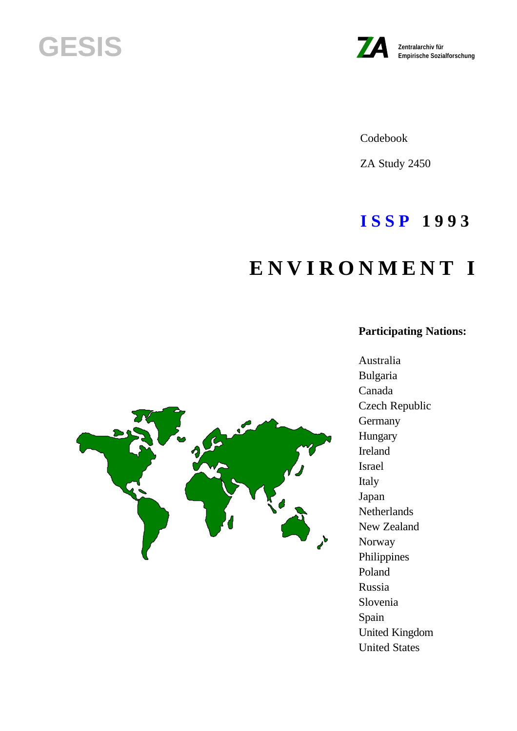# **GESIS Zentralarchiv für**



Codebook

ZA Study 2450

# **I S S P 1 9 9 3**

# **E N V I R O N M E N T I**

# **Participating Nations:**

Australia Bulgaria Canada Czech Republic **Germany** Hungary Ireland Israel Italy Japan **Netherlands** New Zealand Norway Philippines Poland Russia Slovenia Spain United Kingdom United States

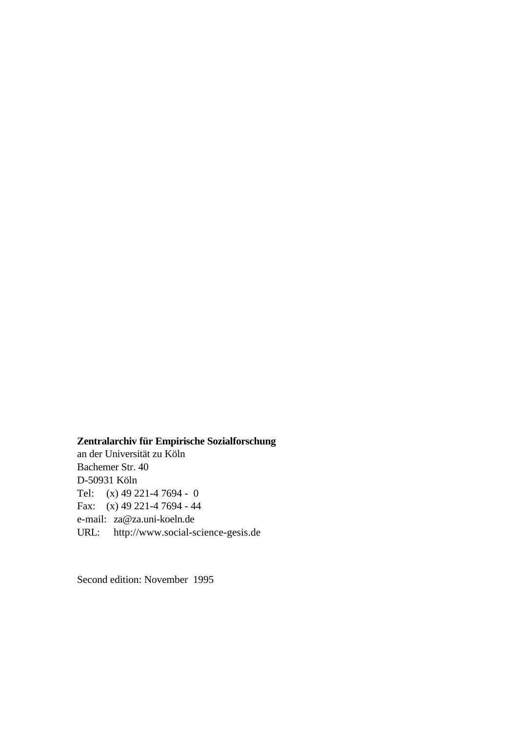# **Zentralarchiv für Empirische Sozialforschung**

an der Universität zu Köln Bachemer Str. 40 D-50931 Köln Tel: (x) 49 221-4 7694 - 0 Fax: (x) 49 221-4 7694 - 44 e-mail: za@za.uni-koeln.de URL: http://www.social-science-gesis.de

Second edition: November 1995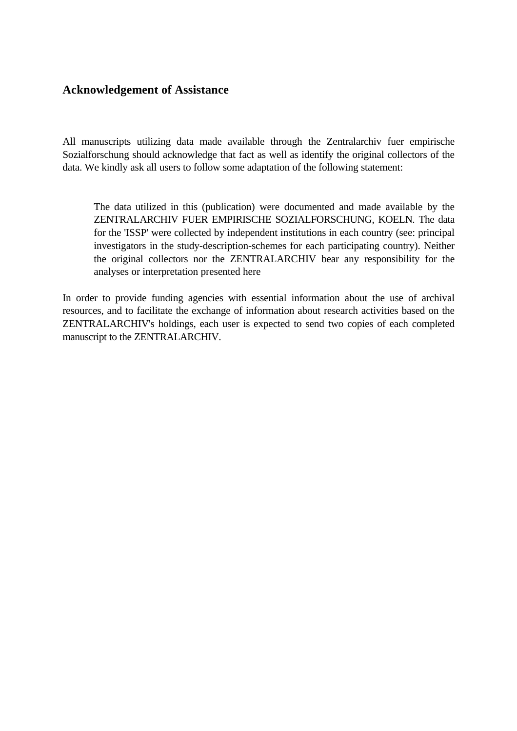# <span id="page-2-0"></span>**Acknowledgement of Assistance**

All manuscripts utilizing data made available through the Zentralarchiv fuer empirische Sozialforschung should acknowledge that fact as well as identify the original collectors of the data. We kindly ask all users to follow some adaptation of the following statement:

The data utilized in this (publication) were documented and made available by the ZENTRALARCHIV FUER EMPIRISCHE SOZIALFORSCHUNG, KOELN. The data for the 'ISSP' were collected by independent institutions in each country (see: principal investigators in the study-description-schemes for each participating country). Neither the original collectors nor the ZENTRALARCHIV bear any responsibility for the analyses or interpretation presented here

In order to provide funding agencies with essential information about the use of archival resources, and to facilitate the exchange of information about research activities based on the ZENTRALARCHIV's holdings, each user is expected to send two copies of each completed manuscript to the ZENTRALARCHIV.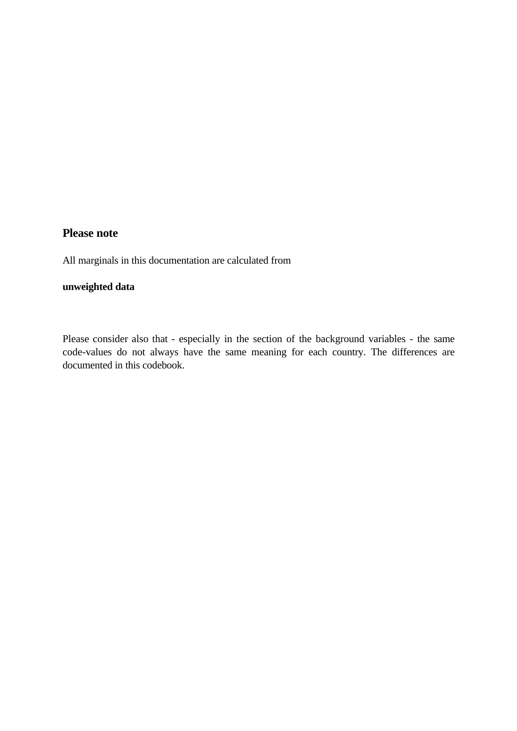### **Please note**

All marginals in this documentation are calculated from

# **unweighted data**

Please consider also that - especially in the section of the background variables - the same code-values do not always have the same meaning for each country. The differences are documented in this codebook.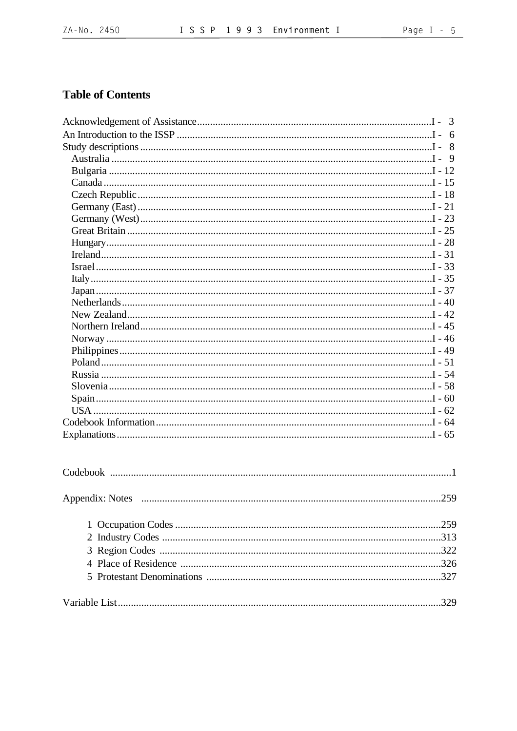# **Table of Contents**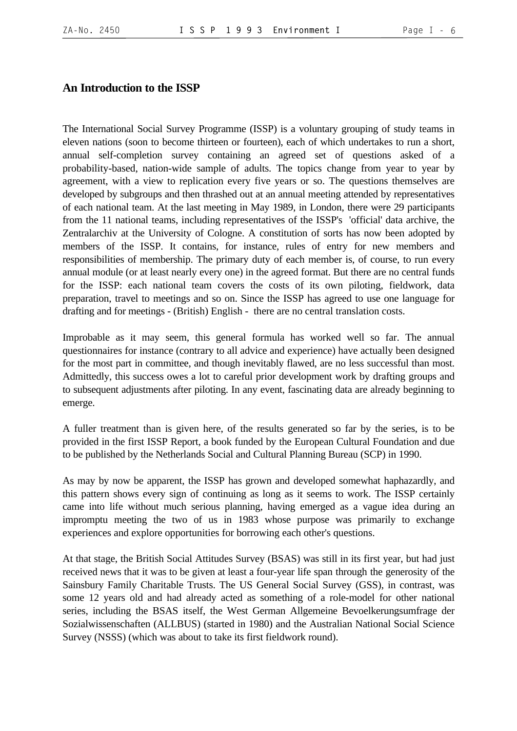#### <span id="page-5-0"></span>**An Introduction to the ISSP**

The International Social Survey Programme (ISSP) is a voluntary grouping of study teams in eleven nations (soon to become thirteen or fourteen), each of which undertakes to run a short, annual self-completion survey containing an agreed set of questions asked of a probability-based, nation-wide sample of adults. The topics change from year to year by agreement, with a view to replication every five years or so. The questions themselves are developed by subgroups and then thrashed out at an annual meeting attended by representatives of each national team. At the last meeting in May 1989, in London, there were 29 participants from the 11 national teams, including representatives of the ISSP's 'official' data archive, the Zentralarchiv at the University of Cologne. A constitution of sorts has now been adopted by members of the ISSP. It contains, for instance, rules of entry for new members and responsibilities of membership. The primary duty of each member is, of course, to run every annual module (or at least nearly every one) in the agreed format. But there are no central funds for the ISSP: each national team covers the costs of its own piloting, fieldwork, data preparation, travel to meetings and so on. Since the ISSP has agreed to use one language for drafting and for meetings - (British) English - there are no central translation costs.

Improbable as it may seem, this general formula has worked well so far. The annual questionnaires for instance (contrary to all advice and experience) have actually been designed for the most part in committee, and though inevitably flawed, are no less successful than most. Admittedly, this success owes a lot to careful prior development work by drafting groups and to subsequent adjustments after piloting. In any event, fascinating data are already beginning to emerge.

A fuller treatment than is given here, of the results generated so far by the series, is to be provided in the first ISSP Report, a book funded by the European Cultural Foundation and due to be published by the Netherlands Social and Cultural Planning Bureau (SCP) in 1990.

As may by now be apparent, the ISSP has grown and developed somewhat haphazardly, and this pattern shows every sign of continuing as long as it seems to work. The ISSP certainly came into life without much serious planning, having emerged as a vague idea during an impromptu meeting the two of us in 1983 whose purpose was primarily to exchange experiences and explore opportunities for borrowing each other's questions.

At that stage, the British Social Attitudes Survey (BSAS) was still in its first year, but had just received news that it was to be given at least a four-year life span through the generosity of the Sainsbury Family Charitable Trusts. The US General Social Survey (GSS), in contrast, was some 12 years old and had already acted as something of a role-model for other national series, including the BSAS itself, the West German Allgemeine Bevoelkerungsumfrage der Sozialwissenschaften (ALLBUS) (started in 1980) and the Australian National Social Science Survey (NSSS) (which was about to take its first fieldwork round).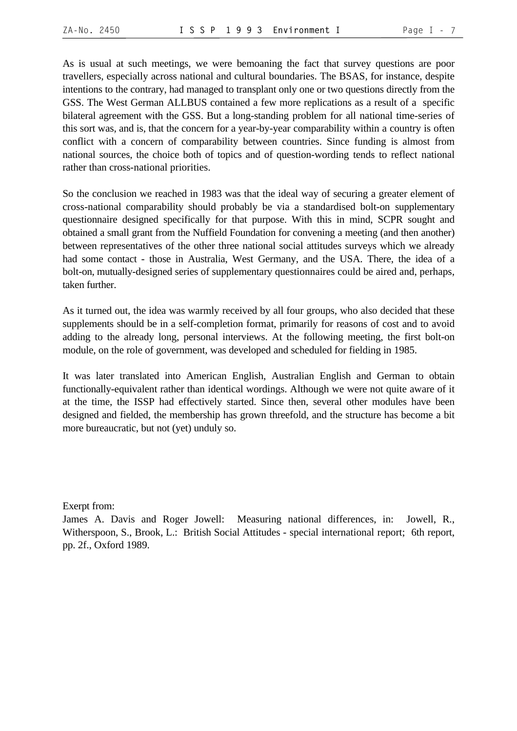As is usual at such meetings, we were bemoaning the fact that survey questions are poor travellers, especially across national and cultural boundaries. The BSAS, for instance, despite intentions to the contrary, had managed to transplant only one or two questions directly from the GSS. The West German ALLBUS contained a few more replications as a result of a specific bilateral agreement with the GSS. But a long-standing problem for all national time-series of this sort was, and is, that the concern for a year-by-year comparability within a country is often conflict with a concern of comparability between countries. Since funding is almost from national sources, the choice both of topics and of question-wording tends to reflect national rather than cross-national priorities.

So the conclusion we reached in 1983 was that the ideal way of securing a greater element of cross-national comparability should probably be via a standardised bolt-on supplementary questionnaire designed specifically for that purpose. With this in mind, SCPR sought and obtained a small grant from the Nuffield Foundation for convening a meeting (and then another) between representatives of the other three national social attitudes surveys which we already had some contact - those in Australia, West Germany, and the USA. There, the idea of a bolt-on, mutually-designed series of supplementary questionnaires could be aired and, perhaps, taken further.

As it turned out, the idea was warmly received by all four groups, who also decided that these supplements should be in a self-completion format, primarily for reasons of cost and to avoid adding to the already long, personal interviews. At the following meeting, the first bolt-on module, on the role of government, was developed and scheduled for fielding in 1985.

It was later translated into American English, Australian English and German to obtain functionally-equivalent rather than identical wordings. Although we were not quite aware of it at the time, the ISSP had effectively started. Since then, several other modules have been designed and fielded, the membership has grown threefold, and the structure has become a bit more bureaucratic, but not (yet) unduly so.

Exerpt from:

James A. Davis and Roger Jowell: Measuring national differences, in: Jowell, R., Witherspoon, S., Brook, L.: British Social Attitudes - special international report; 6th report, pp. 2f., Oxford 1989.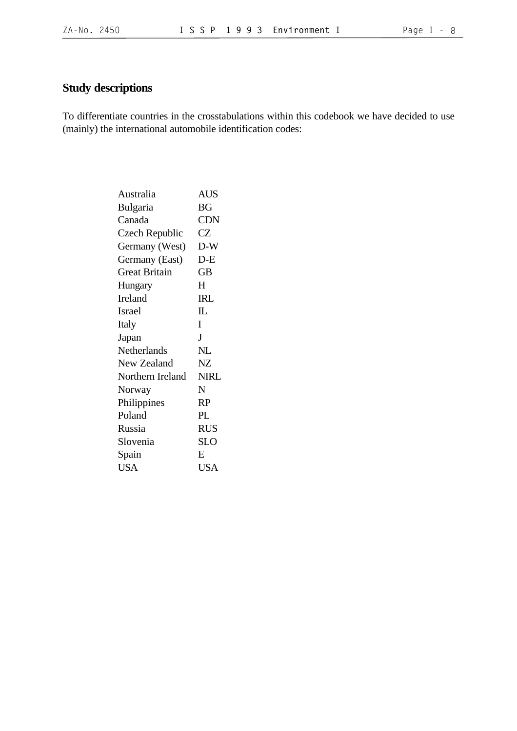# <span id="page-7-0"></span>**Study descriptions**

To differentiate countries in the crosstabulations within this codebook we have decided to use (mainly) the international automobile identification codes:

| <b>AUS</b>   |
|--------------|
| <b>BG</b>    |
| <b>CDN</b>   |
| CZ           |
| $D-W$        |
| $D-E$        |
| <b>GB</b>    |
| H            |
| <b>IRL</b>   |
| $\mathbb{L}$ |
| I            |
| J            |
| NL           |
| NZ           |
| <b>NIRL</b>  |
| N            |
| <b>RP</b>    |
| PL           |
| <b>RUS</b>   |
| <b>SLO</b>   |
| E            |
| <b>USA</b>   |
|              |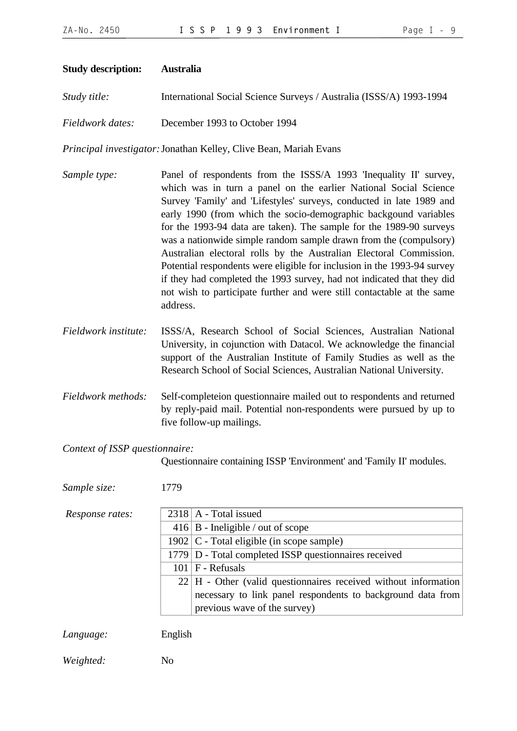<span id="page-8-0"></span>

| <b>Study description:</b>      | <b>Australia</b>                                                                                                                                                                                                                                                                                                                                                                                                                                                                                                                                                                                                                                                                                                                               |
|--------------------------------|------------------------------------------------------------------------------------------------------------------------------------------------------------------------------------------------------------------------------------------------------------------------------------------------------------------------------------------------------------------------------------------------------------------------------------------------------------------------------------------------------------------------------------------------------------------------------------------------------------------------------------------------------------------------------------------------------------------------------------------------|
| Study title:                   | International Social Science Surveys / Australia (ISSS/A) 1993-1994                                                                                                                                                                                                                                                                                                                                                                                                                                                                                                                                                                                                                                                                            |
| Fieldwork dates:               | December 1993 to October 1994                                                                                                                                                                                                                                                                                                                                                                                                                                                                                                                                                                                                                                                                                                                  |
|                                | Principal investigator: Jonathan Kelley, Clive Bean, Mariah Evans                                                                                                                                                                                                                                                                                                                                                                                                                                                                                                                                                                                                                                                                              |
| Sample type:                   | Panel of respondents from the ISSS/A 1993 'Inequality II' survey,<br>which was in turn a panel on the earlier National Social Science<br>Survey 'Family' and 'Lifestyles' surveys, conducted in late 1989 and<br>early 1990 (from which the socio-demographic backgound variables<br>for the 1993-94 data are taken). The sample for the 1989-90 surveys<br>was a nationwide simple random sample drawn from the (compulsory)<br>Australian electoral rolls by the Australian Electoral Commission.<br>Potential respondents were eligible for inclusion in the 1993-94 survey<br>if they had completed the 1993 survey, had not indicated that they did<br>not wish to participate further and were still contactable at the same<br>address. |
| Fieldwork institute:           | ISSS/A, Research School of Social Sciences, Australian National<br>University, in cojunction with Datacol. We acknowledge the financial<br>support of the Australian Institute of Family Studies as well as the<br>Research School of Social Sciences, Australian National University.                                                                                                                                                                                                                                                                                                                                                                                                                                                         |
| Fieldwork methods:             | Self-completeion questionnaire mailed out to respondents and returned<br>by reply-paid mail. Potential non-respondents were pursued by up to<br>five follow-up mailings.                                                                                                                                                                                                                                                                                                                                                                                                                                                                                                                                                                       |
| Context of ISSP questionnaire: | Questionnaire containing ISSP 'Environment' and 'Family II' modules.                                                                                                                                                                                                                                                                                                                                                                                                                                                                                                                                                                                                                                                                           |
| Sample size:                   | 1779                                                                                                                                                                                                                                                                                                                                                                                                                                                                                                                                                                                                                                                                                                                                           |
| Response rates:                | A - Total issued<br>2318<br>$416 \mid B$ - Ineligible / out of scope<br>$1902$ C - Total eligible (in scope sample)<br>1779 D - Total completed ISSP questionnaires received<br>$101$   F - Refusals                                                                                                                                                                                                                                                                                                                                                                                                                                                                                                                                           |

22 H - Other (valid questionnaires received without information necessary to link panel respondents to background data from previous wave of the survey)

*Language:* English

*Weighted:* No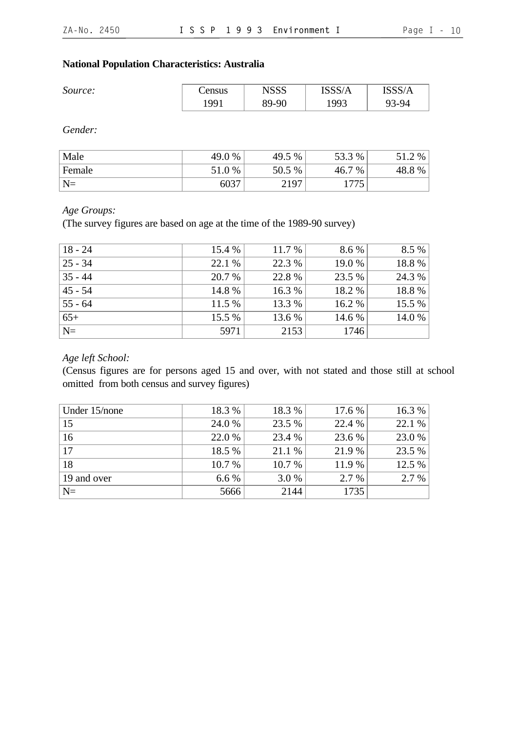#### **National Population Characteristics: Australia**

| U<br>Source: | Census | <b>NSSS</b> | ISSS/A | ISSS/A |
|--------------|--------|-------------|--------|--------|
|              | 1991   | 89-90       | 1993   | 93-94  |

*Gender:*

| Male   | 49.0 % | 49.5 % | 53.3 %      | %      |
|--------|--------|--------|-------------|--------|
| Female | 51.0%  | 50.5 % | 7 %<br>46.7 | 48.8 % |
| $N=$   | 6037   | 2197   | 1775        |        |

#### *Age Groups:*

(The survey figures are based on age at the time of the 1989-90 survey)

| $18 - 24$   | 15.4 % | 11.7 % | 8.6 %  | 8.5 %  |
|-------------|--------|--------|--------|--------|
| $ 25 - 34$  | 22.1 % | 22.3 % | 19.0 % | 18.8%  |
| $35 - 44$   | 20.7 % | 22.8 % | 23.5 % | 24.3 % |
| $45 - 54$   | 14.8 % | 16.3 % | 18.2 % | 18.8%  |
| $55 - 64$   | 11.5 % | 13.3 % | 16.2 % | 15.5 % |
| $65+$       | 15.5 % | 13.6 % | 14.6 % | 14.0 % |
| $\vert N =$ | 5971   | 2153   | 1746   |        |

# *Age left School:*

(Census figures are for persons aged 15 and over, with not stated and those still at school omitted from both census and survey figures)

| Under 15/none | 18.3 % | 18.3 % | 17.6 % | 16.3 % |
|---------------|--------|--------|--------|--------|
| $\vert$ 15    | 24.0 % | 23.5 % | 22.4 % | 22.1 % |
| $\vert$ 16    | 22.0 % | 23.4 % | 23.6 % | 23.0 % |
| $\vert$ 17    | 18.5 % | 21.1 % | 21.9 % | 23.5 % |
| 18            | 10.7 % | 10.7 % | 11.9 % | 12.5 % |
| 19 and over   | 6.6%   | 3.0 %  | 2.7 %  | 2.7%   |
| $ N=$         | 5666   | 2144   | 1735   |        |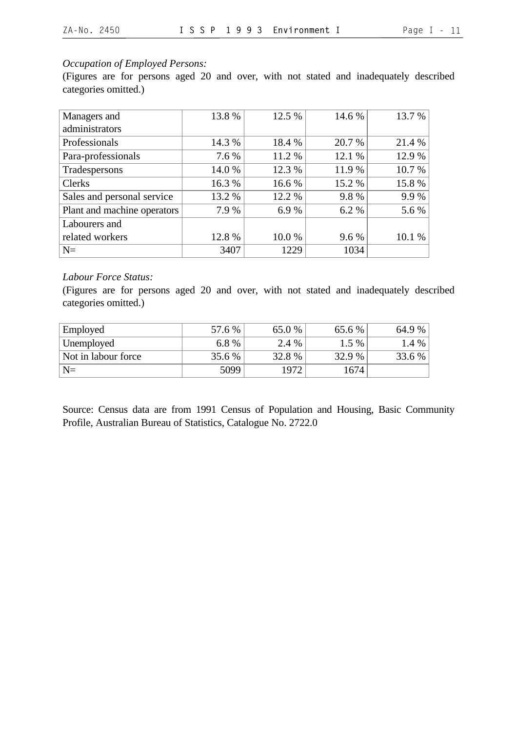# *Occupation of Employed Persons:*

(Figures are for persons aged 20 and over, with not stated and inadequately described categories omitted.)

| Managers and                | 13.8 % | 12.5 % | 14.6 % | 13.7 % |
|-----------------------------|--------|--------|--------|--------|
| administrators              |        |        |        |        |
| Professionals               | 14.3 % | 18.4 % | 20.7 % | 21.4 % |
| Para-professionals          | 7.6 %  | 11.2 % | 12.1 % | 12.9 % |
| Tradespersons               | 14.0 % | 12.3 % | 11.9 % | 10.7 % |
| <b>Clerks</b>               | 16.3 % | 16.6 % | 15.2 % | 15.8 % |
| Sales and personal service  | 13.2 % | 12.2 % | 9.8%   | 9.9%   |
| Plant and machine operators | 7.9%   | 6.9%   | 6.2 %  | 5.6 %  |
| Labourers and               |        |        |        |        |
| related workers             | 12.8%  | 10.0%  | 9.6 %  | 10.1 % |
| $N=$                        | 3407   | 1229   | 1034   |        |

#### *Labour Force Status:*

(Figures are for persons aged 20 and over, with not stated and inadequately described categories omitted.)

| Employed            | 57.6 % | 65.0% | 65.6 % | 64.9 %  |
|---------------------|--------|-------|--------|---------|
| Unemployed          | 6.8%   | 2.4 % | 1.5 %  | $1.4\%$ |
| Not in labour force | 35.6 % | 32.8% | 32.9 % | 33.6 %  |
| $N=$                | 5099   | 1972  | 1674   |         |

Source: Census data are from 1991 Census of Population and Housing, Basic Community Profile, Australian Bureau of Statistics, Catalogue No. 2722.0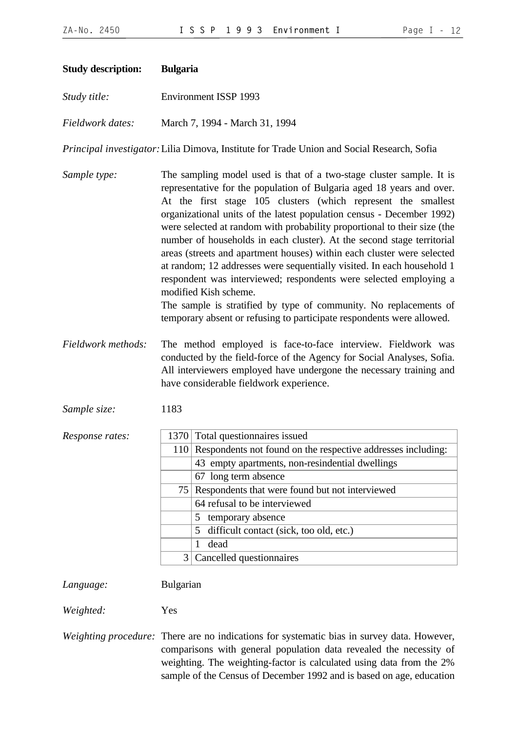<span id="page-11-0"></span>

| <b>Study description:</b> | <b>Bulgaria</b> |                                                                                                                                                                                                                                                                                                                                                                                                                                                                                                                                                                                                                                                                                                                                                                                                                                               |
|---------------------------|-----------------|-----------------------------------------------------------------------------------------------------------------------------------------------------------------------------------------------------------------------------------------------------------------------------------------------------------------------------------------------------------------------------------------------------------------------------------------------------------------------------------------------------------------------------------------------------------------------------------------------------------------------------------------------------------------------------------------------------------------------------------------------------------------------------------------------------------------------------------------------|
| Study title:              |                 | Environment ISSP 1993                                                                                                                                                                                                                                                                                                                                                                                                                                                                                                                                                                                                                                                                                                                                                                                                                         |
| Fieldwork dates:          |                 | March 7, 1994 - March 31, 1994                                                                                                                                                                                                                                                                                                                                                                                                                                                                                                                                                                                                                                                                                                                                                                                                                |
|                           |                 | Principal investigator: Lilia Dimova, Institute for Trade Union and Social Research, Sofia                                                                                                                                                                                                                                                                                                                                                                                                                                                                                                                                                                                                                                                                                                                                                    |
| Sample type:              |                 | The sampling model used is that of a two-stage cluster sample. It is<br>representative for the population of Bulgaria aged 18 years and over.<br>At the first stage 105 clusters (which represent the smallest<br>organizational units of the latest population census - December 1992)<br>were selected at random with probability proportional to their size (the<br>number of households in each cluster). At the second stage territorial<br>areas (streets and apartment houses) within each cluster were selected<br>at random; 12 addresses were sequentially visited. In each household 1<br>respondent was interviewed; respondents were selected employing a<br>modified Kish scheme.<br>The sample is stratified by type of community. No replacements of<br>temporary absent or refusing to participate respondents were allowed. |
| Fieldwork methods:        |                 | The method employed is face-to-face interview. Fieldwork was<br>conducted by the field-force of the Agency for Social Analyses, Sofia.<br>All interviewers employed have undergone the necessary training and<br>have considerable fieldwork experience.                                                                                                                                                                                                                                                                                                                                                                                                                                                                                                                                                                                      |
| Sample size:              | 1183            |                                                                                                                                                                                                                                                                                                                                                                                                                                                                                                                                                                                                                                                                                                                                                                                                                                               |
| Response rates:           |                 | 1370 Total questionnaires issued                                                                                                                                                                                                                                                                                                                                                                                                                                                                                                                                                                                                                                                                                                                                                                                                              |
|                           |                 | 110 Respondents not found on the respective addresses including:                                                                                                                                                                                                                                                                                                                                                                                                                                                                                                                                                                                                                                                                                                                                                                              |
|                           |                 | 43 empty apartments, non-resindential dwellings                                                                                                                                                                                                                                                                                                                                                                                                                                                                                                                                                                                                                                                                                                                                                                                               |
|                           |                 | 67 long term absence                                                                                                                                                                                                                                                                                                                                                                                                                                                                                                                                                                                                                                                                                                                                                                                                                          |
|                           |                 | 75 Respondents that were found but not interviewed                                                                                                                                                                                                                                                                                                                                                                                                                                                                                                                                                                                                                                                                                                                                                                                            |
|                           |                 | 64 refusal to be interviewed                                                                                                                                                                                                                                                                                                                                                                                                                                                                                                                                                                                                                                                                                                                                                                                                                  |
|                           |                 | temporary absence<br>5                                                                                                                                                                                                                                                                                                                                                                                                                                                                                                                                                                                                                                                                                                                                                                                                                        |
|                           |                 | difficult contact (sick, too old, etc.)<br>5                                                                                                                                                                                                                                                                                                                                                                                                                                                                                                                                                                                                                                                                                                                                                                                                  |
|                           |                 | dead<br>$\mathbf{1}$                                                                                                                                                                                                                                                                                                                                                                                                                                                                                                                                                                                                                                                                                                                                                                                                                          |
|                           | 3               | Cancelled questionnaires                                                                                                                                                                                                                                                                                                                                                                                                                                                                                                                                                                                                                                                                                                                                                                                                                      |
|                           |                 |                                                                                                                                                                                                                                                                                                                                                                                                                                                                                                                                                                                                                                                                                                                                                                                                                                               |

*Language:* Bulgarian

*Weighted:* Yes

*Weighting procedure:* There are no indications for systematic bias in survey data. However, comparisons with general population data revealed the necessity of weighting. The weighting-factor is calculated using data from the 2% sample of the Census of December 1992 and is based on age, education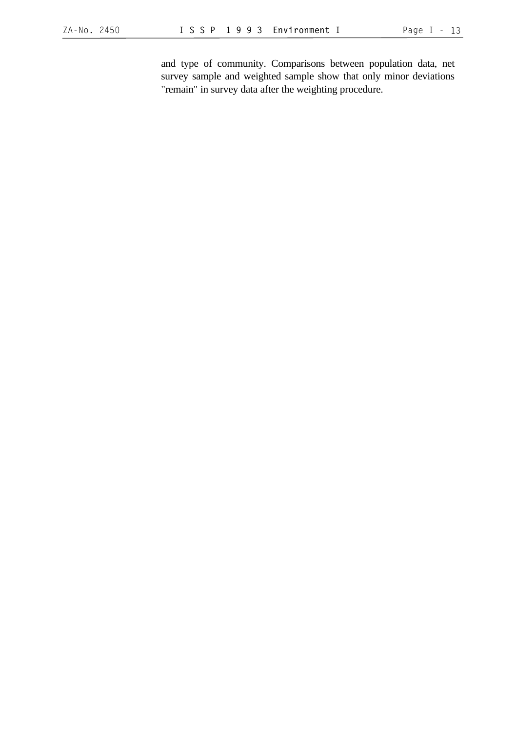and type of community. Comparisons between population data, net survey sample and weighted sample show that only minor deviations "remain" in survey data after the weighting procedure.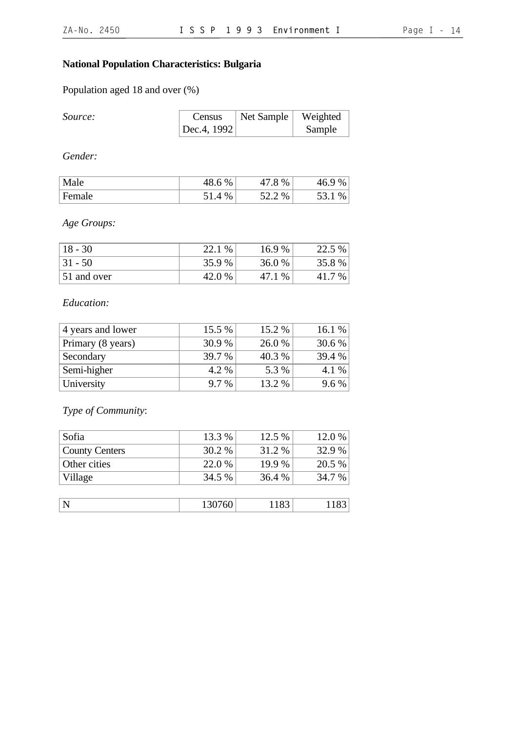# **National Population Characteristics: Bulgaria**

Population aged 18 and over (%)

| Source: | Census              | $\vert$ Net Sample $\vert$ Weighted |        |
|---------|---------------------|-------------------------------------|--------|
|         | $ $ Dec.4, 1992 $ $ |                                     | Sample |

*Gender:*

| Male   | 48.6 % | $\%$          | $\%$<br>46.9<br>ı |
|--------|--------|---------------|-------------------|
| Female | %      | $\%$<br>ے . ب | $\%$<br>JJ.       |

*Age Groups:*

| $18 - 30$   | 22.1<br>$\%$ | 16.9 % | 22.5 % |
|-------------|--------------|--------|--------|
| $ 31 - 50$  | 35.9%        | 36.0 % | 35.8%  |
| 51 and over | 42.0 %       | $\%$   | $7\%$  |

# *Education:*

| 4 years and lower | 15.5 %        | 15.2 % | 16.1 % |
|-------------------|---------------|--------|--------|
| Primary (8 years) | 30.9 %        | 26.0 % | 30.6 % |
| Secondary         | <b>39.7</b> % | 40.3 % | 39.4 % |
| Semi-higher       | 4.2 %         | 5.3 %  | 4.1 %  |
| University        | 9.7 %         | 13.2 % | 9.6 %  |

*Type of Community*:

| Sofia                 | 13.3 % | 12.5 % | 12.0 % |
|-----------------------|--------|--------|--------|
| <b>County Centers</b> | 30.2 % | 31.2 % | 32.9 % |
| Other cities          | 22.0 % | 19.9 % | 20.5 % |
| Village               | 34.5 % | 36.4 % | 34.7 % |
|                       |        |        |        |
|                       | 130760 | 1183   | 1183   |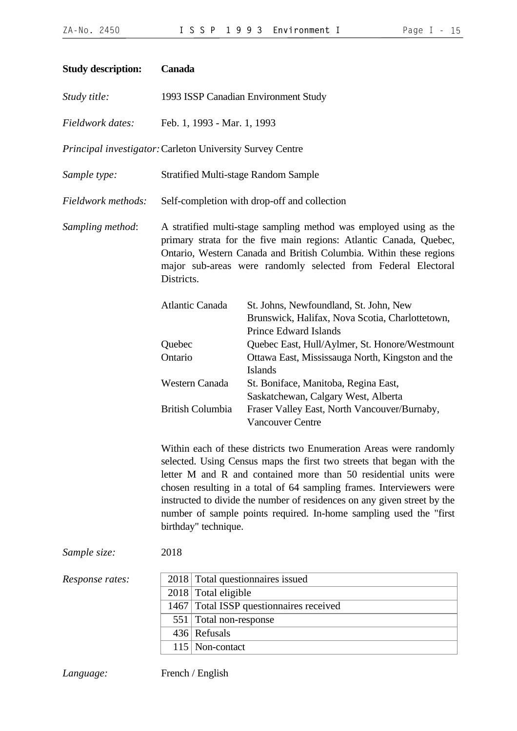<span id="page-14-0"></span>

| <b>Study description:</b>                                 | Canada                                                                                                                                                                                                                                                                                        |                                                                                                                                                                                                                                                                                                                                                                                                                                           |  |
|-----------------------------------------------------------|-----------------------------------------------------------------------------------------------------------------------------------------------------------------------------------------------------------------------------------------------------------------------------------------------|-------------------------------------------------------------------------------------------------------------------------------------------------------------------------------------------------------------------------------------------------------------------------------------------------------------------------------------------------------------------------------------------------------------------------------------------|--|
| Study title:                                              | 1993 ISSP Canadian Environment Study                                                                                                                                                                                                                                                          |                                                                                                                                                                                                                                                                                                                                                                                                                                           |  |
| Fieldwork dates:                                          | Feb. 1, 1993 - Mar. 1, 1993                                                                                                                                                                                                                                                                   |                                                                                                                                                                                                                                                                                                                                                                                                                                           |  |
| Principal investigator: Carleton University Survey Centre |                                                                                                                                                                                                                                                                                               |                                                                                                                                                                                                                                                                                                                                                                                                                                           |  |
| Sample type:                                              | <b>Stratified Multi-stage Random Sample</b>                                                                                                                                                                                                                                                   |                                                                                                                                                                                                                                                                                                                                                                                                                                           |  |
| Fieldwork methods:                                        |                                                                                                                                                                                                                                                                                               | Self-completion with drop-off and collection                                                                                                                                                                                                                                                                                                                                                                                              |  |
| Sampling method:                                          | A stratified multi-stage sampling method was employed using as the<br>primary strata for the five main regions: Atlantic Canada, Quebec,<br>Ontario, Western Canada and British Columbia. Within these regions<br>major sub-areas were randomly selected from Federal Electoral<br>Districts. |                                                                                                                                                                                                                                                                                                                                                                                                                                           |  |
|                                                           | <b>Atlantic Canada</b>                                                                                                                                                                                                                                                                        | St. Johns, Newfoundland, St. John, New<br>Brunswick, Halifax, Nova Scotia, Charlottetown,<br><b>Prince Edward Islands</b>                                                                                                                                                                                                                                                                                                                 |  |
|                                                           | Quebec<br>Ontario                                                                                                                                                                                                                                                                             | Quebec East, Hull/Aylmer, St. Honore/Westmount<br>Ottawa East, Mississauga North, Kingston and the<br><b>Islands</b>                                                                                                                                                                                                                                                                                                                      |  |
|                                                           | Western Canada                                                                                                                                                                                                                                                                                | St. Boniface, Manitoba, Regina East,<br>Saskatchewan, Calgary West, Alberta                                                                                                                                                                                                                                                                                                                                                               |  |
|                                                           | <b>British Columbia</b>                                                                                                                                                                                                                                                                       | Fraser Valley East, North Vancouver/Burnaby,<br><b>Vancouver Centre</b>                                                                                                                                                                                                                                                                                                                                                                   |  |
|                                                           | birthday" technique.                                                                                                                                                                                                                                                                          | Within each of these districts two Enumeration Areas were randomly<br>selected. Using Census maps the first two streets that began with the<br>letter M and R and contained more than 50 residential units were<br>chosen resulting in a total of 64 sampling frames. Interviewers were<br>instructed to divide the number of residences on any given street by the<br>number of sample points required. In-home sampling used the "first |  |
| Sample size:                                              | 2018                                                                                                                                                                                                                                                                                          |                                                                                                                                                                                                                                                                                                                                                                                                                                           |  |
| Response rates:                                           | 2018                                                                                                                                                                                                                                                                                          | Total questionnaires issued                                                                                                                                                                                                                                                                                                                                                                                                               |  |
|                                                           | Total eligible<br>2018                                                                                                                                                                                                                                                                        |                                                                                                                                                                                                                                                                                                                                                                                                                                           |  |
|                                                           | 1467                                                                                                                                                                                                                                                                                          | Total ISSP questionnaires received                                                                                                                                                                                                                                                                                                                                                                                                        |  |
|                                                           | Total non-response<br>551                                                                                                                                                                                                                                                                     |                                                                                                                                                                                                                                                                                                                                                                                                                                           |  |
|                                                           | 436 Refusals                                                                                                                                                                                                                                                                                  |                                                                                                                                                                                                                                                                                                                                                                                                                                           |  |
|                                                           | Non-contact<br>115                                                                                                                                                                                                                                                                            |                                                                                                                                                                                                                                                                                                                                                                                                                                           |  |

*Language:* French / English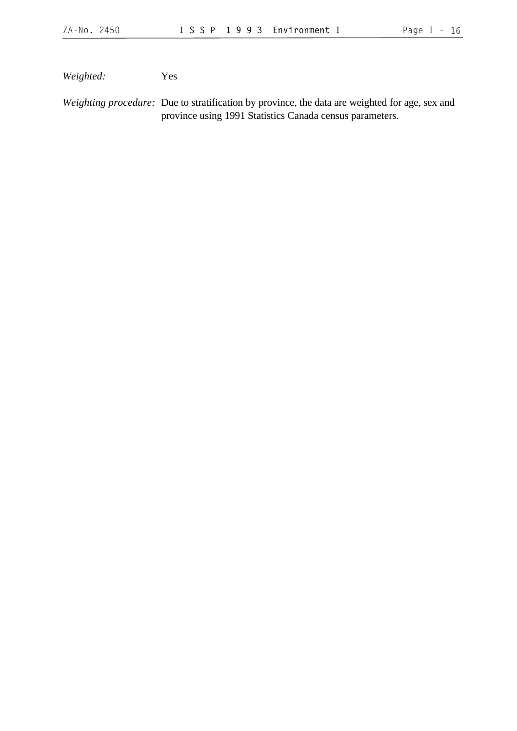*Weighted:* Yes

*Weighting procedure:* Due to stratification by province, the data are weighted for age, sex and province using 1991 Statistics Canada census parameters.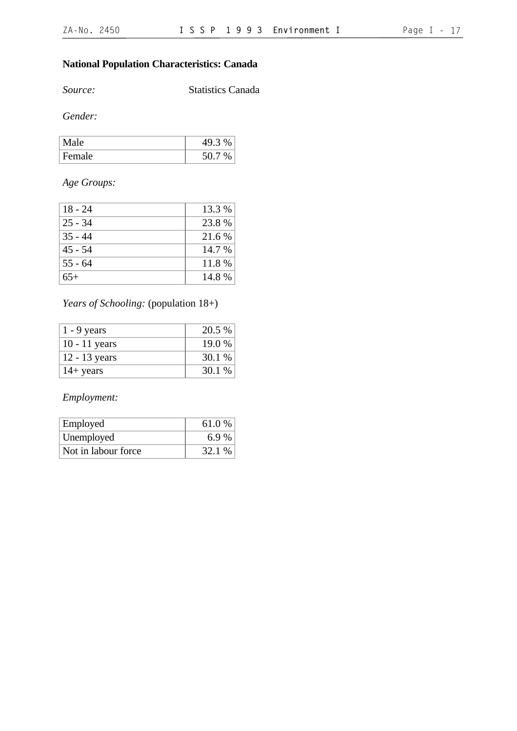# **National Population Characteristics: Canada**

*Source:* Statistics Canada

*Gender:*

| Ie.           | $\Omega$<br>49.3 |
|---------------|------------------|
| <b>Female</b> |                  |

# *Age Groups:*

| $18 - 24$ | 13.3 %   |
|-----------|----------|
| $25 - 34$ | 23.8 %   |
| $35 - 44$ | 21.6 %   |
| $45 - 54$ | $14.7\%$ |
| $55 - 64$ | 11.8 %   |
| $65+$     | 14.8 %   |

# *Years of Schooling:* (population 18+)

| $1 - 9$ years       | 20.5 % |
|---------------------|--------|
| $10 - 11$ years     | 19.0 % |
| $12 - 13$ years     | 30.1 % |
| $14 + \text{years}$ | 30.1 % |

*Employment:*

| Employed            | 61.0%  |
|---------------------|--------|
| Unemployed          | 6.9%   |
| Not in labour force | 32.1 % |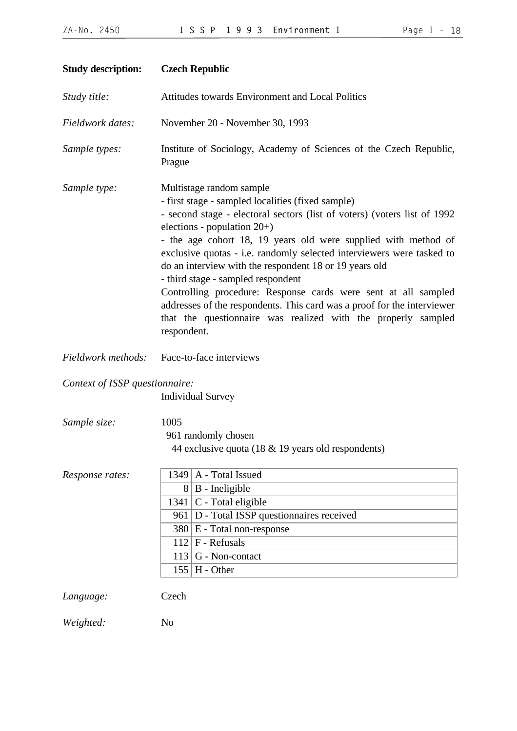| Page |  |  | 18 |
|------|--|--|----|
|------|--|--|----|

<span id="page-17-0"></span>

| <b>Study description:</b>      | <b>Czech Republic</b>                                                                                                                                                                                                                                                                                                                                                                                                                                                                                                                                                                                                                                            |  |  |
|--------------------------------|------------------------------------------------------------------------------------------------------------------------------------------------------------------------------------------------------------------------------------------------------------------------------------------------------------------------------------------------------------------------------------------------------------------------------------------------------------------------------------------------------------------------------------------------------------------------------------------------------------------------------------------------------------------|--|--|
| Study title:                   | Attitudes towards Environment and Local Politics                                                                                                                                                                                                                                                                                                                                                                                                                                                                                                                                                                                                                 |  |  |
| Fieldwork dates:               | November 20 - November 30, 1993                                                                                                                                                                                                                                                                                                                                                                                                                                                                                                                                                                                                                                  |  |  |
| Sample types:                  | Institute of Sociology, Academy of Sciences of the Czech Republic,<br>Prague                                                                                                                                                                                                                                                                                                                                                                                                                                                                                                                                                                                     |  |  |
| Sample type:                   | Multistage random sample<br>- first stage - sampled localities (fixed sample)<br>- second stage - electoral sectors (list of voters) (voters list of 1992<br>elections - population 20+)<br>- the age cohort 18, 19 years old were supplied with method of<br>exclusive quotas - i.e. randomly selected interviewers were tasked to<br>do an interview with the respondent 18 or 19 years old<br>- third stage - sampled respondent<br>Controlling procedure: Response cards were sent at all sampled<br>addresses of the respondents. This card was a proof for the interviewer<br>that the questionnaire was realized with the properly sampled<br>respondent. |  |  |
| Fieldwork methods:             | Face-to-face interviews                                                                                                                                                                                                                                                                                                                                                                                                                                                                                                                                                                                                                                          |  |  |
| Context of ISSP questionnaire: | <b>Individual Survey</b>                                                                                                                                                                                                                                                                                                                                                                                                                                                                                                                                                                                                                                         |  |  |
| Sample size:                   | 1005<br>961 randomly chosen<br>44 exclusive quota (18 & 19 years old respondents)                                                                                                                                                                                                                                                                                                                                                                                                                                                                                                                                                                                |  |  |
| Response rates:                | $1349$   A - Total Issued<br>$8 \mid B$ - Ineligible<br>$1341$ C - Total eligible<br>961   D - Total ISSP questionnaires received<br>$380 \mid E$ - Total non-response<br>$112$ F - Refusals<br>$113$ G - Non-contact<br>$155$ H - Other                                                                                                                                                                                                                                                                                                                                                                                                                         |  |  |
| Language:                      | Czech                                                                                                                                                                                                                                                                                                                                                                                                                                                                                                                                                                                                                                                            |  |  |
| Weighted:                      | N <sub>0</sub>                                                                                                                                                                                                                                                                                                                                                                                                                                                                                                                                                                                                                                                   |  |  |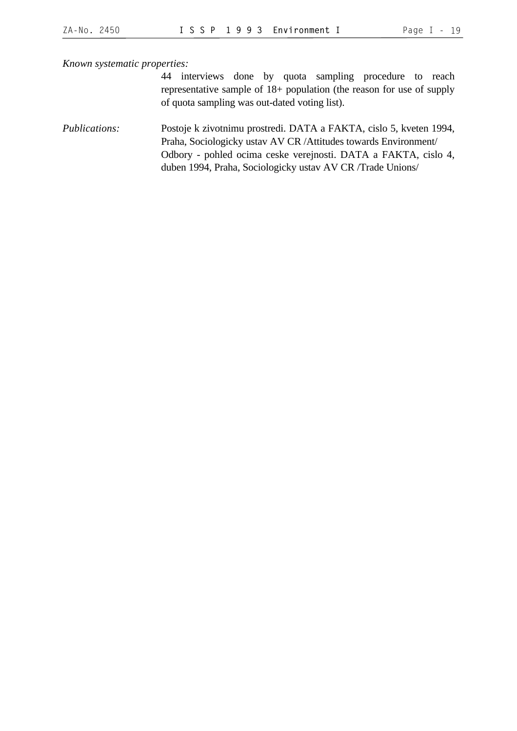*Known systematic properties:*

44 interviews done by quota sampling procedure to reach representative sample of 18+ population (the reason for use of supply of quota sampling was out-dated voting list).

*Publications:* Postoje k zivotnimu prostredi. DATA a FAKTA, cislo 5, kveten 1994, Praha, Sociologicky ustav AV CR /Attitudes towards Environment/ Odbory - pohled ocima ceske verejnosti. DATA a FAKTA, cislo 4, duben 1994, Praha, Sociologicky ustav AV CR /Trade Unions/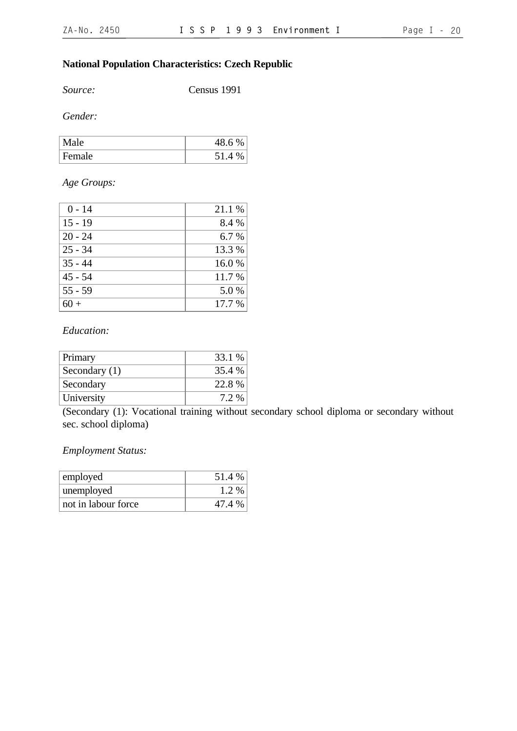# **National Population Characteristics: Czech Republic**

*Source:* Census 1991

*Gender:*

| Male   | %<br>48.0 |
|--------|-----------|
| Female | 51.4      |

# *Age Groups:*

| $0 - 14$  | 21.1 % |
|-----------|--------|
| $15 - 19$ | 8.4 %  |
| $20 - 24$ | 6.7%   |
| $25 - 34$ | 13.3 % |
| $35 - 44$ | 16.0%  |
| $45 - 54$ | 11.7 % |
| $55 - 59$ | 5.0 %  |
|           | 17.7 % |

#### *Education:*

| Primary         | 33.1 % |
|-----------------|--------|
| Secondary $(1)$ | 35.4 % |
| Secondary       | 22.8%  |
| University      | 7.2 %  |

(Secondary (1): Vocational training without secondary school diploma or secondary without sec. school diploma)

#### *Employment Status:*

| employed            | 51.4 % |
|---------------------|--------|
| unemployed          | 1.2 %  |
| not in labour force | 47.4 % |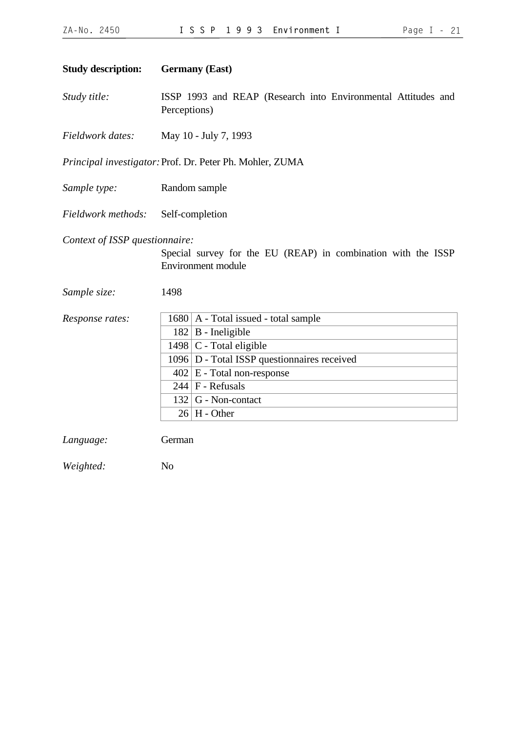<span id="page-20-0"></span>

| <b>Study description:</b>                      | <b>Germany</b> (East)                                                                       |
|------------------------------------------------|---------------------------------------------------------------------------------------------|
| Study title:                                   | ISSP 1993 and REAP (Research into Environmental Attitudes and<br>Perceptions)               |
| Fieldwork dates:                               | May 10 - July 7, 1993                                                                       |
|                                                | Principal investigator: Prof. Dr. Peter Ph. Mohler, ZUMA                                    |
| Sample type:                                   | Random sample                                                                               |
| Fieldwork methods:                             | Self-completion                                                                             |
| Context of ISSP questionnaire:<br>Sample size: | Special survey for the EU (REAP) in combination with the ISSP<br>Environment module<br>1498 |
| Response rates:                                | $1680$   A - Total issued - total sample                                                    |
|                                                | $182 \mid B$ - Ineligible                                                                   |
|                                                | $1498$ C - Total eligible                                                                   |
|                                                | 1096 D - Total ISSP questionnaires received                                                 |
|                                                | $402 \mid E$ - Total non-response                                                           |
|                                                | $244$ F - Refusals                                                                          |
|                                                | G - Non-contact<br>132                                                                      |
|                                                | $26$   H - Other                                                                            |
| Language:                                      | German                                                                                      |
| Weighted:                                      | N <sub>o</sub>                                                                              |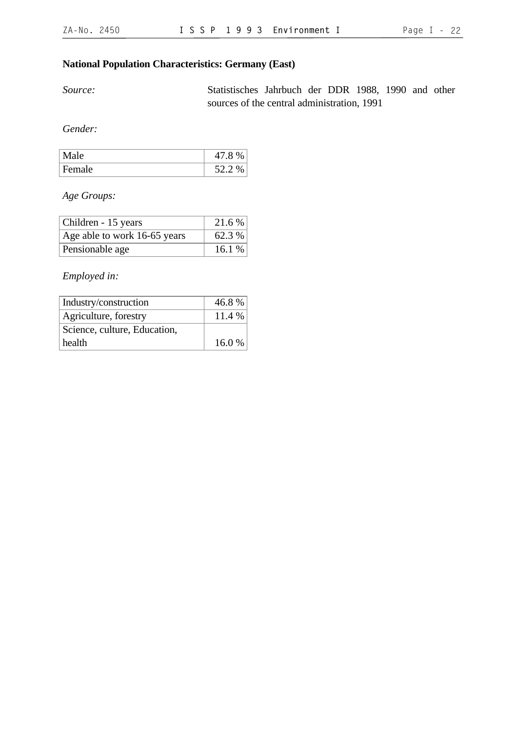# **National Population Characteristics: Germany (East)**

*Source:* Statistisches Jahrbuch der DDR 1988, 1990 and other sources of the central administration, 1991

*Gender:*

| Male   | 47.8%  |
|--------|--------|
| Female | 52.2 % |

*Age Groups:*

| Children - 15 years          | 21.6%  |
|------------------------------|--------|
| Age able to work 16-65 years | 62.3 % |
| Pensionable age              | 16.1%  |

*Employed in:*

| Industry/construction        | 46.8%  |
|------------------------------|--------|
| Agriculture, forestry        | 11.4 % |
| Science, culture, Education, |        |
| health                       | 16.0%  |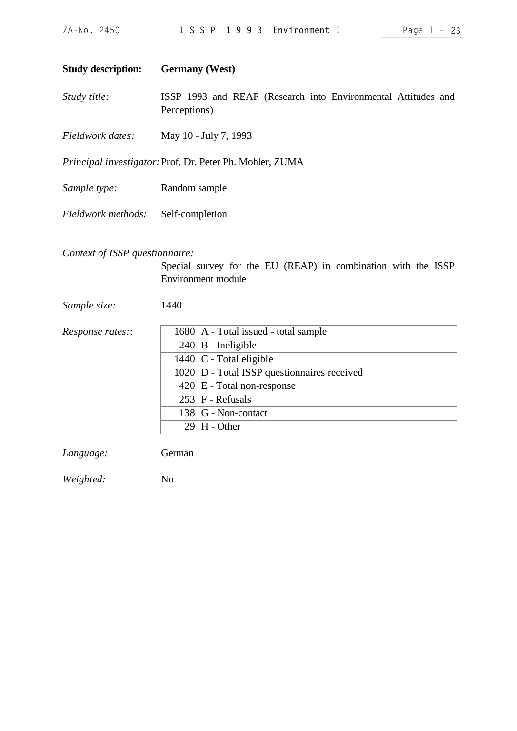<span id="page-22-0"></span>

| <b>Study description:</b>      | <b>Germany</b> (West)                                                                      |  |
|--------------------------------|--------------------------------------------------------------------------------------------|--|
| Study title:                   | ISSP 1993 and REAP (Research into Environmental Attitudes and<br>Perceptions)              |  |
| Fieldwork dates:               | May 10 - July 7, 1993                                                                      |  |
|                                | Principal investigator: Prof. Dr. Peter Ph. Mohler, ZUMA                                   |  |
| Sample type:                   | Random sample                                                                              |  |
| Fieldwork methods:             | Self-completion                                                                            |  |
| Context of ISSP questionnaire: | Special survey for the EU (REAP) in combination with the ISSP<br><b>Environment</b> module |  |
| Sample size:                   | 1440                                                                                       |  |
| Response rates::               | $1680$   A - Total issued - total sample                                                   |  |
|                                | $240 \mid B$ - Ineligible                                                                  |  |
|                                | $1440$ C - Total eligible                                                                  |  |
|                                | $1020$ D - Total ISSP questionnaires received                                              |  |
|                                | $420 \mid E$ - Total non-response                                                          |  |
|                                | $253$ F - Refusals                                                                         |  |
|                                | $138$ G - Non-contact                                                                      |  |
|                                | H - Other<br>29                                                                            |  |

*Language:* German

*Weighted:* No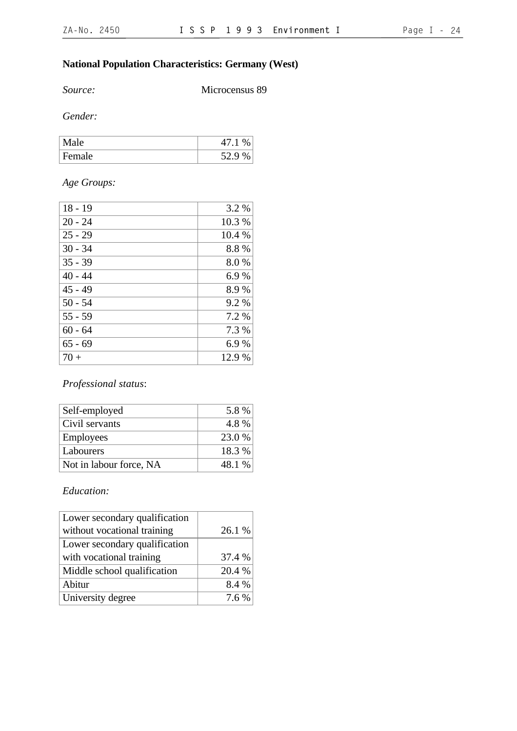# **National Population Characteristics: Germany (West)**

*Source:* Microcensus 89

*Gender:*

| . Male |     |
|--------|-----|
| Female | 520 |

# *Age Groups:*

| $18 - 19$ | 3.2 %  |
|-----------|--------|
| $20 - 24$ | 10.3%  |
| $25 - 29$ | 10.4 % |
| $30 - 34$ | 8.8%   |
| $35 - 39$ | 8.0%   |
| $40 - 44$ | 6.9%   |
| $45 - 49$ | 8.9%   |
| $50 - 54$ | 9.2 %  |
| $55 - 59$ | 7.2 %  |
| $60 - 64$ | 7.3 %  |
| $65 - 69$ | 6.9%   |
| $70+$     | 12.9 % |

### *Professional status*:

| Self-employed           | 5.8 %  |
|-------------------------|--------|
| Civil servants          | 4.8%   |
| <b>Employees</b>        | 23.0 % |
| Labourers               | 18.3%  |
| Not in labour force, NA | 48.1 % |

# *Education:*

| Lower secondary qualification |        |
|-------------------------------|--------|
| without vocational training   | 26.1 % |
| Lower secondary qualification |        |
| with vocational training      | 37.4 % |
| Middle school qualification   | 20.4 % |
| Abitur                        | 8.4 %  |
| University degree             | 7.6 %  |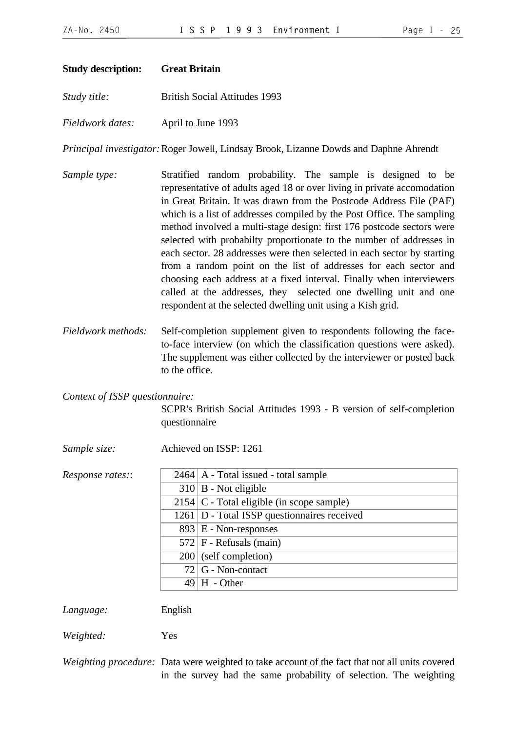<span id="page-24-0"></span>

| <b>Study description:</b>      | <b>Great Britain</b>                                                                                                                                                                                                                                                                                                                                                                                                                                                                                                                                                                                                                                                                                                                                                                               |
|--------------------------------|----------------------------------------------------------------------------------------------------------------------------------------------------------------------------------------------------------------------------------------------------------------------------------------------------------------------------------------------------------------------------------------------------------------------------------------------------------------------------------------------------------------------------------------------------------------------------------------------------------------------------------------------------------------------------------------------------------------------------------------------------------------------------------------------------|
| Study title:                   | <b>British Social Attitudes 1993</b>                                                                                                                                                                                                                                                                                                                                                                                                                                                                                                                                                                                                                                                                                                                                                               |
| Fieldwork dates:               | April to June 1993                                                                                                                                                                                                                                                                                                                                                                                                                                                                                                                                                                                                                                                                                                                                                                                 |
|                                | Principal investigator: Roger Jowell, Lindsay Brook, Lizanne Dowds and Daphne Ahrendt                                                                                                                                                                                                                                                                                                                                                                                                                                                                                                                                                                                                                                                                                                              |
| Sample type:                   | Stratified random probability. The sample is designed to be<br>representative of adults aged 18 or over living in private accomodation<br>in Great Britain. It was drawn from the Postcode Address File (PAF)<br>which is a list of addresses compiled by the Post Office. The sampling<br>method involved a multi-stage design: first 176 postcode sectors were<br>selected with probabilty proportionate to the number of addresses in<br>each sector. 28 addresses were then selected in each sector by starting<br>from a random point on the list of addresses for each sector and<br>choosing each address at a fixed interval. Finally when interviewers<br>called at the addresses, they selected one dwelling unit and one<br>respondent at the selected dwelling unit using a Kish grid. |
| Fieldwork methods:             | Self-completion supplement given to respondents following the face-<br>to-face interview (on which the classification questions were asked).<br>The supplement was either collected by the interviewer or posted back<br>to the office.                                                                                                                                                                                                                                                                                                                                                                                                                                                                                                                                                            |
| Context of ISSP questionnaire: |                                                                                                                                                                                                                                                                                                                                                                                                                                                                                                                                                                                                                                                                                                                                                                                                    |
|                                | SCPR's British Social Attitudes 1993 - B version of self-completion<br>questionnaire                                                                                                                                                                                                                                                                                                                                                                                                                                                                                                                                                                                                                                                                                                               |
| Sample size:                   | Achieved on ISSP: 1261                                                                                                                                                                                                                                                                                                                                                                                                                                                                                                                                                                                                                                                                                                                                                                             |
| Response rates::               | $2464$   A - Total issued - total sample                                                                                                                                                                                                                                                                                                                                                                                                                                                                                                                                                                                                                                                                                                                                                           |
|                                | $310 \mid B$ - Not eligible                                                                                                                                                                                                                                                                                                                                                                                                                                                                                                                                                                                                                                                                                                                                                                        |
|                                | $2154$ C - Total eligible (in scope sample)                                                                                                                                                                                                                                                                                                                                                                                                                                                                                                                                                                                                                                                                                                                                                        |
|                                | 1261   D - Total ISSP questionnaires received                                                                                                                                                                                                                                                                                                                                                                                                                                                                                                                                                                                                                                                                                                                                                      |
|                                | $893 \mid E$ - Non-responses                                                                                                                                                                                                                                                                                                                                                                                                                                                                                                                                                                                                                                                                                                                                                                       |
|                                | $572$ F - Refusals (main)                                                                                                                                                                                                                                                                                                                                                                                                                                                                                                                                                                                                                                                                                                                                                                          |
|                                | $200$ (self completion)                                                                                                                                                                                                                                                                                                                                                                                                                                                                                                                                                                                                                                                                                                                                                                            |
|                                | G - Non-contact<br>72                                                                                                                                                                                                                                                                                                                                                                                                                                                                                                                                                                                                                                                                                                                                                                              |
|                                | $49 \vert H$ - Other                                                                                                                                                                                                                                                                                                                                                                                                                                                                                                                                                                                                                                                                                                                                                                               |
| Language:                      | English                                                                                                                                                                                                                                                                                                                                                                                                                                                                                                                                                                                                                                                                                                                                                                                            |

*Weighted:* Yes

*Weighting procedure:* Data were weighted to take account of the fact that not all units covered in the survey had the same probability of selection. The weighting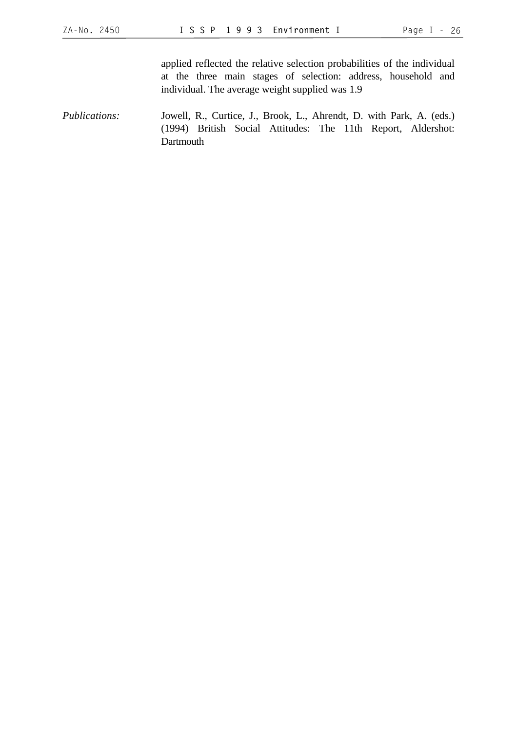applied reflected the relative selection probabilities of the individual at the three main stages of selection: address, household and individual. The average weight supplied was 1.9

*Publications:* Jowell, R., Curtice, J., Brook, L., Ahrendt, D. with Park, A. (eds.) (1994) British Social Attitudes: The 11th Report, Aldershot: **Dartmouth**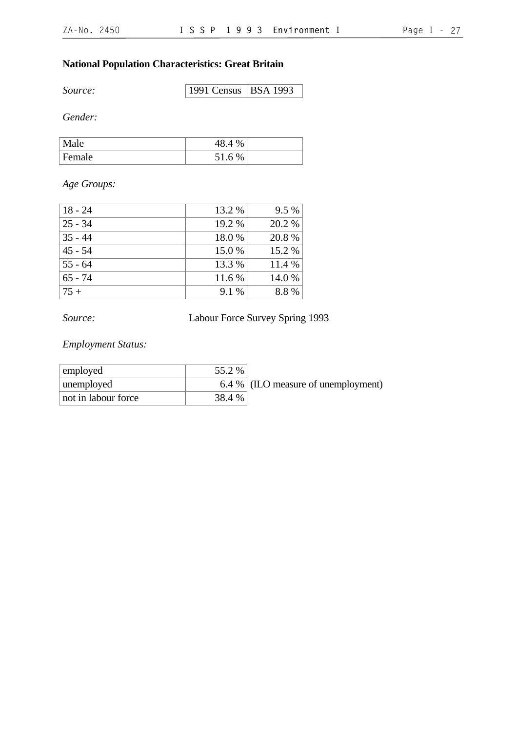# **National Population Characteristics: Great Britain**

*Source:* 1991 Census BSA 1993

*Gender:*

| ചല     | %                    |  |
|--------|----------------------|--|
| Female | 51<br>%<br>h<br>JI.U |  |

# *Age Groups:*

| $18 - 24$ | 13.2 % | $9.5\%$ |
|-----------|--------|---------|
| $25 - 34$ | 19.2 % | 20.2 %  |
| $35 - 44$ | 18.0%  | 20.8%   |
| $45 - 54$ | 15.0 % | 15.2 %  |
| $55 - 64$ | 13.3 % | 11.4 %  |
| $65 - 74$ | 11.6 % | 14.0 %  |
| $75+$     | 9.1 %  | 8.8%    |

*Source:* Labour Force Survey Spring 1993

*Employment Status:*

| employed            | 55.2 % |                                     |
|---------------------|--------|-------------------------------------|
| unemployed          |        | 6.4 % (ILO measure of unemployment) |
| not in labour force | 38.4 % |                                     |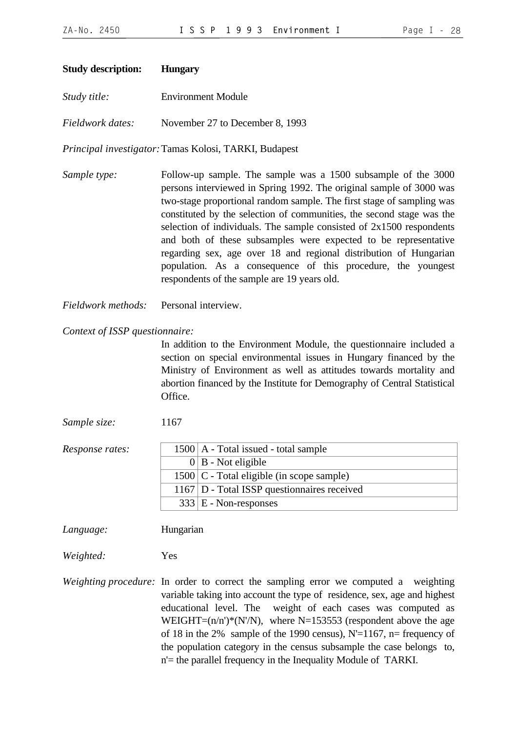<span id="page-27-0"></span>

|  | <b>Hungary</b> | <b>Study description:</b> |
|--|----------------|---------------------------|
|--|----------------|---------------------------|

*Study title:* Environment Module

*Fieldwork dates:* November 27 to December 8, 1993

*Principal investigator:*Tamas Kolosi, TARKI, Budapest

- *Sample type:* Follow-up sample. The sample was a 1500 subsample of the 3000 persons interviewed in Spring 1992. The original sample of 3000 was two-stage proportional random sample. The first stage of sampling was constituted by the selection of communities, the second stage was the selection of individuals. The sample consisted of 2x1500 respondents and both of these subsamples were expected to be representative regarding sex, age over 18 and regional distribution of Hungarian population. As a consequence of this procedure, the youngest respondents of the sample are 19 years old.
- *Fieldwork methods:* Personal interview.

#### *Context of ISSP questionnaire:*

In addition to the Environment Module, the questionnaire included a section on special environmental issues in Hungary financed by the Ministry of Environment as well as attitudes towards mortality and abortion financed by the Institute for Demography of Central Statistical Office.

*Sample size:* 1167

| Response rates: | $1500$   A - Total issued - total sample       |
|-----------------|------------------------------------------------|
|                 | $0 \mid B$ - Not eligible                      |
|                 | $1500$ C - Total eligible (in scope sample)    |
|                 | $1167$ D - Total ISSP question naires received |
|                 | $333 \mid E$ - Non-responses                   |

*Language:* Hungarian

*Weighted:* Yes

*Weighting procedure:* In order to correct the sampling error we computed a weighting variable taking into account the type of residence, sex, age and highest educational level. The weight of each cases was computed as WEIGHT= $(n/n')^*(N'/N)$ , where N=153553 (respondent above the age of 18 in the 2% sample of the 1990 census),  $N'=1167$ , n= frequency of the population category in the census subsample the case belongs to, n'= the parallel frequency in the Inequality Module of TARKI.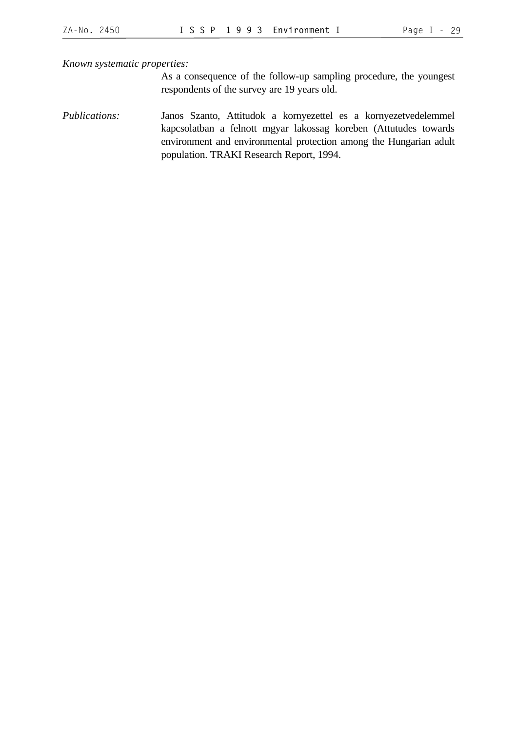*Known systematic properties:*

As a consequence of the follow-up sampling procedure, the youngest respondents of the survey are 19 years old.

*Publications:* Janos Szanto, Attitudok a kornyezettel es a kornyezetvedelemmel kapcsolatban a felnott mgyar lakossag koreben (Attutudes towards environment and environmental protection among the Hungarian adult population. TRAKI Research Report, 1994.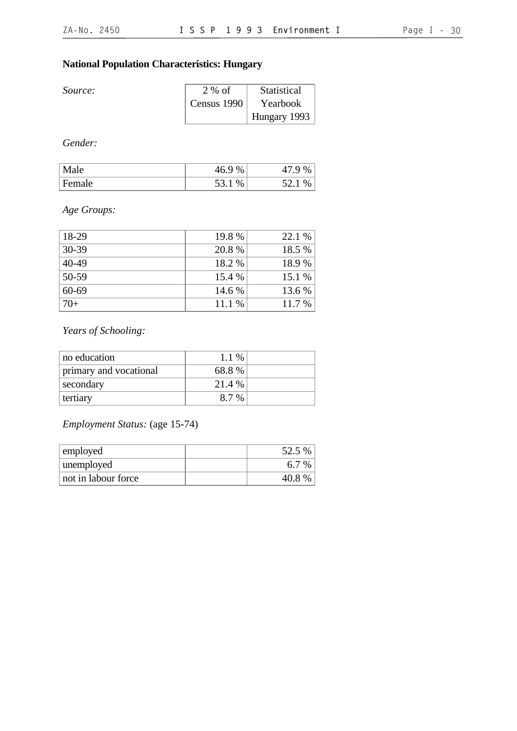# **National Population Characteristics: Hungary**

| <i>Source:</i> | 2 % of        | Statistical  |
|----------------|---------------|--------------|
|                | Census $1990$ | Yearbook     |
|                |               | Hungary 1993 |

*Gender:*

| Male   | 16 Q<br>$\%$        | %        |
|--------|---------------------|----------|
| Female | 53.<br>$\%$<br>JJ.I | %<br>JZ. |

# *Age Groups:*

| 18-29     | 19.8%  | 22.1 % |
|-----------|--------|--------|
| $30 - 39$ | 20.8 % | 18.5 % |
| $40-49$   | 18.2 % | 18.9%  |
| 50-59     | 15.4 % | 15.1 % |
|           |        |        |
| $60 - 69$ | 14.6 % | 13.6 % |
| $70+$     | 11.1 % | 11.7 % |

# *Years of Schooling:*

| no education           | $1.1\%$ |  |
|------------------------|---------|--|
| primary and vocational | 68.8 %  |  |
| secondary              | 21.4 %  |  |
| tertiary               | 8.7%    |  |

# *Employment Status:* (age 15-74)

| employed            | 52.5 %   |
|---------------------|----------|
| unemployed          | 6.7 %    |
| not in labour force | 40.8 $%$ |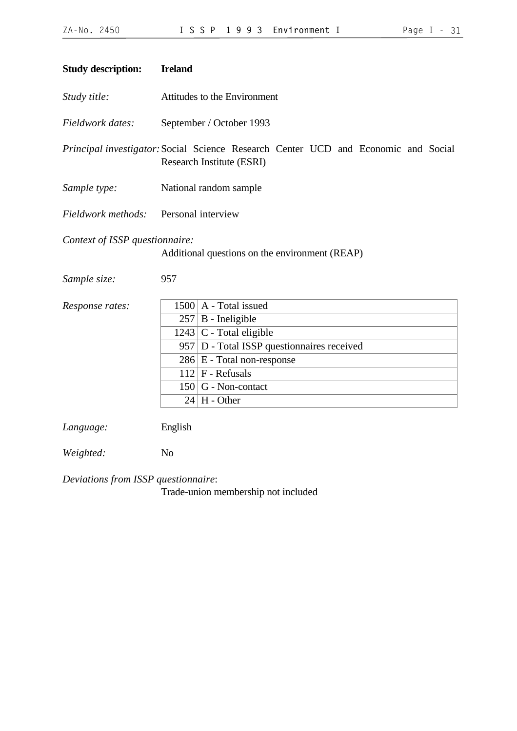<span id="page-30-0"></span>

| <b>Study description:</b>      | <b>Ireland</b> |                                                                                                                 |
|--------------------------------|----------------|-----------------------------------------------------------------------------------------------------------------|
| Study title:                   |                | Attitudes to the Environment                                                                                    |
| Fieldwork dates:               |                | September / October 1993                                                                                        |
|                                |                | Principal investigator: Social Science Research Center UCD and Economic and Social<br>Research Institute (ESRI) |
| Sample type:                   |                | National random sample                                                                                          |
| Fieldwork methods:             |                | Personal interview                                                                                              |
| Context of ISSP questionnaire: |                | Additional questions on the environment (REAP)                                                                  |
| Sample size:                   | 957            |                                                                                                                 |
| Response rates:                |                | $1500$   A - Total issued                                                                                       |
|                                |                | $257$ B - Ineligible                                                                                            |
|                                |                | $1243$ C - Total eligible                                                                                       |
|                                |                | 957 D - Total ISSP questionnaires received                                                                      |
|                                |                | $286 \mid E$ - Total non-response                                                                               |
|                                |                | $112$ F - Refusals                                                                                              |
|                                |                | $150$ G - Non-contact                                                                                           |
|                                |                | $24$   H - Other                                                                                                |
| Language:                      | English        |                                                                                                                 |
| Weighted:                      | N <sub>o</sub> |                                                                                                                 |

*Deviations from ISSP questionnaire*:

Trade-union membership not included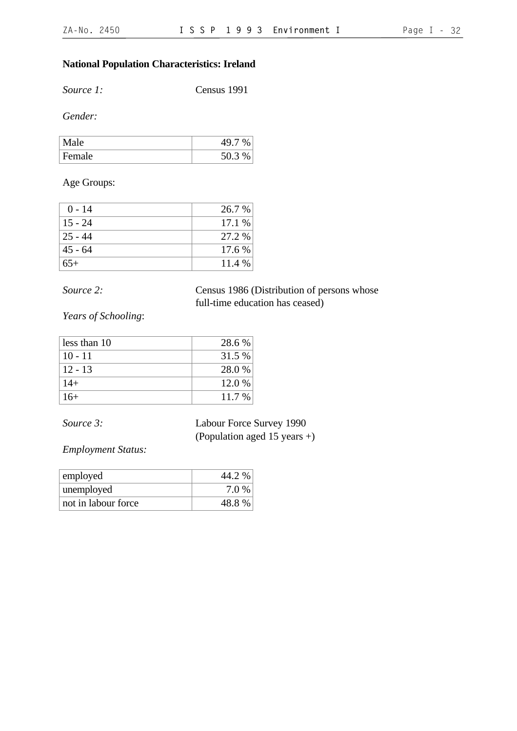# **National Population Characteristics: Ireland**

*Source 1:* Census 1991

*Gender:*

| Male   |        |
|--------|--------|
| Female | 50.3 % |

Age Groups:

| $0 - 14$  | 26.7 % |
|-----------|--------|
| $15 - 24$ | 17.1 % |
| $25 - 44$ | 27.2 % |
| $45 - 64$ | 17.6 % |
| $65+$     | 11.4%  |

*Source 2:* Census 1986 (Distribution of persons whose full-time education has ceased)

*Years of Schooling*:

| less than 10 | 28.6 % |
|--------------|--------|
| $10 - 11$    | 31.5 % |
| $12 - 13$    | 28.0%  |
| $14+$        | 12.0 % |
| $16+$        | 11.7 % |

*Source 3:* Labour Force Survey 1990 (Population aged 15 years +)

*Employment Status:*

| employed            | 44.2 % |
|---------------------|--------|
| unemployed          | 7.0 %  |
| not in labour force | 48.8%  |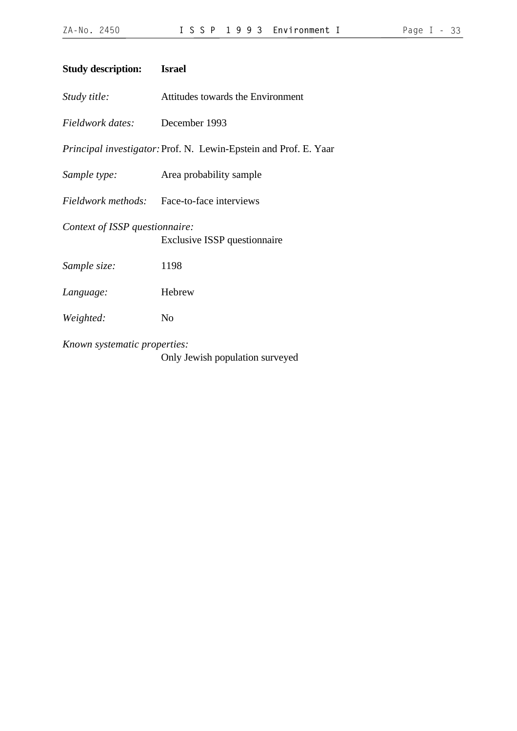| Page |  |  |
|------|--|--|
|      |  |  |

<span id="page-32-0"></span>

| <b>Study description:</b>      | <b>Israel</b>                                                    |
|--------------------------------|------------------------------------------------------------------|
| Study title:                   | Attitudes towards the Environment                                |
| Fieldwork dates: December 1993 |                                                                  |
|                                | Principal investigator: Prof. N. Lewin-Epstein and Prof. E. Yaar |
| Sample type:                   | Area probability sample                                          |
|                                | Fieldwork methods: Face-to-face interviews                       |
| Context of ISSP questionnaire: | <b>Exclusive ISSP</b> questionnaire                              |
| Sample size:                   | 1198                                                             |
| Language:                      | Hebrew                                                           |
| Weighted:                      | N <sub>0</sub>                                                   |
| Known systematic properties:   | Only Jewish population surveyed                                  |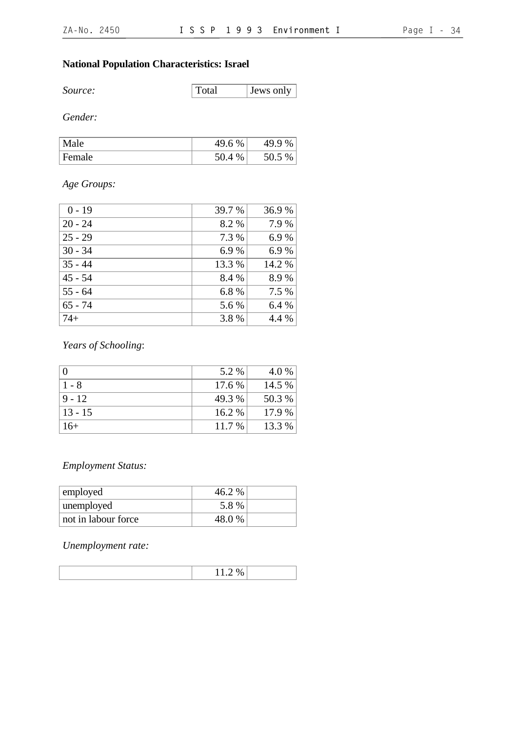# **National Population Characteristics: Israel**

*Source:* Total Jews only

*Gender:*

| N.<br>م1ہ∙ | 4Q.<br>%<br>19.0 | $\sqrt{2}$<br>$\%$<br>u<br>49.5 |
|------------|------------------|---------------------------------|
| Female     | %                | $\%$<br>JU.J                    |

# *Age Groups:*

| $0 - 19$  | 39.7 % | 36.9%  |
|-----------|--------|--------|
| $20 - 24$ | 8.2 %  | 7.9%   |
| $25 - 29$ | 7.3 %  | 6.9%   |
| $30 - 34$ | 6.9%   | 6.9%   |
| $35 - 44$ | 13.3 % | 14.2 % |
| $45 - 54$ | 8.4 %  | 8.9%   |
| $55 - 64$ | 6.8%   | 7.5 %  |
| $65 - 74$ | 5.6 %  | 6.4 %  |
| $74+$     | 3.8%   | 4.4 %  |

# *Years of Schooling*:

| $\overline{0}$ | 5.2 %    | 4.0 %  |
|----------------|----------|--------|
| $1 - 8$        | 17.6 %   | 14.5 % |
| $9 - 12$       | 49.3 %   | 50.3 % |
| $13 - 15$      | $16.2\%$ | 17.9 % |
| $16+$          | 11.7 %   | 13.3 % |

# *Employment Status:*

| employed            | 46.2 % |  |
|---------------------|--------|--|
| unemployed          | 5.8 %  |  |
| not in labour force | 48.0%  |  |

*Unemployment rate:*

| $\sim$<br> |  |
|------------|--|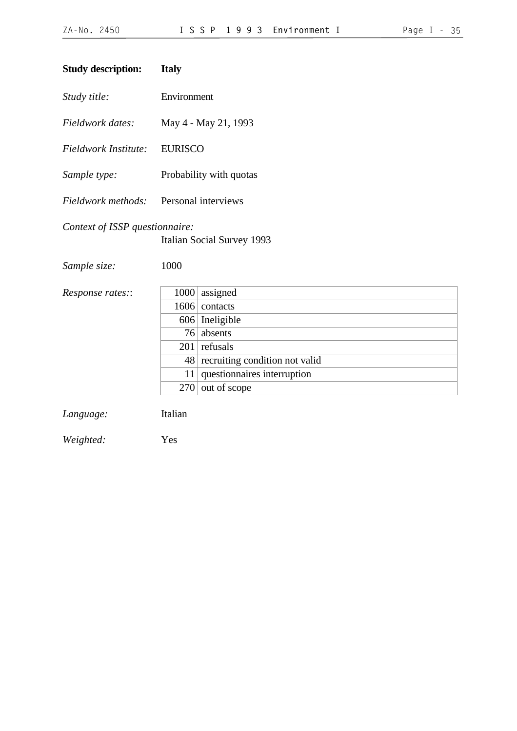<span id="page-34-0"></span>

| <b>Study description:</b>      | <b>Italy</b>        |                                |  |
|--------------------------------|---------------------|--------------------------------|--|
| Study title:                   | Environment         |                                |  |
| Fieldwork dates:               |                     | May 4 - May 21, 1993           |  |
| Fieldwork Institute:           | <b>EURISCO</b>      |                                |  |
| Sample type:                   |                     | Probability with quotas        |  |
| Fieldwork methods:             | Personal interviews |                                |  |
| Context of ISSP questionnaire: |                     | Italian Social Survey 1993     |  |
| Sample size:                   | 1000                |                                |  |
| Response rates::               | 1000                | assigned                       |  |
|                                | 1606                | contacts                       |  |
|                                | 606                 | Ineligible                     |  |
|                                | 76                  | absents                        |  |
|                                | 201                 | refusals                       |  |
|                                | 48                  | recruiting condition not valid |  |
|                                | 11                  | questionnaires interruption    |  |
|                                | 270                 | out of scope                   |  |
| Language:                      | Italian             |                                |  |
| Weighted:                      | Yes                 |                                |  |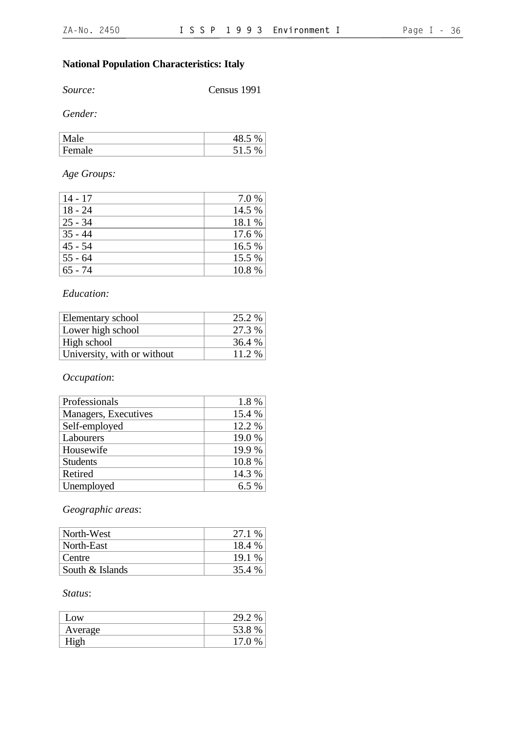# **National Population Characteristics: Italy**

*Source:* Census 1991

*Gender:*

| $\Delta$      | $\sim$<br>⊤∪. |
|---------------|---------------|
| le<br>.<br>г. | - 1<br>ن .    |

# *Age Groups:*

| $14 - 17$ | 7.0 %  |
|-----------|--------|
| $18 - 24$ | 14.5 % |
| $25 - 34$ | 18.1 % |
| $35 - 44$ | 17.6 % |
| $45 - 54$ | 16.5 % |
| $55 - 64$ | 15.5 % |
| $65 - 74$ | 10.8%  |

### *Education:*

| Elementary school           | 25.2 % |
|-----------------------------|--------|
| Lower high school           | 27.3 % |
| High school                 | 36.4 % |
| University, with or without | 11.2 % |

# *Occupation*:

| Professionals        | 1.8%   |
|----------------------|--------|
| Managers, Executives | 15.4 % |
| Self-employed        | 12.2 % |
| Labourers            | 19.0 % |
| Housewife            | 19.9 % |
| <b>Students</b>      | 10.8%  |
| Retired              | 14.3 % |
| Unemployed           | 6.5%   |

# *Geographic areas*:

| North-West      | 27.1 % |
|-----------------|--------|
| North-East      | 18.4 % |
| Centre          | 19.1 % |
| South & Islands | 35.4 % |

#### *Status*:

| Low     | 29.2 |
|---------|------|
| Average | 53.8 |
| High    | 17 በ |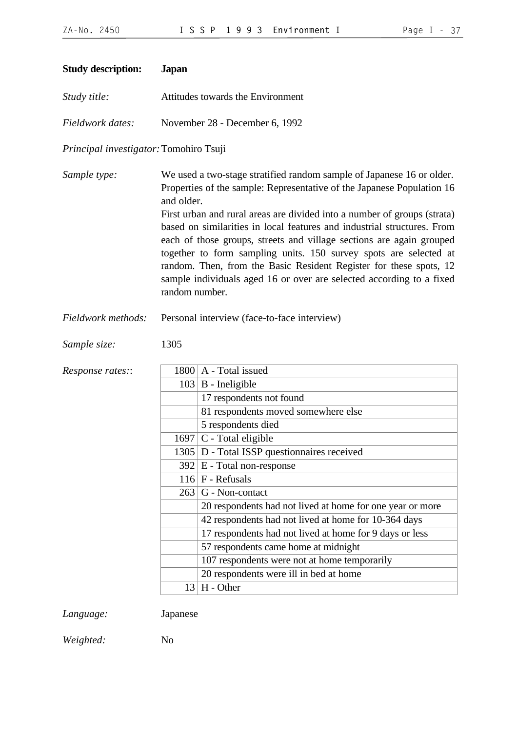| <b>Study description:</b>              | <b>Japan</b>                      |                                                                                                                                                                                                                                                                                                                                                                                                                                                                                                                                                                                                   |  |  |
|----------------------------------------|-----------------------------------|---------------------------------------------------------------------------------------------------------------------------------------------------------------------------------------------------------------------------------------------------------------------------------------------------------------------------------------------------------------------------------------------------------------------------------------------------------------------------------------------------------------------------------------------------------------------------------------------------|--|--|
| Study title:                           | Attitudes towards the Environment |                                                                                                                                                                                                                                                                                                                                                                                                                                                                                                                                                                                                   |  |  |
| Fieldwork dates:                       |                                   | November 28 - December 6, 1992                                                                                                                                                                                                                                                                                                                                                                                                                                                                                                                                                                    |  |  |
| Principal investigator: Tomohiro Tsuji |                                   |                                                                                                                                                                                                                                                                                                                                                                                                                                                                                                                                                                                                   |  |  |
| Sample type:                           | and older.<br>random number.      | We used a two-stage stratified random sample of Japanese 16 or older.<br>Properties of the sample: Representative of the Japanese Population 16<br>First urban and rural areas are divided into a number of groups (strata)<br>based on similarities in local features and industrial structures. From<br>each of those groups, streets and village sections are again grouped<br>together to form sampling units. 150 survey spots are selected at<br>random. Then, from the Basic Resident Register for these spots, 12<br>sample individuals aged 16 or over are selected according to a fixed |  |  |
| Fieldwork methods:                     |                                   | Personal interview (face-to-face interview)                                                                                                                                                                                                                                                                                                                                                                                                                                                                                                                                                       |  |  |
| Sample size:                           | 1305                              |                                                                                                                                                                                                                                                                                                                                                                                                                                                                                                                                                                                                   |  |  |
| Response rates::                       |                                   | $1800$   A - Total issued                                                                                                                                                                                                                                                                                                                                                                                                                                                                                                                                                                         |  |  |
|                                        |                                   | $103$ B - Ineligible                                                                                                                                                                                                                                                                                                                                                                                                                                                                                                                                                                              |  |  |
|                                        |                                   | 17 respondents not found                                                                                                                                                                                                                                                                                                                                                                                                                                                                                                                                                                          |  |  |
|                                        |                                   | 81 respondents moved somewhere else                                                                                                                                                                                                                                                                                                                                                                                                                                                                                                                                                               |  |  |
|                                        |                                   | 5 respondents died                                                                                                                                                                                                                                                                                                                                                                                                                                                                                                                                                                                |  |  |
|                                        |                                   | $1697$ C - Total eligible                                                                                                                                                                                                                                                                                                                                                                                                                                                                                                                                                                         |  |  |
|                                        |                                   | 1305 D - Total ISSP questionnaires received                                                                                                                                                                                                                                                                                                                                                                                                                                                                                                                                                       |  |  |
|                                        |                                   | $392 \mid E$ - Total non-response                                                                                                                                                                                                                                                                                                                                                                                                                                                                                                                                                                 |  |  |
|                                        |                                   | $116$ F - Refusals                                                                                                                                                                                                                                                                                                                                                                                                                                                                                                                                                                                |  |  |
|                                        |                                   | $263$ G - Non-contact                                                                                                                                                                                                                                                                                                                                                                                                                                                                                                                                                                             |  |  |
|                                        |                                   | 20 respondents had not lived at home for one year or more                                                                                                                                                                                                                                                                                                                                                                                                                                                                                                                                         |  |  |
|                                        |                                   | 42 respondents had not lived at home for 10-364 days                                                                                                                                                                                                                                                                                                                                                                                                                                                                                                                                              |  |  |
|                                        |                                   | 17 respondents had not lived at home for 9 days or less                                                                                                                                                                                                                                                                                                                                                                                                                                                                                                                                           |  |  |
|                                        |                                   | 57 respondents came home at midnight                                                                                                                                                                                                                                                                                                                                                                                                                                                                                                                                                              |  |  |
|                                        |                                   | 107 respondents were not at home temporarily                                                                                                                                                                                                                                                                                                                                                                                                                                                                                                                                                      |  |  |
|                                        |                                   | 20 respondents were ill in bed at home                                                                                                                                                                                                                                                                                                                                                                                                                                                                                                                                                            |  |  |
|                                        | 13                                | H - Other                                                                                                                                                                                                                                                                                                                                                                                                                                                                                                                                                                                         |  |  |
|                                        |                                   |                                                                                                                                                                                                                                                                                                                                                                                                                                                                                                                                                                                                   |  |  |
|                                        |                                   |                                                                                                                                                                                                                                                                                                                                                                                                                                                                                                                                                                                                   |  |  |

*Language:* Japanese

*Weighted:* No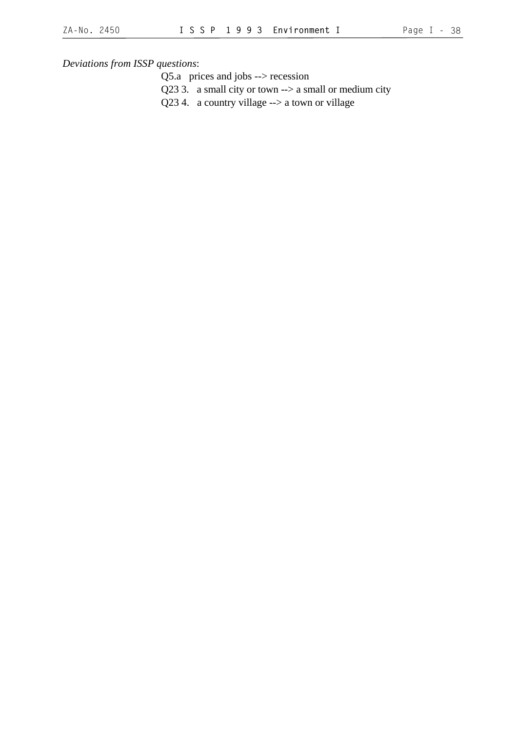*Deviations from ISSP questions*:

Q5.a prices and jobs --> recession

- Q23 3. a small city or town --> a small or medium city
- Q23 4. a country village --> a town or village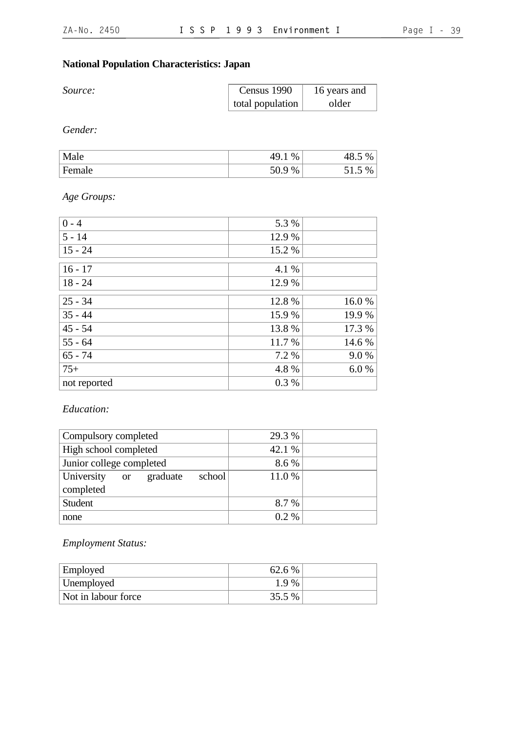# **National Population Characteristics: Japan**

| Source: | Census 1990      | 16 years and |
|---------|------------------|--------------|
|         | total population | older        |

*Gender:*

| Male   | 49<br>%<br>1 J . L     | $\%$<br>TU.J        |
|--------|------------------------|---------------------|
| Female | ه ه-<br>%<br>◡<br>JV.J | $\%$<br><u>JI.J</u> |

*Age Groups:*

| $0 - 4$      | 5.3 %  |        |
|--------------|--------|--------|
| $5 - 14$     | 12.9 % |        |
| $15 - 24$    | 15.2 % |        |
| $16 - 17$    | 4.1 %  |        |
| $18 - 24$    | 12.9 % |        |
| $25 - 34$    | 12.8 % | 16.0%  |
| $35 - 44$    | 15.9 % | 19.9 % |
| $45 - 54$    | 13.8 % | 17.3 % |
| $55 - 64$    | 11.7 % | 14.6 % |
| $65 - 74$    | 7.2 %  | 9.0%   |
| $75+$        | 4.8%   | 6.0%   |
| not reported | 0.3%   |        |

*Education:*

| Compulsory completed     |               |          | 29.3 % |         |  |
|--------------------------|---------------|----------|--------|---------|--|
| High school completed    |               |          | 42.1 % |         |  |
| Junior college completed |               |          | 8.6 %  |         |  |
| University               | <sub>or</sub> | graduate | school | 11.0%   |  |
| completed                |               |          |        |         |  |
| Student                  |               |          |        | 8.7 %   |  |
| none                     |               |          |        | $0.2\%$ |  |

*Employment Status:*

| <b>Employed</b>     | 62.6 % |  |
|---------------------|--------|--|
| Unemployed          | 1.9 %  |  |
| Not in labour force | 35.5 % |  |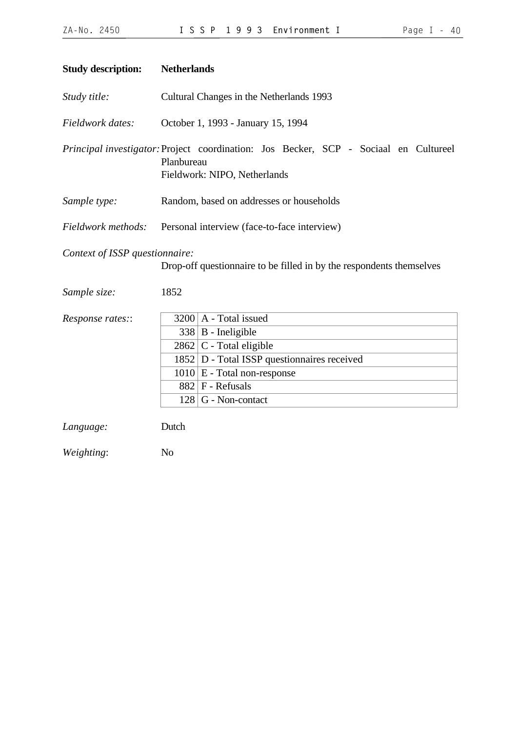| <b>Study description:</b>                      | <b>Netherlands</b>                                                                                                                 |
|------------------------------------------------|------------------------------------------------------------------------------------------------------------------------------------|
| Study title:                                   | Cultural Changes in the Netherlands 1993                                                                                           |
| Fieldwork dates:                               | October 1, 1993 - January 15, 1994                                                                                                 |
|                                                | Principal investigator: Project coordination: Jos Becker, SCP - Sociaal en Cultureel<br>Planbureau<br>Fieldwork: NIPO, Netherlands |
| Sample type:                                   | Random, based on addresses or households                                                                                           |
| Fieldwork methods:                             | Personal interview (face-to-face interview)                                                                                        |
| Context of ISSP questionnaire:<br>Sample size: | Drop-off questionnaire to be filled in by the respondents themselves<br>1852                                                       |
|                                                |                                                                                                                                    |
| Response rates::                               | $3200$   A - Total issued                                                                                                          |
|                                                | $338$ B - Ineligible                                                                                                               |
|                                                | $2862$ C - Total eligible                                                                                                          |
|                                                | $1852$ D - Total ISSP question naires received                                                                                     |
|                                                | $1010 \mid E$ - Total non-response<br>$882$ F - Refusals                                                                           |
|                                                | $128 \mid G$ - Non-contact                                                                                                         |
|                                                |                                                                                                                                    |
| Language:                                      | Dutch                                                                                                                              |
| Weighting:                                     | N <sub>o</sub>                                                                                                                     |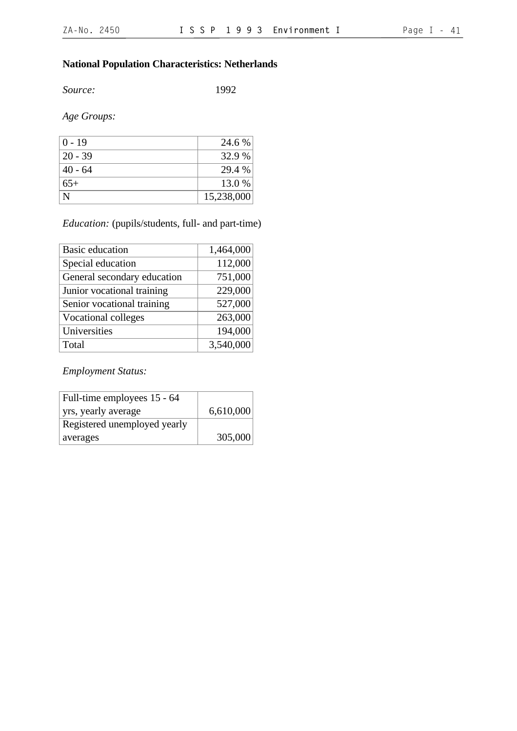# **National Population Characteristics: Netherlands**

*Source:* 1992

*Age Groups:*

| $0 - 19$  | 24.6 %     |
|-----------|------------|
| $20 - 39$ | 32.9 %     |
| $40 - 64$ | 29.4 %     |
| $65+$     | 13.0 %     |
| N         | 15,238,000 |

## *Education:* (pupils/students, full- and part-time)

| <b>Basic education</b>      | 1,464,000 |
|-----------------------------|-----------|
| Special education           | 112,000   |
| General secondary education | 751,000   |
| Junior vocational training  | 229,000   |
| Senior vocational training  | 527,000   |
| <b>Vocational colleges</b>  | 263,000   |
| Universities                | 194,000   |
| Total                       | 3,540,000 |

*Employment Status:*

| Full-time employees 15 - 64  |           |
|------------------------------|-----------|
| yrs, yearly average          | 6,610,000 |
| Registered unemployed yearly |           |
| averages                     | 305,000   |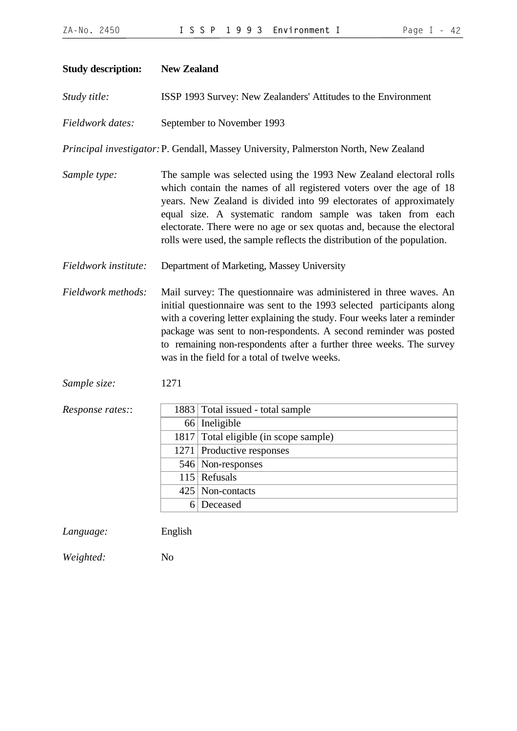| <b>Study description:</b> | <b>New Zealand</b>                                                                                                                                                                                                                                                                                                                                                                                                                  |                                                                                                                                                                                                                                                                                                                                                                                                                        |  |
|---------------------------|-------------------------------------------------------------------------------------------------------------------------------------------------------------------------------------------------------------------------------------------------------------------------------------------------------------------------------------------------------------------------------------------------------------------------------------|------------------------------------------------------------------------------------------------------------------------------------------------------------------------------------------------------------------------------------------------------------------------------------------------------------------------------------------------------------------------------------------------------------------------|--|
| Study title:              | ISSP 1993 Survey: New Zealanders' Attitudes to the Environment                                                                                                                                                                                                                                                                                                                                                                      |                                                                                                                                                                                                                                                                                                                                                                                                                        |  |
| Fieldwork dates:          |                                                                                                                                                                                                                                                                                                                                                                                                                                     | September to November 1993                                                                                                                                                                                                                                                                                                                                                                                             |  |
|                           |                                                                                                                                                                                                                                                                                                                                                                                                                                     | Principal investigator: P. Gendall, Massey University, Palmerston North, New Zealand                                                                                                                                                                                                                                                                                                                                   |  |
| Sample type:              | The sample was selected using the 1993 New Zealand electoral rolls<br>which contain the names of all registered voters over the age of 18<br>years. New Zealand is divided into 99 electorates of approximately<br>equal size. A systematic random sample was taken from each<br>electorate. There were no age or sex quotas and, because the electoral<br>rolls were used, the sample reflects the distribution of the population. |                                                                                                                                                                                                                                                                                                                                                                                                                        |  |
| Fieldwork institute:      |                                                                                                                                                                                                                                                                                                                                                                                                                                     | Department of Marketing, Massey University                                                                                                                                                                                                                                                                                                                                                                             |  |
| Fieldwork methods:        |                                                                                                                                                                                                                                                                                                                                                                                                                                     | Mail survey: The questionnaire was administered in three waves. An<br>initial questionnaire was sent to the 1993 selected participants along<br>with a covering letter explaining the study. Four weeks later a reminder<br>package was sent to non-respondents. A second reminder was posted<br>to remaining non-respondents after a further three weeks. The survey<br>was in the field for a total of twelve weeks. |  |
| Sample size:              | 1271                                                                                                                                                                                                                                                                                                                                                                                                                                |                                                                                                                                                                                                                                                                                                                                                                                                                        |  |
| Response rates::          | 66<br>1817<br>1271<br>6                                                                                                                                                                                                                                                                                                                                                                                                             | 1883 Total issued - total sample<br>Ineligible<br>Total eligible (in scope sample)<br>Productive responses<br>546 Non-responses<br>$115$ Refusals<br>425   Non-contacts<br>Deceased                                                                                                                                                                                                                                    |  |
| Language:                 | English                                                                                                                                                                                                                                                                                                                                                                                                                             |                                                                                                                                                                                                                                                                                                                                                                                                                        |  |

*Weighted:* No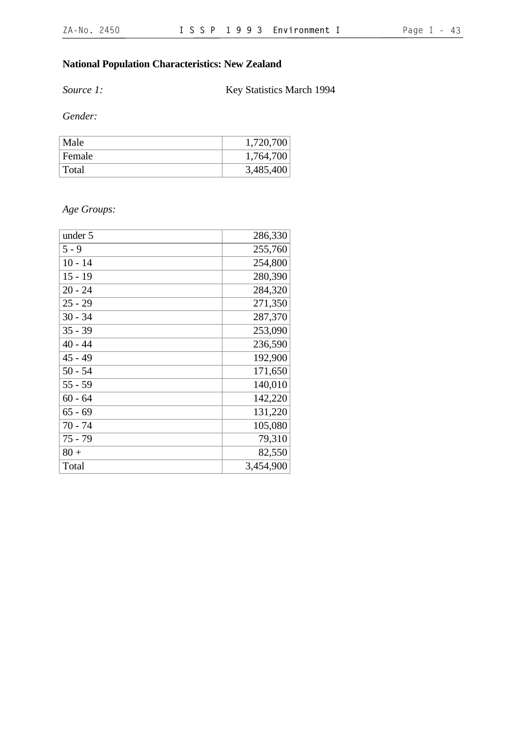# **National Population Characteristics: New Zealand**

**Source 1:** Key Statistics March 1994

*Gender:*

| Male   | 1,720,700 |
|--------|-----------|
| Female | 1,764,700 |
| Total  | 3,485,400 |

# *Age Groups:*

| under 5   | 286,330   |
|-----------|-----------|
| $5 - 9$   | 255,760   |
| $10 - 14$ | 254,800   |
| $15 - 19$ | 280,390   |
| $20 - 24$ | 284,320   |
| $25 - 29$ | 271,350   |
| $30 - 34$ | 287,370   |
| $35 - 39$ | 253,090   |
| $40 - 44$ | 236,590   |
| $45 - 49$ | 192,900   |
| $50 - 54$ | 171,650   |
| $55 - 59$ | 140,010   |
| $60 - 64$ | 142,220   |
| $65 - 69$ | 131,220   |
| $70 - 74$ | 105,080   |
| $75 - 79$ | 79,310    |
| $80 +$    | 82,550    |
| Total     | 3,454,900 |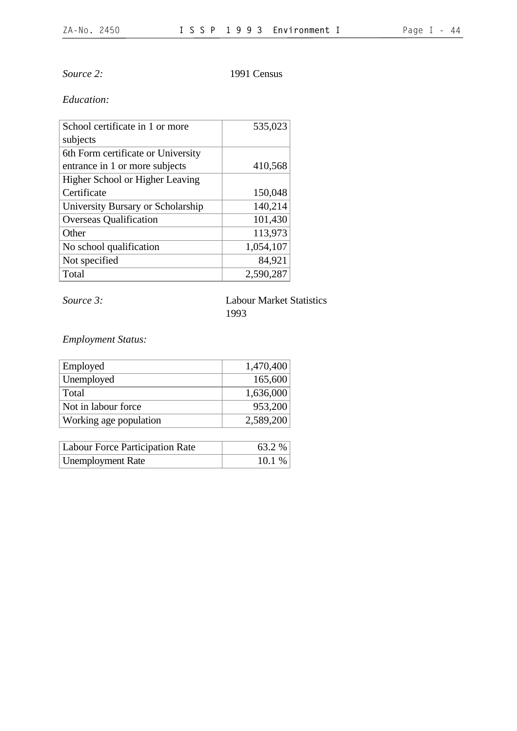*Source 2:* 1991 Census

## *Education:*

| School certificate in 1 or more    | 535,023   |
|------------------------------------|-----------|
| subjects                           |           |
| 6th Form certificate or University |           |
| entrance in 1 or more subjects     | 410,568   |
| Higher School or Higher Leaving    |           |
| Certificate                        | 150,048   |
| University Bursary or Scholarship  | 140,214   |
| <b>Overseas Qualification</b>      | 101,430   |
| Other                              | 113,973   |
| No school qualification            | 1,054,107 |
| Not specified                      | 84,921    |
| Total                              | 2,590,287 |

*Source 3:* Labour Market Statistics 1993

*Employment Status:*

| Employed               | 1,470,400 |
|------------------------|-----------|
| Unemployed             | 165,600   |
| Total                  | 1,636,000 |
| Not in labour force    | 953,200   |
| Working age population | 2,589,200 |

| <b>Labour Force Participation Rate</b> | 63.2 % |
|----------------------------------------|--------|
| <b>Unemployment Rate</b>               | 10.1%  |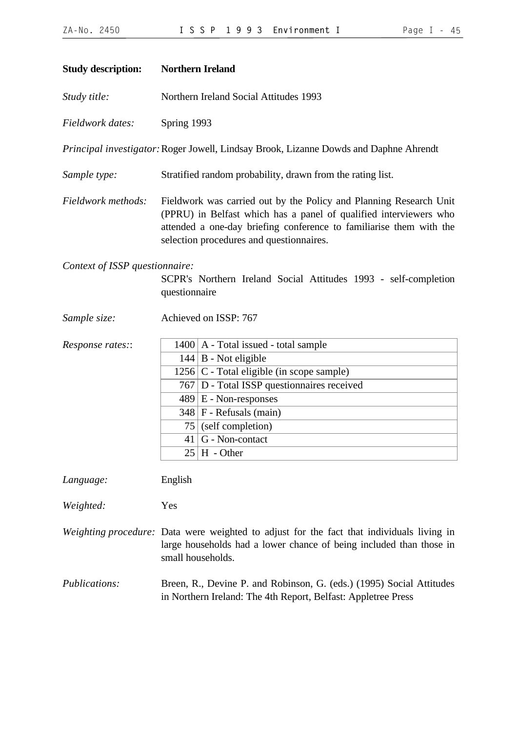| <b>Study description:</b>                                                                                          | <b>Northern Ireland</b>                                                                                                                                                                                                                                    |                                                                                                                                                                                                                                                                                               |  |
|--------------------------------------------------------------------------------------------------------------------|------------------------------------------------------------------------------------------------------------------------------------------------------------------------------------------------------------------------------------------------------------|-----------------------------------------------------------------------------------------------------------------------------------------------------------------------------------------------------------------------------------------------------------------------------------------------|--|
| Study title:                                                                                                       | Northern Ireland Social Attitudes 1993                                                                                                                                                                                                                     |                                                                                                                                                                                                                                                                                               |  |
| Fieldwork dates:                                                                                                   | Spring 1993                                                                                                                                                                                                                                                |                                                                                                                                                                                                                                                                                               |  |
| Principal investigator: Roger Jowell, Lindsay Brook, Lizanne Dowds and Daphne Ahrendt                              |                                                                                                                                                                                                                                                            |                                                                                                                                                                                                                                                                                               |  |
| Sample type:                                                                                                       | Stratified random probability, drawn from the rating list.                                                                                                                                                                                                 |                                                                                                                                                                                                                                                                                               |  |
| Fieldwork methods:                                                                                                 | Fieldwork was carried out by the Policy and Planning Research Unit<br>(PPRU) in Belfast which has a panel of qualified interviewers who<br>attended a one-day briefing conference to familiarise them with the<br>selection procedures and questionnaires. |                                                                                                                                                                                                                                                                                               |  |
| Context of ISSP questionnaire:<br>SCPR's Northern Ireland Social Attitudes 1993 - self-completion<br>questionnaire |                                                                                                                                                                                                                                                            |                                                                                                                                                                                                                                                                                               |  |
| Sample size:                                                                                                       |                                                                                                                                                                                                                                                            | Achieved on ISSP: 767                                                                                                                                                                                                                                                                         |  |
| Response rates::                                                                                                   | 75<br>25                                                                                                                                                                                                                                                   | $1400$   A - Total issued - total sample<br>$144 \mid B$ - Not eligible<br>$1256$ C - Total eligible (in scope sample)<br>767   D - Total ISSP questionnaires received<br>$489 \mid E$ - Non-responses<br>$348$ F - Refusals (main)<br>(self completion)<br>$41 G$ - Non-contact<br>H - Other |  |
| Language:                                                                                                          | English                                                                                                                                                                                                                                                    |                                                                                                                                                                                                                                                                                               |  |

*Weighted:* Yes

*Weighting procedure:* Data were weighted to adjust for the fact that individuals living in large households had a lower chance of being included than those in small households.

*Publications:* Breen, R., Devine P. and Robinson, G. (eds.) (1995) Social Attitudes in Northern Ireland: The 4th Report, Belfast: Appletree Press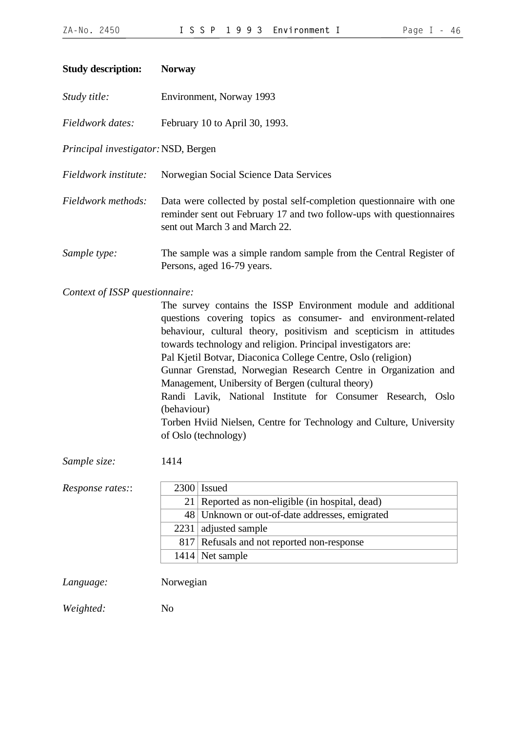### **Study description: Norway**

|  | Study title: | Environment, Norway 1993 |
|--|--------------|--------------------------|
|--|--------------|--------------------------|

*Fieldwork dates:* February 10 to April 30, 1993.

*Principal investigator:*NSD, Bergen

*Fieldwork institute:* Norwegian Social Science Data Services

- *Fieldwork methods:* Data were collected by postal self-completion questionnaire with one reminder sent out February 17 and two follow-ups with questionnaires sent out March 3 and March 22.
- *Sample type:* The sample was a simple random sample from the Central Register of Persons, aged 16-79 years.

#### *Context of ISSP questionnaire:*

| The survey contains the ISSP Environment module and additional      |
|---------------------------------------------------------------------|
| questions covering topics as consumer- and environment-related      |
| behaviour, cultural theory, positivism and scepticism in attitudes  |
| towards technology and religion. Principal investigators are:       |
| Pal Kjetil Botvar, Diaconica College Centre, Oslo (religion)        |
| Gunnar Grenstad, Norwegian Research Centre in Organization and      |
| Management, Unibersity of Bergen (cultural theory)                  |
| Randi Lavik, National Institute for Consumer Research, Oslo         |
| (behaviour)                                                         |
| Torben Hviid Nielsen, Centre for Technology and Culture, University |
| of Oslo (technology)                                                |
|                                                                     |

*Sample size:* 1414

| Response rates:: | $2300$ Issued                                   |
|------------------|-------------------------------------------------|
|                  | 21 Reported as non-eligible (in hospital, dead) |
|                  | 48 Unknown or out-of-date addresses, emigrated  |
|                  | $2231$ adjusted sample                          |
|                  | 817 Refusals and not reported non-response      |
|                  | $1414$ Net sample                               |
|                  |                                                 |

*Language:* Norwegian

*Weighted:* No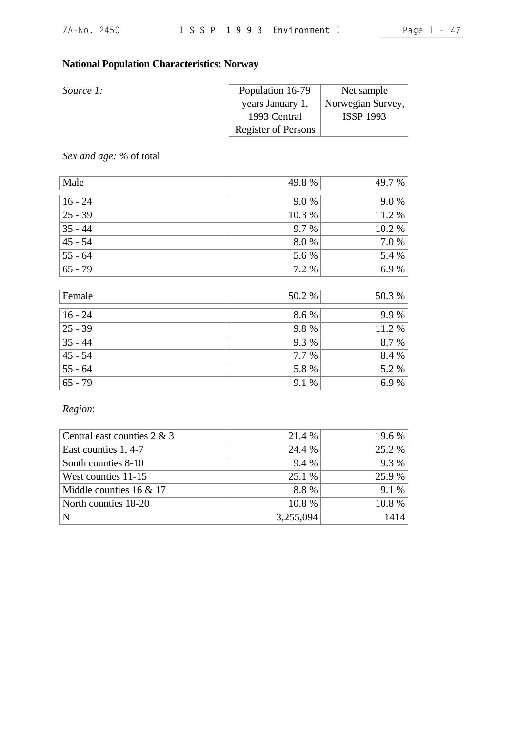# **National Population Characteristics: Norway**

| <i>Source 1:</i> | Population 16-79           | Net sample        |
|------------------|----------------------------|-------------------|
|                  | years January 1,           | Norwegian Survey, |
|                  | 1993 Central               | <b>ISSP 1993</b>  |
|                  | <b>Register of Persons</b> |                   |

*Sex and age:* % of total

| Male       | 49.8%   | 49.7 % |
|------------|---------|--------|
|            |         |        |
| $ 16 - 24$ | $9.0\%$ | 9.0 %  |
| $25 - 39$  | 10.3 %  | 11.2 % |
| $ 35 - 44$ | 9.7 %   | 10.2 % |
| $45 - 54$  | 8.0%    | 7.0 %  |
| $ 55 - 64$ | 5.6 %   | 5.4 %  |
| $65 - 79$  | 7.2 %   | 6.9%   |

| Female    | 50.2 % | 50.3 % |
|-----------|--------|--------|
| $16 - 24$ | 8.6 %  | 9.9%   |
| $25 - 39$ | 9.8%   | 11.2 % |
| $35 - 44$ | 9.3 %  | 8.7 %  |
| $45 - 54$ | 7.7 %  | 8.4 %  |
| $55 - 64$ | 5.8 %  | 5.2 %  |
| $65 - 79$ | 9.1 %  | 6.9%   |

*Region*:

| Central east counties $2 \& 3$ | 21.4 %    | 19.6 % |
|--------------------------------|-----------|--------|
| East counties 1, 4-7           | 24.4 %    | 25.2 % |
| South counties 8-10            | 9.4 %     | 9.3 %  |
| West counties 11-15            | 25.1 %    | 25.9 % |
| Middle counties $16 \& 17$     | 8.8%      | 9.1 %  |
| North counties 18-20           | 10.8%     | 10.8%  |
| N                              | 3,255,094 | 1414   |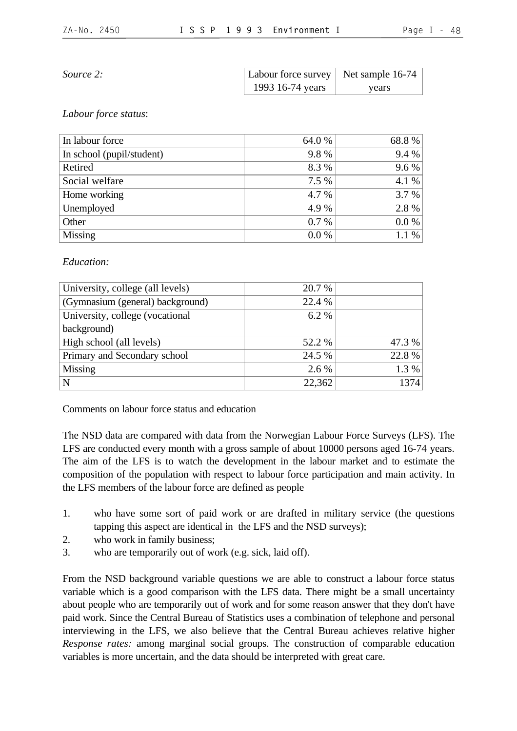*Source 2:* 

| Labour force survey | Net sample 16-74 |
|---------------------|------------------|
| 1993 16-74 years    | years            |

#### *Labour force status*:

| In labour force           | 64.0 %  | 68.8% |
|---------------------------|---------|-------|
| In school (pupil/student) | 9.8%    | 9.4 % |
| Retired                   | 8.3 %   | 9.6 % |
| Social welfare            | 7.5 %   | 4.1 % |
| Home working              | 4.7 %   | 3.7 % |
| Unemployed                | 4.9 %   | 2.8 % |
| Other                     | $0.7\%$ | 0.0 % |
| Missing                   | $0.0\%$ | 1.1 % |

## *Education:*

| University, college (all levels) | 20.7 % |        |
|----------------------------------|--------|--------|
| (Gymnasium (general) background) | 22.4 % |        |
| University, college (vocational  | 6.2 %  |        |
| background)                      |        |        |
| High school (all levels)         | 52.2 % | 47.3 % |
| Primary and Secondary school     | 24.5 % | 22.8 % |
| Missing                          | 2.6 %  | 1.3 %  |
| N                                | 22,362 | 1374   |

Comments on labour force status and education

The NSD data are compared with data from the Norwegian Labour Force Surveys (LFS). The LFS are conducted every month with a gross sample of about 10000 persons aged 16-74 years. The aim of the LFS is to watch the development in the labour market and to estimate the composition of the population with respect to labour force participation and main activity. In the LFS members of the labour force are defined as people

- 1. who have some sort of paid work or are drafted in military service (the questions tapping this aspect are identical in the LFS and the NSD surveys);
- 2. who work in family business;
- 3. who are temporarily out of work (e.g. sick, laid off).

From the NSD background variable questions we are able to construct a labour force status variable which is a good comparison with the LFS data. There might be a small uncertainty about people who are temporarily out of work and for some reason answer that they don't have paid work. Since the Central Bureau of Statistics uses a combination of telephone and personal interviewing in the LFS, we also believe that the Central Bureau achieves relative higher *Response rates:* among marginal social groups. The construction of comparable education variables is more uncertain, and the data should be interpreted with great care.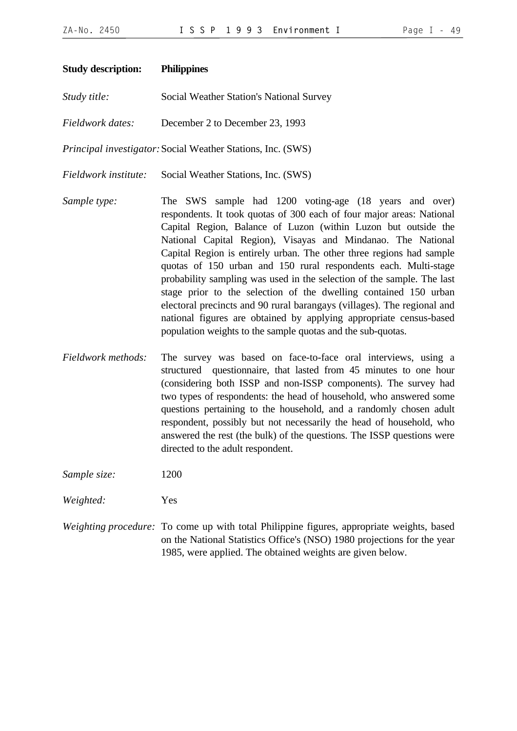| <b>Study description:</b> | <b>Philippines</b>                                                                                                                                                                                                                                                                                                                                                                                                                                                                                                                                                                                                                                                                                                                                                         |
|---------------------------|----------------------------------------------------------------------------------------------------------------------------------------------------------------------------------------------------------------------------------------------------------------------------------------------------------------------------------------------------------------------------------------------------------------------------------------------------------------------------------------------------------------------------------------------------------------------------------------------------------------------------------------------------------------------------------------------------------------------------------------------------------------------------|
| Study title:              | Social Weather Station's National Survey                                                                                                                                                                                                                                                                                                                                                                                                                                                                                                                                                                                                                                                                                                                                   |
| Fieldwork dates:          | December 2 to December 23, 1993                                                                                                                                                                                                                                                                                                                                                                                                                                                                                                                                                                                                                                                                                                                                            |
|                           | Principal investigator: Social Weather Stations, Inc. (SWS)                                                                                                                                                                                                                                                                                                                                                                                                                                                                                                                                                                                                                                                                                                                |
| Fieldwork institute:      | Social Weather Stations, Inc. (SWS)                                                                                                                                                                                                                                                                                                                                                                                                                                                                                                                                                                                                                                                                                                                                        |
| Sample type:              | The SWS sample had 1200 voting-age (18 years and over)<br>respondents. It took quotas of 300 each of four major areas: National<br>Capital Region, Balance of Luzon (within Luzon but outside the<br>National Capital Region), Visayas and Mindanao. The National<br>Capital Region is entirely urban. The other three regions had sample<br>quotas of 150 urban and 150 rural respondents each. Multi-stage<br>probability sampling was used in the selection of the sample. The last<br>stage prior to the selection of the dwelling contained 150 urban<br>electoral precincts and 90 rural barangays (villages). The regional and<br>national figures are obtained by applying appropriate census-based<br>population weights to the sample quotas and the sub-quotas. |
|                           | <b>EXPLOS</b>                                                                                                                                                                                                                                                                                                                                                                                                                                                                                                                                                                                                                                                                                                                                                              |

- *Fieldwork methods:* The survey was based on face-to-face oral interviews, using a structured questionnaire, that lasted from 45 minutes to one hour (considering both ISSP and non-ISSP components). The survey had two types of respondents: the head of household, who answered some questions pertaining to the household, and a randomly chosen adult respondent, possibly but not necessarily the head of household, who answered the rest (the bulk) of the questions. The ISSP questions were directed to the adult respondent.
- *Sample size:* 1200
- *Weighted:* Yes
- *Weighting procedure:* To come up with total Philippine figures, appropriate weights, based on the National Statistics Office's (NSO) 1980 projections for the year 1985, were applied. The obtained weights are given below.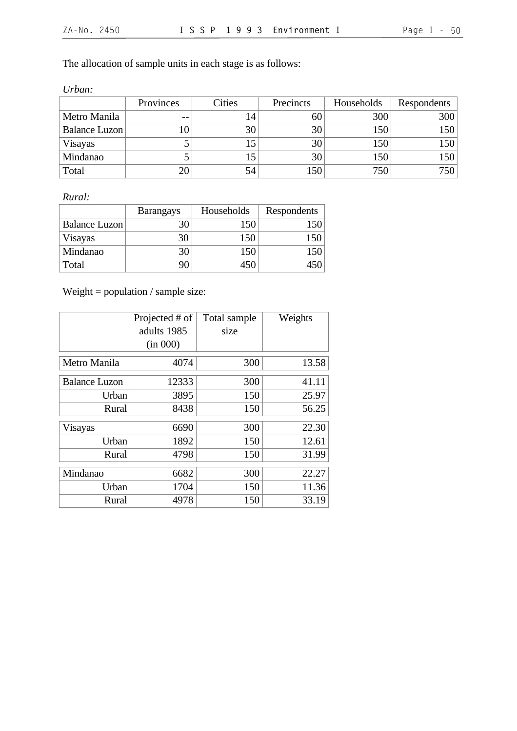The allocation of sample units in each stage is as follows:

| Urban:        |           |        |           |            |             |
|---------------|-----------|--------|-----------|------------|-------------|
|               | Provinces | Cities | Precincts | Households | Respondents |
| Metro Manila  | $ -$      | 14     | 60        | 300        | 300         |
| Balance Luzon |           | 30     | 30        | 150        | 150         |
| Visayas       |           |        | 30        | 150        | 150         |
| Mindanao      |           |        | 30        | 150        | 150         |
| Total         | 20        | 54     | 150       | 750        | 750         |

*Rural:*

|                      | <b>Barangays</b> | Households | Respondents |
|----------------------|------------------|------------|-------------|
| <b>Balance Luzon</b> |                  | 150        |             |
| Visayas              |                  | 150        |             |
| Mindanao             |                  |            |             |
| Total                |                  |            |             |

Weight = population / sample size:

|                      | Projected # of | Total sample | Weights |
|----------------------|----------------|--------------|---------|
|                      | adults 1985    | size         |         |
|                      | (in 000)       |              |         |
| Metro Manila         | 4074           | 300          | 13.58   |
| <b>Balance Luzon</b> | 12333          | 300          | 41.11   |
| Urban                | 3895           | 150          | 25.97   |
| Rural                | 8438           | 150          | 56.25   |
| Visayas              | 6690           | 300          | 22.30   |
| Urban                | 1892           | 150          | 12.61   |
| Rural                | 4798           | 150          | 31.99   |
| Mindanao             | 6682           | 300          | 22.27   |
| Urban                | 1704           | 150          | 11.36   |
| Rural                | 4978           | 150          | 33.19   |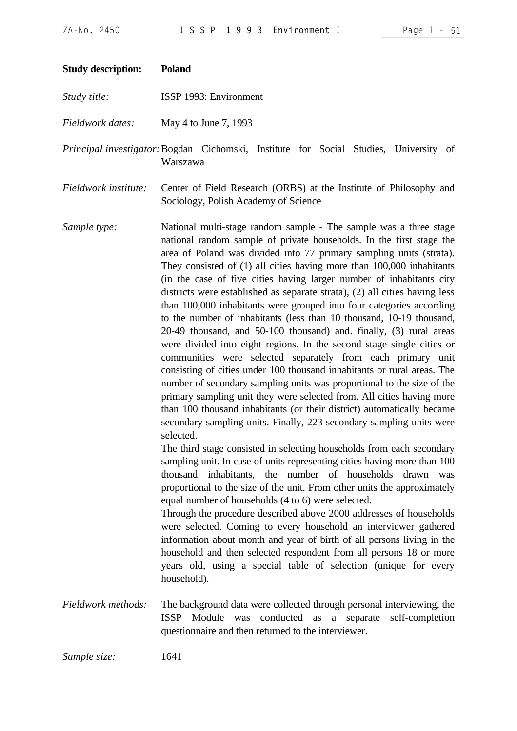| Page |  |  |  |
|------|--|--|--|
|------|--|--|--|

| <b>Study description:</b> | <b>Poland</b>                                                                                                                                                                                                                                                                                                                                                                                                                                                                                                                                                                                                                                                                                                                                                                                                                                                                                                                                                                                                                                                                                                                                                                                                                                                                                                                                                                                                                                                                                                                                                                                                                                                                                                                                                                                                                                                                                                                             |
|---------------------------|-------------------------------------------------------------------------------------------------------------------------------------------------------------------------------------------------------------------------------------------------------------------------------------------------------------------------------------------------------------------------------------------------------------------------------------------------------------------------------------------------------------------------------------------------------------------------------------------------------------------------------------------------------------------------------------------------------------------------------------------------------------------------------------------------------------------------------------------------------------------------------------------------------------------------------------------------------------------------------------------------------------------------------------------------------------------------------------------------------------------------------------------------------------------------------------------------------------------------------------------------------------------------------------------------------------------------------------------------------------------------------------------------------------------------------------------------------------------------------------------------------------------------------------------------------------------------------------------------------------------------------------------------------------------------------------------------------------------------------------------------------------------------------------------------------------------------------------------------------------------------------------------------------------------------------------------|
| Study title:              | ISSP 1993: Environment                                                                                                                                                                                                                                                                                                                                                                                                                                                                                                                                                                                                                                                                                                                                                                                                                                                                                                                                                                                                                                                                                                                                                                                                                                                                                                                                                                                                                                                                                                                                                                                                                                                                                                                                                                                                                                                                                                                    |
| Fieldwork dates:          | May 4 to June 7, 1993                                                                                                                                                                                                                                                                                                                                                                                                                                                                                                                                                                                                                                                                                                                                                                                                                                                                                                                                                                                                                                                                                                                                                                                                                                                                                                                                                                                                                                                                                                                                                                                                                                                                                                                                                                                                                                                                                                                     |
|                           | Principal investigator: Bogdan Cichomski, Institute for Social Studies, University of<br>Warszawa                                                                                                                                                                                                                                                                                                                                                                                                                                                                                                                                                                                                                                                                                                                                                                                                                                                                                                                                                                                                                                                                                                                                                                                                                                                                                                                                                                                                                                                                                                                                                                                                                                                                                                                                                                                                                                         |
| Fieldwork institute:      | Center of Field Research (ORBS) at the Institute of Philosophy and<br>Sociology, Polish Academy of Science                                                                                                                                                                                                                                                                                                                                                                                                                                                                                                                                                                                                                                                                                                                                                                                                                                                                                                                                                                                                                                                                                                                                                                                                                                                                                                                                                                                                                                                                                                                                                                                                                                                                                                                                                                                                                                |
| Sample type:              | National multi-stage random sample - The sample was a three stage<br>national random sample of private households. In the first stage the<br>area of Poland was divided into 77 primary sampling units (strata).<br>They consisted of (1) all cities having more than 100,000 inhabitants<br>(in the case of five cities having larger number of inhabitants city<br>districts were established as separate strata), (2) all cities having less<br>than 100,000 inhabitants were grouped into four categories according<br>to the number of inhabitants (less than 10 thousand, 10-19 thousand,<br>20-49 thousand, and 50-100 thousand) and. finally, (3) rural areas<br>were divided into eight regions. In the second stage single cities or<br>communities were selected separately from each primary unit<br>consisting of cities under 100 thousand inhabitants or rural areas. The<br>number of secondary sampling units was proportional to the size of the<br>primary sampling unit they were selected from. All cities having more<br>than 100 thousand inhabitants (or their district) automatically became<br>secondary sampling units. Finally, 223 secondary sampling units were<br>selected.<br>The third stage consisted in selecting households from each secondary<br>sampling unit. In case of units representing cities having more than 100<br>thousand inhabitants, the number of households drawn was<br>proportional to the size of the unit. From other units the approximately<br>equal number of households (4 to 6) were selected.<br>Through the procedure described above 2000 addresses of households<br>were selected. Coming to every household an interviewer gathered<br>information about month and year of birth of all persons living in the<br>household and then selected respondent from all persons 18 or more<br>years old, using a special table of selection (unique for every<br>household). |
| Fieldwork methods:        | The background data were collected through personal interviewing, the<br>ISSP Module was conducted as a separate self-completion<br>questionnaire and then returned to the interviewer.                                                                                                                                                                                                                                                                                                                                                                                                                                                                                                                                                                                                                                                                                                                                                                                                                                                                                                                                                                                                                                                                                                                                                                                                                                                                                                                                                                                                                                                                                                                                                                                                                                                                                                                                                   |

*Sample size:* 1641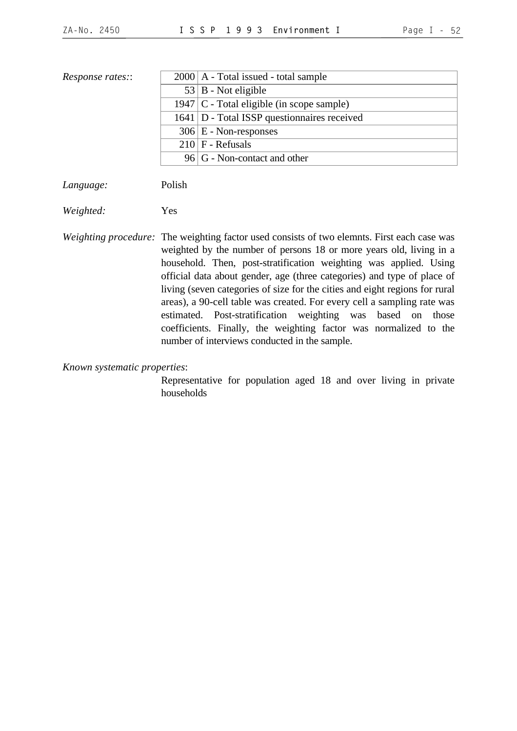| <i>Response rates::</i> | $2000$   A - Total issued - total sample      |
|-------------------------|-----------------------------------------------|
|                         | $53   B - Not$ eligible                       |
|                         | 1947   $C$ - Total eligible (in scope sample) |
|                         | 1641   D - Total ISSP questionnaires received |
|                         | $306 \mid E$ - Non-responses                  |
|                         | $210$ F - Refusals                            |
|                         | 96 G - Non-contact and other                  |
|                         |                                               |

*Language:* Polish

*Weighted:* Yes

*Weighting procedure:* The weighting factor used consists of two elemnts. First each case was weighted by the number of persons 18 or more years old, living in a household. Then, post-stratification weighting was applied. Using official data about gender, age (three categories) and type of place of living (seven categories of size for the cities and eight regions for rural areas), a 90-cell table was created. For every cell a sampling rate was estimated. Post-stratification weighting was based on those coefficients. Finally, the weighting factor was normalized to the number of interviews conducted in the sample.

*Known systematic properties*:

Representative for population aged 18 and over living in private households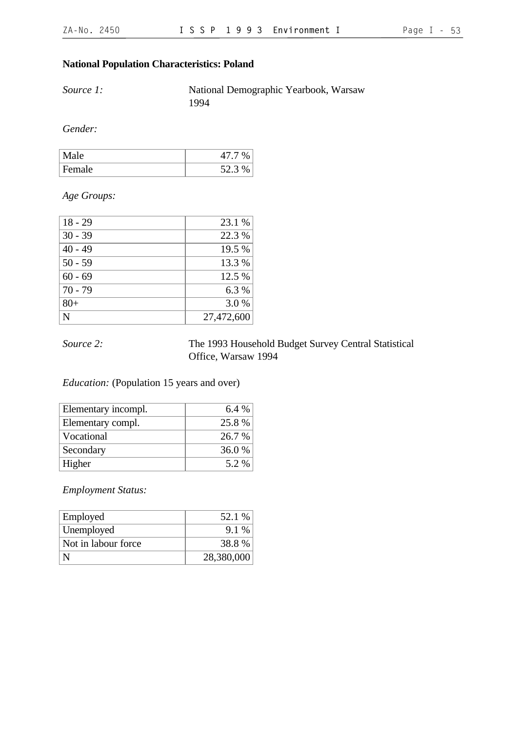## **National Population Characteristics: Poland**

*Source 1:* National Demographic Yearbook, Warsaw 1994

*Gender:*

| Male   | 0/2              |
|--------|------------------|
| Female | $523\%$<br>ل…∠ ب |

*Age Groups:*

| $18 - 29$ | 23.1 %     |
|-----------|------------|
| $30 - 39$ | 22.3 %     |
| $40 - 49$ | 19.5 %     |
| $50 - 59$ | 13.3 %     |
| $60 - 69$ | 12.5 %     |
| $70 - 79$ | 6.3 %      |
| $80+$     | 3.0 %      |
| N         | 27,472,600 |

## *Source 2:* The 1993 Household Budget Survey Central Statistical Office, Warsaw 1994

## *Education:* (Population 15 years and over)

| Elementary incompl. | $6.4\%$ |
|---------------------|---------|
| Elementary compl.   | 25.8 %  |
| Vocational          | 26.7 %  |
| Secondary           | 36.0 %  |
| Higher              | 5.2 %   |

*Employment Status:*

| Employed            | 52.1 %     |
|---------------------|------------|
| Unemployed          | $9.1\%$    |
| Not in labour force | 38.8 %     |
|                     | 28,380,000 |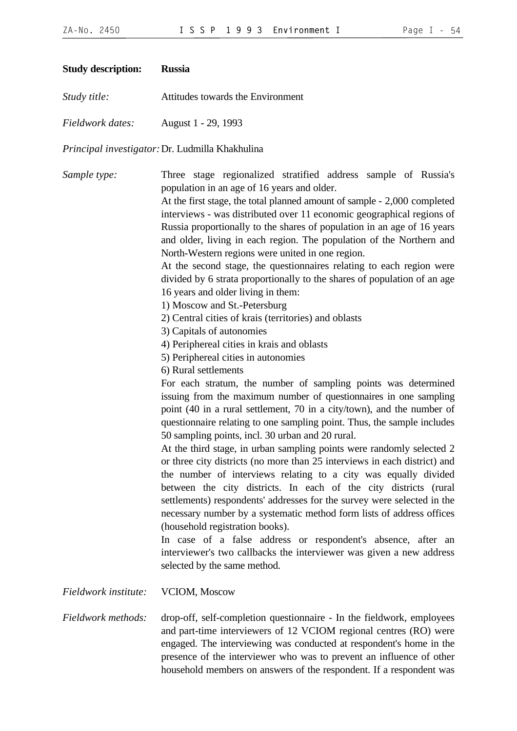| <b>Study description:</b> | <b>Russia</b>                                                                                                                                                                                                                                                                                                                                                                                                                                                                                                                                                                                                                                                                                                                                                                                                                                                                                                                                                                                                                                                                                                                                                                                                                                                                                                                                                                                                                                                                                                                                                                                                                                                                                                                                                                                                                                                                                                    |
|---------------------------|------------------------------------------------------------------------------------------------------------------------------------------------------------------------------------------------------------------------------------------------------------------------------------------------------------------------------------------------------------------------------------------------------------------------------------------------------------------------------------------------------------------------------------------------------------------------------------------------------------------------------------------------------------------------------------------------------------------------------------------------------------------------------------------------------------------------------------------------------------------------------------------------------------------------------------------------------------------------------------------------------------------------------------------------------------------------------------------------------------------------------------------------------------------------------------------------------------------------------------------------------------------------------------------------------------------------------------------------------------------------------------------------------------------------------------------------------------------------------------------------------------------------------------------------------------------------------------------------------------------------------------------------------------------------------------------------------------------------------------------------------------------------------------------------------------------------------------------------------------------------------------------------------------------|
| Study title:              | Attitudes towards the Environment                                                                                                                                                                                                                                                                                                                                                                                                                                                                                                                                                                                                                                                                                                                                                                                                                                                                                                                                                                                                                                                                                                                                                                                                                                                                                                                                                                                                                                                                                                                                                                                                                                                                                                                                                                                                                                                                                |
| Fieldwork dates:          | August 1 - 29, 1993                                                                                                                                                                                                                                                                                                                                                                                                                                                                                                                                                                                                                                                                                                                                                                                                                                                                                                                                                                                                                                                                                                                                                                                                                                                                                                                                                                                                                                                                                                                                                                                                                                                                                                                                                                                                                                                                                              |
|                           | Principal investigator: Dr. Ludmilla Khakhulina                                                                                                                                                                                                                                                                                                                                                                                                                                                                                                                                                                                                                                                                                                                                                                                                                                                                                                                                                                                                                                                                                                                                                                                                                                                                                                                                                                                                                                                                                                                                                                                                                                                                                                                                                                                                                                                                  |
| Sample type:              | Three stage regionalized stratified address sample of Russia's<br>population in an age of 16 years and older.<br>At the first stage, the total planned amount of sample - 2,000 completed<br>interviews - was distributed over 11 economic geographical regions of<br>Russia proportionally to the shares of population in an age of 16 years<br>and older, living in each region. The population of the Northern and<br>North-Western regions were united in one region.<br>At the second stage, the questionnaires relating to each region were<br>divided by 6 strata proportionally to the shares of population of an age<br>16 years and older living in them:<br>1) Moscow and St.-Petersburg<br>2) Central cities of krais (territories) and oblasts<br>3) Capitals of autonomies<br>4) Periphereal cities in krais and oblasts<br>5) Periphereal cities in autonomies<br>6) Rural settlements<br>For each stratum, the number of sampling points was determined<br>issuing from the maximum number of questionnaires in one sampling<br>point (40 in a rural settlement, 70 in a city/town), and the number of<br>questionnaire relating to one sampling point. Thus, the sample includes<br>50 sampling points, incl. 30 urban and 20 rural.<br>At the third stage, in urban sampling points were randomly selected 2<br>or three city districts (no more than 25 interviews in each district) and<br>the number of interviews relating to a city was equally divided<br>between the city districts. In each of the city districts (rural<br>settlements) respondents' addresses for the survey were selected in the<br>necessary number by a systematic method form lists of address offices<br>(household registration books).<br>In case of a false address or respondent's absence, after an<br>interviewer's two callbacks the interviewer was given a new address<br>selected by the same method. |
| Fieldwork institute:      | VCIOM, Moscow                                                                                                                                                                                                                                                                                                                                                                                                                                                                                                                                                                                                                                                                                                                                                                                                                                                                                                                                                                                                                                                                                                                                                                                                                                                                                                                                                                                                                                                                                                                                                                                                                                                                                                                                                                                                                                                                                                    |
| Fieldwork methods:        | drop-off, self-completion questionnaire - In the fieldwork, employees                                                                                                                                                                                                                                                                                                                                                                                                                                                                                                                                                                                                                                                                                                                                                                                                                                                                                                                                                                                                                                                                                                                                                                                                                                                                                                                                                                                                                                                                                                                                                                                                                                                                                                                                                                                                                                            |

and part-time interviewers of 12 VCIOM regional centres (RO) were engaged. The interviewing was conducted at respondent's home in the presence of the interviewer who was to prevent an influence of other household members on answers of the respondent. If a respondent was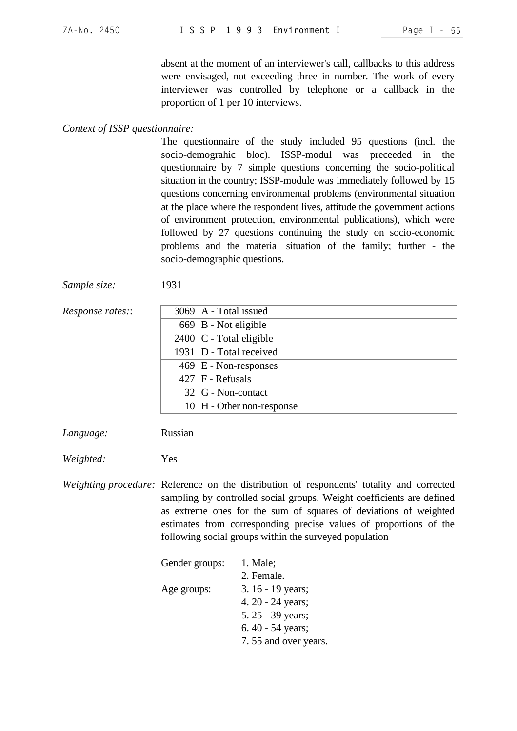absent at the moment of an interviewer's call, callbacks to this address were envisaged, not exceeding three in number. The work of every interviewer was controlled by telephone or a callback in the proportion of 1 per 10 interviews.

#### *Context of ISSP questionnaire:*

The questionnaire of the study included 95 questions (incl. the socio-demograhic bloc). ISSP-modul was preceeded in the questionnaire by 7 simple questions concerning the socio-political situation in the country; ISSP-module was immediately followed by 15 questions concerning environmental problems (environmental situation at the place where the respondent lives, attitude the government actions of environment protection, environmental publications), which were followed by 27 questions continuing the study on socio-economic problems and the material situation of the family; further - the socio-demographic questions.

*Sample size:* 1931

| <i>Response rates</i> :: | $3069$   A - Total issued    |
|--------------------------|------------------------------|
|                          | $669 \mid B$ - Not eligible  |
|                          | $2400$ C - Total eligible    |
|                          | $1931$ D - Total received    |
|                          | $469 \mid E$ - Non-responses |
|                          | $427$ F - Refusals           |
|                          | $32   G - Non-contact$       |
|                          | $10$ H - Other non-response  |
|                          |                              |

*Language:* Russian

*Weighted:* Yes

*Weighting procedure:* Reference on the distribution of respondents' totality and corrected sampling by controlled social groups. Weight coefficients are defined as extreme ones for the sum of squares of deviations of weighted estimates from corresponding precise values of proportions of the following social groups within the surveyed population

| Gender groups: | $1.$ Male;           |
|----------------|----------------------|
|                | 2. Female.           |
| Age groups:    | 3. 16 - 19 years;    |
|                | 4. 20 - 24 years;    |
|                | 5.25 - 39 years;     |
|                | 6.40 - 54 years;     |
|                | 7.55 and over years. |
|                |                      |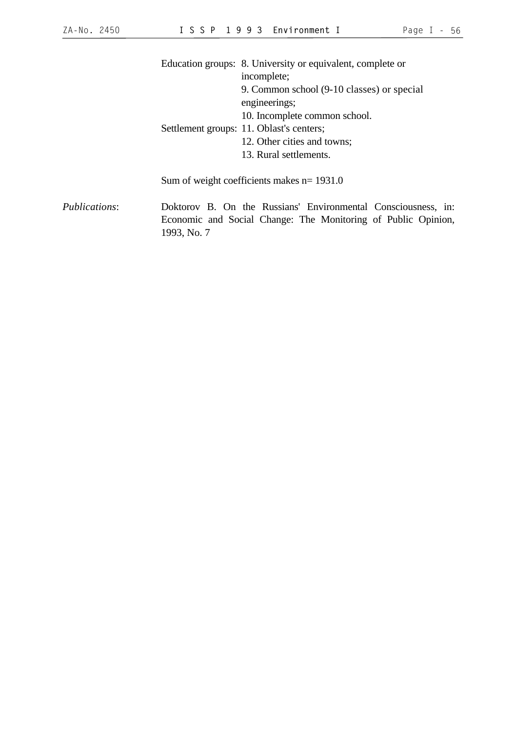|               |             | Education groups: 8. University or equivalent, complete or                                                                     |
|---------------|-------------|--------------------------------------------------------------------------------------------------------------------------------|
|               |             | incomplete;                                                                                                                    |
|               |             | 9. Common school (9-10 classes) or special                                                                                     |
|               |             | engineerings;                                                                                                                  |
|               |             | 10. Incomplete common school.                                                                                                  |
|               |             | Settlement groups: 11. Oblast's centers;                                                                                       |
|               |             | 12. Other cities and towns;                                                                                                    |
|               |             | 13. Rural settlements.                                                                                                         |
|               |             | Sum of weight coefficients makes $n = 1931.0$                                                                                  |
| Publications: | 1993, No. 7 | Doktorov B. On the Russians' Environmental Consciousness, in:<br>Economic and Social Change: The Monitoring of Public Opinion, |
|               |             |                                                                                                                                |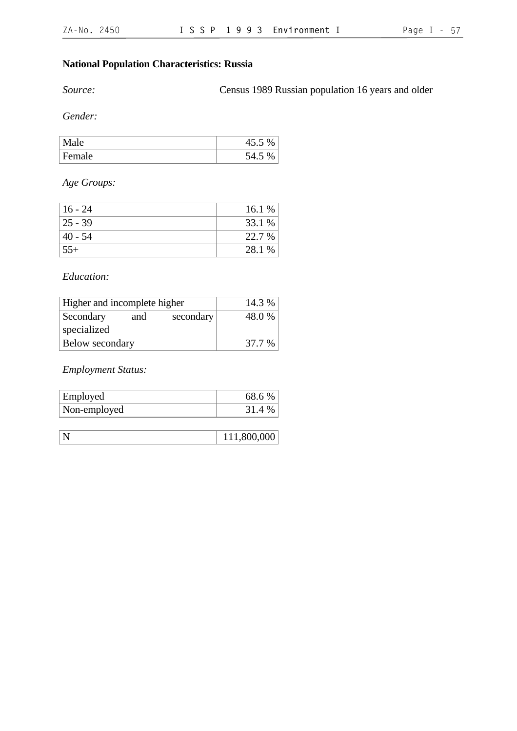## **National Population Characteristics: Russia**

*Source:* Census 1989 Russian population 16 years and older

*Gender:*

|       | $\%$<br>4J.J |
|-------|--------------|
| F     | ⊣.J          |
| emale | ◡            |

*Age Groups:*

| 16 - 24     | 16.1 % |
|-------------|--------|
| $ 25 - 39 $ | 33.1 % |
| $140 - 54$  | 22.7 % |
| $55+$       | 28.1 % |

### *Education:*

| Higher and incomplete higher |     |           | 14.3 % |
|------------------------------|-----|-----------|--------|
| Secondary                    | and | secondary | 48.0%  |
| specialized                  |     |           |        |
| Below secondary              |     |           | 37.7 % |

*Employment Status:*

| Employed     | 68.6 % |
|--------------|--------|
| Non-employed | 31.4 % |

| $\mathbb{N}$ | 111,800,000 |
|--------------|-------------|
|--------------|-------------|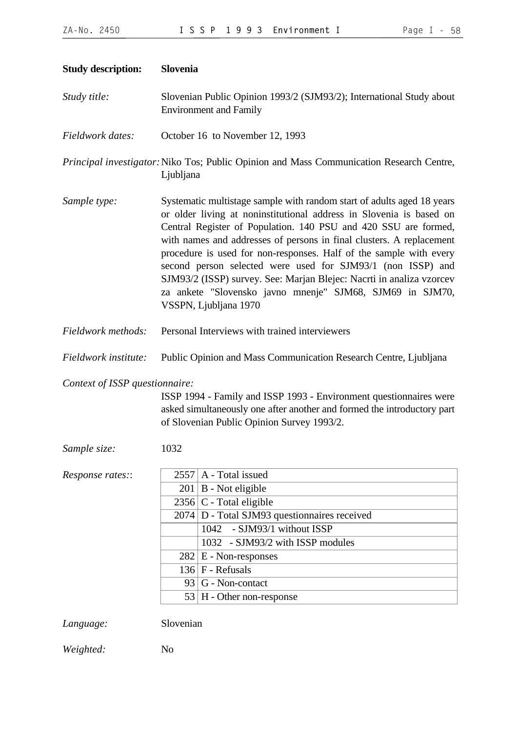| <b>Study description:</b>      | Slovenia                                                                                                                                                                                                                                                                                                                                                                                                                                                                                                                                                                                    |                                                                                                                                                                                                                                                                                                                                         |  |
|--------------------------------|---------------------------------------------------------------------------------------------------------------------------------------------------------------------------------------------------------------------------------------------------------------------------------------------------------------------------------------------------------------------------------------------------------------------------------------------------------------------------------------------------------------------------------------------------------------------------------------------|-----------------------------------------------------------------------------------------------------------------------------------------------------------------------------------------------------------------------------------------------------------------------------------------------------------------------------------------|--|
| Study title:                   | Slovenian Public Opinion 1993/2 (SJM93/2); International Study about<br><b>Environment and Family</b>                                                                                                                                                                                                                                                                                                                                                                                                                                                                                       |                                                                                                                                                                                                                                                                                                                                         |  |
| Fieldwork dates:               | October 16 to November 12, 1993                                                                                                                                                                                                                                                                                                                                                                                                                                                                                                                                                             |                                                                                                                                                                                                                                                                                                                                         |  |
|                                | Ljubljana                                                                                                                                                                                                                                                                                                                                                                                                                                                                                                                                                                                   | Principal investigator: Niko Tos; Public Opinion and Mass Communication Research Centre,                                                                                                                                                                                                                                                |  |
| Sample type:                   | Systematic multistage sample with random start of adults aged 18 years<br>or older living at noninstitutional address in Slovenia is based on<br>Central Register of Population. 140 PSU and 420 SSU are formed,<br>with names and addresses of persons in final clusters. A replacement<br>procedure is used for non-responses. Half of the sample with every<br>second person selected were used for SJM93/1 (non ISSP) and<br>SJM93/2 (ISSP) survey. See: Marjan Blejec: Nacrti in analiza vzorcev<br>za ankete "Slovensko javno mnenje" SJM68, SJM69 in SJM70,<br>VSSPN, Ljubljana 1970 |                                                                                                                                                                                                                                                                                                                                         |  |
| Fieldwork methods:             | Personal Interviews with trained interviewers                                                                                                                                                                                                                                                                                                                                                                                                                                                                                                                                               |                                                                                                                                                                                                                                                                                                                                         |  |
| Fieldwork institute:           | Public Opinion and Mass Communication Research Centre, Ljubljana                                                                                                                                                                                                                                                                                                                                                                                                                                                                                                                            |                                                                                                                                                                                                                                                                                                                                         |  |
| Context of ISSP questionnaire: |                                                                                                                                                                                                                                                                                                                                                                                                                                                                                                                                                                                             | ISSP 1994 - Family and ISSP 1993 - Environment questionnaires were<br>asked simultaneously one after another and formed the introductory part<br>of Slovenian Public Opinion Survey 1993/2.                                                                                                                                             |  |
| Sample size:                   | 1032                                                                                                                                                                                                                                                                                                                                                                                                                                                                                                                                                                                        |                                                                                                                                                                                                                                                                                                                                         |  |
| Response rates::               |                                                                                                                                                                                                                                                                                                                                                                                                                                                                                                                                                                                             | $2557$ A - Total issued<br>$201 \mid B$ - Not eligible<br>$2356$ C - Total eligible<br>$\overline{2074}$ D - Total SJM93 questionnaires received<br>- SJM93/1 without ISSP<br>1042<br>1032 - SJM93/2 with ISSP modules<br>$282 \mid E$ - Non-responses<br>$136$ F - Refusals<br>$93   G - Non-contact$<br>$53$   H - Other non-response |  |
| Language:                      | Slovenian                                                                                                                                                                                                                                                                                                                                                                                                                                                                                                                                                                                   |                                                                                                                                                                                                                                                                                                                                         |  |

*Weighted:* No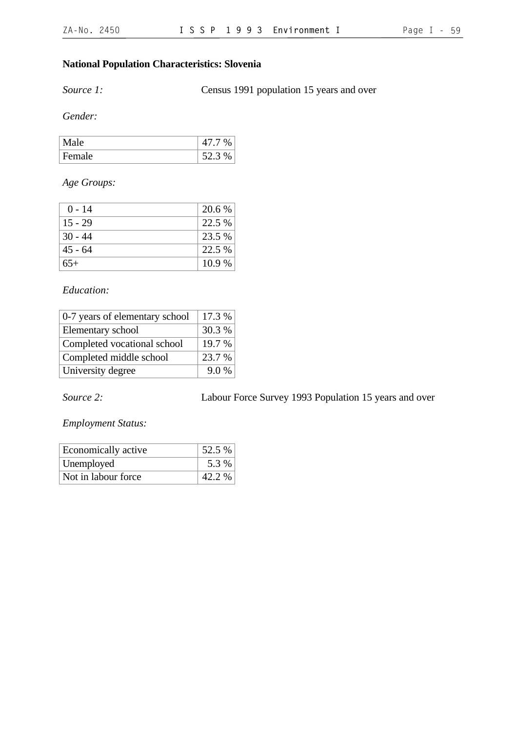## **National Population Characteristics: Slovenia**

*Source 1:* Census 1991 population 15 years and over

*Gender:*

| le            | $\%$         |
|---------------|--------------|
| Ла            | $\cdot$      |
| <b>Female</b> | $\%$<br>52 Z |

*Age Groups:*

| $0 - 14$  | 20.6 % |
|-----------|--------|
| $15 - 29$ | 22.5 % |
| $30 - 44$ | 23.5 % |
| $45 - 64$ | 22.5 % |
| $65+$     | 10.9 % |

## *Education:*

| 0-7 years of elementary school | 17.3 % |
|--------------------------------|--------|
| Elementary school              | 30.3 % |
| Completed vocational school    | 19.7 % |
| Completed middle school        | 23.7 % |
| University degree              | 9.0%   |

*Source 2:* Labour Force Survey 1993 Population 15 years and over

*Employment Status:*

| Economically active | 52.5 % |
|---------------------|--------|
| Unemployed          | 5.3 %  |
| Not in labour force | 42.2 % |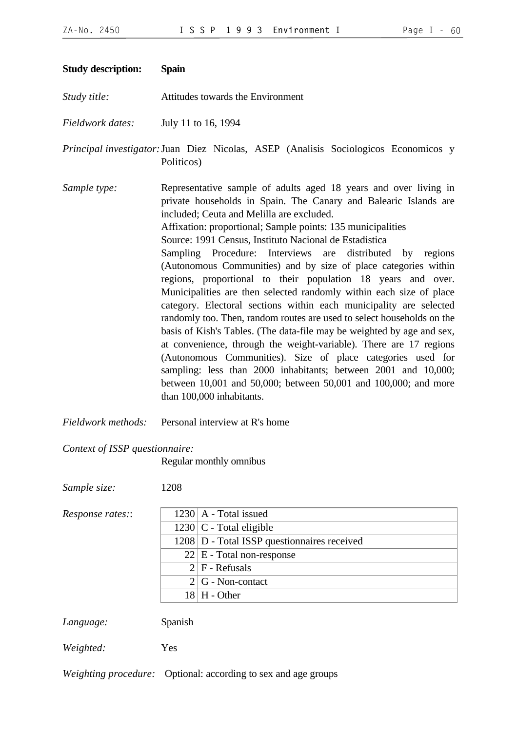| <b>Study description:</b> | <b>Spain</b>                                                                                                                                                                                                                                                                                                                                                                                                                                                                                                                                                                                                                                                                                                                                                                                                                                                                                                                                                                                                                                                                                                          |
|---------------------------|-----------------------------------------------------------------------------------------------------------------------------------------------------------------------------------------------------------------------------------------------------------------------------------------------------------------------------------------------------------------------------------------------------------------------------------------------------------------------------------------------------------------------------------------------------------------------------------------------------------------------------------------------------------------------------------------------------------------------------------------------------------------------------------------------------------------------------------------------------------------------------------------------------------------------------------------------------------------------------------------------------------------------------------------------------------------------------------------------------------------------|
| Study title:              | Attitudes towards the Environment                                                                                                                                                                                                                                                                                                                                                                                                                                                                                                                                                                                                                                                                                                                                                                                                                                                                                                                                                                                                                                                                                     |
| Fieldwork dates:          | July 11 to 16, 1994                                                                                                                                                                                                                                                                                                                                                                                                                                                                                                                                                                                                                                                                                                                                                                                                                                                                                                                                                                                                                                                                                                   |
|                           | Principal investigator: Juan Diez Nicolas, ASEP (Analisis Sociologicos Economicos y<br>Politicos)                                                                                                                                                                                                                                                                                                                                                                                                                                                                                                                                                                                                                                                                                                                                                                                                                                                                                                                                                                                                                     |
| Sample type:              | Representative sample of adults aged 18 years and over living in<br>private households in Spain. The Canary and Balearic Islands are<br>included; Ceuta and Melilla are excluded.<br>Affixation: proportional; Sample points: 135 municipalities<br>Source: 1991 Census, Instituto Nacional de Estadística<br>Sampling Procedure: Interviews are distributed<br>by regions<br>(Autonomous Communities) and by size of place categories within<br>regions, proportional to their population 18 years and over.<br>Municipalities are then selected randomly within each size of place<br>category. Electoral sections within each municipality are selected<br>randomly too. Then, random routes are used to select households on the<br>basis of Kish's Tables. (The data-file may be weighted by age and sex,<br>at convenience, through the weight-variable). There are 17 regions<br>(Autonomous Communities). Size of place categories used for<br>sampling: less than 2000 inhabitants; between 2001 and 10,000;<br>between 10,001 and 50,000; between 50,001 and 100,000; and more<br>than 100,000 inhabitants. |
| Fieldwork methods:        | Personal interview at R's home                                                                                                                                                                                                                                                                                                                                                                                                                                                                                                                                                                                                                                                                                                                                                                                                                                                                                                                                                                                                                                                                                        |

*Context of ISSP questionnaire:*

Regular monthly omnibus

*Sample size:* 1208

| <i>Response rates::</i> |  |  |
|-------------------------|--|--|
|-------------------------|--|--|

| Response rates:: | $1230$   A - Total issued                     |
|------------------|-----------------------------------------------|
|                  | $1230$ C - Total eligible                     |
|                  | 1208   D - Total ISSP questionnaires received |
|                  | $22 \mid E$ - Total non-response              |
|                  | $2 F - Refusals$                              |
|                  | $2 G - Non-contact$                           |
|                  | $18 \mid H$ - Other                           |

*Language:* Spanish

*Weighted:* Yes

*Weighting procedure:* Optional: according to sex and age groups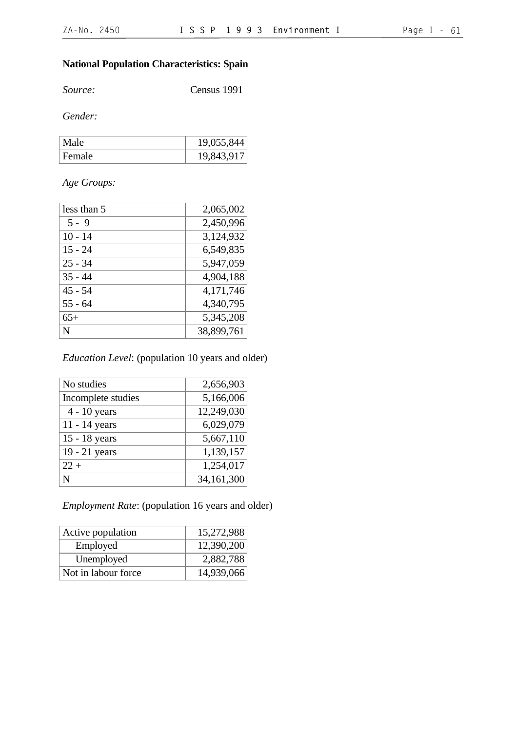## **National Population Characteristics: Spain**

*Source:* Census 1991

*Gender:*

| Male   | 19,055,844 |
|--------|------------|
| Female | 19,843,917 |

## *Age Groups:*

| less than 5 | 2,065,002  |
|-------------|------------|
| $5 - 9$     | 2,450,996  |
| $10 - 14$   | 3,124,932  |
| $15 - 24$   | 6,549,835  |
| $25 - 34$   | 5,947,059  |
| $35 - 44$   | 4,904,188  |
| $45 - 54$   | 4,171,746  |
| $55 - 64$   | 4,340,795  |
| $65+$       | 5,345,208  |
| N           | 38,899,761 |

## *Education Level*: (population 10 years and older)

| No studies         | 2,656,903  |
|--------------------|------------|
| Incomplete studies | 5,166,006  |
| $4 - 10$ years     | 12,249,030 |
| 11 - 14 years      | 6,029,079  |
| 15 - 18 years      | 5,667,110  |
| 19 - 21 years      | 1,139,157  |
| $22 +$             | 1,254,017  |
| N                  | 34,161,300 |

## *Employment Rate*: (population 16 years and older)

| Active population   | 15,272,988 |
|---------------------|------------|
| Employed            | 12,390,200 |
| Unemployed          | 2,882,788  |
| Not in labour force | 14,939,066 |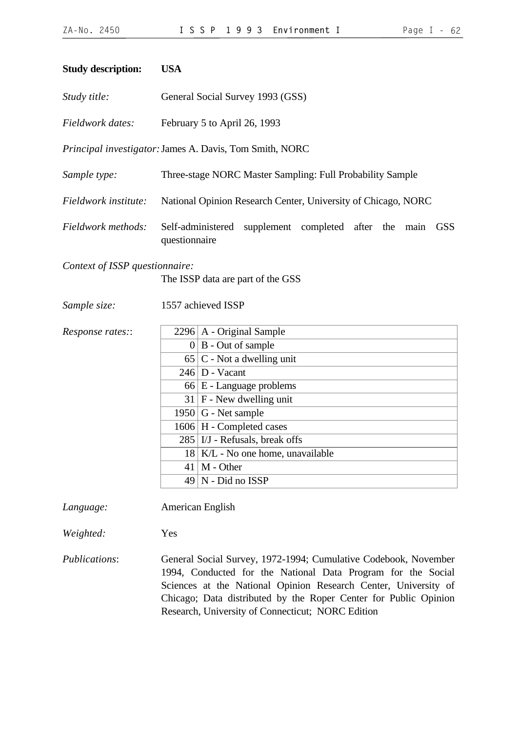#### **Study description: USA**

|  | Study title: | General Social Survey 1993 (GSS) |
|--|--------------|----------------------------------|
|--|--------------|----------------------------------|

*Fieldwork dates:* February 5 to April 26, 1993

*Principal investigator:*James A. Davis, Tom Smith, NORC

- *Sample type:* Three-stage NORC Master Sampling: Full Probability Sample
- *Fieldwork institute:* National Opinion Research Center, University of Chicago, NORC
- *Fieldwork methods:* Self-administered supplement completed after the main GSS questionnaire

*Context of ISSP questionnaire:*

The ISSP data are part of the GSS

*Sample size:* 1557 achieved ISSP

*Response rates::* 

|                | 2296   A - Original Sample         |
|----------------|------------------------------------|
| $\overline{0}$ | B - Out of sample                  |
|                | $65 C$ - Not a dwelling unit       |
|                | $246 \mid D - Vacant$              |
|                | $66 \mid E$ - Language problems    |
|                | $31$   F - New dwelling unit       |
|                | $1950 \mid G$ - Net sample         |
|                | 1606 H - Completed cases           |
|                | $285$   I/J - Refusals, break offs |
|                | 18 K/L - No one home, unavailable  |
| 41             | M - Other                          |
| 49             | N - Did no ISSP                    |
|                |                                    |

*Language:* American English

*Weighted:* Yes

*Publications*: General Social Survey, 1972-1994; Cumulative Codebook, November 1994, Conducted for the National Data Program for the Social Sciences at the National Opinion Research Center, University of Chicago; Data distributed by the Roper Center for Public Opinion Research, University of Connecticut; NORC Edition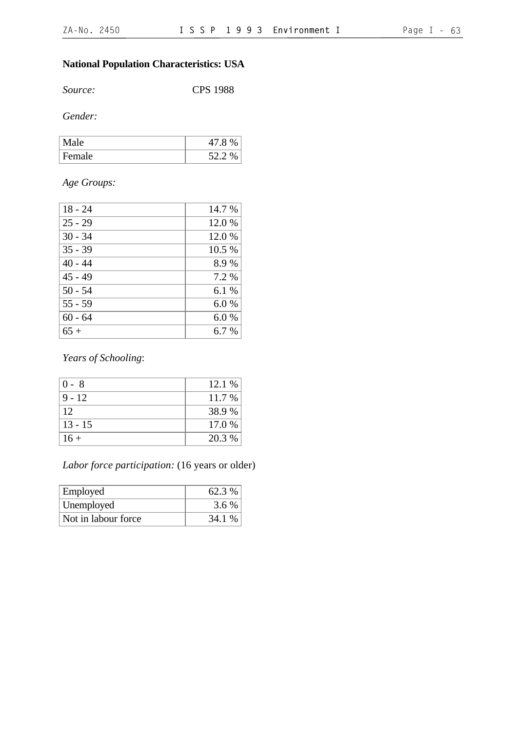# **National Population Characteristics: USA**

*Source:* CPS 1988

*Gender:*

| Mа<br>1e | 41.8 |
|----------|------|
| Female   | 52   |

## *Age Groups:*

| $18 - 24$ | 14.7 % |
|-----------|--------|
| $25 - 29$ | 12.0 % |
| $30 - 34$ | 12.0 % |
| $35 - 39$ | 10.5 % |
| $40 - 44$ | 8.9%   |
| $45 - 49$ | 7.2 %  |
| $50 - 54$ | 6.1%   |
| $55 - 59$ | 6.0%   |
| $60 - 64$ | 6.0%   |
| $65+$     | 6.7 %  |

*Years of Schooling*:

| $0 - 8$   | 12.1 % |
|-----------|--------|
| $9 - 12$  | 11.7 % |
| 12        | 38.9 % |
| $13 - 15$ | 17.0 % |
| $16+$     | 20.3 % |

# *Labor force participation:* (16 years or older)

| <b>Employed</b>     | 62.3 % |
|---------------------|--------|
| Unemployed          | 3.6 %  |
| Not in labour force | 34.1 % |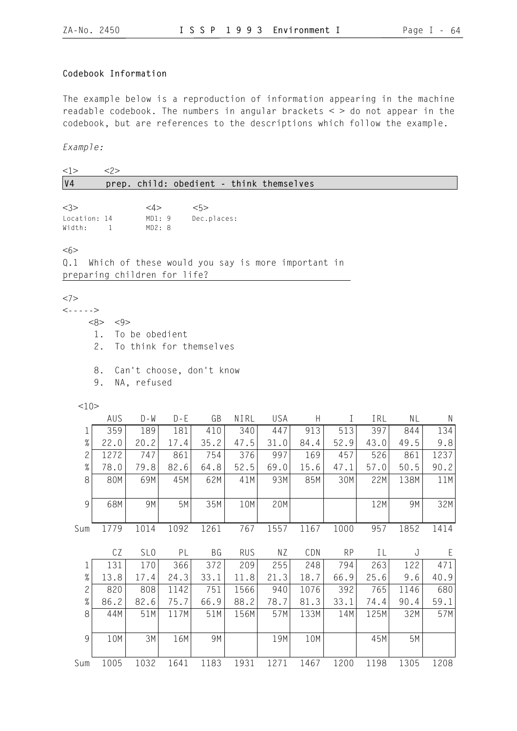## **Codebook Information**

The example below is a reproduction of information appearing in the machine readable codebook. The numbers in angular brackets  $\lt$  > do not appear in the codebook, but are references to the descriptions which follow the example.

*Example:*

| <1>                                         | 2>                           |                                  |         |                                                   |            |            |              |           |      |      |      |
|---------------------------------------------|------------------------------|----------------------------------|---------|---------------------------------------------------|------------|------------|--------------|-----------|------|------|------|
| V <sub>4</sub>                              |                              |                                  |         | prep. child: obedient - think themselves          |            |            |              |           |      |      |      |
| <3><br>Location: 14<br>Width:               | $\mathbf{1}$                 | $<\!\!4\!\!>$<br>MD1:9<br>MD2: 8 |         | <5><br>Dec.places:                                |            |            |              |           |      |      |      |
| <6><br>0.1                                  | preparing children for life? |                                  |         | Which of these would you say is more important in |            |            |              |           |      |      |      |
| <7><br>$\left\langle - - - - \right\rangle$ | <8><br><9><br>1.<br>2.       | To be obedient                   |         | To think for themselves                           |            |            |              |           |      |      |      |
|                                             | 8.<br>9.                     | NA, refused                      |         | Can't choose, don't know                          |            |            |              |           |      |      |      |
| 10                                          | AUS                          | $D - W$                          | $D - E$ | GB                                                | NIRL       | <b>USA</b> | $\mathsf{H}$ | Ι         | IRL  | ΝL   | N    |
| 1                                           | 359                          | 189                              | 181     | 410                                               | 340        | 447        | 913          | 513       | 397  | 844  | 134  |
| $\%$                                        | 22.0                         | 20.2                             | 17.4    | 35.2                                              | 47.5       | 31.0       | 84.4         | 52.9      | 43.0 | 49.5 | 9.8  |
| $\overline{c}$                              | 1272                         | 747                              | 861     | 754                                               | 376        | 997        | 169          | 457       | 526  | 861  | 1237 |
| $\%$                                        | 78.0                         | 79.8                             | 82.6    | 64.8                                              | 52.5       | 69.0       | 15.6         | 47.1      | 57.0 | 50.5 | 90.2 |
| 8                                           | 80M                          | 69M                              | 45M     | 62M                                               | 41M        | 93M        | 85M          | 30M       | 22M  | 138M | 11M  |
| 9                                           | 68M                          | 9M                               | 5M      | 35M                                               | 10M        | 20M        |              |           | 12M  | 9M   | 32M  |
| Sum                                         | 1779                         | 1014                             | 1092    | 1261                                              | 767        | 1557       | 1167         | 1000      | 957  | 1852 | 1414 |
|                                             | CZ                           | SL <sub>0</sub>                  | PL      | BG                                                | <b>RUS</b> | ΝZ         | CDN          | <b>RP</b> | ΙL   | J    | E    |
| $\mathbf 1$                                 | 131                          | 170                              | 366     | 372                                               | 209        | 255        | 248          | 794       | 263  | 122  | 471  |
| $\%$                                        | 13.8                         | 17.4                             | 24.3    | 33.1                                              | 11.8       | 21.3       | 18.7         | 66.9      | 25.6 | 9.6  | 40.9 |
| $\overline{c}$                              | 820                          | 808                              | 1142    | 751                                               | 1566       | 940        | 1076         | 392       | 765  | 1146 | 680  |
| $\%$                                        | 86.2                         | 82.6                             | 75.7    | 66.9                                              | 88.2       | 78.7       | 81.3         | 33.1      | 74.4 | 90.4 | 59.1 |
| 8                                           | 44M                          | 51M                              | 117M    | 51M                                               | 156M       | 57M        | 133M         | 14M       | 125M | 32M  | 57M  |
| 9                                           | 10M                          | 3M                               | 16M     | 9M                                                |            | 19M        | 10M          |           | 45M  | 5M   |      |
| Sum                                         | 1005                         | 1032                             | 1641    | 1183                                              | 1931       | 1271       | 1467         | 1200      | 1198 | 1305 | 1208 |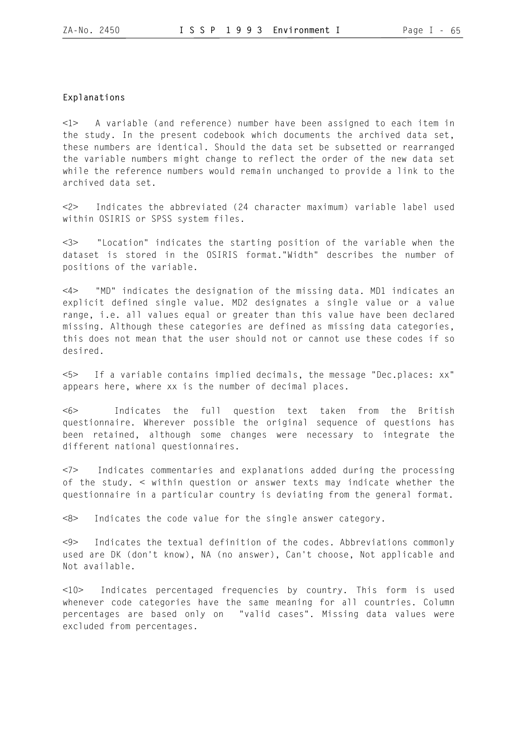#### **Explanations**

<1> A variable (and reference) number have been assigned to each item in the study. In the present codebook which documents the archived data set, these numbers are identical. Should the data set be subsetted or rearranged the variable numbers might change to reflect the order of the new data set while the reference numbers would remain unchanged to provide a link to the archived data set.

<2> Indicates the abbreviated (24 character maximum) variable label used within OSIRIS or SPSS system files.

<3> "Location" indicates the starting position of the variable when the dataset is stored in the OSIRIS format."Width" describes the number of positions of the variable.

<4> "MD" indicates the designation of the missing data. MD1 indicates an explicit defined single value. MD2 designates a single value or a value range, i.e. all values equal or greater than this value have been declared missing. Although these categories are defined as missing data categories, this does not mean that the user should not or cannot use these codes if so desired.

<5> If a variable contains implied decimals, the message "Dec.places: xx" appears here, where xx is the number of decimal places.

<6> Indicates the full question text taken from the British questionnaire. Wherever possible the original sequence of questions has been retained, although some changes were necessary to integrate the different national questionnaires.

<7> Indicates commentaries and explanations added during the processing of the study. < within question or answer texts may indicate whether the questionnaire in a particular country is deviating from the general format.

<8> Indicates the code value for the single answer category.

<9> Indicates the textual definition of the codes. Abbreviations commonly used are DK (don't know), NA (no answer), Can't choose, Not applicable and Not available.

<10> Indicates percentaged frequencies by country. This form is used whenever code categories have the same meaning for all countries. Column percentages are based only on "valid cases". Missing data values were excluded from percentages.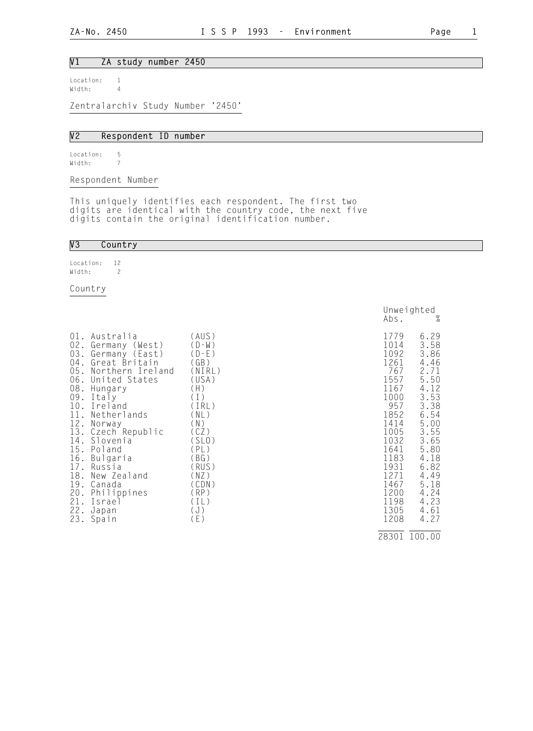#### V1 ZA study number 2450

Location: 1<br>Width: 4 Width: 4

Zentralarchiv Study Number '2450'

#### V2 Respondent ID number

Location: 5 Width: 7

Respondent Number

This uniquely identifies each respondent. The first two digits are identical with the country code, the next five digits contain the original identification number.

#### V3 Country

Location: 12 Width: 2

Country

| $01$ .<br>02.<br>03.<br>04.<br>05.<br>06.<br>08.<br>09.<br>10.<br>11.<br>12.<br>18.<br>19. | Australia<br>Germany (West)<br>Germany (East)<br>Great Britain<br>Northern Ireland<br>United States<br>Hungary<br>Italy<br>Ireland<br>Netherlands<br>Norway<br>13. Czech Republic<br>14. Slovenia<br>15. Poland<br>16. Bulgaria<br>17. Russia<br>New Zealand<br>Canada | (AUS)<br>$(D-W)$<br>$(D-E)$<br>(GB)<br>(NIRL)<br>(USA)<br>(H)<br>(1)<br>(IRL)<br>(NL)<br>(N)<br>(CZ)<br>(SLO)<br>(PL)<br>(BG)<br>(RUS)<br>(NZ)<br>(CDN) | 1779<br>1014<br>1092<br>1261<br>767<br>1557<br>1167<br>1000<br>957<br>1852<br>1414<br>1005<br>1032<br>1641<br>1183<br>1931<br>1271<br>1467 | 6.29<br>3.58<br>3.86<br>4.46<br>2.71<br>5.50<br>4.12<br>3.53<br>3.38<br>6.54<br>5.00<br>3.55<br>3.65<br>5.80<br>4.18<br>6.82<br>4.49<br>5.18 |
|--------------------------------------------------------------------------------------------|------------------------------------------------------------------------------------------------------------------------------------------------------------------------------------------------------------------------------------------------------------------------|---------------------------------------------------------------------------------------------------------------------------------------------------------|--------------------------------------------------------------------------------------------------------------------------------------------|----------------------------------------------------------------------------------------------------------------------------------------------|
|                                                                                            |                                                                                                                                                                                                                                                                        |                                                                                                                                                         |                                                                                                                                            |                                                                                                                                              |
|                                                                                            | 20. Philippines                                                                                                                                                                                                                                                        | (RP)                                                                                                                                                    | 1200                                                                                                                                       | 4.24                                                                                                                                         |
| 21.                                                                                        | Israel                                                                                                                                                                                                                                                                 | (IL)                                                                                                                                                    | 1198                                                                                                                                       | 4.23                                                                                                                                         |
| 22.                                                                                        | Japan<br>23. Spain                                                                                                                                                                                                                                                     | (J)<br>(E)                                                                                                                                              | 1305<br>1208                                                                                                                               | 4.61<br>4.27                                                                                                                                 |

|                                                                       |                                                                                                                                                                                                                                                                                                                                                                 |                                                                                                                                                                                       | Abs.                                                                                                                                                                       | Unweighted<br>%                                                                                                                                                              |
|-----------------------------------------------------------------------|-----------------------------------------------------------------------------------------------------------------------------------------------------------------------------------------------------------------------------------------------------------------------------------------------------------------------------------------------------------------|---------------------------------------------------------------------------------------------------------------------------------------------------------------------------------------|----------------------------------------------------------------------------------------------------------------------------------------------------------------------------|------------------------------------------------------------------------------------------------------------------------------------------------------------------------------|
| 02.<br>03.<br>$04$ .<br>05.<br>06.<br>11.<br>15.<br>17.<br>18.<br>19. | 01. Australia<br>Germany (West)<br>Germany (East)<br>Great Britain<br>Northern Ireland<br>United States<br>08. Hungary<br>09. Italy<br>10. Ireland<br>Netherlands<br>12. Norway<br>13. Czech Republic<br>14. Slovenia<br>Poland<br>16. Bulgaria<br>Russia<br>New Zealand<br>Canada<br>20. Phili<br>21. Israe<br>22. Japan<br>Philippines<br>Israel<br>23. Spain | (AUS)<br>$(D-W)$<br>$(D-E)$<br>(GB)<br>(NIRL)<br>(USA)<br>(H)<br>(1)<br>(IRL)<br>(NL)<br>(N)<br>(CZ)<br>(SLO)<br>(PL)<br>(BG)<br>(RUS)<br>(NZ)<br>(CDN)<br>(RP)<br>(IL)<br>(J)<br>(E) | 1779<br>1014<br>1092<br>1261<br>767<br>1557<br>1167<br>1000<br>957<br>1852<br>1414<br>1005<br>1032<br>1641<br>1183<br>1931<br>1271<br>1467<br>1200<br>1198<br>1305<br>1208 | 6.29<br>3.58<br>3.86<br>4.46<br>2.71<br>5.50<br>4.12<br>3.53<br>3.38<br>6.54<br>5.00<br>3.55<br>3.65<br>5.80<br>4.18<br>6.82<br>4.49<br>5.18<br>4.24<br>4.23<br>4.61<br>4.27 |
|                                                                       |                                                                                                                                                                                                                                                                                                                                                                 |                                                                                                                                                                                       |                                                                                                                                                                            | 28301 100.00                                                                                                                                                                 |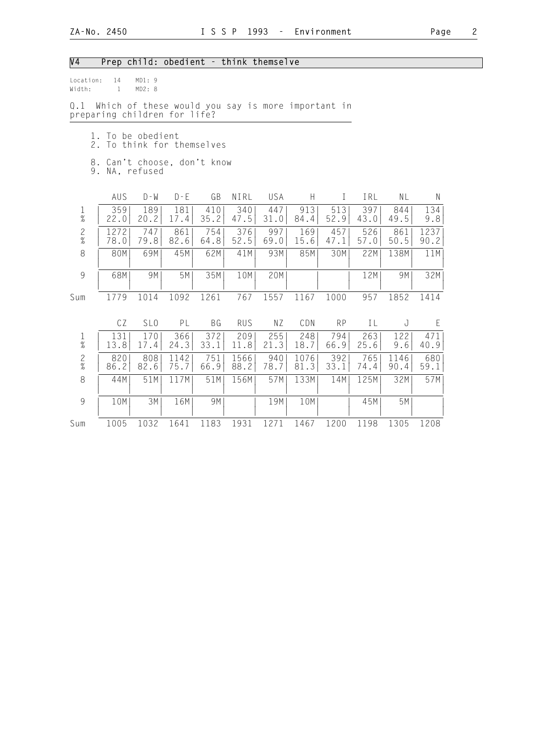# V4 Prep child: obedient - think themselve

| Location:<br>Width: | 14<br>$\mathbf{1}$                                                                | MD1:9<br>MD2: 8 |              |                         |              |             |              |             |             |              |              |
|---------------------|-----------------------------------------------------------------------------------|-----------------|--------------|-------------------------|--------------|-------------|--------------|-------------|-------------|--------------|--------------|
| 0.1                 | Which of these would you say is more important in<br>preparing children for life? |                 |              |                         |              |             |              |             |             |              |              |
| 1.<br>2.            | 8. Can't choose, don't know                                                       | To be obedient  |              | To think for themselves |              |             |              |             |             |              |              |
|                     | 9. NA, refused                                                                    |                 |              |                         |              |             |              |             |             |              |              |
|                     | AUS                                                                               | $D - W$         | $D - E$      | GB                      | NIRL         | USA         | H            | $\bf{I}$    | IRL         | NL           | N            |
| $\frac{1}{\%}$      | 359<br>22.0                                                                       | 189<br>20.2     | 181<br>17.4  | 410<br>35.2             | 340<br>47.5  | 447<br>31.0 | 913<br>84.4  | 513<br>52.9 | 397<br>43.0 | 844<br>49.5  | 134<br>9.8   |
| $\frac{2}{\%}$      | 1272<br>78.0                                                                      | 747<br>79.8     | 861<br>82.6  | 754<br>64.8             | 376<br>52.5  | 997<br>69.0 | 169<br>15.6  | 457<br>47.1 | 526<br>57.0 | 861<br>50.5  | 1237<br>90.2 |
| 8                   | 80M                                                                               | 69M             | 45M          | 62M                     | 41M          | 93M         | 85M          | 30M         | 22M         | 138M         | 11M          |
| $\overline{9}$      | 68M                                                                               | 9M              | 5M           | 35M                     | 10M          | 20M         |              |             | 12M         | 9M           | 32M          |
| Sum                 | 1779                                                                              | 1014            | 1092         | 1261                    | 767          | 1557        | 1167         | 1000        | 957         | 1852         | 1414         |
|                     | CZ                                                                                | SL <sub>0</sub> | PL           | BG                      | <b>RUS</b>   | NZ          | CDN          | <b>RP</b>   | IL          | J            | E            |
| $\frac{1}{\%}$      | 131<br>13.8                                                                       | 170<br>17.4     | 366<br>24.3  | 372<br>33.1             | 209<br>11.8  | 255<br>21.3 | 248<br>18.7  | 794<br>66.9 | 263<br>25.6 | 122<br>9.6   | 471<br>40.9  |
| $\frac{2}{\%}$      | 820<br>86.2                                                                       | 808<br>82.6     | 1142<br>75.7 | 751<br>66.9             | 1566<br>88.2 | 940<br>78.7 | 1076<br>81.3 | 392<br>33.1 | 765<br>74.4 | 1146<br>90.4 | 680<br>59.1  |
| 8                   | 44M                                                                               | 51M             | 117M         | 51M                     | 156M         | 57M         | 133M         | 14M         | 125M        | 32M          | 57M          |
| $\overline{9}$      | 10M                                                                               | 3M              | 16M          | 9M                      |              | 19M         | 10M          |             | 45M         | 5M           |              |
| Sum                 | 1005                                                                              | 1032            | 1641         | 1183                    | 1931         | 1271        | 1467         | 1200        | 1198        | 1305         | 1208         |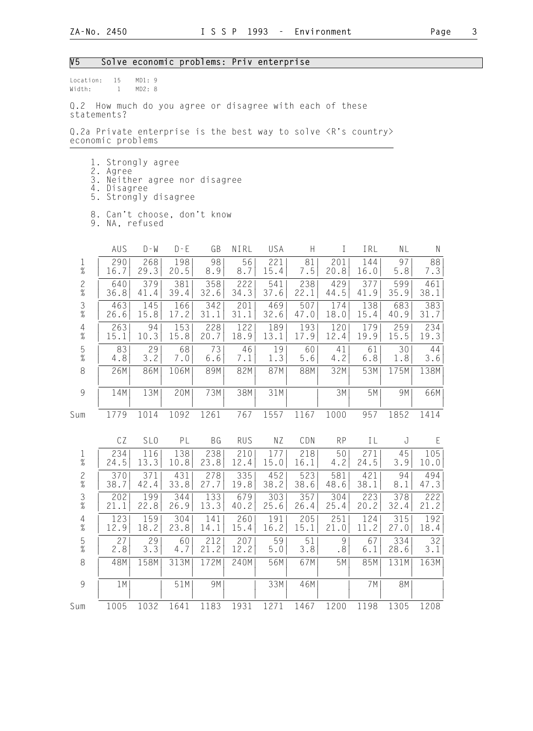#### V5 Solve economic problems: Priv enterprise

Location: 15 MD1: 9<br>Width: 1 MD2: 8 1 MD2: 8

Q.2 How much do you agree or disagree with each of these statements?

Q.2a Private enterprise is the best way to solve <R's country> economic problems

- 1. Strongly agree
- 2. Agree
- 3. Neither agree nor disagree
- 4. Disagree
	- 5. Strongly disagree
- 8. Can't choose, don't know
- 9. NA, refused

|                                                           | AUS  | $D - W$         | $D - E$ | GB        | NIRL       | USA   | $\boldsymbol{\mathsf{H}}$ | T         | IRL  | NL   | N    |
|-----------------------------------------------------------|------|-----------------|---------|-----------|------------|-------|---------------------------|-----------|------|------|------|
| $\frac{1}{\%}$                                            | 290  | 268             | 198     | 98        | 56         | 221   | 81                        | 201       | 144  | 97   | 88   |
|                                                           | 16.7 | 29.3            | 20.5    | 8.9       | 8.7        | 15.4  | $7.5\,$                   | 20.8      | 16.0 | 5.8  | 7.3  |
| $\frac{2}{\%}$                                            | 640  | 379             | 381     | 358       | 222        | 541   | 238                       | 429       | 377  | 599  | 461  |
|                                                           | 36.8 | 41.4            | 39.4    | 32.6      | 34.3       | 37.6  | 22.1                      | 44.5      | 41.9 | 35.9 | 38.1 |
| $\frac{3}{8}$                                             | 463  | 145             | 166     | 342       | 201        | 469   | 507                       | 174       | 138  | 683  | 383  |
|                                                           | 26.6 | 15.8            | 17.2    | 31.1      | 31.1       | 32.6  | 47.0                      | 18.0      | 15.4 | 40.9 | 31.7 |
| $\frac{4}{\%}$                                            | 263  | 94              | 153     | 228       | 122        | 189   | 193                       | 120       | 179  | 259  | 234  |
|                                                           | 15.1 | 10.3            | 15.8    | 20.7      | 18.9       | 13.1  | 17.9                      | 12.4      | 19.9 | 15.5 | 19.3 |
| $\frac{5}{\%}$                                            | 83   | 29              | 68      | 73        | 46         | 19    | 60                        | 41        | 61   | 30   | 44   |
|                                                           | 4.8  | 3.2             | 7.0     | 6.6       | 7.1        | 1.3   | 5.6                       | 4.2       | 6.8  | 1.8  | 3.6  |
| $\,8\,$                                                   | 26M  | 86M             | 106M    | 89M       | 82M        | 87M   | 88M                       | 32M       | 53M  | 175M | 138M |
| $\mathcal{G}% _{M_{1},M_{2}}^{\alpha,\beta}(\varepsilon)$ | 14M  | 13M             | 20M     | 73M       | 38M        | 31M   |                           | 3M        | 5M   | 9M   | 66M  |
| Sum                                                       | 1779 | 1014            | 1092    | 1261      | 767        | 1557  | 1167                      | 1000      | 957  | 1852 | 1414 |
|                                                           | CZ   | SL <sub>0</sub> | PL      | <b>BG</b> | <b>RUS</b> | NZ    | CDN                       | <b>RP</b> | IL   | J    | E    |
| $\frac{1}{\%}$                                            | 234  | 116             | 138     | 238       | 210        | 177   | 218                       | 50        | 271  | 45   | 105  |
|                                                           | 24.5 | 13.3            | 10.8    | 23.8      | 12.4       | 15.0  | 16.1                      | 4.2       | 24.5 | 3.9  | 10.0 |
| $\frac{2}{\%}$                                            | 370  | 371             | 431     | 278       | 335        | 452   | 523                       | 581       | 421  | 94   | 494  |
|                                                           | 38.7 | 42.4            | 33.8    | 27.7      | 19.8       | 38.2  | 38.6                      | 48.6      | 38.1 | 8.1  | 47.3 |
| $\frac{3}{8}$                                             | 202  | 199             | 344     | 133       | 679        | 303   | 357                       | 304       | 223  | 378  | 222  |
|                                                           | 21.1 | 22.8            | 26.9    | 13.3      | 40.2       | 25.6  | 26.4                      | 25.4      | 20.2 | 32.4 | 21.2 |
| $\frac{4}{\%}$                                            | 123  | 159             | 304     | 141       | 260        | 191   | 205                       | 251       | 124  | 315  | 192  |
|                                                           | 12.9 | 18.2            | 23.8    | 14.1      | 15.4       | 16.2  | 15.1                      | 21.0      | 11.2 | 27.0 | 18.4 |
| $\frac{5}{\%}$                                            | 27   | 29              | 60      | 212       | 207        | 59    | 51                        | 9         | 67   | 334  | 32   |
|                                                           | 2.8  | 3.3             | 4.7     | 21.2      | 12.2       | $5.0$ | 3.8                       | .8        | 6.1  | 28.6 | 3.1  |
| $\,8\,$                                                   | 48M  | 158M            | 313M    | 172M      | 240M       | 56M   | 67M                       | 5M        | 85M  | 131M | 163M |
| 9                                                         | 1M   |                 | 51M     | 9M        |            | 33M   | 46M                       |           | 7M   | 8M   |      |
| Sum                                                       | 1005 | 1032            | 1641    | 1183      | 1931       | 1271  | 1467                      | 1200      | 1198 | 1305 | 1208 |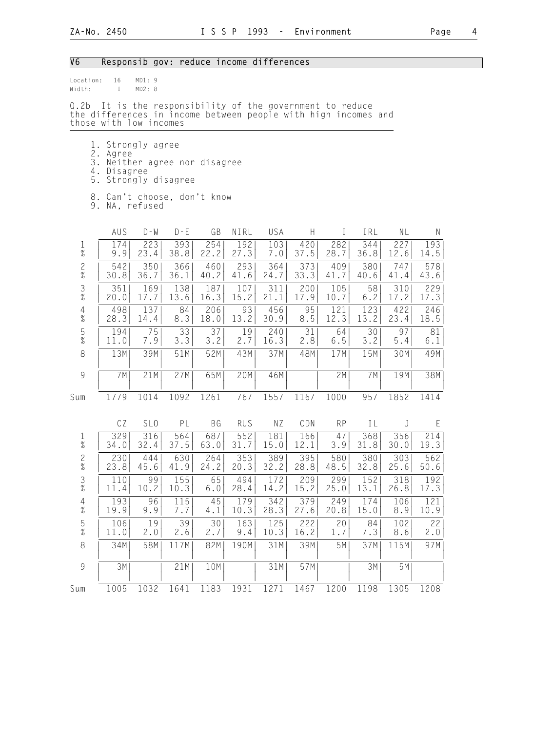# V6 Responsib gov: reduce income differences

| Location:<br>Width:                     | 16<br>$\mathbf{1}$                                                                                                                               | MD1:9<br>MD2: 8 |                   |             |             |             |             |             |             |             |             |
|-----------------------------------------|--------------------------------------------------------------------------------------------------------------------------------------------------|-----------------|-------------------|-------------|-------------|-------------|-------------|-------------|-------------|-------------|-------------|
| Q.2b                                    | It is the responsibility of the government to reduce<br>the differences in income between people with high incomes and<br>those with low incomes |                 |                   |             |             |             |             |             |             |             |             |
| 5.                                      | 1. Strongly agree<br>2. Agree<br>3. Neither agree nor disagree<br>4. Disagree                                                                    |                 | Strongly disagree |             |             |             |             |             |             |             |             |
|                                         | 8. Can't choose, don't know<br>9. NA, refused                                                                                                    |                 |                   |             |             |             |             |             |             |             |             |
|                                         | AUS                                                                                                                                              | $D - W$         | $D - E$           | GB          | NIRL        | USA         | H           | I           | IRL         | NL          | N           |
| $\frac{1}{\%}$                          | 174<br>9.9                                                                                                                                       | 223<br>23.4     | 393<br>38.8       | 254<br>22.2 | 192<br>27.3 | 103<br>7.0  | 420<br>37.5 | 282<br>28.7 | 344<br>36.8 | 227<br>12.6 | 193<br>14.5 |
| $\frac{2}{\%}$                          | 542<br>30.8                                                                                                                                      | 350<br>36.7     | 366<br>36.1       | 460<br>40.2 | 293<br>41.6 | 364<br>24.7 | 373<br>33.3 | 409<br>41.7 | 380<br>40.6 | 747<br>41.4 | 578<br>43.6 |
| $\mathfrak{Z}$<br>$\%$                  | 351<br>20.0                                                                                                                                      | 169<br>17.7     | 138<br>13.6       | 187<br>16.3 | 107<br>15.2 | 311<br>21.1 | 200<br>17.9 | 105<br>10.7 | 58<br>6.2   | 310<br>17.2 | 229<br>17.3 |
| $\frac{4}{\%}$                          | 498<br>28.3                                                                                                                                      | 137<br>14.4     | 84<br>8.3         | 206<br>18.0 | 93<br>13.2  | 456<br>30.9 | 95<br>8.5   | 121<br>12.3 | 123<br>13.2 | 422<br>23.4 | 246<br>18.5 |
| $\frac{5}{\%}$                          | 194<br>11.0                                                                                                                                      | 75<br>7.9       | 33<br>3.3         | 37<br>3.2   | 19<br>2.7   | 240<br>16.3 | 31<br>2.8   | 64<br>$6.5$ | 30<br>3.2   | 97<br>5.4   | 81<br>6.1   |
| 8                                       | 13M                                                                                                                                              | 39M             | 51M               | 52M         | 43M         | 37M         | 48M         | 17M         | 15M         | 30M         | 49M         |
| $\mathcal{G}$                           | 7 M                                                                                                                                              | 21M             | 27M               | 65M         | 20M         | 46M         |             | 2M          | 7 M         | 19M         | 38M         |
| Sum                                     | 1779                                                                                                                                             | 1014            | 1092              | 1261        | 767         | 1557        | 1167        | 1000        | 957         | 1852        | 1414        |
|                                         | CZ                                                                                                                                               | SL <sub>0</sub> | PL                | BG          | <b>RUS</b>  | NZ          | CDN         | <b>RP</b>   | IL          | J           | $\mathsf E$ |
| $\mathbf 1$<br>$\overline{\mathcal{U}}$ | 329<br>34.0                                                                                                                                      | 316<br>32.4     | 564<br>37.5       | 687<br>63.0 | 552<br>31.7 | 181<br>15.0 | 166<br>12.1 | 47<br>3.9   | 368<br>31.8 | 356<br>30.0 | 214<br>19.3 |
| $\overline{c}$<br>$\%$                  | 230<br>23.8                                                                                                                                      | 444<br>45.6     | 630<br>41.9       | 264<br>24.2 | 353<br>20.3 | 389<br>32.2 | 395<br>28.8 | 580<br>48.5 | 380<br>32.8 | 303<br>25.6 | 562<br>50.6 |
| $\frac{3}{8}$                           | 110<br>11.4                                                                                                                                      | 99<br>10.2      | 155<br>10.3       | 65<br>6.0   | 494<br>28.4 | 172<br>14.2 | 209<br>15.2 | 299<br>25.0 | 152<br>13.1 | 318<br>26.8 | 192<br>17.3 |
| 4<br>$\%$                               | 193<br>19.9                                                                                                                                      | 96<br>9.9       | 115<br>7.7        | 45<br>4.1   | 179<br>10.3 | 342<br>28.3 | 379<br>27.6 | 249<br>20.8 | 174<br>15.0 | 106<br>8.9  | 121<br>10.9 |
| 5<br>$\%$                               | 106<br>11.0                                                                                                                                      | 19<br>2.0       | 39<br>2.6         | 30<br>2.7   | 163<br>9.4  | 125<br>10.3 | 222<br>16.2 | 20<br>1.7   | 84<br>7.3   | 102<br>8.6  | 22<br>2.0   |
| 8                                       | 34M                                                                                                                                              | 58M             | 117M              | 82M         | 190M        | 31M         | 39M         | 5M          | 37M         | 115M        | 97M         |
| $\overline{9}$                          | 3M                                                                                                                                               |                 | 21M               | 10M         |             | 31M         | 57M         |             | 3M          | 5M          |             |
| Sum                                     | 1005                                                                                                                                             | 1032            | 1641              | 1183        | 1931        | 1271        | 1467        | 1200        | 1198        | 1305        | 1208        |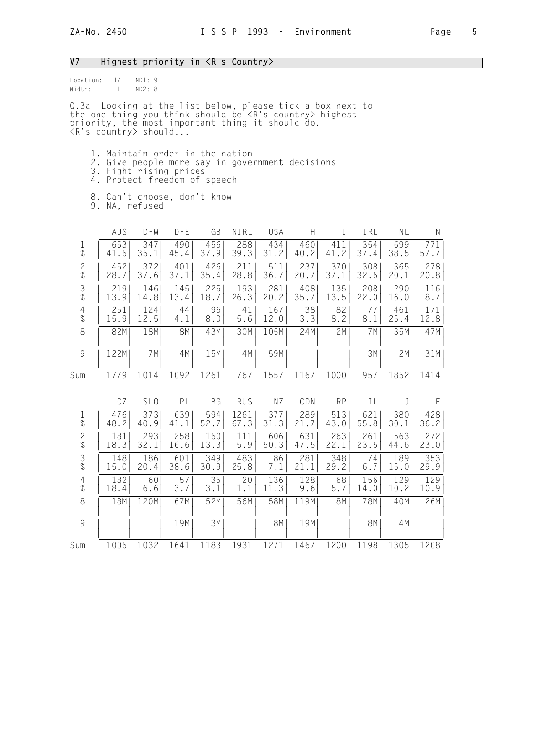#### V7 Highest priority in <R s Country>

| location: | 17 | MD1:9  |  |
|-----------|----|--------|--|
| Width:    |    | MD2: R |  |

Q.3a Looking at the list below, please tick a box next to the one thing you think should be <R's country> highest priority, the most important thing it should do. <R's country> should...

- 1. Maintain order in the nation
- 2. Give people more say in government decisions
- 3. Fight rising prices
- 4. Protect freedom of speech
- 8. Can't choose, don't know 9. NA, refused

|                                            | AUS  | $D - W$         | $D - E$ | GB        | NIRL       | USA       | H    | $\mathbb{I}$ | IRL       | NL   | N    |
|--------------------------------------------|------|-----------------|---------|-----------|------------|-----------|------|--------------|-----------|------|------|
| $\frac{1}{\%}$                             | 653  | 347             | 490     | 456       | 288        | 434       | 460  | 411          | 354       | 699  | 771  |
|                                            | 41.5 | 35.1            | 45.4    | 37.9      | 39.3       | 31.2      | 40.2 | 41.2         | 37.4      | 38.5 | 57.7 |
| $\frac{2}{\%}$                             | 452  | 372             | 401     | 426       | 211        | 511       | 237  | 370          | 308       | 365  | 278  |
|                                            | 28.7 | 37.6            | 37.1    | 35.4      | 28.8       | 36.7      | 20.7 | 37.1         | 32.5      | 20.1 | 20.8 |
| $\frac{3}{8}$                              | 219  | 146             | 145     | 225       | 193        | 281       | 408  | 135          | 208       | 290  | 116  |
|                                            | 13.9 | 14.8            | 13.4    | 18.7      | 26.3       | 20.2      | 35.7 | 13.5         | 22.0      | 16.0 | 8.7  |
| $\frac{4}{\%}$                             | 251  | 124             | 44      | 96        | 41         | 167       | 38   | 82           | 77        | 461  | 171  |
|                                            | 15.9 | 12.5            | 4.1     | 8.0       | 5.6        | 12.0      | 3.3  | 8.2          | 8.1       | 25.4 | 12.8 |
| 8                                          | 82M  | 18M             | 8M      | 43M       | 30M        | 105M      | 24M  | 2M           | 7M        | 35M  | 47M  |
| 9                                          | 122M | 7M              | 4M      | 15M       | 4M         | 59M       |      |              | 3M        | 2M   | 31M  |
| Sum                                        | 1779 | 1014            | 1092    | 1261      | 767        | 1557      | 1167 | 1000         | 957       | 1852 | 1414 |
|                                            |      |                 |         |           |            |           |      |              |           |      |      |
|                                            | CZ   | SL <sub>0</sub> | PL      | <b>BG</b> | <b>RUS</b> | NZ        | CDN  | <b>RP</b>    | IL        | J    | E    |
| $\frac{1}{\%}$                             | 476  | 373             | 639     | 594       | 1261       | 377       | 289  | 513          | 621       | 380  | 428  |
|                                            | 48.2 | 40.9            | 41.1    | 52.7      | 67.3       | 31.3      | 21.7 | 43.0         | 55.8      | 30.1 | 36.2 |
| $\frac{2}{\%}$                             | 181  | 293             | 258     | 150       | 111        | 606       | 631  | 263          | 261       | 563  | 272  |
|                                            | 18.3 | 32.1            | 16.6    | 13.3      | 5.9        | 50.3      | 47.5 | 22.1         | 23.5      | 44.6 | 23.0 |
| $\frac{3}{8}$                              | 148  | 186             | 601     | 349       | 483        | 86        | 281  | 348          | 74        | 189  | 353  |
|                                            | 15.0 | 20.4            | 38.6    | 30.9      | 25.8       | 7.1       | 21.1 | 29.2         | $6.7$     | 15.0 | 29.9 |
| $\begin{array}{c} 4 \\ 2 \\ 0 \end{array}$ | 182  | 60              | 57      | 35        | 20         | 136       | 128  | 68           | 156       | 129  | 129  |
|                                            | 18.4 | 6.6             | 3.7     | 3.1       | 1.1        | 11.3      | 9.6  | 5.7          | 14.0      | 10.2 | 10.9 |
| $\,8\,$                                    | 18M  | 120M            | 67M     | 52M       | 56M        | 58M       | 119M | <b>8M</b>    | 78M       | 40M  | 26M  |
| $\overline{9}$                             |      |                 | 19M     | 3M        |            | <b>8M</b> | 19M  |              | <b>8M</b> | 4M   |      |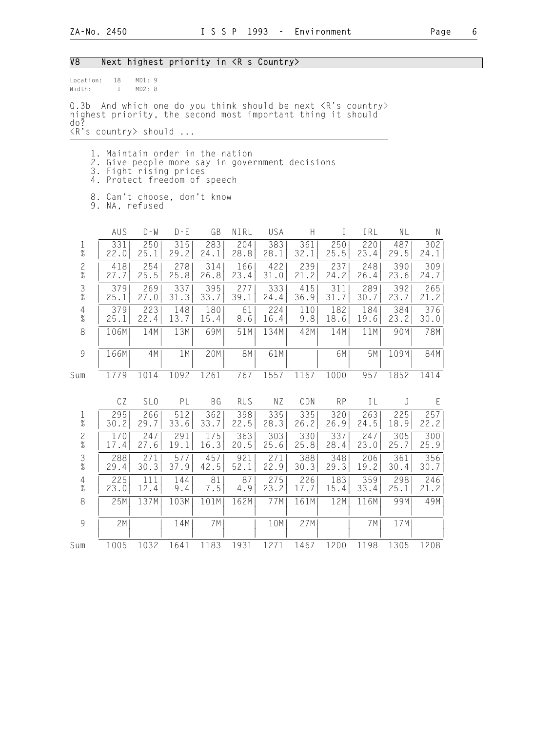| Location:               | 18                                                                                                                                                                  |                  |             |             |             |             |             |             |             |             |             |
|-------------------------|---------------------------------------------------------------------------------------------------------------------------------------------------------------------|------------------|-------------|-------------|-------------|-------------|-------------|-------------|-------------|-------------|-------------|
| Width:                  | $\mathbf{1}$                                                                                                                                                        | MD1: 9<br>MD2: 8 |             |             |             |             |             |             |             |             |             |
| 0.3 <sub>b</sub><br>do? | And which one do you think should be next <r's country=""><br/>highest priority, the second most important thing it should<br/><r's country=""> should </r's></r's> |                  |             |             |             |             |             |             |             |             |             |
|                         |                                                                                                                                                                     |                  |             |             |             |             |             |             |             |             |             |
|                         | 1. Maintain order in the nation<br>2. Give people more say in government decisions<br>3. Fight rising prices<br>4. Protect freedom of speech                        |                  |             |             |             |             |             |             |             |             |             |
|                         | 8. Can't choose, don't know<br>9. NA, refused                                                                                                                       |                  |             |             |             |             |             |             |             |             |             |
|                         | AUS                                                                                                                                                                 | $D - W$          | $D - E$     | GB          | NIRL        | USA         | H           | $\perp$     | IRL         | NL          | N.          |
| $\frac{1}{\%}$          | 331<br>22.0                                                                                                                                                         | 250<br>25.1      | 315<br>29.2 | 283<br>24.1 | 204<br>28.8 | 383<br>28.1 | 361<br>32.1 | 250<br>25.5 | 220<br>23.4 | 487<br>29.5 | 302<br>24.1 |
| $\mathbf{2}$<br>$\%$    | 418<br>27.7                                                                                                                                                         | 254<br>25.5      | 278<br>25.8 | 314<br>26.8 | 166<br>23.4 | 422<br>31.0 | 239<br>21.2 | 237<br>24.2 | 248<br>26.4 | 390<br>23.6 | 309<br>24.7 |
| $\mathfrak{Z}$<br>$\%$  | 379<br>25.1                                                                                                                                                         | 269<br>27.0      | 337<br>31.3 | 395<br>33.7 | 277<br>39.1 | 333<br>24.4 | 415<br>36.9 | 311<br>31.7 | 289<br>30.7 | 392<br>23.7 | 265<br>21.2 |
| 4<br>$\%$               | 379<br>25.1                                                                                                                                                         | 223<br>22.4      | 148<br>13.7 | 180<br>15.4 | 61<br>8.6   | 224<br>16.4 | 110<br>9.8  | 182<br>18.6 | 184<br>19.6 | 384<br>23.2 | 376<br>30.0 |
| 8                       | 106M                                                                                                                                                                | 14M              | 13M         | 69M         | 51M         | 134M        | 42M         | 14M         | 11M         | 90M         | 78M         |
| $\mathcal{G}$           | 166M                                                                                                                                                                | 4M               | 1 M         | 20M         | 8M          | 61M         |             | 6M          | 5M          | 109M        | 84M         |
| Sum                     | 1779                                                                                                                                                                | 1014             | 1092        | 1261        | 767         | 1557        | 1167        | 1000        | 957         | 1852        | 1414        |
|                         | CZ                                                                                                                                                                  | SL <sub>0</sub>  | PL          | BG          | <b>RUS</b>  | ΝZ          | CDN         | <b>RP</b>   | IL          | J           | E           |
| $\mathbf{1}$<br>$\%$    | 295<br>30.2                                                                                                                                                         | 266<br>29.7      | 512<br>33.6 | 362<br>33.7 | 398<br>22.5 | 335<br>28.3 | 335<br>26.2 | 320<br>26.9 | 263<br>24.5 | 225<br>18.9 | 257<br>22.2 |
| $\mathbf{2}$<br>$\%$    | 170<br>17.4                                                                                                                                                         | 247<br>27.6      | 291<br>19.1 | 175<br>16.3 | 363<br>20.5 | 303<br>25.6 | 330<br>25.8 | 337<br>28.4 | 247<br>23.0 | 305<br>25.7 | 300<br>25.9 |
| $\frac{3}{8}$           | 288<br>29.4                                                                                                                                                         | 271<br>30.3      | 577<br>37.9 | 457<br>42.5 | 921<br>52.1 | 271<br>22.9 | 388<br>30.3 | 348<br>29.3 | 206<br>19.2 | 361<br>30.4 | 356<br>30.7 |
| $\overline{4}$<br>$\%$  | 225<br>23.0                                                                                                                                                         | 111<br>12.4      | 144<br>9.4  | 81<br>7.5   | 87<br>4.9   | 275<br>23.2 | 226<br>17.7 | 183<br>15.4 | 359<br>33.4 | 298<br>25.1 | 246<br>21.2 |
| 8                       | 25M                                                                                                                                                                 | 137M             | 103M        | 101M        | 162M        | 77M         | 161M        | 12M         | 116M        | 99M         | 49M         |
| 9                       | 2M                                                                                                                                                                  |                  | 14M         | 7M          |             | 10M         | 27M         |             | 7 M         | 17M         |             |
| Sum                     | 1005                                                                                                                                                                | 1032             | 1641        | 1183        | 1931        | 1271        | 1467        | 1200        | 1198        | 1305        | 1208        |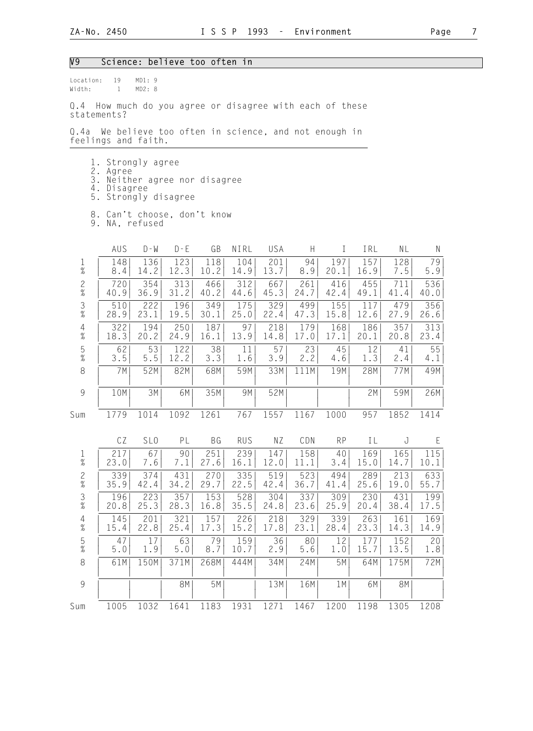#### V9 Science: believe too often in

| location: | 19 | MD1:9  |  |
|-----------|----|--------|--|
| Width:    |    | MD2: 8 |  |

Q.4 How much do you agree or disagree with each of these statements?

Q.4a We believe too often in science, and not enough in feelings and faith.

- 1. Strongly agree
- 2. Agree
- 3. Neither agree nor disagree
- 4. Disagree
	- 5. Strongly disagree
- 8. Can't choose, don't know
- 9. NA, refused

|                                                           | AUS   | $D - W$         | $D - E$ | GB   | NIRL       | USA  | H    | $\mathbf I$ | IRL  | NL   | $\mathsf{N}$ |
|-----------------------------------------------------------|-------|-----------------|---------|------|------------|------|------|-------------|------|------|--------------|
| $\frac{1}{\%}$                                            | 148   | 136             | 123     | 118  | 104        | 201  | 94   | 197         | 157  | 128  | 79           |
|                                                           | 8.4   | 14.2            | 12.3    | 10.2 | 14.9       | 13.7 | 8.9  | 20.1        | 16.9 | 7.5  | $5.9$        |
| $\frac{2}{\%}$                                            | 720   | 354             | 313     | 466  | 312        | 667  | 261  | 416         | 455  | 711  | 536          |
|                                                           | 40.9  | 36.9            | 31.2    | 40.2 | 44.6       | 45.3 | 24.7 | 42.4        | 49.1 | 41.4 | 40.0         |
| $\frac{3}{8}$                                             | 510   | 222             | 196     | 349  | 175        | 329  | 499  | 155         | 117  | 479  | 356          |
|                                                           | 28.9  | 23.1            | 19.5    | 30.1 | 25.0       | 22.4 | 47.3 | 15.8        | 12.6 | 27.9 | 26.6         |
| $\frac{4}{\%}$                                            | 322   | 194             | 250     | 187  | 97         | 218  | 179  | 168         | 186  | 357  | 313          |
|                                                           | 18.3  | 20.2            | 24.9    | 16.1 | 13.9       | 14.8 | 17.0 | 17.1        | 20.1 | 20.8 | 23.4         |
| $\frac{5}{\%}$                                            | 62    | 53              | 122     | 38   | 11         | 57   | 23   | 45          | 12   | 41   | 55           |
|                                                           | 3.5   | 5.5             | 12.2    | 3.3  | 1.6        | 3.9  | 2.2  | 4.6         | 1.3  | 2.4  | 4.1          |
| $\,8\,$                                                   | 7M    | 52M             | 82M     | 68M  | 59M        | 33M  | 111M | 19M         | 28M  | 77M  | 49M          |
| $\mathcal{G}% _{M_{1},M_{2}}^{\alpha,\beta}(\varepsilon)$ | 10M   | 3M              | 6M      | 35M  | 9M         | 52M  |      |             | 2M   | 59M  | 26M          |
| Sum                                                       | 1779  | 1014            | 1092    | 1261 | 767        | 1557 | 1167 | 1000        | 957  | 1852 | 1414         |
|                                                           | CZ    | SL <sub>0</sub> | PL      | BG   | <b>RUS</b> | NZ   | CDN  | <b>RP</b>   | IL   | J    | E            |
| $\frac{1}{\%}$                                            | 217   | 67              | 90      | 251  | 239        | 147  | 158  | 40          | 169  | 165  | 115          |
|                                                           | 23.0  | 7.6             | 7.1     | 27.6 | 16.1       | 12.0 | 11.1 | 3.4         | 15.0 | 14.7 | 10.1         |
| $\frac{2}{\%}$                                            | 339   | 374             | 431     | 270  | 335        | 519  | 523  | 494         | 289  | 213  | 633          |
|                                                           | 35.9  | 42.4            | 34.2    | 29.7 | 22.5       | 42.4 | 36.7 | 41.4        | 25.6 | 19.0 | 55.7         |
| $\frac{3}{8}$                                             | 196   | 223             | 357     | 153  | 528        | 304  | 337  | 309         | 230  | 431  | 199          |
|                                                           | 20.8  | 25.3            | 28.3    | 16.8 | 35.5       | 24.8 | 23.6 | 25.9        | 20.4 | 38.4 | 17.5         |
| $\frac{4}{\%}$                                            | 145   | 201             | 321     | 157  | 226        | 218  | 329  | 339         | 263  | 161  | 169          |
|                                                           | 15.4  | 22.8            | 25.4    | 17.3 | 15.2       | 17.8 | 23.1 | 28.4        | 23.3 | 14.3 | 14.9         |
| $\frac{5}{\%}$                                            | 47    | 17              | 63      | 79   | 159        | 36   | 80   | 12          | 177  | 152  | 20           |
|                                                           | $5.0$ | 1.9             | $5.0$   | 8.7  | 10.7       | 2.9  | 5.6  | 1.0         | 15.7 | 13.5 | 1.8          |
| 8                                                         | 61M   | 150M            | 371M    | 268M | 444M       | 34M  | 24M  | 5M          | 64M  | 175M | 72M          |
| $\overline{9}$                                            |       |                 |         |      |            |      | 16M  | 1M          | 6M   | 8M   |              |
|                                                           |       |                 | 8M      | 5M   |            | 13M  |      |             |      |      |              |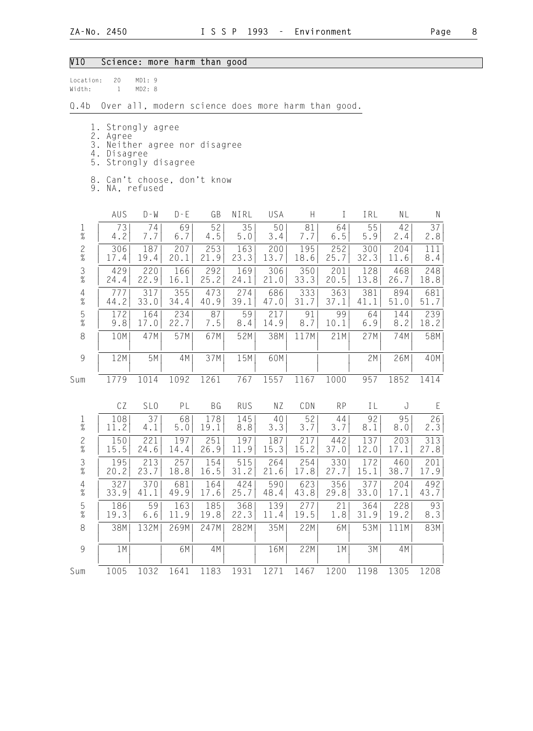## V10 Science: more harm than good

| location: | 20 | MD1:9  |  |
|-----------|----|--------|--|
| Width:    |    | MD2: R |  |

Q.4b Over all, modern science does more harm than good.

- 1. Strongly agree
- 2. Agree
- 3. Neither agree nor disagree
- 4. Disagree
- 5. Strongly disagree
- 8. Can't choose, don't know
- 9. NA, refused

|                                            | AUS  | $D - W$         | $D - E$ | GB      | NIRL       | USA  | $\boldsymbol{\mathsf{H}}$ | T         | IRL  | NL   | $\mathsf{N}$ |
|--------------------------------------------|------|-----------------|---------|---------|------------|------|---------------------------|-----------|------|------|--------------|
| $\frac{1}{\%}$                             | 73   | 74              | 69      | 52      | 35         | 50   | 81                        | 64        | 55   | 42   | 37           |
|                                            | 4.2  | 7.7             | 6.7     | $4.5\,$ | $5.0$      | 3.4  | 7.7                       | $6.5$     | 5.9  | 2.4  | 2.8          |
| $\frac{2}{\%}$                             | 306  | 187             | 207     | 253     | 163        | 200  | 195                       | 252       | 300  | 204  | 111          |
|                                            | 17.4 | 19.4            | 20.1    | 21.9    | 23.3       | 13.7 | 18.6                      | 25.7      | 32.3 | 11.6 | 8.4          |
| $\frac{3}{8}$                              | 429  | 220             | 166     | 292     | 169        | 306  | 350                       | 201       | 128  | 468  | 248          |
|                                            | 24.4 | 22.9            | 16.1    | 25.2    | 24.1       | 21.0 | 33.3                      | 20.5      | 13.8 | 26.7 | 18.8         |
| $\begin{array}{c} 4 \\ 2 \\ 0 \end{array}$ | 777  | 317             | 355     | 473     | 274        | 686  | 333                       | 363       | 381  | 894  | 681          |
|                                            | 44.2 | 33.0            | 34.4    | 40.9    | 39.1       | 47.0 | 31.7                      | 37.1      | 41.1 | 51.0 | 51.7         |
| $\frac{5}{\%}$                             | 172  | 164             | 234     | 87      | 59         | 217  | 91                        | 99        | 64   | 144  | 239          |
|                                            | 9.8  | 17.0            | 22.7    | 7.5     | 8.4        | 14.9 | 8.7                       | 10.1      | 6.9  | 8.2  | 18.2         |
| $\,8\,$                                    | 10M  | 47M             | 57M     | 67M     | 52M        | 38M  | 117M                      | 21M       | 27M  | 74M  | 58M          |
| $\overline{9}$                             | 12M  | 5M              | 4M      | 37M     | 15M        | 60M  |                           |           | 2M   | 26M  | 40M          |
| Sum                                        | 1779 | 1014            | 1092    | 1261    | 767        | 1557 | 1167                      | 1000      | 957  | 1852 | 1414         |
|                                            | CZ   | SL <sub>0</sub> | PL      | BG      | <b>RUS</b> | NZ   | CDN                       | <b>RP</b> | IL   | J    | E            |
| $\frac{1}{\%}$                             | 108  | 37              | 68      | 178     | 145        | 40   | 52                        | 44        | 92   | 95   | 26           |
|                                            | 11.2 | 4.1             | 5.0     | 19.1    | 8.8        | 3.3  | 3.7                       | 3.7       | 8.1  | 8.0  | 2.3          |
| $\frac{2}{\%}$                             | 150  | 221             | 197     | 251     | 197        | 187  | 217                       | 442       | 137  | 203  | 313          |
|                                            | 15.5 | 24.6            | 14.4    | 26.9    | 11.9       | 15.3 | 15.2                      | 37.0      | 12.0 | 17.1 | 27.8         |
| $\frac{3}{8}$                              | 195  | 213             | 257     | 154     | 515        | 264  | 254                       | 330       | 172  | 460  | 201          |
|                                            | 20.2 | 23.7            | 18.8    | 16.5    | 31.2       | 21.6 | 17.8                      | 27.7      | 15.1 | 38.7 | 17.9         |
| $\begin{array}{c} 4 \\ 2 \\ 0 \end{array}$ | 327  | 370             | 681     | 164     | 424        | 590  | 623                       | 356       | 377  | 204  | 492          |
|                                            | 33.9 | 41.1            | 49.9    | 17.6    | 25.7       | 48.4 | 43.8                      | 29.8      | 33.0 | 17.1 | 43.7         |
| $\frac{5}{\%}$                             | 186  | 59              | 163     | 185     | 368        | 139  | 277                       | 21        | 364  | 228  | 93           |
|                                            | 19.3 | 6.6             | 11.9    | 19.8    | 22.3       | 11.4 | 19.5                      | 1.8       | 31.9 | 19.2 | 8.3          |
| $\,8\,$                                    | 38M  | 132M            | 269M    | 247M    | 282M       | 35M  | 22M                       | 6M        | 53M  | 111M | 83M          |
| 9                                          | 1M   |                 | 6M      | 4M      |            | 16M  | 22M                       | 1M        | 3M   | 4M   |              |
| Sum                                        | 1005 | 1032            | 1641    | 1183    | 1931       | 1271 | 1467                      | 1200      | 1198 | 1305 | 1208         |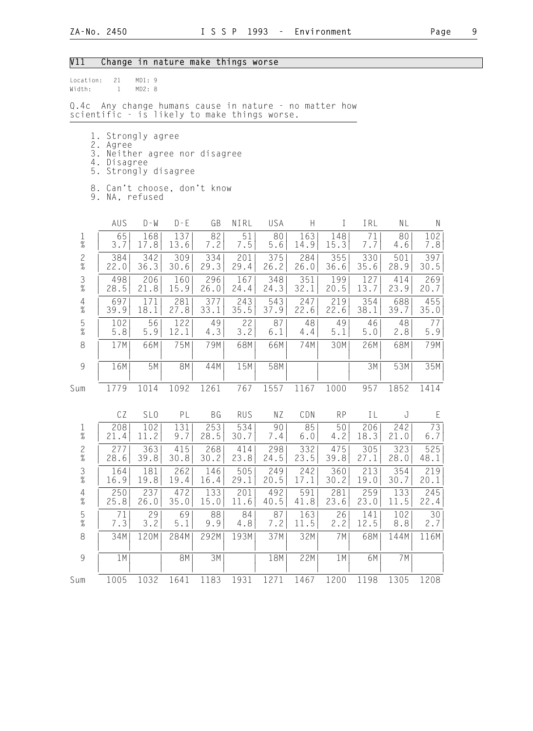## V11 Change in nature make things worse

| location: | 21 | MD1:9  |  |
|-----------|----|--------|--|
| Width:    |    | MD2: R |  |

Q.4c Any change humans cause in nature - no matter how scientific - is likely to make things worse.

- 1. Strongly agree
- 2. Agree
- 3. Neither agree nor disagree
- 4. Disagree
	- 5. Strongly disagree
	- 8. Can't choose, don't know
	- 9. NA, refused

|                                            | AUS  | $D - W$         | $D - E$   | GB        | NIRL       | USA   | $\boldsymbol{\mathsf{H}}$ | $\rm I$   | IRL   | NL   | $\mathsf{N}$ |
|--------------------------------------------|------|-----------------|-----------|-----------|------------|-------|---------------------------|-----------|-------|------|--------------|
| $\frac{1}{\%}$                             | 65   | 168             | 137       | 82        | 51         | 80    | 163                       | 148       | 71    | 80   | 102          |
|                                            | 3.7  | 17.8            | 13.6      | 7.2       | 7.5        | $5.6$ | 14.9                      | 15.3      | 7.7   | 4.6  | 7.8          |
| $\frac{2}{\%}$                             | 384  | 342             | 309       | 334       | 201        | 375   | 284                       | 355       | 330   | 501  | 397          |
|                                            | 22.0 | 36.3            | 30.6      | 29.3      | 29.4       | 26.2  | 26.0                      | 36.6      | 35.6  | 28.9 | 30.5         |
| $\frac{3}{8}$                              | 498  | 206             | 160       | 296       | 167        | 348   | 351                       | 199       | 127   | 414  | 269          |
|                                            | 28.5 | 21.8            | 15.9      | 26.0      | 24.4       | 24.3  | 32.1                      | 20.5      | 13.7  | 23.9 | 20.7         |
| $\begin{array}{c} 4 \\ 2 \\ 0 \end{array}$ | 697  | 171             | 281       | 377       | 243        | 543   | 247                       | 219       | 354   | 688  | 455          |
|                                            | 39.9 | 18.1            | 27.8      | 33.1      | 35.5       | 37.9  | 22.6                      | 22.6      | 38.1  | 39.7 | 35.0         |
| $\frac{5}{\%}$                             | 102  | 56              | 122       | 49        | 22         | 87    | 48                        | 49        | 46    | 48   | 77           |
|                                            | 5.8  | 5.9             | 12.1      | 4.3       | 3.2        | 6.1   | 4.4                       | 5.1       | $5.0$ | 2.8  | 5.9          |
| $\,8\,$                                    | 17M  | 66M             | 75M       | 79M       | 68M        | 66M   | 74M                       | 30M       | 26M   | 68M  | 79M          |
| $\overline{9}$                             | 16M  | 5M              | <b>8M</b> | 44M       | 15M        | 58M   |                           |           | 3M    | 53M  | 35M          |
| Sum                                        | 1779 | 1014            | 1092      | 1261      | 767        | 1557  | 1167                      | 1000      | 957   | 1852 | 1414         |
|                                            | CZ   | SL <sub>0</sub> | PL        | <b>BG</b> | <b>RUS</b> | ΝZ    | CDN                       | <b>RP</b> | IL    | J    | E            |
| $\frac{1}{\%}$                             | 208  | 102             | 131       | 253       | 534        | 90    | 85                        | 50        | 206   | 242  | 73           |
|                                            | 21.4 | 11.2            | 9.7       | 28.5      | 30.7       | 7.4   | $6.0$                     | 4.2       | 18.3  | 21.0 | 6.7          |
| $\frac{2}{\%}$                             | 277  | 363             | 415       | 268       | 414        | 298   | 332                       | 475       | 305   | 323  | 525          |
|                                            | 28.6 | 39.8            | 30.8      | 30.2      | 23.8       | 24.5  | 23.5                      | 39.8      | 27.1  | 28.0 | 48.1         |
| $\frac{3}{8}$                              | 164  | 181             | 262       | 146       | 505        | 249   | 242                       | 360       | 213   | 354  | 219          |
|                                            | 16.9 | 19.8            | 19.4      | 16.4      | 29.1       | 20.5  | 17.1                      | 30.2      | 19.0  | 30.7 | 20.1         |
| $\frac{4}{\%}$                             | 250  | 237             | 472       | 133       | 201        | 492   | 591                       | 281       | 259   | 133  | 245          |
|                                            | 25.8 | 26.0            | 35.0      | 15.0      | 11.6       | 40.5  | 41.8                      | 23.6      | 23.0  | 11.5 | 22.4         |
| $\frac{5}{\%}$                             | 71   | 29              | 69        | 88        | 84         | 87    | 163                       | 26        | 141   | 102  | 30           |
|                                            | 7.3  | 3.2             | 5.1       | 9.9       | 4.8        | 7.2   | 11.5                      | 2.2       | 12.5  | 8.8  | 2.7          |
| $\,8\,$                                    | 34M  | 120M            | 284M      | 292M      | 193M       | 37M   | 32M                       | 7M        | 68M   | 144M | 116M         |
| 9                                          | 1M   |                 | 8M        | 3M        |            | 18M   | 22M                       | 1M        | 6M    | 7M   |              |
| Sum                                        | 1005 | 1032            | 1641      | 1183      | 1931       | 1271  | 1467                      | 1200      | 1198  | 1305 | 1208         |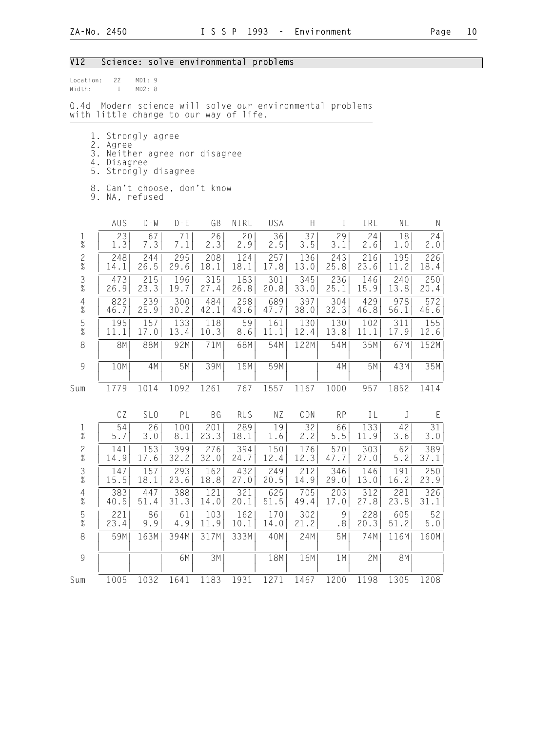## V12 Science: solve environmental problems

| Location:<br>Width: | 22 MD1:9<br>1 MD2:8                                                                                   |
|---------------------|-------------------------------------------------------------------------------------------------------|
|                     | Q.4d  Modern science will solve our environmental problems<br>with little change to our way of life.  |
|                     | 1. Strongly agree<br>2. Agree<br>3. Neither agree nor disagree<br>4. Disagree<br>5. Strongly disagree |
| 9.                  | 8. Can't choose, don't know<br>NA, refused                                                            |

|                | AUS  | $D - W$         | $D - E$ | GB   | NIRL       | USA  | Н    | $\bf I$   | IRL  | NL   | ${\sf N}$ |
|----------------|------|-----------------|---------|------|------------|------|------|-----------|------|------|-----------|
| $\frac{1}{\%}$ | 23   | 67              | 71      | 26   | 20         | 36   | 37   | 29        | 24   | 18   | 24        |
|                | 1.3  | 7.3             | 7.1     | 2.3  | 2.9        | 2.5  | 3.5  | 3.1       | 2.6  | 1.0  | 2.0       |
| $\frac{2}{\%}$ | 248  | 244             | 295     | 208  | 124        | 257  | 136  | 243       | 216  | 195  | 226       |
|                | 14.1 | 26.5            | 29.6    | 18.1 | 18.1       | 17.8 | 13.0 | 25.8      | 23.6 | 11.2 | 18.4      |
| $\frac{3}{8}$  | 473  | 215             | 196     | 315  | 183        | 301  | 345  | 236       | 146  | 240  | 250       |
|                | 26.9 | 23.3            | 19.7    | 27.4 | 26.8       | 20.8 | 33.0 | 25.1      | 15.9 | 13.8 | 20.4      |
| $\frac{4}{\%}$ | 822  | 239             | 300     | 484  | 298        | 689  | 397  | 304       | 429  | 978  | 572       |
|                | 46.7 | 25.9            | 30.2    | 42.1 | 43.6       | 47.7 | 38.0 | 32.3      | 46.8 | 56.1 | 46.6      |
| $\frac{5}{\%}$ | 195  | 157             | 133     | 118  | 59         | 161  | 130  | 130       | 102  | 311  | 155       |
|                | 11.1 | 17.0            | 13.4    | 10.3 | 8.6        | 11.1 | 12.4 | 13.8      | 11.1 | 17.9 | 12.6      |
| 8              | 8M   | 88M             | 92M     | 71M  | 68M        | 54M  | 122M | 54M       | 35M  | 67M  | 152M      |
| 9              | 10M  | 4M              | 5M      | 39M  | 15M        | 59M  |      | 4M        | 5M   | 43M  | 35M       |
| Sum            | 1779 | 1014            | 1092    | 1261 | 767        | 1557 | 1167 | 1000      | 957  | 1852 | 1414      |
|                | CZ   | SL <sub>0</sub> | PL      | BG   | <b>RUS</b> | ΝZ   | CDN  | <b>RP</b> | IL   | J    | E         |
| $\frac{1}{\%}$ | 54   | 26              | 100     | 201  | 289        | 19   | 32   | 66        | 133  | 42   | 31        |
|                | 5.7  | 3.0             | 8.1     | 23.3 | 18.1       | 1.6  | 2.2  | $5.5$     | 11.9 | 3.6  | 3.0       |
| $\frac{2}{\%}$ | 141  | 153             | 399     | 276  | 394        | 150  | 176  | 570       | 303  | 62   | 389       |
|                | 14.9 | 17.6            | 32.2    | 32.0 | 24.7       | 12.4 | 12.3 | 47.7      | 27.0 | 5.2  | 37.1      |
| $\frac{3}{8}$  | 147  | 157             | 293     | 162  | 432        | 249  | 212  | 346       | 146  | 191  | 250       |
|                | 15.5 | 18.1            | 23.6    | 18.8 | 27.0       | 20.5 | 14.9 | 29.0      | 13.0 | 16.2 | 23.9      |
| $\frac{4}{\%}$ | 383  | 447             | 388     | 121  | 321        | 625  | 705  | 203       | 312  | 281  | 326       |
|                | 40.5 | 51.4            | 31.3    | 14.0 | 20.1       | 51.5 | 49.4 | 17.0      | 27.8 | 23.8 | 31.1      |
| $\frac{5}{\%}$ | 221  | 86              | 61      | 103  | 162        | 170  | 302  | 9         | 228  | 605  | 52        |
|                | 23.4 | 9.9             | 4.9     | 11.9 | 10.1       | 14.0 | 21.2 | .8        | 20.3 | 51.2 | 5.0       |
| 8              | 59M  | 163M            | 394M    | 317M | 333M       | 40M  | 24M  | 5M        | 74M  | 116M | 160M      |
| 9              |      |                 | 6M      | 3M   |            | 18M  | 16M  | 1 M       | 2M   | 8M   |           |
| Sum            | 1005 | 1032            | 1641    | 1183 | 1931       | 1271 | 1467 | 1200      | 1198 | 1305 | 1208      |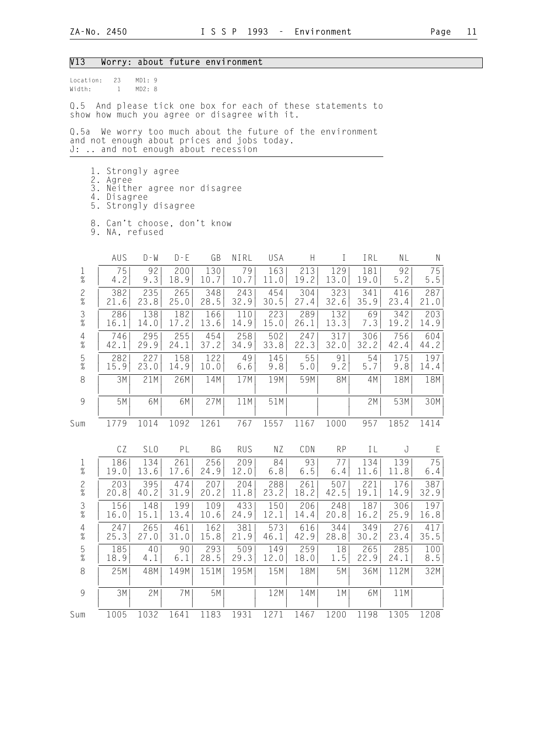#### V13 Worry: about future environment

Location: 23 MD1: 9 Width: 1 MD2: 8

Q.5 And please tick one box for each of these statements to show how much you agree or disagree with it.

Q.5a We worry too much about the future of the environment and not enough about prices and jobs today. J: .. and not enough about recession

- 1. Strongly agree
- 2. Agree
- 3. Neither agree nor disagree
	- 4. Disagree 5. Strongly disagree
- 8. Can't choose, don't know
- 9. NA, refused

|                                            | AUS  | $D - W$         | $D - E$ | GB        | NIRL       | USA   | $\boldsymbol{\mathsf{H}}$ | T         | IRL  | NL    | $\mathsf{N}$ |
|--------------------------------------------|------|-----------------|---------|-----------|------------|-------|---------------------------|-----------|------|-------|--------------|
| $\frac{1}{\%}$                             | 75   | 92              | 200     | 130       | 79         | 163   | 213                       | 129       | 181  | 92    | 75           |
|                                            | 4.2  | 9.3             | 18.9    | 10.7      | 10.7       | 11.0  | 19.2                      | 13.0      | 19.0 | $5.2$ | $5.5$        |
| $\frac{2}{\%}$                             | 382  | 235             | 265     | 348       | 243        | 454   | 304                       | 323       | 341  | 416   | 287          |
|                                            | 21.6 | 23.8            | 25.0    | 28.5      | 32.9       | 30.5  | 27.4                      | 32.6      | 35.9 | 23.4  | 21.0         |
| $\frac{3}{8}$                              | 286  | 138             | 182     | 166       | 110        | 223   | 289                       | 132       | 69   | 342   | 203          |
|                                            | 16.1 | 14.0            | 17.2    | 13.6      | 14.9       | 15.0  | 26.1                      | 13.3      | 7.3  | 19.2  | 14.9         |
| $\begin{array}{c} 4 \\ 2 \\ 0 \end{array}$ | 746  | 295             | 255     | 454       | 258        | 502   | 247                       | 317       | 306  | 756   | 604          |
|                                            | 42.1 | 29.9            | 24.1    | 37.2      | 34.9       | 33.8  | 22.3                      | 32.0      | 32.2 | 42.4  | 44.2         |
| $\frac{5}{\%}$                             | 282  | 227             | 158     | 122       | 49         | 145   | 55                        | 91        | 54   | 175   | 197          |
|                                            | 15.9 | 23.0            | 14.9    | 10.0      | $6.6$      | 9.8   | $5.0$                     | 9.2       | 5.7  | 9.8   | 14.4         |
| $\,8\,$                                    | 3M   | 21M             | 26M     | 14M       | 17M        | 19M   | 59M                       | <b>8M</b> | 4M   | 18M   | 18M          |
| $\overline{9}$                             | 5M   | 6M              | 6M      | 27M       | 11M        | 51M   |                           |           | 2M   | 53M   | 30M          |
| Sum                                        | 1779 | 1014            | 1092    | 1261      | 767        | 1557  | 1167                      | 1000      | 957  | 1852  | 1414         |
|                                            | CZ   | SL <sub>0</sub> | PL      | <b>BG</b> | <b>RUS</b> | NZ    | CDN                       | <b>RP</b> | IL   | J     | E            |
| $\frac{1}{\%}$                             | 186  | 134             | 261     | 256       | 209        | 84    | 93                        | 77        | 134  | 139   | 75           |
|                                            | 19.0 | 13.6            | 17.6    | 24.9      | 12.0       | $6.8$ | $6.5$                     | $6.4$     | 11.6 | 11.8  | 6.4          |
| $\frac{2}{\%}$                             | 203  | 395             | 474     | 207       | 204        | 288   | 261                       | 507       | 221  | 176   | 387          |
|                                            | 20.8 | 40.2            | 31.9    | 20.2      | 11.8       | 23.2  | 18.2                      | 42.5      | 19.1 | 14.9  | 32.9         |
| $\frac{3}{8}$                              | 156  | 148             | 199     | 109       | 433        | 150   | 206                       | 248       | 187  | 306   | 197          |
|                                            | 16.0 | 15.1            | 13.4    | 10.6      | 24.9       | 12.1  | 14.4                      | 20.8      | 16.2 | 25.9  | 16.8         |
| $\begin{array}{c} 4 \\ 2 \\ 0 \end{array}$ | 247  | 265             | 461     | 162       | 381        | 573   | 616                       | 344       | 349  | 276   | 417          |
|                                            | 25.3 | 27.0            | 31.0    | 15.8      | 21.9       | 46.1  | 42.9                      | 28.8      | 30.2 | 23.4  | 35.5         |
| $\frac{5}{\%}$                             | 185  | 40              | 90      | 293       | 509        | 149   | 259                       | 18        | 265  | 285   | 100          |
|                                            | 18.9 | 4.1             | 6.1     | 28.5      | 29.3       | 12.0  | 18.0                      | $1\,.5$   | 22.9 | 24.1  | 8.5          |
| 8                                          | 25M  | 48M             | 149M    | 151M      | 195M       | 15M   | 18M                       | 5M        | 36M  | 112M  | 32M          |
| $\overline{9}$                             | 3M   | 2M              | 7M      | 5M        |            | 12M   | 14M                       | 1M        | 6M   | 11M   |              |
| Sum                                        | 1005 | 1032            | 1641    | 1183      | 1931       | 1271  | 1467                      | 1200      | 1198 | 1305  | 1208         |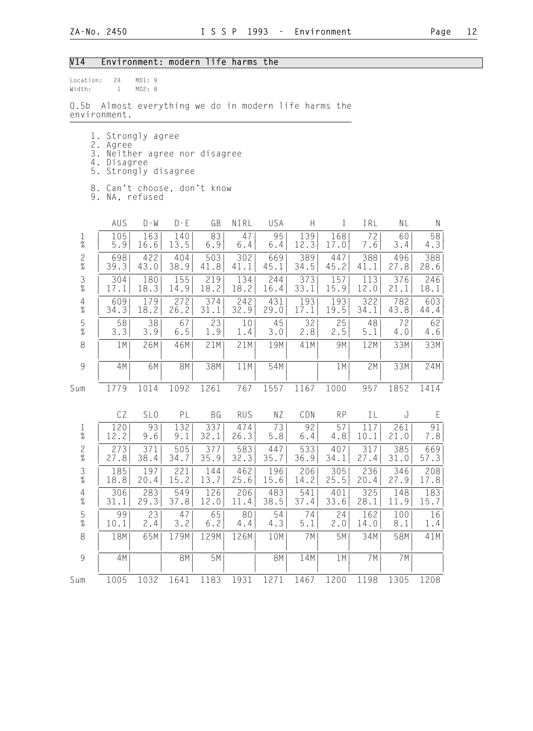## V14 Environment: modern life harms the

|              |         |        | $\bigcap$ Ek Almerikansıldı. 1920 |  |
|--------------|---------|--------|-----------------------------------|--|
| Width:       | 1 MD2:8 |        |                                   |  |
| Location: 24 |         | MD1: 9 |                                   |  |

Q.5b Almost everything we do in modern life harms the environment.

|  |  |  |  |  |  | 1. Strongly agree |
|--|--|--|--|--|--|-------------------|
|--|--|--|--|--|--|-------------------|

- 2. Agree
- 3. Neither agree nor disagree
- 4. Disagree
	- 5. Strongly disagree
	- 8. Can't choose, don't know
	- 9. NA, refused

|                                            | AUS  | $D - W$         | $D - E$   | GB        | NIRL       | USA       | H     | T         | IRL  | NL   | $\mathsf N$ |
|--------------------------------------------|------|-----------------|-----------|-----------|------------|-----------|-------|-----------|------|------|-------------|
| $\frac{1}{\%}$                             | 105  | 163             | 140       | 83        | 47         | 95        | 139   | 168       | 72   | 60   | 58          |
|                                            | 5.9  | 16.6            | 13.5      | 6.9       | 6.4        | 6.4       | 12.3  | 17.0      | 7.6  | 3.4  | 4.3         |
| $\frac{2}{\%}$                             | 698  | 422             | 404       | 503       | 302        | 669       | 389   | 447       | 388  | 496  | 388         |
|                                            | 39.3 | 43.0            | 38.9      | 41.8      | 41.1       | 45.1      | 34.5  | 45.2      | 41.1 | 27.8 | 28.6        |
| $\frac{3}{8}$                              | 304  | 180             | 155       | 219       | 134        | 244       | 373   | 157       | 113  | 376  | 246         |
|                                            | 17.1 | 18.3            | 14.9      | 18.2      | 18.2       | 16.4      | 33.1  | 15.9      | 12.0 | 21.1 | 18.1        |
| $\begin{array}{c} 4 \\ 2 \\ 0 \end{array}$ | 609  | 179             | 272       | 374       | 242        | 431       | 193   | 193       | 322  | 782  | 603         |
|                                            | 34.3 | 18.2            | 26.2      | 31.1      | 32.9       | 29.0      | 17.1  | 19.5      | 34.1 | 43.8 | 44.4        |
| $\frac{5}{\%}$                             | 58   | 38              | 67        | 23        | 10         | 45        | 32    | 25        | 48   | 72   | 62          |
|                                            | 3.3  | 3.9             | $6.5$     | 1.9       | 1.4        | 3.0       | 2.8   | 2.5       | 5.1  | 4.0  | 4.6         |
| $\,8\,$                                    | 1 M  | 26M             | 46M       | 21M       | 21M        | 19M       | 41M   | 9M        | 12M  | 33M  | 33M         |
| $\overline{9}$                             | 4M   | 6M              | <b>8M</b> | 38M       | 11M        | 54M       |       | 1M        | 2M   | 33M  | 24M         |
| Sum                                        | 1779 | 1014            | 1092      | 1261      | 767        | 1557      | 1167  | 1000      | 957  | 1852 | 1414        |
|                                            | CZ   | SL <sub>0</sub> | PL        | <b>BG</b> | <b>RUS</b> | ΝZ        | CDN   | <b>RP</b> | IL   | J    | E           |
| $\frac{1}{\%}$                             | 120  | 93              | 132       | 337       | 474        | 73        | 92    | 57        | 117  | 261  | 91          |
|                                            | 12.2 | 9.6             | 9.1       | 32.1      | 26.3       | 5.8       | $6.4$ | 4.8       | 10.1 | 21.0 | 7.8         |
| $\frac{2}{\%}$                             | 273  | 371             | 505       | 377       | 583        | 447       | 533   | 407       | 317  | 385  | 669         |
|                                            | 27.8 | 38.4            | 34.7      | 35.9      | 32.3       | 35.7      | 36.9  | 34.1      | 27.4 | 31.0 | 57.3        |
| $\frac{3}{\%}$                             | 185  | 197             | 221       | 144       | 462        | 196       | 206   | 305       | 236  | 346  | 208         |
|                                            | 18.8 | 20.4            | 15.2      | 13.7      | 25.6       | 15.6      | 14.2  | 25.5      | 20.4 | 27.9 | 17.8        |
| $\frac{4}{\%}$                             | 306  | 283             | 549       | 126       | 206        | 483       | 541   | 401       | 325  | 148  | 183         |
|                                            | 31.1 | 29.3            | 37.8      | 12.0      | 11.4       | 38.5      | 37.4  | 33.6      | 28.1 | 11.9 | 15.7        |
| $\frac{5}{\%}$                             | 99   | 23              | 47        | 65        | 80         | 54        | 74    | 24        | 162  | 100  | 16          |
|                                            | 10.1 | 2.4             | 3.2       | 6.2       | 4.4        | 4.3       | 5.1   | 2.0       | 14.0 | 8.1  | 1.4         |
| $\,8\,$                                    | 18M  | 65M             | 179M      | 129M      | 126M       | 10M       | 7M    | 5M        | 34M  | 58M  | 41M         |
| $\overline{9}$                             | 4M   |                 | <b>8M</b> | 5M        |            | <b>8M</b> | 14M   | 1M        | 7M   | 7M   |             |
| Sum                                        | 1005 | 1032            | 1641      | 1183      | 1931       | 1271      | 1467  | 1200      | 1198 | 1305 | 1208        |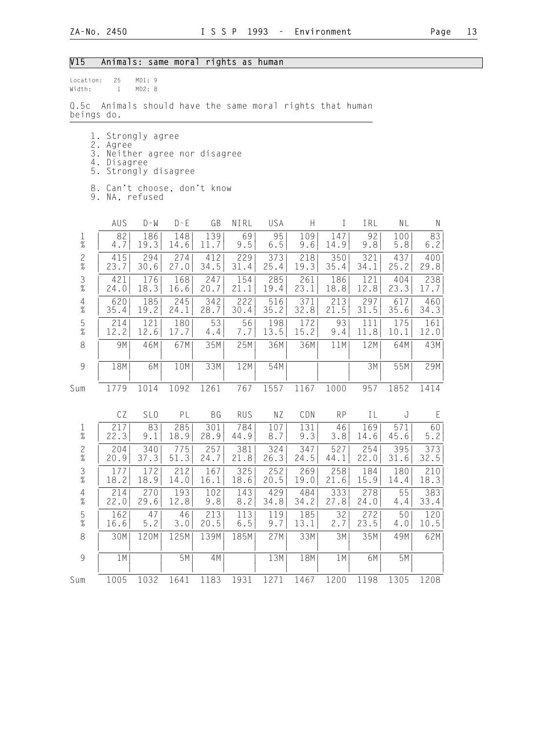## V15 Animals: same moral rights as human

| Location: 25<br>Width: 1 | MD1: 9<br>MD2: 8                                                                                      |
|--------------------------|-------------------------------------------------------------------------------------------------------|
| beings do.               | Q.5c Animals should have the same moral rights that human                                             |
|                          | 1. Strongly agree<br>2. Agree<br>3. Neither agree nor disagree<br>4. Disagree<br>5. Strongly disagree |
|                          | 8. Can't choose, don't know                                                                           |

9. NA, refused

|                                            | AUS  | $D - W$         | $D - E$ | GB   | NIRL       | USA   | Н    | I         | IRL  | NL   | $\mathsf{N}$ |
|--------------------------------------------|------|-----------------|---------|------|------------|-------|------|-----------|------|------|--------------|
| $\frac{1}{\%}$                             | 82   | 186             | 148     | 139  | 69         | 95    | 109  | 147       | 92   | 100  | 83           |
|                                            | 4.7  | 19.3            | 14.6    | 11.7 | 9.5        | $6.5$ | 9.6  | 14.9      | 9.8  | 5.8  | $6.2$        |
| $\frac{2}{\%}$                             | 415  | 294             | 274     | 412  | 229        | 373   | 218  | 350       | 321  | 437  | 400          |
|                                            | 23.7 | 30.6            | 27.0    | 34.5 | 31.4       | 25.4  | 19.3 | 35.4      | 34.1 | 25.2 | 29.8         |
| $\frac{3}{8}$                              | 421  | 176             | 168     | 247  | 154        | 285   | 261  | 186       | 121  | 404  | 238          |
|                                            | 24.0 | 18.3            | 16.6    | 20.7 | 21.1       | 19.4  | 23.1 | 18.8      | 12.8 | 23.3 | 17.7         |
| $\begin{array}{c} 4 \\ y'_{o} \end{array}$ | 620  | 185             | 245     | 342  | 222        | 516   | 371  | 213       | 297  | 617  | 460          |
|                                            | 35.4 | 19.2            | 24.1    | 28.7 | 30.4       | 35.2  | 32.8 | 21.5      | 31.5 | 35.6 | 34.3         |
| $\frac{5}{\%}$                             | 214  | 121             | 180     | 53   | 56         | 198   | 172  | 93        | 111  | 175  | 161          |
|                                            | 12.2 | 12.6            | 17.7    | 4.4  | 7.7        | 13.5  | 15.2 | 9.4       | 11.8 | 10.1 | 12.0         |
| $\,8\,$                                    | 9M   | 46M             | 67M     | 35M  | 25M        | 36M   | 36M  | 11M       | 12M  | 64M  | 43M          |
| $\overline{9}$                             | 18M  | 6M              | 10M     | 33M  | 12M        | 54M   |      |           | 3M   | 55M  | 29M          |
| Sum                                        | 1779 | 1014            | 1092    | 1261 | 767        | 1557  | 1167 | 1000      | 957  | 1852 | 1414         |
|                                            | CZ   | SL <sub>0</sub> | PL      | BG   | <b>RUS</b> | NZ    | CDN  | <b>RP</b> | IL   | J    | E            |
| $\frac{1}{\%}$                             | 217  | 83              | 285     | 301  | 784        | 107   | 131  | 46        | 169  | 571  | 60           |
|                                            | 22.3 | 9.1             | 18.9    | 28.9 | 44.9       | 8.7   | 9.3  | 3.8       | 14.6 | 45.6 | 5.2          |
| $\frac{2}{\%}$                             | 204  | 340             | 775     | 257  | 381        | 324   | 347  | 527       | 254  | 395  | 373          |
|                                            | 20.9 | 37.3            | 51.3    | 24.7 | 21.8       | 26.3  | 24.5 | 44.1      | 22.0 | 31.6 | 32.5         |
| $\frac{3}{8}$                              | 177  | 172             | 212     | 167  | 325        | 252   | 269  | 258       | 184  | 180  | 210          |
|                                            | 18.2 | 18.9            | 14.0    | 16.1 | 18.6       | 20.5  | 19.0 | 21.6      | 15.9 | 14.4 | 18.3         |
| $\frac{4}{\%}$                             | 214  | 270             | 193     | 102  | 143        | 429   | 484  | 333       | 278  | 55   | 383          |
|                                            | 22.0 | 29.6            | 12.8    | 9.8  | 8.2        | 34.8  | 34.2 | 27.8      | 24.0 | 4.4  | 33.4         |
| $\frac{5}{\%}$                             | 162  | 47              | 46      | 213  | 113        | 119   | 185  | 32        | 272  | 50   | 120          |
|                                            | 16.6 | 5.2             | 3.0     | 20.5 | 6.5        | 9.7   | 13.1 | 2.7       | 23.5 | 4.0  | 10.5         |
| $\,8\,$                                    | 30M  | 120M            | 125M    | 139M | 185M       | 27M   | 33M  | 3M        | 35M  | 49M  | 62M          |
| $\overline{9}$                             | 1 M  |                 | 5M      | 4M   |            | 13M   | 18M  | 1M        | 6M   | 5M   |              |
| Sum                                        | 1005 | 1032            | 1641    | 1183 | 1931       | 1271  | 1467 | 1200      | 1198 | 1305 | 1208         |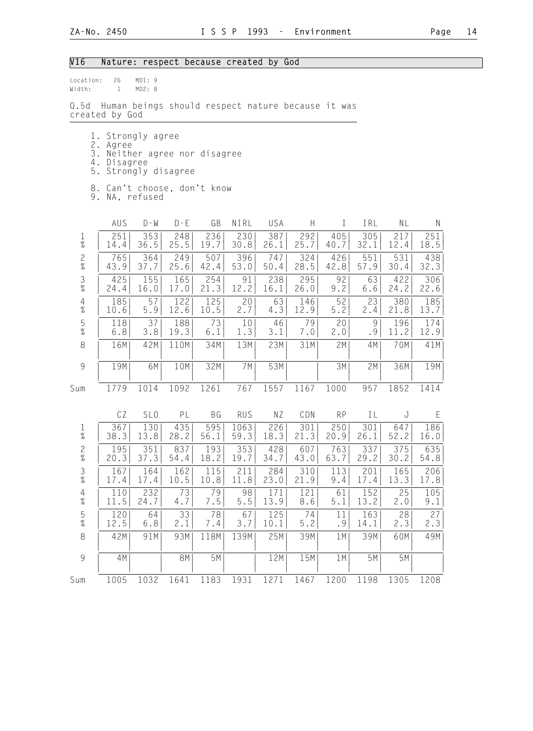## V16 Nature: respect because created by God

| Location:<br>Width:               | 26<br>$\mathbf{1}$                            | MD1: 9<br>MD2: 8                                  |             |               |              |             |             |             |             |             |             |
|-----------------------------------|-----------------------------------------------|---------------------------------------------------|-------------|---------------|--------------|-------------|-------------|-------------|-------------|-------------|-------------|
| Q.5d                              | created by God                                | Human beings should respect nature because it was |             |               |              |             |             |             |             |             |             |
| 3.<br>4.<br>5.                    | 1. Strongly agree<br>2. Agree<br>Disagree     | Neither agree nor disagree<br>Strongly disagree   |             |               |              |             |             |             |             |             |             |
|                                   | 8. Can't choose, don't know<br>9. NA, refused |                                                   |             |               |              |             |             |             |             |             |             |
|                                   | AUS                                           | $D - W$                                           | $D - E$     | GB            | NIRL         | USA         | H           | $\bf{I}$    | IRL         | NL          | N           |
| $1\,$<br>$\overline{\mathcal{U}}$ | 251<br>14.4                                   | 353<br>36.5                                       | 248<br>25.5 | 236<br>19.7   | 230<br>30.8  | 387<br>26.1 | 292<br>25.7 | 405<br>40.7 | 305<br>32.1 | 217<br>12.4 | 251<br>18.5 |
| $\overline{c}$<br>$\%$            | 765<br>43.9                                   | 364<br>37.7                                       | 249<br>25.6 | 507<br>42.4   | 396<br>53.0  | 747<br>50.4 | 324<br>28.5 | 426<br>42.8 | 551<br>57.9 | 531<br>30.4 | 438<br>32.3 |
| $\mathfrak{Z}$<br>$\%$            | 425<br>24.4                                   | 155<br>16.0                                       | 165<br>17.0 | 254<br>21.3   | 91<br>12.2   | 238<br>16.1 | 295<br>26.0 | 92<br>9.2   | 63<br>6.6   | 422<br>24.2 | 306<br>22.6 |
| $\overline{4}$<br>$\frac{1}{6}$   | 185<br>10.6                                   | 57<br>5.9                                         | 122<br>12.6 | 125<br>10.5   | 20<br>2.7    | 63<br>4.3   | 146<br>12.9 | 52<br>5.2   | 23<br>2.4   | 380<br>21.8 | 185<br>13.7 |
| $\frac{5}{\%}$                    | 118<br>6.8                                    | 37<br>3.8                                         | 188<br>19.3 | 73<br>6.1     | 10<br>1.3    | 46<br>3.1   | 79<br>7.0   | 20<br>2.0   | 9<br>.9     | 196<br>11.2 | 174<br>12.9 |
| $\,8\,$                           | 16M                                           | 42M                                               | 110M        | 34M           | 13M          | 23M         | 31M         | 2M          | 4M          | 70M         | 41M         |
| $\mathcal{G}$                     | 19M                                           | 6M                                                | 10M         | 32M           | 7M           | 53M         |             | 3M          | 2M          | 36M         | 19M         |
| Sum                               | 1779                                          | 1014                                              | 1092        | 1261          | 767          | 1557        | 1167        | 1000        | 957         | 1852        | 1414        |
|                                   | CZ                                            | SL <sub>0</sub>                                   | PL          | ΒG            | <b>RUS</b>   | ΝZ          | CDN         | <b>RP</b>   | IL          | J           | Ε           |
| $\frac{1}{\%}$                    | 367<br>38.3                                   | 130<br>13.8                                       | 435<br>28.2 | 595<br>56.1   | 1063<br>59.3 | 226<br>18.3 | 301<br>21.3 | 250<br>20.9 | 301<br>26.1 | 647<br>52.2 | 186<br>16.0 |
| $\frac{2}{\%}$                    | 195<br>20.3                                   | 351<br>37.3                                       | 837<br>54.4 | 193<br>18.2   | 353<br>19.7  | 428<br>34.7 | 607<br>43.0 | 763<br>63.7 | 337<br>29.2 | 375<br>30.2 | 635<br>54.8 |
| $\frac{3}{8}$                     | 167<br>17.4                                   | 164<br>17.4                                       | 162<br>10.5 | 115<br>10.8   | 211<br>11.8  | 284<br>23.0 | 310<br>21.9 | 113<br>9.4  | 201<br>17.4 | 165<br>13.3 | 206<br>17.8 |
| 4<br>$\%$                         | 110<br>11.5                                   | 232<br>24.7                                       | 73<br>4.7   | 79<br>$7\,.5$ | 98<br>$5.5$  | 171<br>13.9 | 121<br>8.6  | 61<br>5.1   | 152<br>13.2 | 25<br>2.0   | 105<br>9.1  |
| $\frac{5}{\%}$                    | 120<br>12.5                                   | 64<br>6.8                                         | 33<br>2.1   | 78<br>7.4     | 67<br>3.7    | 125<br>10.1 | $74$<br>5.2 | 11<br>.9    | 163<br>14.1 | 28<br>2.3   | 27<br>2.3   |
| $\,8\,$                           | 42M                                           | 91M                                               | 93M         | 118M          | 139M         | 25M         | 39M         | 1 M         | 39M         | 60M         | 49M         |
| $\mathcal{G}$                     | 4M                                            |                                                   | 8M          | 5M            |              | 12M         | 15M         | 1M          | 5M          | 5M          |             |
| Sum                               | 1005                                          | 1032                                              | 1641        | 1183          | 1931         | 1271        | 1467        | 1200        | 1198        | 1305        | 1208        |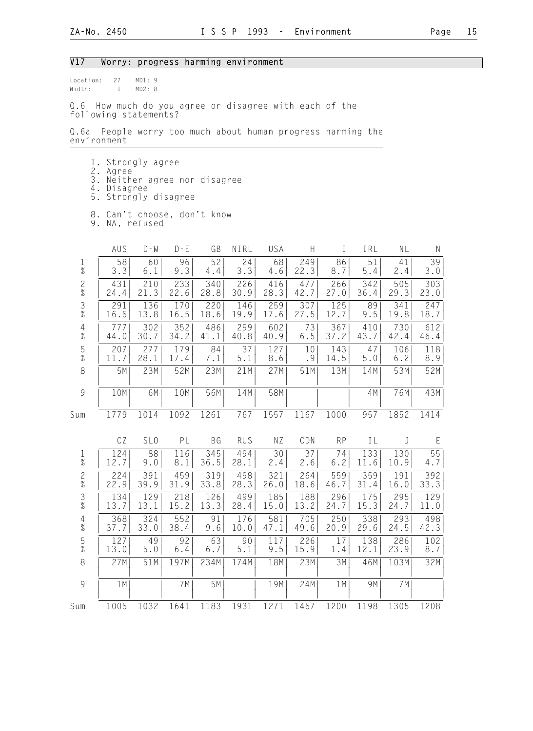## V17 Worry: progress harming environment

Location: 27 MD1: 9<br>Width: 1 MD2: 8 1 MD2: 8

Q.6 How much do you agree or disagree with each of the following statements?

Q.6a People worry too much about human progress harming the environment

- 1. Strongly agree
- 2. Agree
- 3. Neither agree nor disagree
- 4. Disagree
	- 5. Strongly disagree
- 8. Can't choose, don't know
- 9. NA, refused

|                                                           | AUS         | $D - W$         | $D - E$     | GB          | NIRL          | USA         | $\boldsymbol{\mathsf{H}}$ | T           | IRL                      | NL          | $\mathsf{N}$ |  |
|-----------------------------------------------------------|-------------|-----------------|-------------|-------------|---------------|-------------|---------------------------|-------------|--------------------------|-------------|--------------|--|
| $\frac{1}{\%}$                                            | 58<br>3.3   | 60<br>6.1       | 96<br>9.3   | 52<br>4.4   | 24<br>3.3     | 68<br>4.6   | 249<br>22.3               | 86<br>8.7   | 51<br>5.4                | 41<br>2.4   | 39<br>$3.0$  |  |
| $\frac{2}{\%}$                                            | 431<br>24.4 | 210<br>21.3     | 233<br>22.6 | 340<br>28.8 | 226<br>30.9   | 416<br>28.3 | 477<br>42.7               | 266<br>27.0 | 342<br>36.4              | 505<br>29.3 | 303<br>23.0  |  |
| $\frac{3}{8}$                                             | 291<br>16.5 | 136<br>13.8     | 170<br>16.5 | 220<br>18.6 | 146<br>19.9   | 259<br>17.6 | 307<br>27.5               | 125<br>12.7 | 89<br>9.5                | 341<br>19.8 | 247<br>18.7  |  |
| $\begin{array}{c} 4 \\ \% \end{array}$                    | 777<br>44.0 | 302<br>30.7     | 352<br>34.2 | 486<br>41.1 | 299<br>40.8   | 602<br>40.9 | 73<br>$6.5$               | 367<br>37.2 | 410<br>43.7              | 730<br>42.4 | 612<br>46.4  |  |
| $\frac{5}{\%}$                                            | 207<br>11.7 | 277<br>28.1     | 179<br>17.4 | 84<br>7.1   | 37<br>$5.1$   | 127<br>8.6  | 10<br>.9                  | 143<br>14.5 | 47<br>5.0                | 106<br>6.2  | 118<br>8.9   |  |
| $\,8\,$                                                   | 5M          | 23M             | 52M         | 23M         | 21M           | 27M         | 51M                       | 13M         | 14M                      | 53M         | 52M          |  |
| $\mathcal{G}% _{M_{1},M_{2}}^{\alpha,\beta}(\varepsilon)$ | 10M         | 6M              | 10M         | 56M         | 14M           | 58M         |                           |             | 4M                       | 76M         | 43M          |  |
| Sum                                                       | 1779        | 1014            | 1092        | 1261        | 767           | 1557        | 1167                      | 1000        | 957                      | 1852        | 1414         |  |
|                                                           | CZ          | SL <sub>0</sub> | PL          | BG          | <b>RUS</b>    | NZ          | CDN                       | <b>RP</b>   | IL                       | J           | E            |  |
| $\frac{1}{\%}$                                            | 124<br>12.7 | 88<br>9.0       | 116<br>8.1  | 345<br>36.5 | 494<br>28.1   | 30<br>2.4   | 37<br>2.6                 | 74<br>6.2   | 133<br>11.6              | 130<br>10.9 | 55<br>4.7    |  |
| $\frac{2}{\%}$                                            | 224<br>22.9 | 391<br>39.9     | 459<br>31.9 | 319<br>33.8 | 498<br>28.3   | 321<br>26.0 | 264<br>18.6               | 559<br>46.7 | 359<br>31.4              | 191<br>16.0 | 392<br>33.3  |  |
| $\frac{3}{8}$                                             | 134<br>13.7 | 129<br>13.1     | 218<br>15.2 | 126<br>13.3 | 499<br>28.4   | 185<br>15.0 | 188<br>13.2               | 296<br>24.7 | $\overline{175}$<br>15.3 | 295<br>24.7 | 129<br>11.0  |  |
| $\frac{4}{\%}$                                            | 368<br>37.7 | 324<br>33.0     | 552<br>38.4 | 91<br>9.6   | 176<br>10.0   | 581<br>47.1 | 705<br>49.6               | 250<br>20.9 | 338<br>29.6              | 293<br>24.5 | 498<br>42.3  |  |
| $\frac{5}{\%}$                                            | 127<br>13.0 | 49<br>$5.0$     | 92<br>6.4   | 63<br>$6.7$ | 90<br>$5.1\,$ | 117<br>9.5  | 226<br>15.9               | 17<br>1.4   | 138<br>12.1              | 286<br>23.9 | 102<br>8.7   |  |
| 8                                                         | 27M         | 51M             | 197M        | 234M        | 174M          | 18M         | 23M                       | 3M          | 46M                      | 103M        | 32M          |  |
|                                                           |             |                 |             |             |               |             |                           |             |                          |             |              |  |
| 9                                                         | 1M          |                 | 7M          | 5M          |               | 19M         | 24M                       | 1M          | 9M                       | 7M          |              |  |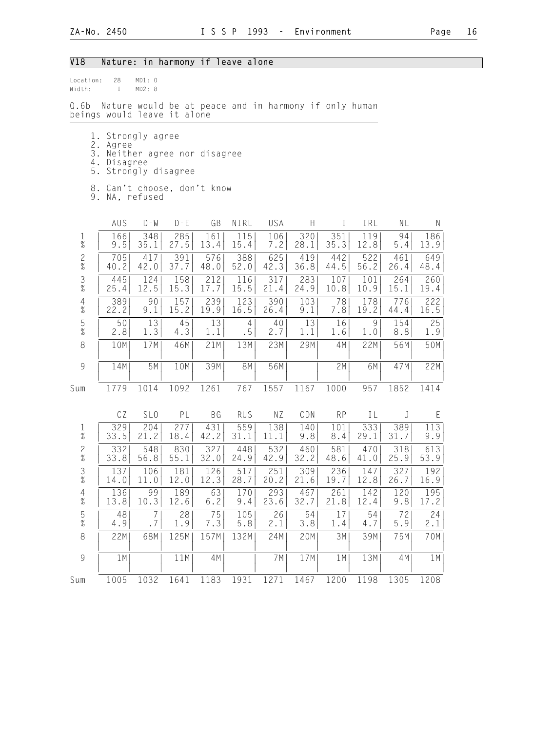## V18 Nature: in harmony if leave alone

| location: | 28 | MD1: 0 |  |
|-----------|----|--------|--|
| Width:    |    | MD2:8  |  |

Q.6b Nature would be at peace and in harmony if only human beings would leave it alone

- 1. Strongly agree
- 2. Agree
- 3. Neither agree nor disagree
- 4. Disagree 5. Strongly disagree
	-
	- 8. Can't choose, don't know 9. NA, refused
	-

|                                        | AUS         | $D - W$         | $D - E$     | GB          | NIRL                 | USA         | $\boldsymbol{\mathsf{H}}$ | $\rm I$     | IRL         | NL          | $\mathsf{N}$ |  |
|----------------------------------------|-------------|-----------------|-------------|-------------|----------------------|-------------|---------------------------|-------------|-------------|-------------|--------------|--|
| $\frac{1}{\%}$                         | 166<br>9.5  | 348<br>35.1     | 285<br>27.5 | 161<br>13.4 | 115<br>15.4          | 106<br>7.2  | 320<br>28.1               | 351<br>35.3 | 119<br>12.8 | 94<br>5.4   | 186<br>13.9  |  |
| $\frac{2}{\%}$                         | 705<br>40.2 | 417<br>42.0     | 391<br>37.7 | 576<br>48.0 | 388<br>52.0          | 625<br>42.3 | 419<br>36.8               | 442<br>44.5 | 522<br>56.2 | 461<br>26.4 | 649<br>48.4  |  |
| $\frac{3}{8}$                          | 445<br>25.4 | 124<br>12.5     | 158<br>15.3 | 212<br>17.7 | 116<br>15.5          | 317<br>21.4 | 283<br>24.9               | 107<br>10.8 | 101<br>10.9 | 264<br>15.1 | 260<br>19.4  |  |
| $\begin{array}{c} 4 \\ \% \end{array}$ | 389<br>22.2 | 90<br>9.1       | 157<br>15.2 | 239<br>19.9 | 123<br>16.5          | 390<br>26.4 | 103<br>9.1                | 78<br>7.8   | 178<br>19.2 | 776<br>44.4 | 222<br>16.5  |  |
| $\frac{5}{\%}$                         | 50<br>2.8   | 13<br>1.3       | 45<br>4.3   | 13<br>1.1   | $\overline{4}$<br>.5 | 40<br>2.7   | 13<br>1.1                 | 16<br>1.6   | 9<br>1.0    | 154<br>8.8  | 25<br>1.9    |  |
| $\,8\,$                                | 10M         | 17M             | 46M         | 21M         | 13M                  | 23M         | 29M                       | 4M          | 22M         | 56M         | 50M          |  |
| $\overline{9}$                         | 14M         | 5M              | 10M         | 39M         | <b>8M</b>            | 56M         |                           | 2M          | 6M          | 47M         | 22M          |  |
| Sum                                    | 1779        | 1014            | 1092        | 1261        | 767                  | 1557        | 1167                      | 1000        | 957         | 1852        | 1414         |  |
|                                        | CZ          | SL <sub>0</sub> | PL          | BG          | <b>RUS</b>           | NZ          | CDN                       | RP          | IL          | J           | E            |  |
| $\frac{1}{\%}$                         | 329<br>33.5 | 204<br>21.2     | 277<br>18.4 | 431<br>42.2 | 559<br>31.1          | 138<br>11.1 | 140<br>9.8                | 101<br>8.4  | 333<br>29.1 | 389<br>31.7 | 113<br>9.9   |  |
| $\frac{2}{\%}$                         | 332<br>33.8 | 548<br>56.8     | 830<br>55.1 | 327<br>32.0 | 448<br>24.9          | 532<br>42.9 | 460<br>32.2               | 581<br>48.6 | 470<br>41.0 | 318<br>25.9 | 613<br>53.9  |  |
| $\frac{3}{8}$                          | 137<br>14.0 | 106<br>11.0     | 181<br>12.0 | 126<br>12.3 | 517<br>28.7          | 251<br>20.2 | 309<br>21.6               | 236<br>19.7 | 147<br>12.8 | 327<br>26.7 | 192<br>16.9  |  |
| $\frac{4}{\%}$                         | 136<br>13.8 | 99<br>10.3      | 189<br>12.6 | 63<br>6.2   | 170<br>$9.4$         | 293<br>23.6 | 467<br>32.7               | 261<br>21.8 | 142<br>12.4 | 120<br>9.8  | 195<br>17.2  |  |
| $\frac{5}{\%}$                         | 48<br>4.9   | 7<br>.7         | 28<br>1.9   | 75<br>7.3   | 105<br>5.8           | 26<br>2.1   | 54<br>3.8                 | 17<br>1.4   | 54<br>4.7   | 72<br>5.9   | 24<br>2.1    |  |
| $\,8\,$                                | 22M         | 68M             | 125M        | 157M        | 132M                 | 24M         | 20M                       | 3M          | 39M         | 75M         | 70M          |  |
| 9                                      | 1M          |                 | 11M         | 4M          |                      | 7M          | 17M                       | 1M          | 13M         | 4M          | 1M           |  |
| Sum                                    | 1005        | 1032            | 1641        | 1183        | 1931                 | 1271        | 1467                      | 1200        | 1198        | 1305        | 1208         |  |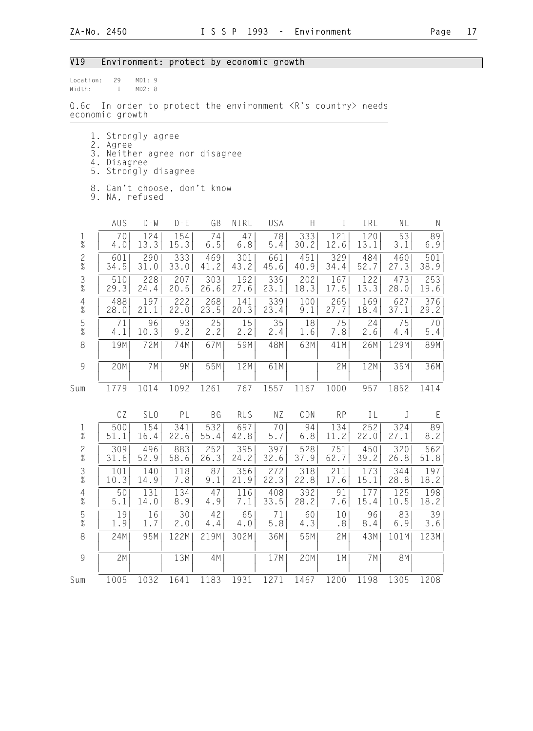## V19 Environment: protect by economic growth

| Location:<br>Width:    | 29<br>$\mathbf{1}$                                                                                                                | MD1: 9<br>MD2: 8 |             |             |             |             |             |             |             |             |             |
|------------------------|-----------------------------------------------------------------------------------------------------------------------------------|------------------|-------------|-------------|-------------|-------------|-------------|-------------|-------------|-------------|-------------|
| Q.6c                   | In order to protect the environment <r's country=""> needs<br/>economic growth</r's>                                              |                  |             |             |             |             |             |             |             |             |             |
| 1.                     | 2. Agree<br>3. Neither agree nor disagree<br>4. Disagree<br>5. Strongly disagree<br>8. Can't choose, don't know<br>9. NA, refused | Strongly agree   |             |             |             |             |             |             |             |             |             |
|                        | AUS                                                                                                                               | $D - M$          | $D - E$     | GB          | NIRL        | USA         | H           | $\bf{I}$    | IRL         | NL          | Ν           |
| $\mathbf 1$<br>$\%$    | 70<br>4.0                                                                                                                         | 124<br>13.3      | 154<br>15.3 | 74<br>6.5   | 47<br>6.8   | 78<br>5.4   | 333<br>30.2 | 121<br>12.6 | 120<br>13.1 | 53<br>3.1   | 89<br>6.9   |
| $\frac{2}{\%}$         | 601<br>34.5                                                                                                                       | 290<br>31.0      | 333<br>33.0 | 469<br>41.2 | 301<br>43.2 | 661<br>45.6 | 451<br>40.9 | 329<br>34.4 | 484<br>52.7 | 460<br>27.3 | 501<br>38.9 |
| $\frac{3}{8}$          | 510<br>29.3                                                                                                                       | 228<br>24.4      | 207<br>20.5 | 303<br>26.6 | 192<br>27.6 | 335<br>23.1 | 202<br>18.3 | 167<br>17.5 | 122<br>13.3 | 473<br>28.0 | 253<br>19.6 |
| $\overline{4}$<br>$\%$ | 488<br>28.0                                                                                                                       | 197<br>21.1      | 222<br>22.0 | 268<br>23.5 | 141<br>20.3 | 339<br>23.4 | 100<br>9.1  | 265<br>27.7 | 169<br>18.4 | 627<br>37.1 | 376<br>29.2 |
| $\mathbf 5$<br>$\%$    | 71<br>4.1                                                                                                                         | 96<br>10.3       | 93<br>9.2   | 25<br>2.2   | 15<br>2.2   | 35<br>2.4   | 18<br>1.6   | 75<br>7.8   | 24<br>2.6   | 75<br>4.4   | 70<br>5.4   |
| 8                      | 19M                                                                                                                               | 72M              | 74M         | 67M         | 59M         | 48M         | 63M         | 41M         | 26M         | 129M        | 89M         |
| 9                      | 20M                                                                                                                               | 7 M              | 9M          | 55M         | 12M         | 61M         |             | 2M          | 12M         | 35M         | 36M         |
| Sum                    | 1779                                                                                                                              | 1014             | 1092        | 1261        | 767         | 1557        | 1167        | 1000        | 957         | 1852        | 1414        |
|                        | CZ                                                                                                                                | SL <sub>0</sub>  | PL          | BG          | <b>RUS</b>  | ΝZ          | CDN         | <b>RP</b>   | IL          | J           | E           |
| $\mathbf 1$<br>$\%$    | 500<br>51.1                                                                                                                       | 154<br>16.4      | 341<br>22.6 | 532<br>55.4 | 697<br>42.8 | 70<br>5.7   | 94<br>$6.8$ | 134<br>11.2 | 252<br>22.0 | 324<br>27.1 | 89<br>8.2   |
| $\frac{2}{\%}$         | 309<br>31.6                                                                                                                       | 496<br>52.9      | 883<br>58.6 | 252<br>26.3 | 395<br>24.2 | 397<br>32.6 | 528<br>37.9 | 751<br>62.7 | 450<br>39.2 | 320<br>26.8 | 562<br>51.8 |
| $\frac{3}{8}$          | 101<br>10.3                                                                                                                       | 140<br>14.9      | 118<br>7.8  | 87<br>9.1   | 356<br>21.9 | 272<br>22.3 | 318<br>22.8 | 211<br>17.6 | 173<br>15.1 | 344<br>28.8 | 197<br>18.2 |
| $\overline{4}$<br>$\%$ | 50<br>5.1                                                                                                                         | 131<br>14.0      | 134<br>8.9  | 47<br>4.9   | 116<br>7.1  | 408<br>33.5 | 392<br>28.2 | 91<br>7.6   | 177<br>15.4 | 125<br>10.5 | 198<br>18.2 |
| $\frac{5}{\%}$         | 19<br>1.9                                                                                                                         | 16<br>1.7        | 30<br>2.0   | 42<br>4.4   | 65<br>4.0   | 71<br>5.8   | 60<br>4.3   | 10<br>.8    | 96<br>8.4   | 83<br>6.9   | 39<br>3.6   |
| $\,8\,$                | 24M                                                                                                                               | 95M              | 122M        | 219M        | 302M        | 36M         | 55M         | 2M          | 43M         | 101M        | 123M        |
| $\mathcal{G}$          | 2M                                                                                                                                |                  | 13M         | 4M          |             | 17M         | 20M         | 1 M         | 7M          | 8M          |             |
| Sum                    | 1005                                                                                                                              | 1032             | 1641        | 1183        | 1931        | 1271        | 1467        | 1200        | 1198        | 1305        | 1208        |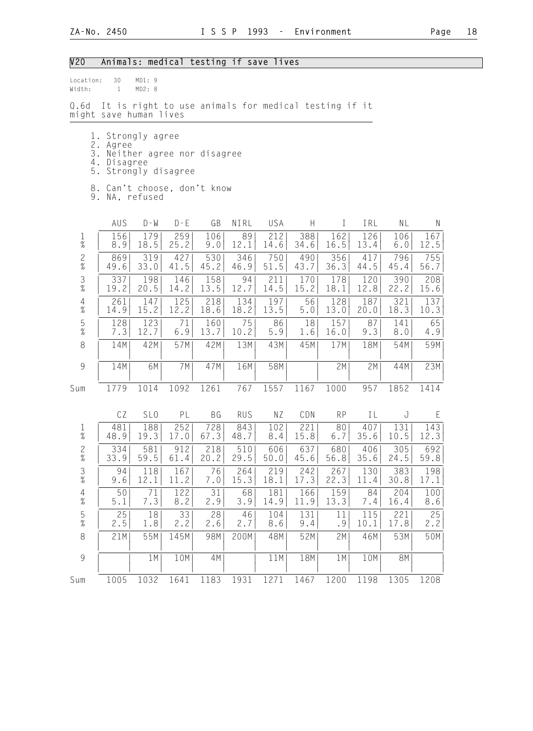# V20 Animals: medical testing if save lives

| Location:<br>Width:  | 30<br>$\mathbf{1}$                                          | MD1:9<br>MD2: 8           |             |                                                        |                                                      |             |             |             |             |              |             |
|----------------------|-------------------------------------------------------------|---------------------------|-------------|--------------------------------------------------------|------------------------------------------------------|-------------|-------------|-------------|-------------|--------------|-------------|
| 0.6d                 | might save human lives                                      |                           |             |                                                        | It is right to use animals for medical testing if it |             |             |             |             |              |             |
| 2.<br>3.<br>5.<br>8. | 1. Strongly agree<br>Agree<br>4. Disagree<br>9. NA, refused | Strongly disagree         |             | Neither agree nor disagree<br>Can't choose, don't know |                                                      |             |             |             |             |              |             |
|                      | AUS                                                         | $D - W$                   | $D - E$     | GB                                                     | NIRL                                                 | USA         | H           | Ι           | IRL         | NL           | N           |
| $\frac{1}{\%}$       | 156<br>8.9                                                  | 179<br>18.5               | 259<br>25.2 | 106<br>9.0                                             | 89<br>12.1                                           | 212<br>14.6 | 388<br>34.6 | 162<br>16.5 | 126<br>13.4 | 106<br>6.0   | 167<br>12.5 |
| $\frac{2}{\%}$       | 869<br>49.6                                                 | 319<br>33.0               | 427<br>41.5 | 530<br>45.2                                            | 346<br>46.9                                          | 750<br>51.5 | 490<br>43.7 | 356<br>36.3 | 417<br>44.5 | 796<br>45.4  | 755<br>56.7 |
| $\frac{3}{\%}$       | 337<br>19.2                                                 | 198<br>20.5               | 146<br>14.2 | 158<br>13.5                                            | 94<br>12.7                                           | 211<br>14.5 | 170<br>15.2 | 178<br>18.1 | 120<br>12.8 | 390<br>22.2  | 208<br>15.6 |
| $\frac{4}{\%}$       | 261<br>14.9                                                 | $\overline{1}$ 47<br>15.2 | 125<br>12.2 | 218<br>18.6                                            | 134<br>18.2                                          | 197<br>13.5 | 56<br>5.0   | 128<br>13.0 | 187<br>20.0 | 321<br>18.3  | 137<br>10.3 |
| $\frac{5}{\%}$       | 128<br>7.3                                                  | 123<br>12.7               | 71<br>6.9   | 160<br>13.7                                            | 75<br>10.2                                           | 86<br>5.9   | 18<br>1.6   | 157<br>16.0 | 87<br>9.3   | 141<br>$8.0$ | 65<br>4.9   |
| 8                    | 14M                                                         | 42M                       | 57M         | 42M                                                    | 13M                                                  | 43M         | 45M         | 17M         | 18M         | 54M          | 59M         |
| $\overline{9}$       | 14M                                                         | 6M                        | 7M          | 47M                                                    | 16M                                                  | 58M         |             | 2M          | 2M          | 44M          | 23M         |
| Sum                  | 1779                                                        | 1014                      | 1092        | 1261                                                   | 767                                                  | 1557        | 1167        | 1000        | 957         | 1852         | 1414        |
|                      | CZ                                                          | SL <sub>0</sub>           | PL          | BG                                                     | <b>RUS</b>                                           | ΝZ          | CDN         | <b>RP</b>   | ΙL          | J            | E           |
| $\mathbf 1$<br>$\%$  | 481<br>48.9                                                 | 188<br>19.3               | 252<br>17.0 | 728<br>67.3                                            | 843<br>48.7                                          | 102<br>8.4  | 221<br>15.8 | 80<br>6.7   | 407<br>35.6 | 131<br>10.5  | 143<br>12.3 |
| $\frac{2}{\%}$       | 334<br>33.9                                                 | 581<br>59.5               | 912<br>61.4 | 218<br>20.2                                            | 510<br>29.5                                          | 606<br>50.0 | 637<br>45.6 | 680<br>56.8 | 406<br>35.6 | 305<br>24.5  | 692<br>59.8 |
| $\frac{3}{8}$        | 94<br>9.6                                                   | 118<br>12.1               | 167<br>11.2 | 76<br>7.0                                              | 264<br>15.3                                          | 219<br>18.1 | 242<br>17.3 | 267<br>22.3 | 130<br>11.4 | 383<br>30.8  | 198<br>17.1 |
| $\frac{4}{\%}$       | 50<br>5.1                                                   | 71<br>7.3                 | 122<br>8.2  | 31<br>2.9                                              | 68<br>3.9                                            | 181<br>14.9 | 166<br>11.9 | 159<br>13.3 | 84<br>7.4   | 204<br>16.4  | 100<br>8.6  |
| $\frac{5}{\%}$       | 25<br>2.5                                                   | 18<br>1.8                 | 33<br>2.2   | 28<br>2.6                                              | 46<br>2.7                                            | 104<br>8.6  | 131<br>9.4  | 11<br>.9    | 115<br>10.1 | 221<br>17.8  | 25<br>2.2   |
| $\,8\,$              | 21M                                                         | 55M                       | 145M        | 98M                                                    | 200M                                                 | 48M         | 52M         | 2M          | 46M         | 53M          | 50M         |
| $\overline{9}$       |                                                             | 1 M                       | 10M         | 4M                                                     |                                                      | 11M         | 18M         | 1 M         | 10M         | <b>8M</b>    |             |
| Sum                  | 1005                                                        | 1032                      | 1641        | 1183                                                   | 1931                                                 | 1271        | 1467        | 1200        | 1198        | 1305         | 1208        |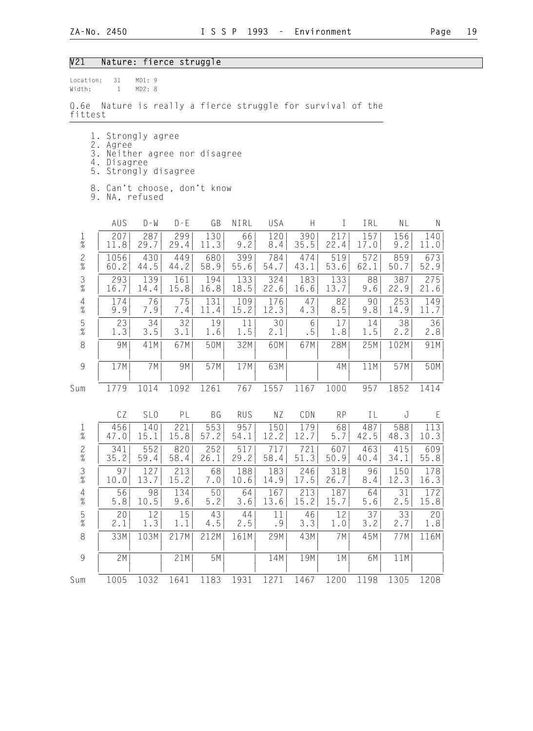## V21 Nature: fierce struggle

| Location:<br>Width:             | 31<br>$\mathbf{1}$                                     | MD1: 9<br>MD2: 8 |                            |             |             |             |                |             |             |             |             |
|---------------------------------|--------------------------------------------------------|------------------|----------------------------|-------------|-------------|-------------|----------------|-------------|-------------|-------------|-------------|
| Q.6e<br>fittest                 | Nature is really a fierce struggle for survival of the |                  |                            |             |             |             |                |             |             |             |             |
|                                 | 1. Strongly agree                                      |                  |                            |             |             |             |                |             |             |             |             |
| 3.                              | 2. Agree                                               |                  | Neither agree nor disagree |             |             |             |                |             |             |             |             |
| 5.                              | 4. Disagree                                            |                  | Strongly disagree          |             |             |             |                |             |             |             |             |
| 9.                              | 8. Can't choose, don't know                            | NA, refused      |                            |             |             |             |                |             |             |             |             |
|                                 | AUS                                                    | $D - W$          | $D - E$                    | GB          | NIRL        | USA         | H.             | $\bf{I}$    | IRL         | NL          | Ν           |
| $\mathbf 1$<br>$\%$             | 207<br>11.8                                            | 287<br>29.7      | 299<br>29.4                | 130<br>11.3 | 66<br>9.2   | 120<br>8.4  | 390<br>35.5    | 217<br>22.4 | 157<br>17.0 | 156<br>9.2  | 140<br>11.0 |
| $\frac{2}{\%}$                  | 1056<br>60.2                                           | 430<br>44.5      | 449<br>44.2                | 680<br>58.9 | 399<br>55.6 | 784<br>54.7 | 474<br>43.1    | 519<br>53.6 | 572<br>62.1 | 859<br>50.7 | 673<br>52.9 |
| $\frac{3}{8}$                   | 293<br>16.7                                            | 139<br>14.4      | 161<br>15.8                | 194<br>16.8 | 133<br>18.5 | 324<br>22.6 | 183<br>16.6    | 133<br>13.7 | 88<br>9.6   | 387<br>22.9 | 275<br>21.6 |
| $\frac{4}{\%}$                  | 174<br>9.9                                             | 76<br>7.9        | 75<br>7.4                  | 131<br>11.4 | 109<br>15.2 | 176<br>12.3 | 47<br>4.3      | 82<br>8.5   | 90<br>9.8   | 253<br>14.9 | 149<br>11.7 |
| $\frac{5}{\%}$                  | 23<br>1.3                                              | 34<br>3.5        | 32<br>3.1                  | 19<br>1.6   | 11<br>1.5   | 30<br>2.1   | 6<br>$\cdot$ 5 | 17<br>1.8   | 14<br>1.5   | 38<br>2.2   | 36<br>2.8   |
| 8                               | 9M                                                     | 41M              | 67M                        | 50M         | 32M         | 60M         | 67M            | 28M         | 25M         | 102M        | 91M         |
| 9                               | 17M                                                    | 7M               | 9M                         | 57M         | 17M         | 63M         |                | 4M          | 11M         | 57M         | 50M         |
| Sum                             | 1779                                                   | 1014             | 1092                       | 1261        | 767         | 1557        | 1167           | 1000        | 957         | 1852        | 1414        |
|                                 | CZ                                                     | SL <sub>0</sub>  | PL                         | BG          | <b>RUS</b>  | ΝZ          | CDN            | <b>RP</b>   | IL          | J           | E           |
| $\frac{1}{\%}$                  | 456<br>47.0                                            | 140<br>15.1      | 221<br>15.8                | 553<br>57.2 | 957<br>54.1 | 150<br>12.2 | 179<br>12.7    | 68<br>5.7   | 487<br>42.5 | 588<br>48.3 | 113<br>10.3 |
| $\frac{2}{\%}$                  | 341<br>35.2                                            | 552<br>59.4      | 820<br>58.4                | 252<br>26.1 | 517<br>29.2 | 717<br>58.4 | 721<br>51.3    | 607<br>50.9 | 463<br>40.4 | 415<br>34.1 | 609<br>55.8 |
| $\mathfrak{Z}$<br>$\frac{1}{2}$ | 97<br>10.0                                             | 127<br>13.7      | 213<br>15.2                | 68<br>7.0   | 188<br>10.6 | 183<br>14.9 | 246<br>17.5    | 318<br>26.7 | 96<br>8.4   | 150<br>12.3 | 178<br>16.3 |
| $\overline{4}$<br>$\%$          | 56<br>5.8                                              | 98<br>10.5       | 134<br>9.6                 | 50<br>$5.2$ | 64<br>3.6   | 167<br>13.6 | 213<br>15.2    | 187<br>15.7 | 64<br>$5.6$ | 31<br>2.5   | 172<br>15.8 |
| $\frac{5}{\%}$                  | 20<br>2.1                                              | 12<br>1.3        | 15<br>1.1                  | 43<br>4.5   | 44<br>2.5   | 11<br>.9    | 46<br>3.3      | 12<br>1.0   | 37<br>3.2   | 33<br>2.7   | 20<br>1.8   |
| 8                               | 33M                                                    | 103M             | 217M                       | 212M        | 161M        | 29M         | 43M            | 7M          | 45M         | 77M         | 116M        |
| $\mathcal{G}$                   | 2M                                                     |                  | 21M                        | 5M          |             | 14M         | 19M            | 1M          | 6M          | 11M         |             |
| Sum                             | 1005                                                   | 1032             | 1641                       | 1183        | 1931        | 1271        | 1467           | 1200        | 1198        | 1305        | 1208        |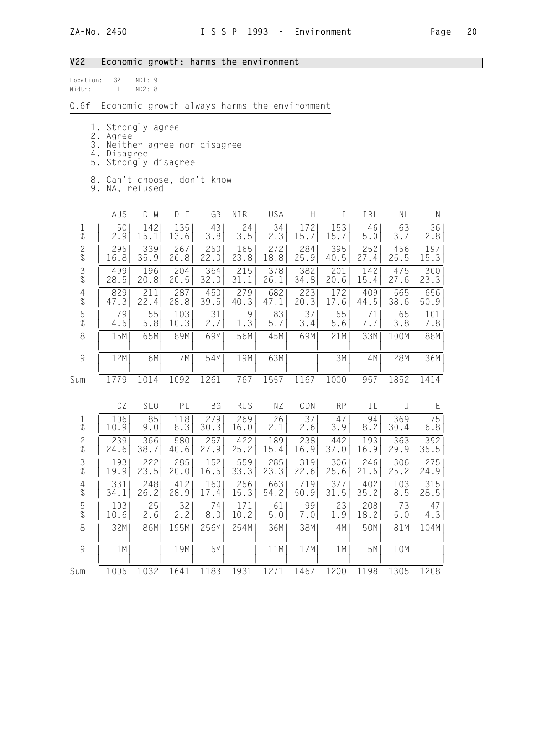## V22 Economic growth: harms the environment

| location: | 32 | MD1:9  |  |
|-----------|----|--------|--|
| Width:    |    | MD2: R |  |

Q.6f Economic growth always harms the environment

- 1. Strongly agree
- 2. Agree
- 3. Neither agree nor disagree
- 4. Disagree
- 5. Strongly disagree
- 8. Can't choose, don't know
- 9. NA, refused

|                                            | AUS  | $D - W$         | $D - E$ | GB        | NIRL       | USA  | H    | I         | IRL  | NL    | $\mathsf{N}$ |
|--------------------------------------------|------|-----------------|---------|-----------|------------|------|------|-----------|------|-------|--------------|
| $\frac{1}{\%}$                             | 50   | 142             | 135     | 43        | 24         | 34   | 172  | 153       | 46   | 63    | 36           |
|                                            | 2.9  | 15.1            | 13.6    | 3.8       | 3.5        | 2.3  | 15.7 | 15.7      | 5.0  | 3.7   | 2.8          |
| $\frac{2}{\%}$                             | 295  | 339             | 267     | 250       | 165        | 272  | 284  | 395       | 252  | 456   | 197          |
|                                            | 16.8 | 35.9            | 26.8    | 22.0      | 23.8       | 18.8 | 25.9 | 40.5      | 27.4 | 26.5  | 15.3         |
| $\frac{3}{8}$                              | 499  | 196             | 204     | 364       | 215        | 378  | 382  | 201       | 142  | 475   | 300          |
|                                            | 28.5 | 20.8            | 20.5    | 32.0      | 31.1       | 26.1 | 34.8 | 20.6      | 15.4 | 27.6  | 23.3         |
| $\begin{array}{c} 4 \\ 2 \\ 0 \end{array}$ | 829  | 211             | 287     | 450       | 279        | 682  | 223  | 172       | 409  | 665   | 656          |
|                                            | 47.3 | 22.4            | 28.8    | 39.5      | 40.3       | 47.1 | 20.3 | 17.6      | 44.5 | 38.6  | 50.9         |
| $\frac{5}{\%}$                             | 79   | 55              | 103     | 31        | 9          | 83   | 37   | 55        | 71   | 65    | 101          |
|                                            | 4.5  | 5.8             | 10.3    | 2.7       | 1.3        | 5.7  | 3.4  | $5.6$     | 7.7  | 3.8   | 7.8          |
| $\,8\,$                                    | 15M  | 65M             | 89M     | 69M       | 56M        | 45M  | 69M  | 21M       | 33M  | 100M  | 88M          |
| $\overline{9}$                             | 12M  | 6M              | 7M      | 54M       | 19M        | 63M  |      | 3M        | 4M   | 28M   | 36M          |
| Sum                                        | 1779 | 1014            | 1092    | 1261      | 767        | 1557 | 1167 | 1000      | 957  | 1852  | 1414         |
|                                            | CZ   | SL <sub>0</sub> | PL      | <b>BG</b> | <b>RUS</b> | ΝZ   | CDN  | <b>RP</b> | IL   | J     | E            |
| $\frac{1}{\%}$                             | 106  | 85              | 118     | 279       | 269        | 26   | 37   | 47        | 94   | 369   | 75           |
|                                            | 10.9 | 9.0             | 8.3     | 30.3      | 16.0       | 2.1  | 2.6  | 3.9       | 8.2  | 30.4  | $6.8$        |
| $\frac{2}{\%}$                             | 239  | 366             | 580     | 257       | 422        | 189  | 238  | 442       | 193  | 363   | 392          |
|                                            | 24.6 | 38.7            | 40.6    | 27.9      | 25.2       | 15.4 | 16.9 | 37.0      | 16.9 | 29.9  | 35.5         |
| $\frac{3}{\%}$                             | 193  | 222             | 285     | 152       | 559        | 285  | 319  | 306       | 246  | 306   | 275          |
|                                            | 19.9 | 23.5            | 20.0    | 16.5      | 33.3       | 23.3 | 22.6 | 25.6      | 21.5 | 25.2  | 24.9         |
| $\frac{4}{\%}$                             | 331  | 248             | 412     | 160       | 256        | 663  | 719  | 377       | 402  | 103   | 315          |
|                                            | 34.1 | 26.2            | 28.9    | 17.4      | 15.3       | 54.2 | 50.9 | 31.5      | 35.2 | 8.5   | 28.5         |
| $\frac{5}{\%}$                             | 103  | 25              | 32      | 74        | 171        | 61   | 99   | 23        | 208  | 73    | 47           |
|                                            | 10.6 | 2.6             | 2.2     | 8.0       | 10.2       | 5.0  | 7.0  | 1.9       | 18.2 | $6.0$ | 4.3          |
| $\,8\,$                                    | 32M  | 86M             | 195M    | 256M      | 254M       | 36M  | 38M  | 4M        | 50M  | 81M   | 104M         |
| $\overline{9}$                             | 1M   |                 | 19M     | 5M        |            | 11M  | 17M  | 1M        | 5M   | 10M   |              |
| Sum                                        | 1005 | 1032            | 1641    | 1183      | 1931       | 1271 | 1467 | 1200      | 1198 | 1305  | 1208         |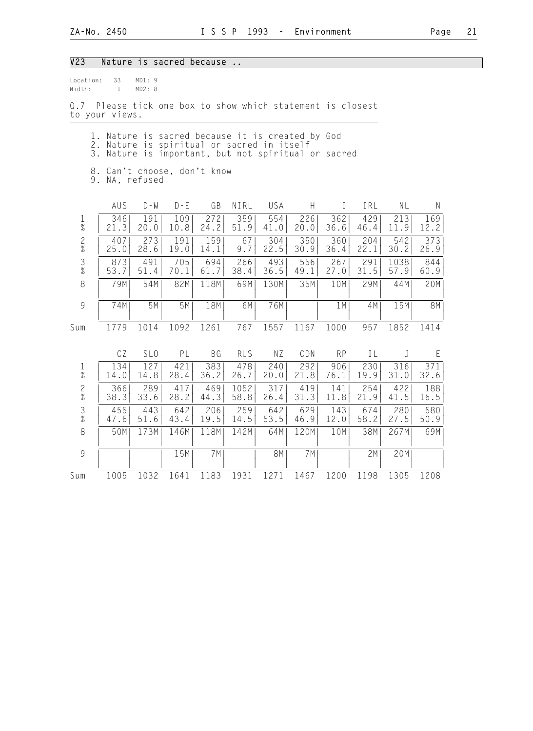| V <sub>23</sub><br>Nature is sacred because               |                                                                                                                                                                                                        |                 |             |             |              |             |             |              |             |              |             |  |
|-----------------------------------------------------------|--------------------------------------------------------------------------------------------------------------------------------------------------------------------------------------------------------|-----------------|-------------|-------------|--------------|-------------|-------------|--------------|-------------|--------------|-------------|--|
| Width:                                                    | MD1:9<br>33<br>Location:<br>MD2: 8<br>$\mathbf{1}$<br>Q.7 Please tick one box to show which statement is closest<br>to your views.                                                                     |                 |             |             |              |             |             |              |             |              |             |  |
|                                                           | 1. Nature is sacred because it is created by God<br>2. Nature is spiritual or sacred in itself<br>3. Nature is important, but not spiritual or sacred<br>8. Can't choose, don't know<br>9. NA, refused |                 |             |             |              |             |             |              |             |              |             |  |
|                                                           | AUS                                                                                                                                                                                                    | $D - W$         | $D - E$     | GB          | NIRL         | USA         | H           | $\mathbf{I}$ | IRL         | ΝL           | N           |  |
| $\mathbf{1}$<br>$\%$                                      | 346<br>21.3                                                                                                                                                                                            | 191<br>20.0     | 109<br>10.8 | 272<br>24.2 | 359<br>51.9  | 554<br>41.0 | 226<br>20.0 | 362<br>36.6  | 429<br>46.4 | 213<br>11.9  | 169<br>12.2 |  |
| $\frac{2}{\%}$                                            | 407<br>25.0                                                                                                                                                                                            | 273<br>28.6     | 191<br>19.0 | 159<br>14.1 | 67<br>9.7    | 304<br>22.5 | 350<br>30.9 | 360<br>36.4  | 204<br>22.1 | 542<br>30.2  | 373<br>26.9 |  |
| $\mathfrak{Z}$<br>$\frac{9}{6}$                           | 873<br>53.7                                                                                                                                                                                            | 491<br>51.4     | 705<br>70.1 | 694<br>61.7 | 266<br>38.4  | 493<br>36.5 | 556<br>49.1 | 267<br>27.0  | 291<br>31.5 | 1038<br>57.9 | 844<br>60.9 |  |
| 8                                                         | 79M                                                                                                                                                                                                    | 54M             | 82M         | 118M        | 69M          | 130M        | 35M         | 10M          | 29M         | 44M          | 20M         |  |
| 9                                                         | 74M                                                                                                                                                                                                    | 5M              | 5M          | 18M         | 6M           | 76M         |             | 1M           | 4M          | 15M          | <b>8M</b>   |  |
| Sum                                                       | 1779                                                                                                                                                                                                   | 1014            | 1092        | 1261        | 767          | 1557        | 1167        | 1000         | 957         | 1852         | 1414        |  |
|                                                           | CZ                                                                                                                                                                                                     | SL <sub>0</sub> | PL          | <b>BG</b>   | <b>RUS</b>   | NZ          | CDN         | <b>RP</b>    | IL          | J            | E           |  |
| $\mathbf{1}$<br>$\%$                                      | 134<br>14.0                                                                                                                                                                                            | 127<br>14.8     | 421<br>28.4 | 383<br>36.2 | 478<br>26.7  | 240<br>20.0 | 292<br>21.8 | 906<br>76.1  | 230<br>19.9 | 316<br>31.0  | 371<br>32.6 |  |
| $\frac{2}{\%}$                                            | 366<br>38.3                                                                                                                                                                                            | 289<br>33.6     | 417<br>28.2 | 469<br>44.3 | 1052<br>58.8 | 317<br>26.4 | 419<br>31.3 | 141<br>11.8  | 254<br>21.9 | 422<br>41.5  | 188<br>16.5 |  |
| $\frac{3}{8}$                                             | 455<br>47.6                                                                                                                                                                                            | 443<br>51.6     | 642<br>43.4 | 206<br>19.5 | 259<br>14.5  | 642<br>53.5 | 629<br>46.9 | 143<br>12.0  | 674<br>58.2 | 280<br>27.5  | 580<br>50.9 |  |
| 8                                                         | 50M                                                                                                                                                                                                    | 173M            | 146M        | 118M        | 142M         | 64M         | 120M        | 10M          | 38M         | 267M         | 69M         |  |
| $\mathcal{G}% _{M_{1},M_{2}}^{\alpha,\beta}(\mathcal{G})$ |                                                                                                                                                                                                        |                 | 15M         | 7M          |              | <b>8M</b>   | 7M          |              | 2M          | 20M          |             |  |
| Sum                                                       | 1005                                                                                                                                                                                                   | 1032            | 1641        | 1183        | 1931         | 1271        | 1467        | 1200         | 1198        | 1305         | 1208        |  |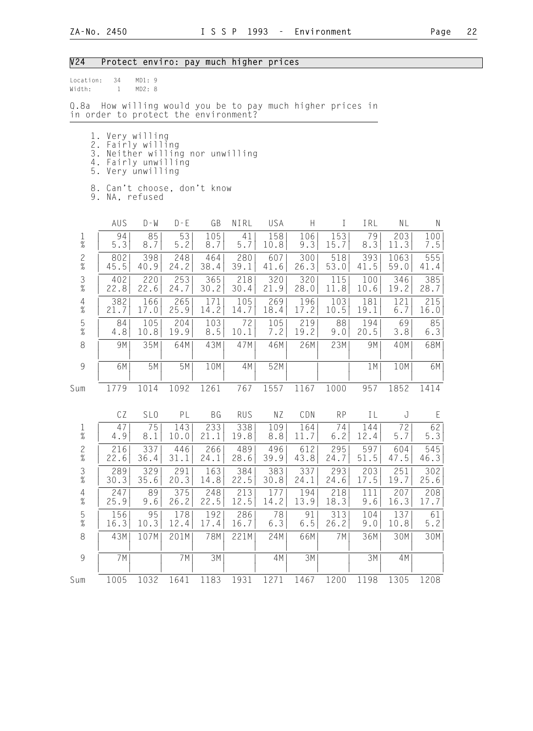## V24 Protect enviro: pay much higher prices

| Location: 34 | MD1:9  |  |
|--------------|--------|--|
| Width:       | MD2: 8 |  |

Q.8a How willing would you be to pay much higher prices in in order to protect the environment?

- 1. Very willing
- 2. Fairly willing
- 3. Neither willing nor unwilling
- 4. Fairly unwilling 5. Very unwilling
	-
	- 8. Can't choose, don't know
	- 9. NA, refused

|                                            | AUS  | $D - W$         | $D - E$ | GB        | NIRL       | USA  | $\boldsymbol{\mathsf{H}}$ | T         | IRL  | NL   | $\mathsf N$ |
|--------------------------------------------|------|-----------------|---------|-----------|------------|------|---------------------------|-----------|------|------|-------------|
| $\frac{1}{\%}$                             | 94   | 85              | 53      | 105       | 41         | 158  | 106                       | 153       | 79   | 203  | 100         |
|                                            | 5.3  | 8.7             | 5.2     | 8.7       | $5.7$      | 10.8 | 9.3                       | 15.7      | 8.3  | 11.3 | 7.5         |
| $\frac{2}{\%}$                             | 802  | 398             | 248     | 464       | 280        | 607  | 300                       | 518       | 393  | 1063 | 555         |
|                                            | 45.5 | 40.9            | 24.2    | 38.4      | 39.1       | 41.6 | 26.3                      | 53.0      | 41.5 | 59.0 | 41.4        |
| $\frac{3}{8}$                              | 402  | 220             | 253     | 365       | 218        | 320  | 320                       | 115       | 100  | 346  | 385         |
|                                            | 22.8 | 22.6            | 24.7    | 30.2      | 30.4       | 21.9 | 28.0                      | 11.8      | 10.6 | 19.2 | 28.7        |
| $\begin{array}{c} 4 \\ 2 \\ 0 \end{array}$ | 382  | 166             | 265     | 171       | 105        | 269  | 196                       | 103       | 181  | 121  | 215         |
|                                            | 21.7 | 17.0            | 25.9    | 14.2      | 14.7       | 18.4 | 17.2                      | 10.5      | 19.1 | 6.7  | 16.0        |
| $\frac{5}{\%}$                             | 84   | 105             | 204     | 103       | 72         | 105  | 219                       | 88        | 194  | 69   | 85          |
|                                            | 4.8  | 10.8            | 19.9    | 8.5       | 10.1       | 7.2  | 19.2                      | 9.0       | 20.5 | 3.8  | 6.3         |
| $\,8\,$                                    | 9M   | 35M             | 64M     | 43M       | 47M        | 46M  | 26M                       | 23M       | 9M   | 40M  | 68M         |
| $\overline{9}$                             | 6M   | 5M              | 5M      | 10M       | 4M         | 52M  |                           |           | 1M   | 10M  | 6M          |
| Sum                                        | 1779 | 1014            | 1092    | 1261      | 767        | 1557 | 1167                      | 1000      | 957  | 1852 | 1414        |
|                                            | CZ   | SL <sub>0</sub> | PL      | <b>BG</b> | <b>RUS</b> | ΝZ   | CDN                       | <b>RP</b> | IL   | J    | E           |
| $\frac{1}{\%}$                             | 47   | 75              | 143     | 233       | 338        | 109  | 164                       | 74        | 144  | 72   | 62          |
|                                            | 4.9  | 8.1             | 10.0    | 21.1      | 19.8       | 8.8  | 11.7                      | $6.2$     | 12.4 | 5.7  | 5.3         |
| $\frac{2}{\%}$                             | 216  | 337             | 446     | 266       | 489        | 496  | 612                       | 295       | 597  | 604  | 545         |
|                                            | 22.6 | 36.4            | 31.1    | 24.1      | 28.6       | 39.9 | 43.8                      | 24.7      | 51.5 | 47.5 | 46.3        |
| $\frac{3}{8}$                              | 289  | 329             | 291     | 163       | 384        | 383  | 337                       | 293       | 203  | 251  | 302         |
|                                            | 30.3 | 35.6            | 20.3    | 14.8      | 22.5       | 30.8 | 24.1                      | 24.6      | 17.5 | 19.7 | 25.6        |
| $\frac{4}{\%}$                             | 247  | 89              | 375     | 248       | 213        | 177  | 194                       | 218       | 111  | 207  | 208         |
|                                            | 25.9 | 9.6             | 26.2    | 22.5      | 12.5       | 14.2 | 13.9                      | 18.3      | 9.6  | 16.3 | 17.7        |
| $\frac{5}{\%}$                             | 156  | 95              | 178     | 192       | 286        | 78   | 91                        | 313       | 104  | 137  | 61          |
|                                            | 16.3 | 10.3            | 12.4    | 17.4      | 16.7       | 6.3  | $6.5$                     | 26.2      | 9.0  | 10.8 | 5.2         |
| $\,8\,$                                    | 43M  | 107M            | 201M    | 78M       | 221M       | 24M  | 66M                       | 7M        | 36M  | 30M  | 30M         |
| $\overline{9}$                             | 7M   |                 | 7M      | 3M        |            | 4M   | 3M                        |           | 3M   | 4M   |             |
| Sum                                        | 1005 | 1032            | 1641    | 1183      | 1931       | 1271 | 1467                      | 1200      | 1198 | 1305 | 1208        |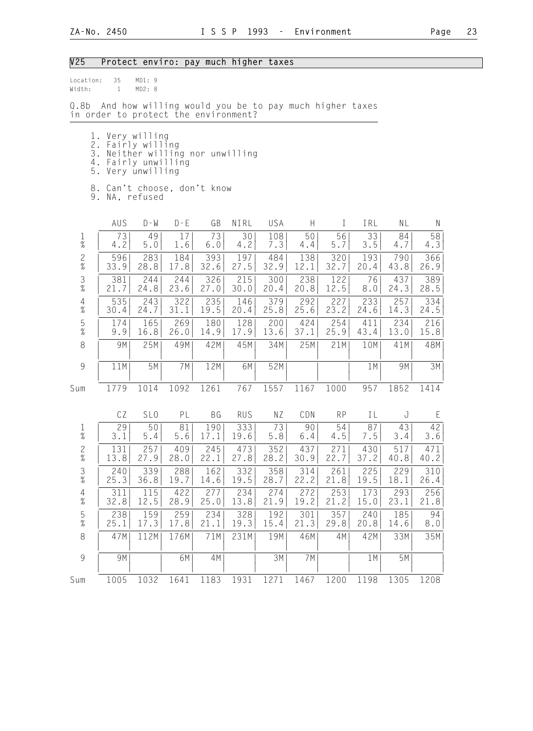## V25 Protect enviro: pay much higher taxes

| Location: 35 | MD1:9  |  |
|--------------|--------|--|
| Width:       | MD2: 8 |  |

Q.8b And how willing would you be to pay much higher taxes in order to protect the environment?

- 1. Very willing
- 2. Fairly willing
- 3. Neither willing nor unwilling
- 4. Fairly unwilling 5. Very unwilling
	-
	- 8. Can't choose, don't know
	- 9. NA, refused

|                                            | AUS  | $D - W$         | $D - E$ | GB        | NIRL       | USA  | H     | T         | IRL  | NL   | $\mathsf{N}$ |
|--------------------------------------------|------|-----------------|---------|-----------|------------|------|-------|-----------|------|------|--------------|
| $\frac{1}{\%}$                             | 73   | 49              | 17      | 73        | 30         | 108  | 50    | 56        | 33   | 84   | 58           |
|                                            | 4.2  | 5.0             | 1.6     | 6.0       | 4.2        | 7.3  | 4.4   | 5.7       | 3.5  | 4.7  | 4.3          |
| $\frac{2}{\%}$                             | 596  | 283             | 184     | 393       | 197        | 484  | 138   | 320       | 193  | 790  | 366          |
|                                            | 33.9 | 28.8            | 17.8    | 32.6      | 27.5       | 32.9 | 12.1  | 32.7      | 20.4 | 43.8 | 26.9         |
| $\frac{3}{8}$                              | 381  | 244             | 244     | 326       | 215        | 300  | 238   | 122       | 76   | 437  | 389          |
|                                            | 21.7 | 24.8            | 23.6    | 27.0      | 30.0       | 20.4 | 20.8  | 12.5      | 8.0  | 24.3 | 28.5         |
| $\begin{array}{c} 4 \\ 2 \\ 0 \end{array}$ | 535  | 243             | 322     | 235       | 146        | 379  | 292   | 227       | 233  | 257  | 334          |
|                                            | 30.4 | 24.7            | 31.1    | 19.5      | 20.4       | 25.8 | 25.6  | 23.2      | 24.6 | 14.3 | 24.5         |
| $\frac{5}{\%}$                             | 174  | 165             | 269     | 180       | 128        | 200  | 424   | 254       | 411  | 234  | 216          |
|                                            | 9.9  | 16.8            | 26.0    | 14.9      | 17.9       | 13.6 | 37.1  | 25.9      | 43.4 | 13.0 | 15.8         |
| $\,8\,$                                    | 9M   | 25M             | 49M     | 42M       | 45M        | 34M  | 25M   | 21M       | 10M  | 41M  | 48M          |
| $\overline{9}$                             | 11M  | 5M              | 7M      | 12M       | 6M         | 52M  |       |           | 1M   | 9M   | 3M           |
| Sum                                        | 1779 | 1014            | 1092    | 1261      | 767        | 1557 | 1167  | 1000      | 957  | 1852 | 1414         |
|                                            | CZ   | SL <sub>0</sub> | PL      | <b>BG</b> | <b>RUS</b> | ΝZ   | CDN   | <b>RP</b> | ΙL   | J    | E            |
| $\frac{1}{\%}$                             | 29   | 50              | 81      | 190       | 333        | 73   | 90    | 54        | 87   | 43   | 42           |
|                                            | 3.1  | 5.4             | 5.6     | 17.1      | 19.6       | 5.8  | $6.4$ | 4.5       | 7.5  | 3.4  | 3.6          |
| $\frac{2}{\%}$                             | 131  | 257             | 409     | 245       | 473        | 352  | 437   | 271       | 430  | 517  | 471          |
|                                            | 13.8 | 27.9            | 28.0    | 22.1      | 27.8       | 28.2 | 30.9  | 22.7      | 37.2 | 40.8 | 40.2         |
| $\frac{3}{8}$                              | 240  | 339             | 288     | 162       | 332        | 358  | 314   | 261       | 225  | 229  | 310          |
|                                            | 25.3 | 36.8            | 19.7    | 14.6      | 19.5       | 28.7 | 22.2  | 21.8      | 19.5 | 18.1 | 26.4         |
| $\frac{4}{\%}$                             | 311  | 115             | 422     | 277       | 234        | 274  | 272   | 253       | 173  | 293  | 256          |
|                                            | 32.8 | 12.5            | 28.9    | 25.0      | 13.8       | 21.9 | 19.2  | 21.2      | 15.0 | 23.1 | 21.8         |
| $\frac{5}{\%}$                             | 238  | 159             | 259     | 234       | 328        | 192  | 301   | 357       | 240  | 185  | 94           |
|                                            | 25.1 | 17.3            | 17.8    | 21.1      | 19.3       | 15.4 | 21.3  | 29.8      | 20.8 | 14.6 | 8.0          |
| $\,8\,$                                    | 47M  | 112M            | 176M    | 71M       | 231M       | 19M  | 46M   | 4M        | 42M  | 33M  | 35M          |
| 9                                          | 9M   |                 | 6M      | 4M        |            | 3M   | 7M    |           | 1M   | 5M   |              |
| Sum                                        | 1005 | 1032            | 1641    | 1183      | 1931       | 1271 | 1467  | 1200      | 1198 | 1305 | 1208         |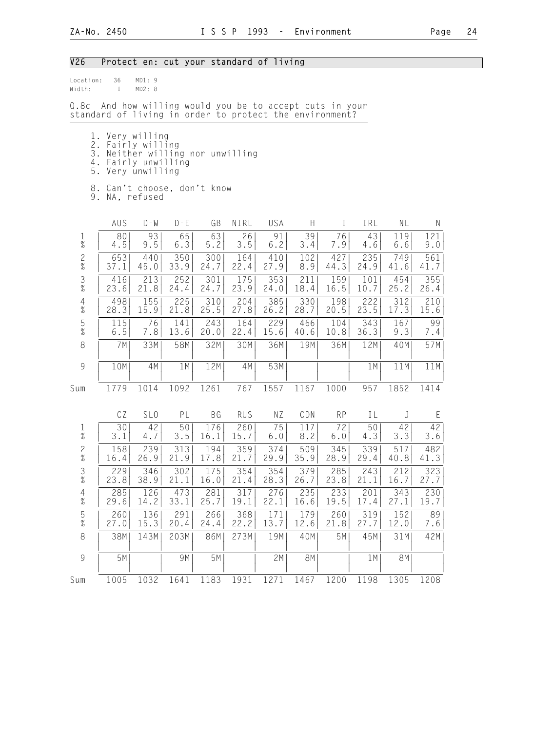# V26 Protect en: cut your standard of living

| Location:<br>36<br>MD1: 9<br>Width:<br>$\mathbf{1}$<br>MD2: 8                                                                                                            |                                                                                                                |                 |                          |             |             |             |             |             |             |             |             |  |
|--------------------------------------------------------------------------------------------------------------------------------------------------------------------------|----------------------------------------------------------------------------------------------------------------|-----------------|--------------------------|-------------|-------------|-------------|-------------|-------------|-------------|-------------|-------------|--|
| Q.8c                                                                                                                                                                     | And how willing would you be to accept cuts in your<br>standard of living in order to protect the environment? |                 |                          |             |             |             |             |             |             |             |             |  |
| 1. Very willing<br>2. Fairly willing<br>3. Neither willing nor unwilling<br>4. Fairly unwilling<br>5.<br>Very unwilling<br>8. Can't choose, don't know<br>9. NA, refused |                                                                                                                |                 |                          |             |             |             |             |             |             |             |             |  |
|                                                                                                                                                                          | AUS                                                                                                            | $D - W$         | $D - E$                  | GB          | NIRL        | <b>USA</b>  | H           | T           | IRL         | NL          | N           |  |
| $\mathbf 1$<br>$\%$                                                                                                                                                      | 80<br>4.5                                                                                                      | 93<br>9.5       | 65<br>6.3                | 63<br>5.2   | 26<br>3.5   | 91<br>6.2   | 39<br>3.4   | 76<br>7.9   | 43<br>4.6   | 119<br>6.6  | 121<br>9.0  |  |
| $\frac{2}{\%}$                                                                                                                                                           | 653<br>37.1                                                                                                    | 440<br>45.0     | 350<br>33.9              | 300<br>24.7 | 164<br>22.4 | 410<br>27.9 | 102<br>8.9  | 427<br>44.3 | 235<br>24.9 | 749<br>41.6 | 561<br>41.7 |  |
| $\frac{3}{8}$                                                                                                                                                            | 416<br>23.6                                                                                                    | 213<br>21.8     | 252<br>24.4              | 301<br>24.7 | 175<br>23.9 | 353<br>24.0 | 211<br>18.4 | 159<br>16.5 | 101<br>10.7 | 454<br>25.2 | 355<br>26.4 |  |
| $4\atop \%$                                                                                                                                                              | 498<br>28.3                                                                                                    | 155<br>15.9     | 225<br>21.8              | 310<br>25.5 | 204<br>27.8 | 385<br>26.2 | 330<br>28.7 | 198<br>20.5 | 222<br>23.5 | 312<br>17.3 | 210<br>15.6 |  |
| $\frac{5}{\%}$                                                                                                                                                           | 115<br>6.5                                                                                                     | 76<br>7.8       | 141<br>13.6              | 243<br>20.0 | 164<br>22.4 | 229<br>15.6 | 466<br>40.6 | 104<br>10.8 | 343<br>36.3 | 167<br>9.3  | 99<br>7.4   |  |
| 8                                                                                                                                                                        | 7M                                                                                                             | 33M             | 58M                      | 32M         | 30M         | 36M         | 19M         | 36M         | 12M         | 40M         | 57M         |  |
| $\mathcal{G}$                                                                                                                                                            | 10M                                                                                                            | 4M              | 1M                       | 12M         | 4M          | 53M         |             |             | 1M          | 11M         | 11M         |  |
| Sum                                                                                                                                                                      | 1779                                                                                                           | 1014            | 1092                     | 1261        | 767         | 1557        | 1167        | 1000        | 957         | 1852        | 1414        |  |
|                                                                                                                                                                          | CZ                                                                                                             | SL <sub>0</sub> | PL                       | BG          | <b>RUS</b>  | NZ          | CDN         | <b>RP</b>   | IL          | J           | Ε           |  |
| $\frac{1}{\%}$                                                                                                                                                           | 30<br>3.1                                                                                                      | 42<br>4.7       | 50<br>3.5                | 176<br>16.1 | 260<br>15.7 | 75<br>6.0   | 117<br>8.2  | 72<br>6.0   | 50<br>4.3   | 42<br>3.3   | 42 <br>3.6  |  |
| $\overline{c}$<br>$\%$                                                                                                                                                   | 158<br>16.4                                                                                                    | 239<br>26.9     | $\overline{3}13$<br>21.9 | 194<br>17.8 | 359<br>21.7 | 374<br>29.9 | 509<br>35.9 | 345<br>28.9 | 339<br>29.4 | 517<br>40.8 | 482<br>41.3 |  |
| $\ensuremath{\mathsf{3}}$<br>$\%$                                                                                                                                        | 229<br>23.8                                                                                                    | 346<br>38.9     | 302<br>21.1              | 175<br>16.0 | 354<br>21.4 | 354<br>28.3 | 379<br>26.7 | 285<br>23.8 | 243<br>21.1 | 212<br>16.7 | 323<br>27.7 |  |
| 4<br>$\%$                                                                                                                                                                | 285<br>29.6                                                                                                    | 126<br>14.2     | 473<br>33.1              | 281<br>25.7 | 317<br>19.1 | 276<br>22.1 | 235<br>16.6 | 233<br>19.5 | 201<br>17.4 | 343<br>27.1 | 230<br>19.7 |  |
| $\frac{5}{%}$                                                                                                                                                            | 260<br>27.0                                                                                                    | 136<br>15.3     | 291<br>20.4              | 266<br>24.4 | 368<br>22.2 | 171<br>13.7 | 179<br>12.6 | 260<br>21.8 | 319<br>27.7 | 152<br>12.0 | 89<br>7.6   |  |
| 8                                                                                                                                                                        | 38M                                                                                                            | 143M            | 203M                     | 86M         | 273M        | 19M         | 40M         | 5M          | 45M         | 31M         | 42M         |  |
| $\mathcal{G}$                                                                                                                                                            | 5M                                                                                                             |                 | 9M                       | 5M          |             | 2M          | 8M          |             | 1M          | <b>8M</b>   |             |  |
| Sum                                                                                                                                                                      | 1005                                                                                                           | 1032            | 1641                     | 1183        | 1931        | 1271        | 1467        | 1200        | 1198        | 1305        | 1208        |  |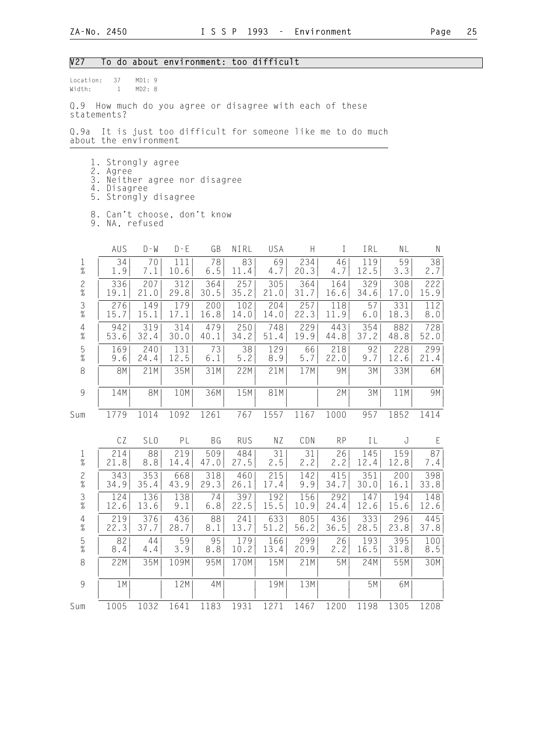### V27 To do about environment: too difficult

| location: | 37 | MD1:9  |  |
|-----------|----|--------|--|
| Width:    |    | MD2: R |  |

Q.9 How much do you agree or disagree with each of these statements?

Q.9a It is just too difficult for someone like me to do much about the environment

- 1. Strongly agree
- 2. Agree
- 3. Neither agree nor disagree
- 4. Disagree
	- 5. Strongly disagree
- 8. Can't choose, don't know
- 9. NA, refused

|                                                           | AUS       | $D - W$         | $D - E$ | GB        | NIRL       | USA  | $\boldsymbol{\mathsf{H}}$ | T         | IRL  | NL   | $\mathsf{N}$ |
|-----------------------------------------------------------|-----------|-----------------|---------|-----------|------------|------|---------------------------|-----------|------|------|--------------|
| $\frac{1}{\%}$                                            | 34        | 70              | 111     | 78        | 83         | 69   | 234                       | 46        | 119  | 59   | 38           |
|                                                           | 1.9       | 7.1             | 10.6    | $6.5$     | 11.4       | 4.7  | 20.3                      | 4.7       | 12.5 | 3.3  | 2.7          |
| $\frac{2}{\%}$                                            | 336       | 207             | 312     | 364       | 257        | 305  | 364                       | 164       | 329  | 308  | 222          |
|                                                           | 19.1      | 21.0            | 29.8    | 30.5      | 35.2       | 21.0 | 31.7                      | 16.6      | 34.6 | 17.0 | 15.9         |
| $\frac{3}{8}$                                             | 276       | 149             | 179     | 200       | 102        | 204  | 257                       | 118       | 57   | 331  | 112          |
|                                                           | 15.7      | 15.1            | 17.1    | 16.8      | 14.0       | 14.0 | 22.3                      | 11.9      | 6.0  | 18.3 | 8.0          |
| $\begin{array}{c} 4 \\ 2 \\ 0 \end{array}$                | 942       | 319             | 314     | 479       | 250        | 748  | 229                       | 443       | 354  | 882  | 728          |
|                                                           | 53.6      | 32.4            | 30.0    | 40.1      | 34.2       | 51.4 | 19.9                      | 44.8      | 37.2 | 48.8 | 52.0         |
| $\frac{5}{\%}$                                            | 169       | 240             | 131     | 73        | 38         | 129  | 66                        | 218       | 92   | 228  | 299          |
|                                                           | 9.6       | 24.4            | 12.5    | 6.1       | 5.2        | 8.9  | 5.7                       | 22.0      | 9.7  | 12.6 | 21.4         |
| $\,8\,$                                                   | <b>8M</b> | 21M             | 35M     | 31M       | 22M        | 21M  | 17M                       | 9M        | 3M   | 33M  | 6M           |
| $\mathcal{G}% _{M_{1},M_{2}}^{\alpha,\beta}(\mathcal{A})$ | 14M       | 8M              | 10M     | 36M       | 15M        | 81M  |                           | 2M        | 3M   | 11M  | 9M           |
| Sum                                                       | 1779      | 1014            | 1092    | 1261      | 767        | 1557 | 1167                      | 1000      | 957  | 1852 | 1414         |
|                                                           | CZ        | SL <sub>0</sub> | PL      | <b>BG</b> | <b>RUS</b> | NZ   | CDN                       | <b>RP</b> | IL   | J    | E            |
| $\frac{1}{\%}$                                            | 214       | 88              | 219     | 509       | 484        | 31   | 31                        | 26        | 145  | 159  | 87           |
|                                                           | 21.8      | 8.8             | 14.4    | 47.0      | 27.5       | 2.5  | 2.2                       | 2.2       | 12.4 | 12.8 | 7.4          |
| $\frac{2}{\%}$                                            | 343       | 353             | 668     | 318       | 460        | 215  | 142                       | 415       | 351  | 200  | 398          |
|                                                           | 34.9      | 35.4            | 43.9    | 29.3      | 26.1       | 17.4 | 9.9                       | 34.7      | 30.0 | 16.1 | 33.8         |
| $\frac{3}{8}$                                             | 124       | 136             | 138     | 74        | 397        | 192  | 156                       | 292       | 147  | 194  | 148          |
|                                                           | 12.6      | 13.6            | 9.1     | 6.8       | 22.5       | 15.5 | 10.9                      | 24.4      | 12.6 | 15.6 | 12.6         |
| $\frac{4}{\%}$                                            | 219       | 376             | 436     | 88        | 241        | 633  | 805                       | 436       | 333  | 296  | 445          |
|                                                           | 22.3      | 37.7            | 28.7    | 8.1       | 13.7       | 51.2 | 56.2                      | 36.5      | 28.5 | 23.8 | 37.8         |
| $\frac{5}{\%}$                                            | 82        | 44              | 59      | 95        | 179        | 166  | 299                       | 26        | 193  | 395  | 100          |
|                                                           | 8.4       | 4.4             | 3.9     | 8.8       | 10.2       | 13.4 | 20.9                      | 2.2       | 16.5 | 31.8 | 8.5          |
| 8                                                         | 22M       | 35M             | 109M    | 95M       | 170M       | 15M  | 21M                       | 5M        | 24M  | 55M  | 30M          |
| $\overline{9}$                                            | 1M        |                 | 12M     | 4M        |            | 19M  | 13M                       |           | 5M   | 6M   |              |
| Sum                                                       | 1005      | 1032            | 1641    | 1183      | 1931       | 1271 | 1467                      | 1200      | 1198 | 1305 | 1208         |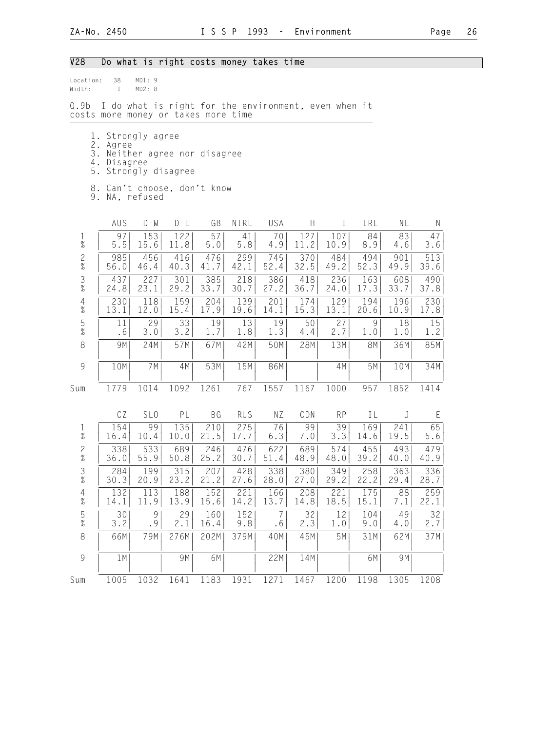# V28 Do what is right costs money takes time

| Location:<br>Width:                        | 38<br>$\mathbf{1}$                                                                                        | MD1:9<br>MD2: 8 |                   |             |                                                      |             |             |             |             |             |              |
|--------------------------------------------|-----------------------------------------------------------------------------------------------------------|-----------------|-------------------|-------------|------------------------------------------------------|-------------|-------------|-------------|-------------|-------------|--------------|
| Q.9b                                       | costs more money or takes more time                                                                       |                 |                   |             | I do what is right for the environment, even when it |             |             |             |             |             |              |
| 1.<br>5.                                   | 2. Agree<br>3. Neither agree nor disagree<br>4. Disagree<br>8. Can't choose, don't know<br>9. NA, refused | Strongly agree  | Strongly disagree |             |                                                      |             |             |             |             |             |              |
|                                            | AUS                                                                                                       | $D - M$         | $D - E$           | GB          | NIRL                                                 | USA         | H           | $\bf{I}$    | IRL         | NL          | $\mathsf{N}$ |
| $\mathbf 1$<br>$\%$                        | 97<br>5.5                                                                                                 | 153<br>15.6     | 122<br>11.8       | 57<br>5.0   | 41<br>5.8                                            | 70<br>4.9   | 127<br>11.2 | 107<br>10.9 | 84<br>8.9   | 83<br>4.6   | 47<br>3.6    |
| $\frac{2}{\%}$                             | 985<br>56.0                                                                                               | 456<br>46.4     | 416<br>40.3       | 476<br>41.7 | 299<br>42.1                                          | 745<br>52.4 | 370<br>32.5 | 484<br>49.2 | 494<br>52.3 | 901<br>49.9 | 513<br>39.6  |
| $\frac{3}{8}$                              | 437<br>24.8                                                                                               | 227<br>23.1     | 301<br>29.2       | 385<br>33.7 | 218<br>30.7                                          | 386<br>27.2 | 418<br>36.7 | 236<br>24.0 | 163<br>17.3 | 608<br>33.7 | 490<br>37.8  |
| $\overline{4}$<br>$\%$                     | 230<br>13.1                                                                                               | 118<br>12.0     | 159<br>15.4       | 204<br>17.9 | 139<br>19.6                                          | 201<br>14.1 | 174<br>15.3 | 129<br>13.1 | 194<br>20.6 | 196<br>10.9 | 230<br>17.8  |
| $\frac{5}{\%}$                             | 11<br>.6                                                                                                  | 29<br>3.0       | 33<br>3.2         | 19<br>1.7   | 13<br>1.8                                            | 19<br>1.3   | 50<br>4.4   | 27<br>2.7   | 9<br>1.0    | 18<br>1.0   | 15<br>1.2    |
| 8                                          | 9M                                                                                                        | 24M             | 57M               | 67M         | 42M                                                  | 50M         | 28M         | 13M         | <b>8M</b>   | 36M         | 85M          |
| $\mathcal{G}$                              | 10M                                                                                                       | 7M              | 4M                | 53M         | 15M                                                  | 86M         |             | 4M          | 5M          | 10M         | 34M          |
| Sum                                        | 1779                                                                                                      | 1014            | 1092              | 1261        | 767                                                  | 1557        | 1167        | 1000        | 957         | 1852        | 1414         |
|                                            | CZ                                                                                                        | SL <sub>0</sub> | PL                | BG          | <b>RUS</b>                                           | NZ          | CDN         | <b>RP</b>   | IL          | J           | Ε            |
| $\frac{1}{\%}$                             | 154<br>16.4                                                                                               | 99<br>10.4      | 135<br>10.0       | 210<br>21.5 | 275<br>17.7                                          | 76<br>6.3   | 99<br>7.0   | 39<br>3.3   | 169<br>14.6 | 241<br>19.5 | 65<br>5.6    |
| $\overline{c}$<br>$\overline{\mathcal{U}}$ | 338<br>36.0                                                                                               | 533<br>55.9     | 689<br>50.8       | 246<br>25.2 | 476<br>30.7                                          | 622<br>51.4 | 689<br>48.9 | 574<br>48.0 | 455<br>39.2 | 493<br>40.0 | 479<br>40.9  |
| 3<br>$\frac{1}{2}$                         | 284<br>30.3                                                                                               | 199<br>20.9     | 315<br>23.2       | 207<br>21.2 | 428<br>27.6                                          | 338<br>28.0 | 380<br>27.0 | 349<br>29.2 | 258<br>22.2 | 363<br>29.4 | 336<br>28.7  |
| $\frac{4}{\%}$                             | 132<br>14.1                                                                                               | 113<br>11.9     | 188<br>13.9       | 152<br>15.6 | 221<br>14.2                                          | 166<br>13.7 | 208<br>14.8 | 221<br>18.5 | 175<br>15.1 | 88<br>7.1   | 259<br>22.1  |
| $\frac{5}{\%}$                             | 30<br>3.2                                                                                                 | 9<br>.9         | 29<br>2.1         | 160<br>16.4 | 152<br>9.8                                           | 7<br>.6     | 32<br>2.3   | 12<br>1.0   | 104<br>9.0  | 49<br>4.0   | 32<br>2.7    |
| $\,8\,$                                    | 66M                                                                                                       | 79M             | 276M              | 202M        | 379M                                                 | 40M         | 45M         | 5M          | 31M         | 62M         | 37M          |
| $\mathcal{G}$                              | 1 M                                                                                                       |                 | 9M                | 6M          |                                                      | 22M         | 14M         |             | 6M          | 9M          |              |
| Sum                                        | 1005                                                                                                      | 1032            | 1641              | 1183        | 1931                                                 | 1271        | 1467        | 1200        | 1198        | 1305        | 1208         |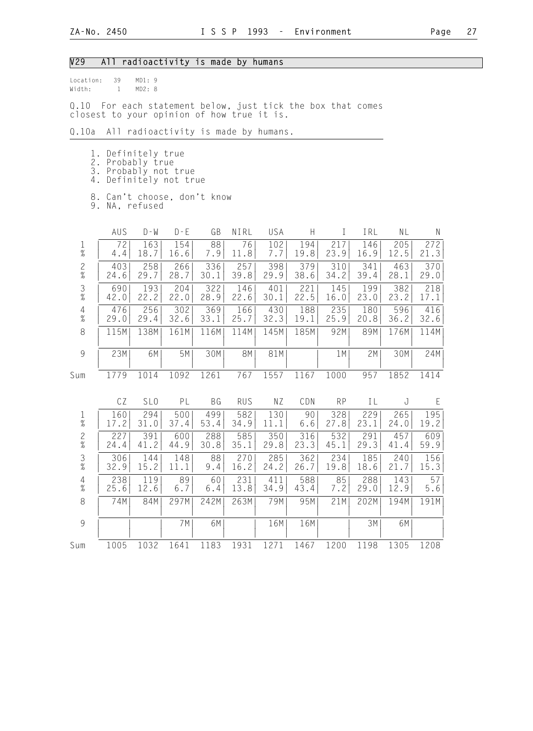## V29 All radioactivity is made by humans

| location: | 39 | MD1:9  |  |
|-----------|----|--------|--|
| Width:    |    | MD2: R |  |

Q.10 For each statement below, just tick the box that comes closest to your opinion of how true it is.

#### Q.10a All radioactivity is made by humans.

- 1. Definitely true
- 2. Probably true
- 3. Probably not true
- 4. Definitely not true
- 8. Can't choose, don't know

9. NA, refused

|                                            | AUS  | $D - W$         | $D - E$ | GB   | NIRL       | USA  | Н    | T         | IRL  | ΝL   | N    |
|--------------------------------------------|------|-----------------|---------|------|------------|------|------|-----------|------|------|------|
| $\frac{1}{\%}$                             | 72   | 163             | 154     | 88   | 76         | 102  | 194  | 217       | 146  | 205  | 272  |
|                                            | 4.4  | 18.7            | 16.6    | 7.9  | 11.8       | 7.7  | 19.8 | 23.9      | 16.9 | 12.5 | 21.3 |
| $\frac{2}{\%}$                             | 403  | 258             | 266     | 336  | 257        | 398  | 379  | 310       | 341  | 463  | 370  |
|                                            | 24.6 | 29.7            | 28.7    | 30.1 | 39.8       | 29.9 | 38.6 | 34.2      | 39.4 | 28.1 | 29.0 |
| $\frac{3}{8}$                              | 690  | 193             | 204     | 322  | 146        | 401  | 221  | 145       | 199  | 382  | 218  |
|                                            | 42.0 | 22.2            | 22.0    | 28.9 | 22.6       | 30.1 | 22.5 | 16.0      | 23.0 | 23.2 | 17.1 |
| $\begin{array}{c} 4 \\ \% \end{array}$     | 476  | 256             | 302     | 369  | 166        | 430  | 188  | 235       | 180  | 596  | 416  |
|                                            | 29.0 | 29.4            | 32.6    | 33.1 | 25.7       | 32.3 | 19.1 | 25.9      | 20.8 | 36.2 | 32.6 |
| $\,8\,$                                    | 115M | 138M            | 161M    | 116M | 114M       | 145M | 185M | 92M       | 89M  | 176M | 114M |
| 9                                          | 23M  | 6M              | 5M      | 30M  | 8M         | 81M  |      | 1M        | 2M   | 30M  | 24M  |
| Sum                                        | 1779 | 1014            | 1092    | 1261 | 767        | 1557 | 1167 | 1000      | 957  | 1852 | 1414 |
|                                            | CZ   | SL <sub>0</sub> | PL      | BG   | <b>RUS</b> | ΝZ   | CDN  | <b>RP</b> | IL   | J    | E    |
| $\frac{1}{\%}$                             | 160  | 294             | 500     | 499  | 582        | 130  | 90   | 328       | 229  | 265  | 195  |
|                                            | 17.2 | 31.0            | 37.4    | 53.4 | 34.9       | 11.1 | 6.6  | 27.8      | 23.1 | 24.0 | 19.2 |
| $\frac{2}{\%}$                             | 227  | 391             | 600     | 288  | 585        | 350  | 316  | 532       | 291  | 457  | 609  |
|                                            | 24.4 | 41.2            | 44.9    | 30.8 | 35.1       | 29.8 | 23.3 | 45.1      | 29.3 | 41.4 | 59.9 |
| $\frac{3}{8}$                              | 306  | 144             | 148     | 88   | 270        | 285  | 362  | 234       | 185  | 240  | 156  |
|                                            | 32.9 | 15.2            | 11.1    | 9.4  | 16.2       | 24.2 | 26.7 | 19.8      | 18.6 | 21.7 | 15.3 |
| $\begin{array}{c} 4 \\ 2 \\ 0 \end{array}$ | 238  | 119             | 89      | 60   | 231        | 411  | 588  | 85        | 288  | 143  | 57   |
|                                            | 25.6 | 12.6            | 6.7     | 6.4  | 13.8       | 34.9 | 43.4 | 7.2       | 29.0 | 12.9 | 5.6  |
| $\,8\,$                                    | 74M  | 84M             | 297M    | 242M | 263M       | 79M  | 95M  | 21M       | 202M | 194M | 191M |
| 9                                          |      |                 | 7 M     | 6M   |            | 16M  | 16M  |           | 3M   | 6M   |      |
|                                            |      |                 |         |      |            |      |      |           |      |      |      |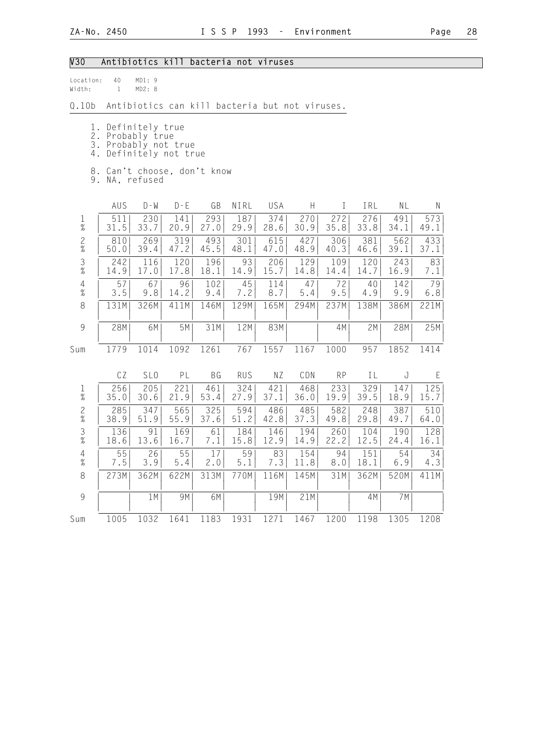## V30 Antibiotics kill bacteria not viruses

| location: | 40 | MD1:9 |  |
|-----------|----|-------|--|
| Width:    |    | MD2:8 |  |

Q.10b Antibiotics can kill bacteria but not viruses.

- 1. Definitely true
- 2. Probably true
- 3. Probably not true
- 4. Definitely not true
- 8. Can't choose, don't know
- 9. NA, refused

|                        | AUS         | $D - W$     | $D - F$     | GB          | NIRL        | USA         | H           |             | IRL         | ΝL          | N           |  |
|------------------------|-------------|-------------|-------------|-------------|-------------|-------------|-------------|-------------|-------------|-------------|-------------|--|
| 1<br>%                 | 511<br>31.5 | 230<br>33.7 | 141<br>20.9 | 293<br>27.0 | 187<br>29.9 | 374<br>28.6 | 270<br>30.9 | 272<br>35.8 | 276<br>33.8 | 491<br>34.1 | 573<br>49.1 |  |
| $\frac{2}{\%}$         | 810<br>50.0 | 269<br>39.4 | 319<br>47.2 | 493<br>45.5 | 301<br>48.1 | 615<br>47.0 | 427<br>48.9 | 306<br>40.3 | 381<br>46.6 | 562<br>39.1 | 433<br>37.1 |  |
| $\frac{3}{8}$          | 242<br>14.9 | 116<br>17.0 | 120<br>17.8 | 196<br>18.1 | 93<br>14.9  | 206<br>15.7 | 129<br>14.8 | 109<br>14.4 | 120<br>14.7 | 243<br>16.9 | 83<br>7.1   |  |
| $\overline{4}$<br>$\%$ | 57<br>3.5   | 67<br>9.8   | 96<br>14.2  | 102<br>9.4  | 45<br>7.2   | 114<br>8.7  | 47<br>5.4   | 72<br>9.5   | 40<br>4.9   | 142<br>9.9  | 79<br>6.8   |  |
| 8                      | 131M        | 326M        | 411M        | 146M        | 129M        | 165M        | 294M        | 237M        | 138M        | 386M        | 221M        |  |
| 9                      | 28M         | 6M          | 5M          | 31M         | 12M         | 83M         |             | 4M          | 2M          | 28M         | 25M         |  |
| Sum                    | 1779        | 1014        | 1092        | 1261        | 767         | 1557        | 1167        | 1000        | 957         | 1852        | 1414        |  |

|                | CΖ   | SL <sub>0</sub> | ΡL   | ВG   | RUS  | ΝZ   | CDN  | <b>RP</b> |      | τJ   |      |
|----------------|------|-----------------|------|------|------|------|------|-----------|------|------|------|
| Ŧ              | 256  | 205             | 221  | 461  | 324  | 421  | 468  | 2331      | 329  | 147  | 125  |
| $\%$           | 35.0 | 30.6            | 21.9 | 53.4 | 27.9 | 37.1 | 36.0 | 19.9      | 39.5 | 18.9 | 15.7 |
| $\frac{2}{\%}$ | 285  | 3471            | 565  | 325  | 594  | 486  | 485  | 582       | 248  | 387  | 510  |
|                | 38.9 | 51.9            | 55.9 | 37.6 | 51.2 | 42.8 | 37.3 | 49.8      | 29.8 | 49.7 | 64.0 |
| $\frac{3}{8}$  | 136  | 91              | 169  | 61   | 184  | 146  | 194  | 260       | 104  | 190  | 128  |
|                | 18.6 | 13.6            | 16.7 | 7.1  | 15.8 | 12.9 | 14.9 | 22.2      | 12.5 | 24.4 | 16.1 |
| 4              | 55   | 26              | 55   | 17   | 59   | 83   | 154  | 94        | 151  | 54   | 34   |
| $\%$           | 7.5  | 3.9             | 5.4  | 2.0  | 5.1  | 7.3  | 11.8 | 8.0       | 18.1 | 6.9  | 4.3  |
| 8              | 273M | 362M            | 622M | 313M | 770M | 116M | 145M | 31M       | 362M | 520M | 411M |
| 9              |      | 1M              | 9M   | 6M   |      | 19M  | 21M  |           | 4M   | 7M   |      |
| Sum            | 1005 | 1032            | 1641 | 1183 | 1931 | 1271 | 1467 | 1200      | 1198 | 1305 | 1208 |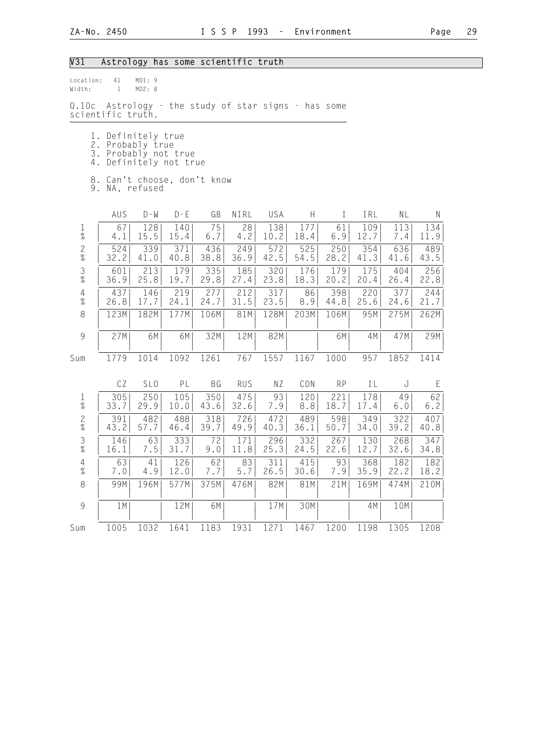## V31 Astrology has some scientific truth

| Location:<br>Width:    | 41<br>$\mathbf{1}$                                                                       | MD1: 9<br>MD2: 8 |             |             |             |                     |             |              |             |             |             |
|------------------------|------------------------------------------------------------------------------------------|------------------|-------------|-------------|-------------|---------------------|-------------|--------------|-------------|-------------|-------------|
| 0.10c                  | Astrology - the study of star signs - has some<br>scientific truth.                      |                  |             |             |             |                     |             |              |             |             |             |
|                        | 1. Definitely true<br>2. Probably true<br>3. Probably not true<br>4. Definitely not true |                  |             |             |             |                     |             |              |             |             |             |
|                        | 8. Can't choose, don't know<br>9. NA, refused                                            |                  |             |             |             |                     |             |              |             |             |             |
|                        | AUS                                                                                      | $D - M$          | $D - E$     | GB          | NIRL        | USA                 | Н           | $\mathbf{I}$ | IRL         | NL          | N           |
| 1<br>$\%$              | 67<br>4.1                                                                                | 128<br>15.5      | 140<br>15.4 | 75<br>6.7   | 28<br>4.2   | 138<br>10.2         | 177<br>18.4 | 61<br>6.9    | 109<br>12.7 | 113<br>7.4  | 134<br>11.9 |
| $\frac{2}{\%}$         | 524<br>32.2                                                                              | 339<br>41.0      | 371<br>40.8 | 436<br>38.8 | 249<br>36.9 | 572<br>42.5         | 525<br>54.5 | 250<br>28.2  | 354<br>41.3 | 636<br>41.6 | 489<br>43.5 |
| $\frac{3}{8}$          | 601<br>36.9                                                                              | 213<br>25.8      | 179<br>19.7 | 335<br>29.8 | 185<br>27.4 | 320<br>23.8         | 176<br>18.3 | 179<br>20.2  | 175<br>20.4 | 404<br>26.4 | 256<br>22.8 |
| $\overline{4}$<br>$\%$ | 437<br>26.8                                                                              | 146<br>17.7      | 219<br>24.1 | 277<br>24.7 | 212<br>31.5 | 317<br>23.5         | 86<br>8.9   | 398<br>44.8  | 220<br>25.6 | 377<br>24.6 | 244<br>21.7 |
| 8                      | 123M                                                                                     | 182M             | 177M        | 106M        | 81M         | 128M                | 203M        | 106M         | 95M         | 275M        | 262M        |
| $\overline{9}$         | 27M                                                                                      | 6M               | 6M          | 32M         | 12M         | 82M                 |             | 6M           | 4M          | 47M         | 29M         |
| Sum                    | 1779                                                                                     | 1014             | 1092        | 1261        | 767         | 1557                | 1167        | 1000         | 957         | 1852        | 1414        |
|                        | CZ                                                                                       | SL <sub>0</sub>  | PL          | BG          | <b>RUS</b>  | ΝZ                  | CDN         | <b>RP</b>    | IL          | J           | Ε           |
| $\mathbf{1}$<br>$\%$   | 305<br>33.7                                                                              | 250<br>29.9      | 105<br>10.0 | 350<br>43.6 | 475<br>32.6 | 93<br>7.9           | 120<br>8.8  | 221<br>18.7  | 178<br>17.4 | 49<br>6.0   | 62<br>6.2   |
| $\frac{2}{\%}$         | 391<br>43.2                                                                              | 482<br>57.7      | 488<br>46.4 | 318<br>39.7 | 726<br>49.9 | 472<br>40.3         | 489<br>36.1 | 598<br>50.7  | 349<br>34.0 | 322<br>39.2 | 407<br>40.8 |
| $\frac{3}{8}$          | 146<br>16.1                                                                              | 63<br>7.5        | 333<br>31.7 | 72<br>9.0   | 171<br>11.8 | 296<br>25.3         | 332<br>24.5 | 267<br>22.6  | 130<br>12.7 | 268<br>32.6 | 347<br>34.8 |
| 4<br>$\%$              | 63<br>$7.0$                                                                              | 41<br>$4.9\,$    | 126<br>12.0 | 62<br>7.7   | 83<br>5.7   | 311<br>$26.\bar{5}$ | 415<br>30.6 | 93<br>7.9    | 368<br>35.9 | 182<br>22.2 | 182<br>18.2 |
| $\,8\,$                | 99M                                                                                      | 196M             | 577M        | 375M        | 476M        | 82M                 | 81M         | 21M          | 169M        | 474M        | 210M        |
| $\mathcal{G}$          | 1M                                                                                       |                  | 12M         | 6M          |             | 17M                 | 30M         |              | 4M          | 10M         |             |
| Sum                    | 1005                                                                                     | 1032             | 1641        | 1183        | 1931        | 1271                | 1467        | 1200         | 1198        | 1305        | 1208        |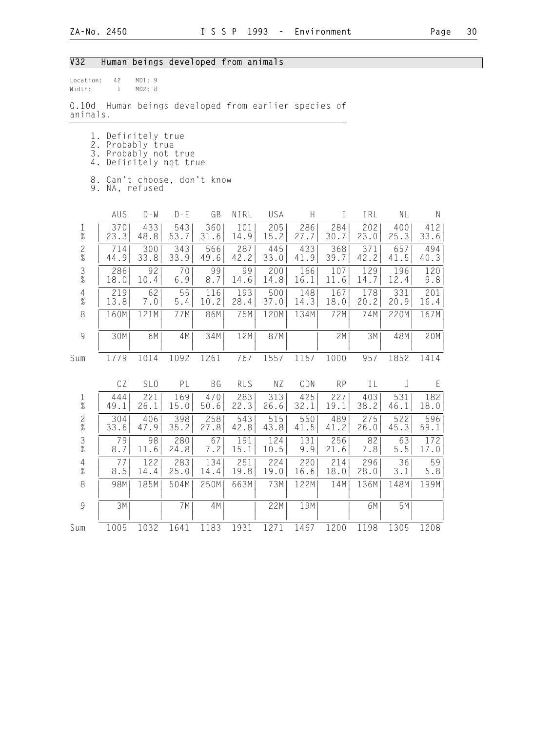# V32 Human beings developed from animals

| Location:<br>Width:    | 42<br>$\mathbf{1}$                            | MD1: 9<br>MD2: 8                                            |               |             |             |                                                |             |             |             |             |             |
|------------------------|-----------------------------------------------|-------------------------------------------------------------|---------------|-------------|-------------|------------------------------------------------|-------------|-------------|-------------|-------------|-------------|
| Q.10d<br>animals.      |                                               |                                                             |               |             |             | Human beings developed from earlier species of |             |             |             |             |             |
| $\perp$ .<br>3.<br>4.  | 2. Probably true                              | Definitely true<br>Probably not true<br>Definitely not true |               |             |             |                                                |             |             |             |             |             |
|                        | 8. Can't choose, don't know<br>9. NA, refused |                                                             |               |             |             |                                                |             |             |             |             |             |
|                        | AUS                                           | $D - M$                                                     | $D - E$       | GB          | NIRL        | USA                                            | Н           | $\perp$     | IRL         | NL          | N           |
| 1<br>%                 | 370<br>23.3                                   | 433<br>48.8                                                 | 543<br>53.7   | 360<br>31.6 | 101<br>14.9 | 205<br>15.2                                    | 286<br>27.7 | 284<br>30.7 | 202<br>23.0 | 400<br>25.3 | 412<br>33.6 |
| $\frac{2}{\%}$         | 714<br>44.9                                   | 300<br>33.8                                                 | 343<br>33.9   | 566<br>49.6 | 287<br>42.2 | 445<br>33.0                                    | 433<br>41.9 | 368<br>39.7 | 371<br>42.2 | 657<br>41.5 | 494<br>40.3 |
| $\frac{3}{8}$          | 286<br>18.0                                   | 92<br>10.4                                                  | 70<br>6.9     | 99<br>8.7   | 99<br>14.6  | 200<br>14.8                                    | 166<br>16.1 | 107<br>11.6 | 129<br>14.7 | 196<br>12.4 | 120<br>9.8  |
| $\overline{4}$<br>$\%$ | 219<br>13.8                                   | 62<br>7.0                                                   | 55<br>$5.4\,$ | 116<br>10.2 | 193<br>28.4 | 500<br>37.0                                    | 148<br>14.3 | 167<br>18.0 | 178<br>20.2 | 331<br>20.9 | 201<br>16.4 |
| $\,8\,$                | 160M                                          | 121M                                                        | 77M           | 86M         | 75M         | 120M                                           | 134M        | 72M         | 74M         | 220M        | 167M        |
| 9                      | 30M                                           | 6M                                                          | 4M            | 34M         | 12M         | 87M                                            |             | 2M          | 3M          | 48M         | 20M         |
| Sum                    | 1779                                          | 1014                                                        | 1092          | 1261        | 767         | 1557                                           | 1167        | 1000        | 957         | 1852        | 1414        |
|                        | CZ                                            | SL <sub>0</sub>                                             | PL            | BG          | <b>RUS</b>  | ΝZ                                             | CDN         | <b>RP</b>   | IL          | J           | E           |
| $\frac{1}{\%}$         | 444<br>49.1                                   | 221<br>26.1                                                 | 169<br>15.0   | 470<br>50.6 | 283<br>22.3 | 313<br>26.6                                    | 425<br>32.1 | 227<br>19.1 | 403<br>38.2 | 531<br>46.1 | 182<br>18.0 |
| $\frac{2}{\%}$         | 304<br>33.6                                   | 406<br>47.9                                                 | 398<br>35.2   | 258<br>27.8 | 543<br>42.8 | 515<br>43.8                                    | 550<br>41.5 | 489<br>41.2 | 275<br>26.0 | 522<br>45.3 | 596<br>59.1 |
| $\frac{3}{8}$          | 79<br>8.7                                     | 98<br>11.6                                                  | 280<br>24.8   | 67<br>7.2   | 191<br>15.1 | 124<br>10.5                                    | 131<br>9.9  | 256<br>21.6 | 82<br>7.8   | 63<br>$5.5$ | 172<br>17.0 |
| 4<br>$\%$              | 77<br>8.5                                     | 122<br>14.4                                                 | 283<br>25.0   | 134<br>14.4 | 251<br>19.8 | 224<br>19.0                                    | 220<br>16.6 | 214<br>18.0 | 296<br>28.0 | 36<br>3.1   | 59<br>5.8   |
| $\,8\,$                | 98M                                           | 185M                                                        | 504M          | 250M        | 663M        | 73M                                            | 122M        | 14M         | 136M        | 148M        | 199M        |
| $\mathcal{G}$          | 3M                                            |                                                             | 7 M           | 4M          |             | 22M                                            | 19M         |             | 6M          | 5M          |             |
| Sum                    | 1005                                          | 1032                                                        | 1641          | 1183        | 1931        | 1271                                           | 1467        | 1200        | 1198        | 1305        | 1208        |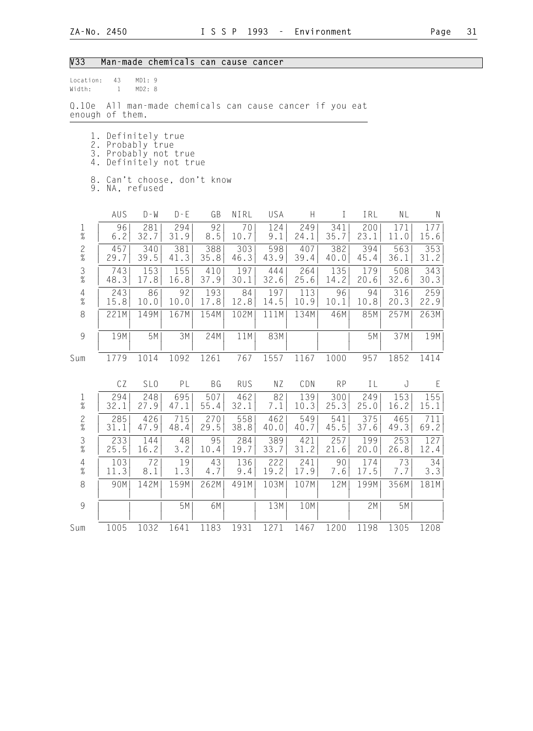## V33 Man-made chemicals can cause cancer

| Location:<br>Width:      | 43<br>$\mathbf{1}$ | MD1: 9<br>MD2: 8                       |                                             |             |             |                                                    |             |              |             |                                   |             |
|--------------------------|--------------------|----------------------------------------|---------------------------------------------|-------------|-------------|----------------------------------------------------|-------------|--------------|-------------|-----------------------------------|-------------|
| 0.10e<br>enough of them. |                    |                                        |                                             |             |             | All man-made chemicals can cause cancer if you eat |             |              |             |                                   |             |
| 4.                       |                    | 1. Definitely true<br>2. Probably true | 3. Probably not true<br>Definitely not true |             |             |                                                    |             |              |             |                                   |             |
| 8.                       |                    | 9. NA, refused                         | Can't choose, don't know                    |             |             |                                                    |             |              |             |                                   |             |
|                          | AUS                | $D - W$                                | $D - E$                                     | GB          | NIRL        | USA                                                | Н           | $\mathbf{I}$ | IRL         | NL                                | Ν           |
| $\mathbf{1}$<br>$\%$     | 96<br>6.2          | 281<br>32.7                            | 294<br>31.9                                 | 92<br>8.5   | 70<br>10.7  | 124<br>9.1                                         | 249<br>24.1 | 341<br>35.7  | 200<br>23.1 | 171<br>11.0                       | 177<br>15.6 |
| $\frac{2}{\%}$           | 457<br>29.7        | 340<br>39.5                            | 381<br>41.3                                 | 388<br>35.8 | 303<br>46.3 | 598<br>43.9                                        | 407<br>39.4 | 382<br>40.0  | 394<br>45.4 | 563<br>36.1                       | 353<br>31.2 |
| $\frac{3}{8}$            | 743<br>48.3        | 153<br>17.8                            | 155<br>16.8                                 | 410<br>37.9 | 197<br>30.1 | 444<br>32.6                                        | 264<br>25.6 | 135<br>14.2  | 179<br>20.6 | 508<br>32.6                       | 343<br>30.3 |
| $\overline{4}$<br>$\%$   | 243<br>15.8        | 86<br>10.0                             | 92<br>10.0                                  | 193<br>17.8 | 84<br>12.8  | 197<br>14.5                                        | 113<br>10.9 | 96<br>10.1   | 94<br>10.8  | 316<br>20.3                       | 259<br>22.9 |
| 8                        | 221M               | 149M                                   | 167M                                        | 154M        | 102M        | 111M                                               | 134M        | 46M          | 85M         | 257M                              | 263M        |
| 9                        | 19M                | 5M                                     | 3M                                          | 24M         | 11M         | 83M                                                |             |              | 5M          | 37M                               | 19M         |
| Sum                      | 1779               | 1014                                   | 1092                                        | 1261        | 767         | 1557                                               | 1167        | 1000         | 957         | 1852                              | 1414        |
|                          | CZ                 | SL <sub>0</sub>                        | PL                                          | BG          | <b>RUS</b>  | NZ                                                 | CDN         | <b>RP</b>    | IL          | J                                 | E           |
| $\mathbf{1}$<br>$\%$     | 294<br>32.1        | 248<br>27.9                            | 695<br>47.1                                 | 507<br>55.4 | 462<br>32.1 | 82<br>7.1                                          | 139<br>10.3 | 300<br>25.3  | 249<br>25.0 | 153<br>16.2                       | 155<br>15.1 |
| $\mathbf{2}$<br>$\%$     | 285<br>31.1        | 426<br>47.9                            | 715<br>48.4                                 | 270<br>29.5 | 558<br>38.8 | 462<br>40.0                                        | 549<br>40.7 | 541<br>45.5  | 375<br>37.6 | 465<br>49.3                       | 711<br>69.2 |
| $\mathfrak{Z}$<br>$\%$   | 233<br>25.5        | 144<br>16.2                            | 48<br>3.2                                   | 95<br>10.4  | 284<br>19.7 | 389<br>33.7                                        | 421<br>31.2 | 257<br>21.6  | 199<br>20.0 | 253<br>26.8                       | 127<br>12.4 |
| $\overline{4}$<br>$\%$   | 103<br>11.3        | 72<br>8.1                              | 19<br>1.3                                   | 43<br>4.7   | 136<br>9.4  | 222<br>19.2                                        | 241<br>17.9 | 90<br>7.6    | 174<br>17.5 | $\overline{\overline{73}}$<br>7.7 | 34<br>3.3   |
| 8                        | 90M                | 142M                                   | 159M                                        | 262M        | 491M        | 103M                                               | 107M        | 12M          | 199M        | 356M                              | 181M        |
| 9                        |                    |                                        | 5M                                          | 6M          |             | 13M                                                | 10M         |              | 2M          | 5M                                |             |
| Sum                      | 1005               | 1032                                   | 1641                                        | 1183        | 1931        | 1271                                               | 1467        | 1200         | 1198        | 1305                              | 1208        |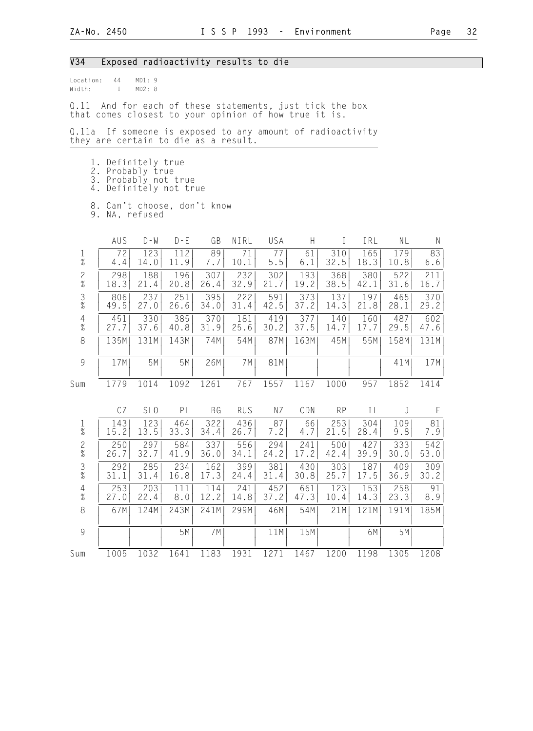### V34 Exposed radioactivity results to die

| location: | 44 | MD1:9  |  |
|-----------|----|--------|--|
| Width:    |    | MD2: 8 |  |

Q.11 And for each of these statements, just tick the box that comes closest to your opinion of how true it is.

Q.11a If someone is exposed to any amount of radioactivity they are certain to die as a result.

- 1. Definitely true
- 2. Probably true
- 3. Probably not true 4. Definitely not true
	-
	- 8. Can't choose, don't know

| 9. NA, refused |
|----------------|
|                |

|                                            | AUS  | $D - W$         | $D - E$ | GB        | NIRL       | USA  | H    | $\bf I$   | IRL  | NL   | N    |
|--------------------------------------------|------|-----------------|---------|-----------|------------|------|------|-----------|------|------|------|
| $\frac{1}{\%}$                             | 72   | 123             | 112     | 89        | 71         | 77   | 61   | 310       | 165  | 179  | 83   |
|                                            | 4.4  | 14.0            | 11.9    | 7.7       | 10.1       | 5.5  | 6.1  | 32.5      | 18.3 | 10.8 | 6.6  |
| $\frac{2}{\%}$                             | 298  | 188             | 196     | 307       | 232        | 302  | 193  | 368       | 380  | 522  | 211  |
|                                            | 18.3 | 21.4            | 20.8    | 26.4      | 32.9       | 21.7 | 19.2 | 38.5      | 42.1 | 31.6 | 16.7 |
| $\frac{3}{\%}$                             | 806  | 237             | 251     | 395       | 222        | 591  | 373  | 137       | 197  | 465  | 370  |
|                                            | 49.5 | 27.0            | 26.6    | 34.0      | 31.4       | 42.5 | 37.2 | 14.3      | 21.8 | 28.1 | 29.2 |
| $\begin{array}{c} 4 \\ 2 \\ 0 \end{array}$ | 451  | 330             | 385     | 370       | 181        | 419  | 377  | 140       | 160  | 487  | 602  |
|                                            | 27.7 | 37.6            | 40.8    | 31.9      | 25.6       | 30.2 | 37.5 | 14.7      | 17.7 | 29.5 | 47.6 |
| 8                                          | 135M | 131M            | 143M    | 74M       | 54M        | 87M  | 163M | 45M       | 55M  | 158M | 131M |
| 9                                          | 17M  | 5M              | 5M      | 26M       | 7M         | 81M  |      |           |      | 41M  | 17M  |
| Sum                                        | 1779 | 1014            | 1092    | 1261      | 767        | 1557 | 1167 | 1000      | 957  | 1852 | 1414 |
|                                            | CZ   | SL <sub>0</sub> | PL      | <b>BG</b> | <b>RUS</b> | ΝZ   | CDN  | <b>RP</b> | IL   | J    | E    |
| $\frac{1}{\%}$                             | 143  | 123             | 464     | 322       | 436        | 87   | 66   | 253       | 304  | 109  | 81   |
|                                            | 15.2 | 13.5            | 33.3    | 34.4      | 26.7       | 7.2  | 4.7  | 21.5      | 28.4 | 9.8  | 7.9  |
| $\frac{2}{\%}$                             | 250  | 297             | 584     | 337       | 556        | 294  | 241  | 500       | 427  | 333  | 542  |
|                                            | 26.7 | 32.7            | 41.9    | 36.0      | 34.1       | 24.2 | 17.2 | 42.4      | 39.9 | 30.0 | 53.0 |
| $\frac{3}{8}$                              | 292  | 285             | 234     | 162       | 399        | 381  | 430  | 303       | 187  | 409  | 309  |
|                                            | 31.1 | 31.4            | 16.8    | 17.3      | 24.4       | 31.4 | 30.8 | 25.7      | 17.5 | 36.9 | 30.2 |
| $\begin{array}{c} 4 \\ 2 \\ 0 \end{array}$ | 253  | 203             | 111     | 114       | 241        | 452  | 661  | 123       | 153  | 258  | 91   |
|                                            | 27.0 | 22.4            | $8.0\,$ | 12.2      | 14.8       | 37.2 | 47.3 | 10.4      | 14.3 | 23.3 | 8.9  |
| $\,8\,$                                    | 67M  | 124M            | 243M    | 241M      | 299M       | 46M  | 54M  | 21M       | 121M | 191M | 185M |
| 9                                          |      |                 | 5M      | 7M        |            | 11M  | 15M  |           | 6M   | 5M   |      |
| Sum                                        | 1005 | 1032            | 1641    | 1183      | 1931       | 1271 | 1467 | 1200      | 1198 | 1305 | 1208 |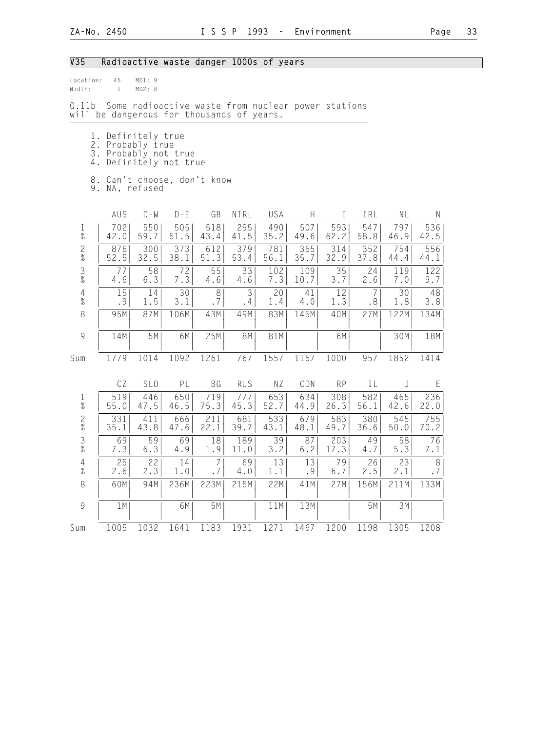## V35 Radioactive waste danger 1000s of years

| Location:<br>Width:         | 45<br>$\mathbf{1}$                                             | MD1: 9<br>MD2: 8 |                                                    |                      |             |             |                           |             |             |             |               |
|-----------------------------|----------------------------------------------------------------|------------------|----------------------------------------------------|----------------------|-------------|-------------|---------------------------|-------------|-------------|-------------|---------------|
| 0.11b                       | will be dangerous for thousands of years.                      |                  | Some radioactive waste from nuclear power stations |                      |             |             |                           |             |             |             |               |
| 4.                          | 1. Definitely true<br>2. Probably true<br>3. Probably not true |                  | Definitely not true                                |                      |             |             |                           |             |             |             |               |
|                             | 8. Can't choose, don't know<br>9. NA, refused                  |                  |                                                    |                      |             |             |                           |             |             |             |               |
|                             | AUS                                                            | $D - W$          | $D - E$                                            | GB                   | NIRL        | USA         | $\boldsymbol{\mathsf{H}}$ | $\rm I$     | IRL         | NL          | $\mathsf N$   |
| $\frac{1}{\%}$              | 702<br>42.0                                                    | 550<br>59.7      | 505<br>51.5                                        | 518<br>43.4          | 295<br>41.5 | 490<br>35.2 | 507<br>49.6               | 593<br>62.2 | 547<br>58.8 | 797<br>46.9 | 536<br>42.5   |
| $\overline{c}$<br>$\%$      | 876<br>52.5                                                    | 300<br>32.5      | 373<br>38.1                                        | 612<br>51.3          | 379<br>53.4 | 781<br>56.1 | 365<br>35.7               | 314<br>32.9 | 352<br>37.8 | 754<br>44.4 | 556<br>44.1   |
| $\frac{3}{\%}$              | 77<br>4.6                                                      | 58<br>6.3        | 72<br>7.3                                          | 55<br>4.6            | 33<br>4.6   | 102<br>7.3  | 109<br>10.7               | 35<br>3.7   | 24<br>2.6   | 119<br>7.0  | 122<br>9.7    |
| $\sqrt{4}$<br>$\frac{1}{2}$ | 15<br>.9                                                       | 14<br>1.5        | 30<br>3.1                                          | 8<br>.7              | 3<br>.4     | 20<br>1.4   | 41<br>$4.0$               | 12<br>1.3   | 7<br>.8     | 30<br>1.8   | 48<br>3.8     |
| 8                           | 95M                                                            | 87M              | 106M                                               | 43M                  | 49M         | 83M         | 145M                      | 40M         | 27M         | 122M        | 134M          |
| 9                           | 14M                                                            | 5M               | 6M                                                 | 25M                  | 8M          | 81M         |                           | 6M          |             | 30M         | 18M           |
| Sum                         | 1779                                                           | 1014             | 1092                                               | 1261                 | 767         | 1557        | 1167                      | 1000        | 957         | 1852        | 1414          |
|                             | CZ                                                             | SL <sub>0</sub>  | PL                                                 | <b>BG</b>            | <b>RUS</b>  | NZ          | CDN                       | <b>RP</b>   | IL          | J           | E             |
| $\frac{1}{\%}$              | 519<br>55.0                                                    | 446<br>47.5      | 650<br>46.5                                        | 719<br>75.3          | 777<br>45.3 | 653<br>52.7 | 634<br>44.9               | 308<br>26.3 | 582<br>56.1 | 465<br>42.6 | 236<br>22.0   |
| $\overline{c}$<br>$\%$      | 331<br>35.1                                                    | 411<br>43.8      | 666<br>47.6                                        | 211<br>22.1          | 681<br>39.7 | 533<br>43.1 | 679<br>48.1               | 583<br>49.7 | 380<br>36.6 | 545<br>50.0 | 755<br>70.2   |
| $\mathfrak{Z}$<br>$\%$      | 69<br>7.3                                                      | 59<br>6.3        | 69<br>4.9                                          | 18<br>1.9            | 189<br>11.0 | 39<br>3.2   | 87<br>$6.2$               | 203<br>17.3 | 49<br>4.7   | 58<br>5.3   | 76<br>7.1     |
| $\sqrt{4}$<br>$\%$          | 25<br>2.6                                                      | 22<br>2.3        | 14<br>1.0                                          | $\overline{7}$<br>.7 | 69<br>4.0   | 13<br>1.1   | 13<br>.9                  | 79<br>$6.7$ | 26<br>2.5   | 23<br>2.1   | $\,8\,$<br>.7 |
| 8                           | 60M                                                            | 94M              | 236M                                               | 223M                 | 215M        | 22M         | 41M                       | 27M         | 156M        | 211M        | 133M          |
| 9                           | 1 M                                                            |                  | 6M                                                 | 5M                   |             | 11M         | 13M                       |             | 5M          | 3M          |               |

 | | | | | | | | | | | | Sum 1005 1032 1641 1183 1931 1271 1467 1200 1198 1305 1208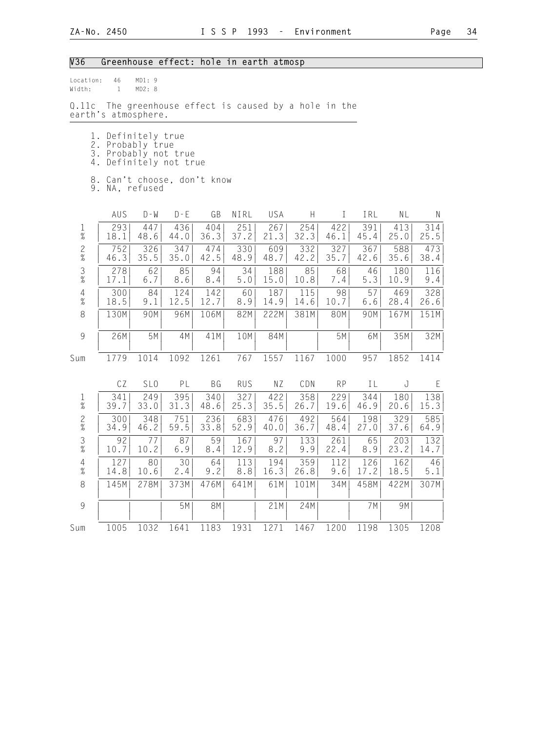## V36 Greenhouse effect: hole in earth atmosp

| Location:<br>Width:  | 46<br>$\mathbf{1}$                                                      | MD1:9<br>MD2: 8                                                              |             |             |             |             |             |             |             |             |              |
|----------------------|-------------------------------------------------------------------------|------------------------------------------------------------------------------|-------------|-------------|-------------|-------------|-------------|-------------|-------------|-------------|--------------|
| 0.11c                | The greenhouse effect is caused by a hole in the<br>earth's atmosphere. |                                                                              |             |             |             |             |             |             |             |             |              |
| 1.<br>2.<br>3.<br>4. |                                                                         | Definitely true<br>Probably true<br>Probably not true<br>Definitely not true |             |             |             |             |             |             |             |             |              |
|                      | 8. Can't choose, don't know<br>9. NA, refused                           |                                                                              |             |             |             |             |             |             |             |             |              |
|                      | AUS                                                                     | $D - W$                                                                      | $D - E$     | GB          | NIRL        | USA         | H           | $\mathbf I$ | IRL         | NL          | $\mathsf{N}$ |
| $\frac{1}{\%}$       | 293<br>18.1                                                             | 447<br>48.6                                                                  | 436<br>44.0 | 404<br>36.3 | 251<br>37.2 | 267<br>21.3 | 254<br>32.3 | 422<br>46.1 | 391<br>45.4 | 413<br>25.0 | 314<br>25.5  |
| $\frac{2}{\%}$       | 752<br>46.3                                                             | 326<br>35.5                                                                  | 347<br>35.0 | 474<br>42.5 | 330<br>48.9 | 609<br>48.7 | 332<br>42.2 | 327<br>35.7 | 367<br>42.6 | 588<br>35.6 | 473<br>38.4  |
| $\frac{3}{8}$        | 278<br>17.1                                                             | 62<br>6.7                                                                    | 85<br>8.6   | 94<br>8.4   | 34<br>5.0   | 188<br>15.0 | 85<br>10.8  | 68<br>7.4   | 46<br>5.3   | 180<br>10.9 | 116<br>9.4   |
| $\frac{4}{\%}$       | 300<br>18.5                                                             | 84<br>9.1                                                                    | 124<br>12.5 | 142<br>12.7 | 60<br>8.9   | 187<br>14.9 | 115<br>14.6 | 98<br>10.7  | 57<br>6.6   | 469<br>28.4 | 328<br>26.6  |
| 8                    | 130M                                                                    | 90M                                                                          | 96M         | 106M        | 82M         | 222M        | 381M        | 80M         | 90M         | 167M        | 151M         |
| $\overline{9}$       | 26M                                                                     | 5M                                                                           | 4M          | 41M         | 10M         | 84M         |             | 5M          | 6M          | 35M         | 32M          |
| Sum                  | 1779                                                                    | 1014                                                                         | 1092        | 1261        | 767         | 1557        | 1167        | 1000        | 957         | 1852        | 1414         |
|                      | CZ                                                                      | SL <sub>0</sub>                                                              | PL          | BG          | <b>RUS</b>  | NZ          | CDN         | <b>RP</b>   | IL          | J           | $\mathsf E$  |
| $\frac{1}{\%}$       | 341<br>39.7                                                             | 249<br>33.0                                                                  | 395<br>31.3 | 340<br>48.6 | 327<br>25.3 | 422<br>35.5 | 358<br>26.7 | 229<br>19.6 | 344<br>46.9 | 180<br>20.6 | 138<br>15.3  |
| $\frac{2}{\%}$       | 300<br>34.9                                                             | 348<br>46.2                                                                  | 751<br>59.5 | 236<br>33.8 | 683<br>52.9 | 476<br>40.0 | 492<br>36.7 | 564<br>48.4 | 198<br>27.0 | 329<br>37.6 | 585<br>64.9  |

 3 | 92| 77| 87| 59| 167| 97| 133| 261| 65| 203| 132| % | 10.7| 10.2| 6.9| 8.4| 12.9| 8.2| 9.9| 22.4| 8.9| 23.2| 14.7| 4 | 127| 80| 30| 64| 113| 194| 359| 112| 126| 162| 46| % | 14.8| 10.6| 2.4| 9.2| 8.8| 16.3| 26.8| 9.6| 17.2| 18.5| 5.1| 8 | 145M| 278M| 373M| 476M| 641M| 61M| 101M| 34M| 458M| 422M| 307M| | | | | | | | | | | | | 9 | | | 5M| 8M| | 21M| 24M| | 7M| 9M| | | | | | | | | | | | | | Sum 1005 1032 1641 1183 1931 1271 1467 1200 1198 1305 1208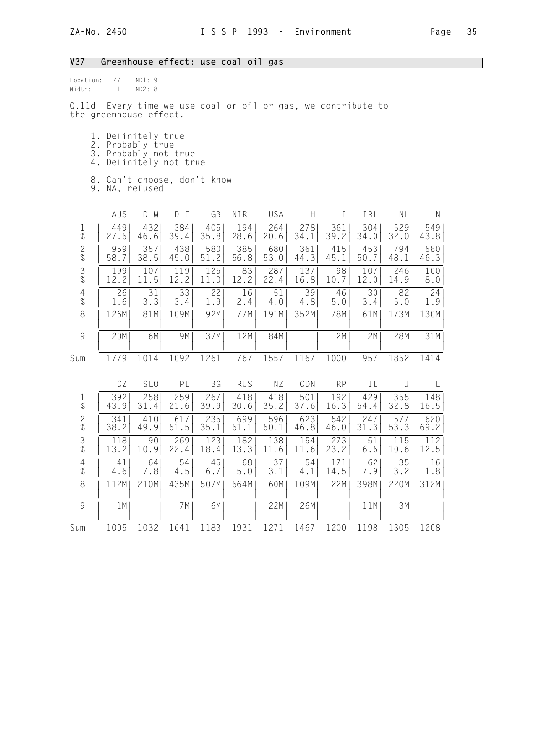## V37 Greenhouse effect: use coal oil gas

| location: | 47 | MD1:9  |  |
|-----------|----|--------|--|
| Width:    |    | MD2: 8 |  |

Q.11d Every time we use coal or oil or gas, we contribute to the greenhouse effect.

|  |  | 1. Definitely true |  |
|--|--|--------------------|--|
|--|--|--------------------|--|

- 2. Probably true
- 3. Probably not true 4. Definitely not true
	-
	- 8. Can't choose, don't know 9. NA, refused
	-

|                                            | AUS         | $D - W$         | $D - E$     | GB          | NIRL        | USA         | Н           |             | IRL         | ΝL          | N           |  |
|--------------------------------------------|-------------|-----------------|-------------|-------------|-------------|-------------|-------------|-------------|-------------|-------------|-------------|--|
| $\frac{1}{\%}$                             | 449<br>27.5 | 432<br>46.6     | 384<br>39.4 | 405<br>35.8 | 194<br>28.6 | 264<br>20.6 | 278<br>34.1 | 361<br>39.2 | 304<br>34.0 | 529<br>32.0 | 549<br>43.8 |  |
| $\frac{2}{\%}$                             | 959<br>58.7 | 357<br>38.5     | 438<br>45.0 | 580<br>51.2 | 385<br>56.8 | 680<br>53.0 | 361<br>44.3 | 415<br>45.1 | 453<br>50.7 | 794<br>48.1 | 580<br>46.3 |  |
| $\frac{3}{8}$                              | 199<br>12.2 | 107<br>11.5     | 119<br>12.2 | 125<br>11.0 | 83<br>12.2  | 287<br>22.4 | 137<br>16.8 | 98<br>10.7  | 107<br>12.0 | 246<br>14.9 | 100<br>8.0  |  |
| $\begin{array}{c} 4 \\ 2 \\ 0 \end{array}$ | 26<br>1.6   | 31<br>3.3       | 33<br>3.4   | 22<br>1.9   | 16<br>2.4   | 51<br>4.0   | 39<br>4.8   | 46<br>5.0   | 30<br>3.4   | 82<br>5.0   | 24<br>1.9   |  |
| 8                                          | 126M        | 81M             | 109M        | 92M         | 77M         | 191M        | 352M        | 78M         | 61M         | 173M        | 130M        |  |
| $\overline{9}$                             | 20M         | 6M              | 9M          | 37M         | 12M         | 84M         |             | 2M          | 2M          | 28M         | 31M         |  |
| Sum                                        | 1779        | 1014            | 1092        | 1261        | 767         | 1557        | 1167        | 1000        | 957         | 1852        | 1414        |  |
|                                            | CZ          | SL <sub>0</sub> | PL          | ΒG          | <b>RUS</b>  | ΝZ          | CDN         | <b>RP</b>   | IL          | J           | E           |  |
| $\frac{1}{\%}$                             | 392<br>43.9 | 258<br>31.4     | 259<br>21.6 | 267<br>39.9 | 418<br>30.6 | 418<br>35.2 | 501<br>37.6 | 192<br>16.3 | 429<br>54.4 | 355<br>32.8 | 148<br>16.5 |  |
| $\frac{2}{\%}$                             | 341<br>38.2 | 410<br>49.9     | 617<br>51.5 | 235<br>35.1 | 699<br>51.1 | 596<br>50.1 | 623<br>46.8 | 542<br>46.0 | 247<br>31.3 | 577<br>53.3 | 620<br>69.2 |  |
| 3<br>$\%$                                  | 118<br>13.2 | 90<br>10.9      | 269<br>22.4 | 123<br>18.4 | 182<br>13.3 | 138<br>11.6 | 154<br>11.6 | 273<br>23.2 | 51<br>6.5   | 115<br>10.6 | 112<br>12.5 |  |
| $\overline{4}$                             | 41          | 64              | 54          | 45          | 68          | 37          | 54          | 171         | 62          | 35          | 16          |  |

 % | 4.6| 7.8| 4.5| 6.7| 5.0| 3.1| 4.1| 14.5| 7.9| 3.2| 1.8| 8 | 112M| 210M| 435M| 507M| 564M| 60M| 109M| 22M| 398M| 220M| 312M|

 | | | | | | | | | | | | 9 | 1M| | 7M| 6M| | 22M| 26M| | 11M| 3M| | | | | | | | | | | | | |

Sum 1005 1032 1641 1183 1931 1271 1467 1200 1198 1305 1208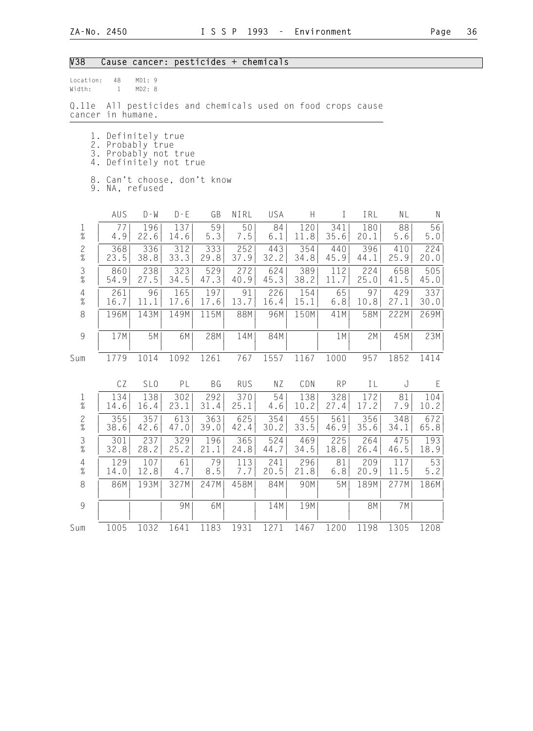# V38 Cause cancer: pesticides + chemicals

| Location:<br>Width:        | 48<br>$\mathbf{1}$ | MD1:9<br>MD2: 8                  |                                                       |             |             |             |             |             |             |             |             |
|----------------------------|--------------------|----------------------------------|-------------------------------------------------------|-------------|-------------|-------------|-------------|-------------|-------------|-------------|-------------|
| 0.11e<br>cancer in humane. |                    |                                  | All pesticides and chemicals used on food crops cause |             |             |             |             |             |             |             |             |
| 1.<br>2.<br>3.<br>4.       |                    | Definitely true<br>Probably true | Probably not true<br>Definitely not true              |             |             |             |             |             |             |             |             |
|                            |                    | 9. NA, refused                   | 8. Can't choose, don't know                           |             |             |             |             |             |             |             |             |
|                            | AUS                | $D - W$                          | $D - E$                                               | GB          | NIRL        | USA         | H           | $\perp$     | IRL         | NL          | N           |
| $\frac{1}{\%}$             | 77<br>4.9          | 196<br>22.6                      | 137<br>14.6                                           | 59<br>5.3   | 50<br>7.5   | 84<br>6.1   | 120<br>11.8 | 341<br>35.6 | 180<br>20.1 | 88<br>5.6   | 56<br>5.0   |
| $\frac{2}{\%}$             | 368<br>23.5        | 336<br>38.8                      | 312<br>33.3                                           | 333<br>29.8 | 252<br>37.9 | 443<br>32.2 | 354<br>34.8 | 440<br>45.9 | 396<br>44.1 | 410<br>25.9 | 224<br>20.0 |
| $\frac{3}{8}$              | 860<br>54.9        | 238<br>27.5                      | 323<br>34.5                                           | 529<br>47.3 | 272<br>40.9 | 624<br>45.3 | 389<br>38.2 | 112<br>11.7 | 224<br>25.0 | 658<br>41.5 | 505<br>45.0 |
| $\overline{4}$<br>$\%$     | 261<br>16.7        | 96<br>11.1                       | 165<br>17.6                                           | 197<br>17.6 | 91<br>13.7  | 226<br>16.4 | 154<br>15.1 | 65<br>6.8   | 97<br>10.8  | 429<br>27.1 | 337<br>30.0 |
| 8                          | 196M               | 143M                             | 149M                                                  | 115M        | 88M         | 96M         | 150M        | 41M         | 58M         | 222M        | 269M        |
| $\mathcal{G}$              | 17M                | 5M                               | 6M                                                    | 28M         | 14M         | 84M         |             | 1 M         | 2M          | 45M         | 23M         |
| Sum                        | 1779               | 1014                             | 1092                                                  | 1261        | 767         | 1557        | 1167        | 1000        | 957         | 1852        | 1414        |
|                            | CZ                 | SL <sub>0</sub>                  | PL                                                    | BG          | <b>RUS</b>  | ΝZ          | CDN         | <b>RP</b>   | IL          | J           | $\mathsf E$ |
| $\mathbf 1$<br>$\%$        | 134<br>14.6        | 138<br>16.4                      | 302<br>23.1                                           | 292<br>31.4 | 370<br>25.1 | 54<br>4.6   | 138<br>10.2 | 328<br>27.4 | 172<br>17.2 | 81<br>7.9   | 104<br>10.2 |
| $\frac{2}{\%}$             | 355<br>38.6        | 357<br>42.6                      | 613<br>47.0                                           | 363<br>39.0 | 625<br>42.4 | 354<br>30.2 | 455<br>33.5 | 561<br>46.9 | 356<br>35.6 | 348<br>34.1 | 672<br>65.8 |
| $\frac{3}{\%}$             | 301<br>32.8        | 237<br>28.2                      | 329<br>25.2                                           | 196<br>21.1 | 365<br>24.8 | 524<br>44.7 | 469<br>34.5 | 225<br>18.8 | 264<br>26.4 | 475<br>46.5 | 193<br>18.9 |
| $\overline{4}$<br>$\%$     | 129<br>14.0        | 107<br>12.8                      | 61<br>4.7                                             | 79<br>8.5   | 113<br>7.7  | 241<br>20.5 | 296<br>21.8 | 81 <br>6.8  | 209<br>20.9 | 117<br>11.5 | 53 <br>5.2  |
| 8                          | 86M                | 193M                             | 327M                                                  | 247M        | 458M        | 84M         | 90M         | 5M          | 189M        | 277M        | 186M        |
| $\mathcal{G}$              |                    |                                  | 9M                                                    | 6M          |             | 14M         | 19M         |             | 8M          | 7M          |             |
| Sum                        | 1005               | 1032                             | 1641                                                  | 1183        | 1931        | 1271        | 1467        | 1200        | 1198        | 1305        | 1208        |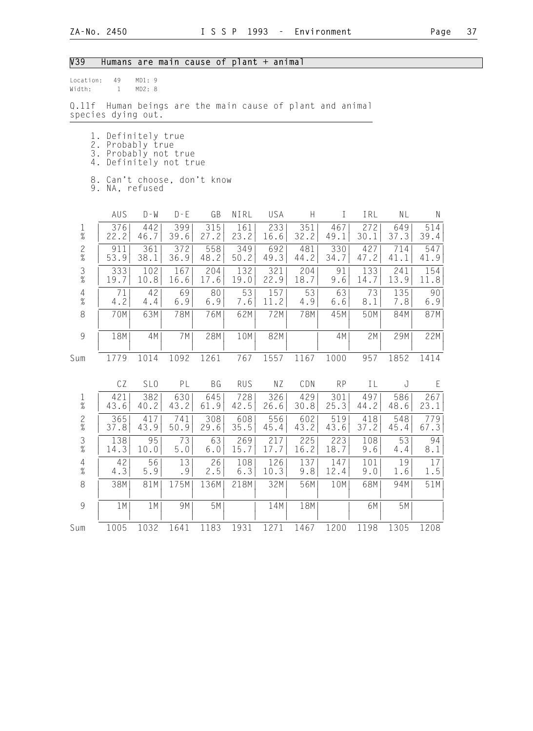## V39 Humans are main cause of plant + animal

| Location: | 49 | MD1:9  |
|-----------|----|--------|
| Width:    |    | MD2: 8 |
|           |    |        |

Q.11f Human beings are the main cause of plant and animal species dying out.

|  |  |  | 1. Definitely true |
|--|--|--|--------------------|
|  |  |  |                    |

- 2. Probably true
- 3. Probably not true 4. Definitely not true
	- 8. Can't choose, don't know
	- 9. NA, refused

|                                            | AUS         | $D - W$         | $D - E$     | GB          | NIRL        | USA         | H           |             | IRL         | ΝL          | N           |  |
|--------------------------------------------|-------------|-----------------|-------------|-------------|-------------|-------------|-------------|-------------|-------------|-------------|-------------|--|
| $\frac{1}{\%}$                             | 376<br>22.2 | 442<br>46.7     | 399<br>39.6 | 315<br>27.2 | 161<br>23.2 | 233<br>16.6 | 351<br>32.2 | 467<br>49.1 | 272<br>30.1 | 649<br>37.3 | 514<br>39.4 |  |
| $\frac{2}{\%}$                             | 911<br>53.9 | 361<br>38.1     | 372<br>36.9 | 558<br>48.2 | 349<br>50.2 | 692<br>49.3 | 481<br>44.2 | 330<br>34.7 | 427<br>47.2 | 714<br>41.1 | 547<br>41.9 |  |
| $\frac{3}{8}$                              | 333<br>19.7 | 102<br>10.8     | 167<br>16.6 | 204<br>17.6 | 132<br>19.0 | 321<br>22.9 | 204<br>18.7 | 91<br>9.6   | 133<br>14.7 | 241<br>13.9 | 154<br>11.8 |  |
| $\begin{array}{c} 4 \\ 2 \\ 0 \end{array}$ | 71<br>4.2   | 42<br>4.4       | 69<br>6.9   | 80<br>6.9   | 53<br>7.6   | 157<br>11.2 | 53<br>4.9   | 63<br>6.6   | 73<br>8.1   | 135<br>7.8  | 90<br>6.9   |  |
| 8                                          | 70M         | 63M             | 78M         | 76M         | 62M         | 72M         | 78M         | 45M         | 50M         | 84M         | 87M         |  |
| $\overline{9}$                             | 18M         | 4M              | 7 M         | 28M         | 10M         | 82M         |             | 4M          | 2M          | 29M         | 22M         |  |
| Sum                                        | 1779        | 1014            | 1092        | 1261        | 767         | 1557        | 1167        | 1000        | 957         | 1852        | 1414        |  |
|                                            | CZ          | SL <sub>0</sub> | PL          | ΒG          | <b>RUS</b>  | ΝZ          | CDN         | <b>RP</b>   | IL          | J           | E           |  |
| $\frac{1}{\%}$                             | 421<br>43.6 | 382<br>40.2     | 630<br>43.2 | 645<br>61.9 | 728<br>42.5 | 326<br>26.6 | 429<br>30.8 | 301<br>25.3 | 497<br>44.2 | 586<br>48.6 | 267<br>23.1 |  |
| $\frac{2}{\%}$                             | 365<br>37.8 | 417<br>43.9     | 741<br>50.9 | 308<br>29.6 | 608<br>35.5 | 556<br>45.4 | 602<br>43.2 | 519<br>43.6 | 418<br>37.2 | 548<br>45.4 | 779<br>67.3 |  |
| $\frac{3}{8}$                              | 138<br>14.3 | 95<br>10.0      | 73<br>$5.0$ | 63<br>6.0   | 269<br>15.7 | 217<br>17.7 | 225<br>16.2 | 223<br>18.7 | 108<br>9.6  | 53<br>4.4   | 94<br>8.1   |  |

 4 | 42| 56| 13| 26| 108| 126| 137| 147| 101| 19| 17| % | 4.3| 5.9| .9| 2.5| 6.3| 10.3| 9.8| 12.4| 9.0| 1.6| 1.5| 8 | 38M| 81M| 175M| 136M| 218M| 32M| 56M| 10M| 68M| 94M| 51M| | | | | | | | | | | | |

 9 | 1M| 1M| 9M| 5M| | 14M| 18M| | 6M| 5M| | | | | | | | | | | | | |

Sum 1005 1032 1641 1183 1931 1271 1467 1200 1198 1305 1208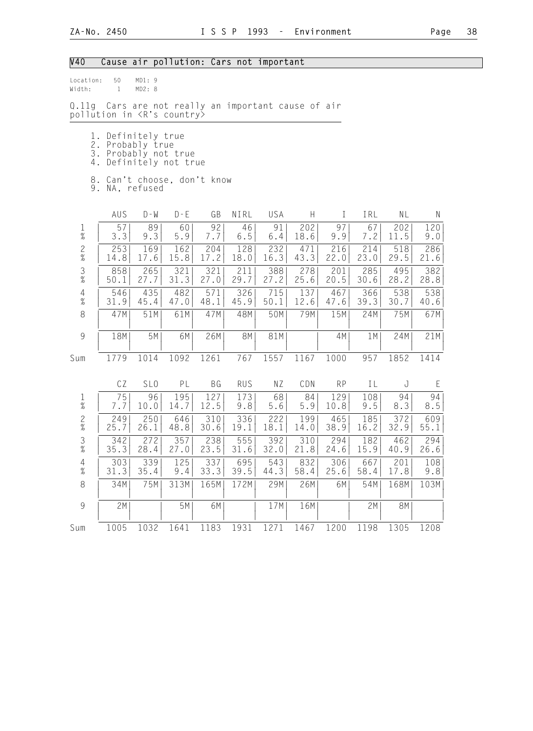# V40 Cause air pollution: Cars not important

| Location:<br>Width:             | 50<br>$\mathbf{1}$                                                                                              | MD1: 9<br>MD2: 8 |                                               |             |               |               |             |             |             |             |             |
|---------------------------------|-----------------------------------------------------------------------------------------------------------------|------------------|-----------------------------------------------|-------------|---------------|---------------|-------------|-------------|-------------|-------------|-------------|
| Q.11g                           | pollution in <r's country=""></r's>                                                                             |                  | Cars are not really an important cause of air |             |               |               |             |             |             |             |             |
| 4.                              | 1. Definitely true<br>2. Probably true<br>3. Probably not true<br>8. Can't choose, don't know<br>9. NA, refused |                  | Definitely not true                           |             |               |               |             |             |             |             |             |
|                                 | AUS                                                                                                             | $D - M$          | $D - E$                                       | GB          | NIRL          | USA           | H           | $\bf I$     | IRL         | NL          | N           |
| $\frac{1}{\%}$                  | 57<br>3.3                                                                                                       | 89<br>9.3        | 60<br>5.9                                     | 92<br>7.7   | 46<br>$6\,.5$ | 91<br>$6.4\,$ | 202<br>18.6 | 97<br>9.9   | 67<br>7.2   | 202<br>11.5 | 120<br>9.0  |
| $\frac{2}{\%}$                  | 253<br>14.8                                                                                                     | 169<br>17.6      | 162<br>15.8                                   | 204<br>17.2 | 128<br>18.0   | 232<br>16.3   | 471<br>43.3 | 216<br>22.0 | 214<br>23.0 | 518<br>29.5 | 286<br>21.6 |
| $\mathfrak{Z}$<br>$\frac{1}{2}$ | 858<br>50.1                                                                                                     | 265<br>27.7      | 321<br>31.3                                   | 321<br>27.0 | 211<br>29.7   | 388<br>27.2   | 278<br>25.6 | 201<br>20.5 | 285<br>30.6 | 495<br>28.2 | 382<br>28.8 |
| $\overline{4}$<br>$\frac{9}{6}$ | 546<br>31.9                                                                                                     | 435<br>45.4      | 482<br>47.0                                   | 571<br>48.1 | 326<br>45.9   | 715<br>50.1   | 137<br>12.6 | 467<br>47.6 | 366<br>39.3 | 538<br>30.7 | 538<br>40.6 |
| 8                               | 47M                                                                                                             | 51M              | 61M                                           | 47M         | 48M           | 50M           | 79M         | 15M         | 24M         | 75M         | 67M         |
| $\overline{9}$                  | 18M                                                                                                             | 5M               | 6M                                            | 26M         | 8M            | 81M           |             | 4M          | 1M          | 24M         | 21M         |
| Sum                             | 1779                                                                                                            | 1014             | 1092                                          | 1261        | 767           | 1557          | 1167        | 1000        | 957         | 1852        | 1414        |
|                                 | CZ                                                                                                              | SL <sub>0</sub>  | PL                                            | <b>BG</b>   | <b>RUS</b>    | N Z           | CDN         | <b>RP</b>   | ΙL          | J           | E           |
| $\mathbf{1}$<br>$\bar{y}$       | 75<br>7.7                                                                                                       | 96<br>10.0       | 195<br>14.7                                   | 127<br>12.5 | 173<br>9.8    | 68<br>5.6     | 84<br>5.9   | 129<br>10.8 | 108<br>9.5  | 94<br>8.3   | 94<br>8.5   |
| $\frac{2}{\%}$                  | 249<br>25.7                                                                                                     | 250<br>26.1      | 646<br>48.8                                   | 310<br>30.6 | 336<br>19.1   | 222<br>18.1   | 199<br>14.0 | 465<br>38.9 | 185<br>16.2 | 372<br>32.9 | 609<br>55.1 |
| $\frac{3}{8}$                   | 342<br>35.3                                                                                                     | 272<br>28.4      | 357<br>27.0                                   | 238<br>23.5 | 555<br>31.6   | 392<br>32.0   | 310<br>21.8 | 294<br>24.6 | 182<br>15.9 | 462<br>40.9 | 294<br>26.6 |
| $\overline{4}$<br>$\%$          | 303<br>31.3                                                                                                     | 339<br>35.4      | 125<br>9.4                                    | 337<br>33.3 | 695<br>39.5   | 543<br>44.3   | 832<br>58.4 | 306<br>25.6 | 667<br>58.4 | 201<br>17.8 | 108<br>9.8  |
| 8                               | 34M                                                                                                             | 75M              | 313M                                          | 165M        | 172M          | 29M           | 26M         | 6M          | 54M         | 168M        | 103M        |
| 9                               | 2M                                                                                                              |                  | 5M                                            | 6M          |               | 17M           | 16M         |             | 2M          | 8M          |             |
| Sum                             | 1005                                                                                                            | 1032             | 1641                                          | 1183        | 1931          | 1271          | 1467        | 1200        | 1198        | 1305        | 1208        |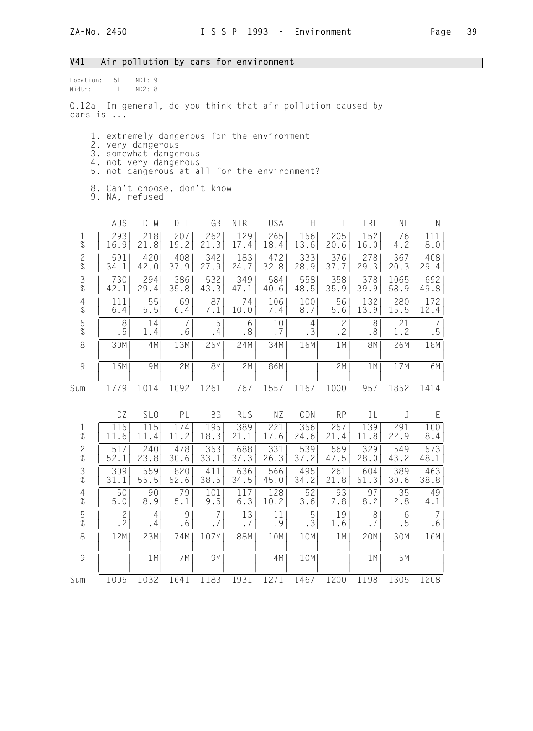## V41 Air pollution by cars for environment

Location: 51 MD1: 9 Width: 1 MD2: 8

Q.12a In general, do you think that air pollution caused by cars is ...

- 1. extremely dangerous for the environment
- 2. very dangerous
- 3. somewhat dangerous
- 4. not very dangerous
	- 5. not dangerous at all for the environment?
	- 8. Can't choose, don't know
	- 9. NA, refused

|                                                           | AUS            | $D - W$         | $D - E$ | GB        | NIRL       | USA  | $\boldsymbol{\mathsf{H}}$ | $\mathbf I$  | IRL       | <b>NL</b> | $\mathsf{N}$           |
|-----------------------------------------------------------|----------------|-----------------|---------|-----------|------------|------|---------------------------|--------------|-----------|-----------|------------------------|
| $\frac{1}{\%}$                                            | 293            | 218             | 207     | 262       | 129        | 265  | 156                       | 205          | 152       | 76        | 111                    |
|                                                           | 16.9           | 21.8            | 19.2    | 21.3      | 17.4       | 18.4 | 13.6                      | 20.6         | 16.0      | 4.2       | 8.0                    |
| $\frac{2}{\%}$                                            | 591            | 420             | 408     | 342       | 183        | 472  | 333                       | 376          | 278       | 367       | 408                    |
|                                                           | 34.1           | 42.0            | 37.9    | 27.9      | 24.7       | 32.8 | 28.9                      | 37.7         | 29.3      | 20.3      | 29.4                   |
| $\frac{3}{8}$                                             | 730            | 294             | 386     | 532       | 349        | 584  | 558                       | 358          | 378       | 1065      | 692                    |
|                                                           | 42.1           | 29.4            | 35.8    | 43.3      | 47.1       | 40.6 | 48.5                      | 35.9         | 39.9      | 58.9      | 49.8                   |
| $\begin{array}{c} 4 \\ 2 \\ 0 \end{array}$                | 111            | 55              | 69      | 87        | 74         | 106  | 100                       | 56           | 132       | 280       | 172                    |
|                                                           | $6.4$          | $5.5$           | 6.4     | 7.1       | 10.0       | 7.4  | 8.7                       | 5.6          | 13.9      | 15.5      | 12.4                   |
| $\frac{5}{\%}$                                            | 8              | 14              | 7       | 5         | 6          | 10   | 4                         | $\mathbf{2}$ | 8         | 21        | 7                      |
|                                                           | .5             | 1.4             | .6      | .4        | .8         | .7   | .3                        | .2           | .8        | 1.2       | $\boldsymbol{\cdot}$ 5 |
| $\,8\,$                                                   | 30M            | 4M              | 13M     | 25M       | 24M        | 34M  | 16M                       | 1M           | <b>8M</b> | 26M       | 18M                    |
| $\mathcal{G}% _{M_{1},M_{2}}^{\alpha,\beta}(\varepsilon)$ | 16M            | 9M              | 2M      | <b>8M</b> | 2M         | 86M  |                           | 2M           | 1M        | 17M       | 6M                     |
| Sum                                                       | 1779           | 1014            | 1092    | 1261      | 767        | 1557 | 1167                      | 1000         | 957       | 1852      | 1414                   |
|                                                           | CZ             | SL <sub>0</sub> | PL      | <b>BG</b> | <b>RUS</b> | NZ   | CDN                       | <b>RP</b>    | IL        | J         | E                      |
| $\frac{1}{\%}$                                            | 115            | 115             | 174     | 195       | 389        | 221  | 356                       | 257          | 139       | 291       | 100                    |
|                                                           | 11.6           | 11.4            | 11.2    | 18.3      | 21.1       | 17.6 | 24.6                      | 21.4         | 11.8      | 22.9      | 8.4                    |
| $\frac{2}{\%}$                                            | 517            | 240             | 478     | 353       | 688        | 331  | 539                       | 569          | 329       | 549       | 573                    |
|                                                           | 52.1           | 23.8            | 30.6    | 33.1      | 37.3       | 26.3 | 37.2                      | 47.5         | 28.0      | 43.2      | 48.1                   |
| $\frac{3}{8}$                                             | 309            | 559             | 820     | 411       | 636        | 566  | 495                       | 261          | 604       | 389       | 463                    |
|                                                           | 31.1           | 55.5            | 52.6    | 38.5      | 34.5       | 45.0 | 34.2                      | 21.8         | 51.3      | 30.6      | 38.8                   |
| $\frac{4}{\%}$                                            | 50             | 90              | 79      | 101       | 117        | 128  | 52                        | 93           | 97        | 35        | 49                     |
|                                                           | $5.0$          | 8.9             | 5.1     | 9.5       | 6.3        | 10.2 | 3.6                       | 7.8          | 8.2       | 2.8       | 4.1                    |
| $\frac{5}{\%}$                                            | $\overline{c}$ | $\overline{4}$  | 9       | 7         | 13         | 11   | 5                         | 19           | 8         | 6         | $\overline{7}$         |
|                                                           | .2             | .4              | .6      | . 7       | .7         | .9   | .3                        | 1.6          | .7        | . 5       | .6                     |
| $\,8\,$                                                   | 12M            | 23M             | 74M     | 107M      | 88M        | 10M  | 10M                       | 1M           | 20M       | 30M       | 16M                    |
| $\overline{9}$                                            |                | 1 M             | 7M      | 9M        |            | 4M   | 10M                       |              | 1M        | 5M        |                        |
| Sum                                                       | 1005           | 1032            | 1641    | 1183      | 1931       | 1271 | 1467                      | 1200         | 1198      | 1305      | 1208                   |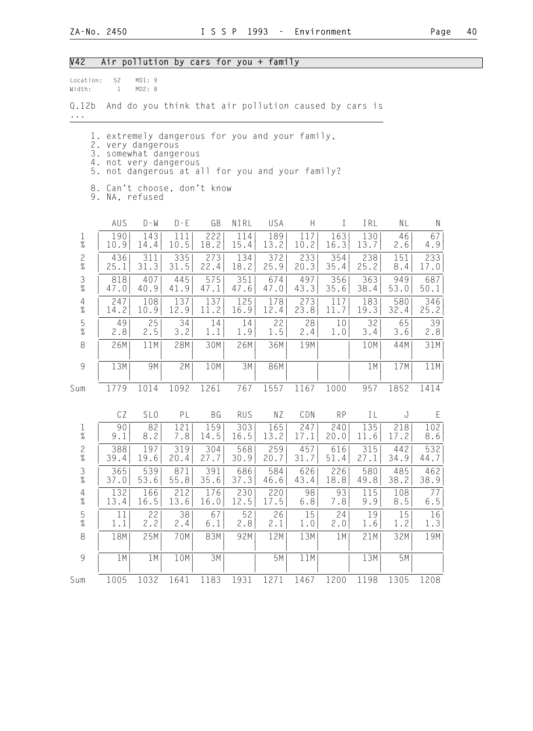| Location:<br>Width:                                       | 52<br>$\mathbf{1}$ | MD1: 9<br>MD2: 8                                                                                                                                                        |             |             |             |             |             |              |             |             |                  |
|-----------------------------------------------------------|--------------------|-------------------------------------------------------------------------------------------------------------------------------------------------------------------------|-------------|-------------|-------------|-------------|-------------|--------------|-------------|-------------|------------------|
| Q.12b<br>$\cdots$                                         |                    | And do you think that air pollution caused by cars is                                                                                                                   |             |             |             |             |             |              |             |             |                  |
| 5.                                                        |                    | 1. extremely dangerous for you and your family,<br>2. very dangerous<br>3. somewhat dangerous<br>4. not very dangerous<br>not dangerous at all for you and your family? |             |             |             |             |             |              |             |             |                  |
|                                                           |                    | 8. Can't choose, don't know<br>9. NA, refused                                                                                                                           |             |             |             |             |             |              |             |             |                  |
|                                                           | AUS                | $D - M$                                                                                                                                                                 | $D - E$     | GB          | NIRL        | USA         | H           | $\mathbf{I}$ | IRL         | NL          | $\mathsf{N}$     |
| $\frac{1}{\%}$                                            | 190<br>10.9        | 143<br>14.4                                                                                                                                                             | 111<br>10.5 | 222<br>18.2 | 114<br>15.4 | 189<br>13.2 | 117<br>10.2 | 163<br>16.3  | 130<br>13.7 | 46<br>2.6   | 67<br>4.9        |
| $\frac{2}{\%}$                                            | 436<br>25.1        | 311<br>31.3                                                                                                                                                             | 335<br>31.5 | 273<br>22.4 | 134<br>18.2 | 372<br>25.9 | 233<br>20.3 | 354<br>35.4  | 238<br>25.2 | 151<br>8.4  | 233<br>17.0      |
| $\frac{3}{8}$                                             | 818<br>47.0        | 407<br>40.9                                                                                                                                                             | 445<br>41.9 | 575<br>47.1 | 351<br>47.6 | 674<br>47.0 | 497<br>43.3 | 356<br>35.6  | 363<br>38.4 | 949<br>53.0 | 687<br>50.1      |
| $\overline{4}$<br>$\%$                                    | 247<br>14.2        | 108<br>10.9                                                                                                                                                             | 137<br>12.9 | 137<br>11.2 | 125<br>16.9 | 178<br>12.4 | 273<br>23.8 | 117<br>11.7  | 183<br>19.3 | 580<br>32.4 | 346<br>25.2      |
| $\frac{5}{\%}$                                            | 49<br>2.8          | 25<br>2.5                                                                                                                                                               | 34<br>3.2   | 14<br>1.1   | 14<br>1.9   | 22<br>1.5   | 28<br>2.4   | 10<br>1.0    | 32<br>3.4   | 65<br>3.6   | 39               |
| 8                                                         | 26M                | 11M                                                                                                                                                                     | 28M         | 30M         | 26M         | 36M         | 19M         |              | 10M         | 44M         | 2.8<br>31M       |
| 9                                                         | 13M                | 9M                                                                                                                                                                      | 2M          | 10M         | 3M          | 86M         |             |              | 1 M         | 17M         | 11M              |
| Sum                                                       | 1779               | 1014                                                                                                                                                                    | 1092        | 1261        | 767         | 1557        | 1167        | 1000         | 957         | 1852        | 1414             |
|                                                           | CZ                 | SL <sub>0</sub>                                                                                                                                                         | PL          | BG          | <b>RUS</b>  | ΝZ          | CDN         | <b>RP</b>    | IL          | J           | E                |
| $\frac{1}{\%}$                                            | 90<br>9.1          | 82<br>8.2                                                                                                                                                               | 121<br>7.8  | 159<br>14.5 | 303<br>16.5 | 165<br>13.2 | 247<br>17.1 | 240<br>20.0  | 135<br>11.6 | 218<br>17.2 | 102<br>8.6       |
| $\frac{2}{\%}$                                            | 388<br>39.4        | 197<br>19.6                                                                                                                                                             | 319<br>20.4 | 304<br>27.7 | 568<br>30.9 | 259<br>20.7 | 457<br>31.7 | 616<br>51.4  | 315<br>27.1 | 442<br>34.9 | 532<br>44.7      |
| $\frac{3}{8}$                                             | 365<br>37.0        | 539<br>53.6                                                                                                                                                             | 871<br>55.8 | 391<br>35.6 | 686<br>37.3 | 584<br>46.6 | 626<br>43.4 | 226<br>18.8  | 580<br>49.8 | 485<br>38.2 | 462<br>38.9      |
| $\begin{array}{c} 4 \\ \% \end{array}$                    | 132<br>13.4        | 166<br>16.5                                                                                                                                                             | 212<br>13.6 | 176<br>16.0 | 230<br>12.5 | 220<br>17.5 | 98<br>6.8   | 93<br>7.8    | 115<br>9.9  | 108<br>8.5  | $7\,7$<br>6.5    |
| $\frac{5}{\%}$                                            | 11<br>1.1          | 22<br>2.2                                                                                                                                                               | 38<br>2.4   | 67<br>6.1   | 52<br>2.8   | 26<br>2.1   | 15<br>1.0   | 24<br>2.0    | 19<br>1.6   | 15<br>1.2   | $\frac{16}{1.3}$ |
| 8                                                         | 18M                | 25M                                                                                                                                                                     | 70M         | 83M         | 92M         | 12M         | 13M         | 1M           | 21M         | 32M         | 19M              |
| $\mathcal{G}% _{M_{1},M_{2}}^{\alpha,\beta}(\mathcal{G})$ | 1 M                | 1 M                                                                                                                                                                     | 10M         | 3M          |             | 5M          | 11M         |              | 13M         | 5M          |                  |
| Sum                                                       | 1005               | 1032                                                                                                                                                                    | 1641        | 1183        | 1931        | 1271        | 1467        | 1200         | 1198        | 1305        | 1208             |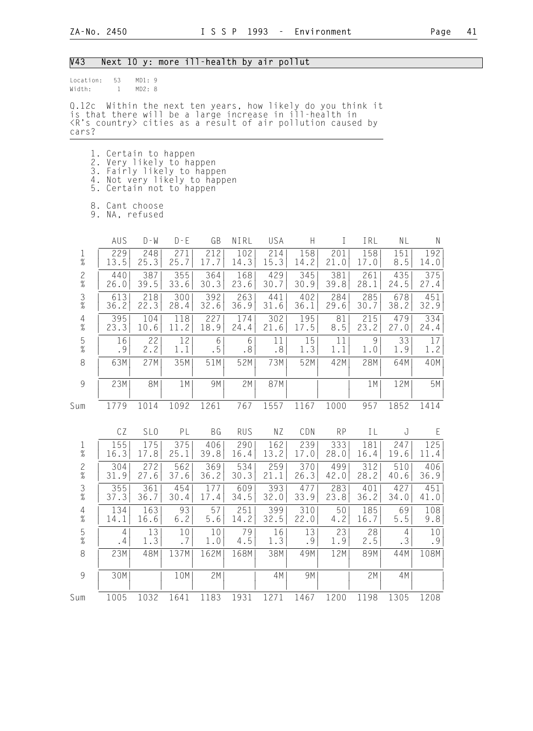## V43 Next 10 y: more ill-health by air pollut

| location: | 53 | MD1:9  |  |
|-----------|----|--------|--|
| Width:    |    | MD2: 8 |  |

Q.12c Within the next ten years, how likely do you think it is that there will be a large increase in ill-health in <R's country> cities as a result of air pollution caused by cars?

- 1. Certain to happen
- 2. Very likely to happen
- 3. Fairly likely to happen
- 4. Not very likely to happen 5. Certain not to happen
	-
- 8. Cant choose
- 9. NA, refused

|                                            | AUS            | $D - W$         | $D - E$ | GB        | NIRL       | USA  | H    | T         | IRL  | NL    | N    |
|--------------------------------------------|----------------|-----------------|---------|-----------|------------|------|------|-----------|------|-------|------|
| $\frac{1}{\%}$                             | 229            | 248             | 271     | 212       | 102        | 214  | 158  | 201       | 158  | 151   | 192  |
|                                            | 13.5           | 25.3            | 25.7    | 17.7      | 14.3       | 15.3 | 14.2 | 21.0      | 17.0 | 8.5   | 14.0 |
| $\frac{2}{\%}$                             | 440            | 387             | 355     | 364       | 168        | 429  | 345  | 381       | 261  | 435   | 375  |
|                                            | 26.0           | 39.5            | 33.6    | 30.3      | 23.6       | 30.7 | 30.9 | 39.8      | 28.1 | 24.5  | 27.4 |
| $\frac{3}{8}$                              | 613            | 218             | 300     | 392       | 263        | 441  | 402  | 284       | 285  | 678   | 451  |
|                                            | 36.2           | 22.3            | 28.4    | 32.6      | 36.9       | 31.6 | 36.1 | 29.6      | 30.7 | 38.2  | 32.9 |
| $\begin{array}{c} 4 \\ 2 \\ 0 \end{array}$ | 395            | 104             | 118     | 227       | 174        | 302  | 195  | 81        | 215  | 479   | 334  |
|                                            | 23.3           | 10.6            | 11.2    | 18.9      | 24.4       | 21.6 | 17.5 | 8.5       | 23.2 | 27.0  | 24.4 |
| $\frac{5}{\%}$                             | 16             | 22              | 12      | 6         | 6          | 11   | 15   | 11        | 9    | 33    | 17   |
|                                            | .9             | 2.2             | 1.1     | .5        | .8         | .8   | 1.3  | 1.1       | 1.0  | 1.9   | 1.2  |
| $\,8\,$                                    | 63M            | 27M             | 35M     | 51M       | 52M        | 73M  | 52M  | 42M       | 28M  | 64M   | 40M  |
| 9                                          | 23M            | <b>8M</b>       | 1M      | 9M        | 2M         | 87M  |      |           | 1M   | 12M   | 5M   |
| Sum                                        | 1779           | 1014            | 1092    | 1261      | 767        | 1557 | 1167 | 1000      | 957  | 1852  | 1414 |
|                                            | CZ             | SL <sub>0</sub> | PL      | <b>BG</b> | <b>RUS</b> | NZ   | CDN  | <b>RP</b> | IL   | J     | E    |
| $\frac{1}{\%}$                             | 155            | 175             | 375     | 406       | 290        | 162  | 239  | 333       | 181  | 247   | 125  |
|                                            | 16.3           | 17.8            | 25.1    | 39.8      | 16.4       | 13.2 | 17.0 | 28.0      | 16.4 | 19.6  | 11.4 |
| $\frac{2}{\%}$                             | 304            | 272             | 562     | 369       | 534        | 259  | 370  | 499       | 312  | 510   | 406  |
|                                            | 31.9           | 27.6            | 37.6    | 36.2      | 30.3       | 21.1 | 26.3 | 42.0      | 28.2 | 40.6  | 36.9 |
| $\frac{3}{8}$                              | 355            | 361             | 454     | 177       | 609        | 393  | 477  | 283       | 401  | 427   | 451  |
|                                            | 37.3           | 36.7            | 30.4    | 17.4      | 34.5       | 32.0 | 33.9 | 23.8      | 36.2 | 34.0  | 41.0 |
| $\frac{4}{\%}$                             | 134            | 163             | 93      | 57        | 251        | 399  | 310  | 50        | 185  | 69    | 108  |
|                                            | 14.1           | 16.6            | $6.2$   | 5.6       | 14.2       | 32.5 | 22.0 | 4.2       | 16.7 | $5.5$ | 9.8  |
| $\frac{5}{\%}$                             | $\overline{4}$ | 13              | 10      | $10$      | 79         | 16   | 13   | 23        | 28   | 4     | 10   |
|                                            | .4             | 1.3             | .7      | 1.0       | 4.5        | 1.3  | .9   | 1.9       | 2.5  | .3    | .9   |
| $\,8\,$                                    | 23M            | 48M             | 137M    | 162M      | 168M       | 38M  | 49M  | 12M       | 89M  | 44M   | 108M |
| $\overline{9}$                             | 30M            |                 | 10M     | 2M        |            | 4M   | 9M   |           | 2M   | 4M    |      |
| Sum                                        | 1005           | 1032            | 1641    | 1183      | 1931       | 1271 | 1467 | 1200      | 1198 | 1305  | 1208 |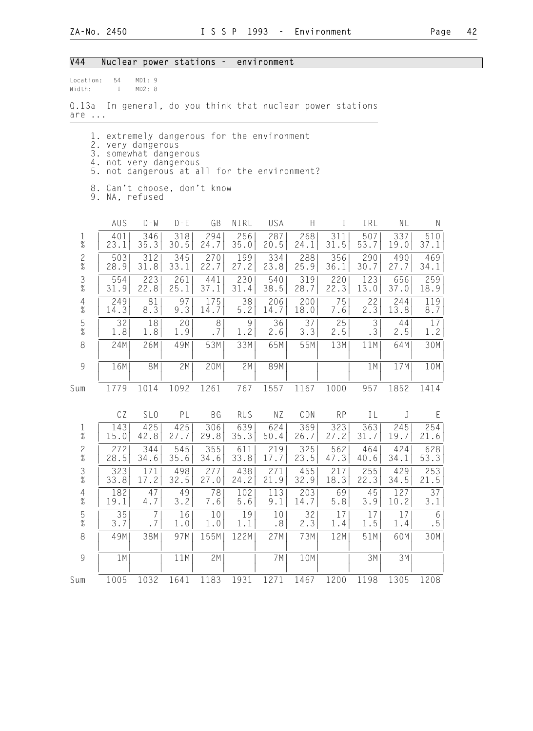## V44 Nuclear power stations - environment

| Location: | 54 | MD1:9 |  |
|-----------|----|-------|--|
|           |    |       |  |

Width: 1 MD2: 8

Q.13a In general, do you think that nuclear power stations are ...

- 1. extremely dangerous for the environment
- 2. very dangerous
- 3. somewhat dangerous 4. not very dangerous
	- 5. not dangerous at all for the environment?
	- 8. Can't choose, don't know
	- 9. NA, refused

|                                            | AUS  | $D - W$         | $D - E$ | GB   | NIRL       | USA  | Н    | I         | IRL  | NL   | N    |
|--------------------------------------------|------|-----------------|---------|------|------------|------|------|-----------|------|------|------|
| $\frac{1}{\%}$                             | 401  | 346             | 318     | 294  | 256        | 287  | 268  | 311       | 507  | 337  | 510  |
|                                            | 23.1 | 35.3            | 30.5    | 24.7 | 35.0       | 20.5 | 24.1 | 31.5      | 53.7 | 19.0 | 37.1 |
| $\frac{2}{\%}$                             | 503  | 312             | 345     | 270  | 199        | 334  | 288  | 356       | 290  | 490  | 469  |
|                                            | 28.9 | 31.8            | 33.1    | 22.7 | 27.2       | 23.8 | 25.9 | 36.1      | 30.7 | 27.7 | 34.1 |
| $\frac{3}{\%}$                             | 554  | 223             | 261     | 441  | 230        | 540  | 319  | 220       | 123  | 656  | 259  |
|                                            | 31.9 | 22.8            | 25.1    | 37.1 | 31.4       | 38.5 | 28.7 | 22.3      | 13.0 | 37.0 | 18.9 |
| $\begin{array}{c} 4 \\ 2 \\ 0 \end{array}$ | 249  | 81              | 97      | 175  | 38         | 206  | 200  | 75        | 22   | 244  | 119  |
|                                            | 14.3 | 8.3             | 9.3     | 14.7 | $5.2$      | 14.7 | 18.0 | 7.6       | 2.3  | 13.8 | 8.7  |
| $\frac{5}{\%}$                             | 32   | 18              | 20      | 8    | 9          | 36   | 37   | 25        | 3    | 44   | 17   |
|                                            | 1.8  | 1.8             | 1.9     | .7   | 1.2        | 2.6  | 3.3  | 2.5       | .3   | 2.5  | 1.2  |
| $\,8\,$                                    | 24M  | 26M             | 49M     | 53M  | 33M        | 65M  | 55M  | 13M       | 11M  | 64M  | 30M  |
| 9                                          | 16M  | 8M              | 2M      | 20M  | 2M         | 89M  |      |           | 1M   | 17M  | 10M  |
| Sum                                        | 1779 | 1014            | 1092    | 1261 | 767        | 1557 | 1167 | 1000      | 957  | 1852 | 1414 |
|                                            | CZ   | SL <sub>0</sub> | PL      | BG   | <b>RUS</b> | ΝZ   | CDN  | <b>RP</b> | IL   | J    | E    |
| $\frac{1}{\%}$                             | 143  | 425             | 425     | 306  | 639        | 624  | 369  | 323       | 363  | 245  | 254  |
|                                            | 15.0 | 42.8            | 27.7    | 29.8 | 35.3       | 50.4 | 26.7 | 27.2      | 31.7 | 19.7 | 21.6 |
| $\frac{2}{\%}$                             | 272  | 344             | 545     | 355  | 611        | 219  | 325  | 562       | 464  | 424  | 628  |
|                                            | 28.5 | 34.6            | 35.6    | 34.6 | 33.8       | 17.7 | 23.5 | 47.3      | 40.6 | 34.1 | 53.3 |
| $\frac{3}{8}$                              | 323  | 171             | 498     | 277  | 438        | 271  | 455  | 217       | 255  | 429  | 253  |
|                                            | 33.8 | 17.2            | 32.5    | 27.0 | 24.2       | 21.9 | 32.9 | 18.3      | 22.3 | 34.5 | 21.5 |
| $\frac{4}{\%}$                             | 182  | 47              | 49      | 78   | 102        | 113  | 203  | 69        | 45   | 127  | 37   |
|                                            | 19.1 | 4.7             | 3.2     | 7.6  | 5.6        | 9.1  | 14.7 | 5.8       | 3.9  | 10.2 | 3.1  |
| $\frac{5}{\%}$                             | 35   | 7               | 16      | 10   | 19         | 10   | 32   | 17        | 17   | 17   | 6    |
|                                            | 3.7  | .7              | 1.0     | 1.0  | 1.1        | .8   | 2.3  | 1.4       | 1.5  | 1.4  | .5   |
| 8                                          | 49M  | 38M             | 97M     | 155M | 122M       | 27M  | 73M  | 12M       | 51M  | 60M  | 30M  |
| 9                                          | 1M   |                 | 11M     | 2M   |            | 7M   | 10M  |           | 3M   | 3M   |      |
| Sum                                        | 1005 | 1032            | 1641    | 1183 | 1931       | 1271 | 1467 | 1200      | 1198 | 1305 | 1208 |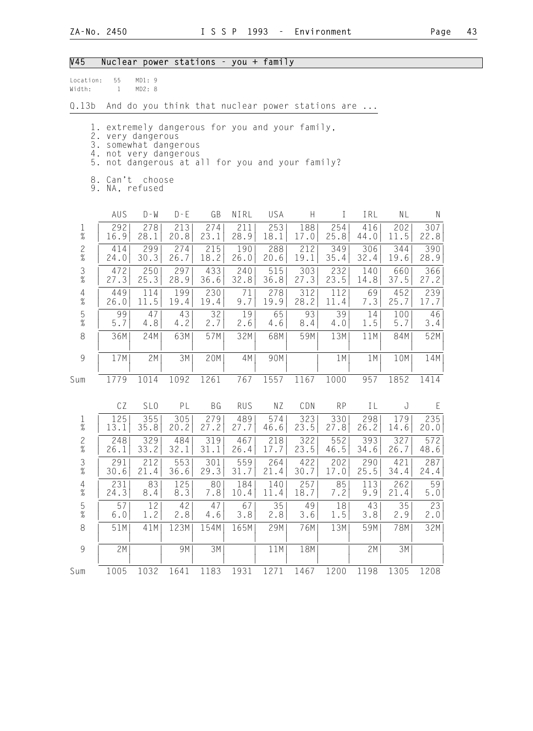#### V45 Nuclear power stations - you + family

| location: | 55 | MD1:9  |  |
|-----------|----|--------|--|
| Width:    |    | MD2: 8 |  |

Q.13b And do you think that nuclear power stations are ...

1. extremely dangerous for you and your family,

2. very dangerous

3. somewhat dangerous

- 4. not very dangerous
- 5. not dangerous at all for you and your family?
- 8. Can't choose
- 9. NA, refused

|                | AUS   | $D - W$         | $D - E$ | GB        | NIRL       | USA  | H    | $\mathbb{I}$ | IRL  | <b>NL</b> | N     |
|----------------|-------|-----------------|---------|-----------|------------|------|------|--------------|------|-----------|-------|
| $\frac{1}{\%}$ | 292   | 278             | 213     | 274       | 211        | 253  | 188  | 254          | 416  | 202       | 307   |
|                | 16.9  | 28.1            | 20.8    | 23.1      | 28.9       | 18.1 | 17.0 | 25.8         | 44.0 | 11.5      | 22.8  |
| $\frac{2}{\%}$ | 414   | 299             | 274     | 215       | 190        | 288  | 212  | 349          | 306  | 344       | 390   |
|                | 24.0  | 30.3            | 26.7    | 18.2      | 26.0       | 20.6 | 19.1 | 35.4         | 32.4 | 19.6      | 28.9  |
| $\frac{3}{8}$  | 472   | 250             | 297     | 433       | 240        | 515  | 303  | 232          | 140  | 660       | 366   |
|                | 27.3  | 25.3            | 28.9    | 36.6      | 32.8       | 36.8 | 27.3 | 23.5         | 14.8 | 37.5      | 27.2  |
| $\frac{4}{\%}$ | 449   | 114             | 199     | 230       | 71         | 278  | 312  | 112          | 69   | 452       | 239   |
|                | 26.0  | 11.5            | 19.4    | 19.4      | 9.7        | 19.9 | 28.2 | 11.4         | 7.3  | 25.7      | 17.7  |
| $\frac{5}{\%}$ | 99    | 47              | 43      | 32        | 19         | 65   | 93   | 39           | 14   | 100       | 46    |
|                | 5.7   | 4.8             | 4.2     | 2.7       | 2.6        | 4.6  | 8.4  | 4.0          | 1.5  | 5.7       | 3.4   |
| 8              | 36M   | 24M             | 63M     | 57M       | 32M        | 68M  | 59M  | 13M          | 11M  | 84M       | 52M   |
| $\overline{9}$ | 17M   | 2M              | 3M      | 20M       | 4M         | 90M  |      | 1M           | 1M   | 10M       | 14M   |
| Sum            | 1779  | 1014            | 1092    | 1261      | 767        | 1557 | 1167 | 1000         | 957  | 1852      | 1414  |
|                | CZ    | SL <sub>0</sub> | PL      | <b>BG</b> | <b>RUS</b> | NZ   | CDN  | <b>RP</b>    | IL   | J         | E     |
| $\frac{1}{\%}$ | 125   | 355             | 305     | 279       | 489        | 574  | 323  | 330          | 298  | 179       | 235   |
|                | 13.1  | 35.8            | 20.2    | 27.2      | 27.7       | 46.6 | 23.5 | 27.8         | 26.2 | 14.6      | 20.0  |
| $\frac{2}{\%}$ | 248   | 329             | 484     | 319       | 467        | 218  | 322  | 552          | 393  | 327       | 572   |
|                | 26.1  | 33.2            | 32.1    | 31.1      | 26.4       | 17.7 | 23.5 | 46.5         | 34.6 | 26.7      | 48.6  |
| $\frac{3}{8}$  | 291   | 212             | 553     | 301       | 559        | 264  | 422  | 202          | 290  | 421       | 287   |
|                | 30.6  | 21.4            | 36.6    | 29.3      | 31.7       | 21.4 | 30.7 | 17.0         | 25.5 | 34.4      | 24.4  |
| $\frac{4}{\%}$ | 231   | 83              | 125     | 80        | 184        | 140  | 257  | 85           | 113  | 262       | 59    |
|                | 24.3  | 8.4             | 8.3     | 7.8       | 10.4       | 11.4 | 18.7 | 7.2          | 9.9  | 21.4      | $5.0$ |
| $\frac{5}{\%}$ | 57    | 12              | 42      | 47        | 67         | 35   | 49   | 18           | 43   | 35        | 23    |
|                | $6.0$ | 1.2             | 2.8     | 4.6       | 3.8        | 2.8  | 3.6  | 1.5          | 3.8  | 2.9       | 2.0   |
| 8              | 51M   | 41M             | 123M    | 154M      | 165M       | 29M  | 76M  | 13M          | 59M  | 78M       | 32M   |
| $\overline{9}$ | 2M    |                 | 9M      | 3M        |            | 11M  | 18M  |              | 2M   | 3M        |       |

Sum 1005 1032 1641 1183 1931 1271 1467 1200 1198 1305 1208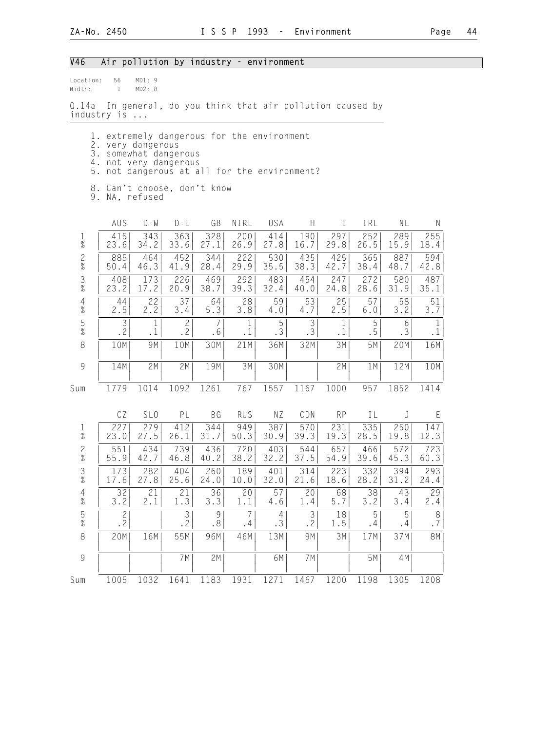#### V46 Air pollution by industry - environment

| location: | 56 | MD1:9  |  |
|-----------|----|--------|--|
| Width:    |    | MD2: 8 |  |

Q.14a In general, do you think that air pollution caused by industry is ...

- 1. extremely dangerous for the environment
- 2. very dangerous
- 3. somewhat dangerous 4. not very dangerous
	- 5. not dangerous at all for the environment?
	- 8. Can't choose, don't know
	- 9. NA, refused

|                                                           | AUS                              | $D - W$         | $D - E$             | GB        | NIRL       | USA         | H                   | T         | IRL            | NL      | $\mathsf{N}$  |
|-----------------------------------------------------------|----------------------------------|-----------------|---------------------|-----------|------------|-------------|---------------------|-----------|----------------|---------|---------------|
| $\frac{1}{\%}$                                            | 415                              | 343             | 363                 | 328       | 200        | 414         | 190                 | 297       | 252            | 289     | 255           |
|                                                           | 23.6                             | 34.2            | 33.6                | 27.1      | 26.9       | 27.8        | 16.7                | 29.8      | 26.5           | 15.9    | 18.4          |
| $\frac{2}{\%}$                                            | 885                              | 464             | 452                 | 344       | 222        | 530         | 435                 | 425       | 365            | 887     | 594           |
|                                                           | 50.4                             | 46.3            | 41.9                | 28.4      | 29.9       | 35.5        | 38.3                | 42.7      | 38.4           | 48.7    | 42.8          |
| $\frac{3}{8}$                                             | 408                              | 173             | 226                 | 469       | 292        | 483         | 454                 | 247       | 272            | 580     | 487           |
|                                                           | 23.2                             | 17.2            | 20.9                | 38.7      | 39.3       | 32.4        | 40.0                | 24.8      | 28.6           | 31.9    | 35.1          |
| $\frac{4}{\%}$                                            | 44                               | 22              | 37                  | 64        | 28         | 59          | 53                  | 25        | 57             | 58      | 51            |
|                                                           | 2.5                              | 2.2             | 3.4                 | 5.3       | 3.8        | 4.0         | 4.7                 | 2.5       | 6.0            | 3.2     | 3.7           |
| $\frac{5}{\%}$                                            | 3                                | 1               | $\mathbf{2}$        | 7         | 1          | $\mathbf 5$ | $\mathfrak{Z}$      | 1         | 5              | 6       | $\mathbf{1}$  |
|                                                           | .2                               | .1              | .2                  | .6        | $\cdot$ 1  | .3          | .3                  | $\cdot$ 1 | .5             | .3      | $\cdot$ 1     |
| $\,8\,$                                                   | 10M                              | 9M              | 10M                 | 30M       | 21M        | 36M         | 32M                 | 3M        | 5M             | 20M     | 16M           |
| $\mathcal{G}% _{M_{1},M_{2}}^{\alpha,\beta}(\mathcal{G})$ | 14M                              | 2M              | 2M                  | 19M       | 3M         | 30M         |                     | 2M        | 1M             | 12M     | 10M           |
| Sum                                                       | 1779                             | 1014            | 1092                | 1261      | 767        | 1557        | 1167                | 1000      | 957            | 1852    | 1414          |
|                                                           | CZ                               | SL <sub>0</sub> | PL                  | <b>BG</b> | <b>RUS</b> | NZ          | CDN                 | <b>RP</b> | IL             | J       | E             |
| $\frac{1}{\%}$                                            | 227                              | 279             | 412                 | 344       | 949        | 387         | 570                 | 231       | 335            | 250     | 147           |
|                                                           | 23.0                             | 27.5            | 26.1                | 31.7      | 50.3       | 30.9        | 39.3                | 19.3      | 28.5           | 19.8    | 12.3          |
| $\frac{2}{\%}$                                            | 551                              | 434             | 739                 | 436       | 720        | 403         | 544                 | 657       | 466            | 572     | 723           |
|                                                           | 55.9                             | 42.7            | 46.8                | 40.2      | 38.2       | 32.2        | 37.5                | 54.9      | 39.6           | 45.3    | 60.3          |
| $\frac{3}{8}$                                             | 173                              | 282             | 404                 | 260       | 189        | 401         | 314                 | 223       | 332            | 394     | 293           |
|                                                           | 17.6                             | 27.8            | 25.6                | 24.0      | 10.0       | 32.0        | 21.6                | 18.6      | 28.2           | 31.2    | 24.4          |
| $\frac{4}{\%}$                                            | 32                               | 21              | 21                  | 36        | 20         | 57          | 20                  | 68        | 38             | 43      | 29            |
|                                                           | 3.2                              | 2.1             | 1.3                 | 3.3       | 1.1        | 4.6         | 1.4                 | 5.7       | 3.2            | 3.4     | 2.4           |
| $\frac{5}{\%}$                                            | $\overline{c}$<br>$\overline{2}$ |                 | 3<br>$\overline{2}$ | 9<br>.8   | 7<br>.4    | 4<br>.3     | 3<br>$\overline{2}$ | 18<br>1.5 | 5<br>$\cdot$ 4 | 5<br>.4 | $\,8\,$<br>.7 |
| 8                                                         | 20M                              | 16M             | 55M                 | 96M       | 46M        | 13M         | 9M                  | 3M        | 17M            | 37M     | <b>8M</b>     |
| $\overline{9}$                                            |                                  |                 | 7M                  | 2M        |            | 6M          | 7M                  |           | 5M             | 4M      |               |
| Sum                                                       | 1005                             | 1032            | 1641                | 1183      | 1931       | 1271        | 1467                | 1200      | 1198           | 1305    | 1208          |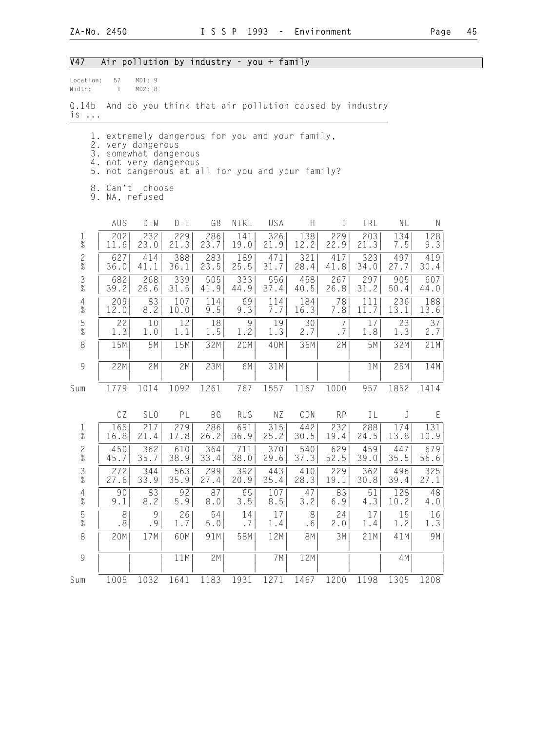## V47 Air pollution by industry - you + family

| Location:<br>Width:    | 57<br>1     | MD1:9<br>MD2: 8                                                                                                                                                      |             |             |             |             |             |                      |             |             |             |
|------------------------|-------------|----------------------------------------------------------------------------------------------------------------------------------------------------------------------|-------------|-------------|-------------|-------------|-------------|----------------------|-------------|-------------|-------------|
| Q.14b<br>$is \ldots$   |             | And do you think that air pollution caused by industry                                                                                                               |             |             |             |             |             |                      |             |             |             |
| l.<br>5.               |             | extremely dangerous for you and your family,<br>2. very dangerous<br>3. somewhat dangerous<br>4. not very dangerous<br>not dangerous at all for you and your family? |             |             |             |             |             |                      |             |             |             |
|                        |             | 8. Can't choose<br>9. NA, refused                                                                                                                                    |             |             |             |             |             |                      |             |             |             |
|                        | AUS         | $D - W$                                                                                                                                                              | $D - E$     | GB          | NIRL        | USA         | H           | $\bf{I}$             | IRL         | NL          | N           |
| $\mathbf 1$<br>$\%$    | 202<br>11.6 | 232<br>23.0                                                                                                                                                          | 229<br>21.3 | 286<br>23.7 | 141<br>19.0 | 326<br>21.9 | 138<br>12.2 | 229<br>22.9          | 203<br>21.3 | 134<br>7.5  | 128<br>9.3  |
| $\mathbf{2}$<br>$\%$   | 627<br>36.0 | 414<br>41.1                                                                                                                                                          | 388<br>36.1 | 283<br>23.5 | 189<br>25.5 | 471<br>31.7 | 321<br>28.4 | 417<br>41.8          | 323<br>34.0 | 497<br>27.7 | 419<br>30.4 |
| $\frac{3}{8}$          | 682<br>39.2 | 268<br>26.6                                                                                                                                                          | 339<br>31.5 | 505<br>41.9 | 333<br>44.9 | 556<br>37.4 | 458<br>40.5 | 267<br>26.8          | 297<br>31.2 | 905<br>50.4 | 607<br>44.0 |
| $\overline{4}$<br>$\%$ | 209<br>12.0 | 83<br>8.2                                                                                                                                                            | 107<br>10.0 | 114<br>9.5  | 69<br>9.3   | 114<br>7.7  | 184<br>16.3 | 78<br>7.8            | 111<br>11.7 | 236<br>13.1 | 188<br>13.6 |
| $\mathsf S$<br>$\%$    | 22<br>1.3   | 10 <sup>°</sup><br>1.0                                                                                                                                               | 12<br>1.1   | 18<br>1.5   | 9<br>1.2    | 19<br>1.3   | 30<br>2.7   | $\overline{7}$<br>.7 | 17<br>1.8   | 23<br>1.3   | 37<br>2.7   |
| 8                      | 15M         | 5M                                                                                                                                                                   | 15M         | 32M         | 20M         | 40M         | 36M         | 2M                   | 5M          | 32M         | 21M         |
| $\mathcal{G}$          | 22M         | 2M                                                                                                                                                                   | 2M          | 23M         | 6M          | 31M         |             |                      | 1 M         | 25M         | 14M         |
| Sum                    | 1779        | 1014                                                                                                                                                                 | 1092        | 1261        | 767         | 1557        | 1167        | 1000                 | 957         | 1852        | 1414        |
|                        | CZ          | SL <sub>0</sub>                                                                                                                                                      | PL          | BG          | <b>RUS</b>  | ΝZ          | CDN         | <b>RP</b>            | IL          | J           | E           |
| $\mathbf{1}$<br>$\%$   | 165<br>16.8 | 217<br>21.4                                                                                                                                                          | 279<br>17.8 | 286<br>26.2 | 691<br>36.9 | 315<br>25.2 | 442<br>30.5 | 232<br>19.4          | 288<br>24.5 | 174<br>13.8 | 131<br>10.9 |
| $\overline{c}$<br>$\%$ | 450<br>45.7 | 362<br>35.7                                                                                                                                                          | 610<br>38.9 | 364<br>33.4 | 711<br>38.0 | 370<br>29.6 | 540<br>37.3 | 629<br>52.5          | 459<br>39.0 | 447<br>35.5 | 679<br>56.6 |
| $\frac{3}{8}$          | 272<br>27.6 | 344<br>33.9                                                                                                                                                          | 563<br>35.9 | 299<br>27.4 | 392<br>20.9 | 443<br>35.4 | 410<br>28.3 | 229<br>19.1          | 362<br>30.8 | 496<br>39.4 | 325<br>27.1 |
| $\frac{4}{\%}$         | 90<br>9.1   | 83<br>8.2                                                                                                                                                            | 92<br>5.9   | 87<br>8.0   | 65<br>$3.5$ | 107<br>8.5  | 47<br>3.2   | 83<br>6.9            | 51<br>4.3   | 128<br>10.2 | 48<br>4.0   |
| $\frac{5}{\%}$         | 8<br>.8     | 9<br>.9                                                                                                                                                              | 26<br>1.7   | 54<br>$5.0$ | 14<br>.7    | 17<br>1.4   | 8<br>.6     | 24<br>2.0            | 17<br>1.4   | 15<br>1.2   | 16<br>1.3   |
| $\,8\,$                | 20M         | 17M                                                                                                                                                                  | 60M         | 91M         | 58M         | 12M         | 8M          | 3M                   | 21M         | 41M         | 9M          |
| $\mathcal{G}$          |             |                                                                                                                                                                      | 11M         | 2M          |             | 7 M         | 12M         |                      |             | 4M          |             |
| Sum                    | 1005        | 1032                                                                                                                                                                 | 1641        | 1183        | 1931        | 1271        | 1467        | 1200                 | 1198        | 1305        | 1208        |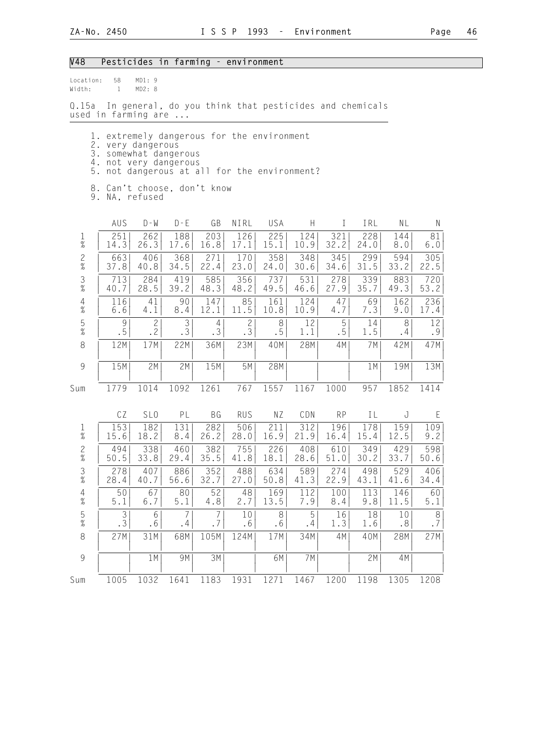#### V48 Pesticides in farming - environment

Location: 58 MD1: 9 Width: 1 MD2: 8

Q.15a In general, do you think that pesticides and chemicals used in farming are ...

- 1. extremely dangerous for the environment
- 2. very dangerous
- 3. somewhat dangerous 4. not very dangerous
	- 5. not dangerous at all for the environment?
	- 8. Can't choose, don't know
	- 9. NA, refused

|                                                           | AUS                 | $D - W$         | $D - E$ | GB             | NIRL           | USA     | H       | T         | IRL       | NL        | $\mathsf{N}$ |
|-----------------------------------------------------------|---------------------|-----------------|---------|----------------|----------------|---------|---------|-----------|-----------|-----------|--------------|
| $\frac{1}{\%}$                                            | 251                 | 262             | 188     | 203            | 126            | 225     | 124     | 321       | 228       | 144       | 81           |
|                                                           | 14.3                | 26.3            | 17.6    | 16.8           | 17.1           | 15.1    | 10.9    | 32.2      | 24.0      | 8.0       | 6.0          |
| $\frac{2}{\%}$                                            | 663                 | 406             | 368     | 271            | 170            | 358     | 348     | 345       | 299       | 594       | 305          |
|                                                           | 37.8                | 40.8            | 34.5    | 22.4           | 23.0           | 24.0    | 30.6    | 34.6      | 31.5      | 33.2      | 22.5         |
| $\frac{3}{8}$                                             | 713                 | 284             | 419     | 585            | 356            | 737     | 531     | 278       | 339       | 883       | 720          |
|                                                           | 40.7                | 28.5            | 39.2    | 48.3           | 48.2           | 49.5    | 46.6    | 27.9      | 35.7      | 49.3      | 53.2         |
| $\begin{array}{c} 4 \\ 2 \\ 0 \end{array}$                | 116                 | 41              | 90      | 147            | 85             | 161     | 124     | 47        | 69        | 162       | 236          |
|                                                           | $6.6$               | 4.1             | 8.4     | 12.1           | 11.5           | 10.8    | 10.9    | 4.7       | 7.3       | 9.0       | 17.4         |
| $\frac{5}{\%}$                                            | $\mathcal{G}$       | $\mathbf{2}$    | 3       | $\overline{4}$ | $\overline{c}$ | 8       | 12      | 5         | 14        | 8         | 12           |
|                                                           | .5                  | .2              | .3      | .3             | .3             | .5      | 1.1     | .5        | 1.5       | $\cdot$ 4 | .9           |
| $\,8\,$                                                   | 12M                 | 17M             | 22M     | 36M            | 23M            | 40M     | 28M     | 4M        | 7M        | 42M       | 47M          |
| $\mathcal{G}% _{M_{1},M_{2}}^{\alpha,\beta}(\mathcal{A})$ | 15M                 | 2M              | 2M      | 15M            | 5M             | 28M     |         |           | 1M        | 19M       | 13M          |
| Sum                                                       | 1779                | 1014            | 1092    | 1261           | 767            | 1557    | 1167    | 1000      | 957       | 1852      | 1414         |
|                                                           | CZ                  | SL <sub>0</sub> | PL      | BG             | <b>RUS</b>     | NZ      | CDN     | <b>RP</b> | IL        | J         | E            |
| $\frac{1}{\%}$                                            | 153                 | 182             | 131     | 282            | 506            | 211     | 312     | 196       | 178       | 159       | 109          |
|                                                           | 15.6                | 18.2            | 8.4     | 26.2           | 28.0           | 16.9    | 21.9    | 16.4      | 15.4      | 12.5      | 9.2          |
| $\frac{2}{\%}$                                            | 494                 | 338             | 460     | 382            | 755            | 226     | 408     | 610       | 349       | 429       | 598          |
|                                                           | 50.5                | 33.8            | 29.4    | 35.5           | 41.8           | 18.1    | 28.6    | 51.0      | 30.2      | 33.7      | 50.6         |
| $\frac{3}{8}$                                             | 278                 | 407             | 886     | 352            | 488            | 634     | 589     | 274       | 498       | 529       | 406          |
|                                                           | 28.4                | 40.7            | 56.6    | 32.7           | 27.0           | 50.8    | 41.3    | 22.9      | 43.1      | 41.6      | 34.4         |
| $\frac{4}{\%}$                                            | 50                  | 67              | 80      | 52             | 48             | 169     | 112     | 100       | 113       | 146       | 60           |
|                                                           | $5.1\,$             | $6.7$           | $5.1$   | 4.8            | 2.7            | 13.5    | 7.9     | 8.4       | 9.8       | 11.5      | 5.1          |
| $\frac{5}{\%}$                                            | 3<br>$\overline{3}$ | 6<br>.6         | 7<br>.4 | .7             | 10<br>.6       | 8<br>.6 | 5<br>.4 | 16<br>1.3 | 18<br>1.6 | 10<br>.8  | 8<br>.7      |
| 8                                                         | 27M                 | 31M             | 68M     | 105M           | 124M           | 17M     | 34M     | 4M        | 40M       | 28M       | 27M          |
| $\overline{9}$                                            |                     | 1M              | 9M      | 3M             |                | 6M      | 7M      |           | 2M        | 4M        |              |
| Sum                                                       | 1005                | 1032            | 1641    | 1183           | 1931           | 1271    | 1467    | 1200      | 1198      | 1305      | 1208         |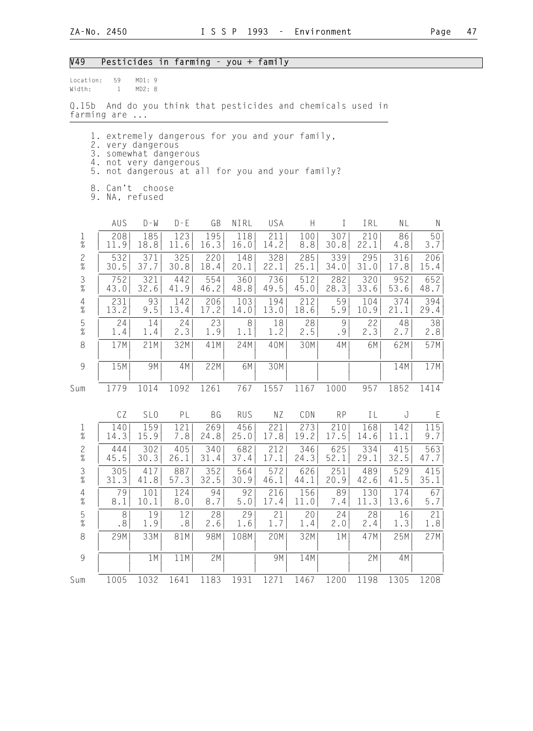#### V49 Pesticides in farming - you + family

Location: 59 MD1: 9 Width: 1 MD2: 8

Q.15b And do you think that pesticides and chemicals used in farming are ...

- 1. extremely dangerous for you and your family,
- 2. very dangerous
- 3. somewhat dangerous 4. not very dangerous
	- 5. not dangerous at all for you and your family?
	- 8. Can't choose
	- 9. NA, refused

|                                        | AUS  | $D - W$         | $D - E$ | GB   | NIRL       | USA  | $\boldsymbol{\mathsf{H}}$ | T         | IRL  | NL   | $\mathsf{N}$ |
|----------------------------------------|------|-----------------|---------|------|------------|------|---------------------------|-----------|------|------|--------------|
| $\frac{1}{\%}$                         | 208  | 185             | 123     | 195  | 118        | 211  | 100                       | 307       | 210  | 86   | 50           |
|                                        | 11.9 | 18.8            | 11.6    | 16.3 | 16.0       | 14.2 | 8.8                       | 30.8      | 22.1 | 4.8  | 3.7          |
| $\frac{2}{\%}$                         | 532  | 371             | 325     | 220  | 148        | 328  | 285                       | 339       | 295  | 316  | 206          |
|                                        | 30.5 | 37.7            | 30.8    | 18.4 | 20.1       | 22.1 | 25.1                      | 34.0      | 31.0 | 17.8 | 15.4         |
| $\frac{3}{8}$                          | 752  | 321             | 442     | 554  | 360        | 736  | 512                       | 282       | 320  | 952  | 652          |
|                                        | 43.0 | 32.6            | 41.9    | 46.2 | 48.8       | 49.5 | 45.0                      | 28.3      | 33.6 | 53.6 | 48.7         |
| $\begin{array}{c} 4 \\ \% \end{array}$ | 231  | 93              | 142     | 206  | 103        | 194  | 212                       | 59        | 104  | 374  | 394          |
|                                        | 13.2 | 9.5             | 13.4    | 17.2 | 14.0       | 13.0 | 18.6                      | 5.9       | 10.9 | 21.1 | 29.4         |
| $\frac{5}{\%}$                         | 24   | 14              | 24      | 23   | 8          | 18   | 28                        | 9         | 22   | 48   | 38           |
|                                        | 1.4  | 1.4             | 2.3     | 1.9  | 1.1        | 1.2  | 2.5                       | .9        | 2.3  | 2.7  | 2.8          |
| 8                                      | 17M  | 21M             | 32M     | 41M  | 24M        | 40M  | 30M                       | 4M        | 6M   | 62M  | 57M          |
| $\overline{9}$                         | 15M  | 9M              | 4M      | 22M  | 6M         | 30M  |                           |           |      | 14M  | 17M          |
| Sum                                    | 1779 | 1014            | 1092    | 1261 | 767        | 1557 | 1167                      | 1000      | 957  | 1852 | 1414         |
|                                        | CZ   | SL <sub>0</sub> | PL      | BG   | <b>RUS</b> | NZ   | CDN                       | <b>RP</b> | IL   | J    | E            |
| $\frac{1}{\%}$                         | 140  | 159             | 121     | 269  | 456        | 221  | 273                       | 210       | 168  | 142  | 115          |
|                                        | 14.3 | 15.9            | 7.8     | 24.8 | 25.0       | 17.8 | 19.2                      | 17.5      | 14.6 | 11.1 | 9.7          |
| $\frac{2}{\%}$                         | 444  | 302             | 405     | 340  | 682        | 212  | 346                       | 625       | 334  | 415  | 563          |
|                                        | 45.5 | 30.3            | 26.1    | 31.4 | 37.4       | 17.1 | 24.3                      | 52.1      | 29.1 | 32.5 | 47.7         |
| $\frac{3}{\%}$                         | 305  | 417             | 887     | 352  | 564        | 572  | 626                       | 251       | 489  | 529  | 415          |
|                                        | 31.3 | 41.8            | 57.3    | 32.5 | 30.9       | 46.1 | 44.1                      | 20.9      | 42.6 | 41.5 | 35.1         |
| $\frac{4}{\%}$                         | 79   | 101             | 124     | 94   | 92         | 216  | 156                       | 89        | 130  | 174  | 67           |
|                                        | 8.1  | 10.1            | 8.0     | 8.7  | 5.0        | 17.4 | 11.0                      | 7.4       | 11.3 | 13.6 | 5.7          |
| $\frac{5}{\%}$                         | 8    | 19              | 12      | 28   | 29         | 21   | 20                        | 24        | 28   | 16   | 21           |
|                                        | .8   | 1.9             | .8      | 2.6  | 1.6        | 1.7  | 1.4                       | 2.0       | 2.4  | 1.3  | 1.8          |
| $\,8\,$                                | 29M  | 33M             | 81M     | 98M  | 108M       | 20M  | 32M                       | 1M        | 47M  | 25M  | 27M          |
| $\overline{9}$                         |      | 1 M             | 11M     | 2M   |            | 9M   | 14M                       |           | 2M   | 4M   |              |
| Sum                                    | 1005 | 1032            | 1641    | 1183 | 1931       | 1271 | 1467                      | 1200      | 1198 | 1305 | 1208         |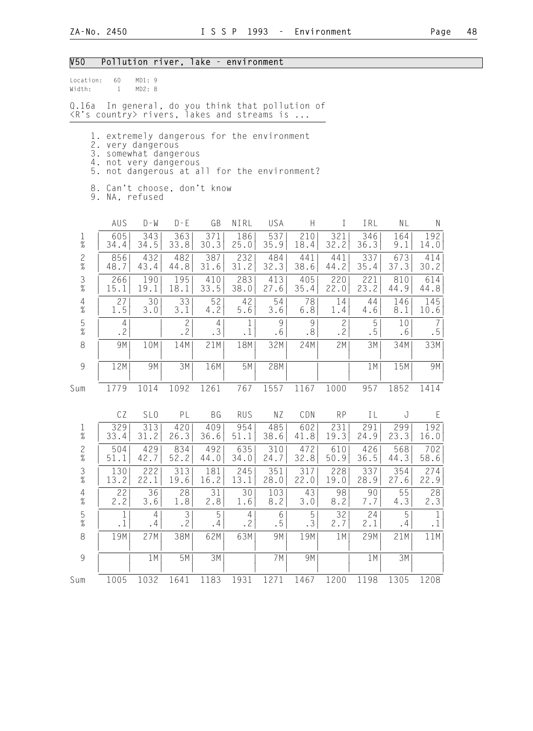#### V50 Pollution river, lake - environment

| Location: | 60 | MD1:9  |  |
|-----------|----|--------|--|
| Width:    |    | MD2: 8 |  |

Q.16a In general, do you think that pollution of <R's country> rivers, lakes and streams is ...

- 1. extremely dangerous for the environment
- 2. very dangerous
- 3. somewhat dangerous
- 4. not very dangerous
	- 5. not dangerous at all for the environment?
	- 8. Can't choose, don't know
	- 9. NA, refused

|                                            | AUS       | $D - W$         | $D - E$            | GB                   | NIRL           | USA     | H         | T                         | IRL     | NL       | $\mathsf{N}$ |
|--------------------------------------------|-----------|-----------------|--------------------|----------------------|----------------|---------|-----------|---------------------------|---------|----------|--------------|
| $\frac{1}{\%}$                             | 605       | 343             | 363                | 371                  | 186            | 537     | 210       | 321                       | 346     | 164      | 192          |
|                                            | 34.4      | 34.5            | 33.8               | 30.3                 | 25.0           | 35.9    | 18.4      | 32.2                      | 36.3    | 9.1      | 14.0         |
| $\frac{2}{\%}$                             | 856       | 432             | 482                | 387                  | 232            | 484     | 441       | 441                       | 337     | 673      | 414          |
|                                            | 48.7      | 43.4            | 44.8               | 31.6                 | 31.2           | 32.3    | 38.6      | 44.2                      | 35.4    | 37.3     | 30.2         |
| $\frac{3}{8}$                              | 266       | 190             | 195                | 410                  | 283            | 413     | 405       | 220                       | 221     | 810      | 614          |
|                                            | 15.1      | 19.1            | 18.1               | 33.5                 | 38.0           | 27.6    | 35.4      | 22.0                      | 23.2    | 44.9     | 44.8         |
| $\begin{array}{c} 4 \\ 2 \\ 0 \end{array}$ | 27        | 30              | 33                 | 52                   | 42             | 54      | 78        | 14                        | 44      | 146      | 145          |
|                                            | 1.5       | 3.0             | 3.1                | 4.2                  | 5.6            | 3.6     | $6.8$     | 1.4                       | 4.6     | 8.1      | 10.6         |
| $\frac{5}{\%}$                             | 4<br>.2   |                 | $\mathbf{2}$<br>.2 | $\overline{4}$<br>.3 | 1<br>$\cdot$ 1 | 9<br>.6 | 9<br>.8   | $\mathbf{2}$<br>$\cdot$ 2 | 5<br>.5 | 10<br>.6 | 7<br>.5      |
| $\,8\,$                                    | 9M        | 10M             | 14M                | 21M                  | 18M            | 32M     | 24M       | 2M                        | 3M      | 34M      | 33M          |
| $\overline{9}$                             | 12M       | 9M              | 3M                 | 16M                  | 5M             | 28M     |           |                           | 1M      | 15M      | 9M           |
| Sum                                        | 1779      | 1014            | 1092               | 1261                 | 767            | 1557    | 1167      | 1000                      | 957     | 1852     | 1414         |
|                                            | CZ        | SL <sub>0</sub> | PL                 | <b>BG</b>            | <b>RUS</b>     | NZ      | CDN       | <b>RP</b>                 | IL      | J        | E            |
| $\frac{1}{\%}$                             | 329       | 313             | 420                | 409                  | 954            | 485     | 602       | 231                       | 291     | 299      | 192          |
|                                            | 33.4      | 31.2            | 26.3               | 36.6                 | 51.1           | 38.6    | 41.8      | 19.3                      | 24.9    | 23.3     | 16.0         |
| $\frac{2}{\%}$                             | 504       | 429             | 834                | 492                  | 635            | 310     | 472       | 610                       | 426     | 568      | 702          |
|                                            | 51.1      | 42.7            | 52.2               | 44.0                 | 34.0           | 24.7    | 32.8      | 50.9                      | 36.5    | 44.3     | 58.6         |
| $\frac{3}{8}$                              | 130       | 222             | 313                | 181                  | 245            | 351     | 317       | 228                       | 337     | 354      | 274          |
|                                            | 13.2      | 22.1            | 19.6               | 16.2                 | 13.1           | 28.0    | 22.0      | 19.0                      | 28.9    | 27.6     | 22.9         |
| $\begin{array}{c} 4 \\ 2 \\ 0 \end{array}$ | 22        | 36              | 28                 | 31                   | 30             | 103     | 43        | 98                        | 90      | 55       | 28           |
|                                            | 2.2       | 3.6             | 1.8                | 2.8                  | 1.6            | 8.2     | 3.0       | 8.2                       | 7.7     | 4.3      | 2.3          |
| $\frac{5}{\%}$                             | 1         | $\overline{4}$  | 3                  | 5                    | $\overline{4}$ | 6       | 5         | 32                        | 24      | 5        | $\mathbf 1$  |
|                                            | $\cdot$ 1 | $\cdot$ 4       | .2                 | .4                   | .2             | .5      | $\cdot$ 3 | 2.7                       | 2.1     | .4       | $\cdot$ 1    |
| $\,8\,$                                    | 19M       | 27M             | 38M                | 62M                  | 63M            | 9M      | 19M       | 1M                        | 29M     | 21M      | 11M          |
| 9                                          |           | 1M              | 5M                 | 3M                   |                | 7M      | 9M        |                           | 1M      | 3M       |              |
| Sum                                        | 1005      | 1032            | 1641               | 1183                 | 1931           | 1271    | 1467      | 1200                      | 1198    | 1305     | 1208         |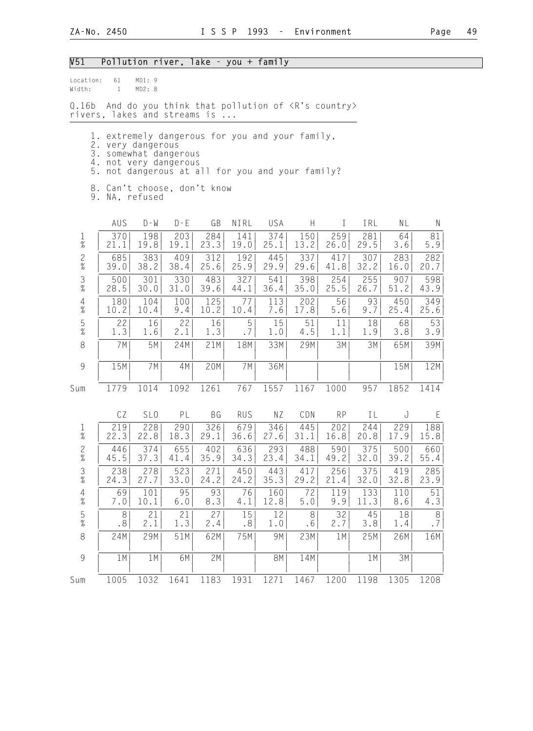# V51 Pollution river, lake - you + family

| Location:<br>Width:    | 61<br>$\mathbf{1}$                                                                                                     | MD1:9<br>MD2: 8 |             |                                                           |             |             |             |             |             |             |               |
|------------------------|------------------------------------------------------------------------------------------------------------------------|-----------------|-------------|-----------------------------------------------------------|-------------|-------------|-------------|-------------|-------------|-------------|---------------|
| Q.16b                  | rivers, lakes and streams is                                                                                           |                 |             | And do you think that pollution of <r's country=""></r's> |             |             |             |             |             |             |               |
| 5.                     | 1. extremely dangerous for you and your family,<br>2. very dangerous<br>3. somewhat dangerous<br>4. not very dangerous |                 |             | not dangerous at all for you and your family?             |             |             |             |             |             |             |               |
|                        | 8. Can't choose, don't know<br>9. NA, refused                                                                          |                 |             |                                                           |             |             |             |             |             |             |               |
|                        | AUS                                                                                                                    | $D - W$         | $D - E$     | GB                                                        | NIRL        | USA         | H           | $\bf{I}$    | IRL         | NL          | N             |
| $\mathbf{1}$<br>$\%$   | 370<br>21.1                                                                                                            | 198<br>19.8     | 203<br>19.1 | 284<br>23.3                                               | 141<br>19.0 | 374<br>25.1 | 150<br>13.2 | 259<br>26.0 | 281<br>29.5 | 64<br>3.6   | 81<br>5.9     |
| $\mathbf{2}$<br>$\%$   | 685<br>39.0                                                                                                            | 383<br>38.2     | 409<br>38.4 | 312<br>25.6                                               | 192<br>25.9 | 445<br>29.9 | 337<br>29.6 | 417<br>41.8 | 307<br>32.2 | 283<br>16.0 | 282<br>20.7   |
| $\frac{3}{8}$          | 500<br>28.5                                                                                                            | 301<br>30.0     | 330<br>31.0 | 483<br>39.6                                               | 327<br>44.1 | 541<br>36.4 | 398<br>35.0 | 254<br>25.5 | 255<br>26.7 | 907<br>51.2 | 598<br>43.9   |
| $\overline{4}$<br>$\%$ | 180<br>10.2                                                                                                            | 104<br>10.4     | 100<br>9.4  | 125<br>10.2                                               | 77<br>10.4  | 113<br>7.6  | 202<br>17.8 | 56<br>5.6   | 93<br>9.7   | 450<br>25.4 | 349<br>25.6   |
| $\mathsf S$<br>$\%$    | 22<br>1.3                                                                                                              | 16<br>1.6       | 22<br>2.1   | 16<br>1.3                                                 | 5<br>.7     | 15<br>1.0   | 51<br>4.5   | 11<br>1.1   | 18<br>1.9   | 68<br>3.8   | 53<br>3.9     |
| 8                      | 7M                                                                                                                     | 5M              | 24M         | 21M                                                       | 18M         | 33M         | 29M         | 3M          | 3M          | 65M         | 39M           |
| $\overline{9}$         | 15M                                                                                                                    | 7M              | 4M          | 20M                                                       | 7 M         | 36M         |             |             |             | 15M         | 12M           |
| Sum                    | 1779                                                                                                                   | 1014            | 1092        | 1261                                                      | 767         | 1557        | 1167        | 1000        | 957         | 1852        | 1414          |
|                        | CZ                                                                                                                     | SL <sub>0</sub> | PL          | BG                                                        | <b>RUS</b>  | NZ          | CDN         | <b>RP</b>   | IL          | J           | E             |
| $\mathbf{1}$<br>$\%$   | 219<br>22.3                                                                                                            | 228<br>22.8     | 290<br>18.3 | 326<br>29.1                                               | 679<br>36.6 | 346<br>27.6 | 445<br>31.1 | 202<br>16.8 | 244<br>20.8 | 229<br>17.9 | 188<br>15.8   |
| $\overline{c}$<br>$\%$ | 446<br>45.5                                                                                                            | 374<br>37.3     | 655<br>41.4 | 402<br>35.9                                               | 636<br>34.3 | 293<br>23.4 | 488<br>34.1 | 590<br>49.2 | 375<br>32.0 | 500<br>39.2 | 660<br>55.4   |
| $\frac{3}{8}$          | 238<br>24.3                                                                                                            | 278<br>27.7     | 523<br>33.0 | 271<br>24.2                                               | 450<br>24.2 | 443<br>35.3 | 417<br>29.2 | 256<br>21.4 | 375<br>32.0 | 419<br>32.8 | 285<br>23.9   |
| $\frac{4}{\%}$         | 69<br>7.0                                                                                                              | 101<br>10.1     | 95<br>6.0   | 93<br>8.3                                                 | 76<br>4.1   | 160<br>12.8 | 72<br>5.0   | 119<br>9.9  | 133<br>11.3 | 110<br>8.6  | $51\,$<br>4.3 |
| $\frac{5}{\%}$         | 8<br>.8                                                                                                                | 21<br>2.1       | 21<br>1.3   | 27<br>2.4                                                 | 15<br>.8    | 12<br>1.0   | 8<br>.6     | 32<br>2.7   | 45<br>3.8   | 18<br>1.4   | $\,8\,$<br>.7 |
| $\,8\,$                | 24M                                                                                                                    | 29M             | 51M         | 62M                                                       | 75M         | 9M          | 23M         | 1M          | 25M         | 26M         | 16M           |
| $\mathcal{G}$          | 1 M                                                                                                                    | 1 M             | 6M          | 2M                                                        |             | 8M          | 14M         |             | 1M          | 3M          |               |
| Sum                    | 1005                                                                                                                   | 1032            | 1641        | 1183                                                      | 1931        | 1271        | 1467        | 1200        | 1198        | 1305        | 1208          |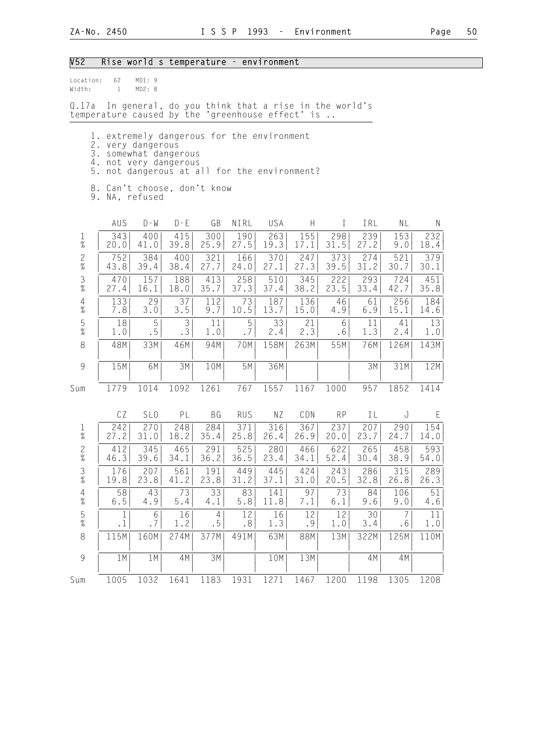### V52 Rise world s temperature - environment

| location: | 62 | MD1:9  |  |
|-----------|----|--------|--|
| Width:    |    | MD2: R |  |

Q.17a In general, do you think that a rise in the world's temperature caused by the 'greenhouse effect' is ..

- 1. extremely dangerous for the environment
- 2. very dangerous
- 3. somewhat dangerous 4. not very dangerous
	- 5. not dangerous at all for the environment?
	- 8. Can't choose, don't know

9. NA, refused

|                                        | AUS       | $D - W$         | $D - E$ | GB        | NIRL       | USA  | H    | I         | IRL  | NL   | $\mathsf{N}$ |
|----------------------------------------|-----------|-----------------|---------|-----------|------------|------|------|-----------|------|------|--------------|
| $\frac{1}{\%}$                         | 343       | 400             | 415     | 300       | 190        | 263  | 155  | 298       | 239  | 153  | 232          |
|                                        | 20.0      | 41.0            | 39.8    | 25.9      | 27.5       | 19.3 | 17.1 | 31.5      | 27.2 | 9.0  | 18.4         |
| $\frac{2}{\%}$                         | 752       | 384             | 400     | 321       | 166        | 370  | 247  | 373       | 274  | 521  | 379          |
|                                        | 43.8      | 39.4            | 38.4    | 27.7      | 24.0       | 27.1 | 27.3 | 39.5      | 31.2 | 30.7 | 30.1         |
| $\frac{3}{8}$                          | 470       | 157             | 188     | 413       | 258        | 510  | 345  | 222       | 293  | 724  | 451          |
|                                        | 27.4      | 16.1            | 18.0    | 35.7      | 37.3       | 37.4 | 38.2 | 23.5      | 33.4 | 42.7 | 35.8         |
| $\begin{array}{c} 4 \\ \% \end{array}$ | 133       | 29              | 37      | 112       | 73         | 187  | 136  | 46        | 61   | 256  | 184          |
|                                        | 7.8       | 3.0             | $3.5$   | 9.7       | 10.5       | 13.7 | 15.0 | 4.9       | 6.9  | 15.1 | 14.6         |
| $\frac{5}{\%}$                         | 18        | 5               | 3       | 11        | 5          | 33   | 21   | 6         | 11   | 41   | 13           |
|                                        | 1.0       | . 5             | .3      | 1.0       | .7         | 2.4  | 2.3  | $.6\,$    | 1.3  | 2.4  | 1.0          |
| $\,8\,$                                | 48M       | 33M             | 46M     | 94M       | 70M        | 158M | 263M | 55M       | 76M  | 126M | 143M         |
| $\overline{9}$                         | 15M       | 6M              | 3M      | 10M       | 5M         | 36M  |      |           | 3M   | 31M  | 12M          |
| Sum                                    | 1779      | 1014            | 1092    | 1261      | 767        | 1557 | 1167 | 1000      | 957  | 1852 | 1414         |
|                                        | CZ        | SL <sub>0</sub> | PL      | <b>BG</b> | <b>RUS</b> | NZ   | CDN  | <b>RP</b> | IL   | J    | E            |
| $\frac{1}{\%}$                         | 242       | 270             | 248     | 284       | 371        | 316  | 367  | 237       | 207  | 290  | 154          |
|                                        | 27.2      | 31.0            | 18.2    | 35.4      | 25.8       | 26.4 | 26.9 | 20.0      | 23.7 | 24.7 | 14.0         |
| $\frac{2}{\%}$                         | 412       | 345             | 465     | 291       | 525        | 280  | 466  | 622       | 265  | 458  | 593          |
|                                        | 46.3      | 39.6            | 34.1    | 36.2      | 36.5       | 23.4 | 34.1 | 52.4      | 30.4 | 38.9 | 54.0         |
| $\frac{3}{\%}$                         | 176       | 207             | 561     | 191       | 449        | 445  | 424  | 243       | 286  | 315  | 289          |
|                                        | 19.8      | 23.8            | 41.2    | 23.8      | 31.2       | 37.1 | 31.0 | 20.5      | 32.8 | 26.8 | 26.3         |
| $\frac{4}{\%}$                         | 58        | 43              | 73      | 33        | 83         | 141  | 97   | 73        | 84   | 106  | 51           |
|                                        | $6.5$     | 4.9             | 5.4     | 4.1       | 5.8        | 11.8 | 7.1  | 6.1       | 9.6  | 9.0  | 4.6          |
| $\frac{5}{\%}$                         | 1         | 6               | 16      | 4         | 12         | 16   | 12   | 12        | 30   | 7    | 11           |
|                                        | $\cdot$ 1 | .7              | 1.2     | . 5       | .8         | 1.3  | .9   | 1.0       | 3.4  | .6   | 1.0          |
| 8                                      | 115M      | 160M            | 274M    | 377M      | 491M       | 63M  | 88M  | 13M       | 322M | 125M | 110M         |
| $\overline{9}$                         | 1M        | 1M              | 4M      | 3M        |            | 10M  | 13M  |           | 4M   | 4M   |              |
| Sum                                    | 1005      | 1032            | 1641    | 1183      | 1931       | 1271 | 1467 | 1200      | 1198 | 1305 | 1208         |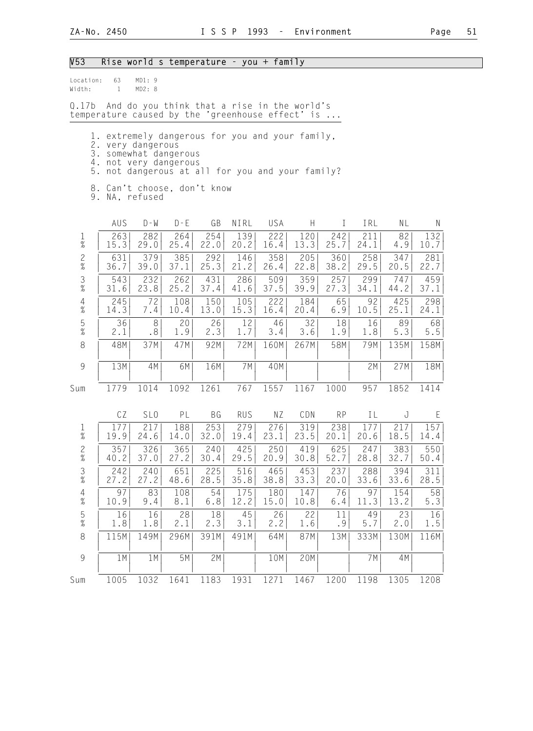#### V53 Rise world s temperature - you + family

| Location: | 63 | MD1:9  |  |
|-----------|----|--------|--|
| Width:    |    | MD2: 8 |  |

Q.17b And do you think that a rise in the world's temperature caused by the 'greenhouse effect' is ...

- 1. extremely dangerous for you and your family,
- 2. very dangerous
- 3. somewhat dangerous
- 4. not very dangerous
	- 5. not dangerous at all for you and your family?
	- 8. Can't choose, don't know

9. NA, refused

|                                        | AUS  | $D - W$         | $D - E$ | GB        | NIRL       | USA  | $\boldsymbol{\mathsf{H}}$ | $\mathbf I$ | IRL  | NL   | ${\sf N}$   |
|----------------------------------------|------|-----------------|---------|-----------|------------|------|---------------------------|-------------|------|------|-------------|
| $\frac{1}{\%}$                         | 263  | 282             | 264     | 254       | 139        | 222  | 120                       | 242         | 211  | 82   | 132         |
|                                        | 15.3 | 29.0            | 25.4    | 22.0      | 20.2       | 16.4 | 13.3                      | 25.7        | 24.1 | 4.9  | 10.7        |
| $\frac{2}{\%}$                         | 631  | 379             | 385     | 292       | 146        | 358  | 205                       | 360         | 258  | 347  | 281         |
|                                        | 36.7 | 39.0            | 37.1    | 25.3      | 21.2       | 26.4 | 22.8                      | 38.2        | 29.5 | 20.5 | 22.7        |
| $\frac{3}{\%}$                         | 543  | 232             | 262     | 431       | 286        | 509  | 359                       | 257         | 299  | 747  | 459         |
|                                        | 31.6 | 23.8            | 25.2    | 37.4      | 41.6       | 37.5 | 39.9                      | 27.3        | 34.1 | 44.2 | 37.1        |
| $\begin{array}{c} 4 \\ \% \end{array}$ | 245  | 72              | 108     | 150       | 105        | 222  | 184                       | 65          | 92   | 425  | 298         |
|                                        | 14.3 | 7.4             | 10.4    | 13.0      | 15.3       | 16.4 | 20.4                      | 6.9         | 10.5 | 25.1 | 24.1        |
| $\frac{5}{\%}$                         | 36   | 8               | 20      | 26        | 12         | 46   | 32                        | 18          | 16   | 89   | 68          |
|                                        | 2.1  | .8              | 1.9     | 2.3       | 1.7        | 3.4  | 3.6                       | 1.9         | 1.8  | 5.3  | $5.5$       |
| $\,8\,$                                | 48M  | 37M             | 47M     | 92M       | 72M        | 160M | 267M                      | 58M         | 79M  | 135M | 158M        |
| 9                                      | 13M  | 4M              | 6M      | 16M       | 7M         | 40M  |                           |             | 2M   | 27M  | 18M         |
| Sum                                    | 1779 | 1014            | 1092    | 1261      | 767        | 1557 | 1167                      | 1000        | 957  | 1852 | 1414        |
|                                        | CZ   | SL <sub>0</sub> | PL      | <b>BG</b> | <b>RUS</b> | ΝZ   | CDN                       | <b>RP</b>   | IL   | J    | $\mathsf E$ |
| $\frac{1}{\%}$                         | 177  | 217             | 188     | 253       | 279        | 276  | 319                       | 238         | 177  | 217  | 157         |
|                                        | 19.9 | 24.6            | 14.0    | 32.0      | 19.4       | 23.1 | 23.5                      | 20.1        | 20.6 | 18.5 | 14.4        |
| $\frac{2}{\%}$                         | 357  | 326             | 365     | 240       | 425        | 250  | 419                       | 625         | 247  | 383  | 550         |
|                                        | 40.2 | 37.0            | 27.2    | 30.4      | 29.5       | 20.9 | 30.8                      | 52.7        | 28.8 | 32.7 | 50.4        |
| $\frac{3}{8}$                          | 242  | 240             | 651     | 225       | 516        | 465  | 453                       | 237         | 288  | 394  | 311         |
|                                        | 27.2 | 27.2            | 48.6    | 28.5      | 35.8       | 38.8 | 33.3                      | 20.0        | 33.6 | 33.6 | 28.5        |
| $\frac{4}{\%}$                         | 97   | 83              | 108     | 54        | 175        | 180  | 147                       | 76          | 97   | 154  | 58          |
|                                        | 10.9 | 9.4             | 8.1     | 6.8       | 12.2       | 15.0 | 10.8                      | 6.4         | 11.3 | 13.2 | 5.3         |
| $\frac{5}{\%}$                         | 16   | 16              | 28      | 18        | 45         | 26   | 22                        | 11          | 49   | 23   | 16          |
|                                        | 1.8  | 1.8             | 2.1     | 2.3       | 3.1        | 2.2  | 1.6                       | .9          | 5.7  | 2.0  | 1.5         |
| $\,8\,$                                | 115M | 149M            | 296M    | 391M      | 491M       | 64M  | 87M                       | 13M         | 333M | 130M | 116M        |
| 9                                      | 1M   | 1M              | 5M      | 2M        |            | 10M  | 20M                       |             | 7M   | 4M   |             |
| Sum                                    | 1005 | 1032            | 1641    | 1183      | 1931       | 1271 | 1467                      | 1200        | 1198 | 1305 | 1208        |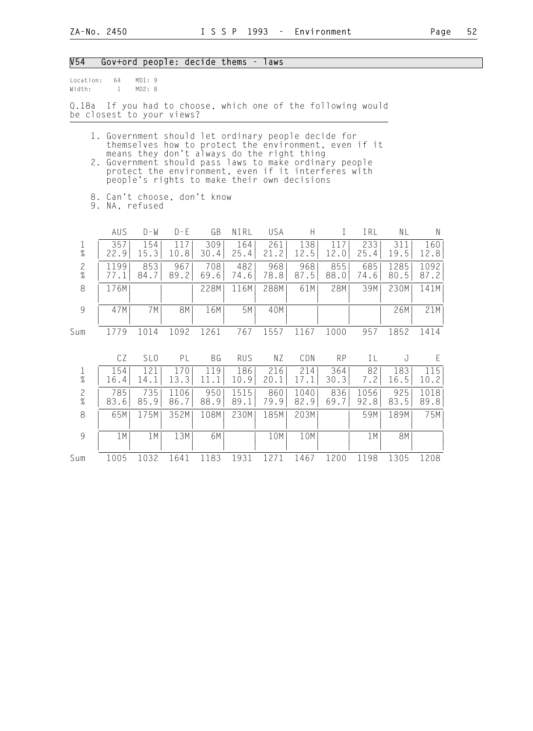#### V54 Gov+ord people: decide thems - laws

Location: 64 MD1: 9<br>Width: 1 MD2: 8  $Width: 1$ 

Q.18a If you had to choose, which one of the following would be closest to your views?

- 1. Government should let ordinary people decide for themselves how to protect the environment, even if it means they don't always do the right thing 2. Government should pass laws to make ordinary people
- protect the environment, even if it interferes with people's rights to make their own decisions
	- 8. Can't choose, don't know

9. NA, refused

|                        | AUS         | $D - W$      | $D - F$     | GB          | NIRL        | USA                      |             |             | IRL         | ΝL           | Ν            |
|------------------------|-------------|--------------|-------------|-------------|-------------|--------------------------|-------------|-------------|-------------|--------------|--------------|
| $\%$                   | 357<br>22.9 | 1541<br>15.3 | 10.8        | 309<br>30.4 | 164<br>25.4 | 261<br>$\cdot$ . 2<br>21 | 138<br>.2.5 | 12.0        | 233<br>25.4 | 311<br>19.5  | 160<br>12.8  |
| $\overline{c}$<br>$\%$ | 199         | 8531<br>84.7 | 967<br>89.2 | 708<br>69.6 | 482<br>74.6 | 968<br>78.8              | 968<br>87.5 | 855<br>88.0 | 685<br>74.6 | 1285<br>80.5 | 1092<br>87.2 |
| 8                      | 176M        |              |             | 228M        | 116M        | 288M                     | 61M         | 28M         | 39M         | 230M         | 141M         |
| 9                      | 47M         | 7 M I        | 8M          | 16M         | 5M          | 40M                      |             |             |             | 26M          | 21M          |
| Sum                    |             |              | 1092        | 1261        | 767         | 1557                     | 61ء         | 1000        | 957         | 1852         | 1414         |

|                |             | SL <sub>0</sub>                 | ΡL                | ВG          | <b>RUS</b>   | ΝZ          | CDN          | <b>RP</b>   |              |             |              |
|----------------|-------------|---------------------------------|-------------------|-------------|--------------|-------------|--------------|-------------|--------------|-------------|--------------|
| $\frac{1}{\%}$ | L54<br>16.4 | 14.1                            | 13.3              | -9<br>11    | 186<br>10.9  | 216<br>20   | 214          | 364<br>30.3 | 82           | 183<br>16.5 | 115<br>10.2  |
| 2<br>$\%$      | 785<br>83.6 | 735<br>85.9                     | .06<br>11<br>86.7 | 950<br>88.9 | 1515<br>89.1 | 860<br>79.9 | 1040<br>82.9 | 836<br>69.7 | 1056<br>92.8 | 925<br>83.5 | 1018<br>89.8 |
| 8              | 65M         | 175M                            | 352M              | 108M        | 230M         | 185M        | 203M         |             | 59M          | 189M        | 75M          |
| 9              | 1 M         | $1$ M <sup><math>1</math></sup> | 13M               | 6M          |              | 10M         | 10M          |             | 1 M          | 8M          |              |
| Sum            | 1005        | 032                             | 1641              | 1183        | 1931         |             | .467         | .200        | .98<br>11    | 1305        | 1208         |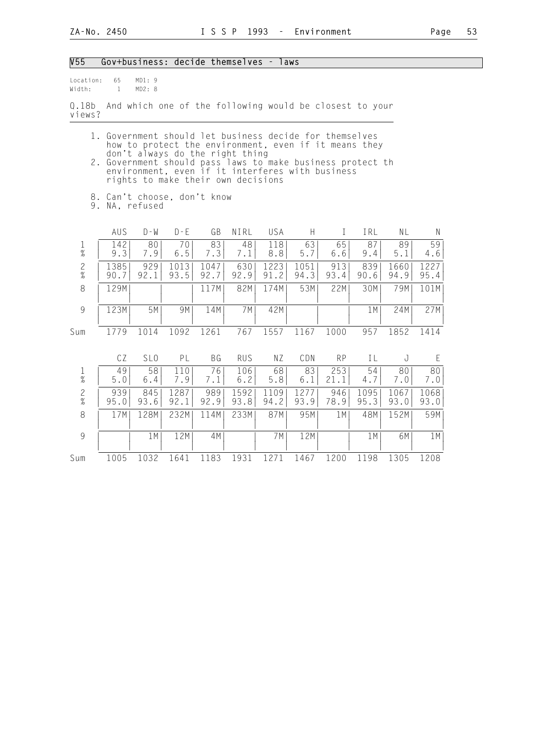| V55                           |                    | Gov+business: decide themselves - laws                                                                                                                                                  |              |              |              |              |              |             |              |              |              |
|-------------------------------|--------------------|-----------------------------------------------------------------------------------------------------------------------------------------------------------------------------------------|--------------|--------------|--------------|--------------|--------------|-------------|--------------|--------------|--------------|
| Location:<br>Width:           | 65<br>$\mathbf{1}$ | MD1:9<br>MD2: 8                                                                                                                                                                         |              |              |              |              |              |             |              |              |              |
| 0.18 <sub>b</sub><br>views?   |                    | And which one of the following would be closest to your                                                                                                                                 |              |              |              |              |              |             |              |              |              |
|                               |                    | 1. Government should let business decide for themselves<br>how to protect the environment, even if it means they                                                                        |              |              |              |              |              |             |              |              |              |
|                               |                    | don't always do the right thing<br>2. Government should pass laws to make business protect th<br>environment, even if it interferes with business<br>rights to make their own decisions |              |              |              |              |              |             |              |              |              |
|                               |                    | 8. Can't choose, don't know<br>9. NA, refused                                                                                                                                           |              |              |              |              |              |             |              |              |              |
|                               | AUS                | $D - W$                                                                                                                                                                                 | $D - E$      | GB           | NIRL         | <b>USA</b>   | Н.           | L           | IRL          | <b>NL</b>    | N            |
| $\mathbf 1$<br>$\%$           | 142<br>9.3         | 80<br>7.9                                                                                                                                                                               | 70<br>$6.5$  | 83<br>7.3    | 48<br>7.1    | 118<br>8.8   | 63<br>5.7    | 65<br>6.6   | 87<br>9.4    | 89<br>5.1    | 59<br>4.6    |
| $\frac{2}{\%}$                | 1385<br>90.7       | 929<br>92.1                                                                                                                                                                             | 1013<br>93.5 | 1047<br>92.7 | 630<br>92.9  | 1223<br>91.2 | 1051<br>94.3 | 913<br>93.4 | 839<br>90.6  | 1660<br>94.9 | 1227<br>95.4 |
| $\,8\,$                       | 129M               |                                                                                                                                                                                         |              | 117M         | 82M          | 174M         | 53M          | 22M         | 30M          | 79M          | 101M         |
| $\mathcal{G}$                 | 123M               | 5M                                                                                                                                                                                      | 9M           | 14M          | 7M           | 42M          |              |             | 1 M          | 24M          | 27M          |
| Sum                           | 1779               | 1014                                                                                                                                                                                    | 1092         | 1261         | 767          | 1557         | 1167         | 1000        | 957          | 1852         | 1414         |
|                               | CZ                 | SL <sub>0</sub>                                                                                                                                                                         | PL           | <b>BG</b>    | RUS          | NZ           | CDN          | <b>RP</b>   | IL           | J            | E            |
| 1<br>$\overline{\mathcal{U}}$ | 49<br>5.0          | 58<br>6.4                                                                                                                                                                               | 110<br>7.9   | 76<br>7.1    | 106<br>6.2   | 68<br>5.8    | 83<br>6.1    | 253<br>21.1 | 54<br>4.7    | 80<br>7.0    | 80<br>7.0    |
| $\mathbf{2}$<br>$\%$          | 939<br>95.0        | 845<br>93.6                                                                                                                                                                             | 1287<br>92.1 | 989<br>92.9  | 1592<br>93.8 | 1109<br>94.2 | 1277<br>93.9 | 946<br>78.9 | 1095<br>95.3 | 1067<br>93.0 | 1068<br>93.0 |
| 8                             | 17M                | 128M                                                                                                                                                                                    | 232M         | 114M         | 233M         | 87M          | 95M          | 1 M         | 48M          | 152M         | 59M          |
| $\mathcal{G}$                 |                    | 1M                                                                                                                                                                                      | 12M          | 4M           |              | 7M           | 12M          |             | 1M           | 6M           | 1M           |
| Sum                           | 1005               | 1032                                                                                                                                                                                    | 1641         | 1183         | 1931         | 1271         | 1467         | 1200        | 1198         | 1305         | 1208         |
|                               |                    |                                                                                                                                                                                         |              |              |              |              |              |             |              |              |              |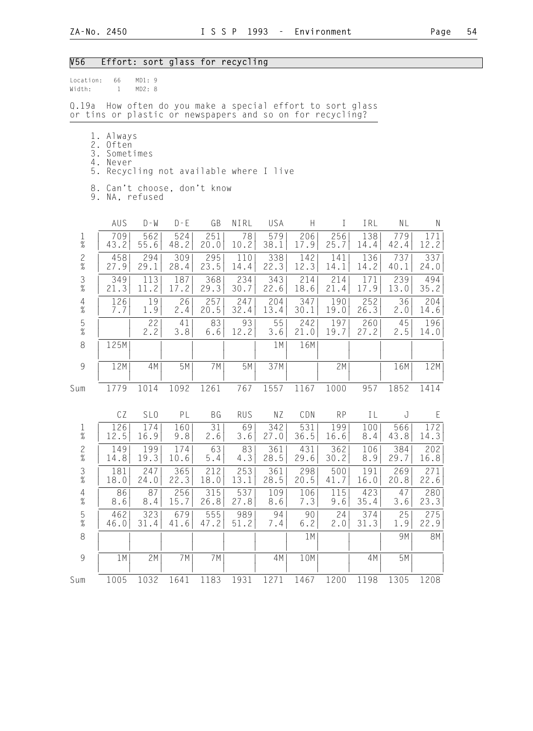### V56 Effort: sort glass for recycling

| Location:<br>Width:    | 66<br>$\mathbf{1}$                          | MD1:9<br>MD2: 8                                                                                                   |             |             |             |             |             |             |             |             |             |
|------------------------|---------------------------------------------|-------------------------------------------------------------------------------------------------------------------|-------------|-------------|-------------|-------------|-------------|-------------|-------------|-------------|-------------|
| Q.19a                  |                                             | How often do you make a special effort to sort glass<br>or tins or plastic or newspapers and so on for recycling? |             |             |             |             |             |             |             |             |             |
| 2.<br>3.<br>5.         | 1. Always<br>Often<br>Sometimes<br>4. Never | Recycling not available where I live<br>8. Can't choose, don't know<br>9. NA, refused                             |             |             |             |             |             |             |             |             |             |
|                        | AUS                                         | $D - W$                                                                                                           | $D - E$     | GB          | NIRL        | USA         | H           | $\bf{I}$    | IRL         | NL          | Ν           |
| $\mathbf{1}$<br>$\%$   | 709<br>43.2                                 | 562<br>55.6                                                                                                       | 524<br>48.2 | 251<br>20.0 | 78<br>10.2  | 579<br>38.1 | 206<br>17.9 | 256<br>25.7 | 138<br>14.4 | 779<br>42.4 | 171<br>12.2 |
| $\frac{2}{\%}$         | 458<br>27.9                                 | 294<br>29.1                                                                                                       | 309<br>28.4 | 295<br>23.5 | 110<br>14.4 | 338<br>22.3 | 142<br>12.3 | 141<br>14.1 | 136<br>14.2 | 737<br>40.1 | 337<br>24.0 |
| $\frac{3}{8}$          | 349<br>21.3                                 | 113<br>11.2                                                                                                       | 187<br>17.2 | 368<br>29.3 | 234<br>30.7 | 343<br>22.6 | 214<br>18.6 | 214<br>21.4 | 171<br>17.9 | 239<br>13.0 | 494<br>35.2 |
| $\frac{4}{\%}$         | 126<br>7.7                                  | 19<br>1.9                                                                                                         | 26<br>2.4   | 257<br>20.5 | 247<br>32.4 | 204<br>13.4 | 347<br>30.1 | 190<br>19.0 | 252<br>26.3 | 36<br>2.0   | 204<br>14.6 |
| $\frac{5}{\%}$         |                                             | 22<br>2.2                                                                                                         | 41<br>3.8   | 83<br>6.6   | 93<br>12.2  | 55<br>3.6   | 242<br>21.0 | 197<br>19.7 | 260<br>27.2 | 45<br>2.5   | 196<br>14.0 |
| $\,8\,$                | 125M                                        |                                                                                                                   |             |             |             | 1M          | 16M         |             |             |             |             |
| $\overline{9}$         | 12M                                         | 4M                                                                                                                | 5M          | 7M          | 5M          | 37M         |             | 2M          |             | 16M         | 12M         |
| Sum                    | 1779                                        | 1014                                                                                                              | 1092        | 1261        | 767         | 1557        | 1167        | 1000        | 957         | 1852        | 1414        |
|                        | CZ                                          | SL <sub>0</sub>                                                                                                   | PL          | BG          | <b>RUS</b>  | ΝZ          | CDN         | <b>RP</b>   | IL          | J           | E           |
| $\frac{1}{\%}$         | 126<br>12.5                                 | 174<br>16.9                                                                                                       | 160<br>9.8  | 31<br>2.6   | 69<br>3.6   | 342<br>27.0 | 531<br>36.5 | 199<br>16.6 | 100<br>8.4  | 566<br>43.8 | 172<br>14.3 |
| $\frac{2}{\%}$         | 149<br>14.8                                 | 199<br>19.3                                                                                                       | 174<br>10.6 | 63<br>5.4   | 83<br>4.3   | 361<br>28.5 | 431<br>29.6 | 362<br>30.2 | 106<br>8.9  | 384<br>29.7 | 202<br>16.8 |
| 3<br>$\frac{1}{2}$     | 181<br>18.0                                 | 247<br>24.0                                                                                                       | 365<br>22.3 | 212<br>18.0 | 253<br>13.1 | 361<br>28.5 | 298<br>20.5 | 500<br>41.7 | 191<br>16.0 | 269<br>20.8 | 271<br>22.6 |
| $\overline{4}$<br>$\%$ | 86<br>8.6                                   | 87<br>8.4                                                                                                         | 256<br>15.7 | 315<br>26.8 | 537<br>27.8 | 109<br>8.6  | 106<br>7.3  | 115<br>9.6  | 423<br>35.4 | 47<br>3.6   | 280<br>23.3 |
| $\frac{5}{\%}$         | 462<br>46.0                                 | 323<br>31.4                                                                                                       | 679<br>41.6 | 555<br>47.2 | 989<br>51.2 | 94<br>7.4   | 90<br>6.2   | 24<br>2.0   | 374<br>31.3 | 25<br>1.9   | 275<br>22.9 |
| $\,8\,$                |                                             |                                                                                                                   |             |             |             |             | 1M          |             |             | 9M          | 8M          |
| $\mathcal{G}$          | 1M                                          | 2M                                                                                                                | 7M          | 7M          |             | 4M          | 10M         |             | 4M          | 5M          |             |
| Sum                    | 1005                                        | 1032                                                                                                              | 1641        | 1183        | 1931        | 1271        | 1467        | 1200        | 1198        | 1305        | 1208        |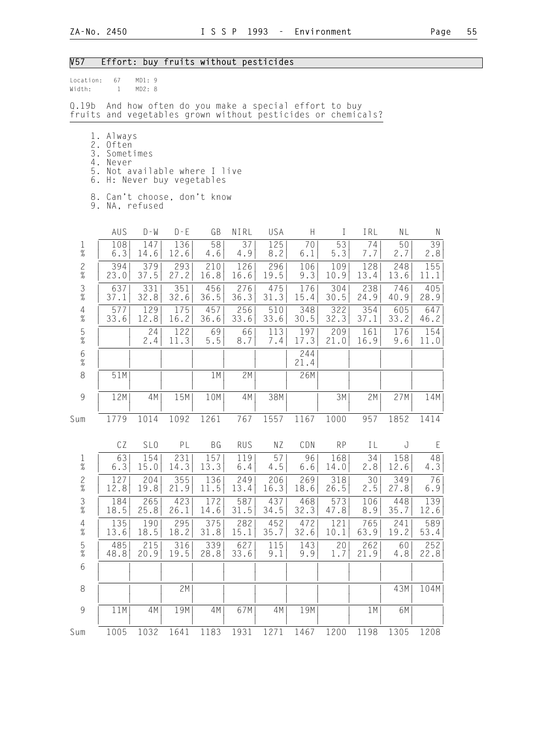## V57 Effort: buy fruits without pesticides

| Location:<br>Width:                                                   | 67<br>$\mathbf{1}$                          | MD1:9<br>MD2: 8 |                                                          |             |                                                   |             |             |             |             |             |             |
|-----------------------------------------------------------------------|---------------------------------------------|-----------------|----------------------------------------------------------|-------------|---------------------------------------------------|-------------|-------------|-------------|-------------|-------------|-------------|
| Q.19b<br>fruits and vegetables grown without pesticides or chemicals? |                                             |                 |                                                          |             | And how often do you make a special effort to buy |             |             |             |             |             |             |
| 3.<br>4.<br>6.                                                        | 1. Always<br>2. Often<br>Sometimes<br>Never |                 | 5. Not available where I live<br>H: Never buy vegetables |             |                                                   |             |             |             |             |             |             |
|                                                                       |                                             | 9. NA, refused  | 8. Can't choose, don't know                              |             |                                                   |             |             |             |             |             |             |
|                                                                       | AUS                                         | $D - W$         | $D - E$                                                  | GB          | NIRL                                              | USA         | H           | $\perp$     | IRL         | NL          | N           |
| $\mathbf{1}$<br>$\%$                                                  | 108<br>6.3                                  | 147<br>14.6     | 136<br>12.6                                              | 58<br>4.6   | 37<br>4.9                                         | 125<br>8.2  | 70<br>6.1   | 53<br>5.3   | 74<br>7.7   | 50<br>2.7   | 39<br>2.8   |
| $\frac{2}{\%}$                                                        | 394<br>23.0                                 | 379<br>37.5     | 293<br>27.2                                              | 210<br>16.8 | 126<br>16.6                                       | 296<br>19.5 | 106<br>9.3  | 109<br>10.9 | 128<br>13.4 | 248<br>13.6 | 155<br>11.1 |
| $\frac{3}{\%}$                                                        | 637<br>37.1                                 | 331<br>32.8     | 351<br>32.6                                              | 456<br>36.5 | 276<br>36.3                                       | 475<br>31.3 | 176<br>15.4 | 304<br>30.5 | 238<br>24.9 | 746<br>40.9 | 405<br>28.9 |
| $\overline{4}$<br>$\%$                                                | 577<br>33.6                                 | 129<br>12.8     | 175<br>16.2                                              | 457<br>36.6 | 256<br>33.6                                       | 510<br>33.6 | 348<br>30.5 | 322<br>32.3 | 354<br>37.1 | 605<br>33.2 | 647<br>46.2 |
| $\frac{5}{\%}$                                                        |                                             | 24<br>2.4       | 122<br>11.3                                              | 69<br>$5.5$ | 66<br>8.7                                         | 113<br>7.4  | 197<br>17.3 | 209<br>21.0 | 161<br>16.9 | 176<br>9.6  | 154<br>11.0 |
| $6\atop \%$                                                           |                                             |                 |                                                          |             |                                                   |             | 244<br>21.4 |             |             |             |             |
| $\,8\,$                                                               | 51M                                         |                 |                                                          | 1M          | 2M                                                |             | 26M         |             |             |             |             |
| $\,9$                                                                 | 12M                                         | 4M              | 15M                                                      | 10M         | 4M                                                | 38M         |             | 3M          | 2M          | 27M         | 14M         |
| Sum                                                                   | 1779                                        | 1014            | 1092                                                     | 1261        | 767                                               | 1557        | 1167        | 1000        | 957         | 1852        | 1414        |
|                                                                       | CZ                                          | SL <sub>0</sub> | PL                                                       | BG          | <b>RUS</b>                                        | ΝZ          | CDN         | <b>RP</b>   | IL          | J           | $\mathsf E$ |
| $\frac{1}{\%}$                                                        | 63<br>6.3                                   | 154<br>15.0     | 231<br>14.3                                              | 157<br>13.3 | 119<br>6.4                                        | 57<br>4.5   | 96<br>6.6   | 168<br>14.0 | 34<br>2.8   | 158<br>12.6 | 48<br>4.3   |
| $\frac{2}{\%}$                                                        | 127<br>12.8                                 | 204<br>19.8     | 355<br>21.9                                              | 136<br>11.5 | 249<br>13.4                                       | 206<br>16.3 | 269<br>18.6 | 318<br>26.5 | 30<br>2.5   | 349<br>27.8 | 76<br>6.9   |
| $\frac{3}{8}$                                                         | 184<br>18.5                                 | 265<br>25.8     | 423<br>26.1                                              | 172<br>14.6 | 587<br>31.5                                       | 437<br>34.5 | 468<br>32.3 | 573<br>47.8 | 106<br>8.9  | 448<br>35.7 | 139<br>12.6 |
| $\begin{array}{c} 4 \\ \% \end{array}$                                | 135<br>13.6                                 | 190<br>18.5     | 295<br>18.2                                              | 375<br>31.8 | 282<br>15.1                                       | 452<br>35.7 | 472<br>32.6 | 121<br>10.1 | 765<br>63.9 | 241<br>19.2 | 589<br>53.4 |
| $\frac{5}{\%}$                                                        | 485<br>48.8                                 | 215<br>20.9     | 316<br>19.5                                              | 339<br>28.8 | 627<br>33.6                                       | 115<br>9.1  | 143<br>9.9  | 20<br>1.7   | 262<br>21.9 | 60<br>4.8   | 252<br>22.8 |
| $6\,$                                                                 |                                             |                 |                                                          |             |                                                   |             |             |             |             |             |             |
| $\,8\,$                                                               |                                             |                 | 2M                                                       |             |                                                   |             |             |             |             | 43M         | 104M        |
| $\mathcal{G}$                                                         | 11M                                         | 4M              | 19M                                                      | 4M          | 67M                                               | 4M          | 19M         |             | 1M          | 6M          |             |
| Sum                                                                   | 1005                                        | 1032            | 1641                                                     | 1183        | 1931                                              | 1271        | 1467        | 1200        | 1198        | 1305        | 1208        |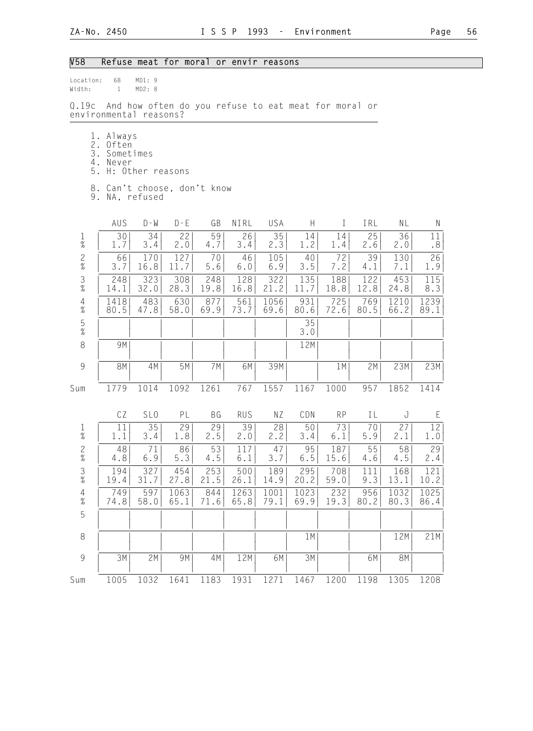## V58 Refuse meat for moral or envir reasons

| Location:<br>Width:                    | 68<br>$\mathbf{1}$                            | MD1:9<br>MD2: 8  |                                                      |             |              |              |                           |             |             |              |              |
|----------------------------------------|-----------------------------------------------|------------------|------------------------------------------------------|-------------|--------------|--------------|---------------------------|-------------|-------------|--------------|--------------|
| Q.19c                                  | environmental reasons?                        |                  | And how often do you refuse to eat meat for moral or |             |              |              |                           |             |             |              |              |
| 2.<br>3.<br>4.<br>5.                   | 1. Always<br>Often<br>Sometimes<br>Never      | H: Other reasons |                                                      |             |              |              |                           |             |             |              |              |
|                                        | 8. Can't choose, don't know<br>9. NA, refused |                  |                                                      |             |              |              |                           |             |             |              |              |
|                                        | AUS                                           | $D - W$          | $D - E$                                              | GB          | NIRL         | USA          | $\boldsymbol{\mathsf{H}}$ | $\bf{I}$    | IRL         | NL           | ${\sf N}$    |
| 1<br>$\%$                              | 30<br>1.7                                     | 34<br>3.4        | 22<br>2.0                                            | 59<br>4.7   | 26<br>3.4    | 35<br>2.3    | 14<br>1.2                 | 14<br>1.4   | 25<br>2.6   | 36<br>2.0    | 11<br>.8     |
| $\frac{2}{\%}$                         | 66<br>3.7                                     | 170<br>16.8      | 127<br>11.7                                          | 70<br>5.6   | 46<br>6.0    | 105<br>6.9   | 40<br>3.5                 | 72<br>7.2   | 39<br>4.1   | 130<br>7.1   | 26<br>1.9    |
| $\frac{3}{8}$                          | 248<br>14.1                                   | 323<br>32.0      | 308<br>28.3                                          | 248<br>19.8 | 128<br>16.8  | 322<br>21.2  | 135<br>11.7               | 188<br>18.8 | 122<br>12.8 | 453<br>24.8  | 115<br>8.3   |
| $\overline{4}$<br>$\%$                 | 1418<br>80.5                                  | 483<br>47.8      | 630<br>58.0                                          | 877<br>69.9 | 561<br>73.7  | 1056<br>69.6 | 931<br>80.6               | 725<br>72.6 | 769<br>80.5 | 1210<br>66.2 | 1239<br>89.1 |
| $\mathsf S$<br>$\%$                    |                                               |                  |                                                      |             |              |              | 35<br>3.0                 |             |             |              |              |
| 8                                      | 9M                                            |                  |                                                      |             |              |              | 12M                       |             |             |              |              |
| 9                                      | 8M                                            | 4M               | 5M                                                   | 7M          | 6M           | 39M          |                           | 1 M         | 2M          | 23M          | 23M          |
| Sum                                    | 1779                                          | 1014             | 1092                                                 | 1261        | 767          | 1557         | 1167                      | 1000        | 957         | 1852         | 1414         |
|                                        | CZ                                            | SL <sub>0</sub>  | PL                                                   | BG          | <b>RUS</b>   | ΝZ           | CDN                       | <b>RP</b>   | IL          | J            | E            |
| $\frac{1}{\%}$                         | 11<br>1.1                                     | 35<br>3.4        | 29<br>1.8                                            | 29<br>2.5   | 39<br>2.0    | 28<br>2.2    | 50 <br>3.4                | 73<br>6.1   | 70<br>5.9   | 27<br>2.1    | 12<br>1.0    |
| $\frac{2}{\%}$                         | 48<br>4.8                                     | 71<br>6.9        | 86<br>5.3                                            | 53<br>4.5   | 117<br>$6.1$ | 47<br>3.7    | 95<br>6.5                 | 187<br>15.6 | 55<br>4.6   | 58<br>4.5    | 29<br>2.4    |
| $\frac{3}{8}$                          | 194<br>19.4                                   | 327<br>31.7      | 454<br>27.8                                          | 253<br>21.5 | 500<br>26.1  | 189<br>14.9  | 295<br>20.2               | 708<br>59.0 | 111<br>9.3  | 168<br>13.1  | 121<br>10.2  |
| $\begin{array}{c} 4 \\ \% \end{array}$ | 749<br>74.8                                   | 597<br>58.0      | 1063<br>65.1                                         | 844<br>71.6 | 1263<br>65.8 | 1001<br>79.1 | 1023<br>69.9              | 232<br>19.3 | 956<br>80.2 | 1032<br>80.3 | 1025<br>86.4 |
| 5                                      |                                               |                  |                                                      |             |              |              |                           |             |             |              |              |
| $\,8\,$                                |                                               |                  |                                                      |             |              |              | 1M                        |             |             | 12M          | 21M          |
| 9                                      | 3M                                            | 2M               | 9M                                                   | 4M          | 12M          | 6M           | 3M                        |             | 6M          | 8M           |              |
| Sum                                    | 1005                                          | 1032             | 1641                                                 | 1183        | 1931         | 1271         | 1467                      | 1200        | 1198        | 1305         | 1208         |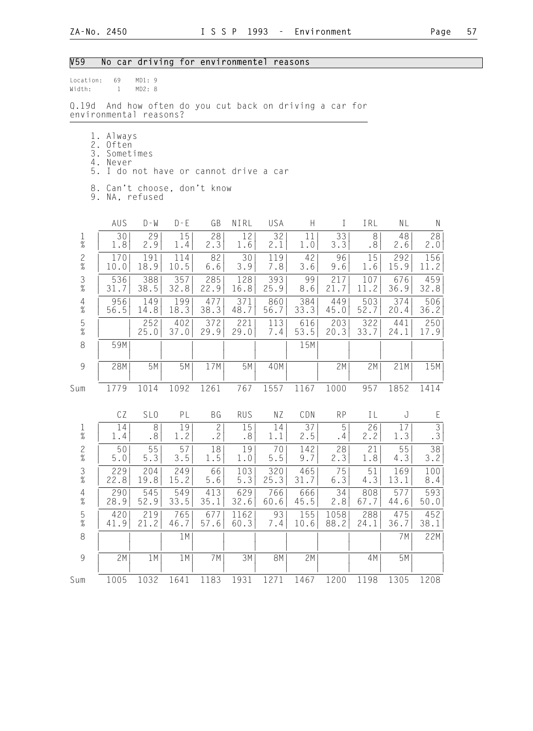## V59 No car driving for environmentel reasons

| Location:<br>Width:    | 69<br>$\mathbf{1}$                          | MD1: 9<br>MD2: 8 |             |                           |                              |                                                    |             |                |             |             |               |
|------------------------|---------------------------------------------|------------------|-------------|---------------------------|------------------------------|----------------------------------------------------|-------------|----------------|-------------|-------------|---------------|
| 0.19d                  | environmental reasons?                      |                  |             |                           |                              | And how often do you cut back on driving a car for |             |                |             |             |               |
| 2.<br>3.<br>5.         | 1. Always<br>Often<br>Sometimes<br>4. Never |                  |             |                           |                              | I do not have or cannot drive a car                |             |                |             |             |               |
| 9.                     | 8. Can't choose, don't know                 | NA, refused      |             |                           |                              |                                                    |             |                |             |             |               |
|                        | AUS                                         | D - W            | $D - E$     | GB                        | NIRL                         | USA                                                | H.          | $\perp$        | IRL         | NL          | N             |
| $\mathbf{1}$<br>$\%$   | 30<br>1.8                                   | 29<br>2.9        | 15<br>1.4   | 28<br>2.3                 | 12<br>1.6                    | 32<br>2.1                                          | 11<br>1.0   | 33<br>3.3      | 8<br>.8     | 48<br>2.6   | 28<br>2.0     |
| $\frac{2}{\%}$         | 170<br>10.0                                 | 191<br>18.9      | 114<br>10.5 | 82<br>6.6                 | 30<br>3.9                    | 119<br>7.8                                         | 42<br>3.6   | 96<br>9.6      | 15<br>1.6   | 292<br>15.9 | 156<br>11.2   |
| $\frac{3}{8}$          | 536<br>31.7                                 | 388<br>38.5      | 357<br>32.8 | 285<br>22.9               | 128<br>16.8                  | 393<br>25.9                                        | 99<br>8.6   | 217<br>21.7    | 107<br>11.2 | 676<br>36.9 | 459<br>32.8   |
| $\overline{4}$<br>$\%$ | 956<br>56.5                                 | 149<br>14.8      | 199<br>18.3 | 477<br>38.3               | 371<br>48.7                  | 860<br>56.7                                        | 384<br>33.3 | 449<br>45.0    | 503<br>52.7 | 374<br>20.4 | 506<br>36.2   |
| $\frac{5}{\%}$         |                                             | 252<br>25.0      | 402<br>37.0 | 372<br>29.9               | 221<br>29.0                  | 113<br>7.4                                         | 616<br>53.5 | 203<br>20.3    | 322<br>33.7 | 441<br>24.1 | 250<br>17.9   |
| 8                      | 59M                                         |                  |             |                           |                              |                                                    | 15M         |                |             |             |               |
| $\mathcal{G}$          | 28M                                         | 5M               | 5M          | 17M                       | 5M                           | 40M                                                |             | 2M             | 2M          | 21M         | 15M           |
| Sum                    | 1779                                        | 1014             | 1092        | 1261                      | 767                          | 1557                                               | 1167        | 1000           | 957         | 1852        | 1414          |
|                        | CZ                                          | SL <sub>0</sub>  | PL          | ВG                        | <b>RUS</b>                   | NZ                                                 | CDN         | <b>RP</b>      | IL          | J           | E             |
| $\frac{1}{\%}$         | 14<br>1.4                                   | 8<br>.8          | 19<br>1.2   | $\mathbf{2}$<br>$\cdot$ 2 | 15<br>$\boldsymbol{\cdot}$ 8 | 14<br>1.1                                          | 37<br>2.5   | 5<br>$\cdot$ 4 | 26<br>2.2   | 17<br>1.3   | $\frac{3}{3}$ |
| $\frac{2}{\%}$         | 50<br>5.0                                   | 55<br>5.3        | 57<br>3.5   | 18<br>1.5                 | 19<br>1.0                    | 70<br>$5.5$                                        | 142<br>9.7  | 28<br>2.3      | 21<br>1.8   | 55<br>4.3   | 38<br>3.2     |
| $\frac{3}{8}$          | 229<br>22.8                                 | 204<br>19.8      | 249<br>15.2 | 66<br>$5.6$               | 103<br>5.3                   | 320<br>25.3                                        | 465<br>31.7 | 75<br>$6.3\,$  | 51<br>4.3   | 169<br>13.1 | 100<br>8.4    |
| $\overline{4}$<br>$\%$ | 290<br>28.9                                 | 545<br>52.9      | 549<br>33.5 | 413<br>35.1               | 629<br>32.6                  | 766<br>60.6                                        | 666<br>45.5 | 34<br>2.8      | 808<br>67.7 | 577<br>44.6 | 593<br>50.0   |
| $\frac{5}{%}$          | 420<br>41.9                                 | 219<br>21.2      | 765<br>46.7 | 677<br>57.6               | 1162<br>60.3                 | 93<br>7.4                                          | 155<br>10.6 | 1058<br>88.2   | 288<br>24.1 | 475<br>36.7 | 452<br>38.1   |
| $\,8\,$                |                                             |                  | 1M          |                           |                              |                                                    |             |                |             | 7M          | 22M           |
| $\overline{9}$         | 2M                                          | 1M               | 1 M         | 7 M                       | 3M                           | 8M                                                 | 2M          |                | 4M          | 5M          |               |
| Sum                    | 1005                                        | 1032             | 1641        | 1183                      | 1931                         | 1271                                               | 1467        | 1200           | 1198        | 1305        | 1208          |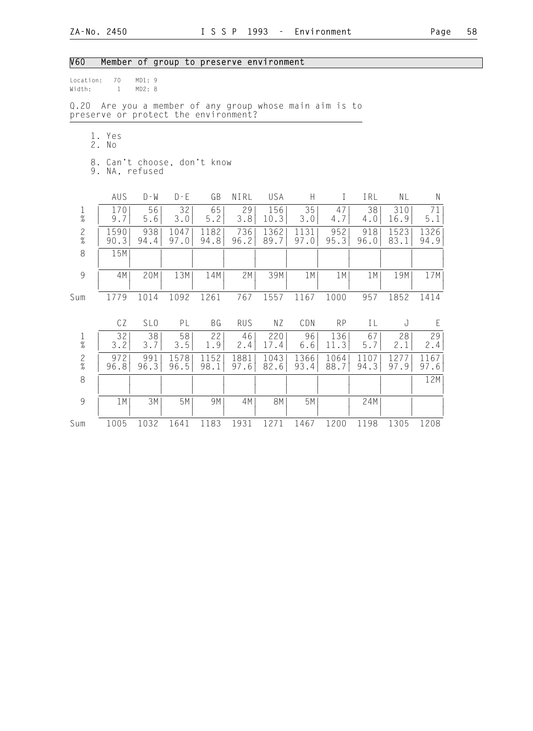## V60 Member of group to preserve environment

| Location:<br>Width: |    | 70<br>$\mathbf{1}$ | MD1:9<br>MD2: 8 |                                                                                            |              |              |              |              |              |              |              |              |
|---------------------|----|--------------------|-----------------|--------------------------------------------------------------------------------------------|--------------|--------------|--------------|--------------|--------------|--------------|--------------|--------------|
| Q.20                |    |                    |                 | Are you a member of any group whose main aim is to<br>preserve or protect the environment? |              |              |              |              |              |              |              |              |
|                     | 2. | 1. Yes<br>No       |                 |                                                                                            |              |              |              |              |              |              |              |              |
|                     |    |                    | 9. NA, refused  | 8. Can't choose, don't know                                                                |              |              |              |              |              |              |              |              |
|                     |    | AUS                | $D - W$         | $D - E$                                                                                    | GB           | NIRL         | USA          | H            | $\bf{I}$     | IRL          | NL           | Ν            |
| $\frac{1}{\%}$      |    | 170<br>9.7         | 56<br>5.6       | 32<br>3.0                                                                                  | 65<br>5.2    | 29<br>3.8    | 156<br>10.3  | 35<br>3.0    | 47<br>4.7    | 38<br>4.0    | 310<br>16.9  | 71<br>5.1    |
| $\frac{2}{\%}$      |    | 1590<br>90.3       | 938<br>94.4     | 1047<br>97.0                                                                               | 1182<br>94.8 | 736<br>96.2  | 1362<br>89.7 | 1131<br>97.0 | 952<br>95.3  | 918<br>96.0  | 1523<br>83.1 | 1326<br>94.9 |
| 8                   |    | 15M                |                 |                                                                                            |              |              |              |              |              |              |              |              |
| 9                   |    | 4M                 | 20M             | 13M                                                                                        | 14M          | 2M           | 39M          | 1M           | 1 M          | 1 M          | 19M          | 17M          |
| Sum                 |    | 1779               | 1014            | 1092                                                                                       | 1261         | 767          | 1557         | 1167         | 1000         | 957          | 1852         | 1414         |
|                     |    | CZ                 | SL <sub>0</sub> | PL                                                                                         | BG           | <b>RUS</b>   | ΝZ           | CDN          | <b>RP</b>    | IL           | J            | E            |
| $\frac{1}{\%}$      |    | 32<br>3.2          | 38<br>3.7       | 58<br>3.5                                                                                  | 22<br>1.9    | 46<br>2.4    | 220<br>17.4  | 96<br>$6.6$  | 136<br>11.3  | 67<br>5.7    | 28<br>2.1    | 29<br>2.4    |
| $\frac{2}{\%}$      |    | 972<br>96.8        | 991<br>96.3     | 1578<br>96.5                                                                               | 1152<br>98.1 | 1881<br>97.6 | 1043<br>82.6 | 1366<br>93.4 | 1064<br>88.7 | 1107<br>94.3 | 1277<br>97.9 | 1167<br>97.6 |
| 8                   |    |                    |                 |                                                                                            |              |              |              |              |              |              |              | 12M          |
| 9                   |    | 1M                 | 3M              | 5M                                                                                         | 9M           | 4M           | <b>8M</b>    | 5M           |              | 24M          |              |              |
| Sum                 |    | 1005               | 1032            | 1641                                                                                       | 1183         | 1931         | 1271         | 1467         | 1200         | 1198         | 1305         | 1208         |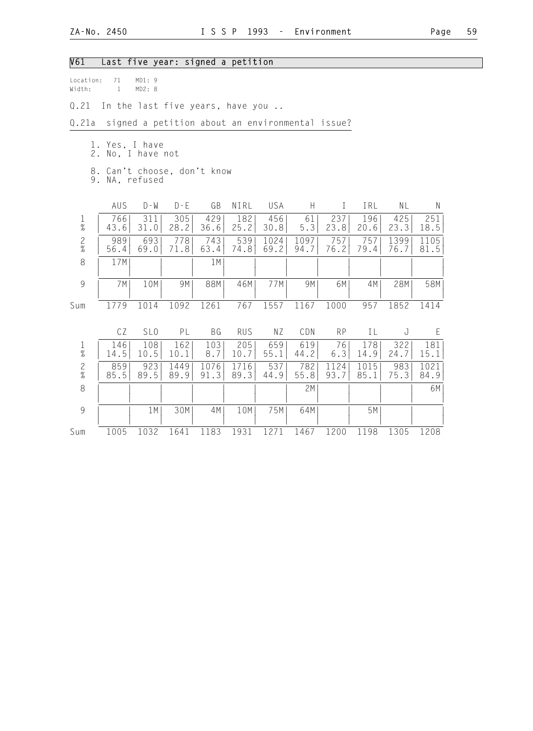| Page | 59 |
|------|----|
|      |    |

| V61            |                                                                                        |                 | Last five year: signed a petition |              |              |              |                                                 |              |              |              |              |  |  |
|----------------|----------------------------------------------------------------------------------------|-----------------|-----------------------------------|--------------|--------------|--------------|-------------------------------------------------|--------------|--------------|--------------|--------------|--|--|
| Width:         | Location:<br>71<br>MD1:9<br>$\mathbf{1}$<br>MD2: 8<br>In the last five years, have you |                 |                                   |              |              |              |                                                 |              |              |              |              |  |  |
| Q.21           |                                                                                        |                 |                                   |              |              |              |                                                 |              |              |              |              |  |  |
| Q.21a          |                                                                                        |                 |                                   |              |              |              | signed a petition about an environmental issue? |              |              |              |              |  |  |
| 2.             | 1. Yes, I have                                                                         | No, I have not  |                                   |              |              |              |                                                 |              |              |              |              |  |  |
| 9.             | 8. Can't choose, don't know                                                            | NA, refused     |                                   |              |              |              |                                                 |              |              |              |              |  |  |
|                | AUS                                                                                    | $D - W$         | $D - E$                           | GB           | NIRL         | <b>USA</b>   | H.                                              | L            | IRL          | NL           | N            |  |  |
| $\frac{1}{\%}$ | 766<br>43.6                                                                            | 311<br>31.0     | 305<br>28.2                       | 429<br>36.6  | 182<br>25.2  | 456<br>30.8  | 61<br>5.3                                       | 237<br>23.8  | 196<br>20.6  | 425<br>23.3  | 251<br>18.5  |  |  |
| $\frac{2}{\%}$ | 989<br>56.4                                                                            | 693<br>69.0     | 778<br>71.8                       | 743<br>63.4  | 539<br>74.8  | 1024<br>69.2 | 1097<br>94.7                                    | 757<br>76.2  | 757<br>79.4  | 1399<br>76.7 | 1105<br>81.5 |  |  |
| $\,8\,$        | 17M                                                                                    |                 |                                   | 1 M          |              |              |                                                 |              |              |              |              |  |  |
| $\mathcal{G}$  | 7M                                                                                     | 10M             | 9M                                | 88M          | 46M          | 77M          | 9M                                              | 6M           | 4M           | 28M          | 58M          |  |  |
| Sum            | 1779                                                                                   | 1014            | 1092                              | 1261         | 767          | 1557         | 1167                                            | 1000         | 957          | 1852         | 1414         |  |  |
|                | CZ                                                                                     | SL <sub>0</sub> | PL                                | BG           | <b>RUS</b>   | NZ           | CDN                                             | <b>RP</b>    | IL           | J            | E            |  |  |
| $\frac{1}{\%}$ | 146<br>14.5                                                                            | 108<br>10.5     | 162<br>10.1                       | 103<br>8.7   | 205<br>10.7  | 659<br>55.1  | 619<br>44.2                                     | 76<br>6.3    | 178<br>14.9  | 322<br>24.7  | 181<br>15.1  |  |  |
| $\frac{2}{\%}$ | 859<br>85.5                                                                            | 923<br>89.5     | 1449<br>89.9                      | 1076<br>91.3 | 1716<br>89.3 | 537<br>44.9  | 782<br>55.8                                     | 1124<br>93.7 | 1015<br>85.1 | 983<br>75.3  | 1021<br>84.9 |  |  |
| 8              |                                                                                        |                 |                                   |              |              |              | 2M                                              |              |              |              | 6M           |  |  |
| 9              |                                                                                        | 1M              | 30M                               | 4M           | 10M          | 75M          | 64M                                             |              | 5M           |              |              |  |  |
| Sum            | 1005                                                                                   | 1032            | 1641                              | 1183         | 1931         | 1271         | 1467                                            | 1200         | 1198         | 1305         | 1208         |  |  |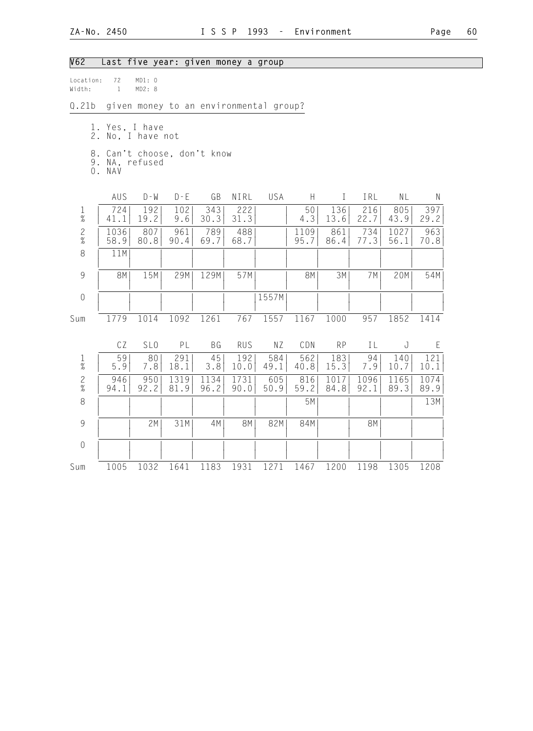| V62                                                       |                                                         |                  | Last five year: given money a group |              |              |                                        |              |              |              |              |              |
|-----------------------------------------------------------|---------------------------------------------------------|------------------|-------------------------------------|--------------|--------------|----------------------------------------|--------------|--------------|--------------|--------------|--------------|
| Location:<br>Width:                                       | 72<br>$\mathbf{1}$                                      | MD1: 0<br>MD2: 8 |                                     |              |              |                                        |              |              |              |              |              |
| Q.21b                                                     |                                                         |                  |                                     |              |              | given money to an environmental group? |              |              |              |              |              |
|                                                           | 1. Yes, I have<br>2. No, I have not                     |                  |                                     |              |              |                                        |              |              |              |              |              |
|                                                           | 8. Can't choose, don't know<br>9. NA, refused<br>0. NAV |                  |                                     |              |              |                                        |              |              |              |              |              |
|                                                           | AUS                                                     | $D - W$          | $D - E$                             | GB           | NIRL         | USA                                    | H            | $\mathbf{I}$ | IRL          | NL           | $\mathsf{N}$ |
| $\mathbf{1}$<br>$\%$                                      | 724<br>41.1                                             | 192<br>19.2      | 102<br>9.6                          | 343<br>30.3  | 222<br>31.3  |                                        | 50<br>4.3    | 136<br>13.6  | 216<br>22.7  | 805<br>43.9  | 397<br>29.2  |
| $\frac{2}{\%}$                                            | 1036<br>58.9                                            | 807<br>80.8      | 961<br>90.4                         | 789<br>69.7  | 488<br>68.7  |                                        | 1109<br>95.7 | 861<br>86.4  | 734<br>77.3  | 1027<br>56.1 | 963<br>70.8  |
| $\,8\,$                                                   | 11M                                                     |                  |                                     |              |              |                                        |              |              |              |              |              |
| $\mathcal{G}% _{M_{1},M_{2}}^{\alpha,\beta}(\mathcal{G})$ | <b>8M</b>                                               | 15M              | 29M                                 | 129M         | 57M          |                                        | 8M           | 3M           | 7M           | 20M          | 54M          |
| $\overline{0}$                                            |                                                         |                  |                                     |              |              | 1557M                                  |              |              |              |              |              |
| Sum                                                       | 1779                                                    | 1014             | 1092                                | 1261         | 767          | 1557                                   | 1167         | 1000         | 957          | 1852         | 1414         |
|                                                           | CZ                                                      | SL <sub>0</sub>  | PL                                  | <b>BG</b>    | <b>RUS</b>   | ΝZ                                     | CDN          | <b>RP</b>    | IL           | J            | Ε            |
| $\frac{1}{\%}$                                            | 59<br>5.9                                               | 80<br>7.8        | 291<br>18.1                         | 45<br>3.8    | 192<br>10.0  | 584<br>49.1                            | 562<br>40.8  | 183<br>15.3  | 94<br>7.9    | 140<br>10.7  | 121<br>10.1  |
| $\frac{2}{\%}$                                            | 946<br>94.1                                             | 950<br>92.2      | 1319<br>81.9                        | 1134<br>96.2 | 1731<br>90.0 | 605<br>50.9                            | 816<br>59.2  | 1017<br>84.8 | 1096<br>92.1 | 1165<br>89.3 | 1074<br>89.9 |
| 8                                                         |                                                         |                  |                                     |              |              |                                        | 5M           |              |              |              | 13M          |
| $\mathcal{G}$                                             |                                                         | 2M               | 31M                                 | 4M           | <b>8M</b>    | 82M                                    | 84M          |              | <b>8M</b>    |              |              |
| $\sqrt{a}$                                                |                                                         |                  |                                     |              |              |                                        |              |              |              |              |              |
| Sum                                                       | 1005                                                    | 1032             | 1641                                | 1183         | 1931         | 1271                                   | 1467         | 1200         | 1198         | 1305         | 1208         |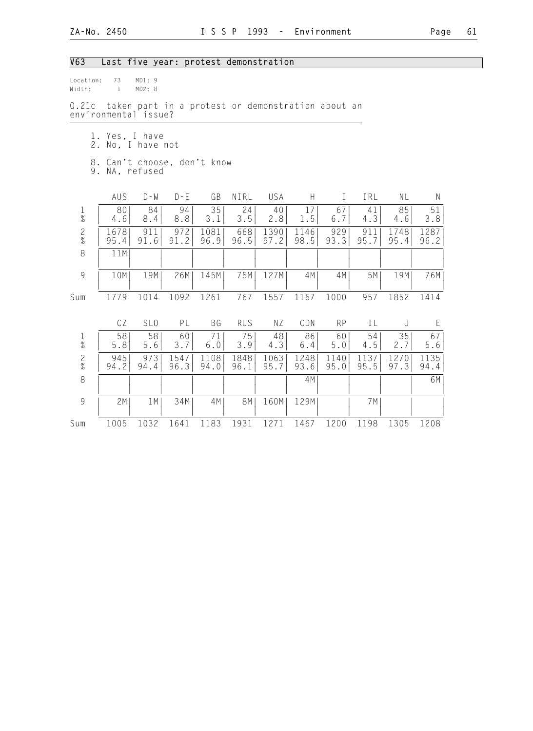| V63                                           | Last five year: protest demonstration |                 |                                                   |              |              |              |              |              |              |              |              |  |
|-----------------------------------------------|---------------------------------------|-----------------|---------------------------------------------------|--------------|--------------|--------------|--------------|--------------|--------------|--------------|--------------|--|
| Location:<br>Width:                           | 73<br>$\mathbf{1}$                    | MD1:9<br>MD2: 8 |                                                   |              |              |              |              |              |              |              |              |  |
| Q.21c                                         | environmental issue?                  |                 | taken part in a protest or demonstration about an |              |              |              |              |              |              |              |              |  |
|                                               | 1. Yes, I have<br>2. No, I have not   |                 |                                                   |              |              |              |              |              |              |              |              |  |
| 8. Can't choose, don't know<br>9. NA, refused |                                       |                 |                                                   |              |              |              |              |              |              |              |              |  |
|                                               | AUS                                   | $D - M$         | $D - E$                                           | GB           | NIRL         | <b>USA</b>   | H            | $\mathbf{I}$ | IRL          | NL           | $\mathsf{N}$ |  |
| $\mathbf{1}$<br>$\%$                          | 80<br>4.6                             | 84<br>8.4       | 94<br>8.8                                         | 35<br>3.1    | 24<br>3.5    | 40<br>2.8    | 17<br>1.5    | 67<br>6.7    | 41<br>4.3    | 85<br>4.6    | 51<br>3.8    |  |
| $\frac{2}{\%}$                                | 1678<br>95.4                          | 911<br>91.6     | 972<br>91.2                                       | 1081<br>96.9 | 668<br>96.5  | 1390<br>97.2 | 1146<br>98.5 | 929<br>93.3  | 911<br>95.7  | 1748<br>95.4 | 1287<br>96.2 |  |
| 8                                             | 11M                                   |                 |                                                   |              |              |              |              |              |              |              |              |  |
| $\mathcal{G}$                                 | 10M                                   | 19M             | 26M                                               | 145M         | 75M          | 127M         | 4M           | 4M           | 5M           | 19M          | 76M          |  |
| Sum                                           | 1779                                  | 1014            | 1092                                              | 1261         | 767          | 1557         | 1167         | 1000         | 957          | 1852         | 1414         |  |
|                                               | CZ                                    | SL <sub>0</sub> | PL                                                | <b>BG</b>    | <b>RUS</b>   | NZ           | CDN          | <b>RP</b>    | IL           | J            | E            |  |
| $\frac{1}{\%}$                                | 58<br>5.8                             | 58<br>5.6       | 60<br>3.7                                         | 71<br>6.0    | 75<br>3.9    | 48<br>4.3    | 86<br>6.4    | 60<br>5.0    | 54<br>4.5    | 35<br>2.7    | 67<br>5.6    |  |
| $\frac{2}{\%}$                                | 945<br>94.2                           | 973<br>94.4     | 1547<br>96.3                                      | 1108<br>94.0 | 1848<br>96.1 | 1063<br>95.7 | 1248<br>93.6 | 1140<br>95.0 | 1137<br>95.5 | 1270<br>97.3 | 1135<br>94.4 |  |
| 8                                             |                                       |                 |                                                   |              |              |              | 4M           |              |              |              | 6M           |  |
| $\mathcal{G}$                                 | 2M                                    | 1 M             | 34M                                               | 4M           | 8M           | 160M         | 129M         |              | 7 M          |              |              |  |
| Sum                                           | 1005                                  | 1032            | 1641                                              | 1183         | 1931         | 1271         | 1467         | 1200         | 1198         | 1305         | 1208         |  |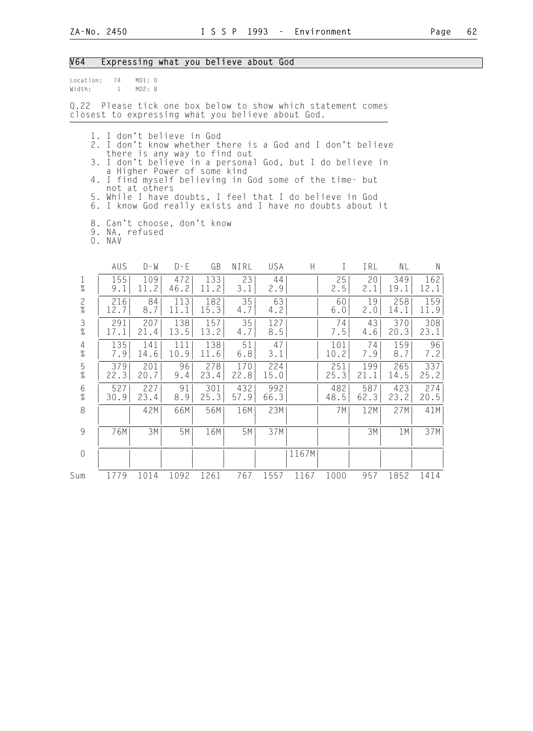#### V64 Expressing what you believe about God

| location: | 74 | MD1: 0 |  |
|-----------|----|--------|--|
| Width:    |    | MD2: 8 |  |

Q.22 Please tick one box below to show which statement comes closest to expressing what you believe about God.

- 1. I don't believe in God
- 2. I don't know whether there is a God and I don't believe there is any way to find out
- 3. I don't believe in a personal God, but I do believe in a Higher Power of some kind
- 4. I find myself believing in God some of the time- but not at others
- 5. While I have doubts, I feel that I do believe in God
- 6. I know God really exists and I have no doubts about it
	- 8. Can't choose, don't know
- 9. NA, refused
- 0. NAV

|                      | AUS         | D - W       | $D - E$     | GB          | NIRL        | USA         | H     |             | IRL         | ΝL          | N           |
|----------------------|-------------|-------------|-------------|-------------|-------------|-------------|-------|-------------|-------------|-------------|-------------|
| $\frac{1}{\%}$       | 155<br>9.1  | 109<br>11.2 | 472<br>46.2 | 133<br>11.2 | 23<br>3.1   | 44<br>2.9   |       | 25<br>2.5   | 20<br>2.1   | 349<br>19.1 | 162<br>12.1 |
| $\mathbf{2}$<br>$\%$ | 216<br>12.7 | 84<br>8.7   | 113<br>11.1 | 182<br>15.3 | 35<br>4.7   | 63<br>4.2   |       | 60<br>6.0   | 19<br>2.0   | 258<br>14.1 | 159<br>11.9 |
| $\frac{3}{8}$        | 291<br>17.1 | 207<br>21.4 | 138<br>13.5 | 157<br>13.2 | 35<br>4.7   | 127<br>8.5  |       | 74<br>7.5   | 43<br>4.6   | 370<br>20.3 | 308<br>23.1 |
| $\frac{4}{\%}$       | 135<br>7.9  | 141<br>14.6 | 111<br>10.9 | 138<br>11.6 | 51<br>$6.8$ | 47<br>3.1   |       | 101<br>10.2 | 74<br>7.9   | 159<br>8.7  | 96<br>7.2   |
| $\frac{5}{\%}$       | 379<br>22.3 | 201<br>20.7 | 96<br>9.4   | 278<br>23.4 | 170<br>22.8 | 224<br>15.0 |       | 251<br>25.3 | 199<br>21.1 | 265<br>14.5 | 337<br>25.2 |
| 6<br>$\%$            | 527<br>30.9 | 227<br>23.4 | 91<br>8.9   | 301<br>25.3 | 432<br>57.9 | 992<br>66.3 |       | 482<br>48.5 | 587<br>62.3 | 423<br>23.2 | 274<br>20.5 |
| 8                    |             | 42M         | 66M         | 56M         | 16M         | 23M         |       | 7 M I       | 12M         | 27M         | 41M         |
| 9                    | 76M         | 3M          | 5M          | 16M         | 5M          | 37M         |       |             | 3M          | 1 M         | 37M         |
| $\sqrt{a}$           |             |             |             |             |             |             | 1167M |             |             |             |             |
| Sum                  | 1779        | 1014        | 1092        | 1261        | 767         | 1557        | 1167  | 1000        | 957         | 1852        | 1414        |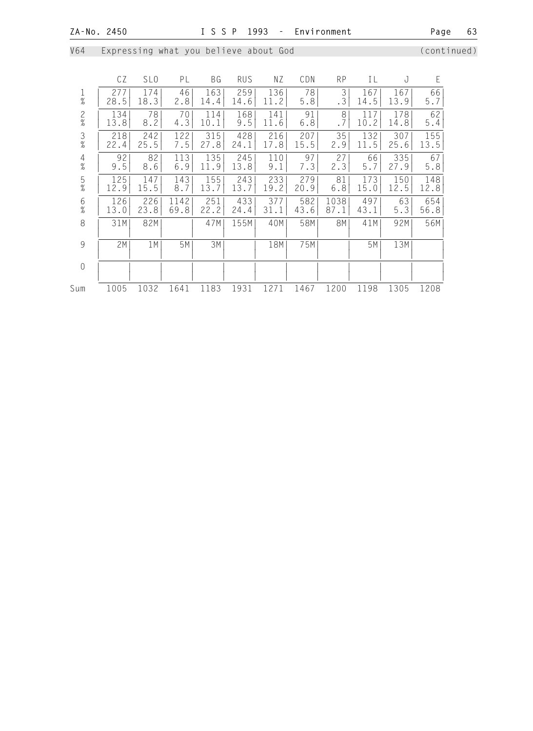V64 Expressing what you believe about God (continued)

|                | CZ   | SL <sub>0</sub> | PL   | ΒG   | <b>RUS</b> | ΝZ   | CDN  | <b>RP</b> | ΙL   | J    | E     |
|----------------|------|-----------------|------|------|------------|------|------|-----------|------|------|-------|
| Ŧ              | 277  | 174             | 46   | 163  | 259        | 136  | 78   | 3         | 167  | 167  | 66    |
| $\%$           | 28.5 | 18.3            | 2.8  | 14.4 | 14.6       | 11.2 | 5.8  | .3        | 14.5 | 13.9 | 5.7   |
| $\frac{2}{\%}$ | 134  | 78              | 70   | 114  | 168        | 141  | 91   | 8         | 117  | 178  | 62    |
|                | 13.8 | 8.2             | 4.3  | 10.1 | 9.5        | 11.6 | 6.8  | .7        | 10.2 | 14.8 | $5.4$ |
| $\frac{3}{8}$  | 218  | 242             | 122  | 315  | 428        | 216  | 207  | 35        | 132  | 307  | 155   |
|                | 22.4 | 25.5            | 7.5  | 27.8 | 24.1       | 17.8 | 15.5 | 2.9       | 11.5 | 25.6 | 13.5  |
| $\overline{4}$ | 92   | 82              | 113  | 135  | 245        | 110  | 97   | 27        | 66   | 335  | 67    |
| $\%$           | 9.5  | 8.6             | 6.9  | 11.9 | 13.8       | 9.1  | 7.3  | 2.3       | 5.7  | 27.9 | 5.8   |
| $\frac{5}{\%}$ | 125  | 147             | 143  | 155  | 243        | 233  | 279  | 81        | 173  | 150  | 148   |
|                | 12.9 | 15.5            | 8.7  | 13.7 | 13.7       | 19.2 | 20.9 | $6.8$     | 15.0 | 12.5 | 12.8  |
| 6              | 126  | 226             | 1142 | 251  | 433        | 377  | 582  | 1038      | 497  | 63   | 654   |
| $\frac{9}{6}$  | 13.0 | 23.8            | 69.8 | 22.2 | 24.4       | 31.1 | 43.6 | 87.1      | 43.1 | 5.3  | 56.8  |
| 8              | 31M  | 82M             |      | 47M  | 155M       | 40M  | 58M  | 8M        | 41M  | 92M  | 56M   |
| 9              | 2M   | 1M              | 5M   | ЗМ   |            | 18M  | 75M  |           | 5Μ   | 13M  |       |
| $\mathbf 0$    |      |                 |      |      |            |      |      |           |      |      |       |
| Sum            | 1005 | 1032            | 1641 | 1183 | 1931       | 1271 | 1467 | 1200      | 1198 | 1305 | 1208  |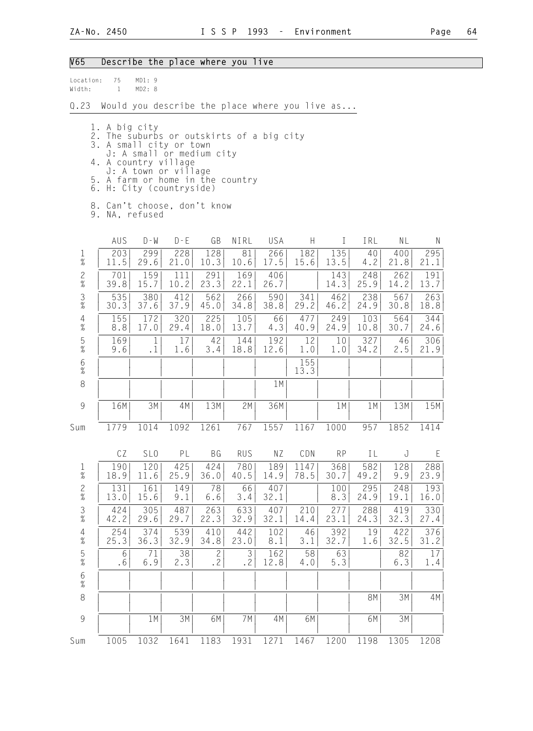#### V65 Describe the place where you live

| location: | 75 | MD1:9  |  |
|-----------|----|--------|--|
| Width:    |    | MD2: R |  |

Q.23 Would you describe the place where you live as...

- 1. A big city
- 2. The suburbs or outskirts of a big city
- 3. A small city or town
- J: A small or medium city
- 4. A country village
- J: A town or village 5. A farm or home in the country
- 6. H: City (countryside)
- 8. Can't choose, don't know
- 9. NA, refused

|                                       | AUS         | $D - W$         | $D - E$     | GB                   | NIRL        | USA         | H            | T           | IRL         | NL          | N           |
|---------------------------------------|-------------|-----------------|-------------|----------------------|-------------|-------------|--------------|-------------|-------------|-------------|-------------|
| $\frac{1}{\%}$                        | 203<br>11.5 | 299<br>29.6     | 228<br>21.0 | 128<br>10.3          | 81<br>10.6  | 266<br>17.5 | 182<br>15.6  | 135<br>13.5 | 40<br>4.2   | 400<br>21.8 | 295<br>21.1 |
| $\frac{2}{\%}$                        | 701<br>39.8 | 159<br>15.7     | 111<br>10.2 | 291<br>23.3          | 169<br>22.1 | 406<br>26.7 |              | 143<br>14.3 | 248<br>25.9 | 262<br>14.2 | 191<br>13.7 |
| $\frac{3}{8}$                         | 535<br>30.3 | 380<br>37.6     | 412<br>37.9 | 562<br>45.0          | 266<br>34.8 | 590<br>38.8 | 341<br>29.2  | 462<br>46.2 | 238<br>24.9 | 567<br>30.8 | 263<br>18.8 |
| $\overline{4}$<br>$\frac{1}{6}$       | 155<br>8.8  | 172<br>17.0     | 320<br>29.4 | 225<br>18.0          | 105<br>13.7 | 66<br>4.3   | 477<br>40.9  | 249<br>24.9 | 103<br>10.8 | 564<br>30.7 | 344<br>24.6 |
| $\frac{5}{\%}$                        | 169<br>9.6  | 1<br>$\cdot$ 1  | 17<br>1.6   | 42<br>3.4            | 144<br>18.8 | 192<br>12.6 | 12<br>1.0    | 10<br>1.0   | 327<br>34.2 | 46<br>2.5   | 306<br>21.9 |
| $\begin{array}{c} 6 \\ 9 \end{array}$ |             |                 |             |                      |             |             | 155<br>13.3  |             |             |             |             |
| 8                                     |             |                 |             |                      |             | 1M          |              |             |             |             |             |
| 9                                     | 16M         | 3M              | 4M          | 13M                  | 2M          | 36M         |              | 1M          | 1M          | 13M         | 15M         |
| Sum                                   | 1779        | 1014            | 1092        | 1261                 | 767         | 1557        | 1167         | 1000        | 957         | 1852        | 1414        |
|                                       | CZ          | SL <sub>0</sub> | PL          | BG                   | <b>RUS</b>  | NZ          | CDN          | <b>RP</b>   | IL          | J           | E           |
| $\frac{1}{\%}$                        | 190<br>18.9 | 120<br>11.6     | 425<br>25.9 | 424<br>36.0          | 780<br>40.5 | 189<br>14.9 | 1147<br>78.5 | 368<br>30.7 | 582<br>49.2 | 128<br>9.9  | 288<br>23.9 |
| $\frac{2}{\%}$                        | 131<br>13.0 | 161<br>15.6     | 149<br>9.1  | 78<br>6.6            | 66<br>3.4   | 407<br>32.1 |              | 100<br>8.3  | 295<br>24.9 | 248<br>19.1 | 193<br>16.0 |
| $\frac{3}{8}$                         | 424<br>42.2 | 305<br>29.6     | 487<br>29.7 | 263<br>22.3          | 633<br>32.9 | 407<br>32.1 | 210<br>14.4  | 277<br>23.1 | 288<br>24.3 | 419<br>32.3 | 330<br>27.4 |
| $\overline{4}$<br>$\%$                | 254<br>25.3 | 374<br>36.3     | 539<br>32.9 | 410<br>34.8          | 442<br>23.0 | 102<br>8.1  | 46<br>3.1    | 392<br>32.7 | 19<br>1.6   | 422<br>32.5 | 376<br>31.2 |
| $\frac{5}{\%}$                        | 6<br>.6     | 71<br>6.9       | 38<br>2.3   | $\overline{c}$<br>.2 | 3<br>.2     | 162<br>12.8 | 58<br>4.0    | 63<br>5.3   |             | 82<br>$6.3$ | 17<br>1.4   |
| $\frac{6}{\%}$                        |             |                 |             |                      |             |             |              |             |             |             |             |
| 8                                     |             |                 |             |                      |             |             |              |             | <b>8M</b>   | 3M          | 4M          |
| 9                                     |             | 1M              | $3M$        | 6M                   | 7M          | 4M          | 6M           |             | 6M          | 3M          |             |
| Sum                                   | 1005        | 1032            | 1641        | 1183                 | 1931        | 1271        | 1467         | 1200        | 1198        | 1305        | 1208        |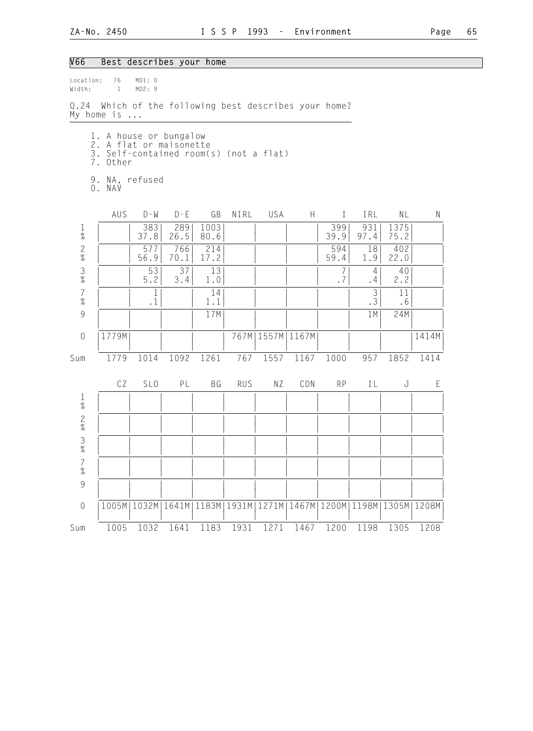## V66 Best describes your home

| Location:<br>Width:                                       | 76<br>$\overline{1}$                                                                                    | MD1: 0<br>MD2: 9          |             |              |            |                      |                                                                   |                  |             |              |       |
|-----------------------------------------------------------|---------------------------------------------------------------------------------------------------------|---------------------------|-------------|--------------|------------|----------------------|-------------------------------------------------------------------|------------------|-------------|--------------|-------|
|                                                           | Q.24 Which of the following best describes your home?<br>My home is $\ldots$                            |                           |             |              |            |                      |                                                                   |                  |             |              |       |
|                                                           | 1. A house or bungalow<br>2. A flat or maisonette<br>3. Self-contained room(s) (not a flat)<br>7. Other |                           |             |              |            |                      |                                                                   |                  |             |              |       |
|                                                           | 9. NA, refused<br>O. NAV                                                                                |                           |             |              |            |                      |                                                                   |                  |             |              |       |
|                                                           | AUS                                                                                                     | $D - W$                   | $D - E$     | GB           | NIRL       | USA                  | H                                                                 | $\mathbf{I}$     | IRL         | NL           | N     |
| $\frac{1}{\%}$                                            |                                                                                                         | 383<br>37.8               | 289<br>26.5 | 1003<br>80.6 |            |                      |                                                                   | 399<br>39.9      | 931<br>97.4 | 1375<br>75.2 |       |
| $\frac{2}{\%}$                                            |                                                                                                         | 577<br>56.9               | 766<br>70.1 | 214<br>17.2  |            |                      |                                                                   | 594<br>59.4      | 18<br>1.9   | 402<br>22.0  |       |
| $\frac{3}{\%}$                                            |                                                                                                         | 53<br>$5.2$               | 37<br>3.4   | 13<br>1.0    |            |                      |                                                                   | $\sqrt{2}$<br>.7 | 4<br>.4     | 40<br>2.2    |       |
| $\begin{array}{c} 7 \\ 9'_{0} \end{array}$                |                                                                                                         | $\mathbf{1}$<br>$\cdot$ 1 |             | 14<br>1.1    |            |                      |                                                                   |                  | 3<br>.3     | 11<br>.6     |       |
| 9                                                         |                                                                                                         |                           |             | 17M          |            |                      |                                                                   |                  | 1 M         | 24M          |       |
| $\sqrt{a}$                                                | 1779M                                                                                                   |                           |             |              |            | 767M   1557M   1167M |                                                                   |                  |             |              | 1414M |
| Sum                                                       | 1779                                                                                                    | 1014                      | 1092        | 1261         | 767        | 1557                 | 1167                                                              | 1000             | 957         | 1852         | 1414  |
|                                                           | CZ                                                                                                      | SL <sub>0</sub>           | PL          | <b>BG</b>    | <b>RUS</b> | ΝZ                   | CDN                                                               | <b>RP</b>        | IL          | J            | E     |
| $\frac{1}{\%}$                                            |                                                                                                         |                           |             |              |            |                      |                                                                   |                  |             |              |       |
| $\frac{2}{\%}$                                            |                                                                                                         |                           |             |              |            |                      |                                                                   |                  |             |              |       |
| $\frac{3}{8}$                                             |                                                                                                         |                           |             |              |            |                      |                                                                   |                  |             |              |       |
| $\overline{7}$<br>$\%$                                    |                                                                                                         |                           |             |              |            |                      |                                                                   |                  |             |              |       |
| $\mathcal{G}% _{M_{1},M_{2}}^{\alpha,\beta}(\mathcal{A})$ |                                                                                                         |                           |             |              |            |                      |                                                                   |                  |             |              |       |
| $\mathbf 0$                                               |                                                                                                         |                           |             |              |            |                      | 1005M 1032M 1641M 1183M 1931M 1271M 1467M 1200M 1198M 1305M 1208M |                  |             |              |       |
| Sum                                                       | 1005                                                                                                    | 1032                      | 1641        | 1183         | 1931       | 1271                 | 1467                                                              | 1200             | 1198        | 1305         | 1208  |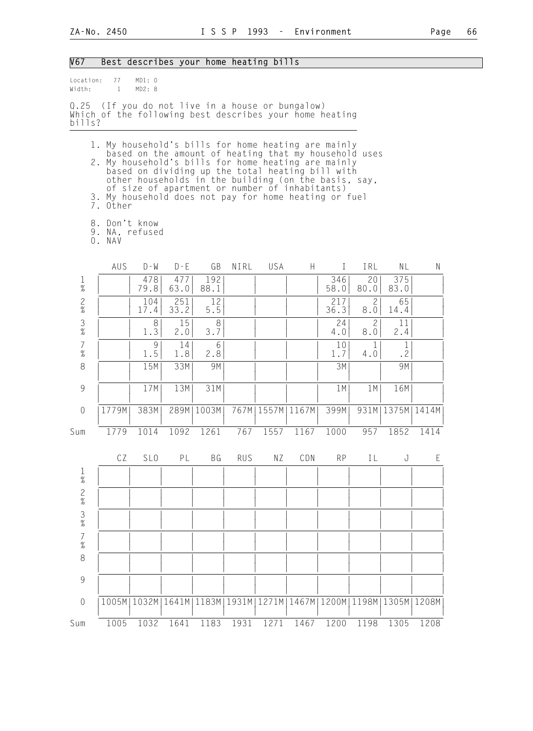| V67                                        |                                                                                                                                                                                 |                  |             | Best describes your home heating bills                                                                                                                                                                              |            |                      |      |             |                       |                      |             |
|--------------------------------------------|---------------------------------------------------------------------------------------------------------------------------------------------------------------------------------|------------------|-------------|---------------------------------------------------------------------------------------------------------------------------------------------------------------------------------------------------------------------|------------|----------------------|------|-------------|-----------------------|----------------------|-------------|
| Location:<br>Width:                        | 77<br>$\overline{1}$                                                                                                                                                            | MD1: 0<br>MD2: 8 |             |                                                                                                                                                                                                                     |            |                      |      |             |                       |                      |             |
| bills?                                     | Q.25 (If you do not live in a house or bungalow)<br>Which of the following best describes your home heating                                                                     |                  |             |                                                                                                                                                                                                                     |            |                      |      |             |                       |                      |             |
|                                            | 1. My household's bills for home heating are mainly<br>2. My household's bills for home heating are mainly<br>3. My household does not pay for home heating or fuel<br>7. Other |                  |             | based on the amount of heating that my household uses<br>based on dividing up the total heating bill with<br>other households in the building (on the basis, say,<br>of size of apartment or number of inhabitants) |            |                      |      |             |                       |                      |             |
|                                            | 8. Don't know<br>9. NA, refused<br>0. NAV                                                                                                                                       |                  |             |                                                                                                                                                                                                                     |            |                      |      |             |                       |                      |             |
|                                            | AUS                                                                                                                                                                             | $D - M$          | $D - E$     | GB                                                                                                                                                                                                                  | NIRL       | USA                  | H.   | $\bf{I}$    | IRL                   | ΝL                   | N           |
| $\frac{1}{\%}$                             |                                                                                                                                                                                 | 478<br>79.8      | 477<br>63.0 | 192<br>88.1                                                                                                                                                                                                         |            |                      |      | 346<br>58.0 | 20<br>80.0            | 375<br>83.0          |             |
| $\frac{2}{\%}$                             |                                                                                                                                                                                 | 104<br>17.4      | 251<br>33.2 | 12<br>5.5                                                                                                                                                                                                           |            |                      |      | 217<br>36.3 | $\overline{c}$<br>8.0 | 65<br>14.4           |             |
| $\frac{3}{8}$                              |                                                                                                                                                                                 | 8<br>1.3         | 15<br>2.0   | 8<br>3.7                                                                                                                                                                                                            |            |                      |      | 24<br>4.0   | $\overline{c}$<br>8.0 | 11<br>2.4            |             |
| $\overline{7}$<br>$\frac{1}{6}$            |                                                                                                                                                                                 | 9<br>1.5         | 14<br>1.8   | 6<br>2.8                                                                                                                                                                                                            |            |                      |      | 10<br>1.7   | 1<br>4.0              | 1<br>.2              |             |
| $\,8\,$                                    |                                                                                                                                                                                 | 15M              | 33M         | 9M                                                                                                                                                                                                                  |            |                      |      | 3M          |                       | 9M                   |             |
| 9                                          |                                                                                                                                                                                 | 17M              | 13M         | 31M                                                                                                                                                                                                                 |            |                      |      | 1 M         | 1 M                   | 16M                  |             |
| $\theta$                                   | 1779M                                                                                                                                                                           | 383M             |             | 289M11003M                                                                                                                                                                                                          |            | 767M   1557M   1167M |      | 399M        |                       | 931M   1375M   1414M |             |
| Sum                                        | 1779                                                                                                                                                                            | 1014             |             | 1092 1261                                                                                                                                                                                                           | 767        | 1557                 | 1167 | 1000        |                       | 957 1852             | 1414        |
|                                            | CZ                                                                                                                                                                              | SL <sub>0</sub>  | PL          | ΒG                                                                                                                                                                                                                  | <b>RUS</b> | ΝZ                   | CDN  | RP          | IL                    | J                    | $\mathsf E$ |
| $\frac{1}{\%}$                             |                                                                                                                                                                                 |                  |             |                                                                                                                                                                                                                     |            |                      |      |             |                       |                      |             |
| $\frac{2}{\%}$                             |                                                                                                                                                                                 |                  |             |                                                                                                                                                                                                                     |            |                      |      |             |                       |                      |             |
| $\frac{3}{8}$                              |                                                                                                                                                                                 |                  |             |                                                                                                                                                                                                                     |            |                      |      |             |                       |                      |             |
| $\begin{array}{c} 7 \\ 9'_{0} \end{array}$ |                                                                                                                                                                                 |                  |             |                                                                                                                                                                                                                     |            |                      |      |             |                       |                      |             |
| $\,8\,$                                    |                                                                                                                                                                                 |                  |             |                                                                                                                                                                                                                     |            |                      |      |             |                       |                      |             |
| 9                                          |                                                                                                                                                                                 |                  |             |                                                                                                                                                                                                                     |            |                      |      |             |                       |                      |             |
| $\mathbf 0$                                |                                                                                                                                                                                 |                  |             | 1005M   1032M   1641M   1183M   1931M   1271M   1467M   1200M   1198M   1305M   1208M                                                                                                                               |            |                      |      |             |                       |                      |             |

 | | | | | | | | | | | | Sum 1005 1032 1641 1183 1931 1271 1467 1200 1198 1305 1208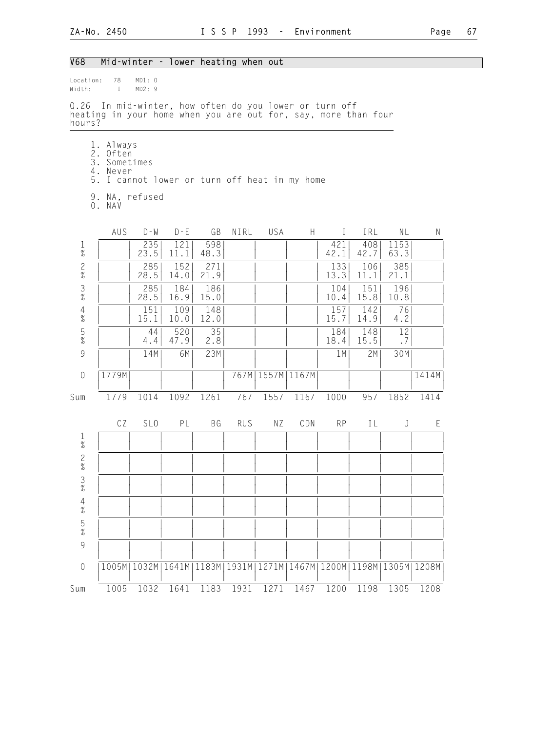| V68                     |                                                                                                                          | Mid-winter - lower heating when out   |                        |                   |            |                      |      |                         |                    |                                               |       |
|-------------------------|--------------------------------------------------------------------------------------------------------------------------|---------------------------------------|------------------------|-------------------|------------|----------------------|------|-------------------------|--------------------|-----------------------------------------------|-------|
| Location:<br>Width:     | 78<br>$\mathbf{1}$                                                                                                       | MD1: 0<br>MD2: 9                      |                        |                   |            |                      |      |                         |                    |                                               |       |
| hours?                  | Q.26 In mid-winter, how often do you lower or turn off<br>heating in your home when you are out for, say, more than four |                                       |                        |                   |            |                      |      |                         |                    |                                               |       |
|                         | 1. Always<br>2. Often<br>3. Sometimes<br>4. Never<br>5. I cannot lower or turn off heat in my home<br>9. NA, refused     |                                       |                        |                   |            |                      |      |                         |                    |                                               |       |
|                         | 0. NAV                                                                                                                   |                                       |                        |                   |            |                      |      |                         |                    |                                               |       |
| $\frac{1}{\%}$          | AUS                                                                                                                      | $D - W$<br>235<br>23.5                | $D - E$<br>121<br>11.1 | GB<br>598<br>48.3 | NIRL       | USA                  | H    | $\bf{I}$<br>421<br>42.1 | IRL<br>408<br>42.7 | NL<br>1153<br>63.3                            | N     |
| $\frac{2}{\%}$          |                                                                                                                          | 285<br>28.5                           | 152<br>14.0            | 271<br>21.9       |            |                      |      | 133<br>13.3             | 106<br>11.1        | 385<br>21.1                                   |       |
| $\frac{3}{8}$           |                                                                                                                          | 285<br>28.5                           | 184<br>16.9            | 186<br>15.0       |            |                      |      | 104<br>10.4             | 151<br>15.8        | 196<br>10.8                                   |       |
| $\frac{4}{\%}$          |                                                                                                                          | 151<br>15.1                           | 109<br>10.0            | 148<br>12.0       |            |                      |      | 157<br>15.7             | 142<br>14.9        | 76<br>4.2                                     |       |
| $\frac{5}{\%}$          |                                                                                                                          | 44<br>4.4                             | 520<br>47.9            | 35<br>2.8         |            |                      |      | 184<br>18.4             | 148<br>15.5        | 12<br>.7                                      |       |
| $\overline{9}$          |                                                                                                                          | 14M                                   | 6M                     | 23M               |            |                      |      | 1M                      | 2M                 | 30M                                           |       |
| $\theta$                | 1779M                                                                                                                    |                                       |                        |                   |            | 767M   1557M   1167M |      |                         |                    |                                               | 1414M |
| Sum                     | 1779                                                                                                                     | 1014                                  | 1092                   | 1261              | 767        | 1557                 | 1167 | 1000                    | 957                | 1852                                          | 1414  |
| $\mathbf{1}$            | CZ                                                                                                                       | SL <sub>0</sub>                       | PL                     | BG                | <b>RUS</b> | ΝZ                   | CDN  | <b>RP</b>               | IL                 | J                                             | E     |
| $\%$                    |                                                                                                                          |                                       |                        |                   |            |                      |      |                         |                    |                                               |       |
| 2<br>%<br>$\frac{3}{8}$ |                                                                                                                          |                                       |                        |                   |            |                      |      |                         |                    |                                               |       |
| $\frac{4}{\%}$          |                                                                                                                          |                                       |                        |                   |            |                      |      |                         |                    |                                               |       |
| $\frac{5}{\%}$          |                                                                                                                          |                                       |                        |                   |            |                      |      |                         |                    |                                               |       |
| $\overline{9}$          |                                                                                                                          |                                       |                        |                   |            |                      |      |                         |                    |                                               |       |
| $\mathbf 0$             |                                                                                                                          | 1005M   1032M   1641M   1183M   1931M |                        |                   |            |                      |      |                         |                    | 1271M   1467M   1200M   1198M   1305M   1208M |       |
| Sum                     | 1005                                                                                                                     | 1032                                  | 1641                   | 1183              | 1931       | 1271                 | 1467 | 1200                    | 1198               | 1305                                          | 1208  |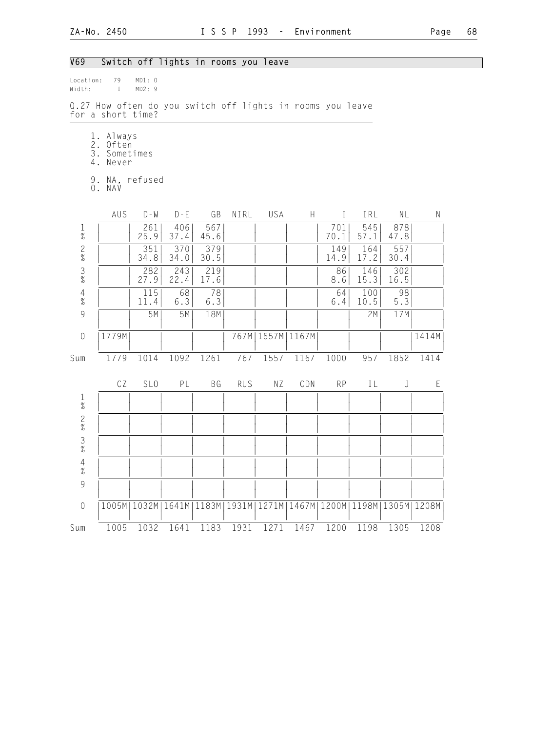Location: 79 MD1: 0<br>Width: 1 MD2: 9

1 MD2: 9

#### V69 Switch off lights in rooms you leave

|                                            | Q.27 How often do you switch off lights in rooms you leave<br>for a short time? |                 |             |                                                                       |            |      |                           |             |             |             |           |
|--------------------------------------------|---------------------------------------------------------------------------------|-----------------|-------------|-----------------------------------------------------------------------|------------|------|---------------------------|-------------|-------------|-------------|-----------|
|                                            | 1. Always<br>2. Often<br>3. Sometimes<br>4. Never                               |                 |             |                                                                       |            |      |                           |             |             |             |           |
|                                            | 9. NA, refused<br>O. NAV                                                        |                 |             |                                                                       |            |      |                           |             |             |             |           |
|                                            | AUS                                                                             | $D - M$         | $D - E$     | GB                                                                    | NIRL       | USA  | $\boldsymbol{\mathsf{H}}$ | $\mathbf I$ | IRL         | NL          | ${\sf N}$ |
| $\frac{1}{\%}$                             |                                                                                 | 261<br>25.9     | 406<br>37.4 | 567<br>45.6                                                           |            |      |                           | 701<br>70.1 | 545<br>57.1 | 878<br>47.8 |           |
| $\frac{2}{\%}$                             |                                                                                 | 351<br>34.8     | 370<br>34.0 | 379<br>30.5                                                           |            |      |                           | 149<br>14.9 | 164<br>17.2 | 557<br>30.4 |           |
| $\frac{3}{8}$                              |                                                                                 | 282<br>27.9     | 243<br>22.4 | 219<br>17.6                                                           |            |      |                           | 86<br>8.6   | 146<br>15.3 | 302<br>16.5 |           |
| $\frac{4}{\%}$                             |                                                                                 | 115<br>11.4     | 68<br>6.3   | 78<br>6.3                                                             |            |      |                           | 64<br>$6.4$ | 100<br>10.5 | 98<br>5.3   |           |
| 9                                          |                                                                                 | 5M              | 5M          | 18M                                                                   |            |      |                           |             | 2M          | 17M         |           |
| $\mathbf 0$                                | 1779M                                                                           |                 |             |                                                                       | 767M       |      | 1557M   1167M             |             |             |             | 1414M     |
| Sum                                        | 1779                                                                            | 1014            | 1092        | 1261                                                                  | 767        | 1557 | 1167                      | 1000        | 957         | 1852        | 1414      |
|                                            | CZ                                                                              | SL <sub>0</sub> | PL          | <b>BG</b>                                                             | <b>RUS</b> | NZ   | CDN                       | <b>RP</b>   | IL          | J           | E         |
| $\frac{1}{\%}$                             |                                                                                 |                 |             |                                                                       |            |      |                           |             |             |             |           |
| $\frac{2}{\%}$                             |                                                                                 |                 |             |                                                                       |            |      |                           |             |             |             |           |
| $\overline{3}$<br>$\%$                     |                                                                                 |                 |             |                                                                       |            |      |                           |             |             |             |           |
| $\begin{array}{c} 4 \\ 2 \\ 0 \end{array}$ |                                                                                 |                 |             |                                                                       |            |      |                           |             |             |             |           |
| 9                                          |                                                                                 |                 |             |                                                                       |            |      |                           |             |             |             |           |
| $\mathbf 0$                                |                                                                                 | 1005M   1032M   |             | 1641M   1183M   1931M   1271M   1467M   1200M   1198M   1305M   1208M |            |      |                           |             |             |             |           |
| Sum                                        | 1005                                                                            | 1032            | 1641        | 1183                                                                  | 1931       | 1271 | 1467                      | 1200        | 1198        | 1305        | 1208      |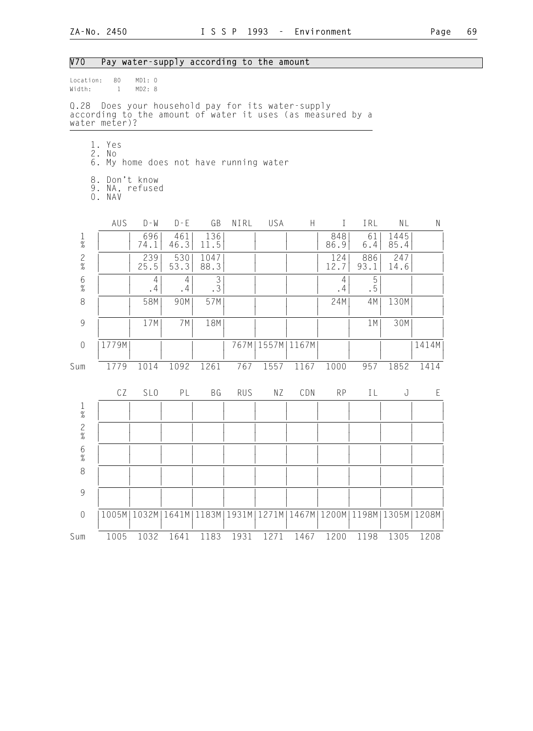## V70 Pay water-supply according to the amount

| Location:<br>Width:  | 80<br>$\sim$ 1                                                                                                                   | MD1: 0<br>MD2: 8 |             |                             |            |                      |             |             |             |                       |       |
|----------------------|----------------------------------------------------------------------------------------------------------------------------------|------------------|-------------|-----------------------------|------------|----------------------|-------------|-------------|-------------|-----------------------|-------|
|                      | Q.28 Does your household pay for its water-supply<br>according to the amount of water it uses (as measured by a<br>water meter)? |                  |             |                             |            |                      |             |             |             |                       |       |
|                      | 1. Yes<br>2. No<br>6. My home does not have running water                                                                        |                  |             |                             |            |                      |             |             |             |                       |       |
|                      | 8. Don't know<br>9. NA, refused<br>O. NAV                                                                                        |                  |             |                             |            |                      |             |             |             |                       |       |
|                      | AUS                                                                                                                              | $D - W$          | $D - E$     | GB                          | NIRL       | USA                  | H           | T           | IRL         | NL                    | N     |
| $\frac{1}{\%}$       |                                                                                                                                  | 696<br>74.1      | 461<br>46.3 | 136<br>11.5                 |            |                      |             | 848<br>86.9 | 61<br>6.4   | 1445<br>85.4          |       |
| $\mathbf{2}$<br>$\%$ |                                                                                                                                  | 239<br>25.5      | 530<br>53.3 | 1047<br>88.3                |            |                      |             | 124<br>12.7 | 886<br>93.1 | 247<br>14.6           |       |
| $6\atop \%$          |                                                                                                                                  | 4 <br>.4         | 4<br>.4     | $\mathfrak{Z}$<br>$\cdot$ 3 |            |                      |             | 4<br>.4     | 5<br>.5     |                       |       |
| $\,8\,$              |                                                                                                                                  | 58M              | 90M         | 57M                         |            |                      |             | 24M         | 4M          | 130M                  |       |
| $\mathcal{G}$        |                                                                                                                                  | 17M              | 7 M         | 18M                         |            |                      |             |             | 1 M         | 30M                   |       |
| $\overline{0}$       | 1779M                                                                                                                            |                  |             |                             |            | 767M   1557M   1167M |             |             |             |                       | 1414M |
| Sum                  | 1779                                                                                                                             | 1014             | 1092        | 1261                        | 767        | 1557                 | 1167        | 1000        | 957         | 1852                  | 1414  |
|                      | CZ                                                                                                                               | SL <sub>0</sub>  | PL          | BG                          | <b>RUS</b> | ΝZ                   | CDN         | <b>RP</b>   | IL          | J                     | E     |
| $\frac{1}{\%}$       |                                                                                                                                  |                  |             |                             |            |                      |             |             |             |                       |       |
| $\frac{2}{\%}$       |                                                                                                                                  |                  |             |                             |            |                      |             |             |             |                       |       |
| $6\,$<br>$\%$        |                                                                                                                                  |                  |             |                             |            |                      |             |             |             |                       |       |
| 8                    |                                                                                                                                  |                  |             |                             |            |                      |             |             |             |                       |       |
| 9                    |                                                                                                                                  |                  |             |                             |            |                      |             |             |             |                       |       |
| $\mathbf 0$          |                                                                                                                                  | 1005M   1032M    |             | 1641M 1183M                 | 1931M      | 1271M                | 1467M 1200M |             |             | 1198M   1305M   1208M |       |
| Sum                  | 1005                                                                                                                             | 1032             | 1641        | 1183                        | 1931       | 1271                 | 1467        | 1200        | 1198        | 1305                  | 1208  |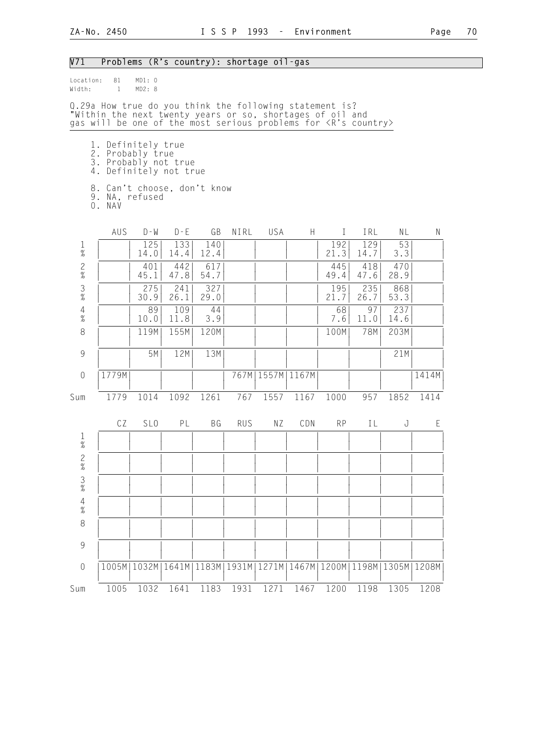V71 Problems (R's country): shortage oil-gas

### Location: 81 MD1: 0<br>Width: 1 MD2: 8  $Width: 1$ Q.29a How true do you think the following statement is? "Within the next twenty years or so, shortages of oil and gas will be one of the most serious problems for <R's country> 1. Definitely true 2. Probably true 3. Probably not true 4. Definitely not true 8. Can't choose, don't know 9. NA, refused 0. NAV AUS D-W D-E GB NIRL USA H I IRL NL N 1 | | 125| 133| 140| | | | 192| 129| 53| | % | | 14.0| 14.4| 12.4| | | | 21.3| 14.7| 3.3| | 2 | | 401| 442| 617| | | | 445| 418| 470| |  $\%$  | | 45.1 | 47.8 | 54.7 | | | | | | | | 49.4 | 47.6 | 28.9 | | | 3 | | 275| 241| 327| | | | 195| 235| 868| | % | | 30.9| 26.1| 29.0| | | | 21.7| 26.7| 53.3| | 4 | | 89| 109| 44| | | | 68| 97| 237| | % | | 10.0| 11.8| 3.9| | | | 7.6| 11.0| 14.6| | 8 | | 119M| 155M| 120M| | | | | | | 100M| 78M| 203M| | | | | | | | | | | | | | | 9 | | 5M| 12M| 13M| | | | | | | | | 21M| | | | | | | | | | | | | | 0 |1779M| | | | | 767M|1557M|1167M| | | | |1414M | | | | | | | | | | | | Sum 1779 1014 1092 1261 767 1557 1167 1000 957 1852 1414 CZ SLO PL BG RUS NZ CDN RP IL J E 1 | | | | | | | | | | | |  $\frac{1}{2}$   $\frac{1}{2}$   $\frac{1}{2}$   $\frac{1}{2}$   $\frac{1}{2}$   $\frac{1}{2}$   $\frac{1}{2}$   $\frac{1}{2}$   $\frac{1}{2}$   $\frac{1}{2}$   $\frac{1}{2}$   $\frac{1}{2}$   $\frac{1}{2}$   $\frac{1}{2}$   $\frac{1}{2}$   $\frac{1}{2}$   $\frac{1}{2}$   $\frac{1}{2}$   $\frac{1}{2}$   $\frac{1}{2}$   $\frac{1}{2}$   $\frac{1}{2}$  2 | | | | | | | | | | | | | | | |  $\frac{1}{2}$   $\frac{1}{2}$   $\frac{1}{2}$   $\frac{1}{2}$   $\frac{1}{2}$   $\frac{1}{2}$   $\frac{1}{2}$   $\frac{1}{2}$   $\frac{1}{2}$   $\frac{1}{2}$   $\frac{1}{2}$   $\frac{1}{2}$   $\frac{1}{2}$   $\frac{1}{2}$   $\frac{1}{2}$   $\frac{1}{2}$   $\frac{1}{2}$   $\frac{1}{2}$   $\frac{1}{2}$   $\frac{1}{2}$   $\frac{1}{2}$   $\frac{1}{2}$  3 | | | | | | | | | | | |  $\frac{1}{2}$   $\frac{1}{2}$   $\frac{1}{2}$   $\frac{1}{2}$   $\frac{1}{2}$   $\frac{1}{2}$   $\frac{1}{2}$   $\frac{1}{2}$   $\frac{1}{2}$   $\frac{1}{2}$   $\frac{1}{2}$   $\frac{1}{2}$   $\frac{1}{2}$   $\frac{1}{2}$   $\frac{1}{2}$   $\frac{1}{2}$   $\frac{1}{2}$   $\frac{1}{2}$   $\frac{1}{2}$   $\frac{1}{2}$   $\frac{1}{2}$   $\frac{1}{2}$  4 | | | | | | | | | | | |  $\frac{1}{2}$   $\frac{1}{2}$   $\frac{1}{2}$   $\frac{1}{2}$   $\frac{1}{2}$   $\frac{1}{2}$   $\frac{1}{2}$   $\frac{1}{2}$   $\frac{1}{2}$   $\frac{1}{2}$   $\frac{1}{2}$   $\frac{1}{2}$   $\frac{1}{2}$   $\frac{1}{2}$   $\frac{1}{2}$   $\frac{1}{2}$   $\frac{1}{2}$   $\frac{1}{2}$   $\frac{1}{2}$   $\frac{1}{2}$   $\frac{1}{2}$   $\frac{1}{2}$  8 | | | | | | | | | | | | | | | | | | | | | | | | | | 9 | | | | | | | | | | | | | | | | | | | | | | | | 0 |1005M|1032M|1641M|1183M|1931M|1271M|1467M|1200M|1198M|1305M|1208M| | | | | | | | | | | | | Sum 1005 1032 1641 1183 1931 1271 1467 1200 1198 1305 1208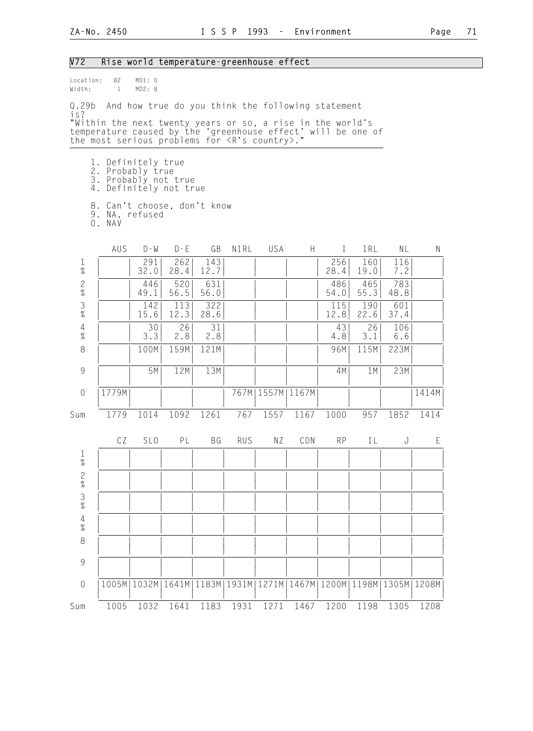| Δ |  |
|---|--|
|   |  |

| V72                    |                    |                                        | Rise world temperature-greenhouse effect                                                                                   |             |            |                      |      |              |                                                               |             |              |
|------------------------|--------------------|----------------------------------------|----------------------------------------------------------------------------------------------------------------------------|-------------|------------|----------------------|------|--------------|---------------------------------------------------------------|-------------|--------------|
| Location:<br>Width:    | 82<br>$\mathbf{1}$ | MD1: 0<br>MD2: 8                       |                                                                                                                            |             |            |                      |      |              |                                                               |             |              |
| Q.29b<br>is?           |                    |                                        | And how true do you think the following statement                                                                          |             |            |                      |      |              |                                                               |             |              |
|                        |                    |                                        | "Within the next twenty years or so, a rise in the world's<br>temperature caused by the 'greenhouse effect' will be one of |             |            |                      |      |              |                                                               |             |              |
|                        |                    |                                        | the most serious problems for <r's country="">."</r's>                                                                     |             |            |                      |      |              |                                                               |             |              |
|                        |                    |                                        |                                                                                                                            |             |            |                      |      |              |                                                               |             |              |
|                        |                    | 1. Definitely true<br>2. Probably true |                                                                                                                            |             |            |                      |      |              |                                                               |             |              |
|                        |                    |                                        | 3. Probably not true<br>4. Definitely not true                                                                             |             |            |                      |      |              |                                                               |             |              |
|                        | O. NAV             | 9. NA, refused                         | 8. Can't choose, don't know                                                                                                |             |            |                      |      |              |                                                               |             |              |
|                        | AUS                | $D - W$                                | $D - E$                                                                                                                    | GB          | NIRL       | USA                  | H    | $\mathbf{I}$ | IRL                                                           | NL          | $\mathsf{N}$ |
| $\frac{1}{\%}$         |                    | 291<br>32.0                            | 262<br>28.4                                                                                                                | 143<br>12.7 |            |                      |      | 256<br>28.4  | 160<br>19.0                                                   | 116<br>7.2  |              |
| $\frac{2}{\%}$         |                    | 446<br>49.1                            | 520<br>56.5                                                                                                                | 631<br>56.0 |            |                      |      | 486<br>54.0  | 465<br>55.3                                                   | 783<br>48.8 |              |
| $\frac{3}{\%}$         |                    | 142<br>15.6                            | 113<br>12.3                                                                                                                | 322<br>28.6 |            |                      |      | 115<br>12.8  | 190<br>22.6                                                   | 601<br>37.4 |              |
| $\overline{4}$<br>$\%$ |                    | 30<br>3.3                              | 26<br>2.8                                                                                                                  | 31<br>2.8   |            |                      |      | 43<br>4.8    | 26<br>3.1                                                     | 106<br>6.6  |              |
| $\,8\,$                |                    | 100M                                   | 159M                                                                                                                       | 121M        |            |                      |      | 96M          | 115M                                                          | 223M        |              |
| 9                      |                    | 5M                                     | 12M                                                                                                                        | 13M         |            |                      |      | 4M           | 1 M                                                           | 23M         |              |
| $\theta$               | 1779M              |                                        |                                                                                                                            |             |            | 767M   1557M   1167M |      |              |                                                               |             | 1414M        |
| Sum                    | 1779               | 1014                                   | 1092                                                                                                                       | 1261        | 767        | 1557                 | 1167 | 1000         | 957                                                           | 1852        | 1414         |
|                        | CZ                 | SL <sub>0</sub>                        | PL                                                                                                                         | BG          | <b>RUS</b> | ΝZ                   | CDN  | <b>RP</b>    | IL                                                            | J           | E            |
| 1<br>$\%$              |                    |                                        |                                                                                                                            |             |            |                      |      |              |                                                               |             |              |
| 2<br>%                 |                    |                                        |                                                                                                                            |             |            |                      |      |              |                                                               |             |              |
| $\frac{3}{8}$          |                    |                                        |                                                                                                                            |             |            |                      |      |              |                                                               |             |              |
| $\overline{4}$<br>$\%$ |                    |                                        |                                                                                                                            |             |            |                      |      |              |                                                               |             |              |
| $\,8\,$                |                    |                                        |                                                                                                                            |             |            |                      |      |              |                                                               |             |              |
| $\mathcal{G}$          |                    |                                        |                                                                                                                            |             |            |                      |      |              |                                                               |             |              |
| $\theta$               | 1005M              |                                        | 1032M   1641M                                                                                                              |             |            |                      |      |              | 1183M   1931M   1271M   1467M   1200M   1198M   1305M   1208M |             |              |
| Sum                    | 1005               | 1032                                   | 1641                                                                                                                       | 1183        | 1931       | 1271                 | 1467 | 1200         | 1198                                                          | 1305        | 1208         |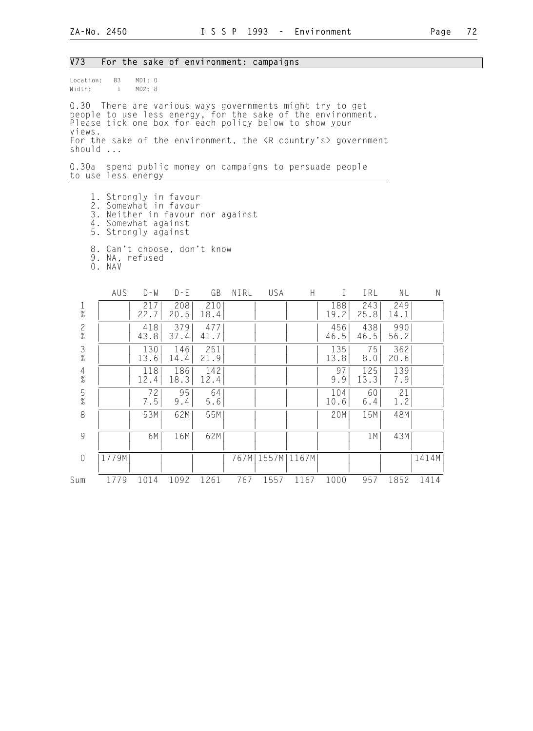#### V73 For the sake of environment: campaigns

Location: 83 MD1: 0<br>Width: 1 MD2: 8  $Width: 1$ 

Q.30 There are various ways governments might try to get people to use less energy, for the sake of the environment. Please tick one box for each policy below to show your views. For the sake of the environment, the  $\langle R \rangle$  country's> government should ...

Q.30a spend public money on campaigns to persuade people to use less energy

- 1. Strongly in favour
- 2. Somewhat in favour
- 3. Neither in favour nor against
- 4. Somewhat against 5. Strongly against
	-
	- 8. Can't choose, don't know
- 9. NA, refused
- 0. NAV

|                | AUS   | D - W       | $D - E$     | GB          | NIRL | USA   | H     |             | IRL         | NL          | Ν     |
|----------------|-------|-------------|-------------|-------------|------|-------|-------|-------------|-------------|-------------|-------|
| $\frac{1}{\%}$ |       | 217<br>22.7 | 208<br>20.5 | 210<br>18.4 |      |       |       | 188<br>19.2 | 243<br>25.8 | 249<br>14.1 |       |
| $\frac{2}{\%}$ |       | 418<br>43.8 | 379<br>37.4 | 477<br>41.7 |      |       |       | 456<br>46.5 | 438<br>46.5 | 990<br>56.2 |       |
| $\frac{3}{8}$  |       | 130<br>13.6 | 146<br>14.4 | 251<br>21.9 |      |       |       | 135<br>13.8 | 75<br>8.0   | 362<br>20.6 |       |
| $\frac{4}{\%}$ |       | 118<br>12.4 | 186<br>18.3 | 142<br>12.4 |      |       |       | 97<br>9.9   | 125<br>13.3 | 139<br>7.9  |       |
| $\frac{5}{\%}$ |       | 72<br>7.5   | 95<br>9.4   | 64<br>5.6   |      |       |       | 104<br>10.6 | 60<br>6.4   | 21<br>1.2   |       |
| 8              |       | 53M         | 62M         | 55M         |      |       |       | 20M         | 15M         | 48M         |       |
| 9              |       | 6M          | 16M         | 62M         |      |       |       |             | 1M          | 43M         |       |
| $\overline{0}$ | 1779M |             |             |             | 767M | 1557M | 1167M |             |             |             | 1414M |
| Sum            | 1779  | 1014        | 1092        | 1261        | 767  | 1557  | 1167  | 1000        | 957         | 1852        | 1414  |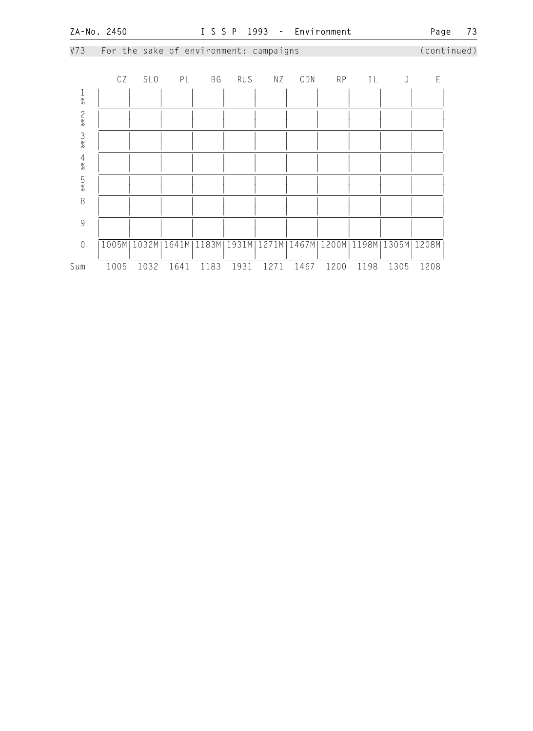V73 For the sake of environment: campaigns (continued) CZ SLO PL BG RUS NZ CDN RP IL J E 1 | | | | | | | | | | | |  $\frac{1}{2}$   $\frac{1}{2}$   $\frac{1}{2}$   $\frac{1}{2}$   $\frac{1}{2}$   $\frac{1}{2}$   $\frac{1}{2}$   $\frac{1}{2}$   $\frac{1}{2}$   $\frac{1}{2}$   $\frac{1}{2}$   $\frac{1}{2}$   $\frac{1}{2}$   $\frac{1}{2}$   $\frac{1}{2}$   $\frac{1}{2}$   $\frac{1}{2}$   $\frac{1}{2}$   $\frac{1}{2}$   $\frac{1}{2}$   $\frac{1}{2}$   $\frac{1}{2}$  2 | | | | | | | | | | | | | | |  $\frac{1}{2}$   $\frac{1}{2}$   $\frac{1}{2}$   $\frac{1}{2}$   $\frac{1}{2}$   $\frac{1}{2}$   $\frac{1}{2}$   $\frac{1}{2}$   $\frac{1}{2}$   $\frac{1}{2}$   $\frac{1}{2}$   $\frac{1}{2}$   $\frac{1}{2}$   $\frac{1}{2}$   $\frac{1}{2}$   $\frac{1}{2}$   $\frac{1}{2}$   $\frac{1}{2}$   $\frac{1}{2}$   $\frac{1}{2}$   $\frac{1}{2}$   $\frac{1}{2}$  3 | | | | | | | | | | | |  $\frac{1}{2}$   $\frac{1}{2}$   $\frac{1}{2}$   $\frac{1}{2}$   $\frac{1}{2}$   $\frac{1}{2}$   $\frac{1}{2}$   $\frac{1}{2}$   $\frac{1}{2}$   $\frac{1}{2}$   $\frac{1}{2}$   $\frac{1}{2}$   $\frac{1}{2}$   $\frac{1}{2}$   $\frac{1}{2}$   $\frac{1}{2}$   $\frac{1}{2}$   $\frac{1}{2}$   $\frac{1}{2}$   $\frac{1}{2}$   $\frac{1}{2}$   $\frac{1}{2}$  4 | | | | | | | | | | | |  $\frac{1}{2}$   $\frac{1}{2}$   $\frac{1}{2}$   $\frac{1}{2}$   $\frac{1}{2}$   $\frac{1}{2}$   $\frac{1}{2}$   $\frac{1}{2}$   $\frac{1}{2}$   $\frac{1}{2}$   $\frac{1}{2}$   $\frac{1}{2}$   $\frac{1}{2}$   $\frac{1}{2}$   $\frac{1}{2}$   $\frac{1}{2}$   $\frac{1}{2}$   $\frac{1}{2}$   $\frac{1}{2}$   $\frac{1}{2}$   $\frac{1}{2}$   $\frac{1}{2}$  5 | | | | | | | | | | | |  $\frac{1}{2}$   $\frac{1}{2}$   $\frac{1}{2}$   $\frac{1}{2}$   $\frac{1}{2}$   $\frac{1}{2}$   $\frac{1}{2}$   $\frac{1}{2}$   $\frac{1}{2}$   $\frac{1}{2}$   $\frac{1}{2}$   $\frac{1}{2}$   $\frac{1}{2}$   $\frac{1}{2}$   $\frac{1}{2}$   $\frac{1}{2}$   $\frac{1}{2}$   $\frac{1}{2}$   $\frac{1}{2}$   $\frac{1}{2}$   $\frac{1}{2}$   $\frac{1}{2}$  8 | | | | | | | | | | | | | | | | | | | | | | | | | | 9 | | | | | | | | | | | | | | | | | | | | | | | | 0 |1005M|1032M|1641M|1183M|1931M|1271M|1467M|1200M|1198M|1305M|1208M| | | | | | | | | | | | |

Sum 1005 1032 1641 1183 1931 1271 1467 1200 1198 1305 1208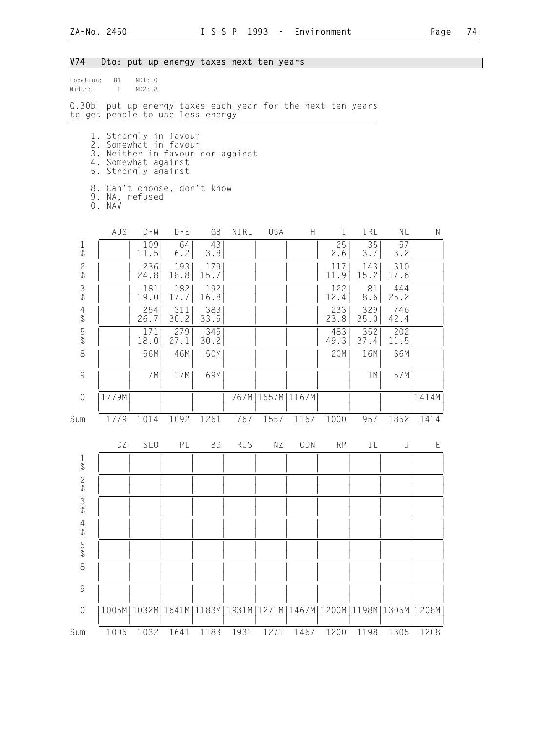## V74 Dto: put up energy taxes next ten years

| Location:<br>Width:                                       | 84<br>$\mathbf{1}$ | MD1: 0<br>MD2: 8                                                                                                                 |                       |             |            |                      |      |                                       |             |               |       |
|-----------------------------------------------------------|--------------------|----------------------------------------------------------------------------------------------------------------------------------|-----------------------|-------------|------------|----------------------|------|---------------------------------------|-------------|---------------|-------|
| Q.30b                                                     |                    | put up energy taxes each year for the next ten years<br>to get people to use less energy                                         |                       |             |            |                      |      |                                       |             |               |       |
|                                                           |                    | 1. Strongly in favour<br>2. Somewhat in favour<br>3. Neither in favour nor against<br>4. Somewhat against<br>5. Strongly against |                       |             |            |                      |      |                                       |             |               |       |
|                                                           | O. NAV             | 8. Can't choose, don't know<br>9. NA, refused                                                                                    |                       |             |            |                      |      |                                       |             |               |       |
|                                                           | AUS                | $D - W$                                                                                                                          | $D - E$               | GB          | NIRL       | USA                  | H    | $\mathbf{I}$                          | IRL         | NL            | N     |
| $\frac{1}{\%}$                                            |                    | 109<br>11.5                                                                                                                      | 64<br>6.2             | 43<br>3.8   |            |                      |      | 25<br>2.6                             | 35<br>3.7   | 57<br>3.2     |       |
| $\frac{2}{\%}$                                            |                    | 236<br>24.8                                                                                                                      | 193<br>18.8           | 179<br>15.7 |            |                      |      | 117<br>11.9                           | 143<br>15.2 | 310<br>17.6   |       |
| $\frac{3}{8}$                                             |                    | 181<br>19.0                                                                                                                      | 182<br>17.7           | 192<br>16.8 |            |                      |      | 122<br>12.4                           | 81<br>8.6   | 444<br>25.2   |       |
| $\overline{4}$<br>$\%$                                    |                    | 254<br>26.7                                                                                                                      | 311<br>30.2           | 383<br>33.5 |            |                      |      | 233<br>23.8                           | 329<br>35.0 | 746<br>42.4   |       |
| $\frac{5}{\%}$                                            |                    | 171<br>18.0                                                                                                                      | 279<br>27.1           | 345<br>30.2 |            |                      |      | 483<br>49.3                           | 352<br>37.4 | 202<br>11.5   |       |
| 8                                                         |                    | 56M                                                                                                                              | 46M                   | 50M         |            |                      |      | 20M                                   | 16M         | 36M           |       |
| $\mathcal{G}$                                             |                    | 7M                                                                                                                               | 17M                   | 69M         |            |                      |      |                                       | 1M          | 57M           |       |
| $\theta$                                                  | 1779M              |                                                                                                                                  |                       |             |            | 767M   1557M   1167M |      |                                       |             |               | 1414M |
| Sum                                                       | 1779               | 1014                                                                                                                             | 1092                  | 1261        | 767        | 1557                 | 1167 | 1000                                  | 957         | 1852          | 1414  |
|                                                           | CZ                 | SL <sub>0</sub>                                                                                                                  | PL                    | ВG          | <b>RUS</b> | ΝZ                   | CDN  | <b>RP</b>                             | IL          | J             | E     |
| $\mathbf{1}$<br>$\%$                                      |                    |                                                                                                                                  |                       |             |            |                      |      |                                       |             |               |       |
| $\frac{2}{\%}$                                            |                    |                                                                                                                                  |                       |             |            |                      |      |                                       |             |               |       |
| $\frac{3}{8}$                                             |                    |                                                                                                                                  |                       |             |            |                      |      |                                       |             |               |       |
| $\frac{4}{\%}$                                            |                    |                                                                                                                                  |                       |             |            |                      |      |                                       |             |               |       |
| $\frac{5}{\%}$                                            |                    |                                                                                                                                  |                       |             |            |                      |      |                                       |             |               |       |
| 8                                                         |                    |                                                                                                                                  |                       |             |            |                      |      |                                       |             |               |       |
| $\mathcal{G}% _{M_{1},M_{2}}^{\alpha,\beta}(\mathcal{A})$ |                    |                                                                                                                                  |                       |             |            |                      |      |                                       |             |               |       |
| $\theta$                                                  | 1005M              |                                                                                                                                  | 1032M   1641M   1183M |             |            |                      |      | 1931M   1271M   1467M   1200M   1198M |             | 1305M   1208M |       |
| Sum                                                       | 1005               | 1032                                                                                                                             | 1641                  | 1183        | 1931       | 1271                 | 1467 | 1200                                  | 1198        | 1305          | 1208  |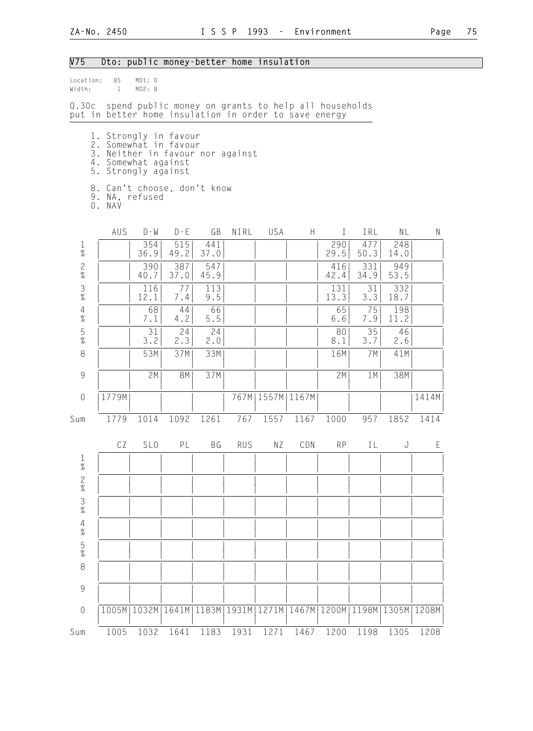# V75 Dto: public money-better home insulation

| Location:<br>Width:  | 85<br>$\mathbf{1}$                                                                                                               | MD1: 0<br>MD2: 8      |             |             |               |                                     |      |             |             |             |       |
|----------------------|----------------------------------------------------------------------------------------------------------------------------------|-----------------------|-------------|-------------|---------------|-------------------------------------|------|-------------|-------------|-------------|-------|
|                      | Q.30c spend public money on grants to help all households<br>put in better home insulation in order to save energy               |                       |             |             |               |                                     |      |             |             |             |       |
|                      | 1. Strongly in favour<br>2. Somewhat in favour<br>3. Neither in favour nor against<br>4. Somewhat against<br>5. Strongly against |                       |             |             |               |                                     |      |             |             |             |       |
|                      | 8. Can't choose, don't know<br>9. NA, refused<br>O. NAV                                                                          |                       |             |             |               |                                     |      |             |             |             |       |
|                      | AUS                                                                                                                              | $D - M$               | $D - E$     | GB          | NIRL          | USA                                 | H    | $\bf{I}$    | IRL         | NL          | N     |
| $\mathbf{1}$<br>$\%$ |                                                                                                                                  | 354<br>36.9           | 515<br>49.2 | 441<br>37.0 |               |                                     |      | 290<br>29.5 | 477<br>50.3 | 248<br>14.0 |       |
| $\frac{2}{\%}$       |                                                                                                                                  | 390<br>40.7           | 387<br>37.0 | 547<br>45.9 |               |                                     |      | 416<br>42.4 | 331<br>34.9 | 949<br>53.5 |       |
| $\frac{3}{8}$        |                                                                                                                                  | 116<br>12.1           | 77<br>7.4   | 113<br>9.5  |               |                                     |      | 131<br>13.3 | 31<br>3.3   | 332<br>18.7 |       |
| $\frac{4}{\%}$       |                                                                                                                                  | 68<br>7.1             | 44<br>4.2   | 66<br>$5.5$ |               |                                     |      | 65<br>6.6   | 75<br>7.9   | 198<br>11.2 |       |
| $\frac{5}{\%}$       |                                                                                                                                  | 31<br>3.2             | 24<br>2.3   | 24<br>2.0   |               |                                     |      | 80<br>8.1   | 35<br>3.7   | 46<br>2.6   |       |
| 8                    |                                                                                                                                  | 53M                   | 37M         | 33M         |               |                                     |      | 16M         | 7M          | 41M         |       |
| $\mathcal{G}$        |                                                                                                                                  | 2M                    | 8M          | 37M         |               |                                     |      | 2M          | 1 M         | 38M         |       |
| $\mathbf 0$          | 1779M                                                                                                                            |                       |             |             | 767M          | 1557M   1167M                       |      |             |             |             | 1414M |
| Sum                  | 1779                                                                                                                             | 1014                  | 1092        | 1261        | 767           | 1557                                | 1167 | 1000        | 957         | 1852        | 1414  |
|                      | CZ                                                                                                                               | SL <sub>0</sub>       | PL          | BG          | <b>RUS</b>    | NZ                                  | CDN  | <b>RP</b>   | IL          | J           | E     |
| $\mathbf{1}$<br>$\%$ |                                                                                                                                  |                       |             |             |               |                                     |      |             |             |             |       |
| $\frac{2}{\%}$       |                                                                                                                                  |                       |             |             |               |                                     |      |             |             |             |       |
| $\frac{3}{%}$        |                                                                                                                                  |                       |             |             |               |                                     |      |             |             |             |       |
| $4\atop 26$          |                                                                                                                                  |                       |             |             |               |                                     |      |             |             |             |       |
| $\frac{5}{\%}$       |                                                                                                                                  |                       |             |             |               |                                     |      |             |             |             |       |
| 8                    |                                                                                                                                  |                       |             |             |               |                                     |      |             |             |             |       |
| 9                    |                                                                                                                                  |                       |             |             |               |                                     |      |             |             |             |       |
| $\sqrt{a}$           |                                                                                                                                  | 1005M   1032M   1641M |             |             | 1183M   1931M | 1271M 1467M 1200M 1198M 1305M 1208M |      |             |             |             |       |
| Sum                  | 1005                                                                                                                             | 1032                  | 1641        | 1183        | 1931          | 1271                                | 1467 | 1200        | 1198        | 1305        | 1208  |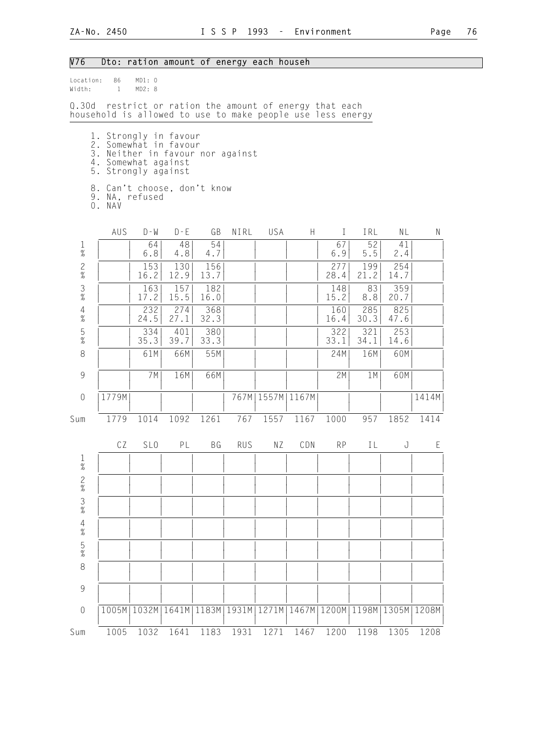## V76 Dto: ration amount of energy each househ

| Location:<br>Width:                                       | 86<br>$\mathbf{1}$                                                                                                               | MD1: 0<br>MD2: 8                                  |             |               |            |                      |                                               |             |             |             |       |
|-----------------------------------------------------------|----------------------------------------------------------------------------------------------------------------------------------|---------------------------------------------------|-------------|---------------|------------|----------------------|-----------------------------------------------|-------------|-------------|-------------|-------|
| Q.30d                                                     | household is allowed to use to make people use less energy                                                                       | restrict or ration the amount of energy that each |             |               |            |                      |                                               |             |             |             |       |
|                                                           | 1. Strongly in favour<br>2. Somewhat in favour<br>3. Neither in favour nor against<br>4. Somewhat against<br>5. Strongly against |                                                   |             |               |            |                      |                                               |             |             |             |       |
|                                                           | 8. Can't choose, don't know<br>9. NA, refused<br>0. NAV                                                                          |                                                   |             |               |            |                      |                                               |             |             |             |       |
|                                                           | AUS                                                                                                                              | $D - W$                                           | $D - E$     | GB            | NIRL       | USA                  | H                                             | $\bf{I}$    | IRL         | NL          | N     |
| $\frac{1}{\%}$                                            |                                                                                                                                  | 64<br>6.8                                         | 48<br>4.8   | 54<br>4.7     |            |                      |                                               | 67<br>6.9   | 52<br>5.5   | 41<br>2.4   |       |
| $\frac{2}{\%}$                                            |                                                                                                                                  | 153<br>16.2                                       | 130<br>12.9 | 156<br>13.7   |            |                      |                                               | 277<br>28.4 | 199<br>21.2 | 254<br>14.7 |       |
| $\frac{3}{8}$                                             |                                                                                                                                  | 163<br>17.2                                       | 157<br>15.5 | 182<br>16.0   |            |                      |                                               | 148<br>15.2 | 83<br>8.8   | 359<br>20.7 |       |
| $\overline{4}$<br>$\%$                                    |                                                                                                                                  | 232<br>24.5                                       | 274<br>27.1 | 368<br>32.3   |            |                      |                                               | 160<br>16.4 | 285<br>30.3 | 825<br>47.6 |       |
| $\frac{5}{\%}$                                            |                                                                                                                                  | 334<br>35.3                                       | 401<br>39.7 | 380<br>33.3   |            |                      |                                               | 322<br>33.1 | 321<br>34.1 | 253<br>14.6 |       |
| $\,8\,$                                                   |                                                                                                                                  | 61M                                               | 66M         | 55M           |            |                      |                                               | 24M         | 16M         | 60M         |       |
| $\mathcal{G}% _{M_{1},M_{2}}^{\alpha,\beta}(\mathcal{A})$ |                                                                                                                                  | 7M                                                | 16M         | 66M           |            |                      |                                               | 2M          | 1M          | 60M         |       |
| $\mathbf 0$                                               | 1779M                                                                                                                            |                                                   |             |               |            | 767M   1557M   1167M |                                               |             |             |             | 1414M |
| Sum                                                       | 1779                                                                                                                             | 1014                                              | 1092        | 1261          | 767        | 1557                 | 1167                                          | 1000        | 957         | 1852        | 1414  |
|                                                           | CZ                                                                                                                               | SL <sub>0</sub>                                   | PL          | BG            | <b>RUS</b> | NZ                   | CDN                                           | <b>RP</b>   | IL          | J           | E     |
| $\mathbf{1}$<br>$\%$                                      |                                                                                                                                  |                                                   |             |               |            |                      |                                               |             |             |             |       |
| $\frac{2}{\%}$                                            |                                                                                                                                  |                                                   |             |               |            |                      |                                               |             |             |             |       |
| $\frac{3}{8}$                                             |                                                                                                                                  |                                                   |             |               |            |                      |                                               |             |             |             |       |
| $\frac{4}{\%}$                                            |                                                                                                                                  |                                                   |             |               |            |                      |                                               |             |             |             |       |
| $\frac{5}{\%}$                                            |                                                                                                                                  |                                                   |             |               |            |                      |                                               |             |             |             |       |
| 8                                                         |                                                                                                                                  |                                                   |             |               |            |                      |                                               |             |             |             |       |
| 9                                                         |                                                                                                                                  |                                                   |             |               |            |                      |                                               |             |             |             |       |
| $\mathbf 0$                                               |                                                                                                                                  | 1005M   1032M                                     |             | 1641M   1183M | 1931M      |                      | 1271M   1467M   1200M   1198M   1305M   1208M |             |             |             |       |
| Sum                                                       | 1005                                                                                                                             | 1032                                              | 1641        | 1183          | 1931       | 1271                 | 1467                                          | 1200        | 1198        | 1305        | 1208  |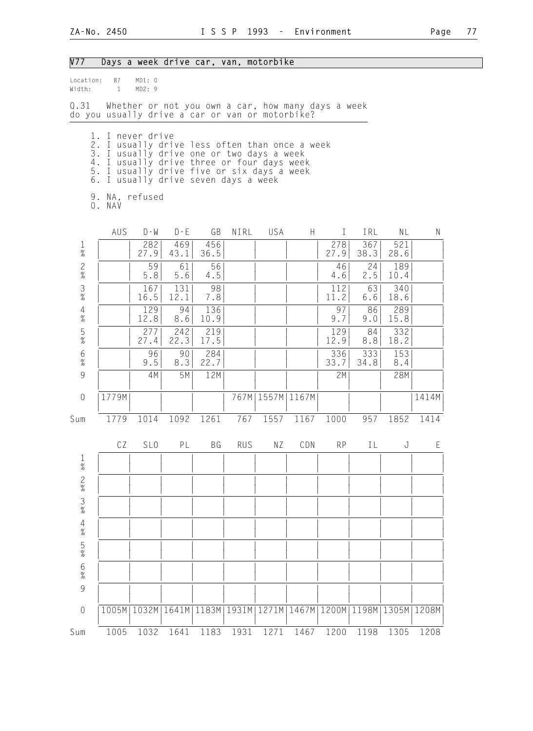| V77                                                       |                                                                                                                                                                                     |                 | Days a week drive car, van, motorbike                                              |             |            |                      |      |                               |             |             |       |
|-----------------------------------------------------------|-------------------------------------------------------------------------------------------------------------------------------------------------------------------------------------|-----------------|------------------------------------------------------------------------------------|-------------|------------|----------------------|------|-------------------------------|-------------|-------------|-------|
| Location:<br>Width:                                       | 87<br>$\mathbf{1}$                                                                                                                                                                  | MD1: 0<br>MD2:9 |                                                                                    |             |            |                      |      |                               |             |             |       |
| 0.31                                                      | do you usually drive a car or van or motorbike?                                                                                                                                     |                 | Whether or not you own a car, how many days a week                                 |             |            |                      |      |                               |             |             |       |
| 4.<br>5.                                                  | 1. I never drive<br>2. I usually drive less often than once a week<br>3. I usually drive one or two days a week<br>6. I usually drive seven days a week<br>9. NA, refused<br>0. NAV |                 | I usually drive three or four days week<br>I usually drive five or six days a week |             |            |                      |      |                               |             |             |       |
|                                                           | AUS                                                                                                                                                                                 | $D - M$         | $D - E$                                                                            | GB          | NIRL       | USA                  | H.   | $\bf{I}$                      | IRL         | NL          | N     |
| $\frac{1}{\%}$                                            |                                                                                                                                                                                     | 282<br>27.9     | 469<br>43.1                                                                        | 456<br>36.5 |            |                      |      | 278<br>27.9                   | 367<br>38.3 | 521<br>28.6 |       |
| $\frac{2}{\%}$                                            |                                                                                                                                                                                     | 59<br>5.8       | 61<br>5.6                                                                          | 56<br>4.5   |            |                      |      | 46<br>4.6                     | 24<br>2.5   | 189<br>10.4 |       |
| $\frac{3}{\%}$                                            |                                                                                                                                                                                     | 167<br>16.5     | 131<br>12.1                                                                        | 98<br>7.8   |            |                      |      | 112<br>11.2                   | 63<br>6.6   | 340<br>18.6 |       |
| $\overline{4}$<br>$\%$                                    |                                                                                                                                                                                     | 129<br>12.8     | 94<br>8.6                                                                          | 136<br>10.9 |            |                      |      | 97<br>9.7                     | 86<br>9.0   | 289<br>15.8 |       |
| $\frac{5}{\%}$                                            |                                                                                                                                                                                     | 277<br>27.4     | 242<br>22.3                                                                        | 219<br>17.5 |            |                      |      | 129<br>12.9                   | 84<br>8.8   | 332<br>18.2 |       |
| $6\,$<br>$\%$                                             |                                                                                                                                                                                     | 96<br>9.5       | 90<br>8.3                                                                          | 284<br>22.7 |            |                      |      | 336<br>33.7                   | 333<br>34.8 | 153<br>8.4  |       |
| $\mathcal{G}% _{M_{1},M_{2}}^{\alpha,\beta}(\mathcal{G})$ |                                                                                                                                                                                     | 4M              | 5M                                                                                 | 12M         |            |                      |      | 2M                            |             | 28M         |       |
| $\mathbf 0$                                               | 1779M                                                                                                                                                                               |                 |                                                                                    |             |            | 767M   1557M   1167M |      |                               |             |             | 1414M |
| Sum                                                       | 1779                                                                                                                                                                                | 1014            | 1092                                                                               | 1261        | 767        | 1557                 | 1167 | 1000                          | 957         | 1852        | 1414  |
|                                                           |                                                                                                                                                                                     | CZ SLO          | PL                                                                                 | B G         | <b>RUS</b> | N Z                  | CDN  | RP                            |             | IL J        | E     |
| ]<br>%                                                    |                                                                                                                                                                                     |                 |                                                                                    |             |            |                      |      |                               |             |             |       |
| $\frac{2}{\%}$                                            |                                                                                                                                                                                     |                 |                                                                                    |             |            |                      |      |                               |             |             |       |
| $\frac{3}{8}$                                             |                                                                                                                                                                                     |                 |                                                                                    |             |            |                      |      |                               |             |             |       |
| $\frac{4}{\%}$                                            |                                                                                                                                                                                     |                 |                                                                                    |             |            |                      |      |                               |             |             |       |
| $\frac{5}{\%}$                                            |                                                                                                                                                                                     |                 |                                                                                    |             |            |                      |      |                               |             |             |       |
| $\frac{6}{\%}$                                            |                                                                                                                                                                                     |                 |                                                                                    |             |            |                      |      |                               |             |             |       |
| 9                                                         |                                                                                                                                                                                     |                 |                                                                                    |             |            |                      |      |                               |             |             |       |
| $\mathbf 0$                                               |                                                                                                                                                                                     | 1005M   1032M   | 1641M                                                                              | 1183M       | 1931M      | 1271M                |      | 1467M 1200M 1198M 1305M 1208M |             |             |       |
| Sum                                                       | 1005                                                                                                                                                                                | 1032            | 1641                                                                               | 1183        | 1931       | 1271                 | 1467 | 1200                          | 1198        | 1305        | 1208  |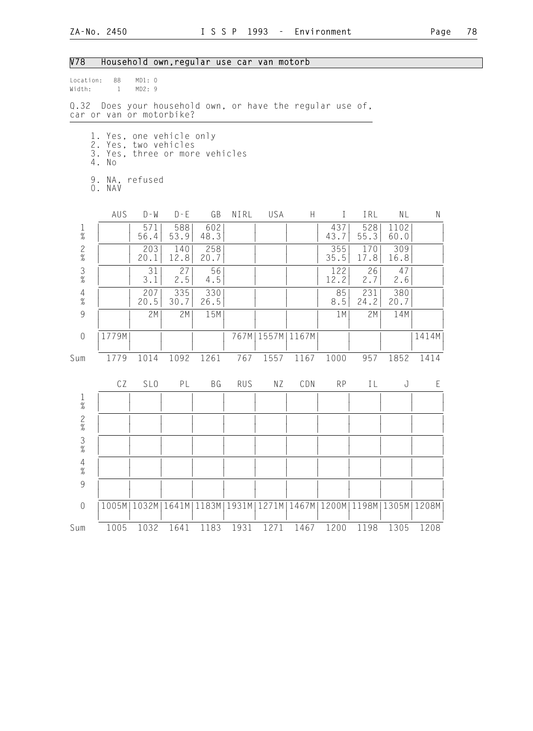## V78 Household own,regular use car van motorb

| Location:<br>Width:    | 88<br>$\sim$ 1                                                                              | MD1: 0<br>MD2:9 |             |             |            |      |                                                                       |              |             |              |           |
|------------------------|---------------------------------------------------------------------------------------------|-----------------|-------------|-------------|------------|------|-----------------------------------------------------------------------|--------------|-------------|--------------|-----------|
|                        | Q.32 Does your household own, or have the regular use of,<br>car or van or motorbike?       |                 |             |             |            |      |                                                                       |              |             |              |           |
|                        | 1. Yes, one vehicle only<br>2. Yes, two vehicles<br>3. Yes, three or more vehicles<br>4. No |                 |             |             |            |      |                                                                       |              |             |              |           |
|                        | 9. NA, refused<br>0. NAV                                                                    |                 |             |             |            |      |                                                                       |              |             |              |           |
|                        | AUS                                                                                         | $D - W$         | $D - E$     | GB          | NIRL       | USA  | H                                                                     | $\mathbf{I}$ | IRL         | N L          | ${\sf N}$ |
| $\frac{1}{\%}$         |                                                                                             | 571<br>56.4     | 588<br>53.9 | 602<br>48.3 |            |      |                                                                       | 437<br>43.7  | 528<br>55.3 | 1102<br>60.0 |           |
| $\frac{2}{\%}$         |                                                                                             | 203<br>20.1     | 140<br>12.8 | 258<br>20.7 |            |      |                                                                       | 355<br>35.5  | 170<br>17.8 | 309<br>16.8  |           |
| $\frac{3}{8}$          |                                                                                             | 31<br>3.1       | 27<br>2.5   | 56<br>4.5   |            |      |                                                                       | 122<br>12.2  | 26<br>2.7   | 47<br>2.6    |           |
| $\frac{4}{\%}$         |                                                                                             | 207<br>20.5     | 335<br>30.7 | 330<br>26.5 |            |      |                                                                       | 85<br>8.5    | 231<br>24.2 | 380<br>20.7  |           |
| $\overline{9}$         |                                                                                             | 2M              | 2M          | 15M         |            |      |                                                                       | 1 M          | 2M          | 14M          |           |
| $\overline{0}$         | 1779M                                                                                       |                 |             |             |            |      | 767M   1557M   1167M                                                  |              |             |              | 1414M     |
| Sum                    | 1779                                                                                        | 1014            | 1092        | 1261        | 767        | 1557 | 1167                                                                  | 1000         | 957         | 1852         | 1414      |
|                        | CZ                                                                                          | SL <sub>0</sub> | PL          | BG          | <b>RUS</b> | ΝZ   | CDN                                                                   | <b>RP</b>    | IL          | J            | E         |
| $\frac{1}{\%}$         |                                                                                             |                 |             |             |            |      |                                                                       |              |             |              |           |
| $\frac{2}{\%}$         |                                                                                             |                 |             |             |            |      |                                                                       |              |             |              |           |
| $\frac{3}{8}$          |                                                                                             |                 |             |             |            |      |                                                                       |              |             |              |           |
| $\overline{4}$<br>$\%$ |                                                                                             |                 |             |             |            |      |                                                                       |              |             |              |           |
| 9                      |                                                                                             |                 |             |             |            |      |                                                                       |              |             |              |           |
| $\theta$               |                                                                                             | 1005M   1032M   |             |             |            |      | 1641M   1183M   1931M   1271M   1467M   1200M   1198M   1305M   1208M |              |             |              |           |
| Sum                    | 1005                                                                                        | 1032            | 1641        | 1183        | 1931       | 1271 | 1467                                                                  | 1200         | 1198        | 1305         | 1208      |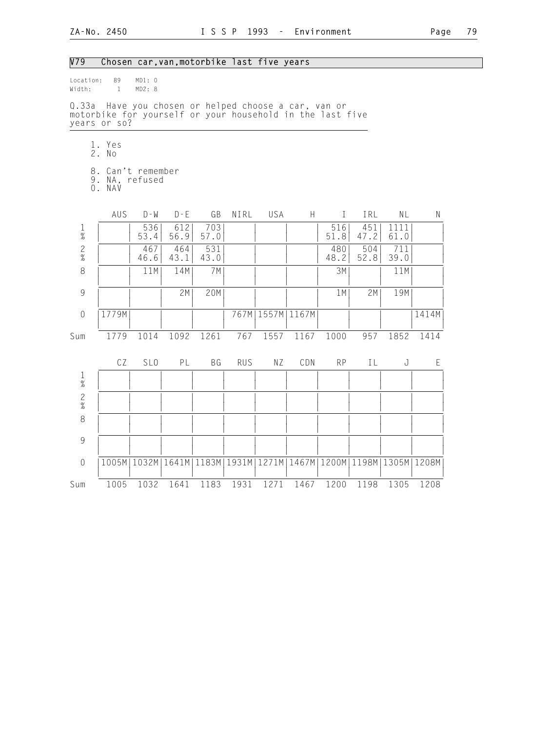| Page | 79 |
|------|----|
|      |    |

| V79                                      |                                                                                                                                   | Chosen car, van, motorbike last five years                                            |             |             |            |                      |      |             |             |              |             |
|------------------------------------------|-----------------------------------------------------------------------------------------------------------------------------------|---------------------------------------------------------------------------------------|-------------|-------------|------------|----------------------|------|-------------|-------------|--------------|-------------|
| Location:<br>Width:                      | 89<br>$\mathbf{1}$                                                                                                                | MD1: 0<br>MD2: 8                                                                      |             |             |            |                      |      |             |             |              |             |
|                                          | Q.33a Have you chosen or helped choose a car, van or<br>motorbike for yourself or your household in the last five<br>years or so? |                                                                                       |             |             |            |                      |      |             |             |              |             |
|                                          | 1. Yes<br>2. No                                                                                                                   |                                                                                       |             |             |            |                      |      |             |             |              |             |
|                                          | 8. Can't remember<br>9. NA, refused<br>0. NAV                                                                                     |                                                                                       |             |             |            |                      |      |             |             |              |             |
|                                          | AUS                                                                                                                               | $D - M$                                                                               | $D - E$     | GB          | NIRL       | USA                  | H    | $\mathbf I$ | IRL         | NL           | $\mathsf N$ |
| $\mathbf{1}$<br>$\overline{\mathcal{U}}$ |                                                                                                                                   | 536<br>53.4                                                                           | 612<br>56.9 | 703<br>57.0 |            |                      |      | 516<br>51.8 | 451<br>47.2 | 1111<br>61.0 |             |
| $\frac{2}{\%}$                           |                                                                                                                                   | 467<br>46.6                                                                           | 464<br>43.1 | 531<br>43.0 |            |                      |      | 480<br>48.2 | 504<br>52.8 | 711<br>39.0  |             |
| $\,8\,$                                  |                                                                                                                                   | 11M                                                                                   | 14M         | 7M          |            |                      |      | 3M          |             | 11M          |             |
| $\overline{9}$                           |                                                                                                                                   |                                                                                       | 2M          | 20M         |            |                      |      | 1M          | 2M          | 19M          |             |
| $\sqrt{a}$                               | 1779M                                                                                                                             |                                                                                       |             |             |            | 767M   1557M   1167M |      |             |             |              | 1414M       |
| Sum                                      | 1779                                                                                                                              | 1014                                                                                  | 1092        | 1261        | 767        | 1557                 | 1167 | 1000        | 957         | 1852         | 1414        |
|                                          | CZ                                                                                                                                | SL <sub>0</sub>                                                                       | PL          | BG          | <b>RUS</b> | NZ                   | CDN  | <b>RP</b>   | IL          | J            | E           |
| $\frac{1}{\%}$                           |                                                                                                                                   |                                                                                       |             |             |            |                      |      |             |             |              |             |
| $\frac{2}{\%}$                           |                                                                                                                                   |                                                                                       |             |             |            |                      |      |             |             |              |             |
| $\,8\,$                                  |                                                                                                                                   |                                                                                       |             |             |            |                      |      |             |             |              |             |
| $\overline{9}$                           |                                                                                                                                   |                                                                                       |             |             |            |                      |      |             |             |              |             |
| $\mathbf 0$                              |                                                                                                                                   | 1005M   1032M   1641M   1183M   1931M   1271M   1467M   1200M   1198M   1305M   1208M |             |             |            |                      |      |             |             |              |             |
| Sum                                      | 1005                                                                                                                              | 1032                                                                                  | 1641        | 1183        | 1931       | 1271                 | 1467 | 1200        | 1198        | 1305         | 1208        |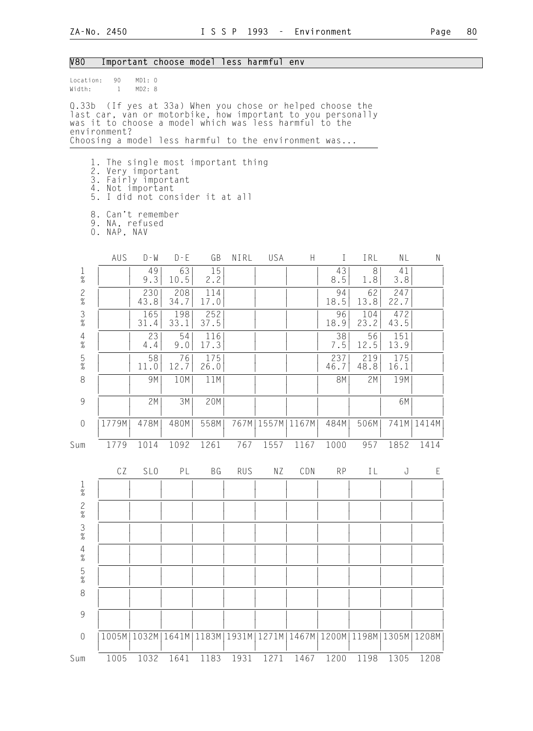| <b>V80</b>                             |                                                                                                                                                                                                                                                            |                  | Important choose model less harmful env |             |            |                      |           |              |                               |               |              |
|----------------------------------------|------------------------------------------------------------------------------------------------------------------------------------------------------------------------------------------------------------------------------------------------------------|------------------|-----------------------------------------|-------------|------------|----------------------|-----------|--------------|-------------------------------|---------------|--------------|
| Location:<br>Width:                    | 90<br>$\overline{1}$                                                                                                                                                                                                                                       | MD1: 0<br>MD2: 8 |                                         |             |            |                      |           |              |                               |               |              |
|                                        | Q.33b (If yes at 33a) When you chose or helped choose the<br>last car, van or motorbike, how important to you personally<br>was it to choose a model which was less harmful to the<br>environment?<br>Choosing a model less harmful to the environment was |                  |                                         |             |            |                      |           |              |                               |               |              |
|                                        |                                                                                                                                                                                                                                                            |                  |                                         |             |            |                      |           |              |                               |               |              |
|                                        | 1. The single most important thing<br>2. Very important<br>3. Fairly important<br>4. Not important<br>5. I did not consider it at all<br>8. Can't remember                                                                                                 |                  |                                         |             |            |                      |           |              |                               |               |              |
|                                        | 9. NA, refused<br>0. NAP, NAV                                                                                                                                                                                                                              |                  |                                         |             |            |                      |           |              |                               |               |              |
|                                        | AUS                                                                                                                                                                                                                                                        | $D - W$          | $D - E$                                 | GB          | NIRL       | USA                  | H.        | $\mathbf{I}$ | IRL                           | NL            | Ν            |
| $\frac{1}{\%}$                         |                                                                                                                                                                                                                                                            | 49<br>9.3        | 63<br>10.5                              | 15<br>2.2   |            |                      |           | 43<br>8.5    | 8<br>1.8                      | 41<br>3.8     |              |
| $\frac{2}{\%}$                         |                                                                                                                                                                                                                                                            | 230<br>43.8      | 208<br>34.7                             | 114<br>17.0 |            |                      |           | 94<br>18.5   | 62<br>13.8                    | 247<br>22.7   |              |
| $\frac{3}{\%}$                         |                                                                                                                                                                                                                                                            | 165<br>31.4      | 198<br>33.1                             | 252<br>37.5 |            |                      |           | 96<br>18.9   | 104<br>23.2                   | 472<br>43.5   |              |
| $\overline{4}$<br>$\%$                 |                                                                                                                                                                                                                                                            | 23<br>4.4        | 54<br>9.0                               | 116<br>17.3 |            |                      |           | 38<br>7.5    | 56<br>12.5                    | 151<br>13.9   |              |
| $\frac{5}{\%}$                         |                                                                                                                                                                                                                                                            | 58<br>11.0       | 76<br>12.7                              | 175<br>26.0 |            |                      |           | 237<br>46.7  | 219<br>48.8                   | 175<br>16.1   |              |
| 8                                      |                                                                                                                                                                                                                                                            | 9M               | 10M                                     | 11M         |            |                      |           | 8M           | 2M                            | 19M           |              |
| 9                                      |                                                                                                                                                                                                                                                            | 2M               | 3M                                      | 20M         |            |                      |           |              |                               | 6M            |              |
| $\theta$                               | 1779M                                                                                                                                                                                                                                                      | 478M             | 480M                                    | 558M        |            | 767M   1557M   1167M |           | 484M         | 506M                          |               | 741M   1414M |
| Sum                                    | 1779                                                                                                                                                                                                                                                       | 1014             | 1092                                    | 1261        | 767        |                      | 1557 1167 | 1000         | 957                           | 1852          | 1414         |
|                                        | CZ                                                                                                                                                                                                                                                         | SL <sub>0</sub>  | PL                                      | BG          | <b>RUS</b> | ΝZ                   | CDN       | <b>RP</b>    | IL                            | J             | Ε            |
| $\frac{1}{\%}$                         |                                                                                                                                                                                                                                                            |                  |                                         |             |            |                      |           |              |                               |               |              |
| $\frac{2}{\%}$                         |                                                                                                                                                                                                                                                            |                  |                                         |             |            |                      |           |              |                               |               |              |
| $\frac{3}{8}$                          |                                                                                                                                                                                                                                                            |                  |                                         |             |            |                      |           |              |                               |               |              |
| $\begin{array}{c} 4 \\ \% \end{array}$ |                                                                                                                                                                                                                                                            |                  |                                         |             |            |                      |           |              |                               |               |              |
| $\frac{5}{\%}$                         |                                                                                                                                                                                                                                                            |                  |                                         |             |            |                      |           |              |                               |               |              |
| $\,8\,$                                |                                                                                                                                                                                                                                                            |                  |                                         |             |            |                      |           |              |                               |               |              |
| $\mathcal{G}$                          |                                                                                                                                                                                                                                                            |                  |                                         |             |            |                      |           |              |                               |               |              |
| $\sqrt{a}$                             | 1005M                                                                                                                                                                                                                                                      | 1032M            | 1641M                                   | 1183M       | 1931M      |                      |           |              | 1271M   1467M   1200M   1198M | 1305M   1208M |              |
| Sum                                    | 1005                                                                                                                                                                                                                                                       | 1032             | 1641                                    | 1183        | 1931       | 1271                 | 1467      | 1200         | 1198                          | 1305          | 1208         |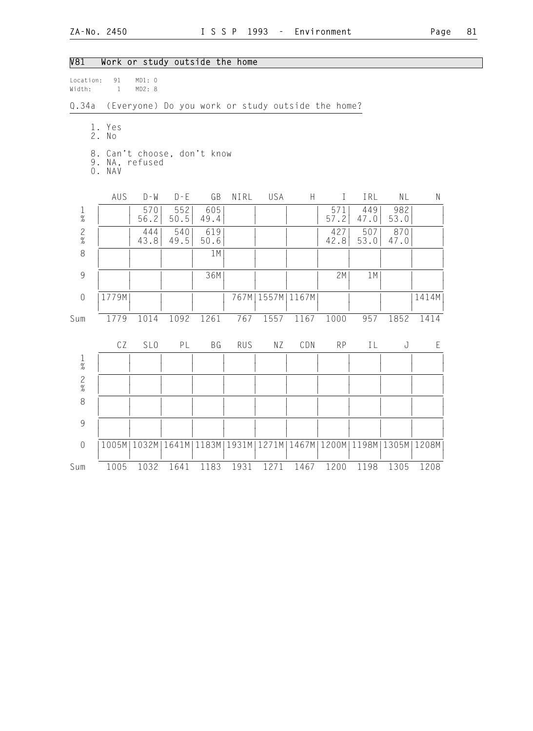| $\overline{V81}$    |                    | Work or study outside the home                                    |             |             |            |                      |      |              |             |             |             |
|---------------------|--------------------|-------------------------------------------------------------------|-------------|-------------|------------|----------------------|------|--------------|-------------|-------------|-------------|
| Location:<br>Width: | 91<br>$\mathbf{1}$ | MD1: 0<br>MD2: 8                                                  |             |             |            |                      |      |              |             |             |             |
| Q.34a               |                    | (Everyone) Do you work or study outside the home?                 |             |             |            |                      |      |              |             |             |             |
|                     | 1. Yes<br>2. No    |                                                                   |             |             |            |                      |      |              |             |             |             |
|                     | 0. NAV             | 8. Can't choose, don't know<br>9. NA, refused                     |             |             |            |                      |      |              |             |             |             |
|                     | AUS                | $D - M$                                                           | $D - E$     | GB          | NIRL       | USA                  | H    | $\mathbf{I}$ | IRL         | NL          | $\mathsf N$ |
| $\frac{1}{\%}$      |                    | 570<br>56.2                                                       | 552<br>50.5 | 605<br>49.4 |            |                      |      | 571<br>57.2  | 449<br>47.0 | 982<br>53.0 |             |
| $\frac{2}{\%}$      |                    | 444<br>43.8                                                       | 540<br>49.5 | 619<br>50.6 |            |                      |      | 427<br>42.8  | 507<br>53.0 | 870<br>47.0 |             |
| $\,8\,$             |                    |                                                                   |             | 1M          |            |                      |      |              |             |             |             |
| $\overline{9}$      |                    |                                                                   |             | 36M         |            |                      |      | 2M           | 1M          |             |             |
| $\mathbf 0$         | 1779M              |                                                                   |             |             |            | 767M   1557M   1167M |      |              |             |             | 1414M       |
| Sum                 | 1779               | 1014                                                              | 1092        | 1261        | 767        | 1557                 | 1167 | 1000         | 957         | 1852        | 1414        |
|                     | CZ                 | SL <sub>0</sub>                                                   | PL          | BG          | <b>RUS</b> | NZ                   | CDN  | <b>RP</b>    | IL          | J           | E           |
| $\frac{1}{\%}$      |                    |                                                                   |             |             |            |                      |      |              |             |             |             |
| $\frac{2}{\%}$      |                    |                                                                   |             |             |            |                      |      |              |             |             |             |
| $\,8\,$             |                    |                                                                   |             |             |            |                      |      |              |             |             |             |
| $\overline{9}$      |                    |                                                                   |             |             |            |                      |      |              |             |             |             |
| $\sqrt{0}$          |                    | 1005M 1032M 1641M 1183M 1931M 1271M 1467M 1200M 1198M 1305M 1208M |             |             |            |                      |      |              |             |             |             |
| Sum                 | 1005               | 1032                                                              | 1641        | 1183        | 1931       | 1271                 |      | 1467 1200    | 1198        | 1305        | 1208        |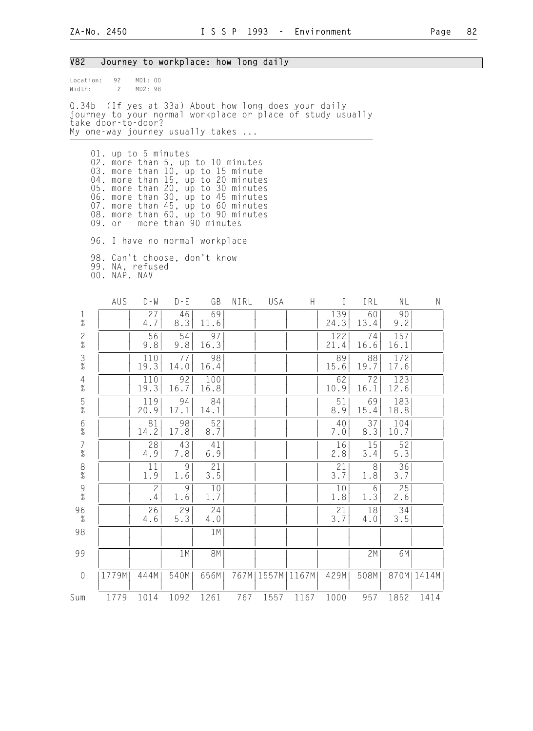| V82                    |                                                                                                                                                                                                                                                                                               |                      |                                |             |      | Journey to workplace: how long daily           |       |              |            |             |       |
|------------------------|-----------------------------------------------------------------------------------------------------------------------------------------------------------------------------------------------------------------------------------------------------------------------------------------------|----------------------|--------------------------------|-------------|------|------------------------------------------------|-------|--------------|------------|-------------|-------|
| Location:<br>Width:    | 92<br>$\mathbf{2}$                                                                                                                                                                                                                                                                            | MD1: 00<br>MD2: 98   |                                |             |      |                                                |       |              |            |             |       |
| Q.34b                  | journey to your normal workplace or place of study usually<br>take door-to-door?<br>My one-way journey usually takes                                                                                                                                                                          |                      |                                |             |      | (If yes at 33a) About how long does your daily |       |              |            |             |       |
|                        | 01. up to 5 minutes<br>02. more than 5, up to 10 minutes<br>03. more than 10, up to 15 minute<br>04. more than 15, up to 20 minutes<br>05.<br>06. more than 30, up to 45 minutes<br>07. more than 45, up to 60 minutes<br>08. more than 60, up to 90 minutes<br>09. or - more than 90 minutes |                      | more than 20, up to 30 minutes |             |      |                                                |       |              |            |             |       |
|                        | 96. I have no normal workplace                                                                                                                                                                                                                                                                |                      |                                |             |      |                                                |       |              |            |             |       |
|                        | 98. Can't choose, don't know<br>99. NA, refused<br>00. NAP, NAV                                                                                                                                                                                                                               |                      |                                |             |      |                                                |       |              |            |             |       |
|                        | AUS                                                                                                                                                                                                                                                                                           | $D - W$              | $D - E$                        | GB          | NIRL | USA                                            | H     | $\mathbf{I}$ | IRL        | NL          | N     |
| $\mathbf 1$<br>$\%$    |                                                                                                                                                                                                                                                                                               | 27<br>4.7            | 46<br>8.3                      | 69<br>11.6  |      |                                                |       | 139<br>24.3  | 60<br>13.4 | 90<br>9.2   |       |
| $\frac{2}{\%}$         |                                                                                                                                                                                                                                                                                               | 56<br>9.8            | 54<br>9.8                      | 97<br>16.3  |      |                                                |       | 122<br>21.4  | 74<br>16.6 | 157<br>16.1 |       |
| $\frac{3}{8}$          |                                                                                                                                                                                                                                                                                               | 110<br>19.3          | 77<br>14.0                     | 98<br>16.4  |      |                                                |       | 89<br>15.6   | 88<br>19.7 | 172<br>17.6 |       |
| $\overline{4}$<br>$\%$ |                                                                                                                                                                                                                                                                                               | 110<br>19.3          | 92<br>16.7                     | 100<br>16.8 |      |                                                |       | 62<br>10.9   | 72<br>16.1 | 123<br>12.6 |       |
| $\frac{5}{\%}$         |                                                                                                                                                                                                                                                                                               | 119<br>20.9          | 94<br>17.1                     | 84<br>14.1  |      |                                                |       | 51<br>8.9    | 69<br>15.4 | 183<br>18.8 |       |
| $6\atop \%$            |                                                                                                                                                                                                                                                                                               | 81<br>14.2           | 98<br>17.8                     | 52<br>8.7   |      |                                                |       | 40<br>7.0    | 37<br>8.3  | 104<br>10.7 |       |
| $\overline{7}$<br>$\%$ |                                                                                                                                                                                                                                                                                               | 28<br>4.9            | 43<br>7.8                      | 41<br>6.9   |      |                                                |       | 16<br>2.8    | 15<br>3.4  | 52<br>5.3   |       |
| $\frac{8}{\%}$         |                                                                                                                                                                                                                                                                                               | 11<br>1.9            | 9<br>1.6                       | 21<br>3.5   |      |                                                |       | 21<br>3.7    | 8<br>1.8   | 36<br>3.7   |       |
| $\frac{9}{\%}$         |                                                                                                                                                                                                                                                                                               | $\overline{c}$<br>.4 | $\mathcal{G}$<br>1.6           | 10<br>1.7   |      |                                                |       | 10<br>1.8    | 6<br>1.3   | 25<br>2.6   |       |
| 96<br>$\%$             |                                                                                                                                                                                                                                                                                               | 26<br>4.6            | 29<br>5.3                      | 24<br>4.0   |      |                                                |       | 21<br>3.7    | 18<br>4.0  | 34<br>$3.5$ |       |
| 98                     |                                                                                                                                                                                                                                                                                               |                      |                                | 1M          |      |                                                |       |              |            |             |       |
| 99                     |                                                                                                                                                                                                                                                                                               |                      | 1 M                            | <b>8M</b>   |      |                                                |       |              | 2M         | 6M          |       |
| $\theta$               | 1779M                                                                                                                                                                                                                                                                                         | 444M                 | 540M                           | 656M        | 767M | 1557M                                          | 1167M | 429M         | 508M       | 870M        | 1414M |
| Sum                    | 1779                                                                                                                                                                                                                                                                                          | 1014                 | 1092                           | 1261        | 767  | 1557                                           | 1167  | 1000         | 957        | 1852        | 1414  |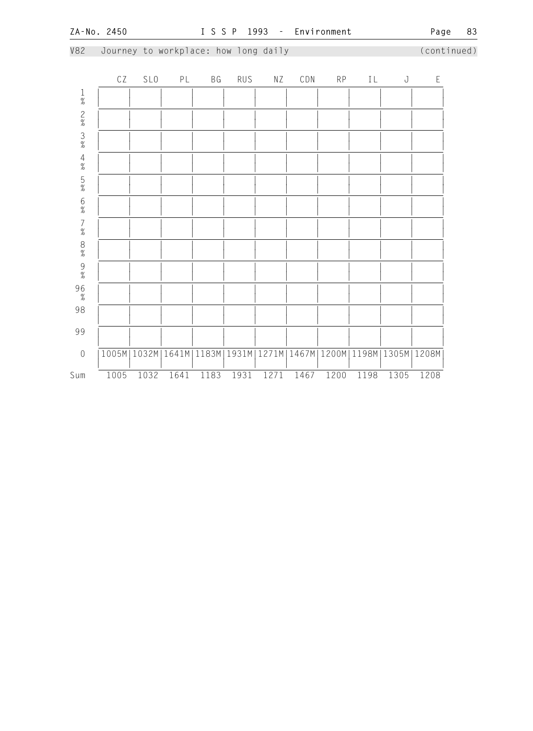V82 Journey to workplace: how long daily (continued) CZ SLO PL BG RUS NZ CDN RP IL J E

| $\frac{1}{\%}$                                    |      |      |                                       |      |      |       |      |      |      |                               |      |
|---------------------------------------------------|------|------|---------------------------------------|------|------|-------|------|------|------|-------------------------------|------|
|                                                   |      |      |                                       |      |      |       |      |      |      |                               |      |
| $\begin{array}{c}\n2 \\ 8 \\ 3 \\ 8\n\end{array}$ |      |      |                                       |      |      |       |      |      |      |                               |      |
|                                                   |      |      |                                       |      |      |       |      |      |      |                               |      |
| 4%5%                                              |      |      |                                       |      |      |       |      |      |      |                               |      |
| 6%7%                                              |      |      |                                       |      |      |       |      |      |      |                               |      |
|                                                   |      |      |                                       |      |      |       |      |      |      |                               |      |
| 8% 9%                                             |      |      |                                       |      |      |       |      |      |      |                               |      |
|                                                   |      |      |                                       |      |      |       |      |      |      |                               |      |
| $96 \atop \frac{9}{6}$                            |      |      |                                       |      |      |       |      |      |      |                               |      |
| 98                                                |      |      |                                       |      |      |       |      |      |      |                               |      |
| 99                                                |      |      |                                       |      |      |       |      |      |      |                               |      |
| $\mathbf 0$                                       |      |      | 1005M   1032M   1641M   1183M   1931M |      |      | 1271M |      |      |      | 1467M 1200M 1198M 1305M 1208M |      |
| Sum                                               | 1005 | 1032 | 1641                                  | 1183 | 1931 | 1271  | 1467 | 1200 | 1198 | 1305                          | 1208 |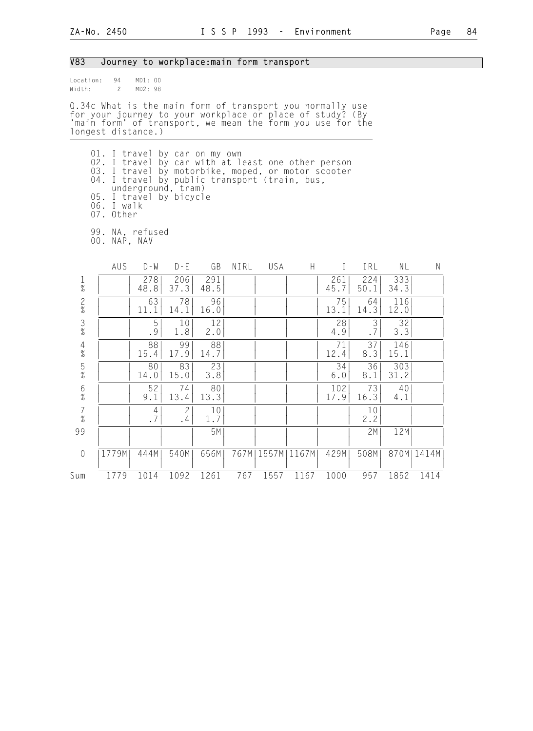### V83 Journey to workplace:main form transport

| location: | 94 | MD1:00 |  |
|-----------|----|--------|--|
| Width:    | 2  | MD2:98 |  |

Q.34c What is the main form of transport you normally use for your journey to your workplace or place of study? (By 'main form' of transport, we mean the form you use for the longest distance.)

- 01. I travel by car on my own 02. I travel by car with at least one other person 03. I travel by motorbike, moped, or motor scooter 04. I travel by public transport (train, bus, underground, tram) 05. I travel by bicycle 06. I walk 07. Other
- 99. NA, refused
- 00. NAP, NAV

|                                            | AUS   | $D - W$              | $D - E$            | GB          | NIRL | USA   | H     |             | IRL                         | ΝL          | Ν            |
|--------------------------------------------|-------|----------------------|--------------------|-------------|------|-------|-------|-------------|-----------------------------|-------------|--------------|
| $\frac{1}{\%}$                             |       | 278<br>48.8          | 206<br>37.3        | 291<br>48.5 |      |       |       | 261<br>45.7 | 224<br>50.1                 | 333<br>34.3 |              |
| $\frac{2}{\%}$                             |       | 63<br>11.1           | 78<br>14.1         | 96<br>16.0  |      |       |       | 75<br>13.1  | 64<br>14.3                  | 116<br>12.0 |              |
| $\frac{3}{8}$                              |       | 5<br>.9              | 10<br>1.8          | 12<br>2.0   |      |       |       | 28<br>4.9   | 3<br>$\boldsymbol{\cdot}$ 7 | 32<br>3.3   |              |
| $\frac{4}{\%}$                             |       | 88<br>15.4           | 99<br>17.9         | 88<br>14.7  |      |       |       | 71<br>12.4  | 37<br>8.3                   | 146<br>15.1 |              |
| $\frac{5}{%}$                              |       | 80<br>14.0           | 83<br>15.0         | 23<br>3.8   |      |       |       | 34<br>6.0   | 36<br>8.1                   | 303<br>31.2 |              |
| $\frac{6}{\%}$                             |       | 52<br>9.1            | 74<br>13.4         | 80<br>13.3  |      |       |       | 102<br>17.9 | 73<br>16.3                  | 40<br>4.1   |              |
| $\begin{array}{c} 7 \\ 9'_{0} \end{array}$ |       | $\overline{4}$<br>.7 | $\mathbf{2}$<br>.4 | 10<br>1.7   |      |       |       |             | 10<br>2.2                   |             |              |
| 99                                         |       |                      |                    | 5M          |      |       |       |             | 2M                          | 12M         |              |
| $\sqrt{a}$                                 | 1779M | 444M                 | 540M               | 656M        | 767M | 1557M | 1167M | 429M        | 508M                        |             | 870M   1414M |
| Sum                                        | 1779  | 1014                 | 1092               | 1261        | 767  | 1557  | 1167  | 1000        | 957                         | 1852        | 1414         |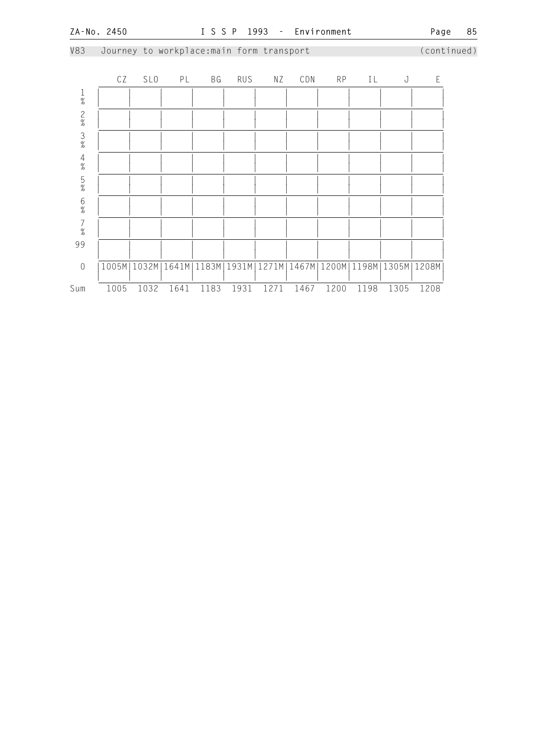V83 Journey to workplace:main form transport (continued)

|                                            | CZ   | SL <sub>0</sub> | PL   | ΒG   | <b>RUS</b> | ΝZ   | CDN  | <b>RP</b> | ΙL   | J                                                                 | E    |
|--------------------------------------------|------|-----------------|------|------|------------|------|------|-----------|------|-------------------------------------------------------------------|------|
| $\frac{1}{\%}$                             |      |                 |      |      |            |      |      |           |      |                                                                   |      |
| $\frac{2}{\%}$                             |      |                 |      |      |            |      |      |           |      |                                                                   |      |
| $\frac{3}{8}$                              |      |                 |      |      |            |      |      |           |      |                                                                   |      |
| $\frac{4}{\%}$                             |      |                 |      |      |            |      |      |           |      |                                                                   |      |
| $\frac{5}{\%}$                             |      |                 |      |      |            |      |      |           |      |                                                                   |      |
| $6\atop \%$                                |      |                 |      |      |            |      |      |           |      |                                                                   |      |
| $\begin{array}{c} 7 \\ 2 \\ 0 \end{array}$ |      |                 |      |      |            |      |      |           |      |                                                                   |      |
| 99                                         |      |                 |      |      |            |      |      |           |      |                                                                   |      |
| $\sqrt{a}$                                 |      |                 |      |      |            |      |      |           |      | 1005M 1032M 1641M 1183M 1931M 1271M 1467M 1200M 1198M 1305M 1208M |      |
| Sum                                        | 1005 | 1032            | 1641 | 1183 | 1931       | 1271 | 1467 | 1200      | 1198 | 1305                                                              | 1208 |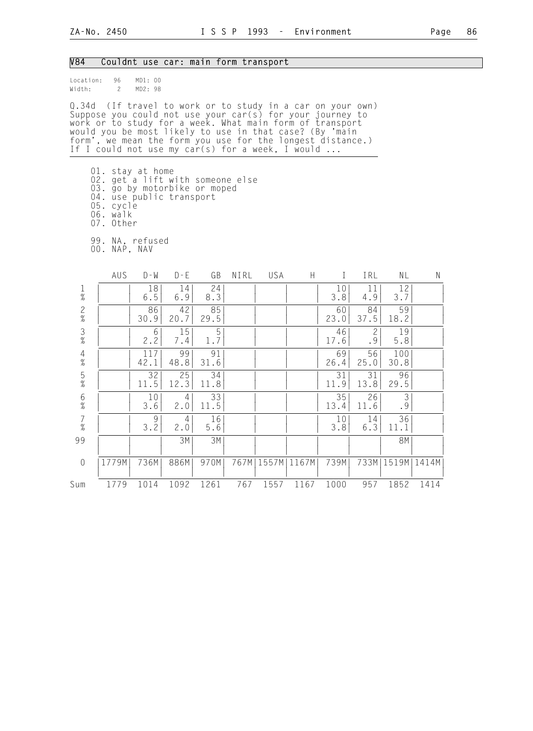#### V84 Couldnt use car: main form transport

Location: 96 MD1: 00 Width: 2 MD2: 98

Q.34d (If travel to work or to study in a car on your own) Suppose you could not use your car(s) for your journey to work or to study for a week. What main form of transport would you be most likely to use in that case? (By 'main form', we mean the form you use for the longest distance.) If I could not use my car(s) for a week, I would ...

- 01. stay at home
- 02. get a lift with someone else
- 03. go by motorbike or moped
	- 04. use public transport
- 05. cycle
- 06. walk 07. Other
	- 99. NA, refused
	- 00. NAP, NAV

|                                            | AUS   | $D - W$     | $D - E$    | GB         | NIRL | USA   | H     |            | IRL                | ΝL                   | N     |
|--------------------------------------------|-------|-------------|------------|------------|------|-------|-------|------------|--------------------|----------------------|-------|
| $\frac{1}{\%}$                             |       | 18<br>6.5   | 14<br>6.9  | 24<br>8.3  |      |       |       | 10<br>3.8  | 11<br>4.9          | 12<br>3.7            |       |
| $\frac{2}{\%}$                             |       | 86<br>30.9  | 42<br>20.7 | 85<br>29.5 |      |       |       | 60<br>23.0 | 84<br>37.5         | 59<br>18.2           |       |
| $\frac{3}{8}$                              |       | 6<br>2.2    | 15<br>7.4  | 1.7        |      |       |       | 46<br>17.6 | $\mathbf{2}$<br>.9 | 19<br>5.8            |       |
| $\frac{4}{\%}$                             |       | 117<br>42.1 | 99<br>48.8 | 91<br>31.6 |      |       |       | 69<br>26.4 | 56<br>25.0         | 100<br>30.8          |       |
| $\frac{5}{%}$                              |       | 32<br>11.5  | 25<br>12.3 | 34<br>11.8 |      |       |       | 31<br>11.9 | 31<br>13.8         | 96<br>29.5           |       |
| $\begin{array}{c} 6 \\ 9 \end{array}$      |       | 10<br>3.6   | 4<br>2.0   | 33<br>11.5 |      |       |       | 35<br>13.4 | 26<br>11.6         | $\mathfrak{Z}$<br>.9 |       |
| $\begin{array}{c} 7 \\ 9'_{0} \end{array}$ |       | 9<br>3.2    | 4<br>2.0   | 16<br>5.6  |      |       |       | 10<br>3.8  | 14<br>6.3          | 36<br>11.1           |       |
| 99                                         |       |             | 3M         | 3M         |      |       |       |            |                    | 8M                   |       |
| $\mathbf 0$                                | 1779M | 736M        | 886M       | 970M       | 767M | 1557M | 1167M | 739M       | 733M               | 1519M                | 1414M |
| Sum                                        | 1779  | 1014        | 1092       | 1261       | 767  | 1557  | 1167  | 1000       | 957                | 1852                 | 1414  |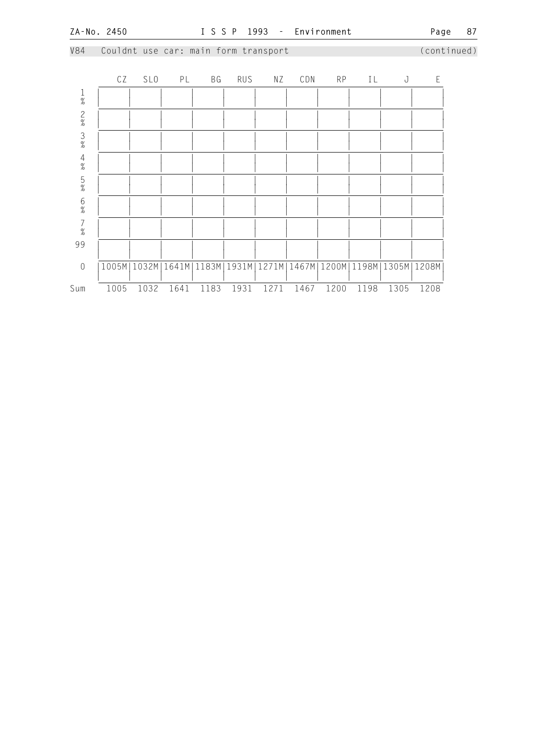V84 Couldnt use car: main form transport (continued)

|                                            | CZ   | SL <sub>0</sub> | PL   | BG   | RUS  | ΝZ   | CDN  | <b>RP</b> | IL                                                                | J    | $\mathsf E$ |
|--------------------------------------------|------|-----------------|------|------|------|------|------|-----------|-------------------------------------------------------------------|------|-------------|
| $\frac{1}{\%}$                             |      |                 |      |      |      |      |      |           |                                                                   |      |             |
| $\frac{2}{\%}$                             |      |                 |      |      |      |      |      |           |                                                                   |      |             |
| $\frac{3}{\%}$                             |      |                 |      |      |      |      |      |           |                                                                   |      |             |
| $\frac{4}{\%}$                             |      |                 |      |      |      |      |      |           |                                                                   |      |             |
| $\frac{5}{\%}$                             |      |                 |      |      |      |      |      |           |                                                                   |      |             |
| $6\%$                                      |      |                 |      |      |      |      |      |           |                                                                   |      |             |
| $\begin{array}{c} 7 \\ 2 \\ 0 \end{array}$ |      |                 |      |      |      |      |      |           |                                                                   |      |             |
| 99                                         |      |                 |      |      |      |      |      |           |                                                                   |      |             |
| $\sqrt{0}$                                 |      |                 |      |      |      |      |      |           | 1005M 1032M 1641M 1183M 1931M 1271M 1467M 1200M 1198M 1305M 1208M |      |             |
| Sum                                        | 1005 | 1032            | 1641 | 1183 | 1931 | 1271 | 1467 | 1200      | 1198                                                              | 1305 | 1208        |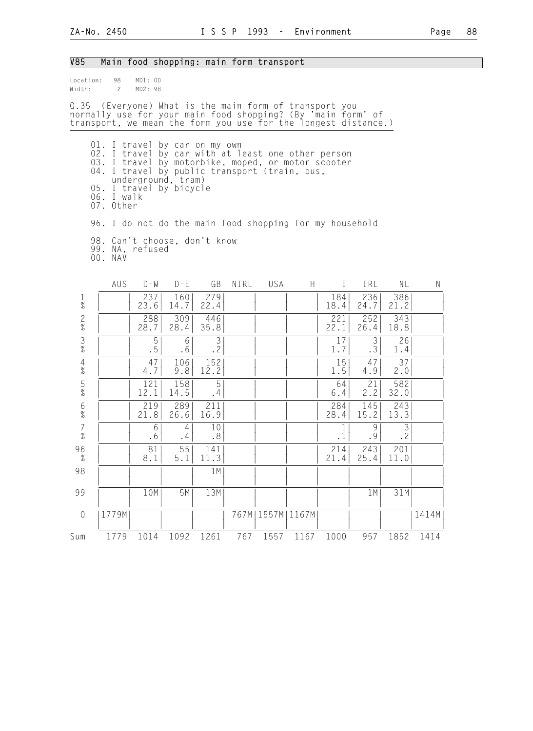| V85                    |                                                                                                                                                                                                                                                  | Main food shopping: main form transport |                |                       |      |               |      |                           |             |                      |       |
|------------------------|--------------------------------------------------------------------------------------------------------------------------------------------------------------------------------------------------------------------------------------------------|-----------------------------------------|----------------|-----------------------|------|---------------|------|---------------------------|-------------|----------------------|-------|
| Location:<br>Width:    | 98<br>$\mathbf{2}$                                                                                                                                                                                                                               | MD1: 00<br>MD2: 98                      |                |                       |      |               |      |                           |             |                      |       |
|                        | Q.35 (Everyone) What is the main form of transport you<br>normally use for your main food shopping? (By 'main form' of<br>transport, we mean the form you use for the longest distance.)                                                         |                                         |                |                       |      |               |      |                           |             |                      |       |
|                        | 01. I travel by car on my own<br>02. I travel by car with at least one other person<br>03. I travel by motorbike, moped, or motor scooter<br>04. I travel by public transport (train, bus,<br>05. I travel by bicycle<br>06. I walk<br>07. Other | underground, tram)                      |                |                       |      |               |      |                           |             |                      |       |
|                        | 96. I do not do the main food shopping for my household                                                                                                                                                                                          |                                         |                |                       |      |               |      |                           |             |                      |       |
|                        | 98. Can't choose, don't know<br>99. NA, refused<br>00. NAV                                                                                                                                                                                       |                                         |                |                       |      |               |      |                           |             |                      |       |
|                        | AUS                                                                                                                                                                                                                                              | $D - W$                                 | $D - E$        | GB                    | NIRL | USA           | H.   | $\perp$                   | IRL         | NL                   | N     |
| 1<br>$\%$              |                                                                                                                                                                                                                                                  | 237<br>23.6                             | 160<br>14.7    | 279<br>22.4           |      |               |      | 184<br>18.4               | 236<br>24.7 | 386<br>21.2          |       |
| $\frac{2}{\%}$         |                                                                                                                                                                                                                                                  | 288<br>28.7                             | 309<br>28.4    | 446<br>35.8           |      |               |      | 221<br>22.1               | 252<br>26.4 | 343<br>18.8          |       |
| $\frac{3}{8}$          |                                                                                                                                                                                                                                                  | 5<br>. 5                                | 6<br>$.6\,$    | 3<br>.2               |      |               |      | 17<br>1.7                 | 3<br>.3     | 26<br>1.4            |       |
| 4<br>$\%$              |                                                                                                                                                                                                                                                  | 47<br>4.7                               | 106<br>9.8     | 152<br>12.2           |      |               |      | 15<br>1.5                 | 47<br>4.9   | 37<br>2.0            |       |
| $\frac{5}{\%}$         |                                                                                                                                                                                                                                                  | 121<br>12.1                             | 158<br>14.5    | 5<br>.4               |      |               |      | 64<br>6.4                 | 21<br>2.2   | 582<br>32.0          |       |
| $6\%$                  |                                                                                                                                                                                                                                                  | 219<br>21.8                             | 289<br>26.6    | 211<br>16.9           |      |               |      | 284<br>28.4               | 145<br>15.2 | 243<br>13.3          |       |
| $\overline{7}$<br>$\%$ |                                                                                                                                                                                                                                                  | 6<br>$.6\,$                             | 4<br>$\cdot$ 4 | 10<br>.8 <sup>°</sup> |      |               |      | $\mathbf{1}$<br>$\cdot$ 1 | 9<br>.9     | $\mathfrak{Z}$<br>.2 |       |
| 96<br>$\%$             |                                                                                                                                                                                                                                                  | 81 <br>8.1                              | 55<br>$5.1$    | 141<br>11.3           |      |               |      | 214<br>21.4               | 243<br>25.4 | 201<br>11.0          |       |
| 98                     |                                                                                                                                                                                                                                                  |                                         |                | 1 M                   |      |               |      |                           |             |                      |       |
| 99                     |                                                                                                                                                                                                                                                  | 10M                                     | 5M             | 13M                   |      |               |      |                           | 1 M         | 31M                  |       |
| $\sqrt{a}$             | 1779M                                                                                                                                                                                                                                            |                                         |                |                       | 767M | 1557M   1167M |      |                           |             |                      | 1414M |
| Sum                    | 1779                                                                                                                                                                                                                                             | 1014                                    | 1092           | 1261                  | 767  | 1557          | 1167 | 1000                      | 957         | 1852                 | 1414  |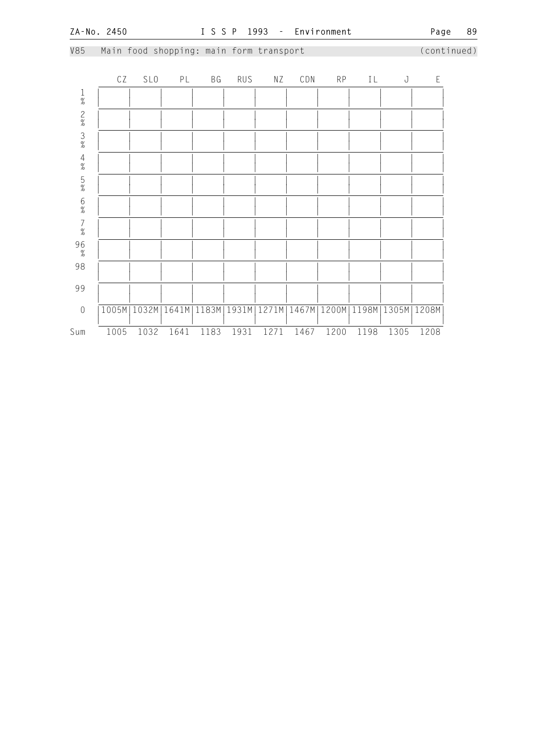**ZA-No. 2450 I S S P 1993 - Environment Page 89**  V85 Main food shopping: main form transport (continued) CZ SLO PL BG RUS NZ CDN RP IL J E 1 | | | | | | | | | | | |  $\frac{1}{2}$   $\frac{1}{2}$   $\frac{1}{2}$   $\frac{1}{2}$   $\frac{1}{2}$   $\frac{1}{2}$   $\frac{1}{2}$   $\frac{1}{2}$   $\frac{1}{2}$   $\frac{1}{2}$   $\frac{1}{2}$   $\frac{1}{2}$   $\frac{1}{2}$   $\frac{1}{2}$   $\frac{1}{2}$   $\frac{1}{2}$   $\frac{1}{2}$   $\frac{1}{2}$   $\frac{1}{2}$   $\frac{1}{2}$   $\frac{1}{2}$   $\frac{1}{2}$  2 | | | | | | | | | | | | | | |  $\frac{1}{2}$   $\frac{1}{2}$   $\frac{1}{2}$   $\frac{1}{2}$   $\frac{1}{2}$   $\frac{1}{2}$   $\frac{1}{2}$   $\frac{1}{2}$   $\frac{1}{2}$   $\frac{1}{2}$   $\frac{1}{2}$   $\frac{1}{2}$   $\frac{1}{2}$   $\frac{1}{2}$   $\frac{1}{2}$   $\frac{1}{2}$   $\frac{1}{2}$   $\frac{1}{2}$   $\frac{1}{2}$   $\frac{1}{2}$   $\frac{1}{2}$   $\frac{1}{2}$  3 | | | | | | | | | | | |  $\frac{1}{2}$   $\frac{1}{2}$   $\frac{1}{2}$   $\frac{1}{2}$   $\frac{1}{2}$   $\frac{1}{2}$   $\frac{1}{2}$   $\frac{1}{2}$   $\frac{1}{2}$   $\frac{1}{2}$   $\frac{1}{2}$   $\frac{1}{2}$   $\frac{1}{2}$   $\frac{1}{2}$   $\frac{1}{2}$   $\frac{1}{2}$   $\frac{1}{2}$   $\frac{1}{2}$   $\frac{1}{2}$   $\frac{1}{2}$   $\frac{1}{2}$   $\frac{1}{2}$  4 | | | | | | | | | | | |  $\frac{1}{2}$   $\frac{1}{2}$   $\frac{1}{2}$   $\frac{1}{2}$   $\frac{1}{2}$   $\frac{1}{2}$   $\frac{1}{2}$   $\frac{1}{2}$   $\frac{1}{2}$   $\frac{1}{2}$   $\frac{1}{2}$   $\frac{1}{2}$   $\frac{1}{2}$   $\frac{1}{2}$   $\frac{1}{2}$   $\frac{1}{2}$   $\frac{1}{2}$   $\frac{1}{2}$   $\frac{1}{2}$   $\frac{1}{2}$   $\frac{1}{2}$   $\frac{1}{2}$  5 | | | | | | | | | | | |  $\frac{1}{2}$   $\frac{1}{2}$   $\frac{1}{2}$   $\frac{1}{2}$   $\frac{1}{2}$   $\frac{1}{2}$   $\frac{1}{2}$   $\frac{1}{2}$   $\frac{1}{2}$   $\frac{1}{2}$   $\frac{1}{2}$   $\frac{1}{2}$   $\frac{1}{2}$   $\frac{1}{2}$   $\frac{1}{2}$   $\frac{1}{2}$   $\frac{1}{2}$   $\frac{1}{2}$   $\frac{1}{2}$   $\frac{1}{2}$   $\frac{1}{2}$   $\frac{1}{2}$  6 | | | | | | | | | | | |  $\frac{1}{2}$   $\frac{1}{2}$   $\frac{1}{2}$   $\frac{1}{2}$   $\frac{1}{2}$   $\frac{1}{2}$   $\frac{1}{2}$   $\frac{1}{2}$   $\frac{1}{2}$   $\frac{1}{2}$   $\frac{1}{2}$   $\frac{1}{2}$   $\frac{1}{2}$   $\frac{1}{2}$   $\frac{1}{2}$   $\frac{1}{2}$   $\frac{1}{2}$   $\frac{1}{2}$   $\frac{1}{2}$   $\frac{1}{2}$   $\frac{1}{2}$   $\frac{1}{2}$  7 | | | | | | | | | | | |  $\frac{1}{2}$   $\frac{1}{2}$   $\frac{1}{2}$   $\frac{1}{2}$   $\frac{1}{2}$   $\frac{1}{2}$   $\frac{1}{2}$   $\frac{1}{2}$   $\frac{1}{2}$   $\frac{1}{2}$   $\frac{1}{2}$   $\frac{1}{2}$   $\frac{1}{2}$   $\frac{1}{2}$   $\frac{1}{2}$   $\frac{1}{2}$   $\frac{1}{2}$   $\frac{1}{2}$   $\frac{1}{2}$   $\frac{1}{2}$   $\frac{1}{2}$   $\frac{1}{2}$  96 | | | | | | | | | | | | | | | |  $\frac{1}{2}$   $\frac{1}{2}$   $\frac{1}{2}$   $\frac{1}{2}$   $\frac{1}{2}$   $\frac{1}{2}$   $\frac{1}{2}$   $\frac{1}{2}$   $\frac{1}{2}$   $\frac{1}{2}$   $\frac{1}{2}$   $\frac{1}{2}$   $\frac{1}{2}$   $\frac{1}{2}$   $\frac{1}{2}$   $\frac{1}{2}$   $\frac{1}{2}$   $\frac{1}{2}$   $\frac{1}{2}$   $\frac{1}{2}$   $\frac{1}{2}$   $\frac{1}{2}$  98 | | | | | | | | | | | | | | | | | | | | | | | | | | 99 | | | | | | | | | | | | | | | | | | | | | | | | 0 |1005M|1032M|1641M|1183M|1931M|1271M|1467M|1200M|1198M|1305M|1208M| | | | | | | | | | | | | Sum 1005 1032 1641 1183 1931 1271 1467 1200 1198 1305 1208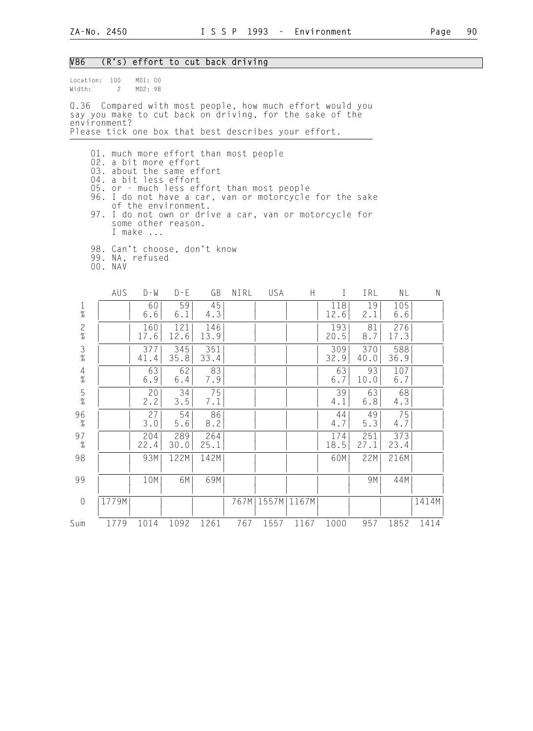### V86 (R's) effort to cut back driving

| Location: 100<br>Width:         | $\mathbf{2}$                                                                                                                                                                                                                                                                                                                               | MD1: 00<br>MD2: 98                                  |             |             |      |       |       |             |             |             |       |
|---------------------------------|--------------------------------------------------------------------------------------------------------------------------------------------------------------------------------------------------------------------------------------------------------------------------------------------------------------------------------------------|-----------------------------------------------------|-------------|-------------|------|-------|-------|-------------|-------------|-------------|-------|
|                                 | Q.36 Compared with most people, how much effort would you<br>say you make to cut back on driving, for the sake of the<br>environment?                                                                                                                                                                                                      |                                                     |             |             |      |       |       |             |             |             |       |
|                                 | Please tick one box that best describes your effort.                                                                                                                                                                                                                                                                                       |                                                     |             |             |      |       |       |             |             |             |       |
|                                 | 01. much more effort than most people<br>02. a bit more effort<br>03. about the same effort<br>04. a bit less effort<br>05. or - much less effort than most people<br>96. I do not have a car, van or motorcycle for the sake<br>97. I do not own or drive a car, van or motorcycle for<br>98. Can't choose, don't know<br>99. NA, refused | of the environment.<br>some other reason.<br>I make |             |             |      |       |       |             |             |             |       |
|                                 | 00. NAV<br>AUS                                                                                                                                                                                                                                                                                                                             | $D - W$                                             | $D - E$     | GB          | NIRL | USA   | H.    | $\bf{I}$    | IRL         | NL          | N     |
| $\frac{1}{\%}$                  |                                                                                                                                                                                                                                                                                                                                            | 60<br>6.6                                           | 59<br>6.1   | 45<br>4.3   |      |       |       | 118<br>12.6 | 19<br>2.1   | 105<br>6.6  |       |
| $\frac{2}{\%}$                  |                                                                                                                                                                                                                                                                                                                                            | 160<br>17.6                                         | 121<br>12.6 | 146<br>13.9 |      |       |       | 193<br>20.5 | 81<br>8.7   | 276<br>17.3 |       |
| $\frac{3}{8}$                   |                                                                                                                                                                                                                                                                                                                                            | 377<br>41.4                                         | 345<br>35.8 | 351<br>33.4 |      |       |       | 309<br>32.9 | 370<br>40.0 | 588<br>36.9 |       |
| $\overline{4}$<br>$\frac{1}{6}$ |                                                                                                                                                                                                                                                                                                                                            | 63<br>6.9                                           | 62<br>6.4   | 83<br>7.9   |      |       |       | 63<br>6.7   | 93<br>10.0  | 107<br>6.7  |       |
| $\frac{5}{\%}$                  |                                                                                                                                                                                                                                                                                                                                            | 20<br>2.2                                           | 34<br>$3.5$ | 75<br>7.1   |      |       |       | 39<br>4.1   | 63<br>6.8   | 68<br>4.3   |       |
| 96<br>$\%$                      |                                                                                                                                                                                                                                                                                                                                            | 27<br>3.0                                           | 54<br>$5.6$ | 86<br>8.2   |      |       |       | 44<br>4.7   | 49<br>5.3   | 75<br>4.7   |       |
| 97<br>$\%$                      |                                                                                                                                                                                                                                                                                                                                            | 204<br>22.4                                         | 289<br>30.0 | 264<br>25.1 |      |       |       | 174<br>18.5 | 251<br>27.1 | 373<br>23.4 |       |
| 98                              |                                                                                                                                                                                                                                                                                                                                            | 93M                                                 | 122M        | 142M        |      |       |       | 60M         | 22M         | 216M        |       |
| 99                              |                                                                                                                                                                                                                                                                                                                                            | 10M                                                 | 6M          | 69M         |      |       |       |             | 9M          | 44M         |       |
| $\mathbf 0$                     | 1779M                                                                                                                                                                                                                                                                                                                                      |                                                     |             |             | 767M | 1557M | 1167M |             |             |             | 1414M |
| Sum                             | 1779                                                                                                                                                                                                                                                                                                                                       | 1014                                                | 1092        | 1261        | 767  | 1557  | 1167  | 1000        | 957         | 1852        | 1414  |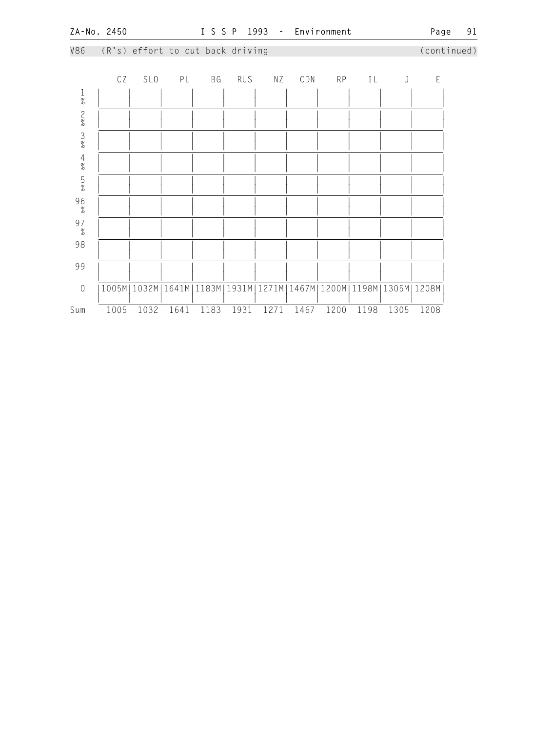**ZA-No. 2450 I S S P 1993 - Environment Page 91**  V86 (R's) effort to cut back driving (continued) CZ SLO PL BG RUS NZ CDN RP IL J E 1 | | | | | | | | | | | |  $\frac{1}{2}$   $\frac{1}{2}$   $\frac{1}{2}$   $\frac{1}{2}$   $\frac{1}{2}$   $\frac{1}{2}$   $\frac{1}{2}$   $\frac{1}{2}$   $\frac{1}{2}$   $\frac{1}{2}$   $\frac{1}{2}$   $\frac{1}{2}$   $\frac{1}{2}$   $\frac{1}{2}$   $\frac{1}{2}$   $\frac{1}{2}$   $\frac{1}{2}$   $\frac{1}{2}$   $\frac{1}{2}$   $\frac{1}{2}$   $\frac{1}{2}$   $\frac{1}{2}$  2 | | | | | | | | | | | | | | |  $\frac{1}{2}$   $\frac{1}{2}$   $\frac{1}{2}$   $\frac{1}{2}$   $\frac{1}{2}$   $\frac{1}{2}$   $\frac{1}{2}$   $\frac{1}{2}$   $\frac{1}{2}$   $\frac{1}{2}$   $\frac{1}{2}$   $\frac{1}{2}$   $\frac{1}{2}$   $\frac{1}{2}$   $\frac{1}{2}$   $\frac{1}{2}$   $\frac{1}{2}$   $\frac{1}{2}$   $\frac{1}{2}$   $\frac{1}{2}$   $\frac{1}{2}$   $\frac{1}{2}$  3 | | | | | | | | | | | |  $\frac{1}{2}$   $\frac{1}{2}$   $\frac{1}{2}$   $\frac{1}{2}$   $\frac{1}{2}$   $\frac{1}{2}$   $\frac{1}{2}$   $\frac{1}{2}$   $\frac{1}{2}$   $\frac{1}{2}$   $\frac{1}{2}$   $\frac{1}{2}$   $\frac{1}{2}$   $\frac{1}{2}$   $\frac{1}{2}$   $\frac{1}{2}$   $\frac{1}{2}$   $\frac{1}{2}$   $\frac{1}{2}$   $\frac{1}{2}$   $\frac{1}{2}$   $\frac{1}{2}$  4 | | | | | | | | | | | |  $\frac{1}{2}$   $\frac{1}{2}$   $\frac{1}{2}$   $\frac{1}{2}$   $\frac{1}{2}$   $\frac{1}{2}$   $\frac{1}{2}$   $\frac{1}{2}$   $\frac{1}{2}$   $\frac{1}{2}$   $\frac{1}{2}$   $\frac{1}{2}$   $\frac{1}{2}$   $\frac{1}{2}$   $\frac{1}{2}$   $\frac{1}{2}$   $\frac{1}{2}$   $\frac{1}{2}$   $\frac{1}{2}$   $\frac{1}{2}$   $\frac{1}{2}$   $\frac{1}{2}$  5 | | | | | | | | | | | |  $\frac{1}{2}$   $\frac{1}{2}$   $\frac{1}{2}$   $\frac{1}{2}$   $\frac{1}{2}$   $\frac{1}{2}$   $\frac{1}{2}$   $\frac{1}{2}$   $\frac{1}{2}$   $\frac{1}{2}$   $\frac{1}{2}$   $\frac{1}{2}$   $\frac{1}{2}$   $\frac{1}{2}$   $\frac{1}{2}$   $\frac{1}{2}$   $\frac{1}{2}$   $\frac{1}{2}$   $\frac{1}{2}$   $\frac{1}{2}$   $\frac{1}{2}$   $\frac{1}{2}$  96 | | | | | | | | | | | | | | |  $\frac{1}{2}$   $\frac{1}{2}$   $\frac{1}{2}$   $\frac{1}{2}$   $\frac{1}{2}$   $\frac{1}{2}$   $\frac{1}{2}$   $\frac{1}{2}$   $\frac{1}{2}$   $\frac{1}{2}$   $\frac{1}{2}$   $\frac{1}{2}$   $\frac{1}{2}$   $\frac{1}{2}$   $\frac{1}{2}$   $\frac{1}{2}$   $\frac{1}{2}$   $\frac{1}{2}$   $\frac{1}{2}$   $\frac{1}{2}$   $\frac{1}{2}$   $\frac{1}{2}$  97 | | | | | | | | | | | | | |  $\frac{1}{2}$   $\frac{1}{2}$   $\frac{1}{2}$   $\frac{1}{2}$   $\frac{1}{2}$   $\frac{1}{2}$   $\frac{1}{2}$   $\frac{1}{2}$   $\frac{1}{2}$   $\frac{1}{2}$   $\frac{1}{2}$   $\frac{1}{2}$   $\frac{1}{2}$   $\frac{1}{2}$   $\frac{1}{2}$   $\frac{1}{2}$   $\frac{1}{2}$   $\frac{1}{2}$   $\frac{1}{2}$   $\frac{1}{2}$   $\frac{1}{2}$   $\frac{1}{2}$  98 | | | | | | | | | | | | | | | | | | | | | | | | | | 99 | | | | | | | | | | | | | | | | | | | | | | | | 0 |1005M|1032M|1641M|1183M|1931M|1271M|1467M|1200M|1198M|1305M|1208M| | | | | | | | | | | | | Sum 1005 1032 1641 1183 1931 1271 1467 1200 1198 1305 1208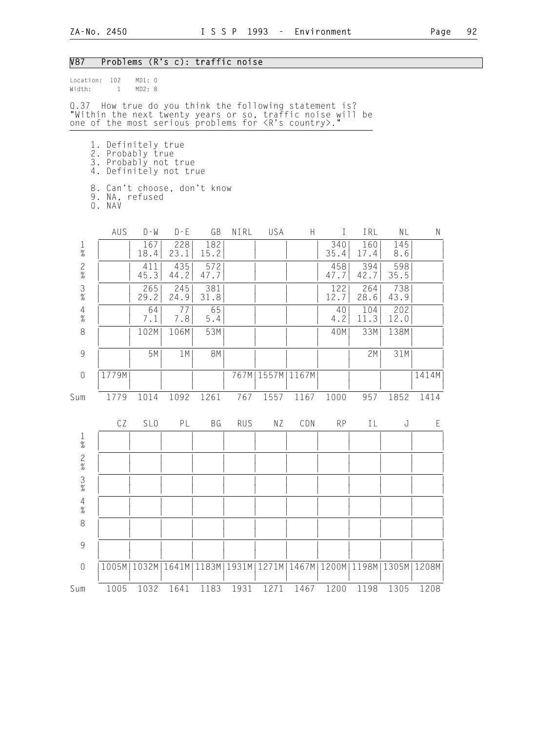# V87 Problems (R's c): traffic noise

| Location:<br>Width:                                       | 102<br>$\mathbf{1}$                                                                                                                                                                   | MD1: 0<br>MD2: 8 |             |             |            |       |               |             |             |                       |             |
|-----------------------------------------------------------|---------------------------------------------------------------------------------------------------------------------------------------------------------------------------------------|------------------|-------------|-------------|------------|-------|---------------|-------------|-------------|-----------------------|-------------|
|                                                           | Q.37 How true do you think the following statement is?<br>"Within the next twenty years or so, traffic noise will be<br>one of the most serious problems for <r's country="">."</r's> |                  |             |             |            |       |               |             |             |                       |             |
|                                                           | 1. Definitely true<br>2. Probably true<br>3. Probably not true<br>4. Definitely not true<br>8. Can't choose, don't know                                                               |                  |             |             |            |       |               |             |             |                       |             |
|                                                           | 9. NA, refused<br>O. NAV                                                                                                                                                              |                  |             |             |            |       |               |             |             |                       |             |
|                                                           | AUS                                                                                                                                                                                   | $D - W$          | $D - E$     | GB          | NIRL       | USA   | H             | $\bf{I}$    | IRL         | NL                    | N           |
| $\frac{1}{\%}$                                            |                                                                                                                                                                                       | 167<br>18.4      | 228<br>23.1 | 182<br>15.2 |            |       |               | 340<br>35.4 | 160<br>17.4 | 145<br>8.6            |             |
| $\frac{2}{\%}$                                            |                                                                                                                                                                                       | 411<br>45.3      | 435<br>44.2 | 572<br>47.7 |            |       |               | 458<br>47.7 | 394<br>42.7 | 598<br>35.5           |             |
| $\frac{3}{\%}$                                            |                                                                                                                                                                                       | 265<br>29.2      | 245<br>24.9 | 381<br>31.8 |            |       |               | 122<br>12.7 | 264<br>28.6 | 738<br>43.9           |             |
| $\frac{4}{\%}$                                            |                                                                                                                                                                                       | 64<br>7.1        | 77<br>7.8   | 65<br>$5.4$ |            |       |               | 40<br>4.2   | 104<br>11.3 | 202<br>12.0           |             |
| $\,8\,$                                                   |                                                                                                                                                                                       | 102M             | 106M        | 53M         |            |       |               | 40M         | 33M         | 138M                  |             |
| $\mathcal{G}% _{M_{1},M_{2}}^{\alpha,\beta}(\mathcal{A})$ |                                                                                                                                                                                       | 5M               | 1 M         | <b>8M</b>   |            |       |               |             | 2M          | 31M                   |             |
| $\mathbf 0$                                               | 1779M                                                                                                                                                                                 |                  |             |             | 767M       |       | 1557M   1167M |             |             |                       | 1414M       |
| Sum                                                       | 1779                                                                                                                                                                                  | 1014             | 1092        | 1261        | 767        | 1557  | 1167          | 1000        | 957         | 1852                  | 1414        |
|                                                           | CZ                                                                                                                                                                                    | SL <sub>0</sub>  | PL          | BG          | <b>RUS</b> | ΝZ    | CDN           | <b>RP</b>   | ΙL          | J                     | $\mathsf E$ |
| $\frac{1}{\%}$                                            |                                                                                                                                                                                       |                  |             |             |            |       |               |             |             |                       |             |
| $\overline{c}$<br>$\%$                                    |                                                                                                                                                                                       |                  |             |             |            |       |               |             |             |                       |             |
| $\frac{3}{\%}$                                            |                                                                                                                                                                                       |                  |             |             |            |       |               |             |             |                       |             |
| $\begin{array}{c} 4 \\ 2 \\ 0 \end{array}$                |                                                                                                                                                                                       |                  |             |             |            |       |               |             |             |                       |             |
| 8                                                         |                                                                                                                                                                                       |                  |             |             |            |       |               |             |             |                       |             |
| 9                                                         |                                                                                                                                                                                       |                  |             |             |            |       |               |             |             |                       |             |
| $\mathbf 0$                                               | 1005M                                                                                                                                                                                 | 1032M            | 1641M       | 1183M       | 1931M      | 1271M | 1467M   1200M |             |             | 1198M   1305M   1208M |             |
| Sum                                                       | 1005                                                                                                                                                                                  | 1032             | 1641        | 1183        | 1931       | 1271  | 1467          | 1200        | 1198        | 1305                  | 1208        |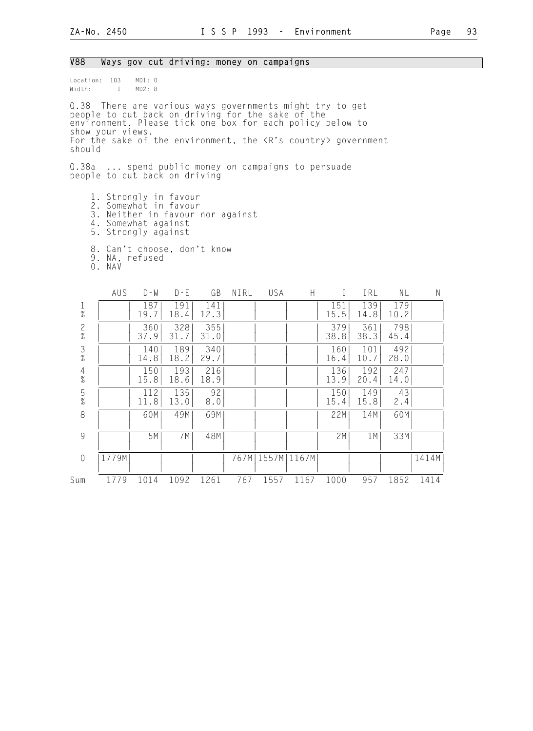#### V88 Ways gov cut driving: money on campaigns

Location: 103 MD1: 0<br>Width: 1 MD2: 8  $Width: 1$ 

Q.38 There are various ways governments might try to get people to cut back on driving for the sake of the environment. Please tick one box for each policy below to show your views. For the sake of the environment, the <R's country> government should

Q.38a ... spend public money on campaigns to persuade people to cut back on driving

- 1. Strongly in favour
- 2. Somewhat in favour
- 3. Neither in favour nor against
- 4. Somewhat against
- 5. Strongly against
	- 8. Can't choose, don't know
- 9. NA, refused
- 0. NAV

|                | AUS   | $D - W$     | $D - E$     | GB          | NIRL  | USA           | Н    |             | IRL         | NL          | N     |
|----------------|-------|-------------|-------------|-------------|-------|---------------|------|-------------|-------------|-------------|-------|
| $\frac{1}{\%}$ |       | 187<br>19.7 | 191<br>18.4 | 141<br>12.3 |       |               |      | 151<br>15.5 | 139<br>14.8 | 179<br>10.2 |       |
| $\frac{2}{\%}$ |       | 360<br>37.9 | 328<br>31.7 | 355<br>31.0 |       |               |      | 379<br>38.8 | 361<br>38.3 | 798<br>45.4 |       |
| $\frac{3}{8}$  |       | 140<br>14.8 | 189<br>18.2 | 340<br>29.7 |       |               |      | 160<br>16.4 | 101<br>10.7 | 492<br>28.0 |       |
| $\frac{4}{\%}$ |       | 150<br>15.8 | 193<br>18.6 | 216<br>18.9 |       |               |      | 136<br>13.9 | 192<br>20.4 | 247<br>14.0 |       |
| $\frac{5}{\%}$ |       | 112<br>11.8 | 135<br>13.0 | 92<br>8.0   |       |               |      | 150<br>15.4 | 149<br>15.8 | 43<br>2.4   |       |
| 8              |       | 60M         | 49M         | 69M         |       |               |      | 22M         | 14M         | 60M         |       |
| 9              |       | 5M          | 7M          | 48M         |       |               |      | 2M          | 1M          | 33M         |       |
| $\overline{0}$ | 1779M |             |             |             | 767MI | 1557M   1167M |      |             |             |             | 1414M |
| Sum            | 1779  | 1014        | 1092        | 1261        | 767   | 1557          | 1167 | 1000        | 957         | 1852        | 1414  |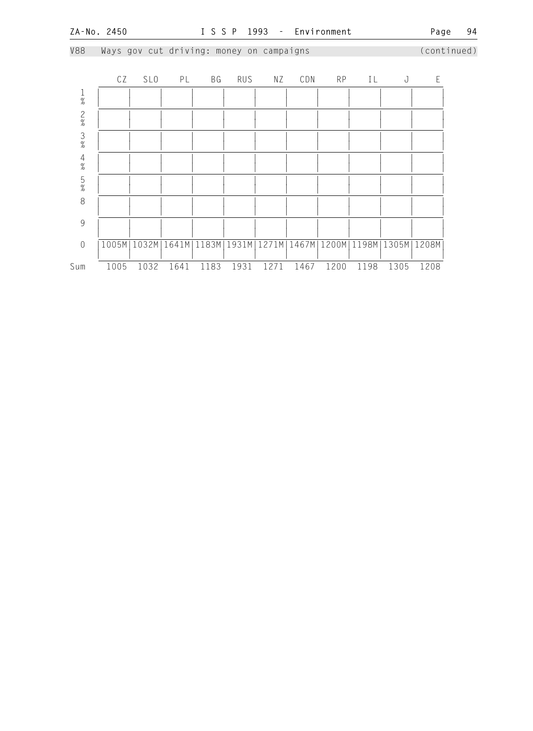V88 Ways gov cut driving: money on campaigns (continued) CZ SLO PL BG RUS NZ CDN RP IL J E 1 | | | | | | | | | | | |  $\frac{1}{2}$   $\frac{1}{2}$   $\frac{1}{2}$   $\frac{1}{2}$   $\frac{1}{2}$   $\frac{1}{2}$   $\frac{1}{2}$   $\frac{1}{2}$   $\frac{1}{2}$   $\frac{1}{2}$   $\frac{1}{2}$   $\frac{1}{2}$   $\frac{1}{2}$   $\frac{1}{2}$   $\frac{1}{2}$   $\frac{1}{2}$   $\frac{1}{2}$   $\frac{1}{2}$   $\frac{1}{2}$   $\frac{1}{2}$   $\frac{1}{2}$   $\frac{1}{2}$  2 | | | | | | | | | | | | | | |  $\frac{1}{2}$   $\frac{1}{2}$   $\frac{1}{2}$   $\frac{1}{2}$   $\frac{1}{2}$   $\frac{1}{2}$   $\frac{1}{2}$   $\frac{1}{2}$   $\frac{1}{2}$   $\frac{1}{2}$   $\frac{1}{2}$   $\frac{1}{2}$   $\frac{1}{2}$   $\frac{1}{2}$   $\frac{1}{2}$   $\frac{1}{2}$   $\frac{1}{2}$   $\frac{1}{2}$   $\frac{1}{2}$   $\frac{1}{2}$   $\frac{1}{2}$   $\frac{1}{2}$  3 | | | | | | | | | | | |  $\frac{1}{2}$   $\frac{1}{2}$   $\frac{1}{2}$   $\frac{1}{2}$   $\frac{1}{2}$   $\frac{1}{2}$   $\frac{1}{2}$   $\frac{1}{2}$   $\frac{1}{2}$   $\frac{1}{2}$   $\frac{1}{2}$   $\frac{1}{2}$   $\frac{1}{2}$   $\frac{1}{2}$   $\frac{1}{2}$   $\frac{1}{2}$   $\frac{1}{2}$   $\frac{1}{2}$   $\frac{1}{2}$   $\frac{1}{2}$   $\frac{1}{2}$   $\frac{1}{2}$  4 | | | | | | | | | | | |  $\frac{1}{2}$   $\frac{1}{2}$   $\frac{1}{2}$   $\frac{1}{2}$   $\frac{1}{2}$   $\frac{1}{2}$   $\frac{1}{2}$   $\frac{1}{2}$   $\frac{1}{2}$   $\frac{1}{2}$   $\frac{1}{2}$   $\frac{1}{2}$   $\frac{1}{2}$   $\frac{1}{2}$   $\frac{1}{2}$   $\frac{1}{2}$   $\frac{1}{2}$   $\frac{1}{2}$   $\frac{1}{2}$   $\frac{1}{2}$   $\frac{1}{2}$   $\frac{1}{2}$  5 | | | | | | | | | | | |  $\frac{1}{2}$   $\frac{1}{2}$   $\frac{1}{2}$   $\frac{1}{2}$   $\frac{1}{2}$   $\frac{1}{2}$   $\frac{1}{2}$   $\frac{1}{2}$   $\frac{1}{2}$   $\frac{1}{2}$   $\frac{1}{2}$   $\frac{1}{2}$   $\frac{1}{2}$   $\frac{1}{2}$   $\frac{1}{2}$   $\frac{1}{2}$   $\frac{1}{2}$   $\frac{1}{2}$   $\frac{1}{2}$   $\frac{1}{2}$   $\frac{1}{2}$   $\frac{1}{2}$  8 | | | | | | | | | | | | | | | | | | | | | | | | | | 9 | | | | | | | | | | | | | | | | | | | | | | | | 0 |1005M|1032M|1641M|1183M|1931M|1271M|1467M|1200M|1198M|1305M|1208M| | | | | | | | | | | | | Sum 1005 1032 1641 1183 1931 1271 1467 1200 1198 1305 1208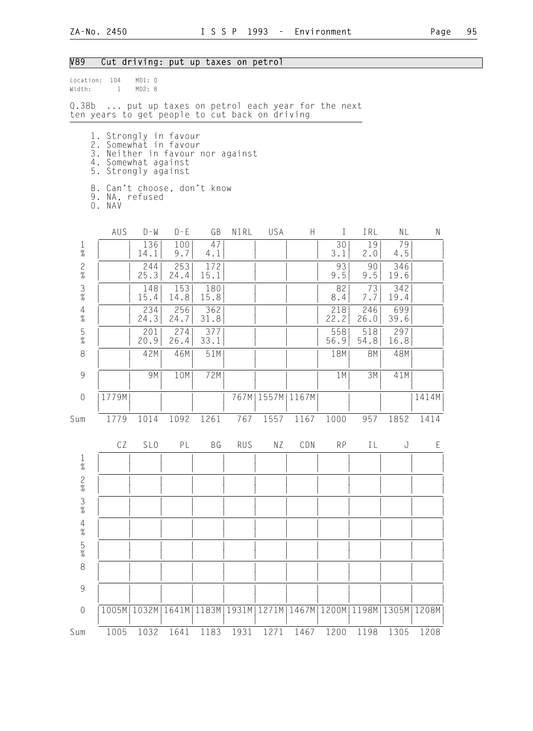# V89 Cut driving: put up taxes on petrol

| Width:                 | Location: 104<br>$\mathbf{1}$                                                                                                                                                               | MD1: 0<br>MD2: 8                                                  |             |             |            |      |                      |             |             |             |       |
|------------------------|---------------------------------------------------------------------------------------------------------------------------------------------------------------------------------------------|-------------------------------------------------------------------|-------------|-------------|------------|------|----------------------|-------------|-------------|-------------|-------|
|                        | Q.38b  put up taxes on petrol each year for the next<br>ten years to get people to cut back on driving                                                                                      |                                                                   |             |             |            |      |                      |             |             |             |       |
|                        | 1. Strongly in favour<br>2. Somewhat in favour<br>3. Neither in favour nor against<br>4. Somewhat against<br>5. Strongly against<br>8. Can't choose, don't know<br>9. NA, refused<br>O. NAV |                                                                   |             |             |            |      |                      |             |             |             |       |
|                        | AUS                                                                                                                                                                                         | $D - W$                                                           | $D - E$     | GB          | NIRL       | USA  | H                    | $\bf{I}$    | IRL         | NL          | N     |
| $\frac{1}{\%}$         |                                                                                                                                                                                             | 136<br>14.1                                                       | 100<br>9.7  | 47<br>4.1   |            |      |                      | 30<br>3.1   | 19<br>2.0   | 79<br>4.5   |       |
| $\frac{2}{\%}$         |                                                                                                                                                                                             | 244<br>25.3                                                       | 253<br>24.4 | 172<br>15.1 |            |      |                      | 93<br>9.5   | 90<br>9.5   | 346<br>19.6 |       |
| $\frac{3}{8}$          |                                                                                                                                                                                             | 148<br>15.4                                                       | 153<br>14.8 | 180<br>15.8 |            |      |                      | 82<br>8.4   | 73<br>7.7   | 342<br>19.4 |       |
| $\overline{4}$<br>$\%$ |                                                                                                                                                                                             | 234<br>24.3                                                       | 256<br>24.7 | 362<br>31.8 |            |      |                      | 218<br>22.2 | 246<br>26.0 | 699<br>39.6 |       |
| $\frac{5}{\%}$         |                                                                                                                                                                                             | 201<br>20.9                                                       | 274<br>26.4 | 377<br>33.1 |            |      |                      | 558<br>56.9 | 518<br>54.8 | 297<br>16.8 |       |
| 8                      |                                                                                                                                                                                             | 42M                                                               | 46M         | 51M         |            |      |                      | 18M         | 8M          | 48M         |       |
| 9                      |                                                                                                                                                                                             | 9M                                                                | 10M         | 72M         |            |      |                      | 1M          | 3M          | 41M         |       |
| $\sqrt{a}$             | 1779M                                                                                                                                                                                       |                                                                   |             |             |            |      | 767M   1557M   1167M |             |             |             | 1414M |
| Sum                    | 1779                                                                                                                                                                                        | 1014                                                              | 1092        | 1261        | 767        | 1557 | 1167                 | 1000        | 957         | 1852        | 1414  |
|                        | CZ                                                                                                                                                                                          | SL <sub>0</sub>                                                   | PL          | BG          | <b>RUS</b> | ΝZ   | CDN                  | <b>RP</b>   | IL          | J           | Ε     |
| $\mathbf{1}$<br>$\%$   |                                                                                                                                                                                             |                                                                   |             |             |            |      |                      |             |             |             |       |
| $\frac{2}{\%}$         |                                                                                                                                                                                             |                                                                   |             |             |            |      |                      |             |             |             |       |
| $\frac{3}{%}$          |                                                                                                                                                                                             |                                                                   |             |             |            |      |                      |             |             |             |       |
| $\frac{4}{\%}$         |                                                                                                                                                                                             |                                                                   |             |             |            |      |                      |             |             |             |       |
| $\frac{5}{\%}$         |                                                                                                                                                                                             |                                                                   |             |             |            |      |                      |             |             |             |       |
| 8                      |                                                                                                                                                                                             |                                                                   |             |             |            |      |                      |             |             |             |       |
| $\mathcal{G}$          |                                                                                                                                                                                             |                                                                   |             |             |            |      |                      |             |             |             |       |
| $\sqrt{a}$             |                                                                                                                                                                                             | 1005M 1032M 1641M 1183M 1931M 1271M 1467M 1200M 1198M 1305M 1208M |             |             |            |      |                      |             |             |             |       |
| Sum                    | 1005                                                                                                                                                                                        | 1032                                                              | 1641        | 1183        | 1931       | 1271 | 1467                 | 1200        | 1198        | 1305        | 1208  |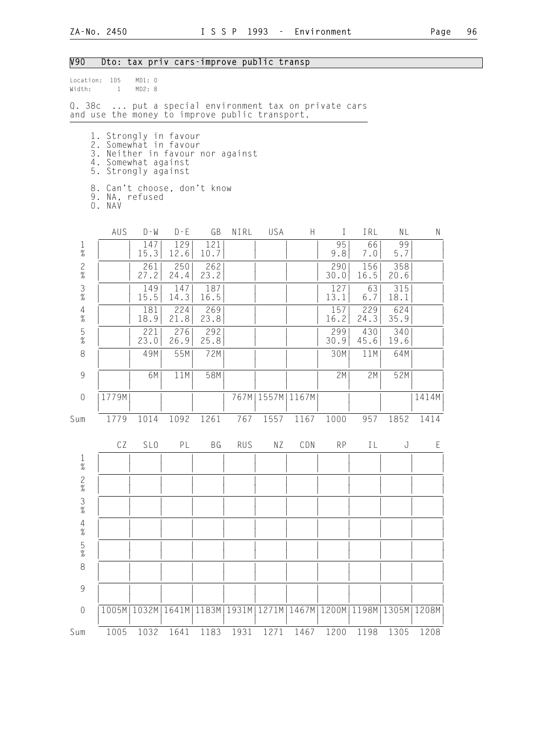# V90 Dto: tax priv cars-improve public transp

| Location:<br>Width:                                       | 105<br>$\mathbf{1}$                                                                                                                                                                         | MD1: 0<br>MD2: 8                              |             |               |            |       |                      |             |             |               |       |
|-----------------------------------------------------------|---------------------------------------------------------------------------------------------------------------------------------------------------------------------------------------------|-----------------------------------------------|-------------|---------------|------------|-------|----------------------|-------------|-------------|---------------|-------|
| Q. 38c                                                    | and use the money to improve public transport.                                                                                                                                              | put a special environment tax on private cars |             |               |            |       |                      |             |             |               |       |
|                                                           | 1. Strongly in favour<br>2. Somewhat in favour<br>3. Neither in favour nor against<br>4. Somewhat against<br>5. Strongly against<br>8. Can't choose, don't know<br>9. NA, refused<br>O. NAV |                                               |             |               |            |       |                      |             |             |               |       |
|                                                           | AUS                                                                                                                                                                                         | $D - W$                                       | $D - E$     | GB            | NIRL       | USA   | H                    | $\perp$     | IRL         | NL            | N     |
| $\frac{1}{\%}$                                            |                                                                                                                                                                                             | 147<br>15.3                                   | 129<br>12.6 | 121<br>10.7   |            |       |                      | 95<br>9.8   | 66<br>7.0   | 99<br>5.7     |       |
| $\frac{2}{\%}$                                            |                                                                                                                                                                                             | 261<br>27.2                                   | 250<br>24.4 | 262<br>23.2   |            |       |                      | 290<br>30.0 | 156<br>16.5 | 358<br>20.6   |       |
| $\frac{3}{\%}$                                            |                                                                                                                                                                                             | 149<br>15.5                                   | 147<br>14.3 | 187<br>16.5   |            |       |                      | 127<br>13.1 | 63<br>6.7   | 315<br>18.1   |       |
| $\frac{4}{\%}$                                            |                                                                                                                                                                                             | 181<br>18.9                                   | 224<br>21.8 | 269<br>23.8   |            |       |                      | 157<br>16.2 | 229<br>24.3 | 624<br>35.9   |       |
| $\frac{5}{\%}$                                            |                                                                                                                                                                                             | 221<br>23.0                                   | 276<br>26.9 | 292<br>25.8   |            |       |                      | 299<br>30.9 | 430<br>45.6 | 340<br>19.6   |       |
| $\,8\,$                                                   |                                                                                                                                                                                             | 49M                                           | 55M         | 72M           |            |       |                      | 30M         | 11M         | 64M           |       |
| $\mathcal{G}% _{M_{1},M_{2}}^{\alpha,\beta}(\mathcal{A})$ |                                                                                                                                                                                             | 6M                                            | 11M         | 58M           |            |       |                      | 2M          | 2M          | 52M           |       |
| $\mathbf 0$                                               | 1779M                                                                                                                                                                                       |                                               |             |               |            |       | 767M   1557M   1167M |             |             |               | 1414M |
| Sum                                                       | 1779                                                                                                                                                                                        | 1014                                          | 1092        | 1261          | 767        | 1557  | 1167                 | 1000        | 957         | 1852          | 1414  |
|                                                           | CZ                                                                                                                                                                                          | SL <sub>0</sub>                               | PL          | BG            | <b>RUS</b> | ΝZ    | CDN                  | <b>RP</b>   | ΙL          | J             | E     |
| $\mathbf{1}$<br>%                                         |                                                                                                                                                                                             |                                               |             |               |            |       |                      |             |             |               |       |
| $\frac{2}{\%}$                                            |                                                                                                                                                                                             |                                               |             |               |            |       |                      |             |             |               |       |
| $\frac{3}{8}$                                             |                                                                                                                                                                                             |                                               |             |               |            |       |                      |             |             |               |       |
| $\frac{4}{\%}$                                            |                                                                                                                                                                                             |                                               |             |               |            |       |                      |             |             |               |       |
| $\frac{5}{\%}$                                            |                                                                                                                                                                                             |                                               |             |               |            |       |                      |             |             |               |       |
| 8                                                         |                                                                                                                                                                                             |                                               |             |               |            |       |                      |             |             |               |       |
| $\overline{9}$                                            |                                                                                                                                                                                             |                                               |             |               |            |       |                      |             |             |               |       |
| $\mathbf 0$                                               | 1005M                                                                                                                                                                                       | 1032M                                         | 1641M       | 1183M   1931M |            | 1271M | 1467M                | 1200M       |             | 1198M   1305M | 1208M |
| Sum                                                       | 1005                                                                                                                                                                                        | 1032                                          | 1641        | 1183          | 1931       | 1271  | 1467                 | 1200        | 1198        | 1305          | 1208  |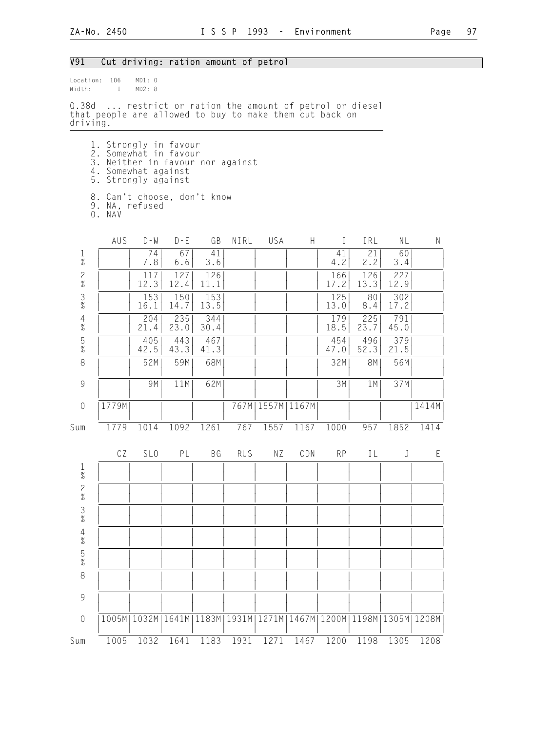#### V91 Cut driving: ration amount of petrol

Location: 106 MD1: 0<br>Width: 1 MD2: 8  $Width: 1$ Q.38d ... restrict or ration the amount of petrol or diesel that people are allowed to buy to make them cut back on driving. 1. Strongly in favour 2. Somewhat in favour 3. Neither in favour nor against 4. Somewhat against 5. Strongly against 8. Can't choose, don't know 9. NA, refused 0. NAV AUS D-W D-E GB NIRL USA H I IRL NL N 1 | | 74| 67| 41| | | | 41| 21| 60| | % | | 7.8| 6.6| 3.6| | | | 4.2| 2.2| 3.4| | 2 | | 117| 127| 126| | | | 166| 126| 227| | % | | 12.3| 12.4| 11.1| | | | 17.2| 13.3| 12.9| | 3 | | 153| 150| 153| | | | 125| 80| 302| | % | | 16.1| 14.7| 13.5| | | | 13.0| 8.4| 17.2| | 4 | | 204| 235| 344| | | | 179| 225| 791| |  $\%$  | | 21.4 | 23.0 | 30.4 | | | | | | | 18.5 | 23.7 | 45.0 | | 5 | | 405| 443| 467| | | | 454| 496| 379| |  $\%$  | | 42.5| 43.3| 41.3| | | | 47.0| 52.3| 21.5| | 8 | | 52M| 59M| 68M| | | | | | 32M| 8M| 56M| | | | | | | | | | | | | | 9 | | 9M| 11M| 62M| | | | 3M| 1M| 37M| | | | | | | | | | | | | | 0 |1779M| | | | 767M|1557M|1167M| | | | |1414M| | | | | | | | | | | | | Sum 1779 1014 1092 1261 767 1557 1167 1000 957 1852 1414 CZ SLO PL BG RUS NZ CDN RP IL J E 1 | | | | | | | | | | | |  $\frac{1}{2}$   $\frac{1}{2}$   $\frac{1}{2}$   $\frac{1}{2}$   $\frac{1}{2}$   $\frac{1}{2}$   $\frac{1}{2}$   $\frac{1}{2}$   $\frac{1}{2}$   $\frac{1}{2}$   $\frac{1}{2}$   $\frac{1}{2}$   $\frac{1}{2}$   $\frac{1}{2}$   $\frac{1}{2}$   $\frac{1}{2}$   $\frac{1}{2}$   $\frac{1}{2}$   $\frac{1}{2}$   $\frac{1}{2}$   $\frac{1}{2}$   $\frac{1}{2}$  2 | | | | | | | | | | | |  $\frac{1}{2}$   $\frac{1}{2}$   $\frac{1}{2}$   $\frac{1}{2}$   $\frac{1}{2}$   $\frac{1}{2}$   $\frac{1}{2}$   $\frac{1}{2}$   $\frac{1}{2}$   $\frac{1}{2}$   $\frac{1}{2}$   $\frac{1}{2}$   $\frac{1}{2}$   $\frac{1}{2}$   $\frac{1}{2}$   $\frac{1}{2}$   $\frac{1}{2}$   $\frac{1}{2}$   $\frac{1}{2}$   $\frac{1}{2}$   $\frac{1}{2}$   $\frac{1}{2}$  3 | | | | | | | | | | | |  $\frac{1}{2}$   $\frac{1}{2}$   $\frac{1}{2}$   $\frac{1}{2}$   $\frac{1}{2}$   $\frac{1}{2}$   $\frac{1}{2}$   $\frac{1}{2}$   $\frac{1}{2}$   $\frac{1}{2}$   $\frac{1}{2}$   $\frac{1}{2}$   $\frac{1}{2}$   $\frac{1}{2}$   $\frac{1}{2}$   $\frac{1}{2}$   $\frac{1}{2}$   $\frac{1}{2}$   $\frac{1}{2}$   $\frac{1}{2}$   $\frac{1}{2}$   $\frac{1}{2}$  4 | | | | | | | | | | | |  $\frac{1}{2}$   $\frac{1}{2}$   $\frac{1}{2}$   $\frac{1}{2}$   $\frac{1}{2}$   $\frac{1}{2}$   $\frac{1}{2}$   $\frac{1}{2}$   $\frac{1}{2}$   $\frac{1}{2}$   $\frac{1}{2}$   $\frac{1}{2}$   $\frac{1}{2}$   $\frac{1}{2}$   $\frac{1}{2}$   $\frac{1}{2}$   $\frac{1}{2}$   $\frac{1}{2}$   $\frac{1}{2}$   $\frac{1}{2}$   $\frac{1}{2}$   $\frac{1}{2}$  5 | | | | | | | | | | | |  $\frac{1}{2}$   $\frac{1}{2}$   $\frac{1}{2}$   $\frac{1}{2}$   $\frac{1}{2}$   $\frac{1}{2}$   $\frac{1}{2}$   $\frac{1}{2}$   $\frac{1}{2}$   $\frac{1}{2}$   $\frac{1}{2}$   $\frac{1}{2}$   $\frac{1}{2}$   $\frac{1}{2}$   $\frac{1}{2}$   $\frac{1}{2}$   $\frac{1}{2}$   $\frac{1}{2}$   $\frac{1}{2}$   $\frac{1}{2}$   $\frac{1}{2}$   $\frac{1}{2}$  8 | | | | | | | | | | | | | | | | | | | | | | | | | | 9 | | | | | | | | | | | | | | | | | | | | | | | | 0 |1005M|1032M|1641M|1183M|1931M|1271M|1467M|1200M|1198M|1305M|1208M| | | | | | | | | | | | | Sum 1005 1032 1641 1183 1931 1271 1467 1200 1198 1305 1208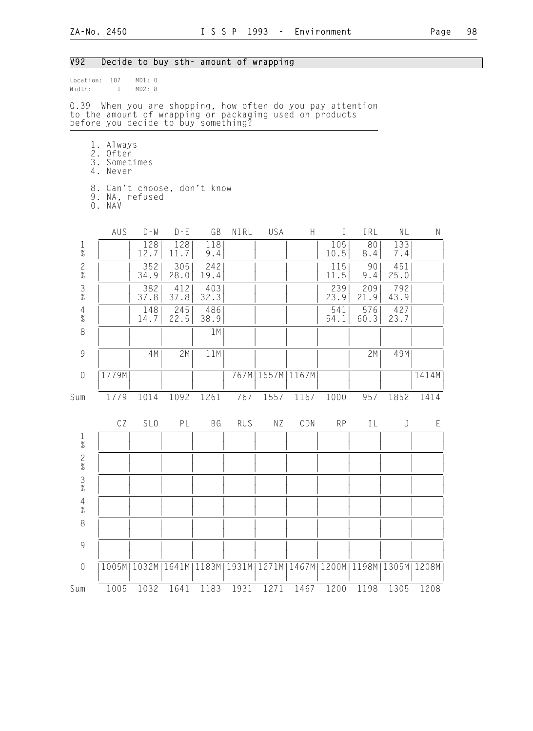# V92 Decide to buy sth- amount of wrapping

| Width:                                                    | Location: 107<br>$\mathbf{1}$                                                                                                                                | MD1: 0<br>MD2: 8 |             |             |            |                      |               |              |             |               |       |
|-----------------------------------------------------------|--------------------------------------------------------------------------------------------------------------------------------------------------------------|------------------|-------------|-------------|------------|----------------------|---------------|--------------|-------------|---------------|-------|
|                                                           | Q.39 When you are shopping, how often do you pay attention<br>to the amount of wrapping or packaging used on products<br>before you decide to buy something? |                  |             |             |            |                      |               |              |             |               |       |
|                                                           | 1. Always<br>2. Often<br>3. Sometimes<br>4. Never                                                                                                            |                  |             |             |            |                      |               |              |             |               |       |
|                                                           | 8. Can't choose, don't know<br>9. NA, refused<br>O. NAV                                                                                                      |                  |             |             |            |                      |               |              |             |               |       |
|                                                           | AUS                                                                                                                                                          | $D - M$          | $D - E$     | GB          | NIRL       | USA                  | H             | $\mathbf{I}$ | IRL         | NL            | N     |
| $1\,$<br>$\%$                                             |                                                                                                                                                              | 128<br>12.7      | 128<br>11.7 | 118<br>9.4  |            |                      |               | 105<br>10.5  | 80<br>8.4   | 133<br>7.4    |       |
| $\frac{2}{\%}$                                            |                                                                                                                                                              | 352<br>34.9      | 305<br>28.0 | 242<br>19.4 |            |                      |               | 115<br>11.5  | 90<br>9.4   | 451<br>25.0   |       |
| $\frac{3}{\%}$                                            |                                                                                                                                                              | 382<br>37.8      | 412<br>37.8 | 403<br>32.3 |            |                      |               | 239<br>23.9  | 209<br>21.9 | 792<br>43.9   |       |
| $\frac{4}{\%}$                                            |                                                                                                                                                              | 148<br>14.7      | 245<br>22.5 | 486<br>38.9 |            |                      |               | 541<br>54.1  | 576<br>60.3 | 427<br>23.7   |       |
| 8                                                         |                                                                                                                                                              |                  |             | 1M          |            |                      |               |              |             |               |       |
| $\mathcal{G}% _{M_{1},M_{2}}^{\alpha,\beta}(\mathcal{G})$ |                                                                                                                                                              | 4M               | 2M          | 11M         |            |                      |               |              | 2M          | 49M           |       |
| $\mathbf 0$                                               | 1779M                                                                                                                                                        |                  |             |             |            | 767M   1557M   1167M |               |              |             |               | 1414M |
| Sum                                                       | 1779                                                                                                                                                         | 1014             | 1092        | 1261        | 767        | 1557                 | 1167          | 1000         | 957         | 1852          | 1414  |
|                                                           | CZ                                                                                                                                                           | SL <sub>0</sub>  | PL          | <b>BG</b>   | <b>RUS</b> | ΝZ                   | CDN           | <b>RP</b>    | IL          | J             | E     |
| $\frac{1}{\%}$                                            |                                                                                                                                                              |                  |             |             |            |                      |               |              |             |               |       |
| $\mathbf{2}$<br>$\%$                                      |                                                                                                                                                              |                  |             |             |            |                      |               |              |             |               |       |
| $\frac{3}{%}$                                             |                                                                                                                                                              |                  |             |             |            |                      |               |              |             |               |       |
| $\begin{array}{c} 4 \\ 2 \\ 0 \end{array}$                |                                                                                                                                                              |                  |             |             |            |                      |               |              |             |               |       |
| $\,8\,$                                                   |                                                                                                                                                              |                  |             |             |            |                      |               |              |             |               |       |
| 9                                                         |                                                                                                                                                              |                  |             |             |            |                      |               |              |             |               |       |
| $\mathbf 0$                                               |                                                                                                                                                              | 1005M   1032M    | 1641M       | 1183M       | 1931M      | 1271M                | 1467M   1200M |              | 1198M       | 1305M   1208M |       |
| Sum                                                       | 1005                                                                                                                                                         | 1032             | 1641        | 1183        | 1931       | 1271                 | 1467          | 1200         | 1198        | 1305          | 1208  |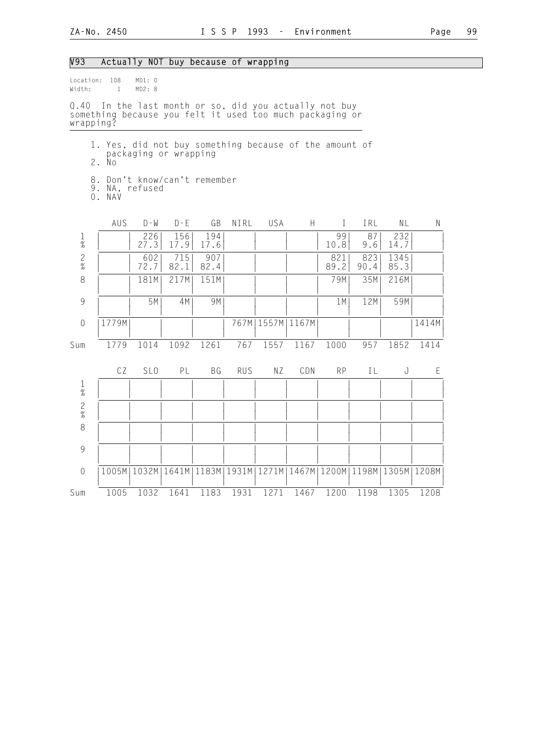| V93                                                      |                                                                                                                    |                  | Actually NOT buy because of wrapping                              |             |            |                      |      |             |             |              |       |  |  |  |
|----------------------------------------------------------|--------------------------------------------------------------------------------------------------------------------|------------------|-------------------------------------------------------------------|-------------|------------|----------------------|------|-------------|-------------|--------------|-------|--|--|--|
| Location: 108<br>Width:                                  | $\mathbf{1}$                                                                                                       | MD1: 0<br>MD2: 8 |                                                                   |             |            |                      |      |             |             |              |       |  |  |  |
| wrapping?                                                | Q.40 In the last month or so, did you actually not buy<br>something because you felt it used too much packaging or |                  |                                                                   |             |            |                      |      |             |             |              |       |  |  |  |
|                                                          | 1. Yes, did not buy something because of the amount of<br>packaging or wrapping<br>2. No                           |                  |                                                                   |             |            |                      |      |             |             |              |       |  |  |  |
| 8. Don't know/can't remember<br>9. NA, refused<br>0. NAV |                                                                                                                    |                  |                                                                   |             |            |                      |      |             |             |              |       |  |  |  |
|                                                          | AUS                                                                                                                | $D - W$          | $D - E$                                                           | GB          | NIRL       | USA                  | H    | $\bf{I}$    | IRL         | NL           | N     |  |  |  |
| $\mathbf 1$<br>$\%$                                      |                                                                                                                    | 226<br>27.3      | 156<br>17.9                                                       | 194<br>17.6 |            |                      |      | 99<br>10.8  | 87<br>9.6   | 232<br>14.7  |       |  |  |  |
| $\mathbf{2}$<br>$\%$                                     |                                                                                                                    | 602<br>72.7      | 715<br>82.1                                                       | 907<br>82.4 |            |                      |      | 821<br>89.2 | 823<br>90.4 | 1345<br>85.3 |       |  |  |  |
| $\,8\,$                                                  |                                                                                                                    | 181M             | 217M                                                              | 151M        |            |                      |      | 79M         | 35M         | 216M         |       |  |  |  |
| $\overline{9}$                                           |                                                                                                                    | 5M               | 4M                                                                | 9M          |            |                      |      | 1M          | 12M         | 59M          |       |  |  |  |
| $\mathbf 0$                                              | 1779M                                                                                                              |                  |                                                                   |             |            | 767M   1557M   1167M |      |             |             |              | 1414M |  |  |  |
| Sum                                                      | 1779                                                                                                               | 1014             | 1092                                                              | 1261        | 767        | 1557                 | 1167 | 1000        | 957         | 1852         | 1414  |  |  |  |
|                                                          | CZ                                                                                                                 | SL <sub>0</sub>  | PL                                                                | ΒG          | <b>RUS</b> | ΝZ                   | CDN  | <b>RP</b>   | ΙL          | J            | Ε     |  |  |  |
| $\frac{1}{\%}$                                           |                                                                                                                    |                  |                                                                   |             |            |                      |      |             |             |              |       |  |  |  |
| $\mathbf{2}$<br>$\overline{\mathcal{U}}$                 |                                                                                                                    |                  |                                                                   |             |            |                      |      |             |             |              |       |  |  |  |
| $\,8\,$                                                  |                                                                                                                    |                  |                                                                   |             |            |                      |      |             |             |              |       |  |  |  |
| 9                                                        |                                                                                                                    |                  |                                                                   |             |            |                      |      |             |             |              |       |  |  |  |
| $\mathbf 0$                                              |                                                                                                                    |                  | 1005M 1032M 1641M 1183M 1931M 1271M 1467M 1200M 1198M 1305M 1208M |             |            |                      |      |             |             |              |       |  |  |  |
| Sum                                                      | 1005                                                                                                               | 1032             | 1641                                                              | 1183        | 1931       | 1271                 | 1467 | 1200        | 1198        | 1305         | 1208  |  |  |  |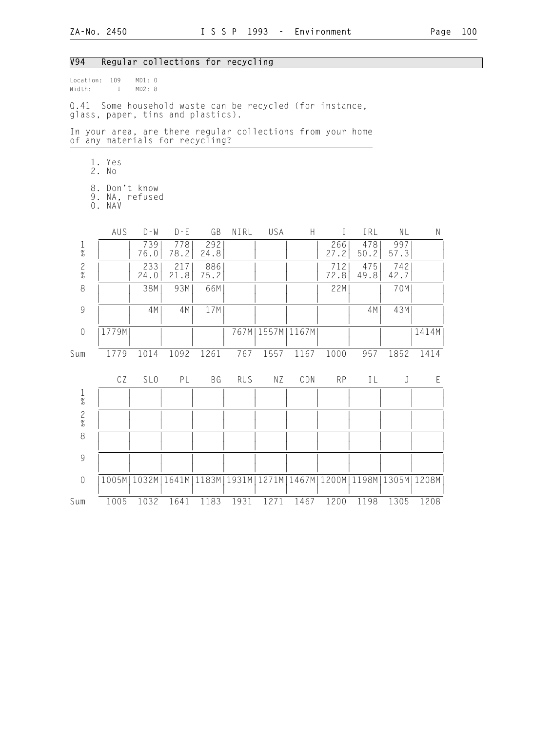### V94 Regular collections for recycling

Location: 109 MD1: 0 Width: 1 MD2: 8

Q.41 Some household waste can be recycled (for instance, glass, paper, tins and plastics).

In your area, are there regular collections from your home of any materials for recycling?

- 1. Yes
- 2. No
	- 8. Don't know
- 9. NA, refused
- 0. NAV

|                | AUS   | $D - W$         | $D - F$     | GB          | NIRL       | USA  | $\mathsf{H}$                                                      | T           | IRL         | NL          | $\mathsf{N}$ |
|----------------|-------|-----------------|-------------|-------------|------------|------|-------------------------------------------------------------------|-------------|-------------|-------------|--------------|
| $\frac{1}{\%}$ |       | 739<br>76.0     | 778<br>78.2 | 292<br>24.8 |            |      |                                                                   | 266<br>27.2 | 478<br>50.2 | 997<br>57.3 |              |
| $\frac{2}{\%}$ |       | 233<br>24.0     | 217<br>21.8 | 886<br>75.2 |            |      |                                                                   | 712<br>72.8 | 475<br>49.8 | 742<br>42.7 |              |
| 8              |       | 38M             | 93M         | 66M         |            |      |                                                                   | 22M         |             | 70M         |              |
| 9              |       | 4M              | 4M          | 17M         |            |      |                                                                   |             | 4M          | 43M         |              |
| $\mathbf 0$    | 1779M |                 |             |             | 767M       |      | 1557M   1167M                                                     |             |             |             | 1414M        |
| Sum            | 1779  | 1014            | 1092        | 1261        | 767        | 1557 | 1167                                                              | 1000        | 957         | 1852        | 1414         |
|                | CZ    | SL <sub>0</sub> | PL          | BG          | <b>RUS</b> | ΝZ   | CDN                                                               | <b>RP</b>   | IL          | J           | E            |
| $\frac{1}{\%}$ |       |                 |             |             |            |      |                                                                   |             |             |             |              |
| $\frac{2}{\%}$ |       |                 |             |             |            |      |                                                                   |             |             |             |              |
| 8              |       |                 |             |             |            |      |                                                                   |             |             |             |              |
| $\overline{9}$ |       |                 |             |             |            |      |                                                                   |             |             |             |              |
| $\mathbf 0$    |       |                 |             |             |            |      | 1005M 1032M 1641M 1183M 1931M 1271M 1467M 1200M 1198M 1305M 1208M |             |             |             |              |
| Sum            | 1005  | 1032            | 1641        | 1183        | 1931       | 1271 | 1467                                                              | 1200        | 1198        | 1305        | 1208         |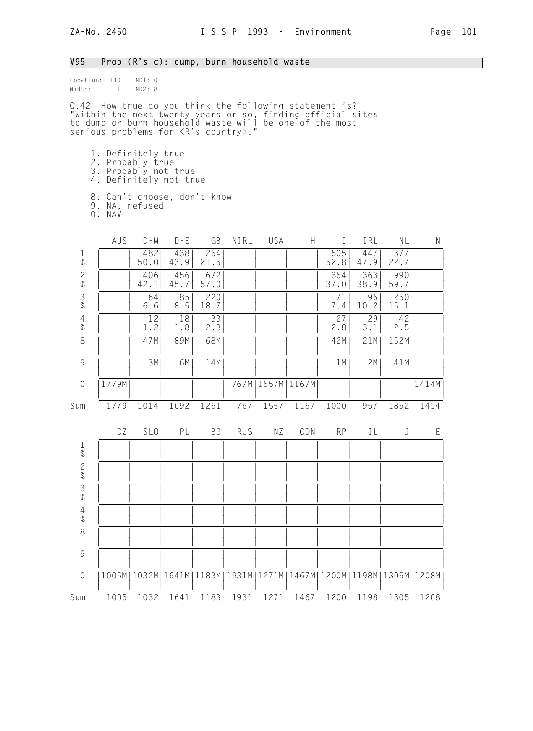| V95                                                       |                                                                                                                                                                                                                                   | Prob (R's c): dump, burn household waste |             |             |            |                      |       |              |             |               |       |
|-----------------------------------------------------------|-----------------------------------------------------------------------------------------------------------------------------------------------------------------------------------------------------------------------------------|------------------------------------------|-------------|-------------|------------|----------------------|-------|--------------|-------------|---------------|-------|
| Width:                                                    | Location: 110<br>$\mathbf{1}$                                                                                                                                                                                                     | MD1: 0<br>MD2: 8                         |             |             |            |                      |       |              |             |               |       |
|                                                           | Q.42 How true do you think the following statement is?<br>"Within the next twenty years or so, finding official sites<br>to dump or burn household waste will be one of the most<br>serious problems for <r's country="">."</r's> |                                          |             |             |            |                      |       |              |             |               |       |
|                                                           | 1. Definitely true<br>2. Probably true<br>3. Probably not true<br>4. Definitely not true                                                                                                                                          |                                          |             |             |            |                      |       |              |             |               |       |
|                                                           | 8. Can't choose, don't know<br>9. NA, refused<br>O. NAV                                                                                                                                                                           |                                          |             |             |            |                      |       |              |             |               |       |
|                                                           | AUS                                                                                                                                                                                                                               | $D - W$                                  | $D - E$     | GB          | NIRL       | USA                  | H     | $\mathbf{I}$ | IRL         | NL            | N     |
| $\mathbf{1}$<br>$\%$                                      |                                                                                                                                                                                                                                   | 482<br>50.0                              | 438<br>43.9 | 254<br>21.5 |            |                      |       | 505<br>52.8  | 447<br>47.9 | 377<br>22.7   |       |
| $\mathbf{2}$<br>$\%$                                      |                                                                                                                                                                                                                                   | 406<br>42.1                              | 456<br>45.7 | 672<br>57.0 |            |                      |       | 354<br>37.0  | 363<br>38.9 | 990<br>59.7   |       |
| $\frac{3}{8}$                                             |                                                                                                                                                                                                                                   | 64<br>6.6                                | 85<br>8.5   | 220<br>18.7 |            |                      |       | 71<br>7.4    | 95<br>10.2  | 250<br>15.1   |       |
| $\frac{4}{\%}$                                            |                                                                                                                                                                                                                                   | 12<br>1.2                                | 18<br>1.8   | 33<br>2.8   |            |                      |       | 27<br>2.8    | 29<br>3.1   | 42<br>2.5     |       |
| 8                                                         |                                                                                                                                                                                                                                   | 47M                                      | 89M         | 68M         |            |                      |       | 42M          | 21M         | 152M          |       |
| $\mathcal{G}% _{M_{1},M_{2}}^{\alpha,\beta}(\mathcal{G})$ |                                                                                                                                                                                                                                   | 3M                                       | 6M          | 14M         |            |                      |       | 1M           | 2M          | 41M           |       |
| $\theta$                                                  | 1779M                                                                                                                                                                                                                             |                                          |             |             |            | 767M   1557M   1167M |       |              |             |               | 1414M |
| Sum                                                       | 1779                                                                                                                                                                                                                              | 1014                                     | 1092        | 1261        | 767        | 1557                 | 1167  | 1000         | 957         | 1852          | 1414  |
|                                                           | CZ                                                                                                                                                                                                                                | SL <sub>0</sub>                          | PL          | BG          | <b>RUS</b> | ΝZ                   | CDN   | <b>RP</b>    | ΙL          | J             | Ε     |
| $\mathbf{1}$<br>%                                         |                                                                                                                                                                                                                                   |                                          |             |             |            |                      |       |              |             |               |       |
| $\frac{2}{\%}$                                            |                                                                                                                                                                                                                                   |                                          |             |             |            |                      |       |              |             |               |       |
| $\frac{3}{8}$                                             |                                                                                                                                                                                                                                   |                                          |             |             |            |                      |       |              |             |               |       |
| $\frac{4}{\%}$                                            |                                                                                                                                                                                                                                   |                                          |             |             |            |                      |       |              |             |               |       |
| $\,8\,$                                                   |                                                                                                                                                                                                                                   |                                          |             |             |            |                      |       |              |             |               |       |
| 9                                                         |                                                                                                                                                                                                                                   |                                          |             |             |            |                      |       |              |             |               |       |
| $\mathbf 0$                                               | 1005M                                                                                                                                                                                                                             | 1032M                                    | 1641M       | 1183M       | 1931M      | 1271M                | 1467M | 1200M        |             | 1198M   1305M | 1208M |
| Sum                                                       | 1005                                                                                                                                                                                                                              | 1032                                     | 1641        | 1183        | 1931       | 1271                 | 1467  | 1200         | 1198        | 1305          | 1208  |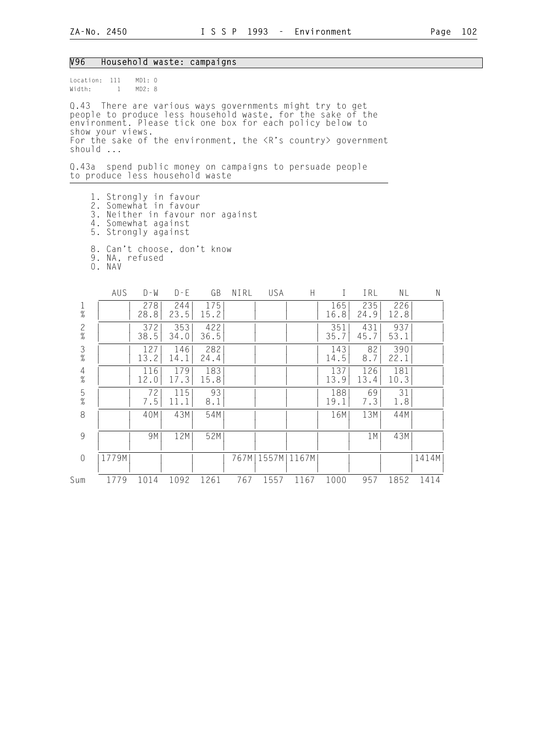#### V96 Household waste: campaigns

Location: 111 MD1: 0 Width: 1 MD2: 8

Q.43 There are various ways governments might try to get people to produce less household waste, for the sake of the environment. Please tick one box for each policy below to show your views. For the sake of the environment, the <R's country> government should ...

Q.43a spend public money on campaigns to persuade people to produce less household waste

- 1. Strongly in favour
- 2. Somewhat in favour
- 3. Neither in favour nor against
- 4. Somewhat against
- 5. Strongly against
	- 8. Can't choose, don't know
- 9. NA, refused
- 0. NAV

|                                            | AUS   | $D - W$     | $D - E$     | GB          | NIRL | USA   | H     |             | IRL         | NL          | N     |
|--------------------------------------------|-------|-------------|-------------|-------------|------|-------|-------|-------------|-------------|-------------|-------|
| $\frac{1}{\%}$                             |       | 278<br>28.8 | 244<br>23.5 | 175<br>15.2 |      |       |       | 165<br>16.8 | 235<br>24.9 | 226<br>12.8 |       |
| $\frac{2}{\%}$                             |       | 372<br>38.5 | 353<br>34.0 | 422<br>36.5 |      |       |       | 351<br>35.7 | 431<br>45.7 | 937<br>53.1 |       |
| $\frac{3}{\%}$                             |       | 127<br>13.2 | 146<br>14.1 | 282<br>24.4 |      |       |       | 143<br>14.5 | 82<br>8.7   | 390<br>22.1 |       |
| $\begin{array}{c} 4 \\ 2 \\ 8 \end{array}$ |       | 116<br>12.0 | 179<br>17.3 | 183<br>15.8 |      |       |       | 137<br>13.9 | 126<br>13.4 | 181<br>10.3 |       |
| $\frac{5}{%}$                              |       | 72<br>7.5   | 115<br>11.1 | 93<br>8.1   |      |       |       | 188<br>19.1 | 69<br>7.3   | 31<br>1.8   |       |
| 8                                          |       | 40M         | 43M         | 54M         |      |       |       | 16M         | 13M         | 44M         |       |
| 9                                          |       | 9M          | 12M         | 52M         |      |       |       |             | 1 M         | 43M         |       |
| $\overline{0}$                             | 1779M |             |             |             | 767M | 1557M | 1167M |             |             |             | 1414M |
| Sum                                        | 1779  | 1014        | 1092        | 1261        | 767  | 1557  | 1167  | 1000        | 957         | 1852        | 1414  |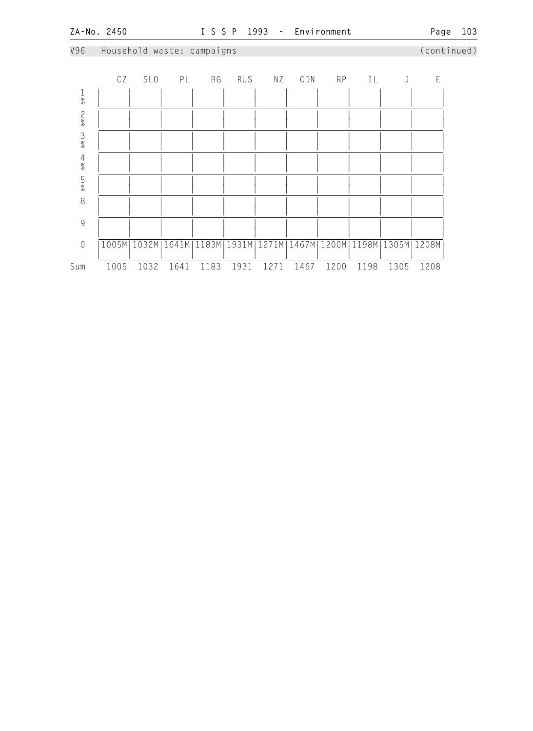V96 Household waste: campaigns (continued)

## CZ SLO PL BG RUS NZ CDN RP IL J E 1 | | | | | | | | | | | |  $\frac{1}{2}$   $\frac{1}{2}$   $\frac{1}{2}$   $\frac{1}{2}$   $\frac{1}{2}$   $\frac{1}{2}$   $\frac{1}{2}$   $\frac{1}{2}$   $\frac{1}{2}$   $\frac{1}{2}$   $\frac{1}{2}$   $\frac{1}{2}$   $\frac{1}{2}$   $\frac{1}{2}$   $\frac{1}{2}$   $\frac{1}{2}$   $\frac{1}{2}$   $\frac{1}{2}$   $\frac{1}{2}$   $\frac{1}{2}$   $\frac{1}{2}$   $\frac{1}{2}$  2 | | | | | | | | | | | | | | |  $\frac{1}{2}$   $\frac{1}{2}$   $\frac{1}{2}$   $\frac{1}{2}$   $\frac{1}{2}$   $\frac{1}{2}$   $\frac{1}{2}$   $\frac{1}{2}$   $\frac{1}{2}$   $\frac{1}{2}$   $\frac{1}{2}$   $\frac{1}{2}$   $\frac{1}{2}$   $\frac{1}{2}$   $\frac{1}{2}$   $\frac{1}{2}$   $\frac{1}{2}$   $\frac{1}{2}$   $\frac{1}{2}$   $\frac{1}{2}$   $\frac{1}{2}$   $\frac{1}{2}$  3 | | | | | | | | | | | |  $\frac{1}{2}$   $\frac{1}{2}$   $\frac{1}{2}$   $\frac{1}{2}$   $\frac{1}{2}$   $\frac{1}{2}$   $\frac{1}{2}$   $\frac{1}{2}$   $\frac{1}{2}$   $\frac{1}{2}$   $\frac{1}{2}$   $\frac{1}{2}$   $\frac{1}{2}$   $\frac{1}{2}$   $\frac{1}{2}$   $\frac{1}{2}$   $\frac{1}{2}$   $\frac{1}{2}$   $\frac{1}{2}$   $\frac{1}{2}$   $\frac{1}{2}$   $\frac{1}{2}$  4 | | | | | | | | | | | |  $\frac{1}{2}$   $\frac{1}{2}$   $\frac{1}{2}$   $\frac{1}{2}$   $\frac{1}{2}$   $\frac{1}{2}$   $\frac{1}{2}$   $\frac{1}{2}$   $\frac{1}{2}$   $\frac{1}{2}$   $\frac{1}{2}$   $\frac{1}{2}$   $\frac{1}{2}$   $\frac{1}{2}$   $\frac{1}{2}$   $\frac{1}{2}$   $\frac{1}{2}$   $\frac{1}{2}$   $\frac{1}{2}$   $\frac{1}{2}$   $\frac{1}{2}$   $\frac{1}{2}$  5 | | | | | | | | | | | |  $\frac{1}{2}$   $\frac{1}{2}$   $\frac{1}{2}$   $\frac{1}{2}$   $\frac{1}{2}$   $\frac{1}{2}$   $\frac{1}{2}$   $\frac{1}{2}$   $\frac{1}{2}$   $\frac{1}{2}$   $\frac{1}{2}$   $\frac{1}{2}$   $\frac{1}{2}$   $\frac{1}{2}$   $\frac{1}{2}$   $\frac{1}{2}$   $\frac{1}{2}$   $\frac{1}{2}$   $\frac{1}{2}$   $\frac{1}{2}$   $\frac{1}{2}$   $\frac{1}{2}$  8 | | | | | | | | | | | | | | | | | | | | | | | | | | 9 | | | | | | | | | | | | | | | | | | | | | | | | 0 |1005M|1032M|1641M|1183M|1931M|1271M|1467M|1200M|1198M|1305M|1208M| | | | | | | | | | | | | Sum 1005 1032 1641 1183 1931 1271 1467 1200 1198 1305 1208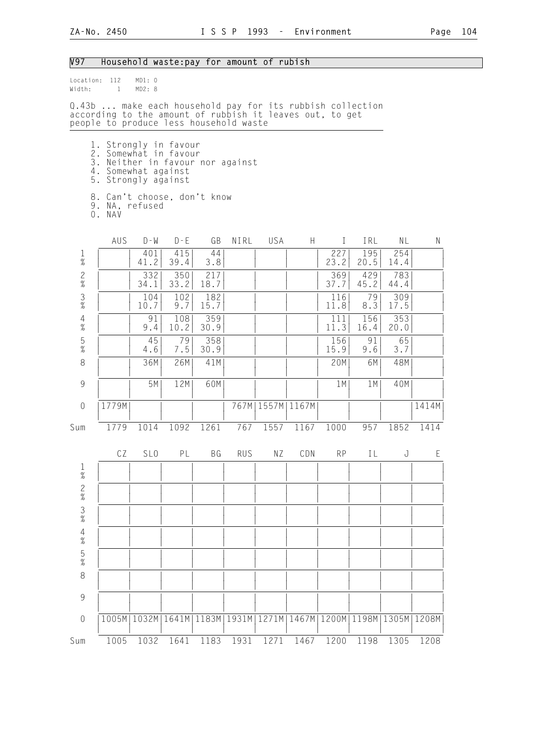# V97 Household waste:pay for amount of rubish

| Width:                                                    | Location: 112<br>$\mathbf{1}$                                                                                                                                   | MD1: 0<br>MD2:8       |                                |                                |       |               |                                            |              |                      |                   |       |
|-----------------------------------------------------------|-----------------------------------------------------------------------------------------------------------------------------------------------------------------|-----------------------|--------------------------------|--------------------------------|-------|---------------|--------------------------------------------|--------------|----------------------|-------------------|-------|
|                                                           | Q.43b  make each household pay for its rubbish collection<br>according to the amount of rubbish it leaves out, to get<br>people to produce less household waste |                       |                                |                                |       |               |                                            |              |                      |                   |       |
|                                                           | 1. Strongly in favour<br>2.<br>3. Neither in favour nor against<br>4. Somewhat against<br>5. Strongly against                                                   | Somewhat in favour    |                                |                                |       |               |                                            |              |                      |                   |       |
|                                                           | 8. Can't choose, don't know<br>9. NA, refused<br>O. NAV                                                                                                         |                       |                                |                                |       |               |                                            |              |                      |                   |       |
|                                                           | AUS                                                                                                                                                             | $D - W$               | $D - E$                        | GB                             | NIRL  | USA           | H                                          | $\mathbf{I}$ | IRL                  | NL                | N     |
| $\frac{1}{\%}$                                            |                                                                                                                                                                 | 401<br>41.2           | 415<br>39.4                    | 44<br>3.8                      |       |               |                                            | 227<br>23.2  | 195<br>20.5          | 254<br>14.4       |       |
| $\frac{2}{\%}$                                            |                                                                                                                                                                 | 332<br>34.1           | 350<br>33.2                    | 217<br>18.7                    |       |               |                                            | 369<br>37.7  | 429<br>45.2          | 783<br>44.4       |       |
| $\frac{3}{8}$                                             |                                                                                                                                                                 | 104<br>10.7           | 102<br>9.7                     | 182<br>15.7                    |       |               |                                            | 116<br>11.8  | 79<br>8.3            | 309<br>17.5       |       |
| $\frac{4}{\%}$                                            |                                                                                                                                                                 | 91<br>9.4             | 108<br>10.2                    | 359<br>30.9                    |       |               |                                            | 111<br>11.3  | 156<br>16.4          | 353<br>20.0       |       |
| 5<br>$\%$                                                 |                                                                                                                                                                 | 45<br>4.6             | 79<br>7.5                      | 358<br>30.9                    |       |               |                                            | 156<br>15.9  | 91<br>9.6            | 65<br>3.7         |       |
| $\,8\,$                                                   |                                                                                                                                                                 | 36M                   | 26M                            | 41M                            |       |               |                                            | 20M          | 6M                   | 48M               |       |
| $\mathcal{G}% _{M_{1},M_{2}}^{\alpha,\beta}(\mathcal{G})$ |                                                                                                                                                                 | 5M                    | 12M                            | 60M                            |       |               |                                            | 1M           | 1M                   | 40M               |       |
| $\mathbf 0$                                               | 1779M                                                                                                                                                           |                       |                                |                                | 767M  | 1557M   1167M |                                            |              |                      |                   | 1414M |
| Sum                                                       | 1779                                                                                                                                                            | 1014                  | 1092                           | 1261                           | 767   | 1557          | 1167                                       | 1000         | 957                  | 1852              | 1414  |
|                                                           | CZ<br><b>Contract Contract</b>                                                                                                                                  | SL <sub>0</sub>       | PL<br><b>Contract Contract</b> | BG<br><b>Contract Contract</b> | RUS   | ΝZ            | CDN<br>and the contract of the contract of | RP           | IL<br>$\mathbb{R}^n$ | J<br>$\mathbf{L}$ | Ε     |
| 1<br>$\%$                                                 |                                                                                                                                                                 |                       |                                |                                |       |               |                                            |              |                      |                   |       |
| $\frac{2}{\%}$                                            |                                                                                                                                                                 |                       |                                |                                |       |               |                                            |              |                      |                   |       |
| $\frac{3}{8}$                                             |                                                                                                                                                                 |                       |                                |                                |       |               |                                            |              |                      |                   |       |
| 4<br>%                                                    |                                                                                                                                                                 |                       |                                |                                |       |               |                                            |              |                      |                   |       |
| $\frac{5}{\%}$                                            |                                                                                                                                                                 |                       |                                |                                |       |               |                                            |              |                      |                   |       |
| 8                                                         |                                                                                                                                                                 |                       |                                |                                |       |               |                                            |              |                      |                   |       |
| 9                                                         |                                                                                                                                                                 |                       |                                |                                |       |               |                                            |              |                      |                   |       |
| $\theta$                                                  |                                                                                                                                                                 | 1005M   1032M   1641M |                                | 1183M                          | 1931M |               | 1271M   1467M   1200M   1198M   1305M      |              |                      |                   | 1208M |
| Sum                                                       | 1005                                                                                                                                                            | 1032                  | 1641                           | 1183                           | 1931  | 1271          | 1467                                       | 1200         | 1198                 | 1305              | 1208  |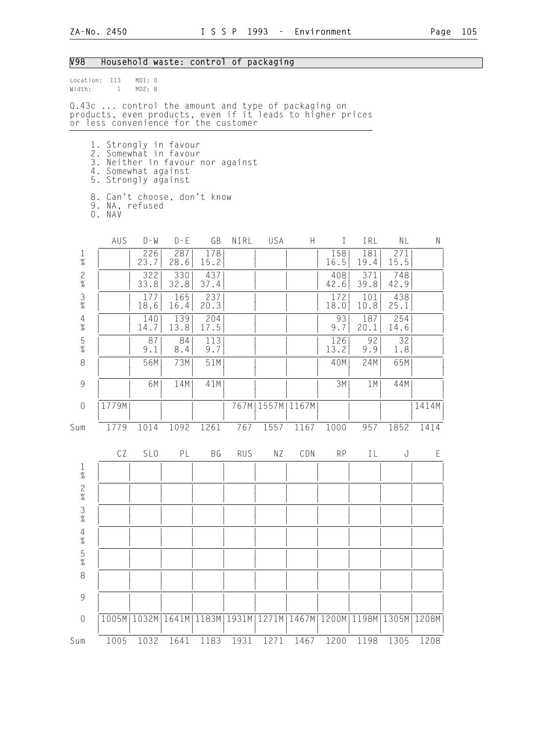## V98 Household waste: control of packaging

| Width:               | Location: 113<br>$\mathbf{1}$                                                                                                                            | MD1: 0<br>MD2: 8                                                  |                    |              |                      |                      |                       |              |             |                              |       |
|----------------------|----------------------------------------------------------------------------------------------------------------------------------------------------------|-------------------------------------------------------------------|--------------------|--------------|----------------------|----------------------|-----------------------|--------------|-------------|------------------------------|-------|
|                      | Q.43c  control the amount and type of packaging on<br>products, even products, even if it leads to higher prices<br>or less convenience for the customer |                                                                   |                    |              |                      |                      |                       |              |             |                              |       |
|                      | 1. Strongly in favour<br>2. Somewhat in favour<br>3. Neither in favour nor against<br>4. Somewhat against<br>5. Strongly against                         |                                                                   |                    |              |                      |                      |                       |              |             |                              |       |
|                      | 8. Can't choose, don't know<br>9. NA, refused<br>O. NAV                                                                                                  |                                                                   |                    |              |                      |                      |                       |              |             |                              |       |
|                      | AUS                                                                                                                                                      | $D - W$                                                           | $D - E$            | GB           | NIRL                 | USA                  | H.                    | $\mathbf{I}$ | IRL         | NL                           | Ν     |
| $\frac{1}{\%}$       |                                                                                                                                                          | 226<br>23.7                                                       | 287<br>28.6        | 178<br>15.2  |                      |                      |                       | 158<br>16.5  | 181<br>19.4 | 271<br>15.5                  |       |
| $\frac{2}{\%}$       |                                                                                                                                                          | 322<br>33.8                                                       | 330<br>32.8        | 437<br>37.4  |                      |                      |                       | 408<br>42.6  | 371<br>39.8 | 748<br>42.9                  |       |
| $\frac{3}{8}$        |                                                                                                                                                          | 177<br>18.6                                                       | 165<br>16.4        | 237<br>20.3  |                      |                      |                       | 172<br>18.0  | 101<br>10.8 | 438<br>25.1                  |       |
| $\frac{4}{\%}$       |                                                                                                                                                          | 140<br>14.7                                                       | 139<br>13.8        | 204<br>17.5  |                      |                      |                       | 93<br>9.7    | 187<br>20.1 | 254<br>14.6                  |       |
| $\frac{5}{\%}$       |                                                                                                                                                          | 87<br>9.1                                                         | 84<br>8.4          | 113<br>9.7   |                      |                      |                       | 126<br>13.2  | 92<br>9.9   | 32<br>1.8                    |       |
| 8                    |                                                                                                                                                          | 56M                                                               | 73M                | 51M          |                      |                      |                       | 40M          | 24M         | 65M                          |       |
| $\mathcal G$         |                                                                                                                                                          | 6M                                                                | 14M                | 41M          |                      |                      |                       | 3M           | 1M          | 44M                          |       |
| $\mathbf 0$          | 1779M                                                                                                                                                    |                                                                   |                    |              |                      | 767M   1557M   1167M |                       |              |             |                              | 1414M |
| Sum                  | 1779                                                                                                                                                     | 1014                                                              | 1092               | 1261         | 767                  | 1557                 | 1167                  | 1000         | 957         | 1852                         | 1414  |
|                      | CZ<br>$\overline{1}$                                                                                                                                     | SL <sub>0</sub>                                                   | PL<br>$\mathbb{R}$ | BG<br>$\Box$ | <b>RUS</b><br>$\Box$ | ΝZ<br>$\Box$         | CDN<br>$\blacksquare$ | <b>RP</b>    | IL          | J<br>$\mathbf{L}$<br>$\perp$ | Ε     |
| $\mathbf{1}$<br>$\%$ |                                                                                                                                                          |                                                                   |                    |              |                      |                      |                       |              |             |                              |       |
| $\frac{2}{\%}$       |                                                                                                                                                          |                                                                   |                    |              |                      |                      |                       |              |             |                              |       |
| $\frac{3}{8}$        |                                                                                                                                                          |                                                                   |                    |              |                      |                      |                       |              |             |                              |       |
| $\frac{4}{\%}$       |                                                                                                                                                          |                                                                   |                    |              |                      |                      |                       |              |             |                              |       |
| $\frac{5}{\%}$       |                                                                                                                                                          |                                                                   |                    |              |                      |                      |                       |              |             |                              |       |
| 8                    |                                                                                                                                                          |                                                                   |                    |              |                      |                      |                       |              |             |                              |       |
| $\mathcal{G}$        |                                                                                                                                                          |                                                                   |                    |              |                      |                      |                       |              |             |                              |       |
| $\sqrt{a}$           |                                                                                                                                                          | 1005M 1032M 1641M 1183M 1931M 1271M 1467M 1200M 1198M 1305M 1208M |                    |              |                      |                      |                       |              |             |                              |       |
| Sum                  | 1005                                                                                                                                                     | 1032                                                              | 1641               | 1183         | 1931                 | 1271                 | 1467                  | 1200         | 1198        | 1305                         | 1208  |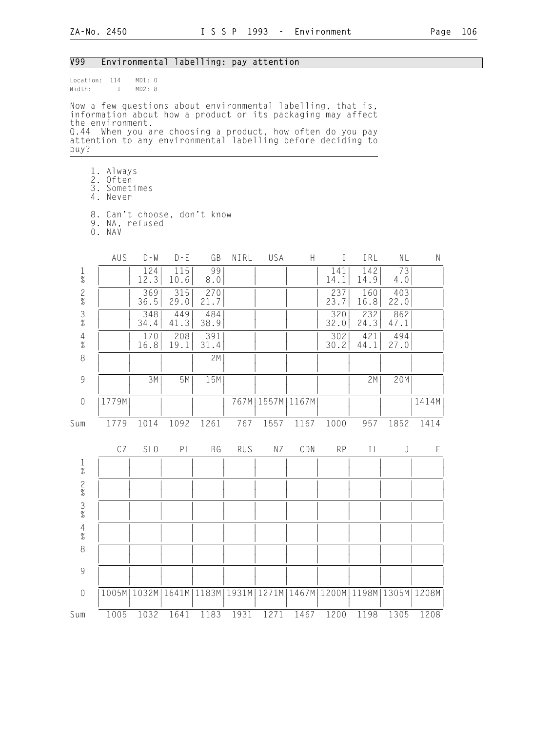#### V99 Environmental labelling: pay attention

Location: 114 MD1: 0<br>Width: 1 MD2: 8  $Width: 1$ 

Now a few questions about environmental labelling, that is, information about how a product or its packaging may affect the environment. Q.44 When you are choosing a product, how often do you pay attention to any environmental labelling before deciding to buy?

- 1. Always
- 2. Often
- 3. Sometimes
	- 4. Never
- 8. Can't choose, don't know
- 9. NA, refused
- 0. NAV

|                | AUS   | $D - W$         | $D - E$     | GB                    | NIRL       | USA  | $\boldsymbol{\mathsf{H}}$                     | $\bf I$     | IRL         | NL          | $\mathsf{N}$ |
|----------------|-------|-----------------|-------------|-----------------------|------------|------|-----------------------------------------------|-------------|-------------|-------------|--------------|
| $\frac{1}{\%}$ |       | 124<br>12.3     | 115<br>10.6 | 99<br>8.0             |            |      |                                               | 141<br>14.1 | 142<br>14.9 | 73<br>4.0   |              |
| 2%3%           |       | 369<br>36.5     | 315<br>29.0 | 270<br>21.7           |            |      |                                               | 237<br>23.7 | 160<br>16.8 | 403<br>22.0 |              |
|                |       | 348<br>34.4     | 449<br>41.3 | 484<br>38.9           |            |      |                                               | 320<br>32.0 | 232<br>24.3 | 862<br>47.1 |              |
| $\frac{4}{\%}$ |       | 170<br>16.8     | 208<br>19.1 | 391<br>31.4           |            |      |                                               | 302<br>30.2 | 421<br>44.1 | 494<br>27.0 |              |
| $\,8\,$        |       |                 |             | 2M                    |            |      |                                               |             |             |             |              |
| 9              |       | 3M              | 5M          | 15M                   |            |      |                                               |             | 2M          | 20M         |              |
| $\sqrt{0}$     | 1779M |                 |             |                       | 767M       |      | 1557M   1167M                                 |             |             |             | 1414M        |
| Sum            | 1779  | 1014            | 1092        | 1261                  | 767        | 1557 | 1167                                          | 1000        | 957         | 1852        | 1414         |
|                | CZ    | SL <sub>0</sub> | PL          | BG                    | <b>RUS</b> | NZ   | CDN                                           | <b>RP</b>   | IL          | J           | $\mathsf E$  |
| $\frac{1}{\%}$ |       |                 |             |                       |            |      |                                               |             |             |             |              |
|                |       |                 |             |                       |            |      |                                               |             |             |             |              |
| $2838$<br>$48$ |       |                 |             |                       |            |      |                                               |             |             |             |              |
|                |       |                 |             |                       |            |      |                                               |             |             |             |              |
| 8              |       |                 |             |                       |            |      |                                               |             |             |             |              |
| $\overline{9}$ |       |                 |             |                       |            |      |                                               |             |             |             |              |
| $\sqrt{a}$     |       | 1005M   1032M   |             | 1641M   1183M   1931M |            |      | 1271M   1467M   1200M   1198M   1305M   1208M |             |             |             |              |
| Sum            | 1005  | 1032            | 1641        | 1183                  | 1931       | 1271 | 1467                                          | 1200        | 1198        | 1305        | 1208         |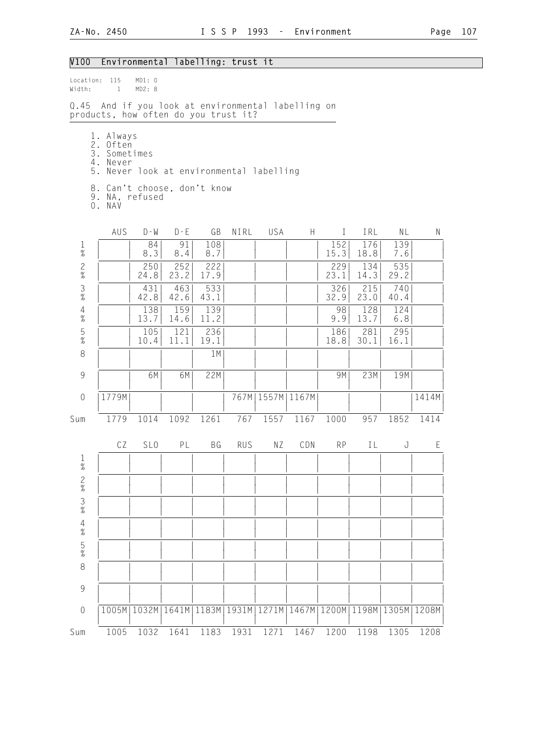## V100 Environmental labelling: trust it

| Width:                                                                                                                 | Location: 115<br>MD1: 0<br>$\mathbf{1}$<br>MD2: 8                                                                               |                                                                   |             |             |            |                      |      |             |             |             |       |  |  |  |
|------------------------------------------------------------------------------------------------------------------------|---------------------------------------------------------------------------------------------------------------------------------|-------------------------------------------------------------------|-------------|-------------|------------|----------------------|------|-------------|-------------|-------------|-------|--|--|--|
|                                                                                                                        | Q.45 And if you look at environmental labelling on<br>products, how often do you trust it?                                      |                                                                   |             |             |            |                      |      |             |             |             |       |  |  |  |
|                                                                                                                        | 1. Always<br>2. Often<br>3. Sometimes<br>4. Never<br>5.<br>Never look at environmental labelling<br>8. Can't choose, don't know |                                                                   |             |             |            |                      |      |             |             |             |       |  |  |  |
| 9. NA, refused<br>O. NAV<br>AUS<br>$D - W$<br>$D - E$<br>GB<br>NIRL<br>USA<br>H<br>${\sf N}$<br>$\mathbf{I}$<br>NL     |                                                                                                                                 |                                                                   |             |             |            |                      |      |             |             |             |       |  |  |  |
|                                                                                                                        |                                                                                                                                 |                                                                   |             |             |            |                      |      |             | IRL         |             |       |  |  |  |
| 1<br>$\overline{a}$                                                                                                    |                                                                                                                                 | 84<br>8.3                                                         | 91<br>8.4   | 108<br>8.7  |            |                      |      | 152<br>15.3 | 176<br>18.8 | 139<br>7.6  |       |  |  |  |
| $\frac{2}{\%}$                                                                                                         |                                                                                                                                 | 250<br>24.8                                                       | 252<br>23.2 | 222<br>17.9 |            |                      |      | 229<br>23.1 | 134<br>14.3 | 535<br>29.2 |       |  |  |  |
| $\frac{3}{8}$                                                                                                          |                                                                                                                                 | 431<br>42.8                                                       | 463<br>42.6 | 533<br>43.1 |            |                      |      | 326<br>32.9 | 215<br>23.0 | 740<br>40.4 |       |  |  |  |
| $\overline{4}$<br>159<br>139<br>138<br>98<br>128<br>124<br>$\frac{1}{6}$<br>11.2<br>13.7<br>13.7<br>14.6<br>9.9<br>6.8 |                                                                                                                                 |                                                                   |             |             |            |                      |      |             |             |             |       |  |  |  |
| $\frac{5}{\%}$                                                                                                         |                                                                                                                                 | 105<br>10.4                                                       | 121<br>11.1 | 236<br>19.1 |            |                      |      | 186<br>18.8 | 281<br>30.1 | 295<br>16.1 |       |  |  |  |
| 8                                                                                                                      |                                                                                                                                 |                                                                   |             | 1M          |            |                      |      |             |             |             |       |  |  |  |
| $\overline{9}$                                                                                                         |                                                                                                                                 | 6M                                                                | 6M          | 22M         |            |                      |      | 9M          | 23M         | 19M         |       |  |  |  |
| $\sqrt{a}$                                                                                                             | 1779M                                                                                                                           |                                                                   |             |             |            | 767M   1557M   1167M |      |             |             |             | 1414M |  |  |  |
| Sum                                                                                                                    | 1779                                                                                                                            | 1014                                                              | 1092        | 1261        | 767        | 1557                 | 1167 | 1000        | 957         | 1852        | 1414  |  |  |  |
|                                                                                                                        | CZ                                                                                                                              | SL <sub>0</sub>                                                   | PL          | ВG          | <b>RUS</b> | ΝZ                   | CDN  | <b>RP</b>   | IL          | J           | Ε     |  |  |  |
| 1<br>$\%$                                                                                                              |                                                                                                                                 |                                                                   |             |             |            |                      |      |             |             |             |       |  |  |  |
| $\frac{2}{\%}$                                                                                                         |                                                                                                                                 |                                                                   |             |             |            |                      |      |             |             |             |       |  |  |  |
| $\frac{3}{8}$                                                                                                          |                                                                                                                                 |                                                                   |             |             |            |                      |      |             |             |             |       |  |  |  |
| $\overline{4}$<br>$\%$                                                                                                 |                                                                                                                                 |                                                                   |             |             |            |                      |      |             |             |             |       |  |  |  |
| $\frac{5}{\%}$                                                                                                         |                                                                                                                                 |                                                                   |             |             |            |                      |      |             |             |             |       |  |  |  |
| $\,8\,$                                                                                                                |                                                                                                                                 |                                                                   |             |             |            |                      |      |             |             |             |       |  |  |  |
| $\overline{9}$                                                                                                         |                                                                                                                                 |                                                                   |             |             |            |                      |      |             |             |             |       |  |  |  |
| $\theta$                                                                                                               |                                                                                                                                 | 1005M 1032M 1641M 1183M 1931M 1271M 1467M 1200M 1198M 1305M 1208M |             |             |            |                      |      |             |             |             |       |  |  |  |
| Sum                                                                                                                    | 1005                                                                                                                            | 1032                                                              | 1641        | 1183        | 1931       | 1271                 | 1467 | 1200        | 1198        | 1305        | 1208  |  |  |  |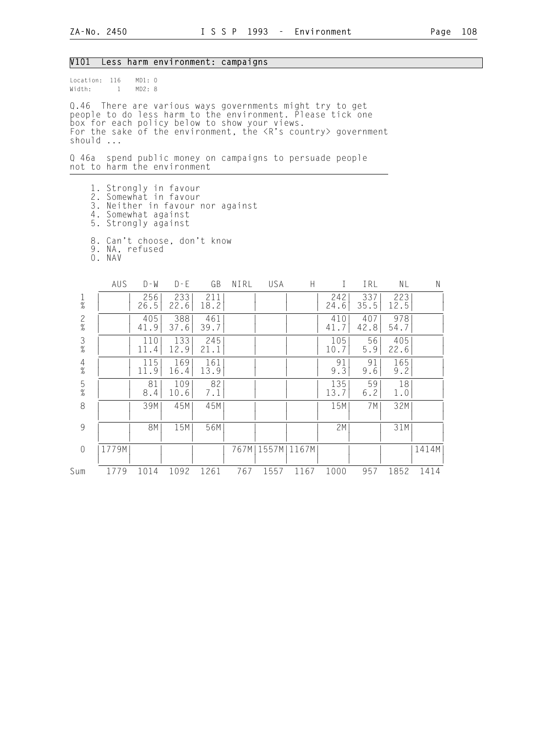#### V101 Less harm environment: campaigns

Location: 116 MD1: 0 Width: 1 MD2: 8

Q.46 There are various ways governments might try to get people to do less harm to the environment. Please tick one box for each policy below to show your views. For the sake of the environment, the <R's country> government should ...

Q 46a spend public money on campaigns to persuade people not to harm the environment

 1. Strongly in favour 2. Somewhat in favour 3. Neither in favour nor against 4. Somewhat against 5. Strongly against 8. Can't choose, don't know

9. NA, refused

0. NAV

|                | AUS   | $D - W$     | $D - E$     | GB          | NIRL  | USA   | H     |             | IRL         | ΝL          | Ν     |
|----------------|-------|-------------|-------------|-------------|-------|-------|-------|-------------|-------------|-------------|-------|
| $\frac{1}{\%}$ |       | 256<br>26.5 | 233<br>22.6 | 211<br>18.2 |       |       |       | 242<br>24.6 | 337<br>35.5 | 223<br>12.5 |       |
| $\frac{2}{\%}$ |       | 405<br>41.9 | 388<br>37.6 | 461<br>39.7 |       |       |       | 410<br>41.7 | 407<br>42.8 | 978<br>54.7 |       |
| $\frac{3}{\%}$ |       | 110<br>11.4 | 133<br>12.9 | 245<br>21.1 |       |       |       | 105<br>10.7 | 56<br>5.9   | 405<br>22.6 |       |
| $\frac{4}{\%}$ |       | 115<br>11.9 | 169<br>16.4 | 161<br>13.9 |       |       |       | 91<br>9.3   | 91<br>9.6   | 165<br>9.2  |       |
| $\frac{5}{%}$  |       | 81<br>8.4   | 109<br>10.6 | 82<br>7.1   |       |       |       | 135<br>13.7 | 59<br>6.2   | 18<br>1.0   |       |
| 8              |       | 39M         | 45M         | 45M         |       |       |       | 15M         | 7M          | 32M         |       |
| $\overline{9}$ |       | 8M          | 15M         | 56M         |       |       |       | 2M          |             | 31M         |       |
| $\sqrt{a}$     | 1779M |             |             |             | 767MI | 1557M | 1167M |             |             |             | 1414M |
| Sum            | 1779  | 1014        | 1092        | 1261        | 767   | 1557  | 1167  | 1000        | 957         | 1852        | 1414  |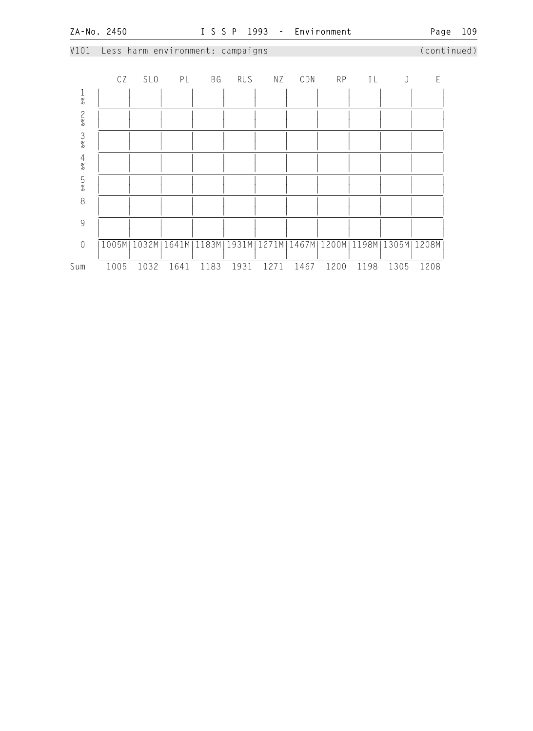## V101 Less harm environment: campaigns (continued)

|                | CZ   | <b>SLO</b> | PL   | BG   | <b>RUS</b> | ΝZ   | CDN  | <b>RP</b> | IL   | J                                                                 | F    |
|----------------|------|------------|------|------|------------|------|------|-----------|------|-------------------------------------------------------------------|------|
| $\frac{1}{\%}$ |      |            |      |      |            |      |      |           |      |                                                                   |      |
| $\frac{2}{\%}$ |      |            |      |      |            |      |      |           |      |                                                                   |      |
| $\frac{3}{8}$  |      |            |      |      |            |      |      |           |      |                                                                   |      |
| $\frac{4}{\%}$ |      |            |      |      |            |      |      |           |      |                                                                   |      |
| $\frac{5}{\%}$ |      |            |      |      |            |      |      |           |      |                                                                   |      |
| 8              |      |            |      |      |            |      |      |           |      |                                                                   |      |
| 9              |      |            |      |      |            |      |      |           |      |                                                                   |      |
| $\sqrt{a}$     |      |            |      |      |            |      |      |           |      | 1005M 1032M 1641M 1183M 1931M 1271M 1467M 1200M 1198M 1305M 1208M |      |
| Sum            | 1005 | 1032       | 1641 | 1183 | 1931       | 1271 | 1467 | 1200      | 1198 | 1305                                                              | 1208 |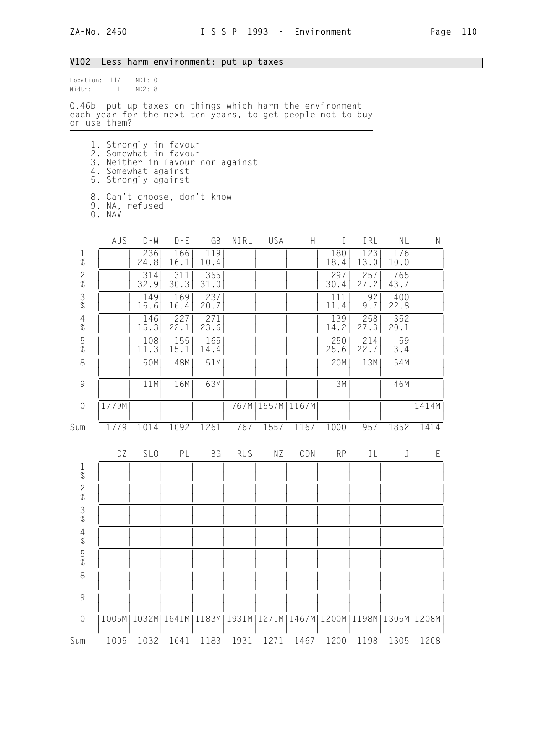# V102 Less harm environment: put up taxes

| Width:         | Location: 117<br>$\mathbf{1}$                                                                                                                                                               | MD1: 0<br>MD2: 8 |                                                                   |             |            |                      |      |              |             |             |       |
|----------------|---------------------------------------------------------------------------------------------------------------------------------------------------------------------------------------------|------------------|-------------------------------------------------------------------|-------------|------------|----------------------|------|--------------|-------------|-------------|-------|
| Q.46b          | each year for the next ten years, to get people not to buy<br>or use them?                                                                                                                  |                  | put up taxes on things which harm the environment                 |             |            |                      |      |              |             |             |       |
|                | 1. Strongly in favour<br>2. Somewhat in favour<br>3. Neither in favour nor against<br>4. Somewhat against<br>5. Strongly against<br>8. Can't choose, don't know<br>9. NA, refused<br>O. NAV |                  |                                                                   |             |            |                      |      |              |             |             |       |
|                | AUS                                                                                                                                                                                         | $D - W$          | $D - E$                                                           | GB          | NIRL       | USA                  | H    | $\mathbf{I}$ | IRL         | NL          | N     |
| $\frac{1}{\%}$ |                                                                                                                                                                                             | 236<br>24.8      | 166<br>16.1                                                       | 119<br>10.4 |            |                      |      | 180<br>18.4  | 123<br>13.0 | 176<br>10.0 |       |
| $\frac{2}{\%}$ |                                                                                                                                                                                             | 314<br>32.9      | 311<br>30.3                                                       | 355<br>31.0 |            |                      |      | 297<br>30.4  | 257<br>27.2 | 765<br>43.7 |       |
| $\frac{3}{\%}$ |                                                                                                                                                                                             | 149<br>15.6      | 169<br>16.4                                                       | 237<br>20.7 |            |                      |      | 111<br>11.4  | 92<br>9.7   | 400<br>22.8 |       |
| $\frac{4}{\%}$ |                                                                                                                                                                                             | 146<br>15.3      | 227<br>22.1                                                       | 271<br>23.6 |            |                      |      | 139<br>14.2  | 258<br>27.3 | 352<br>20.1 |       |
| $\frac{5}{\%}$ |                                                                                                                                                                                             | 108<br>11.3      | 155<br>15.1                                                       | 165<br>14.4 |            |                      |      | 250<br>25.6  | 214<br>22.7 | 59<br>3.4   |       |
| 8              |                                                                                                                                                                                             | 50M              | 48M                                                               | 51M         |            |                      |      | 20M          | 13M         | 54M         |       |
| $\mathcal{G}$  |                                                                                                                                                                                             | 11M              | 16M                                                               | 63M         |            |                      |      | 3M           |             | 46M         |       |
| $\theta$       | 1779M                                                                                                                                                                                       |                  |                                                                   |             |            | 767M   1557M   1167M |      |              |             |             | 1414M |
| Sum            | 1779                                                                                                                                                                                        | 1014             | 1092                                                              | 1261        | 767        | 1557                 | 1167 | 1000         | 957         | 1852        | 1414  |
|                | CZ                                                                                                                                                                                          | SL <sub>0</sub>  | PL                                                                | BG          | <b>RUS</b> | ΝZ                   | CDN  | <b>RP</b>    | IL          | J           | E     |
| 1<br>$\%$      |                                                                                                                                                                                             |                  |                                                                   |             |            |                      |      |              |             |             |       |
| $\frac{2}{\%}$ |                                                                                                                                                                                             |                  |                                                                   |             |            |                      |      |              |             |             |       |
| $\frac{3}{8}$  |                                                                                                                                                                                             |                  |                                                                   |             |            |                      |      |              |             |             |       |
| $\frac{4}{\%}$ |                                                                                                                                                                                             |                  |                                                                   |             |            |                      |      |              |             |             |       |
| $\frac{5}{\%}$ |                                                                                                                                                                                             |                  |                                                                   |             |            |                      |      |              |             |             |       |
| $\,8\,$        |                                                                                                                                                                                             |                  |                                                                   |             |            |                      |      |              |             |             |       |
| 9              |                                                                                                                                                                                             |                  |                                                                   |             |            |                      |      |              |             |             |       |
| $\sqrt{a}$     |                                                                                                                                                                                             |                  | 1005M 1032M 1641M 1183M 1931M 1271M 1467M 1200M 1198M 1305M 1208M |             |            |                      |      |              |             |             |       |
| Sum            | 1005                                                                                                                                                                                        | 1032             | 1641                                                              | 1183        | 1931       | 1271                 | 1467 | 1200         | 1198        | 1305        | 1208  |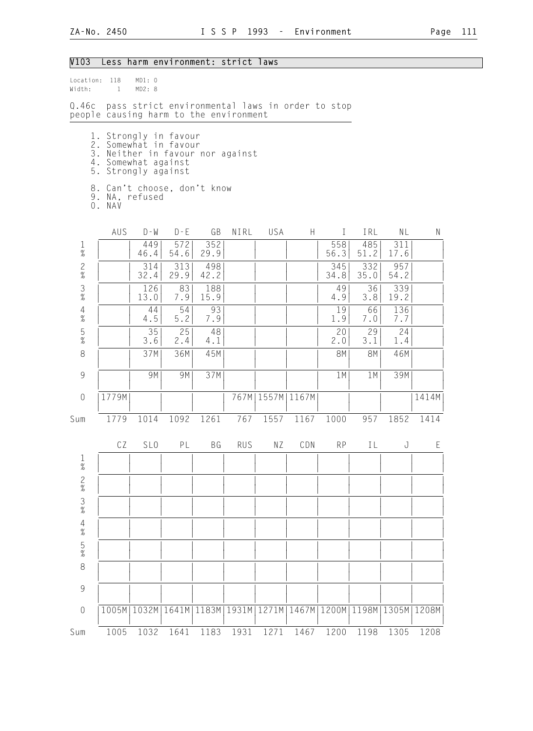## V103 Less harm environment: strict laws

| Location:<br>Width: | 118<br>$\mathbf{1}$ | MD1: 0<br>MD2: 8                                                                             |             |                                                                                           |            |       |                      |             |             |             |       |
|---------------------|---------------------|----------------------------------------------------------------------------------------------|-------------|-------------------------------------------------------------------------------------------|------------|-------|----------------------|-------------|-------------|-------------|-------|
| Q.46c               |                     |                                                                                              |             | pass strict environmental laws in order to stop<br>people causing harm to the environment |            |       |                      |             |             |             |       |
|                     |                     | 1. Strongly in favour<br>2. Somewhat in favour<br>4. Somewhat against<br>5. Strongly against |             | 3. Neither in favour nor against                                                          |            |       |                      |             |             |             |       |
|                     | O. NAV              | 9. NA, refused                                                                               |             | 8. Can't choose, don't know                                                               |            |       |                      |             |             |             |       |
|                     | AUS                 | $D - M$                                                                                      | $D - E$     | GB                                                                                        | NIRL       | USA   | H                    | $\bf{I}$    | IRL         | NL          | Ν     |
| $\frac{1}{\%}$      |                     | 449<br>46.4                                                                                  | 572<br>54.6 | 352<br>29.9                                                                               |            |       |                      | 558<br>56.3 | 485<br>51.2 | 311<br>17.6 |       |
| $\frac{2}{\%}$      |                     | 314<br>32.4                                                                                  | 313<br>29.9 | 498<br>42.2                                                                               |            |       |                      | 345<br>34.8 | 332<br>35.0 | 957<br>54.2 |       |
| $\frac{3}{8}$       |                     | 126<br>13.0                                                                                  | 83<br>7.9   | 188<br>15.9                                                                               |            |       |                      | 49<br>4.9   | 36<br>3.8   | 339<br>19.2 |       |
| $\frac{4}{\%}$      |                     | 44<br>4.5                                                                                    | 54<br>5.2   | 93<br>7.9                                                                                 |            |       |                      | 19<br>1.9   | 66<br>7.0   | 136<br>7.7  |       |
| $\frac{5}{\%}$      |                     | 35<br>3.6                                                                                    | 25<br>2.4   | 48<br>4.1                                                                                 |            |       |                      | 20<br>2.0   | 29<br>3.1   | 24<br>1.4   |       |
| 8                   |                     | 37M                                                                                          | 36M         | 45M                                                                                       |            |       |                      | <b>8M</b>   | <b>8M</b>   | 46M         |       |
| $\mathcal{G}$       |                     | 9M                                                                                           | 9M          | 37M                                                                                       |            |       |                      | 1M          | 1M          | 39M         |       |
| $\sqrt{a}$          | 1779M               |                                                                                              |             |                                                                                           |            |       | 767M   1557M   1167M |             |             |             | 1414M |
| Sum                 | 1779                | 1014                                                                                         | 1092        | 1261                                                                                      | 767        | 1557  | 1167                 | 1000        | 957         | 1852        | 1414  |
|                     | CZ                  | SL <sub>0</sub>                                                                              | PL          | BG                                                                                        | <b>RUS</b> | ΝZ    | CDN                  | <b>RP</b>   | ΙL          | J           | E     |
| $\mathbf 1$<br>$\%$ |                     |                                                                                              |             |                                                                                           |            |       |                      |             |             |             |       |
| $\frac{2}{\%}$      |                     |                                                                                              |             |                                                                                           |            |       |                      |             |             |             |       |
| $\frac{3}{8}$       |                     |                                                                                              |             |                                                                                           |            |       |                      |             |             |             |       |
| $\frac{4}{\%}$      |                     |                                                                                              |             |                                                                                           |            |       |                      |             |             |             |       |
| $\frac{5}{\%}$      |                     |                                                                                              |             |                                                                                           |            |       |                      |             |             |             |       |
| $\,8\,$             |                     |                                                                                              |             |                                                                                           |            |       |                      |             |             |             |       |
| $\mathcal{G}$       |                     |                                                                                              |             |                                                                                           |            |       |                      |             |             |             |       |
| $\mathbf 0$         | 1005M               | 1032M                                                                                        | 1641M       | 1183M                                                                                     | 1931M      | 1271M | 1467M                | 1200M       | 1198M       | 1305M       | 1208M |
| Sum                 | 1005                | 1032                                                                                         | 1641        | 1183                                                                                      | 1931       | 1271  | 1467                 | 1200        | 1198        | 1305        | 1208  |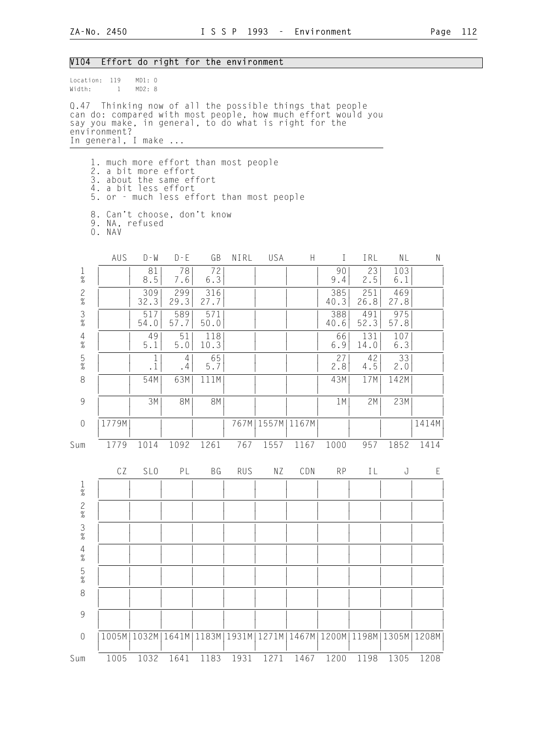| V104           |                                                                                                                                                                                                                          | Effort do right for the environment |             |             |            |                      |                |               |             |               |       |
|----------------|--------------------------------------------------------------------------------------------------------------------------------------------------------------------------------------------------------------------------|-------------------------------------|-------------|-------------|------------|----------------------|----------------|---------------|-------------|---------------|-------|
| Width:         | Location: 119<br>$\mathbf{1}$                                                                                                                                                                                            | MD1: 0<br>MD2: 8                    |             |             |            |                      |                |               |             |               |       |
|                | Q.47 Thinking now of all the possible things that people<br>can do: compared with most people, how much effort would you<br>say you make, in general, to do what is right for the<br>environment?<br>In general, I make  |                                     |             |             |            |                      |                |               |             |               |       |
|                | 1. much more effort than most people<br>2. a bit more effort<br>3. about the same effort<br>4. a bit less effort<br>5. or - much less effort than most people<br>8. Can't choose, don't know<br>9. NA, refused<br>O. NAV |                                     |             |             |            |                      |                |               |             |               |       |
|                | AUS                                                                                                                                                                                                                      | $D - W$                             | $D - E$     | GB          | NIRL       | USA                  | H              | $\bf{I}$      | IRL         | NL            | N     |
| $\frac{1}{\%}$ |                                                                                                                                                                                                                          | 81<br>8.5                           | 78<br>7.6   | 72<br>6.3   |            |                      |                | 90<br>9.4     | 23<br>2.5   | 103<br>6.1    |       |
| $\frac{2}{\%}$ |                                                                                                                                                                                                                          | 309<br>32.3                         | 299<br>29.3 | 316<br>27.7 |            |                      |                | 385<br>40.3   | 251<br>26.8 | 469<br>27.8   |       |
| $\frac{3}{\%}$ |                                                                                                                                                                                                                          | 517<br>54.0                         | 589<br>57.7 | 571<br>50.0 |            |                      |                | 388<br>40.6   | 491<br>52.3 | 975<br>57.8   |       |
| $\frac{4}{\%}$ |                                                                                                                                                                                                                          | 49<br>5.1                           | 51<br>5.0   | 118<br>10.3 |            |                      |                | 66<br>6.9     | 131<br>14.0 | 107<br>6.3    |       |
| $\frac{5}{\%}$ |                                                                                                                                                                                                                          | $\mathbf{1}$<br>$\cdot$ 1           | 4<br>.4     | 65<br>5.7   |            |                      |                | 27<br>2.8     | 42<br>4.5   | 33<br>2.0     |       |
| 8              |                                                                                                                                                                                                                          | 54M                                 | 63M         | 111M        |            |                      |                | 43M           | 17M         | 142M          |       |
| $\overline{9}$ |                                                                                                                                                                                                                          | 3M                                  | <b>8M</b>   | <b>8M</b>   |            |                      |                | 1M            | 2M          | 23M           |       |
| $\overline{0}$ | 1779M                                                                                                                                                                                                                    |                                     |             |             |            | 767M   1557M   1167M |                |               |             |               | 1414M |
| Sum            | 1779                                                                                                                                                                                                                     |                                     | 1014 1092   | 1261        | 767        |                      | 1557 1167 1000 |               | 957         | 1852          | 1414  |
|                | CZ                                                                                                                                                                                                                       | SL <sub>0</sub>                     | PL          | BG          | <b>RUS</b> | ΝZ                   | CDN            | <b>RP</b>     | IL          | J             | Ε     |
| $\frac{1}{\%}$ |                                                                                                                                                                                                                          |                                     |             |             |            |                      |                |               |             |               |       |
| $\frac{2}{\%}$ |                                                                                                                                                                                                                          |                                     |             |             |            |                      |                |               |             |               |       |
| $\frac{3}{8}$  |                                                                                                                                                                                                                          |                                     |             |             |            |                      |                |               |             |               |       |
| $\frac{4}{\%}$ |                                                                                                                                                                                                                          |                                     |             |             |            |                      |                |               |             |               |       |
| $\frac{5}{\%}$ |                                                                                                                                                                                                                          |                                     |             |             |            |                      |                |               |             |               |       |
| $\,8\,$        |                                                                                                                                                                                                                          |                                     |             |             |            |                      |                |               |             |               |       |
| 9              |                                                                                                                                                                                                                          |                                     |             |             |            |                      |                |               |             |               |       |
| $\mathbf 0$    |                                                                                                                                                                                                                          | 1005M   1032M   1641M               |             | 1183M       | 1931M      | 1271M                |                | 1467M   1200M |             | 1198M   1305M | 1208M |
| Sum            | 1005                                                                                                                                                                                                                     | 1032                                | 1641        | 1183        | 1931       | 1271                 | 1467           | 1200          | 1198        | 1305          | 1208  |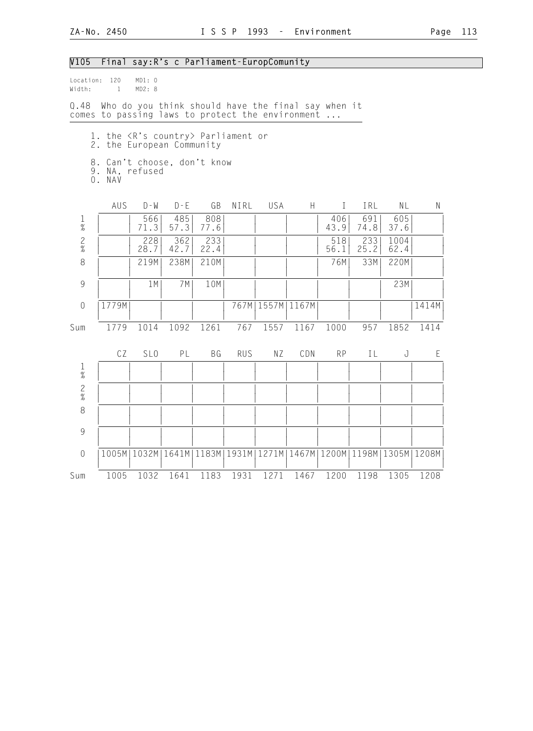#### V105 Final say:R's c Parliament-EuropComunity

Location: 120 MD1: 0<br>Width: 1 MD2: 8  $Width: 1$ Q.48 Who do you think should have the final say when it comes to passing laws to protect the environment ... 1. the <R's country> Parliament or 2. the European Community 8. Can't choose, don't know 9. NA, refused 0. NAV AUS D-W D-E GB NIRL USA H I IRL NL N 1 | | 566| 485| 808| | | | 406| 691| 605| | % | | 71.3| 57.3| 77.6| | | | 43.9| 74.8| 37.6| | 2 | | 228| 362| 233| | | | 518| 233| 1004| |  $\%$  | | 28.7 | 42.7 | 22.4 | | | | | | | 56.1 | 25.2 | 62.4 | | | 8 | | 219M| 238M| 210M| | | | | | | 76M| 33M| 220M| | | | | | | | | | | | | | | 9 | | 1M| 7M| 10M| | | | | | | | | 23M| | | | | | | | | | | | | | 0 |1779M| | | | 767M|1557M|1167M| | | |1414M| | | | | | | | | | | | | Sum 1779 1014 1092 1261 767 1557 1167 1000 957 1852 1414 CZ SLO PL BG RUS NZ CDN RP IL J E 1 | | | | | | | | | | | |  $\frac{1}{2}$   $\frac{1}{2}$   $\frac{1}{2}$   $\frac{1}{2}$   $\frac{1}{2}$   $\frac{1}{2}$   $\frac{1}{2}$   $\frac{1}{2}$   $\frac{1}{2}$   $\frac{1}{2}$   $\frac{1}{2}$   $\frac{1}{2}$   $\frac{1}{2}$   $\frac{1}{2}$   $\frac{1}{2}$   $\frac{1}{2}$   $\frac{1}{2}$   $\frac{1}{2}$   $\frac{1}{2}$   $\frac{1}{2}$   $\frac{1}{2}$   $\frac{1}{2}$  2 | | | | | | | | | | | | | | |  $\frac{1}{2}$   $\frac{1}{2}$   $\frac{1}{2}$   $\frac{1}{2}$   $\frac{1}{2}$   $\frac{1}{2}$   $\frac{1}{2}$   $\frac{1}{2}$   $\frac{1}{2}$   $\frac{1}{2}$   $\frac{1}{2}$   $\frac{1}{2}$   $\frac{1}{2}$   $\frac{1}{2}$   $\frac{1}{2}$   $\frac{1}{2}$   $\frac{1}{2}$   $\frac{1}{2}$   $\frac{1}{2}$   $\frac{1}{2}$   $\frac{1}{2}$   $\frac{1}{2}$  8 | | | | | | | | | | | | | | | | | | | | | | | | | | 9 | | | | | | | | | | | | | | | | | | | | | | | | 0 |1005M|1032M|1641M|1183M|1931M|1271M|1467M|1200M|1198M|1305M|1208M| | | | | | | | | | | | | Sum 1005 1032 1641 1183 1931 1271 1467 1200 1198 1305 1208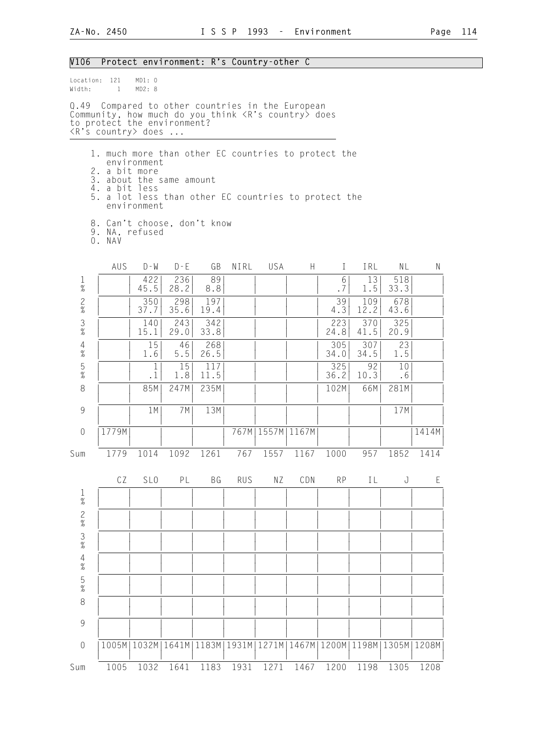| V106                 |                                                                                                                                                                                                                                      |                            |             |             |               | Protect environment: R's Country-other C |      |             |                                               |             |       |
|----------------------|--------------------------------------------------------------------------------------------------------------------------------------------------------------------------------------------------------------------------------------|----------------------------|-------------|-------------|---------------|------------------------------------------|------|-------------|-----------------------------------------------|-------------|-------|
| Width:               | Location: 121<br>$\mathbf{1}$                                                                                                                                                                                                        | MD1: 0<br>MD2: 8           |             |             |               |                                          |      |             |                                               |             |       |
|                      | Q.49 Compared to other countries in the European<br>Community, how much do you think <r's country=""> does<br/>to protect the environment?<br/><math>\langle R's</math> country&gt; does </r's>                                      |                            |             |             |               |                                          |      |             |                                               |             |       |
|                      | 1. much more than other EC countries to protect the<br>2. a bit more<br>3. about the same amount<br>4. a bit less<br>5. a lot less than other EC countries to protect the<br>8. Can't choose, don't know<br>9. NA, refused<br>0. NAV | environment<br>environment |             |             |               |                                          |      |             |                                               |             |       |
|                      | <b>AUS</b>                                                                                                                                                                                                                           | D - W                      | $D - E$     | GB          | NIRL          | USA                                      | H.   | L           | IRL                                           | NL          | N     |
| $\mathbf{1}$<br>$\%$ |                                                                                                                                                                                                                                      | 422<br>45.5                | 236<br>28.2 | 89<br>8.8   |               |                                          |      | 6<br>.7     | 13<br>1.5                                     | 518<br>33.3 |       |
| $\frac{2}{\%}$       |                                                                                                                                                                                                                                      | 350<br>37.7                | 298<br>35.6 | 197<br>19.4 |               |                                          |      | 39<br>4.3   | 109<br>12.2                                   | 678<br>43.6 |       |
| $\frac{3}{\%}$       |                                                                                                                                                                                                                                      | 140<br>15.1                | 243<br>29.0 | 342<br>33.8 |               |                                          |      | 223<br>24.8 | 370<br>41.5                                   | 325<br>20.9 |       |
| $\frac{4}{\%}$       |                                                                                                                                                                                                                                      | 15<br>1.6                  | 46<br>5.5   | 268<br>26.5 |               |                                          |      | 305<br>34.0 | 307<br>34.5                                   | 23<br>1.5   |       |
| $\frac{5}{\%}$       |                                                                                                                                                                                                                                      | 1<br>$\cdot$ 1             | 15<br>1.8   | 117<br>11.5 |               |                                          |      | 325<br>36.2 | 92<br>10.3                                    | 10<br>.6    |       |
| 8                    |                                                                                                                                                                                                                                      | 85M                        | 247M        | 235M        |               |                                          |      | 102M        | 66M                                           | 281M        |       |
| 9                    |                                                                                                                                                                                                                                      | 1M                         | 7M          | 13M         |               |                                          |      |             |                                               | 17M         |       |
| $\theta$             | 1779M                                                                                                                                                                                                                                |                            |             |             |               | 767M   1557M   1167M                     |      |             |                                               |             | 1414M |
| Sum                  | 1779                                                                                                                                                                                                                                 | 1014                       | 1092        | 1261        | 767           | 1557                                     | 1167 | 1000        | 957                                           | 1852        | 1414  |
|                      | CZ                                                                                                                                                                                                                                   | SL <sub>0</sub>            | PL          | BG          | <b>RUS</b>    | ΝZ                                       | CDN  | RP          | IL                                            | J           | E     |
| $\frac{1}{\%}$       |                                                                                                                                                                                                                                      |                            |             |             |               |                                          |      |             |                                               |             |       |
|                      |                                                                                                                                                                                                                                      |                            |             |             |               |                                          |      |             |                                               |             |       |
| $\frac{2}{8}$ 3<br>% |                                                                                                                                                                                                                                      |                            |             |             |               |                                          |      |             |                                               |             |       |
| $\frac{4}{\%}$       |                                                                                                                                                                                                                                      |                            |             |             |               |                                          |      |             |                                               |             |       |
| $\frac{5}{\%}$       |                                                                                                                                                                                                                                      |                            |             |             |               |                                          |      |             |                                               |             |       |
| $\,8\,$              |                                                                                                                                                                                                                                      |                            |             |             |               |                                          |      |             |                                               |             |       |
| 9                    |                                                                                                                                                                                                                                      |                            |             |             |               |                                          |      |             |                                               |             |       |
| $\mathbf 0$          |                                                                                                                                                                                                                                      | 1005M   1032M              | 1641M       |             | 1183M   1931M |                                          |      |             | 1271M   1467M   1200M   1198M   1305M   1208M |             |       |
| Sum                  | 1005                                                                                                                                                                                                                                 | 1032                       | 1641        | 1183        | 1931          | 1271                                     | 1467 | 1200        | 1198                                          | 1305        | 1208  |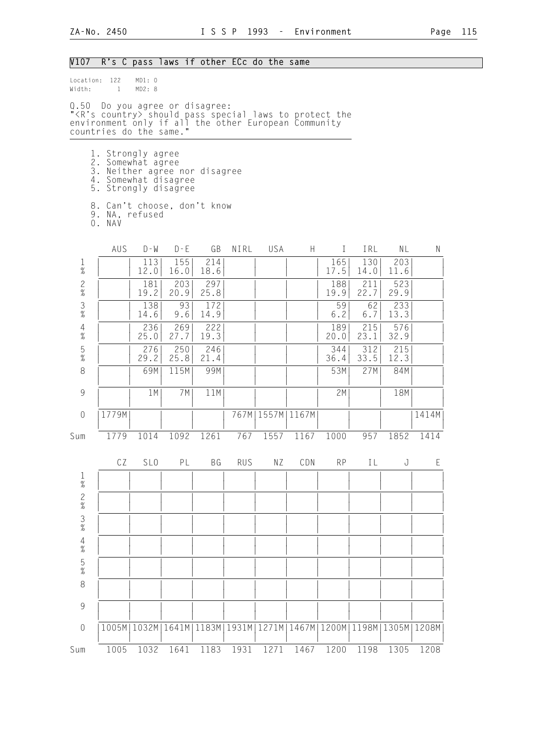| V107                                                      |                                                                                                                                                                                         |                  | R's C pass laws if other ECc do the same |                       |            |                      |      |              |             |                                               |       |
|-----------------------------------------------------------|-----------------------------------------------------------------------------------------------------------------------------------------------------------------------------------------|------------------|------------------------------------------|-----------------------|------------|----------------------|------|--------------|-------------|-----------------------------------------------|-------|
| Location: 122<br>Width:                                   | $\mathbf{1}$                                                                                                                                                                            | MD1: 0<br>MD2: 8 |                                          |                       |            |                      |      |              |             |                                               |       |
|                                                           | Q.50 Do you agree or disagree:<br>" <r's country=""> should pass special laws to protect the<br/>environment only if all the other European Community<br/>countries do the same."</r's> |                  |                                          |                       |            |                      |      |              |             |                                               |       |
|                                                           | 1. Strongly agree<br>2. Somewhat agree<br>3. Neither agree nor disagree<br>4. Somewhat disagree<br>5. Strongly disagree                                                                 |                  |                                          |                       |            |                      |      |              |             |                                               |       |
|                                                           | 8. Can't choose, don't know<br>9. NA, refused<br>O. NAV                                                                                                                                 |                  |                                          |                       |            |                      |      |              |             |                                               |       |
|                                                           | AUS                                                                                                                                                                                     | $D - W$          | $D - E$                                  | GB                    | NIRL       | USA                  | H.   | $\mathbf{I}$ | IRL         | NL                                            | N     |
| $\frac{1}{\%}$                                            |                                                                                                                                                                                         | 113<br>12.0      | 155<br>16.0                              | 214<br>18.6           |            |                      |      | 165<br>17.5  | 130<br>14.0 | 203<br>11.6                                   |       |
| $\overline{c}$<br>$\%$                                    |                                                                                                                                                                                         | 181<br>19.2      | 203<br>20.9                              | 297<br>25.8           |            |                      |      | 188<br>19.9  | 211<br>22.7 | 523<br>29.9                                   |       |
| $\frac{3}{8}$                                             |                                                                                                                                                                                         | 138<br>14.6      | 93<br>9.6                                | 172<br>14.9           |            |                      |      | 59<br>6.2    | 62<br>6.7   | 233<br>13.3                                   |       |
| $\frac{4}{\%}$                                            |                                                                                                                                                                                         | 236<br>25.0      | 269<br>27.7                              | 222<br>19.3           |            |                      |      | 189<br>20.0  | 215<br>23.1 | 576<br>32.9                                   |       |
| $\frac{5}{\%}$                                            |                                                                                                                                                                                         | 276<br>29.2      | 250<br>25.8                              | 246<br>21.4           |            |                      |      | 344<br>36.4  | 312<br>33.5 | 215<br>12.3                                   |       |
| 8                                                         |                                                                                                                                                                                         | 69M              | 115M                                     | 99M                   |            |                      |      | 53M          | 27M         | 84M                                           |       |
| $\mathcal{G}% _{M_{1},M_{2}}^{\alpha,\beta}(\mathcal{G})$ |                                                                                                                                                                                         | 1M               | 7M                                       | 11M                   |            |                      |      | 2M           |             | 18M                                           |       |
| $\theta$                                                  | 1779M                                                                                                                                                                                   |                  |                                          |                       |            | 767M   1557M   1167M |      |              |             |                                               | 1414M |
| Sum                                                       | 1779                                                                                                                                                                                    | 1014             | 1092                                     | 1261                  | 767        | 1557                 | 1167 | 1000         | 957         | 1852                                          | 1414  |
|                                                           | CZ                                                                                                                                                                                      | SL <sub>0</sub>  | PL                                       | BG                    | <b>RUS</b> | ΝZ                   | CDN  | <b>RP</b>    | ΙL          | J                                             | E     |
| $\frac{1}{\%}$                                            |                                                                                                                                                                                         |                  |                                          |                       |            |                      |      |              |             |                                               |       |
| $\frac{2}{\%}$                                            |                                                                                                                                                                                         |                  |                                          |                       |            |                      |      |              |             |                                               |       |
| $\frac{3}{8}$                                             |                                                                                                                                                                                         |                  |                                          |                       |            |                      |      |              |             |                                               |       |
| $4\atop 26$                                               |                                                                                                                                                                                         |                  |                                          |                       |            |                      |      |              |             |                                               |       |
| $\frac{5}{\%}$                                            |                                                                                                                                                                                         |                  |                                          |                       |            |                      |      |              |             |                                               |       |
| $\,8\,$                                                   |                                                                                                                                                                                         |                  |                                          |                       |            |                      |      |              |             |                                               |       |
| $\overline{9}$                                            |                                                                                                                                                                                         |                  |                                          |                       |            |                      |      |              |             |                                               |       |
| $\mathbf 0$                                               |                                                                                                                                                                                         | 1005M   1032M    |                                          | 1641M   1183M   1931M |            |                      |      |              |             | 1271M   1467M   1200M   1198M   1305M   1208M |       |
| Sum                                                       | 1005                                                                                                                                                                                    | 1032             | 1641                                     | 1183                  | 1931       | 1271                 | 1467 | 1200         | 1198        | 1305                                          | 1208  |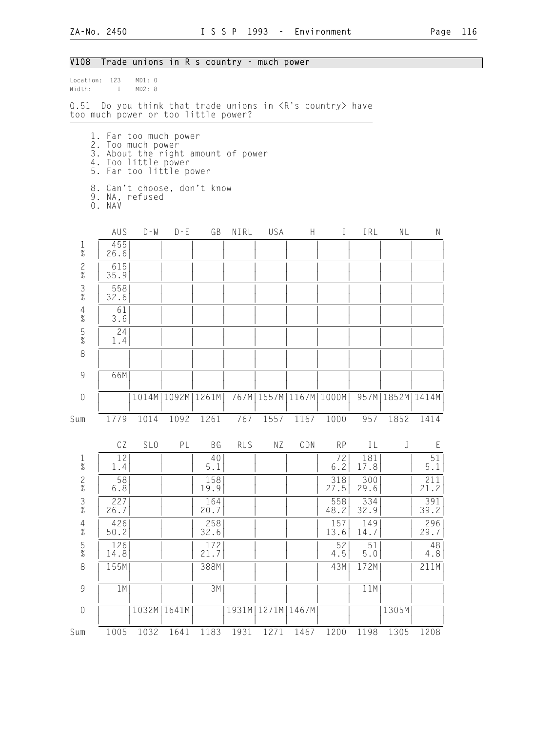| V108                        |                                                                                                                                    |         |         | Trade unions in R s country - much power                  |      |                              |   |                                            |                    |                      |                                   |
|-----------------------------|------------------------------------------------------------------------------------------------------------------------------------|---------|---------|-----------------------------------------------------------|------|------------------------------|---|--------------------------------------------|--------------------|----------------------|-----------------------------------|
| Width:                      | Location: 123<br>MD1: 0<br>MD2: 8<br>$\sim$ $\sim$ 1                                                                               |         |         |                                                           |      |                              |   |                                            |                    |                      |                                   |
|                             | Q.51 Do you think that trade unions in <r's country=""> have<br/>too much power or too little power?</r's>                         |         |         |                                                           |      |                              |   |                                            |                    |                      |                                   |
|                             | 1. Far too much power<br>2. Too much power<br>3. About the right amount of power<br>4. Too little power<br>5. Far too little power |         |         |                                                           |      |                              |   |                                            |                    |                      |                                   |
|                             | 8. Can't choose, don't know<br>9. NA, refused<br>0. NAV                                                                            |         |         |                                                           |      |                              |   |                                            |                    |                      |                                   |
|                             | AUS                                                                                                                                | $D - W$ | $D - E$ | GB                                                        | NIRL | USA                          | H | $\Gamma$                                   | IRL                | NL                   | N                                 |
| $\frac{1}{\%}$              | 455<br>26.6                                                                                                                        |         |         |                                                           |      |                              |   |                                            |                    |                      |                                   |
| $\frac{2}{\%}$              | 615<br>35.9                                                                                                                        |         |         |                                                           |      |                              |   |                                            |                    |                      |                                   |
| $\frac{3}{8}$               | 558<br>32.6                                                                                                                        |         |         |                                                           |      |                              |   |                                            |                    |                      |                                   |
| $\sqrt{4}$<br>$\frac{1}{6}$ | 61<br>3.6                                                                                                                          |         |         |                                                           |      |                              |   |                                            |                    |                      |                                   |
| $\frac{5}{\%}$              | 24<br>1.4                                                                                                                          |         |         |                                                           |      |                              |   |                                            |                    |                      |                                   |
| 8                           |                                                                                                                                    |         |         |                                                           |      |                              |   |                                            |                    |                      |                                   |
| 9                           | 66M                                                                                                                                |         |         |                                                           |      |                              |   |                                            |                    |                      |                                   |
| $\theta$                    |                                                                                                                                    |         |         | 1014M   1092M   1261M                                     |      | 767M   1557M   1167M   1000M |   |                                            |                    | 957M   1852M   1414M |                                   |
| Sum                         | 1779                                                                                                                               | 1014    |         | 1092 1261 767                                             |      |                              |   | 1557 1167 1000                             |                    | 957 1852 1414        |                                   |
|                             |                                                                                                                                    |         |         |                                                           |      |                              |   |                                            |                    |                      | CZ SLO PL BG RUS NZ CDN RP IL J E |
| 1<br>$\frac{1}{\%}$         | 12<br>1.4                                                                                                                          |         |         | 40<br>5.1                                                 |      |                              |   | 72<br>6.2                                  | 181<br>17.8        |                      | 51<br>$5.1$                       |
| $\frac{2}{\%}$              | 58<br>6.8                                                                                                                          |         |         | 158<br>19.9                                               |      |                              |   | 318<br>27.5                                | 300<br>29.6        |                      | 211<br>21.2                       |
| $\frac{3}{8}$               | $\left[\begin{array}{c} 227 \\ 26.7 \end{array}\right]$                                                                            |         |         | $\left  \begin{array}{c} 164 \\ 20.7 \end{array} \right $ |      |                              |   | $\begin{array}{c} 558 \\ 48.2 \end{array}$ | $\frac{334}{32.9}$ |                      | $\frac{391}{39.2}$                |

| $\frac{3}{\%}$ | 227<br>26.7   | 164<br>20.7  |                | 558<br>48.2  | 334<br>32.9  | 391<br>39.2 |
|----------------|---------------|--------------|----------------|--------------|--------------|-------------|
| $\frac{4}{\%}$ | 426<br>50.2   | 258<br>32.6  |                | 157<br>13.6  | 149<br>14.7  | 296<br>29.7 |
| $\frac{5}{\%}$ | 126<br>14.8   | 172<br>21.   |                | 52<br>4.5    | 51<br>5.0    | 48<br>4.8   |
| 8              | 155M          | 388M         |                | 43M          | 172M         | 211M        |
| 9              | 1 M           | 3M           |                |              | 11M          |             |
| $\overline{0}$ | 1032M   1641M |              | 1931M<br>1271M | 1467M        | 1305M        |             |
| Sum            | 1032<br>1005  | 1183<br>1641 | 1931<br>1271   | 1467<br>1200 | 1198<br>1305 | 1208        |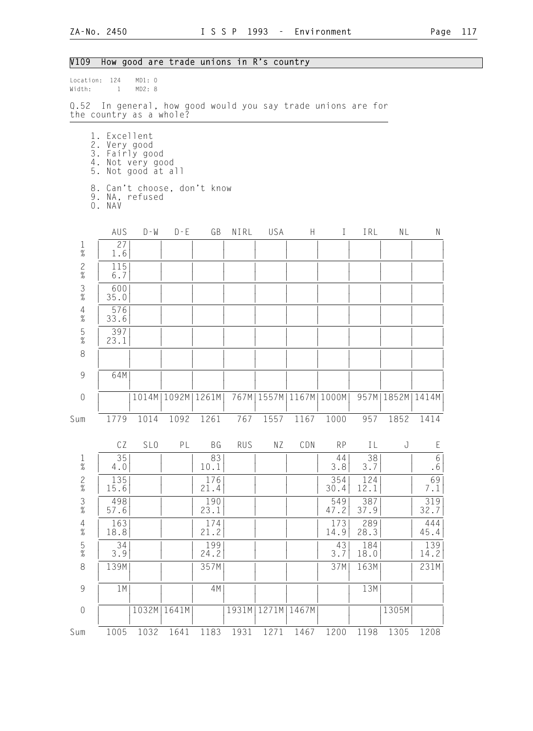V109 How good are trade unions in R's country

# Location: 124 MD1: 0<br>Width: 1 MD2: 8  $Width: 1$ Q.52 In general, how good would you say trade unions are for the country as a whole? 1. Excellent 2. Very good 3. Fairly good 4. Not very good 5. Not good at all 8. Can't choose, don't know 9. NA, refused 0. NAV AUS D-W D-E GB NIRL USA H I IRL NL N 1 | 27 | | | | | | | | | | | | | |  $\frac{1}{2}$   $\frac{1}{2}$   $\frac{1}{2}$   $\frac{1}{2}$   $\frac{1}{2}$   $\frac{1}{2}$   $\frac{1}{2}$   $\frac{1}{2}$   $\frac{1}{2}$   $\frac{1}{2}$   $\frac{1}{2}$   $\frac{1}{2}$   $\frac{1}{2}$   $\frac{1}{2}$   $\frac{1}{2}$   $\frac{1}{2}$   $\frac{1}{2}$   $\frac{1}{2}$   $\frac{1}{2}$   $\frac{1}{2}$   $\frac{1}{2}$   $\frac{1}{2}$  2 | 115| | | | | | | | | | |  $\frac{1}{2}$   $\frac{1}{2}$   $\frac{1}{2}$   $\frac{1}{2}$   $\frac{1}{2}$   $\frac{1}{2}$   $\frac{1}{2}$   $\frac{1}{2}$   $\frac{1}{2}$   $\frac{1}{2}$   $\frac{1}{2}$   $\frac{1}{2}$   $\frac{1}{2}$   $\frac{1}{2}$   $\frac{1}{2}$   $\frac{1}{2}$   $\frac{1}{2}$   $\frac{1}{2}$   $\frac{1}{2}$   $\frac{1}{2}$   $\frac{1}{2}$   $\frac{1}{2}$  3 | 600| | | | | | | | | | | % | 35.0| | | | | | | | | | | 4 | 576| | | | | | | | | | | % | 33.6| | | | | | | | | | | 5 | 397| | | | | | | | | | | % | 23.1| | | | | | | | | | | 8 | | | | | | | | | | | | | | | | | | | | | | | | | | 9 | 64M| | | | | | | | | | | | | | | | | | | | | | | 0 | |1014M|1092M|1261M| 767M|1557M|1167M|1000M| 957M|1852M|1414M| | | | | | | | | | | | | Sum 1779 1014 1092 1261 767 1557 1167 1000 957 1852 1414 CZ SLO PL BG RUS NZ CDN RP IL J E 1 | 35| | | 83| | | | 44| 38| | 6| % | 4.0| | | 10.1| | | | 3.8| 3.7| | .6| 2 | 135| | | 176| | | | 354| 124| | 69|  $\%$  | 15.6| | | 21.4| | | | | | 30.4| 12.1| | | | 7.1| 3 | 498| | | 190| | | | 549| 387| | 319| % | 57.6| | | 23.1| | | | 47.2| 37.9| | 32.7| 4 | 163| | | 174| | | | 173| 289| | 444| % | 18.8| | | 21.2| | | | 14.9| 28.3| | 45.4| 5 | 34| | | 199| | | | 43| 184| | 139| % | 3.9| | | 24.2| | | | 3.7| 18.0| | 14.2| 8 | 139M| | | 357M| | | | 37M| 163M| | 231M| | | | | | | | | | | | | 9 | 1M| | | 4M| | | | | | | 13M| | | | | | | | | | | | | | | 0 | |1032M|1641M| |1931M|1271M|1467M| | |1305M | | | | | | | | | | | | Sum 1005 1032 1641 1183 1931 1271 1467 1200 1198 1305 1208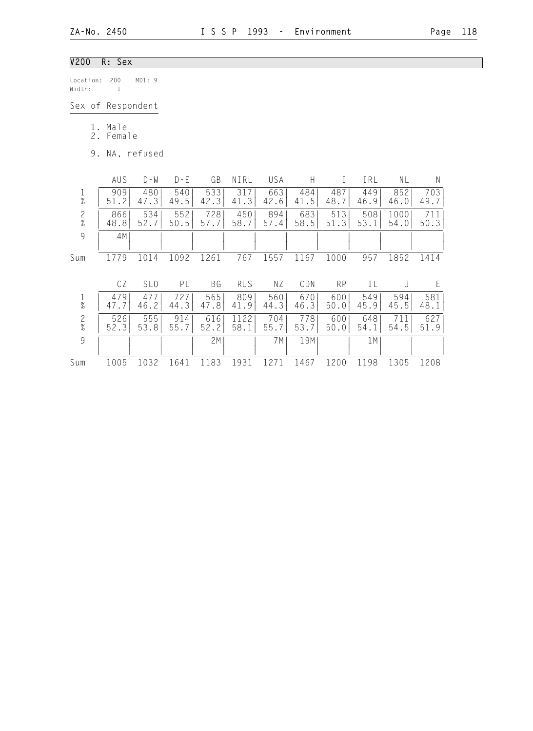# V200 R: Sex

Location: 200 MD1: 9 Width: 1

Sex of Respondent

1. Male

2. Female

9. NA, refused

|                      | AUS         | $D - W$         | $D - F$     | GB          | NIRL             | USA         | Н           |             | IRL         | ΝL           | Ν           |  |
|----------------------|-------------|-----------------|-------------|-------------|------------------|-------------|-------------|-------------|-------------|--------------|-------------|--|
| $\frac{1}{\%}$       | 909<br>51.2 | 480<br>47.3     | 540<br>49.5 | 533<br>42.3 | 317<br>41.3      | 663<br>42.6 | 484<br>41.5 | 487<br>48.7 | 449<br>46.9 | 852<br>46.0  | 703<br>49.7 |  |
| $\frac{2}{\%}$       | 866<br>48.8 | 534<br>52.7     | 552<br>50.5 | 728<br>57.7 | 450<br>58.7      | 894<br>57.4 | 683<br>58.5 | 513<br>51.3 | 508<br>53.1 | 1000<br>54.0 | 711<br>50.3 |  |
| 9                    | 4M          |                 |             |             |                  |             |             |             |             |              |             |  |
| Sum                  | 1779        | 1014            | 1092        | 1261        | 767              | 1557        | 1167        | 1000        | 957         | 1852         | 1414        |  |
|                      | CZ          | SL <sub>0</sub> | PL          | ΒG          | <b>RUS</b>       | ΝZ          | CDN         | <b>RP</b>   | ΙL          | J            | E           |  |
| $\%$                 | 479<br>47.7 | 477<br>46.2     | 727<br>44.3 | 565<br>47.8 | 809<br>41.9      | 560<br>44.3 | 670<br>46.3 | 600<br>50.0 | 549<br>45.9 | 594<br>45.5  | 581<br>48.1 |  |
| $\mathbf{2}$<br>$\%$ | 526<br>52.3 | 555<br>53.8     | 914<br>55.7 | 616<br>52.2 | 22<br>11<br>58.1 | 704<br>55.7 | 778<br>53.7 | 600<br>50.0 | 648<br>54.1 | 711<br>54.5  | 627<br>51.9 |  |
| 9                    |             |                 |             | 2M          |                  | 7 M         | 19M         |             | 1 M         |              |             |  |
| Sum                  | 1005        | 1032            | 1641        | 1183        | 1931             | 271         | 1467        | 1200        | 1198        | 1305         | 1208        |  |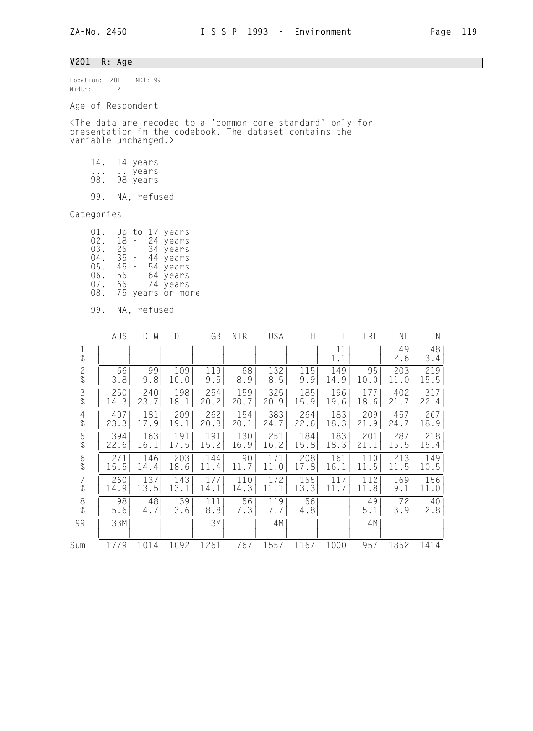## V201 R: Age

Location: 201 MD1: 99 Width: 2

Age of Respondent

<The data are recoded to a 'common core standard' only for presentation in the codebook. The dataset contains the variable unchanged.>

- 14. 14 years
- ... .. years 98. 98 years

99. NA, refused

Categories

| 01. |        | to |                              | 17 years         |
|-----|--------|----|------------------------------|------------------|
| 02. | 18     |    |                              | 24 years         |
| 03. | 25 -   |    |                              | 34 years         |
| 04. | $35 -$ |    | 44                           | years            |
| 05. | 45 -   |    |                              | 54 years         |
| 06. | 55 -   |    |                              | 64 years         |
| 07. | 65 -   |    |                              | 74 years         |
| 08. |        |    |                              | 75 years or more |
| ററ  | N A    |    | $n \wedge f \cup g \wedge d$ |                  |

| 99. | NA. | retused |
|-----|-----|---------|
|     |     |         |

|                | AUS       | $D - W$   | $D - E$   | GB         | NIRL      | USA        | H         |           | IRL       | ΝL        | $\mathsf{N}$ |
|----------------|-----------|-----------|-----------|------------|-----------|------------|-----------|-----------|-----------|-----------|--------------|
| $\frac{1}{\%}$ |           |           |           |            |           |            |           | 11<br>1.1 |           | 49<br>2.6 | 48<br>3.4    |
| $\frac{2}{\%}$ | 66        | 99        | 109       | 119        | 68        | 132        | 115       | 149       | 95        | 203       | 219          |
|                | 3.8       | 9.8       | 10.0      | 9.5        | 8.9       | 8.5        | 9.9       | 14.9      | 10.0      | 11.0      | 15.5         |
| $\frac{3}{8}$  | 250       | 240       | 198       | 254        | 159       | 325        | 185       | 196       | 177       | 402       | 317          |
|                | 14.3      | 23.7      | 18.1      | 20.2       | 20.7      | 20.9       | 15.9      | 19.6      | 18.6      | 21.7      | 22.4         |
| $\overline{4}$ | 407       | 181       | 209       | 262        | 154       | 383        | 264       | 183       | 209       | 457       | 267          |
| $\%$           | 23.3      | 17.9      | 19.1      | 20.8       | 20.1      | 24.7       | 22.6      | 18.3      | 21.9      | 24.7      | 18.9         |
| $\frac{5}{\%}$ | 394       | 163       | 191       | 191        | 130       | 251        | 184       | 183       | 201       | 287       | 218          |
|                | 22.6      | 16.1      | 17.5      | 15.2       | 16.9      | 16.2       | 15.8      | 18.3      | 21.1      | 15.5      | 15.4         |
| 6              | 271       | 146       | 203       | 144        | 90        | 171        | 208       | 161       | 110       | 213       | 149          |
| $\%$           | 15.5      | 14.4      | 18.6      | 11.4       | 11.7      | 11.0       | 17.8      | 16.1      | 11.5      | 11.5      | 10.5         |
| $\overline{7}$ | 260       | 137       | 143       | 177        | 110       | 172        | 155       | 117       | 112       | 169       | 156          |
| $\%$           | 14.9      | 13.5      | 13.1      | 14.1       | 14.3      | 11.1       | 13.3      | 11.7      | 11.8      | 9.1       | 11.0         |
| $\frac{8}{\%}$ | 98<br>5.6 | 48<br>4.7 | 39<br>3.6 | 111<br>8.8 | 56<br>7.3 | 119<br>7.7 | 56<br>4.8 |           | 49<br>5.1 | 72<br>3.9 | 40<br>2.8    |
| 99             | 33M       |           |           | 3M         |           | 4M         |           |           | 4M        |           |              |
| Sum            | 1779      | 1014      | 1092      | 1261       | 767       | 1557       | 1167      | 1000      | 957       | 1852      | 1414         |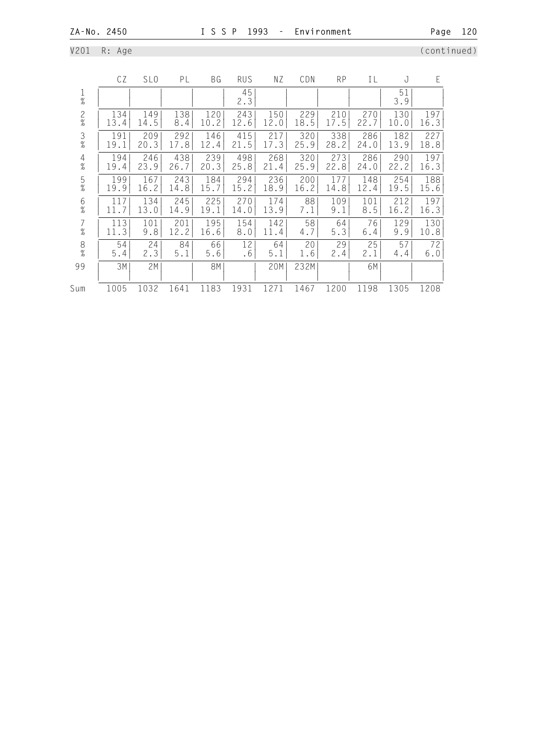V201 R: Age (continued)

|                                       | CZ   | SL <sub>0</sub> | PL   | ΒG        | <b>RUS</b> | ΝZ   | CDN  | <b>RP</b> | IL   | J         | E    |
|---------------------------------------|------|-----------------|------|-----------|------------|------|------|-----------|------|-----------|------|
| 1<br>$\%$                             |      |                 |      |           | 45<br>2.3  |      |      |           |      | 51<br>3.9 |      |
| $\frac{2}{\%}$                        | 134  | 149             | 138  | 120       | 243        | 150  | 229  | 210       | 270  | 130       | 197  |
|                                       | 13.4 | 14.5            | 8.4  | 10.2      | 12.6       | 12.0 | 18.5 | 17.5      | 22.7 | 10.0      | 16.3 |
| $\frac{3}{8}$                         | 191  | 209             | 292  | 146       | 415        | 217  | 320  | 338       | 286  | 182       | 227  |
|                                       | 19.1 | 20.3            | 17.8 | 12.4      | 21.5       | 17.3 | 25.9 | 28.2      | 24.0 | 13.9      | 18.8 |
| $\overline{4}$                        | 194  | 246             | 438  | 239       | 498        | 268  | 320  | 273       | 286  | 290       | 197  |
| $\%$                                  | 19.4 | 23.9            | 26.7 | 20.3      | 25.8       | 21.4 | 25.9 | 22.8      | 24.0 | 22.2      | 16.3 |
| 5                                     | 199  | 167             | 243  | 184       | 294        | 236  | 200  | 177       | 148  | 254       | 188  |
| $\%$                                  | 19.9 | 16.2            | 14.8 | 15.7      | 15.2       | 18.9 | 16.2 | 14.8      | 12.4 | 19.5      | 15.6 |
| 6                                     | 117  | 134             | 245  | 225       | 270        | 174  | 88   | 109       | 101  | 212       | 197  |
| $\%$                                  | 11.7 | 13.0            | 14.9 | 19.1      | 14.0       | 13.9 | 7.1  | 9.1       | 8.5  | 16.2      | 16.3 |
| 7                                     | 113  | 101             | 201  | 195       | 154        | 142  | 58   | 64        | 76   | 129       | 130  |
| $\%$                                  | 11.3 | 9.8             | 12.2 | 16.6      | 8.0        | 11.4 | 4.7  | 5.3       | 6.4  | 9.9       | 10.8 |
| $\begin{array}{c} 8 \\ 8 \end{array}$ | 54   | 24              | 84   | 66        | 12         | 64   | 20   | 29        | 25   | 57        | 72   |
|                                       | 5.4  | 2.3             | 5.1  | 5.6       | .6         | 5.1  | 1.6  | 2.4       | 2.1  | 4.4       | 6.0  |
| 99                                    | 3M   | 2M              |      | <b>8M</b> |            | 20M  | 232M |           | 6M   |           |      |
| Sum                                   | 1005 | 1032            | 1641 | 1183      | 1931       | 1271 | 1467 | 1200      | 1198 | 1305      | 1208 |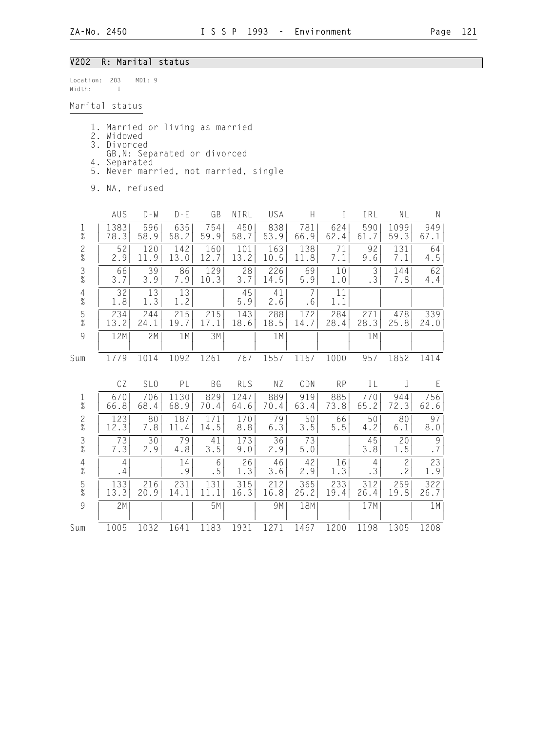#### V202 R: Marital status

Location: 203 MD1: 9 Width: 1

Marital status

- 1. Married or living as married
- 2. Widowed
- 3. Divorced
	- GB,N: Separated or divorced
	- 4. Separated
	- 5. Never married, not married, single
	- 9. NA, refused

|                                            | AUS       | $D - M$         | $D - E$   | GB        | NIRL       | USA       | H         | I         | IRL                  | ΝL                        | N                                                               |
|--------------------------------------------|-----------|-----------------|-----------|-----------|------------|-----------|-----------|-----------|----------------------|---------------------------|-----------------------------------------------------------------|
| $\frac{1}{\%}$                             | 1383      | 596             | 635       | 754       | 450        | 838       | 781       | 624       | 590                  | 1099                      | 949                                                             |
|                                            | 78.3      | 58.9            | 58.2      | 59.9      | 58.7       | 53.9      | 66.9      | 62.4      | 61.7                 | 59.3                      | 67.1                                                            |
| $\frac{2}{\%}$                             | 52        | 120             | 142       | 160       | 101        | 163       | 138       | 71        | 92                   | 131                       | 64                                                              |
|                                            | 2.9       | 11.9            | 13.0      | 12.7      | 13.2       | 10.5      | 11.8      | 7.1       | 9.6                  | 7.1                       | 4.5                                                             |
| $\frac{3}{8}$                              | 66        | 39              | 86        | 129       | 28         | 226       | 69        | 10        | 3                    | 144                       | 62                                                              |
|                                            | 3.7       | 3.9             | 7.9       | 10.3      | 3.7        | 14.5      | 5.9       | 1.0       | .3                   | 7.8                       | 4.4                                                             |
| $\frac{4}{\%}$                             | 32<br>1.8 | 13<br>1.3       | 13<br>1.2 |           | 45<br>5.9  | 41<br>2.6 | 7<br>.6   | 11<br>1.1 |                      |                           |                                                                 |
| $\frac{5}{\%}$                             | 234       | 244             | 215       | 215       | 143        | 288       | 172       | 284       | 271                  | 478                       | 339                                                             |
|                                            | 13.2      | 24.1            | 19.7      | 17.1      | 18.6       | 18.5      | 14.7      | 28.4      | 28.3                 | 25.8                      | 24.0                                                            |
| $\overline{9}$                             | 12M       | 2M              | 1M        | 3M        |            | 1 M       |           |           | 1 M                  |                           |                                                                 |
| Sum                                        | 1779      | 1014            | 1092      | 1261      | 767        | 1557      | 1167      | 1000      | 957                  | 1852                      | 1414                                                            |
|                                            | CZ        | SL <sub>0</sub> | PL        | BG        | <b>RUS</b> | ΝZ        | CDN       | <b>RP</b> | ΙL                   | J                         | E                                                               |
| $\frac{1}{\%}$                             | 670       | 706             | 1130      | 829       | 1247       | 889       | 919       | 885       | 770                  | 944                       | 756                                                             |
|                                            | 66.8      | 68.4            | 68.9      | 70.4      | 64.6       | 70.4      | 63.4      | 73.8      | 65.2                 | 72.3                      | 62.6                                                            |
| $\frac{2}{\%}$                             | 123       | 80              | 187       | 171       | 170        | 79        | 50        | 66        | 50                   | 80                        | 97                                                              |
|                                            | 12.3      | 7.8             | 11.4      | 14.5      | 8.8        | 6.3       | 3.5       | 5.5       | 4.2                  | 6.1                       | 8.0                                                             |
| $\frac{3}{\%}$                             | 73<br>7.3 | 30<br>2.9       | 79<br>4.8 | 41<br>3.5 | 173<br>9.0 | 36<br>2.9 | 73<br>5.0 |           | 45<br>3.8            | 20<br>1.5                 | $\mathcal{G}% _{M_{1},M_{2}}^{\alpha,\beta}(\mathcal{G})$<br>.7 |
| $\begin{array}{c} 4 \\ 2 \\ 0 \end{array}$ | 4<br>.4   |                 | 14<br>.9  | 6<br>. 5  | 26<br>1.3  | 46<br>3.6 | 42<br>2.9 | 16<br>1.3 | $\overline{4}$<br>.3 | $\mathbf{2}$<br>$\cdot$ 2 | 23<br>1.9                                                       |
| $\frac{5}{\%}$                             | 133       | 216             | 231       | 131       | 315        | 212       | 365       | 233       | 312                  | 259                       | 322                                                             |
|                                            | 13.3      | 20.9            | 14.1      | 11.1      | 16.3       | 16.8      | 25.2      | 19.4      | 26.4                 | 19.8                      | 26.7                                                            |

 9 | 2M| | | 5M| | 9M| 18M| | 17M| | 1M| | | | | | | | | | | | |

Sum 1005 1032 1641 1183 1931 1271 1467 1200 1198 1305 1208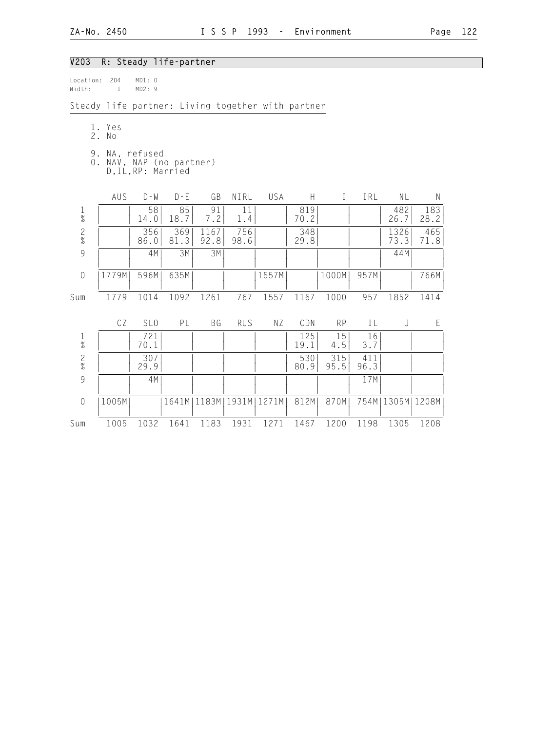### V203 R: Steady life-partner

| location: | -204 | MD1: O |  |
|-----------|------|--------|--|
| Width:    |      | MD2:9  |  |

Steady life partner: Living together with partner

- 1. Yes 2. No
	-
- 9. NA, refused 0. NAV, NAP (no partner) D,IL,RP: Married

|                | AUS   | $D - W$         | $D - E$     | GB           | NIRL        | USA   | Н           | I           | IRL         | ΝL            | N           |
|----------------|-------|-----------------|-------------|--------------|-------------|-------|-------------|-------------|-------------|---------------|-------------|
| $\frac{1}{\%}$ |       | 58<br>14.0      | 85<br>18.7  | 91<br>7.2    | 11<br>1.4   |       | 819<br>70.2 |             |             | 482<br>26.7   | 183<br>28.2 |
| $\frac{2}{\%}$ |       | 356<br>86.0     | 369<br>81.3 | 1167<br>92.8 | 756<br>98.6 |       | 348<br>29.8 |             |             | 1326<br>73.3  | 465<br>71.8 |
| 9              |       | 4M              | 3M          | 3M           |             |       |             |             |             | 44M           |             |
| $\sqrt{a}$     | 1779M | 596M            | 635M        |              |             | 1557M |             | 1000M       | 957M        |               | 766M        |
| Sum            | 1779  | 1014            | 1092        | 1261         | 767         | 1557  | 1167        | 1000        | 957         | 1852          | 1414        |
|                | CZ    | SL <sub>0</sub> | PL          | ΒG           | <b>RUS</b>  | ΝZ    | CDN         | <b>RP</b>   | IL          | J             | E           |
| $\frac{1}{\%}$ |       | 721<br>70.1     |             |              |             |       | 125<br>19.1 | 15<br>4.5   | 16<br>3.7   |               |             |
| $\frac{2}{\%}$ |       | 307<br>29.9     |             |              |             |       | 530<br>80.9 | 315<br>95.5 | 411<br>96.3 |               |             |
| 9              |       | 4M              |             |              |             |       |             |             | 17M         |               |             |
| $\sqrt{a}$     | 1005M |                 | 1641M       | 1183M        | 1931M       | 1271M | 812M        | 870M        | 754M        | 1305M   1208M |             |
| Sum            | 1005  | 1032            | 1641        | 1183         | 1931        | 1271  | 1467        | 1200        | 1198        | 1305          | 1208        |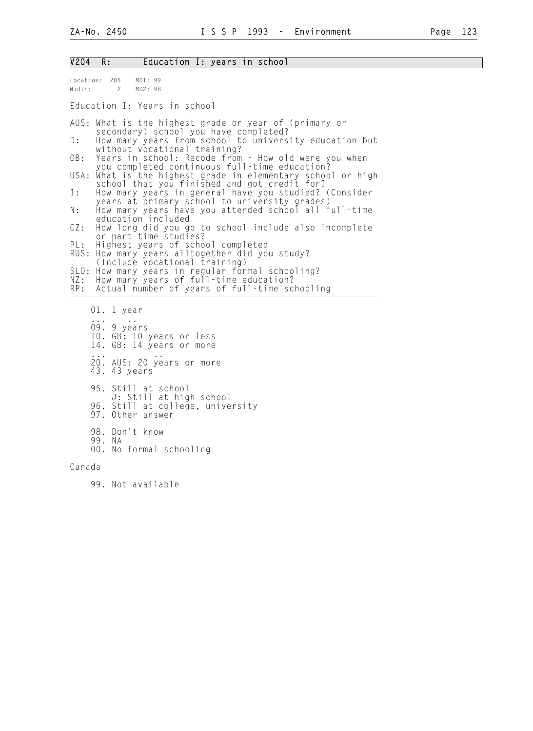| V204 R: | Education I: years in school |  |  |  |  |  |
|---------|------------------------------|--|--|--|--|--|
|---------|------------------------------|--|--|--|--|--|

| Location: 205<br>Width:<br>$\overline{2}$                                         | MD1: 99<br>MD2: 98                                                                                                                                                                                                                                                                                                                                                                                                                                                                                                                                                                                                                                                                                                                                                                                                                                                                                                                                  |
|-----------------------------------------------------------------------------------|-----------------------------------------------------------------------------------------------------------------------------------------------------------------------------------------------------------------------------------------------------------------------------------------------------------------------------------------------------------------------------------------------------------------------------------------------------------------------------------------------------------------------------------------------------------------------------------------------------------------------------------------------------------------------------------------------------------------------------------------------------------------------------------------------------------------------------------------------------------------------------------------------------------------------------------------------------|
|                                                                                   | Education I: Years in school                                                                                                                                                                                                                                                                                                                                                                                                                                                                                                                                                                                                                                                                                                                                                                                                                                                                                                                        |
| D:<br>GB:<br>USA:<br>Ι:<br>Ν:<br>CZ:<br>PL:<br>RUS:<br>SLO:<br>NZ:<br>RP:         | AUS: What is the highest grade or year of (primary or<br>secondary) school you have completed?<br>How many years from school to university education but<br>without vocational training?<br>Years in school: Recode from - How old were you when<br>you completed continuous full-time education?<br>What is the highest grade in elementary school or high<br>school that you finished and got credit for?<br>How many years in general have you studied? (Consider<br>years at primary school to university grades)<br>How many years have you attended school all full-time<br>education included<br>How long did you go to school include also incomplete<br>or part-time studies?<br>Highest years of school completed<br>How many years alltogether did you study?<br>(Include vocational training)<br>How many years in regular formal schooling?<br>How many years of full-time education?<br>Actual number of years of full-time schooling |
| $01.1$ year<br>09. 9 years<br>43. 43 years<br>97.<br>98. Don't know<br>99.<br>N A | 10. GB: 10 years or less<br>14. GB: 14 years or more<br>20. AUS: 20 years or more<br>95. Still at school<br>J: Still at high school<br>96. Still at college, university<br>Other answer<br>00. No formal schooling                                                                                                                                                                                                                                                                                                                                                                                                                                                                                                                                                                                                                                                                                                                                  |

Canada

99. Not available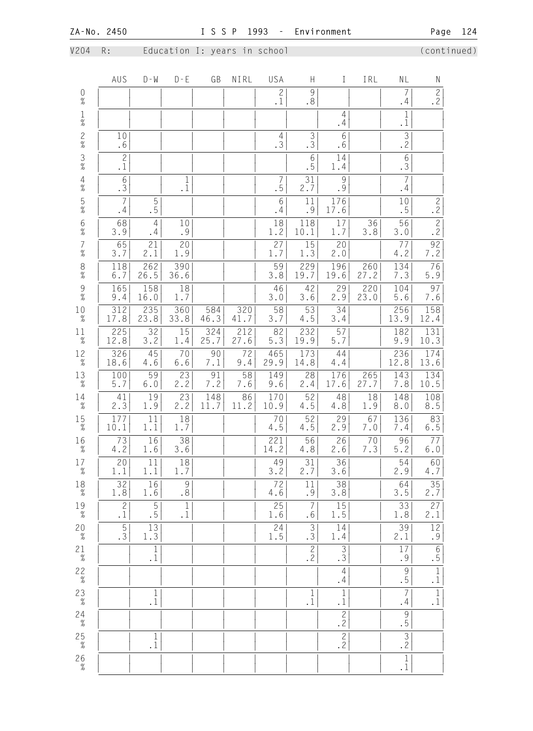V204 R: Education I: years in school (continued)

|                                            | AUS                                      | $D - M$                                                               | $D - E$                                          | GB          | NIRL        | USA                             | H                           | $\mathbf I$                                      | IRL           | NL                                | N                                        |
|--------------------------------------------|------------------------------------------|-----------------------------------------------------------------------|--------------------------------------------------|-------------|-------------|---------------------------------|-----------------------------|--------------------------------------------------|---------------|-----------------------------------|------------------------------------------|
| $\underset{\%}{0}$                         |                                          |                                                                       |                                                  |             |             | $\mathbf{2}$<br>$\cdot$ 1       | 9<br>.8                     |                                                  |               | $\overline{7}$<br>.4              | $\overline{c}$<br>.2                     |
| $\frac{1}{\%}$                             |                                          |                                                                       |                                                  |             |             |                                 |                             | $\overline{4}$<br>.4                             |               | $1\,$<br>$\cdot$ 1                |                                          |
| $\frac{2}{\%}$                             | 10<br>.6                                 |                                                                       |                                                  |             |             | 4<br>.3                         | $\mathfrak{Z}$<br>$\cdot$ 3 | $6\,$<br>.6                                      |               | $\overline{\frac{3}{2}}$          |                                          |
| $\frac{3}{8}$                              | $\overline{2}$<br>$\cdot$ 1              |                                                                       |                                                  |             |             |                                 | $6\,$<br>.5                 | 14<br>1.4                                        |               | $\overline{6}$<br>$\overline{3}$  |                                          |
| $\begin{array}{c} 4 \\ \% \end{array}$     | $\sqrt{6}$<br>$\overline{3}$             |                                                                       | 1<br>$\cdot$ 1                                   |             |             | 7<br>.5                         | 31<br>2.7                   | $\mathcal{G}$<br>.9                              |               | $\overline{7}$<br>.4              |                                          |
| $\frac{5}{\%}$                             | $\overline{7}$<br>.4                     | 5<br>.5                                                               |                                                  |             |             | 6<br>.4                         | 11<br>.9                    | 176<br>17.6                                      |               | 10<br>.5                          | $\mathbf{2}$<br>$\cdot$ 2                |
| $6\atop \%$                                | 68<br>3.9                                | $\overline{4}$<br>.4                                                  | 10<br>.9                                         |             |             | 18<br>1.2                       | 118<br>10.1                 | 17<br>1.7                                        | 36<br>3.8     | 56<br>$3.0$                       | $\overline{2}$<br>$\cdot$ 2              |
| $\begin{array}{c} 7 \\ 9'_{0} \end{array}$ | 65<br>3.7                                | 21<br>2.1                                                             | 20<br>1.9                                        |             |             | 27<br>1.7                       | 15<br>1.3                   | 20<br>2.0                                        |               | 77<br>$4.2\,$                     | $\begin{array}{c} 92 \\ 7.2 \end{array}$ |
| $\frac{8}{\%}$                             | 118<br>$6.7$                             | 262<br>26.5                                                           | 390<br>36.6                                      |             |             | 59<br>3.8                       | 229<br>19.7                 | 196<br>19.6                                      | 260<br>27.2   | 134<br>7.3                        | 76<br>5.9                                |
| $\frac{9}{\%}$                             | 165<br>9.4                               | 158<br>16.0                                                           | 18<br>1.7                                        |             |             | 46<br>3.0                       | 42<br>3.6                   | 29<br>2.9                                        | 220<br>23.0   | 104<br>5.6                        | 97<br>$7.6\,$                            |
| $10\atop \%$                               | 312<br>17.8                              | 235<br>23.8                                                           | 360<br>33.8                                      | 584<br>46.3 | 320<br>41.7 | 58<br>3.7                       | 53<br>4.5                   | 34<br>3.4                                        |               | 256<br>13.9                       | 158<br>12.4                              |
| 11<br>$\%$                                 | 225<br>12.8                              | 32<br>3.2                                                             | 15<br>1.4                                        | 324<br>25.7 | 212<br>27.6 | 82<br>$5.3$                     | 232<br>19.9                 | 57<br>5.7                                        |               | 182<br>9.9                        | 131<br>10.3                              |
| 12<br>$\%$                                 | 326<br>18.6                              | 45<br>4.6                                                             | 70<br>$6.6$                                      | 90<br>7.1   | 72<br>9.4   | 465<br>29.9                     | 173<br>14.8                 | 44<br>4.4                                        |               | 236<br>12.8                       | 174<br>13.6                              |
| $13 \atop \%$                              | 100<br>$5.7$                             | 59<br>$6.0$                                                           | 23<br>2.2                                        | 91<br>7.2   | 58<br>7.6   | 149<br>9.6                      | 28<br>2.4                   | 176<br>17.6                                      | 265<br>27.7   | 143<br>7.8                        | 134<br>10.5                              |
| 14<br>$\%$                                 | 41<br>2.3                                | 19<br>1.9                                                             | 23<br>2.2                                        | 148<br>11.7 | 86<br>11.2  | 170<br>10.9                     | 52<br>4.5                   | 48<br>4.8                                        | $18\,$<br>1.9 | 148<br>8.0                        | 108<br>8.5                               |
| 15<br>$\%$                                 | 177<br>10.1                              | 11<br>1.1                                                             | 18<br>1.7                                        |             |             | 70<br>4.5                       | 52<br>4.5                   | 29<br>2.9                                        | 67<br>7.0     | 136<br>7.4                        | 83<br>$6.5$                              |
| 16<br>$\frac{1}{6}$                        | 73<br>$4.2\,$                            | 16<br>1.6                                                             | 38<br>$3.6$                                      |             |             | 221<br>14.2                     | 56<br>4.8                   | 26<br>2.6                                        | 70<br>7.3     | 96<br>5.2                         | 77<br>$6.0$                              |
| 17<br>$\%$                                 | $\begin{array}{c} 20 \\ 1.1 \end{array}$ | 11<br>1.1                                                             | $\begin{array}{c} \boxed{18} \\ 1.7 \end{array}$ |             |             | $\left. \frac{49}{3.2} \right $ | $\overline{2.7}$            | $\begin{array}{c} \boxed{36} \\ 3.6 \end{array}$ |               | $\overline{2.9}$                  | $\overline{60}$<br>4.7                   |
| $^{18}_{\phantom{1}\%}$                    | 32<br>$1\,.8$                            | 16<br>1.6                                                             | $\mathcal{G}$<br>.8                              |             |             | $\overline{72}$<br>$4.6\,$      | 11<br>$\cdot$ 9             | 38<br>3.8                                        |               | 64<br>3.5                         | $\frac{35}{2.7}$                         |
| $19 \atop \%$                              | $\overline{2}$<br>$\cdot$ 1              | $\overline{5}$<br>$\overline{\phantom{0}}\cdot\overline{\phantom{0}}$ | $1\,$<br>$\cdot$ 1                               |             |             | 25<br>1.6                       | $\overline{7}$<br>.6        | 15<br>1.5                                        |               | 33<br>1.8                         | $\frac{27}{2.1}$                         |
| $20 \atop \%$                              | $\frac{5}{3}$                            | $\frac{13}{1.3}$                                                      |                                                  |             |             | 24<br>1.5                       | $\frac{3}{3}$               | 14<br>1.4                                        |               | 39<br>2.1                         | $\frac{12}{19}$                          |
| $2\frac{1}{\%}$                            |                                          | $\overline{1}$<br>$\cdot$ 1                                           |                                                  |             |             |                                 | $\mathbf{2}$<br>.2          | $\overline{3}$<br>$\overline{3}$                 |               | 17<br>.9                          | $\overline{6}$<br>$\overline{.5}$        |
| $22\over \%$                               |                                          |                                                                       |                                                  |             |             |                                 |                             | $\overline{4}$<br>.4                             |               | $\frac{9}{5}$                     | $\frac{1}{1}$                            |
| $23\atop -\tfrac{9}{6}$                    |                                          | $\mathbf{1}$<br>$\cdot$ 1                                             |                                                  |             |             |                                 | $\mathbf{1}$<br>$\cdot$ 1   | $\,1\,$<br>$\cdot$ 1                             |               | $\overline{7}$<br>.4              | $\frac{1}{1}$                            |
| $24 \atop \%$                              |                                          |                                                                       |                                                  |             |             |                                 |                             | $\overline{2}$<br>.2                             |               | $\overline{9}$ .                  |                                          |
| $25 \atop \frac{9}{6}$                     |                                          | $1\,$<br>$\cdot$ 1                                                    |                                                  |             |             |                                 |                             | $\overline{2}$<br>.2                             |               | $\overline{3}$<br>$\overline{.2}$ |                                          |
| $\begin{array}{c} 26 \\ \% \end{array}$    |                                          |                                                                       |                                                  |             |             |                                 |                             |                                                  |               | $\frac{1}{1}$                     |                                          |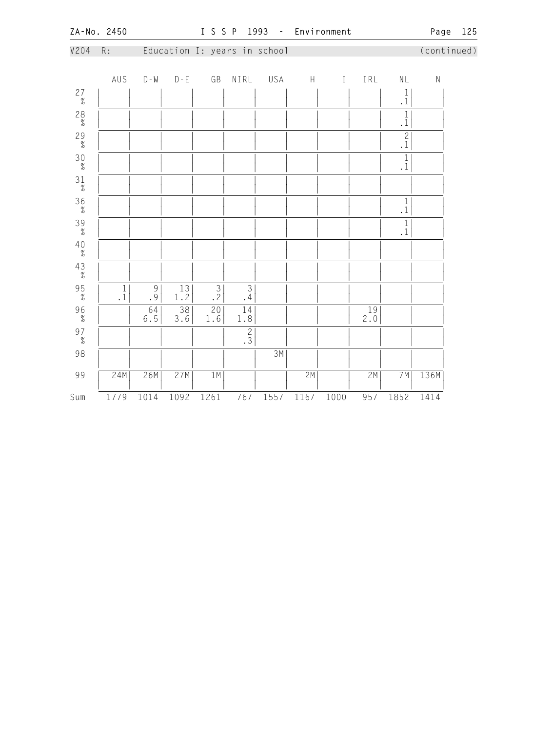|                                         | --- --- - - <i>--</i> -                     |               |                        |                              |                  | <u>- - - -</u> |             |         |                  |                          | .49c        | $- - -$ |
|-----------------------------------------|---------------------------------------------|---------------|------------------------|------------------------------|------------------|----------------|-------------|---------|------------------|--------------------------|-------------|---------|
| V204                                    | $\mathsf{R}$ :                              |               |                        | Education I: years in school |                  |                |             |         |                  |                          | (continued) |         |
|                                         | AUS                                         | $D - W$       | $D - E$                | GB                           | NIRL             | USA            | $\mathsf H$ | $\rm I$ | IRL              | $\mathsf{NL}$            | ${\sf N}$   |         |
| $27 \atop \%$                           |                                             |               |                        |                              |                  |                |             |         |                  | $\frac{1}{1}$            |             |         |
| $^{28}_{\%}$                            |                                             |               |                        |                              |                  |                |             |         |                  | $\overline{\frac{1}{1}}$ |             |         |
| $29 \atop \frac{9}{6}$                  |                                             |               |                        |                              |                  |                |             |         |                  | $\frac{2}{1}$            |             |         |
| $\begin{array}{c} 30 \\ \% \end{array}$ |                                             |               |                        |                              |                  |                |             |         |                  | $\frac{1}{1}$            |             |         |
| $\begin{array}{c} 31 \\ \% \end{array}$ |                                             |               |                        |                              |                  |                |             |         |                  |                          |             |         |
| $\frac{36}{\%}$                         |                                             |               |                        |                              |                  |                |             |         |                  | $\frac{1}{1}$            |             |         |
| $\frac{39}{\%}$                         |                                             |               |                        |                              |                  |                |             |         |                  | $\frac{1}{1}$            |             |         |
| $\overset{4\,0}{\underset{5\,}}$        |                                             |               |                        |                              |                  |                |             |         |                  |                          |             |         |
| $\begin{array}{c} 43 \\ \% \end{array}$ |                                             |               |                        |                              |                  |                |             |         |                  |                          |             |         |
| $\frac{95}{\%}$                         | $\begin{smallmatrix}1\\1 \end{smallmatrix}$ | $\frac{9}{9}$ | 13<br>1.2              | $\frac{3}{2}$                | $\frac{3}{4}$    |                |             |         |                  |                          |             |         |
| $\frac{96}{\%}$                         |                                             | 64<br>$6.5$   | $\overline{38}$<br>3.6 | 20<br>$1\,.6$                | $\frac{14}{1.8}$ |                |             |         | $\frac{19}{2.0}$ |                          |             |         |
| $97 \atop \%$                           |                                             |               |                        |                              | $\frac{2}{3}$    |                |             |         |                  |                          |             |         |
| 98                                      |                                             |               |                        |                              |                  | 3M             |             |         |                  |                          |             |         |
| 99                                      | 24M                                         | 26M           | 27M                    | 1M                           |                  |                | 2M          |         | 2M               | 7M                       | 136M        |         |
| Sum                                     | 1779                                        | 1014          | 1092                   | 1261                         | 767              | 1557           | 1167        | 1000    | 957              | 1852                     | 1414        |         |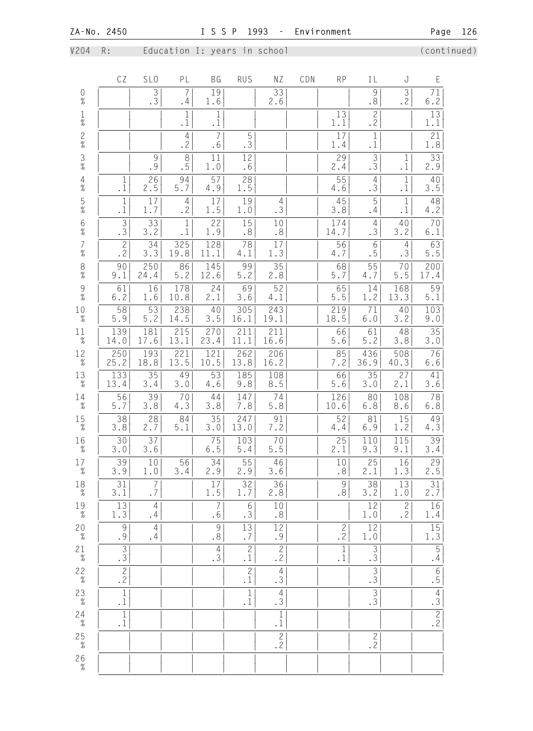V204 R: Education I: years in school (continued)

|                                            | CZ                              | SL <sub>0</sub>                                  | PL                               | <b>BG</b>                                       | <b>RUS</b>                       | NZ                                     | CDN | <b>RP</b>                    | IL                          | J                                         | E                    |
|--------------------------------------------|---------------------------------|--------------------------------------------------|----------------------------------|-------------------------------------------------|----------------------------------|----------------------------------------|-----|------------------------------|-----------------------------|-------------------------------------------|----------------------|
| $\mathbf 0$<br>$\frac{9}{6}$               |                                 | 3<br>.3                                          | 7<br>. 4                         | 19<br>1.6                                       |                                  | 33<br>2.6                              |     |                              | 9<br>.8                     | 3<br>.2                                   | 71<br>6.2            |
| $\frac{1}{\%}$                             |                                 |                                                  | $\mathbf 1$<br>$\cdot$ 1         | $\mathbf 1$<br>$\cdot$ 1                        |                                  |                                        |     | 13<br>1.1                    | $\mathbf{2}$<br>$\cdot$ 2   |                                           | 13<br>1.1            |
| $\frac{2}{\%}$                             |                                 |                                                  | $\overline{4}$<br>$\overline{2}$ | $\overline{7}$<br>.6                            | 5<br>.3                          |                                        |     | 17<br>1.4                    | $1\,$<br>$\cdot$ 1          |                                           | 21<br>1.8            |
| $\frac{3}{8}$                              |                                 | 9<br>.9                                          | $\,8\,$<br>.5                    | 11<br>1.0                                       | 12<br>.6                         |                                        |     | 29<br>2.4                    | $\mathfrak{Z}$<br>.3        | 1<br>$\cdot$ 1                            | 33<br>2.9            |
| $\frac{4}{\%}$                             | $\mathbf 1$<br>$\cdot$ 1        | 26<br>2.5                                        | 94<br>5.7                        | 57<br>4.9                                       | 28<br>1.5                        |                                        |     | 55<br>4.6                    | $\overline{4}$<br>.3        | $\mathbf{1}$<br>$\cdot$ 1                 | 40<br>3.5            |
| $\frac{5}{\%}$                             | $\mathbf{1}$<br>$\cdot$ 1       | 17<br>1.7                                        | $\overline{4}$<br>.2             | 17<br>1.5                                       | 19<br>$1.0$                      | $\overline{4}$<br>.3                   |     | 45<br>3.8                    | 5<br>.4                     | $1\,$<br>$\cdot$ 1                        | 48<br>4.2            |
| $\begin{array}{c} 6 \\ 0 \\ 0 \end{array}$ | $\overline{3}$<br>$\cdot$ 3     | 33<br>3.2                                        | $\mathbf{1}$<br>$\cdot$ 1        | 22<br>1.9                                       | 15<br>$\boldsymbol{\mathsf{.8}}$ | 10<br>$\boldsymbol{\mathsf{.8}}$       |     | 174<br>14.7                  | $\overline{4}$<br>.3        | 40<br>3.2                                 | 70<br>$6.1$          |
| $\begin{array}{c} 7 \\ 9'_{0} \end{array}$ | $\frac{2}{2}$                   | 34<br>3.3                                        | $\overline{325}$<br>19.8         | 128<br>11.1                                     | 78<br>4.1                        | 17<br>1.3                              |     | 56<br>4.7                    | $6\,$<br>.5                 | $\overline{4}$<br>.3                      | 63<br>5.5            |
| $\frac{8}{\%}$                             | 90<br>9.1                       | 250<br>24.4                                      | 86<br>$5.2$                      | 145<br>12.6                                     | 99<br>$5.2$                      | 35<br>2.8                              |     | 68<br>5.7                    | 55<br>4.7                   | 70<br>$5.5$                               | 200<br>17.4          |
| $\frac{9}{\%}$                             | 61<br>6.2                       | 16<br>1.6                                        | 178<br>10.8                      | 24<br>2.1                                       | 69<br>3.6                        | 52<br>4.1                              |     | 65<br>5.5                    | 14<br>1.2                   | 168<br>13.3                               | 59<br>$5.1$          |
| 10<br>$\%$                                 | 58<br>5.9                       | 53<br>$5.2$                                      | 238<br>14.5                      | 40<br>3.5                                       | 305<br>16.1                      | $\overline{2}$ 43<br>19.1              |     | 219<br>18.5                  | 71<br>$6.0$                 | 40<br>3.2                                 | 103<br>9.0           |
| 11<br>$\%$                                 | 139<br>14.0                     | 181<br>17.6                                      | 215<br>13.1                      | 270<br>23.4                                     | 211<br>11.1                      | 211<br>16.6                            |     | 66<br>5.6                    | 61<br>5.2                   | 48<br>3.8                                 | 35<br>3.0            |
| 12<br>$\%$                                 | 250<br>25.2                     | 193<br>18.8                                      | 221<br>13.5                      | 121<br>10.5                                     | 262<br>13.8                      | 206<br>16.2                            |     | 85<br>7.2                    | 436<br>36.9                 | 508<br>40.3                               | 76<br>6.6            |
| 13<br>$\%$                                 | 133<br>13.4                     | 35<br>3.4                                        | 49<br>3.0                        | 53<br>4.6                                       | 185<br>9.8                       | 108<br>8.5                             |     | 66<br>5.6                    | 35<br>$3.0$                 | 27<br>2.1                                 | 41<br>3.6            |
| 14<br>$\%$                                 | 56<br>$5.7$                     | 39<br>3.8                                        | 70<br>4.3                        | 44<br>3.8                                       | 147<br>7.8                       | 74<br>$5.8\,$                          |     | 126<br>10.6                  | 80<br>6.8                   | 108<br>8.6                                | 78<br>$6.8\,$        |
| 15<br>$\%$                                 | 38<br>3.8                       | 28<br>2.7                                        | 84<br>5.1                        | 35<br>3.0                                       | 247<br>13.0                      | 91<br>7.2                              |     | 52<br>$4.4\,$                | 81<br>6.9                   | 15<br>1.2                                 | 49<br>4.3            |
| 16<br>$\%$                                 | 30<br>3.0                       | 37<br>3.6                                        |                                  | 75<br>$6.5\,$                                   | 103<br>5.4                       | 70<br>$5.5$                            |     | 25<br>2.1                    | 110<br>9.3                  | 115<br>9.1                                | 39<br>3.4            |
| 17<br>$\%$                                 | $\frac{39}{3.9}$                | $\begin{array}{c} \boxed{10} \\ 1.0 \end{array}$ | $\frac{56}{3.4}$                 | $\begin{array}{c} \hline 34 \\ 2.9 \end{array}$ | $\overline{55 }$<br>2.9          | $\frac{46}{3.6}$                       |     | 10<br>$\boldsymbol{\cdot}$ 8 | $\overline{2.5}$            | $\overline{\left 1\frac{16}{1.3}\right }$ | $\frac{29}{2.5}$     |
| $^{18}_{\phantom{1}\%}$                    | 31<br>3.1                       | 7<br>$\boldsymbol{\cdot}$ 7                      |                                  | 17<br>1.5                                       | 32<br>1.7                        | 36<br>2.8                              |     | 9<br>.8                      | 38<br>3.2                   | 13<br>1.0                                 | 31<br>2.7            |
| $^{19}_{\phantom{1}7}$                     | 13<br>$1.3\,$                   | $\overline{4}$<br>.4                             |                                  | $\overline{7}$<br>.6                            | 6<br>.3                          | $10$<br>$\boldsymbol{\cdot}$ 8         |     |                              | 12<br>$1.0$                 | $\mathbf{2}$<br>.2                        | 16<br>1.4            |
| $20 \atop \%$                              | $\mathcal{G}$<br>$\overline{9}$ | $\overline{4}$<br>.4                             |                                  | $\overline{9}$<br>$\overline{\cdot}$            | 13<br>.7                         | 12<br>.9                               |     | $\mathbf{2}$<br>.2           | 12<br>1.0                   |                                           | 15<br>1.3            |
| $2\frac{1}{\%}$                            | $\overline{3}$ .                |                                                  |                                  | 4<br>.3                                         | $\mathbf{2}$<br>$\cdot$ 1        | $\overline{c}$<br>.2                   |     | 1<br>$\cdot$ 1               | $\mathfrak{Z}$<br>$\cdot$ 3 |                                           | $\overline{5}$<br>.4 |
| $22\over\%$                                | $\frac{2}{2}$                   |                                                  |                                  |                                                 | $\overline{c}$<br>$\cdot$ 1      | $\overline{4}$<br>.3                   |     |                              | $\mathfrak{Z}$<br>.3        |                                           | $\overline{6}$ .     |
| $23\atop \%$                               | $1\,$<br>$\cdot$ 1              |                                                  |                                  |                                                 | $\mathbf{1}$<br>$\cdot$ 1        | $\overline{4}$<br>$\cdot \overline{3}$ |     |                              | $\overline{\frac{3}{3}}$    |                                           | $\frac{4}{3}$        |
| $24\n\n%$                                  | $\mathbf{1}$<br>$\cdot$ 1       |                                                  |                                  |                                                 |                                  | $\mathbf{1}$<br>$\cdot\,1$             |     |                              |                             |                                           | $\frac{2}{2}$        |
| $\begin{array}{c} 25 \\ \% \end{array}$    |                                 |                                                  |                                  |                                                 |                                  | $\frac{2}{2}$                          |     |                              | $\frac{2}{2}$               |                                           |                      |
| $\begin{array}{c} 26 \\ \% \end{array}$    |                                 |                                                  |                                  |                                                 |                                  |                                        |     |                              |                             |                                           |                      |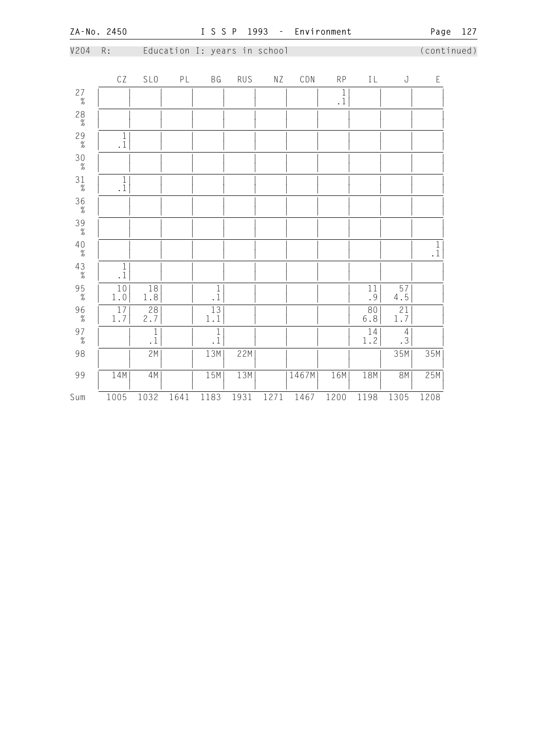| V204                                    | $\mathsf{R}$ :                                |                                          |      | Education I: years in school                  |      |      |       |                                       |                                  |                        |               | (continued) |
|-----------------------------------------|-----------------------------------------------|------------------------------------------|------|-----------------------------------------------|------|------|-------|---------------------------------------|----------------------------------|------------------------|---------------|-------------|
|                                         | CZ                                            | SL <sub>0</sub>                          | PL   | BG                                            | RUS  | ΝZ   | CDN   | RP                                    | IL                               | $\rm J$                | $\mathsf E$   |             |
| $27 \atop \%$                           |                                               |                                          |      |                                               |      |      |       | $\begin{array}{c} 1 \\ 1 \end{array}$ |                                  |                        |               |             |
| $^{28}_{\%}$                            |                                               |                                          |      |                                               |      |      |       |                                       |                                  |                        |               |             |
| $29 \atop \%$                           | $\begin{smallmatrix}1\\1\\1\end{smallmatrix}$ |                                          |      |                                               |      |      |       |                                       |                                  |                        |               |             |
| $\begin{array}{c} 30 \\ \% \end{array}$ |                                               |                                          |      |                                               |      |      |       |                                       |                                  |                        |               |             |
| $31\over \%$                            | $\begin{smallmatrix}1\\1 \end{smallmatrix}$   |                                          |      |                                               |      |      |       |                                       |                                  |                        |               |             |
| $\frac{36}{\%}$                         |                                               |                                          |      |                                               |      |      |       |                                       |                                  |                        |               |             |
| $\frac{39}{\%}$                         |                                               |                                          |      |                                               |      |      |       |                                       |                                  |                        |               |             |
| $\overset{4\,0}{\mathcal{U}}$           |                                               |                                          |      |                                               |      |      |       |                                       |                                  |                        | $\frac{1}{1}$ |             |
| $43 \atop \%$                           | $\begin{smallmatrix}1\\1\\1\end{smallmatrix}$ |                                          |      |                                               |      |      |       |                                       |                                  |                        |               |             |
| $\frac{95}{\%}$                         | $1\,0$<br>$1\,.0$                             | $\overline{18}$<br>1.8                   |      | $\begin{smallmatrix}1\\1\\1\end{smallmatrix}$ |      |      |       |                                       | $11\,$<br>$\left  \cdot \right $ | $\overline{57}$<br>4.5 |               |             |
| $96 \atop \frac{9}{6}$                  | $\frac{17}{1.7}$                              | $\begin{array}{c} 28 \\ 2.7 \end{array}$ |      | $13\,$<br>$1\,.1$                             |      |      |       |                                       | 80<br>6.8                        | $2\sqrt{1}$<br>1.7     |               |             |
| $\begin{array}{c} 97 \\ \% \end{array}$ |                                               | $\overline{\frac{1}{1}}$                 |      | $\frac{1}{1}$                                 |      |      |       |                                       | 14<br>1.2                        | $\frac{4}{3}$          |               |             |
| 98                                      |                                               | 2M                                       |      | 13M                                           | 22M  |      |       |                                       |                                  | 35M                    | 35M           |             |
| 99                                      | 14M                                           | 4M                                       |      | 15M                                           | 13M  |      | 1467M | 16M                                   | 18M                              | <b>8M</b>              | 25M           |             |
| Sum                                     | 1005                                          | 1032                                     | 1641 | 1183                                          | 1931 | 1271 | 1467  | 1200                                  | 1198                             | 1305                   | 1208          |             |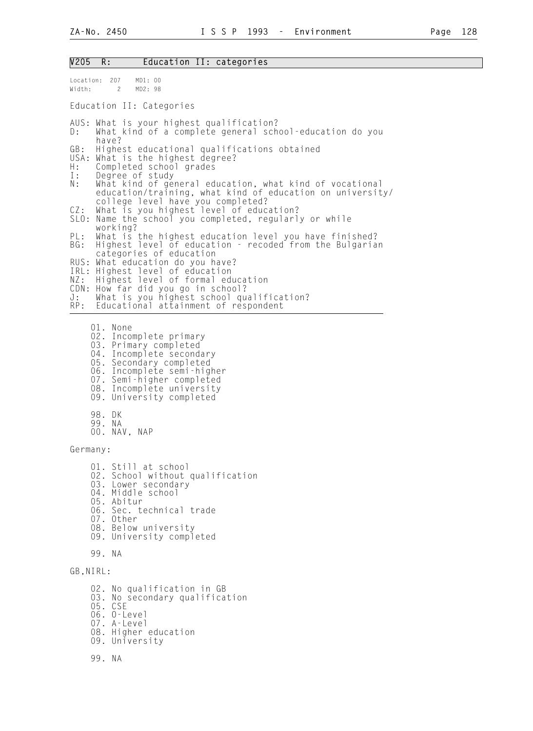# V205 R: Education II: categories

| Location: 207<br>MD1: 00<br>Width:<br>$2^{\circ}$<br>MD2: 98                                                                                                                                                                                                                                                 |
|--------------------------------------------------------------------------------------------------------------------------------------------------------------------------------------------------------------------------------------------------------------------------------------------------------------|
| Education II: Categories                                                                                                                                                                                                                                                                                     |
| AUS: What is your highest qualification?<br>What kind of a complete general school-education do you<br>D:<br>have?                                                                                                                                                                                           |
| GB:<br>Highest educational qualifications obtained<br>USA:<br>What is the highest degree?<br>$H$ :<br>Completed school grades<br>Degree of study<br>$\mathbb{I}$ :<br>$\mathbb{N}$ :<br>What kind of general education, what kind of vocational<br>education/training, what kind of education on university/ |
| college level have you completed?<br>What is you highest level of education?<br>CZ:<br>SLO:<br>Name the school you completed, regularly or while<br>working?                                                                                                                                                 |
| PL:<br>What is the highest education level you have finished?<br>Highest level of education - recoded from the Bulgarian<br>BG:<br>categories of education<br>RUS:<br>What education do you have?                                                                                                            |
| IRL: Highest level of education<br>Highest level of formal education<br>NZ:<br>CDN:<br>How far did you go in school?<br>$J$ :<br>What is you highest school qualification?<br>Educational attainment of respondent<br>RP:                                                                                    |
| 01. None<br>Incomplete primary<br>02.<br>03. Primary completed<br>04. Incomplete secondary<br>05. Secondary completed<br>06. Incomplete semi-higher<br>07. Semi-higher completed<br>08. Incomplete university<br>09. University completed<br>98. DK<br>99. NA<br>00. NAV, NAP                                |
| Germany:                                                                                                                                                                                                                                                                                                     |
| 01. Still at school<br>02. School without qualification<br>03. Lower secondary<br>04. Middle school<br>05. Abitur<br>06. Sec. technical trade<br>07. Other<br>08. Below university<br>09. University completed                                                                                               |
| 99. NA                                                                                                                                                                                                                                                                                                       |
| GB, NIRL:                                                                                                                                                                                                                                                                                                    |
| 02. No qualification in GB<br>03.<br>No secondary qualification<br>05. CSE<br>06. 0-Level<br>07. A-Level<br>08. Higher education<br>09. University                                                                                                                                                           |
| 99. NA                                                                                                                                                                                                                                                                                                       |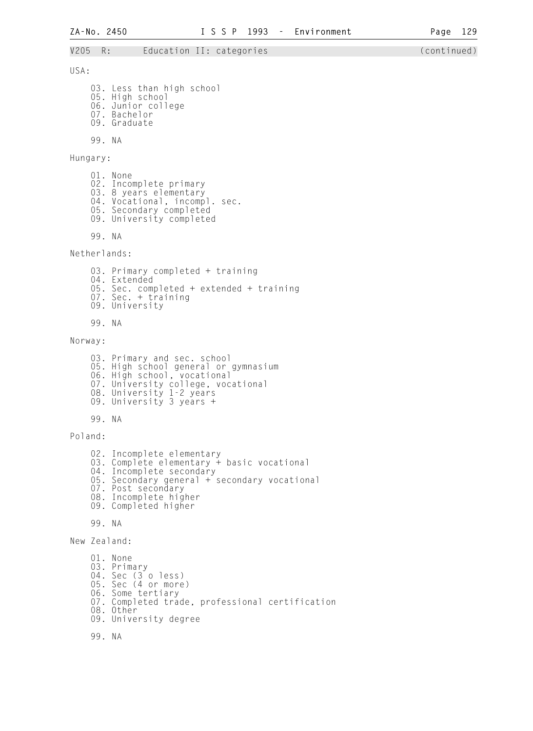**ZA-No. 2450 I S S P 1993 - Environment Page 129**  V205 R: Education II: categories (continued) 03. Less than high school 05. High school 06. Junior college 07. Bachelor 09. Graduate 99. NA 04. Vocational, incompl. sec. 99. NA 03. Primary completed + training

USA:

Hungary:

 01. None 02. Incomplete primary 03. 8 years elementary 05. Secondary completed 09. University completed

Netherlands:

- 04. Extended 05. Sec. completed + extended + training 07. Sec. + training
- 09. University

99. NA

Norway:

 03. Primary and sec. school 05. High school general or gymnasium 06. High school, vocational 07. University college, vocational 08. University 1-2 years 09. University 3 years +

99. NA

Poland:

02. Incomplete elementary

- 03. Complete elementary + basic vocational
- 04. Incomplete secondary
- 05. Secondary general + secondary vocational
- 07. Post secondary
- 08. Incomplete higher
- 09. Completed higher

99. NA

New Zealand:

```
 01. None 
   03. Primary 
04. Sec (3 o less) 
05. Sec (4 or more) 
06. Some tertiary 
07. Completed trade, professional certification 
08. Other 
09. University degree
```
99. NA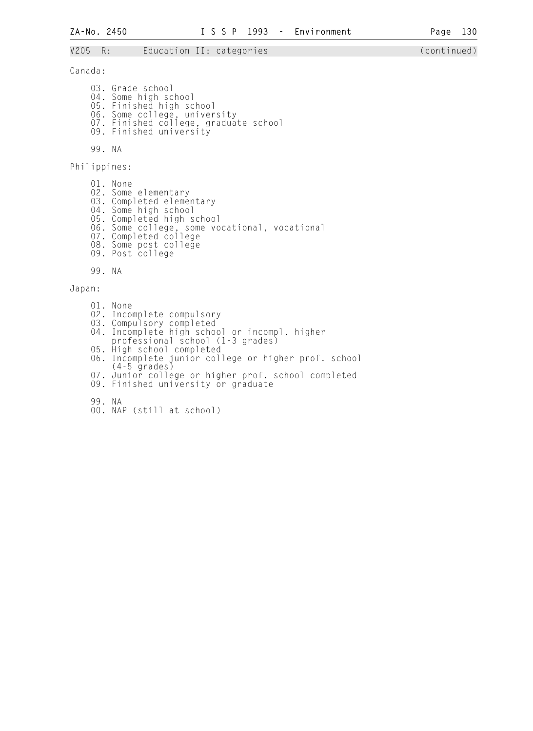#### V205 R: Education II: categories (continued)

Canada:

 03. Grade school 04. Some high school 05. Finished high school 06. Some college, university 07. Finished college, graduate school 09. Finished university

99. NA

Philippines:

 01. None 02. Some elementary 03. Completed elementary 04. Some high school 05. Completed high school 06. Some college, some vocational, vocational 07. Completed college 08. Some post college 09. Post college

99. NA

Japan:

- 01. None 02. Incomplete compulsory 03. Compulsory completed 04. Incomplete high school or incompl. higher professional school (1-3 grades) 05. High school completed
- 06. Incomplete junior college or higher prof. school (4-5 grades)
- 07. Junior college or higher prof. school completed
- 09. Finished university or graduate
- 99. NA
- 00. NAP (still at school)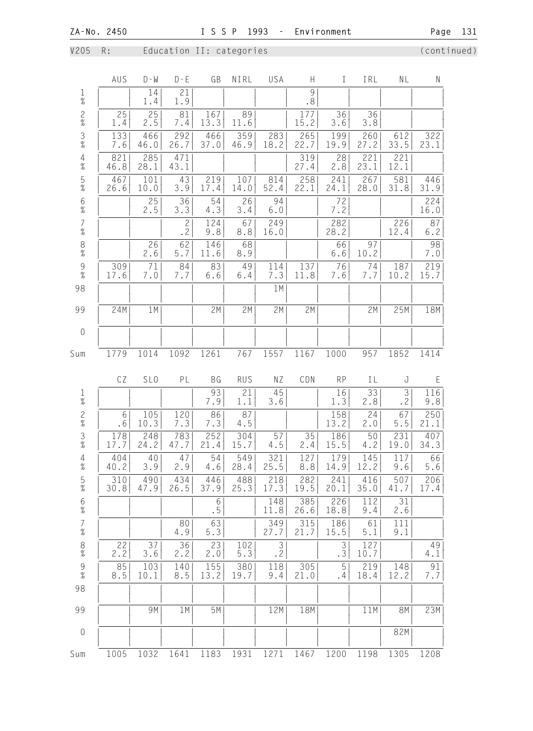V205 R: Education II: categories (continued)

|                                         | AUS         | $D - W$         | $D - E$              | GB          | NIRL        | USA                  | H                                                                                   | $\mathbf I$ | IRL         | NL                          | N             |
|-----------------------------------------|-------------|-----------------|----------------------|-------------|-------------|----------------------|-------------------------------------------------------------------------------------|-------------|-------------|-----------------------------|---------------|
| $\frac{1}{\%}$                          |             | 14<br>1.4       | 21<br>1.9            |             |             |                      | $\mathcal{G}% _{M_{1},M_{2}}^{\alpha,\beta}(\mathcal{A})$<br>$\boldsymbol{\cdot}$ 8 |             |             |                             |               |
| $\frac{2}{\%}$                          | 25<br>1.4   | 25<br>2.5       | 81<br>7.4            | 167<br>13.3 | 89<br>11.6  |                      | 177<br>15.2                                                                         | 36<br>3.6   | 36<br>3.8   |                             |               |
| $\frac{3}{8}$                           | 133<br>7.6  | 466<br>46.0     | 292<br>26.7          | 466<br>37.0 | 359<br>46.9 | 283<br>18.2          | 265<br>22.7                                                                         | 199<br>19.9 | 260<br>27.2 | 612<br>33.5                 | 322<br>23.1   |
| $\begin{array}{c} 4 \\ \% \end{array}$  | 821<br>46.8 | 285<br>28.1     | 471<br>43.1          |             |             |                      | 319<br>27.4                                                                         | 28<br>2.8   | 221<br>23.1 | 221<br>12.1                 |               |
| $\frac{5}{\%}$                          | 467<br>26.6 | 101<br>10.0     | 43<br>3.9            | 219<br>17.4 | 107<br>14.0 | 814<br>52.4          | 258<br>22.1                                                                         | 241<br>24.1 | 267<br>28.0 | 581<br>31.8                 | 446<br>31.9   |
| $\frac{6}{\%}$                          |             | 2.5             | 36<br>3.3            | 54<br>4.3   | 26<br>3.4   | 94<br>$6.0$          |                                                                                     | 7.2         |             |                             | 224<br>16.0   |
| $\begin{array}{c} 7 \\  \% \end{array}$ |             |                 | $\overline{c}$<br>.2 | 124<br>9.8  | 67<br>8.8   | 249<br>16.0          |                                                                                     | 282<br>28.2 |             | 226<br>12.4                 | 87<br>$6.2$   |
| $\frac{8}{\%}$                          |             | 26<br>2.6       | 62<br>5.7            | 146<br>11.6 | 68<br>8.9   |                      |                                                                                     | 66<br>$6.6$ | 97<br>10.2  |                             | 98<br>7.0     |
| $\frac{9}{\%}$                          | 309<br>17.6 | 71<br>7.0       | 84<br>7.7            | 83<br>6.6   | 49<br>$6.4$ | 114<br>7.3           | 137<br>11.8                                                                         | 76<br>7.6   | 74<br>7.7   | 187<br>10.2                 | 219<br>15.7   |
| 98                                      |             |                 |                      |             |             | 1M                   |                                                                                     |             |             |                             |               |
| 99                                      | 24M         | 1 M             |                      | 2M          | 2M          | 2M                   | 2M                                                                                  |             | 2M          | 25M                         | 18M           |
| $\mathbf 0$                             |             |                 |                      |             |             |                      |                                                                                     |             |             |                             |               |
| Sum                                     | 1779        | 1014            | 1092                 | 1261        | 767         | 1557                 | 1167                                                                                | 1000        | 957         | 1852                        | 1414          |
|                                         | CZ          | SL <sub>0</sub> | PL                   | BG          | <b>RUS</b>  | ΝZ                   | CDN                                                                                 | <b>RP</b>   | ΙL          | J                           | E             |
| $\frac{1}{\%}$                          |             |                 |                      | 93<br>7.9   | 21<br>1.1   | 45<br>3.6            |                                                                                     | 16<br>1.3   | 33<br>2.8   | $\mathfrak{Z}$<br>$\cdot$ 2 | 116<br>9.8    |
| $\frac{2}{\%}$                          | 6<br>.6     | 105<br>10.3     | 120<br>7.3           | 86<br>7.3   | 87<br>4.5   |                      |                                                                                     | 158<br>13.2 | 24<br>2.0   | 67<br>5.5                   | 250<br>21.1   |
| $\frac{3}{\%}$                          | 178<br>17.7 | 248<br>24.2     | 783<br>47.7          | 252<br>21.4 | 304<br>15.7 | 57<br>4.5            | 35<br>2.4                                                                           | 186<br>15.5 | 50<br>4.2   | 231<br>19.0                 | 407<br>34.3   |
| $\overline{4}$<br>$\%$                  | 404<br>40.2 | 40<br>3.9       | 47<br>2.9            | 54<br>4.6   | 549<br>28.4 | 321<br>25.5          | 127<br>8.8                                                                          | 179<br>14.9 | 145<br>12.2 | 117<br>9.6                  | 66<br>5.6     |
| $\frac{5}{\%}$                          | 310<br>30.8 | 490<br>47.9     | 434<br>26.5          | 446<br>37.9 | 488<br>25.3 | 218<br>17.3          | 282<br>19.5                                                                         | 241<br>20.1 | 416<br>35.0 | 507<br>41.7                 | 206<br>17.4   |
| $6\%$                                   |             |                 |                      | 6<br>. 5    |             | 148<br>11.8          | 385<br>26.6                                                                         | 226<br>18.8 | 112<br>9.4  | 31<br>2.6                   |               |
| $\begin{array}{c} 7 \\ \% \end{array}$  |             |                 | 80<br>4.9            | 63<br>5.3   |             | 349<br>27.7          | 315<br>21.7                                                                         | 186<br>15.5 | 61<br>5.1   | 111<br>9.1                  |               |
| $\frac{8}{\%}$                          | 22<br>2.2   | 37<br>$3.6$     | 36<br>2.2            | 23<br>2.0   | 102<br>5.3  | $\mathfrak{Z}$<br>.2 |                                                                                     | 3<br>.3     | 127<br>10.7 |                             | 49<br>4.1     |
| $\begin{array}{c} 9 \\ 7 \end{array}$   | 8.5         | 103<br>10.1     | 140<br>8.5           | 155<br>13.2 | 380<br>19.7 | 118<br>9.4           | 305<br>21.0                                                                         | 5<br>. 4    | 219<br>18.4 | 148<br>12.2                 | 91<br>$7.7\,$ |
| 98                                      |             |                 |                      |             |             |                      |                                                                                     |             |             |                             |               |
| 99                                      |             | 9M              | 1M                   | 5M          |             | 12M                  | 18M                                                                                 |             | 11M         | <b>8M</b>                   | 23M           |
| $\mathbf 0$                             |             |                 |                      |             |             |                      |                                                                                     |             |             | 82M                         |               |
| Sum                                     | 1005        | 1032            | 1641                 | 1183        | 1931        | 1271                 | 1467                                                                                | 1200        | 1198        | 1305                        | 1208          |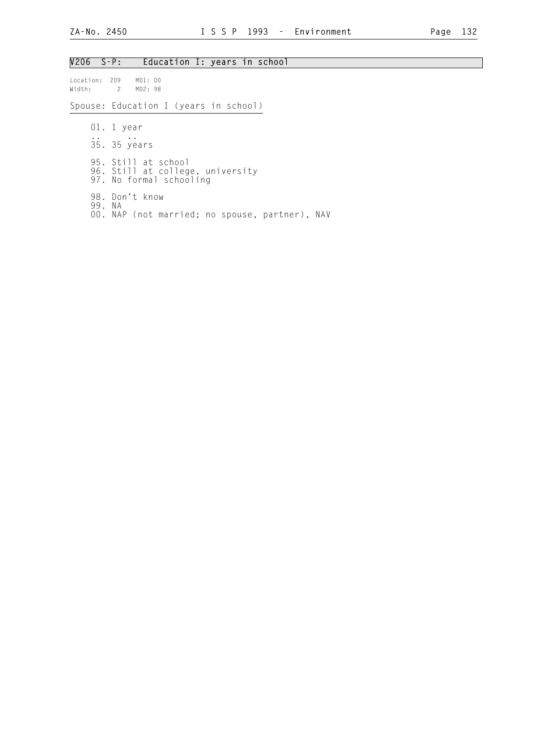## V206 S-P: Education I: years in school

Location: 209 MD1: 00<br>Width: 2 MD2: 98 2 MD2: 98

Spouse: Education I (years in school)

 01. 1 year .. .. 35. 35 years 95. Still at school 96. Still at college, university 97. No formal schooling 98. Don't know 99. NA 00. NAP (not married; no spouse, partner), NAV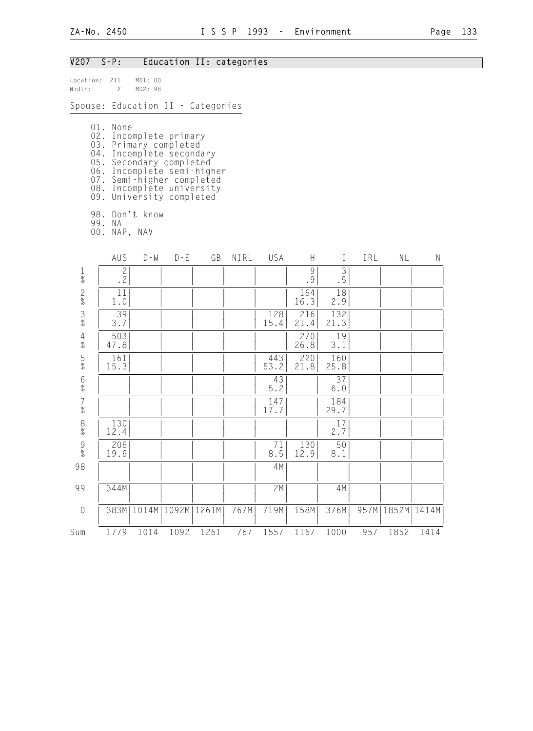## V207 S-P: Education II: categories

| Location: 211<br>Width: | $\mathbf{2}$                                                                                                                                                                                                                           | MD1: 00<br>MD2: 98 |         |               |      |             |             |                      |      |       |           |
|-------------------------|----------------------------------------------------------------------------------------------------------------------------------------------------------------------------------------------------------------------------------------|--------------------|---------|---------------|------|-------------|-------------|----------------------|------|-------|-----------|
|                         | Spouse: Education II - Categories                                                                                                                                                                                                      |                    |         |               |      |             |             |                      |      |       |           |
|                         | 01. None<br>02. Incomplete primary<br>03. Primary completed<br>04. Incomplete secondary<br>05. Secondary completed<br>06. Incomplete semi-higher<br>07. Semi-higher completed<br>08. Incomplete university<br>09. University completed |                    |         |               |      |             |             |                      |      |       |           |
|                         | 98. Don't know<br>99. NA<br>00. NAP, NAV                                                                                                                                                                                               |                    |         |               |      |             |             |                      |      |       |           |
|                         | AUS                                                                                                                                                                                                                                    | $D - W$            | $D - E$ | GB            | NIRL | USA         | H           | $\mathbf{I}$         | IRL  | NL    | ${\sf N}$ |
| $\frac{1}{\%}$          | $\mathbf{2}$<br>$\cdot$ 2                                                                                                                                                                                                              |                    |         |               |      |             | 9<br>.9     | $\mathfrak{Z}$<br>.5 |      |       |           |
| $\frac{2}{\%}$          | 11<br>1.0                                                                                                                                                                                                                              |                    |         |               |      |             | 164<br>16.3 | 18<br>2.9            |      |       |           |
| $\frac{3}{8}$           | 39<br>3.7                                                                                                                                                                                                                              |                    |         |               |      | 128<br>15.4 | 216<br>21.4 | 132<br>21.3          |      |       |           |
| $\overline{4}$<br>$\%$  | 503<br>47.8                                                                                                                                                                                                                            |                    |         |               |      |             | 270<br>26.8 | 19<br>3.1            |      |       |           |
| $\frac{5}{\%}$          | 161<br>15.3                                                                                                                                                                                                                            |                    |         |               |      | 443<br>53.2 | 220<br>21.8 | 160<br>25.8          |      |       |           |
| $6\,$<br>$\%$           |                                                                                                                                                                                                                                        |                    |         |               |      | 43<br>$5.2$ |             | 37<br>$6.0$          |      |       |           |
| $\overline{7}$<br>$\%$  |                                                                                                                                                                                                                                        |                    |         |               |      | 147<br>17.7 |             | 184<br>29.7          |      |       |           |
| $_{\%}^8$               | 130<br>12.4                                                                                                                                                                                                                            |                    |         |               |      |             |             | 17<br>2.7            |      |       |           |
| $\frac{9}{\%}$          | 206<br>19.6                                                                                                                                                                                                                            |                    |         |               |      | 71<br>8.5   | 130<br>12.9 | 50<br>8.1            |      |       |           |
| 98                      |                                                                                                                                                                                                                                        |                    |         |               |      | 4M          |             |                      |      |       |           |
| 99                      | 344M                                                                                                                                                                                                                                   |                    |         |               |      | 2M          |             | 4M                   |      |       |           |
| $\mathbf 0$             | 383M                                                                                                                                                                                                                                   | 1014M              |         | 1092M   1261M | 767M | 719M        | 158M        | 376M                 | 957M | 1852M | 1414M     |
| Sum                     | 1779                                                                                                                                                                                                                                   | 1014               | 1092    | 1261          | 767  | 1557        | 1167        | 1000                 | 957  | 1852  | 1414      |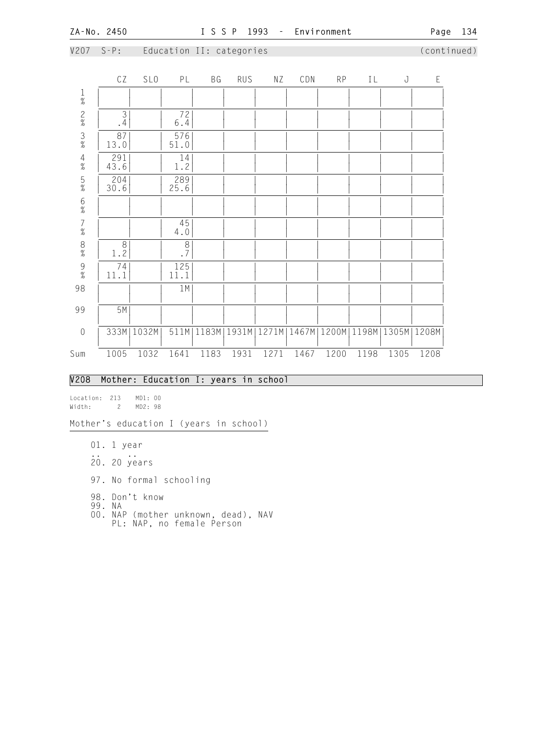|                                            | CZ            | SL <sub>0</sub> | PL                               | BG   | <b>RUS</b> | ΝZ                     | CDN   | RP   | IL                            | J    | E    |
|--------------------------------------------|---------------|-----------------|----------------------------------|------|------------|------------------------|-------|------|-------------------------------|------|------|
|                                            |               |                 |                                  |      |            |                        |       |      |                               |      |      |
| $\frac{1}{\%}$ 2%                          | $\frac{3}{4}$ |                 | 72<br>$6.4$                      |      |            |                        |       |      |                               |      |      |
| $\frac{3}{\%}$                             | 87<br>13.0    |                 | 576<br>51.0                      |      |            |                        |       |      |                               |      |      |
| $\frac{4}{\%}$                             | 291<br>43.6   |                 | 14<br>1.2                        |      |            |                        |       |      |                               |      |      |
| $\frac{5}{\%}$                             | 204<br>30.6   |                 | 289<br>25.6                      |      |            |                        |       |      |                               |      |      |
| $\frac{6}{\%}$                             |               |                 |                                  |      |            |                        |       |      |                               |      |      |
| $\begin{array}{c} 7 \\ 2 \\ 0 \end{array}$ |               |                 | 45<br>$4.0\,$                    |      |            |                        |       |      |                               |      |      |
| $\begin{array}{c} 8 \\  \% \end{array}$    | 8<br>1.2      |                 | $\overline{8}$<br>$\overline{7}$ |      |            |                        |       |      |                               |      |      |
| $\frac{9}{\%}$                             | 74<br>11.1    |                 | 125<br>11.1                      |      |            |                        |       |      |                               |      |      |
| 98                                         |               |                 | 1M                               |      |            |                        |       |      |                               |      |      |
| 99                                         | 5M            |                 |                                  |      |            |                        |       |      |                               |      |      |
| $\sqrt{0}$                                 |               | 333M   1032M    |                                  |      |            | 511M 1183M 1931M 1271M | 1467M |      | 1200M   1198M   1305M   1208M |      |      |
| Sum                                        | 1005          | 1032            | 1641                             | 1183 | 1931       | 1271                   | 1467  | 1200 | 1198                          | 1305 | 1208 |

# V207 S-P: Education II: categories (continued)

## V208 Mother: Education I: years in school

Location: 213 MD1: 00 Width: 2 MD2: 98

Mother's education I (years in school)

- 01. 1 year
- .. .. 20. 20 years
	- 97. No formal schooling
- 98. Don't know
- 99. NA
- 00. NAP (mother unknown, dead), NAV PL: NAP, no female Person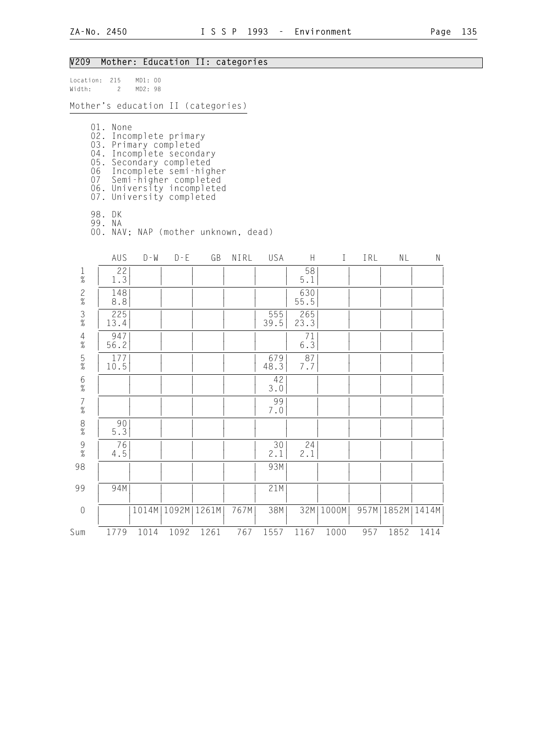# V209 Mother: Education II: categories

| Location:<br>Width:      | 215<br>$\mathbf{2}^{\circ}$                                                                                                                     | MD1: 00<br>MD2: 98 |                       |                                                                                    |      |             |             |              |     |                      |      |
|--------------------------|-------------------------------------------------------------------------------------------------------------------------------------------------|--------------------|-----------------------|------------------------------------------------------------------------------------|------|-------------|-------------|--------------|-----|----------------------|------|
|                          |                                                                                                                                                 |                    |                       | Mother's education II (categories)                                                 |      |             |             |              |     |                      |      |
|                          | 01. None<br>02. Incomplete primary<br>03. Primary completed<br>04. Incomplete secondary<br>07 Semi-higher completed<br>07. University completed |                    |                       | 05. Secondary completed<br>06 Incomplete semi-higher<br>06. University incompleted |      |             |             |              |     |                      |      |
|                          | 98. DK<br>99. NA                                                                                                                                |                    |                       | 00. NAV; NAP (mother unknown, dead)                                                |      |             |             |              |     |                      |      |
|                          | AUS                                                                                                                                             | $D - W$            | $D - E$               | GB                                                                                 | NIRL | USA         | H           | $\mathbf{I}$ | IRL | <b>NL</b>            | N    |
| $\mathbf{1}$<br>$\%$     | 22<br>1.3                                                                                                                                       |                    |                       |                                                                                    |      |             | 58<br>5.1   |              |     |                      |      |
| $\frac{2}{\%}$           | 148<br>8.8                                                                                                                                      |                    |                       |                                                                                    |      |             | 630<br>55.5 |              |     |                      |      |
| $\frac{3}{8}$            | 225<br>13.4                                                                                                                                     |                    |                       |                                                                                    |      | 555<br>39.5 | 265<br>23.3 |              |     |                      |      |
| $\overline{4}$<br>$\%$   | 947<br>56.2                                                                                                                                     |                    |                       |                                                                                    |      |             | 71<br>6.3   |              |     |                      |      |
| $\frac{5}{\%}$           | 177<br>10.5                                                                                                                                     |                    |                       |                                                                                    |      | 679<br>48.3 | 87<br>7.7   |              |     |                      |      |
| $\,6\,$<br>$\frac{9}{6}$ |                                                                                                                                                 |                    |                       |                                                                                    |      | 42<br>3.0   |             |              |     |                      |      |
| $\overline{7}$<br>$\%$   |                                                                                                                                                 |                    |                       |                                                                                    |      | 99<br>7.0   |             |              |     |                      |      |
| $\,8\,$<br>$\%$          | 90<br>5.3                                                                                                                                       |                    |                       |                                                                                    |      |             |             |              |     |                      |      |
| $\frac{9}{\%}$           | 76<br>4.5                                                                                                                                       |                    |                       |                                                                                    |      | 30<br>2.1   | 24<br>2.1   |              |     |                      |      |
| 98                       |                                                                                                                                                 |                    |                       |                                                                                    |      | 93M         |             |              |     |                      |      |
| 99                       | 94M                                                                                                                                             |                    |                       |                                                                                    |      | 21M         |             |              |     |                      |      |
| $\mathbf 0$              |                                                                                                                                                 |                    | 1014M   1092M   1261M |                                                                                    | 767M | 38M         | 32M         | 1000M        |     | 957M   1852M   1414M |      |
| Sum                      | 1779                                                                                                                                            | 1014               | 1092                  | 1261                                                                               | 767  | 1557        | 1167        | 1000         | 957 | 1852                 | 1414 |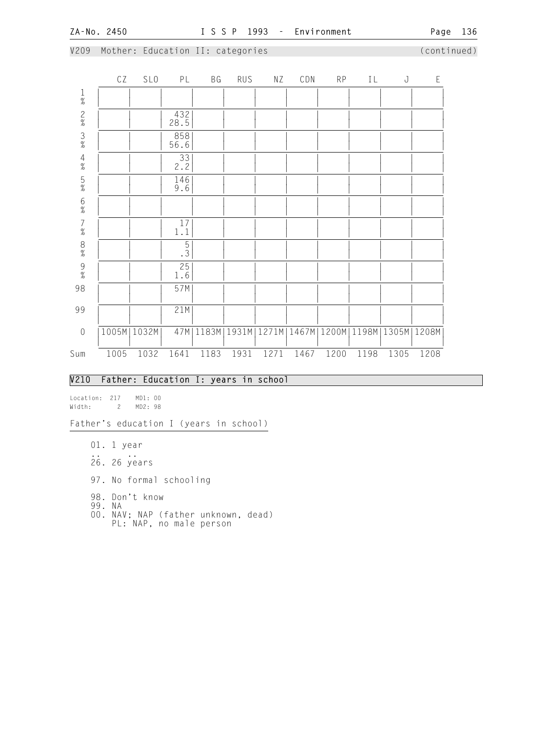#### V209 Mother: Education II: categories (continued)

|                                        | CZ   | <b>SLO</b>    | PL            | ВG   | <b>RUS</b> | ΝZ   | CDN  | <b>RP</b> | IL   | J                                                             | E    |
|----------------------------------------|------|---------------|---------------|------|------------|------|------|-----------|------|---------------------------------------------------------------|------|
| $\frac{1}{\%}$                         |      |               |               |      |            |      |      |           |      |                                                               |      |
| $\frac{2}{\%}$                         |      |               | 432<br>28.5   |      |            |      |      |           |      |                                                               |      |
| $\frac{3}{\%}$                         |      |               | $858$<br>56.6 |      |            |      |      |           |      |                                                               |      |
| $\begin{array}{c} 4 \\ \% \end{array}$ |      |               | 33<br>2.2     |      |            |      |      |           |      |                                                               |      |
| $\frac{5}{\%}$                         |      |               | 146<br>9.6    |      |            |      |      |           |      |                                                               |      |
| $6\atop \%$                            |      |               |               |      |            |      |      |           |      |                                                               |      |
| $\begin{array}{c} 7 \\ \% \end{array}$ |      |               | 17<br>$1\,.1$ |      |            |      |      |           |      |                                                               |      |
| 8% 9%                                  |      |               | $\frac{5}{3}$ |      |            |      |      |           |      |                                                               |      |
|                                        |      |               | 25<br>1.6     |      |            |      |      |           |      |                                                               |      |
| 98                                     |      |               | 57M           |      |            |      |      |           |      |                                                               |      |
| 99                                     |      |               | 21M           |      |            |      |      |           |      |                                                               |      |
| $\mathbf 0$                            |      | 1005M   1032M | 47M           |      |            |      |      |           |      | 1183M   1931M   1271M   1467M   1200M   1198M   1305M   1208M |      |
| Sum                                    | 1005 | 1032          | 1641          | 1183 | 1931       | 1271 | 1467 | 1200      | 1198 | 1305                                                          | 1208 |

## V210 Father: Education I: years in school

Location: 217 MD1: 00 Width: 2 MD2: 98

Father's education I (years in school)

- 01. 1 year
- .. .. 26. 26 years
	- 97. No formal schooling
- 98. Don't know
- 99. NA
- 00. NAV; NAP (father unknown, dead) PL: NAP, no male person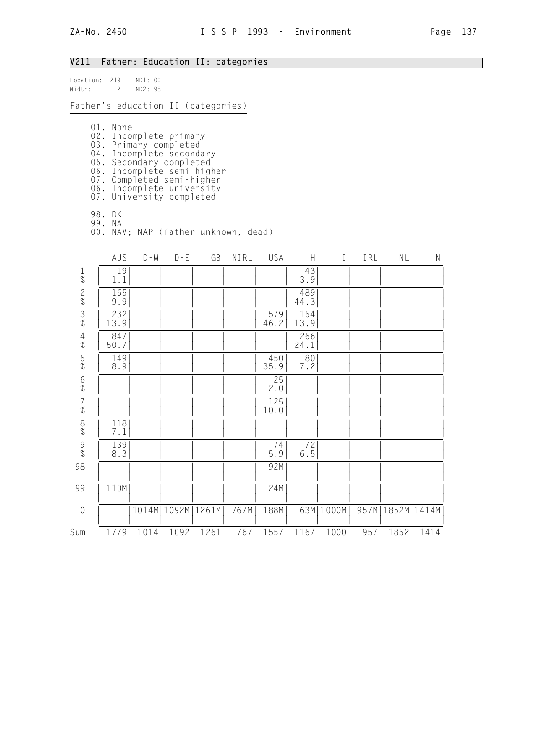# V211 Father: Education II: categories

| Location:<br>Width:               | 219<br>$\overline{c}$                                                                                                                                                         | MD1: 00<br>MD2: 98 |                       |                                                       |      |             |             |             |     |                      |      |
|-----------------------------------|-------------------------------------------------------------------------------------------------------------------------------------------------------------------------------|--------------------|-----------------------|-------------------------------------------------------|------|-------------|-------------|-------------|-----|----------------------|------|
|                                   |                                                                                                                                                                               |                    |                       | Father's education II (categories)                    |      |             |             |             |     |                      |      |
|                                   | 01. None<br>02. Incomplete primary<br>03. Primary completed<br>04. Incomplete secondary<br>07. Completed semi-higher<br>06. Incomplete university<br>07. University completed |                    |                       | 05. Secondary completed<br>06. Incomplete semi-higher |      |             |             |             |     |                      |      |
|                                   | 98. DK<br>99. NA                                                                                                                                                              |                    |                       | 00. NAV; NAP (father unknown, dead)                   |      |             |             |             |     |                      |      |
|                                   | AUS                                                                                                                                                                           | $D - W$            | $D - E$               | GB                                                    | NIRL | USA         | H.          | $\bf{I}$    | IRL | ΝL                   | N    |
| $\mathbf{1}$<br>$\%$              | 19<br>1.1                                                                                                                                                                     |                    |                       |                                                       |      |             | 43<br>3.9   |             |     |                      |      |
| $\frac{2}{\%}$                    | 165<br>9.9                                                                                                                                                                    |                    |                       |                                                       |      |             | 489<br>44.3 |             |     |                      |      |
| $\frac{3}{8}$                     | 232<br>13.9                                                                                                                                                                   |                    |                       |                                                       |      | 579<br>46.2 | 154<br>13.9 |             |     |                      |      |
| $\overline{4}$<br>$\%$            | 847<br>50.7                                                                                                                                                                   |                    |                       |                                                       |      |             | 266<br>24.1 |             |     |                      |      |
| $\frac{5}{\%}$                    | 149<br>8.9                                                                                                                                                                    |                    |                       |                                                       |      | 450<br>35.9 | 80<br>7.2   |             |     |                      |      |
| $\boldsymbol{6}$<br>$\frac{1}{6}$ |                                                                                                                                                                               |                    |                       |                                                       |      | 25<br>2.0   |             |             |     |                      |      |
| $\overline{7}$<br>$\%$            |                                                                                                                                                                               |                    |                       |                                                       |      | 125<br>10.0 |             |             |     |                      |      |
| $\,8\,$<br>$\%$                   | 118<br>7.1                                                                                                                                                                    |                    |                       |                                                       |      |             |             |             |     |                      |      |
| $\overline{9}$<br>$\frac{9}{6}$   | 139<br>8.3                                                                                                                                                                    |                    |                       |                                                       |      | 74<br>5.9   | 72<br>$6.5$ |             |     |                      |      |
| 98                                |                                                                                                                                                                               |                    |                       |                                                       |      | 92M         |             |             |     |                      |      |
| 99                                | 110M                                                                                                                                                                          |                    |                       |                                                       |      | 24M         |             |             |     |                      |      |
| $\mathbf 0$                       |                                                                                                                                                                               |                    | 1014M   1092M   1261M |                                                       | 767M | 188M        |             | 63M   1000M |     | 957M   1852M   1414M |      |
| Sum                               | 1779                                                                                                                                                                          | 1014               | 1092                  | 1261                                                  | 767  | 1557        | 1167        | 1000        | 957 | 1852                 | 1414 |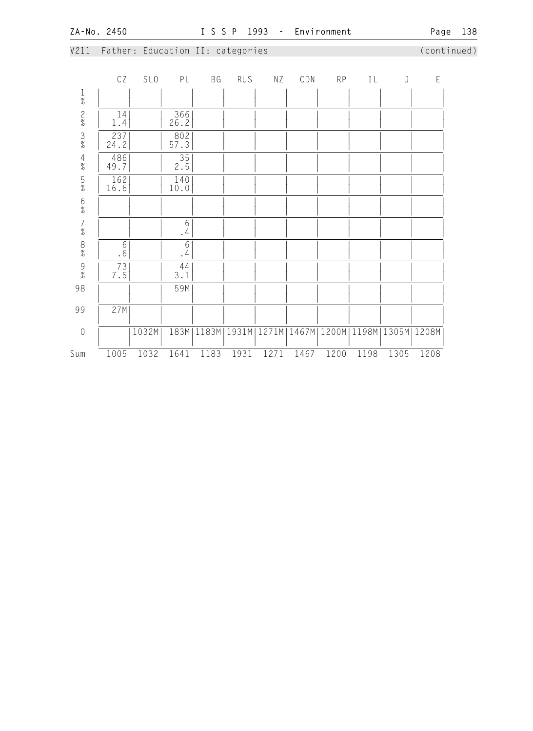# V211 Father: Education II: categories (continued)

|                                            | CZ                              | SL <sub>0</sub> | PL                | ΒG                   | RUS  | ΝZ   | CDN  | RP   | IL   | J                                             | $\mathsf E$ |
|--------------------------------------------|---------------------------------|-----------------|-------------------|----------------------|------|------|------|------|------|-----------------------------------------------|-------------|
| $\frac{1}{\%}$                             |                                 |                 |                   |                      |      |      |      |      |      |                                               |             |
| $\frac{2}{\%}$                             | 14<br>1.4                       |                 | 366<br>26.2       |                      |      |      |      |      |      |                                               |             |
| $\frac{3}{\%}$                             | 237<br>24.2                     |                 | 802<br>57.3       |                      |      |      |      |      |      |                                               |             |
| $\frac{4}{\%}$                             | 486<br>49.7                     |                 | 35<br>2.5         |                      |      |      |      |      |      |                                               |             |
| $\frac{5}{\%}$                             | 162<br>16.6                     |                 | 140<br>10.0       |                      |      |      |      |      |      |                                               |             |
| $6\atop \%$                                |                                 |                 |                   |                      |      |      |      |      |      |                                               |             |
| $\begin{array}{c} 7 \\ 9'_{0} \end{array}$ |                                 |                 | $\,$ 6 $\,$<br>.4 |                      |      |      |      |      |      |                                               |             |
| $\frac{8}{\%}$                             | $6\,$<br>$\boldsymbol{\cdot}$ 6 |                 | 6<br>.4           |                      |      |      |      |      |      |                                               |             |
| $\frac{9}{\%}$                             | $\frac{73}{7.5}$                |                 | 44<br>3.1         |                      |      |      |      |      |      |                                               |             |
| 98                                         |                                 |                 | 59M               |                      |      |      |      |      |      |                                               |             |
| 99                                         | 27M                             |                 |                   |                      |      |      |      |      |      |                                               |             |
| $\mathbf 0$                                |                                 | 1032M           |                   | 183M   1183M   1931M |      |      |      |      |      | 1271M   1467M   1200M   1198M   1305M   1208M |             |
| Sum                                        | 1005                            | 1032            | 1641              | 1183                 | 1931 | 1271 | 1467 | 1200 | 1198 | 1305                                          | 1208        |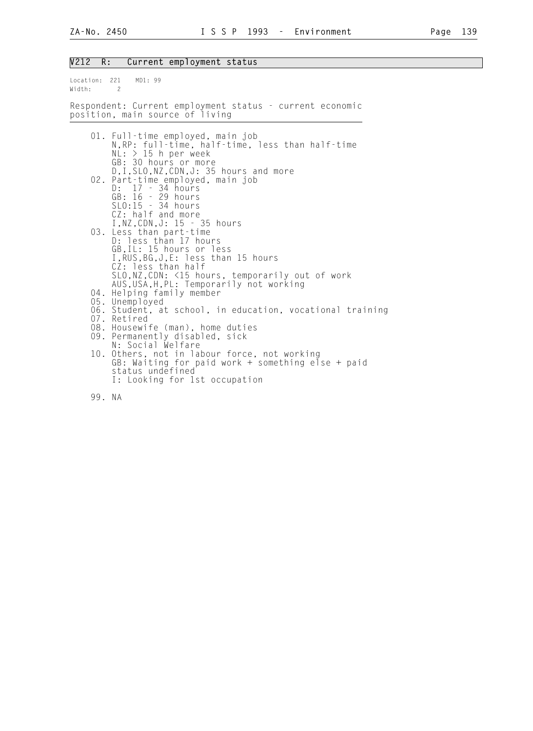#### V212 R: Current employment status

Location: 221 MD1: 99 Width: 2 Respondent: Current employment status - current economic position, main source of living 01. Full-time employed, main job N,RP: full-time, half-time, less than half-time  $NL: > 15$  h per week GB: 30 hours or more D,I,SLO,NZ,CDN,J: 35 hours and more 02. Part-time employed, main job D: 17 - 34 hours GB: 16 - 29 hours SLO:15 - 34 hours CZ: half and more I,NZ,CDN,J: 15 - 35 hours 03. Less than part-time D: less than 17 hours GB,IL: 15 hours or less I,RUS,BG,J,E: less than 15 hours CZ: less than half SLO,NZ,CDN: <15 hours, temporarily out of work AUS,USA,H,PL: Temporarily not working 04. Helping family member 05. Unemployed 06. Student, at school, in education, vocational training 07. Retired 08. Housewife (man), home duties 09. Permanently disabled, sick N: Social Welfare 10. Others, not in labour force, not working GB: Waiting for paid work + something else + paid status undefined I: Looking for 1st occupation

99. NA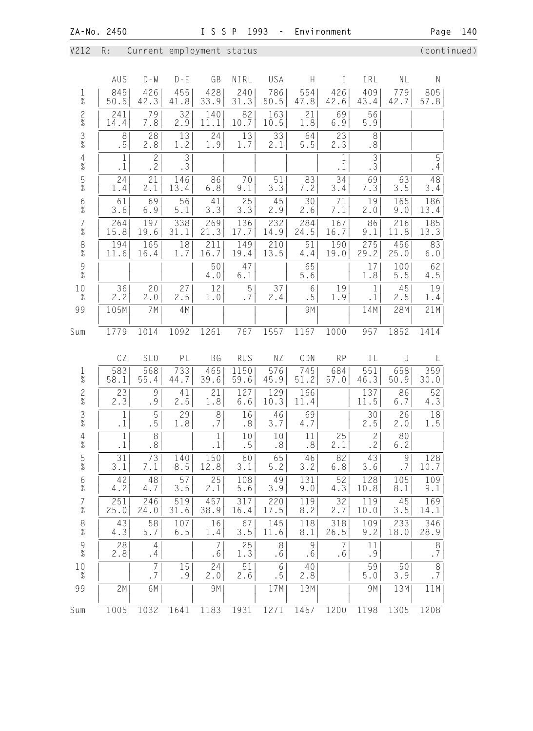V212 R: Current employment status (continued)

|                                            | AUS                       | $D - W$                | $D - E$              | GB                        | NIRL          | USA                          | H           | $\mathbf{I}$   | IRL                      | NL            | ${\sf N}$     |
|--------------------------------------------|---------------------------|------------------------|----------------------|---------------------------|---------------|------------------------------|-------------|----------------|--------------------------|---------------|---------------|
| 1<br>$\%$                                  | 845<br>50.5               | 426<br>42.3            | 455<br>41.8          | 428<br>33.9               | 240<br>31.3   | 786<br>50.5                  | 554<br>47.8 | 426<br>42.6    | 409<br>43.4              | 779<br>42.7   | 805<br>57.8   |
| $\frac{2}{\%}$                             | 241<br>14.4               | 79<br>7.8              | 32<br>2.9            | 140<br>11.1               | 82<br>10.7    | 163<br>10.5                  | 21<br>1.8   | 69<br>6.9      | 56<br>5.9                |               |               |
| $\frac{3}{\%}$                             | 8<br>.5                   | 28<br>2.8              | 13<br>1.2            | 24<br>1.9                 | 13<br>1.7     | 33<br>2.1                    | 64<br>$5.5$ | 23<br>2.3      | $\,8\,$<br>.8            |               |               |
| $\frac{4}{\%}$                             | $\mathbf{1}$<br>$\cdot$ 1 | $\overline{c}$<br>.2   | $\overline{3}$<br>.3 |                           |               |                              |             | 1<br>$\cdot$ 1 | $\overline{3}$<br>.3     |               | 5<br>.4       |
| $\frac{5}{%}$                              | 24<br>1.4                 | 21<br>2.1              | 146<br>13.4          | 86<br>$6.8$               | 70<br>9.1     | 51<br>3.3                    | 83<br>7.2   | 34<br>3.4      | 69<br>7.3                | 63<br>3.5     | 48<br>3.4     |
| $\frac{6}{\%}$                             | 61<br>3.6                 | 69<br>6.9              | 56<br>5.1            | 41<br>3.3                 | 25<br>3.3     | 45<br>2.9                    | 30<br>2.6   | 71<br>7.1      | 19<br>2.0                | 165<br>9.0    | 186<br>13.4   |
| $\overline{7}$<br>$\%$                     | 264<br>15.8               | 197<br>19.6            | 338<br>31.1          | 269<br>21.3               | 136<br>17.7   | 232<br>14.9                  | 284<br>24.5 | 167<br>16.7    | 86<br>9.1                | 216<br>11.8   | 185<br>13.3   |
| 8<br>$\frac{1}{6}$                         | 194<br>11.6               | 165<br>16.4            | 18<br>1.7            | 211<br>16.7               | 149<br>19.4   | 210<br>13.5                  | 51<br>4.4   | 190<br>19.0    | 275<br>29.2              | 456<br>25.0   | 83<br>6.0     |
| $\frac{9}{\%}$                             |                           |                        |                      | 50<br>4.0                 | 47<br>6.1     |                              | 65<br>5.6   |                | 17<br>1.8                | 100<br>$5.5$  | 62<br>4.5     |
| 10<br>$\%$                                 | 36<br>2.2                 | 20<br>2.0              | 27<br>2.5            | 12<br>1.0                 | 5<br>.7       | 37<br>2.4                    | 6<br>.5     | 19<br>1.9      | $\mathbf 1$<br>$\cdot$ 1 | 45<br>2.5     | 19<br>1.4     |
| 99                                         | 105M                      | 7M                     | 4M                   |                           |               |                              | 9M          |                | 14M                      | 28M           | 21M           |
| Sum                                        | 1779                      | 1014                   | 1092                 | 1261                      | 767           | 1557                         | 1167        | 1000           | 957                      | 1852          | 1414          |
|                                            | CZ                        | SL <sub>0</sub>        | PL                   | <b>BG</b>                 | <b>RUS</b>    | ΝZ                           | CDN         | <b>RP</b>      | IL                       | J             | $\mathsf E$   |
| 1<br>$\overline{\mathcal{U}}$              | 583<br>58.1               | 568<br>55.4            | 733<br>44.7          | 465<br>39.6               | 1150<br>59.6  | 576<br>45.9                  | 745<br>51.2 | 684<br>57.0    | 551<br>46.3              | 658<br>50.9   | 359<br>30.0   |
| $\frac{2}{\%}$                             | 23<br>2.3                 | $\mathcal{G}$<br>.9    | 41<br>2.5            | 21<br>1.8                 | 127<br>6.6    | 129<br>10.3                  | 166<br>11.4 |                | 137<br>11.5              | 86<br>6.7     | 52<br>4.3     |
| $\frac{3}{8}$                              | 1<br>$\cdot$ 1            | 5<br>. 5               | 29<br>1.8            | $\,8\,$<br>.7             | 16<br>.8      | 46<br>3.7                    | 69<br>4.7   |                | 30<br>2.5                | 26<br>2.0     | 18<br>1.5     |
| $\begin{array}{c} 4 \\ 2 \\ 0 \end{array}$ | $\mathbf 1$<br>$\cdot$ 1  | $\,8\,$<br>.8          |                      | $\mathbf{1}$<br>$\cdot$ 1 | 10<br>.5      | 10<br>$\boldsymbol{\cdot}$ 8 | 11<br>.8    | 25<br>2.1      | $\overline{c}$<br>.2     | 80<br>6.2     |               |
| 5<br>$\%$                                  | 31<br>3.1                 | $\overline{73}$<br>7.1 | 140<br>8.5           | 150<br>12.8               | 60<br>3.1     | 65<br>$5.2$                  | 46 <br>3.2  | 82 <br>6.8     | 43 <br>$3.6$             | $\frac{9}{7}$ | 128<br>10.7   |
| $\frac{6}{\%}$                             | 42<br>4.2                 | 48<br>4.7              | 57<br>3.5            | 25<br>2.1                 | 108<br>5.6    | 49<br>3.9                    | 131<br>9.0  | 52<br>4.3      | 128<br>10.8              | 105<br>8.1    | 109<br>9.1    |
| 7<br>$\%$                                  | 251<br>25.0               | 246<br>24.0            | 519<br>31.6          | 457<br>38.9               | 317<br>16.4   | 220<br>17.5                  | 119<br>8.2  | 32<br>2.7      | 119<br>10.0              | 45<br>3.5     | 169<br>14.1   |
| $_{\%}^8$                                  | 43<br>4.3                 | 58<br>5.7              | 107<br>6.5           | 16<br>1.4                 | 67<br>3.5     | 145<br>11.6                  | 118<br>8.1  | 318<br>26.5    | 109<br>9.2               | 233<br>18.0   | 346<br>28.9   |
| 9<br>$\%$                                  | 28<br>2.8                 | $\overline{4}$<br>.4   |                      | 7<br>.6                   | 25<br>1.3     | 8<br>.6                      | 9<br>.6     | 7<br>.6        | 11<br>.9                 |               | $\,8\,$<br>.7 |
| 10<br>$\%$                                 |                           | $\overline{7}$<br>.7   | 15<br>.9             | 24<br>2.0                 | $51\,$<br>2.6 | 6<br>.5                      | 40<br>2.8   |                | 59<br>$5.0$              | 50<br>3.9     | $\,8\,$<br>.7 |
| 99                                         | 2M                        | 6M                     |                      | 9M                        |               | 17M                          | 13M         |                | 9M                       | 13M           | 11M           |
| Sum                                        | 1005                      | 1032                   | 1641                 | 1183                      | 1931          | 1271                         | 1467        | 1200           | 1198                     | 1305          | 1208          |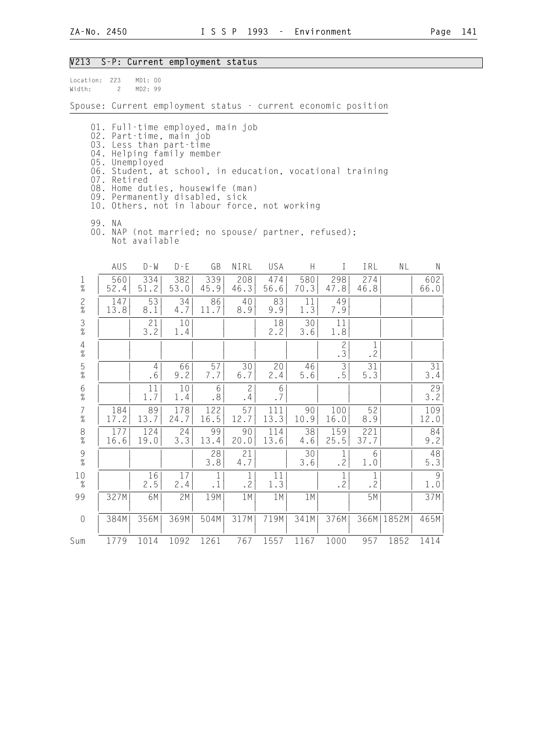## V213 S-P: Current employment status

| Location: 223<br>Width: | $\overline{c}$     | MD1: 00<br>MD2: 99 |                                                                                                                                                                                                                                                                                                        |                           |                          |             |             |                          |                          |       |             |
|-------------------------|--------------------|--------------------|--------------------------------------------------------------------------------------------------------------------------------------------------------------------------------------------------------------------------------------------------------------------------------------------------------|---------------------------|--------------------------|-------------|-------------|--------------------------|--------------------------|-------|-------------|
|                         |                    |                    | Spouse: Current employment status - current economic position                                                                                                                                                                                                                                          |                           |                          |             |             |                          |                          |       |             |
|                         | 05.<br>07. Retired | Unemployed         | 01. Full-time employed, main job<br>02. Part-time, main job<br>03. Less than part-time<br>04. Helping family member<br>06. Student, at school, in education, vocational training<br>08. Home duties, housewife (man)<br>09. Permanently disabled, sick<br>10. Others, not in labour force, not working |                           |                          |             |             |                          |                          |       |             |
|                         | 99. NA             | Not available      | 00. NAP (not married; no spouse/ partner, refused);                                                                                                                                                                                                                                                    |                           |                          |             |             |                          |                          |       |             |
|                         | AUS                | $D - M$            | $D - E$                                                                                                                                                                                                                                                                                                | GB                        | NIRL                     | USA         | H           | $\mathbf{I}$             | IRL                      | NL    | N           |
| $\frac{1}{\%}$          | 560<br>52.4        | 334<br>51.2        | 382<br>53.0                                                                                                                                                                                                                                                                                            | 339<br>45.9               | 208<br>46.3              | 474<br>56.6 | 580<br>70.3 | 298<br>47.8              | 274<br>46.8              |       | 602<br>66.0 |
| $\frac{2}{\%}$          | 147<br>13.8        | 53<br>8.1          | 34<br>4.7                                                                                                                                                                                                                                                                                              | 86<br>11.7                | 40<br>8.9                | 83<br>9.9   | 11<br>1.3   | 49<br>7.9                |                          |       |             |
| $\frac{3}{8}$           |                    | 21<br>3.2          | 10<br>1.4                                                                                                                                                                                                                                                                                              |                           |                          | 18<br>2.2   | 30<br>3.6   | 11<br>1.8                |                          |       |             |
| $\overline{4}$<br>$\%$  |                    |                    |                                                                                                                                                                                                                                                                                                        |                           |                          |             |             | $\mathbf{2}$<br>.3       | $\mathbf 1$<br>$\cdot$ 2 |       |             |
| $\frac{5}{\%}$          |                    | 4<br>.6            | 66<br>9.2                                                                                                                                                                                                                                                                                              | 57<br>7.7                 | 30<br>6.7                | 20<br>2.4   | 46<br>5.6   | $\mathfrak{Z}$<br>.5     | 31<br>5.3                |       | 31<br>3.4   |
| 6<br>$\frac{9}{6}$      |                    | 11<br>1.7          | 10<br>1.4                                                                                                                                                                                                                                                                                              | 6<br>.8 <sup>°</sup>      | $\overline{c}$<br>.4     | 6<br>.7     |             |                          |                          |       | 29<br>3.2   |
| $\overline{7}$<br>$\%$  | 184<br>17.2        | 89<br>13.7         | 178<br>24.7                                                                                                                                                                                                                                                                                            | 122<br>16.5               | 57<br>12.7               | 111<br>13.3 | 90<br>10.9  | 100<br>16.0              | 52<br>8.9                |       | 109<br>12.0 |
| $\frac{8}{\%}$          | 177<br>16.6        | 124<br>19.0        | 24<br>3.3                                                                                                                                                                                                                                                                                              | 99<br>13.4                | 90<br>20.0               | 114<br>13.6 | 38<br>4.6   | 159<br>25.5              | 221<br>37.7              |       | 84<br>9.2   |
| $\mathcal G$<br>$\%$    |                    |                    |                                                                                                                                                                                                                                                                                                        | 28<br>3.8                 | 21<br>4.7                |             | 30<br>3.6   | $\mathbf{1}$<br>.2       | 6<br>1.0                 |       | 48<br>5.3   |
| 10<br>$\%$              |                    | 16<br>2.5          | 17<br>2.4                                                                                                                                                                                                                                                                                              | $\mathbf{1}$<br>$\cdot$ 1 | $\mathbf 1$<br>$\cdot$ 2 | 11<br>1.3   |             | $\mathbf 1$<br>$\cdot$ 2 | $\mathbf 1$<br>$\cdot$ 2 |       | 9<br>1.0    |
| 99                      | 327M               | 6M                 | 2M                                                                                                                                                                                                                                                                                                     | 19M                       | 1M                       | 1 M         | 1 M         |                          | 5M                       |       | 37M         |
| $\mathbf 0$             | 384M               | 356M               | 369M                                                                                                                                                                                                                                                                                                   | 504M                      | 317M                     | 719M        | 341M        | 376M                     | 366M                     | 1852M | 465M        |
| Sum                     | 1779               | 1014               | 1092                                                                                                                                                                                                                                                                                                   | 1261                      | 767                      | 1557        | 1167        | 1000                     | 957                      | 1852  | 1414        |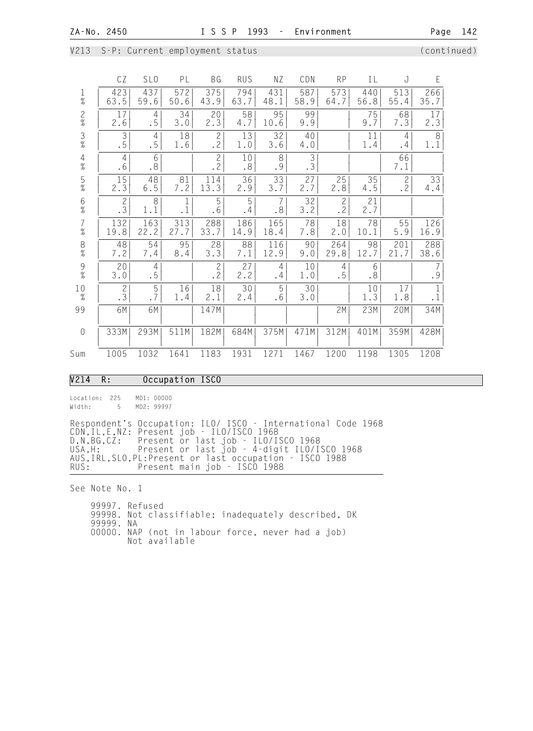|  |  |  | V213 S-P: Current employment status/ |  |
|--|--|--|--------------------------------------|--|
|--|--|--|--------------------------------------|--|

(continued)

|                                        | CΖ                   | SL <sub>0</sub>      | PL          | ВG                   | RUS         | ΝZ                          | CDN         | <b>RP</b>             | ΙL          | J                           | Ε                        |  |
|----------------------------------------|----------------------|----------------------|-------------|----------------------|-------------|-----------------------------|-------------|-----------------------|-------------|-----------------------------|--------------------------|--|
| $\frac{1}{\%}$                         | 423<br>63.5          | 437<br>59.6          | 572<br>50.6 | 375<br>43.9          | 794<br>63.7 | 431<br>48.1                 | 587<br>58.9 | 573<br>64.7           | 440<br>56.8 | 513<br>55.4                 | 266<br>35.7              |  |
| $\frac{2}{\%}$                         | 17<br>2.6            | 4<br>.5              | 34<br>3.0   | 20<br>2.3            | 58<br>4.7   | 95<br>10.6                  | 99<br>9.9   |                       | 75<br>9.7   | 68<br>7.3                   | 17<br>2.3                |  |
| $\frac{3}{\%}$                         | 3<br>.5              | $\overline{4}$<br>.5 | 18<br>1.6   | $\mathbf{2}$<br>.2   | 13<br>1.0   | 32<br>3.6                   | 40<br>4.0   |                       | 11<br>1.4   | 4<br>.4                     | 8<br>1.1                 |  |
| $\frac{4}{\%}$                         | $\overline{4}$<br>.6 | 6<br>.8              |             | $\overline{c}$<br>.2 | 10<br>.8    | 8<br>.9                     | 3<br>.3     |                       |             | 66<br>7.1                   |                          |  |
| $\frac{5}{\%}$                         | 15<br>2.3            | 48<br>$6.5$          | 81<br>7.2   | 114<br>13.3          | 36<br>2.9   | 33<br>3.7                   | 27<br>2.7   | 25<br>2.8             | 35<br>4.5   | $\overline{c}$<br>$\cdot$ 2 | 33<br>4.4                |  |
| $\frac{6}{\%}$                         | $\overline{c}$<br>.3 | 8<br>1.1             | 1           | 5<br>.6              | 5<br>.4     | 7<br>$\boldsymbol{\cdot}$ 8 | 32<br>3.2   | $\overline{c}$<br>.2  | 21<br>2.7   |                             |                          |  |
| $\begin{array}{c} 7 \\ \% \end{array}$ | 132<br>19.8          | 163<br>22.2          | 313<br>27.7 | 288<br>33.7          | 186<br>14.9 | 165<br>18.4                 | 78<br>7.8   | 18<br>2.0             | 78<br>10.1  | 55<br>5.9                   | 126<br>16.9              |  |
| $_{\%}^8$                              | 48<br>7.2            | 54<br>7.4            | 95<br>8.4   | 28<br>3.3            | 88<br>7.1   | 116<br>12.9                 | 90<br>9.0   | 264<br>29.8           | 98<br>12.7  | 201<br>21.7                 | 288<br>38.6              |  |
| $\frac{9}{\%}$                         | 20<br>3.0            | 4<br>.5              |             | $\overline{c}$<br>.2 | 27<br>2.2   | 4<br>.4                     | 10<br>1.0   | 4 <sup>1</sup><br>. 5 | 6<br>.8     |                             | $\overline{7}$<br>.9     |  |
| 10<br>$\%$                             | $\mathbf{2}$<br>.3   | 5<br>.7              | 16<br>1.4   | 18<br>2.1            | 30<br>2.4   | 5<br>.6                     | 30<br>3.0   |                       | 10<br>1.3   | 17<br>1.8                   | $\mathbf 1$<br>$\cdot$ 1 |  |
| 99                                     | 6M                   | 6M                   |             | 147M                 |             |                             |             | 2M                    | 23M         | 20M                         | 34M                      |  |
| $\sqrt{a}$                             | 333M                 | 293M                 | 511M        | 182M                 | 684M        | 375M                        | 471M        | 312M                  | 401M        | 359M                        | 428M                     |  |
| Sum                                    | 1005                 | 1032                 | 1641        | 1183                 | 1931        | 1271                        | 1467        | 1200                  | 1198        | 1305                        | 1208                     |  |

#### V214 R: Occupation ISCO

Location: 225 MD1: 00000 Width: 5 MD2: 99997

Respondent's Occupation: ILO/ ISCO - International Code 1968 CDN,IL,E,NZ: Present job - ILO/ISCO 1968 D,N,BG,CZ: Present or last job - ILO/ISCO 1968 USA,H: Present or last job - 4-digit ILO/ISCO 1968 AUS,IRL,SLO,PL:Present or last occupation - ISCO 1988 RUS: Present main job - ISCO 1988

See Note No. 1

 99997. Refused 99998. Not classifiable; inadequately described, DK 99999. NA 00000. NAP (not in labour force, never had a job) Not available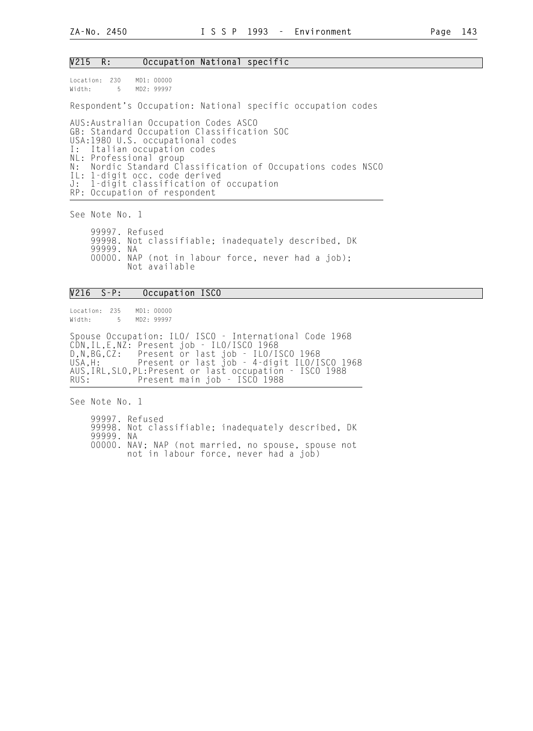#### V215 R: Occupation National specific

Location: 230 MD1: 00000 Width: 5 MD2: 99997

Respondent's Occupation: National specific occupation codes

AUS:Australian Occupation Codes ASCO GB: Standard Occupation Classification SOC USA:1980 U.S. occupational codes I: Italian occupation codes NL: Professional group N: Nordic Standard Classification of Occupations codes NSCO IL: 1-digit occ. code derived J: 1-digit classification of occupation RP: Occupation of respondent

See Note No. 1

 99997. Refused 99998. Not classifiable; inadequately described, DK 99999. NA 00000. NAP (not in labour force, never had a job); Not available

#### V216 S-P: Occupation ISCO

Location: 235 MD1: 00000 Width: 5 MD2: 99997

Spouse Occupation: ILO/ ISCO - International Code 1968 CDN,IL,E,NZ: Present job - ILO/ISCO 1968 D,N,BG,CZ: Present or last job - ILO/ISCO 1968 USA,H: Present or last job - 4-digit ILO/ISCO 1968 AUS,IRL,SLO,PL:Present or last occupation - ISCO 1988 Present main job - ISCO 1988

See Note No. 1

 99997. Refused 99998. Not classifiable; inadequately described, DK 99999. NA 00000. NAV; NAP (not married, no spouse, spouse not not in labour force, never had a job)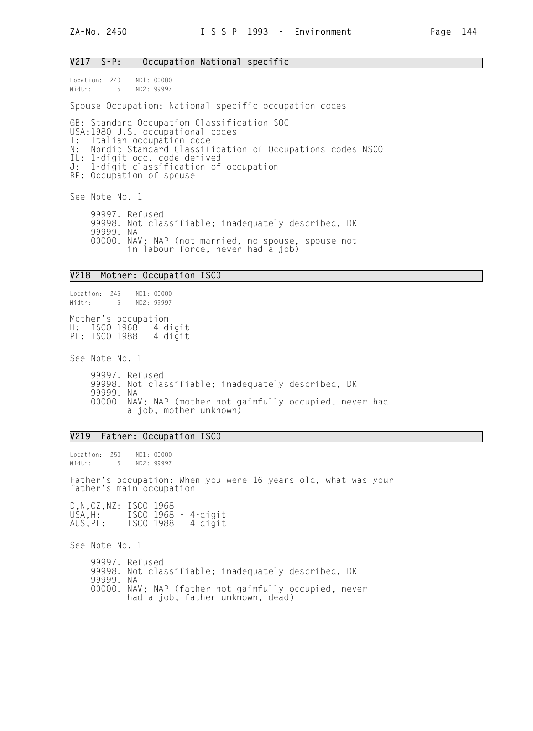#### V217 S-P: Occupation National specific

Location: 240 MD1: 00000 Width: 5 MD2: 99997

Spouse Occupation: National specific occupation codes

GB: Standard Occupation Classification SOC USA:1980 U.S. occupational codes<br>I: Italian occupation code Italian occupation code N: Nordic Standard Classification of Occupations codes NSCO IL: 1-digit occ. code derived J: 1-digit classification of occupation RP: Occupation of spouse

See Note No. 1

 99997. Refused 99998. Not classifiable; inadequately described, DK 99999. NA 00000. NAV; NAP (not married, no spouse, spouse not in labour force, never had a job)

#### V218 Mother: Occupation ISCO

Location: 245 MD1: 00000 Width: 5 MD2: 99997 Mother's occupation H: ISCO 1968 - 4-digit PL: ISCO 1988 - 4-digit

See Note No. 1

 99997. Refused 99998. Not classifiable; inadequately described, DK 99999. NA 00000. NAV; NAP (mother not gainfully occupied, never had a job, mother unknown)

#### V219 Father: Occupation ISCO

Location: 250 MD1: 00000 Width: 5 MD2: 99997

Father's occupation: When you were 16 years old, what was your father's main occupation

D, N, CZ, NZ: ISCO 1968<br>USA, H: ISCO 1968 USA, H: ISCO 1968 - 4-digit<br>AUS, PL: ISCO 1988 - 4-digit ISCO 1988 - 4-digit

See Note No. 1

 99997. Refused 99998. Not classifiable; inadequately described, DK 99999. NA 00000. NAV; NAP (father not gainfully occupied, never had a job, father unknown, dead)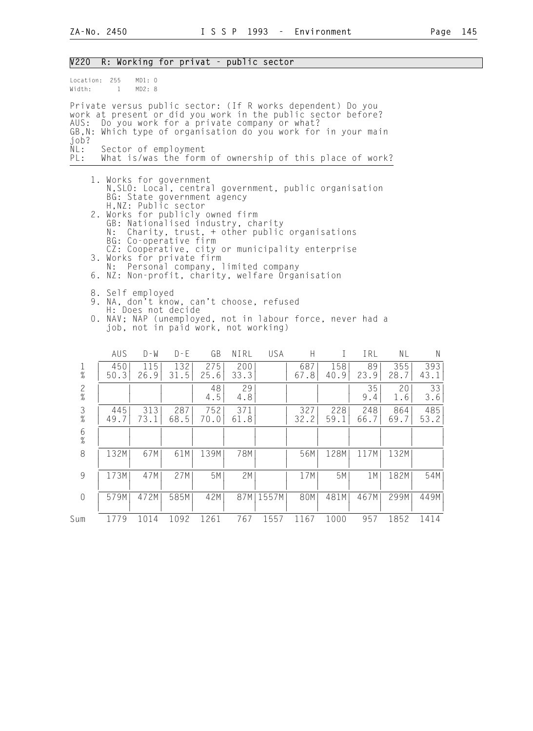| V220                       |             |                  |                                                                                                       |                                                                                                       |             | R: Working for privat - public sector                                                                                                                                                                                                                                                                   |             |              |             |             |             |
|----------------------------|-------------|------------------|-------------------------------------------------------------------------------------------------------|-------------------------------------------------------------------------------------------------------|-------------|---------------------------------------------------------------------------------------------------------------------------------------------------------------------------------------------------------------------------------------------------------------------------------------------------------|-------------|--------------|-------------|-------------|-------------|
| Location: 255<br>Width:    | $\sim$ 1    | MD1: 0<br>MD2: 8 |                                                                                                       |                                                                                                       |             |                                                                                                                                                                                                                                                                                                         |             |              |             |             |             |
| AUS:<br>job?<br>NL:<br>PL: |             |                  | Sector of employment                                                                                  |                                                                                                       |             | Private versus public sector: (If R works dependent) Do you<br>work at present or did you work in the public sector before?<br>Do you work for a private company or what?<br>GB, N: Which type of organisation do you work for in your main<br>What is/was the form of ownership of this place of work? |             |              |             |             |             |
|                            | N:<br>N :   |                  | 1. Works for government<br>H, NZ: Public sector<br>BG: Co-operative firm<br>3. Works for private firm | BG: State government agency<br>2. Works for publicly owned firm<br>GB: Nationalised industry, charity |             | N, SLO: Local, central government, public organisation<br>Charity, trust, + other public organisations<br>CZ: Cooperative, city or municipality enterprise<br>Personal company, limited company<br>6. NZ: Non-profit, charity, welfare Organisation                                                     |             |              |             |             |             |
|                            |             | 8. Self employed | H: Does not decide                                                                                    |                                                                                                       |             | 9. NA, don't know, can't choose, refused<br>0. NAV; NAP (unemployed, not in labour force, never had a<br>job, not in paid work, not working)                                                                                                                                                            |             |              |             |             |             |
|                            | AUS         | $D - W$          | $D - E$                                                                                               | GB                                                                                                    | NIRL        | <b>USA</b>                                                                                                                                                                                                                                                                                              | H           | $\mathbf{I}$ | IRL         | NL          | N.          |
| $\mathbf{1}$<br>$\%$       | 450<br>50.3 | 115<br>26.9      | 132<br>31.5                                                                                           | 275<br>25.6                                                                                           | 200<br>33.3 |                                                                                                                                                                                                                                                                                                         | 687<br>67.8 | 158<br>40.9  | 89<br>23.9  | 355<br>28.7 | 393<br>43.1 |
| $\frac{2}{\%}$             |             |                  |                                                                                                       | 48<br>4.5                                                                                             | 29<br>4.8   |                                                                                                                                                                                                                                                                                                         |             |              | 35<br>9.4   | 20<br>1.6   | 33<br>3.6   |
| $\frac{3}{\%}$             | 445<br>49.7 | 313<br>73.1      | 287<br>68.5                                                                                           | 752<br>70.0                                                                                           | 371<br>61.8 |                                                                                                                                                                                                                                                                                                         | 327<br>32.2 | 228<br>59.1  | 248<br>66.7 | 864<br>69.7 | 485<br>53.2 |
| $6\,$<br>$\%$              |             |                  |                                                                                                       |                                                                                                       |             |                                                                                                                                                                                                                                                                                                         |             |              |             |             |             |
| 8                          | 132M        | 67M              | 61M                                                                                                   | 139M                                                                                                  | 78M         |                                                                                                                                                                                                                                                                                                         | 56M         | 128M         | 117M        | 132M        |             |
| $\,9$                      | 173M        | 47M              | 27M                                                                                                   | 5M                                                                                                    | 2M          |                                                                                                                                                                                                                                                                                                         | 17M         | 5M           | 1 M         | 182M        | 54M         |
| $\,0\,$                    | 579M        | 472M             | 585M                                                                                                  | 42M                                                                                                   |             | 87M   1557M                                                                                                                                                                                                                                                                                             | 80M         | 481M         | 467M        | 299M        | 449M        |
| Sum                        | 1779        | 1014             | 1092                                                                                                  | 1261                                                                                                  | 767         | 1557                                                                                                                                                                                                                                                                                                    | 1167        | 1000         | 957         | 1852        | 1414        |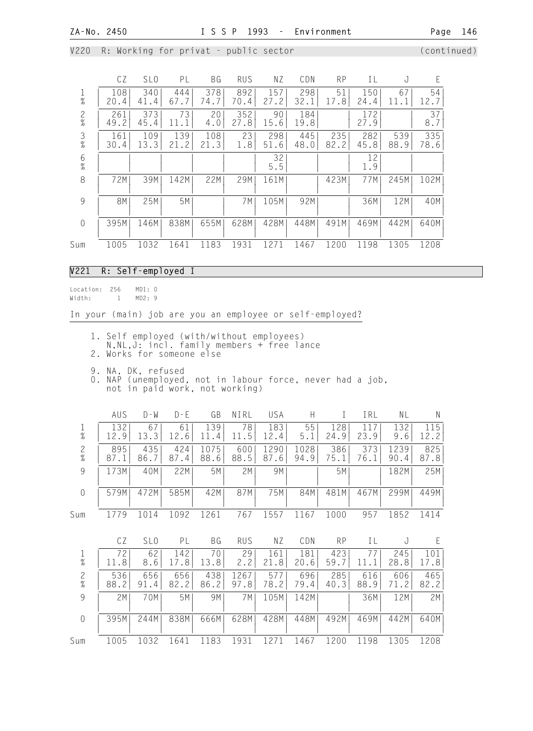V220 R: Working for privat - public sector (continued)

|                                       | CZ          | SL <sub>0</sub> | PL              | ВG          | <b>RUS</b>  | NZ.         | CDN         | <b>RP</b>      | ΙL          | J           | F           |
|---------------------------------------|-------------|-----------------|-----------------|-------------|-------------|-------------|-------------|----------------|-------------|-------------|-------------|
| $\frac{1}{\%}$                        | 108<br>20.4 | 340<br>41.4     | 444<br>67.7     | 378<br>74.7 | 892<br>70.4 | 157<br>27.2 | 298<br>32.1 | 51<br>.8<br>17 | 150<br>24.4 | 67<br>11    | 54<br>12.7  |
| $\frac{2}{\%}$                        | 261<br>49.2 | 373<br>45.4     | 73<br>11        | 20<br>4.0   | 352<br>27.8 | 90<br>15.6  | 184<br>19.8 |                | 172<br>27.9 |             | 37<br>8.7   |
| $\frac{3}{8}$                         | 161<br>30.4 | 109<br>13.3     | 139<br>2<br>21. | 108<br>21.3 | 23<br>1.8   | 298<br>51.6 | 445<br>48.0 | 235<br>82.2    | 282<br>45.8 | 539<br>88.9 | 335<br>78.6 |
| $\begin{array}{c} 6 \\ 9 \end{array}$ |             |                 |                 |             |             | 32<br>5.5   |             |                | 12<br>1.9   |             |             |
| 8                                     | 72M         | 39M             | 142M            | 22M         | 29M         | 161M        |             | 423M           | 77M         | 245M        | 102M        |
| 9                                     | <b>8M</b>   | 25M             | 5M              |             | 7 M         | 105M        | 92M         |                | 36M         | 12M         | 40M         |
| $\overline{0}$                        | 395M        | 146M            | 838M            | 655M        | 628M        | 428M        | 448M        | 491M           | 469M        | 442M        | 640M        |
| Sum                                   | 1005        | 1032            | 1641            | 1183        | 1931        | 1271        | 1467        | 1200           | 1198        | 1305        | 1208        |

#### V221 R: Self-employed I

Location: 256 MD1: 0<br>Width: 1 MD2: 9  $Width: 1$ 

In your (main) job are you an employee or self-employed?

1. Self employed (with/without employees)

N,NL,J: incl. family members + free lance

2. Works for someone else

9. NA, DK, refused

 0. NAP (unemployed, not in labour force, never had a job, not in paid work, not working)

|                        | AUS         | $D - W$     | $  \cdot  $ | GB              | NIRL        | USA          |             |             | Irl        | ΝL           | Ν           |
|------------------------|-------------|-------------|-------------|-----------------|-------------|--------------|-------------|-------------|------------|--------------|-------------|
| $\%$                   | 132<br>12.9 | 67<br>13.3  | 61<br>12.6  | 139<br>11.<br>4 | 78<br>11.5  | 183<br>12.4  | 55<br>5.1   | 128<br>24.9 | 11<br>23.9 | 132<br>9.6   | 115<br>12.2 |
| $\overline{c}$<br>$\%$ | 895<br>87.1 | 435<br>86.7 | 424<br>87.4 | ' 5<br>88.6     | 600<br>88.5 | 1290<br>87.6 | 028<br>94.9 | 386<br>75.1 | 37<br>76   | L239<br>90.4 | 825<br>87.8 |
| 9                      | 173M        | 40M         | 22M         | 5M              | 2M          | 9M           |             | 5M          |            | 182M         | 25M         |
| $\left( \right)$       | 579M        | 472M        | 585M        | 42M             | 87M         | 75M          | 84M         | 481M        | 467M       | 299M         | 449M        |
| Sum                    |             |             | 1092        | 1261            | 767         | 1557         | 1167        | 1000        | 957        | 1852         | 1414        |

|                | CΖ          | SLO                    | РL          | ВG          | RUS          | ΝZ          | CDN         | <b>RP</b>    | TΙ          |             |             |
|----------------|-------------|------------------------|-------------|-------------|--------------|-------------|-------------|--------------|-------------|-------------|-------------|
| $\frac{1}{\%}$ | 72<br>11.8  | 62<br>8.6 <sup>1</sup> | 142<br>17.8 | 70<br>13.8  | 29<br>2.2    | 161<br>21.8 | 181<br>20.6 | 4231<br>59.7 | 11.1        | 245<br>28.8 | 101<br>17.8 |
| 2<br>$\%$      | 536<br>88.2 | 656<br>91.4            | 656<br>82.2 | 438<br>86.2 | 1267<br>97.8 | 577<br>78.2 | 696<br>79.4 | 285<br>40.3  | 616<br>88.9 | 606<br>71.2 | 465<br>82.2 |
| 9              | 2M          | 70M                    | 5M          | 9M          | 7 M          | 105M        | 142M        |              | 36M         | 12M         | 2M          |
| $\left($       | 395M        | 244MI                  | 838M        | 666M        | 628M         | 428M        | 448M        | 492M         | 469M        | 442M        | 640M        |
| Sum            | 1005        | 032                    | 1641        | 1183        | 1931         |             | 467         | 1200         | 98<br>11    | 1305        | 1208        |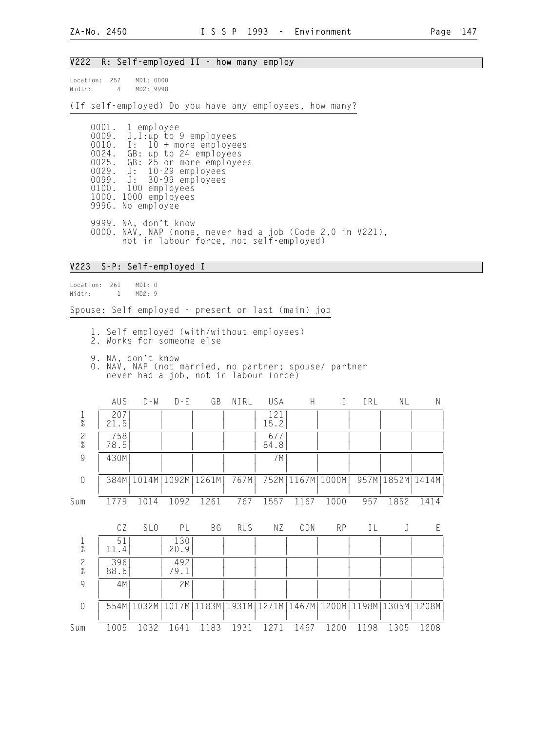#### V222 R: Self-employed II - how many employ

Location: 257 MD1: 0000 Width: 4 MD2: 9998

(If self-employed) Do you have any employees, how many?

 0001. 1 employee 0009. J,I:up to 9 employees 0010. I: 10 + more employees 0024. GB: up to 24 employees 0025. GB: 25 or more employees 0029. J: 10-29 employees 0099. J: 30-99 employees 0100. 100 employees 1000. 1000 employees 9996. No employee 9999. NA, don't know 0000. NAV, NAP (none, never had a job (Code 2,0 in V221), not in labour force, not self-employed)

#### V223 S-P: Self-employed I

Location: 261 MD1: 0 Width: 1 MD2: 9

Spouse: Self employed - present or last (main) job

- 1. Self employed (with/without employees)
- 2. Works for someone else
- 9. NA, don't know
- 0. NAV, NAP (not married, no partner; spouse/ partner never had a job, not in labour force)

|                | AUS         | $D - W$                      | $D - E$     | GB                                           | NIRL       | USA         | H    |                                       | IRL  | NL            | N    |
|----------------|-------------|------------------------------|-------------|----------------------------------------------|------------|-------------|------|---------------------------------------|------|---------------|------|
| $\frac{1}{\%}$ | 207<br>21.5 |                              |             |                                              |            | 121<br>15.2 |      |                                       |      |               |      |
| $\frac{2}{\%}$ | 758<br>78.5 |                              |             |                                              |            | 677<br>84.8 |      |                                       |      |               |      |
| 9              | 430M        |                              |             |                                              |            | 7 M         |      |                                       |      |               |      |
| $\mathbf 0$    |             | 384M   1014M   1092M   1261M |             |                                              | 767M       | 752M        |      | 1167M   1000M                         | 957M | 1852M   1414M |      |
| Sum            | 1779        | 1014                         | 1092        | 1261                                         | 767        | 1557        | 1167 | 1000                                  | 957  | 1852          | 1414 |
|                | CZ          | SL <sub>0</sub>              | PL          | BG                                           | <b>RUS</b> | ΝZ          | CDN  | <b>RP</b>                             | IL   | J             | E    |
| $\frac{1}{\%}$ | 51<br>11.4  |                              | 130<br>20.9 |                                              |            |             |      |                                       |      |               |      |
| $\frac{2}{\%}$ | 396<br>88.6 |                              | 492<br>79.1 |                                              |            |             |      |                                       |      |               |      |
| 9              | 4M          |                              | 2M          |                                              |            |             |      |                                       |      |               |      |
| $\sqrt{a}$     |             |                              |             | 554M   1032M   1017M   1183M   1931M   1271M |            |             |      | 1467M   1200M   1198M   1305M   1208M |      |               |      |

Sum 1005 1032 1641 1183 1931 1271 1467 1200 1198 1305 1208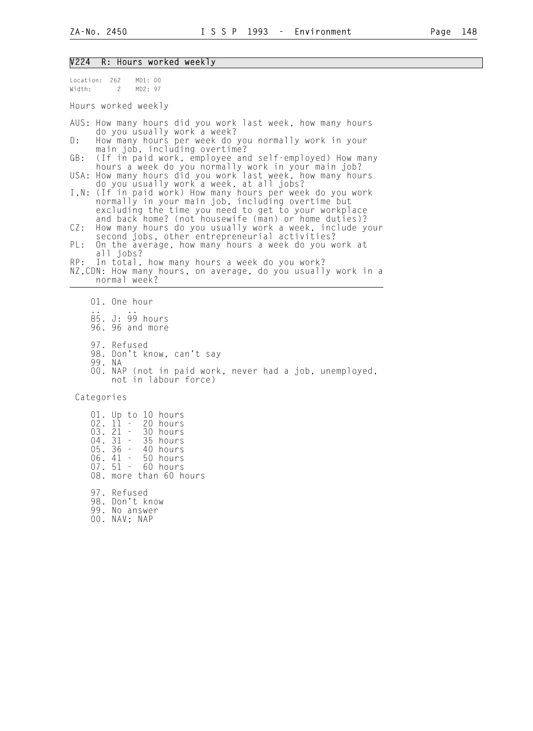#### V224 R: Hours worked weekly

Location: 262 MD1: 00 Width: 2 MD2: 97 Hours worked weekly AUS: How many hours did you work last week, how many hours do you usually work a week?<br>D: How many hours per week do How many hours per week do you normally work in your main job, including overtime?<br>GB: (If in paid work, employee an (If in paid work, employee and self-employed) How many hours a week do you normally work in your main job? USA: How many hours did you work last week, how many hours do you usually work a week, at all jobs? I,N: (If in paid work) How many hours per week do you work normally in your main job, including overtime but excluding the time you need to get to your workplace and back home? (not housewife (man) or home duties)? CZ: How many hours do you usually work a week, include your second jobs, other entrepreneurial activities?<br>PL: On the average, how many hours a week do you w On the average, how many hours a week do you work at all jobs? RP: In total, how many hours a week do you work? NZ,CDN: How many hours, on average, do you usually work in a normal week? 01. One hour .. .. 85. J: 99 hours 96. 96 and more 97. Refused 98. Don't know, can't say 99. NA 00. NAP (not in paid work, never had a job, unemployed,

not in labour force)

Categories

 01. Up to 10 hours 02. 11 - 20 hours 03. 21 - 30 hours<br>04. 31 - 35 hours 04. 31 - 35 hours<br>05. 36 - 40 hours 05. 36 - 40 hours<br>06. 41 - 50 hours 06. 41 - 50 hours 07. 51 - 60 hours 08. more than 60 hours 97. Refused

 98. Don't know 99. No answer 00. NAV; NAP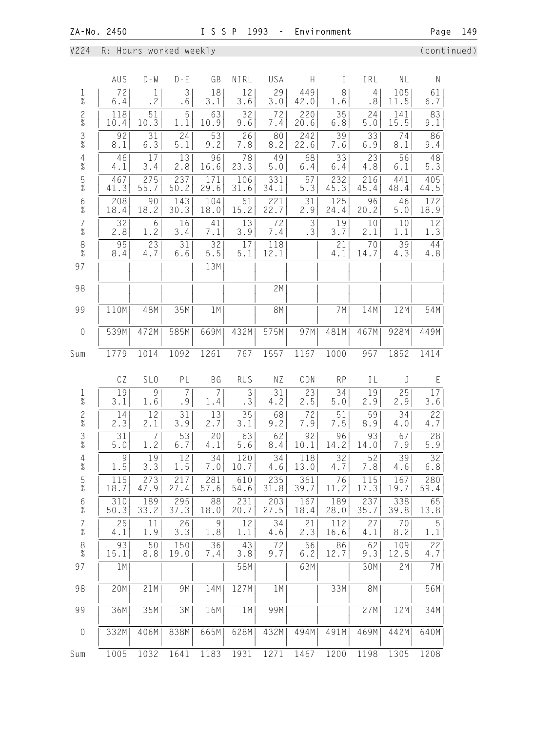# V224 R: Hours worked weekly (continued)

|                                            | AUS           | $D - W$         | $D - E$     | GB                    | NIRL                 | USA         | H                    | $\mathbf I$             | IRL         | NL          | N                      |
|--------------------------------------------|---------------|-----------------|-------------|-----------------------|----------------------|-------------|----------------------|-------------------------|-------------|-------------|------------------------|
| $\frac{1}{\%}$                             | 72<br>6.4     | 1<br>.2         | 3<br>.6     | 18<br>3.1             | 12<br>3.6            | 29<br>3.0   | 449<br>42.0          | 8<br>1.6                | 4<br>.8     | 105<br>11.5 | 61<br>6.7              |
| $\frac{2}{\%}$                             | 118<br>10.4   | 51<br>10.3      | 5<br>1.1    | 63<br>10.9            | 32<br>9.6            | 72<br>7.4   | 220<br>20.6          | 35<br>$6.8\,$           | 24<br>5.0   | 141<br>15.5 | 83<br>9.1              |
| $\frac{3}{8}$                              | 92<br>8.1     | 31<br>6.3       | 24<br>5.1   | 53<br>9.2             | 26<br>7.8            | 80<br>8.2   | 242<br>22.6          | 39<br>7.6               | 33<br>6.9   | 74<br>8.1   | 86<br>9.4              |
| $\frac{4}{\%}$                             | 46<br>4.1     | 17<br>3.4       | 13<br>2.8   | 96<br>16.6            | 78<br>23.3           | 49<br>5.0   | 68<br>6.4            | 33<br>6.4               | 23<br>4.8   | 56<br>6.1   | 48<br>5.3              |
| $\frac{5}{\%}$                             | 467<br>41.3   | 275<br>55.7     | 237<br>50.2 | 171<br>29.6           | 106<br>$31.6\,$      | 331<br>34.1 | 57<br>5.3            | 232<br>45.3             | 216<br>45.4 | 441<br>48.4 | 405<br>44.5            |
| $6\%$                                      | 208<br>18.4   | 90<br>18.2      | 143<br>30.3 | 104<br>18.0           | 51<br>15.2           | 221<br>22.7 | 31<br>2.9            | 125<br>24.4             | 96<br>20.2  | 46<br>5.0   | 172<br>18.9            |
| $\begin{array}{c} 7 \\ \% \end{array}$     | 32<br>2.8     | 6<br>1.2        | 16<br>3.4   | 41<br>7.1             | 13<br>3.9            | 72<br>7.4   | $\mathfrak{Z}$<br>.3 | 19<br>3.7               | 10<br>2.1   | $10$<br>1.1 | 12<br>1.3              |
| $\frac{8}{\%}$                             | 95<br>8.4     | 23<br>4.7       | 31<br>6.6   | 32<br>$5.5\,$         | 17<br>5.1            | 118<br>12.1 |                      | 21<br>4.1               | 70<br>14.7  | 39<br>4.3   | 44<br>4.8              |
| 97                                         |               |                 |             | 13M                   |                      |             |                      |                         |             |             |                        |
| 98                                         |               |                 |             |                       |                      | 2M          |                      |                         |             |             |                        |
| 99                                         | 110M          | 48M             | 35M         | 1M                    |                      | 8M          |                      | 7M                      | 14M         | 12M         | 54M                    |
| $\mathbf 0$                                | 539M          | 472M            | 585M        | 669M                  | 432M                 | 575M        | 97M                  | 481M                    | 467M        | 928M        | 449M                   |
| Sum                                        | 1779          | 1014            | 1092        | 1261                  | 767                  | 1557        | 1167                 | 1000                    | 957         | 1852        | 1414                   |
|                                            | CZ            | SL <sub>0</sub> | PL          | <b>BG</b>             | <b>RUS</b>           | ΝZ          | CDN                  | <b>RP</b>               | IL          | J           | E                      |
| $\frac{1}{\%}$                             | 19<br>3.1     | 9<br>1.6        | 7<br>.9     | $\overline{7}$<br>1.4 | $\mathfrak{Z}$<br>.3 | 31<br>4.2   | 23<br>2.5            | $\overline{34}$<br>5.0  | 19<br>2.9   | 25<br>2.9   | 17<br>3.6              |
| $\frac{2}{\%}$                             | 14<br>2.3     | 12<br>2.1       | 31<br>3.9   | 13<br>2.7             | 35<br>3.1            | 68<br>9.2   | 72<br>7.9            | 51<br>7.5               | 59<br>8.9   | 34<br>4.0   | 22<br>4.7              |
| $\frac{3}{\%}$                             | 31<br>$5.0\,$ | 7<br>1.2        | 53<br>6.7   | 20                    | 63                   | 62          | 92                   | 96                      | 93          | 67          | 28                     |
| $\overline{4}$<br>$\%$                     | 9             |                 |             | 4.1                   | 5.6                  | 8.4         | 10.1                 | 14.2                    | 14.0        | 7.9         | 5.9                    |
| $\frac{5}{\%}$                             | 1.5           | 19<br>3.3       | 12<br>1.5   | 34<br>$7 \, . \, 0$   | 120<br>10.7          | 34<br>4.6   | 118<br>13.0          | $\overline{3}$ 2<br>4.7 | 52<br>7.8   | 39<br>4.6   | $\overline{32}$<br>6.8 |
|                                            | 115<br>18.7   | 273<br>47.9     | 217<br>27.4 | 281<br>57.6           | 610<br>54.6          | 235<br>31.8 | 361<br>39.7          | 76<br>11.2              | 115<br>17.3 | 167<br>19.7 | 280<br>59.4            |
| $6\%$                                      | 310<br>50.3   | 189<br>33.2     | 295<br>37.3 | 88<br>18.0            | 231<br>20.7          | 203<br>27.5 | 167<br>18.4          | 189<br>28.0             | 237<br>35.7 | 338<br>39.8 | 65<br>13.8             |
| $\begin{array}{c} 7 \\ \gamma \end{array}$ | 25<br>4.1     | 11<br>1.9       | 26<br>3.3   | 9<br>1.8              | 12<br>1.1            | 34<br>4.6   | 21<br>2.3            | 112<br>16.6             | 27<br>4.1   | 70<br>8.2   | 5<br>1.1               |
| $\,8\,$<br>$\%$                            | 93<br>15.1    | 50<br>8.8       | 150<br>19.0 | 36<br>7.4             | 43<br>3.8            | 72<br>9.7   | 56<br>6.2            | 86<br>12.7              | 62<br>9.3   | 109<br>12.8 | 22<br>4.7              |
| 97                                         | 1 M           |                 |             |                       | 58M                  |             | 63M                  |                         | 30M         | 2M          | 7M                     |
| 98                                         | 20M           | 21M             | 9M          | 14M                   | 127M                 | 1 M         |                      | 33M                     | <b>8M</b>   |             | 56M                    |
| 99                                         | 36M           | 35M             | 3M          | 16M                   | 1M                   | 99M         |                      |                         | 27M         | 12M         | 34M                    |
| $\theta$                                   | 332M          | 406M            | 838M        | 665M                  | 628M                 | 432M        | 494M                 | 491M                    | 469M        | 442M        | 640M                   |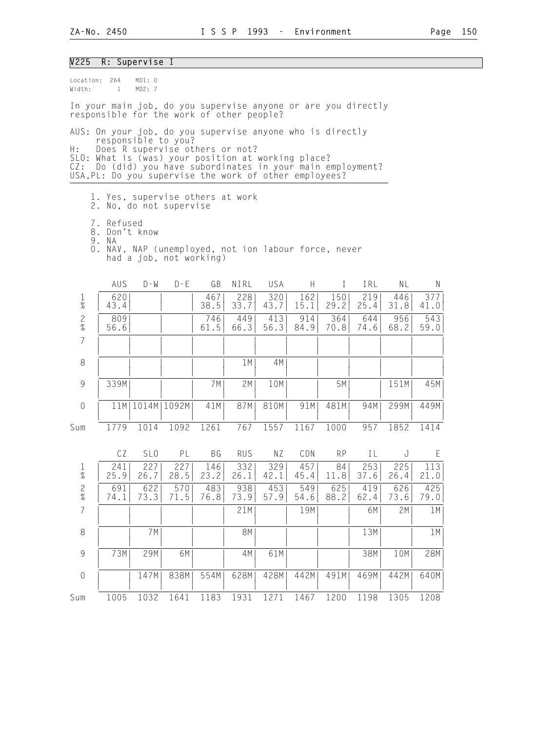| V225                    |                                                                                                                                                                                                                                   | R: Supervise I      |                         |             |             |             |             |             |             |             |             |  |
|-------------------------|-----------------------------------------------------------------------------------------------------------------------------------------------------------------------------------------------------------------------------------|---------------------|-------------------------|-------------|-------------|-------------|-------------|-------------|-------------|-------------|-------------|--|
| Location: 264<br>Width: | $\mathbf{1}$                                                                                                                                                                                                                      | MD1: 0<br>MD2:7     |                         |             |             |             |             |             |             |             |             |  |
|                         | In your main job, do you supervise anyone or are you directly<br>responsible for the work of other people?                                                                                                                        |                     |                         |             |             |             |             |             |             |             |             |  |
|                         | AUS: On your job, do you supervise anyone who is directly                                                                                                                                                                         |                     |                         |             |             |             |             |             |             |             |             |  |
| Η:<br>CZ:               | responsible to you?<br>Does R supervise others or not?<br>SLO: What is (was) your position at working place?<br>Do (did) you have subordinates in your main employment?<br>USA, PL: Do you supervise the work of other employees? |                     |                         |             |             |             |             |             |             |             |             |  |
|                         | 1. Yes, supervise others at work<br>2. No, do not supervise                                                                                                                                                                       |                     |                         |             |             |             |             |             |             |             |             |  |
|                         | 7. Refused<br>8. Don't know<br>9. NA                                                                                                                                                                                              |                     |                         |             |             |             |             |             |             |             |             |  |
|                         | 0. NAV, NAP (unemployed, not ion labour force, never                                                                                                                                                                              |                     | had a job, not working) |             |             |             |             |             |             |             |             |  |
|                         | AUS                                                                                                                                                                                                                               | $D - W$             | $D - E$                 | GB          | NIRL        | USA         | H.          | $\bf{I}$    | IRL         | NL          | N           |  |
| $\mathbf{1}$<br>$\%$    | 620<br>43.4                                                                                                                                                                                                                       |                     |                         | 467<br>38.5 | 228<br>33.7 | 320<br>43.7 | 162<br>15.1 | 150<br>29.2 | 219<br>25.4 | 446<br>31.8 | 377<br>41.0 |  |
| $\frac{2}{\%}$          | 809<br>56.6                                                                                                                                                                                                                       |                     |                         | 746<br>61.5 | 449<br>66.3 | 413<br>56.3 | 914<br>84.9 | 364<br>70.8 | 644<br>74.6 | 956<br>68.2 | 543<br>59.0 |  |
| $\overline{7}$          |                                                                                                                                                                                                                                   |                     |                         |             |             |             |             |             |             |             |             |  |
| 8                       |                                                                                                                                                                                                                                   |                     |                         |             | 1 M         | 4M          |             |             |             |             |             |  |
| 9                       | 339M                                                                                                                                                                                                                              |                     |                         | 7M          | 2M          | 10M         |             | 5M          |             | 151M        | 45M         |  |
| $\theta$                |                                                                                                                                                                                                                                   | 11M   1014M   1092M |                         | 41M         | 87M         | 810M        | 91M         | 481M        | 94M         | 299M        | 449M        |  |
| Sum                     | 1779                                                                                                                                                                                                                              | 1014                | 1092                    | 1261        | 767         | 1557        | 1167        | 1000        | 957         | 1852        | 1414        |  |
|                         | CZ                                                                                                                                                                                                                                | SL <sub>0</sub>     | PL                      | BG          | <b>RUS</b>  | NZ          | CDN         | <b>RP</b>   | IL          | J           | E           |  |
| $\mathbf 1$<br>$\%$     | 241<br>25.9                                                                                                                                                                                                                       | 227<br>26.7         | 227<br>28.5             | 146<br>23.2 | 332<br>26.1 | 329<br>42.1 | 457<br>45.4 | 84<br>11.8  | 253<br>37.6 | 225<br>26.4 | 113<br>21.0 |  |
| $\frac{2}{\%}$          | 691<br>74.1                                                                                                                                                                                                                       | 622<br>73.3         | 570<br>71.5             | 483<br>76.8 | 938<br>73.9 | 453<br>57.9 | 549<br>54.6 | 625<br>88.2 | 419<br>62.4 | 626<br>73.6 | 425<br>79.0 |  |
| $\overline{7}$          |                                                                                                                                                                                                                                   |                     |                         |             | 21M         |             | 19M         |             | 6M          | 2M          | 1M          |  |
| 8                       |                                                                                                                                                                                                                                   | 7 M                 |                         |             | 8M          |             |             |             | 13M         |             | 1M          |  |
| $\mathcal G$            | 73M                                                                                                                                                                                                                               | 29M                 | 6M                      |             | 4M          | 61M         |             |             | 38M         | 10M         | 28M         |  |
| $\mathbf 0$             |                                                                                                                                                                                                                                   | 147M                | 838M                    | 554M        | 628M        | 428M        | 442M        | 491M        | 469M        | 442M        | 640M        |  |
| Sum                     | 1005                                                                                                                                                                                                                              | 1032                | 1641                    | 1183        | 1931        | 1271        | 1467        | 1200        | 1198        | 1305        | 1208        |  |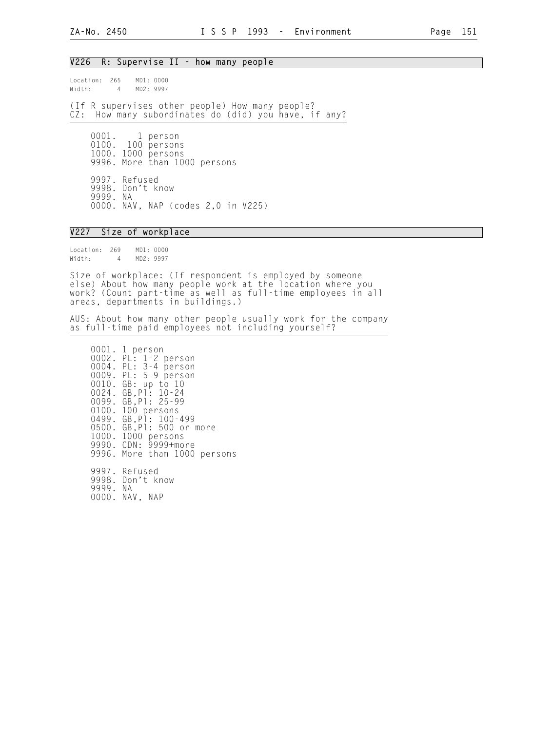#### V226 R: Supervise II - how many people

Location: 265 MD1: 0000<br>Width: 4 MD2: 9997 4 MD2: 9997

(If R supervises other people) How many people? CZ: How many subordinates do (did) you have, if any?

 0001. 1 person 0100. 100 persons 1000. 1000 persons 9996. More than 1000 persons 9997. Refused 9998. Don't know 9999. NA 0000. NAV, NAP (codes 2,0 in V225)

## V227 Size of workplace

Location: 269 MD1: 0000 Width: 4 MD2: 9997

Size of workplace: (If respondent is employed by someone else) About how many people work at the location where you work? (Count part-time as well as full-time employees in all areas, departments in buildings.)

AUS: About how many other people usually work for the company as full-time paid employees not including yourself?

 0001. 1 person 0002. PL: 1-2 person 0004. PL: 3-4 person 0009. PL: 5-9 person 0010. GB: up to 10 0024. GB,Pl: 10-24 0099. GB, P1: 25-99 0100. 100 persons 0499. GB,Pl: 100-499 0500. GB,Pl: 500 or more 1000. 1000 persons 9990. CDN: 9999+more 9996. More than 1000 persons 9997. Refused 9998. Don't know

9999. NA

0000. NAV, NAP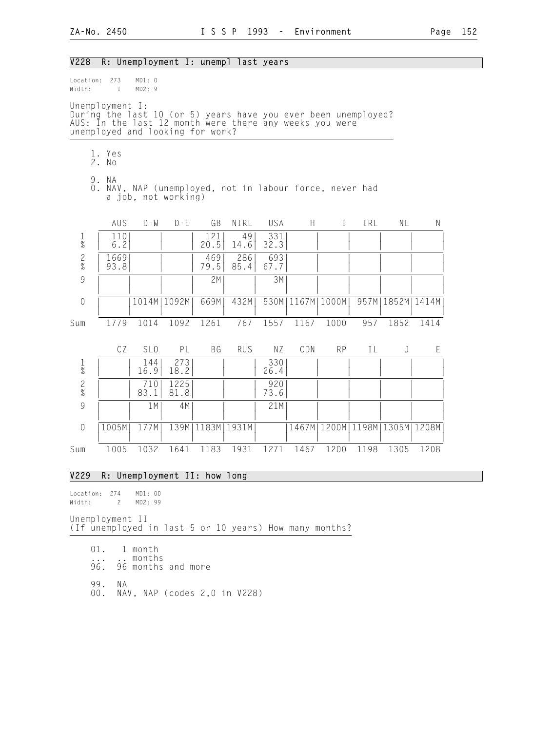| V228                                     |                                                                                                                                                                                  |                     |               |                      | R: Unemployment I: unempl last years                    |             |                      |           |      |                                       |      |
|------------------------------------------|----------------------------------------------------------------------------------------------------------------------------------------------------------------------------------|---------------------|---------------|----------------------|---------------------------------------------------------|-------------|----------------------|-----------|------|---------------------------------------|------|
| Location: 273<br>Width:                  | $\mathbf{1}$                                                                                                                                                                     | MD1: 0<br>MD2: 9    |               |                      |                                                         |             |                      |           |      |                                       |      |
|                                          | Unemployment I:<br>During the last 10 (or 5) years have you ever been unemployed?<br>AUS: In the last 12 month were there any weeks you were<br>unemployed and looking for work? |                     |               |                      |                                                         |             |                      |           |      |                                       |      |
|                                          | 1. Yes<br>2. No                                                                                                                                                                  |                     |               |                      |                                                         |             |                      |           |      |                                       |      |
|                                          | 9. NA                                                                                                                                                                            | a job, not working) |               |                      | 0. NAV, NAP (unemployed, not in labour force, never had |             |                      |           |      |                                       |      |
|                                          | AUS                                                                                                                                                                              | $D - W$             | $D - E$       | GB                   | NIRL                                                    | USA         | H                    | $\bf I$   | IRL  | NL                                    | N    |
| $\mathbf{1}$<br>$\overline{\mathcal{U}}$ | 110<br>6.2                                                                                                                                                                       |                     |               | 121<br>20.5          | 49<br>14.6                                              | 331<br>32.3 |                      |           |      |                                       |      |
| $\mathbf{2}$<br>$\%$                     | 1669<br>93.8                                                                                                                                                                     |                     |               | 469<br>79.5          | 286<br>85.4                                             | 693<br>67.7 |                      |           |      |                                       |      |
| $\overline{9}$                           |                                                                                                                                                                                  |                     |               | 2M                   |                                                         | 3M          |                      |           |      |                                       |      |
| $\sqrt{a}$                               |                                                                                                                                                                                  |                     | 1014M   1092M | 669M                 | 432M                                                    |             | 530M   1167M   1000M |           |      | 957M   1852M   1414M                  |      |
| Sum                                      | 1779                                                                                                                                                                             | 1014                | 1092          | 1261                 | 767                                                     | 1557        | 1167                 | 1000      | 957  | 1852                                  | 1414 |
|                                          | CZ                                                                                                                                                                               | SL <sub>0</sub>     | PL            | <b>BG</b>            | <b>RUS</b>                                              | NZ          | CDN                  | <b>RP</b> | IL   | J                                     | E    |
| $\frac{1}{\%}$                           |                                                                                                                                                                                  | 144<br>16.9         | 273<br>18.2   |                      |                                                         | 330<br>26.4 |                      |           |      |                                       |      |
| $\frac{2}{\%}$                           |                                                                                                                                                                                  | 710<br>83.1         | 1225<br>81.8  |                      |                                                         | 920<br>73.6 |                      |           |      |                                       |      |
| $\overline{9}$                           |                                                                                                                                                                                  | 1 M                 | 4M            |                      |                                                         | 21M         |                      |           |      |                                       |      |
| $\sqrt{a}$                               | 1005M                                                                                                                                                                            | 177M                |               | 139M   1183M   1931M |                                                         |             |                      |           |      | 1467M   1200M   1198M   1305M   1208M |      |
| Sum                                      | 1005                                                                                                                                                                             | 1032                | 1641          | 1183                 | 1931                                                    | 1271        | 1467                 | 1200      | 1198 | 1305                                  | 1208 |
|                                          |                                                                                                                                                                                  |                     |               |                      |                                                         |             |                      |           |      |                                       |      |

#### V229 R: Unemployment II: how long

Location: 274 MD1: 00<br>Width: 2 MD2: 99 Width: 2

Unemployment II (If unemployed in last 5 or 10 years) How many months?

 01. 1 month ... .. months 96. 96 months and more 99. NA 00. NAV, NAP (codes 2,0 in V228)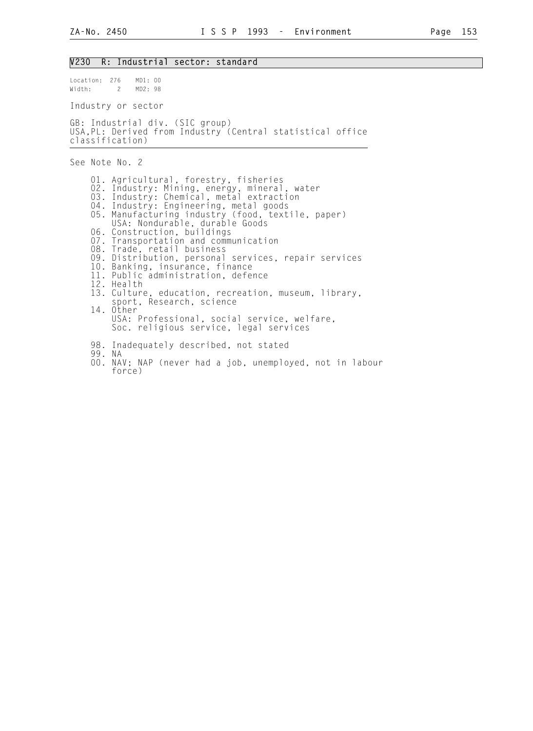#### V230 R: Industrial sector: standard

Width: 2 MD2: 98 Industry or sector

Location: 276 MD1: 00

GB: Industrial div. (SIC group) USA,PL: Derived from Industry (Central statistical office classification)

See Note No. 2

 01. Agricultural, forestry, fisheries 02. Industry: Mining, energy, mineral, water 03. Industry: Chemical, metal extraction 04. Industry: Engineering, metal goods 05. Manufacturing industry (food, textile, paper) USA: Nondurable, durable Goods 06. Construction, buildings 07. Transportation and communication 08. Trade, retail business 09. Distribution, personal services, repair services 10. Banking, insurance, finance 11. Public administration, defence 12. Health 13. Culture, education, recreation, museum, library, sport, Research, science 14. Other USA: Professional, social service, welfare, Soc. religious service, legal services 98. Inadequately described, not stated 99. NA

 00. NAV; NAP (never had a job, unemployed, not in labour force)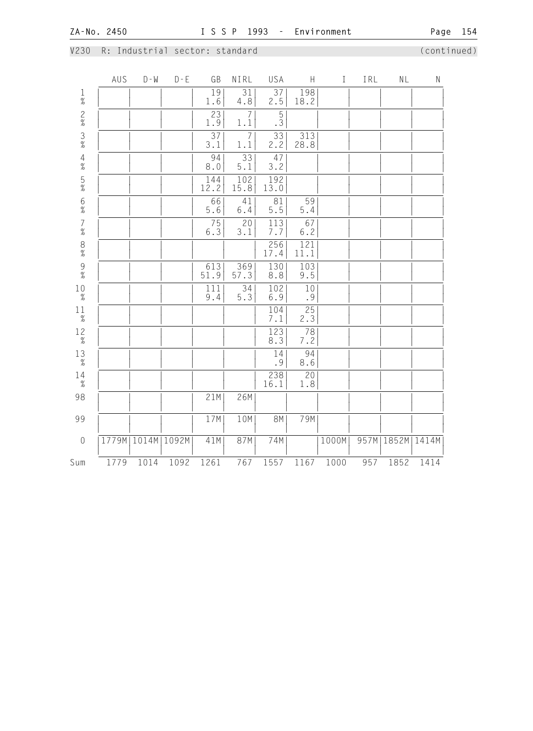## V230 R: Industrial sector: standard (continued)

|                                         | AUS   | $D - M$ | $D - E$ | GB                     | NIRL                   | USA                     | $\mathsf{H}$           | $\mathbf I$ | IRL  | NL    | $\mathsf N$ |
|-----------------------------------------|-------|---------|---------|------------------------|------------------------|-------------------------|------------------------|-------------|------|-------|-------------|
| $\frac{1}{\%}$                          |       |         |         | 19<br>1.6              | 31<br>4.8              | 37<br>2.5               | 198<br>18.2            |             |      |       |             |
| $2%3%$ 4%                               |       |         |         | 23<br>1.9              | 7<br>1.1               | $\overline{5}$<br>.3    |                        |             |      |       |             |
|                                         |       |         |         | $\overline{37}$<br>3.1 | $\overline{7}$<br>1.1  | 33<br>2.2               | 313<br>28.8            |             |      |       |             |
|                                         |       |         |         | 94<br>8.0              | $\overline{33}$<br>5.1 | 47<br>3.2               |                        |             |      |       |             |
| $\frac{5}{\%}$                          |       |         |         | 144<br>12.2            | 102<br>15.8            | 192<br>13.0             |                        |             |      |       |             |
| $6\%$                                   |       |         |         | 66<br>5.6              | 41<br>$6.4\,$          | 81<br>5.5               | 59<br>$5.4\,$          |             |      |       |             |
| $\begin{array}{c} 7 \\ \% \end{array}$  |       |         |         | $\frac{75}{6.3}$       | 20<br>3.1              | $\frac{113}{7.7}$       | 67<br>$6.2\,$          |             |      |       |             |
| $\begin{array}{c} 8 \\  \% \end{array}$ |       |         |         |                        |                        | 256<br>17.4             | 121<br>11.1            |             |      |       |             |
| $\frac{9}{\%}$                          |       |         |         | 613<br>51.9            | 369<br>57.3            | 130<br>8.8              | 103<br>9.5             |             |      |       |             |
| $_{\rm 2}^{10}$                         |       |         |         | 111<br>9.4             | $\overline{34}$<br>5.3 | 102<br>6.9              | $10$<br>.9             |             |      |       |             |
| $1\frac{1}{\%}$                         |       |         |         |                        |                        | 104<br>7.1              | 25<br>2.3              |             |      |       |             |
| $1\frac{2}{\%}$                         |       |         |         |                        |                        | $\overline{123}$<br>8.3 | $\overline{78}$<br>7.2 |             |      |       |             |
| $_{\%}^{13}$                            |       |         |         |                        |                        | 14<br>.9                | 94<br>$8.6\,$          |             |      |       |             |
| $^{14}_{\tiny \%}$                      |       |         |         |                        |                        | 238<br>16.1             | 20<br>1.8              |             |      |       |             |
| 98                                      |       |         |         | 21M                    | 26M                    |                         |                        |             |      |       |             |
| 99                                      |       |         |         | 17M                    | 10M                    | <b>8M</b>               | 79M                    |             |      |       |             |
| $\mathbf 0$                             | 1779M | 1014M   | 1092M   | 41M                    | 87M                    | 74M                     |                        | 1000M       | 957M | 1852M | 1414M       |
| Sum                                     | 1779  | 1014    | 1092    | 1261                   | 767                    | 1557                    | 1167                   | 1000        | 957  | 1852  | 1414        |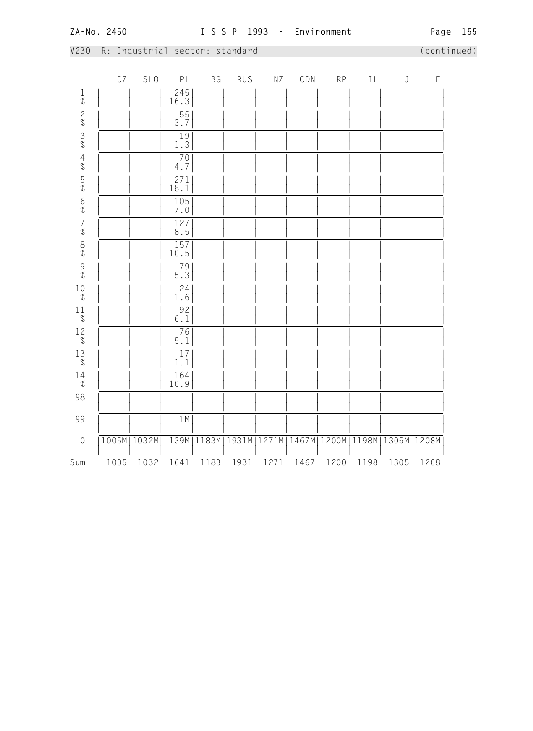## V230 R: Industrial sector: standard (continued)

|                                            | $\mathbb{C}\, \mathbb{Z}$ | SLO   | PL                                   | BG    | <b>RUS</b> | ΝZ    | CDN   | RP    | $\rm L$ | $\bf J$ | $\mathsf E$ |
|--------------------------------------------|---------------------------|-------|--------------------------------------|-------|------------|-------|-------|-------|---------|---------|-------------|
|                                            |                           |       | $\frac{245}{16.3}$                   |       |            |       |       |       |         |         |             |
| $1\%$ 2% 3% 4% 5%                          |                           |       | $\frac{55}{3.7}$                     |       |            |       |       |       |         |         |             |
|                                            |                           |       | $\frac{19}{1.3}$                     |       |            |       |       |       |         |         |             |
|                                            |                           |       | 70<br>$4.7\,$                        |       |            |       |       |       |         |         |             |
|                                            |                           |       | $\frac{271}{18.1}$                   |       |            |       |       |       |         |         |             |
| 6%<br>7%                                   |                           |       | $\frac{105}{7.0}$                    |       |            |       |       |       |         |         |             |
|                                            |                           |       | $\overline{127}$<br>$\overline{8.5}$ |       |            |       |       |       |         |         |             |
| $\begin{array}{c} 8 \\  \% \end{array}$    |                           |       | 157<br>10.5                          |       |            |       |       |       |         |         |             |
| $\begin{array}{c} 9 \\ 2 \\ 0 \end{array}$ |                           |       | $\frac{79}{5.3}$                     |       |            |       |       |       |         |         |             |
| $10\atop \%$                               |                           |       | $\overline{24}$<br>$1\,.6$           |       |            |       |       |       |         |         |             |
| $1\frac{1}{\%}$                            |                           |       | 92<br>$6.1\,$                        |       |            |       |       |       |         |         |             |
| $12\over \%$                               |                           |       | $\frac{76}{5.1}$                     |       |            |       |       |       |         |         |             |
| $_{\rm 2}^{13}$                            |                           |       | $17\,$<br>$1\,.1$                    |       |            |       |       |       |         |         |             |
| $14 \atop \%$                              |                           |       | 164<br>10.9                          |       |            |       |       |       |         |         |             |
| 98                                         |                           |       |                                      |       |            |       |       |       |         |         |             |
| 99                                         |                           |       | 1M                                   |       |            |       |       |       |         |         |             |
| $\mathbf 0$                                | 1005M                     | 1032M | 139M                                 | 1183M | 1931M      | 1271M | 1467M | 1200M | 1198M   | 1305M   | 1208M       |
| Sum                                        | 1005                      | 1032  | 1641                                 | 1183  | 1931       | 1271  | 1467  | 1200  | 1198    | 1305    | 1208        |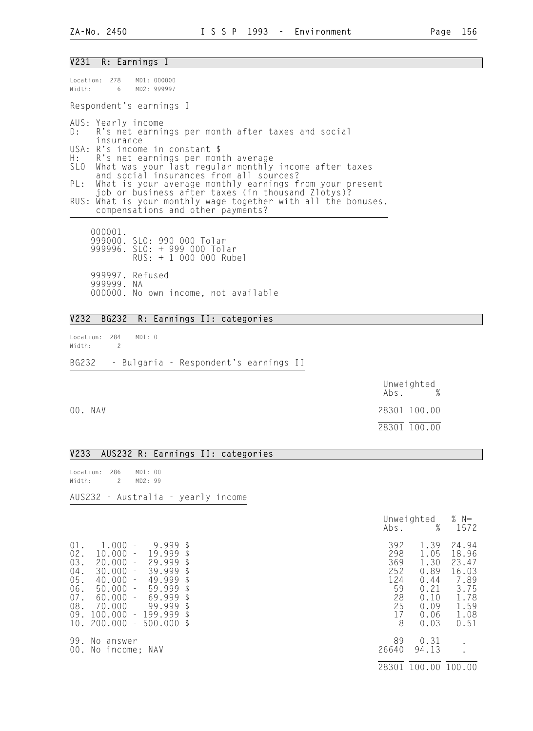#### V231 R: Earnings I

| Location: 278 MD1: 000000<br>Width: 6 MD2: 999997                                                                                                                               |
|---------------------------------------------------------------------------------------------------------------------------------------------------------------------------------|
| Respondent's earnings I                                                                                                                                                         |
| AUS: Yearly income<br>D: R's net earnings per month after taxes and social<br>insurance                                                                                         |
| USA: R's income in constant \$<br>H: R's net earnings per month average<br>SLO What was your last regular monthly income after taxes<br>and social insurances from all sources? |
| PL: What is your average monthly earnings from your present<br>job or business after taxes (in thousand Zlotys)?                                                                |
| RUS: What is your monthly wage together with all the bonuses,<br>compensations and other payments?                                                                              |
| 000001.<br>999000. SLO: 990 000 Tolar                                                                                                                                           |

 999996. SLO: + 999 000 Tolar RUS: + 1 000 000 Rubel 999997. Refused 999999. NA 000000. No own income, not available

## V232 BG232 R: Earnings II: categories

Location: 284 MD1: 0 Width: 2 BG232 - Bulgaria - Respondent's earnings II

|         | Unweighted<br>Abs. % |
|---------|----------------------|
| 00. NAV | 28301 100.00         |
|         | 28301 100.00         |

#### V233 AUS232 R: Earnings II: categories

Location: 286 MD1: 00 Width: 2 MD2: 99

AUS232 - Australia - yearly income

| $01$ .<br>02.<br>03.<br>$04$ .<br>05.<br>06.<br>07.<br>08.<br>09. | 1.000<br>$\overline{\phantom{a}}$<br>10.000<br>$\sim$<br>20.000<br>$\overline{\phantom{a}}$<br>30.000<br>$\equiv$<br>40.000<br>$\sim$<br>50.000<br>$\sim$<br>$60.000 -$<br>70.000<br>$\pm$<br>100.000<br>10. 200.000 | 9.999<br>19.999<br>29.999<br>39.999<br>49.999<br>$59.999$ \$<br>69.999<br>99.999<br>$-199.999$ \$<br>$-500.000$ \$ | $\mathcal{L}$<br>$\mathfrak{L}$ | 392<br>298<br>369<br>252<br>124<br>59<br>28<br>25<br>17<br>8 | 1.39<br>1.05<br>1.30<br>0.89<br>0.44<br>0.21<br>0.10<br>0.09<br>0.06<br>0.03 | 24.94<br>18.96<br>23.47<br>16.03<br>7.89<br>3.75<br>1.78<br>1.59<br>1.08<br>0.51 |
|-------------------------------------------------------------------|----------------------------------------------------------------------------------------------------------------------------------------------------------------------------------------------------------------------|--------------------------------------------------------------------------------------------------------------------|---------------------------------|--------------------------------------------------------------|------------------------------------------------------------------------------|----------------------------------------------------------------------------------|
| 99.<br>00.                                                        | No answer<br>No income: NAV                                                                                                                                                                                          |                                                                                                                    |                                 | 89<br>26640                                                  | 0.31<br>94.13                                                                |                                                                                  |

|                                                                                                                                                                                                                                                                                                                                                                                                        | Unweighted<br>%<br>Abs.                                                                                                                      | % $N=$<br>1572                                                                   |
|--------------------------------------------------------------------------------------------------------------------------------------------------------------------------------------------------------------------------------------------------------------------------------------------------------------------------------------------------------------------------------------------------------|----------------------------------------------------------------------------------------------------------------------------------------------|----------------------------------------------------------------------------------|
| $01$ .<br>1.000<br>$9.999$ \$<br>$\sim$ $-$<br>02.<br>19.999<br>10.000<br>$\sim$<br>03.<br>20.000<br>29.999<br>$\sim$ $-$<br>$04$ .<br>$30.000 -$<br>39.999<br>05.<br>$40.000 -$<br>49.999<br>06.<br>$50.000 -$<br>59.999<br>07.<br>$60.000 -$<br>69.999<br>£<br>08.<br>$70.000 -$<br>99.999<br>-S<br>09.<br>100.000<br>199.999<br>$\sim$<br><sup>\$</sup><br>10.<br>200.000<br>$500.000$ \$<br>$\sim$ | 392<br>1.39<br>298<br>1.05<br>369<br>1.30<br>252<br>0.89<br>124<br>0.44<br>59<br>0.21<br>28<br>0.10<br>25<br>0.09<br>17<br>0.06<br>8<br>0.03 | 24.94<br>18.96<br>23.47<br>16.03<br>7.89<br>3.75<br>1.78<br>1.59<br>1.08<br>0.51 |
| 99.<br>No answer<br>00.<br>No income; NAV                                                                                                                                                                                                                                                                                                                                                              | 89<br>0.31<br>26640<br>94.13<br>100.00<br>28301                                                                                              | 100.00                                                                           |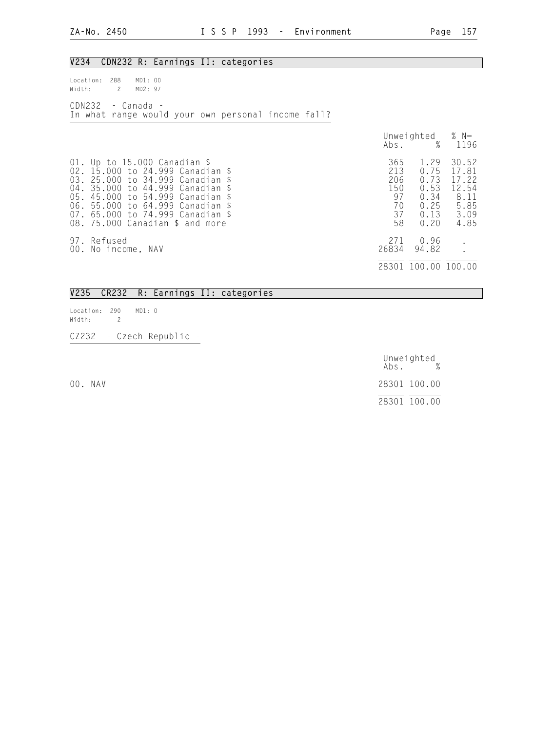| V234<br>CDN232 R: Earnings II: categories                                                                                                                                                                                                                                                 |                                                  |                                                              |                                                                  |
|-------------------------------------------------------------------------------------------------------------------------------------------------------------------------------------------------------------------------------------------------------------------------------------------|--------------------------------------------------|--------------------------------------------------------------|------------------------------------------------------------------|
| 288<br>MD1: 00<br>Location:<br>MD2: 97<br>Width:<br>$\mathbf{2}$                                                                                                                                                                                                                          |                                                  |                                                              |                                                                  |
| CDN232<br>- Canada -<br>In what range would your own personal income fall?                                                                                                                                                                                                                |                                                  |                                                              |                                                                  |
|                                                                                                                                                                                                                                                                                           | Abs.                                             | Unweighted<br>%                                              | % $N=$<br>1196                                                   |
| 01. Up to 15.000 Canadian \$<br>02. 15.000 to 24.999 Canadian \$<br>03. 25.000 to 34.999 Canadian \$<br>04. 35.000 to 44.999 Canadian \$<br>to 54.999 Canadian \$<br>05.45.000<br>06. 55.000 to 64.999 Canadian \$<br>07. 65.000 to 74.999 Canadian \$<br>08. 75.000 Canadian \$ and more | 365<br>213<br>206<br>150<br>97<br>70<br>37<br>58 | 1.29<br>0.75<br>0.73<br>0.53<br>0.34<br>0.25<br>0.13<br>0.20 | 30.52<br>17.81<br>17.22<br>12.54<br>8.11<br>5.85<br>3.09<br>4.85 |
| 97. Refused<br>00. No income, NAV                                                                                                                                                                                                                                                         | 271<br>26834                                     | 0.96<br>94.82                                                |                                                                  |
|                                                                                                                                                                                                                                                                                           |                                                  | 28301 100.00 100.00                                          |                                                                  |

#### V235 CR232 R: Earnings II: categories

Location: 290 MD1: 0<br>Width: 2 Width: 2

CZ232 - Czech Republic -

 Unweighted Abs. % 00. NAV 28301 100.00 28301 100.00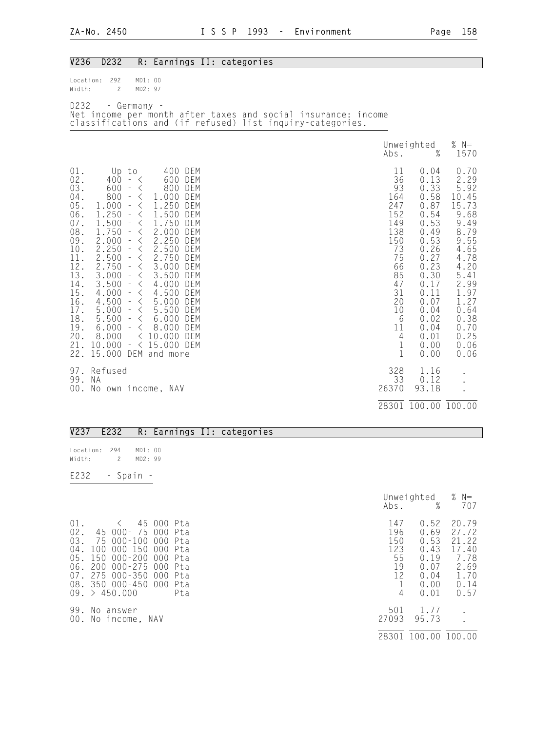| V236                                                                                                                                                      | D232                                                                                                                                                                                 |                                                                                                                                                                                                                                                                                                                                                                                                                                                                                                                             |                                                                                                                                                                                                                                                                                                                                       | R: Earnings II: categories                                                                                                 |                                                                                                                                                           |                                                                                                                                                                              |                                                                                                                                                                                |
|-----------------------------------------------------------------------------------------------------------------------------------------------------------|--------------------------------------------------------------------------------------------------------------------------------------------------------------------------------------|-----------------------------------------------------------------------------------------------------------------------------------------------------------------------------------------------------------------------------------------------------------------------------------------------------------------------------------------------------------------------------------------------------------------------------------------------------------------------------------------------------------------------------|---------------------------------------------------------------------------------------------------------------------------------------------------------------------------------------------------------------------------------------------------------------------------------------------------------------------------------------|----------------------------------------------------------------------------------------------------------------------------|-----------------------------------------------------------------------------------------------------------------------------------------------------------|------------------------------------------------------------------------------------------------------------------------------------------------------------------------------|--------------------------------------------------------------------------------------------------------------------------------------------------------------------------------|
| Location:<br>Width:                                                                                                                                       | 292<br>$\overline{c}$                                                                                                                                                                | MD1: 00<br>MD2: 97                                                                                                                                                                                                                                                                                                                                                                                                                                                                                                          |                                                                                                                                                                                                                                                                                                                                       |                                                                                                                            |                                                                                                                                                           |                                                                                                                                                                              |                                                                                                                                                                                |
| D232                                                                                                                                                      |                                                                                                                                                                                      | - Germany -                                                                                                                                                                                                                                                                                                                                                                                                                                                                                                                 |                                                                                                                                                                                                                                                                                                                                       | Net income per month after taxes and social insurance: income<br>classifications and (if refused) list inquiry-categories. |                                                                                                                                                           |                                                                                                                                                                              |                                                                                                                                                                                |
|                                                                                                                                                           |                                                                                                                                                                                      |                                                                                                                                                                                                                                                                                                                                                                                                                                                                                                                             |                                                                                                                                                                                                                                                                                                                                       |                                                                                                                            | Abs.                                                                                                                                                      | Unweighted<br>$\%$                                                                                                                                                           | % $N=$<br>1570                                                                                                                                                                 |
| 01.<br>02.<br>03.<br>$04$ .<br>05.<br>06.<br>07.<br>08.<br>09.<br>10.<br>11.<br>12.<br>13.<br>14.<br>15.<br>16.<br>17.<br>18.<br>19.<br>20.<br>21.<br>22. | Up to<br>400<br>600<br>800<br>1.000<br>1.250<br>1.500<br>1.750<br>2.000<br>2.250<br>2.500<br>2.750<br>3.000<br>3.500<br>4.000<br>4.500<br>5.000<br>5.500<br>6.000<br>8.000<br>10.000 | $ \lt$<br>$\sim$<br>$\lt$<br>$\sim$<br>$\langle$<br>$\langle$<br>$\pm$<br>$\langle$<br>$\overline{\phantom{a}}$<br>$\, <\,$<br>$\equiv$<br>$\, <\,$<br>$\overline{\phantom{a}}$<br>$\, <\,$<br>$\equiv$<br>$\, \zeta \,$<br>$\overline{\phantom{a}}$<br>$\, \zeta \,$<br>$\pm$<br>$\langle$<br>$\pm$<br>$\overline{\phantom{a}}$<br>$\langle$<br>$\langle$<br>$\bar{\pi}$<br>$\langle$<br>$\sim$<br>$\langle$<br>$\sim$<br>$\lt$<br>$\omega_{\rm c}$<br>$\lt$<br>$\frac{1}{\sqrt{2}}$<br>$\, \zeta \,$<br>$\equiv$<br>$\pm$ | 400 DEM<br>600 DEM<br>800 DEM<br>1.000<br>DEM<br>1.250<br>DEM<br>1.500<br>DEM<br>1.750<br>DEM<br>2.000<br>DEM<br>2.250 DEM<br>2.500 DEM<br>2.750 DEM<br>3.000 DEM<br>3.500 DEM<br>4.000 DEM<br>4.500 DEM<br>5.000 DEM<br>5.500<br>DEM<br>6.000 DEM<br>8.000<br>DEM<br>$\langle$ 10.000 DEM<br>$- < 15.000$ DEM<br>15.000 DEM and more |                                                                                                                            | 11<br>36<br>93<br>164<br>247<br>152<br>149<br>138<br>150<br>73<br>75<br>66<br>85<br>47<br>31<br>20<br>10<br>6<br>11<br>$\overline{4}$<br>$\mathbf 1$<br>1 | 0.04<br>0.13<br>0.33<br>0.58<br>0.87<br>0.54<br>0.53<br>0.49<br>0.53<br>0.26<br>0.27<br>0.23<br>0.30<br>0.17<br>0.11<br>0.07<br>0.04<br>0.02<br>0.04<br>0.01<br>0.00<br>0.00 | 0.70<br>2.29<br>5.92<br>10.45<br>15.73<br>9.68<br>9.49<br>8.79<br>9.55<br>4.65<br>4.78<br>4.20<br>5.41<br>2.99<br>1.97<br>1.27<br>0.64<br>0.38<br>0.70<br>0.25<br>0.06<br>0.06 |
| 99.<br>00.                                                                                                                                                | 97. Refused<br>N A<br>No own income, NAV                                                                                                                                             |                                                                                                                                                                                                                                                                                                                                                                                                                                                                                                                             |                                                                                                                                                                                                                                                                                                                                       |                                                                                                                            | 328<br>33<br>26370                                                                                                                                        | 1.16<br>0.12<br>93.18                                                                                                                                                        |                                                                                                                                                                                |
|                                                                                                                                                           |                                                                                                                                                                                      |                                                                                                                                                                                                                                                                                                                                                                                                                                                                                                                             |                                                                                                                                                                                                                                                                                                                                       |                                                                                                                            | 28301                                                                                                                                                     | 100.00 100.00                                                                                                                                                                |                                                                                                                                                                                |

## V237 E232 R: Earnings II: categories

| location:<br>Width: | 294 | $\overline{2}$ | MD1:00<br>MD2: 99 |  |
|---------------------|-----|----------------|-------------------|--|
| F232                |     | Spain          |                   |  |

|                                                                                                                                                                                                                                                                                           | Abs.                                            | Unweighted<br>$\%$                                                   | % $N=$<br>707                                                            |
|-------------------------------------------------------------------------------------------------------------------------------------------------------------------------------------------------------------------------------------------------------------------------------------------|-------------------------------------------------|----------------------------------------------------------------------|--------------------------------------------------------------------------|
| $01$ .<br>45 000 Pta<br>$\prec$<br>02.<br>45 000- 75 000 Pta<br>03.<br>75 000-100<br>000 Pta<br>04.<br>100 000-150<br>000 Pta<br>05. 150 000-200<br>000<br>Pta<br>06.<br>200 000-275<br>000<br>Pta<br>275 000-350 000<br>07.<br>Pta<br>08. 350 000-450 000<br>Pta<br>09. > 450.000<br>Pta | 147<br>196<br>150<br>123<br>55<br>19<br>12<br>4 | 0.52<br>0.69<br>0.53<br>0.43<br>0.19<br>0.07<br>0.04<br>0.00<br>0.01 | 20.79<br>27.72<br>21.22<br>17.40<br>7.78<br>2.69<br>1.70<br>0.14<br>0.57 |
| 99.<br>No answer<br>00. No income, NAV                                                                                                                                                                                                                                                    | 501<br>27093<br>28301                           | 1.77<br>95.73<br>100.00 100.00                                       |                                                                          |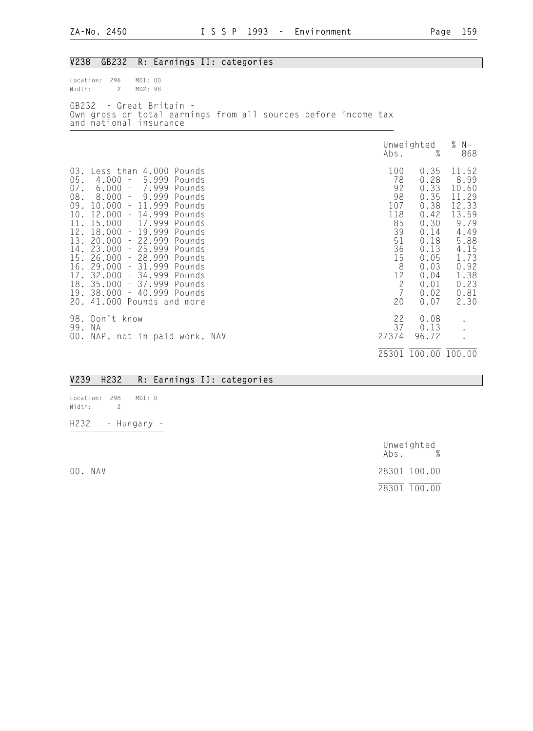| V238                                                                                                     | GB232<br>R: Earnings II: categories                                                                                                                                                                                                                                                                                                                                                                                                                                                                                                           |                                                                                                           |                                                                                                                              |                                                                                                                                   |
|----------------------------------------------------------------------------------------------------------|-----------------------------------------------------------------------------------------------------------------------------------------------------------------------------------------------------------------------------------------------------------------------------------------------------------------------------------------------------------------------------------------------------------------------------------------------------------------------------------------------------------------------------------------------|-----------------------------------------------------------------------------------------------------------|------------------------------------------------------------------------------------------------------------------------------|-----------------------------------------------------------------------------------------------------------------------------------|
| Location:<br>Width:                                                                                      | 296<br>MD1: 00<br>$\mathbf{2}$<br>MD2: 98                                                                                                                                                                                                                                                                                                                                                                                                                                                                                                     |                                                                                                           |                                                                                                                              |                                                                                                                                   |
|                                                                                                          | GB232 - Great Britain -<br>Own gross or total earnings from all sources before income tax<br>and national insurance                                                                                                                                                                                                                                                                                                                                                                                                                           |                                                                                                           |                                                                                                                              |                                                                                                                                   |
|                                                                                                          |                                                                                                                                                                                                                                                                                                                                                                                                                                                                                                                                               | Abs.                                                                                                      | Unweighted<br>$\%$                                                                                                           | % $N=$<br>868                                                                                                                     |
| 03.<br>05.<br>$07$ .<br>08.<br>09.<br>10.<br>11.<br>12.<br>13.<br>14.<br>15.<br>17.<br>18.<br>19.<br>20. | Less than 4.000 Pounds<br>5.999<br>4.000<br>$\mathcal{L}=\mathcal{L}$<br>Pounds<br>7.999<br>6.000<br>Pounds<br>$\pm$<br>9.999<br>8.000<br>$\alpha=1$<br>Pounds<br>$-11.999$<br>10.000<br>Pounds<br>12.000<br>$-14.999$ Pounds<br>- 17.999 Pounds<br>15.000<br>$-19.999$<br>18.000<br>Pounds<br>$-22.999$<br>20.000<br>Pounds<br>$-25.999$<br>23.000<br>Pounds<br>26.000<br>- 28.999 Pounds<br>$-31.999$ Pounds<br>16. 29.000<br>32.000<br>- 34.999 Pounds<br>- 37.999 Pounds<br>35.000<br>38.000<br>- 40.999 Pounds<br>41.000 Pounds and more | 100<br>78<br>92<br>98<br>107<br>118<br>85<br>39<br>$51\,$<br>36<br>15<br>$rac{8}{2}$<br>$rac{2}{7}$<br>20 | 0.35<br>0.28<br>0.33<br>0.35<br>0.38<br>0.42<br>0.30<br>0.14<br>0.18<br>0.13<br>0.05<br>0.03<br>0.04<br>0.01<br>0.02<br>0.07 | 11.52<br>8.99<br>10.60<br>11.29<br>12.33<br>13.59<br>9.79<br>4.49<br>5.88<br>4.15<br>1.73<br>0.92<br>1.38<br>0.23<br>0.81<br>2.30 |
| 99.                                                                                                      | 98. Don't know<br>N A<br>00. NAP, not in paid work, NAV                                                                                                                                                                                                                                                                                                                                                                                                                                                                                       | 22<br>37<br>27374                                                                                         | 0.08<br>0.13<br>96.72                                                                                                        |                                                                                                                                   |
|                                                                                                          |                                                                                                                                                                                                                                                                                                                                                                                                                                                                                                                                               |                                                                                                           | 28301 100.00 100.00                                                                                                          |                                                                                                                                   |

## V239 H232 R: Earnings II: categories

Location: 298 MD1: 0 Width: 2 H232 - Hungary -

 Unweighted Abs. % 00. NAV 28301 100.00 28301 100.00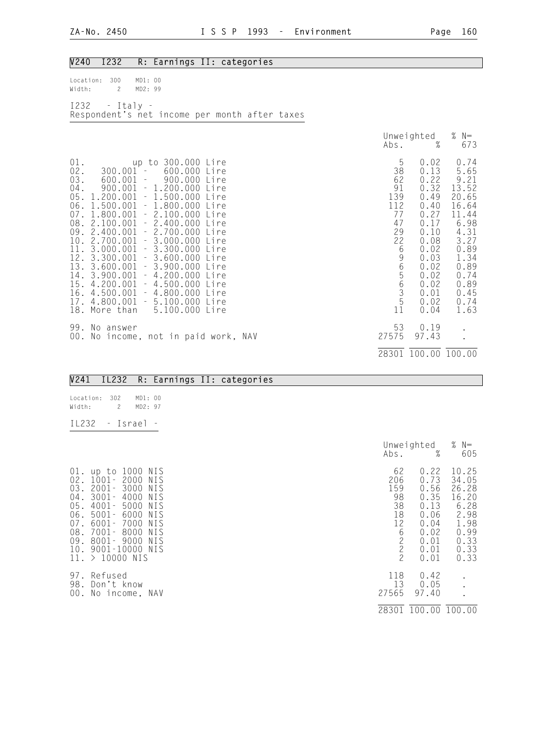| V240<br>I232<br>R: Earnings II: categories                                                                                                                                                                                                                                                                                                                                                                                                                                                                                                                                                                                                                                                                         |                                                                                |                                                                                                                                              |                                                                                                                                                  |
|--------------------------------------------------------------------------------------------------------------------------------------------------------------------------------------------------------------------------------------------------------------------------------------------------------------------------------------------------------------------------------------------------------------------------------------------------------------------------------------------------------------------------------------------------------------------------------------------------------------------------------------------------------------------------------------------------------------------|--------------------------------------------------------------------------------|----------------------------------------------------------------------------------------------------------------------------------------------|--------------------------------------------------------------------------------------------------------------------------------------------------|
| 300<br>MD1: 00<br>Location:<br>$\mathbf{2}^{\prime}$<br>MD2: 99<br>Width:                                                                                                                                                                                                                                                                                                                                                                                                                                                                                                                                                                                                                                          |                                                                                |                                                                                                                                              |                                                                                                                                                  |
| $I232 - Italy -$<br>Respondent's net income per month after taxes                                                                                                                                                                                                                                                                                                                                                                                                                                                                                                                                                                                                                                                  |                                                                                |                                                                                                                                              |                                                                                                                                                  |
|                                                                                                                                                                                                                                                                                                                                                                                                                                                                                                                                                                                                                                                                                                                    | Abs.                                                                           | Unweighted<br>%                                                                                                                              | % $N=$<br>673                                                                                                                                    |
| $01$ .<br>up to 300.000 Lire<br>$02$ .<br>$300.001 -$<br>600.000<br>Lire<br>03.<br>$600.001 -$<br>900.000<br>Lire<br>$04$ .<br>$900.001 - 1.200.000$<br>Lire<br>$1.200.001 - 1.500.000$<br>05.<br>Lire<br>06.<br>$1.500.001 - 1.800.000$<br>Lire<br>$1.800.001 - 2.100.000$<br>07.<br>Lire<br>08. 2.100.001<br>$-2.400.000$<br>Lire<br>09. 2.400.001 - 2.700.000<br>Lire<br>10. 2.700.001 - 3.000.000<br>Lire<br>11. 3.000.001 - 3.300.000<br>Lire<br>12. 3.300.001 - 3.600.000<br>Lire<br>13. 3.600.001 - 3.900.000<br>Lire<br>14. 3.900.001 - 4.200.000<br>Lire<br>$15.4.200.001 - 4.500.000$<br>Lire<br>$16.4.500.001 - 4.800.000$<br>Lire<br>17. 4.800.001 - 5.100.000 Lire<br>5.100.000 Lire<br>18. More than | 5<br>38<br>62<br>91<br>139<br>112<br>77<br>47<br>29<br>22<br>6<br>965635<br>11 | 0.02<br>0.13<br>0.22<br>0.32<br>0.49<br>0.40<br>0.27<br>0.17<br>0.10<br>0.08<br>0.02<br>0.03<br>0.02<br>0.02<br>0.02<br>0.01<br>0.02<br>0.04 | 0.74<br>5.65<br>9.21<br>13.52<br>20.65<br>16.64<br>11.44<br>6.98<br>4.31<br>3.27<br>0.89<br>1.34<br>0.89<br>0.74<br>0.89<br>0.45<br>0.74<br>1.63 |
| 99. No answer<br>00. No income, not in paid work, NAV                                                                                                                                                                                                                                                                                                                                                                                                                                                                                                                                                                                                                                                              | 53<br>27575                                                                    | 0.19<br>97.43                                                                                                                                |                                                                                                                                                  |
|                                                                                                                                                                                                                                                                                                                                                                                                                                                                                                                                                                                                                                                                                                                    |                                                                                | 28301 100.00 100.00                                                                                                                          |                                                                                                                                                  |
| IL232<br>V241<br>R: Earnings II: categories                                                                                                                                                                                                                                                                                                                                                                                                                                                                                                                                                                                                                                                                        |                                                                                |                                                                                                                                              |                                                                                                                                                  |

| Location: 302<br>Width: | 2        | MD1:00<br>MD2:97 |  |
|-------------------------|----------|------------------|--|
| TL <sub>2</sub> 32      | - Israel |                  |  |

|                                                                                                                                                                                                                                                                                                                    | Unweighted<br>%<br>Abs.                                                                                                                                                  | % $N=$<br>605                                                                            |
|--------------------------------------------------------------------------------------------------------------------------------------------------------------------------------------------------------------------------------------------------------------------------------------------------------------------|--------------------------------------------------------------------------------------------------------------------------------------------------------------------------|------------------------------------------------------------------------------------------|
| 01. up to 1000 NIS<br>02.<br>1001–2000<br>NIS<br>03.<br>2001-<br>3000<br>NIS<br>04.<br>$3001 -$<br>4000<br>NIS<br>$4001 -$<br>05.<br>5000<br>NIS<br>06.<br>$5001 -$<br>6000<br>NIS<br>07.<br>6001-7000<br>NIS<br>08.<br>7001-<br>8000<br>NIS<br>09.<br>8001-9000<br>NIS<br>10. 9001-10000 NIS<br>$11. > 10000$ NIS | 62<br>0.22<br>206<br>0.73<br>159<br>0.56<br>98<br>0.35<br>38<br>0.13<br>18<br>0.06<br>12<br>0.04<br>6<br>0.02<br>$\frac{2}{2}$<br>0.01<br>0.01<br>$\overline{c}$<br>0.01 | 10.25<br>34.05<br>26.28<br>16.20<br>6.28<br>2.98<br>1.98<br>0.99<br>0.33<br>0.33<br>0.33 |
| 97.<br>Refused<br>98.<br>Don't know<br>00. No income, NAV                                                                                                                                                                                                                                                          | 118<br>0.42<br>13<br>0.05<br>27565<br>97.40<br>28301 100.00 100.00                                                                                                       |                                                                                          |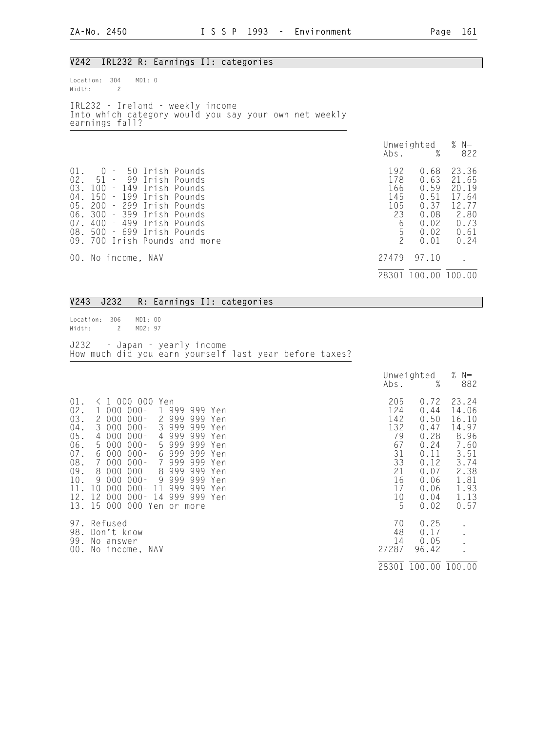#### V242 IRL232 R: Earnings II: categories

| Width: | $\mathcal{P}$  | Location: 304 MD1: 0 |                                                                                           |  |  |     |                                   |
|--------|----------------|----------------------|-------------------------------------------------------------------------------------------|--|--|-----|-----------------------------------|
|        | earnings fall? |                      | IRL232 - Ireland - weekly income<br>Into which category would you say your own net weekly |  |  |     |                                   |
|        |                |                      |                                                                                           |  |  |     | Unweighted $%$ N=<br>Abs. $%$ 822 |
| 01.    |                | 0 – 50 Irish Pounds  |                                                                                           |  |  | 192 | 0.68 23.36                        |

| VI. V | <b>DULISH FUUILLES</b>     |                               | 1.7 <sub>C</sub> | v.vo | CJ.JU |
|-------|----------------------------|-------------------------------|------------------|------|-------|
|       | 02. 51 - 99 Irish Pounds   |                               | 178              | 0.63 | 21.65 |
|       | 03. 100 - 149 Irish Pounds |                               | 166              | 0.59 | 20.19 |
|       | 04. 150 - 199 Irish Pounds |                               | 145              | 0.51 | 17.64 |
|       | 05. 200 - 299 Irish Pounds |                               | 105              | 0.37 | 12.77 |
|       | 06. 300 - 399 Irish Pounds |                               | 23               | 0.08 | 2.80  |
|       | 07. 400 - 499 Irish Pounds |                               | 6                | 0.02 | 0.73  |
|       | 08. 500 - 699 Irish Pounds |                               | 5.               | 0.02 | 0.61  |
|       |                            | 09. 700 Irish Pounds and more |                  | 0.01 | 0.24  |
|       |                            |                               |                  |      |       |
|       | 00. No income, NAV         |                               | 27479 97.10      |      |       |
|       |                            |                               |                  |      |       |

28301 100.00 100.00

#### V243 J232 R: Earnings II: categories

| Location: 306 MD1: 00<br>Width: 2 MD2:97 |  |                                                                                        |  |  |
|------------------------------------------|--|----------------------------------------------------------------------------------------|--|--|
|                                          |  | J232 - Japan - yearly income<br>How much did you earn yourself last year before taxes? |  |  |

|                                                                                                                                                                                                                                                                                                                                                                                                                                                                                                                                                                                                                                                                                                                                                | Abs.                                                                          | Unweighted<br>%                                                                                      | % $N=$<br>882                                                                                            |
|------------------------------------------------------------------------------------------------------------------------------------------------------------------------------------------------------------------------------------------------------------------------------------------------------------------------------------------------------------------------------------------------------------------------------------------------------------------------------------------------------------------------------------------------------------------------------------------------------------------------------------------------------------------------------------------------------------------------------------------------|-------------------------------------------------------------------------------|------------------------------------------------------------------------------------------------------|----------------------------------------------------------------------------------------------------------|
| $01$ .<br>L 000 000<br>Yen<br>02.<br>$000 -$<br>999<br>000<br>$\mathbf{1}$<br>999<br>Yen<br>03.<br>000<br>$000 -$<br>999<br>999<br>2<br>2<br>Yen<br>04.<br>999<br>999<br>3<br>000<br>$000 -$<br>3<br>Yen<br>$000 -$<br>999<br>999<br>05.<br>$000^{\circ}$<br>Yen<br>4<br>4<br>06.<br>999<br>000<br>$000 -$<br>999<br>5<br>5<br>Yen<br>07.<br>000<br>$000 -$<br>999<br>999<br>6<br>6<br>Yen<br>08.<br>000<br>$000 -$<br>999<br>999<br>7<br>Yen<br>09.<br>000<br>$000 -$<br>999<br>999<br>8<br>8<br>Yen<br>10.<br>$000^{\circ}$<br>999<br>$000 -$<br>9<br>999<br>9<br>Yen<br>11 <sub>1</sub><br>$000 -$<br>999<br>999<br>10<br>000<br>11<br>Yen<br>12.<br>12<br>999<br>000<br>$000 -$<br>14<br>999<br>Yen<br>13. 15<br>000<br>000<br>Yen or more | 205<br>124<br>142<br>132<br>79<br>67<br>31<br>33<br>21<br>16<br>17<br>10<br>5 | 0.72<br>0.44<br>0.50<br>0.47<br>0.28<br>0.24<br>0.11<br>0.12<br>0.07<br>0.06<br>0.06<br>0.04<br>0.02 | 23.24<br>14.06<br>16.10<br>14.97<br>8.96<br>7.60<br>3.51<br>3.74<br>2.38<br>1.81<br>1.93<br>1.13<br>0.57 |
| Refused<br>97.<br>98.<br>Don't know<br>99.<br>No answer<br>00.<br>No income, NAV                                                                                                                                                                                                                                                                                                                                                                                                                                                                                                                                                                                                                                                               | 70<br>48<br>14<br>27287                                                       | 0.25<br>0.17<br>0.05<br>96.42                                                                        |                                                                                                          |
|                                                                                                                                                                                                                                                                                                                                                                                                                                                                                                                                                                                                                                                                                                                                                | 28301                                                                         | 100.00 100.00                                                                                        |                                                                                                          |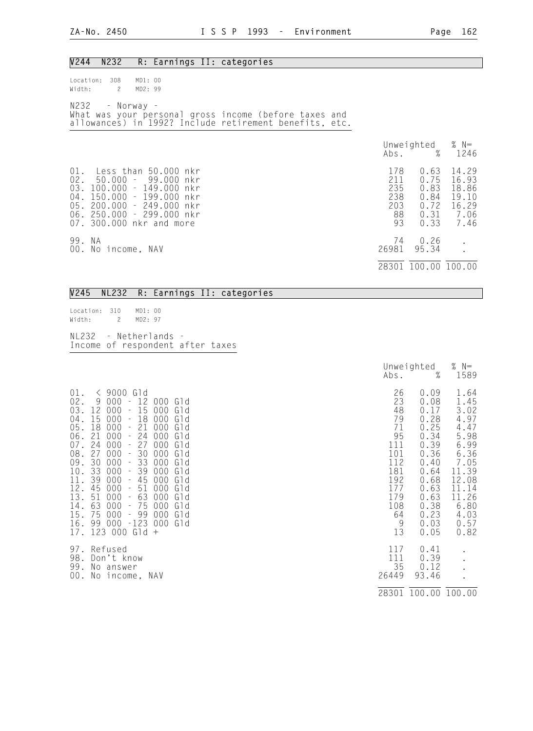| V244<br>N232<br>R: Earnings II: categories                                                                                                                                                                                                    |                                                                                             |                                                                  |
|-----------------------------------------------------------------------------------------------------------------------------------------------------------------------------------------------------------------------------------------------|---------------------------------------------------------------------------------------------|------------------------------------------------------------------|
| MD1: 00<br>Location:<br>308<br>$\mathbf{2}$<br>MD2: 99<br>Width:                                                                                                                                                                              |                                                                                             |                                                                  |
| N232 - Norway -<br>What was your personal gross income (before taxes and<br>allowances) in 1992? Include retirement benefits, etc.                                                                                                            |                                                                                             |                                                                  |
|                                                                                                                                                                                                                                               | Unweighted<br>Abs.                                                                          | % $N=$<br>$\frac{9}{6}$<br>1246                                  |
| $01$ .<br>Less than 50.000 nkr<br>02.<br>50.000 –<br>99.000<br>nkr<br>03.<br>100.000<br>$-149.000$<br>nkr<br>04.<br>150.000<br>$-199.000$<br>nkr<br>05. 200.000<br>$-249.000$<br>nkr<br>06. 250.000 - 299.000 nkr<br>07. 300.000 nkr and more | 178<br>0.63<br>211<br>0.75<br>235<br>0.83<br>238<br>0.84<br>203<br>0.72<br>88<br>93<br>0.33 | 14.29<br>16.93<br>18.86<br>19.10<br>16.29<br>$0.31$ 7.06<br>7.46 |
| 99. NA<br>00. No income, NAV                                                                                                                                                                                                                  | 74<br>0.26<br>26981<br>95.34                                                                | $\bullet$                                                        |
|                                                                                                                                                                                                                                               | 28301 100.00 100.00                                                                         |                                                                  |

#### V245 NL232 R: Earnings II: categories

Location: 310 MD1: 00<br>Width: 2 MD2: 97 MD2: 97 NL232 - Netherlands - Income of respondent after taxes

|                                                                                                                                                                                                                                                                                                                                                                                                                                                                                                                                                                                                                                                                                                                                                                                                                                                                                                                                           | Abs.                                                                                                      | Unweighted<br>$\%$                                                                                                                   | % $N=$<br>1589                                                                                                                           |
|-------------------------------------------------------------------------------------------------------------------------------------------------------------------------------------------------------------------------------------------------------------------------------------------------------------------------------------------------------------------------------------------------------------------------------------------------------------------------------------------------------------------------------------------------------------------------------------------------------------------------------------------------------------------------------------------------------------------------------------------------------------------------------------------------------------------------------------------------------------------------------------------------------------------------------------------|-----------------------------------------------------------------------------------------------------------|--------------------------------------------------------------------------------------------------------------------------------------|------------------------------------------------------------------------------------------------------------------------------------------|
| $\langle$ 9000 Gld<br>$01$ .<br>$02$ .<br>9<br>000<br>12<br>000<br>Gld<br>03.<br>12<br>000<br>15<br>000<br>G1d<br>$\frac{1}{2}$<br>15<br>18<br>$04$ .<br>$000^{\circ}$<br>$000^{\circ}$<br>Gld<br>$\qquad \qquad -$<br>21<br>05.<br>18<br>000<br>000<br>Gld<br>24<br>06.<br>21<br>$000^{\circ}$<br>000<br>Gld<br>$07$ .<br>24<br>000<br>27<br>000<br>Gld<br>$\qquad \qquad -$<br>30<br>08.<br>27<br>000<br>000<br>Gid<br>÷<br>33<br>30<br>000<br>09.<br>000<br>Gld<br>$\overline{\phantom{0}}$<br>33<br>39<br>10.<br>000<br>000<br>Gld<br>11.<br>39<br>000<br>45<br>000<br>Gld<br>$\qquad \qquad -$<br>12.<br>45<br>000<br>51<br>000<br>Gld<br>$\overline{\phantom{a}}$<br>13.<br>63<br>51<br>000<br>000<br>Gld<br>63<br>75<br>14.<br>000<br>000<br>Gld<br>$\overline{\phantom{0}}$<br>15.<br>75<br>000<br>99<br>000 <sub>1</sub><br>Gld<br>$\qquad \qquad -$<br>99<br>$-123$<br>16.<br>000<br>000<br>Gld<br>123 000<br>Gld<br>17.<br>$+$ | 26<br>23<br>48<br>79<br>71<br>95<br>111<br>101<br>112<br>181<br>192<br>177<br>179<br>108<br>64<br>9<br>13 | 0.09<br>0.08<br>0.17<br>0.28<br>0.25<br>0.34<br>0.39<br>0.36<br>0.40<br>0.64<br>0.68<br>0.63<br>0.63<br>0.38<br>0.23<br>0.03<br>0.05 | 1.64<br>1.45<br>3.02<br>4.97<br>4.47<br>5.98<br>6.99<br>6.36<br>7.05<br>11.39<br>12.08<br>11.14<br>11.26<br>6.80<br>4.03<br>0.57<br>0.82 |
| 97.<br>Refused<br>98.<br>Don't know<br>99.<br>No answer<br>No income, NAV<br>00.                                                                                                                                                                                                                                                                                                                                                                                                                                                                                                                                                                                                                                                                                                                                                                                                                                                          | 117<br>111<br>35<br>26449                                                                                 | 0.41<br>0.39<br>0.12<br>93.46<br>28301 100.00 100.00                                                                                 |                                                                                                                                          |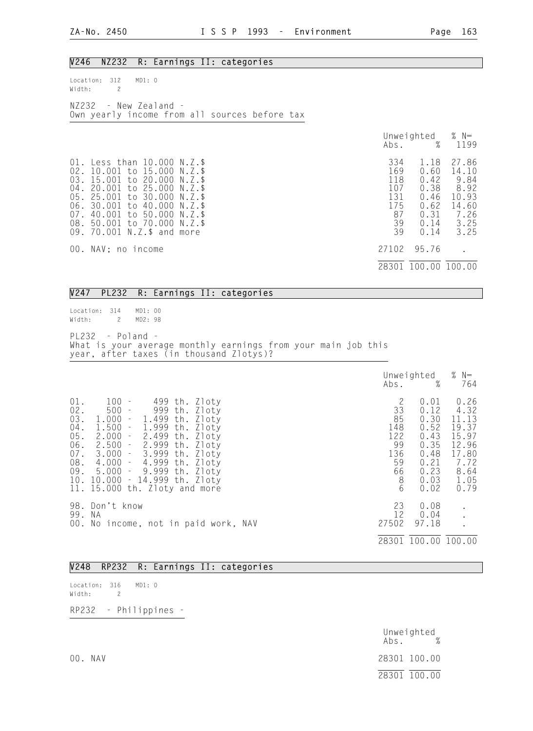#### V246 NZ232 R: Earnings II: categories

| Location: 312 MDI: 0    |  |  |                                               |  |
|-------------------------|--|--|-----------------------------------------------|--|
| Width:                  |  |  |                                               |  |
|                         |  |  |                                               |  |
| $NZ232 - New Zealand -$ |  |  |                                               |  |
|                         |  |  | Own yearly income from all sources before tax |  |

|                                                                                                                                                                                                                                                                                                                   |                                                          | Unweighted $% N=$<br>Abs. % 1199                                     |                                                                          |
|-------------------------------------------------------------------------------------------------------------------------------------------------------------------------------------------------------------------------------------------------------------------------------------------------------------------|----------------------------------------------------------|----------------------------------------------------------------------|--------------------------------------------------------------------------|
| 01. Less than 10.000 N.Z.\$<br>02. 10.001 to 15.000<br>N.7.5<br>03. 15.001 to 20.000<br>N. 7. \$<br>04. 20.001 to 25.000<br>N. 7. \$<br>05.<br>25,001 to 30,000<br>N.Z. \$<br>06. 30.001 to 40.000<br>N.Z.S<br>07. 40.001 to 50.000<br>$N.Z.$ \$<br>08. 50.001 to 70.000<br>N.Z. \$<br>09. 70.001 N.Z.\$ and more | 334<br>169<br>118<br>107<br>131<br>175<br>87<br>39<br>39 | 1.18<br>0.60<br>0.42<br>0.38<br>0.46<br>0.62<br>0.31<br>0.14<br>0.14 | 27.86<br>14.10<br>9.84<br>8.92<br>10.93<br>14.60<br>7.26<br>3.25<br>3.25 |
| 00. NAV; no income                                                                                                                                                                                                                                                                                                | 27102                                                    | 95.76                                                                |                                                                          |
|                                                                                                                                                                                                                                                                                                                   |                                                          | 28301 100.00 100.00                                                  |                                                                          |

#### V247 PL232 R: Earnings II: categories

Location: 314 MD1: 00<br>Width: 2 MD2: 98 Width: 2

PL232 - Poland - What is your average monthly earnings from your main job this year, after taxes (in thousand Zlotys)?

|                                                                      |                                                                                                                                                                                                                                                                                                                                                                                                               | Abs.                                                           | Unweighted<br>%                                                                      | % $N=$<br>764                                                                             |
|----------------------------------------------------------------------|---------------------------------------------------------------------------------------------------------------------------------------------------------------------------------------------------------------------------------------------------------------------------------------------------------------------------------------------------------------------------------------------------------------|----------------------------------------------------------------|--------------------------------------------------------------------------------------|-------------------------------------------------------------------------------------------|
| 01.<br>$02$ .<br>03.<br>$04$ .<br>05.<br>06.<br>$07$ .<br>08.<br>09. | $100 -$<br>499 th. Zloty<br>$500 -$<br>999 th. Zloty<br>1.000<br>- 1.499 th.<br>Zloty<br>1.999<br>1.500<br>Zloty<br>$\equiv$<br>th.<br>2.499<br>2.000<br>Zloty<br>th.<br>$\mathcal{C}^{\mathcal{A}}$<br>$-2.999$<br>2.500<br>Zloty<br>th.<br>3.000 - 3.999 th. Zloty<br>$4.000 - 4.999$ th.<br>Zloty<br>$5.000 - 9.999$<br>Zloty<br>th.<br>10. 10.000<br>$-14.999$ th. Zloty<br>11. 15.000 th. Zloty and more | 2<br>33<br>85<br>148<br>122<br>99<br>136<br>59<br>66<br>8<br>6 | 0.01<br>0.12<br>0.30<br>0.52<br>0.43<br>0.35<br>0.48<br>0.21<br>0.23<br>0.03<br>0.02 | 0.26<br>4.32<br>11.13<br>19.37<br>15.97<br>12.96<br>17.80<br>7.72<br>8.64<br>1.05<br>0.79 |
| 99.                                                                  | 98. Don't know<br>- N.A<br>00. No income, not in paid work, NAV                                                                                                                                                                                                                                                                                                                                               | 23<br>12<br>27502<br>28301                                     | 0.08<br>0.04<br>97.18                                                                | 100.00 100.00                                                                             |

#### V248 RP232 R: Earnings II: categories

Location: 316 MD1: 0 Width: 2

RP232 - Philippines -

|         | Unweighted<br>$\%$<br>Abs. |
|---------|----------------------------|
| 00. NAV | 28301 100.00               |
|         | 28301 100.00               |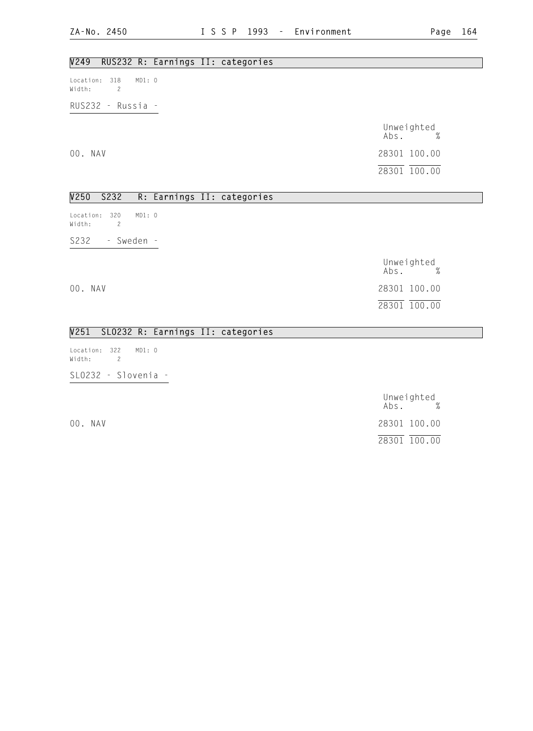## V249 RUS232 R: Earnings II: categories

Location: 318 MD1: 0 Width: 2

RUS232 - Russia -

 Unweighted Abs. % 00. NAV 28301 100.00 28301 100.00

## V250 S232 R: Earnings II: categories

Location: 320 MD1: 0 Width: 2 S232 - Sweden -

|         | Unweighted<br>$\%$<br>Abs. |  |
|---------|----------------------------|--|
| 00. NAV | 28301 100.00               |  |
|         | 28301 100.00               |  |

#### V251 SLO232 R: Earnings II: categories

Location: 322 MD1: 0 Width: 2 SLO232 - Slovenia -

Unweighted<br>Abs. % Abs. % 00. NAV 28301 100.00 28301 100.00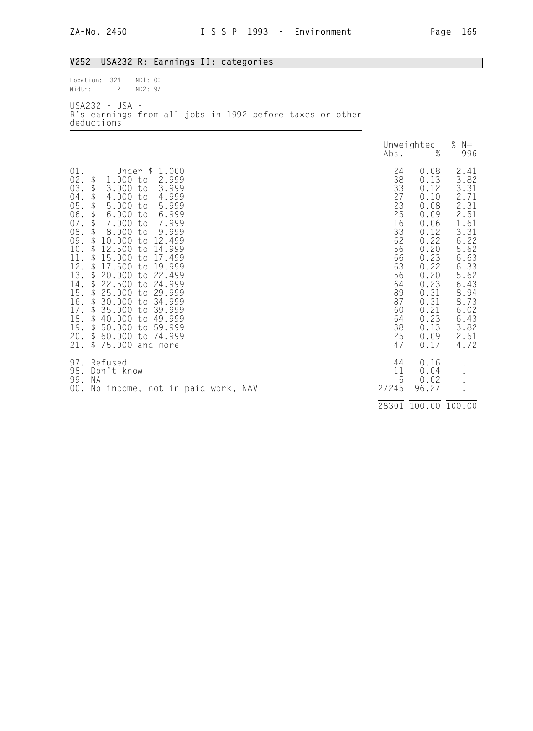| V252                                                                                                                                                  | USA232 R: Earnings II: categories                                                                                                                                                                                                                                                                                                                                                                                                                                                                                                                                                                                                                                                                  |                                                                                                                            |                                                                                                                                                                      |                                                                                                                                                                      |
|-------------------------------------------------------------------------------------------------------------------------------------------------------|----------------------------------------------------------------------------------------------------------------------------------------------------------------------------------------------------------------------------------------------------------------------------------------------------------------------------------------------------------------------------------------------------------------------------------------------------------------------------------------------------------------------------------------------------------------------------------------------------------------------------------------------------------------------------------------------------|----------------------------------------------------------------------------------------------------------------------------|----------------------------------------------------------------------------------------------------------------------------------------------------------------------|----------------------------------------------------------------------------------------------------------------------------------------------------------------------|
| Location:<br>Width:                                                                                                                                   | 324<br>MD1: 00<br>$\overline{c}$<br>MD2: 97                                                                                                                                                                                                                                                                                                                                                                                                                                                                                                                                                                                                                                                        |                                                                                                                            |                                                                                                                                                                      |                                                                                                                                                                      |
|                                                                                                                                                       | USA232 - USA -<br>R's earnings from all jobs in 1992 before taxes or other<br>deductions                                                                                                                                                                                                                                                                                                                                                                                                                                                                                                                                                                                                           |                                                                                                                            |                                                                                                                                                                      |                                                                                                                                                                      |
|                                                                                                                                                       |                                                                                                                                                                                                                                                                                                                                                                                                                                                                                                                                                                                                                                                                                                    | Abs.                                                                                                                       | Unweighted<br>$\%$                                                                                                                                                   | % $N=$<br>996                                                                                                                                                        |
| 01.<br>02.<br>03.<br>$04$ .<br>05.<br>06.<br>$07$ .<br>08.<br>09.<br>10.<br>11.<br>12.<br>13.<br>14.<br>15.<br>16.<br>17.<br>18.<br>19.<br>20.<br>21. | Under \$<br>1.000<br>\$<br>1.000<br>to<br>2.999<br>3.000<br>3.999<br>\$<br>to<br>\$<br>4.000<br>4.999<br>to<br>\$<br>5.000<br>5.999<br>to<br>\$<br>6.000<br>to<br>6.999<br>\$<br>7.000<br>7.999<br>to<br>\$<br>8.000<br>9.999<br>to<br>\$<br>10.000<br>to<br>12.499<br>$\updownarrow$<br>12.500<br>14.999<br>to<br>\$<br>15.000<br>to<br>17.499<br>\$<br>17.500<br>to<br>19.999<br>\$<br>20.000<br>to 22.499<br>\$<br>22.500<br>24.999<br>to<br>\$<br>25.000<br>29.999<br>to<br>\$<br>30.000<br>34.999<br>to<br>$\frac{1}{2}$<br>35.000<br>39.999<br>to<br>\$<br>40.000<br>49.999<br>to<br>$\updownarrow$<br>50.000<br>to 59.999<br>\$<br>60.000<br>to 74.999<br>$\mathfrak{P}$<br>75.000 and more | 24<br>38<br>33<br>27<br>23<br>25<br>16<br>33<br>62<br>56<br>66<br>63<br>56<br>64<br>89<br>87<br>60<br>64<br>38<br>25<br>47 | 0.08<br>0.13<br>0.12<br>0.10<br>0.08<br>0.09<br>0.06<br>0.12<br>0.22<br>0.20<br>0.23<br>0.22<br>0.20<br>0.23<br>0.31<br>0.31<br>0.21<br>0.23<br>0.13<br>0.09<br>0.17 | 2.41<br>3.82<br>3.31<br>2.71<br>2.31<br>2.51<br>1.61<br>3.31<br>6.22<br>5.62<br>6.63<br>6.33<br>5.62<br>6.43<br>8.94<br>8.73<br>6.02<br>6.43<br>3.82<br>2.51<br>4.72 |
| 97.<br>99. NA<br>00.                                                                                                                                  | Refused<br>98. Don't know<br>No income, not in paid work, NAV                                                                                                                                                                                                                                                                                                                                                                                                                                                                                                                                                                                                                                      | 44<br>11<br>5<br>27245                                                                                                     | 0.16<br>0.04<br>0.02<br>96.27                                                                                                                                        |                                                                                                                                                                      |
|                                                                                                                                                       |                                                                                                                                                                                                                                                                                                                                                                                                                                                                                                                                                                                                                                                                                                    | 28301                                                                                                                      | 100.00 100.00                                                                                                                                                        |                                                                                                                                                                      |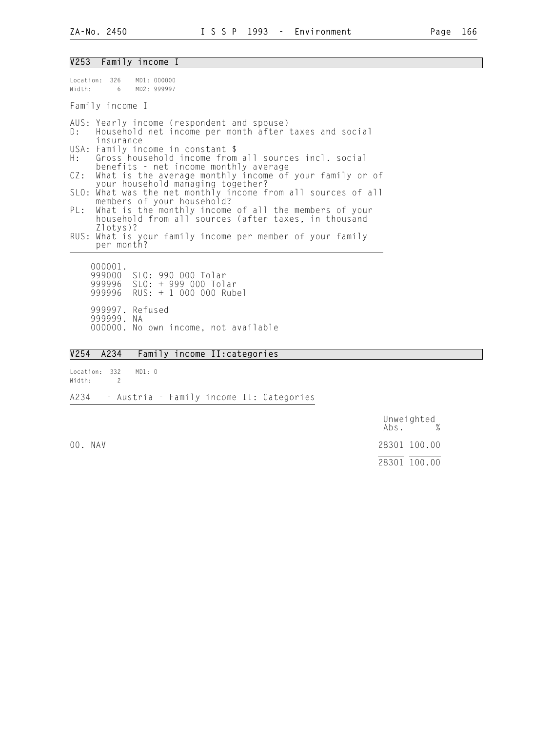#### V253 Family income I

| Location: 326 MD1: 000000<br>Width: 6 MD2: 999997                                                                                     |
|---------------------------------------------------------------------------------------------------------------------------------------|
| Family income I                                                                                                                       |
| AUS: Yearly income (respondent and spouse)<br>D: Household net income per month after taxes and social<br>insurance                   |
| USA: Family income in constant \$<br>H: Gross household income from all sources incl. social<br>benefits - net income monthly average |
| CZ: What is the average monthly income of your family or of<br>your household managing together?                                      |
| SLO: What was the net monthly income from all sources of all<br>members of your household?                                            |
| PL: What is the monthly income of all the members of your<br>household from all sources (after taxes, in thousand                     |
| $Zlotys$ ?<br>RUS: What is your family income per member of your family<br>per month?                                                 |
| 000001.<br>999000 SLO: 990 000 Tolar<br>999996 SLO: + 999 000 Tolar<br>999996 RUS: + 1 000 000 Rubel                                  |

 999997. Refused 999999. NA 000000. No own income, not available

## V254 A234 Family income II:categories

Location: 332 MD1: 0 Width: 2 A234 - Austria - Family income II: Categories

 Unweighted Abs. % 00. NAV 28301 100.00 28301 100.00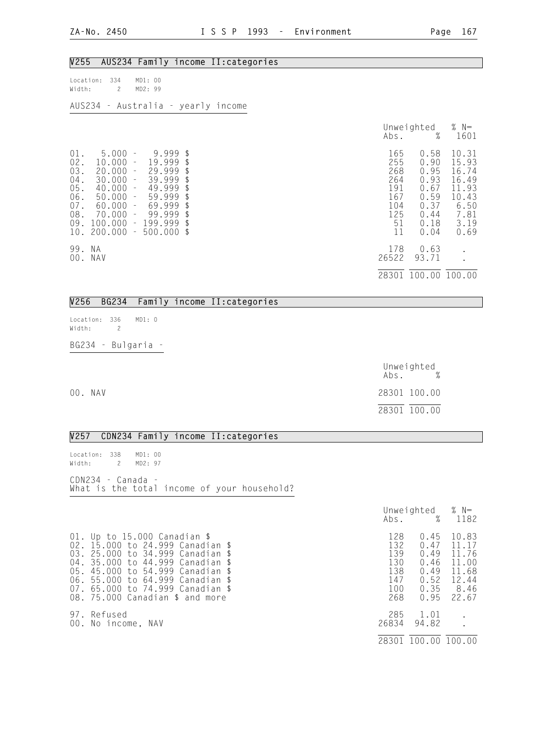| V255<br>AUS234 Family income II: categories                                                                                                                                                                                                                                                                                                                                                                                                                                  |                                                                  |                                                                              |                                                                                    |
|------------------------------------------------------------------------------------------------------------------------------------------------------------------------------------------------------------------------------------------------------------------------------------------------------------------------------------------------------------------------------------------------------------------------------------------------------------------------------|------------------------------------------------------------------|------------------------------------------------------------------------------|------------------------------------------------------------------------------------|
| MD1: 00<br>334<br>Location:<br>MD2: 99<br>$\overline{c}$<br>Width:                                                                                                                                                                                                                                                                                                                                                                                                           |                                                                  |                                                                              |                                                                                    |
| AUS234 - Australia - yearly income                                                                                                                                                                                                                                                                                                                                                                                                                                           |                                                                  |                                                                              |                                                                                    |
|                                                                                                                                                                                                                                                                                                                                                                                                                                                                              | Abs.                                                             | Unweighted<br>%                                                              | $%$ N=<br>1601                                                                     |
| $5.000 -$<br>01.<br>9.999<br>\$<br>02.<br>10.000<br>19.999<br>\$<br>$\overline{\phantom{a}}$<br>03.<br>20.000<br>29.999<br>\$<br>$\equiv$<br>39.999<br>30.000<br>\$<br>$04$ .<br>$\equiv$<br>49.999<br>05.<br>40.000<br>\$<br>$\equiv$<br>59.999<br>\$<br>06.<br>50.000<br>$\overline{\phantom{a}}$<br>69.999<br>60.000<br>\$<br>$07$ .<br>$\equiv$<br>99.999<br>08.<br>70.000<br>\$<br>$\equiv$<br>$-199.999$<br>09.<br>100.000<br>\$<br>200.000<br>$-500.000$<br>10.<br>\$ | 165<br>255<br>268<br>264<br>191<br>167<br>104<br>125<br>51<br>11 | 0.58<br>0.90<br>0.95<br>0.93<br>0.67<br>0.59<br>0.37<br>0.44<br>0.18<br>0.04 | 10.31<br>15.93<br>16.74<br>16.49<br>11.93<br>10.43<br>6.50<br>7.81<br>3.19<br>0.69 |
| 99. NA<br>00. NAV                                                                                                                                                                                                                                                                                                                                                                                                                                                            | 178<br>26522                                                     | 0.63<br>93.71                                                                |                                                                                    |
|                                                                                                                                                                                                                                                                                                                                                                                                                                                                              |                                                                  | 28301 100.00 100.00                                                          |                                                                                    |
| <b>BG234</b><br>V256<br>Family income II: categories                                                                                                                                                                                                                                                                                                                                                                                                                         |                                                                  |                                                                              |                                                                                    |
| Location: 336<br>MD1: 0<br>Width:<br>$\overline{c}$                                                                                                                                                                                                                                                                                                                                                                                                                          |                                                                  |                                                                              |                                                                                    |
| BG234 - Bulgaria                                                                                                                                                                                                                                                                                                                                                                                                                                                             |                                                                  |                                                                              |                                                                                    |
|                                                                                                                                                                                                                                                                                                                                                                                                                                                                              | Abs.                                                             | Unweighted                                                                   |                                                                                    |
| 00. NAV                                                                                                                                                                                                                                                                                                                                                                                                                                                                      |                                                                  | 28301 100.00                                                                 |                                                                                    |
|                                                                                                                                                                                                                                                                                                                                                                                                                                                                              |                                                                  | 28301 100.00                                                                 |                                                                                    |
| V257<br>CDN234 Family income II: categories                                                                                                                                                                                                                                                                                                                                                                                                                                  |                                                                  |                                                                              |                                                                                    |
| MD1: 00<br>Location: 338<br>Width:<br>MD2: 97<br>$\mathbf{2}^{\circ}$                                                                                                                                                                                                                                                                                                                                                                                                        |                                                                  |                                                                              |                                                                                    |
| CDN234 - Canada -<br>What is the total income of your household?                                                                                                                                                                                                                                                                                                                                                                                                             |                                                                  |                                                                              |                                                                                    |
|                                                                                                                                                                                                                                                                                                                                                                                                                                                                              | Abs.                                                             | Unweighted<br>%                                                              | % $N=$<br>1182                                                                     |
| 01. Up to 15.000 Canadian \$<br>02. 15.000 to 24.999 Canadian \$<br>03. 25.000 to 34.999 Canadian \$<br>35.000 to 44.999 Canadian \$<br>$04$ .<br>05. 45.000 to 54.999 Canadian \$<br>06. 55.000 to 64.999 Canadian \$<br>65.000 to 74.999 Canadian \$<br>07.<br>08. 75.000 Canadian \$ and more                                                                                                                                                                             | 128<br>132<br>139<br>130<br>138<br>147<br>100<br>268             | 0.45<br>0.47<br>0.49<br>0.46<br>0.49<br>0.52<br>0.35<br>0.95                 | 10.83<br>11.17<br>11.76<br>11.00<br>11.68<br>12.44<br>8.46<br>22.67                |
| 97. Refused<br>00. No income, NAV                                                                                                                                                                                                                                                                                                                                                                                                                                            | 285<br>26834                                                     | 1.01<br>94.82                                                                |                                                                                    |
|                                                                                                                                                                                                                                                                                                                                                                                                                                                                              |                                                                  | 28301 100.00 100.00                                                          |                                                                                    |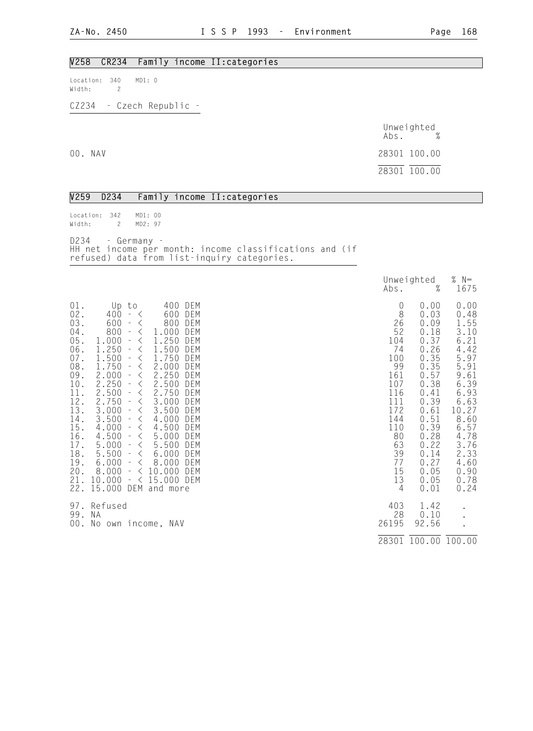#### V258 CR234 Family income II:categories

Location: 340 MD1: 0 Width: 2

CZ234 - Czech Republic -

|         | Unweighted<br>$\%$<br>Abs. |
|---------|----------------------------|
| 00. NAV | 28301 100.00               |
|         | 28301 100.00               |

| V259                                                                                                                                                                         | D234                                                                                                                                                                                                                                                                                                                                                                                                                                                            | Family income II: categories                                                                                                                                                                                                                                                                                                                                                                                                                                                                                                                                               |                                                                                                                                        |                                                                                                                                                                              |                                                                                                                                                                               |
|------------------------------------------------------------------------------------------------------------------------------------------------------------------------------|-----------------------------------------------------------------------------------------------------------------------------------------------------------------------------------------------------------------------------------------------------------------------------------------------------------------------------------------------------------------------------------------------------------------------------------------------------------------|----------------------------------------------------------------------------------------------------------------------------------------------------------------------------------------------------------------------------------------------------------------------------------------------------------------------------------------------------------------------------------------------------------------------------------------------------------------------------------------------------------------------------------------------------------------------------|----------------------------------------------------------------------------------------------------------------------------------------|------------------------------------------------------------------------------------------------------------------------------------------------------------------------------|-------------------------------------------------------------------------------------------------------------------------------------------------------------------------------|
| Location:<br>Width:                                                                                                                                                          | 342<br>$\mathbf{2}$                                                                                                                                                                                                                                                                                                                                                                                                                                             | MD1: 00<br>MD2: 97                                                                                                                                                                                                                                                                                                                                                                                                                                                                                                                                                         |                                                                                                                                        |                                                                                                                                                                              |                                                                                                                                                                               |
| D234                                                                                                                                                                         |                                                                                                                                                                                                                                                                                                                                                                                                                                                                 | - Germany -<br>HH net income per month: income classifications and (if<br>refused) data from list-inquiry categories.                                                                                                                                                                                                                                                                                                                                                                                                                                                      |                                                                                                                                        |                                                                                                                                                                              |                                                                                                                                                                               |
|                                                                                                                                                                              |                                                                                                                                                                                                                                                                                                                                                                                                                                                                 |                                                                                                                                                                                                                                                                                                                                                                                                                                                                                                                                                                            | Abs.                                                                                                                                   | Unweighted<br>$\%$                                                                                                                                                           | $% N=$<br>1675                                                                                                                                                                |
| 01.<br>02.<br>03.<br>$04$ .<br>$05$ .<br>$06$ .<br>$07$ .<br>$08$ .<br>09.<br>$10$ .<br>11.<br>12.<br>$^{13}_{14}$ .<br>15.<br>16.<br>17.<br>18.<br>19.<br>20.<br>21.<br>22. | Up to<br>$400 - 5$<br>$600 -$<br>800<br>$\sim$<br>1.000<br>$\equiv$<br>250<br>1.<br>$\overline{\phantom{a}}$<br>1.500<br>$\overline{\phantom{a}}$<br>1.750<br>$\equiv$<br>2.000<br>$\equiv$<br>2.250<br>2.500<br>$\equiv$<br>2.750<br>$\overline{\phantom{a}}$<br>3.000<br>$\bar{\phantom{a}}$<br>3.500<br>$\sim$<br>4.000<br>$\overline{\phantom{a}}$<br>4.500<br>$\equiv$<br>5.000<br>$\sim$<br>5.500<br>6.000<br>$\overline{\phantom{a}}$<br>8.000<br>10.000 | 400<br>DEM<br>600<br>DEM<br>800<br>DEM<br>$\lt$<br>1.000<br>DEM<br>$\lt$<br>1.250<br>DEM<br>$\lt$<br>1.500<br>DEM<br>$\langle$<br>1.750<br>DEM<br>$\lt$<br>2.000<br>DEM<br>$\lt$<br>2.250<br>$\lt$<br>DEM<br>2.500<br>$\langle$<br>DEM<br>2.750<br>DEM<br>$\lt$<br>3.000<br>DEM<br>$\langle$<br>3.500<br>DEM<br>$\langle$<br>4.000<br>$\lt$<br>DEM<br>4.500<br>$\langle$<br>DEM<br>$\langle$<br>5.000<br>DEM<br>$\langle$<br>5.500<br>DEM<br>$\langle$<br>6.000<br>DEM<br>$\pm$<br>8.000<br>DEM<br>$\lt$<br>$- < 10.000$<br>DEM<br>$- < 15.000$ DEM<br>15.000 DEM and more | 0<br>8<br>26<br>52<br>104<br>74<br>100<br>99<br>161<br>107<br>116<br>111<br>172<br>144<br>110<br>80<br>63<br>39<br>77<br>15<br>13<br>4 | 0.00<br>0.03<br>0.09<br>0.18<br>0.37<br>0.26<br>0.35<br>0.35<br>0.57<br>0.38<br>0.41<br>0.39<br>0.61<br>0.51<br>0.39<br>0.28<br>0.22<br>0.14<br>0.27<br>0.05<br>0.05<br>0.01 | 0.00<br>0.48<br>1.55<br>3.10<br>6.21<br>4.42<br>5.97<br>5.91<br>9.61<br>6.39<br>6.93<br>6.63<br>10.27<br>8.60<br>6.57<br>4.78<br>3.76<br>2.33<br>4.60<br>0.90<br>0.78<br>0.24 |
| 97.<br>99.                                                                                                                                                                   | Refused<br>ΝA                                                                                                                                                                                                                                                                                                                                                                                                                                                   | 00. No own income, NAV                                                                                                                                                                                                                                                                                                                                                                                                                                                                                                                                                     | 403<br>28<br>26195                                                                                                                     | 1.42<br>0.10<br>92.56                                                                                                                                                        |                                                                                                                                                                               |
|                                                                                                                                                                              |                                                                                                                                                                                                                                                                                                                                                                                                                                                                 |                                                                                                                                                                                                                                                                                                                                                                                                                                                                                                                                                                            |                                                                                                                                        | 28301 100.00 100.00                                                                                                                                                          |                                                                                                                                                                               |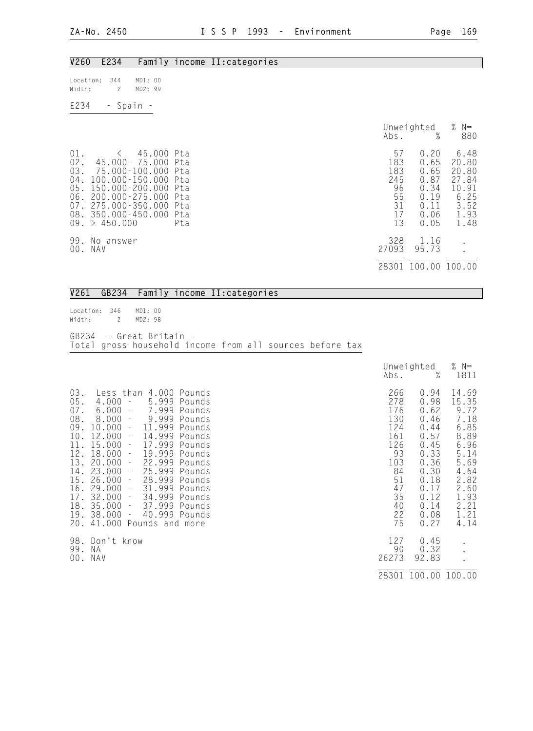| V260                                         | E234                                                                                                                                                                 |                                                        |            | Family income II: categories                                                                                                  |                                                                          |
|----------------------------------------------|----------------------------------------------------------------------------------------------------------------------------------------------------------------------|--------------------------------------------------------|------------|-------------------------------------------------------------------------------------------------------------------------------|--------------------------------------------------------------------------|
| Location:<br>Width:                          | 344<br>$\overline{c}$                                                                                                                                                | MD1: 00<br>MD2: 99                                     |            |                                                                                                                               |                                                                          |
| E234                                         | - Spain -                                                                                                                                                            |                                                        |            |                                                                                                                               |                                                                          |
|                                              |                                                                                                                                                                      |                                                        |            | Unweighted<br>%<br>Abs.                                                                                                       | % $N=$<br>880                                                            |
| $01$ .<br>02.<br>03.<br>$04$ .<br>05.<br>07. | $\left\langle \right\rangle$<br>100.000-150.000 Pta<br>150.000-200.000 Pta<br>06. 200.000-275.000 Pta<br>275.000-350.000 Pta<br>08. 350.000-450.000<br>09. > 450.000 | 45.000 Pta<br>45.000- 75.000 Pta<br>75.000-100.000 Pta | Pta<br>Pta | 57<br>0.20<br>183<br>0.65<br>183<br>0.65<br>245<br>0.87<br>96<br>0.34<br>55<br>0.19<br>31<br>0.11<br>17<br>0.06<br>13<br>0.05 | 6.48<br>20.80<br>20.80<br>27.84<br>10.91<br>6.25<br>3.52<br>1.93<br>1.48 |
| 00.                                          | 99. No answer<br>NAV                                                                                                                                                 |                                                        |            | 328<br>1.16<br>27093<br>95.73                                                                                                 | $\bullet$                                                                |
|                                              |                                                                                                                                                                      |                                                        |            | 28301 100.00 100.00                                                                                                           |                                                                          |

|  |  |  |  | V261 GB234 Family income II: categories |
|--|--|--|--|-----------------------------------------|
|--|--|--|--|-----------------------------------------|

Location: 346 MD1: 00<br>Width: 2 MD2: 98 2 MD2: 98 GB234 - Great Britain - Total gross household income from all sources before tax

|                                                                                                |                                                                                                                                                                                                                                                                                                                                                                                                                                                                                                                                                                                                                                                                                 | Abs.                                                                                                 | Unweighted<br>%                                                                                                              | % $N=$<br>1811                                                                                                                 |
|------------------------------------------------------------------------------------------------|---------------------------------------------------------------------------------------------------------------------------------------------------------------------------------------------------------------------------------------------------------------------------------------------------------------------------------------------------------------------------------------------------------------------------------------------------------------------------------------------------------------------------------------------------------------------------------------------------------------------------------------------------------------------------------|------------------------------------------------------------------------------------------------------|------------------------------------------------------------------------------------------------------------------------------|--------------------------------------------------------------------------------------------------------------------------------|
| 03.<br>05.<br>07.<br>08.<br>09.<br>11.<br>12.<br>13.<br>14.<br>15.<br>17.<br>18.<br>19.<br>20. | 4.000<br>Less than<br>Pounds<br>5.999<br>4.000<br>Pounds<br>$\overline{\phantom{a}}$<br>6.000<br>7.999<br>Pounds<br>$\equiv$<br>9.999<br>8.000<br>Pounds<br>$\pm$<br>11.999<br>10.000<br>Pounds<br>$\equiv$<br>$10.12.000 -$<br>14.999<br>Pounds<br>17.999<br>15.000<br>Pounds<br>$\overline{\phantom{a}}$<br>18.000<br>19.999<br>Pounds<br>$\equiv$<br>20.000<br>22.999<br>Pounds<br>$\equiv$<br>23.000<br>25.999<br>Pounds<br>$\sim$<br>28.999<br>26.000<br>Pounds<br>$\overline{\phantom{a}}$<br>$16.29.000 -$<br>31.999<br>Pounds<br>34.999<br>32.000<br>Pounds<br>$\pm$<br>37.999<br>$35.000 -$<br>Pounds<br>40.999 Pounds<br>38.000<br>$\pm$<br>41.000<br>Pounds and more | 266<br>278<br>176<br>130<br>124<br>161<br>126<br>93<br>103<br>84<br>51<br>47<br>35<br>40<br>22<br>75 | 0.94<br>0.98<br>0.62<br>0.46<br>0.44<br>0.57<br>0.45<br>0.33<br>0.36<br>0.30<br>0.18<br>0.17<br>0.12<br>0.14<br>0.08<br>0.27 | 14.69<br>15.35<br>9.72<br>7.18<br>6.85<br>8.89<br>6.96<br>5.14<br>5.69<br>4.64<br>2.82<br>2.60<br>1.93<br>2.21<br>1.21<br>4.14 |
| 98.<br>99.<br>00.                                                                              | Don't know<br>N A<br>NAV                                                                                                                                                                                                                                                                                                                                                                                                                                                                                                                                                                                                                                                        | 127<br>90<br>26273                                                                                   | 0.45<br>0.32<br>92.83                                                                                                        |                                                                                                                                |
|                                                                                                |                                                                                                                                                                                                                                                                                                                                                                                                                                                                                                                                                                                                                                                                                 | 28301                                                                                                | 100.00 100.00                                                                                                                |                                                                                                                                |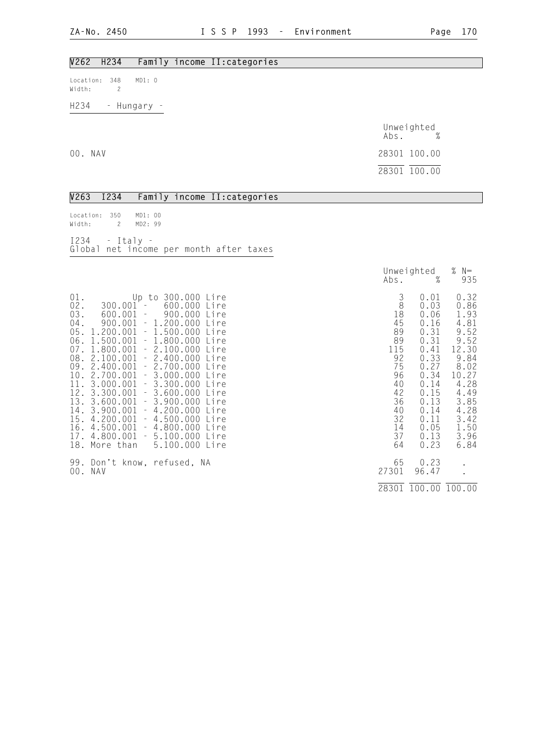### V262 H234 Family income II:categories

Location: 348 MD1: 0 Width: 2

H234 - Hungary -

|         | Unweighted<br>$\%$<br>Abs. |
|---------|----------------------------|
| 00. NAV | 28301 100.00               |
|         | 28301 100.00               |

|  |                       | V263 I234 Family income II: categories |
|--|-----------------------|----------------------------------------|
|  | Location: 350 MD1: 00 |                                        |
|  | Width: 2 MD2: 99      |                                        |

| $I234$ - Italy - |                                         |  |  |
|------------------|-----------------------------------------|--|--|
|                  | Global net income per month after taxes |  |  |

|                                                                                                                                                                                                                                                                                                                                                                                                                                                                                                                                                                                                                                                                                        |                                                                                                               | Unweighted<br>%<br>Abs.                                                                                                                      | % $N=$<br>935                                                                                                                                  |
|----------------------------------------------------------------------------------------------------------------------------------------------------------------------------------------------------------------------------------------------------------------------------------------------------------------------------------------------------------------------------------------------------------------------------------------------------------------------------------------------------------------------------------------------------------------------------------------------------------------------------------------------------------------------------------------|---------------------------------------------------------------------------------------------------------------|----------------------------------------------------------------------------------------------------------------------------------------------|------------------------------------------------------------------------------------------------------------------------------------------------|
| $01$ .<br>Up to 300.000 Lire<br>02.<br>600.000<br>$300.001 -$<br>Lire<br>03.<br>600.001 –<br>900.000 Lire<br>04.<br>$900.001 - 1.200.000$<br>Lire<br>$05. 1.200.001 - 1.500.000$<br>Lire<br>$06. 1.500.001 - 1.800.000$<br>Lire<br>1.800.001<br>$-2.100.000$<br>07.<br>Lire<br>08. 2.100.001 - 2.400.000 Lire<br>09. 2.400.001 - 2.700.000 Lire<br>$10.2.700.001 - 3.000.000$<br>Lire<br>11. 3.000.001 - 3.300.000 Lire<br>$12.3.300.001 - 3.600.000$<br>Lire<br>$13. 3.600.001 - 3.900.000$<br>Lire<br>14. 3.900.001 - 4.200.000 Lire<br>15. 4.200.001 - 4.500.000 Lire<br>$16.4.500.001 - 4.800.000$<br>Lire<br>17.4.800.001<br>$-5.100.000$<br>Lire<br>18. More than 5.100.000 Lire | 3<br>$\,8\,$<br>18<br>45<br>89<br>89<br>115<br>92<br>75<br>96<br>40<br>42<br>36<br>40<br>32<br>14<br>37<br>64 | 0.01<br>0.03<br>0.06<br>0.16<br>0.31<br>0.31<br>0.41<br>0.33<br>0.27<br>0.34<br>0.14<br>0.15<br>0.13<br>0.14<br>0.11<br>0.05<br>0.13<br>0.23 | 0.32<br>0.86<br>1.93<br>4.81<br>9.52<br>9.52<br>12.30<br>9.84<br>8.02<br>10.27<br>4.28<br>4.49<br>3.85<br>4.28<br>3.42<br>1.50<br>3.96<br>6.84 |
| 99. Don't know, refused, NA<br>00. NAV                                                                                                                                                                                                                                                                                                                                                                                                                                                                                                                                                                                                                                                 | 65<br>27301                                                                                                   | 0.23<br>96.47                                                                                                                                |                                                                                                                                                |
|                                                                                                                                                                                                                                                                                                                                                                                                                                                                                                                                                                                                                                                                                        |                                                                                                               | 28301 100.00 100.00                                                                                                                          |                                                                                                                                                |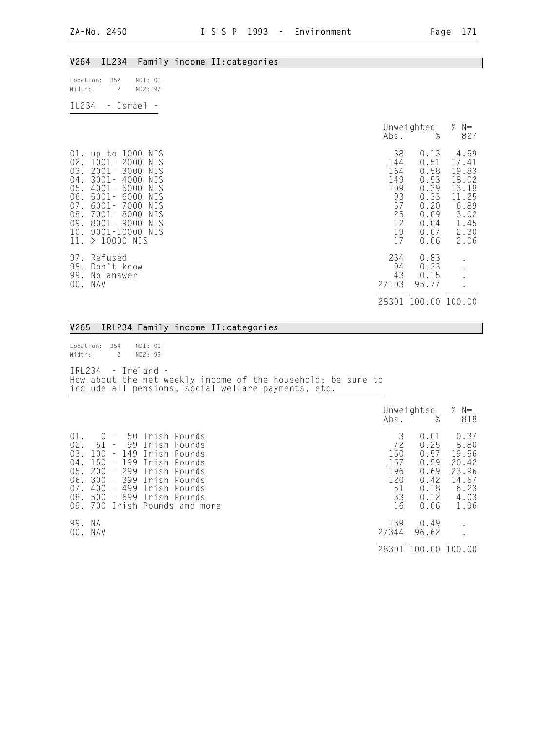| V264                                                                               | IL234                                                                                                                                                                                      |                                                      | Family income II: categories                                                                                                                               |                                                                                           |
|------------------------------------------------------------------------------------|--------------------------------------------------------------------------------------------------------------------------------------------------------------------------------------------|------------------------------------------------------|------------------------------------------------------------------------------------------------------------------------------------------------------------|-------------------------------------------------------------------------------------------|
| Location:<br>Width:                                                                | 352<br>$\mathbf{2}$                                                                                                                                                                        | MD1: 00<br>MD2: 97                                   |                                                                                                                                                            |                                                                                           |
| IL234                                                                              | - Israel -                                                                                                                                                                                 |                                                      |                                                                                                                                                            |                                                                                           |
|                                                                                    |                                                                                                                                                                                            |                                                      | Unweighted<br>%<br>Abs.                                                                                                                                    | % $N=$<br>827                                                                             |
| $01$ .<br>02.<br>03.<br>$04$ .<br>05.<br>06.<br>$07$ .<br>08.<br>09.<br>10.<br>11. | up to 1000 NIS<br>$1001 - 2000$<br>$2001 -$<br>3000<br>3001-<br>4000<br>4001-<br>5000<br>$5001 -$<br>6000<br>7000<br>6001-<br>7001-<br>8000<br>8001-9000<br>9001-10000 NIS<br>$>10000$ NIS | NIS<br>NIS<br>NIS<br>NIS<br>NIS<br>NIS<br>NIS<br>NIS | 38<br>0.13<br>144<br>0.51<br>164<br>0.58<br>149<br>0.53<br>109<br>0.39<br>93<br>0.33<br>57<br>0.20<br>25<br>0.09<br>12<br>0.04<br>19<br>0.07<br>17<br>0.06 | 4.59<br>17.41<br>19.83<br>18.02<br>13.18<br>11.25<br>6.89<br>3.02<br>1.45<br>2.30<br>2.06 |
| 97.<br>98.<br>99.<br>NAV<br>00.                                                    | Refused<br>Don't know<br>No answer                                                                                                                                                         |                                                      | 234<br>0.83<br>94<br>0.33<br>43<br>0.15<br>27103<br>95.77                                                                                                  |                                                                                           |
|                                                                                    |                                                                                                                                                                                            |                                                      | 28301 100.00 100.00                                                                                                                                        |                                                                                           |

|  |  |  |  | V265 IRL234 Family income II:categories |
|--|--|--|--|-----------------------------------------|
|--|--|--|--|-----------------------------------------|

Location: 354 MD1: 00 Width: 2 MD2: 99

IRL234 - Ireland - How about the net weekly income of the household; be sure to include all pensions, social welfare payments, etc.

|                                                            |                                                                                                                                                     |                                                                                                                                                                  | Abs.                                                  | Unweighted<br>%                                                      | % $N=$<br>818                                                            |
|------------------------------------------------------------|-----------------------------------------------------------------------------------------------------------------------------------------------------|------------------------------------------------------------------------------------------------------------------------------------------------------------------|-------------------------------------------------------|----------------------------------------------------------------------|--------------------------------------------------------------------------|
| $01$ .<br>$02$ .<br>03.<br>04.<br>05.<br>06.<br>07.<br>08. | $\cup$<br>$\sim$<br>51<br>99<br>$\sim$<br>100<br>$-149$<br>150<br>$-199$<br>200<br>- 299<br>300<br>400<br>499<br>$\pm$ .<br>500<br>- 699<br>09. 700 | 50 Irish Pounds<br>Irish Pounds<br>Irish Pounds<br>Irish Pounds<br>Irish Pounds<br>- 399 Irish Pounds<br>Irish Pounds<br>- Irish Pounds<br>Irish Pounds and more | 3<br>72<br>160<br>167<br>196<br>120<br>51<br>33<br>16 | 0.01<br>0.25<br>0.57<br>0.59<br>0.69<br>0.42<br>0.18<br>0.12<br>0.06 | 0.37<br>8.80<br>19.56<br>20.42<br>23.96<br>14.67<br>6.23<br>4.03<br>1.96 |
| 99.<br>00.                                                 | - N.A<br>NAV                                                                                                                                        |                                                                                                                                                                  | 139<br>27344                                          | 0.49<br>96.62                                                        |                                                                          |
|                                                            |                                                                                                                                                     |                                                                                                                                                                  | 2830                                                  | 100.00                                                               | 100.00                                                                   |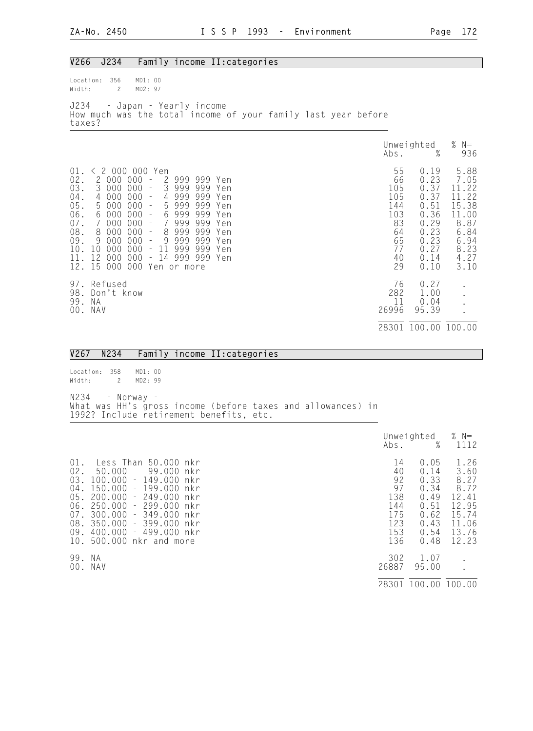| V266                                                                                      | J234                                                                                                                             |                                                                                                                                                                                                              | Family income II: categories                                                                                                                         |  |  |  |                                                                          |                                                                                              |                                                                                                  |
|-------------------------------------------------------------------------------------------|----------------------------------------------------------------------------------------------------------------------------------|--------------------------------------------------------------------------------------------------------------------------------------------------------------------------------------------------------------|------------------------------------------------------------------------------------------------------------------------------------------------------|--|--|--|--------------------------------------------------------------------------|----------------------------------------------------------------------------------------------|--------------------------------------------------------------------------------------------------|
| Location:<br>Width:                                                                       | 356<br>$\overline{c}$                                                                                                            | MD1: 00<br>MD2: 97                                                                                                                                                                                           |                                                                                                                                                      |  |  |  |                                                                          |                                                                                              |                                                                                                  |
| J234<br>taxes?                                                                            |                                                                                                                                  | - Japan - Yearly income<br>How much was the total income of your family last year before                                                                                                                     |                                                                                                                                                      |  |  |  |                                                                          |                                                                                              |                                                                                                  |
|                                                                                           |                                                                                                                                  |                                                                                                                                                                                                              |                                                                                                                                                      |  |  |  | Abs.                                                                     | Unweighted<br>$\%$                                                                           | % $N=$<br>936                                                                                    |
| 01.<br>02.<br>03.<br>$04$ .<br>05.<br>$06$ .<br>$07$ .<br>08.<br>09.<br>10.<br>11.<br>12. | 2 000 000<br>3 000 000 -<br>4 000 000 -<br>5 000 000<br>6 000 000 -<br>7 000 000 -<br>8 000 000<br>9 000 000<br>12 000 000<br>15 | $\langle$ 2 000 000 Yen<br>$\gamma=$<br>$\gamma$ =<br>8<br>$\bar{\phantom{a}}$<br>$\sim$<br>10 000 000 - 11 999 999 Yen<br>$\sim$<br>000 000 Yen or more                                                     | 2 999 999 Yen<br>3 999 999 Yen<br>4 999 999 Yen<br>5 999 999 Yen<br>6 999 999 Yen<br>7 999 999 Yen<br>999 999 Yen<br>9 999 999 Yen<br>14 999 999 Yen |  |  |  | 55<br>66<br>105<br>105<br>144<br>103<br>83<br>64<br>65<br>77<br>40<br>29 | 0.19<br>0.23<br>0.37<br>0.37<br>0.51<br>0.36<br>0.29<br>0.23<br>0.23<br>0.27<br>0.14<br>0.10 | 5.88<br>7.05<br>11.22<br>11.22<br>15.38<br>11.00<br>8.87<br>6.84<br>6.94<br>8.23<br>4.27<br>3.10 |
| 97.<br>99. NA<br>00. NAV                                                                  | Refused<br>98. Don't know                                                                                                        |                                                                                                                                                                                                              |                                                                                                                                                      |  |  |  | 76<br>282<br>11<br>26996                                                 | 0.27<br>1.00<br>0.04<br>95.39                                                                |                                                                                                  |
|                                                                                           |                                                                                                                                  |                                                                                                                                                                                                              |                                                                                                                                                      |  |  |  |                                                                          | 28301 100.00 100.00                                                                          |                                                                                                  |
| V267                                                                                      | N234                                                                                                                             |                                                                                                                                                                                                              | Family income II: categories                                                                                                                         |  |  |  |                                                                          |                                                                                              |                                                                                                  |
| Location:<br>Width:                                                                       | 358<br>$\mathbf{2}$                                                                                                              | MD1: 00<br>MD2: 99                                                                                                                                                                                           |                                                                                                                                                      |  |  |  |                                                                          |                                                                                              |                                                                                                  |
| N234                                                                                      | - Norway                                                                                                                         | What was HH's gross income (before taxes and allowances) in<br>1992? Include retirement benefits, etc.                                                                                                       |                                                                                                                                                      |  |  |  |                                                                          |                                                                                              |                                                                                                  |
|                                                                                           |                                                                                                                                  |                                                                                                                                                                                                              |                                                                                                                                                      |  |  |  | Abs.                                                                     | Unweighted<br>$\%$                                                                           | % $N=$<br>1112                                                                                   |
| 01.<br>$02$ .<br>03.<br>$04$ .<br>05.<br>07.<br>08.<br>10.                                | $50.000 -$<br>$100.000 -$<br>$300.000 -$                                                                                         | Less Than 50.000 nkr<br>149.000 nkr<br>150.000 - 199.000 nkr<br>200.000 - 249.000 nkr<br>$06.250.000 - 299.000$<br>349.000 nkr<br>350.000 - 399.000 nkr<br>09. 400.000 - 499.000 nkr<br>500.000 nkr and more | 99.000 nkr<br>nkr                                                                                                                                    |  |  |  | 14<br>40<br>92<br>97<br>138<br>144<br>175<br>123<br>153<br>136           | 0.05<br>0.14<br>0.33<br>0.34<br>0.49<br>0.51<br>0.62<br>0.43<br>0.54<br>0.48                 | 1.26<br>3.60<br>8.27<br>8.72<br>12.41<br>12.95<br>15.74<br>11.06<br>13.76<br>12.23               |
| 99. NA<br>00. NAV                                                                         |                                                                                                                                  |                                                                                                                                                                                                              |                                                                                                                                                      |  |  |  | 302<br>26887                                                             | 1.07<br>95.00                                                                                |                                                                                                  |

28301 100.00 100.00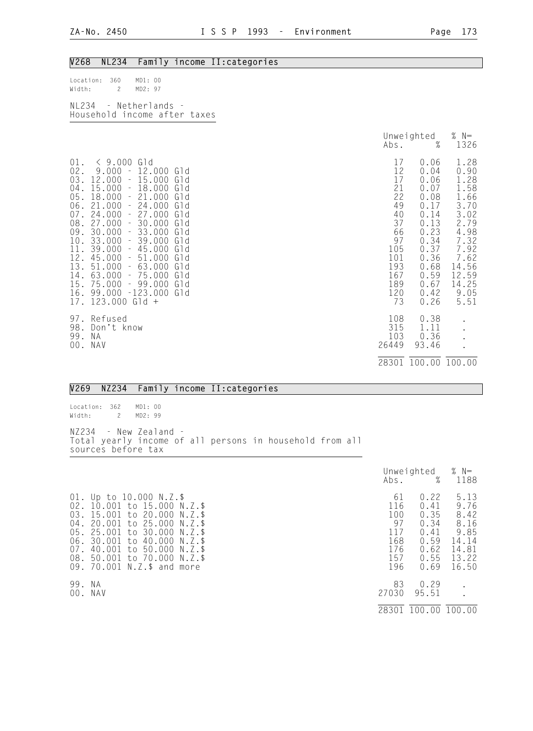## V268 NL234 Family income II:categories

| Location: 360         |       | MD1:00  |  |  |
|-----------------------|-------|---------|--|--|
| Width:                | - 2 - | MD2: 97 |  |  |
|                       |       |         |  |  |
| NI234 - Netherlands - |       |         |  |  |

| 11 L L V 1                   |  |  |
|------------------------------|--|--|
| Household income after taxes |  |  |

|                                                                                                                                                                                                                                                                                                                                                                                                                                                                                                                                                                                                                                                               | Abs.                                                                                                     | Unweighted<br>$\%$                                                                                                                   | % $N=$<br>1326                                                                                                                          |
|---------------------------------------------------------------------------------------------------------------------------------------------------------------------------------------------------------------------------------------------------------------------------------------------------------------------------------------------------------------------------------------------------------------------------------------------------------------------------------------------------------------------------------------------------------------------------------------------------------------------------------------------------------------|----------------------------------------------------------------------------------------------------------|--------------------------------------------------------------------------------------------------------------------------------------|-----------------------------------------------------------------------------------------------------------------------------------------|
| $\leq 9.000$<br>Gld<br>$01$ .<br>$02$ .<br>$9.000 - 12.000$<br>Gld<br>03.<br>$-15.000$<br>12.000<br>Gld<br>$-18.000$<br>04.<br>15.000<br>Gld<br>$-21.000$<br>Gld<br>05.<br>18.000<br>06.<br>21.000<br>$-24.000$<br>Gld<br>07.<br>24.000<br>$-27.000$<br>Gld<br>08. 27.000<br>$-30.000$<br>Gld<br>30.000<br>$-33.000$<br>09.<br>Gld<br>10.<br>33.000<br>39.000<br>Gld<br>$\sim$<br>11.<br>39.000<br>$-45.000$<br>Gld<br>45.000<br>$-51.000$<br>12.<br>Gld<br>13.<br>63.000<br>51.000<br>Gld<br>$\mathcal{L} = \mathcal{L}$<br>63.000<br>$-75.000$<br>14.<br>Gld<br>$-99.000$<br>15.<br>75.000<br>Gld<br>16.<br>$99.000 - 123.000$<br>Gld<br>$17.123.000$ Gld + | 17<br>12<br>17<br>21<br>22<br>49<br>40<br>37<br>66<br>97<br>105<br>101<br>193<br>167<br>189<br>120<br>73 | 0.06<br>0.04<br>0.06<br>0.07<br>0.08<br>0.17<br>0.14<br>0.13<br>0.23<br>0.34<br>0.37<br>0.36<br>0.68<br>0.59<br>0.67<br>0.42<br>0.26 | 1.28<br>0.90<br>1.28<br>1.58<br>1.66<br>3.70<br>3.02<br>2.79<br>4.98<br>7.32<br>7.92<br>7.62<br>14.56<br>12.59<br>14.25<br>9.05<br>5.51 |
| 97. Refused<br>98.<br>Don't know<br>99.<br>N A<br>00.<br>NAV                                                                                                                                                                                                                                                                                                                                                                                                                                                                                                                                                                                                  | 108<br>315<br>103<br>26449                                                                               | 0.38<br>1.11<br>0.36<br>93.46<br>28301 100.00 100.00                                                                                 |                                                                                                                                         |

#### V269 NZ234 Family income II:categories

Location: 362 MD1: 00 Width: 2 MD2: 99 NZ234 - New Zealand - Total yearly income of all persons in household from all sources before tax

|                                                                                                                                                                                                                                                                                                                                                     | Abs.                                                      | Unweighted<br>%                                                      | % $N=$<br>1188                                                           |
|-----------------------------------------------------------------------------------------------------------------------------------------------------------------------------------------------------------------------------------------------------------------------------------------------------------------------------------------------------|-----------------------------------------------------------|----------------------------------------------------------------------|--------------------------------------------------------------------------|
| 01. Up to 10.000 N.Z.\$<br>10.001 to 15.000 N.Z.\$<br>02.<br>to 20.000<br>15.001<br>03.<br>$N.Z.$ \$<br>to 25.000<br>20.001<br>04.<br>N.Z.\$<br>05.<br>25.001<br>to 30.000<br>N.Z.\$<br>30.001<br>06.<br>to 40.000<br>$N.Z.$ \$<br>40.001<br>to 50.000<br>07.<br>$N.7.$ \$<br>to 70.000 N.Z.\$<br>50.001<br>08.<br>70.001<br>N.Z.\$ and more<br>09. | 61<br>116<br>100<br>97<br>117<br>168<br>176<br>157<br>196 | 0.22<br>0.41<br>0.35<br>0.34<br>0.41<br>0.59<br>0.62<br>0.55<br>0.69 | 5.13<br>9.76<br>8.42<br>8.16<br>9.85<br>14.14<br>14.81<br>13.22<br>16.50 |
| 99.<br>N A<br>00.<br>NAV                                                                                                                                                                                                                                                                                                                            | 83<br>27030<br>28301                                      | 0.29<br>95.51<br>100.00                                              | 100.00                                                                   |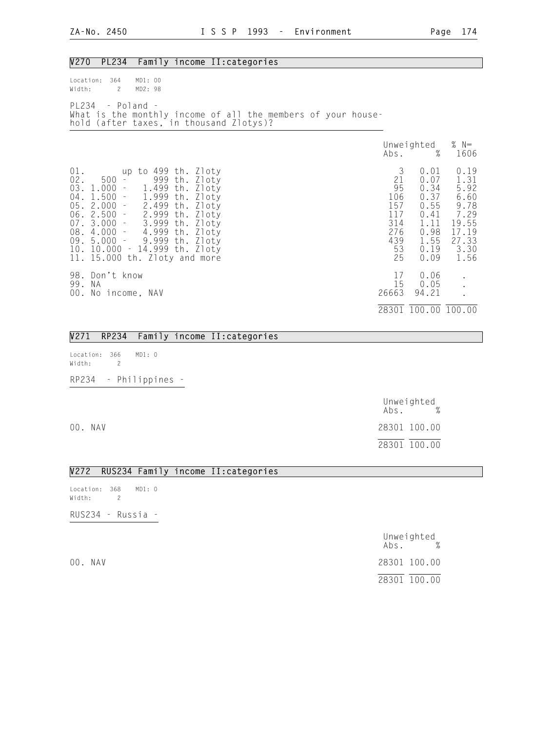#### V270 PL234 Family income II:categories Location: 364 MD1: 00<br>Width: 2 MD2: 98 Width: 2 PL234 - Poland - What is the monthly income of all the members of your household (after taxes, in thousand Zlotys)? Unweighted % N=  $\Delta \text{bs.}$  % 1606 01. up to 499 th. Zloty 3 0.01 0.19 02. 500 - 999 th. Zloty 21 0.07 1.31 03. 1.000 - 1.499 th. Zloty 95 0.34 5.92 04. 1.500 - 1.999 th. Zloty 106 0.37 6.60 05. 2.000 - 2.499 th. Zloty 157 0.55 9.78 06. 2.500 - 2.999 th. Zloty 117 0.41 7.29 07. 3.000 - 3.999 th. Zloty 314 1.11 19.55 08. 4.000 - 4.999 th. Zloty 276 0.98 17.19 09. 5.000 - 9.999 th. Zloty 439 1.55 27.33 10. 10.000 - 14.999 th. Zloty 53 0.19 3.30 11. 15.000 th. Zloty and more 25 0.09 1.56 98. Don't know 17 0.06 . 99. NA 15 0.05 . 00. No income, NAV 200. No income, NAV 200. No income, NAV 200. 200. 200. 200. 201. 28301 100.00 100.00

|                                  |                       | V271 RP234 Family income II: categories |
|----------------------------------|-----------------------|-----------------------------------------|
| Location: 366 MD1: 0<br>Width: 2 |                       |                                         |
|                                  | RP234 - Philippines - |                                         |

|         | Unweighted<br>%<br>Abs. |
|---------|-------------------------|
| 00. NAV | 28301 100.00            |
|         | 28301 100.00            |

#### V272 RUS234 Family income II:categories

Location: 368 MD1: 0 Width: 2 RUS234 - Russia -

|         | Unweighted<br>Abs. | $\%$ |
|---------|--------------------|------|
| 00. NAV | 28301 100.00       |      |
|         | 28301 100.00       |      |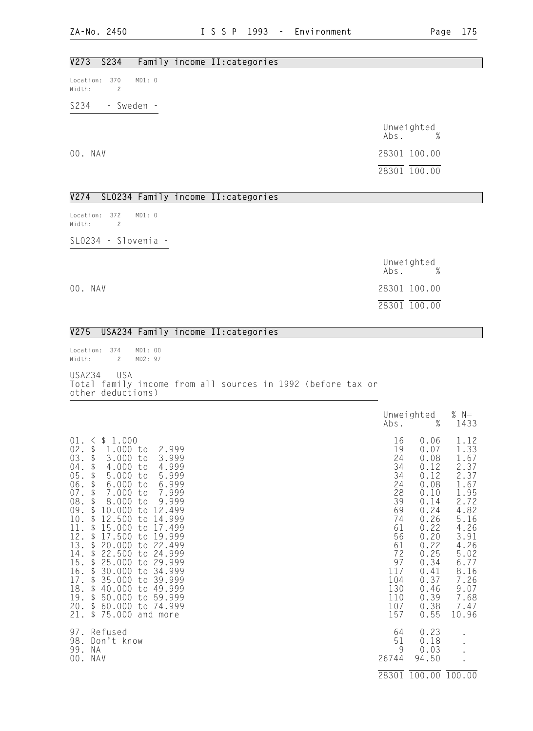## V273 S234 Family income II:categories

Location: 370 MD1: 0 Width: 2

S234 - Sweden -

 Unweighted Abs. % 00. NAV 28301 100.00 28301 100.00

#### V274 SLO234 Family income II:categories

Location: 372 MD1: 0 Width: 2

SLO234 - Slovenia -

 Unweighted Abs. % 00. NAV 28301 100.00 28301 100.00

## V275 USA234 Family income II:categories

Location: 374 MD1: 00<br>Width: 2 MD2: 97 Width: 2 USA234 - USA - Total family income from all sources in 1992 (before tax or other deductions)

|                                                                                                                                                                                                                                                                                                                                                                                                                                                                                                                                                                                                                                                                                                                                                                                                                                                                                                                                                        | Abs.                                                                                                                             | Unweighted<br>$\%$                                                                                                                                                   | % $N=$<br>1433                                                                                                                                                        |
|--------------------------------------------------------------------------------------------------------------------------------------------------------------------------------------------------------------------------------------------------------------------------------------------------------------------------------------------------------------------------------------------------------------------------------------------------------------------------------------------------------------------------------------------------------------------------------------------------------------------------------------------------------------------------------------------------------------------------------------------------------------------------------------------------------------------------------------------------------------------------------------------------------------------------------------------------------|----------------------------------------------------------------------------------------------------------------------------------|----------------------------------------------------------------------------------------------------------------------------------------------------------------------|-----------------------------------------------------------------------------------------------------------------------------------------------------------------------|
| \$1.000<br>01.<br>$\left\langle \right\rangle$<br>02.<br>$\updownarrow$<br>1.000 to<br>2.999<br>03.<br>\$<br>3.999<br>3.000<br>to<br>$04$ .<br>\$<br>4.000<br>4.999<br>to<br>05.<br>\$<br>5.000<br>5.999<br>to<br>06.<br>\$<br>6.000<br>6.999<br>to<br>$07$ .<br>\$<br>7.999<br>7.000<br>to<br>$08$ .<br>\$<br>8.000<br>9.999<br>to<br>09.<br>\$<br>12.499<br>10.000<br>to<br>$10$ .<br>\$<br>12.500<br>to<br>14.999<br>11.<br>\$<br>15.000<br>17.499<br>to<br>12.<br>$\mathfrak{L}$<br>17.500<br>19.999<br>to<br>13.<br>$\mathfrak{g}$<br>20.000<br>22.499<br>to<br>14.<br>\$<br>22.500<br>24.999<br>to<br>15.<br>25.000<br>29.999<br>\$<br>to<br>16.<br>$\mathfrak{g}$<br>30.000<br>34.999<br>to<br>$\sqrt[6]{\frac{1}{2}}$<br>17.<br>35.000<br>39.999<br>to<br>18.<br>$\frac{1}{2}$<br>40.000<br>to 49.999<br>19.<br>$\updownarrow$<br>50.000<br>59.999<br>to<br>20.<br>$\frac{1}{2}$<br>74.999<br>60.000<br>t.o<br>21.<br>\$<br>75.000<br>and more | 16<br>19<br>24<br>34<br>34<br>24<br>28<br>39<br>69<br>74<br>61<br>56<br>61<br>72<br>97<br>117<br>104<br>130<br>110<br>107<br>157 | 0.06<br>0.07<br>0.08<br>0.12<br>0.12<br>0.08<br>0.10<br>0.14<br>0.24<br>0.26<br>0.22<br>0.20<br>0.22<br>0.25<br>0.34<br>0.41<br>0.37<br>0.46<br>0.39<br>0.38<br>0.55 | 1.12<br>1.33<br>1.67<br>2.37<br>2.37<br>1.67<br>1.95<br>2.72<br>4.82<br>5.16<br>4.26<br>3.91<br>4.26<br>5.02<br>6.77<br>8.16<br>7.26<br>9.07<br>7.68<br>7.47<br>10.96 |
| 97. Refused<br>98.<br>Don't know<br>99.<br>ΝA<br>00.<br>NAV                                                                                                                                                                                                                                                                                                                                                                                                                                                                                                                                                                                                                                                                                                                                                                                                                                                                                            | 64<br>51<br>9<br>26744                                                                                                           | 0.23<br>0.18<br>0.03<br>94.50                                                                                                                                        |                                                                                                                                                                       |
|                                                                                                                                                                                                                                                                                                                                                                                                                                                                                                                                                                                                                                                                                                                                                                                                                                                                                                                                                        |                                                                                                                                  | 28301 100.00 100.00                                                                                                                                                  |                                                                                                                                                                       |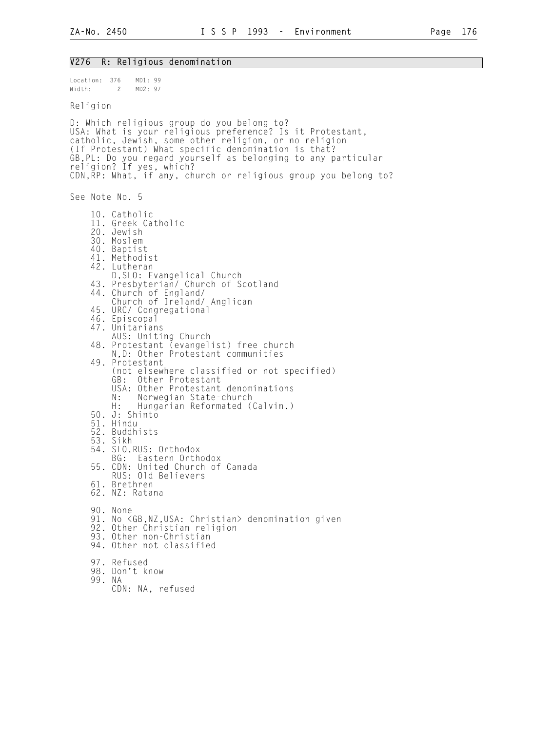#### V276 R: Religious denomination Location: 376 MD1: 99 Width: 2 MD2: 97 Religion D: Which religious group do you belong to? USA: What is your religious preference? Is it Protestant, catholic, Jewish, some other religion, or no religion (If Protestant) What specific denomination is that? GB,PL: Do you regard yourself as belonging to any particular religion? If yes, which? CDN,RP: What, if any, church or religious group you belong to? See Note No. 5 10. Catholic 11. Greek Catholic 20. Jewish 30. Moslem 40. Baptist 41. Methodist 42. Lutheran D,SLO: Evangelical Church 43. Presbyterian/ Church of Scotland 44. Church of England/ Church of Ireland/ Anglican 45. URC/ Congregational 46. Episcopal 47. Unitarians AUS: Uniting Church 48. Protestant (evangelist) free church N,D: Other Protestant communities 49. Protestant (not elsewhere classified or not specified) Other Protestant USA: Other Protestant denominations N: Norwegian State-church<br>H: Hungarian Reformated ( Hungarian Reformated (Calvin.) 50. J: Shinto 51. Hindu 52. Buddhists 53. Sikh 54. SLO,RUS: Orthodox BG: Eastern Orthodox 55. CDN: United Church of Canada RUS: Old Believers 61. Brethren 62. NZ: Ratana 90. None 91. No <GB, NZ, USA: Christian> denomination given 92. Other Christian religion 93. Other non-Christian 94. Other not classified 97. Refused 98. Don't know 99. NA CDN: NA, refused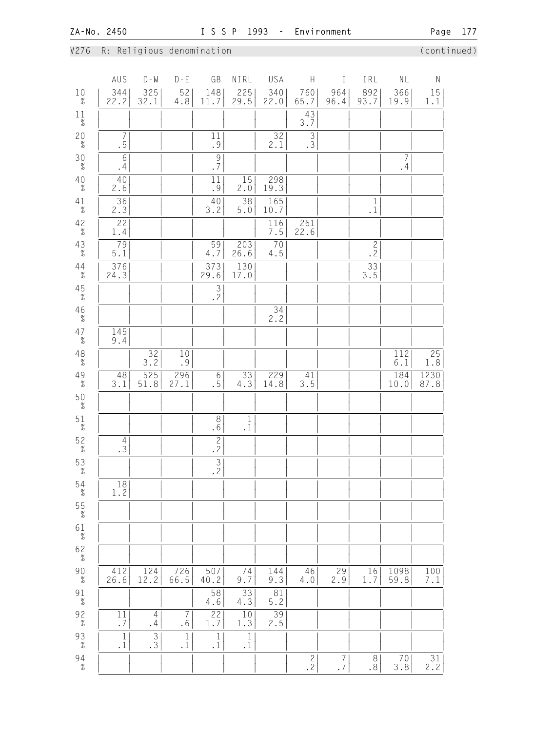V276 R: Religious denomination (continued)

| 344<br>$10\atop \%$<br>22.2<br>32.1<br>29.5<br>93.7<br>11.7<br>22.0<br>65.7<br>4.8<br>96.4<br>19.9<br>$1\frac{1}{\%}$<br>43<br>3.7<br>$20 \atop \%$<br>$\frac{32}{2.1}$<br>$\overline{7}$<br>$\frac{1}{9}$<br>$\frac{3}{3}$<br>.5<br>$\frac{30}{\%}$<br>$\,$ $\,$ $\,$<br>$\frac{9}{7}$<br>7<br>.4<br>.4<br>$40 \atop \%$<br>40<br>11<br>15<br>298<br>2.6<br>.9<br>19.3<br>2.0<br>36<br>38<br>40<br>165<br>$4\frac{1}{\%}$<br>$\begin{smallmatrix}1\\1 \end{smallmatrix}$<br>2.3<br>$3.\overline{2}$<br>$5.0$<br>10.7<br>$42 \atop \%$<br>22<br>116<br>261<br>1.4<br>22.6<br>7.5<br>$43$ $\%$<br>79<br>59<br>203<br>$70$<br>$\begin{bmatrix} 2 \\ 2 \\ 2 \end{bmatrix}$<br>5.1<br>26.6<br>$4.5\,$<br>4.7<br>130<br>$\frac{33}{3.5}$<br>$44 \atop \%$<br>$\frac{376}{24.3}$<br>373<br>29.6<br>17.0<br>$45$ $\%$<br>$\overline{3}$<br>$\overline{2}$<br>$46 \atop \%$<br>34<br>2.2<br>$47 \atop \%$<br>145<br>9.4<br>$\underset{\%}{48}$<br>32<br>112<br>$10$<br>3.2<br>.9<br>$6.1$<br>$49 \atop \%$<br>525<br>$6\,$<br>229<br>184<br>48<br>296<br>33<br>41<br>27.1<br>.5<br>3.5<br>3.1<br>51.8<br>4.3<br>14.8<br>10.0<br>$50\atop \%$<br>$51\over 2$<br>$\,8\,$<br>$1\,$<br>.6<br>$\cdot$ 1<br>$52$ $\frac{2}{\%}$<br>$\frac{2}{2}$<br>$\frac{4}{3}$<br>$\overline{\frac{3}{2}}$<br>$5\frac{3}{\%}$<br>$54$ $\%$<br>18<br>1.2<br>$55\atop -\t\%$<br>$6\frac{1}{\%}$<br>$62 \atop \frac{9}{6}$<br>$90\atop \%$<br>124<br>412<br>726<br>507<br>144<br>46<br>29<br>1098<br>74<br>16<br>12.2<br>66.5<br>9.3<br>59.8<br>26.6<br>40.2<br>2.9<br>1.7<br>9.7<br>4.0<br>33<br>58<br>81<br>$91\over \%$<br>$5.2$<br>4.3<br>4.6<br>$\overline{39}$<br>$\frac{92}{\%}$<br>22<br>10<br>11<br>$\overline{4}$<br>$\overline{7}$<br>2.5<br>$\boldsymbol{\cdot}$ 7<br>.4<br>.6<br>1.7<br>1.3<br>$\mathbf{1}$<br>$\mathbf 1$<br>$\mathbf{1}$ |                         | AUS | $D - W$                         | $D - E$ | GB           | NIRL | USA | H             | I             | IRL | $\mathsf{NL}$    | ${\sf N}$        |
|---------------------------------------------------------------------------------------------------------------------------------------------------------------------------------------------------------------------------------------------------------------------------------------------------------------------------------------------------------------------------------------------------------------------------------------------------------------------------------------------------------------------------------------------------------------------------------------------------------------------------------------------------------------------------------------------------------------------------------------------------------------------------------------------------------------------------------------------------------------------------------------------------------------------------------------------------------------------------------------------------------------------------------------------------------------------------------------------------------------------------------------------------------------------------------------------------------------------------------------------------------------------------------------------------------------------------------------------------------------------------------------------------------------------------------------------------------------------------------------------------------------------------------------------------------------------------------------------------------------------------------------------------------------------------------------------------------------------------------------------------------------------------------------------------------------------------|-------------------------|-----|---------------------------------|---------|--------------|------|-----|---------------|---------------|-----|------------------|------------------|
|                                                                                                                                                                                                                                                                                                                                                                                                                                                                                                                                                                                                                                                                                                                                                                                                                                                                                                                                                                                                                                                                                                                                                                                                                                                                                                                                                                                                                                                                                                                                                                                                                                                                                                                                                                                                                           |                         |     | 325                             | 52      | 148          | 225  | 340 | 760           | 964           | 892 | 366              | $15\,$<br>1.1    |
|                                                                                                                                                                                                                                                                                                                                                                                                                                                                                                                                                                                                                                                                                                                                                                                                                                                                                                                                                                                                                                                                                                                                                                                                                                                                                                                                                                                                                                                                                                                                                                                                                                                                                                                                                                                                                           |                         |     |                                 |         |              |      |     |               |               |     |                  |                  |
|                                                                                                                                                                                                                                                                                                                                                                                                                                                                                                                                                                                                                                                                                                                                                                                                                                                                                                                                                                                                                                                                                                                                                                                                                                                                                                                                                                                                                                                                                                                                                                                                                                                                                                                                                                                                                           |                         |     |                                 |         |              |      |     |               |               |     |                  |                  |
|                                                                                                                                                                                                                                                                                                                                                                                                                                                                                                                                                                                                                                                                                                                                                                                                                                                                                                                                                                                                                                                                                                                                                                                                                                                                                                                                                                                                                                                                                                                                                                                                                                                                                                                                                                                                                           |                         |     |                                 |         |              |      |     |               |               |     |                  |                  |
|                                                                                                                                                                                                                                                                                                                                                                                                                                                                                                                                                                                                                                                                                                                                                                                                                                                                                                                                                                                                                                                                                                                                                                                                                                                                                                                                                                                                                                                                                                                                                                                                                                                                                                                                                                                                                           |                         |     |                                 |         |              |      |     |               |               |     |                  |                  |
|                                                                                                                                                                                                                                                                                                                                                                                                                                                                                                                                                                                                                                                                                                                                                                                                                                                                                                                                                                                                                                                                                                                                                                                                                                                                                                                                                                                                                                                                                                                                                                                                                                                                                                                                                                                                                           |                         |     |                                 |         |              |      |     |               |               |     |                  |                  |
|                                                                                                                                                                                                                                                                                                                                                                                                                                                                                                                                                                                                                                                                                                                                                                                                                                                                                                                                                                                                                                                                                                                                                                                                                                                                                                                                                                                                                                                                                                                                                                                                                                                                                                                                                                                                                           |                         |     |                                 |         |              |      |     |               |               |     |                  |                  |
|                                                                                                                                                                                                                                                                                                                                                                                                                                                                                                                                                                                                                                                                                                                                                                                                                                                                                                                                                                                                                                                                                                                                                                                                                                                                                                                                                                                                                                                                                                                                                                                                                                                                                                                                                                                                                           |                         |     |                                 |         |              |      |     |               |               |     |                  |                  |
|                                                                                                                                                                                                                                                                                                                                                                                                                                                                                                                                                                                                                                                                                                                                                                                                                                                                                                                                                                                                                                                                                                                                                                                                                                                                                                                                                                                                                                                                                                                                                                                                                                                                                                                                                                                                                           |                         |     |                                 |         |              |      |     |               |               |     |                  |                  |
|                                                                                                                                                                                                                                                                                                                                                                                                                                                                                                                                                                                                                                                                                                                                                                                                                                                                                                                                                                                                                                                                                                                                                                                                                                                                                                                                                                                                                                                                                                                                                                                                                                                                                                                                                                                                                           |                         |     |                                 |         |              |      |     |               |               |     |                  |                  |
|                                                                                                                                                                                                                                                                                                                                                                                                                                                                                                                                                                                                                                                                                                                                                                                                                                                                                                                                                                                                                                                                                                                                                                                                                                                                                                                                                                                                                                                                                                                                                                                                                                                                                                                                                                                                                           |                         |     |                                 |         |              |      |     |               |               |     |                  |                  |
|                                                                                                                                                                                                                                                                                                                                                                                                                                                                                                                                                                                                                                                                                                                                                                                                                                                                                                                                                                                                                                                                                                                                                                                                                                                                                                                                                                                                                                                                                                                                                                                                                                                                                                                                                                                                                           |                         |     |                                 |         |              |      |     |               |               |     |                  |                  |
|                                                                                                                                                                                                                                                                                                                                                                                                                                                                                                                                                                                                                                                                                                                                                                                                                                                                                                                                                                                                                                                                                                                                                                                                                                                                                                                                                                                                                                                                                                                                                                                                                                                                                                                                                                                                                           |                         |     |                                 |         |              |      |     |               |               |     |                  | 25<br>1.8        |
|                                                                                                                                                                                                                                                                                                                                                                                                                                                                                                                                                                                                                                                                                                                                                                                                                                                                                                                                                                                                                                                                                                                                                                                                                                                                                                                                                                                                                                                                                                                                                                                                                                                                                                                                                                                                                           |                         |     |                                 |         |              |      |     |               |               |     |                  | 1230<br>87.8     |
|                                                                                                                                                                                                                                                                                                                                                                                                                                                                                                                                                                                                                                                                                                                                                                                                                                                                                                                                                                                                                                                                                                                                                                                                                                                                                                                                                                                                                                                                                                                                                                                                                                                                                                                                                                                                                           |                         |     |                                 |         |              |      |     |               |               |     |                  |                  |
|                                                                                                                                                                                                                                                                                                                                                                                                                                                                                                                                                                                                                                                                                                                                                                                                                                                                                                                                                                                                                                                                                                                                                                                                                                                                                                                                                                                                                                                                                                                                                                                                                                                                                                                                                                                                                           |                         |     |                                 |         |              |      |     |               |               |     |                  |                  |
|                                                                                                                                                                                                                                                                                                                                                                                                                                                                                                                                                                                                                                                                                                                                                                                                                                                                                                                                                                                                                                                                                                                                                                                                                                                                                                                                                                                                                                                                                                                                                                                                                                                                                                                                                                                                                           |                         |     |                                 |         |              |      |     |               |               |     |                  |                  |
|                                                                                                                                                                                                                                                                                                                                                                                                                                                                                                                                                                                                                                                                                                                                                                                                                                                                                                                                                                                                                                                                                                                                                                                                                                                                                                                                                                                                                                                                                                                                                                                                                                                                                                                                                                                                                           |                         |     |                                 |         |              |      |     |               |               |     |                  |                  |
|                                                                                                                                                                                                                                                                                                                                                                                                                                                                                                                                                                                                                                                                                                                                                                                                                                                                                                                                                                                                                                                                                                                                                                                                                                                                                                                                                                                                                                                                                                                                                                                                                                                                                                                                                                                                                           |                         |     |                                 |         |              |      |     |               |               |     |                  |                  |
|                                                                                                                                                                                                                                                                                                                                                                                                                                                                                                                                                                                                                                                                                                                                                                                                                                                                                                                                                                                                                                                                                                                                                                                                                                                                                                                                                                                                                                                                                                                                                                                                                                                                                                                                                                                                                           |                         |     |                                 |         |              |      |     |               |               |     |                  |                  |
|                                                                                                                                                                                                                                                                                                                                                                                                                                                                                                                                                                                                                                                                                                                                                                                                                                                                                                                                                                                                                                                                                                                                                                                                                                                                                                                                                                                                                                                                                                                                                                                                                                                                                                                                                                                                                           |                         |     |                                 |         |              |      |     |               |               |     |                  |                  |
|                                                                                                                                                                                                                                                                                                                                                                                                                                                                                                                                                                                                                                                                                                                                                                                                                                                                                                                                                                                                                                                                                                                                                                                                                                                                                                                                                                                                                                                                                                                                                                                                                                                                                                                                                                                                                           |                         |     |                                 |         |              |      |     |               |               |     |                  |                  |
|                                                                                                                                                                                                                                                                                                                                                                                                                                                                                                                                                                                                                                                                                                                                                                                                                                                                                                                                                                                                                                                                                                                                                                                                                                                                                                                                                                                                                                                                                                                                                                                                                                                                                                                                                                                                                           |                         |     |                                 |         |              |      |     |               |               |     |                  | 100<br>$7\,.1$   |
|                                                                                                                                                                                                                                                                                                                                                                                                                                                                                                                                                                                                                                                                                                                                                                                                                                                                                                                                                                                                                                                                                                                                                                                                                                                                                                                                                                                                                                                                                                                                                                                                                                                                                                                                                                                                                           |                         |     |                                 |         |              |      |     |               |               |     |                  |                  |
|                                                                                                                                                                                                                                                                                                                                                                                                                                                                                                                                                                                                                                                                                                                                                                                                                                                                                                                                                                                                                                                                                                                                                                                                                                                                                                                                                                                                                                                                                                                                                                                                                                                                                                                                                                                                                           |                         |     |                                 |         |              |      |     |               |               |     |                  |                  |
| $\cdot$ 1<br>$\cdot$ 1<br>$\cdot$ 1<br>$\cdot$ 1                                                                                                                                                                                                                                                                                                                                                                                                                                                                                                                                                                                                                                                                                                                                                                                                                                                                                                                                                                                                                                                                                                                                                                                                                                                                                                                                                                                                                                                                                                                                                                                                                                                                                                                                                                          | $93$ $\%$               |     | $\ensuremath{\mathsf{3}}$<br>.3 |         | $\mathbf{1}$ |      |     |               |               |     |                  |                  |
|                                                                                                                                                                                                                                                                                                                                                                                                                                                                                                                                                                                                                                                                                                                                                                                                                                                                                                                                                                                                                                                                                                                                                                                                                                                                                                                                                                                                                                                                                                                                                                                                                                                                                                                                                                                                                           | $94 \atop -\frac{9}{6}$ |     |                                 |         |              |      |     | $\frac{2}{2}$ | $\frac{7}{7}$ | .8  | $\frac{70}{3.8}$ | $\frac{31}{2.2}$ |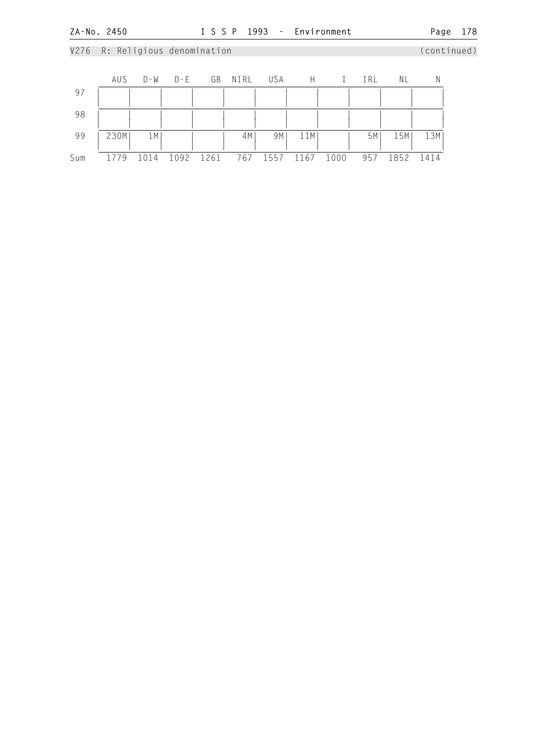## V276 R: Religious denomination (continued) AUS D-W D-E GB NIRL USA H I IRL NL N 97 | | | | | | | | | | | | | | | | | | | | | | | | | | 98 | | | | | | | | | | | | | | | | | | | | | | | | | | 99 | 230M| 1M| | | 4M| 9M| 11M| | 5M| 15M| 13M| | | | | | | | | | | | | Sum 1779 1014 1092 1261 767 1557 1167 1000 957 1852 1414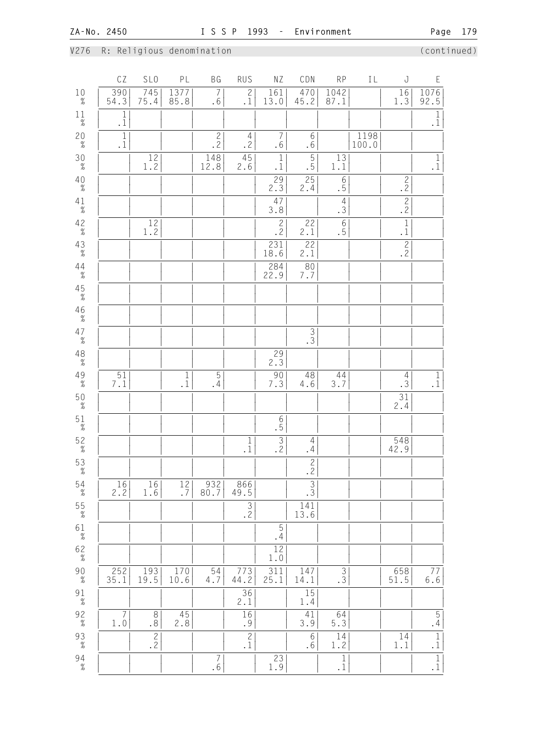## V276 R: Religious denomination (continued)

|                                         | CZ                                         | SL <sub>0</sub>                             | PL                                         | ΒG                                    | RUS                              | ΝZ                                                     | CDN                              | <b>RP</b>                                  | IL            | J                      | E                                             |
|-----------------------------------------|--------------------------------------------|---------------------------------------------|--------------------------------------------|---------------------------------------|----------------------------------|--------------------------------------------------------|----------------------------------|--------------------------------------------|---------------|------------------------|-----------------------------------------------|
| $10\atop \%$                            | $\frac{390}{54.3}$                         | 745<br>75.4                                 | 1377<br>85.8                               | $\overline{7}$<br>.6                  | $\frac{2}{1}$                    | 161<br>13.0                                            | 470<br>45.2                      | 1042<br>87.1                               |               | $\frac{16}{1.3}$       | $\frac{1076}{92.5}$                           |
| $1\frac{1}{\%}$                         | $\begin{smallmatrix}1\\1\end{smallmatrix}$ |                                             |                                            |                                       |                                  |                                                        |                                  |                                            |               |                        | $\begin{smallmatrix}1\\1\end{smallmatrix}$    |
| $20 \atop \%$                           | $\overline{\frac{1}{1}}$                   |                                             |                                            | $\frac{2}{2}$                         | $\overline{4}$<br>$\cdot$ 2      | $\overline{7}$<br>$\boldsymbol{\cdot}$ 6               | $6\,$<br>.6                      |                                            | 1198<br>100.0 |                        |                                               |
| $30 \atop \%$                           |                                            | $\frac{12}{1.2}$                            |                                            | 148<br>12.8                           | 45<br>2.6                        | $\,1$<br>$\cdot$ 1                                     | $\overline{5}$<br>.5             | 13<br>1.1                                  |               |                        | $\overline{\frac{1}{1}}$                      |
| $40 \atop \%$                           |                                            |                                             |                                            |                                       |                                  | 29<br>2.3                                              | $\overline{25}$<br>2.4           | $\boldsymbol{6}$<br>$\overline{.}5$        |               | $\frac{2}{2}$          |                                               |
| $4\frac{1}{\%}$                         |                                            |                                             |                                            |                                       |                                  | 47<br>3.8                                              |                                  | $\frac{4}{3}$                              |               | $\frac{2}{2}$          |                                               |
| $42$<br>$\%$                            |                                            | $\frac{12}{1.2}$                            |                                            |                                       |                                  | $\frac{2}{2}$                                          | 22<br>2.1                        | $\boldsymbol{6}$<br>$\overline{5}$         |               | $\frac{1}{1}$          |                                               |
| $43$ $\%$                               |                                            |                                             |                                            |                                       |                                  | 231<br>18.6                                            | 22<br>2.1                        |                                            |               | $\frac{2}{2}$          |                                               |
| $44 \atop -\frac{9}{6}$                 |                                            |                                             |                                            |                                       |                                  | $\frac{284}{22.9}$                                     | 80<br>7.7                        |                                            |               |                        |                                               |
| $45$ $\%$                               |                                            |                                             |                                            |                                       |                                  |                                                        |                                  |                                            |               |                        |                                               |
| $46$ $\%$                               |                                            |                                             |                                            |                                       |                                  |                                                        |                                  |                                            |               |                        |                                               |
| $47 \atop \%$                           |                                            |                                             |                                            |                                       |                                  |                                                        | $\overline{\frac{3}{3}}$         |                                            |               |                        |                                               |
| $\overset{4\,8}{\mathcal{U}}$           |                                            |                                             |                                            |                                       |                                  | 29<br>$2.\overline{3}$                                 |                                  |                                            |               |                        |                                               |
| $49$ $\%$                               | $51\,$<br>7.1                              |                                             | $\begin{smallmatrix}1\\1\end{smallmatrix}$ | $\mathbf 5$<br>.4                     |                                  | 90<br>7.3                                              | 48<br>4.6                        | 44<br>3.7                                  |               | 4<br>.3                | $\begin{smallmatrix}1\\1\\1\end{smallmatrix}$ |
| $50 \atop \frac{9}{6}$                  |                                            |                                             |                                            |                                       |                                  |                                                        |                                  |                                            |               | $\overline{31}$<br>2.4 |                                               |
| $51\over 2$                             |                                            |                                             |                                            |                                       |                                  | $\overline{\phantom{0}6}$<br>$\overline{\phantom{0}6}$ |                                  |                                            |               |                        |                                               |
| $\frac{52}{\%}$                         |                                            |                                             |                                            |                                       | $\,1\,$<br>$\cdot$ 1             | $\mathfrak{Z}$<br>.2                                   | $\overline{4}$<br>.4             |                                            |               | 548<br>42.9            |                                               |
| 53<br>$\%$                              |                                            |                                             |                                            |                                       |                                  |                                                        | $\frac{2}{2}$                    |                                            |               |                        |                                               |
| $54$ $\%$                               | $\frac{16}{2.2}$                           | $16$<br>1.6                                 | $\frac{12}{7}$                             | $\frac{932}{80.7}$                    | 866<br>49.5                      |                                                        | $\overline{3}$<br>$\overline{3}$ |                                            |               |                        |                                               |
| $\frac{55}{\%}$                         |                                            |                                             |                                            |                                       | $\overline{3}$<br>$\overline{2}$ |                                                        | 141<br>13.6                      |                                            |               |                        |                                               |
| $6\frac{1}{\%}$                         |                                            |                                             |                                            |                                       |                                  | 5<br>.4                                                |                                  |                                            |               |                        |                                               |
| $\begin{array}{c} 62 \\ \% \end{array}$ |                                            |                                             |                                            |                                       |                                  | $\frac{12}{1.0}$                                       |                                  |                                            |               |                        |                                               |
| $\begin{array}{c} 90 \\ \% \end{array}$ | $252$<br>35.1                              | $\begin{array}{ c} 193 \\ 19.5 \end{array}$ | $\frac{170}{10.6}$                         | 54<br>4.7                             | 773<br>44.2                      | $\frac{311}{25.1}$                                     | 147<br>14.1                      | $\frac{1}{3}$                              |               | $658$<br>$51.5$        | $77$<br>6.6                                   |
| $91\over \%$                            |                                            |                                             |                                            |                                       | $\frac{36}{2.1}$                 |                                                        | 15<br>1.4                        |                                            |               |                        |                                               |
| $\frac{92}{\%}$                         | 7<br>$1.0$                                 | $\,8\,$<br>.8                               | 45<br>2.8                                  |                                       | 16<br>$\boldsymbol{\cdot}$ 9     |                                                        | 41<br>3.9                        | 64<br>5.3                                  |               |                        | $\frac{5}{4}$                                 |
| $\begin{array}{c} 93 \\ \% \end{array}$ |                                            | $\frac{2}{2}$                               |                                            |                                       | $\overline{c}$<br>$\cdot$ 1      |                                                        | 6<br>.6                          | 14<br>1.2                                  |               | 14<br>1.1              | $\overline{\frac{1}{1}}$                      |
| $94 \atop \frac{9}{6}$                  |                                            |                                             |                                            | $\begin{array}{c} 7 \\ 6 \end{array}$ |                                  | 23<br>1.9                                              |                                  | $\begin{smallmatrix}1\\1\end{smallmatrix}$ |               |                        | $\frac{1}{1}$                                 |
|                                         |                                            |                                             |                                            |                                       |                                  |                                                        |                                  |                                            |               |                        |                                               |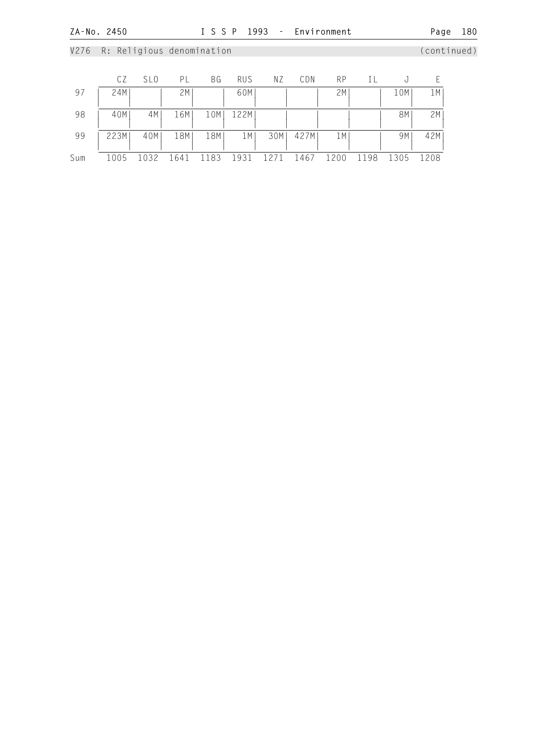|     | CΖ   | SL <sub>0</sub> | PL   | ΒG   | <b>RUS</b> | ΝZ   | CDN  | <b>RP</b> | ΙL   | U    |      |
|-----|------|-----------------|------|------|------------|------|------|-----------|------|------|------|
| 97  | 24M  |                 | 2M   |      | 60M        |      |      | 2M        |      | 10M  | 1 M  |
| 98  | 40M  | 4M              | 16M  | 10M  | 122M       |      |      |           |      | 8M   | 2M   |
| 99  | 223M | 40M             | 18M  | 18M  | 1 M        | 30M  | 427M | 1 M       |      | 9M   | 42M  |
| Sum | 1005 | 1032            | 1641 | 1183 | 1931       | 1271 | 1467 | 1200      | 1198 | 1305 | 1208 |

# V276 R: Religious denomination (continued)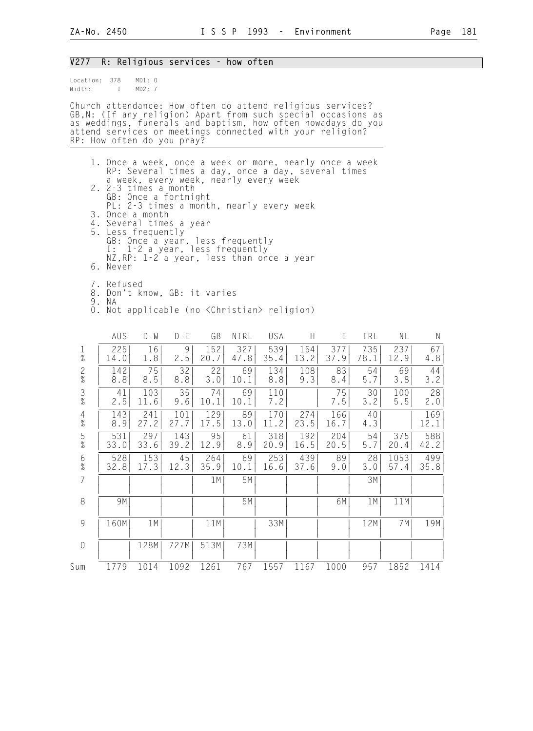#### V277 R: Religious services - how often

| Location: 378<br>Width: | $\mathbf{1}$                                                                                                                                                                                                                                                                           | MD1: 0<br>MD2: 7     |                     |                   |                                                                                                                                                          |                    |                    |                   |                   |                   |                    |  |
|-------------------------|----------------------------------------------------------------------------------------------------------------------------------------------------------------------------------------------------------------------------------------------------------------------------------------|----------------------|---------------------|-------------------|----------------------------------------------------------------------------------------------------------------------------------------------------------|--------------------|--------------------|-------------------|-------------------|-------------------|--------------------|--|
|                         | Church attendance: How often do attend religious services?<br>GB, N: (If any religion) Apart from such special occasions as<br>as weddings, funerals and baptism, how often nowadays do you<br>attend services or meetings connected with your religion?<br>RP: How often do you pray? |                      |                     |                   |                                                                                                                                                          |                    |                    |                   |                   |                   |                    |  |
|                         | 1. Once a week, once a week or more, nearly once a week<br>2. 2-3 times a month                                                                                                                                                                                                        | GB: Once a fortnight |                     |                   | RP: Several times a day, once a day, several times<br>a week, every week, nearly every week                                                              |                    |                    |                   |                   |                   |                    |  |
|                         | 3. Once a month<br>4. Several times a year<br>5. Less frequently<br><b>I :</b><br>6. Never                                                                                                                                                                                             |                      |                     |                   | PL: 2-3 times a month, nearly every week<br>GB: Once a year, less frequently<br>1-2 a year, less frequently<br>NZ, RP: 1-2 a year, less than once a year |                    |                    |                   |                   |                   |                    |  |
|                         | 7. Refused<br>8. Don't know, GB: it varies<br>9. NA<br>0. Not applicable (no <christian> religion)</christian>                                                                                                                                                                         |                      |                     |                   |                                                                                                                                                          |                    |                    |                   |                   |                   |                    |  |
| $\frac{1}{\%}$          | AUS<br>225                                                                                                                                                                                                                                                                             | $D - W$<br>16        | $D - E$<br>9<br>2.5 | GB<br>152         | NIRL<br>327                                                                                                                                              | USA<br>539         | H<br>154           | $\bf{I}$<br>377   | IRL<br>735        | NL<br>237         | <sup>N</sup><br>67 |  |
| $\frac{2}{\%}$          | 14.0<br>142<br>8.8                                                                                                                                                                                                                                                                     | 1.8<br>75<br>8.5     | 32<br>8.8           | 20.7<br>22<br>3.0 | 47.8<br>69<br>10.1                                                                                                                                       | 35.4<br>134<br>8.8 | 13.2<br>108<br>9.3 | 37.9<br>83<br>8.4 | 78.1<br>54<br>5.7 | 12.9<br>69<br>3.8 | 4.8<br>44<br>3.2   |  |
| $\frac{3}{8}$           | 41<br>2.5                                                                                                                                                                                                                                                                              | 103<br>11.6          | 35<br>9.6           | 74<br>10.1        | 69<br>10.1                                                                                                                                               | 110<br>7.2         |                    | 75<br>7.5         | 30<br>3.2         | 100<br>5.5        | 28<br>2.0          |  |
| $\overline{4}$<br>$\%$  | 143<br>8.9                                                                                                                                                                                                                                                                             | 241<br>27.2          | 101<br>27.7         | 129<br>17.5       | 89<br>13.0                                                                                                                                               | 170<br>11.2        | 274<br>23.5        | 166<br>16.7       | 40<br>4.3         |                   | 169<br>12.1        |  |
| 5<br>$\frac{9}{6}$      | 531<br>33.0                                                                                                                                                                                                                                                                            | 297<br>33.6          | 143<br>39.2         | 95<br>12.9        | 61<br>8.9                                                                                                                                                | 318<br>20.9        | 192<br>16.5        | 204<br>20.5       | 54<br>5.7         | 375<br>20.4       | 588<br>42.2        |  |

 6 | 528| 153| 45| 264| 69| 253| 439| 89| 28| 1053| 499| % | 32.8| 17.3| 12.3| 35.9| 10.1| 16.6| 37.6| 9.0| 3.0| 57.4| 35.8| 7 | | | | 1M| 5M| | | | 3M| | | | | | | | | | | | | | | 8 | 9M| | | | 5M| | | 6M| 1M| 11M| | | | | | | | | | | | | | 9 | 160M| 1M| | 11M| | 33M| | | 12M| 7M| 19M| | | | | | | | | | | | | 0 | | 128M| 727M| 513M| | | | | | | | | | | | | | | | | | | | | | | Sum 1779 1014 1092 1261 767 1557 1167 1000 957 1852 1414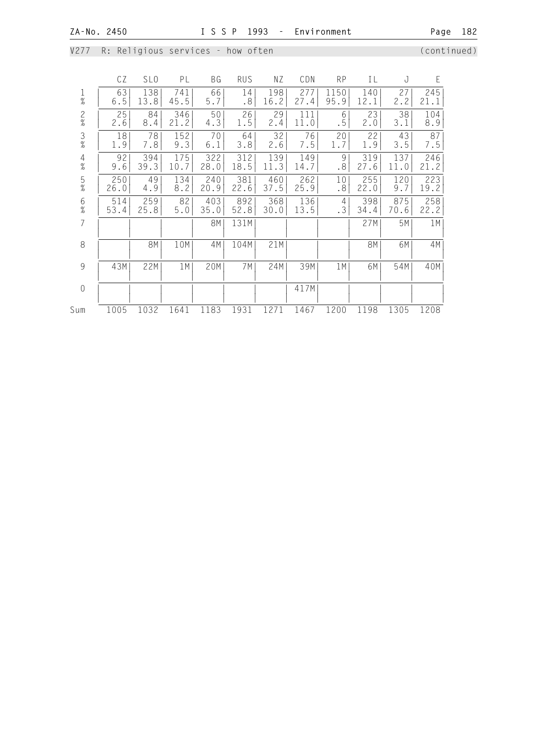V277 R: Religious services - how often **variable and the continued**)

 CZ SLO PL BG RUS NZ CDN RP IL J E 1 | 63| 138| 741| 66| 14| 198| 277| 1150| 140| 27| 245| % | 6.5| 13.8| 45.5| 5.7| .8| 16.2| 27.4| 95.9| 12.1| 2.2| 21.1| 2 | 25| 84| 346| 50| 26| 29| 111| 6| 23| 38| 104| % | 2.6| 8.4| 21.2| 4.3| 1.5| 2.4| 11.0| .5| 2.0| 3.1| 8.9| 3 | 18| 78| 152| 70| 64| 32| 76| 20| 22| 43| 87| % | 1.9| 7.8| 9.3| 6.1| 3.8| 2.6| 7.5| 1.7| 1.9| 3.5| 7.5| 4 | 92| 394| 175| 322| 312| 139| 149| 9| 319| 137| 246| % | 9.6| 39.3| 10.7| 28.0| 18.5| 11.3| 14.7| .8| 27.6| 11.0| 21.2| 5 | 250| 49| 134| 240| 381| 460| 262| 10| 255| 120| 223| % | 26.0| 4.9| 8.2| 20.9| 22.6| 37.5| 25.9| .8| 22.0| 9.7| 19.2| 6 | 514| 259| 82| 403| 892| 368| 136| 4| 398| 875| 258| % | 53.4| 25.8| 5.0| 35.0| 52.8| 30.0| 13.5| .3| 34.4| 70.6| 22.2| 7 | | | | 8M| 131M| | | | 27M| 5M| 1M| | | | | | | | | | | | | 8 | | 8M| 10M| 4M| 104M| 21M| | | 8M| 6M| 4M| | | | | | | | | | | | | 9 | 43M| 22M| 1M| 20M| 7M| 24M| 39M| 1M| 6M| 54M| 40M| | | | | | | | | | | | | 0 | | | | | | | 417M| | | | | | | | | | | | | | | | | Sum 1005 1032 1641 1183 1931 1271 1467 1200 1198 1305 1208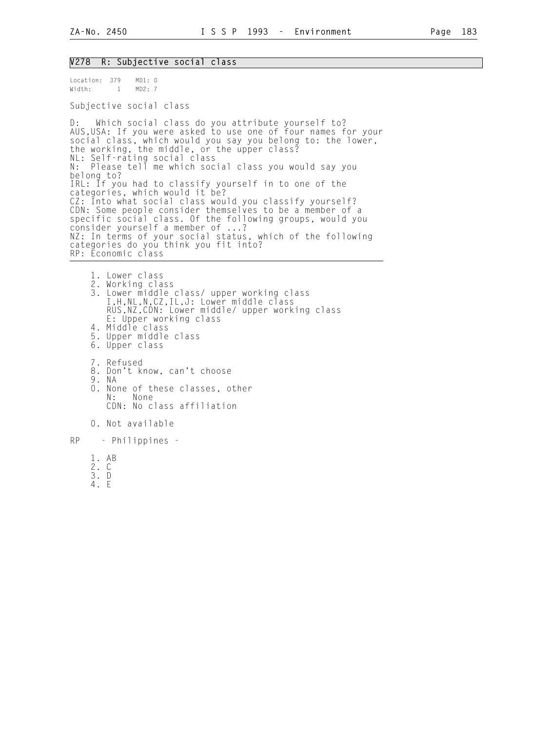#### V278 R: Subjective social class

Location: 379 MD1: 0 Width: 1 MD2: 7

Subjective social class

D: Which social class do you attribute yourself to? AUS,USA: If you were asked to use one of four names for your social class, which would you say you belong to: the lower, the working, the middle, or the upper class? NL: Self-rating social class N: Please tell me which social class you would say you belong to? IRL: If you had to classify yourself in to one of the categories, which would it be? CZ: Into what social class would you classify yourself? CDN: Some people consider themselves to be a member of a specific social class. Of the following groups, would you consider yourself a member of ...? NZ: In terms of your social status, which of the following categories do you think you fit into? RP: Economic class

 1. Lower class 2. Working class 3. Lower middle class/ upper working class I,H,NL,N,CZ,IL,J: Lower middle class RUS,NZ,CDN: Lower middle/ upper working class E: Upper working class 4. Middle class 5. Upper middle class 6. Upper class 7. Refused 8. Don't know, can't choose 9. NA 0. None of these classes, other<br>N: None None CDN: No class affiliation 0. Not available RP - Philippines -

 1. AB 2. C

- 3. D
	- 4. E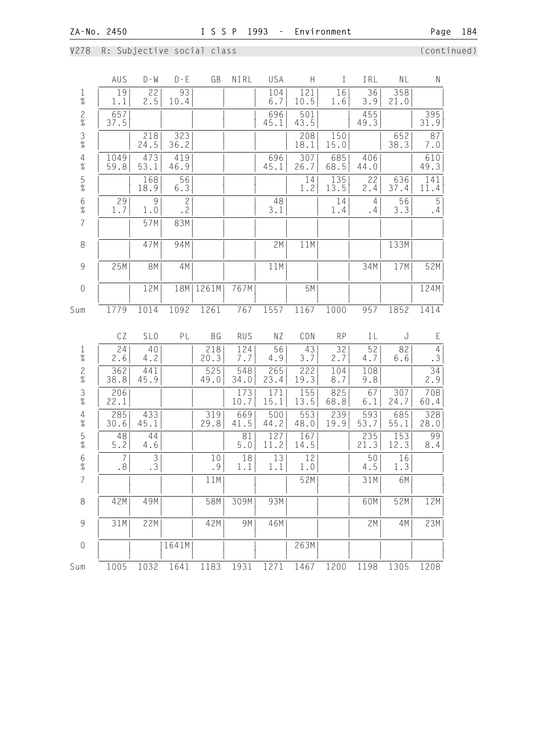V278 R: Subjective social class (continued)

|                                            | AUS                  | $D - W$              | $D - E$              | GB              | NIRL        | USA         | H           | T           | IRL            | NL          | $\mathsf{N}$         |
|--------------------------------------------|----------------------|----------------------|----------------------|-----------------|-------------|-------------|-------------|-------------|----------------|-------------|----------------------|
| $\frac{1}{\%}$                             | 19<br>1.1            | 22<br>2.5            | 93<br>10.4           |                 |             | 104<br>6.7  | 121<br>10.5 | 16<br>1.6   | 36<br>3.9      | 358<br>21.0 |                      |
| $\frac{2}{\%}$                             | 657<br>37.5          |                      |                      |                 |             | 696<br>45.1 | 501<br>43.5 |             | 455<br>49.3    |             | 395<br>31.9          |
| $\frac{3}{8}$                              |                      | 218<br>24.5          | 323<br>36.2          |                 |             |             | 208<br>18.1 | 150<br>15.0 |                | 652<br>38.3 | 87<br>7.0            |
| $\begin{array}{c} 4 \\ 2 \\ 0 \end{array}$ | 1049<br>59.8         | 473<br>53.1          | 419<br>46.9          |                 |             | 696<br>45.1 | 307<br>26.7 | 685<br>68.5 | 406<br>44.0    |             | 610<br>49.3          |
| $\frac{5}{\%}$                             |                      | 168<br>18.9          | 56<br>6.3            |                 |             |             | 14<br>1.2   | 135<br>13.5 | 22<br>2.4      | 636<br>37.4 | 141<br>11.4          |
| $\frac{6}{\%}$                             | 29<br>1.7            | 9<br>1.0             | $\overline{c}$<br>.2 |                 |             | 48<br>3.1   |             | 14<br>1.4   | 4<br>$\cdot$ 4 | 56<br>3.3   | 5<br>.4              |
| $\overline{7}$                             |                      | 57M                  | 83M                  |                 |             |             |             |             |                |             |                      |
| 8                                          |                      | 47M                  | 94M                  |                 |             | 2M          | 11M         |             |                | 133M        |                      |
| $\overline{9}$                             | 25M                  | <b>8M</b>            | 4M                   |                 |             | 11M         |             |             | 34M            | 17M         | 52M                  |
| $\sqrt{a}$                                 |                      | 12M                  | 18M                  | 1261M           | 767M        |             | 5M          |             |                |             | 124M                 |
| Sum                                        | 1779                 | 1014                 | 1092                 | 1261            | 767         | 1557        | 1167        | 1000        | 957            | 1852        | 1414                 |
|                                            | CZ                   | SL <sub>0</sub>      | PL                   | BG              | <b>RUS</b>  | NZ          | CDN         | <b>RP</b>   | IL             | J           | E                    |
| $\frac{1}{\%}$                             | 24<br>2.6            | 40<br>4.2            |                      | 218<br>20.3     | 124<br>7.7  | 56<br>4.9   | 43<br>3.7   | 32<br>2.7   | 52<br>4.7      | 82<br>6.6   | $\overline{4}$<br>.3 |
| $\frac{2}{\%}$                             | 362<br>38.8          | 441<br>45.9          |                      | 525<br>49.0     | 548<br>34.0 | 265<br>23.4 | 222<br>19.3 | 104<br>8.7  | 108<br>9.8     |             | 34<br>2.9            |
| $\frac{3}{8}$                              | 206<br>22.1          |                      |                      |                 | 173<br>10.7 | 171<br>15.1 | 155<br>13.5 | 825<br>68.8 | 67<br>6.1      | 307<br>24.7 | 708<br>60.4          |
| $\frac{4}{\%}$                             | 285<br>30.6          | 433<br>45.1          |                      | 319<br>29.8     | 669<br>41.5 | 500<br>44.2 | 553<br>48.0 | 239<br>19.9 | 593<br>53.7    | 685<br>55.1 | 328<br>28.0          |
| $\frac{5}{\%}$                             | 48<br>$5.2$          | 44<br>4.6            |                      |                 | 81<br>$5.0$ | 127<br>11.2 | 167<br>14.5 |             | 235<br>21.3    | 153<br>12.3 | 99<br>8.4            |
| 6<br>%                                     | $\overline{7}$<br>.8 | $\overline{3}$<br>.3 |                      | 10<br>$\cdot$ 9 | 18<br>1.1   | 13<br>1.1   | 12<br>1.0   |             | 50<br>4.5      | 16<br>1.3   |                      |
| $\overline{7}$                             |                      |                      |                      | 11M             |             |             | 52M         |             | 31M            | 6M          |                      |
| $\,8\,$                                    | 42M                  | 49M                  |                      | 58M             | 309M        | 93M         |             |             | 60M            | 52M         | 12M                  |
| $\overline{9}$                             | 31M                  | 22M                  |                      | 42M             | 9M          | 46M         |             |             | 2M             | 4M          | 23M                  |
| $\mathbf 0$                                |                      |                      | 1641M                |                 |             |             | 263M        |             |                |             |                      |
| Sum                                        | 1005                 | 1032                 | 1641                 | 1183            | 1931        | 1271        | 1467        | 1200        | 1198           | 1305        | 1208                 |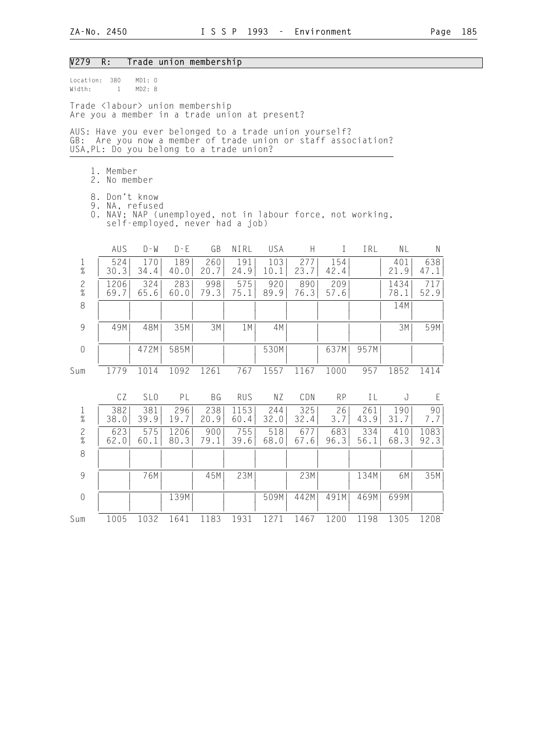#### V279 R: Trade union membership

Location: 380 MD1: 0<br>Width: 1 MD2: 8  $Width: 1$ 

Trade <labour> union membership Are you a member in a trade union at present?

AUS: Have you ever belonged to a trade union yourself? GB: Are you now a member of trade union or staff association? USA,PL: Do you belong to a trade union?

- 1. Member
- 2. No member
	- 8. Don't know
- 9. NA, refused
- 0. NAV; NAP (unemployed, not in labour force, not working, self-employed, never had a job)

|                | AUS          | $D - W$         | $D - F$      | GB          | NIRL         | USA         | H           | T           | IRL         | ΝL           | $\mathsf{N}$ |  |
|----------------|--------------|-----------------|--------------|-------------|--------------|-------------|-------------|-------------|-------------|--------------|--------------|--|
| $\frac{1}{\%}$ | 524<br>30.3  | 170<br>34.4     | 189<br>40.0  | 260<br>20.7 | 191<br>24.9  | 103<br>10.1 | 277<br>23.7 | 154<br>42.4 |             | 401<br>21.9  | 638<br>47.1  |  |
| $\frac{2}{\%}$ | 1206<br>69.7 | 324<br>65.6     | 283<br>60.0  | 998<br>79.3 | 575<br>75.1  | 920<br>89.9 | 890<br>76.3 | 209<br>57.6 |             | 1434<br>78.1 | 717<br>52.9  |  |
| $\,8\,$        |              |                 |              |             |              |             |             |             |             | 14M          |              |  |
| $\overline{9}$ | 49M          | 48M             | 35M          | 3M          | 1 M          | 4M          |             |             |             | 3M           | 59M          |  |
| $\mathbf 0$    |              | 472M            | 585M         |             |              | 530M        |             | 637M        | 957M        |              |              |  |
| Sum            | 1779         | 1014            | 1092         | 1261        | 767          | 1557        | 1167        | 1000        | 957         | 1852         | 1414         |  |
|                | CZ           | SL <sub>0</sub> | PL           | ΒG          | <b>RUS</b>   | ΝZ          | CDN         | <b>RP</b>   | ΙL          | J            | E            |  |
| $\frac{1}{\%}$ | 382<br>38.0  | 381<br>39.9     | 296<br>19.7  | 238<br>20.9 | 1153<br>60.4 | 244<br>32.0 | 325<br>32.4 | 26<br>3.7   | 261<br>43.9 | 190<br>31.7  | 90<br>7.7    |  |
| $\frac{2}{\%}$ | 623<br>62.0  | 575<br>60.1     | 1206<br>80.3 | 900<br>79.1 | 755<br>39.6  | 518<br>68.0 | 677<br>67.6 | 683<br>96.3 | 334<br>56.1 | 410<br>68.3  | 1083<br>92.3 |  |
| $\,8\,$        |              |                 |              |             |              |             |             |             |             |              |              |  |
| 9              |              | 76M             |              | 45M         | 23M          |             | 23M         |             | 134M        | 6M           | 35M          |  |
| $\sqrt{a}$     |              |                 | 139M         |             |              | 509M        | 442M        | 491M        | 469M        | 699M         |              |  |
| Sum            | 1005         | 1032            | 1641         | 1183        | 1931         | 1271        | 1467        | 1200        | 1198        | 1305         | 1208         |  |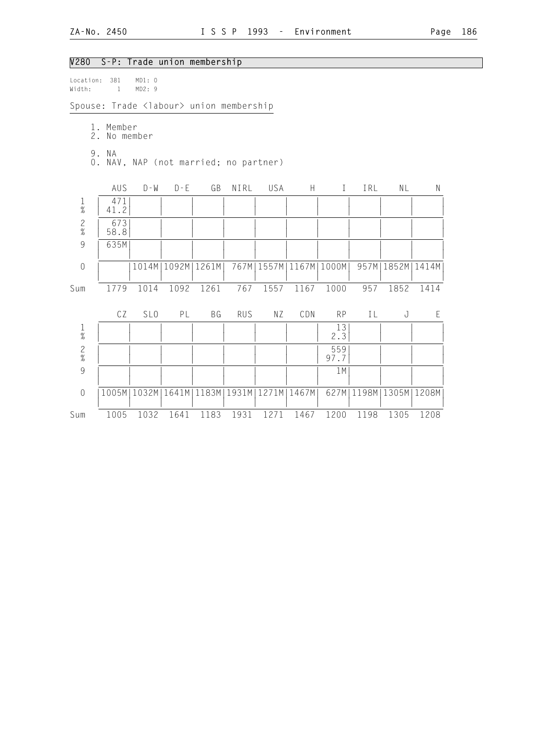| V280                                                      |                                                  |                 |         | S-P: Trade union membership |            |                              |      |              |      |                              |           |
|-----------------------------------------------------------|--------------------------------------------------|-----------------|---------|-----------------------------|------------|------------------------------|------|--------------|------|------------------------------|-----------|
| Location:<br>Width:                                       | 381<br>$\mathbf{1}$                              | MD1: 0<br>MD2:9 |         |                             |            |                              |      |              |      |                              |           |
|                                                           | Spouse: Trade <labour> union membership</labour> |                 |         |                             |            |                              |      |              |      |                              |           |
|                                                           | 1. Member<br>2.<br>No member                     |                 |         |                             |            |                              |      |              |      |                              |           |
|                                                           | 9. NA<br>0. NAV, NAP (not married; no partner)   |                 |         |                             |            |                              |      |              |      |                              |           |
|                                                           | AUS                                              | $D - M$         | $D - E$ | GB                          | NIRL       | USA                          | H    | $\mathbf{I}$ | IRL  | NL                           | ${\sf N}$ |
| $\frac{1}{\%}$                                            | 471<br>41.2                                      |                 |         |                             |            |                              |      |              |      |                              |           |
| $\frac{2}{\%}$                                            | 673<br>58.8                                      |                 |         |                             |            |                              |      |              |      |                              |           |
| $\mathcal{G}% _{M_{1},M_{2}}^{\alpha,\beta}(\mathcal{G})$ | 635M                                             |                 |         |                             |            |                              |      |              |      |                              |           |
| $\sqrt{a}$                                                |                                                  |                 |         | 1014M   1092M   1261M       |            | 767M   1557M   1167M   1000M |      |              |      | 957M   1852M   1414M         |           |
| Sum                                                       | 1779                                             | 1014            | 1092    | 1261                        | 767        | 1557                         | 1167 | 1000         | 957  | 1852                         | 1414      |
|                                                           | CZ                                               | SL <sub>0</sub> | PL      | BG                          | <b>RUS</b> | ΝZ                           | CDN  | <b>RP</b>    | IL   | $\rm J$                      | E         |
| $\frac{1}{\%}$                                            |                                                  |                 |         |                             |            |                              |      | 13<br>2.3    |      |                              |           |
| $\frac{2}{\%}$                                            |                                                  |                 |         |                             |            |                              |      | 559<br>97.7  |      |                              |           |
| 9                                                         |                                                  |                 |         |                             |            |                              |      | 1M           |      |                              |           |
| $\mathbf 0$                                               |                                                  | 1005M   1032M   | 1641M   | 1183M                       |            | 1931M   1271M   1467M        |      |              |      | 627M   1198M   1305M   1208M |           |
| Sum                                                       | 1005                                             | 1032            | 1641    | 1183                        | 1931       | 1271                         | 1467 | 1200         | 1198 | 1305                         | 1208      |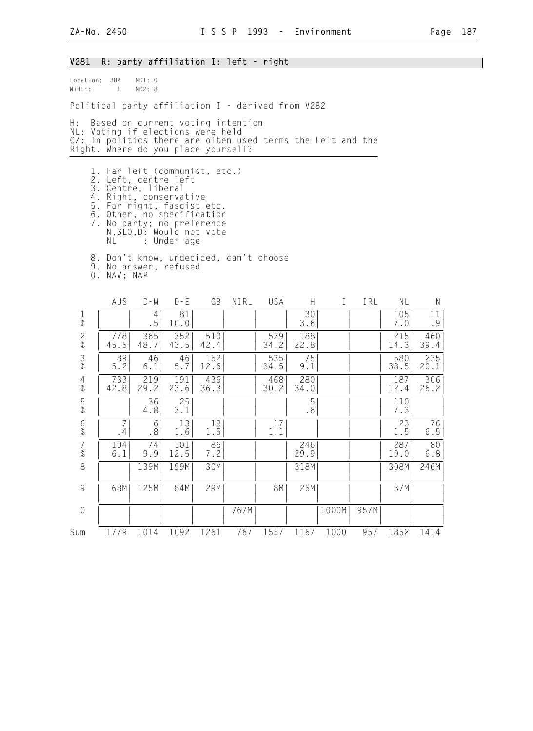| the control of the control of the control of the control of the control of the control of the control of the control of the control of the control of the control of the control of the control of the control of the control |  |  |
|-------------------------------------------------------------------------------------------------------------------------------------------------------------------------------------------------------------------------------|--|--|
|                                                                                                                                                                                                                               |  |  |
|                                                                                                                                                                                                                               |  |  |
|                                                                                                                                                                                                                               |  |  |
|                                                                                                                                                                                                                               |  |  |
| the control of the control of the control of the control of the control of the control of the control of the control of the control of the control of the control of the control of the control of the control of the control |  |  |
|                                                                                                                                                                                                                               |  |  |

V281 R: party affiliation I: left - right

Location: 382 MD1: 0<br>Width: 1 MD2: 8  $Width: 1$ Political party affiliation I - derived from V282 H: Based on current voting intention NL: Voting if elections were held CZ: In politics there are often used terms the Left and the Right. Where do you place yourself? 1. Far left (communist, etc.) 2. Left, centre left 3. Centre, liberal 4. Right, conservative 5. Far right, fascist etc. 6. Other, no specification 7. No party; no preference N,SLO,D: Would not vote NL : Under age 8. Don't know, undecided, can't choose 9. No answer, refused 0. NAV; NAP AUS D-W D-E GB NIRL USA H I IRL NL N 1 | | 4| 81| | | | 30| | | 105| 11| % | | .5| 10.0| | | | 3.6| | | 7.0| .9| 2 | 778| 365| 352| 510| | 529| 188| | | 215| 460| % | 45.5| 48.7| 43.5| 42.4| | 34.2| 22.8| | | 14.3| 39.4| 3 | 89| 46| 46| 152| | 535| 75| | | 580| 235| % | 5.2| 6.1| 5.7| 12.6| | 34.5| 9.1| | | 38.5| 20.1| 4 | 733| 219| 191| 436| | 468| 280| | | 187| 306| % | 42.8| 29.2| 23.6| 36.3| | 30.2| 34.0| | | 12.4| 26.2| 5 | | 36| 25| | | | 5| | | 110| | % | | 4.8| 3.1| | | | .6| | | 7.3| | 6 | 7| 6| 13| 18| | 17| | | | 23| 76| % | .4| .8| 1.6| 1.5| | 1.1| | | | 1.5| 6.5| 7 | 104| 74| 101| 86| | | 246| | | 287| 80| % | 6.1| 9.9| 12.5| 7.2| | | 29.9| | | 19.0| 6.8| 8 | | 139M| 199M| 30M| | | | | | 318M| | | | | | | | 308M| 246M| | | | | | | | | | | | | 9 | 68M| 125M| 84M| 29M| | 8M| 25M| | | 37M| | | | | | | | | | | | | | 0 | | | | | 767M| | |1000M| 957M| | | | | | | | | | | | | | |

Sum 1779 1014 1092 1261 767 1557 1167 1000 957 1852 1414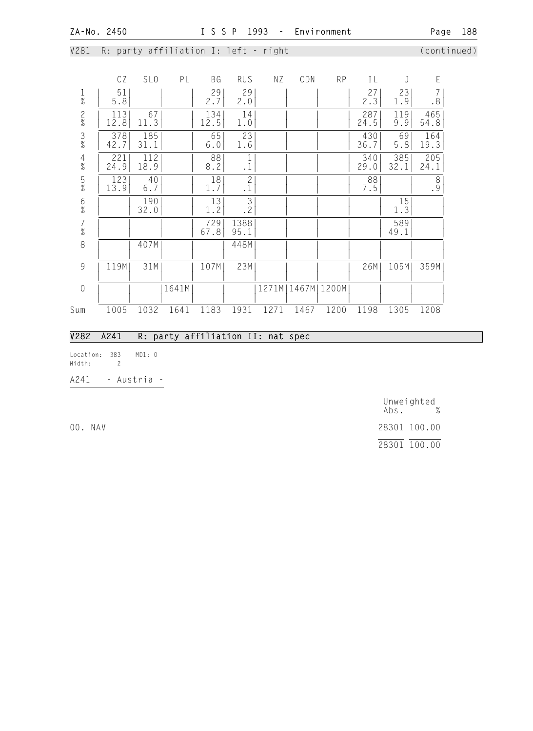V281 R: party affiliation I: left - right (continued)

|                                            | CZ          | SL <sub>0</sub> | PL    | ΒG          | <b>RUS</b>                  | ΝZ    | CDN  | <b>RP</b>     | IL          | J           | E                                        |
|--------------------------------------------|-------------|-----------------|-------|-------------|-----------------------------|-------|------|---------------|-------------|-------------|------------------------------------------|
| $\frac{1}{\%}$                             | 51<br>5.8   |                 |       | 29<br>2.7   | 29<br>2.0                   |       |      |               | 27<br>2.3   | 23<br>1.9   | $\overline{7}$<br>$\boldsymbol{\cdot}$ 8 |
| $\frac{2}{\%}$                             | 113<br>12.8 | 67<br>11.3      |       | 134<br>12.5 | 14<br>1.0                   |       |      |               | 287<br>24.5 | 119<br>9.9  | 465<br>54.8                              |
| $\frac{3}{8}$                              | 378<br>42.7 | 185<br>31.1     |       | 65<br>6.0   | 23<br>1.6                   |       |      |               | 430<br>36.7 | 69<br>5.8   | 164<br>19.3                              |
| $\frac{4}{\%}$                             | 221<br>24.9 | 112<br>18.9     |       | 88<br>8.2   | 1<br>$\cdot$ 1              |       |      |               | 340<br>29.0 | 385<br>32.1 | 205<br>24.1                              |
| $\frac{5}{\%}$                             | 123<br>13.9 | 40<br>6.7       |       | 18<br>1.7   | $\overline{c}$<br>$\cdot$ 1 |       |      |               | 88<br>7.5   |             | $\frac{8}{9}$                            |
| $\frac{6}{\%}$                             |             | 190<br>32.0     |       | 13<br>1.2   | 3<br>.2                     |       |      |               |             | 15<br>1.3   |                                          |
| $\begin{array}{c} 7 \\ 9'_{0} \end{array}$ |             |                 |       | 729<br>67.8 | 1388<br>95.1                |       |      |               |             | 589<br>49.1 |                                          |
| 8                                          |             | 407M            |       |             | 448M                        |       |      |               |             |             |                                          |
| $\overline{9}$                             | 119M        | 31M             |       | 107M        | 23M                         |       |      |               | 26M         | 105M        | 359M                                     |
| $\mathbf 0$                                |             |                 | 1641M |             |                             | 1271M |      | 1467M   1200M |             |             |                                          |
| Sum                                        | 1005        | 1032            | 1641  | 1183        | 1931                        | 1271  | 1467 | 1200          | 1198        | 1305        | 1208                                     |

## V282 A241 R: party affiliation II: nat spec

Location: 383 MD1: 0 Width: 2

A241 - Austria -

 Unweighted Abs. % 00. NAV 28301 100.00 28301 100.00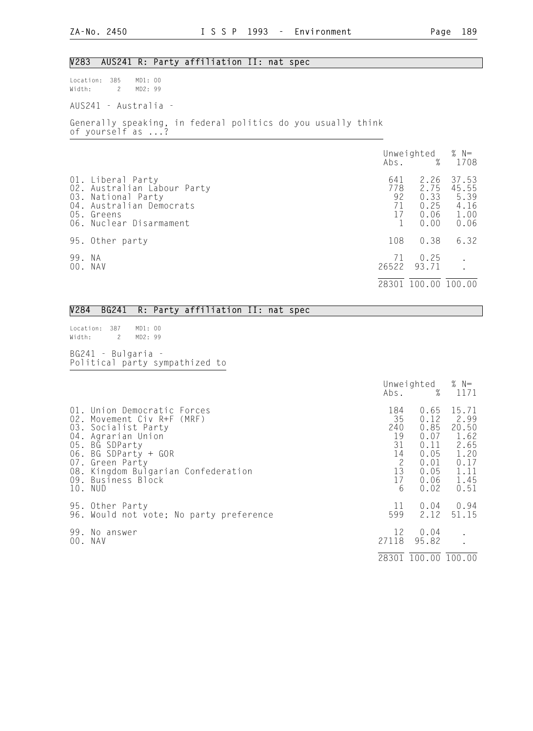### V283 AUS241 R: Party affiliation II: nat spec

Location: 385 MD1: 00 Width: 2 MD2: 99

AUS241 - Australia -

Generally speaking, in federal politics do you usually think of yourself as ...?

|        |                                                                                                                                             |                              | Unweighted $% N=$<br>Abs. % 1708             |                                                |
|--------|---------------------------------------------------------------------------------------------------------------------------------------------|------------------------------|----------------------------------------------|------------------------------------------------|
|        | 01. Liberal Party<br>02. Australian Labour Party<br>03. National Party<br>04. Australian Democrats<br>05. Greens<br>06. Nuclear Disarmament | 641<br>778<br>92<br>71<br>17 | 2.26<br>2.75<br>0.33<br>0.25<br>0.06<br>0.00 | 37.53<br>45.55<br>5.39<br>4.16<br>1.00<br>0.06 |
|        | 95. Other party                                                                                                                             | 108                          | 0.38                                         | 6.32                                           |
| 99. NA | 00. NAV                                                                                                                                     | 71<br>26522                  | 0.25<br>93.71                                |                                                |
|        |                                                                                                                                             | 28301                        | 100.00                                       | 100.00                                         |

### V284 BG241 R: Party affiliation II: nat spec

Location: 387 MD1: 00<br>Width: 2 MD2: 99  $Width: 2$ 

BG241 - Bulgaria - Political party sympathized to

|     |                                                                                                                                                                                                                                             | Abs.                                                                  | Unweighted<br>%                                                              | % $N=$<br>1171                                                                 |
|-----|---------------------------------------------------------------------------------------------------------------------------------------------------------------------------------------------------------------------------------------------|-----------------------------------------------------------------------|------------------------------------------------------------------------------|--------------------------------------------------------------------------------|
|     | 01. Union Democratic Forces<br>02. Movement Civ R+F (MRF)<br>03. Socialist Party<br>04. Agrarian Union<br>05. BG SDParty<br>06. BG SDParty + GOR<br>07. Green Party<br>08. Kingdom Bulgarian Confederation<br>09. Business Block<br>10. NUD | 184<br>35<br>240<br>19<br>31<br>14<br>$\overline{c}$<br>13<br>17<br>6 | 0.65<br>0.12<br>0.85<br>0.07<br>0.11<br>0.05<br>0.01<br>0.05<br>0.06<br>0.02 | 15.71<br>2.99<br>20.50<br>1.62<br>2.65<br>1.20<br>0.17<br>1.11<br>1.45<br>0.51 |
|     | 95. Other Party<br>96. Would not vote; No party preference                                                                                                                                                                                  | 11<br>599                                                             | 0.04<br>2.12                                                                 | 0.94<br>51.15                                                                  |
| 99. | No answer<br>00. NAV                                                                                                                                                                                                                        | 12<br>27118                                                           | 0.04<br>95.82                                                                |                                                                                |
|     |                                                                                                                                                                                                                                             |                                                                       | 28301 100.00 100.00                                                          |                                                                                |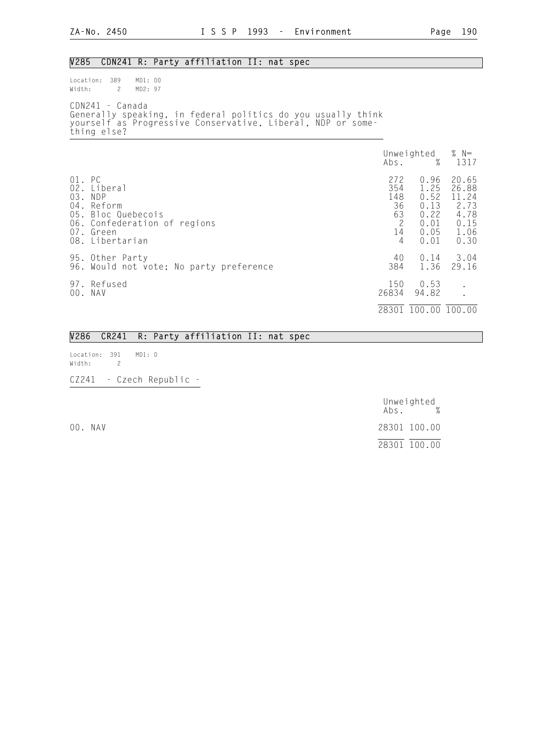## V285 CDN241 R: Party affiliation II: nat spec

Location: 389 MD1: 00<br>Width: 2 MD2: 97 Width: 2 CDN241 - Canada Generally speaking, in federal politics do you usually think yourself as Progressive Conservative, Liberal, NDP or something else?

|                      |                                                                                                                    | Abs.                                          | Unweighted<br>$\%$                                           | % $N=$<br>1317                                                  |
|----------------------|--------------------------------------------------------------------------------------------------------------------|-----------------------------------------------|--------------------------------------------------------------|-----------------------------------------------------------------|
| 01. PC<br>03.<br>04. | 02. Liberal<br>NDP<br>Reform<br>05. Bloc Quebecois<br>06. Confederation of regions<br>07. Green<br>08. Libertarian | 272<br>354<br>148<br>36<br>63<br>2<br>14<br>4 | 0.96<br>1.25<br>0.52<br>0.13<br>0.22<br>0.01<br>0.05<br>0.01 | 20.65<br>26.88<br>11.24<br>2.73<br>4.78<br>0.15<br>1.06<br>0.30 |
|                      | 95. Other Party<br>96. Would not vote; No party preference                                                         | 40<br>384                                     | 0.14<br>1.36                                                 | 3.04<br>29.16                                                   |
|                      | 97. Refused<br>00. NAV                                                                                             | 150<br>26834                                  | 0.53<br>94.82                                                | $\bullet$                                                       |
|                      |                                                                                                                    | 28301                                         | 100.00 100.00                                                |                                                                 |

|                                |  | V286 CR241 R: Party affiliation II: nat spec |  |  |
|--------------------------------|--|----------------------------------------------|--|--|
| Location: 391 MD1: 0<br>Width: |  |                                              |  |  |

CZ241 - Czech Republic -

 Unweighted Abs. % 00. NAV 28301 100.00 28301 100.00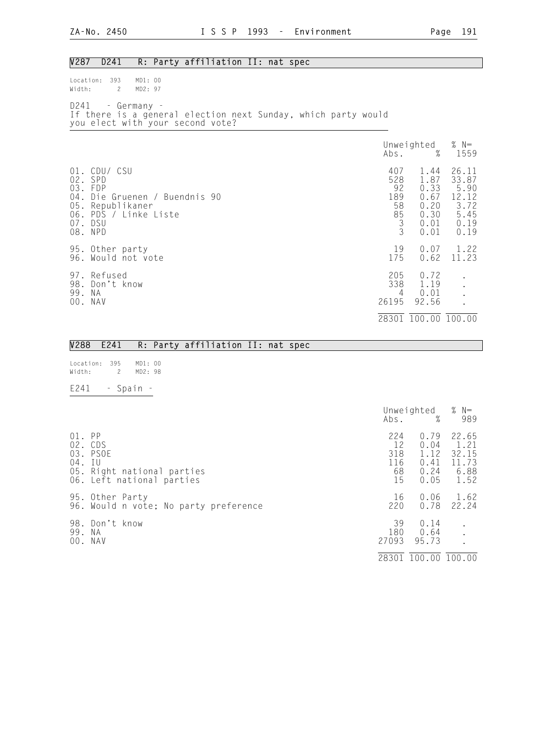## V287 D241 R: Party affiliation II: nat spec

Location: 393 MD1: 00<br>Width: 2 MD2: 97  $Width: 2$ 

D241 - Germany - If there is a general election next Sunday, which party would you elect with your second vote?

|                         |                                                                                                                            | Abs.                                                                         | Unweighted<br>%                                              | % $N=$<br>1559                                                  |
|-------------------------|----------------------------------------------------------------------------------------------------------------------------|------------------------------------------------------------------------------|--------------------------------------------------------------|-----------------------------------------------------------------|
| $02$ .<br>$04$ .<br>05. | 01. CDU/ CSU<br>SPD<br>03. FDP<br>Die Gruenen / Buendnis 90<br>Republikaner<br>06. PDS / Linke Liste<br>07. DSU<br>08. NPD | 407<br>528<br>92<br>189<br>58<br>$\begin{array}{c} 85 \\ 3 \\ 3 \end{array}$ | 1.44<br>1.87<br>0.33<br>0.67<br>0.20<br>0.30<br>0.01<br>0.01 | 26.11<br>33.87<br>5.90<br>12.12<br>3.72<br>5.45<br>0.19<br>0.19 |
|                         | 95. Other party<br>96. Would not vote                                                                                      | 19<br>175                                                                    | 0.07<br>0.62                                                 | 1.22<br>11.23                                                   |
| 98.<br>99.<br>00.       | 97. Refused<br>Don't know<br>ΝA<br>NAV                                                                                     | 205<br>338<br>4<br>26195                                                     | 0.72<br>1.19<br>0.01<br>92.56                                |                                                                 |
|                         |                                                                                                                            | 28301                                                                        | 100.00 100.00                                                |                                                                 |

|                  |  |           | V288 E241 R: Party affiliation II: nat spec |  |                                        |     |
|------------------|--|-----------|---------------------------------------------|--|----------------------------------------|-----|
| Location: 395    |  | MD1: 00   |                                             |  |                                        |     |
| Width: 2 MD2: 98 |  |           |                                             |  |                                        |     |
| E241             |  | - Spain - |                                             |  |                                        |     |
|                  |  |           |                                             |  | Unweighted $% N=$<br>$\Delta$ bs. $\%$ | 989 |

| 01.<br>$04.$ IU | PP<br>02. CDS<br>03. PSOE<br>05. Right national parties<br>06. Left national parties | 224<br>12<br>318<br>116<br>68<br>15 | 0.79<br>0.04<br>1.12<br>0.41<br>0.24<br>0.05 | 22.65<br>1.21<br>32.15<br>11.73<br>6.88<br>1.52 |
|-----------------|--------------------------------------------------------------------------------------|-------------------------------------|----------------------------------------------|-------------------------------------------------|
|                 | 95. Other Party<br>96. Would n vote; No party preference                             | 16<br>220                           | 0.06<br>0.78                                 | 1.62<br>22.24                                   |
| 99. NA          | 98. Don't know<br>00. NAV                                                            | 39<br>180<br>27093                  | 0.14<br>0.64<br>95.73                        |                                                 |
|                 |                                                                                      | 28301                               | 100.00 100.00                                |                                                 |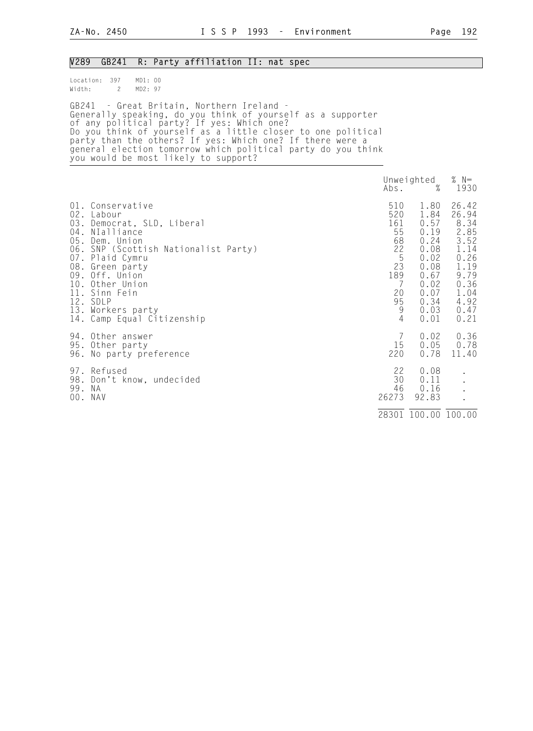| V <sub>2</sub> 89 | GB241                                                                                                                                                                                                                                                                                                                                                                                                                    |                    |  |  | R: Party affiliation II: nat spec |  |                                                                                  |                                                                                                              |                                                                                                                |
|-------------------|--------------------------------------------------------------------------------------------------------------------------------------------------------------------------------------------------------------------------------------------------------------------------------------------------------------------------------------------------------------------------------------------------------------------------|--------------------|--|--|-----------------------------------|--|----------------------------------------------------------------------------------|--------------------------------------------------------------------------------------------------------------|----------------------------------------------------------------------------------------------------------------|
| Width:<br>GB241   | Location: 397<br>$\overline{c}$<br>- Great Britain, Northern Ireland -<br>Generally speaking, do you think of yourself as a supporter<br>of any political party? If yes: Which one?<br>Do you think of yourself as a little closer to one political<br>party than the others? If yes: Which one? If there were a<br>general election tomorrow which political party do you think<br>you would be most likely to support? | MD1: 00<br>MD2: 97 |  |  |                                   |  |                                                                                  |                                                                                                              |                                                                                                                |
|                   |                                                                                                                                                                                                                                                                                                                                                                                                                          |                    |  |  |                                   |  | Abs.                                                                             | Unweighted<br>$\%$                                                                                           | % $N=$<br>1930                                                                                                 |
| 08.<br>09.        | 01. Conservative<br>02. Labour<br>03. Democrat, SLD, Liberal<br>04. NIalliance<br>05. Dem. Union<br>06. SNP (Scottish Nationalist Party)<br>07. Plaid Cymru<br>Green party<br>Off. Union<br>10. Other Union<br>11. Sinn Fein<br>12. SDLP<br>13. Workers party<br>14. Camp Equal Citizenship                                                                                                                              |                    |  |  |                                   |  | 510<br>520<br>161<br>55<br>68<br>22<br>5<br>23<br>189<br>7<br>20<br>95<br>9<br>4 | 1.80<br>1.84<br>0.57<br>0.19<br>0.24<br>0.08<br>0.02<br>0.08<br>0.67<br>0.02<br>0.07<br>0.34<br>0.03<br>0.01 | 26.42<br>26.94<br>8.34<br>2.85<br>3.52<br>1.14<br>0.26<br>1.19<br>9.79<br>0.36<br>1.04<br>4.92<br>0.47<br>0.21 |
|                   | 94. Other answer<br>95. Other party<br>96. No party preference                                                                                                                                                                                                                                                                                                                                                           |                    |  |  |                                   |  | 7<br>15<br>220                                                                   | 0.02<br>0.05<br>0.78                                                                                         | 0.36<br>0.78<br>11.40                                                                                          |
| 99. NA            | 97. Refused<br>98. Don't know, undecided<br>00. NAV                                                                                                                                                                                                                                                                                                                                                                      |                    |  |  |                                   |  | 22<br>30<br>46<br>26273                                                          | 0.08<br>0.11<br>0.16<br>92.83                                                                                |                                                                                                                |
|                   |                                                                                                                                                                                                                                                                                                                                                                                                                          |                    |  |  |                                   |  |                                                                                  | 28301 100.00 100.00                                                                                          |                                                                                                                |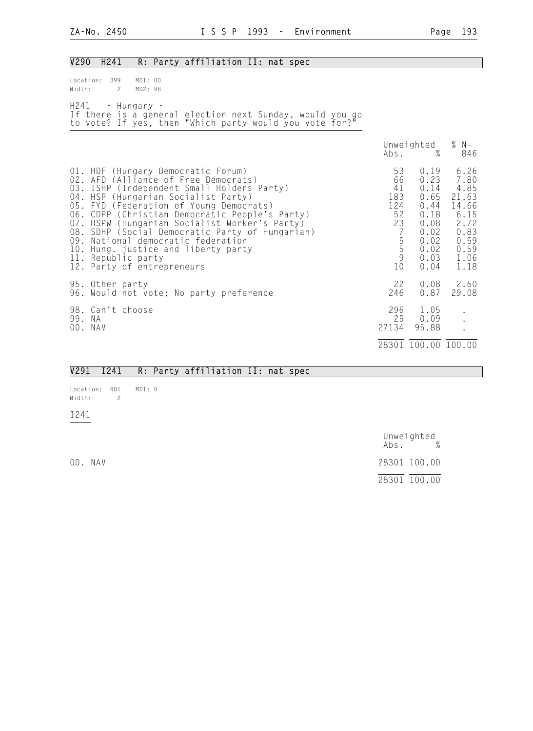| V290                    | H241                                             |                    | R: Party affiliation II: nat spec                                                                                                                                                                                                                                                                                                                                                                                                             |                                                                                        |                                                                                              |                                                                                                |
|-------------------------|--------------------------------------------------|--------------------|-----------------------------------------------------------------------------------------------------------------------------------------------------------------------------------------------------------------------------------------------------------------------------------------------------------------------------------------------------------------------------------------------------------------------------------------------|----------------------------------------------------------------------------------------|----------------------------------------------------------------------------------------------|------------------------------------------------------------------------------------------------|
| Location: 399<br>Width: | $\overline{2}$                                   | MD1: 00<br>MD2: 98 |                                                                                                                                                                                                                                                                                                                                                                                                                                               |                                                                                        |                                                                                              |                                                                                                |
|                         | H241 - Hungary -                                 |                    | If there is a general election next Sunday, would you go<br>to vote? If yes, then "Which party would you vote for?"                                                                                                                                                                                                                                                                                                                           |                                                                                        |                                                                                              |                                                                                                |
|                         |                                                  |                    |                                                                                                                                                                                                                                                                                                                                                                                                                                               | Abs.                                                                                   | Unweighted<br>$\%$                                                                           | % $N=$<br>846                                                                                  |
|                         | 11. Republic party<br>12. Party of entrepreneurs |                    | 01. HDF (Hungary Democratic Forum)<br>02. AFD (Alliance of Free Democrats)<br>03. ISHP (Independent Small Holders Party)<br>04. HSP (Hungarian Socialist Party)<br>05. FYD (Federation of Young Democrats)<br>06. CDPP (Christian Democratic People's Party)<br>07. HSPW (Hungarian Socialist Worker's Party)<br>08. SDHP (Social Democratic Party of Hungarian)<br>09. National democratic federation<br>10. Hung. justice and liberty party | 53<br>66<br>41<br>183<br>124<br>52<br>23<br>$\overline{7}$<br>$\frac{5}{5}$<br>9<br>10 | 0.19<br>0.23<br>0.14<br>0.65<br>0.44<br>0.18<br>0.08<br>0.02<br>0.02<br>0.02<br>0.03<br>0.04 | 6.26<br>7.80<br>4.85<br>21.63<br>14.66<br>6.15<br>2.72<br>0.83<br>0.59<br>0.59<br>1.06<br>1.18 |
|                         | 95. Other party                                  |                    | 96. Would not vote; No party preference                                                                                                                                                                                                                                                                                                                                                                                                       | 22<br>246                                                                              | 0.08<br>0.87                                                                                 | 2.60<br>29.08                                                                                  |
| 99. NA<br>00. NAV       | 98. Can't choose                                 |                    |                                                                                                                                                                                                                                                                                                                                                                                                                                               | 296<br>25<br>27134                                                                     | 1.05<br>0.09<br>95.88                                                                        |                                                                                                |
|                         |                                                  |                    |                                                                                                                                                                                                                                                                                                                                                                                                                                               |                                                                                        | 28301 100.00 100.00                                                                          |                                                                                                |

|  |  |  |  |  | V291 I241 R: Party affiliation II: nat spec |  |  |  |  |
|--|--|--|--|--|---------------------------------------------|--|--|--|--|
|--|--|--|--|--|---------------------------------------------|--|--|--|--|

Location: 401 MD1: 0<br>Width: 2 Width: 2

I241

 Unweighted Abs. % 00. NAV 28301 100.00 28301 100.00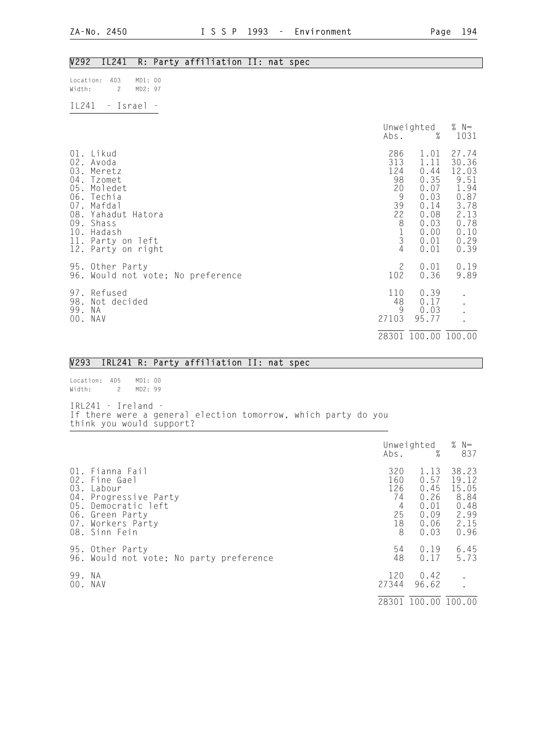## V292 IL241 R: Party affiliation II: nat spec

| Location: 403<br>Width: | 2        | MD1:00<br>MD2:97 |  |
|-------------------------|----------|------------------|--|
| TI 241                  | - Israel |                  |  |

|     |                                                                                                                                                                                           | Abs.                                                                                                           | Unweighted<br>%                                                                              | % $N=$<br>1031                                                                                  |
|-----|-------------------------------------------------------------------------------------------------------------------------------------------------------------------------------------------|----------------------------------------------------------------------------------------------------------------|----------------------------------------------------------------------------------------------|-------------------------------------------------------------------------------------------------|
|     | 01. Likud<br>02. Avoda<br>03. Meretz<br>04. Tzomet<br>05. Moledet<br>06. Techia<br>07. Mafdal<br>08. Yahadut Hatora<br>09. Shass<br>10. Hadash<br>11. Party on left<br>12. Party on right | 286<br>313<br>124<br>98<br>20<br>$\overline{9}$<br>39<br>22<br>8<br>$\begin{array}{c} 1 \\ 3 \\ 4 \end{array}$ | 1.01<br>1.11<br>0.44<br>0.35<br>0.07<br>0.03<br>0.14<br>0.08<br>0.03<br>0.00<br>0.01<br>0.01 | 27.74<br>30.36<br>12.03<br>9.51<br>1.94<br>0.87<br>3.78<br>2.13<br>0.78<br>0.10<br>0.29<br>0.39 |
|     | 95. Other Party<br>96. Would not vote; No preference                                                                                                                                      | $\mathbf{2}$<br>102                                                                                            | 0.01<br>0.36                                                                                 | 0.19<br>9.89                                                                                    |
| 99. | 97. Refused<br>98. Not decided<br>N A<br>00. NAV                                                                                                                                          | 110<br>48<br>9<br>27103                                                                                        | 0.39<br>0.17<br>0.03<br>95.77                                                                |                                                                                                 |
|     |                                                                                                                                                                                           |                                                                                                                | 28301 100.00 100.00                                                                          |                                                                                                 |

|  |  | V293 IRL241 R: Party affiliation II: nat spec |  |  |  |  |
|--|--|-----------------------------------------------|--|--|--|--|

| Location: 405        |                | MD1: 00 |  |
|----------------------|----------------|---------|--|
| Width:               | $\overline{2}$ | MD2: 99 |  |
|                      |                |         |  |
| $IR1241 - Ireland -$ |                |         |  |

If there were a general election tomorrow, which party do you think you would support?

|        |                                                                                                                                                     | Abs.                                          | Unweighted<br>%                                              | % $N=$<br>837                                                   |
|--------|-----------------------------------------------------------------------------------------------------------------------------------------------------|-----------------------------------------------|--------------------------------------------------------------|-----------------------------------------------------------------|
| 03.    | 01. Fianna Fail<br>02. Fine Gael<br>Labour<br>04. Progressive Party<br>05. Democratic left<br>06. Green Party<br>07. Workers Party<br>08. Sinn Fein | 320<br>160<br>126<br>74<br>4<br>25<br>18<br>8 | 1.13<br>0.57<br>0.45<br>0.26<br>0.01<br>0.09<br>0.06<br>0.03 | 38.23<br>19.12<br>15.05<br>8.84<br>0.48<br>2.99<br>2.15<br>0.96 |
|        | 95. Other Party<br>96. Would not vote; No party preference                                                                                          | 54<br>48                                      | 0.19<br>0.17                                                 | 6.45<br>5.73                                                    |
| 99. NA | 00. NAV                                                                                                                                             | 120<br>27344                                  | 0.42<br>96.62                                                |                                                                 |
|        |                                                                                                                                                     | 28301                                         | 100.00 100.00                                                |                                                                 |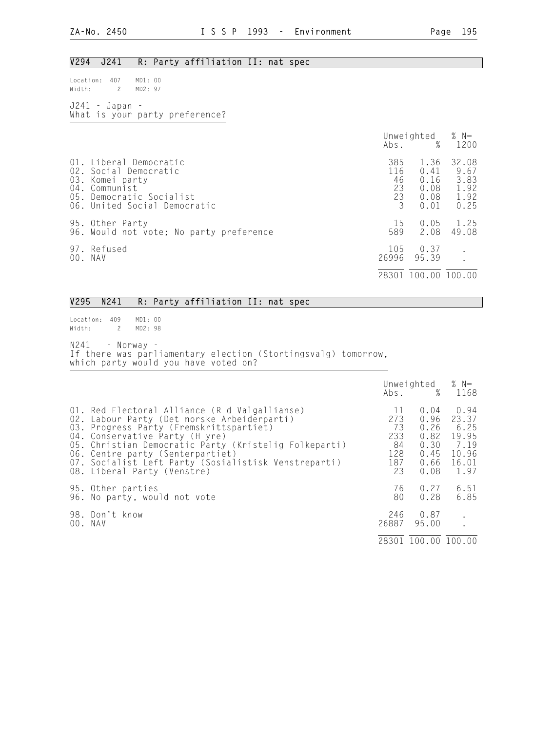## V294 J241 R: Party affiliation II: nat spec

Location: 407 MD1: 00<br>Width: 2 MD2: 97 Width: 2

J241 - Japan - What is your party preference?

|                                                                                                                                                 | Abs.                              | Unweighted<br>$\%$                           | % $N=$<br>1200                                |
|-------------------------------------------------------------------------------------------------------------------------------------------------|-----------------------------------|----------------------------------------------|-----------------------------------------------|
| 01. Liberal Democratic<br>02. Social Democratic<br>03. Komei party<br>04. Communist<br>05. Democratic Socialist<br>06. United Social Democratic | 385<br>116<br>46<br>23<br>23<br>3 | 1.36<br>0.41<br>0.16<br>0.08<br>0.08<br>0.01 | 32.08<br>9.67<br>3.83<br>1.92<br>1.92<br>0.25 |
| 95. Other Party<br>96. Would not vote; No party preference                                                                                      | 15<br>589                         | 0.05<br>2.08                                 | 1.25<br>49.08                                 |
| 97. Refused<br>00. NAV                                                                                                                          | 105<br>26996                      | 0.37<br>95.39                                |                                               |
|                                                                                                                                                 | 28301                             | 100.00 100.00                                |                                               |

## V295 N241 R: Party affiliation II: nat spec

Location: 409 MD1: 00 Width: 2 MD2: 98

N241 - Norway - If there was parliamentary election (Stortingsvalg) tomorrow, which party would you have voted on?

|                                                                                                                                                                                                                                                                                                                                                               |                                                  | Unweighted $% N=$<br>Abs. % 1168                             |                                                                  |
|---------------------------------------------------------------------------------------------------------------------------------------------------------------------------------------------------------------------------------------------------------------------------------------------------------------------------------------------------------------|--------------------------------------------------|--------------------------------------------------------------|------------------------------------------------------------------|
| 01. Red Electoral Alliance (R d Valgallianse)<br>02. Labour Party (Det norske Arbeiderparti)<br>03. Progress Party (Fremskrittspartiet)<br>04. Conservative Party (H yre)<br>05. Christian Democratic Party (Kristelig Folkeparti)<br>06. Centre party (Senterpartiet)<br>07. Socialist Left Party (Sosialistisk Venstreparti)<br>08. Liberal Party (Venstre) | 11<br>273<br>73<br>233<br>84<br>128<br>187<br>23 | 0.04<br>0.96<br>0.26<br>0.82<br>0.30<br>0.45<br>0.66<br>0.08 | 0.94<br>23.37<br>6.25<br>19.95<br>7.19<br>10.96<br>16.01<br>1.97 |
| 95. Other parties<br>96. No party, would not vote                                                                                                                                                                                                                                                                                                             | 76<br>80                                         | 0.27<br>0.28                                                 | 6.51<br>6.85                                                     |
| 98. Don't know<br>00. NAV                                                                                                                                                                                                                                                                                                                                     | 246<br>26887                                     | 0.87<br>95.00                                                |                                                                  |
|                                                                                                                                                                                                                                                                                                                                                               |                                                  | 28301 100.00 100.00                                          |                                                                  |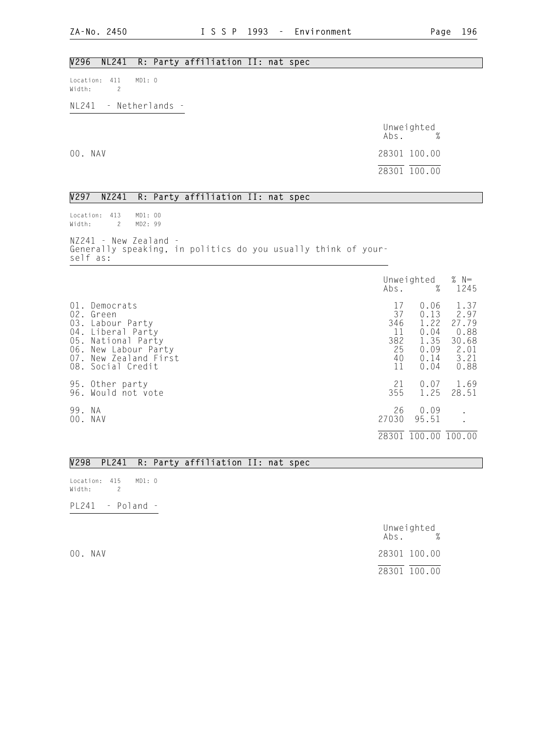## V296 NL241 R: Party affiliation II: nat spec

Location: 411 MD1: 0 Width: 2

NL241 - Netherlands -

|         | Unweighted<br>$\%$<br>Abs. |
|---------|----------------------------|
| 00. NAV | 28301 100.00               |
|         | 28301 100.00               |

### V297 NZ241 R: Party affiliation II: nat spec

Location: 413 MD1: 00 Width: 2 MD2: 99 NZ241 - New Zealand - Generally speaking, in politics do you usually think of yourself as:

|               |                                                                                                                                                         | Abs.                                           | Unweighted<br>%                                              | % $N=$<br>1245                                                 |
|---------------|---------------------------------------------------------------------------------------------------------------------------------------------------------|------------------------------------------------|--------------------------------------------------------------|----------------------------------------------------------------|
| 03.<br>07.    | 01. Democrats<br>02. Green<br>Labour Party<br>04. Liberal Party<br>05. National Party<br>06. New Labour Party<br>New Zealand First<br>08. Social Credit | 17<br>37<br>346<br>11<br>382<br>25<br>40<br>11 | 0.06<br>0.13<br>1.22<br>0.04<br>1.35<br>0.09<br>0.14<br>0.04 | 1.37<br>2.97<br>27.79<br>0.88<br>30.68<br>2.01<br>3.21<br>0.88 |
|               | 95. Other party<br>96. Would not vote                                                                                                                   | 21<br>355                                      | 0.07<br>1.25                                                 | 1.69<br>28.51                                                  |
| 99. NA<br>00. | NAV                                                                                                                                                     | 26<br>27030                                    | 0.09<br>95.51                                                | $\bullet$                                                      |
|               |                                                                                                                                                         | 28301                                          | 100.00 100.00                                                |                                                                |

### V298 PL241 R: Party affiliation II: nat spec

Location: 415 MD1: 0 Width: 2

PL241 - Poland -

|         | Unweighted<br>$\%$<br>Abs. |
|---------|----------------------------|
| 00. NAV | 28301 100.00               |
|         | 28301 100.00               |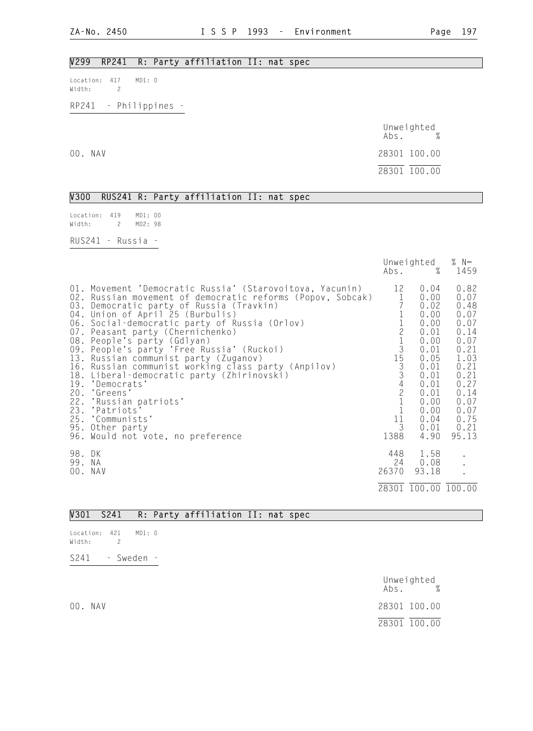## V299 RP241 R: Party affiliation II: nat spec

Location: 417 MD1: 0 Width: 2

RP241 - Philippines -

|         | Unweighted<br>$\%$<br>Abs. |
|---------|----------------------------|
| 00. NAV | 28301 100.00               |
|         | 28301 100.00               |

V300 RUS241 R: Party affiliation II: nat spec

| location: 419<br>Width: |                | 2 | MD1:00<br>MD2: 98 |  |
|-------------------------|----------------|---|-------------------|--|
| RUS241                  | $\sim$ $ \sim$ |   | Russia            |  |

|                  |                                                                                                                                                                                                                                                                                                                                                                                                                                                                                                                                                                                                                                                                                  |                                                                                                       | Unweighted<br>Abs. %                                                                                                                         | % $N=$<br>1459                                                                                                                                |
|------------------|----------------------------------------------------------------------------------------------------------------------------------------------------------------------------------------------------------------------------------------------------------------------------------------------------------------------------------------------------------------------------------------------------------------------------------------------------------------------------------------------------------------------------------------------------------------------------------------------------------------------------------------------------------------------------------|-------------------------------------------------------------------------------------------------------|----------------------------------------------------------------------------------------------------------------------------------------------|-----------------------------------------------------------------------------------------------------------------------------------------------|
|                  | 01. Movement 'Democratic Russia' (Starovoitova, Yacunin)<br>02. Russian movement of democratic reforms (Popov, Sobcak)<br>03. Democratic party of Russia (Travkin)<br>04. Union of April 25 (Burbulis)<br>06. Social-democratic party of Russia (Orlov)<br>07. Peasant party (Chernichenko)<br>08. People's party (Gdlyan)<br>09. People's party 'Free Russia' (Ruckoi)<br>13. Russian communist party (Zuganov)<br>16. Russian communist working class party (Anpilov)<br>18. Liberal-democratic party (Zhirinovski)<br>19. 'Democrats'<br>20. 'Greens'<br>22. 'Russian patriots'<br>23. 'Patriots'<br>25. 'Communists'<br>95. Other party<br>96. Would not vote, no preference | 12<br>$\mathbf{1}$<br>$\begin{array}{c} 1\\ 2\\ 1\\ 3\\ 4\\ 2\\ 1\\ 1 \end{array}$<br>11<br>3<br>1388 | 0.04<br>0.00<br>0.02<br>0.00<br>0.00<br>0.01<br>0.00<br>0.01<br>0.05<br>0.01<br>0.01<br>0.01<br>0.01<br>0.00<br>0.00<br>0.04<br>0.01<br>4.90 | 0.82<br>0.07<br>0.48<br>0.07<br>0.07<br>0.14<br>0.07<br>0.21<br>1.03<br>0.21<br>0.21<br>0.27<br>0.14<br>0.07<br>0.07<br>0.75<br>0.21<br>95.13 |
| 98. DK<br>99. NA | 00. NAV                                                                                                                                                                                                                                                                                                                                                                                                                                                                                                                                                                                                                                                                          | 448<br>26370                                                                                          | 1.58<br>24 0.08<br>93.18<br>28301 100.00 100.00                                                                                              | $\bullet$                                                                                                                                     |

## V301 S241 R: Party affiliation II: nat spec

- Location: 421 MD1: 0 Width: 2
- S241 Sweden -

Unweighted<br>Abs. % Abs. % 00. NAV 28301 100.00 28301 100.00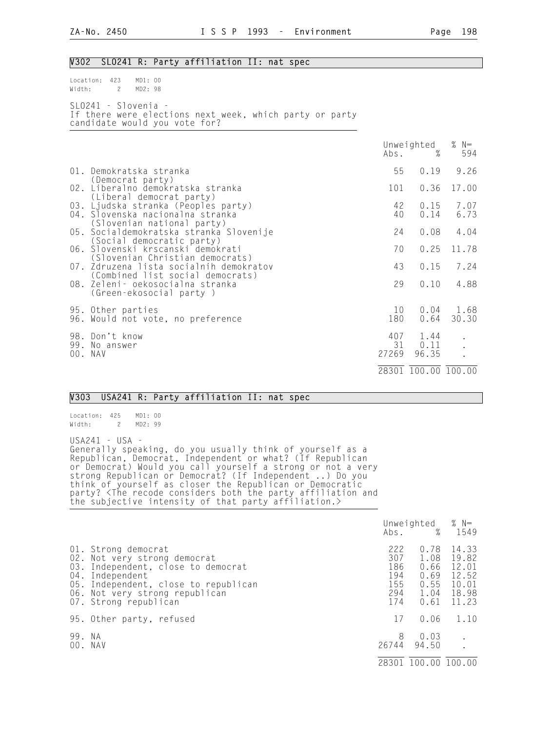## V302 SLO241 R: Party affiliation II: nat spec

Location: 423 MD1: 00 Width: 2 MD2: 98 SLO241 - Slovenia - If there were elections next week, which party or party candidate would you vote for?

|         |                                                                                                       |           | Unweighted<br>$\mathsf{Abs}.$ % | % $N=$<br>594 |
|---------|-------------------------------------------------------------------------------------------------------|-----------|---------------------------------|---------------|
|         | 01. Demokratska stranka<br>(Democrat party)                                                           | 55        | 0.19                            | 9.26          |
|         | 02. Liberalno demokratska stranka<br>(Liberal democrat party)                                         | 101       | 0.36                            | 17.00         |
|         | 03. Ljudska stranka (Peoples party)<br>04. Slovenska nacionalna stranka<br>(Slovenian national party) | 42<br>40  | 0.15<br>0.14                    | 7.07<br>6.73  |
|         | 05. Socialdemokratska stranka Slovenije<br>(Social democratic party)                                  | 24        | 0.08                            | 4.04          |
|         | 06. Slovenski krscanski demokrati<br>(Slovenian Christian democrats)                                  | 70        | 0.25                            | 11.78         |
|         | 07. Zdruzena lista socialnih demokratov<br>(Combined list social democrats)                           | 43        | 0.15                            | 7.24          |
|         | 08. Zeleni- oekosocialna stranka<br>(Green-ekosocial party)                                           | 29        | 0.10                            | 4.88          |
|         | 95. Other parties<br>96. Would not vote, no preference                                                | 10<br>180 | 0.04<br>0.64                    | 1.68<br>30.30 |
| 00. NAV | 98. Don't know<br>99. No answer                                                                       | 27269     | 407 1.44<br>31 0.11<br>96.35    |               |
|         |                                                                                                       |           | 28301 100.00 100.00             |               |

### V303 USA241 R: Party affiliation II: nat spec

Location: 425 MD1: 00<br>Width: 2 MD2: 99 2 MD2: 99

USA241 - USA -

Generally speaking, do you usually think of yourself as a Republican, Democrat, Independent or what? (If Republican or Democrat) Would you call yourself a strong or not a very strong Republican or Democrat? (If Independent ..) Do you think of yourself as closer the Republican or Democratic party? <The recode considers both the party affiliation and the subjective intensity of that party affiliation.>

|        |                                                                                                                                                                                                                 |                                               | Unweighted $% N=$<br>Abs. % 1549                     |                                                             |
|--------|-----------------------------------------------------------------------------------------------------------------------------------------------------------------------------------------------------------------|-----------------------------------------------|------------------------------------------------------|-------------------------------------------------------------|
|        | 01. Strong democrat<br>02. Not very strong democrat<br>03. Independent, close to democrat<br>04. Independent<br>05. Independent, close to republican<br>06. Not very strong republican<br>07. Strong republican | 222<br>307<br>186<br>194<br>155<br>294<br>174 | 0.78<br>1.08<br>0.66<br>0.69<br>0.55<br>1.04<br>0.61 | 14.33<br>19.82<br>12.01<br>12.52<br>10.01<br>18.98<br>11.23 |
|        | 95. Other party, refused                                                                                                                                                                                        | 17                                            | 0.06                                                 | 1.10                                                        |
| 99. NA | 00. NAV                                                                                                                                                                                                         | 8<br>26744                                    | 0.03<br>94.50                                        | $\ddot{\cdot}$                                              |
|        |                                                                                                                                                                                                                 | 28301                                         | 100.00 100.00                                        |                                                             |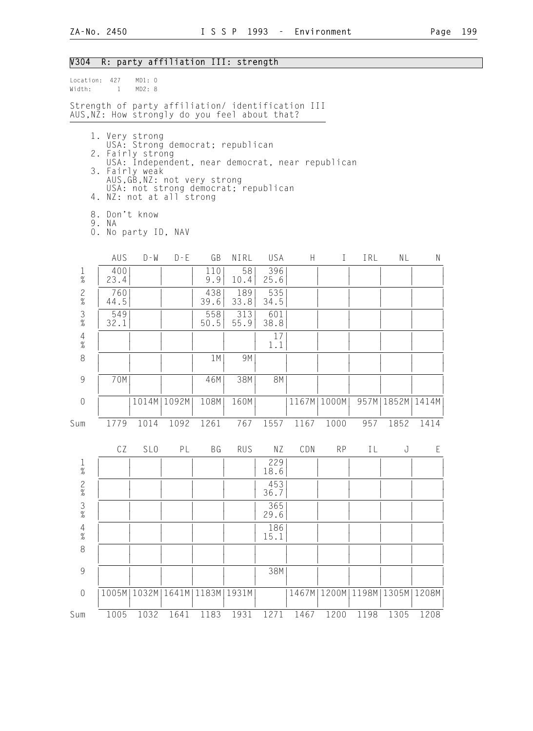# V304 R: party affiliation III: strength

| Width:                                 | Location: 427<br>$\mathbf{1}$                                                                                                     | MD1: 0<br>MD2: 8 |                              |             |                                                                                                                              |             |       |               |      |                      |       |
|----------------------------------------|-----------------------------------------------------------------------------------------------------------------------------------|------------------|------------------------------|-------------|------------------------------------------------------------------------------------------------------------------------------|-------------|-------|---------------|------|----------------------|-------|
|                                        | Strength of party affiliation/ identification III<br>AUS, NZ: How strongly do you feel about that?                                |                  |                              |             |                                                                                                                              |             |       |               |      |                      |       |
|                                        | 1. Very strong<br>2. Fairly strong<br>3. Fairly weak<br>4. NZ: not at all strong<br>8. Don't know<br>9. NA<br>0. No party ID, NAV |                  | AUS, GB, NZ: not very strong |             | USA: Strong democrat; republican<br>USA: Independent, near democrat, near republican<br>USA: not strong democrat; republican |             |       |               |      |                      |       |
|                                        | AUS                                                                                                                               | $D - W$          | $D - E$                      | GB          | NIRL                                                                                                                         | USA         | H     | T             | IRL  | NL                   | N     |
| $\frac{1}{\%}$                         | 400<br>23.4                                                                                                                       |                  |                              | 110<br>9.9  | 58<br>10.4                                                                                                                   | 396<br>25.6 |       |               |      |                      |       |
| $\frac{2}{\%}$                         | 760<br>44.5                                                                                                                       |                  |                              | 438<br>39.6 | 189<br>33.8                                                                                                                  | 535<br>34.5 |       |               |      |                      |       |
| $\mathfrak{Z}$<br>$\%$                 | 549<br>32.1                                                                                                                       |                  |                              | 558<br>50.5 | 313<br>55.9                                                                                                                  | 601<br>38.8 |       |               |      |                      |       |
| $\frac{4}{\%}$                         |                                                                                                                                   |                  |                              |             |                                                                                                                              | 17<br>1.1   |       |               |      |                      |       |
| $\,8\,$                                |                                                                                                                                   |                  |                              | 1M          | 9M                                                                                                                           |             |       |               |      |                      |       |
| 9                                      | 70M                                                                                                                               |                  |                              | 46M         | 38M                                                                                                                          | <b>8M</b>   |       |               |      |                      |       |
| $\sqrt{a}$                             |                                                                                                                                   |                  | 1014M   1092M                | 108M        | 160M                                                                                                                         |             |       | 1167M   1000M |      | 957M   1852M   1414M |       |
| Sum                                    | 1779                                                                                                                              | 1014             | 1092                         | 1261        | 767                                                                                                                          | 1557        | 1167  | 1000          | 957  | 1852                 | 1414  |
|                                        | CZ                                                                                                                                | SL <sub>0</sub>  | PL                           | ΒG          | <b>RUS</b>                                                                                                                   | ΝZ          | CDN   | <b>RP</b>     | IL   | J                    | E     |
| T<br>$\%$                              |                                                                                                                                   |                  |                              |             |                                                                                                                              | 229<br>18.6 |       |               |      |                      |       |
| $\frac{2}{\%}$                         |                                                                                                                                   |                  |                              |             |                                                                                                                              | 453<br>36.7 |       |               |      |                      |       |
| $\frac{3}{%}$                          |                                                                                                                                   |                  |                              |             |                                                                                                                              | 365<br>29.6 |       |               |      |                      |       |
| $\begin{array}{c} 4 \\ \% \end{array}$ |                                                                                                                                   |                  |                              |             |                                                                                                                              | 186<br>15.1 |       |               |      |                      |       |
| $\,8\,$                                |                                                                                                                                   |                  |                              |             |                                                                                                                              |             |       |               |      |                      |       |
| $\overline{9}$                         |                                                                                                                                   |                  |                              |             |                                                                                                                              | 38M         |       |               |      |                      |       |
| $\mathbf 0$                            |                                                                                                                                   | 1005M   1032M    | 1641M                        | 1183M       | 1931M                                                                                                                        |             | 1467M | 1200M         |      | 1198M   1305M        | 1208M |
| Sum                                    | 1005                                                                                                                              | 1032             | 1641                         | 1183        | 1931                                                                                                                         | 1271        | 1467  | 1200          | 1198 | 1305                 | 1208  |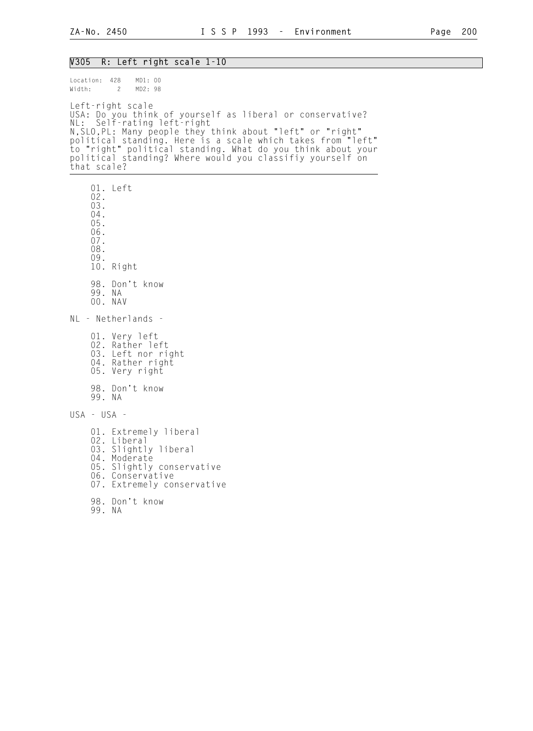### V305 R: Left right scale 1-10

Location: 428 MD1: 00<br>Width: 2 MD2: 98 Width: 2 Left-right scale USA: Do you think of yourself as liberal or conservative? NL: Self-rating left-right N,SLO,PL: Many people they think about "left" or "right" political standing. Here is a scale which takes from "left" to "right" political standing. What do you think about your political standing? Where would you classifiy yourself on that scale? 01. Left

 02. 03. 04. 05. 06. 07. 08. 09. 10. Right 98. Don't know 99. NA 00. NAV NL - Netherlands - 01. Very left 02. Rather left 03. Left nor right 04. Rather right 05. Very right 98. Don't know 99. NA USA - USA - 01. Extremely liberal 02. Liberal 03. Slightly liberal 04. Moderate 05. Slightly conservative 06. Conservative 07. Extremely conservative 98. Don't know

99. NA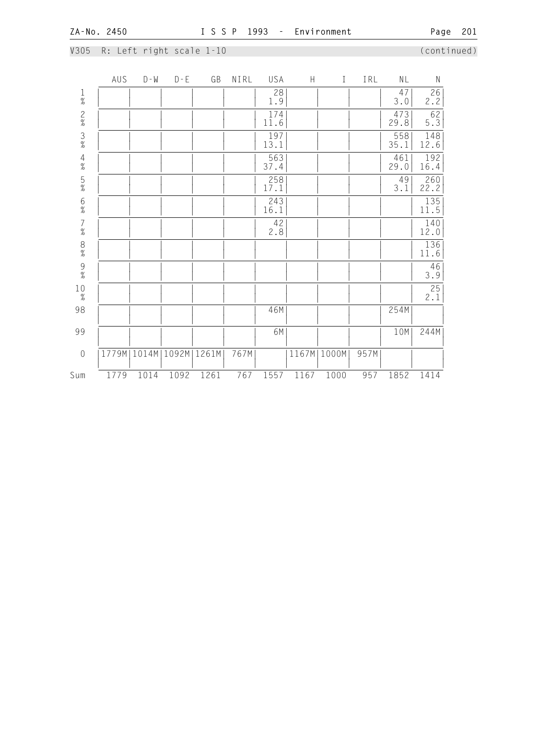|  |  | V305 R: Left right scale 1-10 |  |
|--|--|-------------------------------|--|
|  |  |                               |  |

 $\sim$  Left right scale 1-10 (continued)

|                                         | AUS  | $D - M$       | $D - E$ | GB    | NIRL | USA         | $\boldsymbol{\mathsf{H}}$ | $\rm I$       | IRL  | NL          | $\mathsf N$            |
|-----------------------------------------|------|---------------|---------|-------|------|-------------|---------------------------|---------------|------|-------------|------------------------|
| $\frac{1}{\%}$                          |      |               |         |       |      | 28<br>1.9   |                           |               |      | 47<br>3.0   | $\frac{26}{2.2}$       |
|                                         |      |               |         |       |      | 174<br>11.6 |                           |               |      | 473<br>29.8 | $rac{62}{5.3}$         |
| $\frac{2}{8}$ $\frac{3}{8}$             |      |               |         |       |      | 197<br>13.1 |                           |               |      | 558<br>35.1 | 148<br>12.6            |
| $\frac{4}{\%}$                          |      |               |         |       |      | 563<br>37.4 |                           |               |      | 461<br>29.0 | 192<br>16.4            |
| $\frac{5}{\%}$                          |      |               |         |       |      | 258<br>17.1 |                           |               |      | 49<br>3.1   | 260<br>22.2            |
| 6%<br>7%                                |      |               |         |       |      | 243<br>16.1 |                           |               |      |             | $\frac{135}{11.5}$     |
|                                         |      |               |         |       |      | 42<br>2.8   |                           |               |      |             | 140<br>12.0            |
| $\begin{array}{c} 8 \\  \% \end{array}$ |      |               |         |       |      |             |                           |               |      |             | 136<br>11.6            |
| $\frac{9}{\%}$                          |      |               |         |       |      |             |                           |               |      |             | 46<br>3.9              |
| $10\atop \%$                            |      |               |         |       |      |             |                           |               |      |             | $\overline{25}$<br>2.1 |
| 98                                      |      |               |         |       |      | 46M         |                           |               |      | 254M        |                        |
| 99                                      |      |               |         |       |      | 6M          |                           |               |      | 10M         | 244M                   |
| $\sqrt{a}$                              |      | 1779M   1014M | 1092M   | 1261M | 767M |             |                           | 1167M   1000M | 957M |             |                        |
| Sum                                     | 1779 | 1014          | 1092    | 1261  | 767  | 1557        | 1167                      | 1000          | 957  | 1852        | 1414                   |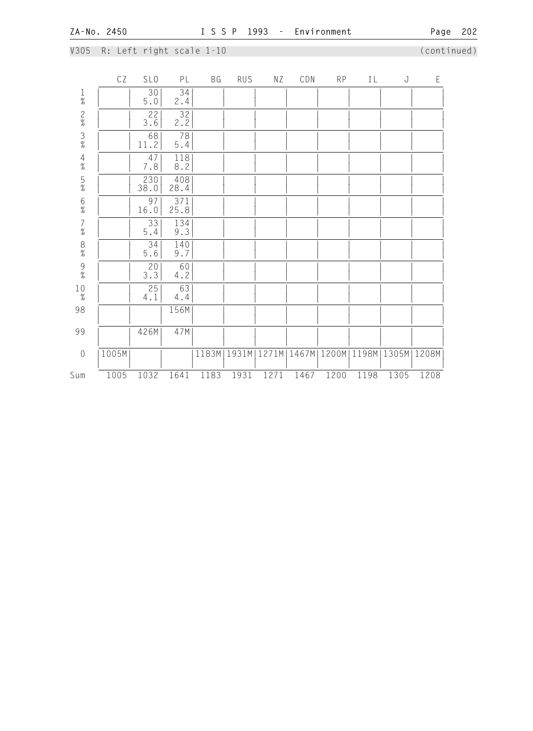# V305 R: Left right scale 1-10 (continued)

|                 | СZ    | SL <sub>0</sub>        | PL          | ΒG    | <b>RUS</b> | ΝZ    | CDN  | RP   | IL   | J                                     | $\mathsf E$ |
|-----------------|-------|------------------------|-------------|-------|------------|-------|------|------|------|---------------------------------------|-------------|
| $\frac{1}{\%}$  |       | 30<br>$5.0$            | 34<br>2.4   |       |            |       |      |      |      |                                       |             |
| $\frac{2}{\%}$  |       | 22<br>3.6              | 32<br>2.2   |       |            |       |      |      |      |                                       |             |
| $\frac{3}{\%}$  |       | 68<br>11.2             | 78<br>$5.4$ |       |            |       |      |      |      |                                       |             |
| $\frac{4}{\%}$  |       | 47<br>$7.8\,$          | 118<br>8.2  |       |            |       |      |      |      |                                       |             |
| $\frac{5}{\%}$  |       | 230<br>38.0            | 408<br>28.4 |       |            |       |      |      |      |                                       |             |
| $\frac{6}{\%}$  |       | 97<br>16.0             | 371<br>25.8 |       |            |       |      |      |      |                                       |             |
| $7\atop \%$     |       | 33<br>$5.4$            | 134<br>9.3  |       |            |       |      |      |      |                                       |             |
| 8% 9%           |       | 34<br>$5.6$            | 140<br>9.7  |       |            |       |      |      |      |                                       |             |
|                 |       | 20 <sub>1</sub><br>3.3 | 60<br>4.2   |       |            |       |      |      |      |                                       |             |
| $_{\rm 2}^{10}$ |       | 25<br>4.1              | 63<br>4.4   |       |            |       |      |      |      |                                       |             |
| 98              |       |                        | 156M        |       |            |       |      |      |      |                                       |             |
| 99              |       | 426M                   | 47M         |       |            |       |      |      |      |                                       |             |
| $\sqrt{a}$      | 1005M |                        |             | 1183M | 1931M      | 1271M |      |      |      | 1467M   1200M   1198M   1305M   1208M |             |
| Sum             | 1005  | 1032                   | 1641        | 1183  | 1931       | 1271  | 1467 | 1200 | 1198 | 1305                                  | 1208        |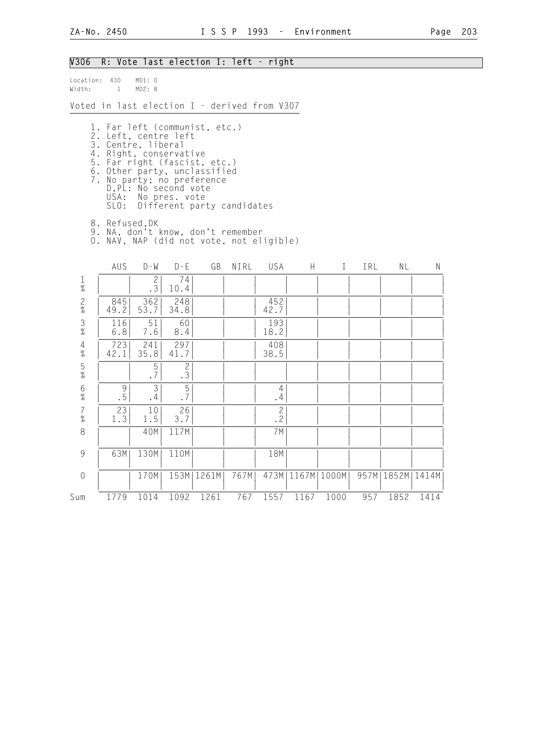## V306 R: Vote last election I: left - right Location: 430 MD1: 0<br>Width: 1 MD2: 8  $Width: 1$ Voted in last election I - derived from V307 1. Far left (communist, etc.) 2. Left, centre left 3. Centre, liberal 4. Right, conservative 5. Far right (fascist, etc.) 6. Other party, unclassified 7. No party; no preference D,PL: No second vote USA: No pres. vote SLO: Different party candidates 8. Refused,DK 9. NA, don't know, don't remember 0. NAV, NAP (did not vote, not eligible) AUS D-W D-E GB NIRL USA H I IRL NL N 1 | | 2| 74| | | | | | | | | % | | .3| 10.4| | | | | | | | | 2 | 845| 362| 248| | | 452| | | | | | % | 49.2| 53.7| 34.8| | | 42.7| | | | | | 3 | 116| 51| 60| | | 193| | | | | | % | 6.8| 7.6| 8.4| | | 18.2| | | | | | 4 | 723| 241| 297| | | 408| | | | | | % | 42.1| 35.8| 41.7| | | 38.5| | | | | | 5 | | 5| 2| | | | | | | | | % | | .7| .3| | | | | | | | | 6 | 9| 3| 5| | | 4| | | | | | % | .5| .4| .7| | | .4| | | | | | 7 | 23| 10| 26| | | 2| | | | | | % | 1.3| 1.5| 3.7| | | .2| | | | | | 8 | | 40M| 117M| | | 7M| | | | | | | | | | | | | | | | | | | 9 | 63M| 130M| 110M| | | 18M| | | | | | | | | | | | | | | | | | 0 | | 170M| 153M|1261M| 767M| 473M|1167M|1000M| 957M|1852M|1414M|

| | | | | | | | | | | |

## Sum 1779 1014 1092 1261 767 1557 1167 1000 957 1852 1414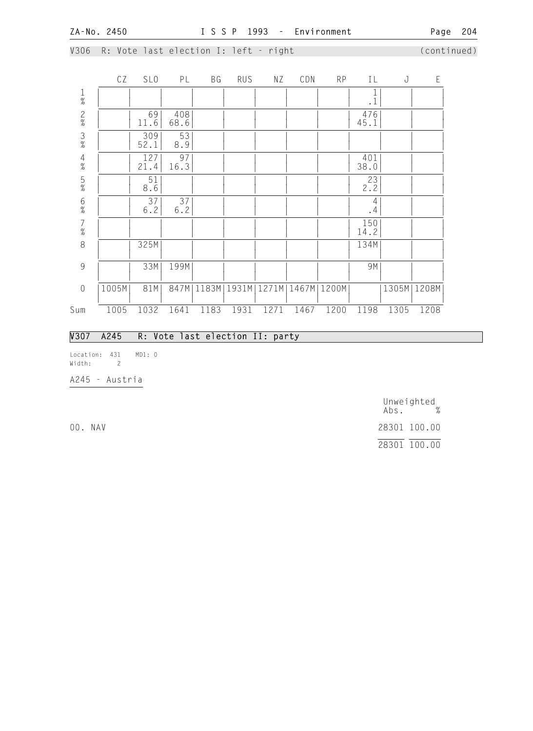V306 R: Vote last election I: left - right (continued)

|                                            | CZ    | SL <sub>0</sub> | PL          | ВG    | RUS  | ΝZ            | CDN  | RP            | ΙL             | J    | E             |  |
|--------------------------------------------|-------|-----------------|-------------|-------|------|---------------|------|---------------|----------------|------|---------------|--|
| $\frac{1}{\%}$                             |       |                 |             |       |      |               |      |               | $\cdot$ 1      |      |               |  |
| $\frac{2}{\%}$                             |       | 69<br>11.6      | 408<br>68.6 |       |      |               |      |               | 476<br>45.1    |      |               |  |
| $\frac{3}{\%}$                             |       | 309<br>52.1     | 53<br>8.9   |       |      |               |      |               |                |      |               |  |
| $\frac{4}{\%}$                             |       | 127<br>21.4     | 97<br>16.3  |       |      |               |      |               | 401<br>38.0    |      |               |  |
| $\frac{5}{\%}$                             |       | 51<br>8.6       |             |       |      |               |      |               | 23<br>2.2      |      |               |  |
| $6\%$                                      |       | 37<br>6.2       | 37<br>6.2   |       |      |               |      |               | 4<br>$\cdot$ 4 |      |               |  |
| $\begin{array}{c} 7 \\ 9'_{0} \end{array}$ |       |                 |             |       |      |               |      |               | 150<br>14.2    |      |               |  |
| 8                                          |       | 325M            |             |       |      |               |      |               | 134M           |      |               |  |
| 9                                          |       | 33M             | 199M        |       |      |               |      |               | 9M             |      |               |  |
| $\sqrt{a}$                                 | 1005M | 81M             | 847M        | 1183M |      | 1931M   1271M |      | 1467M   1200M |                |      | 1305M   1208M |  |
| Sum                                        | 1005  | 1032            | 1641        | 1183  | 1931 | 1271          | 1467 | 1200          | 1198           | 1305 | 1208          |  |

## V307 A245 R: Vote last election II: party

Location: 431 MD1: 0 Width: 2

A245 - Austria

 Unweighted Abs. % 00. NAV 28301 100.00 28301 100.00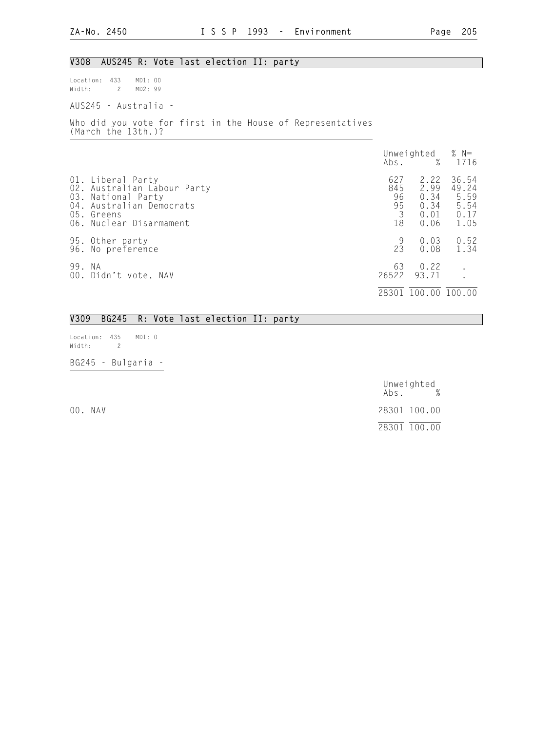### V308 AUS245 R: Vote last election II: party

Location: 433 MD1: 00 Width: 2 MD2: 99

AUS245 - Australia -

Who did you vote for first in the House of Representatives (March the 13th.)?

|        |                                                                                                                                             |                                   | Unweighted $% N=$<br>Abs. % 1716             |                                                |
|--------|---------------------------------------------------------------------------------------------------------------------------------------------|-----------------------------------|----------------------------------------------|------------------------------------------------|
|        | 01. Liberal Party<br>02. Australian Labour Party<br>03. National Party<br>04. Australian Democrats<br>05. Greens<br>06. Nuclear Disarmament | 627<br>845<br>96<br>95<br>3<br>18 | 2.22<br>2.99<br>0.34<br>0.34<br>0.01<br>0.06 | 36.54<br>49.24<br>5.59<br>5.54<br>0.17<br>1.05 |
|        | 95. Other party<br>96. No preference                                                                                                        | 9<br>23                           | 0.03<br>0.08                                 | 0.52<br>1.34                                   |
| 99. NA | 00. Didn't vote, NAV                                                                                                                        | 63<br>26522                       | 0.22<br>93.71                                | $\bullet$                                      |
|        |                                                                                                                                             | 28301                             |                                              | 100.00 100.00                                  |

## V309 BG245 R: Vote last election II: party

Location: 435 MD1: 0 Width: 2

BG245 - Bulgaria -

Unweighted<br>Abs. % Abs. % 00. NAV 28301 100.00 28301 100.00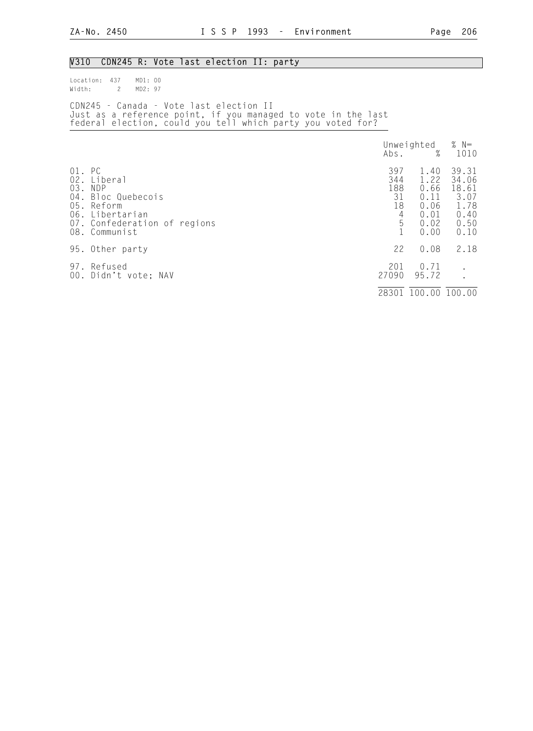# V310 CDN245 R: Vote last election II: party

| Location: 437 MD1: 00<br>Width: 2 MD2: 97 |                                                                                                                                                                         |                                    |  |
|-------------------------------------------|-------------------------------------------------------------------------------------------------------------------------------------------------------------------------|------------------------------------|--|
|                                           | CDN245 - Canada - Vote last election II<br>Just as a reference point, if you managed to vote in the last<br>federal election, could you tell which party you voted for? |                                    |  |
|                                           |                                                                                                                                                                         | Unweighted $% N=$<br>Abs. $% 1010$ |  |

|                             |                                                                                                                           | $\cdots$                                | $\prime\sigma$                                               | 1 U 1 U                                                         |
|-----------------------------|---------------------------------------------------------------------------------------------------------------------------|-----------------------------------------|--------------------------------------------------------------|-----------------------------------------------------------------|
| 01. PC<br>02.<br>03.<br>04. | Liberal<br><b>NDP</b><br>Bloc Quebecois<br>05. Reform<br>06. Libertarian<br>07. Confederation of regions<br>08. Communist | 397<br>344<br>188<br>31<br>18<br>4<br>5 | 1.40<br>1.22<br>0.66<br>0.11<br>0.06<br>0.01<br>0.02<br>0.00 | 39.31<br>34.06<br>18.61<br>3.07<br>1.78<br>0.40<br>0.50<br>0.10 |
|                             | 95. Other party                                                                                                           | 22                                      | 0.08                                                         | 2.18                                                            |
| 97.                         | Refused<br>00. Didn't vote; NAV                                                                                           | 201<br>27090                            | 0.71<br>95.72                                                |                                                                 |
|                             |                                                                                                                           | 28301                                   | 100.00 100.00                                                |                                                                 |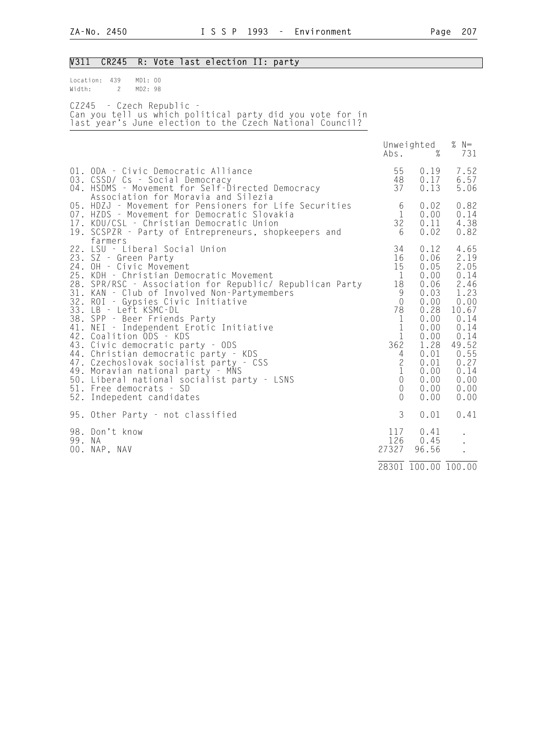| Page | 207 |
|------|-----|
|      |     |

| V311   | CR245                                                                                                                                                                                                                                                                                                                                                                                                                                                                                                                                                                                                                     |                    |  | R: Vote last election II: party     |                                                                                                                                                           |                                                                                                                                                                                                 |                                                                                                                                              |                                                                                                                                                |
|--------|---------------------------------------------------------------------------------------------------------------------------------------------------------------------------------------------------------------------------------------------------------------------------------------------------------------------------------------------------------------------------------------------------------------------------------------------------------------------------------------------------------------------------------------------------------------------------------------------------------------------------|--------------------|--|-------------------------------------|-----------------------------------------------------------------------------------------------------------------------------------------------------------|-------------------------------------------------------------------------------------------------------------------------------------------------------------------------------------------------|----------------------------------------------------------------------------------------------------------------------------------------------|------------------------------------------------------------------------------------------------------------------------------------------------|
| Width: | Location: 439<br>$\overline{c}$                                                                                                                                                                                                                                                                                                                                                                                                                                                                                                                                                                                           | MD1: 00<br>MD2: 98 |  |                                     |                                                                                                                                                           |                                                                                                                                                                                                 |                                                                                                                                              |                                                                                                                                                |
|        | CZ245 - Czech Republic -                                                                                                                                                                                                                                                                                                                                                                                                                                                                                                                                                                                                  |                    |  |                                     | Can you tell us which political party did you vote for in<br>last year's June election to the Czech National Council?                                     |                                                                                                                                                                                                 |                                                                                                                                              |                                                                                                                                                |
|        |                                                                                                                                                                                                                                                                                                                                                                                                                                                                                                                                                                                                                           |                    |  |                                     |                                                                                                                                                           | Abs.                                                                                                                                                                                            | Unweighted<br>$\%$                                                                                                                           | % $N=$<br>731                                                                                                                                  |
|        | 01. ODA - Civic Democratic Alliance<br>03. CSSD/ Cs - Social Democracy                                                                                                                                                                                                                                                                                                                                                                                                                                                                                                                                                    |                    |  | Association for Moravia and Silezia | 04. HSDMS - Movement for Self-Directed Democracy                                                                                                          | 55<br>48<br>37                                                                                                                                                                                  | 0.19<br>0.17<br>0.13                                                                                                                         | 7.52<br>6.57<br>5.06                                                                                                                           |
| 19.    | 17. KDU/CSL - Christian Democratic Union                                                                                                                                                                                                                                                                                                                                                                                                                                                                                                                                                                                  |                    |  |                                     | 05. HDZJ - Movement for Pensioners for Life Securities<br>07. HZDS - Movement for Democratic Slovakia<br>SCSPZR - Party of Entrepreneurs, shopkeepers and | 6<br>1<br>32<br>6                                                                                                                                                                               | 0.02<br>0.00<br>0.11<br>0.02                                                                                                                 | 0.82<br>0.14<br>4.38<br>0.82                                                                                                                   |
| 32.    | farmers<br>22. LSU - Liberal Social Union<br>23. SZ - Green Party<br>24. OH - Civic Movement<br>25. KDH - Christian Democratic Movement<br>31. KAN - Club of Involved Non-Partymembers<br>ROI - Gypsies Civic Initiative<br>33. LB - Left KSMC-DL<br>38. SPP - Beer Friends Party<br>41. NEI - Independent Erotic Initiative<br>42. Coalition ODS - KDS<br>43. Civic democratic party - ODS<br>44. Christian democratic party - KDS<br>47. Czechoslovak socialist party - CSS<br>49. Moravian national party - MNS<br>50. Liberal national socialist party - LSNS<br>51. Free democrats - SD<br>52. Indepedent candidates |                    |  |                                     | 28. SPR/RSC - Association for Republic/ Republican Party                                                                                                  | 34<br>16<br>15<br>$\mathbf{1}$<br>18<br>9<br>$\overline{0}$<br>78<br>$\mathbf{1}$<br>$\mathbf{1}$<br>1<br>362<br>4<br>$\mathbf{2}$<br>$\mathbf{1}$<br>$\overline{0}$<br>$\mathbf 0$<br>$\Omega$ | 0.12<br>0.06<br>0.05<br>0.00<br>0.06<br>0.03<br>0.00<br>0.28<br>0.00<br>0.00<br>0.00<br>1.28<br>0.01<br>0.01<br>0.00<br>0.00<br>0.00<br>0.00 | 4.65<br>2.19<br>2.05<br>0.14<br>2.46<br>1.23<br>0.00<br>10.67<br>0.14<br>0.14<br>0.14<br>49.52<br>0.55<br>0.27<br>0.14<br>0.00<br>0.00<br>0.00 |
|        | 95. Other Party - not classified                                                                                                                                                                                                                                                                                                                                                                                                                                                                                                                                                                                          |                    |  |                                     |                                                                                                                                                           | 3                                                                                                                                                                                               | 0.01                                                                                                                                         | 0.41                                                                                                                                           |
| 99. NA | 98. Don't know<br>00. NAP, NAV                                                                                                                                                                                                                                                                                                                                                                                                                                                                                                                                                                                            |                    |  |                                     |                                                                                                                                                           | 117<br>126<br>27327                                                                                                                                                                             | 0.41<br>0.45<br>96.56                                                                                                                        |                                                                                                                                                |
|        |                                                                                                                                                                                                                                                                                                                                                                                                                                                                                                                                                                                                                           |                    |  |                                     |                                                                                                                                                           |                                                                                                                                                                                                 | 28301 100.00 100.00                                                                                                                          |                                                                                                                                                |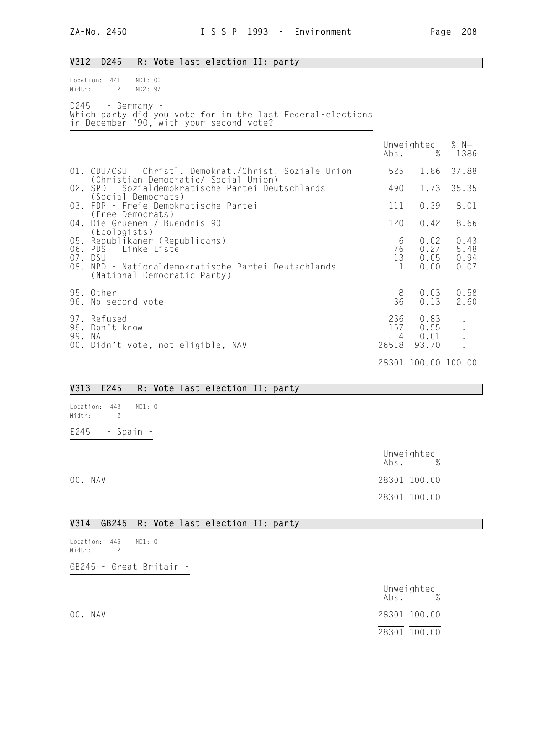| $\sqrt{312}$ | D <sub>245</sub><br>R: Vote last election II: party                                                                                                                      |                          |                               |                              |
|--------------|--------------------------------------------------------------------------------------------------------------------------------------------------------------------------|--------------------------|-------------------------------|------------------------------|
| Width:       | Location: 441<br>MD1: 00<br>$\mathbf{2}$<br>MD2: 97                                                                                                                      |                          |                               |                              |
| D245         | - Germany -<br>Which party did you vote for in the last Federal-elections<br>in December '90, with your second vote?                                                     |                          |                               |                              |
|              |                                                                                                                                                                          | Abs.                     | Unweighted<br>%               | % $N=$<br>1386               |
|              | 01. CDU/CSU - Christl. Demokrat./Christ. Soziale Union<br>(Christian Democratic/ Social Union)                                                                           | 525                      | 1.86                          | 37.88                        |
|              | 02. SPD - Sozialdemokratische Partei Deutschlands<br>(Social Democrats)                                                                                                  | 490                      | 1.73                          | 35.35                        |
|              | 03. FDP - Freie Demokratische Partei<br>(Free Democrats)                                                                                                                 | 111                      | 0.39                          | 8.01                         |
|              | 04. Die Gruenen / Buendnis 90                                                                                                                                            | 120                      | 0.42                          | 8.66                         |
|              | (Ecologists)<br>05. Republikaner (Republicans)<br>06. PDS - Linke Liste<br>07. DSU<br>08. NPD - Nationaldemokratische Partei Deutschlands<br>(National Democratic Party) |                          | 0.02<br>0.27<br>0.05<br>0.00  | 0.43<br>5.48<br>0.94<br>0.07 |
|              | 95. Other<br>96. No second vote                                                                                                                                          | 8<br>36                  | 0.03<br>0.13                  | 0.58<br>2.60                 |
| 99. NA       | 97. Refused<br>98. Don't know<br>00. Didn't vote, not eligible, NAV                                                                                                      | 236<br>157<br>4<br>26518 | 0.83<br>0.55<br>0.01<br>93.70 | $\ddot{\phantom{a}}$         |
|              |                                                                                                                                                                          |                          | 28301 100.00 100.00           |                              |

### V313 E245 R: Vote last election II: party

Location: 443 MD1: 0 Width: 2 E245 - Spain -

|         | Unweighted<br>Abs. | $\%$ |  |
|---------|--------------------|------|--|
| 00. NAV | 28301 100.00       |      |  |
|         | 28301 100.00       |      |  |

## V314 GB245 R: Vote last election II: party

Location: 445 MD1: 0 Width: 2

GB245 - Great Britain -

|         | Unweighted<br>$\%$<br>Abs. |
|---------|----------------------------|
| 00. NAV | 28301 100.00               |
|         | 28301 100.00               |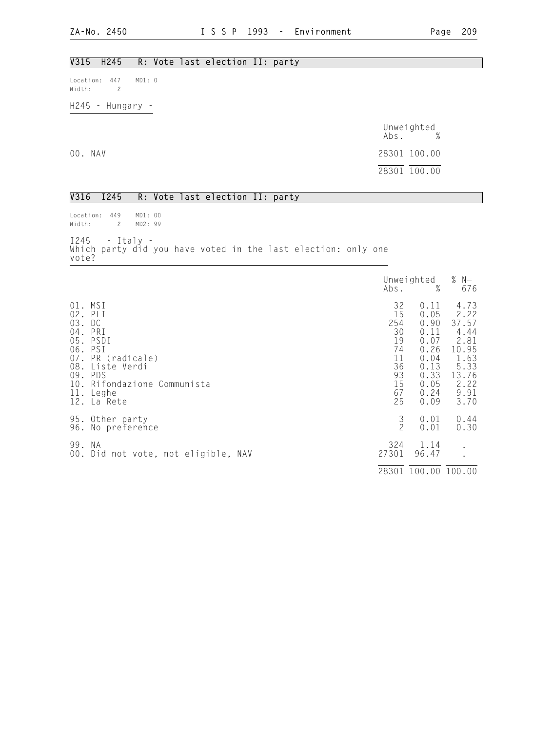## V315 H245 R: Vote last election II: party

Location: 447 MD1: 0 Width: 2

H245 - Hungary -

|         | Unweighted<br>$\%$<br>Abs. |
|---------|----------------------------|
| 00. NAV | 28301 100.00               |
|         | 28301 100.00               |

### V316 I245 R: Vote last election II: party

Location: 449 MD1: 00 Width: 2 MD2: 99 I245 - Italy - Which party did you have voted in the last election: only one vote?

|                                                                |                                                                                                                                          |                                                                       | Unweighted<br>$\%$<br>Abs.                                                                   |                                                                                                 |
|----------------------------------------------------------------|------------------------------------------------------------------------------------------------------------------------------------------|-----------------------------------------------------------------------|----------------------------------------------------------------------------------------------|-------------------------------------------------------------------------------------------------|
| 03.<br>$04$ .<br>05.<br>06.<br>07.<br>08.<br>09.<br>10.<br>11. | 01. MSI<br>02. PLI<br>DC<br>PRI<br>PSDI<br>PSI<br>PR (radicale)<br>Liste Verdi<br>PDS<br>Rifondazione Communista<br>Leghe<br>12. La Rete | 32<br>15<br>254<br>30<br>19<br>74<br>11<br>36<br>93<br>15<br>67<br>25 | 0.11<br>0.05<br>0.90<br>0.11<br>0.07<br>0.26<br>0.04<br>0.13<br>0.33<br>0.05<br>0.24<br>0.09 | 4.73<br>2.22<br>37.57<br>4.44<br>2.81<br>10.95<br>1.63<br>5.33<br>13.76<br>2.22<br>9.91<br>3.70 |
|                                                                | 95. Other party<br>96. No preference                                                                                                     | $\frac{3}{2}$                                                         | 0.01<br>0.01                                                                                 | 0.44<br>0.30                                                                                    |
| 99. NA                                                         | 00. Did not vote, not eligible, NAV                                                                                                      | 324<br>27301                                                          | 1.14<br>96.47                                                                                | $\bullet$                                                                                       |
|                                                                |                                                                                                                                          | 28301                                                                 | 100.00 100.00                                                                                |                                                                                                 |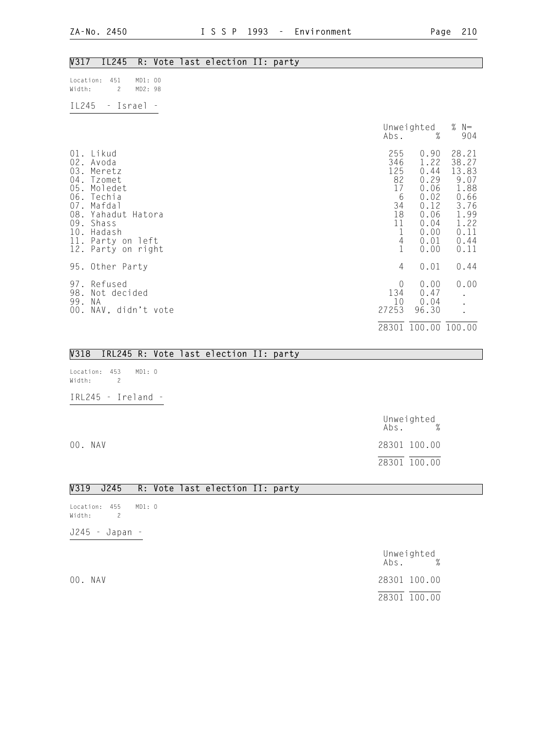## V317 IL245 R: Vote last election II: party

| Location: 451<br>Width: | $\overline{2}$ | MD1:00<br>MD2:98 |  |
|-------------------------|----------------|------------------|--|
| T <sub>1</sub> 245      | $\sim$         | Israel           |  |

|            |                                                                                                                                                                                   | Abs.                                                                                   | Unweighted<br>%                                                                              | % $N=$<br>904                                                                                   |
|------------|-----------------------------------------------------------------------------------------------------------------------------------------------------------------------------------|----------------------------------------------------------------------------------------|----------------------------------------------------------------------------------------------|-------------------------------------------------------------------------------------------------|
| 10.<br>11. | 01. Likud<br>02. Avoda<br>03. Meretz<br>04. Tzomet<br>05. Moledet<br>06. Techia<br>07. Mafdal<br>08. Yahadut Hatora<br>09. Shass<br>Hadash<br>Party on left<br>12. Party on right | 255<br>346<br>125<br>82<br>17<br>6<br>34<br>18<br>11<br>$\overline{4}$<br>$\mathbf{1}$ | 0.90<br>1.22<br>0.44<br>0.29<br>0.06<br>0.02<br>0.12<br>0.06<br>0.04<br>0.00<br>0.01<br>0.00 | 28.21<br>38.27<br>13.83<br>9.07<br>1.88<br>0.66<br>3.76<br>1.99<br>1.22<br>0.11<br>0.44<br>0.11 |
|            | 95. Other Party                                                                                                                                                                   | 4                                                                                      | 0.01                                                                                         | 0.44                                                                                            |
| 97.<br>99. | Refused<br>98. Not decided<br>N A<br>00. NAV, didn't vote                                                                                                                         | $\overline{0}$<br>134<br>10<br>27253                                                   | 0.00<br>0.47<br>0.04<br>96.30                                                                | 0.00<br>$\bullet$                                                                               |
|            |                                                                                                                                                                                   |                                                                                        | 28301 100.00 100.00                                                                          |                                                                                                 |

### V318 IRL245 R: Vote last election II: party

Location: 453 MD1: 0 Width: 2 IRL245 - Ireland -

 Unweighted Abs. % 00. NAV 28301 100.00 28301 100.00

### V319 J245 R: Vote last election II: party

Location: 455 MD1: 0 Width: 2 J245 - Japan -

 Unweighted Abs. % 00. NAV 28301 100.00 28301 100.00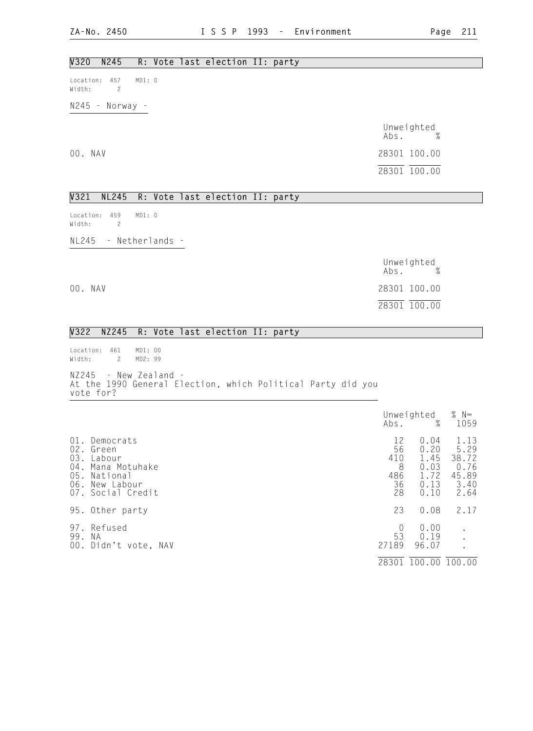### V320 N245 R: Vote last election II: party

Location: 457 MD1: 0 Width: 2

N245 - Norway -

 Unweighted Abs. % 00. NAV 28301 100.00 28301 100.00

### V321 NL245 R: Vote last election II: party

Location: 459 MD1: 0 Width: 2

NL245 - Netherlands -

 Unweighted Abs. % 00. NAV 28301 100.00 28301 100.00

### V322 NZ245 R: Vote last election II: party

Location: 461 MD1: 00<br>Width: 2 MD2: 99 Width: 2

NZ245 - New Zealand - At the 1990 General Election, which Political Party did you vote for?

|                                           |                                                                                              | Abs.                                    | Unweighted<br>%                                      | % $N=$<br>1059                                         |
|-------------------------------------------|----------------------------------------------------------------------------------------------|-----------------------------------------|------------------------------------------------------|--------------------------------------------------------|
| 01.<br>02.<br>03.<br>$04$ .<br>05.<br>06. | Democrats<br>Green<br>Labour<br>Mana Motuhake<br>National<br>New Labour<br>07. Social Credit | 12<br>56<br>410<br>8<br>486<br>36<br>28 | 0.04<br>0.20<br>1.45<br>0.03<br>1.72<br>0.13<br>0.10 | 1.13<br>5.29<br>38.72<br>0.76<br>45.89<br>3.40<br>2.64 |
|                                           | 95. Other party                                                                              | 23                                      | 0.08                                                 | 2.17                                                   |
| 97.<br>99.                                | Refused<br>N A<br>00. Didn't vote, NAV                                                       | $\theta$<br>53<br>27189                 | 0.00<br>0.19<br>96.07                                |                                                        |
|                                           |                                                                                              | 28301                                   | 100.00                                               | 100.00                                                 |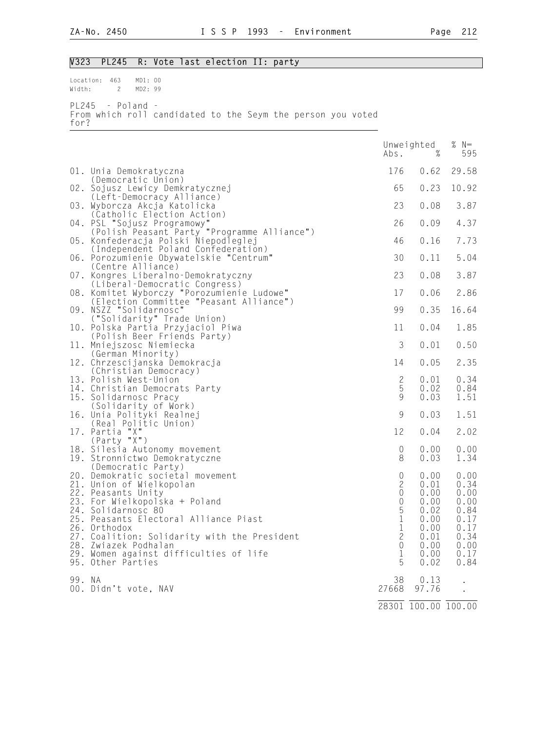## V323 PL245 R: Vote last election II: party

Location: 463 MD1: 00<br>Width: 2 MD2: 99 2 MD2: 99 PL245 - Poland - From which roll candidated to the Seym the person you voted

- for?
- 

|        |                                                                                                                                                                                                                                                                                              | Abs.                                                                                                   | Unweighted<br>$\%$                                                   | %<br>$N=$<br>595                                                     |
|--------|----------------------------------------------------------------------------------------------------------------------------------------------------------------------------------------------------------------------------------------------------------------------------------------------|--------------------------------------------------------------------------------------------------------|----------------------------------------------------------------------|----------------------------------------------------------------------|
|        | 01. Unia Demokratyczna                                                                                                                                                                                                                                                                       | 176                                                                                                    | 0.62                                                                 | 29.58                                                                |
|        | (Democratic Union)<br>02. Sojusz Lewicy Demkratycznej                                                                                                                                                                                                                                        | 65                                                                                                     | 0.23                                                                 | 10.92                                                                |
|        | (Left-Democracy Alliance)<br>03. Wyborcza Akcja Katolicka<br>(Catholic Election Action)                                                                                                                                                                                                      | 23                                                                                                     | 0.08                                                                 | 3.87                                                                 |
|        | 04. PSL "Sojusz Programowy"<br>(Polish Peasant Party "Programme Alliance")                                                                                                                                                                                                                   | 26                                                                                                     | 0.09                                                                 | 4.37                                                                 |
| 05.    | Konfederacja Polski Niepodleglej<br>(Independent Poland Confederation)                                                                                                                                                                                                                       | 46                                                                                                     | 0.16                                                                 | 7.73                                                                 |
|        | 06. Porozumienie Obywatelskie "Centrum"<br>(Centre Alliance)                                                                                                                                                                                                                                 | 30                                                                                                     | 0.11                                                                 | 5.04                                                                 |
|        | 07. Kongres Liberalno-Demokratyczny<br>(Liberal-Democratic Congress)                                                                                                                                                                                                                         | 23                                                                                                     | 0.08                                                                 | 3.87                                                                 |
|        | 08. Komitet Wyborczy "Porozumienie Ludowe"<br>(Election Committee "Peasant Alliance")                                                                                                                                                                                                        | 17                                                                                                     | 0.06                                                                 | 2.86                                                                 |
|        | 09. NSZZ "Solidarnosc"<br>("Solidarity" Trade Union)                                                                                                                                                                                                                                         | 99                                                                                                     | 0.35                                                                 | 16.64                                                                |
|        | 10. Polska Partia Przyjaciol Piwa<br>(Polish Beer Friends Party)                                                                                                                                                                                                                             | 11                                                                                                     | 0.04                                                                 | 1.85                                                                 |
|        | 11. Mniejszosc Niemiecka<br>(German Minority)                                                                                                                                                                                                                                                | 3                                                                                                      | 0.01                                                                 | 0.50                                                                 |
|        | 12. Chrzescijanska Demokracja<br>(Christian Democracy)                                                                                                                                                                                                                                       | 14                                                                                                     | 0.05                                                                 | 2.35                                                                 |
|        | 13. Polish West-Union<br>14. Christian Democrats Party                                                                                                                                                                                                                                       | $\mathbf{2}$<br>5                                                                                      | 0.01<br>0.02                                                         | 0.34<br>0.84                                                         |
|        | 15. Solidarnosc Pracy<br>(Solidarity of Work)                                                                                                                                                                                                                                                | 9                                                                                                      | 0.03                                                                 | 1.51                                                                 |
|        | 16. Unia Polityki Realnej<br>(Real Politic Union)                                                                                                                                                                                                                                            | 9                                                                                                      | 0.03                                                                 | 1.51                                                                 |
|        | 17. Partia "X"<br>(Party "X")                                                                                                                                                                                                                                                                | 12                                                                                                     | 0.04                                                                 | 2.02                                                                 |
|        | 18. Silesia Autonomy movement<br>19. Stronnictwo Demokratyczne                                                                                                                                                                                                                               | $\mathbf 0$<br>8                                                                                       | 0.00<br>0.03                                                         | 0.00<br>1.34                                                         |
| 26.    | (Democratic Party)<br>20. Demokratic societal movement<br>21. Union of Wielkopolan<br>22. Peasants Unity<br>23. For Wielkopolska + Poland<br>24. Solidarnosc 80<br>25. Peasants Electoral Alliance Piast<br>Orthodox<br>27. Coalition: Solidarity with the President<br>28. Zwiazek Podhalan | $\mathbf 0$<br>$\mathbf{2}$<br>$\mathbf 0$<br>$\begin{matrix} 0 \\ 5 \\ 1 \end{matrix}$<br>1<br>2<br>0 | 0.00<br>0.01<br>0.00<br>0.00<br>0.02<br>0.00<br>0.00<br>0.01<br>0.00 | 0.00<br>0.34<br>0.00<br>0.00<br>0.84<br>0.17<br>0.17<br>0.34<br>0.00 |
|        | 29. Women against difficulties of life<br>95. Other Parties                                                                                                                                                                                                                                  | 1<br>5                                                                                                 | 0.00<br>0.02                                                         | 0.17<br>0.84                                                         |
| 99. NA | 00. Didn't vote, NAV                                                                                                                                                                                                                                                                         | 38<br>27668                                                                                            | 0.13<br>97.76                                                        |                                                                      |
|        |                                                                                                                                                                                                                                                                                              |                                                                                                        | 28301 100.00 100.00                                                  |                                                                      |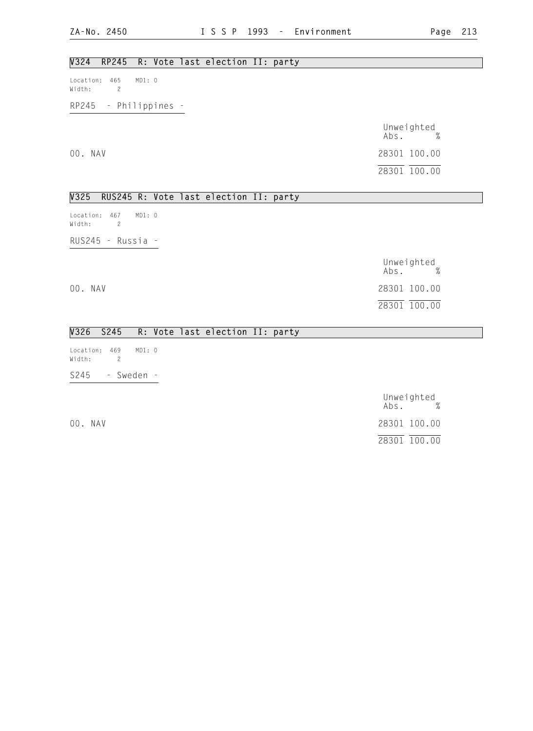## V324 RP245 R: Vote last election II: party

Location: 465 MD1: 0 Width: 2

RP245 - Philippines -

 Unweighted Abs. % 00. NAV 28301 100.00 28301 100.00

### V325 RUS245 R: Vote last election II: party

Location: 467 MD1: 0 Width: 2 RUS245 - Russia -

 Unweighted Abs. % 00. NAV 28301 100.00 28301 100.00

## V326 S245 R: Vote last election II: party

Location: 469 MD1: 0 Width: 2 S245 - Sweden -

Unweighted<br>Abs. % Abs. % 00. NAV 28301 100.00 28301 100.00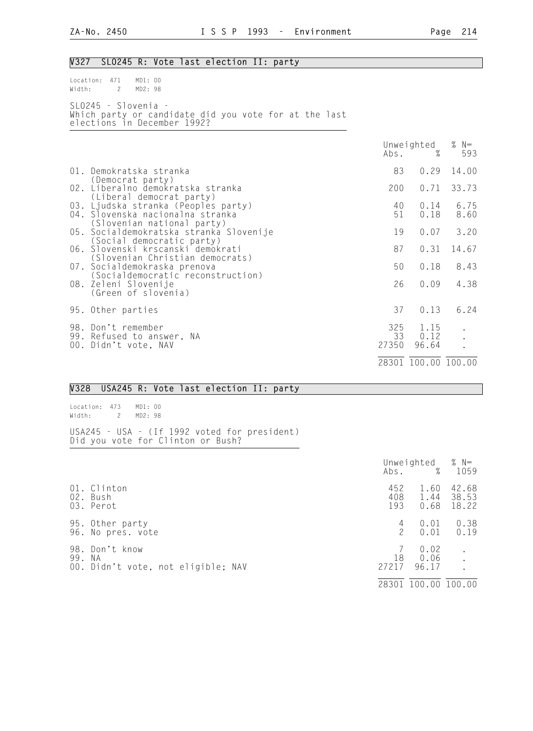## V327 SLO245 R: Vote last election II: party

| $Location: 471$ $MD1: 00$                                                                                     |  |  |  |  |  |
|---------------------------------------------------------------------------------------------------------------|--|--|--|--|--|
| Width: 2 MD2:98                                                                                               |  |  |  |  |  |
| $SLO245 - SIOvenia -$<br>Which party or candidate did you vote for at the last<br>elections in December 1992? |  |  |  |  |  |

|  |                                                                                                                                                                                                                                                                                                                                                                           | Abs.               | Unweighted<br>%       | % $N=$<br>593        |
|--|---------------------------------------------------------------------------------------------------------------------------------------------------------------------------------------------------------------------------------------------------------------------------------------------------------------------------------------------------------------------------|--------------------|-----------------------|----------------------|
|  | 01. Demokratska stranka<br>(Democrat party)                                                                                                                                                                                                                                                                                                                               | 83                 | 0.29                  | 14.00                |
|  | 02. Liberalno demokratska stranka<br>(Liberal democrat party)                                                                                                                                                                                                                                                                                                             | 200                | 0.71                  | 33.73                |
|  | 03. Ljudska stranka (Peoples party)<br>04. Slovenska nacionalna stranka<br>(Slovenian national party)<br>05. Socialdemokratska stranka Slovenije<br>(Social democratic party)<br>06. Slovenski krscanski demokrati<br>(Slovenian Christian democrats)<br>07. Socialdemokraska prenova<br>(Socialdemocratic reconstruction)<br>08. Zeleni Slovenije<br>(Green of slovenia) | 40<br>51           | 0.14<br>0.18          | 6.75<br>8.60         |
|  |                                                                                                                                                                                                                                                                                                                                                                           | 19                 | 0.07                  | 3.20                 |
|  |                                                                                                                                                                                                                                                                                                                                                                           | 87                 | 0.31                  | 14.67                |
|  |                                                                                                                                                                                                                                                                                                                                                                           | 50                 | 0.18                  | 8.43                 |
|  |                                                                                                                                                                                                                                                                                                                                                                           | 26                 | 0.09                  | 4.38                 |
|  | 95. Other parties                                                                                                                                                                                                                                                                                                                                                         | 37                 | 0.13                  | 6.24                 |
|  | 98. Don't remember<br>99. Refused to answer, NA<br>00. Didn't vote, NAV                                                                                                                                                                                                                                                                                                   | 325<br>33<br>27350 | 1.15<br>0.12<br>96.64 | $\ddot{\phantom{a}}$ |
|  |                                                                                                                                                                                                                                                                                                                                                                           |                    | 28301 100.00 100.00   |                      |

### V328 USA245 R: Vote last election II: party

Location: 473 MD1: 00 Width: 2 MD2: 98

USA245 - USA - (If 1992 voted for president) Did you vote for Clinton or Bush?

|     |                                                               | Abs.               | Unweighted<br>%       | % $N=$<br>1059          |
|-----|---------------------------------------------------------------|--------------------|-----------------------|-------------------------|
|     | 01. Clinton<br>02. Bush<br>03. Perot                          | 452<br>408<br>193  | 1.60<br>1.44<br>0.68  | 42.68<br>38.53<br>18.22 |
|     | 95. Other party<br>96. No pres. vote                          | 4<br>$\mathcal{P}$ | 0.01<br>0.01          | 0.38<br>0.19            |
| 99. | 98. Don't know<br>- N.A<br>00. Didn't vote, not eligible; NAV | 18<br>27217        | 0.02<br>0.06<br>96.17 |                         |
|     |                                                               | 28301              | 100.00                | 100.00                  |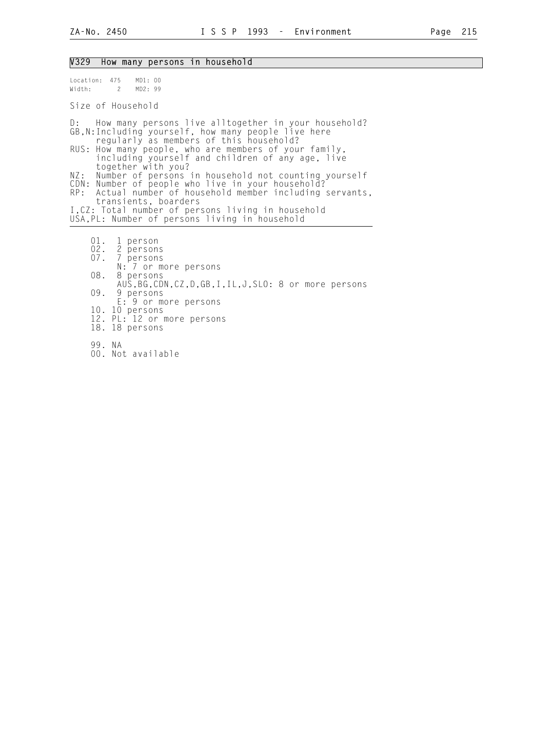### V329 How many persons in household

Location: 475 MD1: 00<br>Width: 2 MD2: 99 Width: 2 Size of Household D: How many persons live alltogether in your household? GB,N:Including yourself, how many people live here regularly as members of this household? RUS: How many people, who are members of your family, including yourself and children of any age, live together with you? NZ: Number of persons in household not counting yourself CDN: Number of people who live in your household? RP: Actual number of household member including servants, transients, boarders I,CZ: Total number of persons living in household USA,PL: Number of persons living in household 01. 1 person<br>02. 2 person 02. 2 persons<br>07. 7 persons 07. 7 persons N: 7 or more persons 08. 8 persons AUS,BG,CDN,CZ,D,GB,I,IL,J,SLO: 8 or more persons<br>09. 9 persons 09. 9 persons E: 9 or more persons 10. 10 persons 12. PL: 12 or more persons 18. 18 persons

- 99. NA
- 00. Not available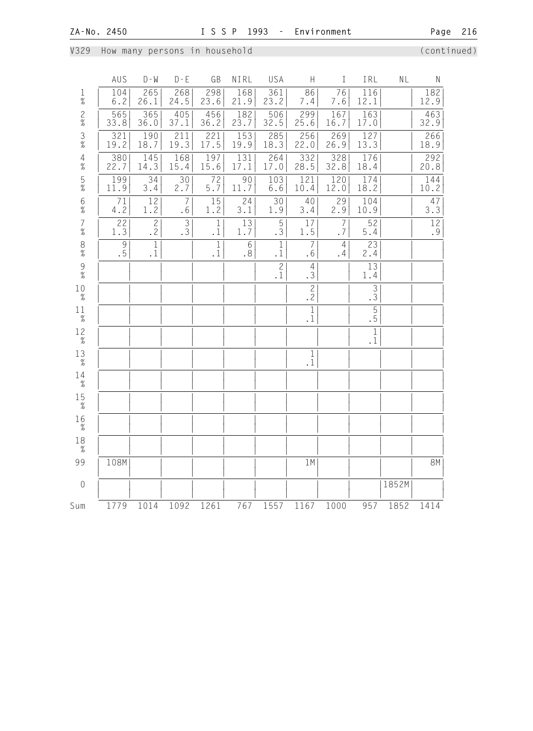V329 How many persons in household (continued)

|                     | AUS                                                                         | $D - W$                   | $D - E$                | GB                 | NIRL        | USA                      | $\boldsymbol{\mathsf{H}}$ | $\rm I$              | IRL                                                    | NL    | ${\sf N}$              |
|---------------------|-----------------------------------------------------------------------------|---------------------------|------------------------|--------------------|-------------|--------------------------|---------------------------|----------------------|--------------------------------------------------------|-------|------------------------|
| $\frac{1}{\%}$      | 104<br>$6.2\,$                                                              | 265<br>26.1               | 268<br>24.5            | 298<br>23.6        | 168<br>21.9 | 361<br>23.2              | 86<br>7.4                 | 76<br>7.6            | $\overline{1}16$<br>12.1                               |       | 182<br>12.9            |
| $\frac{2}{\%}$      | 565<br>33.8                                                                 | 365<br>36.0               | 405<br>37.1            | 456<br>36.2        | 182<br>23.7 | 506<br>32.5              | 299<br>25.6               | 167<br>16.7          | 163<br>17.0                                            |       | 463<br>32.9            |
| $\frac{3}{8}$       | 321<br>19.2                                                                 | 190<br>18.7               | 211<br>19.3            | 221<br>17.5        | 153<br>19.9 | 285<br>18.3              | 256<br>22.0               | 269<br>26.9          | 127<br>13.3                                            |       | 266<br>18.9            |
| $\frac{4}{\%}$      | 380<br>22.7                                                                 | 145<br>14.3               | 168<br>15.4            | 197<br>15.6        | 131<br>17.1 | 264<br>17.0              | 332<br>28.5               | 328<br>32.8          | 176<br>18.4                                            |       | 292<br>20.8            |
| $\frac{5}{\%}$      | 199<br>11.9                                                                 | 34<br>3.4                 | $\overline{30}$<br>2.7 | 72<br>$5.7$        | 90<br>11.7  | 103<br>$6.6$             | 121<br>10.4               | 120<br>12.0          | 174<br>18.2                                            |       | 144<br>10.2            |
| $6\atop \%$         | 71<br>4.2                                                                   | $12$<br>1.2               | $\overline{7}$<br>.6   | 15<br>1.2          | 24<br>3.1   | $\overline{30}$<br>1.9   | 40<br>3.4                 | 29<br>2.9            | 104<br>10.9                                            |       | 47<br>$3.\overline{3}$ |
| $\frac{7}{\%}$      | 22<br>1.3                                                                   | $\overline{\frac{2}{2}}$  | $\overline{3}$ .       | $1\,$<br>$\cdot$ 1 | 13<br>1.7   | 5<br>.3                  | 17<br>1.5                 | 7<br>.7              | 52<br>$5.4$                                            |       | 12<br>.9               |
| $_{\%}^8$           | $\mathcal{G}% _{M_{1},M_{2}}^{\alpha,\beta}(\mathcal{A})$<br>$\overline{5}$ | $\mathbf{1}$<br>$\cdot$ 1 |                        | $1\,$<br>$\cdot$ 1 | 6<br>.8     | $1\,$<br>$\cdot$ 1       | $\overline{7}$<br>.6      | $\overline{4}$<br>.4 | 23<br>2.4                                              |       |                        |
| $\frac{9}{\%}$      |                                                                             |                           |                        |                    |             | $\overline{\frac{2}{1}}$ | $\overline{4}$<br>.3      |                      | 13<br>1.4                                              |       |                        |
| $10$<br>$\%$        |                                                                             |                           |                        |                    |             |                          | $\overline{c}$<br>.2      |                      | $\overline{3}$<br>$\overline{3}$                       |       |                        |
| $11\,$<br>$\%$      |                                                                             |                           |                        |                    |             |                          | $\mathbf{1}$<br>$\cdot$ 1 |                      | $\overline{\phantom{0}5}$<br>$\overline{\phantom{0}5}$ |       |                        |
| $1\frac{2}{\%}$     |                                                                             |                           |                        |                    |             |                          |                           |                      | $\,1\,$<br>$\cdot$ 1                                   |       |                        |
| 13<br>$\%$          |                                                                             |                           |                        |                    |             |                          | $1\,$<br>$\cdot$ 1        |                      |                                                        |       |                        |
| 14<br>$\%$          |                                                                             |                           |                        |                    |             |                          |                           |                      |                                                        |       |                        |
| $15 \atop \%$       |                                                                             |                           |                        |                    |             |                          |                           |                      |                                                        |       |                        |
| 16<br>$\frac{9}{6}$ |                                                                             |                           |                        |                    |             |                          |                           |                      |                                                        |       |                        |
| 18<br>$\frac{9}{6}$ |                                                                             |                           |                        |                    |             |                          |                           |                      |                                                        |       |                        |
| 99                  | 108M                                                                        |                           |                        |                    |             |                          | 1M                        |                      |                                                        |       | 8M                     |
| $\mathbf 0$         |                                                                             |                           |                        |                    |             |                          |                           |                      |                                                        | 1852M |                        |
| Sum                 | 1779                                                                        | 1014                      | 1092                   | 1261               | 767         | 1557                     | 1167                      | 1000                 | 957                                                    | 1852  | 1414                   |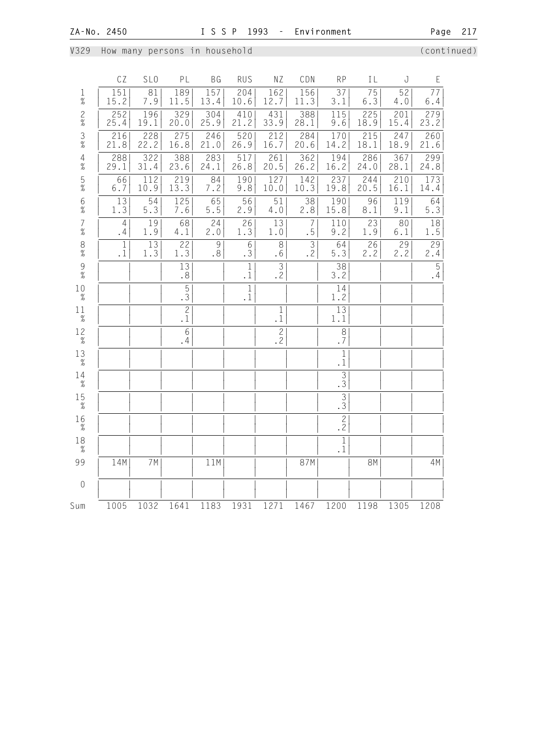V329 How many persons in household (continued)

|                                        | CZ                        | SL <sub>0</sub>          | PL                                | BG          | <b>RUS</b>                  | NZ                     | CDN                  | <b>RP</b>                        | IL          | J           | E                    |
|----------------------------------------|---------------------------|--------------------------|-----------------------------------|-------------|-----------------------------|------------------------|----------------------|----------------------------------|-------------|-------------|----------------------|
| $\mathbf{1}$<br>$\%$                   | 151<br>15.2               | 81<br>7.9                | 189<br>11.5                       | 157<br>13.4 | 204<br>10.6                 | 162<br>12.7            | 156<br>11.3          | 37<br>3.1                        | 75<br>6.3   | 52<br>$4.0$ | 77<br>$6.4$          |
| $\frac{2}{\%}$                         | 252<br>25.4               | 196<br>19.1              | 329<br>20.0                       | 304<br>25.9 | 410<br>21.2                 | 431<br>33.9            | 388<br>28.1          | 115<br>9.6                       | 225<br>18.9 | 201<br>15.4 | 279<br>23.2          |
| $\frac{3}{8}$                          | 216<br>21.8               | 228<br>22.2              | 275<br>16.8                       | 246<br>21.0 | 520<br>26.9                 | 212<br>16.7            | 284<br>20.6          | 170<br>14.2                      | 215<br>18.1 | 247<br>18.9 | 260<br>21.6          |
| $\begin{array}{c} 4 \\ \% \end{array}$ | 288<br>29.1               | $\overline{322}$<br>31.4 | 388<br>23.6                       | 283<br>24.1 | 517<br>26.8                 | 261<br>20.5            | 362<br>26.2          | 194<br>16.2                      | 286<br>24.0 | 367<br>28.1 | 299<br>24.8          |
| $\frac{5}{\%}$                         | 66<br>$6.7$               | 112<br>10.9              | 219<br>13.3                       | 84<br>7.2   | 190<br>9.8                  | 127<br>10.0            | 142<br>10.3          | 237<br>19.8                      | 244<br>20.5 | 210<br>16.1 | 173<br>14.4          |
| $6\%$                                  | $\overline{13}$<br>1.3    | 54<br>5.3                | $\overline{1}25$<br>7.6           | 65<br>$5.5$ | 56<br>2.9                   | 51<br>4.0              | 38<br>2.8            | 190<br>15.8                      | 96<br>8.1   | 119<br>9.1  | 64<br>5.3            |
| $\begin{array}{c} 7 \\ \% \end{array}$ | $\overline{4}$<br>.4      | 19<br>1.9                | 68<br>4.1                         | 24<br>2.0   | 26<br>1.3                   | 13<br>1.0              | $\overline{7}$<br>.5 | 110<br>9.2                       | 23<br>1.9   | 80<br>6.1   | 18<br>1.5            |
| $_{\%}^8$                              | $\mathbf{1}$<br>$\cdot$ 1 | $\overline{13}$<br>1.3   | 22<br>1.3                         | 9<br>.8     | 6<br>.3                     | $\,8\,$<br>$\cdot$ 6   | $\mathfrak{Z}$<br>.2 | 64<br>5.3                        | 26<br>2.2   | 29<br>2.2   | 29<br>2.4            |
| $\begin{array}{c} 9 \\ 7 \end{array}$  |                           |                          | 13<br>$\boldsymbol{\mathsf{s}}$ . |             | $\mathbf 1$<br>$\cdot$ 1    | $\overline{3}$<br>.2   |                      | 38<br>3.2                        |             |             | $\overline{5}$<br>.4 |
| 10<br>$\%$                             |                           |                          | $\overline{5}$<br>$\overline{3}$  |             | $\overline{1}$<br>$\cdot$ 1 |                        |                      | 14<br>1.2                        |             |             |                      |
| 11<br>$\%$                             |                           |                          | $\mathbf{2}$<br>$\cdot$ 1         |             |                             | $\mathbf 1$<br>. $1\,$ |                      | 13<br>1.1                        |             |             |                      |
| $12\over \%$                           |                           |                          | 6<br>.4                           |             |                             | $\mathbf{2}$<br>.2     |                      | $\,8\,$<br>.7                    |             |             |                      |
| 13<br>$\%$                             |                           |                          |                                   |             |                             |                        |                      | $\overline{1}$<br>$\cdot$ 1      |             |             |                      |
| 14<br>$\%$                             |                           |                          |                                   |             |                             |                        |                      | $\overline{3}$<br>$\overline{3}$ |             |             |                      |
| $15 \atop \%$                          |                           |                          |                                   |             |                             |                        |                      | $\overline{\frac{3}{3}}$         |             |             |                      |
| 16<br>$\%$                             |                           |                          |                                   |             |                             |                        |                      | $\overline{2}$<br>.2             |             |             |                      |
| 18<br>$\%$                             |                           |                          |                                   |             |                             |                        |                      | $\mathbf{1}$<br>$\cdot$ 1        |             |             |                      |
| 99                                     | 14M                       | 7M                       |                                   | 11M         |                             |                        | 87M                  |                                  | <b>8M</b>   |             | 4M                   |
| $\theta$                               |                           |                          |                                   |             |                             |                        |                      |                                  |             |             |                      |
| Sum                                    | 1005                      | 1032                     | 1641                              | 1183        | 1931                        | 1271                   | 1467                 | 1200                             | 1198        | 1305        | 1208                 |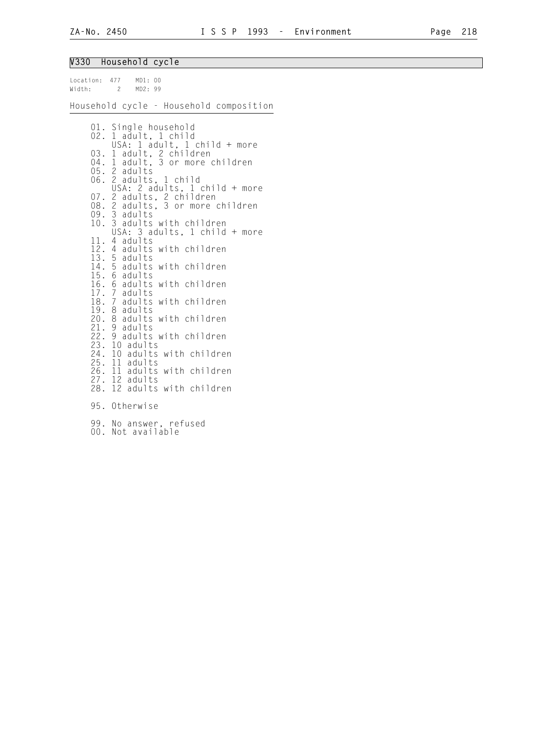# V330 Household cycle

|                      | $1.0000$ $0.1010$ $0.0000$                      |                                                                                                                                                                                                                                                                                                                                                                                                                                                                                                                                                                                                                                                                                                                                                                               |
|----------------------|-------------------------------------------------|-------------------------------------------------------------------------------------------------------------------------------------------------------------------------------------------------------------------------------------------------------------------------------------------------------------------------------------------------------------------------------------------------------------------------------------------------------------------------------------------------------------------------------------------------------------------------------------------------------------------------------------------------------------------------------------------------------------------------------------------------------------------------------|
|                      | Location: 477 MD1: 00<br>Width: 2 MD2: 99       |                                                                                                                                                                                                                                                                                                                                                                                                                                                                                                                                                                                                                                                                                                                                                                               |
|                      |                                                 | Household cycle - Household composition                                                                                                                                                                                                                                                                                                                                                                                                                                                                                                                                                                                                                                                                                                                                       |
|                      | $05.$ 2 adults<br>09. 3 adults<br>25. 11 adults | 01. Single household<br>02. 1 adult, 1 child<br>USA: 1 adult, 1 child + more<br>03. 1 adult, 2 children<br>04. 1 adult, 3 or more children<br>06. 2 adults, 1 child<br>USA: 2 adults, 1 child + more<br>07. 2 adults, 2 children<br>08. 2 adults, 3 or more children<br>10. 3 adults with children<br>10. 3 adults with children<br>USA: 3 adults, 1 child + more<br>11. 4 adults<br>12. 4 adults with children<br>13. 5 adults<br>14. 5 adults with children<br>15. 6 adults with children<br>17. 7 adults with children<br>19. 8 adults with child<br>20. 8 adults with children<br>21. 9 adults with children<br>22. 9 adults with children<br>23. 10 adults<br>24. 10 adults with children<br>26. 11 adults with children<br>27. 12 adults<br>28. 12 adults with children |
| $\cap$ $\cap$ $\cup$ | 95. Otherwise                                   |                                                                                                                                                                                                                                                                                                                                                                                                                                                                                                                                                                                                                                                                                                                                                                               |
|                      |                                                 |                                                                                                                                                                                                                                                                                                                                                                                                                                                                                                                                                                                                                                                                                                                                                                               |

 99. No answer, refused 00. Not available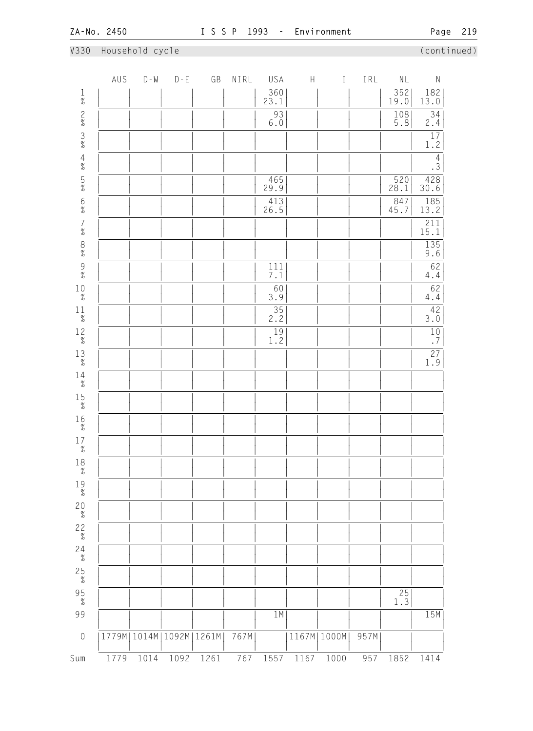## V330 Household cycle (continued)

|                                            | AUS  | $D - M$ | $D - E$ | GB                            | NIRL | USA                | $\boldsymbol{\mathsf{H}}$ | $\rm I$       | IRL  | $\mathsf{NL}$     | ${\sf N}$                                  |
|--------------------------------------------|------|---------|---------|-------------------------------|------|--------------------|---------------------------|---------------|------|-------------------|--------------------------------------------|
| $\frac{1}{\%}$                             |      |         |         |                               |      | $\frac{360}{23.1}$ |                           |               |      | 352<br>19.0       | $\begin{array}{c} 182 \\ 13.0 \end{array}$ |
| $\frac{2}{\%}$                             |      |         |         |                               |      | 93<br>$6\,.\,0$    |                           |               |      | $\frac{108}{5.8}$ | $\overline{34}$<br>2.4                     |
| $\frac{3}{8}$                              |      |         |         |                               |      |                    |                           |               |      |                   | $\frac{17}{1.2}$                           |
| $4\atop \%$                                |      |         |         |                               |      |                    |                           |               |      |                   | $\overline{4}$<br>$\overline{3}$           |
| $\frac{5}{\%}$                             |      |         |         |                               |      | 465<br>29.9        |                           |               |      | 520<br>28.1       | 428<br>30.6                                |
| $\frac{6}{\%}$                             |      |         |         |                               |      | $\frac{413}{26.5}$ |                           |               |      | 847<br>45.7       | $\frac{185}{13.2}$                         |
| $\begin{array}{c} 7 \\ 2 \\ 0 \end{array}$ |      |         |         |                               |      |                    |                           |               |      |                   | $\frac{211}{15.1}$                         |
| $\begin{array}{c} 8 \\ 2 \\ 0 \end{array}$ |      |         |         |                               |      |                    |                           |               |      |                   | $\frac{135}{9.6}$                          |
| $\frac{9}{\%}$                             |      |         |         |                               |      | $\frac{111}{7.1}$  |                           |               |      |                   | $\overline{62}$<br>$4\,.4$                 |
| $10\atop \%$                               |      |         |         |                               |      | $rac{60}{3.9}$     |                           |               |      |                   | $rac{62}{4.4}$                             |
| $1\frac{1}{\%}$                            |      |         |         |                               |      | 35<br>2.2          |                           |               |      |                   | $\frac{42}{3.0}$                           |
| $1\frac{2}{\%}$                            |      |         |         |                               |      | $\frac{19}{1.2}$   |                           |               |      |                   | $\frac{10}{7}$                             |
| $_{\%}^{1\,3}$                             |      |         |         |                               |      |                    |                           |               |      |                   | $\frac{27}{1.9}$                           |
| $14 \atop \%$                              |      |         |         |                               |      |                    |                           |               |      |                   |                                            |
| $15 \atop \%$                              |      |         |         |                               |      |                    |                           |               |      |                   |                                            |
| $16\atop \%$                               |      |         |         |                               |      |                    |                           |               |      |                   |                                            |
| $17\atop \%$                               |      |         |         |                               |      |                    |                           |               |      |                   |                                            |
| 18<br>$\%$                                 |      |         |         |                               |      |                    |                           | $\mathbf{I}$  |      |                   |                                            |
| $1\% \atop \frac{\%}{\%}$                  |      |         |         |                               |      |                    |                           |               |      |                   |                                            |
| $20 \atop \%$                              |      |         |         |                               |      |                    |                           |               |      |                   |                                            |
| $2\frac{2}{\%}$                            |      |         |         |                               |      |                    |                           |               |      |                   |                                            |
| $24 \atop \frac{9}{6}$                     |      |         |         |                               |      |                    |                           |               |      |                   |                                            |
| $25\n\n%$                                  |      |         |         |                               |      |                    |                           |               |      |                   |                                            |
| $\frac{95}{\%}$                            |      |         |         |                               |      |                    |                           |               |      | $\frac{25}{1.3}$  |                                            |
| 99                                         |      |         |         |                               |      | 1M                 |                           |               |      |                   | 15M                                        |
| $\mathbf 0$                                |      |         |         | 1779M   1014M   1092M   1261M | 767M |                    |                           | 1167M   1000M | 957M |                   |                                            |
| Sum                                        | 1779 | 1014    | 1092    | 1261                          | 767  | 1557               | 1167                      | 1000          | 957  | 1852              | 1414                                       |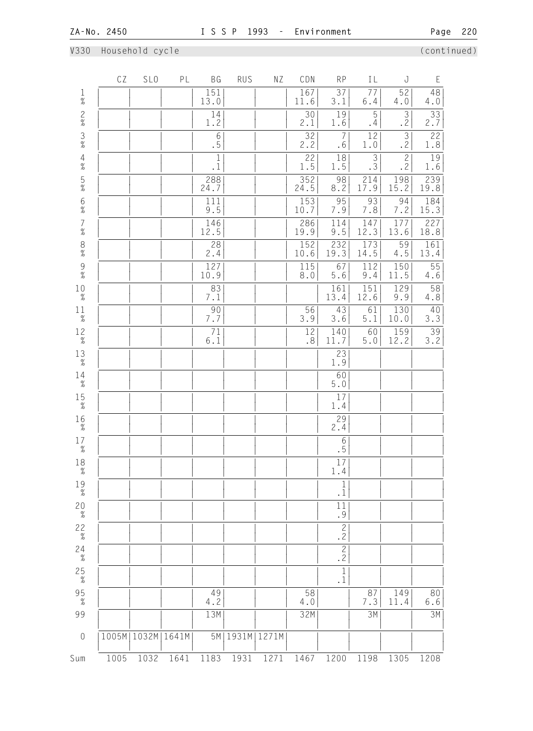# V330 Household cycle (continued)

|                                            | CZ   | SL <sub>0</sub>       | PL   | BG                           | <b>RUS</b>    | ΝZ   | CDN                | <b>RP</b>                                            | IL                                                 | J                                | Ε                      |
|--------------------------------------------|------|-----------------------|------|------------------------------|---------------|------|--------------------|------------------------------------------------------|----------------------------------------------------|----------------------------------|------------------------|
| $\frac{1}{\%}$                             |      |                       |      | 151<br>13.0                  |               |      | 167<br>11.6        | $\overline{37}$<br>3.1                               | $\overline{77}$<br>6.4                             | 52<br>4.0                        | 48<br>4.0              |
| $\frac{2}{\%}$                             |      |                       |      | 14<br>$1\,.2$                |               |      | 30<br>2.1          | 19<br>1.6                                            | $\overline{5}$<br>.4                               | $\overline{3}$<br>$\overline{2}$ | $\overline{33}$<br>2.7 |
| $\frac{3}{8}$                              |      |                       |      | $6\phantom{.}6$<br>$\cdot$ 5 |               |      | 32<br>2.2          | $\overline{7}$<br>.6                                 | $12$<br>$1\,.0$                                    | $\overline{\frac{3}{2}}$         | 22<br>1.8              |
| $\frac{4}{\%}$                             |      |                       |      | $\overline{1}$<br>$\cdot$ 1  |               |      | 22<br>1.5          | 18<br>1.5                                            | $\overline{3}$<br>$\overline{3}$                   | $\overline{c}$<br>.2             | $\overline{19}$<br>1.6 |
| $\frac{5}{\%}$                             |      |                       |      | 288<br>24.7                  |               |      | 352<br>24.5        | 98<br>8.2                                            | $\begin{array}{c} \boxed{214} \\ 17.9 \end{array}$ | 198<br>15.2                      | 239<br>19.8            |
| $6\%$                                      |      |                       |      | $\overline{111}$<br>9.5      |               |      | 153<br>10.7        | 95<br>7.9                                            | 93<br>$7.8$                                        | 94<br>7.2                        | 184<br>15.3            |
| $\begin{array}{c} 7 \\ 9'_{0} \end{array}$ |      |                       |      | 146<br>12.5                  |               |      | 286<br>19.9        | 114<br>9.5                                           | 147<br>12.3                                        | 177<br>13.6                      | 227<br>18.8            |
| $\frac{8}{\%}$                             |      |                       |      | 28<br>2.4                    |               |      | 152<br>10.6        | $\begin{array}{ c c }\n 232 \\  19.3 \\ \end{array}$ | 173<br>14.5                                        | $\frac{59}{4.5}$                 | 161<br>13.4            |
| $\begin{array}{c} 9 \\ 7 \end{array}$      |      |                       |      | 127<br>10.9                  |               |      | 115<br>$\,8$ . $0$ | 67<br>$5.6\,$                                        | 112<br>$9.4$                                       | 150<br>11.5                      | $\overline{55}$<br>4.6 |
| 10<br>$\%$                                 |      |                       |      | 83<br>7.1                    |               |      |                    | 161<br>13.4                                          | 151<br>12.6                                        | $\overline{129}$<br>9.9          | $\frac{58}{4.8}$       |
| 11<br>$\overline{\mathcal{U}}$             |      |                       |      | 90<br>7.7                    |               |      | 56<br>3.9          | 43<br>3.6                                            | 61<br>$5.1$                                        | 130<br>10.0                      | $\frac{40}{3.3}$       |
| $1\frac{2}{\%}$                            |      |                       |      | 71<br>$6.1$                  |               |      | 12<br>.8           | 140<br>11.7                                          | 60<br>$5.0$                                        | 159<br>12.2                      | $\overline{39}$<br>3.2 |
| $_{\%}^{13}$                               |      |                       |      |                              |               |      |                    | 23<br>1.9                                            |                                                    |                                  |                        |
| $^{14}_{\tiny \%}$                         |      |                       |      |                              |               |      |                    | 60<br>$5.0$                                          |                                                    |                                  |                        |
| $15 \atop \%$                              |      |                       |      |                              |               |      |                    | 17<br>1.4                                            |                                                    |                                  |                        |
| $16\atop \%$                               |      |                       |      |                              |               |      |                    | 29<br>2.4                                            |                                                    |                                  |                        |
| 17<br>$\frac{1}{6}$                        |      |                       |      |                              |               |      |                    | $\begin{array}{c} 6 \\ -5 \end{array}$               |                                                    |                                  |                        |
| 18<br>$\%$                                 |      |                       |      |                              |               |      |                    | $\overline{17}$<br>1.4                               |                                                    |                                  |                        |
| 19<br>$\%$                                 |      |                       |      |                              |               |      |                    | 1<br>$\cdot$ 1                                       |                                                    |                                  |                        |
| $20 \atop \%$                              |      |                       |      |                              |               |      |                    | 11<br>.9                                             |                                                    |                                  |                        |
| $22\over\%$                                |      |                       |      |                              |               |      |                    | $\frac{2}{2}$                                        |                                                    |                                  |                        |
| $24\n\n%$                                  |      |                       |      |                              |               |      |                    | $\overline{2}$<br>$\overline{2}$                     |                                                    |                                  |                        |
| $25\n\n%$                                  |      |                       |      |                              |               |      |                    | $\mathbf 1$<br>$\cdot$ 1                             |                                                    |                                  |                        |
| $95 \atop \frac{9}{6}$                     |      |                       |      | 49<br>4.2                    |               |      | 58<br>4.0          |                                                      | 87<br>7.3                                          | 149<br>11.4                      | 80<br>$6.6$            |
| 99                                         |      |                       |      | 13M                          |               |      | 32M                |                                                      | 3M                                                 |                                  | 3M                     |
| $\sqrt{a}$                                 |      | 1005M   1032M   1641M |      | 5M                           | 1931M   1271M |      |                    |                                                      |                                                    |                                  |                        |
| Sum                                        | 1005 | 1032                  | 1641 | 1183                         | 1931          | 1271 | 1467               | 1200                                                 | 1198                                               | 1305                             | 1208                   |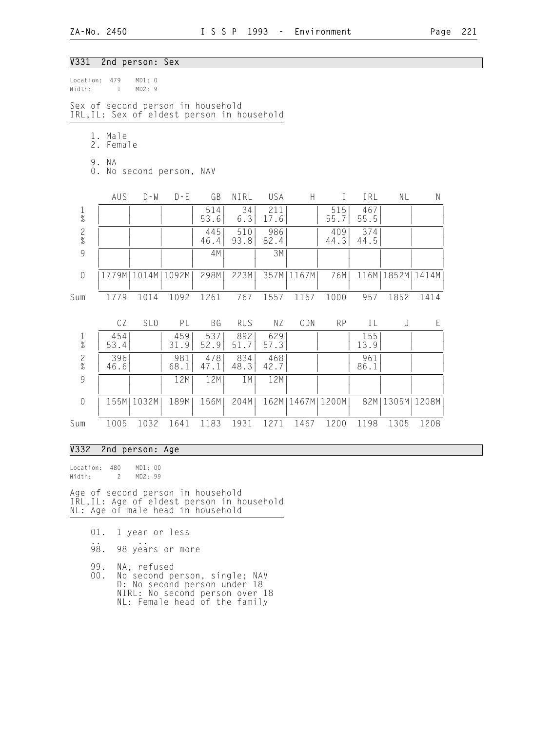### V331 2nd person: Sex

| Location:<br>Width: | 479<br>$\mathbf{1}$  | MD1: 0<br>MD2:9 |                                                                                 |             |             |             |                      |              |             |                      |      |
|---------------------|----------------------|-----------------|---------------------------------------------------------------------------------|-------------|-------------|-------------|----------------------|--------------|-------------|----------------------|------|
|                     |                      |                 | Sex of second person in household<br>IRL, IL: Sex of eldest person in household |             |             |             |                      |              |             |                      |      |
|                     | 1. Male<br>2. Female |                 |                                                                                 |             |             |             |                      |              |             |                      |      |
| $0$ .               | 9. NA                |                 | No second person, NAV                                                           |             |             |             |                      |              |             |                      |      |
|                     | AUS                  | $D - W$         | $D - E$                                                                         | GB          | NIRL        | USA         | H                    | $\mathbf{I}$ | IRL         | NL                   | N    |
| $\frac{1}{\%}$      |                      |                 |                                                                                 | 514<br>53.6 | 34<br>6.3   | 211<br>17.6 |                      | 515<br>55.7  | 467<br>55.5 |                      |      |
| $\frac{2}{\%}$      |                      |                 |                                                                                 | 445<br>46.4 | 510<br>93.8 | 986<br>82.4 |                      | 409<br>44.3  | 374<br>44.5 |                      |      |
| 9                   |                      |                 |                                                                                 | 4M          |             | 3M          |                      |              |             |                      |      |
| $\sqrt{a}$          | 1779M                | 1014M           | 1092M                                                                           | 298M        | 223M        |             | 357M   1167M         | 76M          |             | 116M   1852M   1414M |      |
| Sum                 | 1779                 | 1014            | 1092                                                                            | 1261        | 767         | 1557        | 1167                 | 1000         | 957         | 1852                 | 1414 |
|                     | CZ                   | SL <sub>0</sub> | PL                                                                              | <b>BG</b>   | <b>RUS</b>  | ΝZ          | CDN                  | <b>RP</b>    | IL          | J                    | E    |
| $\frac{1}{\%}$      | 454<br>53.4          |                 | 459<br>31.9                                                                     | 537<br>52.9 | 892<br>51.7 | 629<br>57.3 |                      |              | 155<br>13.9 |                      |      |
| $\frac{2}{\%}$      | 396<br>46.6          |                 | 981<br>68.1                                                                     | 478<br>47.1 | 834<br>48.3 | 468<br>42.7 |                      |              | 961<br>86.1 |                      |      |
| $\mathcal{G}$       |                      |                 | 12M                                                                             | 12M         | 1 M         | 12M         |                      |              |             |                      |      |
| $\sqrt{a}$          |                      | 155M   1032M    | 189M                                                                            | 156M        | 204M        |             | 162M   1467M   1200M |              |             | 82M   1305M   1208M  |      |
| Sum                 | 1005                 | 1032            | 1641                                                                            | 1183        | 1931        | 1271        | 1467                 | 1200         | 1198        | 1305                 | 1208 |

### V332 2nd person: Age

Location: 480 MD1: 00<br>Width: 2 MD2: 99 Width: 2

Age of second person in household IRL,IL: Age of eldest person in household NL: Age of male head in household

- 01. 1 year or less
- .. .. 98. 98 years or more
	- 99. NA, refused<br>00. No second pe
- 00. No second person, single; NAV D: No second person under 18 NIRL: No second person over 18 NL: Female head of the family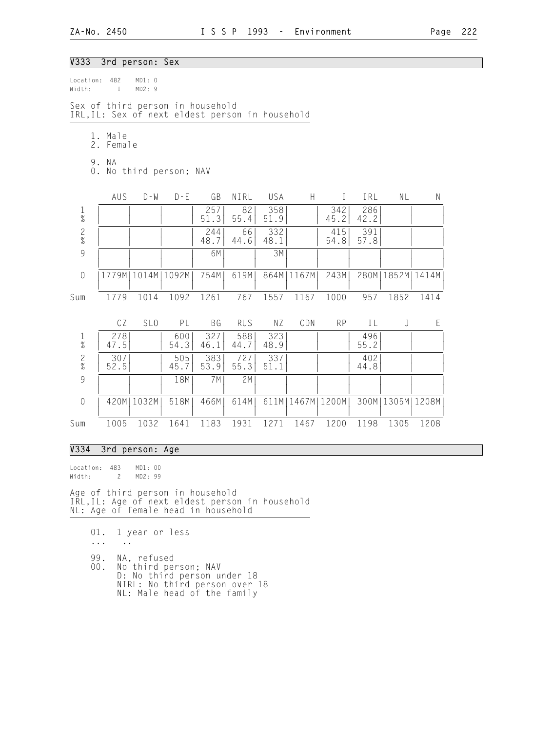### V333 3rd person: Sex

| Location:<br>Width:                    | 482<br>$\mathbf{1}$                                                                 | MD1: 0<br>MD2:9       |             |             |             |             |                      |             |             |                      |           |  |  |  |
|----------------------------------------|-------------------------------------------------------------------------------------|-----------------------|-------------|-------------|-------------|-------------|----------------------|-------------|-------------|----------------------|-----------|--|--|--|
|                                        | Sex of third person in household<br>IRL, IL: Sex of next eldest person in household |                       |             |             |             |             |                      |             |             |                      |           |  |  |  |
|                                        | 1. Male<br>2.<br>Female                                                             |                       |             |             |             |             |                      |             |             |                      |           |  |  |  |
| 9. NA<br>No third person; NAV<br>$0$ . |                                                                                     |                       |             |             |             |             |                      |             |             |                      |           |  |  |  |
|                                        | AUS                                                                                 | $D - W$               | $D - E$     | GB          | NIRL        | USA         | H                    | $\bf I$     | IRL         | ΝL                   | ${\sf N}$ |  |  |  |
| $\mathbf 1$<br>$\%$                    |                                                                                     |                       |             | 257<br>51.3 | 82<br>55.4  | 358<br>51.9 |                      | 342<br>45.2 | 286<br>42.2 |                      |           |  |  |  |
| $\frac{2}{\%}$                         |                                                                                     |                       |             | 244<br>48.7 | 66<br>44.6  | 332<br>48.1 |                      | 415<br>54.8 | 391<br>57.8 |                      |           |  |  |  |
| 9                                      |                                                                                     |                       |             | 6M          |             | 3M          |                      |             |             |                      |           |  |  |  |
| $\sqrt{a}$                             |                                                                                     | 1779M   1014M   1092M |             | 754M        | 619M        |             | 864M   1167M         | 243M        |             | 280M   1852M   1414M |           |  |  |  |
| Sum                                    | 1779                                                                                | 1014                  | 1092        | 1261        | 767         | 1557        | 1167                 | 1000        | 957         | 1852                 | 1414      |  |  |  |
|                                        | CZ                                                                                  | SL <sub>0</sub>       | PL          | BG          | <b>RUS</b>  | ΝZ          | CDN                  | <b>RP</b>   | IL          | J                    | E         |  |  |  |
| $\frac{1}{\%}$                         | 278<br>47.5                                                                         |                       | 600<br>54.3 | 327<br>46.1 | 588<br>44.7 | 323<br>48.9 |                      |             | 496<br>55.2 |                      |           |  |  |  |
| $\frac{2}{\%}$                         | 307<br>52.5                                                                         |                       | 505<br>45.7 | 383<br>53.9 | 727<br>55.3 | 337<br>51.1 |                      |             | 402<br>44.8 |                      |           |  |  |  |
| 9                                      |                                                                                     |                       | 18M         | 7 M         | 2M          |             |                      |             |             |                      |           |  |  |  |
| $\sqrt{a}$                             |                                                                                     | 420M   1032M          | 518M        | 466M        | 614M        |             | 611M   1467M   1200M |             |             | 300M   1305M   1208M |           |  |  |  |
| Sum                                    | 1005                                                                                | 1032                  | 1641        | 1183        | 1931        | 1271        | 1467                 | 1200        | 1198        | 1305                 | 1208      |  |  |  |

### V334 3rd person: Age

Location: 483 MD1: 00<br>Width: 2 MD2: 99  $Width: 2$ 

Age of third person in household IRL,IL: Age of next eldest person in household NL: Age of female head in household

 01. 1 year or less ... .. 99. NA, refused<br>00. No third per No third person; NAV D: No third person under 18

 NIRL: No third person over 18 NL: Male head of the family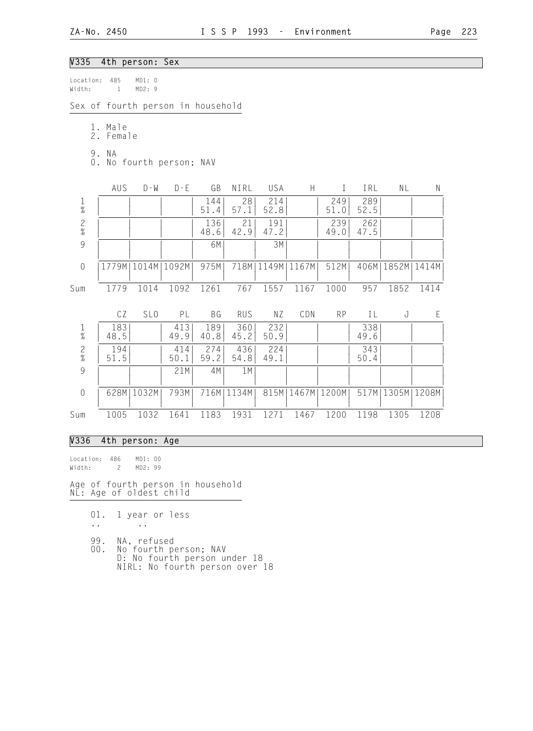## V335 4th person: Sex

| Location:<br>Width: |                                   | 485<br>$\mathbf{1}$ | MD1: 0<br>MD2: 9 |                                   |             |             |             |       |               |             |           |           |  |
|---------------------|-----------------------------------|---------------------|------------------|-----------------------------------|-------------|-------------|-------------|-------|---------------|-------------|-----------|-----------|--|
|                     |                                   |                     |                  | Sex of fourth person in household |             |             |             |       |               |             |           |           |  |
|                     | 2.                                | 1. Male<br>Female   |                  |                                   |             |             |             |       |               |             |           |           |  |
|                     | 9. NA<br>0. No fourth person; NAV |                     |                  |                                   |             |             |             |       |               |             |           |           |  |
|                     |                                   | AUS                 | $D - W$          | $D - E$                           | GB          | NIRL        | USA         | H     | L             | IRL         | <b>NL</b> | ${\sf N}$ |  |
| $\frac{1}{\%}$      |                                   |                     |                  |                                   | 144<br>51.4 | 28<br>57.1  | 214<br>52.8 |       | 249<br>51.0   | 289<br>52.5 |           |           |  |
| $\frac{2}{\%}$      |                                   |                     |                  |                                   | 136<br>48.6 | 21<br>42.9  | 191<br>47.2 |       | 239<br>49.0   | 262<br>47.5 |           |           |  |
| 9                   |                                   |                     |                  |                                   | 6M          |             | 3M          |       |               |             |           |           |  |
| $\overline{0}$      |                                   | 1779M               | 1014M            | 1092M                             | 975M        | 718M        | 1149M       | 1167M | 512M          | 406M        | 1852M     | 1414M     |  |
| Sum                 |                                   | 1779                | 1014             | 1092                              | 1261        | 767         | 1557        | 1167  | 1000          | 957         | 1852      | 1414      |  |
|                     |                                   | CZ                  | SL <sub>0</sub>  | PL                                | BG          | <b>RUS</b>  | NZ          | CDN   | <b>RP</b>     | IL          | J         | E         |  |
| $\frac{1}{\%}$      |                                   | 183<br>48.5         |                  | 413<br>49.9                       | 189<br>40.8 | 360<br>45.2 | 232<br>50.9 |       |               | 338<br>49.6 |           |           |  |
| $\frac{2}{\%}$      |                                   | 194<br>51.5         |                  | 414<br>50.1                       | 274<br>59.2 | 436<br>54.8 | 224<br>49.1 |       |               | 343<br>50.4 |           |           |  |
| 9                   |                                   |                     |                  | 21M                               | 4M          | 1M          |             |       |               |             |           |           |  |
| $\sqrt{a}$          |                                   | 628M                | 1032M            | 793M                              | 716M        | 1134M       | 815M        |       | 1467M   1200M | 517M        | 1305M     | 1208M     |  |
| Sum                 |                                   | 1005                | 1032             | 1641                              | 1183        | 1931        | 1271        | 1467  | 1200          | 1198        | 1305      | 1208      |  |

## V336 4th person: Age

Location: 486 MD1: 00 Width: 2 MD2: 99 Age of fourth person in household NL: Age of oldest child

- 01. 1 year or less
- .. ..
- 99. NA, refused
- 00. No fourth person; NAV D: No fourth person under 18 NIRL: No fourth person over 18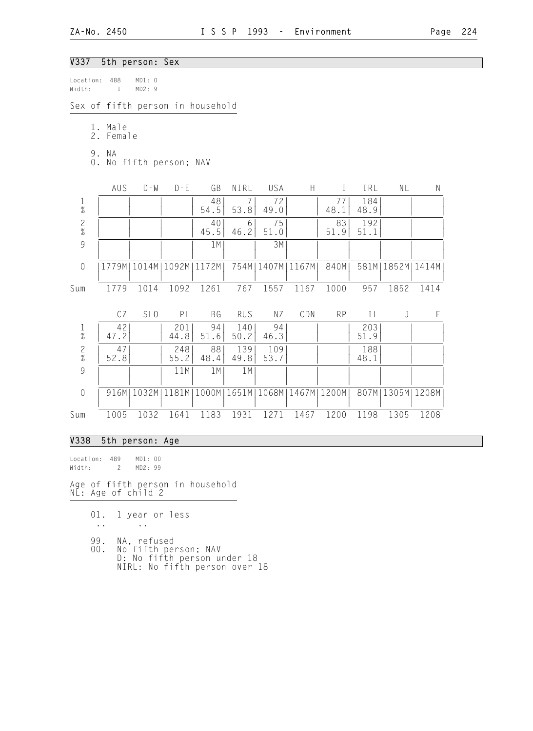# V337 5th person: Sex

| Location:<br>Width: | 488<br>$\mathbf{1}$  | MD1: 0<br>MD2: 9                 |             |            |             |             |                       |            |             |                      |           |
|---------------------|----------------------|----------------------------------|-------------|------------|-------------|-------------|-----------------------|------------|-------------|----------------------|-----------|
|                     |                      | Sex of fifth person in household |             |            |             |             |                       |            |             |                      |           |
|                     | 1. Male<br>2. Female |                                  |             |            |             |             |                       |            |             |                      |           |
|                     | 9. NA                | 0. No fifth person; NAV          |             |            |             |             |                       |            |             |                      |           |
|                     | AUS                  | $D - W$                          | $D - E$     | GB         | NIRL        | USA         | H                     | $\bf{I}$   | IRL         | NL                   | ${\sf N}$ |
| $\frac{1}{\%}$      |                      |                                  |             | 48<br>54.5 | 7<br>53.8   | 72<br>49.0  |                       | 77<br>48.1 | 184<br>48.9 |                      |           |
| $\frac{2}{\%}$      |                      |                                  |             | 40<br>45.5 | 6<br>46.2   | 75<br>51.0  |                       | 83<br>51.9 | 192<br>51.1 |                      |           |
| 9                   |                      |                                  |             | 1M         |             | 3M          |                       |            |             |                      |           |
| $\sqrt{a}$          |                      | 1779M   1014M                    | 1092M       | 1172M      | 754M        | 1407M       | 1167M                 | 840M       |             | 581M   1852M   1414M |           |
| Sum                 | 1779                 | 1014                             | 1092        | 1261       | 767         | 1557        | 1167                  | 1000       | 957         | 1852                 | 1414      |
|                     | CZ                   | SL <sub>0</sub>                  | PL          | BG         | <b>RUS</b>  | NZ          | CDN                   | <b>RP</b>  | ΙL          | J                    | E         |
| $\frac{1}{\%}$      | 42<br>47.2           |                                  | 201<br>44.8 | 94<br>51.6 | 140<br>50.2 | 94<br>46.3  |                       |            | 203<br>51.9 |                      |           |
| $\frac{2}{\%}$      | 47<br>52.8           |                                  | 248<br>55.2 | 88<br>48.4 | 139<br>49.8 | 109<br>53.7 |                       |            | 188<br>48.1 |                      |           |
| $\overline{9}$      |                      |                                  | 11M         | 1M         | 1M          |             |                       |            |             |                      |           |
| $\mathbf 0$         | 916M                 | 1032M                            | 1181M       | 1000M      | 1651M       |             | 1068M   1467M   1200M |            |             | 807M   1305M   1208M |           |
| Sum                 | 1005                 | 1032                             | 1641        | 1183       | 1931        | 1271        | 1467                  | 1200       | 1198        | 1305                 | 1208      |

## V338 5th person: Age

Location: 489 MD1: 00<br>Width: 2 MD2: 99 Width: 2 Age of fifth person in household NL: Age of child 2

- 01. 1 year or less
- .. ..
- 99. NA, refused
- 00. No fifth person; NAV D: No fifth person under 18 NIRL: No fifth person over 18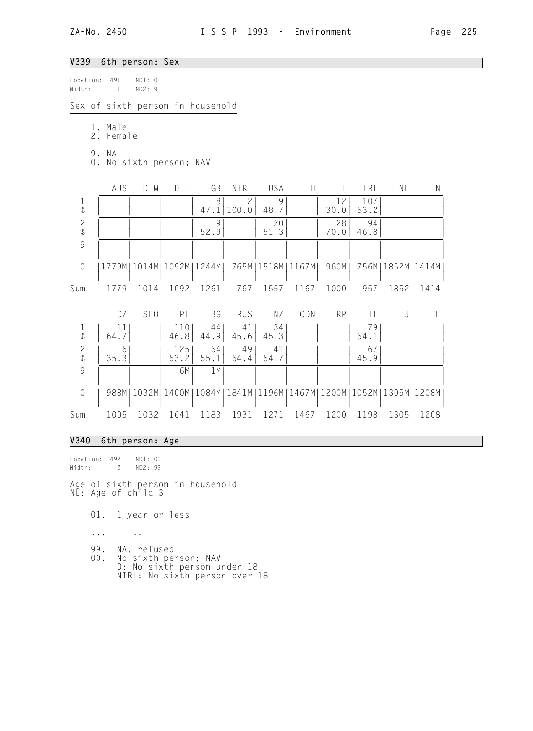# V339 6th person: Sex

| Location:<br>Width: | 491<br>$\mathbf{1}$  | MD1: 0<br>MD2: 9              |             |                                                                                      |                         |            |                           |            |             |                      |             |
|---------------------|----------------------|-------------------------------|-------------|--------------------------------------------------------------------------------------|-------------------------|------------|---------------------------|------------|-------------|----------------------|-------------|
|                     |                      |                               |             | Sex of sixth person in household                                                     |                         |            |                           |            |             |                      |             |
|                     | 1. Male<br>2. Female |                               |             |                                                                                      |                         |            |                           |            |             |                      |             |
|                     | 9. NA                | 0. No sixth person; NAV       |             |                                                                                      |                         |            |                           |            |             |                      |             |
|                     | AUS                  | $D - W$                       | $D - E$     | GB                                                                                   | NIRL                    | USA        | $\boldsymbol{\mathsf{H}}$ | $\bf{I}$   | IRL         | NL                   | ${\sf N}$   |
| $\frac{1}{\%}$      |                      |                               |             | 8<br>47.1                                                                            | $\overline{c}$<br>100.0 | 19<br>48.7 |                           | 12<br>30.0 | 107<br>53.2 |                      |             |
| $\frac{2}{\%}$      |                      |                               |             | 9<br>52.9                                                                            |                         | 20<br>51.3 |                           | 28<br>70.0 | 94<br>46.8  |                      |             |
| 9                   |                      |                               |             |                                                                                      |                         |            |                           |            |             |                      |             |
| $\mathbf 0$         |                      | 1779M   1014M   1092M   1244M |             |                                                                                      | 765M                    |            | 1518M   1167M             | 960M       |             | 756M   1852M   1414M |             |
| Sum                 | 1779                 | 1014                          | 1092        | 1261                                                                                 | 767                     | 1557       | 1167                      | 1000       | 957         | 1852                 | 1414        |
|                     | CZ                   | SL <sub>0</sub>               | PL          | BG                                                                                   | <b>RUS</b>              | NZ         | CDN                       | <b>RP</b>  | IL          | J                    | $\mathsf E$ |
| $\frac{1}{\%}$      | 11<br>64.7           |                               | 110<br>46.8 | 44<br>44.9                                                                           | 41<br>45.6              | 34<br>45.3 |                           |            | 79<br>54.1  |                      |             |
| $\frac{2}{\%}$      | 6<br>35.3            |                               | 125<br>53.2 | 54<br>55.1                                                                           | 49<br>54.4              | 41<br>54.7 |                           |            | 67<br>45.9  |                      |             |
| $\overline{9}$      |                      |                               | 6M          | 1M                                                                                   |                         |            |                           |            |             |                      |             |
| $\mathbf 0$         |                      |                               |             | 988M   1032M   1400M   1084M   1841M   1196M   1467M   1200M   1052M   1305M   1208M |                         |            |                           |            |             |                      |             |
| Sum                 | 1005                 | 1032                          | 1641        | 1183                                                                                 | 1931                    | 1271       | 1467                      | 1200       | 1198        | 1305                 | 1208        |

# V340 6th person: Age

Location: 492 MD1: 00 Width: 2 MD2: 99

Age of sixth person in household NL: Age of child 3

01. 1 year or less

... ..

- 99. NA, refused<br>00. No sixth per
- 00. No sixth person; NAV D: No sixth person under 18 NIRL: No sixth person over 18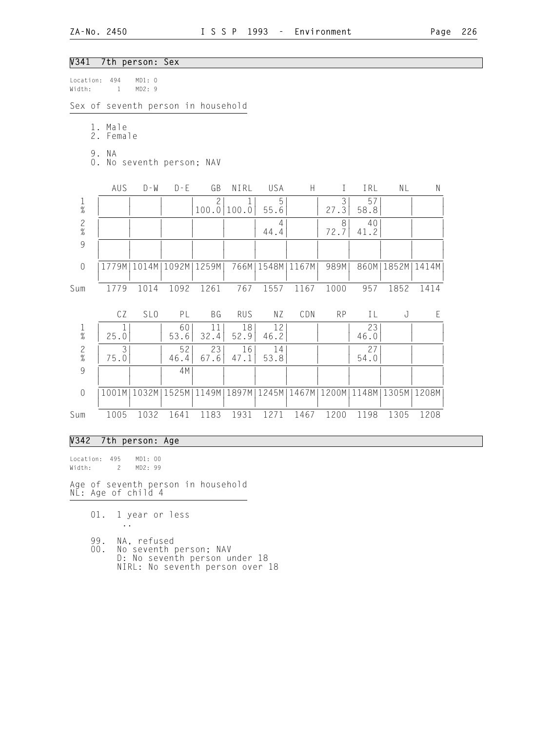# V341 7th person: Sex

| Location:<br>Width: | 494<br>1                           | MD1: 0<br>MD2: 9 |                       |                       |            |                      |      |           |            |                                                       |             |
|---------------------|------------------------------------|------------------|-----------------------|-----------------------|------------|----------------------|------|-----------|------------|-------------------------------------------------------|-------------|
|                     | Sex of seventh person in household |                  |                       |                       |            |                      |      |           |            |                                                       |             |
|                     | 1. Male<br>2. Female<br>9. NA      |                  |                       |                       |            |                      |      |           |            |                                                       |             |
|                     | 0. No seventh person; NAV          |                  |                       |                       |            |                      |      |           |            |                                                       |             |
|                     | AUS                                | $D - W$          | $D - E$               | GB                    | NIRL       | USA                  | H    | $\bf{I}$  | IRL        | NL                                                    | ${\sf N}$   |
| $\frac{1}{\%}$      |                                    |                  |                       | $\mathbf{2}$<br>100.0 | 100.0      | 5<br>55.6            |      | 3<br>27.3 | 57<br>58.8 |                                                       |             |
| $\frac{2}{\%}$      |                                    |                  |                       |                       |            | 4<br>44.4            |      | 8<br>72.7 | 40<br>41.2 |                                                       |             |
| 9                   |                                    |                  |                       |                       |            |                      |      |           |            |                                                       |             |
| $\mathbf 0$         | 1779M                              |                  | 1014M   1092M   1259M |                       |            | 766M   1548M   1167M |      | 989M      |            | 860M   1852M   1414M                                  |             |
| Sum                 | 1779                               | 1014             | 1092                  | 1261                  | 767        | 1557                 | 1167 | 1000      | 957        | 1852                                                  | 1414        |
|                     | CZ                                 | SL <sub>0</sub>  | PL                    | BG                    | <b>RUS</b> | NZ                   | CDN  | <b>RP</b> | IL         | J                                                     | $\mathsf E$ |
| $\frac{1}{\%}$      | $\mathbf 1$<br>25.0                |                  | 60<br>53.6            | 11<br>32.4            | 18<br>52.9 | 12<br>46.2           |      |           | 23<br>46.0 |                                                       |             |
| $\frac{2}{\%}$      | 3<br>75.0                          |                  | 52<br>46.4            | 23<br>67.6            | 16<br>47.1 | 14<br>53.8           |      |           | 27<br>54.0 |                                                       |             |
| $\overline{9}$      |                                    |                  | 4M                    |                       |            |                      |      |           |            |                                                       |             |
| $\mathbf 0$         | 1001M                              | 1032M            | 1525M                 | 1149M                 |            |                      |      |           |            | 1897M   1245M   1467M   1200M   1148M   1305M   1208M |             |
| Sum                 | 1005                               | 1032             | 1641                  | 1183                  | 1931       | 1271                 | 1467 | 1200      | 1198       | 1305                                                  | 1208        |

# V342 7th person: Age

Location: 495 MD1: 00 Width: 2 MD2: 99

Age of seventh person in household NL: Age of child 4

01. 1 year or less

..

- 99. NA, refused
- 00. No seventh person; NAV D: No seventh person under 18 NIRL: No seventh person over 18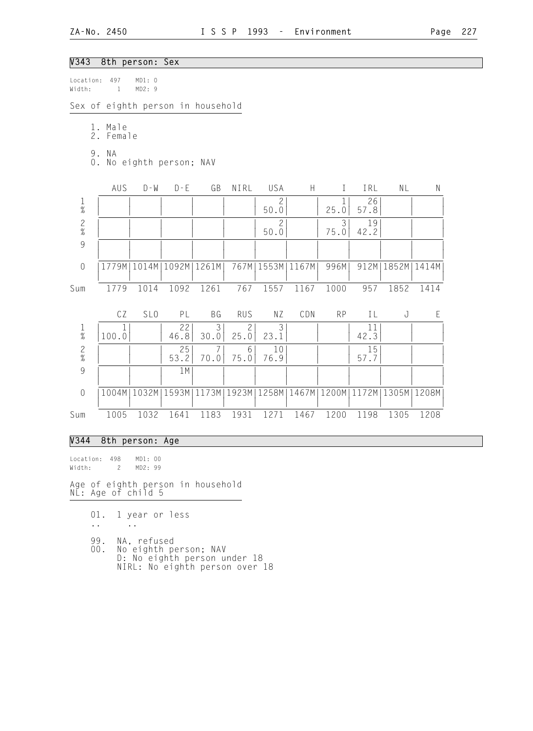# V343 8th person: Sex

| Location:<br>Width: |    | 497<br>$\mathbf{1}$ | MD1: 0<br>MD2:9          |            |                                                                       |                        |                        |       |              |            |                      |             |
|---------------------|----|---------------------|--------------------------|------------|-----------------------------------------------------------------------|------------------------|------------------------|-------|--------------|------------|----------------------|-------------|
|                     |    |                     |                          |            | Sex of eighth person in household                                     |                        |                        |       |              |            |                      |             |
|                     | 2. | 1. Male<br>Female   |                          |            |                                                                       |                        |                        |       |              |            |                      |             |
|                     |    | 9. NA               | 0. No eighth person; NAV |            |                                                                       |                        |                        |       |              |            |                      |             |
|                     |    | AUS                 | $D - W$                  | $D - E$    | GB                                                                    | NIRL                   | USA                    | H     | $\mathbf{I}$ | IRL        | NL                   | $\mathsf N$ |
| $\frac{1}{\%}$      |    |                     |                          |            |                                                                       |                        | $\mathbf{2}$<br>50.0   |       | 25.0         | 26<br>57.8 |                      |             |
| $\frac{2}{\%}$      |    |                     |                          |            |                                                                       |                        | $\overline{c}$<br>50.0 |       | 3<br>75.0    | 19<br>42.2 |                      |             |
| 9                   |    |                     |                          |            |                                                                       |                        |                        |       |              |            |                      |             |
| $\mathbf 0$         |    |                     | 1779M   1014M   1092M    |            | 1261M                                                                 | 767M                   | 1553M                  | 1167M | 996M         |            | 912M   1852M   1414M |             |
| Sum                 |    | 1779                | 1014                     | 1092       | 1261                                                                  | 767                    | 1557                   | 1167  | 1000         | 957        | 1852                 | 1414        |
|                     |    | CZ                  | SL <sub>0</sub>          | PL         | BG                                                                    | <b>RUS</b>             | NZ                     | CDN   | <b>RP</b>    | IL         | J                    | $\mathsf E$ |
| $\frac{1}{\%}$      |    | 100.0               |                          | 22<br>46.8 | 3<br>30.0                                                             | $\overline{c}$<br>25.0 | 3<br>23.1              |       |              | 11<br>42.3 |                      |             |
| $\frac{2}{\%}$      |    |                     |                          | 25<br>53.2 | 7<br>70.0                                                             | 6<br>75.0              | 10<br>76.9             |       |              | 15<br>57.7 |                      |             |
| 9                   |    |                     |                          | 1M         |                                                                       |                        |                        |       |              |            |                      |             |
| $\sqrt{a}$          |    |                     | 1004M   1032M            |            | 1593M   1173M   1923M   1258M   1467M   1200M   1172M   1305M   1208M |                        |                        |       |              |            |                      |             |
| Sum                 |    | 1005                | 1032                     | 1641       | 1183                                                                  | 1931                   | 1271                   | 1467  | 1200         | 1198       | 1305                 | 1208        |

# V344 8th person: Age

Location: 498 Location: 498 MD1: 00<br>Width: 2 MD2: 99

Age of eighth person in household NL: Age of child 5

- 01. 1 year or less
- .. ..
- 99. NA, refused
- 00. No eighth person; NAV D: No eighth person under 18 NIRL: No eighth person over 18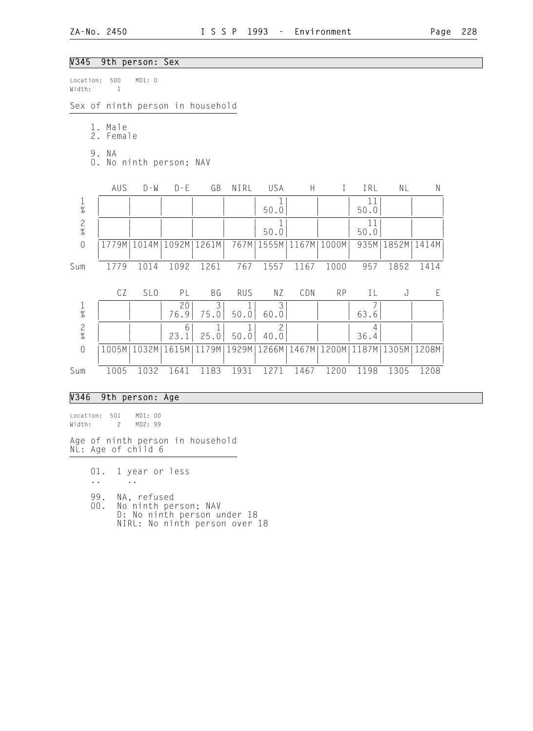## V345 9th person: Sex

Location: 500 MD1: 0 Width: 1 Sex of ninth person in household 1. Male 2. Female 9. NA 0. No ninth person; NAV AUS D-W D-E GB NIRL USA H I IRL NL N 1 | | | | | | 1| | | 11| | | % | | | | | | 50.0| | | 50.0| | | 2 | | | | | | 1| | 11| | | % | | | | | | 50.0| | | 50.0| | | 0 |1779M|1014M|1092M|1261M| 767M|1555M|1167M|1000M| 935M|1852M|1414M| | | | | | | | | | | | | Sum 1779 1014 1092 1261 767 1557 1167 1000 957 1852 1414 CZ SLO PL BG RUS NZ CDN RP IL J E 1 | | | 20| 3| 1| 3| | | 7| | | % | | | 76.9| 75.0| 50.0| 60.0| | | 63.6| | | 2 | | 6| 1| 1| 2| | 4| | | % | | | 23.1| 25.0| 50.0| 40.0| | | 36.4| | | 0 |1005M|1032M|1615M|1179M|1929M|1266M|1467M|1200M|1187M|1305M|1208M| | | | | | | | | | | | | Sum 1005 1032 1641 1183 1931 1271 1467 1200 1198 1305 1208

#### V346 9th person: Age

Location: 501 MD1: 00 Width: 2 MD2: 99

Age of ninth person in household NL: Age of child 6

01. 1 year or less

.. ..

99. NA, refused<br>00. No ninth per

No ninth person; NAV D: No ninth person under 18 NIRL: No ninth person over 18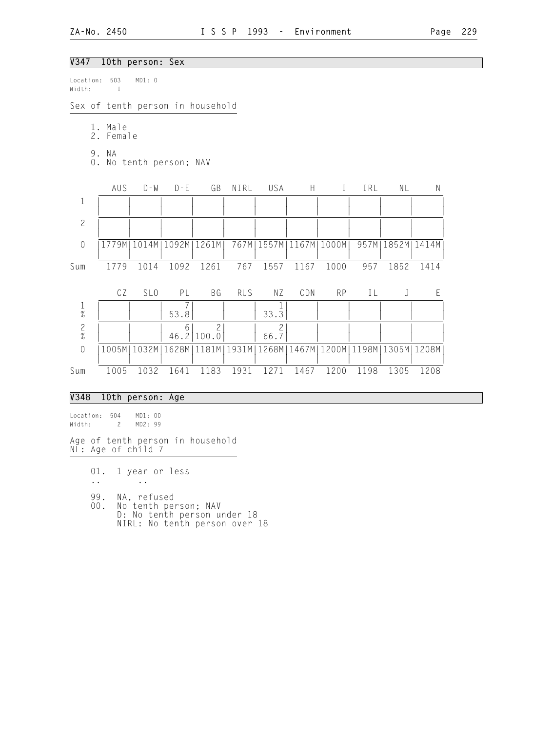# V347 10th person: Sex

| Location:<br>Width: | 503<br>$\mathbf{1}$   | MD1: 0                  |                    |                                  |            |                              |                                               |              |      |                      |           |
|---------------------|-----------------------|-------------------------|--------------------|----------------------------------|------------|------------------------------|-----------------------------------------------|--------------|------|----------------------|-----------|
|                     |                       |                         |                    | Sex of tenth person in household |            |                              |                                               |              |      |                      |           |
|                     | 1. Male<br>2. Female  |                         |                    |                                  |            |                              |                                               |              |      |                      |           |
|                     | 9. NA                 | 0. No tenth person; NAV |                    |                                  |            |                              |                                               |              |      |                      |           |
|                     | AUS                   | $D - W$                 | $D - E$            | GB                               | NIRL       | USA                          | H                                             | $\mathbf{I}$ | IRL  | NL                   | ${\sf N}$ |
| $\mathbf 1$         |                       |                         |                    |                                  |            |                              |                                               |              |      |                      |           |
| $\overline{c}$      |                       |                         |                    |                                  |            |                              |                                               |              |      |                      |           |
| $\mathbf 0$         |                       |                         |                    | 1779M   1014M   1092M   1261M    |            | 767M   1557M   1167M   1000M |                                               |              |      | 957M   1852M   1414M |           |
| Sum                 | 1779                  | 1014                    | 1092               | 1261                             | 767        | 1557                         | 1167                                          | 1000         | 957  | 1852                 | 1414      |
|                     | CZ                    | SL <sub>0</sub>         | PL                 | <b>BG</b>                        | <b>RUS</b> | ΝZ                           | CDN                                           | RP           | IL   | J                    | E         |
| $\frac{1}{\%}$      |                       |                         | $\sqrt{2}$<br>53.8 |                                  |            | $33.\bar{3}$                 |                                               |              |      |                      |           |
| $\frac{2}{\%}$      |                       |                         | 6<br>46.2          | $\overline{c}$<br>100.0          |            | 2<br>66.7                    |                                               |              |      |                      |           |
| $\mathbf 0$         |                       | 1005M   1032M           | 1628M              | 1181M                            | 1931M      |                              | 1268M   1467M   1200M   1198M   1305M   1208M |              |      |                      |           |
| Sum                 | 1005                  | 1032                    | 1641               | 1183                             | 1931       | 1271                         | 1467                                          | 1200         | 1198 | 1305                 | 1208      |
| <b>V348</b>         |                       | 10th person: Age        |                    |                                  |            |                              |                                               |              |      |                      |           |
| Location:<br>Width: | 504<br>$\overline{c}$ | MD1: 00<br>MD2: 99      |                    |                                  |            |                              |                                               |              |      |                      |           |

Age of tenth person in household NL: Age of child 7

01. 1 year or less

.. ..

99. NA, refused

 00. No tenth person; NAV D: No tenth person under 18 NIRL: No tenth person over 18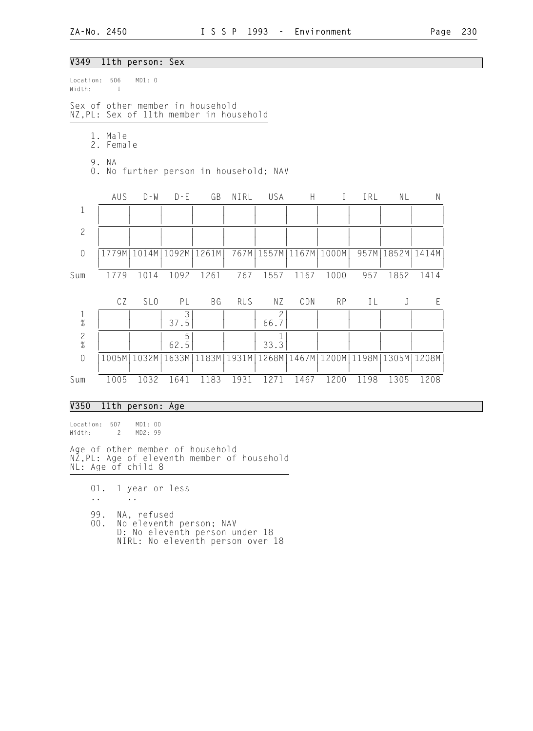#### V349 11th person: Sex

| Location:<br>Width: | 506<br>$\mathbf{1}$                                                         | MD1: 0                        |           |               |            |                              |      |              |      |                                               |      |
|---------------------|-----------------------------------------------------------------------------|-------------------------------|-----------|---------------|------------|------------------------------|------|--------------|------|-----------------------------------------------|------|
|                     | Sex of other member in household<br>NZ, PL: Sex of 11th member in household |                               |           |               |            |                              |      |              |      |                                               |      |
|                     | 1. Male<br>2. Female                                                        |                               |           |               |            |                              |      |              |      |                                               |      |
|                     | 9. NA<br>0. No further person in household; NAV                             |                               |           |               |            |                              |      |              |      |                                               |      |
|                     | AUS                                                                         | D - W                         | $D - E$   | GB            | NIRL       | USA                          | H.   | $\mathbf{I}$ | IRL  | NL                                            | N    |
| $1\,$               |                                                                             |                               |           |               |            |                              |      |              |      |                                               |      |
| $\overline{c}$      |                                                                             |                               |           |               |            |                              |      |              |      |                                               |      |
| $\sqrt{a}$          |                                                                             | 1779M   1014M   1092M   1261M |           |               |            | 767M   1557M   1167M   1000M |      |              |      | 957M   1852M   1414M                          |      |
| Sum                 | 1779                                                                        | 1014                          | 1092      | 1261          | 767        | 1557                         | 1167 | 1000         | 957  | 1852                                          | 1414 |
|                     | CZ                                                                          | SL <sub>0</sub>               | PL        | BG            | <b>RUS</b> | NZ                           | CDN  | <b>RP</b>    | IL   | J                                             | E    |
| $\frac{1}{\%}$      |                                                                             |                               | 37.5      |               |            | 2<br>66.7                    |      |              |      |                                               |      |
| $\frac{2}{\%}$      |                                                                             |                               | 5<br>62.5 |               |            | 33.3                         |      |              |      |                                               |      |
| $\overline{0}$      |                                                                             | 1005M   1032M                 |           | 1633M   1183M | 1931M      |                              |      |              |      | 1268M   1467M   1200M   1198M   1305M   1208M |      |
| Sum                 | 1005                                                                        | 1032                          | 1641      | 1183          | 1931       | 1271                         | 1467 | 1200         | 1198 | 1305                                          | 1208 |

#### V350 11th person: Age

Location: 507 MD1: 00<br>Width: 2 MD2: 99 Width: 2

Age of other member of household NZ,PL: Age of eleventh member of household NL: Age of child 8

01. 1 year or less

.. ..

99. NA, refused<br>00. No eleventh 00. No eleventh person; NAV D: No eleventh person under 18 NIRL: No eleventh person over 18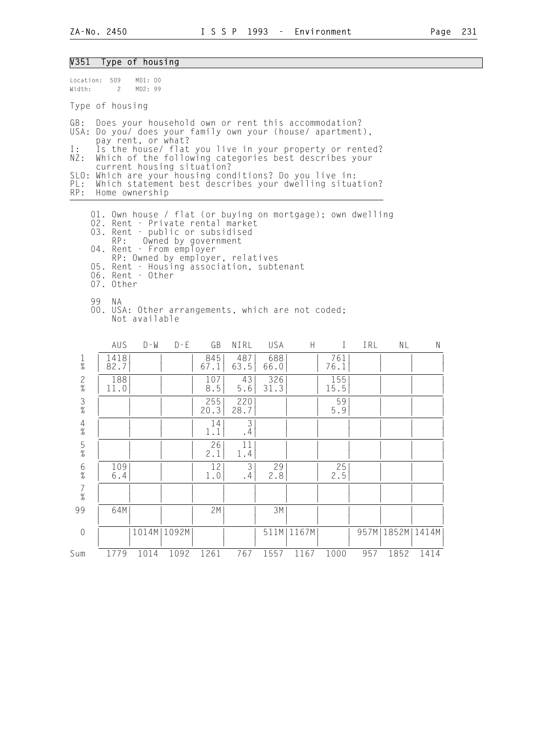## V351 Type of housing Location: 509 MD1: 00<br>Width: 2 MD2: 99 Width: 2 Type of housing GB: Does your household own or rent this accommodation? USA: Do you/ does your family own your (house/ apartment), pay rent, or what? I: Is the house/ flat you live in your property or rented? NZ: Which of the following categories best describes your current housing situation? SLO: Which are your housing conditions? Do you live in: PL: Which statement best describes your dwelling situation?<br>RP: Home ownership Home ownership 01. Own house / flat (or buying on mortgage); own dwelling 02. Rent - Private rental market 03. Rent - public or subsidised RP: Owned by government 04. Rent - From employer RP: Owned by employer, relatives 05. Rent - Housing association, subtenant 06. Rent - Other 07. Other 99 NA 00. USA: Other arrangements, which are not coded; Not available AUS D-W D-E GB NIRL USA H I IRL NL N 1 | 1418| | | 845| 487| 688| | 761| | | | % | 82.7| | | 67.1| 63.5| 66.0| | 76.1| | | | 2 | 188| | | 107| 43| 326| | 155| | | | % | 11.0| | | 8.5| 5.6| 31.3| | 15.5| | | | 3 | | | | 255| 220| | | 59| | | | % | | | | 20.3| 28.7| | | 5.9| | | | 4 | | | | 14| 3| | | | | | | % | | | | 1.1| .4| | | | | | | 5 | | | | 26| 11| | | | | | | % | | | | 2.1| 1.4| | | | | | | 6 | 109| | | 12| 3| 29| | 25| | | | % | 6.4| | | 1.0| .4| 2.8| | 2.5| | | | 7 | | | | | | | | | | | |  $\frac{1}{2}$   $\frac{1}{2}$   $\frac{1}{2}$   $\frac{1}{2}$   $\frac{1}{2}$   $\frac{1}{2}$   $\frac{1}{2}$   $\frac{1}{2}$   $\frac{1}{2}$   $\frac{1}{2}$   $\frac{1}{2}$   $\frac{1}{2}$   $\frac{1}{2}$   $\frac{1}{2}$   $\frac{1}{2}$   $\frac{1}{2}$   $\frac{1}{2}$   $\frac{1}{2}$   $\frac{1}{2}$   $\frac{1}{2}$   $\frac{1}{2}$   $\frac{1}{2}$

 99 | 64M| | | 2M| | 3M| | | | | | | | | | | | | | | | | | 0 | |1014M|1092M| | |511M|1167M| |957M|1852M|1414M | | | | | | | | | | | | Sum 1779 1014 1092 1261 767 1557 1167 1000 957 1852 1414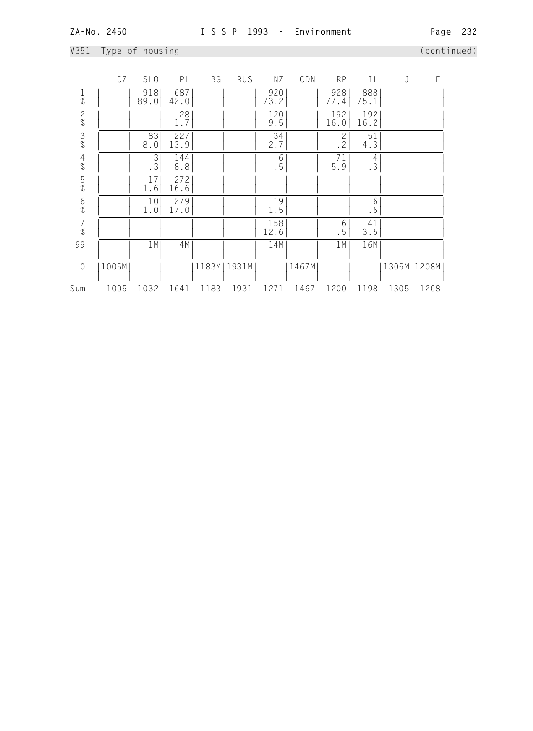# V351 Type of housing (continued)

|                                            | CZ    | SL <sub>0</sub> | PL          | ΒG   | <b>RUS</b>    | ΝZ          | CDN   | <b>RP</b>                   | IL          | J             | E    |  |
|--------------------------------------------|-------|-----------------|-------------|------|---------------|-------------|-------|-----------------------------|-------------|---------------|------|--|
| $\frac{1}{\%}$                             |       | 918<br>89.0     | 687<br>42.0 |      |               | 920<br>73.2 |       | 928<br>77.4                 | 888<br>75.1 |               |      |  |
| $\frac{2}{\%}$                             |       |                 | 28<br>1.7   |      |               | 120<br>9.5  |       | 192<br>16.0                 | 192<br>16.2 |               |      |  |
| $\frac{3}{8}$                              |       | 83<br>$8.0\,$   | 227<br>13.9 |      |               | 34<br>2.7   |       | $\overline{c}$<br>$\cdot$ 2 | 51<br>4.3   |               |      |  |
| $\frac{4}{\%}$                             |       | $\frac{3}{3}$   | 144<br>8.8  |      |               | 6<br>.5     |       | 71<br>5.9                   | 4<br>.3     |               |      |  |
| $\frac{5}{\%}$                             |       | 17<br>1.6       | 272<br>16.6 |      |               |             |       |                             |             |               |      |  |
| $\frac{6}{\%}$                             |       | 10<br>$1.0$     | 279<br>17.0 |      |               | 19<br>1.5   |       |                             | $6\,$<br>.5 |               |      |  |
| $\begin{array}{c} 7 \\ 9'_{0} \end{array}$ |       |                 |             |      |               | 158<br>12.6 |       | 6<br>.5                     | 41<br>3.5   |               |      |  |
| 99                                         |       | 1 M             | 4M          |      |               | 14M         |       | 1M                          | 16M         |               |      |  |
| $\sqrt{a}$                                 | 1005M |                 |             |      | 1183M   1931M |             | 1467M |                             |             | 1305M   1208M |      |  |
| Sum                                        | 1005  | 1032            | 1641        | 1183 | 1931          | 1271        | 1467  | 1200                        | 1198        | 1305          | 1208 |  |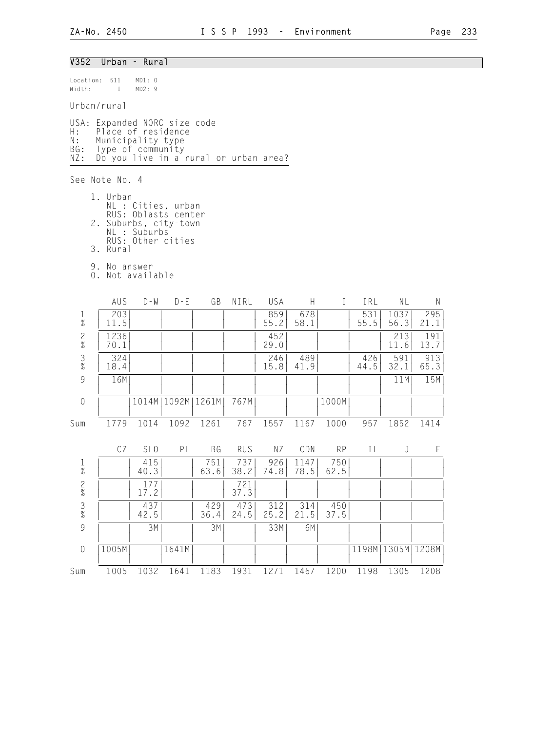### V352 Urban - Rural

Location: 511 MD1: 0 Width: 1 MD2: 9

#### Urban/rural

USA: Expanded NORC size code H: Place of residence N: Municipality type BG: Type of community NZ: Do you live in a rural or urban area?

See Note No. 4

 1. Urban NL : Cities, urban RUS: Oblasts center 2. Suburbs, city-town NL : Suburbs RUS: Other cities 3. Rural

 9. No answer 0. Not available

|                | AUS          | $D - W$         | $D - F$       | GB    | NIRL       | USA         | Н           |           | IRL         | ΝL           | N           |
|----------------|--------------|-----------------|---------------|-------|------------|-------------|-------------|-----------|-------------|--------------|-------------|
| $\frac{1}{\%}$ | 203<br>11.5  |                 |               |       |            | 859<br>55.2 | 678<br>58.1 |           | 531<br>55.5 | 1037<br>56.3 | 295<br>21.1 |
| $\frac{2}{\%}$ | 1236<br>70.1 |                 |               |       |            | 452<br>29.0 |             |           |             | 213<br>11.6  | 191<br>13.7 |
| $\frac{3}{8}$  | 324<br>18.4  |                 |               |       |            | 246<br>15.8 | 489<br>41.9 |           | 426<br>44.5 | 591<br>32.1  | 913<br>65.3 |
| 9              | 16M          |                 |               |       |            |             |             |           |             | 11M          | 15M         |
| $\overline{0}$ |              |                 | 1014M   1092M | 1261M | 767M       |             |             | 1000M     |             |              |             |
| Sum            | 1779         | 1014            | 1092          | 1261  | 767        | 1557        | 1167        | 1000      | 957         | 1852         | 1414        |
|                | CZ           | SL <sub>0</sub> | PL            | BG    | <b>RUS</b> | ΝZ          | CDN         | <b>RP</b> | I L         | J            | F           |
|                |              | 415             |               | 751   | 7371       | 926         | 1147        | 750       |             |              |             |

|                | UZ    | <b>JLU</b>  | F L   | DU          | KU J        | IV Z        | UUN         | KΡ          |       | U             |      |
|----------------|-------|-------------|-------|-------------|-------------|-------------|-------------|-------------|-------|---------------|------|
| $\frac{1}{\%}$ |       | 415<br>40.3 |       | 751<br>63.6 | 737<br>38.2 | 926<br>74.8 | 147<br>78.5 | 750<br>62.5 |       |               |      |
| $\frac{2}{\%}$ |       | 17.2        |       |             | 721<br>37.3 |             |             |             |       |               |      |
| $\frac{3}{\%}$ |       | 437<br>42.5 |       | 429<br>36.4 | 473<br>24.5 | 312<br>25.2 | 314<br>21.5 | 450<br>37.5 |       |               |      |
| 9              |       | 3M          |       | 3M          |             | 33M         | 6M          |             |       |               |      |
| 0              | .005M |             | 1641M |             |             |             |             |             | 1198M | 1305M   1208M |      |
| Sum            | 1005  | 1032        | 1641  | 1183        | 1931        | 1271        | 1467        | 1200        | 1198  | 1305          | 1208 |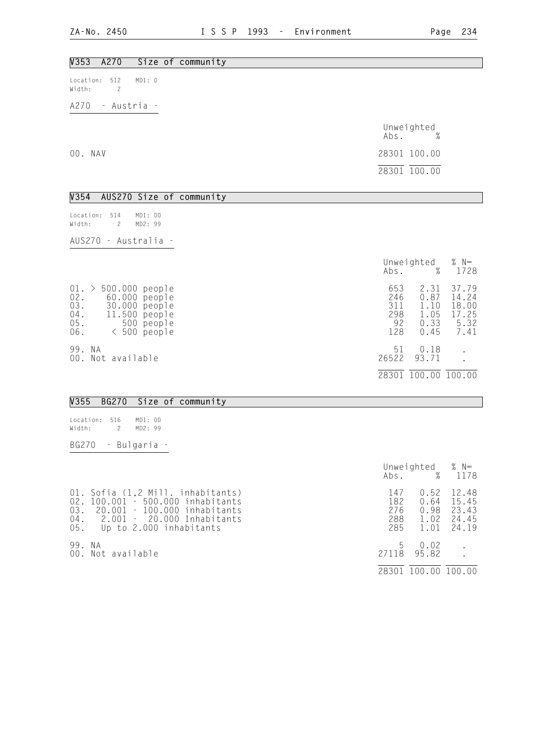| V353<br>A270<br>Size of community                                                                                                                  |                                       |                                              |                                                  |
|----------------------------------------------------------------------------------------------------------------------------------------------------|---------------------------------------|----------------------------------------------|--------------------------------------------------|
| MD1: 0<br>512<br>Location:<br>$\overline{c}$<br>Width:                                                                                             |                                       |                                              |                                                  |
| A270<br>- Austria -                                                                                                                                |                                       |                                              |                                                  |
|                                                                                                                                                    | Abs.                                  | Unweighted<br>%                              |                                                  |
| 00. NAV                                                                                                                                            |                                       | 28301 100.00                                 |                                                  |
|                                                                                                                                                    |                                       | 28301 100.00                                 |                                                  |
|                                                                                                                                                    |                                       |                                              |                                                  |
| AUS270 Size of community<br>V354                                                                                                                   |                                       |                                              |                                                  |
| 514<br>Location:<br>MD1: 00<br>2<br>MD2: 99<br>Width:                                                                                              |                                       |                                              |                                                  |
| AUS270 - Australia -                                                                                                                               |                                       |                                              |                                                  |
|                                                                                                                                                    | Abs.                                  | Unweighted<br>%                              | % $N=$<br>1728                                   |
| $01. > 500.000$ people<br>02.<br>60.000 people<br>03.<br>30.000 people<br>$04$ .<br>11.500 people<br>$05$ .<br>500 people<br>06.<br>$< 500$ people | 653<br>246<br>311<br>298<br>92<br>128 | 2.31<br>0.87<br>1.10<br>1.05<br>0.33<br>0.45 | 37.79<br>14.24<br>18.00<br>17.25<br>5.32<br>7.41 |
| 99. NA<br>00. Not available                                                                                                                        | 51<br>26522                           | 0.18<br>93.71                                | $\ddot{\phantom{a}}$                             |
|                                                                                                                                                    |                                       | 28301 100.00 100.00                          |                                                  |

# V355 BG270 Size of community

| Location: 516 |   | MD1:00 |  |
|---------------|---|--------|--|
| Width:        | 2 | MD2:99 |  |

BG270 - Bulgaria -

|            |                                                                                                                                                                     | Abs.                            | Unweighted $% N=$                    | % 1178                                    |
|------------|---------------------------------------------------------------------------------------------------------------------------------------------------------------------|---------------------------------|--------------------------------------|-------------------------------------------|
| 02.<br>03. | 01. Sofia (1,2 Mill. inhabitants)<br>100.001 - 500.000 inhabitants<br>20.001 - 100.000 inhabitants<br>04. 2.001 - 20.000 Inhabitants<br>05. Up to 2.000 inhabitants | 147<br>182<br>276<br>288<br>285 | 0.52<br>0.64<br>0.98<br>1.02<br>1.01 | 12.48<br>15.45<br>23.43<br>24.45<br>24.19 |
| 99. NA     | 00. Not available                                                                                                                                                   | b<br>27118                      | 0.02<br>95.82                        |                                           |
|            |                                                                                                                                                                     | 28301                           | 100.00 100.00                        |                                           |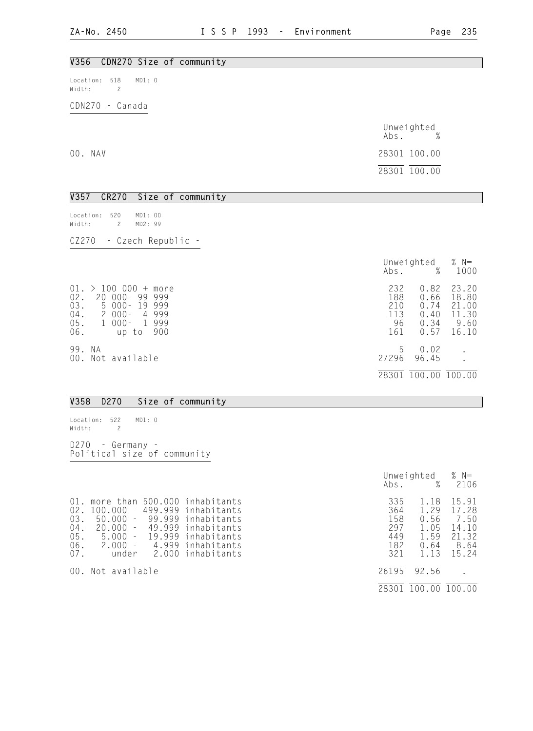| V356 CDN270 Size of community                                      |                                   |
|--------------------------------------------------------------------|-----------------------------------|
| MD1: 0<br>Location:<br>518<br>Width:<br>$\overline{c}$             |                                   |
| CDN270 - Canada                                                    |                                   |
|                                                                    | Unweighted<br>%<br>Abs.           |
| 00. NAV                                                            | 28301 100.00                      |
|                                                                    | 28301 100.00                      |
| V357<br>CR270 Size of community                                    |                                   |
| 520<br>MD1: 00<br>Location:<br>$\overline{c}$<br>MD2: 99<br>Width: |                                   |
| CZ270 - Czech Republic -                                           |                                   |
|                                                                    | Unweighted % N=<br>Abs. %<br>1000 |
| $01. > 100 000 + more$                                             | 232<br>$0.82$ 23.20               |

|        | UI. → IUU UUU + MOre | 232 |                     | $0.82 \quad 23.20$ |
|--------|----------------------|-----|---------------------|--------------------|
| 02.    | 20 000-99 999        | 188 | 0.66                | 18.80              |
| 03.    | 5 000-19 999         | 210 | 0.74                | 21.00              |
| 04.    | 2 000 - 4 999        | 113 | 0.40                | 11.30              |
| 05.    | 1 000- 1 999         | 96  | 0.34                | 9.60               |
| 06.    | up to 900            | 161 | 0.57                | 16.10              |
| 99. NA |                      | b.  | 0.02                |                    |
|        | 00. Not available    |     | 27296 96.45         |                    |
|        |                      |     | 28301 100.00 100.00 |                    |

### V358 D270 Size of community

Location: 522 MD1: 0 Width: 2

D270 - Germany - Political size of community

|                                                                                                                                                                                                                                                                                                                      | Unweighted<br>%<br>Abs.                                                                               | % $N=$<br>2106                                            |
|----------------------------------------------------------------------------------------------------------------------------------------------------------------------------------------------------------------------------------------------------------------------------------------------------------------------|-------------------------------------------------------------------------------------------------------|-----------------------------------------------------------|
| more than 500.000 inhabitants<br>01.<br>02.<br>499.999 inhabitants<br>100.000<br>$\sim$<br>03.<br>50.000<br>99.999 inhabitants<br>$\equiv$<br>04.<br>20.000<br>49.999<br>inhabitants<br>$\sim$<br>$05$ .<br>5.000 - 19.999 inhabitants<br>06.<br>$2.000 -$<br>4.999 inhabitants<br>07.<br>2.000 inhabitants<br>under | 335<br>1.18<br>364<br>1.29<br>158<br>0.56<br>297<br>1.05<br>1.59<br>449<br>182<br>0.64<br>321<br>1.13 | 15.91<br>17.28<br>7.50<br>14.10<br>21.32<br>8.64<br>15.24 |
| 00. Not available                                                                                                                                                                                                                                                                                                    | 26195<br>92.56                                                                                        |                                                           |
|                                                                                                                                                                                                                                                                                                                      | 100.00<br>28301                                                                                       | 100.00                                                    |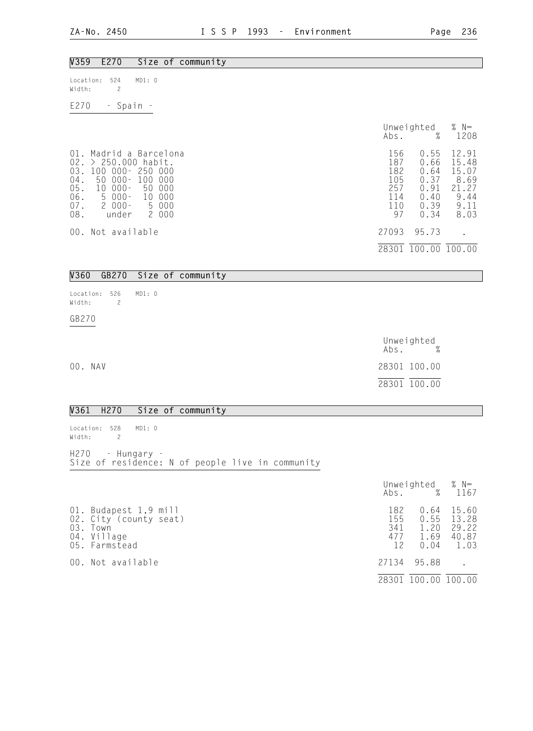| V359<br>E270<br>Size of community                                                                                                                                                                                                                                       |                                                     |                                                                                                                                  |
|-------------------------------------------------------------------------------------------------------------------------------------------------------------------------------------------------------------------------------------------------------------------------|-----------------------------------------------------|----------------------------------------------------------------------------------------------------------------------------------|
| 524<br>MD1: 0<br>Location:<br>$\overline{c}$<br>Width:                                                                                                                                                                                                                  |                                                     |                                                                                                                                  |
| E270<br>- Spain -                                                                                                                                                                                                                                                       |                                                     |                                                                                                                                  |
|                                                                                                                                                                                                                                                                         | Abs.                                                | % $N=$<br>Unweighted<br>%<br>1208                                                                                                |
| $01$ .<br>Madrid a Barcelona<br>02.<br>$> 250.000$ habit.<br>03.<br>100 000-<br>250 000<br>$04$ .<br>$50000 -$<br>100<br>000<br>05.06.<br>50<br>$000 -$<br>000<br>$10 \,$<br>$5000 -$<br>10 <sup>°</sup><br>000<br>$07$ .<br>$2000 -$<br>5 000<br>08.<br>2 000<br>under | 156<br>187<br>182<br>105<br>257<br>114<br>110<br>97 | 0.55<br>12.91<br>0.66<br>15.48<br>0.64<br>15.07<br>8.69<br>0.37<br>0.91<br>21.27<br>9.44<br>0.40<br>9.11<br>0.39<br>0.34<br>8.03 |
| 00. Not available                                                                                                                                                                                                                                                       | 27093                                               | 95.73                                                                                                                            |
|                                                                                                                                                                                                                                                                         |                                                     | 28301 100.00 100.00                                                                                                              |
| <b>V360</b><br>GB270<br>Size of community                                                                                                                                                                                                                               |                                                     |                                                                                                                                  |
|                                                                                                                                                                                                                                                                         |                                                     |                                                                                                                                  |
| 526<br>MD1: 0<br>Location:<br>$\overline{c}$<br>Width:                                                                                                                                                                                                                  |                                                     |                                                                                                                                  |

GB270

|         | Unweighted<br>$\%$<br>Abs. |
|---------|----------------------------|
| 00. NAV | 28301 100.00               |
|         | 28301 100.00               |

# V361 H270 Size of community

| Location: 528 MD1: 0<br>Width: 2 |                  |  |  |                                                  |  |
|----------------------------------|------------------|--|--|--------------------------------------------------|--|
|                                  | H270 - Hungary - |  |  | Size of residence: N of people live in community |  |

|                                                                                             | Abs.                           | Unweighted $% N=$                    | % 1167                                   |
|---------------------------------------------------------------------------------------------|--------------------------------|--------------------------------------|------------------------------------------|
| 01. Budapest 1,9 mill<br>02. City (county seat)<br>03. Town<br>04. Village<br>05. Farmstead | 182<br>155<br>341<br>477<br>12 | 0.64<br>0.55<br>1.20<br>1.69<br>0.04 | 15.60<br>13.28<br>29.22<br>40.87<br>1.03 |
| 00. Not available                                                                           | 27134                          | 95.88                                |                                          |
|                                                                                             |                                | 28301 100.00 100.00                  |                                          |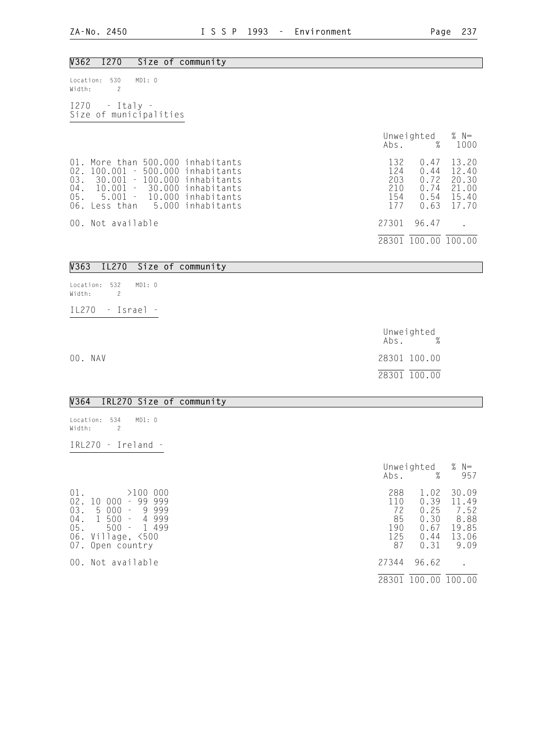# V362 I270 Size of community Location: 530 MD1: 0 Width: 2 I270 - Italy - Size of municipalities Unweighted % N=<br>Abs. % 1000 Abs. % 1000 01. More than 500.000 inhabitants 132 0.47 13.20<br>
02. 100.001 - 500.000 inhabitants 124 0.44 12.40<br>
03. 30.001 - 100.000 inhabitants 203 0.72 20.30 02. 100.001 - 500.000 inhabitants 124 0.44 12.40 03. 30.001 - 100.000 inhabitants 203 0.72 20.30 04. 10.001 - 30.000 inhabitants 210 0.74 21.00 05. 5.001 - 10.000 inhabitants 154 0.54 15.40 05. 5.001 - 10.000 inhabitants 154 0.54 15.40<br>06. Less than 5.000 inhabitants 177 0.63 17.70 00. Not available 27301 96.47 . 28301 100.00 100.00

#### V363 IL270 Size of community

| Location: 532 |  | MD1:0    |  |
|---------------|--|----------|--|
| Width:        |  |          |  |
|               |  |          |  |
| T   270       |  | - Israel |  |

|         | Unweighted<br>$\%$<br>Abs. |
|---------|----------------------------|
| 00. NAV | 28301 100.00               |
|         | 28301 100.00               |

#### V364 IRL270 Size of community

Location: 534 MD1: 0 Width: 2

IRL270 - Ireland -

|                                                     |                                                                                                                                                                                                 | Abs.                                       | Unweighted<br>%                                      | % $N=$<br>957                                            |
|-----------------------------------------------------|-------------------------------------------------------------------------------------------------------------------------------------------------------------------------------------------------|--------------------------------------------|------------------------------------------------------|----------------------------------------------------------|
| $01$ .<br>02.<br>03.<br>$04$ .<br>05.<br>06.<br>07. | -000<br>>100<br>10<br>000<br>99<br>999<br>$\sim$<br>000<br>9999<br>5<br>$\overline{\phantom{a}}$<br>500<br>4999<br>$\mathbf{1}$<br>$\equiv$<br>$500 -$<br>1499<br>Village, <500<br>Open country | 288<br>110<br>72<br>85<br>190<br>125<br>87 | 1.02<br>0.39<br>0.25<br>0.30<br>0.67<br>0.44<br>0.31 | 30.09<br>11.49<br>7.52<br>8.88<br>19.85<br>13.06<br>9.09 |
|                                                     | 00. Not available                                                                                                                                                                               | 27344                                      | 96.62                                                |                                                          |
|                                                     |                                                                                                                                                                                                 | 28301                                      | 100<br>.00                                           | 100.00                                                   |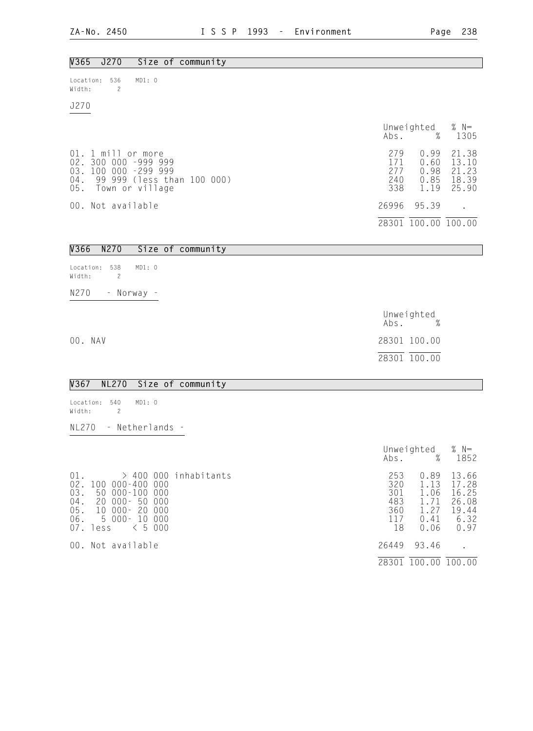28301 100.00 100.00

| V365<br>J270<br>Size of community                                                                                                                                                           |                                              |                                                            |                                                           |
|---------------------------------------------------------------------------------------------------------------------------------------------------------------------------------------------|----------------------------------------------|------------------------------------------------------------|-----------------------------------------------------------|
| Location: 536<br>MD1: 0<br>Width:<br>$\mathbf{2}$                                                                                                                                           |                                              |                                                            |                                                           |
| J270                                                                                                                                                                                        |                                              |                                                            |                                                           |
|                                                                                                                                                                                             |                                              | Unweighted<br>$\mathsf{Abs}.$ %                            | % $N=$<br>1305                                            |
| 01. 1 mill or more<br>02. 300 000 -999 999<br>03. 100 000 -299 999<br>99 999 (less than 100 000)<br>$04$ .<br>05.<br>Town or village                                                        | 279<br>171<br>277<br>240<br>338              | 0.99<br>0.60<br>0.98<br>0.85<br>1.19                       | 21.38<br>13.10<br>21.23<br>18.39<br>25.90                 |
| 00. Not available                                                                                                                                                                           | 26996                                        | 95.39                                                      |                                                           |
|                                                                                                                                                                                             |                                              | $\overline{28301}$ $\overline{100.00}$ $\overline{100.00}$ |                                                           |
| V366<br>N270<br>Size of community                                                                                                                                                           |                                              |                                                            |                                                           |
| Location:<br>538<br>MD1: 0<br>Width:<br>$\overline{c}$                                                                                                                                      |                                              |                                                            |                                                           |
| N270<br>- Norway -                                                                                                                                                                          |                                              |                                                            |                                                           |
|                                                                                                                                                                                             |                                              | Unweighted<br>Abs. %                                       |                                                           |
| 00. NAV                                                                                                                                                                                     |                                              | 28301 100.00                                               |                                                           |
|                                                                                                                                                                                             |                                              | 28301 100.00                                               |                                                           |
| V367<br><b>NL270</b><br>Size of community                                                                                                                                                   |                                              |                                                            |                                                           |
| 540<br>MD1: 0<br>Location:<br>Width:<br>$\overline{c}$                                                                                                                                      |                                              |                                                            |                                                           |
| NL270<br>- Netherlands -                                                                                                                                                                    |                                              |                                                            |                                                           |
|                                                                                                                                                                                             | Abs.                                         | Unweighted<br>$\%$                                         | $% N=$<br>1852                                            |
| 01.<br>$>$ 400 000 inhabitants<br>$02$ .<br>100 000-400 000<br>50 000-100 000<br>03.<br>$20000 - 50$<br>000<br>04.<br>10 000-20 000<br>05.<br>5 000- 10 000<br>06.<br>< 5000<br>07.<br>less | 253<br>320<br>301<br>483<br>360<br>117<br>18 | 0.89<br>1.13<br>1.06<br>1.71<br>1.27<br>0.41<br>0.06       | 13.66<br>17.28<br>16.25<br>26.08<br>19.44<br>6.32<br>0.97 |
| 00. Not available                                                                                                                                                                           | 26449                                        | 93.46                                                      | $\ddot{\phantom{0}}$                                      |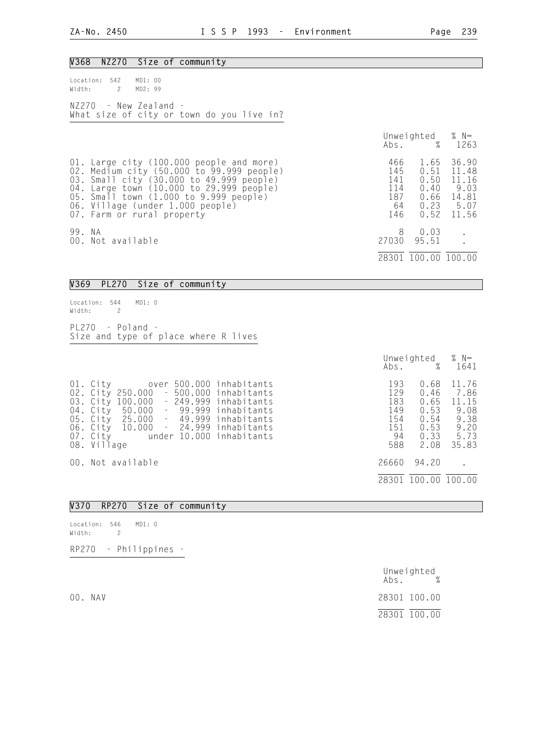#### V368 NZ270 Size of community

| Location: 542 MD1: 00<br>Width: 2 MD2: 99 |                                                                      |  |  |  |
|-------------------------------------------|----------------------------------------------------------------------|--|--|--|
|                                           | $NZ270 - New Zealand -$<br>What size of city or town do you live in? |  |  |  |

|        |                                                                                                                                                                                                                                                                                           |                                              | Unweighted $% N=$<br>Abs. % 1263                     |                                                           |
|--------|-------------------------------------------------------------------------------------------------------------------------------------------------------------------------------------------------------------------------------------------------------------------------------------------|----------------------------------------------|------------------------------------------------------|-----------------------------------------------------------|
|        | 01. Large city (100.000 people and more)<br>02. Medium city (50.000 to 99.999 people)<br>03. Small city (30.000 to 49.999 people)<br>04. Large town (10.000 to 29.999 people)<br>05. Small town (1.000 to 9.999 people)<br>06. Village (under 1.000 people)<br>07. Farm or rural property | 466<br>145<br>141<br>114<br>187<br>64<br>146 | 1.65<br>0.51<br>0.50<br>0.40<br>0.66<br>0.23<br>0.52 | 36.90<br>11.48<br>11.16<br>9.03<br>14.81<br>5.07<br>11.56 |
| 99. NA | 00. Not available                                                                                                                                                                                                                                                                         | 8<br>27030<br>28301                          | 0.03<br>95.51<br>.00                                 | 100.00                                                    |

## V369 PL270 Size of community

Location: 544 MD1: 0 Width: 2 PL270 - Poland - Size and type of place where R lives

|                                                                                                                                                                                                                                                                                                   | Unweighted $% N=$<br>Abs. % 1641                                             |                                                                                                        |
|---------------------------------------------------------------------------------------------------------------------------------------------------------------------------------------------------------------------------------------------------------------------------------------------------|------------------------------------------------------------------------------|--------------------------------------------------------------------------------------------------------|
| 01. City over 500.000 inhabitants<br>02. City 250.000 - 500.000 inhabitants<br>03. City 100.000 - 249.999 inhabitants<br>04. City 50.000 - 99.999 inhabitants<br>05. City 25.000 - 49.999 inhabitants<br>06. City 10.000 - 24.999 inhabitants<br>07. City under 10.000 inhabitants<br>08. Village | 193<br>129<br>183<br>149<br>154<br>0.54<br>151<br>0.53<br>-94<br>588<br>2.08 | 11.76<br>0.68<br>$0.46$ 7.86<br>0.65<br>11.15<br>0.53<br>9.08<br>9.38<br>9.20<br>0.33<br>5.73<br>35.83 |
| 00. Not available                                                                                                                                                                                                                                                                                 | 26660<br>94.20                                                               |                                                                                                        |
|                                                                                                                                                                                                                                                                                                   | 28301 100.00 100.00                                                          |                                                                                                        |

### V370 RP270 Size of community

Location: 546 MD1: 0 Width: 2

RP270 - Philippines -

 Unweighted Abs. % 00. NAV 28301 100.00 28301 100.00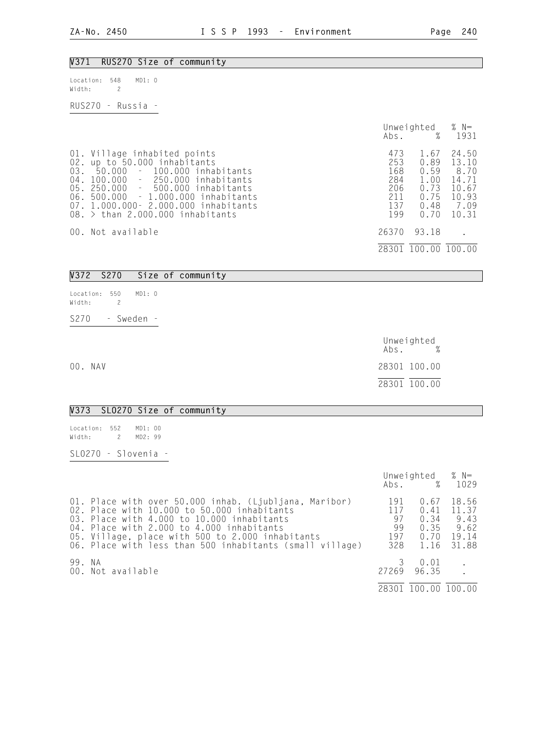### V371 RUS270 Size of community

| Location: 548 | MD1: 0 |
|---------------|--------|
| Width:        |        |

RUS270 - Russia -

|                                                                                                                                                                                                                                                                                                     | Abs.                                                 | Unweighted $% N=$<br>$\%$                                    | 1931                                                               |
|-----------------------------------------------------------------------------------------------------------------------------------------------------------------------------------------------------------------------------------------------------------------------------------------------------|------------------------------------------------------|--------------------------------------------------------------|--------------------------------------------------------------------|
| 01. Village inhabited points<br>02. up to 50.000 inhabitants<br>03. 50.000<br>- 100.000 inhabitants<br>04. 100.000 - 250.000 inhabitants<br>05. 250.000 - 500.000 inhabitants<br>06. 500.000 - 1.000.000 inhabitants<br>07. 1.000.000 - 2.000.000 inhabitants<br>$08.$ > than 2.000.000 inhabitants | 473<br>253<br>168<br>284<br>206<br>211<br>137<br>199 | 1.67<br>0.89<br>0.59<br>1.00<br>0.73<br>0.75<br>0.48<br>0.70 | 24.50<br>13.10<br>8.70<br>14.71<br>10.67<br>10.93<br>7.09<br>10.31 |
| 00. Not available                                                                                                                                                                                                                                                                                   | 26370<br>28301                                       | 93.18<br>100.00 100.00                                       |                                                                    |
|                                                                                                                                                                                                                                                                                                     |                                                      |                                                              |                                                                    |

### V372 S270 Size of community

| Location: 550<br>Width: |  | MD1:0  |  |
|-------------------------|--|--------|--|
| S270                    |  | Sweden |  |

 Unweighted Abs. % 00. NAV 28301 100.00 28301 100.00

#### V373 SLO270 Size of community

| Location: 552 |    | MD1:00  |  |
|---------------|----|---------|--|
| Width:        | -2 | MD2: 99 |  |
|               |    |         |  |

SLO270 - Slovenia -

|        |                                                                                                                                                                                                                                                                                                                  |                                      | Unweighted $% N=$<br>Abs. % 1029             |                                                  |
|--------|------------------------------------------------------------------------------------------------------------------------------------------------------------------------------------------------------------------------------------------------------------------------------------------------------------------|--------------------------------------|----------------------------------------------|--------------------------------------------------|
|        | 01. Place with over 50.000 inhab. (Ljubljana, Maribor)<br>02. Place with 10.000 to 50.000 inhabitants<br>03. Place with 4.000 to 10.000 inhabitants<br>04. Place with 2.000 to 4.000 inhabitants<br>05. Village, place with 500 to 2.000 inhabitants<br>06. Place with less than 500 inhabitants (small village) | 191<br>117<br>97<br>99<br>197<br>328 | 0.67<br>0.41<br>0.34<br>0.35<br>0.70<br>1.16 | 18.56<br>11.37<br>9.43<br>9.62<br>19.14<br>31.88 |
| 99. NA | 00. Not available                                                                                                                                                                                                                                                                                                | 3                                    | 0.01<br>27269 96.35<br>28301 100.00 100.00   |                                                  |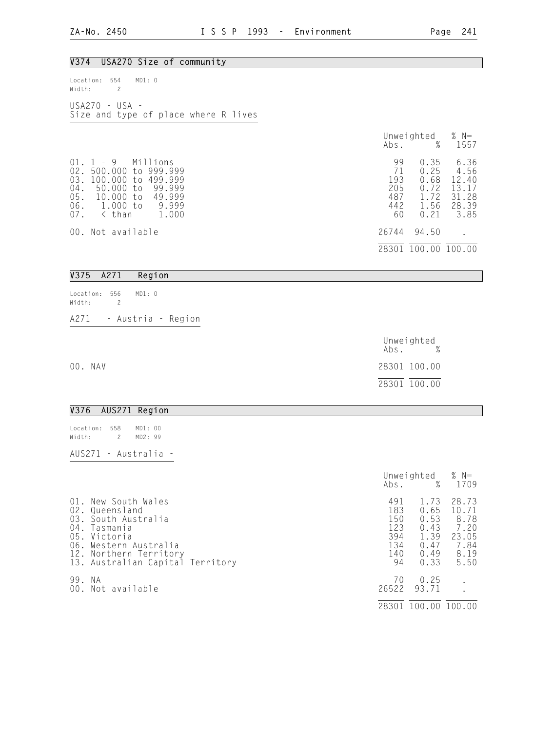| V374 USA270 Size of community                                                                                                                                                                             |                                                                                                                                                                |
|-----------------------------------------------------------------------------------------------------------------------------------------------------------------------------------------------------------|----------------------------------------------------------------------------------------------------------------------------------------------------------------|
| Location: 554<br>MD1: 0<br>Width:<br>$\overline{c}$                                                                                                                                                       |                                                                                                                                                                |
| USA270 - USA -<br>Size and type of place where R lives                                                                                                                                                    |                                                                                                                                                                |
|                                                                                                                                                                                                           | Unweighted<br>% $N=$<br>$\%$<br>Abs.<br>1557                                                                                                                   |
| $01$ .<br>$1 - 9$<br>Millions<br>02. 500.000 to 999.999<br>03.<br>100.000 to 499.999<br>$04$ .<br>50.000 to<br>99.999<br>10.000 to<br>49.999<br>05.<br>1.000 to<br>< than<br>06.<br>9.999<br>07.<br>1.000 | 99<br>0.35<br>6.36<br>71<br>0.25<br>4.56<br>12.40<br>193<br>0.68<br>205<br>0.72<br>13.17<br>487<br>1.72<br>31.28<br>1.56<br>442<br>28.39<br>3.85<br>0.21<br>60 |
| 00. Not available                                                                                                                                                                                         | 26744<br>94.50<br>28301 100.00 100.00                                                                                                                          |
| V375<br>A271<br>Region                                                                                                                                                                                    |                                                                                                                                                                |
| Location: 556<br>MD1: 0<br>Width:<br>$\overline{c}$                                                                                                                                                       |                                                                                                                                                                |
| A271<br>- Austria - Region                                                                                                                                                                                |                                                                                                                                                                |
|                                                                                                                                                                                                           | Unweighted<br>Abs.                                                                                                                                             |
| 00. NAV                                                                                                                                                                                                   | 28301 100.00                                                                                                                                                   |
|                                                                                                                                                                                                           | 28301 100.00                                                                                                                                                   |
| V376<br>AUS271 Region                                                                                                                                                                                     |                                                                                                                                                                |
| Location:<br>558<br>MD1: 00<br>Width:<br>$\overline{c}$<br>MD2: 99                                                                                                                                        |                                                                                                                                                                |
| AUS271 - Australia -                                                                                                                                                                                      |                                                                                                                                                                |

|        |                                                                                                                                                                                   | Abs.                                                | Unweighted<br>$\%$                                           | % $N=$<br>1709                                                  |
|--------|-----------------------------------------------------------------------------------------------------------------------------------------------------------------------------------|-----------------------------------------------------|--------------------------------------------------------------|-----------------------------------------------------------------|
| $01$ . | - New South Wales<br>02. Queensland<br>03. South Australia<br>04. Tasmania<br>05. Victoria<br>06. Western Australia<br>12. Northern Territory<br>13. Australian Capital Territory | 491<br>183<br>150<br>123<br>394<br>134<br>140<br>94 | 1.73<br>0.65<br>0.53<br>0.43<br>1.39<br>0.47<br>0.49<br>0.33 | 28.73<br>10.71<br>8.78<br>7.20<br>23.05<br>7.84<br>8.19<br>5.50 |
| 99. NA | 00. Not available                                                                                                                                                                 | 70<br>26522                                         | 0.25<br>93.71                                                |                                                                 |
|        |                                                                                                                                                                                   |                                                     | 28301 100.00 100.00                                          |                                                                 |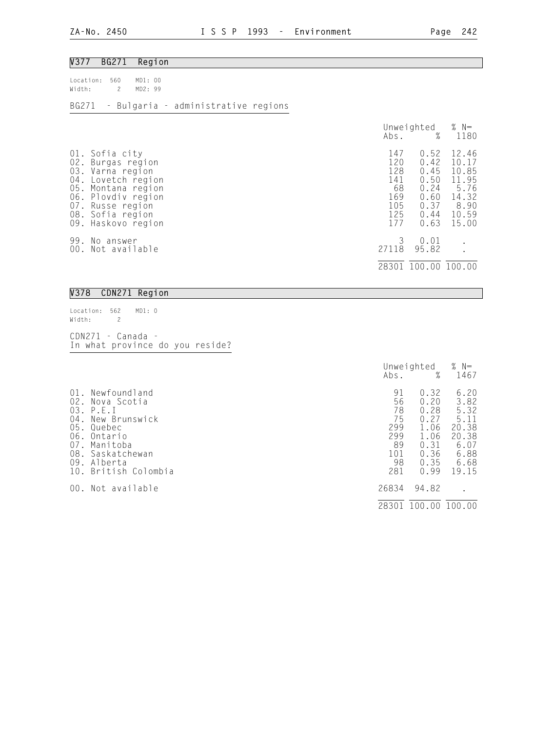#### V377 BG271 Region

| Location: 560 MD1: 00<br>Width: 2 MD2: 99 |  |                                           |  |
|-------------------------------------------|--|-------------------------------------------|--|
|                                           |  | BG271 - Bulgaria - administrative regions |  |

## Unweighted % N= Abs. % 1180 01. Sofia city 147 0.52 12.46 02. Burgas region 120 0.42 10.17 03. Varna region 128 0.45 10.85 04. Lovetch region 141 0.50 11.95 05. Montana region 68 0.24 5.76 06. Plovdiv region 169 0.60 14.32<br>07. Russe region 105 0.37 8.90 07. Russe region 105 0.37 8.90 08. Sofia region 125 0.44 10.59 09. Haskovo region 177 0.63 15.00 99. No answer 3 0.01 .<br>00. Not available 27118 95.82 . 00. Not available 28301 100.00 100.00

#### V378 CDN271 Region

Location: 562 MD1: 0 Width: 2 CDN271 - Canada - In what province do you reside?

Unweighted % N=<br>Abs. % 1467 Abs. % 1467 01. Newfoundland 91 0.32 6.20<br>02. Nova Scotia 56 0.20 3.82 02. Nova Scotia 56 0.20 3.82 03. P.E.I 78 0.28 5.32 04. New Brunswick 75 0.27 5.11 05. Quebec 299 1.06 20.38 04. New Brunswick  $\begin{array}{cccc} 04. & \text{New Brunswick} & 75 & 0.27 & 5.11 \\ 05. & \text{Quebec} & 299 & 1.06 & 20.38 \\ 06. & \text{Ontario} & 299 & 1.06 & 20.38 \\ 07. & \text{Manitoba} & 89 & 0.31 & 6.07 \end{array}$ 07. Manitoba 89 0.31 6.07 08. Saskatchewan 101 0.36 6.88 09. Alberta 98 0.35 6.68 10. British Colombia 281 0.99 19.15 00. Not available 26834 94.82 28301 100.00 100.00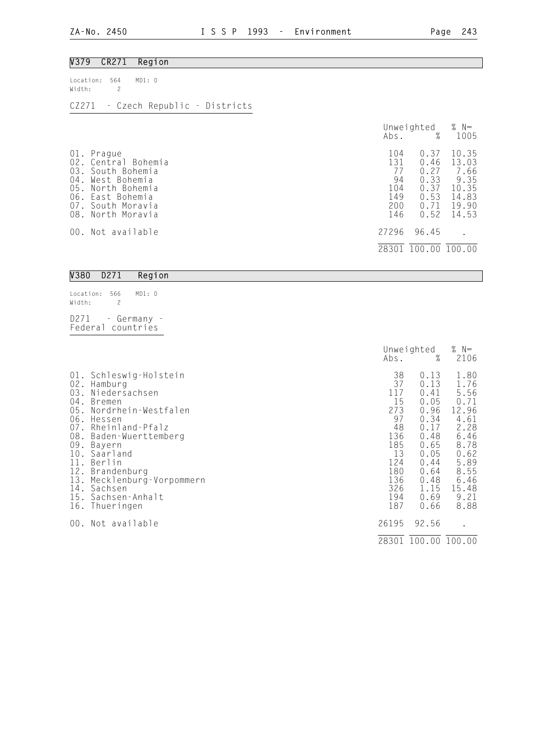### V379 CR271 Region

| Location: 564 MD1: 0<br>Width: 2 |  |  |                                    |
|----------------------------------|--|--|------------------------------------|
|                                  |  |  | CZ271 - Czech Republic - Districts |

|                                               |                                                                                                                                   | Abs.                                               | Unweighted<br>%                                              | % $N=$<br>1005                                                     |
|-----------------------------------------------|-----------------------------------------------------------------------------------------------------------------------------------|----------------------------------------------------|--------------------------------------------------------------|--------------------------------------------------------------------|
| 01.<br>02.<br>03.<br>04.<br>05.<br>06.<br>07. | Prague<br>Central Bohemia<br>South Bohemia<br>West Bohemia<br>North Bohemia<br>East Bohemia<br>South Moravia<br>08. North Moravia | 104<br>131<br>77<br>94<br>104<br>149<br>200<br>146 | 0.37<br>0.46<br>0.27<br>0.33<br>0.37<br>0.53<br>0.71<br>0.52 | 10.35<br>13.03<br>7.66<br>9.35<br>10.35<br>14.83<br>19.90<br>14.53 |
|                                               | 00. Not available                                                                                                                 | 27296                                              | 96.45                                                        |                                                                    |
|                                               |                                                                                                                                   | 28301                                              | 100.00                                                       | 100.00                                                             |

| V380   | D271                 | Region                                |  |
|--------|----------------------|---------------------------------------|--|
| Width: | Location: 566 MD1: 0 |                                       |  |
|        |                      | D271 - Germany -<br>Federal countries |  |

|                                 |                                                                                                                                                                              | Unweighted                                                           |                                                                                   | % $N=$                                                                                |
|---------------------------------|------------------------------------------------------------------------------------------------------------------------------------------------------------------------------|----------------------------------------------------------------------|-----------------------------------------------------------------------------------|---------------------------------------------------------------------------------------|
| 02.<br>03.<br>05.<br>08.<br>09. | 01. Schleswig-Holstein<br>Hamburg<br>Niedersachsen<br>04. Bremen<br>Nordrhein-Westfalen<br>06. Hessen<br>07. Rheinland-Pfalz<br>Baden-Wuerttemberg<br>Bayern<br>10. Saarland | Abs.<br>38<br>37<br>117<br>15<br>273<br>97<br>48<br>136<br>185<br>13 | %<br>0.13<br>0.13<br>0.41<br>0.05<br>0.96<br>0.34<br>0.17<br>0.48<br>0.65<br>0.05 | 2106<br>1.80<br>1.76<br>5.56<br>0.71<br>12.96<br>4.61<br>2.28<br>6.46<br>8.78<br>0.62 |
| 12.<br>13.<br>00.               | 11. Berlin<br>Brandenburg<br>Mecklenburg-Vorpommern<br>14. Sachsen<br>15. Sachsen-Anhalt<br>16. Thueringen<br>Not available                                                  | 124<br>180<br>136<br>326<br>194<br>187<br>26195                      | 0.44<br>0.64<br>0.48<br>1.15<br>0.69<br>0.66<br>92.56                             | 5.89<br>8.55<br>6.46<br>15.48<br>9.21<br>8.88                                         |
|                                 |                                                                                                                                                                              | 28301                                                                | 100.00 100.00                                                                     |                                                                                       |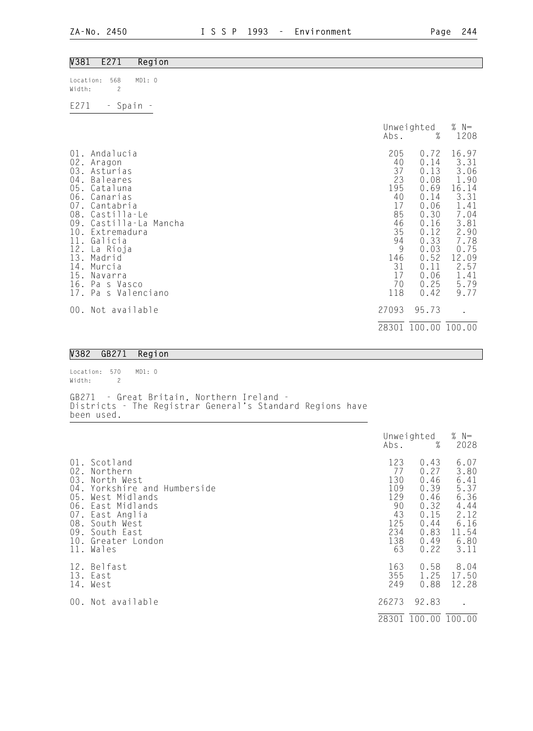| V381                                                                                                                   | E271                                                                                                                                                                                                                                          | Region |                                                                                                                |                                                                                                                                               |                                                                                                                                         |
|------------------------------------------------------------------------------------------------------------------------|-----------------------------------------------------------------------------------------------------------------------------------------------------------------------------------------------------------------------------------------------|--------|----------------------------------------------------------------------------------------------------------------|-----------------------------------------------------------------------------------------------------------------------------------------------|-----------------------------------------------------------------------------------------------------------------------------------------|
| Location:<br>Width:                                                                                                    | 568<br>$\overline{c}$                                                                                                                                                                                                                         | MD1: 0 |                                                                                                                |                                                                                                                                               |                                                                                                                                         |
| E271                                                                                                                   | - Spain -                                                                                                                                                                                                                                     |        |                                                                                                                |                                                                                                                                               |                                                                                                                                         |
|                                                                                                                        |                                                                                                                                                                                                                                               |        | Abs.                                                                                                           | Unweighted<br>$\%$                                                                                                                            | % $N=$<br>1208                                                                                                                          |
| 02.<br>03.<br>$04$ .<br>05.<br>06.<br>07.<br>08.<br>09.<br>10.<br>$\frac{11}{12}$ .<br>13.<br>14.<br>15.<br>16.<br>17. | 01. Andalucia<br>Aragon<br>Asturias<br>Baleares<br>Cataluna<br>Canarias<br>Cantabria<br>Castilla-Le<br>Castilla-La<br>Extremadura<br>Galicia<br>La Rioja<br>Madrid<br>Murcia<br>Navarra<br>Pa s Vasco<br>Pa s Valenciano<br>00. Not available | Mancha | 205<br>40<br>37<br>23<br>195<br>40<br>17<br>85<br>46<br>35<br>94<br>9<br>146<br>31<br>17<br>70<br>118<br>27093 | 0.72<br>0.14<br>0.13<br>0.08<br>0.69<br>0.14<br>0.06<br>0.30<br>0.16<br>0.12<br>0.33<br>0.03<br>0.52<br>0.11<br>0.06<br>0.25<br>0.42<br>95.73 | 16.97<br>3.31<br>3.06<br>1.90<br>16.14<br>3.31<br>1.41<br>7.04<br>3.81<br>2.90<br>7.78<br>0.75<br>12.09<br>2.57<br>1.41<br>5.79<br>9.77 |
|                                                                                                                        |                                                                                                                                                                                                                                               |        |                                                                                                                | 28301 100.00 100.00                                                                                                                           |                                                                                                                                         |

### V382 GB271 Region

Location: 570 MD1: 0 Width: 2 GB271 - Great Britain, Northern Ireland - Districts - The Registrar General's Standard Regions have been used.

|                                 |                                                                                                                                                                                                  | Unweighted<br>$\%$<br>Abs.                                            |                                                                                      | % $N=$<br>2028                                                                        |
|---------------------------------|--------------------------------------------------------------------------------------------------------------------------------------------------------------------------------------------------|-----------------------------------------------------------------------|--------------------------------------------------------------------------------------|---------------------------------------------------------------------------------------|
|                                 |                                                                                                                                                                                                  |                                                                       |                                                                                      |                                                                                       |
| 02.<br>03.<br>04.<br>07.<br>08. | 01. Scotland<br>Northern<br>North West<br>Yorkshire and Humberside<br>05. West Midlands<br>06. East Midlands<br>- East Anglia<br>South West<br>09. South East<br>10. Greater London<br>11. Wales | 123<br>77<br>130<br>109<br>129<br>90<br>43<br>125<br>234<br>138<br>63 | 0.43<br>0.27<br>0.46<br>0.39<br>0.46<br>0.32<br>0.15<br>0.44<br>0.83<br>0.49<br>0.22 | 6.07<br>3.80<br>6.41<br>5.37<br>6.36<br>4.44<br>2.12<br>6.16<br>11.54<br>6.80<br>3.11 |
|                                 | 12. Belfast<br>13. East<br>14. West                                                                                                                                                              | 163<br>355<br>249                                                     | 0.58<br>1.25<br>0.88                                                                 | 8.04<br>17.50<br>12.28                                                                |
|                                 | 00. Not available                                                                                                                                                                                | 26273                                                                 | 92.83                                                                                |                                                                                       |
|                                 |                                                                                                                                                                                                  |                                                                       | 28301 100.00 100.00                                                                  |                                                                                       |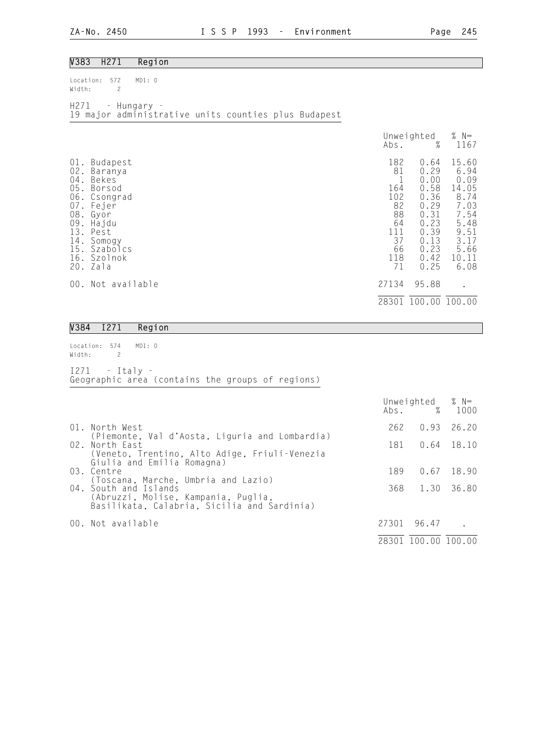### V383 H271 Region

Location: 572 MD1: 0 Width: 2

H271 - Hungary - 19 major administrative units counties plus Budapest

|                                                                                              |                                                                                                                                   | Abs.                                                                      | Unweighted<br>%                                                                                      | % $N=$<br>1167                                                                                          |
|----------------------------------------------------------------------------------------------|-----------------------------------------------------------------------------------------------------------------------------------|---------------------------------------------------------------------------|------------------------------------------------------------------------------------------------------|---------------------------------------------------------------------------------------------------------|
| $01$ .<br>$02$ .<br>$04$ .<br>05.<br>06.<br>$07$ .<br>08.<br>09.<br>13.<br>14.<br>15.<br>16. | Budapest<br>Baranya<br>Bekes<br>Borsod<br>Csongrad<br>Fejer<br>Gyor<br>Hajdu<br>Pest<br>Somogy<br>Szabolcs<br>Szolnok<br>20. Zala | 182<br>81<br>164<br>102<br>82<br>88<br>64<br>111<br>37<br>66<br>118<br>71 | 0.64<br>0.29<br>0.00<br>0.58<br>0.36<br>0.29<br>0.31<br>0.23<br>0.39<br>0.13<br>0.23<br>0.42<br>0.25 | 15.60<br>6.94<br>0.09<br>14.05<br>8.74<br>7.03<br>7.54<br>5.48<br>9.51<br>3.17<br>5.66<br>10.11<br>6.08 |
| 00.                                                                                          | Not available                                                                                                                     | 27134                                                                     | 95.88                                                                                                | $\bullet$                                                                                               |
|                                                                                              |                                                                                                                                   | 28301                                                                     | 100.00                                                                                               | 100.00                                                                                                  |

#### V384 I271 Region

Location: 574 MD1: 0 Width: 2

I271 - Italy - Geographic area (contains the groups of regions)

|                                                                                                                                                    |       | Unweighted $% N=$<br>Abs. % 1000 |              |
|----------------------------------------------------------------------------------------------------------------------------------------------------|-------|----------------------------------|--------------|
| 01. North West                                                                                                                                     |       | 262 0.93 26.20                   |              |
| (Piemonte, Val d'Aosta, Liguria and Lombardia)<br>02. North East<br>(Veneto, Trentino, Alto Adige, Friuli-Venezia                                  |       | 181  0.64  18.10                 |              |
| Giulia and Emilia Romagna)<br>03. Centre                                                                                                           | 189   |                                  | $0.67$ 18.90 |
| (Toscana, Marche, Umbria and Lazio)<br>04. South and Islands<br>(Abruzzi, Molise, Kampania, Puglia,<br>Basilikata, Calabria, Sicilia and Sardinia) |       | 368 1.30 36.80                   |              |
| 00. Not available                                                                                                                                  | 27301 | 96.47                            |              |
|                                                                                                                                                    | 28301 | 100.00 100.00                    |              |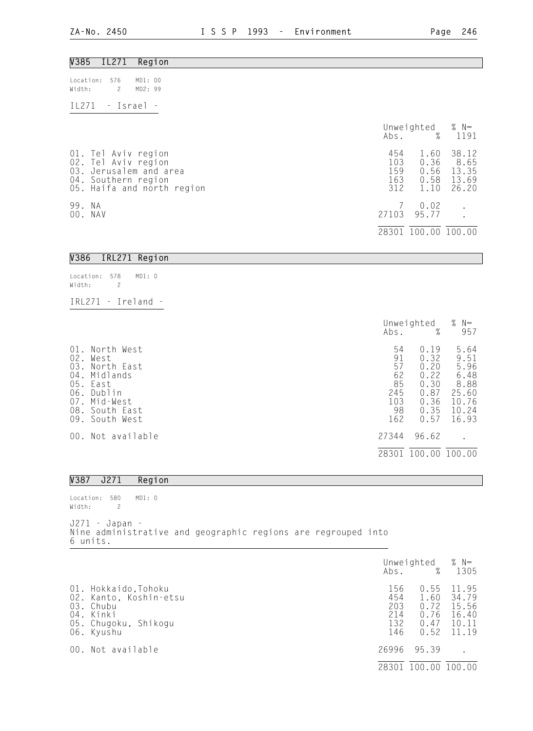| V385<br>IL271<br>Region                                                                                                   |                                 |                                                                                  |
|---------------------------------------------------------------------------------------------------------------------------|---------------------------------|----------------------------------------------------------------------------------|
| Location:<br>576<br>MD1: 00<br>$\overline{c}$<br>Width:<br>MD2: 99                                                        |                                 |                                                                                  |
| IL271<br>- Israel -                                                                                                       |                                 |                                                                                  |
|                                                                                                                           | Abs.                            | % $N=$<br>Unweighted<br>$\%$<br>1191                                             |
| 01. Tel Aviv region<br>02. Tel Aviv region<br>03. Jerusalem and area<br>04. Southern region<br>05. Haifa and north region | 454<br>103<br>159<br>163<br>312 | 38.12<br>1.60<br>0.36<br>8.65<br>13.35<br>0.56<br>13.69<br>0.58<br>1.10<br>26.20 |
| 99. NA<br>00. NAV                                                                                                         | 7<br>27103                      | 0.02<br>95.77                                                                    |
|                                                                                                                           |                                 | 28301 100.00 100.00                                                              |
| V386<br>IRL271 Region                                                                                                     |                                 |                                                                                  |
| Location:<br>578<br>MD1: 0<br>Width:<br>$\overline{c}$                                                                    |                                 |                                                                                  |
| IRL271 - Ireland -                                                                                                        |                                 |                                                                                  |
|                                                                                                                           |                                 | % $N=$<br>Unweighted                                                             |

|                        |                                                                                                                        | Abs.                                                  | UTIWETYNCEU<br>%                                                     | $\sqrt{2}$ $\sqrt{2}$<br>957                                             |
|------------------------|------------------------------------------------------------------------------------------------------------------------|-------------------------------------------------------|----------------------------------------------------------------------|--------------------------------------------------------------------------|
| 02.<br>05. East<br>07. | 01. North West<br>West<br>03. North East<br>04. Midlands<br>06. Dublin<br>Mid-West<br>08. South East<br>09. South West | 54<br>91<br>57<br>62<br>85<br>245<br>103<br>98<br>162 | 0.19<br>0.32<br>0.20<br>0.22<br>0.30<br>0.87<br>0.36<br>0.35<br>0.57 | 5.64<br>9.51<br>5.96<br>6.48<br>8.88<br>25.60<br>10.76<br>10.24<br>16.93 |
|                        | 00. Not available                                                                                                      | 27344                                                 | 96.62                                                                |                                                                          |
|                        |                                                                                                                        | 28301                                                 | 100.00                                                               | 100.00                                                                   |

### V387 J271 Region

Location: 580 MD1: 0

Width: 2 J271 - Japan - Nine administrative and geographic regions are regrouped into 6 units.

|            |                                                                                                        | Abs.                                   | Unweighted $% N=$<br>%                       | 1305                                               |
|------------|--------------------------------------------------------------------------------------------------------|----------------------------------------|----------------------------------------------|----------------------------------------------------|
| 02.<br>03. | 01. Hokkaido, Tohoku<br>Kanto, Koshin-etsu<br>Chubu<br>04. Kinki<br>05. Chugoku, Shikogu<br>06. Kyushu | 156<br>454<br>203<br>214<br>132<br>146 | 0.55<br>1.60<br>0.72<br>0.76<br>0.47<br>0.52 | 11.95<br>34.79<br>15.56<br>16.40<br>10.11<br>11.19 |
|            | 00. Not available                                                                                      | 26996                                  | 95.39                                        |                                                    |
|            |                                                                                                        | 2830                                   | ' 00<br>.00                                  | 100.00                                             |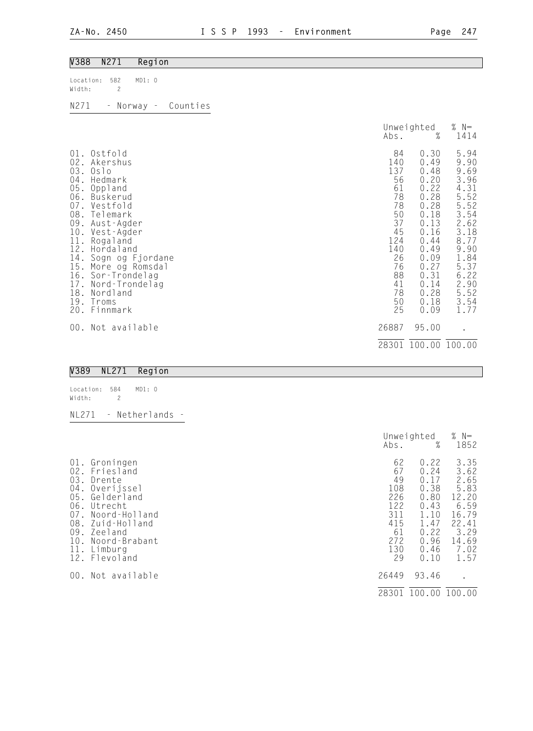| <b>V388</b><br>N271                                                                                                                                                                                                                                                                                                                                                        | Region                 |                                                                                                                    |                                                                                                                                                      |                                                                                                                                                      |
|----------------------------------------------------------------------------------------------------------------------------------------------------------------------------------------------------------------------------------------------------------------------------------------------------------------------------------------------------------------------------|------------------------|--------------------------------------------------------------------------------------------------------------------|------------------------------------------------------------------------------------------------------------------------------------------------------|------------------------------------------------------------------------------------------------------------------------------------------------------|
| 582<br>Location:<br>$\overline{c}$<br>Width:                                                                                                                                                                                                                                                                                                                               | MD1: 0                 |                                                                                                                    |                                                                                                                                                      |                                                                                                                                                      |
| N271                                                                                                                                                                                                                                                                                                                                                                       | - Norway -<br>Counties |                                                                                                                    |                                                                                                                                                      |                                                                                                                                                      |
|                                                                                                                                                                                                                                                                                                                                                                            |                        | Abs.                                                                                                               | Unweighted<br>$\%$                                                                                                                                   | % $N=$<br>1414                                                                                                                                       |
| Ostfold<br>01.<br>02.<br>Akershus<br>03.<br>0s1o<br>$04$ .<br>Hedmark<br>05.<br>Oppland<br>06.<br>Buskerud<br>07.<br>Vestfold<br>08.<br>Telemark<br>09.<br>Aust-Agder<br>10.<br>Vest-Agder<br>$\frac{11}{12}$ .<br>Rogaland<br>Hordaland<br>14.<br>15.<br>More og Romsdal<br>16.<br>Sor-Trondelag<br>17.<br>Nord-Trondelag<br>18.<br>Nordland<br>19. Troms<br>20. Finnmark | Sogn og Fjordane       | 84<br>140<br>137<br>56<br>61<br>78<br>78<br>50<br>37<br>45<br>124<br>140<br>26<br>76<br>88<br>41<br>78<br>50<br>25 | 0.30<br>0.49<br>0.48<br>0.20<br>0.22<br>0.28<br>0.28<br>0.18<br>0.13<br>0.16<br>0.44<br>0.49<br>0.09<br>0.27<br>0.31<br>0.14<br>0.28<br>0.18<br>0.09 | 5.94<br>9.90<br>9.69<br>3.96<br>4.31<br>5.52<br>5.52<br>3.54<br>2.62<br>3.18<br>8.77<br>9.90<br>1.84<br>5.37<br>6.22<br>2.90<br>5.52<br>3.54<br>1.77 |
| 00. Not available                                                                                                                                                                                                                                                                                                                                                          |                        | 26887                                                                                                              | 95.00                                                                                                                                                |                                                                                                                                                      |
|                                                                                                                                                                                                                                                                                                                                                                            |                        |                                                                                                                    | 28301 100.00 100.00                                                                                                                                  |                                                                                                                                                      |
| V389<br><b>NL271</b>                                                                                                                                                                                                                                                                                                                                                       | Region                 |                                                                                                                    |                                                                                                                                                      |                                                                                                                                                      |

#### V389 NL271 Region

Location: 584 MD1: 0<br>Width: 2 Width: 2 NL271 - Netherlands - Unweighted % N=

|                                                                                                                                                                                                                                               | Abs.                                                                        | %                                                                                            | 1852                                                                                             |
|-----------------------------------------------------------------------------------------------------------------------------------------------------------------------------------------------------------------------------------------------|-----------------------------------------------------------------------------|----------------------------------------------------------------------------------------------|--------------------------------------------------------------------------------------------------|
| Groningen<br>$01$ .<br>Friesland<br>02.<br>03.<br>Drente<br>04.<br>Overijssel<br>Gelderland<br>05.<br>06. Utrecht<br>07.<br>Noord-Holland<br>Zuid-Holland<br>08.<br>Zeeland<br>09.<br>Noord-Brabant<br>10.<br>11.<br>Limburg<br>12. Flevoland | 62<br>67<br>49<br>108<br>226<br>122<br>311<br>415<br>61<br>272<br>130<br>29 | 0.22<br>0.24<br>0.17<br>0.38<br>0.80<br>0.43<br>1.10<br>1.47<br>0.22<br>0.96<br>0.46<br>0.10 | 3.35<br>3.62<br>2.65<br>5.83<br>12.20<br>6.59<br>16.79<br>22.41<br>3.29<br>14.69<br>7.02<br>1.57 |
| 00. Not available                                                                                                                                                                                                                             | 26449                                                                       | 93.46                                                                                        | $\cdot$                                                                                          |
|                                                                                                                                                                                                                                               | 28301                                                                       | 100.00                                                                                       | 100.00                                                                                           |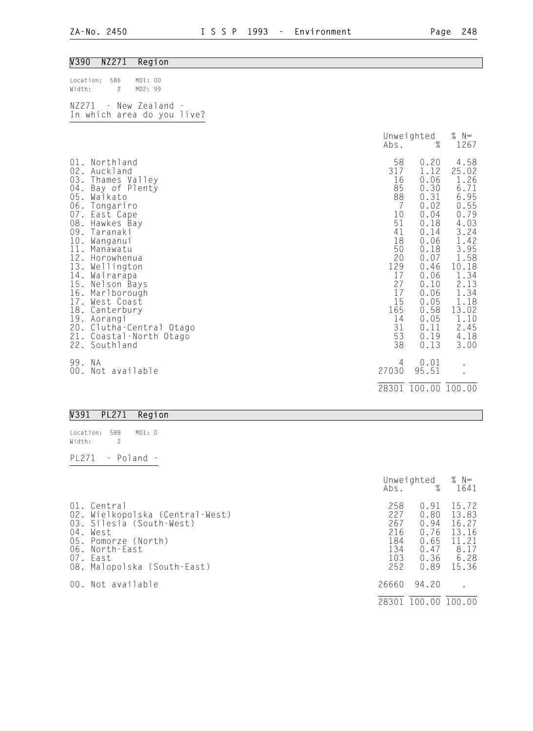# V390 NZ271 Region

| Location: 586<br>Width: 2                           | MD1: 00<br>MD2:99 |  |
|-----------------------------------------------------|-------------------|--|
| NZ271 - New Zealand -<br>In which area do you live? |                   |  |

|                                                                                                                                     |                                                                                                                                                                                                                                                                                                                                          | Abs.                                                                                                                                            | Unweighted<br>$\%$                                                                                                                                                           | $% N=$<br>1267                                                                                                                                                                  |
|-------------------------------------------------------------------------------------------------------------------------------------|------------------------------------------------------------------------------------------------------------------------------------------------------------------------------------------------------------------------------------------------------------------------------------------------------------------------------------------|-------------------------------------------------------------------------------------------------------------------------------------------------|------------------------------------------------------------------------------------------------------------------------------------------------------------------------------|---------------------------------------------------------------------------------------------------------------------------------------------------------------------------------|
| $01$ .<br>02.<br>03.<br>$04$ .<br>05.<br>$07$ .<br>08.<br>09.<br>10.<br>11.<br>12.<br>14.<br>15.<br>16.<br>18.<br>20.<br>21.<br>22. | Northland<br>Auckland<br>Thames Valley<br>Bay of Plenty<br>Waikato<br>06. Tongariro<br>East Cape<br>Hawkes Bay<br>Taranaki<br>Wanganui<br>Manawatu<br>Horowhenua<br>13. Wellington<br>Wairarapa<br>Nelson Bays<br>Marlborough<br>17. West Coast<br>Canterbury<br>19. Aorangi<br>Clutha-Central Otago<br>Coastal-North Otago<br>Southland | 58<br>317<br>16<br>85<br>88<br>$\overline{7}$<br>10<br>51<br>41<br>18<br>50<br>20<br>129<br>17<br>27<br>17<br>15<br>165<br>14<br>31<br>53<br>38 | 0.20<br>1.12<br>0.06<br>0.30<br>0.31<br>0.02<br>0.04<br>0.18<br>0.14<br>0.06<br>0.18<br>0.07<br>0.46<br>0.06<br>0.10<br>0.06<br>0.05<br>0.58<br>0.05<br>0.11<br>0.19<br>0.13 | 4.58<br>25.02<br>1.26<br>6.71<br>6.95<br>0.55<br>0.79<br>4.03<br>3.24<br>1.42<br>3.95<br>1.58<br>10.18<br>1.34<br>2.13<br>1.34<br>1.18<br>13.02<br>1.10<br>2.45<br>4.18<br>3.00 |
| 99. NA<br>00.                                                                                                                       | Not available                                                                                                                                                                                                                                                                                                                            | 4<br>27030                                                                                                                                      | 0.01<br>95.51                                                                                                                                                                |                                                                                                                                                                                 |
|                                                                                                                                     |                                                                                                                                                                                                                                                                                                                                          |                                                                                                                                                 | 28301 100.00 100.00                                                                                                                                                          |                                                                                                                                                                                 |

## V391 PL271 Region

| Location: 588 |   | MD1:0    |  |
|---------------|---|----------|--|
| Width:        | 2 |          |  |
|               |   |          |  |
| PI 271        |   | - Poland |  |

|                                                                                                                                                                            |                                                      | Unweighted<br>Abs. % 1641                                    | % $N=$                                                             |
|----------------------------------------------------------------------------------------------------------------------------------------------------------------------------|------------------------------------------------------|--------------------------------------------------------------|--------------------------------------------------------------------|
| 01. Central<br>02. Wielkopolska (Central-West)<br>03. Silesia (South-West)<br>04. West<br>05. Pomorze (North)<br>06. North-East<br>07. East<br>08. Malopolska (South-East) | 258<br>227<br>267<br>216<br>184<br>134<br>103<br>252 | 0.91<br>0.80<br>0.94<br>0.76<br>0.65<br>0.47<br>0.36<br>0.89 | 15.72<br>13.83<br>16.27<br>13.16<br>11.21<br>8.17<br>6.28<br>15.36 |
| 00. Not available                                                                                                                                                          | 26660                                                | 94.20                                                        |                                                                    |
|                                                                                                                                                                            | 28301                                                | 100.00                                                       | 100.00                                                             |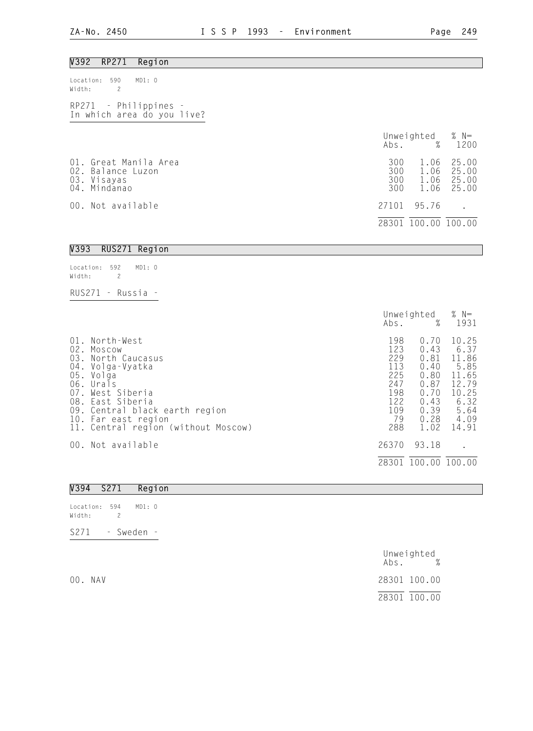Width: 2

RUS271 - Russia -

| V392<br>RP271<br>Region                                                   |                          |                              |                                  |
|---------------------------------------------------------------------------|--------------------------|------------------------------|----------------------------------|
| MD1: 0<br>590<br>Location:<br>Width:<br>$\overline{c}$                    |                          |                              |                                  |
| RP271 - Philippines -<br>In which area do you live?                       |                          |                              |                                  |
|                                                                           | Abs.                     | Unweighted $% N=$<br>%       | 1200                             |
| 01. Great Manila Area<br>02. Balance Luzon<br>03. Visayas<br>04. Mindanao | 300<br>300<br>300<br>300 | 1.06<br>1.06<br>1.06<br>1.06 | 25.00<br>25.00<br>25.00<br>25.00 |
| 00. Not available                                                         | 27101                    | 95.76                        |                                  |
|                                                                           |                          | 28301 100.00 100.00          |                                  |
| V393<br>RUS271 Region                                                     |                          |                              |                                  |
| Location: 592<br>MD1: 0                                                   |                          |                              |                                  |

|                          |                                                                                                                                                                                                                          | Abs.                                                                     | Unweighted<br>%                                                                      | % $N=$<br>1931                                                                             |
|--------------------------|--------------------------------------------------------------------------------------------------------------------------------------------------------------------------------------------------------------------------|--------------------------------------------------------------------------|--------------------------------------------------------------------------------------|--------------------------------------------------------------------------------------------|
| 02.<br>03.<br>04.<br>07. | 01. North-West<br>Moscow<br>North Caucasus<br>Volga-Vyatka<br>05. Volga<br>06. Urals<br>West Siberia<br>08. East Siberia<br>09. Central black earth region<br>10. Far east region<br>11. Central region (without Moscow) | 198<br>123<br>229<br>113<br>225<br>247<br>198<br>122<br>109<br>79<br>288 | 0.70<br>0.43<br>0.81<br>0.40<br>0.80<br>0.87<br>0.70<br>0.43<br>0.39<br>0.28<br>1.02 | 10.25<br>6.37<br>11.86<br>5.85<br>11.65<br>12.79<br>10.25<br>6.32<br>5.64<br>4.09<br>14.91 |
|                          | 00. Not available                                                                                                                                                                                                        | 26370                                                                    | 93.18                                                                                |                                                                                            |
|                          |                                                                                                                                                                                                                          | 28301                                                                    | 100.00 100.00                                                                        |                                                                                            |

| S271                            | Region     |                      |
|---------------------------------|------------|----------------------|
| Location:<br>594<br>2<br>Width: | MD1: 0     |                      |
| S271                            | - Sweden - |                      |
|                                 |            | Unweighted<br>Abs. % |
| 00. NAV                         |            | 28301 100.00         |

28301 100.00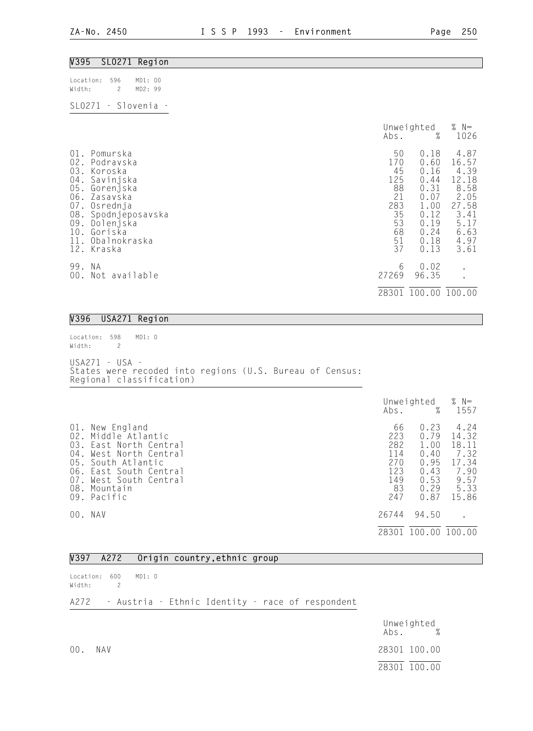| V395 SLO271 Region                                                                                                                                                                                      |                                                                                                                                                                         |                                                                                                 |
|---------------------------------------------------------------------------------------------------------------------------------------------------------------------------------------------------------|-------------------------------------------------------------------------------------------------------------------------------------------------------------------------|-------------------------------------------------------------------------------------------------|
| Location:<br>596<br>MD1: 00<br>Width:<br>MD2: 99<br>$\overline{2}$                                                                                                                                      |                                                                                                                                                                         |                                                                                                 |
| SL0271 - Slovenia -                                                                                                                                                                                     |                                                                                                                                                                         |                                                                                                 |
|                                                                                                                                                                                                         | Unweighted<br>$\%$<br>Abs.                                                                                                                                              | % $N=$<br>1026                                                                                  |
| 01. Pomurska<br>02. Podravska<br>03. Koroska<br>04. Savinjska<br>05. Gorenjska<br>06. Zasavska<br>07. Osrednja<br>08. Spodnjeposavska<br>09. Dolenjska<br>10. Goriska<br>11. Obalnokraska<br>12. Kraska | 0.18<br>50<br>170<br>0.60<br>45<br>0.16<br>125<br>0.44<br>88<br>0.31<br>21<br>0.07<br>283<br>1.00<br>35<br>0.12<br>53<br>0.19<br>68<br>0.24<br>51<br>0.18<br>37<br>0.13 | 4.87<br>16.57<br>4.39<br>12.18<br>8.58<br>2.05<br>27.58<br>3.41<br>5.17<br>6.63<br>4.97<br>3.61 |
| 99. NA<br>00. Not available                                                                                                                                                                             | 0.02<br>6<br>27269<br>96.35                                                                                                                                             |                                                                                                 |
|                                                                                                                                                                                                         | 28301 100.00 100.00                                                                                                                                                     |                                                                                                 |

#### V396 USA271 Region

Location: 598 MD1: 0 Width: 2 USA271 - USA - States were recoded into regions (U.S. Bureau of Census: Regional classification)

|                                               |                                                                                                                                                                         | Abs.                                                      | Unweighted<br>%                                                      | % $N=$<br>1557                                                           |
|-----------------------------------------------|-------------------------------------------------------------------------------------------------------------------------------------------------------------------------|-----------------------------------------------------------|----------------------------------------------------------------------|--------------------------------------------------------------------------|
| 02.<br>03.<br>04.<br>05.<br>06.<br>07.<br>08. | 01. New England<br>Middle Atlantic<br>East North Central<br>West North Central<br>South Atlantic<br>East South Central<br>West South Central<br>Mountain<br>09. Pacific | 66<br>223<br>282<br>114<br>270<br>123<br>149<br>83<br>247 | 0.23<br>0.79<br>1.00<br>0.40<br>0.95<br>0.43<br>0.53<br>0.29<br>0.87 | 4.24<br>14.32<br>18.11<br>7.32<br>17.34<br>7.90<br>9.57<br>5.33<br>15.86 |
|                                               | 00. NAV                                                                                                                                                                 | 26744                                                     | 94.50                                                                |                                                                          |
|                                               |                                                                                                                                                                         | 28301                                                     | 100.00                                                               | 100.00                                                                   |

### V397 A272 Origin country,ethnic group

Location: 600 MD1: 0 Width: 2

## A272 - Austria - Ethnic Identity - race of respondent

|     |     | Unweighted<br>Abs. % |
|-----|-----|----------------------|
| 00. | NAV | 28301 100.00         |
|     |     | 28301 100.00         |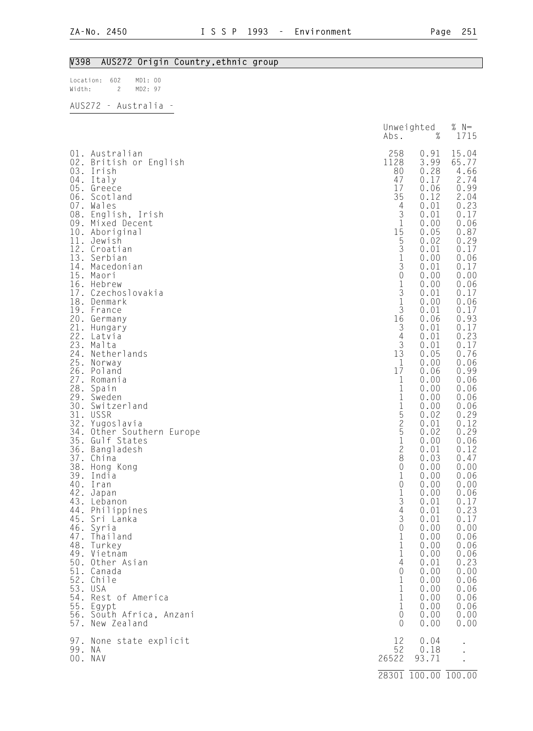# V398 AUS272 Origin Country,ethnic group

| Location: 602 | MD1: 00 |  |
|---------------|---------|--|
| Width:        | MD2: 97 |  |
| .             |         |  |

| AUS272 | Australia |
|--------|-----------|
|--------|-----------|

|                                                                                                                                          |                                                                                                                                                                                                                                                                                                                                                                                                                                                                                                                                                                                                                                                                                                                                                                                                                                                                             | Abs.                                                                                                                                                                                                                                                                                                  | Unweighted<br>$\%$                                                                                                                                                                                                                                                                                                                                                                                                                                           | % $N=$<br>1715                                                                                                                                                                                                                                                                                                                                                                                                                                         |
|------------------------------------------------------------------------------------------------------------------------------------------|-----------------------------------------------------------------------------------------------------------------------------------------------------------------------------------------------------------------------------------------------------------------------------------------------------------------------------------------------------------------------------------------------------------------------------------------------------------------------------------------------------------------------------------------------------------------------------------------------------------------------------------------------------------------------------------------------------------------------------------------------------------------------------------------------------------------------------------------------------------------------------|-------------------------------------------------------------------------------------------------------------------------------------------------------------------------------------------------------------------------------------------------------------------------------------------------------|--------------------------------------------------------------------------------------------------------------------------------------------------------------------------------------------------------------------------------------------------------------------------------------------------------------------------------------------------------------------------------------------------------------------------------------------------------------|--------------------------------------------------------------------------------------------------------------------------------------------------------------------------------------------------------------------------------------------------------------------------------------------------------------------------------------------------------------------------------------------------------------------------------------------------------|
| 11.<br>14.<br>15.<br>17.<br>21.<br>24.<br>25.<br>26.<br>27.<br>29.<br>30.<br>31.<br>32.<br>34.<br>36.<br>44.<br>47.<br>$\frac{52}{10}$ . | 01. Australian<br>02. British or English<br>03. Irish<br>04. Italy<br>05. Greece<br>06. Scotland<br>07. Wales<br>08. English, Irish<br>09. Mixed Decent<br>10. Aboriginal<br>Jewish<br>12. Croatian<br>13. Serbian<br>Macedonian<br>Maori<br>16. Hebrew<br>Czechoslovakia<br>18. Denmark<br>19. France<br>20. Germany<br>Hungary<br>22. Latvia<br>23. Malta<br>Netherlands<br>Norway<br>Poland<br>Romania<br>28. Spain<br>Sweden<br>Switzerland<br>USSR<br>Yugoslavia<br>Other Southern Europe<br>35. Gulf States<br>Bangladesh<br>37. China<br>38. Hong Kong<br>39. India<br>40. Iran<br>42. Japan<br>43. Lebanon<br>Philippines<br>45. Sri Lanka<br>46. Syria<br>Thailand<br>48. Turkey<br>49. Vietnam<br>50. Other Asian<br>51. Canada<br>Chile<br>53. USA<br>54. Rest of America<br>55. Egypt<br>56. South Africa, Anzani<br>57. New Zealand<br>97. None state explicit | 258<br>1128<br>80<br>47<br>17<br>35<br>4<br>$\frac{3}{1}$<br>15<br>53130131<br>$\frac{3}{16}$<br>$\frac{3}{4}$<br>$\frac{3}{13}$<br>1<br>17<br>1<br>1<br>$11525$<br>$25128$<br>0<br>1<br>$\mathbf 0$<br>$1\,$<br>3<br>4<br>3<br>0<br>1<br>1<br>1<br>4<br>0<br>1<br>1<br>1<br>1<br>0<br>$\Omega$<br>12 | 0.91<br>3.99<br>0.28<br>0.17<br>0.06<br>0.12<br>0.01<br>0.01<br>0.00<br>0.05<br>0.02<br>0.01<br>0.00<br>0.01<br>0.00<br>0.00<br>0.01<br>0.00<br>0.01<br>0.06<br>0.01<br>0.01<br>0.01<br>0.05<br>0.00<br>0.06<br>0.00<br>0.00<br>0.00<br>0.00<br>0.02<br>0.01<br>0.02<br>0.00<br>0.01<br>0.03<br>0.00<br>0.00<br>0.00<br>0.00<br>0.01<br>0.01<br>0.01<br>0.00<br>0.00<br>0.00<br>0.00<br>0.01<br>0.00<br>0.00<br>0.00<br>0.00<br>0.00<br>0.00<br>0.00<br>0.04 | 15.04<br>65.77<br>4.66<br>2.74<br>0.99<br>2.04<br>0.23<br>0.17<br>0.06<br>0.87<br>0.29<br>0.17<br>0.06<br>0.17<br>0.00<br>0.06<br>0.17<br>0.06<br>0.17<br>0.93<br>0.17<br>0.23<br>0.17<br>0.76<br>0.06<br>0.99<br>0.06<br>0.06<br>0.06<br>0.06<br>0.29<br>0.12<br>0.29<br>0.06<br>0.12<br>0.47<br>0.00<br>0.06<br>0.00<br>0.06<br>0.17<br>0.23<br>0.17<br>0.00<br>0.06<br>0.06<br>0.06<br>0.23<br>0.00<br>0.06<br>0.06<br>0.06<br>0.06<br>0.00<br>0.00 |
| 99. NA                                                                                                                                   | 00. NAV                                                                                                                                                                                                                                                                                                                                                                                                                                                                                                                                                                                                                                                                                                                                                                                                                                                                     | 52<br>26522                                                                                                                                                                                                                                                                                           | 0.18<br>93.71                                                                                                                                                                                                                                                                                                                                                                                                                                                |                                                                                                                                                                                                                                                                                                                                                                                                                                                        |
|                                                                                                                                          |                                                                                                                                                                                                                                                                                                                                                                                                                                                                                                                                                                                                                                                                                                                                                                                                                                                                             |                                                                                                                                                                                                                                                                                                       | 28301 100.00 100.00                                                                                                                                                                                                                                                                                                                                                                                                                                          |                                                                                                                                                                                                                                                                                                                                                                                                                                                        |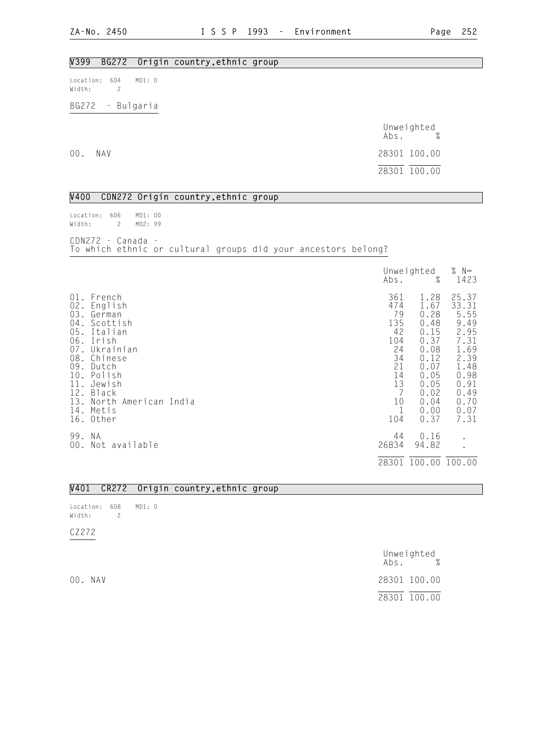## V399 BG272 Origin country,ethnic group

Location: 604 MD1: 0 Width: 2

BG272 - Bulgaria

|     |     | Unweighted<br>$\mathsf{Abs}.$ % |
|-----|-----|---------------------------------|
| 00. | NAV | 28301 100.00                    |
|     |     | 28301 100.00                    |

V400 CDN272 Origin country,ethnic group

Location: 606 MD1: 00 Width: 2 MD2: 99 CDN272 - Canada -

To which ethnic or cultural groups did your ancestors belong?

|                                        |                                                                                                                                                                                                         | Abs.                                                                                 | Unweighted<br>%                                                                                                      | % $N=$<br>1423                                                                                                         |
|----------------------------------------|---------------------------------------------------------------------------------------------------------------------------------------------------------------------------------------------------------|--------------------------------------------------------------------------------------|----------------------------------------------------------------------------------------------------------------------|------------------------------------------------------------------------------------------------------------------------|
| 01.<br>04.<br>09.<br>11.<br>12.<br>13. | French<br>02. English<br>03. German<br>Scottish<br>05. Italian<br>06. Irish<br>07. Ukrainian<br>08. Chinese<br>Dutch<br>10. Polish<br>Jewish<br>Black<br>North American India<br>14. Metis<br>16. Other | 361<br>474<br>79<br>135<br>42<br>104<br>24<br>34<br>21<br>14<br>13<br>10<br>1<br>104 | 1.28<br>1.67<br>0.28<br>0.48<br>0.15<br>0.37<br>0.08<br>0.12<br>0.07<br>0.05<br>0.05<br>0.02<br>0.04<br>0.00<br>0.37 | 25.37<br>33.31<br>5.55<br>9.49<br>2.95<br>7.31<br>1.69<br>2.39<br>1.48<br>0.98<br>0.91<br>0.49<br>0.70<br>0.07<br>7.31 |
| 99. NA                                 | 00. Not available                                                                                                                                                                                       | 44<br>26834                                                                          | 0.16<br>94.82                                                                                                        | $\bullet$                                                                                                              |
|                                        |                                                                                                                                                                                                         |                                                                                      | 28301 100.00 100.00                                                                                                  |                                                                                                                        |

|  |  |  |  | V401 CR272 Origin country, ethnic group |  |
|--|--|--|--|-----------------------------------------|--|
|--|--|--|--|-----------------------------------------|--|

Location: 608 MD1: 0 Width: 2

CZ272

|         | Unweighted<br>$\%$<br>Abs. |
|---------|----------------------------|
| 00. NAV | 28301 100.00               |
|         | 28301 100.00               |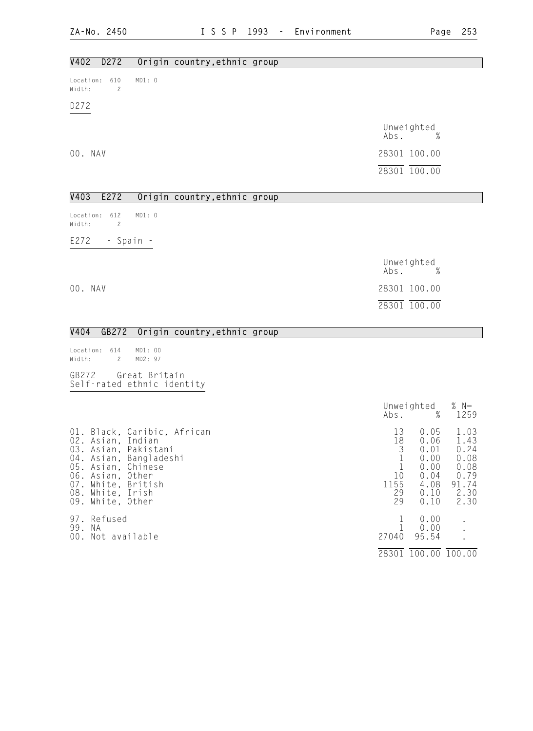28301 100.00 100.00

| D272<br>V402<br>Origin country, ethnic group                                                                                                                                                               |                                                                                                                               |                                                                   |
|------------------------------------------------------------------------------------------------------------------------------------------------------------------------------------------------------------|-------------------------------------------------------------------------------------------------------------------------------|-------------------------------------------------------------------|
| MD1: 0<br>Location: 610<br>Width:<br>$\overline{c}$                                                                                                                                                        |                                                                                                                               |                                                                   |
| D272                                                                                                                                                                                                       |                                                                                                                               |                                                                   |
|                                                                                                                                                                                                            | Unweighted<br>Abs.                                                                                                            |                                                                   |
| 00. NAV                                                                                                                                                                                                    | 28301 100.00                                                                                                                  |                                                                   |
|                                                                                                                                                                                                            | $\overline{28301}$ $\overline{100.00}$                                                                                        |                                                                   |
| V403<br>E272<br>Origin country, ethnic group                                                                                                                                                               |                                                                                                                               |                                                                   |
| MD1: 0<br>Location: 612<br>Width:<br>2                                                                                                                                                                     |                                                                                                                               |                                                                   |
| $E272 - Spain -$                                                                                                                                                                                           |                                                                                                                               |                                                                   |
|                                                                                                                                                                                                            | Unweighted<br>Abs.<br>$\%$                                                                                                    |                                                                   |
| 00. NAV                                                                                                                                                                                                    | 28301 100.00                                                                                                                  |                                                                   |
|                                                                                                                                                                                                            | 28301 100.00                                                                                                                  |                                                                   |
| V404<br>GB272 Origin country, ethnic group                                                                                                                                                                 |                                                                                                                               |                                                                   |
| Location: 614<br>MD1: 00<br>MD2: 97<br>Width:<br>$\mathbf{2}$                                                                                                                                              |                                                                                                                               |                                                                   |
| GB272 - Great Britain -<br>Self-rated ethnic identity                                                                                                                                                      |                                                                                                                               |                                                                   |
|                                                                                                                                                                                                            | Unweighted<br>$\mathsf{Abs}.$ %                                                                                               | % $N=$<br>1259                                                    |
| 01. Black, Caribic, African<br>02. Asian, Indian<br>03. Asian, Pakistani<br>04. Asian, Bangladeshi<br>05. Asian, Chinese<br>06. Asian, Other<br>07. White, British<br>08. White, Irish<br>09. White, Other | 0.05<br>13<br>18  0.06  1.43<br>3<br>0.01<br>1<br>0.00<br>0.00<br>1<br>10<br>0.04<br>1155<br>4.08<br>0.10<br>29<br>29<br>0.10 | 1.03<br>0.24<br>0.08<br>0.08<br>0.79<br>$91.74$<br>$2.30$<br>2.30 |

97. Refused the contract of the contract of the contract of the contract of the contract of the contract of the contract of the contract of the contract of the contract of the contract of the contract of the contract of th 99. NA 1 0.00 . 00. Not available 27040 95.54 .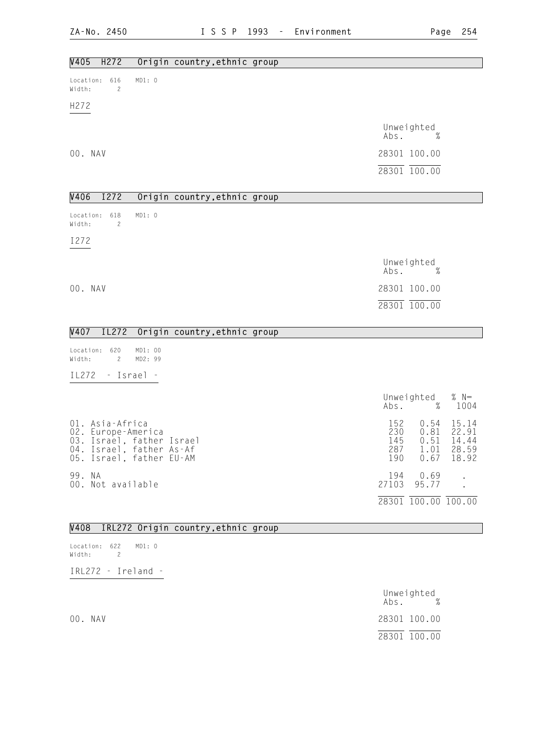| V405<br>H272<br>Origin country, ethnic group                                                                               |                                 |                                      |                                           |
|----------------------------------------------------------------------------------------------------------------------------|---------------------------------|--------------------------------------|-------------------------------------------|
| MD1: 0<br>616<br>Location:<br>Width:<br>$\overline{c}$                                                                     |                                 |                                      |                                           |
| H272                                                                                                                       |                                 |                                      |                                           |
|                                                                                                                            | Abs.                            | Unweighted<br>%                      |                                           |
| 00. NAV                                                                                                                    |                                 | 28301 100.00                         |                                           |
|                                                                                                                            |                                 | 28301 100.00                         |                                           |
| V406<br>I272<br>Origin country, ethnic group                                                                               |                                 |                                      |                                           |
| MD1: 0<br>Location: 618<br>Width:<br>$\overline{c}$                                                                        |                                 |                                      |                                           |
| I272                                                                                                                       |                                 |                                      |                                           |
|                                                                                                                            | Abs.                            | Unweighted<br>%                      |                                           |
| 00. NAV                                                                                                                    |                                 | 28301 100.00                         |                                           |
|                                                                                                                            |                                 | 28301 100.00                         |                                           |
| IL272<br>V407<br>Origin country, ethnic group                                                                              |                                 |                                      |                                           |
| Location: 620<br>MD1: 00<br>$\mathbf{2}$<br>MD2: 99<br>Width:                                                              |                                 |                                      |                                           |
| IL272<br>- Israel -                                                                                                        |                                 |                                      |                                           |
|                                                                                                                            | Abs.                            | Unweighted<br>$\%$                   | $% N=$<br>1004                            |
| 01. Asia-Africa<br>02. Europe-America<br>03. Israel, father Israel<br>04. Israel, father As-Af<br>05. Israel, father EU-AM | 152<br>230<br>145<br>287<br>190 | 0.54<br>0.81<br>0.51<br>1.01<br>0.67 | 15.14<br>22.91<br>14.44<br>28.59<br>18.92 |
| 99. NA<br>00. Not available                                                                                                | 194<br>27103                    | 0.69<br>95.77                        |                                           |
|                                                                                                                            |                                 | 28301 100.00 100.00                  |                                           |
| V408<br>IRL272 Origin country, ethnic group                                                                                |                                 |                                      |                                           |

| Location: 622 | MD1:0 |  |
|---------------|-------|--|
| Width:        |       |  |

IRL272 - Ireland -

|         | Unweighted<br>$\%$<br>Abs. |
|---------|----------------------------|
| 00. NAV | 28301 100.00               |
|         | 28301 100.00               |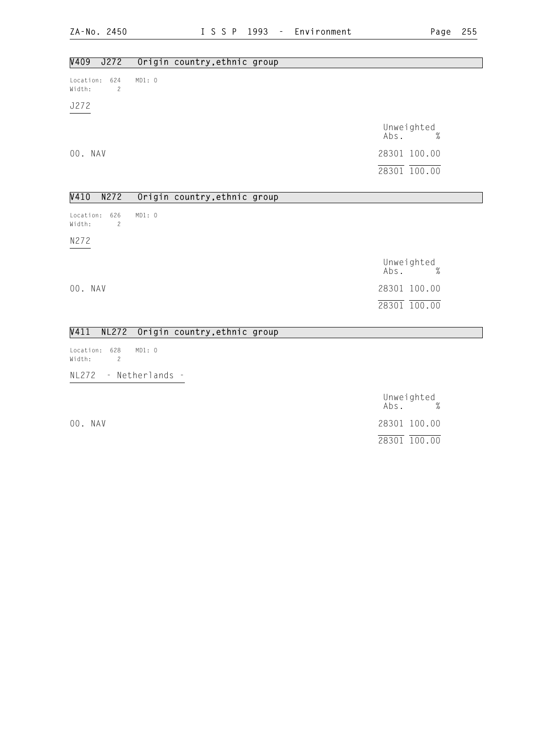| V409<br>J272                                 | Origin country, ethnic group |                            |  |
|----------------------------------------------|------------------------------|----------------------------|--|
| 624<br>Location:<br>Width:<br>$\overline{c}$ | MD1: 0                       |                            |  |
| J272                                         |                              |                            |  |
|                                              |                              | Unweighted<br>Abs.<br>$\%$ |  |
| 00. NAV                                      |                              | 28301 100.00               |  |
|                                              |                              | 28301 100.00               |  |
| V410<br>N272                                 | Origin country, ethnic group |                            |  |
| 626<br>Location:<br>Width:<br>$\overline{c}$ | MD1: 0                       |                            |  |
| N272                                         |                              |                            |  |
|                                              |                              | Unweighted<br>Abs.<br>$\%$ |  |
| 00. NAV                                      |                              | 28301 100.00               |  |
|                                              |                              | 28301 100.00               |  |
| V411<br><b>NL272</b>                         | Origin country, ethnic group |                            |  |
| 628<br>Location:<br>Width:<br>$\mathbf{2}$   | MD1: 0                       |                            |  |

NL272 - Netherlands -

# Unweighted Abs. % 00. NAV 28301 100.00 28301 100.00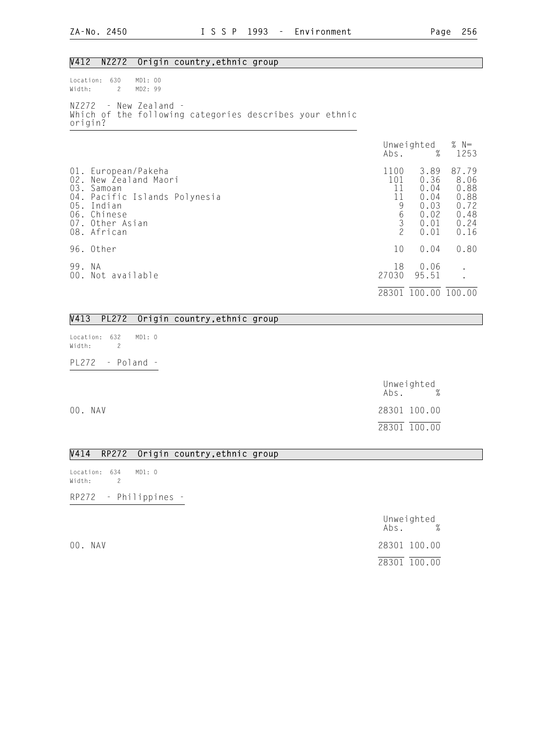## V412 NZ272 Origin country,ethnic group

Location: 630 MD1: 00 Width: 2 MD2: 99 NZ272 - New Zealand - Which of the following categories describes your ethnic origin?

|                   |                                                                                                                                                | Abs.                                                                                    | Unweighted<br>%                                              | % $N=$<br>1253                                                |
|-------------------|------------------------------------------------------------------------------------------------------------------------------------------------|-----------------------------------------------------------------------------------------|--------------------------------------------------------------|---------------------------------------------------------------|
| 01.<br>02.<br>03. | European/Pakeha<br>New Zealand Maori<br>Samoan<br>04. Pacific Islands Polynesia<br>05. Indian<br>06. Chinese<br>07. Other Asian<br>08. African | 1100<br>101<br>11<br>11<br>9<br>$\begin{array}{c} 6 \\ 3 \end{array}$<br>$\overline{c}$ | 3.89<br>0.36<br>0.04<br>0.04<br>0.03<br>0.02<br>0.01<br>0.01 | 87.79<br>8.06<br>0.88<br>0.88<br>0.72<br>0.48<br>0.24<br>0.16 |
|                   | 96. Other                                                                                                                                      | 10                                                                                      | 0.04                                                         | 0.80                                                          |
| 99.               | N A<br>00. Not available                                                                                                                       | 18<br>27030                                                                             | 0.06<br>95.51                                                | $\bullet$                                                     |
|                   |                                                                                                                                                | 28301                                                                                   | 100.00 100.00                                                |                                                               |

### V413 PL272 Origin country,ethnic group

Location: 632 MD1: 0 Width: 2 PL272 - Poland -

Unweighted<br>Abs. % Abs. % 00. NAV 28301 100.00 28301 100.00

#### V414 RP272 Origin country,ethnic group

Location: 634 MD1: 0 Width: 2 RP272 - Philippines -

|         | Abs.         | Unweighted | $\%$ |
|---------|--------------|------------|------|
| 00. NAV | 28301 100.00 |            |      |
|         | 28301 100.00 |            |      |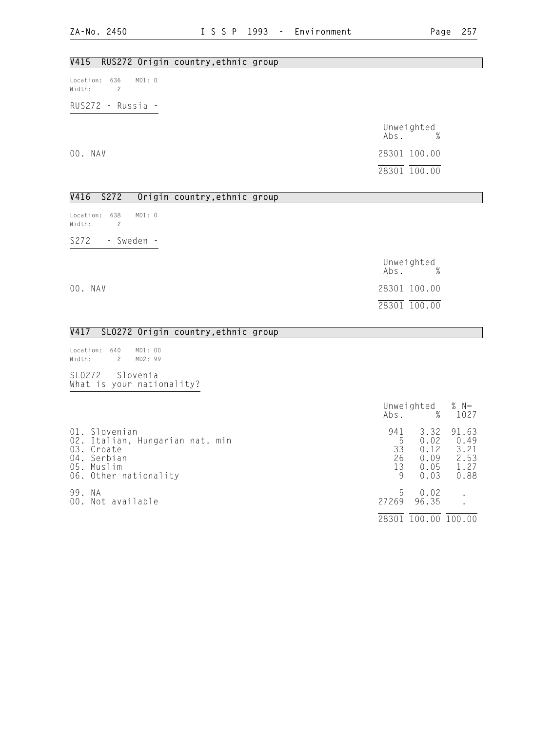## V415 RUS272 Origin country,ethnic group

Location: 636 MD1: 0 Width: 2

RUS272 - Russia -

|         | Unweighted<br>$\%$<br>Abs. |
|---------|----------------------------|
| 00. NAV | 28301 100.00               |
|         | 28301 100.00               |

## V416 S272 Origin country,ethnic group

Location: 638 MD1: 0 Width: 2 S272 - Sweden -

|         | Unweighted<br>$\%$<br>Abs. |
|---------|----------------------------|
| 00. NAV | 28301 100.00               |
|         | 28301 100.00               |

### V417 SLO272 Origin country,ethnic group

Location: 640 MD1: 00<br>Width: 2 MD2: 99 2 MD2: 99

SLO272 - Slovenia - What is your nationality?

|                                                                                                                      | Abs.                            | Unweighted<br>%                              | % $N=$<br>1027                                |
|----------------------------------------------------------------------------------------------------------------------|---------------------------------|----------------------------------------------|-----------------------------------------------|
| 01. Slovenian<br>02. Italian, Hungarian nat. min<br>03. Croate<br>04. Serbian<br>05. Muslim<br>06. Other nationality | 941<br>5<br>33<br>26<br>13<br>9 | 3.32<br>0.02<br>0.12<br>0.09<br>0.05<br>0.03 | 91.63<br>0.49<br>3.21<br>2.53<br>1.27<br>0.88 |
| 99. NA<br>00. Not available                                                                                          | 5<br>27269<br>28301             | 0.02<br>96.35<br>100.00                      | 100.00                                        |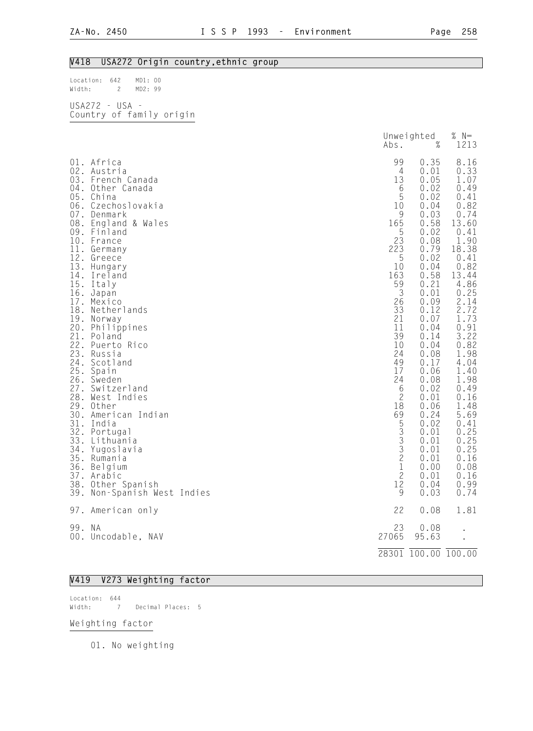### V418 USA272 Origin country,ethnic group

Location: 642 MD1: 00 Width: 2 MD2: 99

USA272 - USA - Country of family origin

|                                                                                                                                   |                                                                                                                                                                                                                                                                                                                                                                                                                                                                                                                                                                                                              | Abs.                                                                                                                                                                                                                                                          | Unweighted<br>$\%$                                                                                                                                                                                                                                                                                                           | $% N=$<br>1213                                                                                                                                                                                                                                                                                                                  |
|-----------------------------------------------------------------------------------------------------------------------------------|--------------------------------------------------------------------------------------------------------------------------------------------------------------------------------------------------------------------------------------------------------------------------------------------------------------------------------------------------------------------------------------------------------------------------------------------------------------------------------------------------------------------------------------------------------------------------------------------------------------|---------------------------------------------------------------------------------------------------------------------------------------------------------------------------------------------------------------------------------------------------------------|------------------------------------------------------------------------------------------------------------------------------------------------------------------------------------------------------------------------------------------------------------------------------------------------------------------------------|---------------------------------------------------------------------------------------------------------------------------------------------------------------------------------------------------------------------------------------------------------------------------------------------------------------------------------|
| 14.<br>15.<br>16.<br>18.<br>19.<br>20.<br>21.<br>22.<br>23.<br>24.<br>25.<br>27.<br>31.<br>33.<br>34.<br>35.<br>37.<br>38.<br>39. | 01. Africa<br>02. Austria<br>03. French Canada<br>04. Other Canada<br>05. China<br>06. Czechoslovakia<br>07. Denmark<br>08. England & Wales<br>09. Finland<br>10. France<br>11. Germany<br>12. Greece<br>13. Hungary<br>Ireland<br>Italy<br>Japan<br>17. Mexico<br>Netherlands<br>Norway<br>Philippines<br>Poland<br>Puerto Rico<br>Russia<br>Scotland<br>Spain<br>26. Sweden<br>Switzerland<br>28. West Indies<br>29. Other<br>30. American Indian<br>India<br>32. Portugal<br>Lithuania<br>Yugoslavia<br>Rumania<br>36. Belgium<br>Arabic<br>Other Spanish<br>Non-Spanish West Indies<br>97. American only | 99<br>$\overline{4}$<br>13<br>6<br>5<br>10<br>9<br>165<br>5<br>23<br>223<br>5<br>10<br>163<br>59<br>3<br>26<br>33<br>21<br>11<br>39<br>10<br>24<br>49<br>17<br>24<br>6<br>$\mathbf{2}$<br>18<br>69<br>53332<br>$\mathbf 1$<br>$\overline{c}$<br>12<br>9<br>22 | 0.35<br>0.01<br>0.05<br>0.02<br>0.02<br>0.04<br>0.03<br>0.58<br>0.02<br>0.08<br>0.79<br>0.02<br>0.04<br>0.58<br>0.21<br>0.01<br>0.09<br>0.12<br>0.07<br>0.04<br>0.14<br>0.04<br>0.08<br>0.17<br>0.06<br>0.08<br>0.02<br>0.01<br>0.06<br>0.24<br>0.02<br>0.01<br>0.01<br>0.01<br>0.01<br>0.00<br>0.01<br>0.04<br>0.03<br>0.08 | 8.16<br>0.33<br>1.07<br>0.49<br>0.41<br>0.82<br>0.74<br>13.60<br>0.41<br>1.90<br>18.38<br>0.41<br>0.82<br>13.44<br>4.86<br>0.25<br>2.14<br>2.72<br>1.73<br>0.91<br>3.22<br>0.82<br>1.98<br>4.04<br>1.40<br>1.98<br>0.49<br>0.16<br>1.48<br>5.69<br>0.41<br>0.25<br>0.25<br>0.25<br>0.16<br>0.08<br>0.16<br>0.99<br>0.74<br>1.81 |
| 99. NA                                                                                                                            |                                                                                                                                                                                                                                                                                                                                                                                                                                                                                                                                                                                                              | 23                                                                                                                                                                                                                                                            | 0.08                                                                                                                                                                                                                                                                                                                         |                                                                                                                                                                                                                                                                                                                                 |
|                                                                                                                                   | 00. Uncodable, NAV                                                                                                                                                                                                                                                                                                                                                                                                                                                                                                                                                                                           | 27065                                                                                                                                                                                                                                                         | 95.63                                                                                                                                                                                                                                                                                                                        |                                                                                                                                                                                                                                                                                                                                 |
|                                                                                                                                   |                                                                                                                                                                                                                                                                                                                                                                                                                                                                                                                                                                                                              |                                                                                                                                                                                                                                                               | 28301 100.00 100.00                                                                                                                                                                                                                                                                                                          |                                                                                                                                                                                                                                                                                                                                 |

#### V419 V273 Weighting factor

Location: 644 Width: 7 Decimal Places: 5

#### Weighting factor

01. No weighting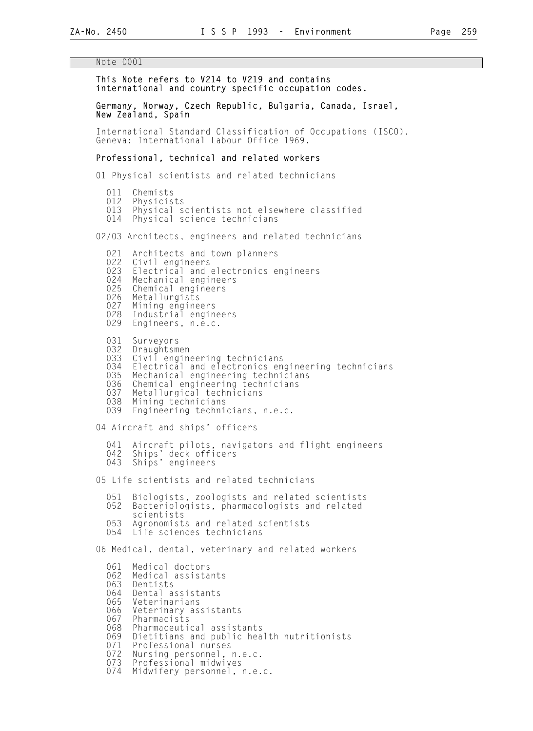#### Note 0001

#### This Note refers to V214 to V219 and contains international and country specific occupation codes.

#### Germany, Norway, Czech Republic, Bulgaria, Canada, Israel, New Zealand, Spain

 International Standard Classification of Occupations (ISCO). Geneva: International Labour Office 1969.

#### Professional, technical and related workers

01 Physical scientists and related technicians

011 Chemists<br>012 Physicis 012 Physicists<br>013 Physical s 013 Physical scientists not elsewhere classified<br>014 Physical science technicians Physical science technicians 02/03 Architects, engineers and related technicians 021 Architects and town planners<br>022 Civil engineers 022 Civil engineers<br>023 Electrical and 023 Electrical and electronics engineers<br>024 Mechanical engineers 024 Mechanical engineers<br>025 Chemical engineers 025 Chemical engineers<br>026 Metallurgists 026 Metallurgists<br>027 Mining engine 027 Mining engineers<br>028 Industrial engin 028 Industrial engineers<br>029 Engineers, n.e.c. Engineers, n.e.c. 031 Surveyors<br>032 Draughtsm 032 Draughtsmen<br>033 Civil engine 033 Civil engineering technicians<br>034 Electrical and electronics eng 034 Electrical and electronics engineering technicians<br>035 Mechanical engineering technicians 035 Mechanical engineering technicians<br>036 Chemical engineering technicians 036 Chemical engineering technicians<br>037 Metallurgical technicians 037 Metallurgical technicians<br>038 Mining technicians 038 Mining technicians<br>039 Engineering techni Engineering technicians, n.e.c. 04 Aircraft and ships' officers 041 Aircraft pilots, navigators and flight engineers 042 Ships' deck officers 043 Ships' engineers 05 Life scientists and related technicians 051 Biologists, zoologists and related scientists<br>052 Bacteriologists, pharmacologists and related Bacteriologists, pharmacologists and related scientists<br>053 Agronomist 053 Agronomists and related scientists<br>054 Life sciences technicians Life sciences technicians 06 Medical, dental, veterinary and related workers 061 Medical doctors<br>062 Medical assista

062 Medical assistants<br>063 Dentists 063 Dentists<br>064 Dental a 064 Dental assistants<br>065 Veterinarians Veterinarians 066 Veterinary assistants<br>067 Pharmacists 067 Pharmacists<br>068 Pharmaceuti 068 Pharmaceutical assistants 069 Dietitians and public health nutritionists 071 Professional nurses<br>072 Nursing personnel, 072 Nursing personnel, n.e.c.<br>073 Professional midwives

073 Professional midwives<br>074 Midwifery personnel. Midwifery personnel, n.e.c.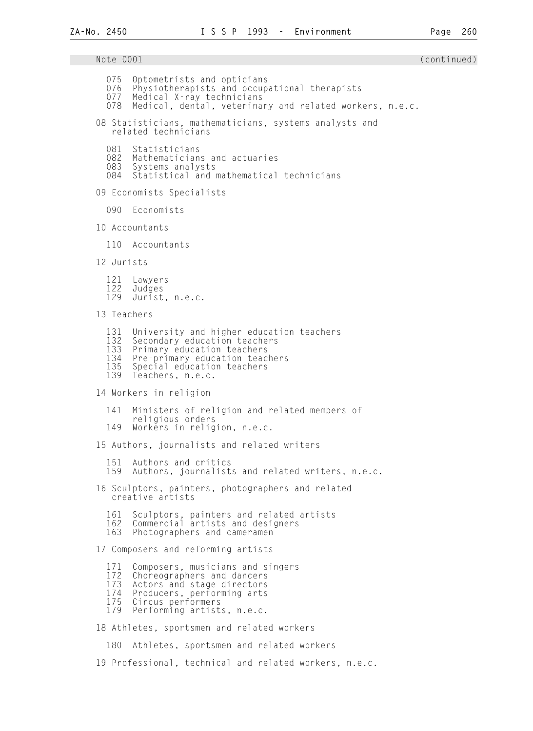Note 0001 (continued) and the continued) and the continued of the continued of the continued of the continued o 075 Optometrists and opticians<br>076 Physiotherapists and occup 076 Physiotherapists and occupational therapists<br>077 Medical X-ray technicians Medical X-ray technicians 078 Medical, dental, veterinary and related workers, n.e.c. 08 Statisticians, mathematicians, systems analysts and related technicians 081 Statisticians 082 Mathematicians and actuaries 083 Systems analysts<br>084 Statistical and Statistical and mathematical technicians 09 Economists Specialists 090 Economists 10 Accountants 110 Accountants 12 Jurists 121 Lawyers 122 Judges Jurist, n.e.c. 13 Teachers 131 University and higher education teachers<br>132 Secondary education teachers 132 Secondary education teachers<br>133 Primary education teachers 133 Primary education teachers<br>134 Pre-primary education teac 134 Pre-primary education teachers<br>135 Special education teachers 135 Special education teachers<br>139 Teachers. n.e.c. Teachers, n.e.c. 14 Workers in religion 141 Ministers of religion and related members of religious orders<br>149 Workers in relig Workers in religion, n.e.c. 15 Authors, journalists and related writers 151 Authors and critics<br>159 Authors, journalist Authors, journalists and related writers, n.e.c. 16 Sculptors, painters, photographers and related creative artists 161 Sculptors, painters and related artists<br>162 Commercial artists and designers 162 Commercial artists and designers<br>163 Photographers and cameramen Photographers and cameramen 17 Composers and reforming artists 171 Composers, musicians and singers<br>172 Choreographers and dancers<br>173 Actors and stage directors Choreographers and dancers 173 Actors and stage directors 174 Producers, performing arts 175 Circus performers<br>179 Performing artist Performing artists, n.e.c. 18 Athletes, sportsmen and related workers 180 Athletes, sportsmen and related workers 19 Professional, technical and related workers, n.e.c.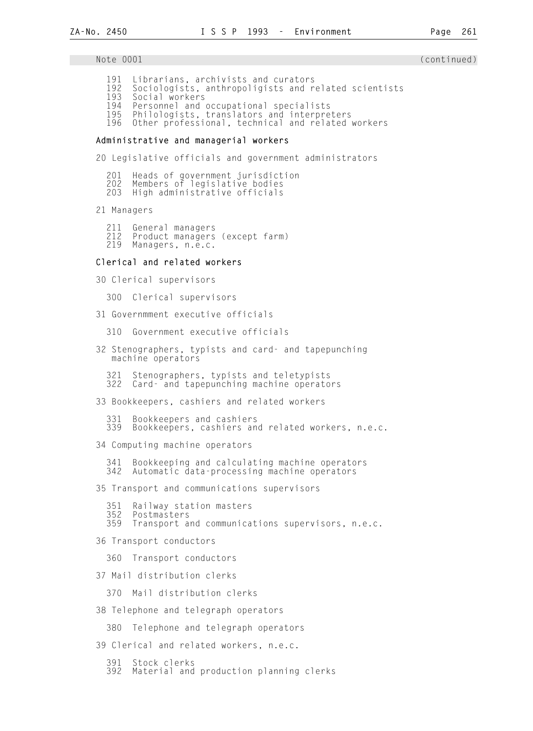Note 0001 (continued) and the continued) and the continued of the continued of the continued of the continued o

- 191 Librarians, archivists and curators
- 192 Sociologists, anthropoligists and related scientists<br>193 Social workers
- 193 Social workers<br>194 Personnel and
- 194 Personnel and occupational specialists
- Philologists, translators and interpreters
- 196 Other professional, technical and related workers

### Administrative and managerial workers

20 Legislative officials and government administrators

201 Heads of government jurisdiction

202 Members of legislative bodies

203 High administrative officials

21 Managers

211 General managers

 212 Product managers (except farm) Managers, n.e.c.

#### Clerical and related workers

30 Clerical supervisors

300 Clerical supervisors

31 Governmment executive officials

310 Government executive officials

- 32 Stenographers, typists and card- and tapepunching machine operators
	- 321 Stenographers, typists and teletypists Card- and tapepunching machine operators

33 Bookkeepers, cashiers and related workers

 331 Bookkeepers and cashiers Bookkeepers, cashiers and related workers, n.e.c.

34 Computing machine operators

 341 Bookkeeping and calculating machine operators Automatic data-processing machine operators

35 Transport and communications supervisors

- 351 Railway station masters
- 352 Postmasters
- Transport and communications supervisors, n.e.c.

36 Transport conductors

360 Transport conductors

37 Mail distribution clerks

370 Mail distribution clerks

38 Telephone and telegraph operators

380 Telephone and telegraph operators

39 Clerical and related workers, n.e.c.

- 391 Stock clerks
- Material and production planning clerks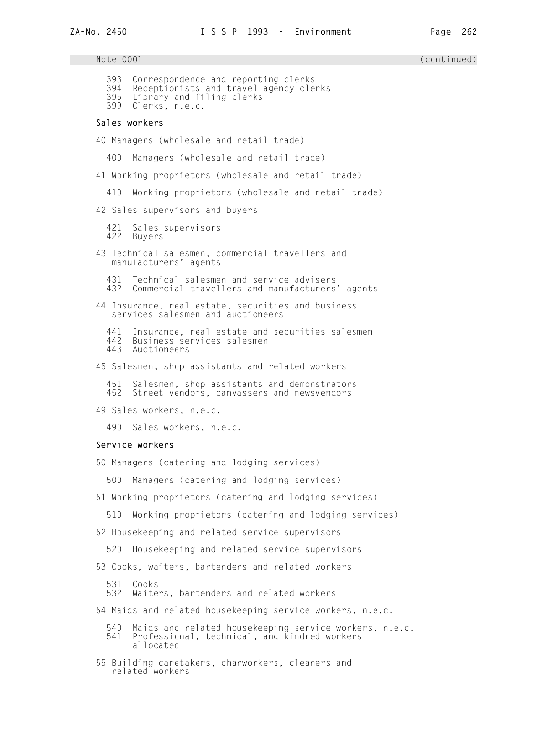Note 0001 (continued) 393 Correspondence and reporting clerks 394 Receptionists and travel agency clerks 395 Library and filing clerks 399 Clerks, n.e.c. Sales workers 40 Managers (wholesale and retail trade) 400 Managers (wholesale and retail trade) 41 Working proprietors (wholesale and retail trade) 410 Working proprietors (wholesale and retail trade) 42 Sales supervisors and buyers 421 Sales supervisors Buyers 43 Technical salesmen, commercial travellers and manufacturers' agents 431 Technical salesmen and service advisers<br>432 Commercial travellers and manufacturers Commercial travellers and manufacturers' agents 44 Insurance, real estate, securities and business services salesmen and auctioneers 441 Insurance, real estate and securities salesmen 442 Business services salesmen<br>443 Auctioneers Auctioneers 45 Salesmen, shop assistants and related workers 451 Salesmen, shop assistants and demonstrators Street vendors, canvassers and newsvendors 49 Sales workers, n.e.c. 490 Sales workers, n.e.c. Service workers 50 Managers (catering and lodging services) 500 Managers (catering and lodging services) 51 Working proprietors (catering and lodging services) 510 Working proprietors (catering and lodging services) 52 Housekeeping and related service supervisors 520 Housekeeping and related service supervisors 53 Cooks, waiters, bartenders and related workers 531 Cooks Waiters, bartenders and related workers 54 Maids and related housekeeping service workers, n.e.c. 540 Maids and related housekeeping service workers, n.e.c.<br>541 Professional, technical, and kindred workers --Professional, technical, and kindred workers allocated 55 Building caretakers, charworkers, cleaners and related workers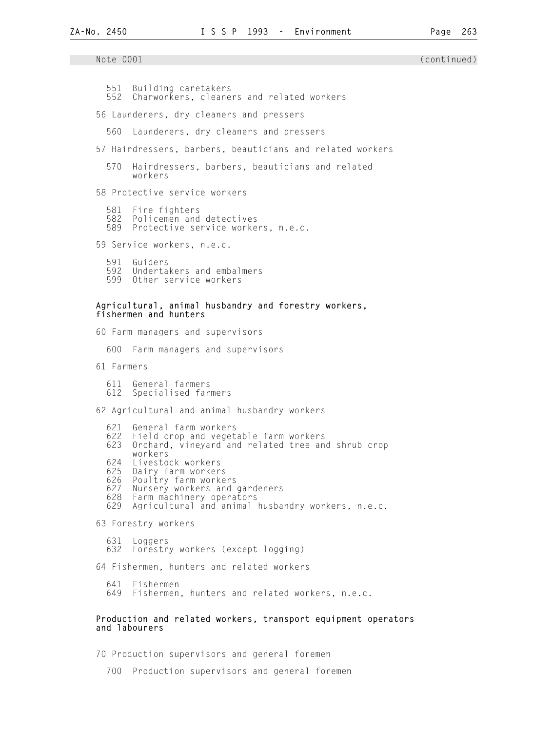551 Building caretakers<br>552 Charworkers, cleane Charworkers, cleaners and related workers 56 Launderers, dry cleaners and pressers 560 Launderers, dry cleaners and pressers 57 Hairdressers, barbers, beauticians and related workers 570 Hairdressers, barbers, beauticians and related workers 58 Protective service workers 581 Fire fighters 582 Policemen and detectives Protective service workers, n.e.c. 59 Service workers, n.e.c. 591 Guiders 592 Undertakers and embalmers<br>599 Other service workers Other service workers Agricultural, animal husbandry and forestry workers, fishermen and hunters 60 Farm managers and supervisors 600 Farm managers and supervisors 61 Farmers 611 General farmers Specialised farmers 62 Agricultural and animal husbandry workers 621 General farm workers Field crop and vegetable farm workers 623 Orchard, vineyard and related tree and shrub crop workers<br>624 Livesto 624 Livestock workers 625 Dairy farm workers 626 Poultry farm workers<br>627 Nursery workers and 627 Nursery workers and gardeners 628 Farm machinery operators Agricultural and animal husbandry workers, n.e.c. 63 Forestry workers 631 Loggers 632 Forestry workers (except logging) 64 Fishermen, hunters and related workers 641 Fishermen Fishermen, hunters and related workers, n.e.c. Production and related workers, transport equipment operators

and labourers

70 Production supervisors and general foremen

700 Production supervisors and general foremen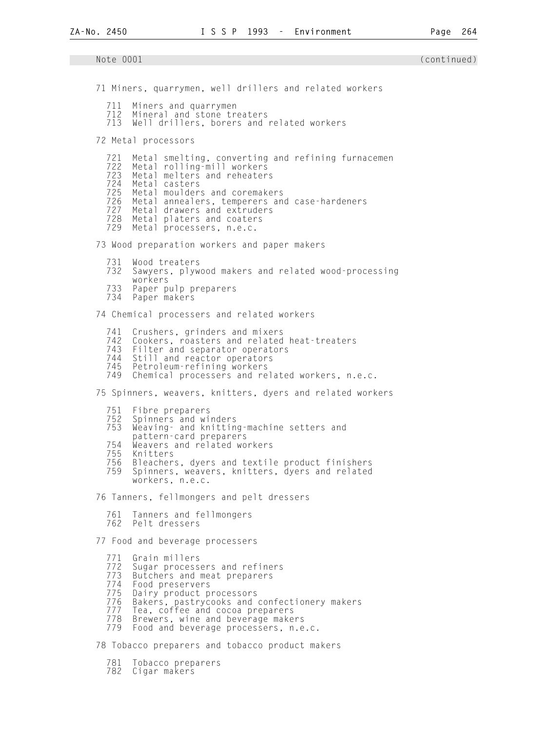Note 0001 (continued) 71 Miners, quarrymen, well drillers and related workers 711 Miners and quarrymen 712 Mineral and stone treaters<br>713 Well drillers, borers and Well drillers, borers and related workers 72 Metal processors 721 Metal smelting, converting and refining furnacemen 722 Metal rolling-mill workers 723 Metal melters and reheaters 724 Metal casters 725 Metal moulders and coremakers 726 Metal annealers, temperers and case-hardeners<br>727 Metal drawers and extruders Metal drawers and extruders 728 Metal platers and coaters 729 Metal processers, n.e.c. 73 Wood preparation workers and paper makers 731 Wood treaters Sawyers, plywood makers and related wood-processing workers<br>733 Paper p 733 Paper pulp preparers Paper makers 74 Chemical processers and related workers 741 Crushers, grinders and mixers<br>742 Cookers, roasters and related 742 Cookers, roasters and related heat-treaters<br>743 Filter and separator operators 743 Filter and separator operators<br>744 Still and reactor operators 744 Still and reactor operators 745 Petroleum-refining workers Chemical processers and related workers, n.e.c. 75 Spinners, weavers, knitters, dyers and related workers 751 Fibre preparers 752 Spinners and winders 753 Weaving- and knitting-machine setters and pattern-card preparers<br>754 Weavers and related wo 754 Weavers and related workers 755 Knitters 756 Bleachers, dyers and textile product finishers Spinners, weavers, knitters, dyers and related workers, n.e.c. 76 Tanners, fellmongers and pelt dressers 761 Tanners and fellmongers Pelt dressers 77 Food and beverage processers 771 Grain millers 772 Sugar processers and refiners<br>773 Butchers and meat preparers<br>774 Food preservers Butchers and meat preparers 774 Food preservers .<br>775 Dairy product processors<br>776 Bakers, pastrycooks and 776 Bakers, pastrycooks and confectionery makers<br>777 Tea, coffee and cocoa preparers 777 Tea, coffee and cocoa preparers<br>778 Brewers, wine and beverage make 778 Brewers, wine and beverage makers<br>779 Food and beverage processers, n.e Food and beverage processers, n.e.c. 78 Tobacco preparers and tobacco product makers

- 781 Tobacco preparers
- Cigar makers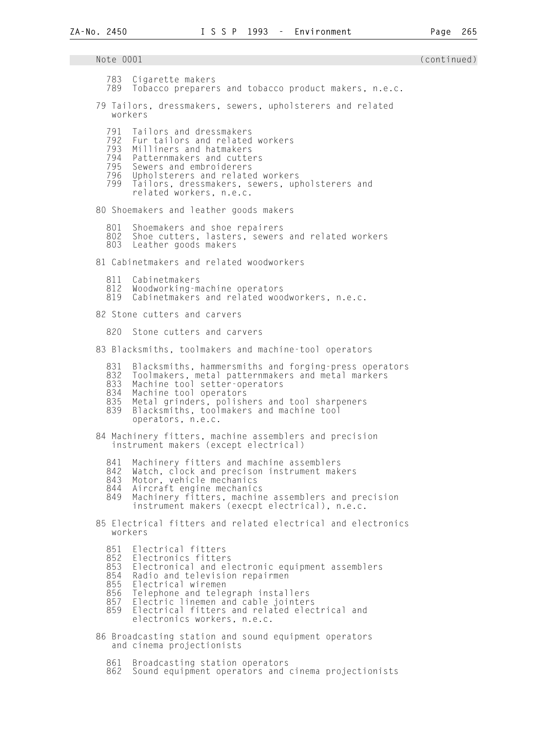Note 0001 (continued) 783 Cigarette makers Tobacco preparers and tobacco product makers, n.e.c. 79 Tailors, dressmakers, sewers, upholsterers and related workers 791 Tailors and dressmakers 792 Fur tailors and related workers<br>793 Milliners and hatmakers 793 Milliners and hatmakers 794 Patternmakers and cutters 795 Sewers and embroiderers 796 Upholsterers and related workers Tailors, dressmakers, sewers, upholsterers and related workers, n.e.c. 80 Shoemakers and leather goods makers 801 Shoemakers and shoe repairers<br>802 Shoe cutters, lasters, sewers Shoe cutters, lasters, sewers and related workers 803 Leather goods makers 81 Cabinetmakers and related woodworkers 811 Cabinetmakers<br>812 Woodworking-m 812 Woodworking-machine operators Cabinetmakers and related woodworkers, n.e.c. 82 Stone cutters and carvers 820 Stone cutters and carvers 83 Blacksmiths, toolmakers and machine-tool operators 831 Blacksmiths, hammersmiths and forging-press operators<br>832 Toolmakers, metal patternmakers and metal markers 832 Toolmakers, metal patternmakers and metal markers 833 Machine tool setter-operators 834 Machine tool operators<br>835 Metal grinders, polish 835 Metal grinders, polishers and tool sharpeners 839 Blacksmiths, toolmakers and machine tool operators, n.e.c. 84 Machinery fitters, machine assemblers and precision instrument makers (except electrical) 841 Machinery fitters and machine assemblers<br>842 Watch, clock and precison instrument mak 842 Watch, clock and precison instrument makers<br>843 Motor, vehicle mechanics 843 Motor, vehicle mechanics<br>844 Aircraft engine mechanic 844 Aircraft engine mechanics<br>849 Machinery fitters, machin 849 Machinery fitters, machine assemblers and precision instrument makers (execpt electrical), n.e.c. 85 Electrical fitters and related electrical and electronics workers 851 Electrical fitters<br>852 Electronics fitter 852 Electronics fitters<br>853 Electronical and el 853 Electronical and electronic equipment assemblers 854 Radio and television repairmen<br>855 Electrical wiremen 855 Electrical wiremen<br>856 Telephone and tele 856 Telephone and telegraph installers<br>857 Electric linemen and cable jointer 857 Electric linemen and cable jointers<br>859 Electrical fitters and related elec Electrical fitters and related electrical and electronics workers, n.e.c. 86 Broadcasting station and sound equipment operators and cinema projectionists

- 861 Broadcasting station operators<br>862 Sound equipment operators and
- Sound equipment operators and cinema projectionists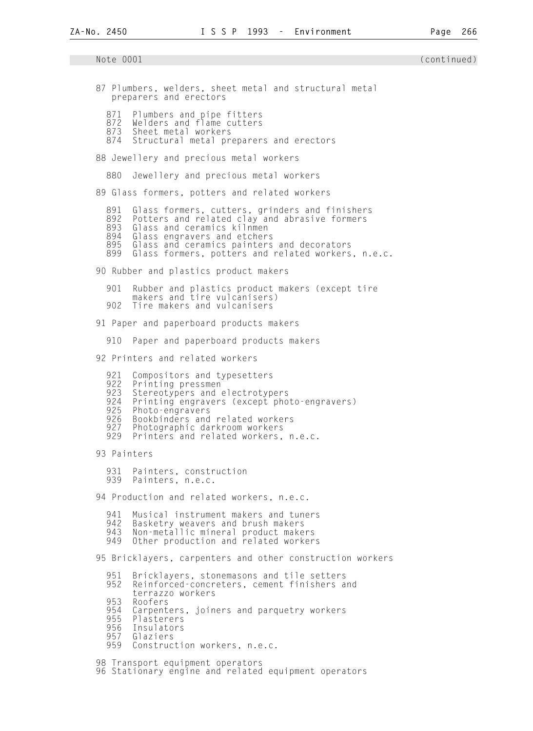Note 0001 (continued) 87 Plumbers, welders, sheet metal and structural metal preparers and erectors 871 Plumbers and pipe fitters<br>872 Welders and flame cutters 872 Welders and flame cutters<br>873 Sheet metal workers 873 Sheet metal workers Structural metal preparers and erectors 88 Jewellery and precious metal workers 880 Jewellery and precious metal workers 89 Glass formers, potters and related workers 891 Glass formers, cutters, grinders and finishers<br>892 Potters and related clav and abrasive formers 892 Potters and related clay and abrasive formers<br>893 Glass and ceramics kilnmen 893 Glass and ceramics kilnmen<br>894 Glass engravers and etcher: 894 Glass engravers and etchers 895 Glass and ceramics painters and decorators<br>899 Glass formers, potters and related workers Glass formers, potters and related workers, n.e.c. 90 Rubber and plastics product makers 901 Rubber and plastics product makers (except tire makers and tire vulcanisers)<br>902 Tire makers and vulcanisers Tire makers and vulcanisers 91 Paper and paperboard products makers 910 Paper and paperboard products makers 92 Printers and related workers 921 Compositors and typesetters<br>922 Printing pressmen 922 Printing pressmen<br>923 Stereotypers and 923 Stereotypers and electrotypers<br>924 Printing engravers (except pho 924 Printing engravers (except photo-engravers)<br>925 Photo-engravers 925 Photo-engravers<br>926 Bookbinders and 926 Bookbinders and related workers 927 Photographic darkroom workers 929 Printers and related workers, n.e.c. 93 Painters 931 Painters, construction 939 Painters, n.e.c. 94 Production and related workers, n.e.c. 941 Musical instrument makers and tuners 942 Basketry weavers and brush makers 943 Non-metallic mineral product makers Other production and related workers 95 Bricklayers, carpenters and other construction workers 951 Bricklayers, stonemasons and tile setters Reinforced-concreters, cement finishers and terrazzo workers<br>953 Roofers 953 Roofers 954 Carpenters, joiners and parquetry workers<br>955 Plasterers 955 Plasterers 956 Insulators 957 Glaziers Construction workers, n.e.c.

98 Transport equipment operators

96 Stationary engine and related equipment operators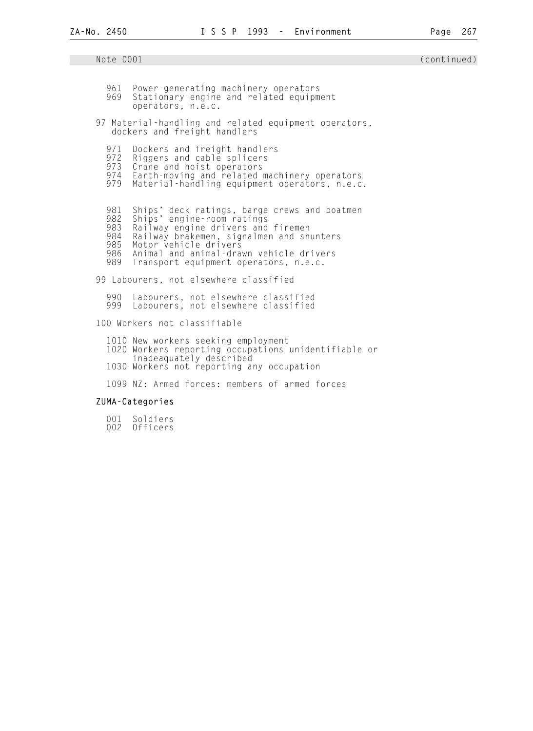| 961<br>969                             | Power-generating machinery operators<br>Stationary engine and related equipment<br>operators, n.e.c.                                                                                                                                                                          |
|----------------------------------------|-------------------------------------------------------------------------------------------------------------------------------------------------------------------------------------------------------------------------------------------------------------------------------|
|                                        | 97 Material-handling and related equipment operators,<br>dockers and freight handlers                                                                                                                                                                                         |
| 971<br>972<br>979                      | Dockers and freight handlers<br>Riggers and cable splicers<br>973 Crane and hoist operators<br>974 Earth-moving and related machinery operators<br>Material-handling equipment operators, n.e.c.                                                                              |
| 981<br>982<br>983<br>984<br>985<br>989 | Ships' deck ratings, barge crews and boatmen<br>Ships' engine-room ratings<br>Railway engine drivers and firemen<br>Railway brakemen, signalmen and shunters<br>Motor vehicle drivers<br>986 Animal and animal-drawn vehicle drivers<br>Transport equipment operators, n.e.c. |
|                                        | 99 Labourers, not elsewhere classified                                                                                                                                                                                                                                        |
|                                        | 990 Labourers, not elsewhere classified<br>999 Labourers, not elsewhere classified                                                                                                                                                                                            |
|                                        | 100 Workers not classifiable                                                                                                                                                                                                                                                  |
|                                        | 1010 New workers seeking employment<br>1020 Workers reporting occupations unidentifiable or<br>inadeaquately described                                                                                                                                                        |
|                                        | 1030 Workers not reporting any occupation                                                                                                                                                                                                                                     |

1099 NZ: Armed forces: members of armed forces

## ZUMA-Categories

 001 Soldiers 002 Officers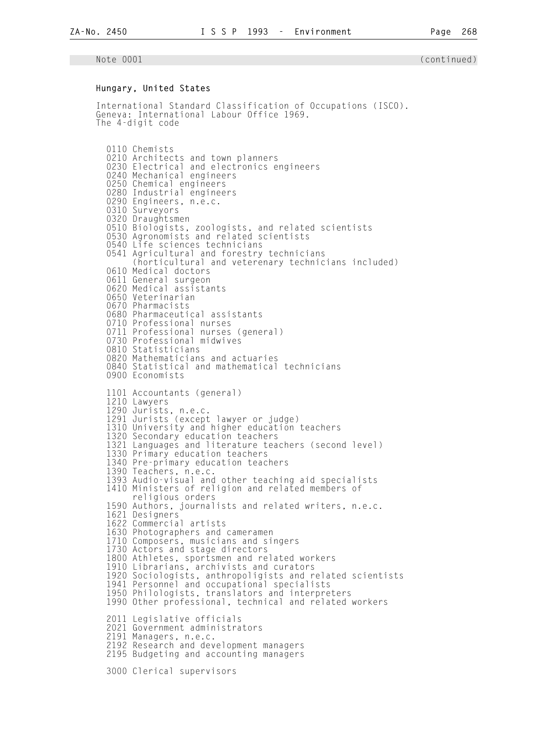#### Hungary, United States

 International Standard Classification of Occupations (ISCO). Geneva: International Labour Office 1969. The 4-digit code

 0110 Chemists 0210 Architects and town planners 0230 Electrical and electronics engineers 0240 Mechanical engineers 0250 Chemical engineers 0280 Industrial engineers 0290 Engineers, n.e.c. 0310 Surveyors 0320 Draughtsmen 0510 Biologists, zoologists, and related scientists 0530 Agronomists and related scientists 0540 Life sciences technicians 0541 Agricultural and forestry technicians (horticultural and veterenary technicians included) 0610 Medical doctors 0611 General surgeon 0620 Medical assistants 0650 Veterinarian 0670 Pharmacists 0680 Pharmaceutical assistants 0710 Professional nurses 0711 Professional nurses (general) 0730 Professional midwives 0810 Statisticians 0820 Mathematicians and actuaries 0840 Statistical and mathematical technicians 0900 Economists 1101 Accountants (general) 1210 Lawyers 1290 Jurists, n.e.c. 1291 Jurists (except lawyer or judge) 1310 University and higher education teachers 1320 Secondary education teachers 1321 Languages and literature teachers (second level) 1330 Primary education teachers 1340 Pre-primary education teachers 1390 Teachers, n<sub>.</sub>e.c. 1393 Audio-visual and other teaching aid specialists 1410 Ministers of religion and related members of religious orders 1590 Authors, journalists and related writers, n.e.c. 1621 Designers 1622 Commercial artists 1630 Photographers and cameramen 1710 Composers, musicians and singers 1730 Actors and stage directors 1800 Athletes, sportsmen and related workers 1910 Librarians, archivists and curators 1920 Sociologists, anthropoligists and related scientists 1941 Personnel and occupational specialists 1950 Philologists, translators and interpreters 1990 Other professional, technical and related workers 2011 Legislative officials 2021 Government administrators 2191 Managers, n.e.c. 2192 Research and development managers 2195 Budgeting and accounting managers 3000 Clerical supervisors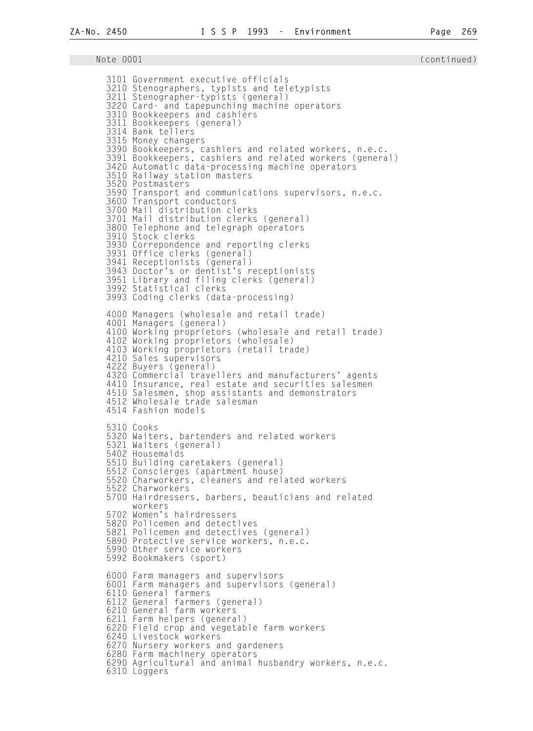Note 0001 (continued) 3101 Government executive officials 3210 Stenographers, typists and teletypists 3211 Stenographer-typists (general) 3220 Card- and tapepunching machine operators 3310 Bookkeepers and cashiers 3311 Bookkeepers (general) 3314 Bank tellers 3315 Money changers 3390 Bookkeepers, cashiers and related workers, n.e.c. 3391 Bookkeepers, cashiers and related workers (general) 3420 Automatic data-processing machine operators 3510 Railway station masters 3520 Postmasters 3590 Transport and communications supervisors, n.e.c. 3600 Transport conductors 3700 Mail distribution clerks 3701 Mail distribution clerks (general) 3800 Telephone and telegraph operators 3910 Stock clerks 3930 Correpondence and reporting clerks 3931 Office clerks (general) 3941 Receptionists (general) 3943 Doctor's or dentist's receptionists 3951 Library and filing clerks (general) 3992 Statistical clerks 3993 Coding clerks (data-processing) 4000 Managers (wholesale and retail trade) 4001 Managers (general) 4100 Working proprietors (wholesale and retail trade) 4102 Working proprietors (wholesale) 4103 Working proprietors (retail trade) 4210 Sales supervisors 4222 Buyers (general) 4320 Commercial travellers and manufacturers' agents 4410 Insurance, real estate and securities salesmen 4510 Salesmen, shop assistants and demonstrators 4512 Wholesale trade salesman 4514 Fashion models 5310 Cooks 5320 Waiters, bartenders and related workers 5321 Waiters (general) 5402 Housemaids 5510 Building caretakers (general) 5512 Conscierges (apartment house) 5520 Charworkers, cleaners and related workers 5522 Charworkers 5700 Hairdressers, barbers, beauticians and related workers 5702 Women's hairdressers 5820 Policemen and detectives 5821 Policemen and detectives (general) 5890 Protective service workers, n.e.c. 5990 Other service workers 5992 Bookmakers (sport) 6000 Farm managers and supervisors 6001 Farm managers and supervisors (general) 6110 General farmers 6112 General farmers (general) 6210 General farm workers 6211 Farm helpers (general) 6220 Field crop and vegetable farm workers 6240 Livestock workers 6270 Nursery workers and gardeners 6280 Farm machinery operators 6290 Agricultural and animal husbandry workers, n.e.c. 6310 Loggers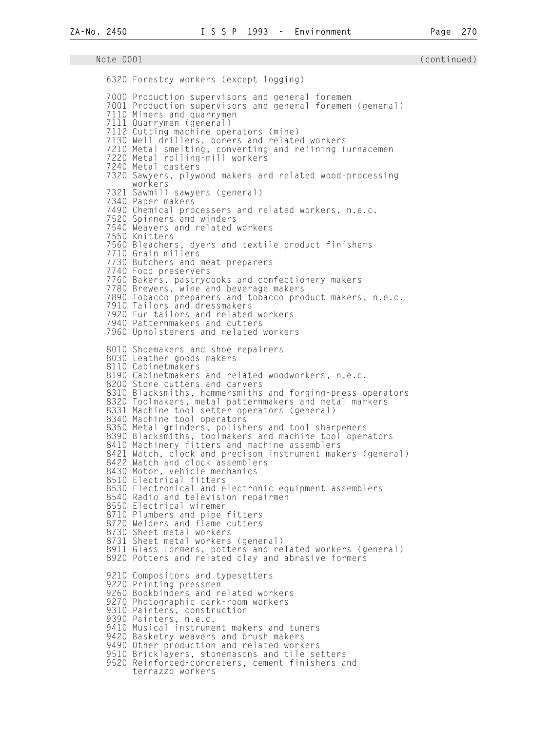Note 0001 (continued) 6320 Forestry workers (except logging) 7000 Production supervisors and general foremen 7001 Production supervisors and general foremen (general) 7110 Miners and quarrymen 7111 Quarrymen (general) 7112 Cutting machine operators (mine) 7130 Well drillers, borers and related workers 7210 Metal smelting, converting and refining furnacemen 7220 Metal rolling-mill workers 7240 Metal casters 7320 Sawyers, plywood makers and related wood-processing workers 7321 Sawmill sawyers (general) 7340 Paper makers 7490 Chemical processers and related workers, n.e.c. 7520 Spinners and winders 7540 Weavers and related workers 7550 Knitters 7560 Bleachers, dyers and textile product finishers 7710 Grain millers 7730 Butchers and meat preparers 7740 Food preservers 7760 Bakers, pastrycooks and confectionery makers 7780 Brewers, wine and beverage makers 7890 Tobacco preparers and tobacco product makers, n.e.c. 7910 Tailors and dressmakers 7920 Fur tailors and related workers 7940 Patternmakers and cutters 7960 Upholsterers and related workers 8010 Shoemakers and shoe repairers 8030 Leather goods makers 8110 Cabinetmakers 8190 Cabinetmakers and related woodworkers, n.e.c. 8200 Stone cutters and carvers 8310 Blacksmiths, hammersmiths and forging-press operators 8320 Toolmakers, metal patternmakers and metal markers 8331 Machine tool setter-operators (general) 8340 Machine tool operators 8350 Metal grinders, polishers and tool sharpeners 8390 Blacksmiths, toolmakers and machine tool operators 8410 Machinery fitters and machine assemblers 8421 Watch, clock and precison instrument makers (general) 8422 Watch and clock assemblers 8430 Motor, vehicle mechanics 8510 Electrical fitters 8530 Electronical and electronic equipment assemblers 8540 Radio and television repairmen 8550 Electrical wiremen 8710 Plumbers and pipe fitters 8720 Welders and flame cutters 8730 Sheet metal workers 8731 Sheet metal workers (general) 8911 Glass formers, potters and related workers (general) 8920 Potters and related clay and abrasive formers 9210 Compositors and typesetters 9220 Printing pressmen 9260 Bookbinders and related workers 9270 Photographic dark-room workers 9310 Painters, construction 9390 Painters, n.e.c. 9410 Musical instrument makers and tuners 9420 Basketry weavers and brush makers 9490 Other production and related workers 9510 Bricklayers, stonemasons and tile setters 9520 Reinforced-concreters, cement finishers and terrazzo workers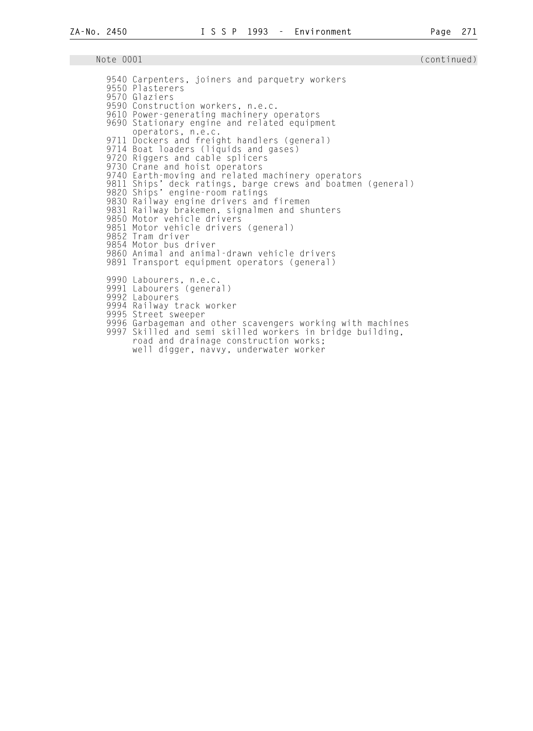9540 Carpenters, joiners and parquetry workers 9550 Plasterers 9570 Glaziers 9590 Construction workers, n.e.c. 9610 Power-generating machinery operators 9690 Stationary engine and related equipment operators, n.e.c. 9711 Dockers and freight handlers (general) 9714 Boat loaders (liquids and gases) 9720 Riggers and cable splicers 9730 Crane and hoist operators 9740 Earth-moving and related machinery operators 9811 Ships' deck ratings, barge crews and boatmen (general) 9820 Ships' engine-room ratings 9830 Railway engine drivers and firemen 9831 Railway brakemen, signalmen and shunters 9850 Motor vehicle drivers 9851 Motor vehicle drivers (general) 9852 Tram driver 9854 Motor bus driver 9860 Animal and animal-drawn vehicle drivers 9891 Transport equipment operators (general) 9990 Labourers, n.e.c. 9991 Labourers (general) 9992 Labourers 9994 Railway track worker 9995 Street sweeper 9996 Garbageman and other scavengers working with machines 9997 Skilled and semi skilled workers in bridge building, road and drainage construction works; well digger, navvy, underwater worker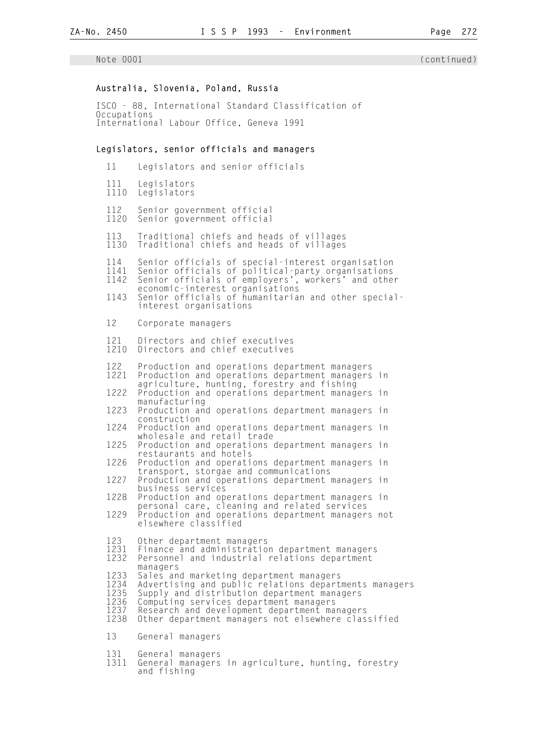## Australia, Slovenia, Poland, Russia

 ISCO - 88, International Standard Classification of Occupations International Labour Office, Geneva 1991

## Legislators, senior officials and managers

| 11                                           | Legislators and senior officials                                                                                                                                                                                                                                                                            |
|----------------------------------------------|-------------------------------------------------------------------------------------------------------------------------------------------------------------------------------------------------------------------------------------------------------------------------------------------------------------|
| 111<br>1110                                  | Legislators<br>Legislators                                                                                                                                                                                                                                                                                  |
| 112<br>1120                                  | Senior government official<br>Senior government official                                                                                                                                                                                                                                                    |
| 113<br>1130                                  | Traditional chiefs and heads of villages<br>Traditional chiefs and heads of villages                                                                                                                                                                                                                        |
| 114<br>1141<br>1142<br>1143                  | Senior officials of special-interest organisation<br>Senior officials of political-party organisations<br>Senior officials of employers', workers' and other<br>economic-interest organisations<br>Senior officials of humanitarian and other special-<br>interest organisations                            |
| 12                                           | Corporate managers                                                                                                                                                                                                                                                                                          |
| 121<br>1210                                  | Directors and chief executives<br>Directors and chief executives                                                                                                                                                                                                                                            |
| 122<br>1221                                  | Production and operations department managers<br>Production and operations department managers<br>in<br>agriculture, hunting, forestry and fishing                                                                                                                                                          |
| 1222                                         | Production and operations department managers in<br>manufacturing                                                                                                                                                                                                                                           |
| 1223                                         | Production and operations department managers in<br>construction                                                                                                                                                                                                                                            |
| 1224                                         | Production and operations department managers<br>in                                                                                                                                                                                                                                                         |
| 1225                                         | wholesale and retail trade<br>Production and operations department managers<br>in<br>restaurants and hotels                                                                                                                                                                                                 |
| 1226                                         | Production and operations department managers<br>in                                                                                                                                                                                                                                                         |
| 1227                                         | transport, storgae and communications<br>Production and operations department managers in                                                                                                                                                                                                                   |
| 1228                                         | business services<br>Production and operations department managers in                                                                                                                                                                                                                                       |
| 1229                                         | personal care, cleaning and related services<br>Production and operations department managers not<br>elsewhere classified                                                                                                                                                                                   |
| 123<br>1231<br>1232                          | Other department managers<br>Finance and administration department managers<br>Personnel and industrial relations department                                                                                                                                                                                |
| 1233<br>1234<br>1235<br>1236<br>1237<br>1238 | managers<br>Sales and marketing department managers<br>Advertising and public relations departments managers<br>Supply and distribution department managers<br>Computing services department managers<br>Research and development department managers<br>Other department managers not elsewhere classified |
| 13                                           | General managers                                                                                                                                                                                                                                                                                            |
| 131<br>1311                                  | General managers<br>General managers in agriculture, hunting, forestry                                                                                                                                                                                                                                      |

and fishing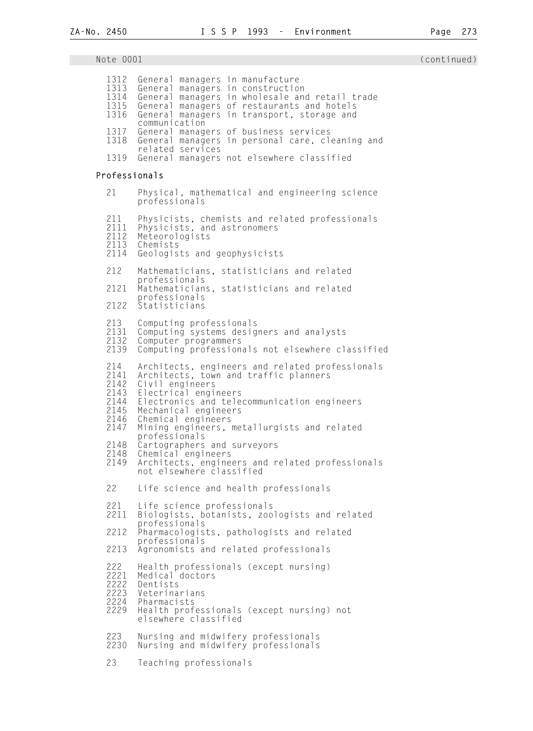Note 0001 (continued) and the continued) and the continued of the continued of the continued of the continued o 1312 General managers in manufacture 1313 General managers in construction 1314 General managers in wholesale and retail trade<br>1315 General managers of restaurants and hotels 1315 General managers of restaurants and hotels<br>1316 General managers in transport, storage and General managers in transport, storage and communication<br>1317 General manag 1317 General managers of business services<br>1318 General managers in personal care, cl General managers in personal care, cleaning and related services<br>1319 General managers General managers not elsewhere classified Professionals 21 Physical, mathematical and engineering science professionals 211 Physicists, chemists and related professionals 2111 Physicists, and astronomers 2112 Meteorologists 2113 Chemists<br>2114 Geologis Geologists and geophysicists 212 Mathematicians, statisticians and related professionals<br>2121 Mathematician Mathematicians, statisticians and related professionals 2122 Statisticians 213 Computing professionals 2131 Computing systems designers and analysts 2132 Computer programmers Computing professionals not elsewhere classified 214 Architects, engineers and related professionals 2141 Architects, town and traffic planners<br>2142 Civil engineers 2142 Civil engineers<br>2143 Electrical engi 2143 Electrical engineers 2144 Electronics and telecommunication engineers<br>2145 Mechanical engineers 2145 Mechanical engineers<br>2146 Chemical engineers 2146 Chemical engineers<br>2147 Mining engineers, Mining engineers, metallurgists and related professionals<br>2148 Cartographers 2148 Cartographers and surveyors 2148 Chemical engineers<br>2149 Architects, engine Architects, engineers and related professionals not elsewhere classified 22 Life science and health professionals 221 Life science professionals Biologists, botanists, zoologists and related professionals 2212 Pharmacologists, pathologists and related professionals<br>2213 Agronomists a Agronomists and related professionals 222 Health professionals (except nursing)<br>2221 Medical doctors<br>2222 Dentists Medical doctors 2222 Dentists<br>2223 Veterina 2223 Veterinarians<br>2224 Pharmacists 2224 Pharmacists Health professionals (except nursing) not elsewhere classified 223 Nursing and midwifery professionals<br>2230 Nursing and midwifery professionals Nursing and midwifery professionals 23 Teaching professionals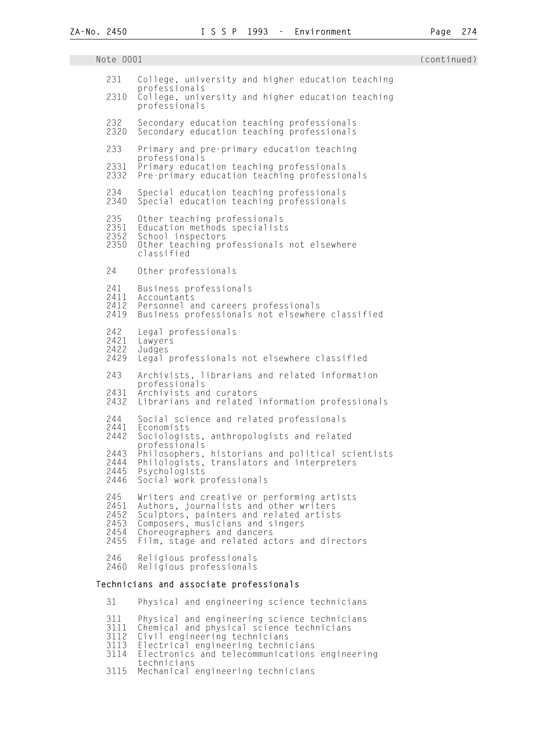| Note 0001                                   |                                                                                                                                                                                                                                                   | (continued) |
|---------------------------------------------|---------------------------------------------------------------------------------------------------------------------------------------------------------------------------------------------------------------------------------------------------|-------------|
| 231<br>2310                                 | College, university and higher education teaching<br>professionals<br>College, university and higher education teaching<br>professionals                                                                                                          |             |
| 232<br>2320                                 | Secondary education teaching professionals<br>Secondary education teaching professionals                                                                                                                                                          |             |
| 233                                         | Primary and pre-primary education teaching<br>professionals                                                                                                                                                                                       |             |
| 2331<br>2332                                | Primary education teaching professionals<br>Pre-primary education teaching professionals                                                                                                                                                          |             |
| 234<br>2340                                 | Special education teaching professionals<br>Special education teaching professionals                                                                                                                                                              |             |
| 235<br>2351<br>2352<br>2350                 | Other teaching professionals<br>Education methods specialists<br>School inspectors<br>Other teaching professionals not elsewhere<br>classified                                                                                                    |             |
| 24                                          | Other professionals                                                                                                                                                                                                                               |             |
| 241<br>2411<br>2412<br>2419                 | Business professionals<br>Accountants<br>Personnel and careers professionals<br>Business professionals not elsewhere classified                                                                                                                   |             |
| 242<br>2421<br>2422<br>2429                 | Legal professionals<br>Lawyers<br>Judges<br>Legal professionals not elsewhere classified                                                                                                                                                          |             |
| 243                                         | Archivists, librarians and related information<br>professionals                                                                                                                                                                                   |             |
| 2431<br>2432                                | Archivists and curators<br>Librarians and related information professionals                                                                                                                                                                       |             |
| 244<br>2441                                 | Social science and related professionals<br>Economists                                                                                                                                                                                            |             |
| 2442                                        | Sociologists, anthropologists and related<br>professionals                                                                                                                                                                                        |             |
| 2443<br>2444<br>2445<br>2446                | Philosophers, historians and political scientists<br>Philologists, translators and interpreters<br>Psychologists<br>Social work professionals                                                                                                     |             |
| 245<br>2451<br>2452<br>2453<br>2454<br>2455 | Writers and creative or performing artists<br>Authors, journalists and other writers<br>Sculptors, painters and related artists<br>Composers, musicians and singers<br>Choreographers and dancers<br>Film, stage and related actors and directors |             |
| 246<br>2460                                 | Religious professionals<br>Religious professionals                                                                                                                                                                                                |             |
|                                             | Technicians and associate professionals                                                                                                                                                                                                           |             |

 31 Physical and engineering science technicians 311 Physical and engineering science technicians 3111 Chemical and physical science technicians 3112 Civil engineering technicians 3113 Electrical engineering technicians<br>3114 Electronics and telecommunications Electronics and telecommunications engineering technicians 3115 Mechanical engineering technicians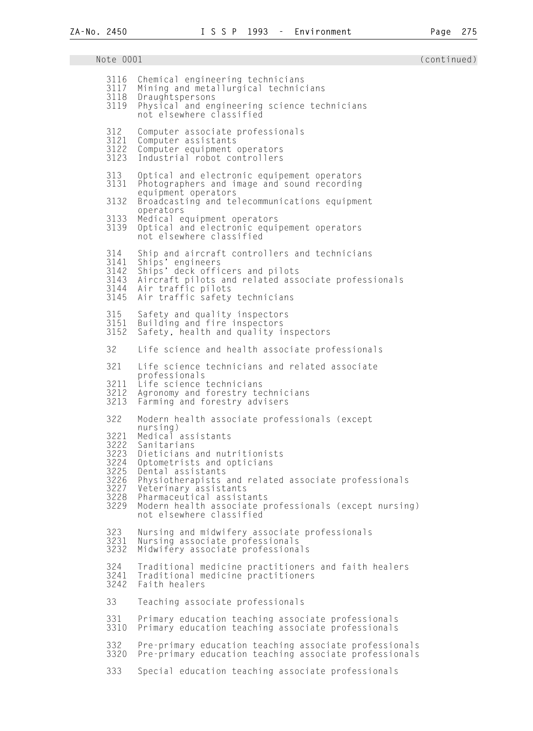Note 0001 (continued) and the continued) and the continued of the continued of the continued of the continued o 3116 Chemical engineering technicians<br>3117 Mining and metallurgical technic 3117 Mining and metallurgical technicians 3118 Draughtspersons Physical and engineering science technicians not elsewhere classified 312 Computer associate professionals 3121 Computer assistants 3122 Computer equipment operators Industrial robot controllers 313 Optical and electronic equipement operators Photographers and image and sound recording equipment operators<br>3132 Broadcasting and te Broadcasting and telecommunications equipment operators<br>3133 Medical e 3133 Medical equipment operators 3139 Optical and electronic equipement operators not elsewhere classified 314 Ship and aircraft controllers and technicians<br>3141 Ships' engineers 3141 Ships' engineers 3142 Ships' deck officers and pilots 3143 Aircraft pilots and related associate professionals 3144 Air traffic pilots<br>3145 Air traffic safety Air traffic safety technicians 315 Safety and quality inspectors 3151 Building and fire inspectors Safety, health and quality inspectors 32 Life science and health associate professionals 321 Life science technicians and related associate professionals<br>3211 Life science 3211 Life science technicians 3212 Agronomy and forestry technicians<br>3213 Farming and forestry advisers Farming and forestry advisers 322 Modern health associate professionals (except nursing)<br>3221 Medical 3221 Medical̃assistants<br>3222 Sanitarians 3222 Sanitarians<br>3223 Dieticians 3223 Dieticians and nutritionists 3224 Optometrists and opticians 3225 Dental assistants 3226 Physiotherapists and related associate professionals 3227 Veterinary assistants 3228 Pharmaceutical assistants Modern health associate professionals (except nursing) not elsewhere classified 323 Nursing and midwifery associate professionals 3231 Nursing associate professionals Midwifery associate professionals 324 Traditional medicine practitioners and faith healers 3241 Traditional medicine practitioners Faith healers 33 Teaching associate professionals 331 Primary education teaching associate professionals Primary education teaching associate professionals 332 Pre-primary education teaching associate professionals Pre-primary education teaching associate professionals 333 Special education teaching associate professionals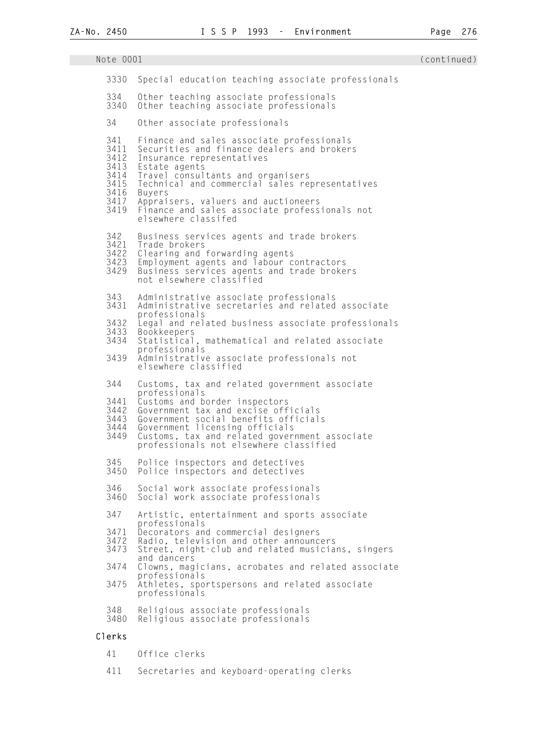## Note 0001 (continued) 3330 Special education teaching associate professionals 334 Other teaching associate professionals 3340 Other teaching associate professionals 34 Other associate professionals 341 Finance and sales associate professionals<br>3411 Securities and finance dealers and broker 3411 Securities and finance dealers and brokers 3412 Insurance representatives<br>3413 Estate agents 3413 Estate agents<br>3414 Travel consul 3414 Travel consultants and organisers 3415 Technical and commercial sales representatives<br>3416 Buvers 3416 Buyers 3417 Appraisers, valuers and auctioneers Finance and sales associate professionals not elsewhere classifed 342 Business services agents and trade brokers<br>3421 Trade brokers 3421 Trade brokers<br>3422 Clearing and 3422 Clearing and forwarding agents 3423 Employment agents and labour contractors 3429 Business services agents and trade brokers not elsewhere classified 343 Administrative associate professionals Administrative secretaries and related associate professionals<br>3432 Legal and rel 3432 Legal and related business associate professionals 3433 Bookkeepers Statistical, mathematical and related associate professionals<br>3439 Administrative Administrative associate professionals not elsewhere classified 344 Customs, tax and related government associate professionals<br>3441 Customs and b 3441 Customs and border inspectors 3442 Government tax and excise officials 3443 Government social benefits officials 3444 Government licensing officials 3449 Customs, tax and related government associate professionals not elsewhere classified 345 Police inspectors and detectives 3450 Police inspectors and detectives 346 Social work associate professionals Social work associate professionals 347 Artistic, entertainment and sports associate professionals<br>3471 Decorators an 3471 Decorators and commercial designers 3472 Radio, television and other announcers Street, night-club and related musicians, singers and dancers<br>3474 Clowns, mag Clowns, magicians, acrobates and related associate professionals<br>3475 Athletes.spo Athletes, sportspersons and related associate professionals 348 Religious associate professionals Religious associate professionals Clerks

41 Office clerks

411 Secretaries and keyboard-operating clerks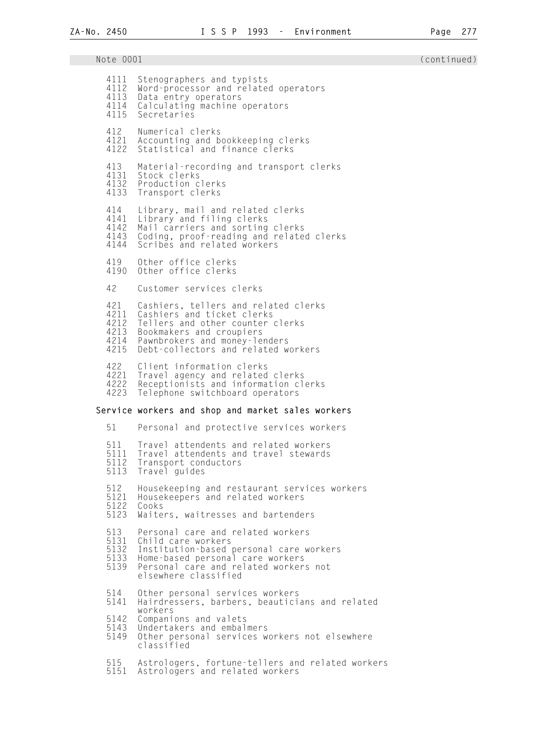| Note 0001                                   |                                                                                                                                                                                                                   | (continued) |
|---------------------------------------------|-------------------------------------------------------------------------------------------------------------------------------------------------------------------------------------------------------------------|-------------|
| 4111<br>4112<br>4113<br>4114<br>4115        | Stenographers and typists<br>Word-processor and related operators<br>Data entry operators<br>Calculating machine operators<br>Secretaries                                                                         |             |
| 412<br>4121<br>4122                         | Numerical clerks<br>Accounting and bookkeeping clerks<br>Statistical and finance clerks                                                                                                                           |             |
| 413<br>4131<br>4132<br>4133                 | Material-recording and transport clerks<br>Stock clerks<br>Production clerks<br>Transport clerks                                                                                                                  |             |
| 414<br>4141<br>4142<br>4143<br>4144         | Library, mail and related clerks<br>Library and filing clerks<br>Mail carriers and sorting clerks<br>Coding, proof-reading and related clerks<br>Scribes and related workers                                      |             |
| 419<br>4190                                 | Other office clerks<br>Other office clerks                                                                                                                                                                        |             |
| 42                                          | Customer services clerks                                                                                                                                                                                          |             |
| 421<br>4211<br>4212<br>4213<br>4214<br>4215 | Cashiers, tellers and related clerks<br>Cashiers and ticket clerks<br>Tellers and other counter clerks<br>Bookmakers and croupiers<br>Pawnbrokers and money-lenders<br>Debt-collectors and related workers        |             |
| 422<br>4221<br>4222<br>4223                 | Client information clerks<br>Travel agency and related clerks<br>Receptionists and information clerks<br>Telephone switchboard operators                                                                          |             |
|                                             | Service workers and shop and market sales workers                                                                                                                                                                 |             |
| 51                                          | Personal and protective services workers                                                                                                                                                                          |             |
| 5111<br>5112<br>5113                        | 511 Travel attendents and related workers<br>Travel attendents and travel stewards<br>Transport conductors<br>Travel guides                                                                                       |             |
| 512<br>5121<br>5122<br>5123                 | Housekeeping and restaurant services workers<br>Housekeepers and related workers<br>Cooks<br>Waiters, waitresses and bartenders                                                                                   |             |
| 513<br>5131<br>5132<br>5133<br>5139         | Personal care and related workers<br>Child care workers<br>Institution-based personal care workers<br>Home-based personal care workers<br>Personal care and related workers not<br>elsewhere classified           |             |
| 514<br>5141<br>5142<br>5143<br>5149         | Other personal services workers<br>Hairdressers, barbers, beauticians and related<br>workers<br>Companions and valets<br>Undertakers and embalmers<br>Other personal services workers not elsewhere<br>classified |             |
| 515<br>5151                                 | Astrologers, fortune-tellers and related workers<br>Astrologers and related workers                                                                                                                               |             |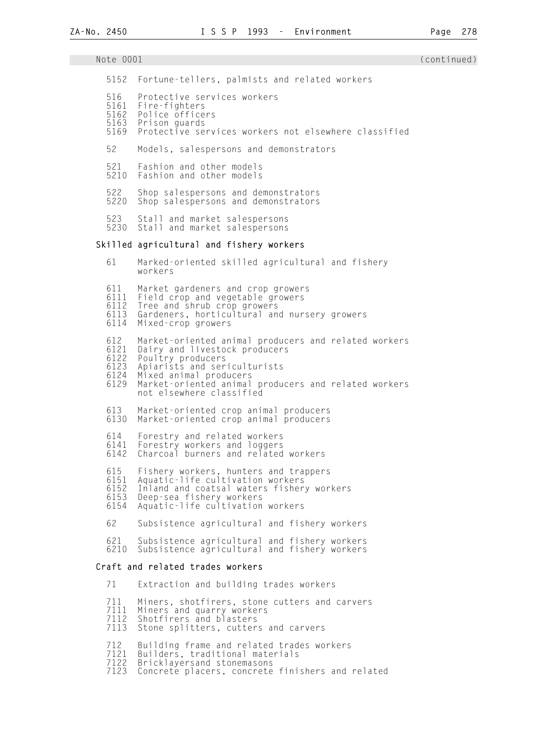# Note 0001 (continued) 5152 Fortune-tellers, palmists and related workers 516 Protective services workers<br>5161 Fire-fighters 5161 Fire-fighters 5162 Police officers 5163 Prison guards Protective services workers not elsewhere classified 52 Models, salespersons and demonstrators 521 Fashion and other models Fashion and other models 522 Shop salespersons and demonstrators Shop salespersons and demonstrators 523 Stall and market salespersons<br>5230 Stall and market salespersons Stall and market salespersons Skilled agricultural and fishery workers 61 Marked-oriented skilled agricultural and fishery workers 611 Market gardeners and crop growers 6111 Field crop and vegetable growers<br>6112 Tree and shrub crop growers 6112 Tree and shrub crop growers Gardeners, horticultural and nursery growers 6114 Mixed-crop growers 612 Market-oriented animal producers and related workers 6121 Dairy and livestock producers 6122 Poultry producers 6123 Apiarists and sericulturists 6124 Mixed animal producers 6129 Market-oriented animal producers and related workers not elsewhere classified 613 Market-oriented crop animal producers 6130 Market-oriented crop animal producers 614 Forestry and related workers 6141 Forestry workers and loggers 6142 Charcoal burners and related workers 615 Fishery workers, hunters and trappers 6151 Aquatic-life cultivation workers 6152 Inland and coatsal waters fishery workers 6153 Deep-sea fishery workers 6154 Aquatic-life cultivation workers 62 Subsistence agricultural and fishery workers 621 Subsistence agricultural and fishery workers 6210 Subsistence agricultural and fishery workers Craft and related trades workers 71 Extraction and building trades workers 711 Miners, shotfirers, stone cutters and carvers 7111 Miners and quarry workers

7112 Shotfirers and blasters<br>7113 Stone splitters, cutter Stone splitters, cutters and carvers

712 Building frame and related trades workers<br>7121 Builders, traditional materials

7121 Builders, traditional materials<br>7122 Bricklayersand stonemasons

7122 Bricklayersand stonemasons

Concrete placers, concrete finishers and related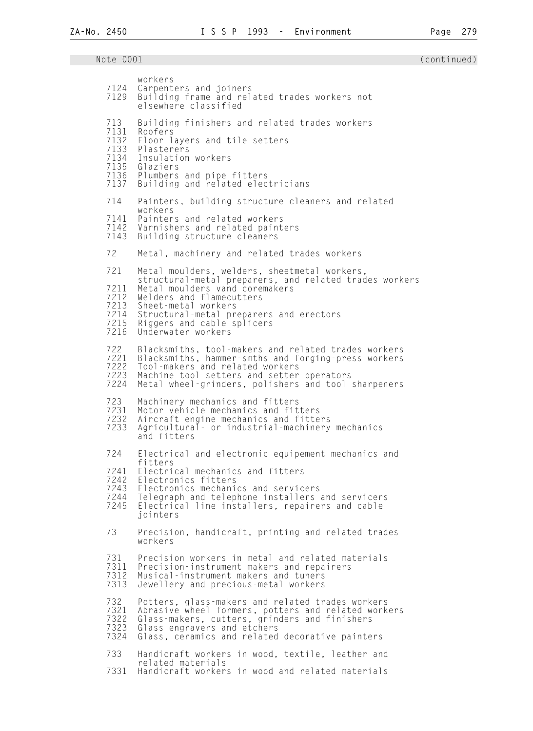| 7124<br>7129                                        | workers<br>Carpenters and joiners<br>Building frame and related trades workers not<br>elsewhere classified                                                                                                                                                                                 |
|-----------------------------------------------------|--------------------------------------------------------------------------------------------------------------------------------------------------------------------------------------------------------------------------------------------------------------------------------------------|
| 713<br>7131<br>7132<br>7133<br>7135<br>7137         | Building finishers and related trades workers<br>Roofers<br>Floor layers and tile setters<br>Plasterers<br>7134 Insulation workers<br>Glaziers<br>7136 Plumbers and pipe fitters<br>Building and related electricians                                                                      |
| 714<br>7141<br>7142<br>7143                         | Painters, building structure cleaners and related<br>workers<br>Painters and related workers<br>Varnishers and related painters<br>Building structure cleaners                                                                                                                             |
| 72                                                  | Metal, machinery and related trades workers                                                                                                                                                                                                                                                |
| 721<br>7211<br>7212<br>7213<br>7214<br>7215<br>7216 | Metal moulders, welders, sheetmetal workers,<br>structural-metal preparers, and related trades workers<br>Metal moulders vand coremakers<br>Welders and flamecutters<br>Sheet-metal workers<br>Structural-metal preparers and erectors<br>Riggers and cable splicers<br>Underwater workers |
| 722<br>7221<br>7222<br>7223<br>7224                 | Blacksmiths, tool-makers and related trades workers<br>Blacksmiths, hammer-smths and forging-press workers<br>Tool-makers and related workers<br>Machine-tool setters and setter-operators<br>Metal wheel-grinders, polishers and tool sharpeners                                          |
| 723<br>7231<br>7232<br>7233                         | Machinery mechanics and fitters<br>Motor vehicle mechanics and fitters<br>Aircraft engine mechanics and fitters<br>Agricultural - or industrial-machinery mechanics<br>and fitters                                                                                                         |
| 724<br>7241<br>7242<br>7243<br>7244<br>7245         | Electrical and electronic equipement mechanics and<br>fitters<br>Electrical mechanics and fitters<br>Electronics fitters<br>Electronics mechanics and servicers<br>Telegraph and telephone installers and servicers<br>Electrical line installers, repairers and cable<br>jointers         |
| 73                                                  | Precision, handicraft, printing and related trades<br>workers                                                                                                                                                                                                                              |
| 731<br>7311<br>7312<br>7313                         | Precision workers in metal and related materials<br>Precision-instrument makers and repairers<br>Musical-instrument makers and tuners<br>Jewellery and precious-metal workers                                                                                                              |
| 732<br>7321<br>7322<br>7323<br>7324                 | Potters, glass-makers and related trades workers<br>Abrasive wheel formers, potters and related workers<br>Glass-makers, cutters, grinders and finishers<br>Glass engravers and etchers<br>Glass, ceramics and related decorative painters                                                 |
| 733<br>7331                                         | Handicraft workers in wood, textile, leather and<br>related materials<br>Handicraft workers in wood and related materials                                                                                                                                                                  |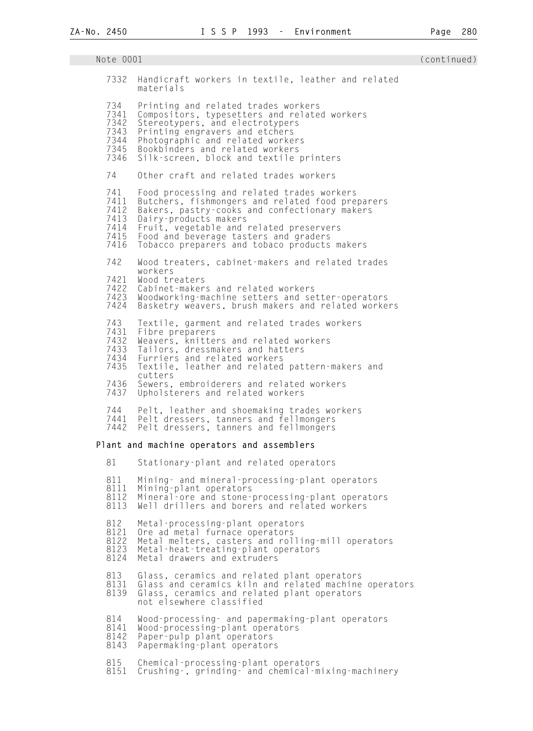| Note 0001                                           |                                                                                                                                                                                                                                                                                                              | (continued) |
|-----------------------------------------------------|--------------------------------------------------------------------------------------------------------------------------------------------------------------------------------------------------------------------------------------------------------------------------------------------------------------|-------------|
| 7332                                                | Handicraft workers in textile, leather and related<br>materials                                                                                                                                                                                                                                              |             |
| 734<br>7341<br>7342<br>7343<br>7344<br>7345<br>7346 | Printing and related trades workers<br>Compositors, typesetters and related workers<br>Stereotypers, and electrotypers<br>Printing engravers and etchers<br>Photographic and related workers<br>Bookbinders and related workers<br>Silk-screen, block and textile printers                                   |             |
| 74                                                  | Other craft and related trades workers                                                                                                                                                                                                                                                                       |             |
| 741<br>7411<br>7412<br>7413<br>7414<br>7415<br>7416 | Food processing and related trades workers<br>Butchers, fishmongers and related food preparers<br>Bakers, pastry-cooks and confectionary makers<br>Dairy-products makers<br>Fruit, vegetable and related preservers<br>Food and beverage tasters and graders<br>Tobacco preparers and tobaco products makers |             |
| 742                                                 | Wood treaters, cabinet-makers and related trades                                                                                                                                                                                                                                                             |             |
| 7421<br>7422<br>7423<br>7424                        | workers<br>Wood treaters<br>Cabinet-makers and related workers<br>Woodworking-machine setters and setter-operators<br>Basketry weavers, brush makers and related workers                                                                                                                                     |             |
| 743<br>7431<br>7432<br>7433<br>7434<br>7435         | Textile, garment and related trades workers<br>Fibre preparers<br>Weavers, knitters and related workers<br>Tailors, dressmakers and hatters<br>Furriers and related workers<br>Textile, leather and related pattern-makers and<br>cutters                                                                    |             |
| 7436<br>7437                                        | Sewers, embroiderers and related workers<br>Upholsterers and related workers                                                                                                                                                                                                                                 |             |
| 744<br>7441<br>7442                                 | Pelt, leather and shoemaking trades workers<br>Pelt dressers, tanners and fellmongers<br>Pelt dressers, tanners and fellmongers                                                                                                                                                                              |             |
|                                                     | Plant and machine operators and assemblers                                                                                                                                                                                                                                                                   |             |
| 81                                                  | Stationary-plant and related operators                                                                                                                                                                                                                                                                       |             |
| 811<br>8111<br>8112<br>8113                         | Mining- and mineral-processing-plant operators<br>Mining-plant operators<br>Mineral-ore and stone-processing-plant operators<br>Well drillers and borers and related workers                                                                                                                                 |             |
| 812<br>8121<br>8122<br>8123<br>8124                 | Metal-processing-plant operators<br>Ore ad metal furnace operators<br>Metal melters, casters and rolling-mill operators<br>Metal-heat-treating-plant operators<br>Metal drawers and extruders                                                                                                                |             |
| 813<br>8131<br>8139                                 | Glass, ceramics and related plant operators<br>Glass and ceramics kiln and related machine operators<br>Glass, ceramics and related plant operators<br>not elsewhere classified                                                                                                                              |             |
| 814<br>8141<br>8142<br>8143                         | Wood-processing- and papermaking-plant operators<br>Wood-processing-plant operators<br>Paper-pulp plant operators<br>Papermaking-plant operators                                                                                                                                                             |             |
| 815<br>8151                                         | Chemical-processing-plant operators<br>Crushing-, grinding- and chemical-mixing-machinery                                                                                                                                                                                                                    |             |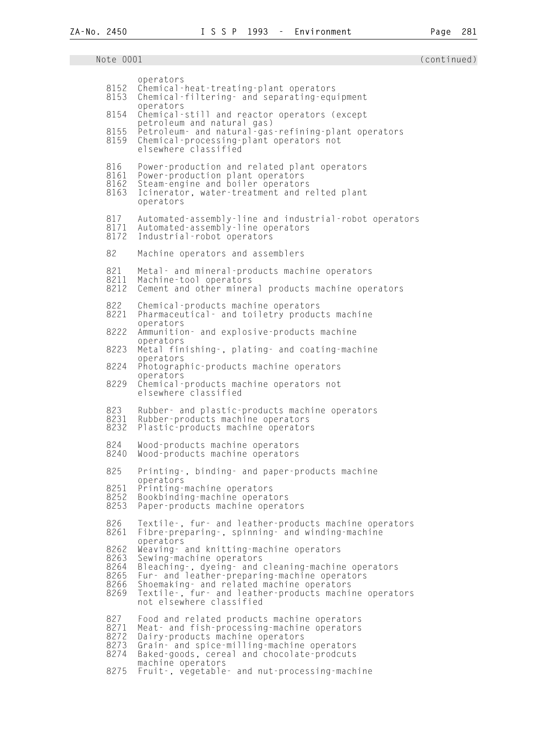| 8152                                         | operators<br>Chemical-heat-treating-plant operators                                                                                                                                                                                                                                                           |
|----------------------------------------------|---------------------------------------------------------------------------------------------------------------------------------------------------------------------------------------------------------------------------------------------------------------------------------------------------------------|
| 8153                                         | Chemical-filtering- and separating-equipment<br>operators                                                                                                                                                                                                                                                     |
| 8154                                         | Chemical-still and reactor operators (except<br>petroleum and natural gas)                                                                                                                                                                                                                                    |
| 8155<br>8159                                 | Petroleum- and natural-gas-refining-plant operators<br>Chemical-processing-plant operators not<br>elsewhere classified                                                                                                                                                                                        |
| 816<br>8161<br>8162<br>8163                  | Power-production and related plant operators<br>Power-production plant operators<br>Steam-engine and boiler operators<br>Icinerator, water-treatment and relted plant<br>operators                                                                                                                            |
| 817<br>8171<br>8172                          | Automated-assembly-line and industrial-robot operators<br>Automated-assembly-line operators<br>Industrial-robot operators                                                                                                                                                                                     |
| 82                                           | Machine operators and assemblers                                                                                                                                                                                                                                                                              |
| 821<br>8211<br>8212                          | Metal- and mineral-products machine operators<br>Machine-tool operators<br>Cement and other mineral products machine operators                                                                                                                                                                                |
| 822<br>8221                                  | Chemical-products machine operators<br>Pharmaceutical - and toiletry products machine<br>operators                                                                                                                                                                                                            |
| 8222                                         | Ammunition - and explosive-products machine<br>operators                                                                                                                                                                                                                                                      |
| 8223                                         | Metal finishing-, plating- and coating-machine<br>operators                                                                                                                                                                                                                                                   |
| 8224                                         | Photographic-products machine operators<br>operators                                                                                                                                                                                                                                                          |
| 8229                                         | Chemical-products machine operators not<br>elsewhere classified                                                                                                                                                                                                                                               |
| 823<br>8231<br>8232                          | Rubber- and plastic-products machine operators<br>Rubber-products machine operators<br>Plastic-products machine operators                                                                                                                                                                                     |
| 824<br>8240                                  | Wood-products machine operators<br>Wood-products machine operators                                                                                                                                                                                                                                            |
| 825                                          | Printing -, binding - and paper-products machine<br>operators                                                                                                                                                                                                                                                 |
| 8251<br>8252<br>8253                         | Printing-machine operators<br>Bookbinding-machine operators<br>Paper-products machine operators                                                                                                                                                                                                               |
| 826<br>8261                                  | Textile-, fur- and leather-products machine operators<br>Fibre-preparing-, spinning- and winding-machine<br>operators                                                                                                                                                                                         |
| 8262<br>8263<br>8264<br>8265<br>8266<br>8269 | Weaving- and knitting-machine operators<br>Sewing-machine operators<br>Bleaching-, dyeing- and cleaning-machine operators<br>Fur- and leather-preparing-machine operators<br>Shoemaking- and related machine operators<br>Textile -, fur - and leather-products machine operators<br>not elsewhere classified |
| 827<br>8271<br>8272<br>8273<br>8274          | Food and related products machine operators<br>Meat- and fish-processing-machine operators<br>Dairy-products machine operators<br>Grain- and spice-milling-machine operators<br>Baked-goods, cereal and chocolate-prodcuts<br>machine operators                                                               |
| 8275                                         | Fruit -, vegetable - and nut-processing-machine                                                                                                                                                                                                                                                               |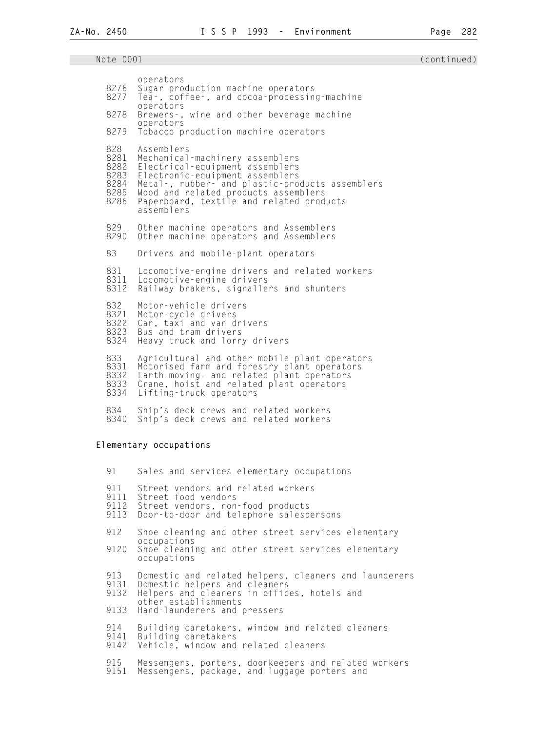| 8276<br>8277<br>8278<br>8279                        | operators<br>Sugar production machine operators<br>Tea-, coffee-, and cocoa-processing-machine<br>operators<br>Brewers -, wine and other beverage machine<br>operators<br>Tobacco production machine operators                                                           |
|-----------------------------------------------------|--------------------------------------------------------------------------------------------------------------------------------------------------------------------------------------------------------------------------------------------------------------------------|
| 828<br>8281<br>8282<br>8283<br>8284<br>8285<br>8286 | Assemblers<br>Mechanical-machinery assemblers<br>Electrical-equipment assemblers<br>Electronic-equipment assemblers<br>Metal-, rubber- and plastic-products assemblers<br>Wood and related products assemblers<br>Paperboard, textile and related products<br>assemblers |
| 829<br>8290                                         | Other machine operators and Assemblers<br>Other machine operators and Assemblers                                                                                                                                                                                         |
| 83                                                  | Drivers and mobile-plant operators                                                                                                                                                                                                                                       |
| 831<br>8311<br>8312                                 | Locomotive-engine drivers and related workers<br>Locomotive-engine drivers<br>Railway brakers, signallers and shunters                                                                                                                                                   |
| 832<br>8321<br>8322<br>8323<br>8324                 | Motor-vehicle drivers<br>Motor-cycle drivers<br>Car, taxi and van drivers<br>Bus and tram drivers<br>Heavy truck and lorry drivers                                                                                                                                       |
| 833<br>8331<br>8332<br>8333<br>8334                 | Agricultural and other mobile-plant operators<br>Motorised farm and forestry plant operators<br>Earth-moving- and related plant operators<br>Crane, hoist and related plant operators<br>Lifting-truck operators                                                         |
| 834<br>8340                                         | Ship's deck crews and related workers<br>Ship's deck crews and related workers                                                                                                                                                                                           |
|                                                     | Elementary occupations                                                                                                                                                                                                                                                   |
| 91                                                  | Sales and services elementary occupations                                                                                                                                                                                                                                |
| 911<br>9111<br>9112<br>9113                         | Street vendors and related workers<br>Street food vendors<br>Street vendors, non-food products<br>Door-to-door and telephone salespersons                                                                                                                                |
| 912<br>9120                                         | Shoe cleaning and other street services elementary<br>occupations<br>Shoe cleaning and other street services elementary<br>occupations                                                                                                                                   |
| 913<br>9131<br>9132                                 | Domestic and related helpers, cleaners and launderers<br>Domestic helpers and cleaners<br>Helpers and cleaners in offices, hotels and<br>other establishments                                                                                                            |
| 9133<br>914                                         | Hand-launderers and pressers                                                                                                                                                                                                                                             |
| 9141<br>9142                                        | Building caretakers, window and related cleaners<br>Building caretakers<br>Vehicle, window and related cleaners                                                                                                                                                          |
| 915<br>9151                                         | Messengers, porters, doorkeepers and related workers<br>Messengers, package, and luggage porters and                                                                                                                                                                     |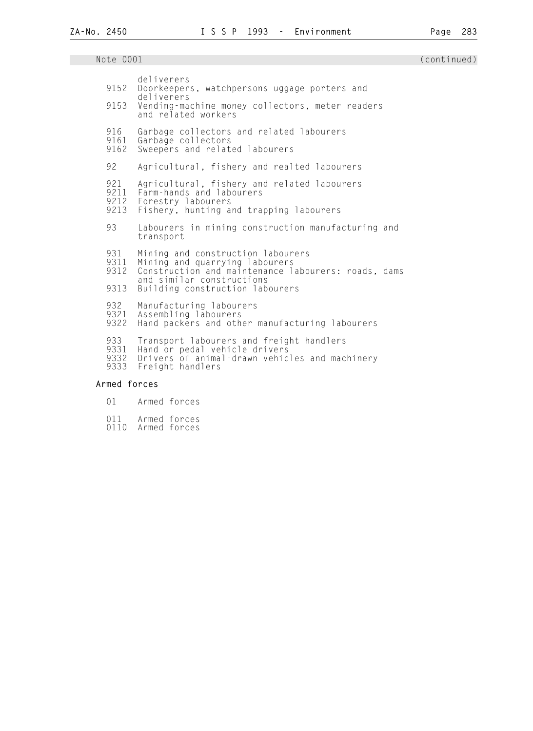| 9152<br>9153                | deliverers<br>Doorkeepers, watchpersons uggage porters and<br>deliverers<br>Vending-machine money collectors, meter readers<br>and related workers                                         |
|-----------------------------|--------------------------------------------------------------------------------------------------------------------------------------------------------------------------------------------|
| 916<br>9161<br>9162         | Garbage collectors and related labourers<br>Garbage collectors<br>Sweepers and related labourers                                                                                           |
| 92                          | Agricultural, fishery and realted labourers                                                                                                                                                |
| 921<br>9211<br>9212<br>9213 | Agricultural, fishery and related labourers<br>Farm-hands and labourers<br>Forestry labourers<br>Fishery, hunting and trapping labourers                                                   |
| 93                          | Labourers in mining construction manufacturing and<br>transport                                                                                                                            |
| 931<br>9311<br>9312<br>9313 | Mining and construction labourers<br>Mining and quarrying labourers<br>Construction and maintenance labourers: roads, dams<br>and similar constructions<br>Building construction labourers |
|                             |                                                                                                                                                                                            |
| 932<br>9321<br>9322         | Manufacturing labourers<br>Assembling labourers<br>Hand packers and other manufacturing labourers                                                                                          |
| 933<br>9331<br>9332<br>9333 | Transport labourers and freight handlers<br>Hand or pedal vehicle drivers<br>Drivers of animal-drawn vehicles and machinery<br>Freight handlers                                            |
| Armed forces                |                                                                                                                                                                                            |
|                             |                                                                                                                                                                                            |

# 01 Armed forces

- 
- 011 Armed forces 0110 Armed forces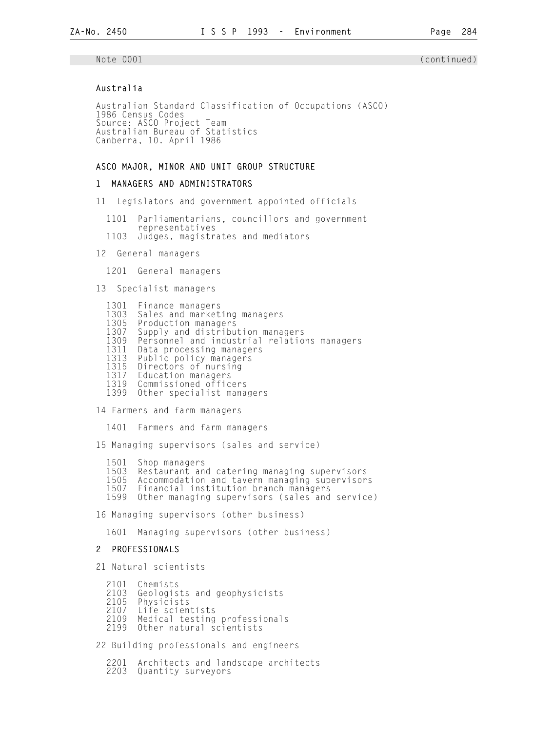### Australia

 Australian Standard Classification of Occupations (ASCO) 1986 Census Codes Source: ASCO Project Team Australian Bureau of Statistics Canberra, 10. April 1986

### ASCO MAJOR, MINOR AND UNIT GROUP STRUCTURE

### 1 MANAGERS AND ADMINISTRATORS

11 Legislators and government appointed officials

 1101 Parliamentarians, councillors and government representatives<br>1103 Judges, magistr

- Judges, magistrates and mediators
- 12 General managers

1201 General managers

13 Specialist managers

|      | 1301 Finance managers                       |
|------|---------------------------------------------|
| 1303 | Sales and marketing managers                |
|      | 1305 Production managers                    |
| 1307 | Supply and distribution managers            |
| 1309 | Personnel and industrial relations managers |
| 1311 | Data processing managers                    |
| 1313 | Public policy managers                      |
| 1315 | Directors of nursing                        |
| 1317 | Education managers                          |
| 1319 | Commissioned officers                       |
| 1399 | Other specialist managers                   |

14 Farmers and farm managers

1401 Farmers and farm managers

15 Managing supervisors (sales and service)

- 1501 Shop managers
- 1503 Restaurant and catering managing supervisors<br>1505 Accommodation and tavern managing supervisor:
- 1505 Accommodation and tavern managing supervisors<br>1507 Financial institution branch managers
- 1507 Financial institution branch managers<br>1599 Other managing supervisors (sales and Other managing supervisors (sales and service)

16 Managing supervisors (other business)

1601 Managing supervisors (other business)

#### 2 PROFESSIONALS

21 Natural scientists

- 2101 Chemists<br>2103 Geologis
- 2103 Geologists and geophysicists
- 2105 Physicists
- 2107 Life scientists<br>2109 Medical testing
- 2109 Medical testing professionals
- Other natural scientists

22 Building professionals and engineers

 2201 Architects and landscape architects 2203 Quantity surveyors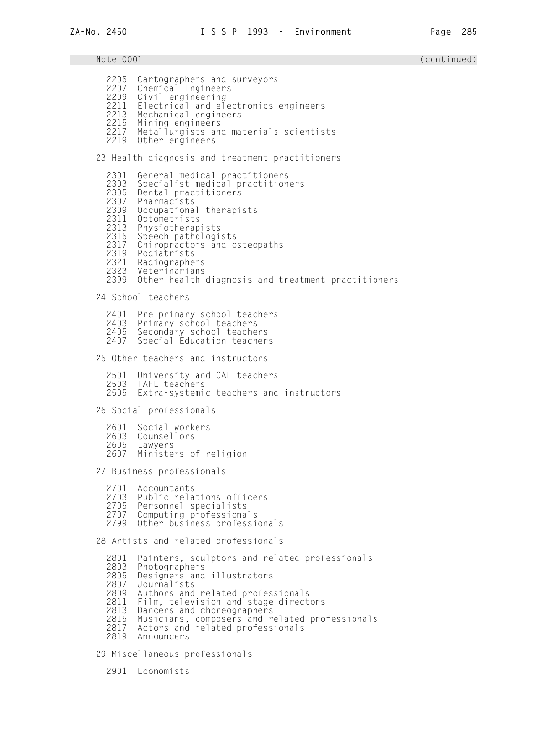Note 0001 (continued) 2205 Cartographers and surveyors<br>2207 Chemical Engineers 2207 Chemical Engineers<br>2209 Civil engineering 2209 Civil engineering<br>2211 Electrical and el 2211 Electrical and electronics engineers<br>2213 Mechanical engineers 2213 Mechanical engineers<br>2215 Mining engineers 2215 Mining engineers 2217 Metallurgists and materials scientists<br>2219 Other engineers Other engineers 23 Health diagnosis and treatment practitioners 2301 General medical practitioners 2303 Specialist medical practitioners<br>2305 Dental practitioners 2305 Dental practitioners<br>2307 Pharmacists 2307 Pharmacists 2309 Occupational therapists 2311 Optometrists<br>2313 Physiotheran 2313 Physiotherapists 2315 Speech pathologists<br>2317 Chiropractors and o 2317 Chiropractors and osteopaths<br>2319 Podiatrists 2319 Podiatrists 2321 Radiographers 2323 Veterinarians Other health diagnosis and treatment practitioners 24 School teachers 2401 Pre-primary school teachers<br>2403 Primary school teachers 2403 Primary school teachers 2405 Secondary school teachers Special Education teachers 25 Other teachers and instructors 2501 University and CAE teachers 2503 TAFE teachers Extra-systemic teachers and instructors 26 Social professionals 2601 Social workers<br>2603 Counsellors 2603 Counsellors<br>2605 Lawyers 2605 Lawyers Ministers of religion 27 Business professionals 2701 Accountants 2703 Public relations officers<br>2705 Personnel specialists 2705 Personnel specialists 2707 Computing professionals Other business professionals 28 Artists and related professionals 2801 Painters, sculptors and related professionals<br>2803 Photographers 2803 Photographers 2805 Designers and illustrators<br>2807 Journalists 2807 Journalists 2809 Authors and related professionals<br>2811 Film, television and stage direct 2811 Film, television and stage directors<br>2813 Dancers and choreographers 2813 Dancers and choreographers 2815 Musicians, composers and related professionals Actors and related professionals 2819 Announcers

29 Miscellaneous professionals

2901 Economists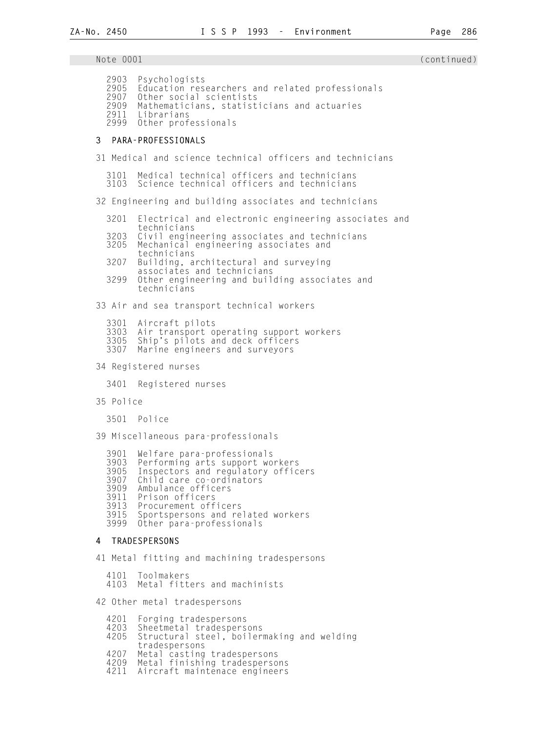**ZA-No. 2450 I S S P 1993 - Environment Page 286**  Note 0001 (continued) (and  $\sim$  0001 (continued) 2903 Psychologists 2905 Education researchers and related professionals 2907 Other social scientists 2909 Mathematicians, statisticians and actuaries 2911 Librarians Other professionals 3 PARA-PROFESSIONALS 31 Medical and science technical officers and technicians 3101 Medical technical officers and technicians Science technical officers and technicians 32 Engineering and building associates and technicians 3201 Electrical and electronic engineering associates and technicians<br>3203 Civil engin 3203 Civil engineering associates and technicians Mechanical engineering associates and technicians<br>3207 Building, a Building, architectural and surveying associates and technicians<br>3299 Other engineering and buil Other engineering and building associates and technicians 33 Air and sea transport technical workers 3301 Aircraft pilots 3303 Air transport operating support workers 3305 Ship's pilots and deck officers Marine engineers and surveyors 34 Registered nurses 3401 Registered nurses 35 Police 3501 Police 39 Miscellaneous para-professionals 3901 Welfare para-professionals 3903 Performing arts support workers 3905 Inspectors and regulatory officers 3907 Child care co-ordinators 3909 Ambulance officers 3911 Prison officers<br>3913 Procurement off 3913 Procurement officers<br>3915 Sportspersons and re 3915 Sportspersons and related workers Other para-professionals 4 TRADESPERSONS

41 Metal fitting and machining tradespersons

 4101 Toolmakers Metal fitters and machinists

42 Other metal tradespersons

|      | 4201 Forging tradespersons<br>4203 Sheetmetal tradespersons<br>4205 Structural steel, boilermaking and welding |
|------|----------------------------------------------------------------------------------------------------------------|
|      | tradespersons<br>4207 Metal casting tradespersons                                                              |
| 4209 | Metal finishing tradespersons                                                                                  |
|      | 4211 Aircraft maintenace engineers                                                                             |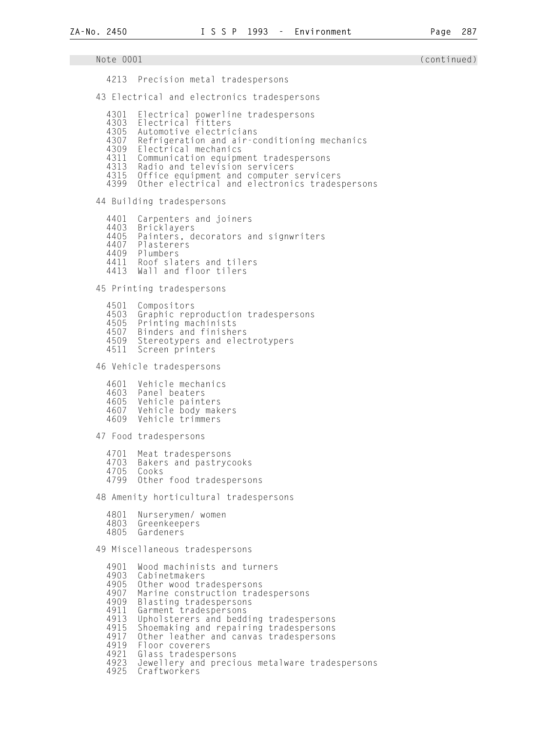Note 0001 (continued) 4213 Precision metal tradespersons 43 Electrical and electronics tradespersons 4301 Electrical powerline tradespersons<br>4303 Electrical fitters 4303 Electrical fitters 4305 Automotive electricians<br>4307 Refrigeration and air-c 4307 Refrigeration and air-conditioning mechanics<br>4309 Flectrical mechanics 4309 Electrical mechanics 4311 Communication equipment tradespersons<br>4313 Radio and television servicers 4313 Radio and television servicers<br>4315 Office equipment and computer 4315 Office equipment and computer servicers 4399 Other electrical and electronics tradespersons 44 Building tradespersons 4401 Carpenters and joiners<br>4403 Bricklavers 4403 Bricklayers 4405 Painters, decorators and signwriters<br>4407 Plasterers 4407 Plasterers<br>4409 Plumbers Plumbers 4411 Roof slaters and tilers 4413 Wall and floor tilers 45 Printing tradespersons 4501 Compositors 4503 Graphic reproduction tradespersons 4505 Printing machinists 4507 Binders and finishers<br>4509 Stereotypers and elec 4509 Stereotypers and electrotypers<br>4511 Screen printers Screen printers 46 Vehicle tradespersons 4601 Vehicle mechanics<br>4603 Panel beaters 4603 Panel beaters 4605 Vehicle painters 4607 Vehicle body makers<br>4609 Vehicle trimmers Vehicle trimmers 47 Food tradespersons 4701 Meat tradespersons<br>4703 Bakers and pastryc 4703 Bakers and pastrycooks Cooks 4799 Other food tradespersons 48 Amenity horticultural tradespersons 4801 Nurserymen/ women 4803 Greenkeepers Gardeners 49 Miscellaneous tradespersons 4901 Wood machinists and turners<br>4903 Cabinetmakers 4903 Cabinetmakers 4905 Other wood tradespersons 4907 Marine construction tradespersons 4909 Blasting tradespersons<br>4911 Garment tradespersons 4911 Garment tradespersons 4913 Upholsterers and bedding tradespersons 4915 Shoemaking and repairing tradespersons 4917 Other leather and canvas tradespersons 4919 Floor coverers<br>4921 Glass tradespe 4921 Glass tradespersons<br>4923 Jewellery and preci 4923 Jewellery and precious metalware tradespersons

Craftworkers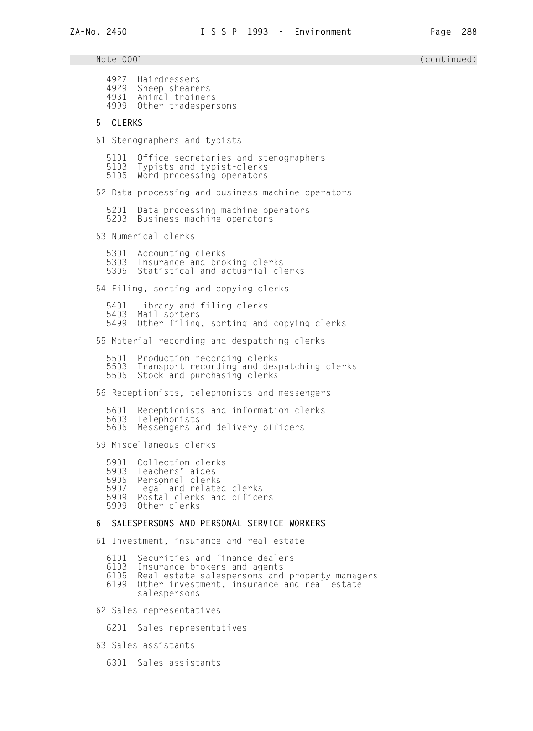**ZA-No. 2450 I S S P 1993 - Environment Page 288**  Note 0001 (continued) and the continued) and the continued of the continued of the continued of the continued o 4927 Hairdressers 4929 Sheep shearers 4931 Animal trainers<br>4999 Other tradesper 0ther tradespersons 5 CLERKS 51 Stenographers and typists 5101 Office secretaries and stenographers 5103 Typists and typist-clerks Word processing operators 52 Data processing and business machine operators 5201 Data processing machine operators Business machine operators 53 Numerical clerks 5301 Accounting clerks 5303 Insurance and broking clerks Statistical and actuarial clerks 54 Filing, sorting and copying clerks 5401 Library and filing clerks 5403 Mail sorters Other filing, sorting and copying clerks 55 Material recording and despatching clerks 5501 Production recording clerks 5503 Transport recording and despatching clerks Stock and purchasing clerks 56 Receptionists, telephonists and messengers 5601 Receptionists and information clerks 5603 Telephonists Messengers and delivery officers 59 Miscellaneous clerks 5901 Collection clerks<br>5903 Teachers' aides 5903 Teachers' aides 5905 Personnel clerks 5907 Legal and related clerks 5909 Postal clerks and officers Other clerks

#### 6 SALESPERSONS AND PERSONAL SERVICE WORKERS

61 Investment, insurance and real estate

 6101 Securities and finance dealers 6103 Insurance brokers and agents 6105 Real estate salespersons and property managers Other investment, insurance and real estate salespersons

62 Sales representatives

6201 Sales representatives

63 Sales assistants

6301 Sales assistants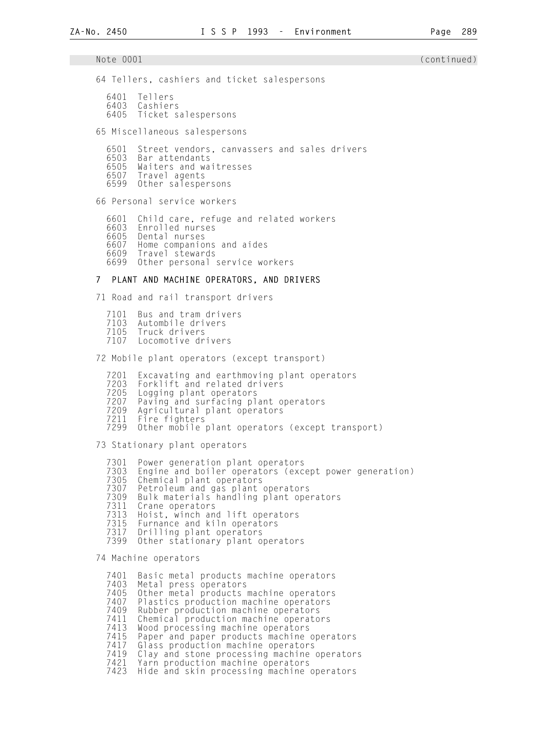Note 0001 (continued) 64 Tellers, cashiers and ticket salespersons 6401 Tellers 6403 Cashiers 6405 Ticket salespersons 65 Miscellaneous salespersons 6501 Street vendors, canvassers and sales drivers 6503 Bar attendants 6505 Waiters and waitresses 6507 Travel agents Other salespersons 66 Personal service workers 6601 Child care, refuge and related workers **6603** Enrolled nurses<br>6605 Dental nurses Dental nurses 6607 Home companions and aides 6609 Travel stewards Other personal service workers 7 PLANT AND MACHINE OPERATORS, AND DRIVERS 71 Road and rail transport drivers 7101 Bus and tram drivers 7103 Autombile drivers<br>7105 Truck drivers 7105 Truck drivers Locomotive drivers 72 Mobile plant operators (except transport) 7201 Excavating and earthmoving plant operators<br>7203 Forklift and related drivers 7203 Forklift and related drivers<br>7205 Logging plant operators 7205 Logging plant operators 7207 Paving and surfacing plant operators<br>7209 Agricultural plant operators 7209 Agricultural plant operators<br>7211 Fire fighters 7211 Fire fighters Other mobile plant operators (except transport) 73 Stationary plant operators 7301 Power generation plant operators 7303 Engine and boiler operators (except power generation)<br>7305 Chemical plant operators 7305 Chemical plant operators 7307 Petroleum and gas plant operators 7309 Bulk materials handling plant operators<br>7311 Crane operators 7311 Crane operators 7313 Hoist, winch and lift operators<br>7315 Furnance and kiln operators 7315 Furnance and kiln operators 7317 Drilling plant operators Other stationary plant operators 74 Machine operators 7401 Basic metal products machine operators 7403 Metal press operators 7405 Other metal products machine operators 7407 Plastics production machine operators<br>7409 Rubber production machine operators 7409 Rubber production machine operators 7411 Chemical production machine operators 7413 Wood processing machine operators

- 7415 Paper and paper products machine operators
	- 7417 Glass production machine operators

7419 Clay and stone processing machine operators<br>7421 Yarn production machine operators

 7421 Yarn production machine operators Hide and skin processing machine operators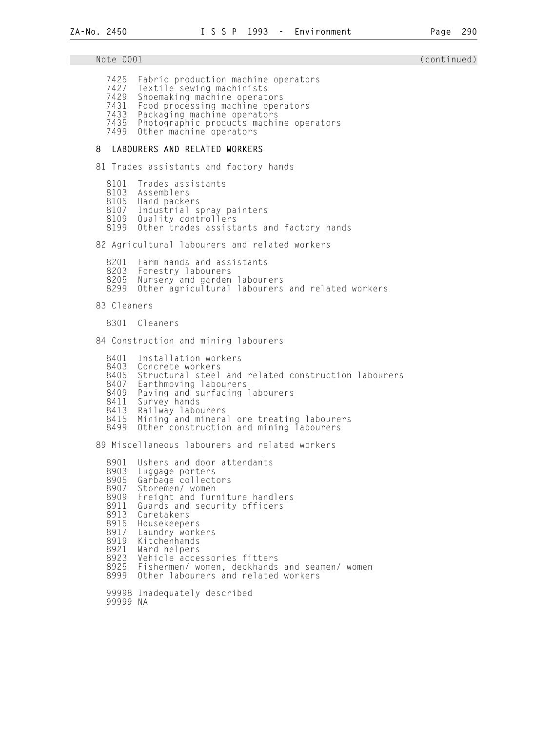Note 0001 (continued) 7425 Fabric production machine operators 7427 Textile sewing machinists<br>7429 Shoemaking machine operat 7429 Shoemaking machine operators 7431 Food processing machine operators 7433 Packaging machine operators Photographic products machine operators 7499 Other machine operators 8 LABOURERS AND RELATED WORKERS 81 Trades assistants and factory hands 8101 Trades assistants<br>8103 Assemblers 8103 Assemblers<br>8105 Hand packe 8105 Hand packers 8107 Industrial spray painters Quality controllers 8199 Other trades assistants and factory hands 82 Agricultural labourers and related workers 8201 Farm hands and assistants<br>8203 Forestry labourers 8203 Forestry labourers<br>8205 Nursery and garden 8205 Nursery and garden labourers<br>8299 Other agricultural labourers Other agricultural labourers and related workers 83 Cleaners 8301 Cleaners 84 Construction and mining labourers 8401 Installation workers<br>8403 Concrete workers 8403 Concrete workers<br>8405 Structural steel 8405 Structural steel and related construction labourers<br>8407 Earthmoving labourers 8407 Earthmoving labourers<br>8409 Paving and surfacing 8409 Paving and surfacing labourers 8411 Survey hands 8413 Railway labourers<br>8415 Mining and minera 8415 Mining and mineral ore treating labourers<br>8499 Other construction and mining labourers Other construction and mining labourers 89 Miscellaneous labourers and related workers 8901 Ushers and door attendants<br>8903 Luggage porters 8903 Luggage porters 8905 Garbage collectors 8907 Storemen/ women 8909 Freight and furniture handlers<br>8911 Guards and security officers 8911 Guards and security officers<br>8913 Caretakers 8913 Caretakers 8915 Housekeepers<br>8917 Laundry work 8917 Laundry workers<br>8919 Kitchenhands 8919 Kitchenhands<br>8921 Ward helpers 8921 Ward helpers 8923 Vehicle accessories fitters 8925 Fishermen/ women, deckhands and seamen/ women Other labourers and related workers 99998 Inadequately described 99999 NA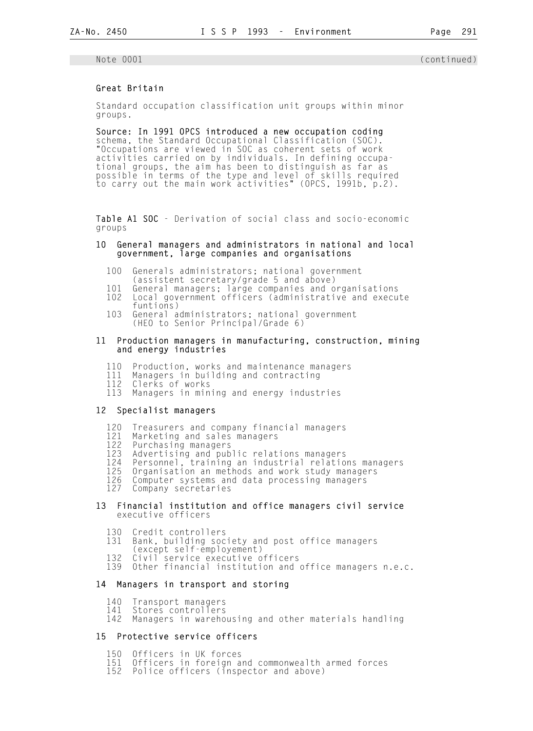## Great Britain

 Standard occupation classification unit groups within minor groups.

 Source: In 1991 OPCS introduced a new occupation coding schema, the Standard Occupational Classification (SOC). "Occupations are viewed in SOC as coherent sets of work activities carried on by individuals. In defining occupa tional groups, the aim has been to distinguish as far as possible in terms of the type and level of skills required to carry out the main work activities" (OPCS, 1991b, p.2).

Table A1 SOC - Derivation of social class and socio-economic groups

### 10 General managers and administrators in national and local government, large companies and organisations

- 100 Generals administrators; national government
- (assistent secretary/grade 5 and above)
- 101 General managers; large companies and organisations Local government officers (administrative and execute
- funtions)<br>103 General a General administrators; national government (HEO to Senior Principal/Grade 6)

### 11 Production managers in manufacturing, construction, mining and energy industries

- 110 Production, works and maintenance managers
- 111 Managers in building and contracting
- 112 Clerks of works
	- 113 Managers in mining and energy industries

## 12 Specialist managers

- 120 Treasurers and company financial managers<br>121 Marketing and sales managers
- 121 Marketing and sales managers<br>122 Purchasing managers
- 122 Purchasing managers
- 123 Advertising and public relations managers<br>124 Personnel, training an industrial relation
- 124 Personnel, training an industrial relations managers<br>125 Organisation an methods and work study managers
- 125 Organisation an methods and work study managers
- 126 Computer systems and data processing managers<br>127 Company secretaries Company secretaries
- 13 Financial institution and office managers civil service executive officers
	- 130 Credit controllers<br>131 Bank, building soc
	- Bank, building society and post office managers
	- (except self-employement)<br>132 Civil service executive o
	- 132 Civil service executive officers<br>139 Other financial institution and
	- Other financial institution and office managers n.e.c.

## 14 Managers in transport and storing

- 140 Transport managers
- 141 Stores controllers
- Managers in warehousing and other materials handling

## 15 Protective service officers

- 150 Officers in UK forces<br>151 Officers in foreign a
- 151 Officers in foreign and commonwealth armed forces<br>152 Police officers (inspector and above)
- Police officers (inspector and above)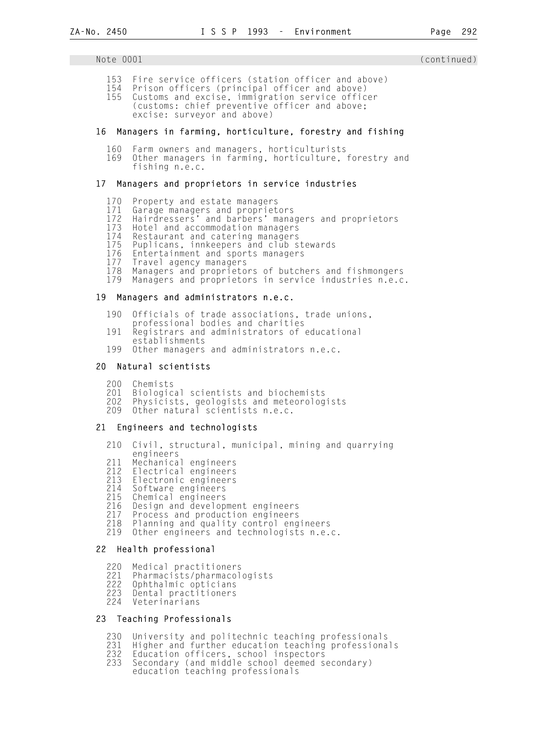- 153 Fire service officers (station officer and above)
- 154 Prison officers (principal officer and above) Customs and excise, immigration service officer (customs: chief preventive officer and above; excise: surveyor and above)

### 16 Managers in farming, horticulture, forestry and fishing

- 160 Farm owners and managers, horticulturists
- 169 Other managers in farming, horticulture, forestry and fishing n.e.c.

#### 17 Managers and proprietors in service industries

- 170 Property and estate managers
- 171 Garage managers and proprietors
- 172 Hairdressers' and barbers' managers and proprietors
	- 173 Hotel and accommodation managers<br>174 Restaurant and catering managers
	- 174 Restaurant and catering managers<br>175 Puplicans, innkeepers and club s
	- 175 Puplicans, innkeepers and club stewards<br>176 Entertainment and sports managers
	- 176 Entertainment and sports managers<br>177 Travel agency managers
	- 177 Travel agency managers
	- 178 Managers and proprietors of butchers and fishmongers
	- Managers and proprietors in service industries n.e.c.

### 19 Managers and administrators n.e.c.

- 190 Officials of trade associations, trade unions,
- professional bodies and charities<br>191 Registrars and administrators of
- Registrars and administrators of educational
- establishments<br>199 Other managers
- Other managers and administrators n.e.c.

#### 20 Natural scientists

- 200 Chemists<br>201 Biologic
- 201 Biological scientists and biochemists
- 202 Physicists, geologists and meteorologists
- 209 Other natural scientists n.e.c.

#### 21 Engineers and technologists

- 210 Civil, structural, municipal, mining and quarrying
- engineers<br>211 Mechanica 211 Mechanical engineers
- 212 Electrical engineers<br>213 Electronic engineers
- 213 Electronic engineers<br>214 Software engineers
- 214 Software engineers
- 215 Chemical engineers
- 216 Design and development engineers<br>217 Process and production engineers
- 217 Process and production engineers<br>218 Planning and quality control eng
- 218 Planning and quality control engineers<br>219 Other engineers and technologists n.e.
- Other engineers and technologists n.e.c.

#### 22 Health professional

- 
- 220 Medical practitioners<br>221 Pharmacists/pharmacol<br>222 Ophthalmic opticians Pharmacists/pharmacologists
- 222 Ophthalmic opticians<br>223 Dental practitioners
- 223 Dental practitioners<br>224 Veterinarians
- Veterinarians

## 23 Teaching Professionals

- 230 University and politechnic teaching professionals<br>231 Higher and further education teaching professiona
- 231 Higher and further education teaching professionals<br>232 Education officers, school inspectors
- 232 Education officers, school inspectors
- 233 Secondary (and middle school deemed secondary)
- education teaching professionals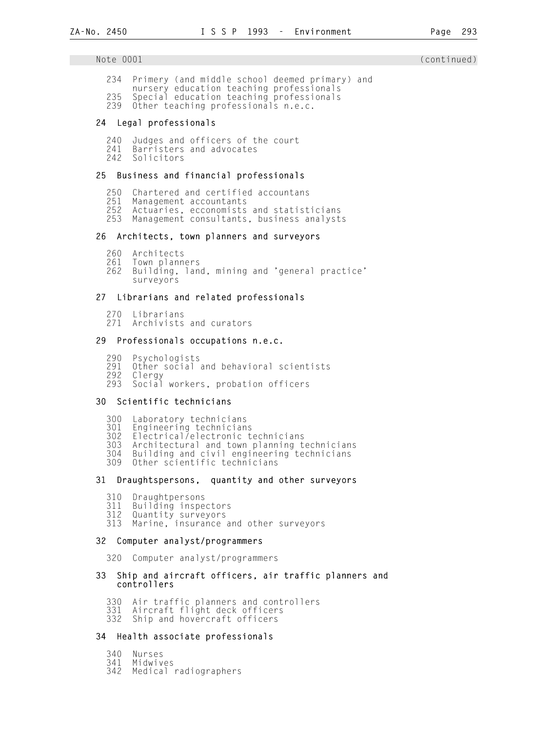- 234 Primery (and middle school deemed primary) and nursery education teaching professionals
- 235 Special education teaching professionals
	- 239 Other teaching professionals n.e.c.

### 24 Legal professionals

240 Judges and officers of the court<br>241 Barristers and advocates 241 Barristers and advocates Solicitors

#### 25 Business and financial professionals

- 250 Chartered and certified accountans
- 251 Management accountants
- 252 Actuaries, ecconomists and statisticians
- Management consultants, business analysts

### 26 Architects, town planners and surveyors

- 260 Architects<br>261 Town plann
- 261 Town planners
- Building, land, mining and 'general practice' surveyors

### 27 Librarians and related professionals

- 270 Librarians<br>271 Archivists
- Archivists and curators

#### 29 Professionals occupations n.e.c.

- 290 Psychologists
- 291 Other social and behavioral scientists<br>292 Clergy
- 292 Clergy
- Social workers, probation officers

#### 30 Scientific technicians

- 300 Laboratory technicians
- 301 Engineering technicians
- 302 Electrical/electronic technicians<br>303 Architectural and town planning to
- 303 Architectural and town planning technicians
- 304 Building and civil engineering technicians
- Other scientific technicians

### 31 Draughtspersons, quantity and other surveyors

- 310 Draughtpersons
- 311 Building inspectors
- Quantity surveyors
- 313 Marine, insurance and other surveyors

#### 32 Computer analyst/programmers

320 Computer analyst/programmers

#### 33 Ship and aircraft officers, air traffic planners and controllers

- 330 Air traffic planners and controllers
- 331 Aircraft flight deck officers<br>332 Ship and hovercraft officers
- Ship and hovercraft officers

## 34 Health associate professionals

- 340 Nurses
- 341 Midwives
- Medical radiographers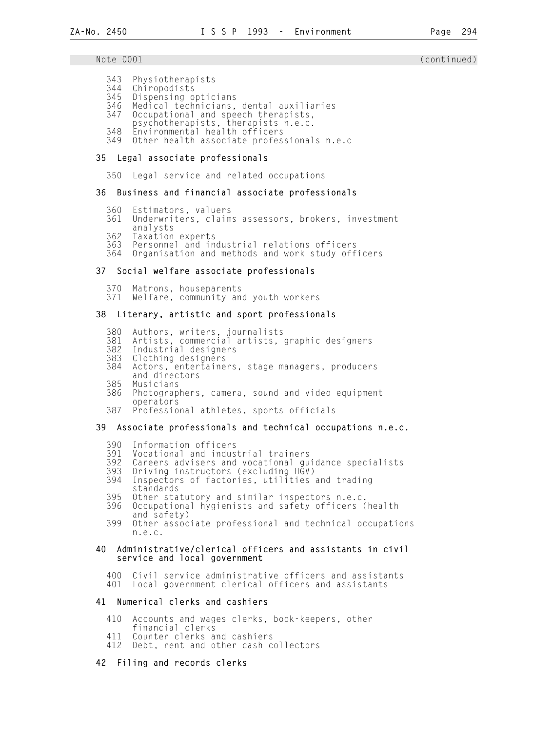#### Note 0001 (continued) and the continued) and the continued of the continued of the continued of the continued o

- 343 Physiotherapists
- 344 Chiropodists
- 345 Dispensing opticians
- 346 Medical technicians, dental auxiliaries<br>347 Occupational and speech therapists, Occupational and speech therapists,
- 
- psychotherapists, therapists n.e.c.<br>348 Environmental health officers
- 348 Environmental health officers Other health associate professionals n.e.c

#### 35 Legal associate professionals

350 Legal service and related occupations

#### 36 Business and financial associate professionals

- 360 Estimators, valuers
- 361 Underwriters, claims assessors, brokers, investment
- analysts<br>362 Taxation
- 362 Taxation experts<br>363 Personnel and in 363 Personnel and industrial relations officers
- Organisation and methods and work study officers

#### 37 Social welfare associate professionals

 370 Matrons, houseparents Welfare, community and youth workers

## 38 Literary, artistic and sport professionals

- 380 Authors, writers, journalists
- 381 Artists, commercial artists, graphic designers<br>382 Industrial designers
- 382 Industrial designers
- Clothing designers
- 384 Actors, entertainers, stage managers, producers and directors<br>385 Musicians
- 385 Musicians
- Photographers, camera, sound and video equipment operators<br>387 Professio
- Professional athletes, sports officials

#### 39 Associate professionals and technical occupations n.e.c.

- 390 Information officers
- 391 Vocational and industrial trainers
- 392 Careers advisers and vocational guidance specialists
- 393 Driving instructors (excluding HGV)
- Inspectors of factories, utilities and trading
- standards<br>395 Other sta 395 Other statutory and similar inspectors n.e.c.
- 396 Occupational hygienists and safety officers (health and safety)<br>399 Other assoc
	- Other associate professional and technical occupations n.e.c.

#### 40 Administrative/clerical officers and assistants in civil service and local government

400 Civil service administrative officers and assistants<br>401 Local government clerical officers and assistants Local government clerical officers and assistants

#### 41 Numerical clerks and cashiers

- 410 Accounts and wages clerks, book-keepers, other
- financial clerks<br>411 Counter clerks a
- 411 Counter clerks and cashiers<br>412 Debt, rent and other cash c Debt, rent and other cash collectors

#### 42 Filing and records clerks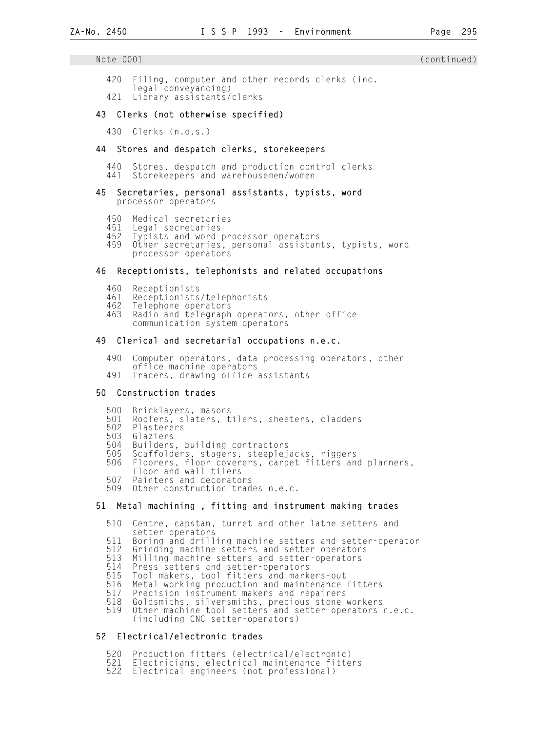420 Filing, computer and other records clerks (inc. legal conveyancing)<br>/421 library assistants Library assistants/clerks

## 43 Clerks (not otherwise specified)

430 Clerks (n.o.s.)

## 44 Stores and despatch clerks, storekeepers

440 Stores, despatch and production control clerks<br>441 Storekeepers and warehousemen/women Storekeepers and warehousemen/women

### 45 Secretaries, personal assistants, typists, word processor operators

- 450 Medical secretaries<br>451 Legal secretaries
- 451 Legal secretaries<br>452 Typists and word
- 452 Typists and word processor operators
- Other secretaries, personal assistants, typists, word processor operators

## 46 Receptionists, telephonists and related occupations

- 460 Receptionists<br>461 Receptionists
- 461 Receptionists/telephonists
- 462 Telephone operators
- Radio and telegraph operators, other office communication system operators

## 49 Clerical and secretarial occupations n.e.c.

- 490 Computer operators, data processing operators, other office machine operators<br>491 Tracers drawing office
- Tracers, drawing office assistants

## 50 Construction trades

- 500 Bricklayers, masons<br>501 Roofers, slaters, t
- 501 Roofers, slaters, tilers, sheeters, cladders
- 502 Plasterers<br>503 Glaziers
- 503 Glaziers
- 504 Builders, building contractors 505 Scaffolders, stagers, steeplejacks, riggers
- 506 Floorers, floor coverers, carpet fitters and planners, floor and wall tilers
	- 507 Painters and decorators<br>509 Other construction trad
	- Other construction trades n.e.c.

## 51 Metal machining , fitting and instrument making trades

- 510 Centre, capstan, turret and other lathe setters and setter-operators<br>11 Boring and drill
- 511 Boring and drilling machine setters and setter-operator<br>512 Grinding machine setters and setter-operators
- 512 Grinding machine setters and setter-operators
- 513 Milling machine setters and setter-operators<br>514 Press setters and setter-operators
- 514 Press setters and setter-operators
- 515 Tool makers, tool fitters and markers-out
- 516 Metal working production and maintenance fitters<br>517 Precision instrument makers and repairers
- 517 Precision instrument makers and repairers
- 518 Goldsmiths, silversmiths, precious stone workers<br>519 Other machine tool setters and setter-operators Other machine tool setters and setter-operators n.e.c. (including CNC setter-operators)

## 52 Electrical/electronic trades

- 520 Production fitters (electrical/electronic)
- 521 Electricians, electrical maintenance fitters<br>522 Electrical engineers (not professional)
- Electrical engineers (not professional)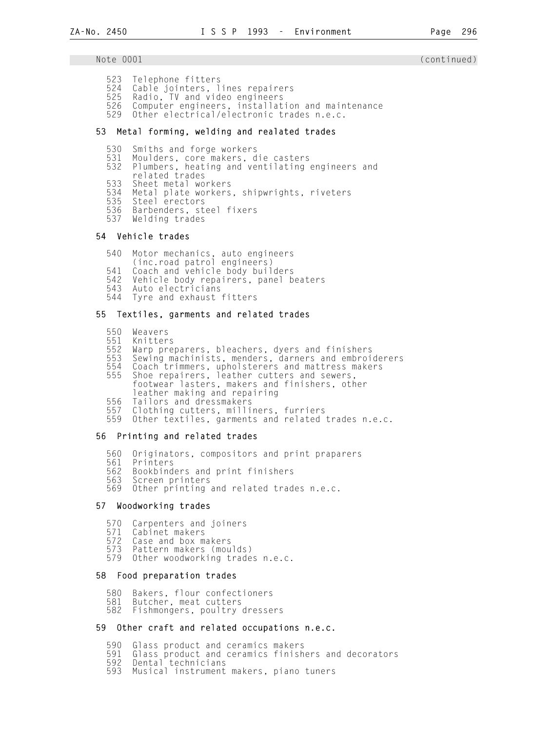- 523 Telephone fitters
- 524 Cable jointers, lines repairers<br>525 Radio, TV and video engineers
- 525 Radio, TV and video engineers
- 526 Computer engineers, installation and maintenance<br>529 Other electrical/electronic trades n.e.c.
- Other electrical/electronic trades n.e.c.

## 53 Metal forming, welding and realated trades

- 530 Smiths and forge workers
- 531 Moulders, core makers, die casters
- Plumbers, heating and ventilating engineers and
- related trades<br>533 Sheet metal wo
- 533 Sheet metal workers
- 534 Metal plate workers, shipwrights, riveters<br>535 Steel erectors
- 535 Steel erectors
- 536 Barbenders, steel fixers Welding trades
- 

## 54 Vehicle trades

- 540 Motor mechanics, auto engineers
- (inc.road patrol engineers)
- 541 Coach and vehicle body builders
	- 542 Vehicle body repairers, panel beaters
	- 543 Auto electricians Tyre and exhaust fitters
	-

## 55 Textiles, garments and related trades

- 550 Weavers
- 551 Knitters
- 552 Warp preparers, bleachers, dyers and finishers
- 553 Sewing machinists, menders, darners and embroiderers
- 554 Coach trimmers, upholsterers and mattress makers
- 555 Shoe repairers, leather cutters and sewers, footwear lasters, makers and finishers, other
	- leather making and repairing<br>556 Tailors and dressmakers
	- 556 Tailors and dressmakers
	- 557 Clothing cutters, milliners, furriers<br>559 Other textiles, garments and related
	- Other textiles, garments and related trades n.e.c.

## 56 Printing and related trades

- 560 Originators, compositors and print praparers
- 561 Printers
- 562 Bookbinders and print finishers
- 563 Screen printers
- Other printing and related trades n.e.c.

## 57 Woodworking trades

- 570 Carpenters and joiners
- 571 Cabinet makers
- 572 Case and box makers
- 573 Pattern makers (moulds)
- Other woodworking trades n.e.c.

#### 58 Food preparation trades

- 580 Bakers, flour confectioners<br>581 Butcher, meat cutters
- 581 Butcher, meat cutters<br>582 Fishmongers, poultry
- Fishmongers, poultry dressers

## 59 Other craft and related occupations n.e.c.

- 590 Glass product and ceramics makers<br>591 Glass product and ceramics finish
- 591 Glass product and ceramics finishers and decorators
- 592 Dental technicians
- 593 Musical instrument makers, piano tuners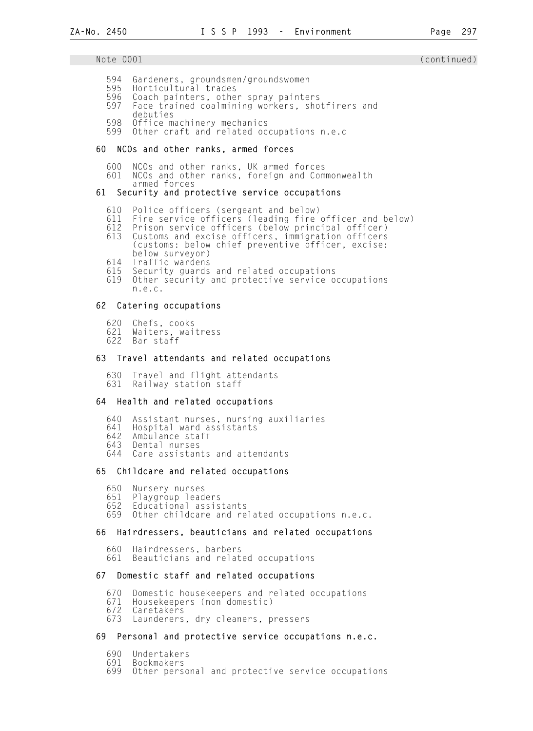- 594 Gardeners, groundsmen/groundswomen<br>595 Horticultural trades
- 595 Horticultural trades<br>596 Coach painters, othe
- 596 Coach painters, other spray painters<br>597 Face trained coalmining workers, sho
- Face trained coalmining workers, shotfirers and debuties<br>598 Office m
- Office machinery mechanics
- 599 Other craft and related occupations n.e.c

## 60 NCOs and other ranks, armed forces

- 600 NCOs and other ranks, UK armed forces
- NCOs and other ranks, foreign and Commonwealth
- armed forces

## 61 Security and protective service occupations

- 610 Police officers (sergeant and below)
- 611 Fire service officers (leading fire officer and below)
- 612 Prison service officers (below principal officer)
	- 613 Customs and excise officers, immigration officers (customs: below chief preventive officer, excise: below surveyor)<br>614 Traffic wardens
	- 614 Traffic wardens
	- 615 Security guards and related occupations
	- Other security and protective service occupations n.e.c.

## 62 Catering occupations

- 620 Chefs, cooks
- 621 Waiters, waitress
- Bar staff

## 63 Travel attendants and related occupations

 630 Travel and flight attendants 631 Railway station staff

## 64 Health and related occupations

 640 Assistant nurses, nursing auxiliaries 641 Hospital ward assistants 642 Ambulance staff 643 Dental nurses Care assistants and attendants

## 65 Childcare and related occupations

 650 Nursery nurses 651 Playgroup leaders 652 Educational assistants Other childcare and related occupations n.e.c.

## 66 Hairdressers, beauticians and related occupations

 660 Hairdressers, barbers Beauticians and related occupations

## 67 Domestic staff and related occupations

- 670 Domestic housekeepers and related occupations
- 671 Housekeepers (non domestic)
- 672 Caretakers
- Launderers, dry cleaners, pressers

## 69 Personal and protective service occupations n.e.c.

- 690 Undertakers
- 691 Bookmakers
- Other personal and protective service occupations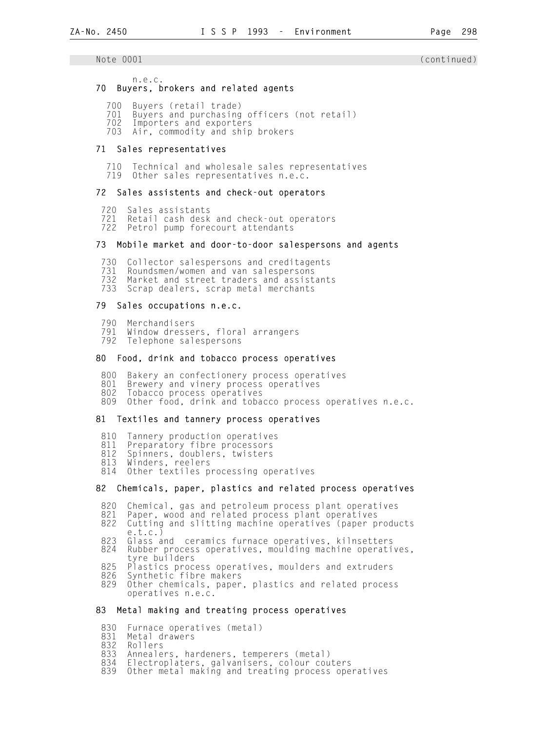## n.e.c.

- 70 Buyers, brokers and related agents
	- 700 Buyers (retail trade)
	- 701 Buyers and purchasing officers (not retail)
	- 702 Importers and exporters
	- Air, commodity and ship brokers

## 71 Sales representatives

710 Technical and wholesale sales representatives<br>719 Other sales representatives n e.c. Other sales representatives n.e.c.

## 72 Sales assistents and check-out operators

- 720 Sales assistants
- 721 Retail cash desk and check-out operators<br>722 Petrol pump forecourt attendants Petrol pump forecourt attendants

## 73 Mobile market and door-to-door salespersons and agents

- 730 Collector salespersons and creditagents<br>731 Roundsmen/women and van salespersons
- 731 Roundsmen/women and van salespersons<br>732 Market and street traders and assist
- 732 Market and street traders and assistants<br>733 Scrap dealers, scrap metal merchants
- Scrap dealers, scrap metal merchants

## 79 Sales occupations n.e.c.

- 790 Merchandisers
- Window dressers, floral arrangers
- 792 Telephone salespersons

## 80 Food, drink and tobacco process operatives

- 800 Bakery an confectionery process operatives<br>801 Brewery and vinery process operatives
- 801 Brewery and vinery process operatives<br>802 Tobacco process operatives
- Tobacco process operatives
- 809 Other food, drink and tobacco process operatives n.e.c.

## 81 Textiles and tannery process operatives

- 810 Tannery production operatives<br>811 Preparatory fibre processors
- 811 Preparatory fibre processors
- 812 Spinners, doublers, twisters
- 813 Winders, reelers
	- 814 Other textiles processing operatives

## 82 Chemicals, paper, plastics and related process operatives

- 
- 820 Chemical, gas and petroleum process plant operatives<br>821 Paper, wood and related process plant operatives 821 Paper, wood and related process plant operatives<br>822 Cutting and slitting machine operatives (paper p
- Cutting and slitting machine operatives (paper products e.t.c.)<br>823 Glass a
- Glass and ceramics furnace operatives, kilnsetters
- 824 Rubber process operatives, moulding machine operatives, tyre builders<br>825 Plastics proc
- 825 Plastics process operatives, moulders and extruders<br>826 Synthetic fibre makers
- 826 Synthetic fibre makers
- Other chemicals, paper, plastics and related process operatives n.e.c.

## 83 Metal making and treating process operatives

- 830 Furnace operatives (metal)<br>831 Metal drawers
- 831 Metal drawers<br>832 Rollers
- 832 Rollers
- 833 Annealers, hardeners, temperers (metal)<br>834 Electroplaters, galvanisers, colour cou
- 834 Electroplaters, galvanisers, colour couters<br>839 Other metal making and treating process ope
- Other metal making and treating process operatives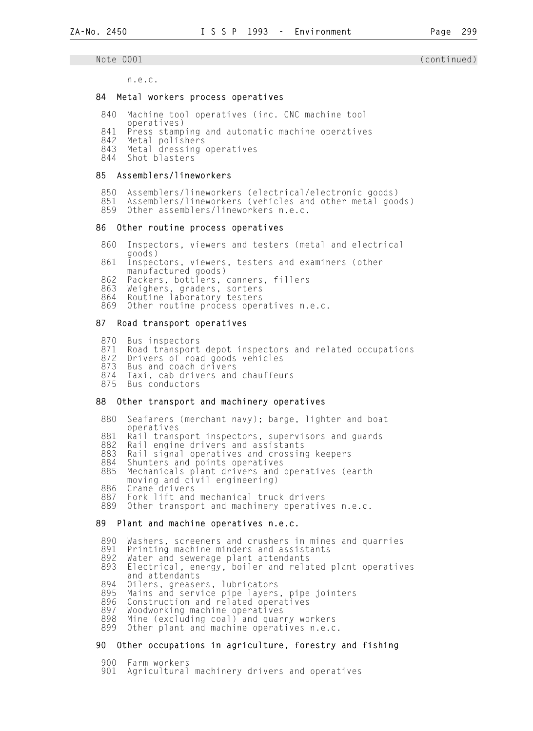n.e.c.

#### 84 Metal workers process operatives

- 840 Machine tool operatives (inc. CNC machine tool
- operatives)<br>841 Press stamp 841 Press stamping and automatic machine operatives<br>842 Metal polishers
- 842 Metal polishers
- 843 Metal dressing operatives
	- 844 Shot blasters

#### 85 Assemblers/lineworkers

- 850 Assemblers/lineworkers (electrical/electronic goods)
- 851 Assemblers/lineworkers (vehicles and other metal goods)<br>859 Other assemblers/lineworkers n.e.c.
- Other assemblers/lineworkers n.e.c.

#### 86 Other routine process operatives

- 860 Inspectors, viewers and testers (metal and electrical goods)<br>861 Inspec
- Inspectors, viewers, testers and examiners (other
- manufactured goods)<br>862 Packers, bottlers,
- 862 Packers, bottlers, canners, fillers<br>863 Weighers, graders, sorters 863 Weighers, graders, sorters
- 864 Routine laboratory testers
	- 869 Other routine process operatives n.e.c.

#### 87 Road transport operatives

- 870 Bus inspectors<br>871 Road transport
- 871 Road transport depot inspectors and related occupations<br>872 Drivers of road goods vehicles
- Drivers of road goods vehicles
- 873 Bus and coach drivers
- 874 Taxi, cab drivers and chauffeurs<br>875 Bus conductors
- Bus conductors

#### 88 Other transport and machinery operatives

- 880 Seafarers (merchant navy); barge, lighter and boat operatives<br>881 Rail trans
- 881 Rail transport inspectors, supervisors and guards<br>882 Rail engine drivers and assistants
- 882 Rail engine drivers and assistants<br>883 Rail signal operatives and crossin
- 883 Rail signal operatives and crossing keepers<br>884 Shunters and points operatives
- 884 Shunters and points operatives<br>885 Mechanicals plant drivers and
- Mechanicals plant drivers and operatives (earth moving and civil engineering)<br>886 Crane drivers
- 
- 886 Crane drivers
- 887 Fork lift and mechanical truck drivers<br>889 Other transport and machinery operativ Other transport and machinery operatives n.e.c.

#### 89 Plant and machine operatives n.e.c.

- 890 Washers, screeners and crushers in mines and quarries
- 891 Printing machine minders and assistants<br>892 Water and sewerage plant attendants
- 892 Water and sewerage plant attendants<br>893 Electrical, energy, boiler and rela
- Electrical, energy, boiler and related plant operatives and attendants<br>894 Oilers, grease
- 894 Oilers, greasers, lubricators
- 895 Mains and service pipe layers, pipe jointers
	- 896 Construction and related operatives<br>897 Woodworking machine operatives
	- 897 Woodworking machine operatives
	- 898 Mine (excluding coal) and quarry workers<br>899 Other plant and machine operatives n.e.c Other plant and machine operatives n.e.c.
	-

## 90 Other occupations in agriculture, forestry and fishing

- 
- 900 Farm workers Agricultural machinery drivers and operatives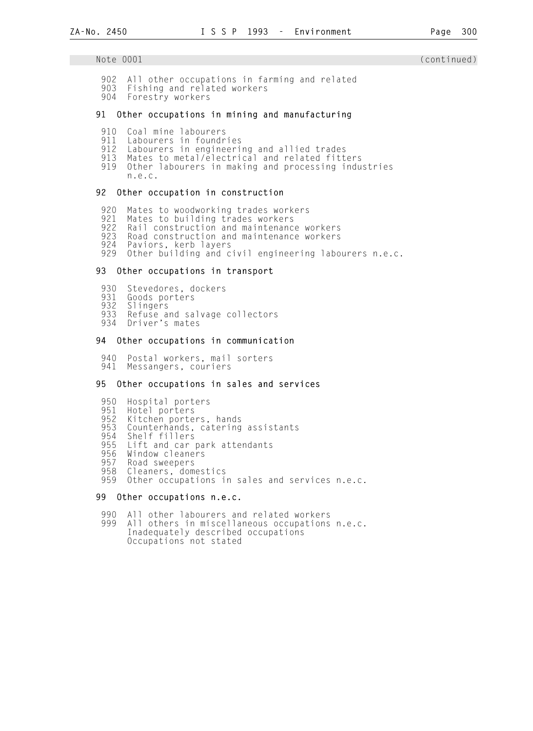- 902 All other occupations in farming and related<br>903 Fishing and related workers
- Fishing and related workers
- 904 Forestry workers

## 91 Other occupations in mining and manufacturing

- 910 Coal mine labourers<br>911 Labourers in foundr
- 911 Labourers in foundries
- 912 Labourers in engineering and allied trades<br>913 Mates to metal/electrical and related fitt
- 913 Mates to metal/electrical and related fitters<br>919 Other labourers in making and processing indu
- Other labourers in making and processing industries n.e.c.

#### 92 Other occupation in construction

920 Mates to woodworking trades workers<br>921 Mates to building trades workers

- 921 Mates to building trades workers
- 922 Rail construction and maintenance workers
	- 923 Road construction and maintenance workers<br>924 Paviors, kerb layers
	- 924 Paviors, kerb layers Other building and civil engineering labourers n.e.c.

## 93 Other occupations in transport

- 930 Stevedores, dockers<br>931 Goods porters
- 931 Goods porters<br>932 Slingers
- 932 Slingers
- 933 Refuse and salvage collectors<br>934 Driver's mates
- Driver's mates

#### 94 Other occupations in communication

 940 Postal workers, mail sorters 941 Messangers, couriers

### 95 Other occupations in sales and services

- 950 Hospital porters
- 951 Hotel porters
- 952 Kitchen porters, hands
- 953 Counterhands, catering assistants<br>954 Shelf fillers
- 954 Shelf fillers<br>955 Lift and car
- 955 Lift and car park attendants
- 956 Window cleaners<br>957 Road sweepers
- 957 Road sweepers<br>958 Cleaners, dom
- 958 Cleaners, domestics<br>959 Other occupations i
- Other occupations in sales and services n.e.c.

#### 99 Other occupations n.e.c.

- 990 All other labourers and related workers<br>999 All others in miscellaneous occupations
- All others in miscellaneous occupations n.e.c. Inadequately described occupations Occupations not stated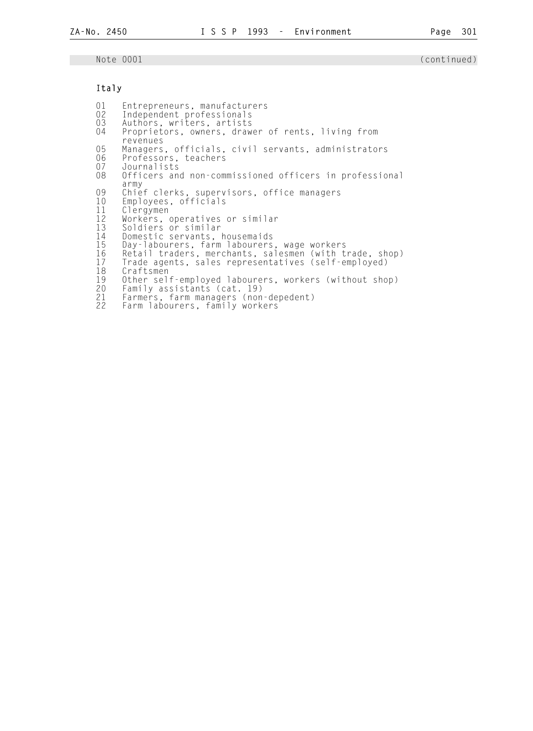## Italy

01 Entrepreneurs, manufacturers<br>02 Independent professionals 02 Independent professionals<br>03 Authors, writers, artists 03 Authors, writers, artists<br>04 Proprietors, owners, draw Proprietors, owners, drawer of rents, living from revenues<br>05 Managers 05 Managers, officials, civil servants, administrators<br>06 Professors, teachers 06 Professors, teachers<br>07 Journalists 07 Journalists<br>08 Officers an Officers and non-commissioned officers in professional army<br>09 Chie 09 Chief clerks, supervisors, office managers 10 Employees, officials 11 Clergymen<br>12 Workers, 12 Workers, operatives or similar 13 Soldiers or similar 14 Domestic servants, housemaids<br>15 Day-labourers, farm labourers 15 Day-labourers, farm labourers, wage workers 16 Retail traders, merchants, salesmen (with trade, shop) 17 Trade agents, sales representatives (self-employed) 18 Craftsmen<br>19 Other sel 19 Other self-employed labourers, workers (without shop) 20 Family assistants (cat. 19) 21 Farmers, farm managers (non-depedent) 22 Farm labourers, family workers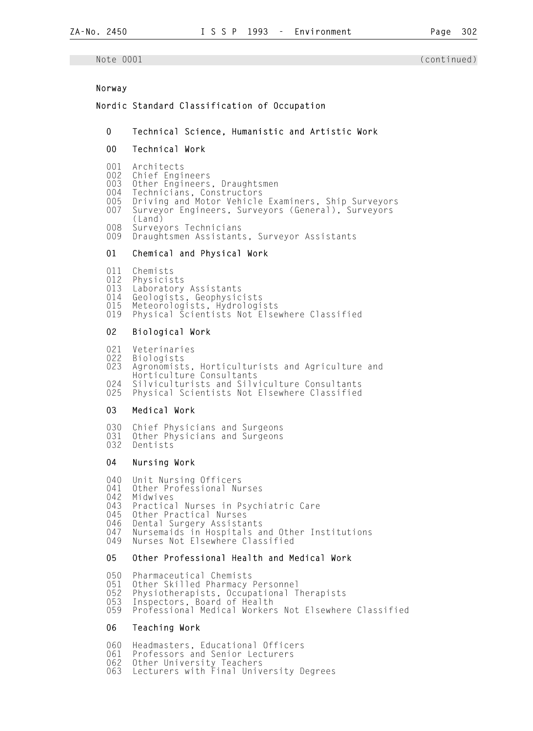## Norway

## Nordic Standard Classification of Occupation

- 0 Technical Science, Humanistic and Artistic Work
- 00 Technical Work

# 001 Architects<br>002 Chief Engi

- 002 Chief Engineers<br>003 Other Engineers
- 003 Other Engineers, Draughtsmen<br>004 Technicians, Constructors
- 004 Technicians, Constructors
- 005 Driving and Motor Vehicle Examiners, Ship Surveyors
	- 007 Surveyor Engineers, Surveyors (General), Surveyors
	- (Land)<br>OOR Survey
	- 008 Surveyors Technicians<br>009 Draughtsmen Assistant
	- Draughtsmen Assistants, Surveyor Assistants

## 01 Chemical and Physical Work

- 011 Chemists<br>012 Physicis
- 012 Physicists<br>013 Laboratory
- 013 Laboratory Assistants<br>014 Geologists, Geophysic
- 014 Geologists, Geophysicists
- 015 Meteorologists, Hydrologists
	- 019 Physical Scientists Not Elsewhere Classified

## 02 Biological Work

- 021 Veterinaries<br>022 Biologists
- **Biologists**

 023 Agronomists, Horticulturists and Agriculture and Horticulture Consultants 024 Silviculturists and Silviculture Consultants

025 Physical Scientists Not Elsewhere Classified

#### 03 Medical Work

030 Chief Physicians and Surgeons<br>031 Other Physicians and Surgeons 031 Other Physicians and Surgeons<br>032 Dentists Dentists

#### 04 Nursing Work

040 Unit Nursing Officers<br>041 Other Professional Nu 041 Other Professional Nurses<br>042 Midwives 042 Midwives<br>043 Practica 043 Practical Nurses in Psychiatric Care<br>045 Other Practical Nurses 045 Other Practical Nurses<br>046 Dental Surgery Assista 046 Dental Surgery Assistants<br>047 Nursemaids in Hospitals a 047 Nursemaids in Hospitals and Other Institutions 049 Nurses Not Elsewhere Classified

### 05 Other Professional Health and Medical Work

050 Pharmaceutical Chemists

- 051 Other Skilled Pharmacy Personnel
	- 052 Physiotherapists, Occupational Therapists<br>053 Inspectors, Board of Health
	- 053 Inspectors, Board of Health<br>059 Professional Medical Worker
	- Professional Medical Workers Not Elsewhere Classified

## 06 Teaching Work

060 Headmasters, Educational Officers<br>061 Professors and Senior Lecturers

- 061 Professors and Senior Lecturers<br>062 Other University Teachers
- 062 Other University Teachers<br>063 Lecturers with Final Univ
- Lecturers with Final University Degrees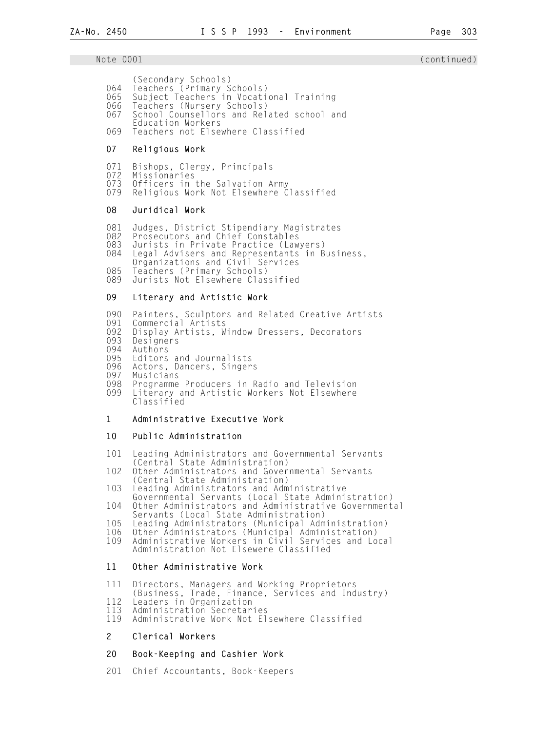(Secondary Schools)

- 064 Teachers (Primary Schools)
- 065 Subject Teachers in Vocational Training
	- 066 Teachers (Nursery Schools)<br>067 School Counsellors and Rel School Counsellors and Related school and
	- Education Workers<br>O69 Teachers not Else
	- Teachers not Elsewhere Classified

## 07 Religious Work

- 071 Bishops, Clergy, Principals<br>072 Missionaries
- 072 Missionaries<br>073 Officers in
- 073 Officers in the Salvation Army Religious Work Not Elsewhere Classified

## 08 Juridical Work

081 Judges, District Stipendiary Magistrates<br>082 Prosecutors and Chief Constables

- Prosecutors and Chief Constables
- 083 Jurists in Private Practice (Lawyers)<br>084 Legal Advisers and Representants in B
- Legal Advisers and Representants in Business,
- Organizations and Civil Services<br>O85 Teachers (Primary Schools)
- 085 Teachers (Primary Schools)<br>089 Jurists Not Elsewhere Clas
- Jurists Not Elsewhere Classified

## 09 Literary and Artistic Work

- 090 Painters, Sculptors and Related Creative Artists
- 091 Commercial Artists
	- 092 Display Artists, Window Dressers, Decorators<br>093 Designers
	- 093 Designers<br>094 Authors
	- 094 Authors<br>095 Editors
	- 095 Editors and Journalists<br>096 Actors, Dancers, Singer
	- 096 Actors, Dancers, Singers<br>097 Musicians
	- 097 Musicians<br>098 Programme
	- 098 Programme Producers in Radio and Television<br>099 Literary and Artistic Workers Not Flsewhere Literary and Artistic Workers Not Elsewhere Classified

## 1 Administrative Executive Work

## 10 Public Administration

- 101 Leading Administrators and Governmental Servants (Central State Administration)<br>102 Other Administrators and Gover
- Other Administrators and Governmental Servants (Central State Administration)<br>103 Leading Administrators and Adm
- Leading Administrators and Administrative Governmental Servants (Local State Administration)<br>104 Other Administrators and Administrative Government
- Other Administrators and Administrative Governmental Servants (Local State Administration)<br>105 Leading Administrators (Municipal Adm
- 105 Leading Administrators (Municipal Administration)
- 106 Other Administrators (Municipal Administration) 109 Administrative Workers in Civil Services and Local
	- Administration Not Elsewere Classified

## 11 Other Administrative Work

- 111 Directors, Managers and Working Proprietors
- (Business, Trade, Finance, Services and Industry)
	- 112 Leaders in Organization
	- 113 Administration Secretaries<br>119 Administrative Work Not Fl Administrative Work Not Elsewhere Classified

## 2 Clerical Workers

## 20 Book-Keeping and Cashier Work

201 Chief Accountants, Book-Keepers

### Note 0001 (continued)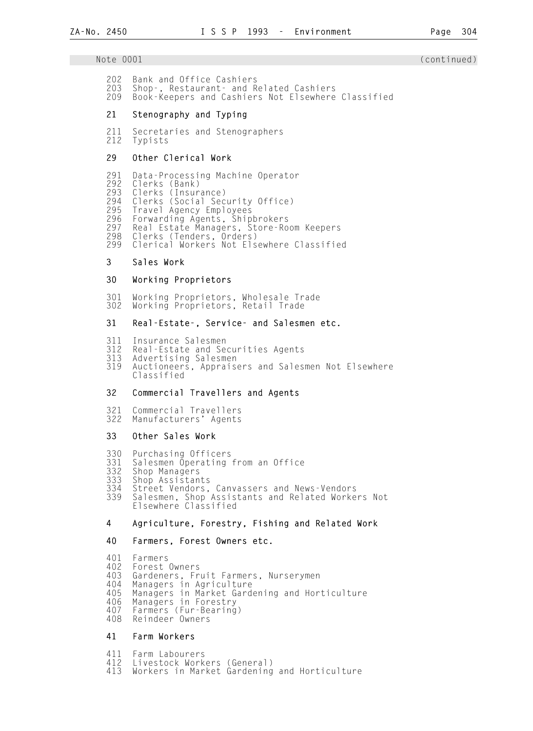## Note 0001 (continued) and the continued) and the continued of the continued of the continued of the continued o

- 202 Bank and Office Cashiers
- 203 Shop-, Restaurant- and Related Cashiers Book-Keepers and Cashiers Not Elsewhere Classified

### 21 Stenography and Typing

211 Secretaries and Stenographers<br>212 Typists Typists

## 29 Other Clerical Work

 291 Data-Processing Machine Operator 292 Clerks (Bank)<br>293 Clerks (Insur 293 Clerks (Insurance)<br>294 Clerks (Social Sec 294 Clerks (Social Security Office) 295 Travel Agency Employees 296 Forwarding Agents, Shipbrokers 297 Real Estate Managers, Store-Room Keepers 298 Clerks (Tenders, Orders) Clerical Workers Not Elsewhere Classified

## 3 Sales Work

#### 30 Working Proprietors

 301 Working Proprietors, Wholesale Trade 302 Working Proprietors, Retail Trade

#### 31 Real-Estate-, Service- and Salesmen etc.

- 311 Insurance Salesmen 312 Real-Estate and Securities Agents
- 313 Advertising Salesmen<br>319 Auctioneers, Apprais
- Auctioneers, Appraisers and Salesmen Not Elsewhere Classified

## 32 Commercial Travellers and Agents

 321 Commercial Travellers Manufacturers' Agents

#### 33 Other Sales Work

- 330 Purchasing Officers<br>331 Salesmen Operating
- 331 Salesmen Operating from an Office
- 332 Shop Managers
- 333 Shop Assistants
- 334 Street Vendors, Canvassers and News-Vendors 339 Salesmen, Shop Assistants and Related Workers Not Elsewhere Classified

#### 4 Agriculture, Forestry, Fishing and Related Work

#### 40 Farmers, Forest Owners etc.

- 401 Farmers
- 402 Forest Owners

403 Gardeners, Fruit Farmers, Nurserymen

- 404 Managers in Agriculture
- 405 Managers in Market Gardening and Horticulture
	- 406 Managers in Forestry<br>407 Farmers (Eur-Bearing
	- 407 Farmers (Fur-Bearing) 408 Reindeer Owners

## 41 Farm Workers

 411 Farm Labourers 412 Livestock Workers (General) Workers in Market Gardening and Horticulture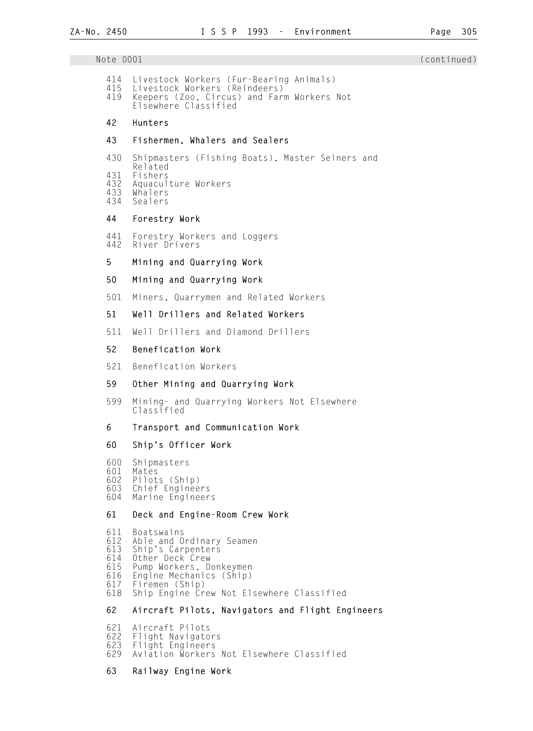Note 0001 (continued) 414 Livestock Workers (Fur-Bearing Animals) 415 Livestock Workers (Reindeers) 419 Keepers (Zoo, Circus) and Farm Workers Not Elsewhere Classified 42 Hunters 43 Fishermen, Whalers and Sealers 430 Shipmasters (Fishing Boats), Master Seiners and Related<br>431 Fishers 431 Fishers 432 Aquaculture Workers 433 Whalers Sealers 44 Forestry Work 441 Forestry Workers and Loggers River Drivers 5 Mining and Quarrying Work 50 Mining and Quarrying Work 501 Miners, Quarrymen and Related Workers 51 Well Drillers and Related Workers 511 Well Drillers and Diamond Drillers 52 Benefication Work 521 Benefication Workers 59 Other Mining and Quarrying Work 599 Mining- and Quarrying Workers Not Elsewhere Classified 6 Transport and Communication Work 60 Ship's Officer Work 600 Shipmasters 601 Mates 602 Pilots (Ship) 603 Chief Engineers<br>604 Marine Engineer Marine Engineers 61 Deck and Engine-Room Crew Work 611 Boatswains 612 Able and Ordinary Seamen 613 Ship's Carpenters 614 Other Deck Crew 615 Pump Workers, Donkeymen 616 Engine Mechanics (Ship)<br>617 Firemen (Ship) 617 Firemen (Ship) 618 Ship Engine Crew Not Elsewhere Classified 62 Aircraft Pilots, Navigators and Flight Engineers 621 Aircraft Pilots 622 Flight Navigators 623 Flight Engineers Aviation Workers Not Elsewhere Classified

## 63 Railway Engine Work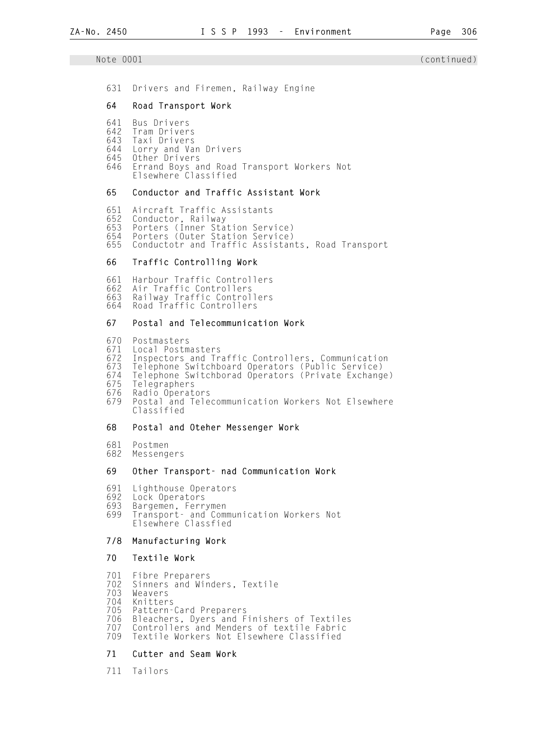631 Drivers and Firemen, Railway Engine

#### 64 Road Transport Work

- 641 Bus Drivers
- 642 Tram Drivers
- 643 Taxi Drivers
	- 644 Lorry and Van Drivers
	- 645 Other Drivers
- 646 Errand Boys and Road Transport Workers Not Elsewhere Classified

## 65 Conductor and Traffic Assistant Work

 651 Aircraft Traffic Assistants 652 Conductor, Railway 653 Porters (Inner Station Service) 654 Porters (Outer Station Service) Conductotr and Traffic Assistants, Road Transport

## 66 Traffic Controlling Work

 661 Harbour Traffic Controllers 662 Air Traffic Controllers 663 Railway Traffic Controllers Road Traffic Controllers

## 67 Postal and Telecommunication Work

 670 Postmasters 671 Local Postmasters

Inspectors and Traffic Controllers, Communication

- 673 Telephone Switchboard Operators (Public Service)
- 674 Telephone Switchborad Operators (Private Exchange)
- 675 Telegraphers
- 676 Radio Operators Postal and Telecommunication Workers Not Elsewhere Classified

## 68 Postal and Oteher Messenger Work

- 681 Postmen
- Messengers

## 69 Other Transport- nad Communication Work

- 691 Lighthouse Operators
- 692 Lock Operators<br>693 Bargemen, Ferr
- 693 Bargemen, Ferrymen<br>699 Transport- and Comm
- Transport- and Communication Workers Not Elsewhere Classfied

## 7/8 Manufacturing Work

#### 70 Textile Work

701 Fibre Preparers

- 702 Sinners and Winders, Textile
- 703 Weavers
- 704 Knitters
- 705 Pattern-Card Preparers
- 706 Bleachers, Dyers and Finishers of Textiles<br>707 Controllers and Menders of textile Fabric
- 707 Controllers and Menders of textile Fabric Textile Workers Not Elsewhere Classified

### 71 Cutter and Seam Work

711 Tailors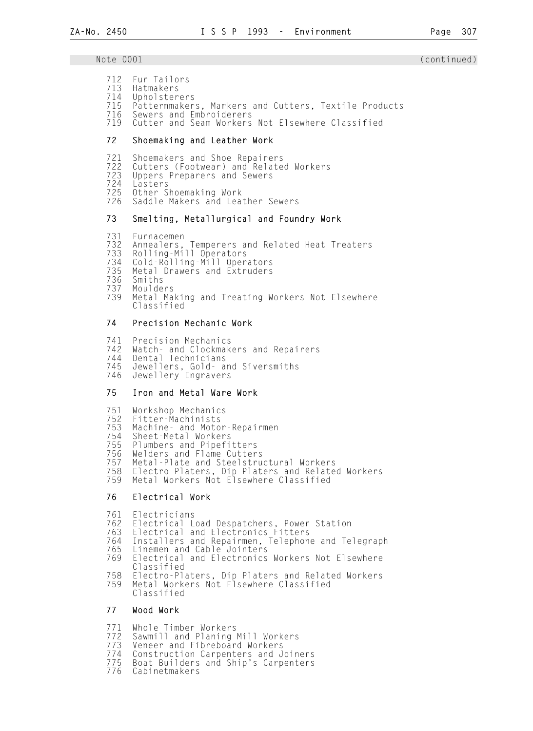- 
- 712 Fur Tailors<br>713 Hatmakers<br>714 Upholsterer Hatmakers
- 714 Upholsterers
- 715 Patternmakers, Markers and Cutters, Textile Products
- 716 Sewers and Embroiderers<br>719 Cutter and Seam Workers Cutter and Seam Workers Not Elsewhere Classified

#### 72 Shoemaking and Leather Work

- 721 Shoemakers and Shoe Repairers
- 722 Cutters (Footwear) and Related Workers
- 723 Uppers Preparers and Sewers
- 724 Lasters
- 725 Other Shoemaking Work<br>726 Saddle Makers and Lea
- Saddle Makers and Leather Sewers

#### 73 Smelting, Metallurgical and Foundry Work

- 731 Furnacemen
- 732 Annealers, Temperers and Related Heat Treaters
- 733 Rolling-Mill Operators
	- 734 Cold-Rolling-Mill Operators<br>735 Metal Drawers and Extruders
	- 735 Metal Drawers and Extruders<br>736 Smiths
	- 736 Smiths
	- 737 Moulders Metal Making and Treating Workers Not Elsewhere Classified

#### 74 Precision Mechanic Work

- 
- 741 Precision Mechanics 742 Watch- and Clockmakers and Repairers 744 Dental Technicians
- 745 Jewellers, Gold- and Siversmiths
- 746 Jewellery Engravers

## 75 Iron and Metal Ware Work

- 751 Workshop Mechanics
- 752 Fitter-Machinists
- 753 Machine- and Motor-Repairmen
- 754 Sheet-Metal Workers
- 755 Plumbers and Pipefitters
- 756 Welders and Flame Cutters
- 757 Metal-Plate and Steelstructural Workers
- 758 Electro-Platers, Dip Platers and Related Workers Metal Workers Not Elsewhere Classified
- 76 Electrical Work

761 Electricians

- 762 Electrical Load Despatchers, Power Station
- 763 Electrical and Electronics Fitters
	- 764 Installers and Repairmen, Telephone and Telegraph
	- 765 Linemen and Cable Jointers Electrical and Electronics Workers Not Elsewhere Classified<br>T58 Flectro-Pla
	- 758 Electro-Platers, Dip Platers and Related Workers Metal Workers Not Elsewhere Classified
	- Classified

## 77 Wood Work

- 771 Whole Timber Workers<br>772 Sawmill and Planing
- 772 Sawmill and Planing Mill Workers
- 773 Veneer and Fibreboard Workers<br>774 Construction Carpenters and J
- 774 Construction Carpenters and Joiners<br>775 Boat Builders and Ship's Carpenters
- 775 Boat Builders and Ship's Carpenters
- Cabinetmakers

### Note 0001 (continued) and the continued) and the continued of the continued of the continued of the continued o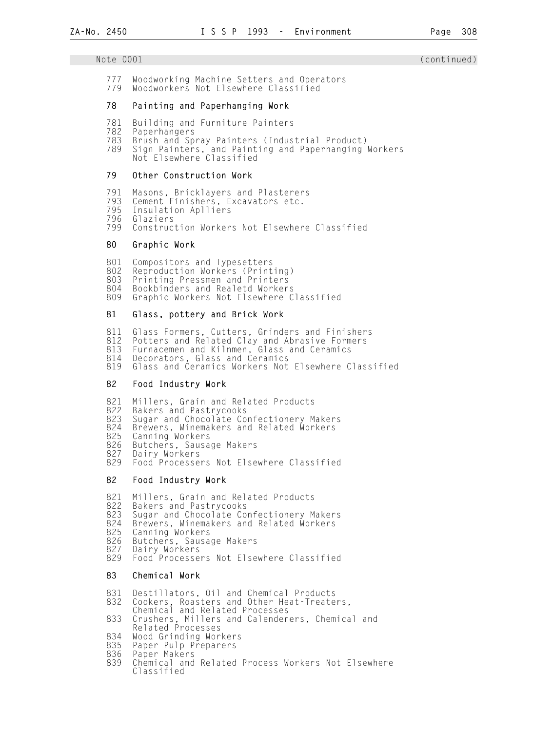## Note 0001 (continued) and the continued) and the continued of the continued of the continued of the continued o

777 Woodworking Machine Setters and Operators<br>779 Woodworkers Not Flsewhere Classified Woodworkers Not Elsewhere Classified

## 78 Painting and Paperhanging Work

- 781 Building and Furniture Painters<br>782 Paperhangers
- 782 Paperhangers
- 783 Brush and Spray Painters (Industrial Product)
- 789 Sign Painters, and Painting and Paperhanging Workers Not Elsewhere Classified

## 79 Other Construction Work

- 791 Masons, Bricklayers and Plasterers
- 793 Cement Finishers, Excavators etc.
	- 795 Insulation Aplliers
	- 796 Glaziers
	- Construction Workers Not Elsewhere Classified

## 80 Graphic Work

 801 Compositors and Typesetters 802 Reproduction Workers (Printing)<br>803 Printing Pressmen and Printers 803 Printing Pressmen and Printers<br>804 Bookbinders and Realetd Worker 804 Bookbinders and Realetd Workers Graphic Workers Not Elsewhere Classified

## 81 Glass, pottery and Brick Work

811 Glass Formers, Cutters, Grinders and Finishers<br>812 Potters and Related Clay and Abrasive Formers 812 Potters and Related Clay and Abrasive Formers 813 Furnacemen and Kilnmen, Glass and Ceramics 814 Decorators, Glass and Ceramics 819 Glass and Ceramics Workers Not Elsewhere Classified

## 82 Food Industry Work

821 Millers, Grain and Related Products<br>822 Bakers and Pastrycooks 822 Bakers and Pastrycooks 823 Sugar and Chocolate Confectionery Makers 824 Brewers, Winemakers and Related Workers<br>825 Canning Workers 825 Canning Workers 826 Butchers, Sausage Makers<br>827 Dairy Workers 827 Dairy Workers 829 Food Processers Not Elsewhere Classified

## 82 Food Industry Work

 821 Millers, Grain and Related Products 822 Bakers and Pastrycooks 823 Sugar and Chocolate Confectionery Makers<br>824 Brewers, Winemakers and Related Workers 824 Brewers, Winemakers and Related Workers 825 Canning Workers 826 Butchers, Sausage Makers<br>827 Dairy Workers 827 Dairy Workers 829 Food Processers Not Elsewhere Classified 83 Chemical Work

831 Destillators, Oil and Chemical Products<br>832 Cookers, Roasters and Other Heat-Treate Cookers, Roasters and Other Heat-Treaters,

- Chemical and Related Processes<br>833 Crushers Millers and Calender
- 833 Crushers, Millers and Calenderers, Chemical and Related Processes
	- 834 Wood Grinding Workers
	- 835 Paper Pulp Preparers<br>836 Paper Makers
	- 836 Paper Makers
	- Chemical and Related Process Workers Not Elsewhere Classified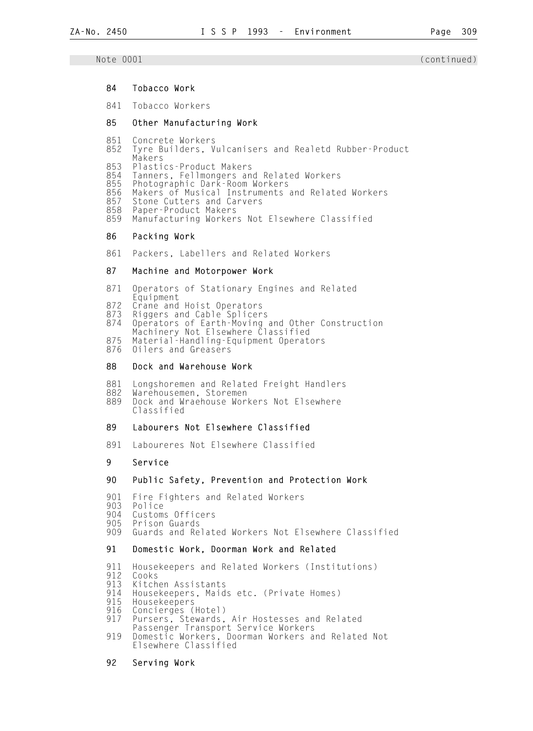#### 84 Tobacco Work

841 Tobacco Workers

## 85 Other Manufacturing Work

- 851 Concrete Workers
- Tyre Builders, Vulcanisers and Realetd Rubber-Product Makers<br>853 Plasti
- 853 Plastics-Product Makers
- 854 Tanners, Fellmongers and Related Workers<br>855 Photographic Dark-Room Workers
- 855 Photographic Dark-Room Workers
- 856 Makers of Musical Instruments and Related Workers
- 857 Stone Cutters and Carvers<br>858 Paper-Product Makers
- 858 Paper-Product Makers Manufacturing Workers Not Elsewhere Classified

#### 86 Packing Work

861 Packers, Labellers and Related Workers

#### 87 Machine and Motorpower Work

- 871 Operators of Stationary Engines and Related
- Equipment<br>872 Crane and
- 872 Crane and Hoist Operators<br>873 Riggers and Cable Splicer
- 873 Riggers and Cable Splicers<br>874 Operators of Earth-Moving 874 Operators of Earth-Moving and Other Construction
- Machinery Not Elsewhere Classified
	- 875 Material-Handling-Equipment Operators
	- 0ilers and Greasers

#### 88 Dock and Warehouse Work

- 881 Longshoremen and Related Freight Handlers<br>882 Warehousemen, Storemen
- 882 Warehousemen, Storemen<br>889 Dock and Wraehouse Wor Dock and Wraehouse Workers Not Elsewhere
	- Classified

## 89 Labourers Not Elsewhere Classified

891 Laboureres Not Elsewhere Classified

## 9 Service

### 90 Public Safety, Prevention and Protection Work

- 901 Fire Fighters and Related Workers
- 903 Police
- 904 Customs Officers<br>905 Prison Guards
- 905 Prison Guards
- Guards and Related Workers Not Elsewhere Classified

#### 91 Domestic Work, Doorman Work and Related

- 911 Housekeepers and Related Workers (Institutions)
- 912 Cooks<br>913 Kitch
- 913 Kitchen Assistants<br>914 Housekeepers, Maid
- 914 Housekeepers, Maids etc. (Private Homes)<br>915 Housekeepers
- 915 Housekeepers<br>916 Concierges (
- 916 Concierges (Hotel)<br>917 Pursers, Stewards,
- Pursers, Stewards, Air Hostesses and Related
- Passenger Transport Service Workers<br>919 Domestic Workers, Doorman Workers a 919 Domestic Workers, Doorman Workers and Related Not Elsewhere Classified

#### 92 Serving Work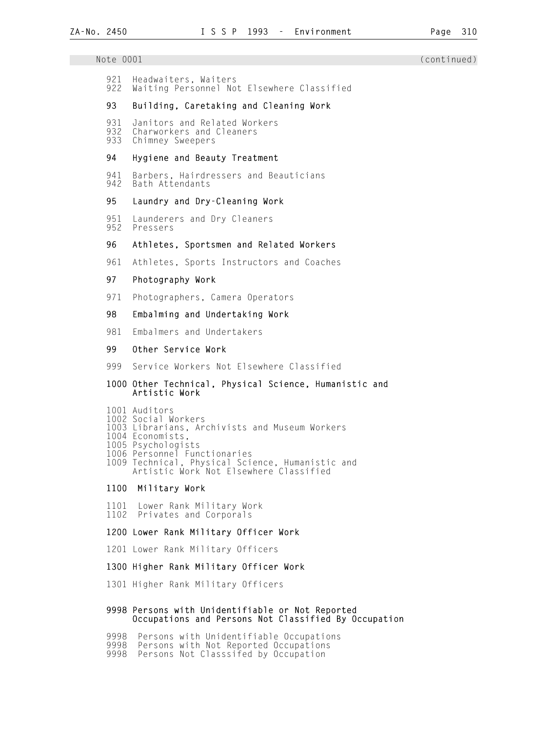| Note 0001         |                                                                              | (continued) |
|-------------------|------------------------------------------------------------------------------|-------------|
| 921<br>922        | Headwaiters, Waiters<br>Waiting Personnel Not Elsewhere Classified           |             |
| 93                | Building, Caretaking and Cleaning Work                                       |             |
| 931<br>932<br>933 | Janitors and Related Workers<br>Charworkers and Cleaners<br>Chimney Sweepers |             |
| 94                | Hygiene and Beauty Treatment                                                 |             |
| 941<br>942        | Barbers, Hairdressers and Beauticians<br>Bath Attendants                     |             |
| 95                | Laundry and Dry-Cleaning Work                                                |             |
| 951<br>952        | Launderers and Dry Cleaners<br>Pressers                                      |             |
| 96                | Athletes, Sportsmen and Related Workers                                      |             |
| 961               | Athletes, Sports Instructors and Coaches                                     |             |
| 97                | Photography Work                                                             |             |
|                   |                                                                              |             |

971 Photographers, Camera Operators

98 Embalming and Undertaking Work

981 Embalmers and Undertakers

#### 99 Other Service Work

- 999 Service Workers Not Elsewhere Classified
- 1000 Other Technical, Physical Science, Humanistic and Artistic Work
- 1001 Auditors
- 1002 Social Workers
- 1003 Librarians, Archivists and Museum Workers
	- 1004 Economists,
- 1005 Psychologists
- 1006 Personnel Functionaries
- 1009 Technical, Physical Science, Humanistic and Artistic Work Not Elsewhere Classified
	- 1100 Military Work
	- 1101 Lower Rank Military Work 1102 Privates and Corporals
	- 1200 Lower Rank Military Officer Work
	- 1201 Lower Rank Military Officers
	- 1300 Higher Rank Military Officer Work
	- 1301 Higher Rank Military Officers

#### 9998 Persons with Unidentifiable or Not Reported Occupations and Persons Not Classified By Occupation

- 9998 Persons with Unidentifiable Occupations
- 9998 Persons with Not Reported Occupations
- 9998 Persons Not Classsifed by Occupation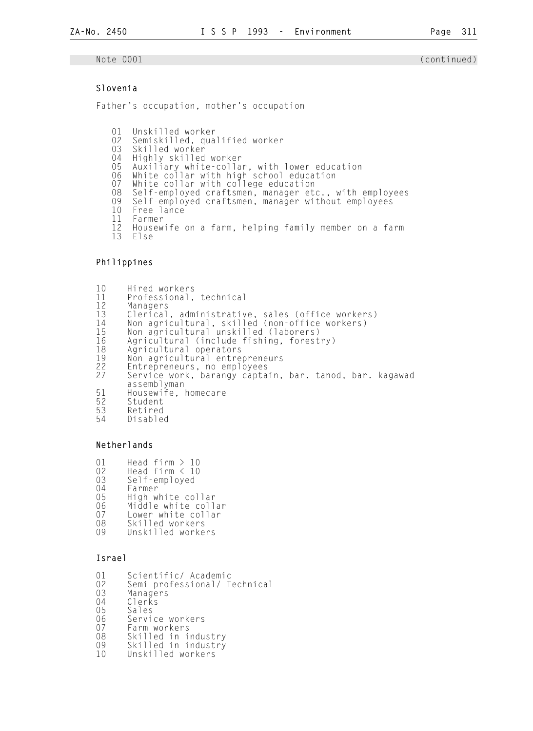## Slovenia

Father's occupation, mother's occupation

01 Unskilled worker<br>02 Semiskilled, qua 02 Semiskilled, qualified worker<br>03 Skilled worker 03 Skilled worker<br>04 Highly skilled 04 Highly skilled worker<br>05 Auxiliary white–colla 05 Auxiliary white-collar, with lower education 06 White collar with high school education 07 White collar with college education 08 Self-employed craftsmen, manager etc., with employees 09 Self-employed craftsmen, manager without employees<br>10 Free lance 10 Free lance<br>11 Farmer 11 Farmer 12 Housewife on a farm, helping family member on a farm

Else

### Philippines

10 Hired workers<br>11 Professional, 11 Professional, technical 12 Managers 13 Clerical, administrative, sales (office workers) 14 Non agricultural, skilled (non-office workers) 15 Non agricultural unskilled (laborers) 16 Agricultural (include fishing, forestry) 18 Agricultural operators 19 Non agricultural entrepreneurs<br>22 Entrepreneurs, no employees<br>27 Service work, barangy captain, 22 Entrepreneurs, no employees 27 Service work, barangy captain, bar. tanod, bar. kagawad assemblyman<br>
51 Housewife, 1<br>
52 Student<br>
53 Retired Housewife, homecare Student 53 Retired Disabled

## Netherlands

- 01 Head firm > 10<br>02 Head firm < 10 02 Head firm < 10<br>03 Self-emploved 03 Self-employed<br>04 Farmer
- 04 Farmer<br>05 High w
- 05 High white collar<br>06 Middle white coll
- 06 Middle white collar<br>07 Lower white collar
- 07 Lower white collar<br>08 Skilled workers
- 08 Skilled workers<br>09 Unskilled worke
- Unskilled workers

## Israel

- 01 Scientific/Academic<br>02 Semi professional/T
- 02 Semi professional/ Technical<br>03 Managers
- 03 Managers<br>04 Clerks
- 04 Clerks<br>05 Sales
- 05 Sales<br>06 Servi
- 06 Service workers<br>07 Farm workers
- 07 Farm workers<br>08 Skilled in i
- 08 Skilled in industry<br>09 Skilled in industry
- 09 Skilled in industry<br>10 Unskilled workers Unskilled workers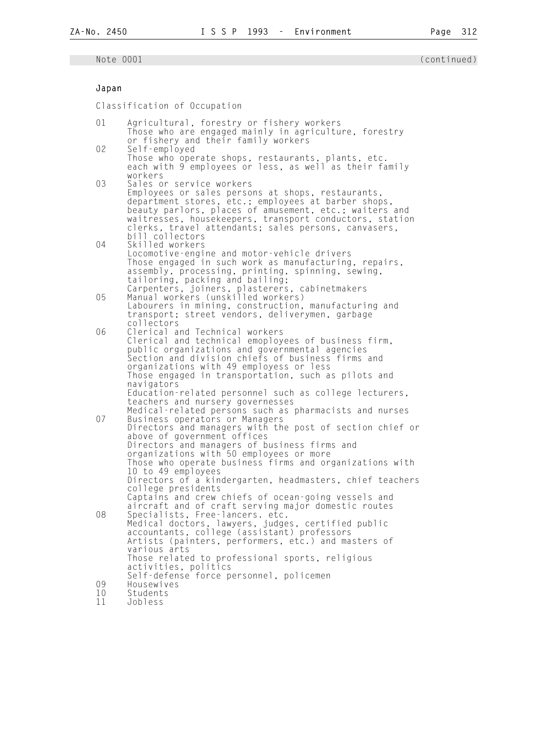## Japan

Classification of Occupation

| 01       | Agricultural, forestry or fishery workers                                                                         |
|----------|-------------------------------------------------------------------------------------------------------------------|
|          | Those who are engaged mainly in agriculture, forestry<br>or fishery and their family workers                      |
| 02       | Self-employed                                                                                                     |
|          | Those who operate shops, restaurants, plants, etc.<br>each with 9 employees or less, as well as their family      |
| 03       | workers<br>Sales or service workers                                                                               |
|          | Employees or sales persons at shops, restaurants,                                                                 |
|          | department stores, etc.; employees at barber shops,                                                               |
|          | beauty parlors, places of amusement, etc.; waiters and<br>waitresses, housekeepers, transport conductors, station |
|          | clerks, travel attendants; sales persons, canvasers,                                                              |
|          | bill collectors                                                                                                   |
| 04       | Skilled workers<br>Locomotive-engine and motor-vehicle drivers                                                    |
|          | Those engaged in such work as manufacturing, repairs,                                                             |
|          | assembly, processing, printing, spinning, sewing,                                                                 |
|          | tailoring, packing and bailing;<br>Carpenters, joiners, plasterers, cabinetmakers                                 |
| 05       | Manual workers (unskilled workers)                                                                                |
|          | Labourers in mining, construction, manufacturing and                                                              |
|          | transport; street vendors, deliverymen, garbage<br>collectors                                                     |
| 06       | Clerical and Technical workers                                                                                    |
|          | Clerical and technical emoployees of business firm,                                                               |
|          | public organizations and governmental agencies<br>Section and division chiefs of business firms and               |
|          | organizations with 49 employess or less                                                                           |
|          | Those engaged in transportation, such as pilots and                                                               |
|          | navigators<br>Education-related personnel such as college lecturers,                                              |
|          | teachers and nursery governesses                                                                                  |
| 07       | Medical-related persons such as pharmacists and nurses                                                            |
|          | Business operators or Managers<br>Directors and managers with the post of section chief or                        |
|          | above of government offices                                                                                       |
|          | Directors and managers of business firms and<br>organizations with 50 employees or more                           |
|          | Those who operate business firms and organizations with                                                           |
|          | 10 to 49 employees                                                                                                |
|          | Directors of a kindergarten, headmasters, chief teachers<br>college presidents                                    |
|          | Captains and crew chiefs of ocean-going vessels and                                                               |
|          | aircraft and of craft serving major domestic routes                                                               |
| 08       | Specialists, Free-lancers. etc.<br>Medical doctors, lawyers, judges, certified public                             |
|          | accountants, college (assistant) professors                                                                       |
|          | Artists (painters, performers, etc.) and masters of                                                               |
|          | various arts<br>Those related to professional sports, religious                                                   |
|          | activities, politics                                                                                              |
|          | Self-defense force personnel, policemen                                                                           |
| 09<br>10 | Housewives<br>Students                                                                                            |
| 11       | Jobless                                                                                                           |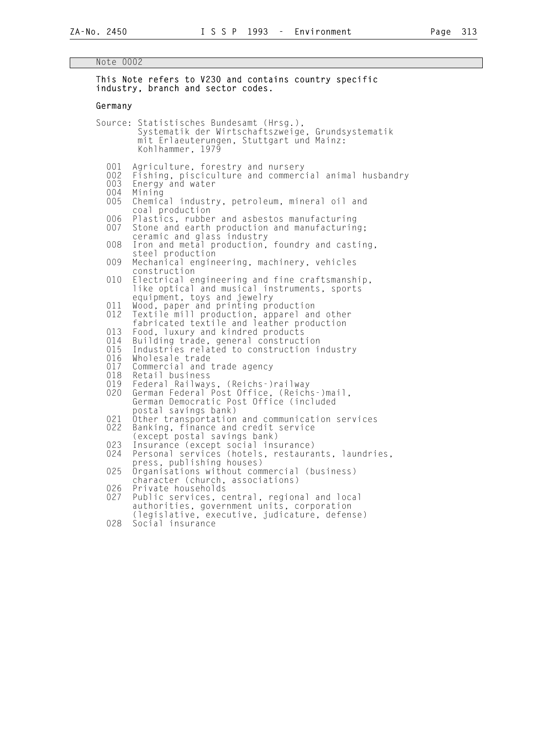## Note 0002

|                                 | This Note refers to V230 and contains country specific<br>industry, branch and sector codes.                                                                                                 |
|---------------------------------|----------------------------------------------------------------------------------------------------------------------------------------------------------------------------------------------|
| Germany                         |                                                                                                                                                                                              |
|                                 | Source: Statistisches Bundesamt (Hrsg.),<br>Systematik der Wirtschaftszweige, Grundsystematik<br>mit Erlaeuterungen, Stuttgart und Mainz:<br>Kohlhammer, 1979                                |
| 001<br>002<br>003<br>004<br>005 | Agriculture, forestry and nursery<br>Fishing, pisciculture and commercial animal husbandry<br>Energy and water<br>Mining<br>Chemical industry, petroleum, mineral oil and<br>coal production |
| 006<br>007                      | Plastics, rubber and asbestos manufacturing<br>Stone and earth production and manufacturing;<br>ceramic and glass industry                                                                   |
| 008                             | Iron and metal production, foundry and casting,<br>steel production                                                                                                                          |
| 009                             | Mechanical engineering, machinery, vehicles<br>construction                                                                                                                                  |
| 010                             | Electrical engineering and fine craftsmanship,<br>like optical and musical instruments, sports<br>equipment, toys and jewelry                                                                |
| 011<br>012                      | Wood, paper and printing production<br>Textile mill production, apparel and other<br>fabricated textile and leather production                                                               |
| 013<br>014<br>015<br>016<br>017 | Food, luxury and kindred products<br>Building trade, general construction<br>Industries related to construction industry<br>Wholesale trade<br>Commercial and trade agency                   |
| 018<br>019<br>020               | Retail business<br>Federal Railways, (Reichs-)railway<br>German Federal Post Office, (Reichs-)mail,<br>German Democratic Post Office (included                                               |
| 021<br>022                      | postal savings bank)<br>Other transportation and communication services<br>Banking, finance and credit service                                                                               |
| 023<br>024                      | (except postal savings bank)<br>Insurance (except social insurance)<br>Personal services (hotels, restaurants, laundries,                                                                    |
| 025                             | press, publishing houses)<br>Organisations without commercial (business)<br>character (church, associations)                                                                                 |
| 026<br>027                      | Private households<br>Public services, central, regional and local<br>authorities, government units, corporation                                                                             |
| 028                             | (legislative, executive, judicature, defense)<br>Social insurance                                                                                                                            |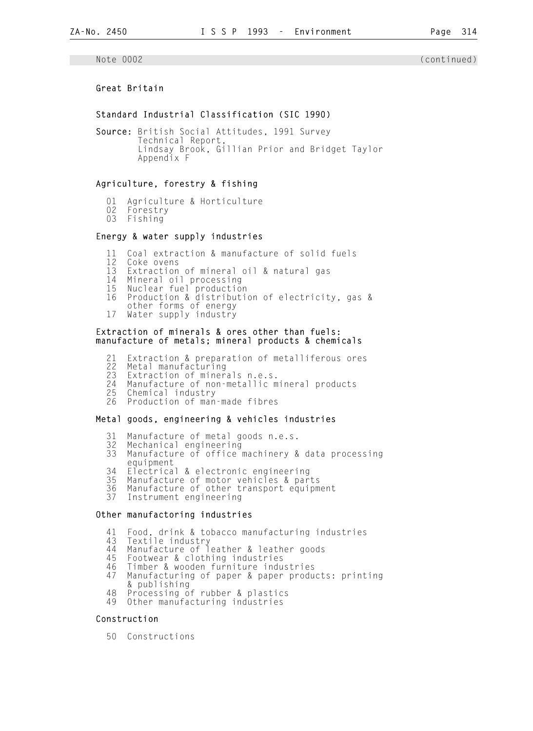## Great Britain

#### Standard Industrial Classification (SIC 1990)

Source: British Social Attitudes, 1991 Survey Technical Report, Lindsay Brook, Gillian Prior and Bridget Taylor Appendix F

### Agriculture, forestry & fishing

- 01 Agriculture & Horticulture<br>02 Forestry
- 02 Forestry<br>03 Fishing
- 03 Fishing

## Energy & water supply industries

- 11 Coal extraction & manufacture of solid fuels<br>12 Coke ovens
- 12 Coke ovens<br>13 Extraction
- Extraction of mineral oil & natural gas
- 14 Mineral oil processing<br>15 Nuclear fuel production
- 15 Nuclear fuel production
- Production & distribution of electricity, gas &
- other forms of energy
- 17 Water supply industry

#### Extraction of minerals & ores other than fuels: manufacture of metals; mineral products & chemicals

- 21 Extraction & preparation of metalliferous ores
- 22 Metal manufacturing
- 23 Extraction of minerals n.e.s.
- 24 Manufacture of non-metallic mineral products
	- 25 Chemical industry
	- 26 Production of man-made fibres

## Metal goods, engineering & vehicles industries

- 31 Manufacture of metal goods n.e.s.
- Mechanical engineering
- 33 Manufacture of office machinery & data processing equipment
- 34 Electrical & electronic engineering
- 35 Manufacture of motor vehicles & parts
- 36 Manufacture of other transport equipment
- 37 Instrument engineering

#### Other manufactoring industries

- 41 Food, drink & tobacco manufacturing industries<br>43 Textile industry
- 43 Textile industry
- 44 Manufacture of leather & leather goods
	- 45 Footwear & clothing industries
	- 46 Timber & wooden furniture industries
	- Manufacturing of paper & paper products: printing
	- & publishing<br>48 Processing o 48 Processing of rubber & plastics
	- Other manufacturing industries

#### Construction

50 Constructions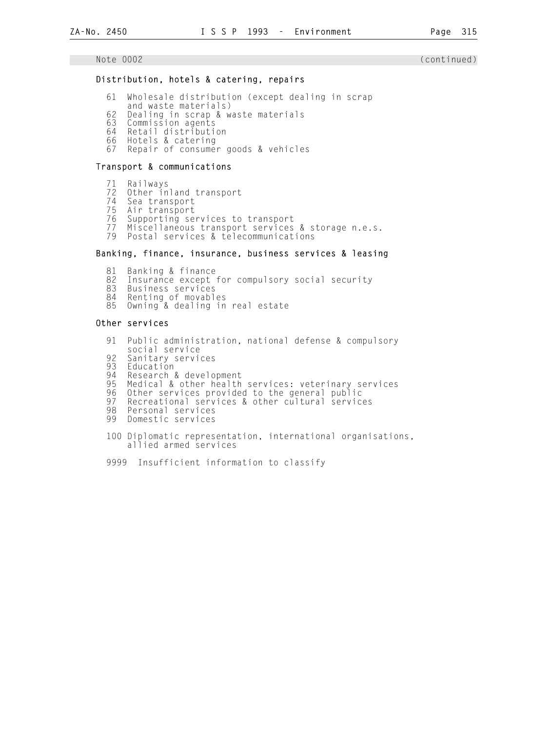## Distribution, hotels & catering, repairs

- 61 Wholesale distribution (except dealing in scrap
- and waste materials)<br>62 Dealing in scrap & w
- 62 Dealing in scrap & waste materials
- 63 Commission agents
- 64 Retail distribution
- 66 Hotels & catering
- 67 Repair of consumer goods & vehicles

#### Transport & communications

 71 Railways 72 Other inland transport<br>74 Sea transport 74 Sea transport 75 Air transport<br>76 Supporting se Supporting services to transport 77 Miscellaneous transport services & storage n.e.s. 79 Postal services & telecommunications

## Banking, finance, insurance, business services & leasing

81 Banking & finance<br>82 Insurance except 82 Insurance except for compulsory social security<br>83 Business services 83 Business services<br>84 Renting of movabl Renting of movables 85 Owning & dealing in real estate

#### Other services

- 91 Public administration, national defense & compulsory social service 92 Sanitary services<br>93 Education 93 Education<br>94 Research & 94 Research & development<br>95 Medical & other health 95 Medical & other health services: veterinary services 96 Other services provided to the general public 97 Recreational services & other cultural services<br>98 Personal services 98 Personal services<br>99 Domestic services Domestic services 100 Diplomatic representation, international organisations, allied armed services
	- 9999 Insufficient information to classify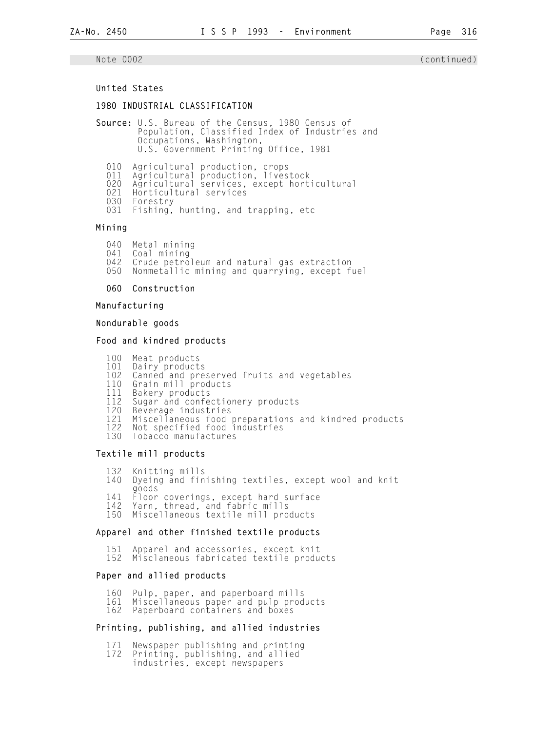## United States

## 1980 INDUSTRIAL CLASSIFICATION

Source: U.S. Bureau of the Census, 1980 Census of Population, Classified Index of Industries and Occupations, Washington, U.S. Government Printing Office, 1981

- 010 Agricultural production, crops
- 011 Agricultural production, livestock
- 020 Agricultural services, except horticultural
	- 021 Horticultural services
	- 030 Forestry
	- 031 Fishing, hunting, and trapping, etc

Mining

- 040 Metal mining<br>041 Coal mining
- 041 Coal mining<br>042 Crude petro
- 042 Crude petroleum and natural gas extraction<br>050 Nonmetallic mining and quarrying, except f
- Nonmetallic mining and quarrying, except fuel

060 Construction

Manufacturing

#### Nondurable goods

#### Food and kindred products

- 100 Meat products
- 101 Dairy products
- 102 Canned and preserved fruits and vegetables
- 110 Grain mill products
	- 111 Bakery products<br>112 Sugar and confe
	- 112 Sugar and confectionery products<br>120 Beverage industries
	- 120 Beverage industries<br>121 Miscellaneous food
- 121 Miscellaneous food preparations and kindred products
- 122 Not specified food industries 130 Tobacco manufactures
	-

## Textile mill products

- 132 Knitting mills<br>140 Dyeing and fin
- Dyeing and finishing textiles, except wool and knit goods
- 141 Floor coverings, except hard surface
- 142 Yarn, thread, and fabric mills
- 150 Miscellaneous textile mill products

#### Apparel and other finished textile products

 151 Apparel and accessories, except knit 152 Misclaneous fabricated textile products

#### Paper and allied products

- 160 Pulp, paper, and paperboard mills<br>161 Miscellaneous paper and pulp prod
- 161 Miscellaneous paper and pulp products<br>162 Paperboard containers and boxes
- Paperboard containers and boxes

#### Printing, publishing, and allied industries

- 171 Newspaper publishing and printing<br>172 Printing, publishing, and allied
- Printing, publishing, and allied
- industries, except newspapers

## Note 0002 (continued)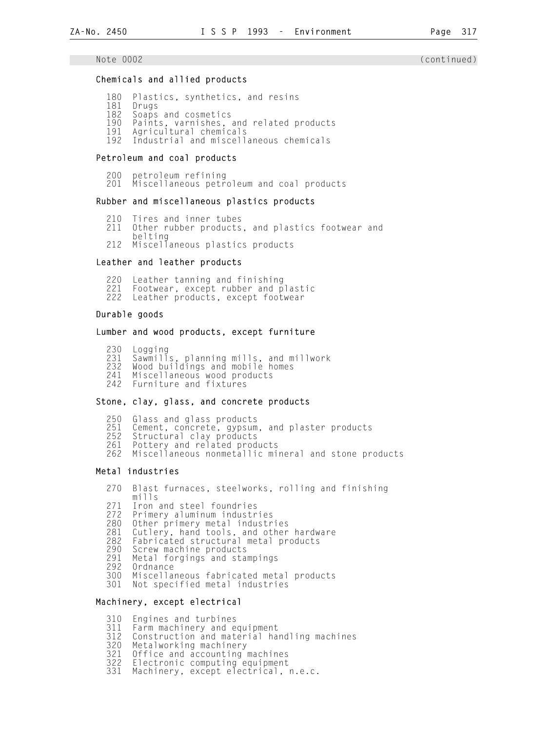#### Chemicals and allied products

- 180 Plastics, synthetics, and resins<br>181 Drugs
- 181 Drugs<br>182 Soaps
- 182 Soaps and cosmetics<br>190 Paints varnishes
- 190 Paints, varnishes, and related products<br>191 Agricultural chemicals
- 191 Agricultural chemicals
- Industrial and miscellaneous chemicals

## Petroleum and coal products

- 200 petroleum refining
- Miscellaneous petroleum and coal products

#### Rubber and miscellaneous plastics products

- 210 Tires and inner tubes<br>211 Other rubber products
- Other rubber products, and plastics footwear and
- belting<br>212 Miscell Miscellaneous plastics products

#### Leather and leather products

220 Leather tanning and finishing<br>221 Footwear, except rubber and p 221 Footwear, except rubber and plastic<br>222 Leather products, except footwear Leather products, except footwear

#### Durable goods

#### Lumber and wood products, except furniture

230 Logging<br>231 Sawmill 231 Sawmills, planning mills, and millwork<br>232 Wood buildings and mobile homes 232 Wood buildings and mobile homes<br>241 Miscellaneous wood products 241 Miscellaneous wood products 242 Furniture and fixtures

### Stone, clay, glass, and concrete products

 250 Glass and glass products 251 Cement, concrete, gypsum, and plaster products<br>252 Structural clay products 252 Structural clay products<br>261 Pottery and related prod Pottery and related products 262 Miscellaneous nonmetallic mineral and stone products

### Metal industries

 270 Blast furnaces, steelworks, rolling and finishing mills<br>271 Iron 271 Iron and steel foundries<br>272 Primery aluminum industr 272 Primery aluminum industries 280 Other primery metal industries 281 Cutlery, hand tools, and other hardware<br>282 Fabricated structural metal products 282 Fabricated structural metal products 290 Screw machine products 291 Metal forgings and stampings<br>292 Ordnance 292 Ordnance 300 Miscellaneous fabricated metal products Not specified metal industries

#### Machinery, except electrical

310 Engines and turbines<br>311 Farm machinery and e

- 311 Farm machinery and equipment
- 312 Construction and material handling machines
- 320 Metalworking machinery<br>321 Office and accounting
- 321 Office and accounting machines<br>322 Electronic computing equipment
- 322 Electronic computing equipment<br>331 Machinery, except electrical,
- Machinery, except electrical, n.e.c.

#### Note 0002 (continued)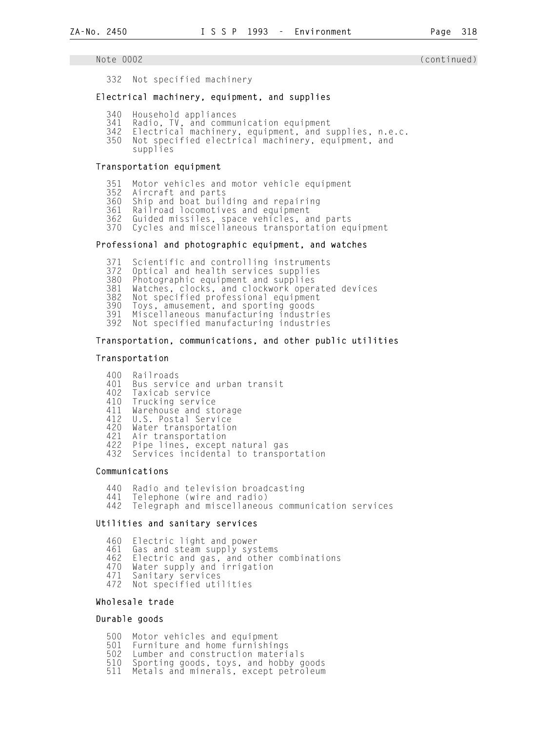332 Not specified machinery

## Electrical machinery, equipment, and supplies

- 340 Household appliances
- 341 Radio, TV, and communication equipment
- 342 Electrical machinery, equipment, and supplies, n.e.c.<br>350 Not specified electrical machinery, equipment, and
- Not specified electrical machinery, equipment, and
- supplies

## Transportation equipment

- 351 Motor vehicles and motor vehicle equipment
- .<br>352 Aircraft and parts<br>360 Ship and boat buil
- 360 Ship and boat building and repairing
- 361 Railroad locomotives and equipment<br>362 Guided missiles, space vehicles, am
- 362 Guided missiles, space vehicles, and parts
- 370 Cycles and miscellaneous transportation equipment

## Professional and photographic equipment, and watches

371 Scientific and controlling instruments<br>372 Optical and health services supplies

- 372 Optical and health services supplies<br>380 Photographic equipment and supplies
- 380 Photographic equipment and supplies

381 Watches, clocks, and clockwork operated devices

- 382 Not specified professional equipment
- 390 Toys, amusement, and sporting goods
- 391 Miscellaneous manufacturing industries
- Not specified manufacturing industries

## Transportation, communications, and other public utilities

#### Transportation

 400 Railroads 401 Bus service and urban transit<br>402 Taxicab service 402 Taxicab service<br>410 Trucking service 410 Trucking service<br>411 Warehouse and st 411 Warehouse and storage 412 U.S. Postal Service 420 Water transportation<br>421 Air transportation 421 Air transportation<br>422 Pipe lines, except 422 Pipe lines, except natural gas<br>432 Services incidental to transpo Services incidental to transportation

## Communications

440 Radio and television broadcasting<br>441 Telephone (wire and radio) 441 Telephone (wire and radio)<br>442 Telegraph and miscellaneou Telegraph and miscellaneous communication services

## Utilities and sanitary services

 460 Electric light and power 461 Gas and steam supply systems<br>462 Electric and gas, and other 462 Electric and gas, and other combinations 470 Water supply and irrigation 471 Sanitary services 472 Not specified utilities

## Wholesale trade

## Durable goods

- 500 Motor vehicles and equipment
- 501 Furniture and home furnishings<br>502 Lumber and construction materi
- 502 Lumber and construction materials
- 510 Sporting goods, toys, and hobby goods
- Metals and minerals, except petroleum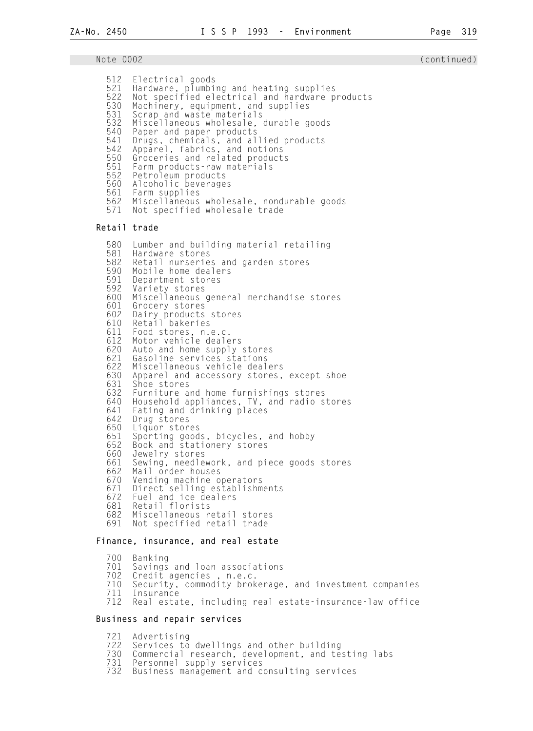| Note 0002                                                                                                                                                                                                                    |                                                                                                                                                                                                                                                                                                                                                                                                                                                                                                                                                                                                                                                                                                                                                                                                                                                                                                                                                                                                                   | (continued) |
|------------------------------------------------------------------------------------------------------------------------------------------------------------------------------------------------------------------------------|-------------------------------------------------------------------------------------------------------------------------------------------------------------------------------------------------------------------------------------------------------------------------------------------------------------------------------------------------------------------------------------------------------------------------------------------------------------------------------------------------------------------------------------------------------------------------------------------------------------------------------------------------------------------------------------------------------------------------------------------------------------------------------------------------------------------------------------------------------------------------------------------------------------------------------------------------------------------------------------------------------------------|-------------|
| 512<br>521<br>522<br>530<br>531<br>532<br>540<br>541<br>542<br>550<br>551<br>552<br>561<br>571                                                                                                                               | Electrical goods<br>Hardware, plumbing and heating supplies<br>Not specified electrical and hardware products<br>Machinery, equipment, and supplies<br>Scrap and waste materials<br>Miscellaneous wholesale, durable goods<br>Paper and paper products<br>Drugs, chemicals, and allied products<br>Apparel, fabrics, and notions<br>Groceries and related products<br>Farm products-raw materials<br>Petroleum products<br>560 Alcoholic beverages<br>Farm supplies<br>562 Miscellaneous wholesale, nondurable goods<br>Not specified wholesale trade                                                                                                                                                                                                                                                                                                                                                                                                                                                             |             |
| Retail trade                                                                                                                                                                                                                 |                                                                                                                                                                                                                                                                                                                                                                                                                                                                                                                                                                                                                                                                                                                                                                                                                                                                                                                                                                                                                   |             |
| 580<br>581<br>590<br>591<br>592<br>600<br>601<br>602<br>610<br>611<br>612<br>620<br>621<br>622<br>630<br>631<br>632<br>640<br>641<br>642<br>650<br>651<br>652<br>660<br>661<br>662<br>670<br>671<br>672<br>681<br>682<br>691 | Lumber and building material retailing<br>Hardware stores<br>582 Retail nurseries and garden stores<br>Mobile home dealers<br>Department stores<br>Variety stores<br>Miscellaneous general merchandise stores<br>Grocery stores<br>Dairy products stores<br>Retail bakeries<br>Food stores, n.e.c.<br>Motor vehicle dealers<br>Auto and home supply stores<br>Gasoline services stations<br>Miscellaneous vehicle dealers<br>Apparel and accessory stores, except shoe<br>Shoe stores<br>Furniture and home furnishings stores<br>Household appliances, TV, and radio stores<br>Eating and drinking places<br>Drug stores<br>Liquor stores<br>Sporting goods, bicycles, and hobby<br>Book and stationery stores<br>Jewelry stores<br>Sewing, needlework, and piece goods stores<br>Mail order houses<br>Vending machine operators<br>Direct selling establishments<br>Fuel and ice dealers<br>Retail florists<br>Miscellaneous retail stores<br>Not specified retail trade<br>Finance, insurance, and real estate |             |
|                                                                                                                                                                                                                              |                                                                                                                                                                                                                                                                                                                                                                                                                                                                                                                                                                                                                                                                                                                                                                                                                                                                                                                                                                                                                   |             |

 700 Banking 701 Savings and loan associations<br>702 Credit agencies , n.e.c.<br>710 Security, commodity brokerage<br>711 Insurance 702 Credit agencies , n.e.c. 710 Security, commodity brokerage, and investment companies 711 Insurance 712 Real estate, including real estate-insurance-law office

## Business and repair services

 721 Advertising 722 Services to dwellings and other building 730 Commercial research, development, and testing labs 731 Personnel supply services 732 Business management and consulting services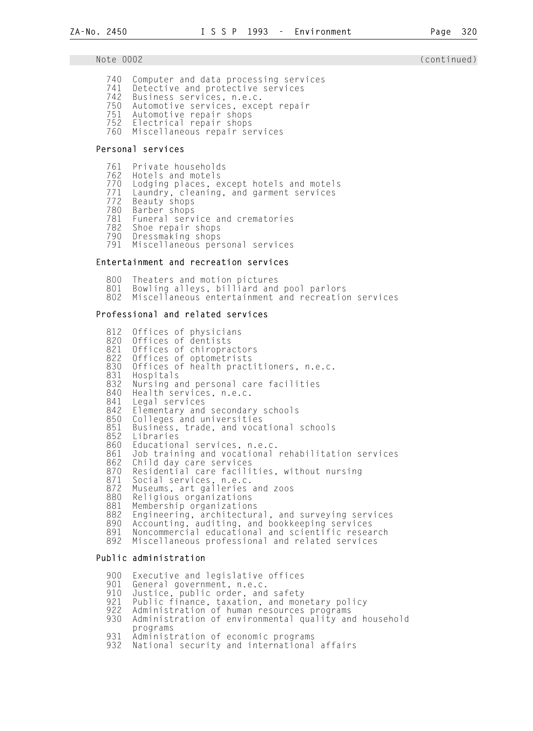- 740 Computer and data processing services 741 Detective and protective services<br>742 Business services, n.e.c. 742 Business services, n.e.c.
- 750 Automotive services, except repair
- 751 Automotive repair shops
- Electrical repair shops
- 760 Miscellaneous repair services

## Personal services

- 761 Private households
- 762 Hotels and motels<br>770 Lodging places, e
- 770 Lodging places, except hotels and motels
- 771 Laundry, cleaning, and garment services
- 772 Beauty shops
- 780 Barber shops
- 781 Funeral service and crematories
	- 782 Shoe repair shops
	- 790 Dressmaking shops Miscellaneous personal services

#### Entertainment and recreation services

800 Theaters and motion pictures<br>801 Bowling alleys, billiard and 801 Bowling alleys, billiard and pool parlors Miscellaneous entertainment and recreation services

## Professional and related services

|            | 812 Offices of physicians<br>820 Offices of dentists                     |
|------------|--------------------------------------------------------------------------|
|            | 821 Offices of chiropractors                                             |
|            | 822 Offices of optometrists                                              |
| 830        | Offices of health practitioners, n.e.c.                                  |
| 831        | Hospitals                                                                |
| 832        | Nursing and personal care facilities                                     |
| 840        | Health services, n.e.c.                                                  |
| 841        | Legal services                                                           |
|            | 842 Elementary and secondary schools                                     |
| 851        | 850 Colleges and universities<br>Business, trade, and vocational schools |
|            | 852 Libraries                                                            |
|            | 860 Educational services, n.e.c.                                         |
| 861        | Job training and vocational rehabilitation services                      |
| 862        | Child day care services                                                  |
| 870        | Residential care facilities, without nursing                             |
| 871        | Social services, n.e.c.                                                  |
| 872        | Museums, art galleries and zoos                                          |
| 880<br>881 | Religious organizations<br>Membership organizations                      |
| 882        | Engineering, architectural, and surveying services                       |
| 890        | Accounting, auditing, and bookkeeping services                           |
| 891        | Noncommercial educational and scientific research                        |
| 892        | Miscellaneous professional and related services                          |

#### Public administration

900 Executive and legislative offices<br>901 General government, n.e.c. 901 General government, n.e.c.<br>910 Justice. public order, and 910 Justice, public order, and safety 921 Public finance, taxation, and monetary policy 922 Administration of human resources programs Administration of environmental quality and household programs<br>931 Administ 931 Administration of economic programs<br>932 National security and international National security and international affairs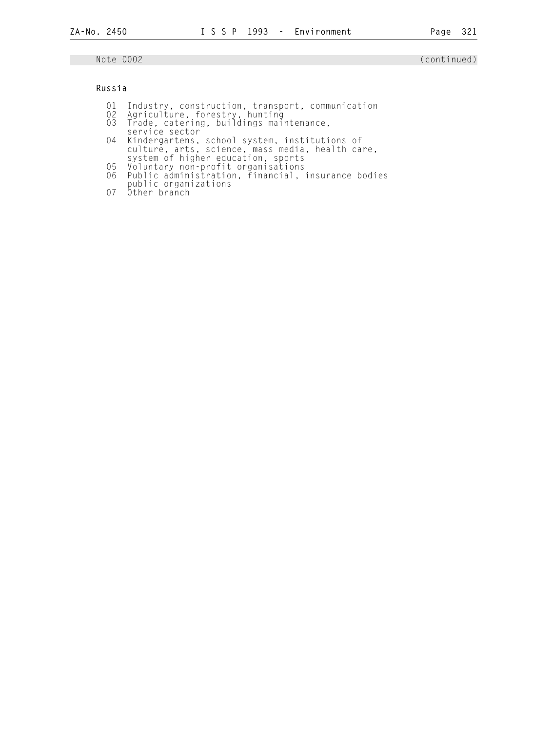## Russia

- 01 Industry, construction, transport, communication
- 02 Agriculture, forestry, hunting 03 Trade, catering, buildings maintenance,
- service sector
- 04 Kindergartens, school system, institutions of culture, arts, science, mass media, health care, system of higher education, sports
- 05 Voluntary non-profit organisations
- 06 Public administration, financial, insurance bodies
- public organizations
- 07 Other branch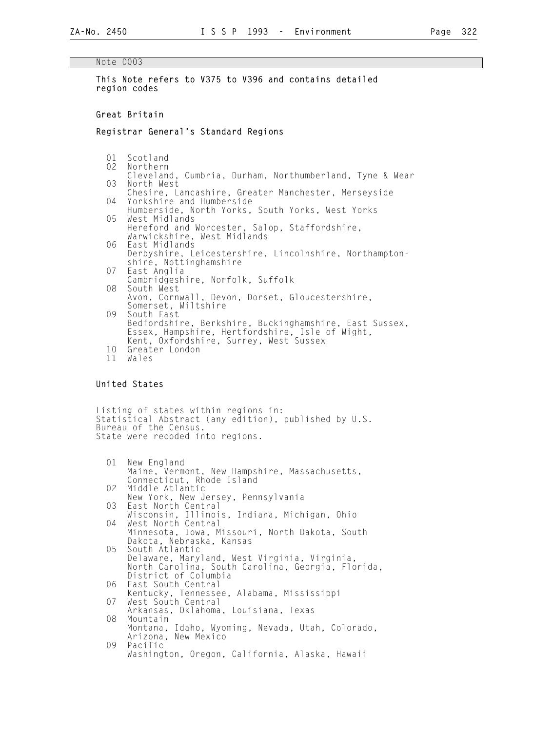#### Note 0003

 This Note refers to V375 to V396 and contains detailed region codes

#### Great Britain

#### Registrar General's Standard Regions

01 Scotland<br>02 Northern

- Northern
- Cleveland, Cumbria, Durham, Northumberland, Tyne & Wear North West
- Chesire, Lancashire, Greater Manchester, Merseyside<br>04 Yorkshire and Humberside Yorkshire and Humberside
- Humberside, North Yorks, South Yorks, West Yorks West Midlands Hereford and Worcester, Salop, Staffordshire,
- Warwickshire, West Midlands<br>06 Fast Midlands East Midlands
- Derbyshire, Leicestershire, Lincolnshire, Northampton shire, Nottinghamshire
	- 07 East Anglia Cambridgeshire, Norfolk, Suffolk<br>08 South West
	- South West Avon, Cornwall, Devon, Dorset, Gloucestershire, Somerset, Wiltshire<br>09 South East South East Bedfordshire, Berkshire, Buckinghamshire, East Sussex, Essex, Hampshire, Hertfordshire, Isle of Wight, Kent, Oxfordshire, Surrey, West Sussex<br>10. Greater London Greater London

```
 11 Wales
```
## United States

 Listing of states within regions in: Statistical Abstract (any edition), published by U.S. Bureau of the Census. State were recoded into regions.

```
 01 New England 
             Maine, Vermont, New Hampshire, Massachusetts, 
       Connecticut, Rhode Island<br>02 Middle Atlantic
            Middle Atlantic
       New York, New Jersey, Pennsylvania<br>03 Fast North Central
            East North Central
             Wisconsin, Illinois, Indiana, Michigan, Ohio 
        04 West North Central 
             Minnesota, Iowa, Missouri, North Dakota, South 
             Dakota, Nebraska, Kansas 
        05 South Atlantic 
             Delaware, Maryland, West Virginia, Virginia, 
             North Carolina, South Carolina, Georgia, Florida, 
       District of Columbia<br>O6  East South Central
            East South Central
       Kentucky, Tennessee, Alabama, Mississippi<br>07 West South Central
            West South Central
       Arkansas, Oklahoma, Louisiana, Texas<br>08 Mountain
            Mountain
 Montana, Idaho, Wyoming, Nevada, Utah, Colorado, 
 Arizona, New Mexico 
        09 Pacific 
             Washington, Oregon, California, Alaska, Hawaii
```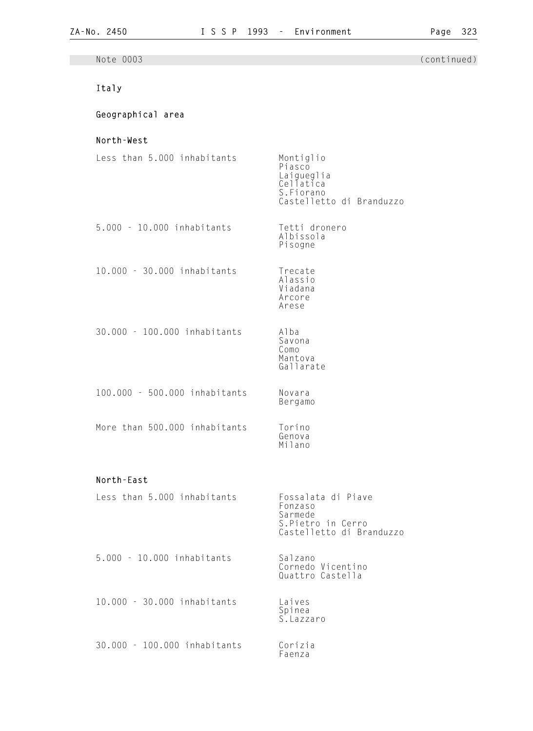| Note 0003                     |                                                                                            | (continued) |
|-------------------------------|--------------------------------------------------------------------------------------------|-------------|
| Italy                         |                                                                                            |             |
| Geographical area             |                                                                                            |             |
| North-West                    |                                                                                            |             |
| Less than 5.000 inhabitants   | Montiglio<br>Piasco<br>Laigueglia<br>Cellatica<br>S.Fiorano<br>Castelletto di Branduzzo    |             |
| 5.000 - 10.000 inhabitants    | Tetti dronero<br>Albissola<br>Pisogne                                                      |             |
| 10.000 - 30.000 inhabitants   | Trecate<br>Alassio<br>Viadana<br>Arcore<br>Arese                                           |             |
| 30.000 - 100.000 inhabitants  | Alba<br>Savona<br>Como<br>Mantova<br>Gallarate                                             |             |
| 100.000 - 500.000 inhabitants | Novara<br>Bergamo                                                                          |             |
| More than 500.000 inhabitants | Torino<br>Genova<br>Milano                                                                 |             |
| North-East                    |                                                                                            |             |
| Less than 5.000 inhabitants   | Fossalata di Piave<br>Fonzaso<br>Sarmede<br>S. Pietro in Cerro<br>Castelletto di Branduzzo |             |
| 5.000 - 10.000 inhabitants    | Salzano<br>Cornedo Vicentino<br>Quattro Castella                                           |             |
| 10.000 - 30.000 inhabitants   | Laives<br>Spinea<br>S. Lazzaro                                                             |             |
| 30.000 - 100.000 inhabitants  | Corizia<br>Faenza                                                                          |             |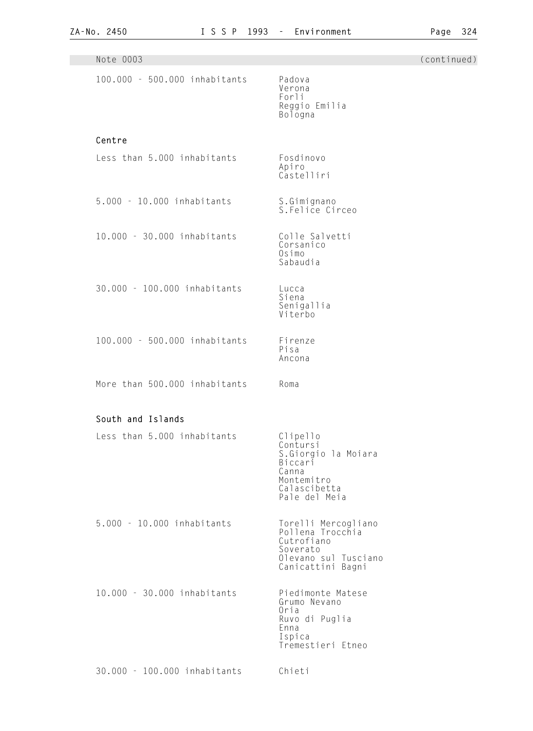| Note 0003                     |                                                                                                                | (continued) |
|-------------------------------|----------------------------------------------------------------------------------------------------------------|-------------|
| 100.000 - 500.000 inhabitants | Padova<br>Verona<br>Forli<br>Reggio Emilia<br>Bologna                                                          |             |
| Centre                        |                                                                                                                |             |
| Less than 5.000 inhabitants   | Fosdinovo<br>Apiro<br>Castelliri                                                                               |             |
| 5.000 - 10.000 inhabitants    | S.Gimignano<br>S.Felice Circeo                                                                                 |             |
| 10.000 - 30.000 inhabitants   | Colle Salvetti<br>Corsanico<br>Osimo<br>Sabaudia                                                               |             |
| 30.000 - 100.000 inhabitants  | Lucca<br>Siena<br>Senigallia<br>Viterbo                                                                        |             |
| 100.000 - 500.000 inhabitants | Firenze<br>Pisa<br>Ancona                                                                                      |             |
| More than 500.000 inhabitants | Roma                                                                                                           |             |
| South and Islands             |                                                                                                                |             |
| Less than 5.000 inhabitants   | Clipello<br>Contursi<br>S.Giorgio la Moiara<br>Biccari<br>Canna<br>Montemitro<br>Calascibetta<br>Pale del Meia |             |
| 5.000 - 10.000 inhabitants    | Torelli Mercogliano<br>Pollena Trocchia<br>Cutrofiano<br>Soverato<br>Olevano sul Tusciano<br>Canicattini Bagni |             |
| 10.000 - 30.000 inhabitants   | Piedimonte Matese<br>Grumo Nevano<br>Oria<br>Ruvo di Puglia<br>Enna<br>Ispica<br>Tremestieri Etneo             |             |
| 30.000 - 100.000 inhabitants  | Chieti                                                                                                         |             |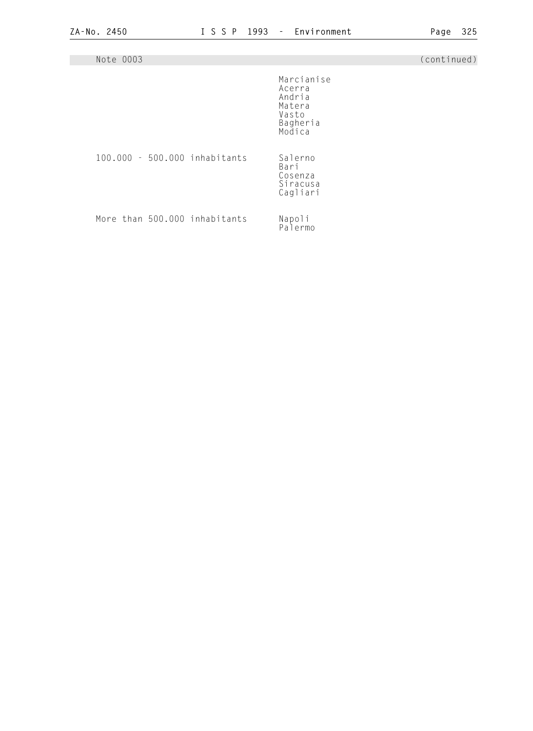| Note 0003                     |                                                                         | (continued) |
|-------------------------------|-------------------------------------------------------------------------|-------------|
|                               | Marcianise<br>Acerra<br>Andria<br>Matera<br>Vasto<br>Bagheria<br>Modica |             |
| 100.000 - 500.000 inhabitants | Salerno<br>Bari<br>Cosenza<br>Siracusa<br>Cagliari                      |             |
| More than 500.000 inhabitants | Napoli<br>Palermo                                                       |             |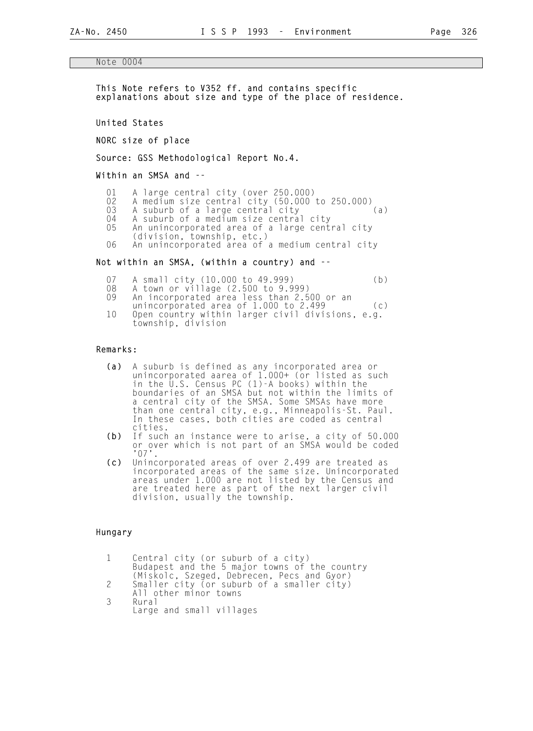#### Note 0004

 This Note refers to V352 ff. and contains specific explanations about size and type of the place of residence.

United States

NORC size of place

Source: GSS Methodological Report No.4.

Within an SMSA and --

- 01 A large central city (over 250.000)<br>02 A medium size central city (50.000 t
- 02 A medium size central city (50.000 to 250.000)
- 03 A suburb of a large central city (a)
- 04 A suburb of a medium size central city 05 An unincorporated area of a large central city
	- (division, township, etc.)<br>O6 An unincorporated area of a
	- An unincorporated area of a medium central city

#### Not within an SMSA, (within a country) and --

- 07 A small city (10.000 to 49.999) (b)<br>08 A town or village (2.500 to 9.999)
- 08 A town or village (2.500 to 9.999)<br>09 An incorporated area less than 2.5
- 09 An incorporated area less than 2.500 or an
- unincorporated area of 1.000 to 2.499 (c) 10 Open country within larger civil divisions, e.g. township, division

#### Remarks:

- (a) A suburb is defined as any incorporated area or **(a)**  unincorporated aarea of 1.000+ (or listed as such in the U.S. Census PC (1)-A books) within the boundaries of an SMSA but not within the limits of a central city of the SMSA. Some SMSAs have more than one central city, e.g., Minneapolis-St. Paul. In these cases, both cities are coded as central cities.<br>(b) If such
- If such an instance were to arise, a city of 50.000 or over which is not part of an SMSA would be coded '07'.
	- (c) Unincorporated areas of over 2.499 are treated as **(c)**  incorporated areas of the same size. Unincorporated areas under 1.000 are not listed by the Census and are treated here as part of the next larger civil division, usually the township.

#### Hungary

| Central city (or suburb of a city)            |
|-----------------------------------------------|
| Budapest and the 5 major towns of the country |
| (Miskolc, Szeged, Debrecen, Pecs and Gyor)    |
| Smaller city (or suburb of a smaller city)    |
| All other minor towns                         |
| Rural                                         |
| Large and small villages                      |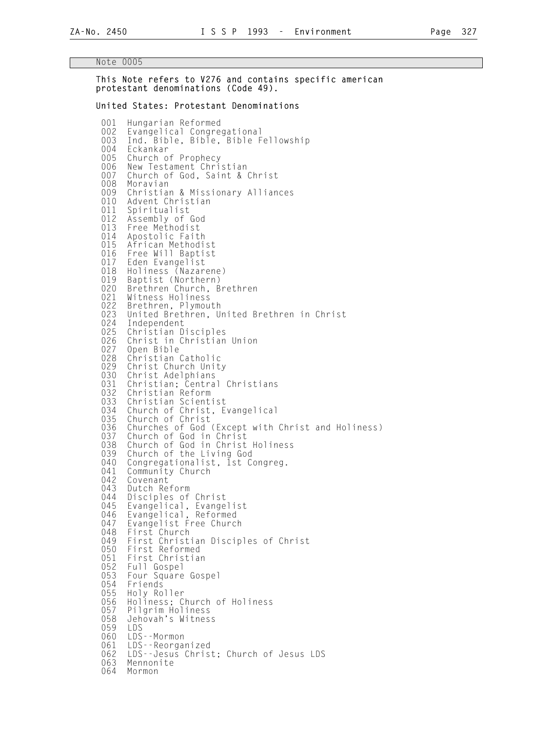This Note refers to V276 and contains specific american

 protestant denominations (Code 49). United States: Protestant Denominations 001 Hungarian Reformed<br>002 Evangelical Congre 002 Evangelical Congregational<br>003 Ind. Bible, Bible, Bible F 003 Ind. Bible, Bible, Bible Fellowship<br>004 Fckankar 004 Eckankar<br>005 Church o Church of Prophecy 006 New Testament Christian 007 Church of God, Saint & Christ 008 Moravian<br>009 Christia 009 Christian & Missionary Alliances<br>010 Advent Christian 010 Advent Christian<br>011 Spiritualist 011 Spiritualist<br>012 Assembly of 012 Assembly of God<br>013 Free Methodist 013 Free Methodist<br>014 Apostolic Fait Apostolic Faith 015 African Methodist<br>016 Free Will Baptist 016 Free Will Baptist<br>017 Eden Evangelist 017 Eden Evangelist<br>018 Holiness (Nazar 018 Holiness (Nazarene)<br>019 Baptist (Northern) 019 Baptist (Northern)<br>020 Brethren Church, B 020 Brethren Church, Brethren<br>021 Witness Holiness 021 Witness Holiness<br>022 Brethren, Plymou 022 Brethren, Plymouth<br>023 United Brethren, U 023 United Brethren, United Brethren in Christ<br>024 Independent 024 Independent<br>025 Christian D 025 Christian Disciples<br>026 Christ in Christian 026 Christ in Christian Union<br>027 Open Bible 027 Open Bible<br>028 Christian 028 Christian Catholic<br>029 Christ Church Unit 029 Christ Church Unity<br>030 Christ Adelphians 030 Christ Adelphians 031 Christian; Central Christians 032 Christian Reform<br>033 Christian Scient 033 Christian Scientist<br>034 Church of Christ, F 034 Church of Christ, Evangelical<br>035 Church of Christ 035 Church of Christ<br>036 Churches of God 036 Churches of God (Except with Christ and Holiness)<br>037 Church of God in Christ 037 Church of God in Christ<br>038 Church of God in Christ 038 Church of God in Christ Holiness<br>039 Church of the Living God 039 Church of the Living God<br>040 Congregationalist, 1st C 040 Congregationalist, 1st Congreg.<br>041 Community Church 041 Community Church<br>042 Covenant 042 Covenant<br>043 Dutch Re 043 Dutch Reform<br>044 Disciples of 044 Disciples of Christ<br>045 Evangelical, Evange 045 Evangelical, Evangelist 046 Evangelical, Reformed 047 Evangelist Free Church<br>048 First Church 048 First Church<br>049 First Christ 049 First Christian Disciples of Christ 050 First Reformed<br>051 First Christia 051 First Christian<br>052 Full Gospel 052 Full Gospel<br>053 Four Square 053 Four Square Gospel<br>054 Friends 054 Friends<br>055 Holy Ro 055 Holy Roller<br>056 Holiness: C 056 Holiness; Church of Holiness<br>057 Pilgrim Holiness 057 Pilgrim Holiness 058 Jehovah's Witness<br>059 LDS 059 LDS 060 LDS--Mormon<br>061 LDS--Reorgan 061 LDS--Reorganized<br>062 LDS--Jesus Chris 062 LDS--Jesus Christ; Church of Jesus LDS<br>063 Mennonite 063 Mennonite<br>064 Mormon Mormon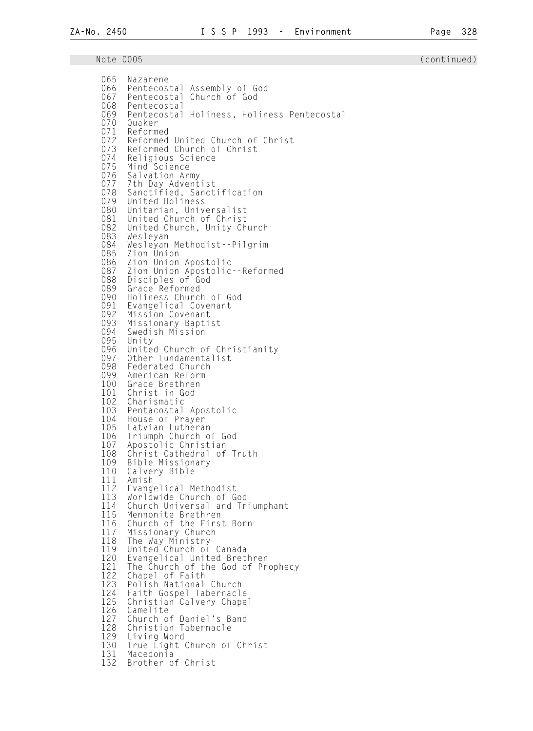| 065<br>066 | Nazarene<br>Assembly of God<br>Pentecostal<br>067 Pentecostal<br>Church of God                         |
|------------|--------------------------------------------------------------------------------------------------------|
| 070        | 068 Pentecostal<br>069 Pentecostal Holiness, Holiness Pentecostal<br>Ouaker                            |
| 072<br>073 | 071 Reformed<br>Reformed United Church of Christ<br>Reformed Church of Christ<br>074 Religious Science |
| 075        | Mind Science                                                                                           |
| 076        | Salvation Army                                                                                         |
| 077        | 7th Day Adventist                                                                                      |
| 078        | Sanctified, Sanctification                                                                             |
| 079        | United Holiness                                                                                        |
| 080        | Unitarian, Universalist                                                                                |
| 081        | United Church of Christ                                                                                |
| 082        | United Church, Unity Church                                                                            |
| 083        | Wesleyan                                                                                               |
| 084        | Wesleyan Methodist--Pilgrim                                                                            |
| 085        | Zion Union                                                                                             |
| 086        | Zion Union Apostolic                                                                                   |
| 087        | Zion Union Apostolic -- Reformed                                                                       |
| 088        | Disciples of God                                                                                       |
| 089        | Grace Reformed                                                                                         |
| 090        | Holiness Church of God                                                                                 |
| 091        | Evangelical Covenant                                                                                   |
| 092        | Mission Covenant                                                                                       |
| 093        | Missionary Baptist                                                                                     |
| 094        | Swedish Mission                                                                                        |
| 095        | Unity                                                                                                  |
| 096        | United Church of Christianity                                                                          |
| 097        | Other Fundamentalist                                                                                   |
| 098        | Federated Church                                                                                       |
| 099        | American Reform                                                                                        |
| 100        | Grace Brethren                                                                                         |
| 101        | Christ in God                                                                                          |
| 102        | Charismatic                                                                                            |
| 103        | Pentacostal Apostolic                                                                                  |
| 104        | House of Prayer                                                                                        |
| 105        | Latvian Lutheran                                                                                       |
| 106        | Triumph Church of God                                                                                  |
| 107        | Apostolic Christian                                                                                    |
| 108        | Christ Cathedral of Truth                                                                              |
| 109        | Bible Missionary                                                                                       |
| 110        | Calvery Bible                                                                                          |
| 111        | Amish                                                                                                  |
| 112        | Evangelical Methodist                                                                                  |
| 113        | Worldwide Church of God                                                                                |
| 114        | Church Universal and Triumphant                                                                        |
| 115        | Mennonite Brethren                                                                                     |
| 116        | Church of the First Born                                                                               |
| 117        | Missionary Church                                                                                      |
| 118        | The Way Ministry                                                                                       |
| 119        | United Church of Canada                                                                                |
| 120        | Evangelical United Brethren                                                                            |
| 121        | The Church of the God of Prophecy                                                                      |
| 122        | Chapel of Faith                                                                                        |
| 123        | Polish National Church                                                                                 |
| 124        | Faith Gospel Tabernacle                                                                                |
| 125        | Christian Calvery Chapel                                                                               |
| 126        | Camelite                                                                                               |
| 127        | Church of Daniel's Band                                                                                |
| 128        | Christian Tabernacle                                                                                   |
| 129        | Living Word                                                                                            |
| 130        | True Light Church of Christ                                                                            |
| 131        | Macedonia                                                                                              |
| 132        | Brother of Christ                                                                                      |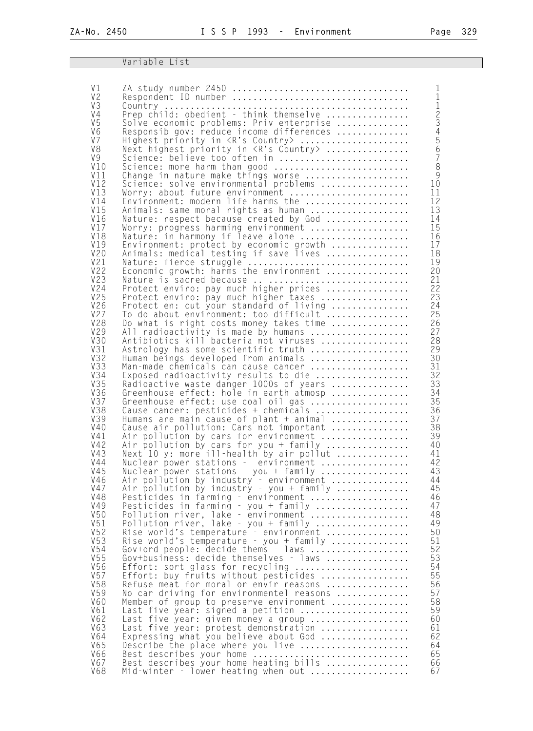## **Variable List**

| V <sub>1</sub>       |                                                                                     | 1                |
|----------------------|-------------------------------------------------------------------------------------|------------------|
| V <sub>2</sub>       |                                                                                     | $\mathbf{1}$     |
| V3                   |                                                                                     | 123456           |
| V <sub>4</sub>       |                                                                                     |                  |
| V <sub>5</sub>       | Solve economic problems: Priv enterprise                                            |                  |
| V <sub>6</sub>       | Responsib gov: reduce income differences                                            |                  |
| V <sub>7</sub><br>V8 | Highest priority in <r's country=""> </r's>                                         |                  |
| V <sub>9</sub>       | Next highest priority in <r's country=""> <br/>Science: believe too often in </r's> | $\overline{7}$   |
| V10                  | Science: more harm than good                                                        | $\overset{.}{8}$ |
| V11                  | Change in nature make things worse                                                  | 9                |
| V12                  | Science: solve environmental problems                                               | 10               |
| V13                  | Worry: about future environment                                                     | 11               |
| V14                  | Environment: modern life harms the                                                  | 12               |
| V15                  | Animals: same moral rights as human                                                 | 13               |
| V16                  | Nature: respect because created by God                                              | 14               |
| V17                  | Worry: progress harming environment                                                 | 15               |
| <b>V18</b><br>V19    | Nature: in harmony if leave alone                                                   | 16<br>17         |
| V20                  | Environment: protect by economic growth<br>Animals: medical testing if save lives   | 18               |
| V21                  |                                                                                     | 19               |
| V22                  | Nature: fierce struggle<br>Economic growth: harms the environment                   | 20               |
| <b>V23</b>           | Nature is sacred because                                                            | 21               |
| V24                  | Protect enviro: pay much higher prices                                              | 22               |
| V25                  | Protect enviro: pay much higher taxes                                               | 23               |
| V26                  | Protect en: cut your standard of living                                             | 24               |
| V27                  | To do about environment: too difficult                                              | 25               |
| <b>V28</b>           | Do what is right costs money takes time                                             | 26               |
| V29<br>V30           | All radioactivity is made by humans<br>Antibiotics kill bacteria not viruses        | 27<br>28         |
| V31                  | Astrology has some scientific truth                                                 | 29               |
| V32                  | Human beings developed from animals                                                 | 30               |
| V33                  | Man-made chemicals can cause cancer                                                 | 31               |
| V34                  | Exposed radioactivity results to die                                                | 32               |
| V35                  | Radioactive waste danger 1000s of years                                             | 33               |
| V36                  | Greenhouse effect: hole in earth atmosp                                             | 34               |
| V37                  | Greenhouse effect: use coal oil gas                                                 | 35               |
| <b>V38</b>           | Cause cancer: pesticides + chemicals                                                | 36               |
| V39<br>V40           | Humans are main cause of plant + animal<br>Cause air pollution: Cars not important  | 37<br>38         |
| V41                  | Air pollution by cars for environment                                               | 39               |
| V42                  | Air pollution by cars for you + family                                              | 40               |
| V43                  | Next 10 y: more ill-health by air pollut                                            | 41               |
| V44                  | Nuclear power stations - environment                                                | 42               |
| V45                  | Nuclear power stations - you + family                                               | 43               |
| V46                  | Air pollution by industry - environment                                             | 44               |
| V47                  | Air pollution by industry - you + family                                            | 45               |
| <b>V48</b>           | Pesticides in farming - environment                                                 | 46               |
| V49<br>V50           | Pesticides in farming - you + family                                                | 47<br>48         |
| V51                  | Pollution river, lake - environment<br>Pollution river, lake - you + family         | 49               |
| V52                  | Rise world's temperature - environment                                              | 50               |
| V53                  | Rise world's temperature - you + family                                             | 51               |
| V54                  | Gov+ord people: decide thems - laws                                                 | 52               |
| V55                  | Gov+business: decide themselves - laws                                              | 53               |
| V56                  | Effort: sort glass for recycling                                                    | 54               |
| V57                  | Effort: buy fruits without pesticides                                               | 55               |
| <b>V58</b>           | Refuse meat for moral or envir reasons                                              | 56               |
| V59<br><b>V60</b>    | No car driving for environmentel reasons<br>Member of group to preserve environment | 57<br>58         |
| V61                  | Last five year: signed a petition                                                   | 59               |
| V62                  | Last five year: given money a group                                                 | 60               |
| V63                  | Last five year: protest demonstration                                               | 61               |
| V64                  | Expressing what you believe about God                                               | 62               |
| V65                  | Describe the place where you live                                                   | 64               |
| V66                  | Best describes your home<br>Best describes your home heating bills                  | 65               |
| V67                  |                                                                                     | 66               |
| <b>V68</b>           | Mid-winter - lower heating when out                                                 | 67               |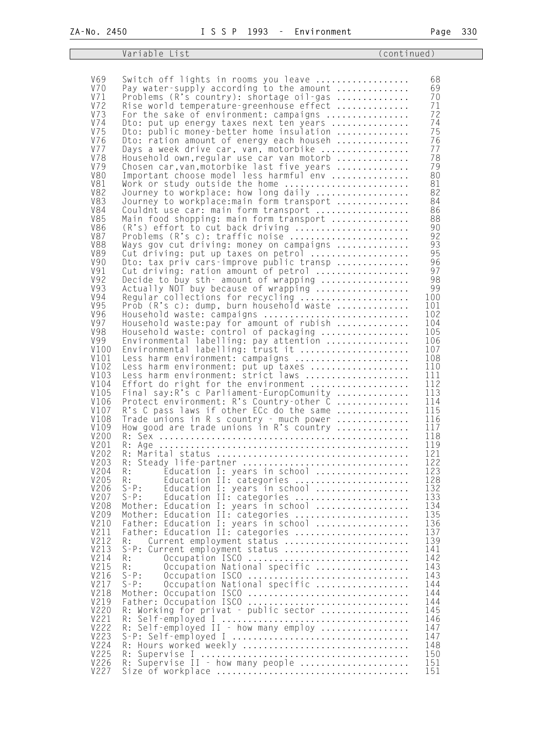Variable List (continued) V69 Switch off lights in rooms you leave .................. 68 V70 Pay water-supply according to the amount .............. 69 V71 Problems (R's country): shortage oil-gas .............. 70 V72 Rise world temperature-greenhouse effect .............. 71 V73 For the sake of environment: campaigns ................ 72 V74 Dto: put up energy taxes next ten years ................ 74 V75 Dto: public money-better home insulation .............. 75 V76 Dto: ration amount of energy each househ .............. 76 V77 Days a week drive car, van, motorbike ................. 77 V78 Household own,regular use car van motorb .............. 78 V79 Chosen car,van,motorbike last five years .............. 79 V80 Important choose model less harmful env ............... 80 V81 Work or study outside the home ........................ 81 V82 Journey to workplace: how long daily .................. 82 V83 Journey to workplace:main form transport .............. 84 V84 Couldnt use car: main form transport .................. 86 V85 Main food shopping: main form transport ............... 88 V86 (R's) effort to cut back driving ...................... 90 V87 Problems (R's c): traffic noise ....................... 92 V88 Ways gov cut driving: money on campaigns .............. 93 V89 Cut driving: put up taxes on petrol ................... 95 V90 Dto: tax priv cars-improve public transp .............. 96 V91 Cut driving: ration amount of petrol .................. 97 V92 Decide to buy sth- amount of wrapping ................. 98 V93 Actually NOT buy because of wrapping .................. 99 V94 Regular collections for recycling ..................... 100 V95 Prob (R's c): dump, burn household waste .............. 101 V96 Household waste: campaigns ............................ 102 V97 Household waste:pay for amount of rubish .............. 104 V98 Household waste: control of packaging ................. 105 V99 Environmental labelling: pay attention ................ 106 V100 Environmental labelling: trust it ..................... 107 V101 Less harm environment: campaigns ...................... 108 V102 Less harm environment: put up taxes ................... 110 V103 Less harm environment: strict laws .................... 111 V104 Effort do right for the environment ................... 112 V105 Final say:R's c Parliament-EuropComunity .............. 113 V106 Protect environment: R's Country-other C .............. 114 V107 R's C pass laws if other ECc do the same ................ 115 V108 Trade unions in R s country - much power .............. 116 V109 How good are trade unions in R's country .............. 117 V200 R: Sex ................................................ 118 V201 R: Age ................................................ 119 V202 R: Marital status ..................................... 121 V203 R: Steady life-partner ................................ 122 V204 R: Education I: years in school ..................... 123 V205 R: Education II: categories ........................... 128 V206 S-P: Education I: years in school ..................... 132 V207 S-P: Education II: categories ...................... 133 V208 Mother: Education I: years in school ..................... 134 V209 Mother: Education II: categories ...................... 135 V210 Father: Education I: years in school .................. 136 V211 Father: Education II: categories ...................... 137 V212 R: Current employment status ........................ 139 V213 S-P: Current employment status ........................ 141 V214 R: Occupation ISCO ............................... 142 V215 R: Occupation National specific .................. 143 V216 S-P: Occupation ISCO ............................... 143 V217 S-P: Occupation National specific .................. 144 V218 Mother: Occupation ISCO ............................... 144 V219 Father: Occupation ISCO ............................... 144 V220 R: Working for privat - public sector ................. 145 V221 R: Self-employed I .................................... 146

 V222 R: Self-employed II - how many employ ................. 147 V223 S-P: Self-employed I .................................. 147 V224 R: Hours worked weekly ................................ 148 V225 R: Supervise I ........................................ 150 <code>V226 R: Supervise II</code> – how many people  $\ldots \ldots \ldots \ldots \ldots \ldots \ldots \quad 151$ V227 Size of workplace ..................................... 151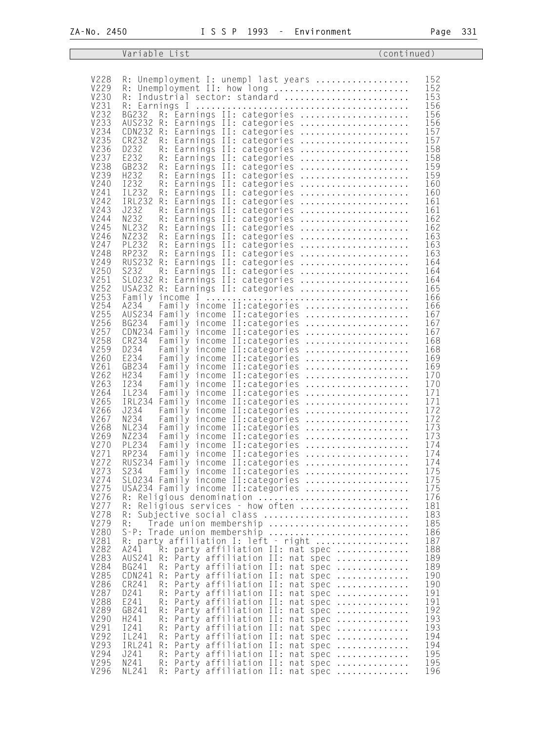|                     | Variable List                                                                                  | (continued) |  |
|---------------------|------------------------------------------------------------------------------------------------|-------------|--|
|                     |                                                                                                |             |  |
| V228                | R: Unemployment I: unempl last years                                                           | 152         |  |
| V229                | R: Unemployment II: how long                                                                   | 152         |  |
| V230                | R: Industrial sector: standard                                                                 | 153         |  |
| V231<br>V232        |                                                                                                | 156<br>156  |  |
| V233                | R: Earnings II: categories<br>BG232<br>AUS232 R: Earnings II: categories                       | 156         |  |
| V234                | CDN232 R: Earnings II: categories                                                              | 157         |  |
| V235                | CR232<br>R: Earnings II: categories                                                            | 157         |  |
| V236                | D232<br>R: Earnings II: categories                                                             | 158         |  |
| V237<br>V238        | E232<br>R: Earnings II: categories<br>GB232<br>R: Earnings II: categories                      | 158<br>159  |  |
| V239                | H232<br>Earnings II: categories<br>R:                                                          | 159         |  |
| V240                | I232<br>R: Earnings II: categories                                                             | 160         |  |
| V241                | IL232<br>R: Earnings II: categories                                                            | 160         |  |
| V242<br>V243        | IRL232<br>R: Earnings II: categories<br>J232                                                   | 161<br>161  |  |
| V244                | R: Earnings II: categories<br>N232<br>R: Earnings II: categories                               | 162         |  |
| V245                | <b>NL232</b><br>Earnings II: categories<br>R:                                                  | 162         |  |
| V246                | NZ232<br>R: Earnings II: categories                                                            | 163         |  |
| V247                | <b>PL232</b><br>R: Earnings II: categories                                                     | 163         |  |
| V248<br>V249        | RP232<br>R: Earnings II: categories<br><b>RUS232</b><br>R: Earnings II: categories             | 163<br>164  |  |
| V250                | S232<br>R:<br>Earnings II: categories                                                          | 164         |  |
| V251                | SLO232 R: Earnings II: categories                                                              | 164         |  |
| V252                | USA232 R: Earnings II: categories                                                              | 165         |  |
| V253<br>V254        |                                                                                                | 166         |  |
| V255                | A234<br>Family income II: categories<br>AUS234 Family income II: categories                    | 166<br>167  |  |
| V256                | <b>BG234</b><br>Family income II: categories                                                   | 167         |  |
| V257                | CDN234 Family income II: categories                                                            | 167         |  |
| V258                | CR234<br>Family income II: categories                                                          | 168         |  |
| V259<br>V260        | D234<br>Family income II: categories<br>E234<br>Family income II: categories                   | 168<br>169  |  |
| V261                | GB234<br>Family income II: categories<br>.                                                     | 169         |  |
| V262                | H234<br>Family income II: categories                                                           | 170         |  |
| V263                | I234<br>Family income II: categories                                                           | 170         |  |
| V264<br>V265        | IL234<br>Family income II: categories<br>IRL234 Family income II: categories                   | 171<br>171  |  |
| V266                | J234<br>Family income II: categories                                                           | 172         |  |
| V267                | N234<br>Family income II: categories                                                           | 172         |  |
| V268                | <b>NL234</b><br>Family income II: categories                                                   | 173         |  |
| V269                | NZ234<br>Family income II: categories                                                          | 173         |  |
| V270<br>V271        | PL234<br>Family income II: categories<br>RP234<br>Family income II:categories                  | 174<br>174  |  |
| V272                | RUS234 Family income II: categories                                                            | 174         |  |
| V273                | S234<br>Family income II: categories                                                           | 175         |  |
| V274                | SLO234 Family income II: categories                                                            | 175         |  |
| V275<br>V276        | USA234 Family income II: categories<br>R: Religious denomination                               | 175<br>176  |  |
| V277                | R: Religious services - how often                                                              | 181         |  |
| V278                | R: Subjective social class                                                                     | 183         |  |
| V279                | Trade union membership<br>R:                                                                   | 185         |  |
| <b>V280</b><br>V281 | S-P: Trade union membership<br>R: party affiliation I: left - right                            | 186<br>187  |  |
| V282                | A241<br>R: party affiliation II: nat spec                                                      | 188         |  |
| V283                | AUS241 R: Party affiliation II: nat spec                                                       | 189         |  |
| V284                | Party affiliation II: nat spec<br>BG241<br>R:                                                  | 189         |  |
| V285                | CDN241 R: Party affiliation II: nat spec                                                       | 190         |  |
| V286<br>V287        | CR241<br>R: Party affiliation II: nat spec<br>D241<br>Party affiliation II: nat spec<br>R:     | 190<br>191  |  |
| <b>V288</b>         | E241<br>R: Party affiliation II: nat spec                                                      | 191         |  |
| V289                | GB241<br>R: Party affiliation II: nat spec                                                     | 192         |  |
| V290                | H241<br>Party affiliation II: nat spec<br>R:                                                   | 193         |  |
| V291<br>V292        | I 241<br>Party affiliation II: nat spec<br>R:<br>IL241<br>Party affiliation II: nat spec<br>R: | 193<br>194  |  |
| V293                | IRL241<br>Party affiliation II: nat spec<br>R:                                                 | 194         |  |
| V294                | J241<br>R: Party affiliation II: nat spec                                                      | 195         |  |
| V295                | N241<br>R: Party affiliation II: nat spec                                                      | 195         |  |
| V296                | R: Party affiliation II: nat spec<br>NL241                                                     | 196         |  |